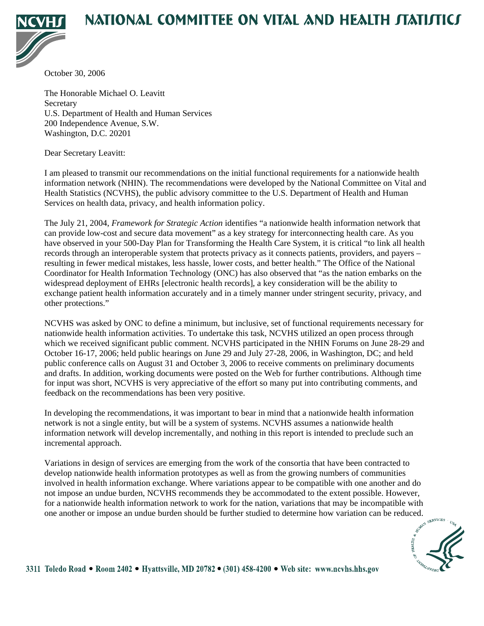# NATIONAL COMMITTEE ON VITAL AND HEALTH JTATIJTICJ



October 30, 2006

The Honorable Michael O. Leavitt **Secretary** U.S. Department of Health and Human Services 200 Independence Avenue, S.W. Washington, D.C. 20201

Dear Secretary Leavitt:

I am pleased to transmit our recommendations on the initial functional requirements for a nationwide health information network (NHIN). The recommendations were developed by the National Committee on Vital and Health Statistics (NCVHS), the public advisory committee to the U.S. Department of Health and Human Services on health data, privacy, and health information policy.

The July 21, 2004, *Framework for Strategic Action* identifies "a nationwide health information network that can provide low-cost and secure data movement" as a key strategy for interconnecting health care. As you have observed in your 500-Day Plan for Transforming the Health Care System, it is critical "to link all health records through an interoperable system that protects privacy as it connects patients, providers, and payers – resulting in fewer medical mistakes, less hassle, lower costs, and better health." The Office of the National Coordinator for Health Information Technology (ONC) has also observed that "as the nation embarks on the widespread deployment of EHRs [electronic health records], a key consideration will be the ability to exchange patient health information accurately and in a timely manner under stringent security, privacy, and other protections."

NCVHS was asked by ONC to define a minimum, but inclusive, set of functional requirements necessary for nationwide health information activities. To undertake this task, NCVHS utilized an open process through which we received significant public comment. NCVHS participated in the NHIN Forums on June 28-29 and October 16-17, 2006; held public hearings on June 29 and July 27-28, 2006, in Washington, DC; and held public conference calls on August 31 and October 3, 2006 to receive comments on preliminary documents and drafts. In addition, working documents were posted on the Web for further contributions. Although time for input was short, NCVHS is very appreciative of the effort so many put into contributing comments, and feedback on the recommendations has been very positive.

In developing the recommendations, it was important to bear in mind that a nationwide health information network is not a single entity, but will be a system of systems. NCVHS assumes a nationwide health information network will develop incrementally, and nothing in this report is intended to preclude such an incremental approach.

Variations in design of services are emerging from the work of the consortia that have been contracted to develop nationwide health information prototypes as well as from the growing numbers of communities involved in health information exchange. Where variations appear to be compatible with one another and do not impose an undue burden, NCVHS recommends they be accommodated to the extent possible. However, for a nationwide health information network to work for the nation, variations that may be incompatible with one another or impose an undue burden should be further studied to determine how variation can be reduced.

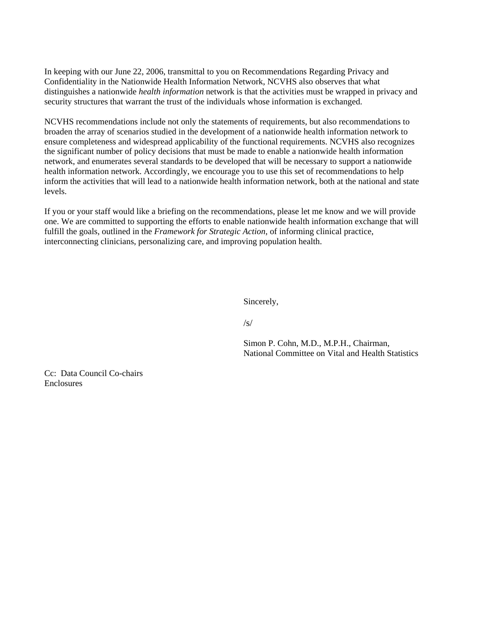In keeping with our June 22, 2006, transmittal to you on Recommendations Regarding Privacy and Confidentiality in the Nationwide Health Information Network, NCVHS also observes that what distinguishes a nationwide *health information* network is that the activities must be wrapped in privacy and security structures that warrant the trust of the individuals whose information is exchanged.

NCVHS recommendations include not only the statements of requirements, but also recommendations to broaden the array of scenarios studied in the development of a nationwide health information network to ensure completeness and widespread applicability of the functional requirements. NCVHS also recognizes the significant number of policy decisions that must be made to enable a nationwide health information network, and enumerates several standards to be developed that will be necessary to support a nationwide health information network. Accordingly, we encourage you to use this set of recommendations to help inform the activities that will lead to a nationwide health information network, both at the national and state levels.

If you or your staff would like a briefing on the recommendations, please let me know and we will provide one. We are committed to supporting the efforts to enable nationwide health information exchange that will fulfill the goals, outlined in the *Framework for Strategic Action*, of informing clinical practice, interconnecting clinicians, personalizing care, and improving population health.

Sincerely,

/s/

Simon P. Cohn, M.D., M.P.H., Chairman, National Committee on Vital and Health Statistics

Cc: Data Council Co-chairs Enclosures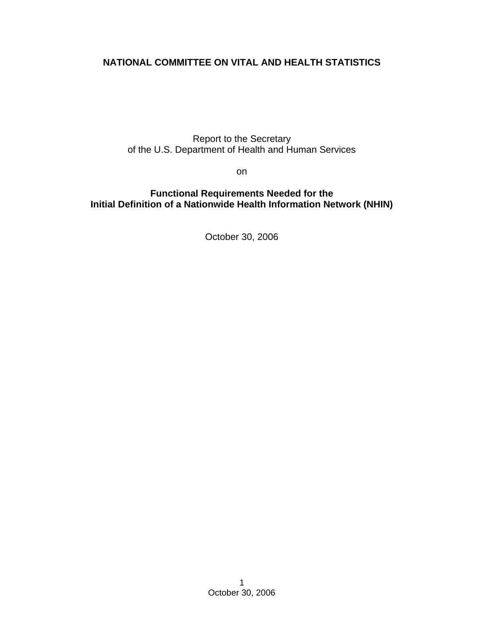# **NATIONAL COMMITTEE ON VITAL AND HEALTH STATISTICS**

Report to the Secretary of the U.S. Department of Health and Human Services

on

### **Functional Requirements Needed for the Initial Definition of a Nationwide Health Information Network (NHIN)**

October 30, 2006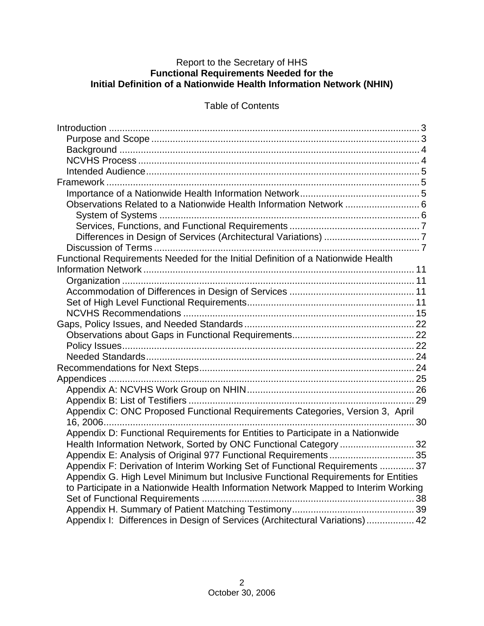### Report to the Secretary of HHS **Functional Requirements Needed for the Initial Definition of a Nationwide Health Information Network (NHIN)**

# Table of Contents

| Functional Requirements Needed for the Initial Definition of a Nationwide Health    |  |
|-------------------------------------------------------------------------------------|--|
|                                                                                     |  |
|                                                                                     |  |
|                                                                                     |  |
|                                                                                     |  |
|                                                                                     |  |
|                                                                                     |  |
|                                                                                     |  |
|                                                                                     |  |
|                                                                                     |  |
|                                                                                     |  |
|                                                                                     |  |
|                                                                                     |  |
|                                                                                     |  |
| Appendix C: ONC Proposed Functional Requirements Categories, Version 3, April       |  |
|                                                                                     |  |
| Appendix D: Functional Requirements for Entities to Participate in a Nationwide     |  |
| Health Information Network, Sorted by ONC Functional Category  32                   |  |
|                                                                                     |  |
| Appendix F: Derivation of Interim Working Set of Functional Requirements  37        |  |
| Appendix G. High Level Minimum but Inclusive Functional Requirements for Entities   |  |
| to Participate in a Nationwide Health Information Network Mapped to Interim Working |  |
|                                                                                     |  |
|                                                                                     |  |
| Appendix I: Differences in Design of Services (Architectural Variations) 42         |  |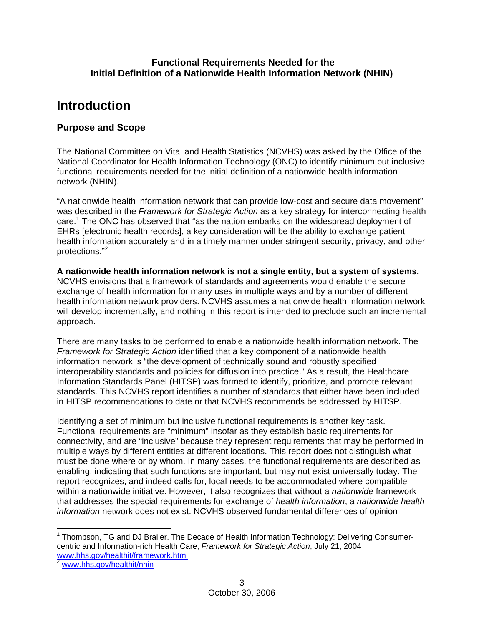### **Functional Requirements Needed for the Initial Definition of a Nationwide Health Information Network (NHIN)**

# **Introduction**

### **Purpose and Scope**

The National Committee on Vital and Health Statistics (NCVHS) was asked by the Office of the National Coordinator for Health Information Technology (ONC) to identify minimum but inclusive functional requirements needed for the initial definition of a nationwide health information network (NHIN).

"A nationwide health information network that can provide low-cost and secure data movement" was described in the *Framework for Strategic Action* as a key strategy for interconnecting health care.<sup>1</sup> The ONC has observed that "as the nation embarks on the widespread deployment of EHRs [electronic health records], a key consideration will be the ability to exchange patient health information accurately and in a timely manner under stringent security, privacy, and other protections."2

**A nationwide health information network is not a single entity, but a system of systems.** NCVHS envisions that a framework of standards and agreements would enable the secure exchange of health information for many uses in multiple ways and by a number of different health information network providers. NCVHS assumes a nationwide health information network will develop incrementally, and nothing in this report is intended to preclude such an incremental approach.

There are many tasks to be performed to enable a nationwide health information network. The *Framework for Strategic Action* identified that a key component of a nationwide health information network is "the development of technically sound and robustly specified interoperability standards and policies for diffusion into practice." As a result, the Healthcare Information Standards Panel (HITSP) was formed to identify, prioritize, and promote relevant standards. This NCVHS report identifies a number of standards that either have been included in HITSP recommendations to date or that NCVHS recommends be addressed by HITSP.

Identifying a set of minimum but inclusive functional requirements is another key task. Functional requirements are "minimum" insofar as they establish basic requirements for connectivity, and are "inclusive" because they represent requirements that may be performed in multiple ways by different entities at different locations. This report does not distinguish what must be done where or by whom. In many cases, the functional requirements are described as enabling, indicating that such functions are important, but may not exist universally today. The report recognizes, and indeed calls for, local needs to be accommodated where compatible within a nationwide initiative. However, it also recognizes that without a *nationwide* framework that addresses the special requirements for exchange of *health information*, a *nationwide health information* network does not exist. NCVHS observed fundamental differences of opinion

<sup>1</sup> Thompson, TG and DJ Brailer. The Decade of Health Information Technology: Delivering Consumercentric and Information-rich Health Care, *Framework for Strategic Action*, July 21, 2004 www.hhs.gov/healthit/framework.html 2 www.hhs.gov/healthit/nhin

 $\overline{a}$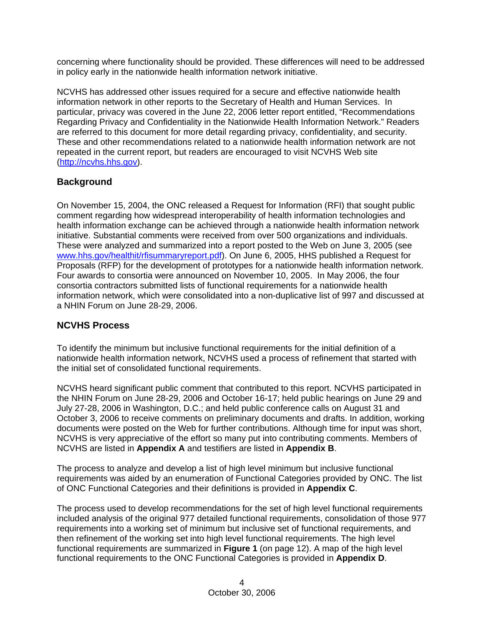concerning where functionality should be provided. These differences will need to be addressed in policy early in the nationwide health information network initiative.

NCVHS has addressed other issues required for a secure and effective nationwide health information network in other reports to the Secretary of Health and Human Services. In particular, privacy was covered in the June 22, 2006 letter report entitled, "Recommendations Regarding Privacy and Confidentiality in the Nationwide Health Information Network." Readers are referred to this document for more detail regarding privacy, confidentiality, and security. These and other recommendations related to a nationwide health information network are not repeated in the current report, but readers are encouraged to visit NCVHS Web site (http://ncvhs.hhs.gov).

# **Background**

On November 15, 2004, the ONC released a Request for Information (RFI) that sought public comment regarding how widespread interoperability of health information technologies and health information exchange can be achieved through a nationwide health information network initiative. Substantial comments were received from over 500 organizations and individuals. These were analyzed and summarized into a report posted to the Web on June 3, 2005 (see www.hhs.gov/healthit/rfisummaryreport.pdf). On June 6, 2005, HHS published a Request for Proposals (RFP) for the development of prototypes for a nationwide health information network. Four awards to consortia were announced on November 10, 2005. In May 2006, the four consortia contractors submitted lists of functional requirements for a nationwide health information network, which were consolidated into a non-duplicative list of 997 and discussed at a NHIN Forum on June 28-29, 2006.

### **NCVHS Process**

To identify the minimum but inclusive functional requirements for the initial definition of a nationwide health information network, NCVHS used a process of refinement that started with the initial set of consolidated functional requirements.

NCVHS heard significant public comment that contributed to this report. NCVHS participated in the NHIN Forum on June 28-29, 2006 and October 16-17; held public hearings on June 29 and July 27-28, 2006 in Washington, D.C.; and held public conference calls on August 31 and October 3, 2006 to receive comments on preliminary documents and drafts. In addition, working documents were posted on the Web for further contributions. Although time for input was short, NCVHS is very appreciative of the effort so many put into contributing comments. Members of NCVHS are listed in **Appendix A** and testifiers are listed in **Appendix B**.

The process to analyze and develop a list of high level minimum but inclusive functional requirements was aided by an enumeration of Functional Categories provided by ONC. The list of ONC Functional Categories and their definitions is provided in **Appendix C**.

The process used to develop recommendations for the set of high level functional requirements included analysis of the original 977 detailed functional requirements, consolidation of those 977 requirements into a working set of minimum but inclusive set of functional requirements, and then refinement of the working set into high level functional requirements. The high level functional requirements are summarized in **Figure 1** (on page 12). A map of the high level functional requirements to the ONC Functional Categories is provided in **Appendix D**.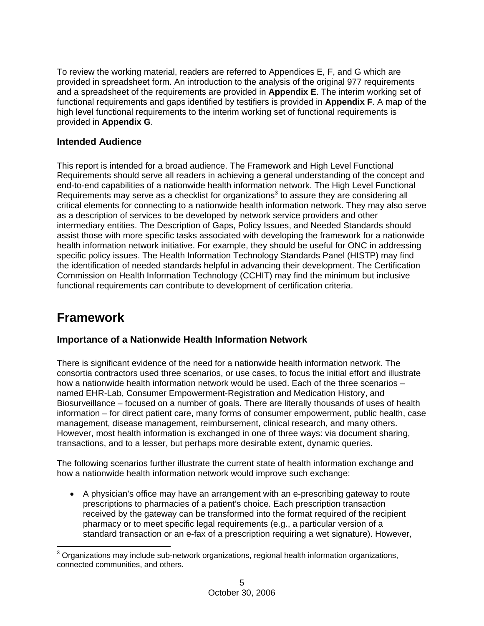To review the working material, readers are referred to Appendices E, F, and G which are provided in spreadsheet form. An introduction to the analysis of the original 977 requirements and a spreadsheet of the requirements are provided in **Appendix E**. The interim working set of functional requirements and gaps identified by testifiers is provided in **Appendix F**. A map of the high level functional requirements to the interim working set of functional requirements is provided in **Appendix G**.

# **Intended Audience**

This report is intended for a broad audience. The Framework and High Level Functional Requirements should serve all readers in achieving a general understanding of the concept and end-to-end capabilities of a nationwide health information network. The High Level Functional Requirements may serve as a checklist for organizations<sup>3</sup> to assure they are considering all critical elements for connecting to a nationwide health information network. They may also serve as a description of services to be developed by network service providers and other intermediary entities. The Description of Gaps, Policy Issues, and Needed Standards should assist those with more specific tasks associated with developing the framework for a nationwide health information network initiative. For example, they should be useful for ONC in addressing specific policy issues. The Health Information Technology Standards Panel (HISTP) may find the identification of needed standards helpful in advancing their development. The Certification Commission on Health Information Technology (CCHIT) may find the minimum but inclusive functional requirements can contribute to development of certification criteria.

# **Framework**

# **Importance of a Nationwide Health Information Network**

There is significant evidence of the need for a nationwide health information network. The consortia contractors used three scenarios, or use cases, to focus the initial effort and illustrate how a nationwide health information network would be used. Each of the three scenarios – named EHR-Lab, Consumer Empowerment-Registration and Medication History, and Biosurveillance – focused on a number of goals. There are literally thousands of uses of health information – for direct patient care, many forms of consumer empowerment, public health, case management, disease management, reimbursement, clinical research, and many others. However, most health information is exchanged in one of three ways: via document sharing, transactions, and to a lesser, but perhaps more desirable extent, dynamic queries.

The following scenarios further illustrate the current state of health information exchange and how a nationwide health information network would improve such exchange:

• A physician's office may have an arrangement with an e-prescribing gateway to route prescriptions to pharmacies of a patient's choice. Each prescription transaction received by the gateway can be transformed into the format required of the recipient pharmacy or to meet specific legal requirements (e.g., a particular version of a standard transaction or an e-fax of a prescription requiring a wet signature). However,

 3 Organizations may include sub-network organizations, regional health information organizations, connected communities, and others.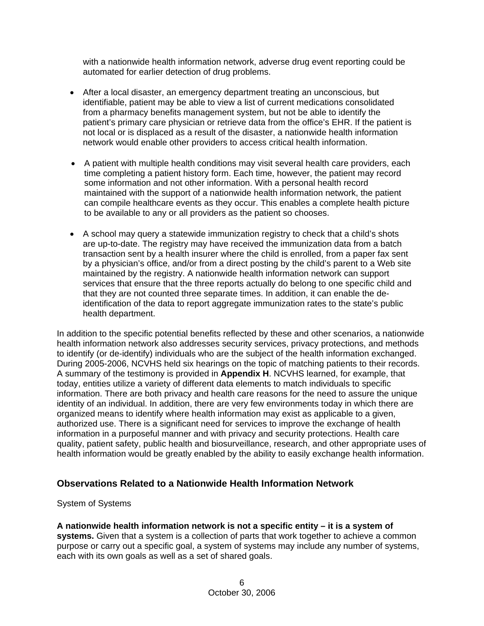with a nationwide health information network, adverse drug event reporting could be automated for earlier detection of drug problems.

- After a local disaster, an emergency department treating an unconscious, but identifiable, patient may be able to view a list of current medications consolidated from a pharmacy benefits management system, but not be able to identify the patient's primary care physician or retrieve data from the office's EHR. If the patient is not local or is displaced as a result of the disaster, a nationwide health information network would enable other providers to access critical health information.
- A patient with multiple health conditions may visit several health care providers, each time completing a patient history form. Each time, however, the patient may record some information and not other information. With a personal health record maintained with the support of a nationwide health information network, the patient can compile healthcare events as they occur. This enables a complete health picture to be available to any or all providers as the patient so chooses.
- A school may query a statewide immunization registry to check that a child's shots are up-to-date. The registry may have received the immunization data from a batch transaction sent by a health insurer where the child is enrolled, from a paper fax sent by a physician's office, and/or from a direct posting by the child's parent to a Web site maintained by the registry. A nationwide health information network can support services that ensure that the three reports actually do belong to one specific child and that they are not counted three separate times. In addition, it can enable the deidentification of the data to report aggregate immunization rates to the state's public health department.

In addition to the specific potential benefits reflected by these and other scenarios, a nationwide health information network also addresses security services, privacy protections, and methods to identify (or de-identify) individuals who are the subject of the health information exchanged. During 2005-2006, NCVHS held six hearings on the topic of matching patients to their records. A summary of the testimony is provided in **Appendix H**. NCVHS learned, for example, that today, entities utilize a variety of different data elements to match individuals to specific information. There are both privacy and health care reasons for the need to assure the unique identity of an individual. In addition, there are very few environments today in which there are organized means to identify where health information may exist as applicable to a given, authorized use. There is a significant need for services to improve the exchange of health information in a purposeful manner and with privacy and security protections. Health care quality, patient safety, public health and biosurveillance, research, and other appropriate uses of health information would be greatly enabled by the ability to easily exchange health information.

### **Observations Related to a Nationwide Health Information Network**

#### System of Systems

**A nationwide health information network is not a specific entity – it is a system of systems.** Given that a system is a collection of parts that work together to achieve a common purpose or carry out a specific goal, a system of systems may include any number of systems, each with its own goals as well as a set of shared goals.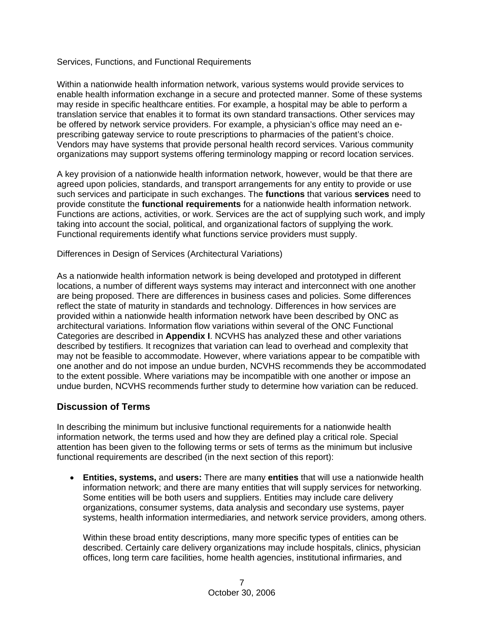### Services, Functions, and Functional Requirements

Within a nationwide health information network, various systems would provide services to enable health information exchange in a secure and protected manner. Some of these systems may reside in specific healthcare entities. For example, a hospital may be able to perform a translation service that enables it to format its own standard transactions. Other services may be offered by network service providers. For example, a physician's office may need an eprescribing gateway service to route prescriptions to pharmacies of the patient's choice. Vendors may have systems that provide personal health record services. Various community organizations may support systems offering terminology mapping or record location services.

A key provision of a nationwide health information network, however, would be that there are agreed upon policies, standards, and transport arrangements for any entity to provide or use such services and participate in such exchanges. The **functions** that various **services** need to provide constitute the **functional requirements** for a nationwide health information network. Functions are actions, activities, or work. Services are the act of supplying such work, and imply taking into account the social, political, and organizational factors of supplying the work. Functional requirements identify what functions service providers must supply.

Differences in Design of Services (Architectural Variations)

As a nationwide health information network is being developed and prototyped in different locations, a number of different ways systems may interact and interconnect with one another are being proposed. There are differences in business cases and policies. Some differences reflect the state of maturity in standards and technology. Differences in how services are provided within a nationwide health information network have been described by ONC as architectural variations. Information flow variations within several of the ONC Functional Categories are described in **Appendix I**. NCVHS has analyzed these and other variations described by testifiers. It recognizes that variation can lead to overhead and complexity that may not be feasible to accommodate. However, where variations appear to be compatible with one another and do not impose an undue burden, NCVHS recommends they be accommodated to the extent possible. Where variations may be incompatible with one another or impose an undue burden, NCVHS recommends further study to determine how variation can be reduced.

### **Discussion of Terms**

In describing the minimum but inclusive functional requirements for a nationwide health information network, the terms used and how they are defined play a critical role. Special attention has been given to the following terms or sets of terms as the minimum but inclusive functional requirements are described (in the next section of this report):

• **Entities, systems,** and **users:** There are many **entities** that will use a nationwide health information network; and there are many entities that will supply services for networking. Some entities will be both users and suppliers. Entities may include care delivery organizations, consumer systems, data analysis and secondary use systems, payer systems, health information intermediaries, and network service providers, among others.

Within these broad entity descriptions, many more specific types of entities can be described. Certainly care delivery organizations may include hospitals, clinics, physician offices, long term care facilities, home health agencies, institutional infirmaries, and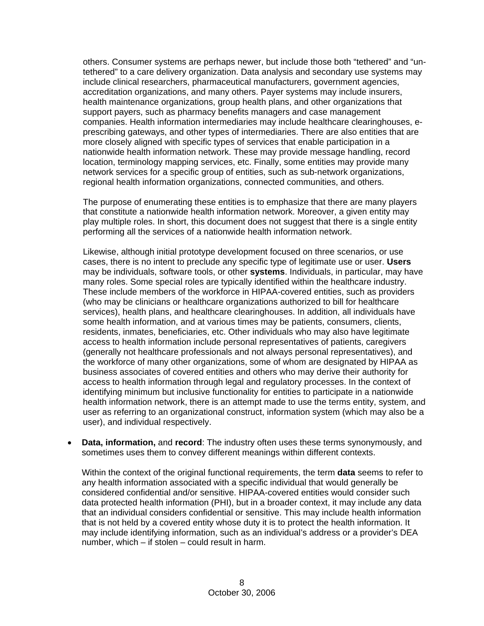others. Consumer systems are perhaps newer, but include those both "tethered" and "untethered" to a care delivery organization. Data analysis and secondary use systems may include clinical researchers, pharmaceutical manufacturers, government agencies, accreditation organizations, and many others. Payer systems may include insurers, health maintenance organizations, group health plans, and other organizations that support payers, such as pharmacy benefits managers and case management companies. Health information intermediaries may include healthcare clearinghouses, eprescribing gateways, and other types of intermediaries. There are also entities that are more closely aligned with specific types of services that enable participation in a nationwide health information network. These may provide message handling, record location, terminology mapping services, etc. Finally, some entities may provide many network services for a specific group of entities, such as sub-network organizations, regional health information organizations, connected communities, and others.

The purpose of enumerating these entities is to emphasize that there are many players that constitute a nationwide health information network. Moreover, a given entity may play multiple roles. In short, this document does not suggest that there is a single entity performing all the services of a nationwide health information network.

Likewise, although initial prototype development focused on three scenarios, or use cases, there is no intent to preclude any specific type of legitimate use or user. **Users** may be individuals, software tools, or other **systems**. Individuals, in particular, may have many roles. Some special roles are typically identified within the healthcare industry. These include members of the workforce in HIPAA-covered entities, such as providers (who may be clinicians or healthcare organizations authorized to bill for healthcare services), health plans, and healthcare clearinghouses. In addition, all individuals have some health information, and at various times may be patients, consumers, clients, residents, inmates, beneficiaries, etc. Other individuals who may also have legitimate access to health information include personal representatives of patients, caregivers (generally not healthcare professionals and not always personal representatives), and the workforce of many other organizations, some of whom are designated by HIPAA as business associates of covered entities and others who may derive their authority for access to health information through legal and regulatory processes. In the context of identifying minimum but inclusive functionality for entities to participate in a nationwide health information network, there is an attempt made to use the terms entity, system, and user as referring to an organizational construct, information system (which may also be a user), and individual respectively.

• **Data, information,** and **record**: The industry often uses these terms synonymously, and sometimes uses them to convey different meanings within different contexts.

Within the context of the original functional requirements, the term **data** seems to refer to any health information associated with a specific individual that would generally be considered confidential and/or sensitive. HIPAA-covered entities would consider such data protected health information (PHI), but in a broader context, it may include any data that an individual considers confidential or sensitive. This may include health information that is not held by a covered entity whose duty it is to protect the health information. It may include identifying information, such as an individual's address or a provider's DEA number, which – if stolen – could result in harm.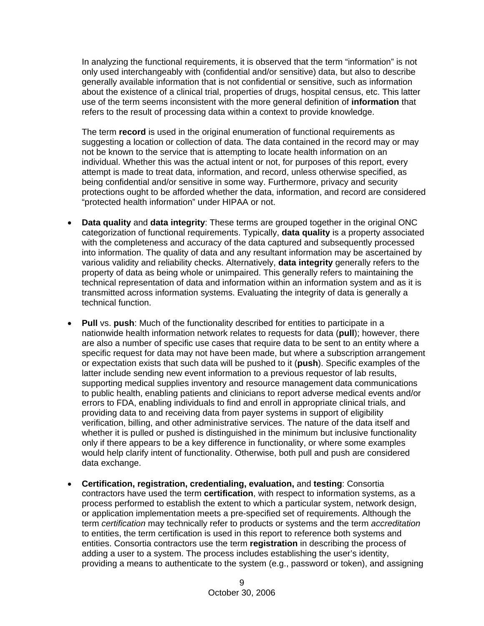In analyzing the functional requirements, it is observed that the term "information" is not only used interchangeably with (confidential and/or sensitive) data, but also to describe generally available information that is not confidential or sensitive, such as information about the existence of a clinical trial, properties of drugs, hospital census, etc. This latter use of the term seems inconsistent with the more general definition of **information** that refers to the result of processing data within a context to provide knowledge.

The term **record** is used in the original enumeration of functional requirements as suggesting a location or collection of data. The data contained in the record may or may not be known to the service that is attempting to locate health information on an individual. Whether this was the actual intent or not, for purposes of this report, every attempt is made to treat data, information, and record, unless otherwise specified, as being confidential and/or sensitive in some way. Furthermore, privacy and security protections ought to be afforded whether the data, information, and record are considered "protected health information" under HIPAA or not.

- **Data quality** and **data integrity**: These terms are grouped together in the original ONC categorization of functional requirements. Typically, **data quality** is a property associated with the completeness and accuracy of the data captured and subsequently processed into information. The quality of data and any resultant information may be ascertained by various validity and reliability checks. Alternatively, **data integrity** generally refers to the property of data as being whole or unimpaired. This generally refers to maintaining the technical representation of data and information within an information system and as it is transmitted across information systems. Evaluating the integrity of data is generally a technical function.
- **Pull** vs. **push**: Much of the functionality described for entities to participate in a nationwide health information network relates to requests for data (**pull**); however, there are also a number of specific use cases that require data to be sent to an entity where a specific request for data may not have been made, but where a subscription arrangement or expectation exists that such data will be pushed to it (**push**). Specific examples of the latter include sending new event information to a previous requestor of lab results, supporting medical supplies inventory and resource management data communications to public health, enabling patients and clinicians to report adverse medical events and/or errors to FDA, enabling individuals to find and enroll in appropriate clinical trials, and providing data to and receiving data from payer systems in support of eligibility verification, billing, and other administrative services. The nature of the data itself and whether it is pulled or pushed is distinguished in the minimum but inclusive functionality only if there appears to be a key difference in functionality, or where some examples would help clarify intent of functionality. Otherwise, both pull and push are considered data exchange.
- **Certification, registration, credentialing, evaluation,** and **testing**: Consortia contractors have used the term **certification**, with respect to information systems, as a process performed to establish the extent to which a particular system, network design, or application implementation meets a pre-specified set of requirements. Although the term *certification* may technically refer to products or systems and the term *accreditation* to entities, the term certification is used in this report to reference both systems and entities. Consortia contractors use the term **registration** in describing the process of adding a user to a system. The process includes establishing the user's identity, providing a means to authenticate to the system (e.g., password or token), and assigning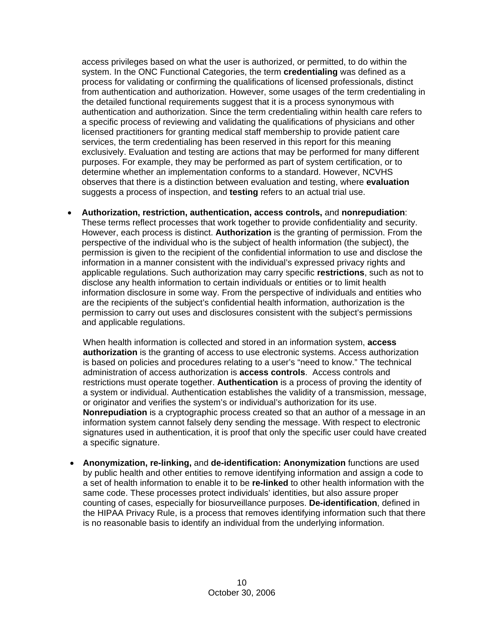access privileges based on what the user is authorized, or permitted, to do within the system. In the ONC Functional Categories, the term **credentialing** was defined as a process for validating or confirming the qualifications of licensed professionals, distinct from authentication and authorization. However, some usages of the term credentialing in the detailed functional requirements suggest that it is a process synonymous with authentication and authorization. Since the term credentialing within health care refers to a specific process of reviewing and validating the qualifications of physicians and other licensed practitioners for granting medical staff membership to provide patient care services, the term credentialing has been reserved in this report for this meaning exclusively. Evaluation and testing are actions that may be performed for many different purposes. For example, they may be performed as part of system certification, or to determine whether an implementation conforms to a standard. However, NCVHS observes that there is a distinction between evaluation and testing, where **evaluation** suggests a process of inspection, and **testing** refers to an actual trial use.

• **Authorization, restriction, authentication, access controls,** and **nonrepudiation**: These terms reflect processes that work together to provide confidentiality and security. However, each process is distinct. **Authorization** is the granting of permission. From the perspective of the individual who is the subject of health information (the subject), the permission is given to the recipient of the confidential information to use and disclose the information in a manner consistent with the individual's expressed privacy rights and applicable regulations. Such authorization may carry specific **restrictions**, such as not to disclose any health information to certain individuals or entities or to limit health information disclosure in some way. From the perspective of individuals and entities who are the recipients of the subject's confidential health information, authorization is the permission to carry out uses and disclosures consistent with the subject's permissions and applicable regulations.

When health information is collected and stored in an information system, **access authorization** is the granting of access to use electronic systems. Access authorization is based on policies and procedures relating to a user's "need to know." The technical administration of access authorization is **access controls**. Access controls and restrictions must operate together. **Authentication** is a process of proving the identity of a system or individual. Authentication establishes the validity of a transmission, message, or originator and verifies the system's or individual's authorization for its use. **Nonrepudiation** is a cryptographic process created so that an author of a message in an information system cannot falsely deny sending the message. With respect to electronic signatures used in authentication, it is proof that only the specific user could have created a specific signature.

• **Anonymization, re-linking,** and **de-identification: Anonymization** functions are used by public health and other entities to remove identifying information and assign a code to a set of health information to enable it to be **re-linked** to other health information with the same code. These processes protect individuals' identities, but also assure proper counting of cases, especially for biosurveillance purposes. **De-identification**, defined in the HIPAA Privacy Rule, is a process that removes identifying information such that there is no reasonable basis to identify an individual from the underlying information.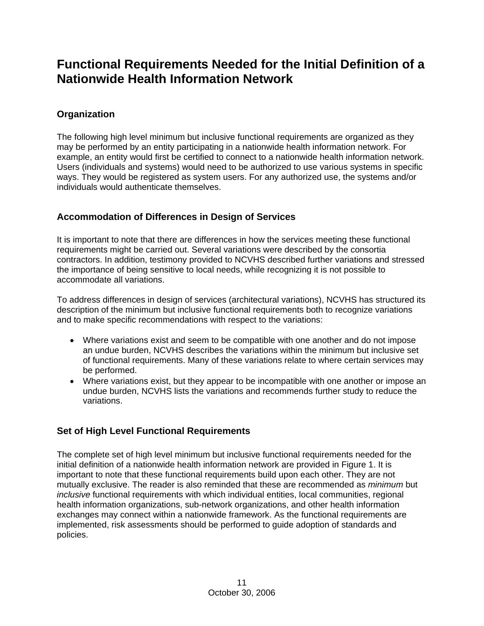# **Functional Requirements Needed for the Initial Definition of a Nationwide Health Information Network**

# **Organization**

The following high level minimum but inclusive functional requirements are organized as they may be performed by an entity participating in a nationwide health information network. For example, an entity would first be certified to connect to a nationwide health information network. Users (individuals and systems) would need to be authorized to use various systems in specific ways. They would be registered as system users. For any authorized use, the systems and/or individuals would authenticate themselves.

# **Accommodation of Differences in Design of Services**

It is important to note that there are differences in how the services meeting these functional requirements might be carried out. Several variations were described by the consortia contractors. In addition, testimony provided to NCVHS described further variations and stressed the importance of being sensitive to local needs, while recognizing it is not possible to accommodate all variations.

To address differences in design of services (architectural variations), NCVHS has structured its description of the minimum but inclusive functional requirements both to recognize variations and to make specific recommendations with respect to the variations:

- Where variations exist and seem to be compatible with one another and do not impose an undue burden, NCVHS describes the variations within the minimum but inclusive set of functional requirements. Many of these variations relate to where certain services may be performed.
- Where variations exist, but they appear to be incompatible with one another or impose an undue burden, NCVHS lists the variations and recommends further study to reduce the variations.

# **Set of High Level Functional Requirements**

The complete set of high level minimum but inclusive functional requirements needed for the initial definition of a nationwide health information network are provided in Figure 1. It is important to note that these functional requirements build upon each other. They are not mutually exclusive. The reader is also reminded that these are recommended as *minimum* but *inclusive* functional requirements with which individual entities, local communities, regional health information organizations, sub-network organizations, and other health information exchanges may connect within a nationwide framework. As the functional requirements are implemented, risk assessments should be performed to guide adoption of standards and policies.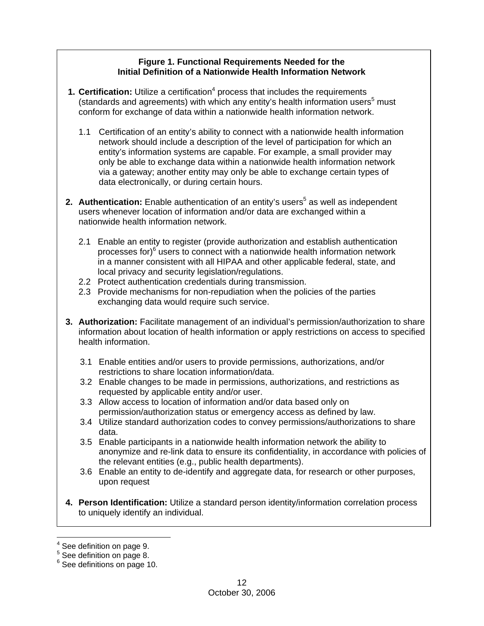### **Figure 1. Functional Requirements Needed for the Initial Definition of a Nationwide Health Information Network**

- **1. Certification:** Utilize a certification<sup>4</sup> process that includes the requirements (standards and agreements) with which any entity's health information users<sup>5</sup> must conform for exchange of data within a nationwide health information network.
	- 1.1 Certification of an entity's ability to connect with a nationwide health information network should include a description of the level of participation for which an entity's information systems are capable. For example, a small provider may only be able to exchange data within a nationwide health information network via a gateway; another entity may only be able to exchange certain types of data electronically, or during certain hours.
- **2. Authentication:** Enable authentication of an entity's users<sup>5</sup> as well as independent users whenever location of information and/or data are exchanged within a nationwide health information network.
	- 2.1 Enable an entity to register (provide authorization and establish authentication processes for) $6$  users to connect with a nationwide health information network in a manner consistent with all HIPAA and other applicable federal, state, and local privacy and security legislation/regulations.
	- 2.2 Protect authentication credentials during transmission.
	- 2.3 Provide mechanisms for non-repudiation when the policies of the parties exchanging data would require such service.
- **3. Authorization:** Facilitate management of an individual's permission/authorization to share information about location of health information or apply restrictions on access to specified health information.
	- 3.1 Enable entities and/or users to provide permissions, authorizations, and/or restrictions to share location information/data.
	- 3.2 Enable changes to be made in permissions, authorizations, and restrictions as requested by applicable entity and/or user.
	- 3.3 Allow access to location of information and/or data based only on permission/authorization status or emergency access as defined by law.
	- 3.4 Utilize standard authorization codes to convey permissions/authorizations to share data.
	- 3.5 Enable participants in a nationwide health information network the ability to anonymize and re-link data to ensure its confidentiality, in accordance with policies of the relevant entities (e.g., public health departments).
	- 3.6 Enable an entity to de-identify and aggregate data, for research or other purposes, upon request
- **4. Person Identification:** Utilize a standard person identity/information correlation process to uniquely identify an individual.

 $\overline{a}$  $<sup>4</sup>$  See definition on page 9.</sup>

<sup>&</sup>lt;sup>5</sup> See definition on page 8.

<sup>&</sup>lt;sup>6</sup> See definitions on page 10.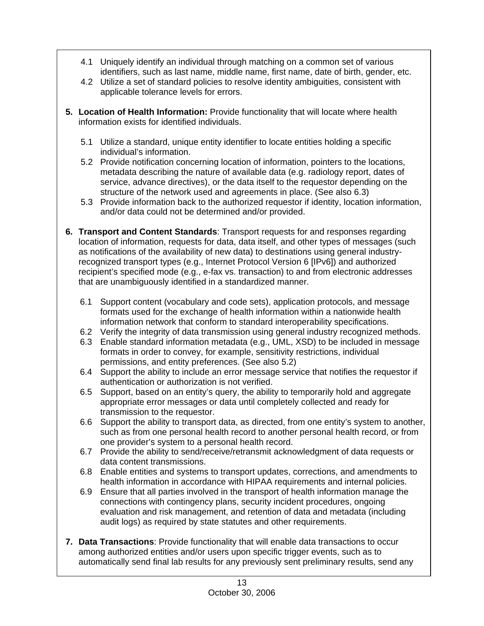- 4.1 Uniquely identify an individual through matching on a common set of various identifiers, such as last name, middle name, first name, date of birth, gender, etc.
- 4.2 Utilize a set of standard policies to resolve identity ambiguities, consistent with applicable tolerance levels for errors.
- **5. Location of Health Information:** Provide functionality that will locate where health information exists for identified individuals.
	- 5.1 Utilize a standard, unique entity identifier to locate entities holding a specific individual's information.
	- 5.2 Provide notification concerning location of information, pointers to the locations, metadata describing the nature of available data (e.g. radiology report, dates of service, advance directives), or the data itself to the requestor depending on the structure of the network used and agreements in place. (See also 6.3)
	- 5.3 Provide information back to the authorized requestor if identity, location information, and/or data could not be determined and/or provided.
- **6. Transport and Content Standards**: Transport requests for and responses regarding location of information, requests for data, data itself, and other types of messages (such as notifications of the availability of new data) to destinations using general industryrecognized transport types (e.g., Internet Protocol Version 6 [IPv6]) and authorized recipient's specified mode (e.g., e-fax vs. transaction) to and from electronic addresses that are unambiguously identified in a standardized manner.
	- 6.1 Support content (vocabulary and code sets), application protocols, and message formats used for the exchange of health information within a nationwide health information network that conform to standard interoperability specifications.
	- 6.2 Verify the integrity of data transmission using general industry recognized methods.
	- 6.3 Enable standard information metadata (e.g., UML, XSD) to be included in message formats in order to convey, for example, sensitivity restrictions, individual permissions, and entity preferences. (See also 5.2)
	- 6.4 Support the ability to include an error message service that notifies the requestor if authentication or authorization is not verified.
	- 6.5 Support, based on an entity's query, the ability to temporarily hold and aggregate appropriate error messages or data until completely collected and ready for transmission to the requestor.
	- 6.6 Support the ability to transport data, as directed, from one entity's system to another, such as from one personal health record to another personal health record, or from one provider's system to a personal health record.
	- 6.7 Provide the ability to send/receive/retransmit acknowledgment of data requests or data content transmissions.
	- 6.8 Enable entities and systems to transport updates, corrections, and amendments to health information in accordance with HIPAA requirements and internal policies.
	- 6.9 Ensure that all parties involved in the transport of health information manage the connections with contingency plans, security incident procedures, ongoing evaluation and risk management, and retention of data and metadata (including audit logs) as required by state statutes and other requirements.
- **7. Data Transactions**: Provide functionality that will enable data transactions to occur among authorized entities and/or users upon specific trigger events, such as to automatically send final lab results for any previously sent preliminary results, send any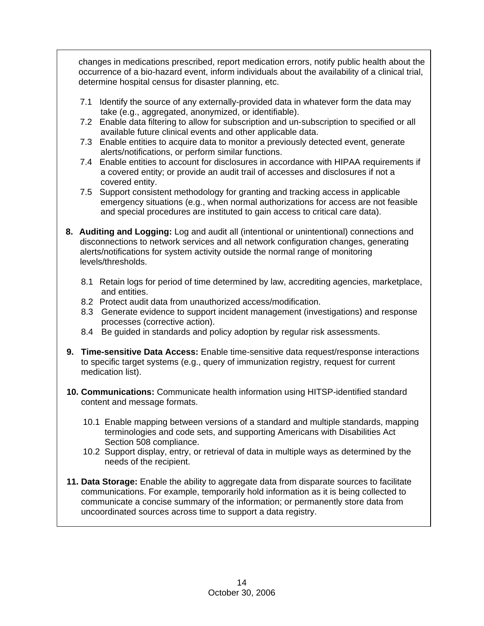changes in medications prescribed, report medication errors, notify public health about the occurrence of a bio-hazard event, inform individuals about the availability of a clinical trial, determine hospital census for disaster planning, etc.

- 7.1 Identify the source of any externally-provided data in whatever form the data may take (e.g., aggregated, anonymized, or identifiable).
- 7.2 Enable data filtering to allow for subscription and un-subscription to specified or all available future clinical events and other applicable data.
- 7.3 Enable entities to acquire data to monitor a previously detected event, generate alerts/notifications, or perform similar functions.
- 7.4 Enable entities to account for disclosures in accordance with HIPAA requirements if a covered entity; or provide an audit trail of accesses and disclosures if not a covered entity.
- 7.5 Support consistent methodology for granting and tracking access in applicable emergency situations (e.g., when normal authorizations for access are not feasible and special procedures are instituted to gain access to critical care data).
- **8. Auditing and Logging:** Log and audit all (intentional or unintentional) connections and disconnections to network services and all network configuration changes, generating alerts/notifications for system activity outside the normal range of monitoring levels/thresholds.
	- 8.1 Retain logs for period of time determined by law, accrediting agencies, marketplace, and entities.
	- 8.2 Protect audit data from unauthorized access/modification.
	- 8.3 Generate evidence to support incident management (investigations) and response processes (corrective action).
	- 8.4 Be guided in standards and policy adoption by regular risk assessments.
- **9. Time-sensitive Data Access:** Enable time-sensitive data request/response interactions to specific target systems (e.g., query of immunization registry, request for current medication list).
- **10. Communications:** Communicate health information using HITSP-identified standard content and message formats.
	- 10.1 Enable mapping between versions of a standard and multiple standards, mapping terminologies and code sets, and supporting Americans with Disabilities Act Section 508 compliance.
	- 10.2 Support display, entry, or retrieval of data in multiple ways as determined by the needs of the recipient.
- **11. Data Storage:** Enable the ability to aggregate data from disparate sources to facilitate communications. For example, temporarily hold information as it is being collected to communicate a concise summary of the information; or permanently store data from uncoordinated sources across time to support a data registry.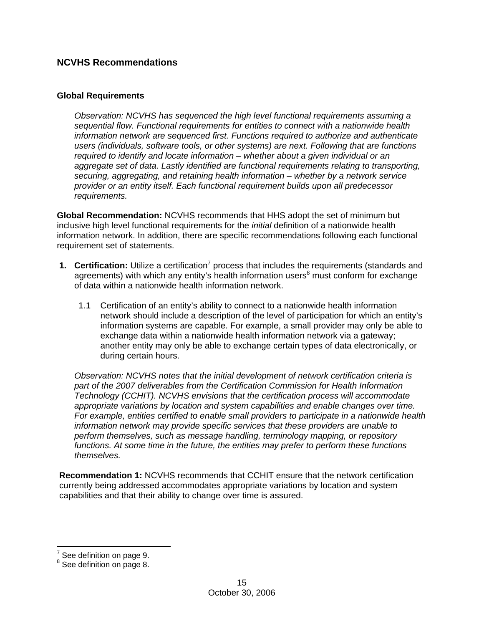### **NCVHS Recommendations**

### **Global Requirements**

*Observation: NCVHS has sequenced the high level functional requirements assuming a sequential flow. Functional requirements for entities to connect with a nationwide health information network are sequenced first. Functions required to authorize and authenticate users (individuals, software tools, or other systems) are next. Following that are functions required to identify and locate information – whether about a given individual or an aggregate set of data. Lastly identified are functional requirements relating to transporting, securing, aggregating, and retaining health information – whether by a network service provider or an entity itself. Each functional requirement builds upon all predecessor requirements.* 

**Global Recommendation:** NCVHS recommends that HHS adopt the set of minimum but inclusive high level functional requirements for the *initial* definition of a nationwide health information network. In addition, there are specific recommendations following each functional requirement set of statements.

- **1. Certification:** Utilize a certification<sup>7</sup> process that includes the requirements (standards and agreements) with which any entity's health information users<sup>8</sup> must conform for exchange of data within a nationwide health information network.
	- 1.1 Certification of an entity's ability to connect to a nationwide health information network should include a description of the level of participation for which an entity's information systems are capable. For example, a small provider may only be able to exchange data within a nationwide health information network via a gateway; another entity may only be able to exchange certain types of data electronically, or during certain hours.

*Observation: NCVHS notes that the initial development of network certification criteria is part of the 2007 deliverables from the Certification Commission for Health Information Technology (CCHIT). NCVHS envisions that the certification process will accommodate appropriate variations by location and system capabilities and enable changes over time. For example, entities certified to enable small providers to participate in a nationwide health information network may provide specific services that these providers are unable to perform themselves, such as message handling, terminology mapping, or repository functions. At some time in the future, the entities may prefer to perform these functions themselves.* 

**Recommendation 1:** NCVHS recommends that CCHIT ensure that the network certification currently being addressed accommodates appropriate variations by location and system capabilities and that their ability to change over time is assured.

 $\overline{a}$ 

 $7$  See definition on page 9.

<sup>&</sup>lt;sup>8</sup> See definition on page 8.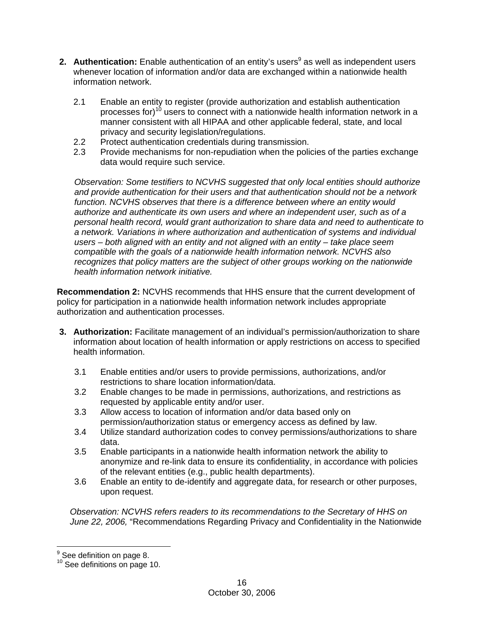- **2. Authentication:** Enable authentication of an entity's users<sup>9</sup> as well as independent users whenever location of information and/or data are exchanged within a nationwide health information network.
	- 2.1 Enable an entity to register (provide authorization and establish authentication processes for)<sup>10</sup> users to connect with a nationwide health information network in a manner consistent with all HIPAA and other applicable federal, state, and local privacy and security legislation/regulations.
	- 2.2 Protect authentication credentials during transmission.
	- 2.3 Provide mechanisms for non-repudiation when the policies of the parties exchange data would require such service.

*Observation: Some testifiers to NCVHS suggested that only local entities should authorize and provide authentication for their users and that authentication should not be a network function. NCVHS observes that there is a difference between where an entity would authorize and authenticate its own users and where an independent user, such as of a personal health record, would grant authorization to share data and need to authenticate to a network. Variations in where authorization and authentication of systems and individual users – both aligned with an entity and not aligned with an entity – take place seem compatible with the goals of a nationwide health information network. NCVHS also recognizes that policy matters are the subject of other groups working on the nationwide health information network initiative.* 

**Recommendation 2:** NCVHS recommends that HHS ensure that the current development of policy for participation in a nationwide health information network includes appropriate authorization and authentication processes.

- **3. Authorization:** Facilitate management of an individual's permission/authorization to share information about location of health information or apply restrictions on access to specified health information.
	- 3.1 Enable entities and/or users to provide permissions, authorizations, and/or restrictions to share location information/data.
	- 3.2 Enable changes to be made in permissions, authorizations, and restrictions as requested by applicable entity and/or user.
	- 3.3 Allow access to location of information and/or data based only on permission/authorization status or emergency access as defined by law.
	- 3.4 Utilize standard authorization codes to convey permissions/authorizations to share data.
	- 3.5 Enable participants in a nationwide health information network the ability to anonymize and re-link data to ensure its confidentiality, in accordance with policies of the relevant entities (e.g., public health departments).
	- 3.6 Enable an entity to de-identify and aggregate data, for research or other purposes, upon request.

*Observation: NCVHS refers readers to its recommendations to the Secretary of HHS on June 22, 2006,* "Recommendations Regarding Privacy and Confidentiality in the Nationwide

 $\overline{a}$ 

 $^9$  See definition on page 8.

<sup>&</sup>lt;sup>10</sup> See definitions on page 10.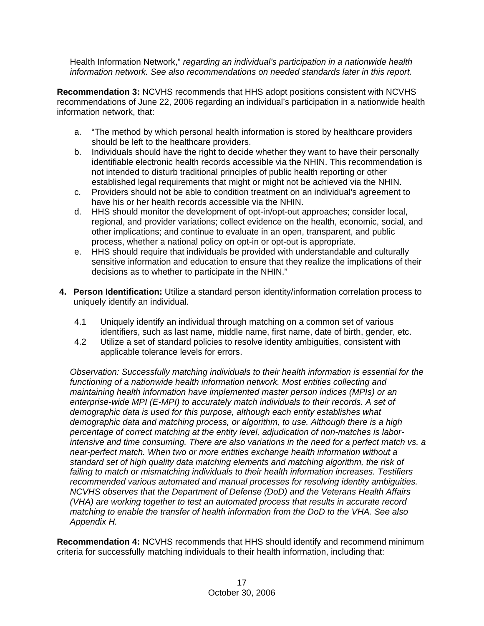Health Information Network," *regarding an individual's participation in a nationwide health information network. See also recommendations on needed standards later in this report.* 

**Recommendation 3:** NCVHS recommends that HHS adopt positions consistent with NCVHS recommendations of June 22, 2006 regarding an individual's participation in a nationwide health information network, that:

- a. "The method by which personal health information is stored by healthcare providers should be left to the healthcare providers.
- b. Individuals should have the right to decide whether they want to have their personally identifiable electronic health records accessible via the NHIN. This recommendation is not intended to disturb traditional principles of public health reporting or other established legal requirements that might or might not be achieved via the NHIN.
- c. Providers should not be able to condition treatment on an individual's agreement to have his or her health records accessible via the NHIN.
- d. HHS should monitor the development of opt-in/opt-out approaches; consider local, regional, and provider variations; collect evidence on the health, economic, social, and other implications; and continue to evaluate in an open, transparent, and public process, whether a national policy on opt-in or opt-out is appropriate.
- e. HHS should require that individuals be provided with understandable and culturally sensitive information and education to ensure that they realize the implications of their decisions as to whether to participate in the NHIN."
- **4. Person Identification:** Utilize a standard person identity/information correlation process to uniquely identify an individual.
	- 4.1 Uniquely identify an individual through matching on a common set of various identifiers, such as last name, middle name, first name, date of birth, gender, etc.
	- 4.2 Utilize a set of standard policies to resolve identity ambiguities, consistent with applicable tolerance levels for errors.

*Observation: Successfully matching individuals to their health information is essential for the functioning of a nationwide health information network. Most entities collecting and maintaining health information have implemented master person indices (MPIs) or an enterprise-wide MPI (E-MPI) to accurately match individuals to their records. A set of demographic data is used for this purpose, although each entity establishes what demographic data and matching process, or algorithm, to use. Although there is a high percentage of correct matching at the entity level, adjudication of non-matches is laborintensive and time consuming. There are also variations in the need for a perfect match vs. a near-perfect match. When two or more entities exchange health information without a standard set of high quality data matching elements and matching algorithm, the risk of failing to match or mismatching individuals to their health information increases. Testifiers recommended various automated and manual processes for resolving identity ambiguities. NCVHS observes that the Department of Defense (DoD) and the Veterans Health Affairs (VHA) are working together to test an automated process that results in accurate record matching to enable the transfer of health information from the DoD to the VHA. See also Appendix H.* 

**Recommendation 4:** NCVHS recommends that HHS should identify and recommend minimum criteria for successfully matching individuals to their health information, including that: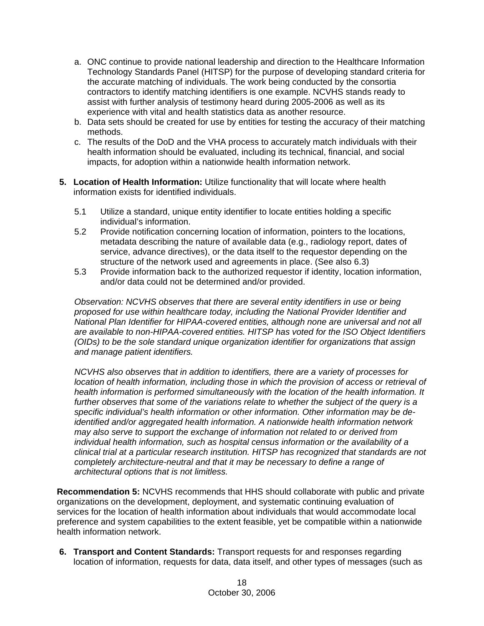- a. ONC continue to provide national leadership and direction to the Healthcare Information Technology Standards Panel (HITSP) for the purpose of developing standard criteria for the accurate matching of individuals. The work being conducted by the consortia contractors to identify matching identifiers is one example. NCVHS stands ready to assist with further analysis of testimony heard during 2005-2006 as well as its experience with vital and health statistics data as another resource.
- b. Data sets should be created for use by entities for testing the accuracy of their matching methods.
- c. The results of the DoD and the VHA process to accurately match individuals with their health information should be evaluated, including its technical, financial, and social impacts, for adoption within a nationwide health information network.
- **5. Location of Health Information:** Utilize functionality that will locate where health information exists for identified individuals.
	- 5.1 Utilize a standard, unique entity identifier to locate entities holding a specific individual's information.
	- 5.2 Provide notification concerning location of information, pointers to the locations, metadata describing the nature of available data (e.g., radiology report, dates of service, advance directives), or the data itself to the requestor depending on the structure of the network used and agreements in place. (See also 6.3)
	- 5.3 Provide information back to the authorized requestor if identity, location information, and/or data could not be determined and/or provided.

*Observation: NCVHS observes that there are several entity identifiers in use or being proposed for use within healthcare today, including the National Provider Identifier and National Plan Identifier for HIPAA-covered entities, although none are universal and not all are available to non-HIPAA-covered entities. HITSP has voted for the ISO Object Identifiers (OIDs) to be the sole standard unique organization identifier for organizations that assign and manage patient identifiers.* 

*NCVHS also observes that in addition to identifiers, there are a variety of processes for location of health information, including those in which the provision of access or retrieval of health information is performed simultaneously with the location of the health information. It further observes that some of the variations relate to whether the subject of the query is a specific individual's health information or other information. Other information may be deidentified and/or aggregated health information. A nationwide health information network may also serve to support the exchange of information not related to or derived from individual health information, such as hospital census information or the availability of a clinical trial at a particular research institution. HITSP has recognized that standards are not completely architecture-neutral and that it may be necessary to define a range of architectural options that is not limitless.* 

**Recommendation 5:** NCVHS recommends that HHS should collaborate with public and private organizations on the development, deployment, and systematic continuing evaluation of services for the location of health information about individuals that would accommodate local preference and system capabilities to the extent feasible, yet be compatible within a nationwide health information network.

**6. Transport and Content Standards:** Transport requests for and responses regarding location of information, requests for data, data itself, and other types of messages (such as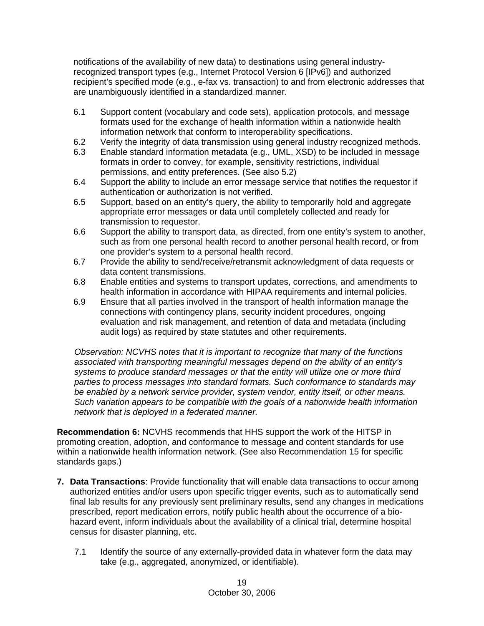notifications of the availability of new data) to destinations using general industryrecognized transport types (e.g., Internet Protocol Version 6 [IPv6]) and authorized recipient's specified mode (e.g., e-fax vs. transaction) to and from electronic addresses that are unambiguously identified in a standardized manner.

- 6.1 Support content (vocabulary and code sets), application protocols, and message formats used for the exchange of health information within a nationwide health information network that conform to interoperability specifications.
- 6.2 Verify the integrity of data transmission using general industry recognized methods.
- 6.3 Enable standard information metadata (e.g., UML, XSD) to be included in message formats in order to convey, for example, sensitivity restrictions, individual permissions, and entity preferences. (See also 5.2)
- 6.4 Support the ability to include an error message service that notifies the requestor if authentication or authorization is not verified.
- 6.5 Support, based on an entity's query, the ability to temporarily hold and aggregate appropriate error messages or data until completely collected and ready for transmission to requestor.
- 6.6 Support the ability to transport data, as directed, from one entity's system to another, such as from one personal health record to another personal health record, or from one provider's system to a personal health record.
- 6.7 Provide the ability to send/receive/retransmit acknowledgment of data requests or data content transmissions.
- 6.8 Enable entities and systems to transport updates, corrections, and amendments to health information in accordance with HIPAA requirements and internal policies.
- 6.9 Ensure that all parties involved in the transport of health information manage the connections with contingency plans, security incident procedures, ongoing evaluation and risk management, and retention of data and metadata (including audit logs) as required by state statutes and other requirements.

*Observation: NCVHS notes that it is important to recognize that many of the functions associated with transporting meaningful messages depend on the ability of an entity's systems to produce standard messages or that the entity will utilize one or more third parties to process messages into standard formats. Such conformance to standards may be enabled by a network service provider, system vendor, entity itself, or other means. Such variation appears to be compatible with the goals of a nationwide health information network that is deployed in a federated manner.* 

**Recommendation 6:** NCVHS recommends that HHS support the work of the HITSP in promoting creation, adoption, and conformance to message and content standards for use within a nationwide health information network. (See also Recommendation 15 for specific standards gaps.)

- **7. Data Transactions**: Provide functionality that will enable data transactions to occur among authorized entities and/or users upon specific trigger events, such as to automatically send final lab results for any previously sent preliminary results, send any changes in medications prescribed, report medication errors, notify public health about the occurrence of a biohazard event, inform individuals about the availability of a clinical trial, determine hospital census for disaster planning, etc.
	- 7.1 Identify the source of any externally-provided data in whatever form the data may take (e.g., aggregated, anonymized, or identifiable).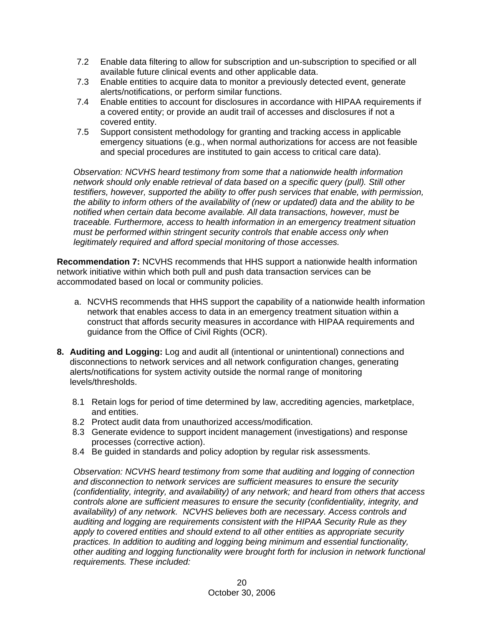- 7.2 Enable data filtering to allow for subscription and un-subscription to specified or all available future clinical events and other applicable data.
- 7.3 Enable entities to acquire data to monitor a previously detected event, generate alerts/notifications, or perform similar functions.
- 7.4 Enable entities to account for disclosures in accordance with HIPAA requirements if a covered entity; or provide an audit trail of accesses and disclosures if not a covered entity.
- 7.5 Support consistent methodology for granting and tracking access in applicable emergency situations (e.g., when normal authorizations for access are not feasible and special procedures are instituted to gain access to critical care data).

*Observation: NCVHS heard testimony from some that a nationwide health information network should only enable retrieval of data based on a specific query (pull). Still other testifiers, however, supported the ability to offer push services that enable, with permission, the ability to inform others of the availability of (new or updated) data and the ability to be notified when certain data become available. All data transactions, however, must be traceable. Furthermore, access to health information in an emergency treatment situation must be performed within stringent security controls that enable access only when legitimately required and afford special monitoring of those accesses.* 

**Recommendation 7:** NCVHS recommends that HHS support a nationwide health information network initiative within which both pull and push data transaction services can be accommodated based on local or community policies.

- a. NCVHS recommends that HHS support the capability of a nationwide health information network that enables access to data in an emergency treatment situation within a construct that affords security measures in accordance with HIPAA requirements and guidance from the Office of Civil Rights (OCR).
- **8. Auditing and Logging:** Log and audit all (intentional or unintentional) connections and disconnections to network services and all network configuration changes, generating alerts/notifications for system activity outside the normal range of monitoring levels/thresholds.
	- 8.1 Retain logs for period of time determined by law, accrediting agencies, marketplace, and entities.
	- 8.2 Protect audit data from unauthorized access/modification.
	- 8.3 Generate evidence to support incident management (investigations) and response processes (corrective action).
	- 8.4 Be guided in standards and policy adoption by regular risk assessments.

*Observation: NCVHS heard testimony from some that auditing and logging of connection and disconnection to network services are sufficient measures to ensure the security (confidentiality, integrity, and availability) of any network; and heard from others that access controls alone are sufficient measures to ensure the security (confidentiality, integrity, and availability) of any network. NCVHS believes both are necessary. Access controls and auditing and logging are requirements consistent with the HIPAA Security Rule as they apply to covered entities and should extend to all other entities as appropriate security practices. In addition to auditing and logging being minimum and essential functionality, other auditing and logging functionality were brought forth for inclusion in network functional requirements. These included:*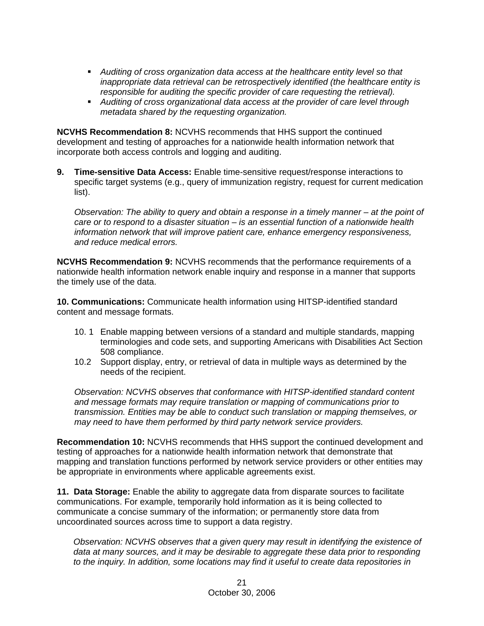- *Auditing of cross organization data access at the healthcare entity level so that inappropriate data retrieval can be retrospectively identified (the healthcare entity is responsible for auditing the specific provider of care requesting the retrieval).*
- *Auditing of cross organizational data access at the provider of care level through metadata shared by the requesting organization.*

**NCVHS Recommendation 8:** NCVHS recommends that HHS support the continued development and testing of approaches for a nationwide health information network that incorporate both access controls and logging and auditing.

**9. Time-sensitive Data Access:** Enable time-sensitive request/response interactions to specific target systems (e.g., query of immunization registry, request for current medication list).

*Observation: The ability to query and obtain a response in a timely manner – at the point of care or to respond to a disaster situation – is an essential function of a nationwide health information network that will improve patient care, enhance emergency responsiveness, and reduce medical errors.*

**NCVHS Recommendation 9:** NCVHS recommends that the performance requirements of a nationwide health information network enable inquiry and response in a manner that supports the timely use of the data.

**10. Communications:** Communicate health information using HITSP-identified standard content and message formats.

- 10. 1 Enable mapping between versions of a standard and multiple standards, mapping terminologies and code sets, and supporting Americans with Disabilities Act Section 508 compliance.
- 10.2 Support display, entry, or retrieval of data in multiple ways as determined by the needs of the recipient.

*Observation: NCVHS observes that conformance with HITSP-identified standard content and message formats may require translation or mapping of communications prior to transmission. Entities may be able to conduct such translation or mapping themselves, or may need to have them performed by third party network service providers.* 

**Recommendation 10:** NCVHS recommends that HHS support the continued development and testing of approaches for a nationwide health information network that demonstrate that mapping and translation functions performed by network service providers or other entities may be appropriate in environments where applicable agreements exist.

**11. Data Storage:** Enable the ability to aggregate data from disparate sources to facilitate communications. For example, temporarily hold information as it is being collected to communicate a concise summary of the information; or permanently store data from uncoordinated sources across time to support a data registry.

*Observation: NCVHS observes that a given query may result in identifying the existence of data at many sources, and it may be desirable to aggregate these data prior to responding to the inquiry. In addition, some locations may find it useful to create data repositories in*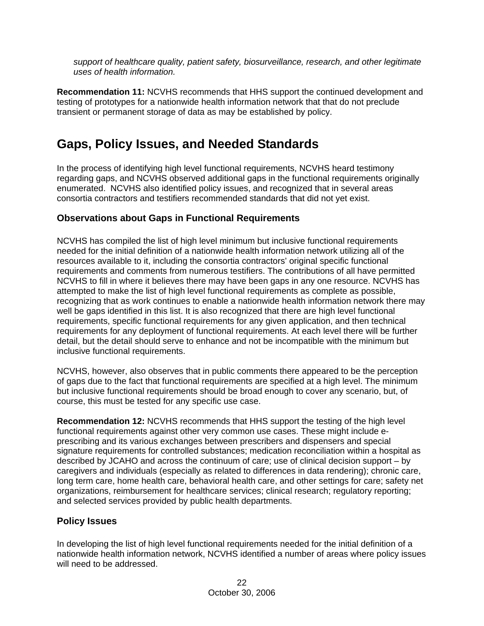*support of healthcare quality, patient safety, biosurveillance, research, and other legitimate uses of health information.* 

**Recommendation 11:** NCVHS recommends that HHS support the continued development and testing of prototypes for a nationwide health information network that that do not preclude transient or permanent storage of data as may be established by policy.

# **Gaps, Policy Issues, and Needed Standards**

In the process of identifying high level functional requirements, NCVHS heard testimony regarding gaps, and NCVHS observed additional gaps in the functional requirements originally enumerated. NCVHS also identified policy issues, and recognized that in several areas consortia contractors and testifiers recommended standards that did not yet exist.

### **Observations about Gaps in Functional Requirements**

NCVHS has compiled the list of high level minimum but inclusive functional requirements needed for the initial definition of a nationwide health information network utilizing all of the resources available to it, including the consortia contractors' original specific functional requirements and comments from numerous testifiers. The contributions of all have permitted NCVHS to fill in where it believes there may have been gaps in any one resource. NCVHS has attempted to make the list of high level functional requirements as complete as possible, recognizing that as work continues to enable a nationwide health information network there may well be gaps identified in this list. It is also recognized that there are high level functional requirements, specific functional requirements for any given application, and then technical requirements for any deployment of functional requirements. At each level there will be further detail, but the detail should serve to enhance and not be incompatible with the minimum but inclusive functional requirements.

NCVHS, however, also observes that in public comments there appeared to be the perception of gaps due to the fact that functional requirements are specified at a high level. The minimum but inclusive functional requirements should be broad enough to cover any scenario, but, of course, this must be tested for any specific use case.

**Recommendation 12:** NCVHS recommends that HHS support the testing of the high level functional requirements against other very common use cases. These might include eprescribing and its various exchanges between prescribers and dispensers and special signature requirements for controlled substances; medication reconciliation within a hospital as described by JCAHO and across the continuum of care; use of clinical decision support – by caregivers and individuals (especially as related to differences in data rendering); chronic care, long term care, home health care, behavioral health care, and other settings for care; safety net organizations, reimbursement for healthcare services; clinical research; regulatory reporting; and selected services provided by public health departments.

### **Policy Issues**

In developing the list of high level functional requirements needed for the initial definition of a nationwide health information network, NCVHS identified a number of areas where policy issues will need to be addressed.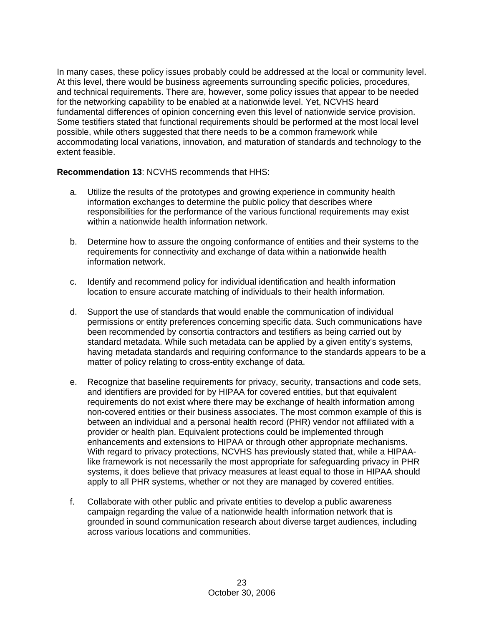In many cases, these policy issues probably could be addressed at the local or community level. At this level, there would be business agreements surrounding specific policies, procedures, and technical requirements. There are, however, some policy issues that appear to be needed for the networking capability to be enabled at a nationwide level. Yet, NCVHS heard fundamental differences of opinion concerning even this level of nationwide service provision. Some testifiers stated that functional requirements should be performed at the most local level possible, while others suggested that there needs to be a common framework while accommodating local variations, innovation, and maturation of standards and technology to the extent feasible.

### **Recommendation 13**: NCVHS recommends that HHS:

- a. Utilize the results of the prototypes and growing experience in community health information exchanges to determine the public policy that describes where responsibilities for the performance of the various functional requirements may exist within a nationwide health information network.
- b. Determine how to assure the ongoing conformance of entities and their systems to the requirements for connectivity and exchange of data within a nationwide health information network.
- c. Identify and recommend policy for individual identification and health information location to ensure accurate matching of individuals to their health information.
- d. Support the use of standards that would enable the communication of individual permissions or entity preferences concerning specific data. Such communications have been recommended by consortia contractors and testifiers as being carried out by standard metadata. While such metadata can be applied by a given entity's systems, having metadata standards and requiring conformance to the standards appears to be a matter of policy relating to cross-entity exchange of data.
- e. Recognize that baseline requirements for privacy, security, transactions and code sets, and identifiers are provided for by HIPAA for covered entities, but that equivalent requirements do not exist where there may be exchange of health information among non-covered entities or their business associates. The most common example of this is between an individual and a personal health record (PHR) vendor not affiliated with a provider or health plan. Equivalent protections could be implemented through enhancements and extensions to HIPAA or through other appropriate mechanisms. With regard to privacy protections, NCVHS has previously stated that, while a HIPAAlike framework is not necessarily the most appropriate for safeguarding privacy in PHR systems, it does believe that privacy measures at least equal to those in HIPAA should apply to all PHR systems, whether or not they are managed by covered entities.
- f. Collaborate with other public and private entities to develop a public awareness campaign regarding the value of a nationwide health information network that is grounded in sound communication research about diverse target audiences, including across various locations and communities.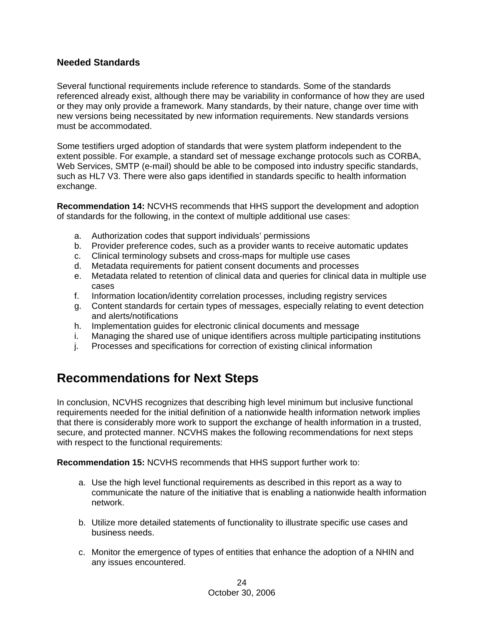### **Needed Standards**

Several functional requirements include reference to standards. Some of the standards referenced already exist, although there may be variability in conformance of how they are used or they may only provide a framework. Many standards, by their nature, change over time with new versions being necessitated by new information requirements. New standards versions must be accommodated.

Some testifiers urged adoption of standards that were system platform independent to the extent possible. For example, a standard set of message exchange protocols such as CORBA, Web Services, SMTP (e-mail) should be able to be composed into industry specific standards, such as HL7 V3. There were also gaps identified in standards specific to health information exchange.

**Recommendation 14:** NCVHS recommends that HHS support the development and adoption of standards for the following, in the context of multiple additional use cases:

- a. Authorization codes that support individuals' permissions
- b. Provider preference codes, such as a provider wants to receive automatic updates
- c. Clinical terminology subsets and cross-maps for multiple use cases
- d. Metadata requirements for patient consent documents and processes
- e. Metadata related to retention of clinical data and queries for clinical data in multiple use cases
- f. Information location/identity correlation processes, including registry services
- g. Content standards for certain types of messages, especially relating to event detection and alerts/notifications
- h. Implementation guides for electronic clinical documents and message
- i. Managing the shared use of unique identifiers across multiple participating institutions
- j. Processes and specifications for correction of existing clinical information

# **Recommendations for Next Steps**

In conclusion, NCVHS recognizes that describing high level minimum but inclusive functional requirements needed for the initial definition of a nationwide health information network implies that there is considerably more work to support the exchange of health information in a trusted, secure, and protected manner. NCVHS makes the following recommendations for next steps with respect to the functional requirements:

**Recommendation 15:** NCVHS recommends that HHS support further work to:

- a. Use the high level functional requirements as described in this report as a way to communicate the nature of the initiative that is enabling a nationwide health information network.
- b. Utilize more detailed statements of functionality to illustrate specific use cases and business needs.
- c. Monitor the emergence of types of entities that enhance the adoption of a NHIN and any issues encountered.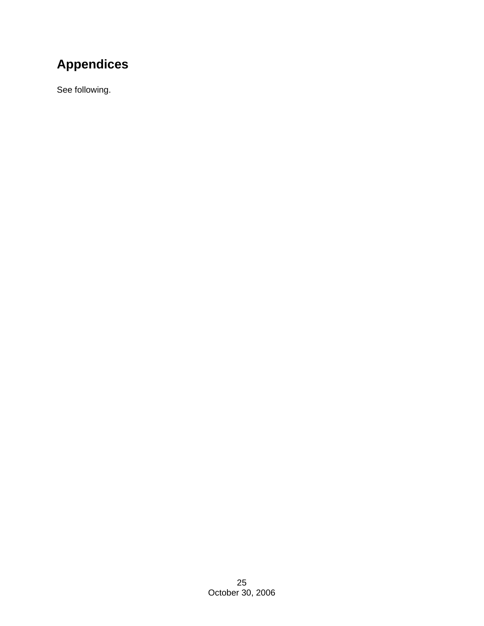# **Appendices**

See following.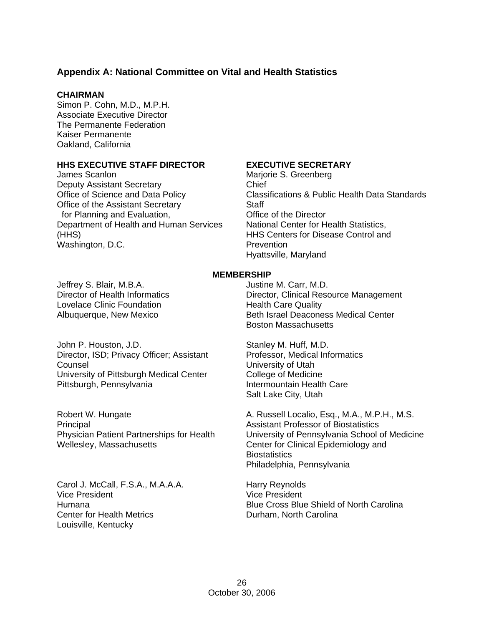### **Appendix A: National Committee on Vital and Health Statistics**

#### **CHAIRMAN**

Simon P. Cohn, M.D., M.P.H. Associate Executive Director The Permanente Federation Kaiser Permanente Oakland, California

### **HHS EXECUTIVE STAFF DIRECTOR**

James Scanlon Deputy Assistant Secretary Office of Science and Data Policy Office of the Assistant Secretary for Planning and Evaluation, Department of Health and Human Services (HHS) Washington, D.C.

### **EXECUTIVE SECRETARY**

Marjorie S. Greenberg Chief Classifications & Public Health Data Standards **Staff** Office of the Director National Center for Health Statistics, HHS Centers for Disease Control and **Prevention** Hyattsville, Maryland

#### **MEMBERSHIP**

Jeffrey S. Blair, M.B.A. Director of Health Informatics Lovelace Clinic Foundation Albuquerque, New Mexico

John P. Houston, J.D. Director, ISD; Privacy Officer; Assistant Counsel University of Pittsburgh Medical Center Pittsburgh, Pennsylvania

Robert W. Hungate Principal Physician Patient Partnerships for Health Wellesley, Massachusetts

Carol J. McCall, F.S.A., M.A.A.A. Vice President Humana Center for Health Metrics Louisville, Kentucky

Justine M. Carr, M.D. Director, Clinical Resource Management Health Care Quality Beth Israel Deaconess Medical Center Boston Massachusetts

Stanley M. Huff, M.D. Professor, Medical Informatics University of Utah College of Medicine Intermountain Health Care Salt Lake City, Utah

A. Russell Localio, Esq., M.A., M.P.H., M.S. Assistant Professor of Biostatistics University of Pennsylvania School of Medicine Center for Clinical Epidemiology and **Biostatistics** Philadelphia, Pennsylvania

Harry Reynolds Vice President Blue Cross Blue Shield of North Carolina Durham, North Carolina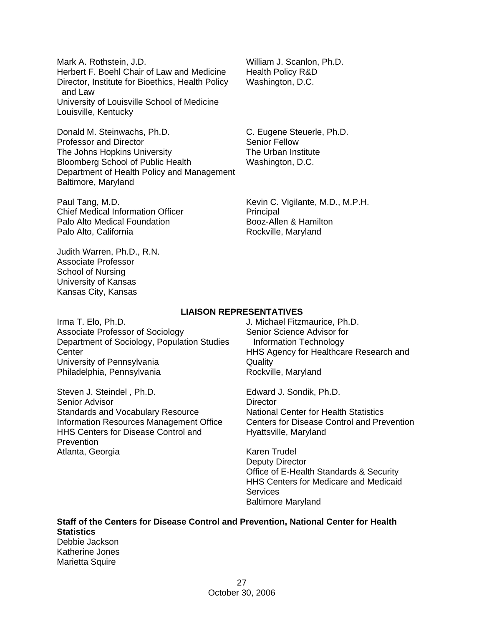Mark A. Rothstein, J.D. Herbert F. Boehl Chair of Law and Medicine Director, Institute for Bioethics, Health Policy and Law University of Louisville School of Medicine Louisville, Kentucky

Donald M. Steinwachs, Ph.D. Professor and Director The Johns Hopkins University Bloomberg School of Public Health Department of Health Policy and Management Baltimore, Maryland

Paul Tang, M.D. Chief Medical Information Officer Palo Alto Medical Foundation Palo Alto, California

Judith Warren, Ph.D., R.N. Associate Professor School of Nursing University of Kansas Kansas City, Kansas

William J. Scanlon, Ph.D. Health Policy R&D Washington, D.C.

C. Eugene Steuerle, Ph.D. Senior Fellow The Urban Institute Washington, D.C.

Kevin C. Vigilante, M.D., M.P.H. Principal Booz-Allen & Hamilton Rockville, Maryland

### **LIAISON REPRESENTATIVES**

Irma T. Elo, Ph.D. Associate Professor of Sociology Department of Sociology, Population Studies **Center** University of Pennsylvania Philadelphia, Pennsylvania

Steven J. Steindel , Ph.D. Senior Advisor Standards and Vocabulary Resource Information Resources Management Office HHS Centers for Disease Control and **Prevention** Atlanta, Georgia

J. Michael Fitzmaurice, Ph.D. Senior Science Advisor for Information Technology HHS Agency for Healthcare Research and **Quality** Rockville, Maryland

Edward J. Sondik, Ph.D. **Director** National Center for Health Statistics Centers for Disease Control and Prevention Hyattsville, Maryland

Karen Trudel Deputy Director Office of E-Health Standards & Security HHS Centers for Medicare and Medicaid **Services** Baltimore Maryland

**Staff of the Centers for Disease Control and Prevention, National Center for Health Statistics**  Debbie Jackson Katherine Jones Marietta Squire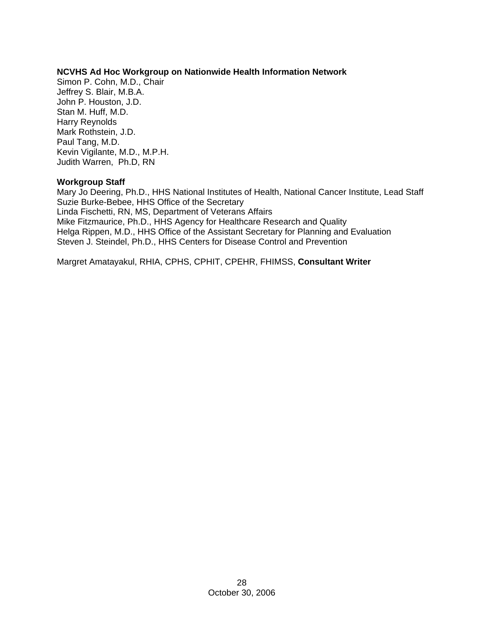### **NCVHS Ad Hoc Workgroup on Nationwide Health Information Network**

Simon P. Cohn, M.D., Chair Jeffrey S. Blair, M.B.A. John P. Houston, J.D. Stan M. Huff, M.D. Harry Reynolds Mark Rothstein, J.D. Paul Tang, M.D. Kevin Vigilante, M.D., M.P.H. Judith Warren, Ph.D, RN

### **Workgroup Staff**

Mary Jo Deering, Ph.D., HHS National Institutes of Health, National Cancer Institute, Lead Staff Suzie Burke-Bebee, HHS Office of the Secretary Linda Fischetti, RN, MS, Department of Veterans Affairs Mike Fitzmaurice, Ph.D., HHS Agency for Healthcare Research and Quality Helga Rippen, M.D., HHS Office of the Assistant Secretary for Planning and Evaluation Steven J. Steindel, Ph.D., HHS Centers for Disease Control and Prevention

Margret Amatayakul, RHIA, CPHS, CPHIT, CPEHR, FHIMSS, **Consultant Writer**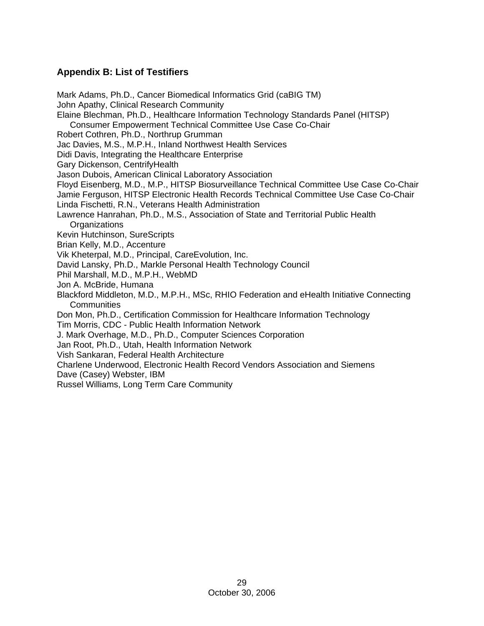# **Appendix B: List of Testifiers**

Mark Adams, Ph.D., Cancer Biomedical Informatics Grid (caBIG TM) John Apathy, Clinical Research Community Elaine Blechman, Ph.D., Healthcare Information Technology Standards Panel (HITSP) Consumer Empowerment Technical Committee Use Case Co-Chair Robert Cothren, Ph.D., Northrup Grumman Jac Davies, M.S., M.P.H., Inland Northwest Health Services Didi Davis, Integrating the Healthcare Enterprise Gary Dickenson, CentrifyHealth Jason Dubois, American Clinical Laboratory Association Floyd Eisenberg, M.D., M.P., HITSP Biosurveillance Technical Committee Use Case Co-Chair Jamie Ferguson, HITSP Electronic Health Records Technical Committee Use Case Co-Chair Linda Fischetti, R.N., Veterans Health Administration Lawrence Hanrahan, Ph.D., M.S., Association of State and Territorial Public Health **Organizations** Kevin Hutchinson, SureScripts Brian Kelly, M.D., Accenture Vik Kheterpal, M.D., Principal, CareEvolution, Inc. David Lansky, Ph.D., Markle Personal Health Technology Council Phil Marshall, M.D., M.P.H., WebMD Jon A. McBride, Humana Blackford Middleton, M.D., M.P.H., MSc, RHIO Federation and eHealth Initiative Connecting **Communities** Don Mon, Ph.D., Certification Commission for Healthcare Information Technology Tim Morris, CDC - Public Health Information Network J. Mark Overhage, M.D., Ph.D., Computer Sciences Corporation Jan Root, Ph.D., Utah, Health Information Network Vish Sankaran, Federal Health Architecture Charlene Underwood, Electronic Health Record Vendors Association and Siemens Dave (Casey) Webster, IBM Russel Williams, Long Term Care Community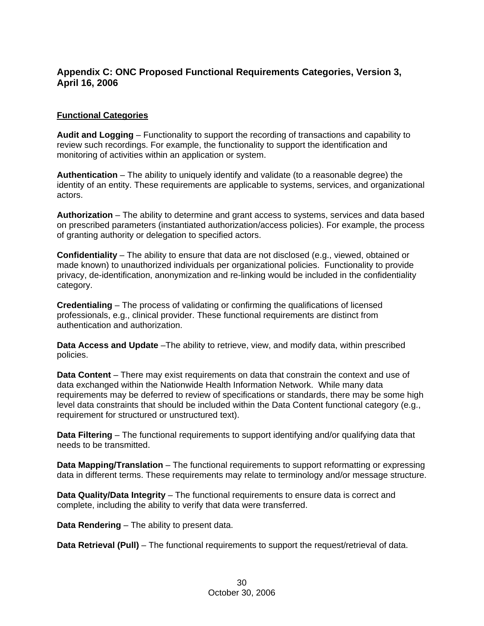### **Appendix C: ONC Proposed Functional Requirements Categories, Version 3, April 16, 2006**

### **Functional Categories**

**Audit and Logging** – Functionality to support the recording of transactions and capability to review such recordings. For example, the functionality to support the identification and monitoring of activities within an application or system.

**Authentication** – The ability to uniquely identify and validate (to a reasonable degree) the identity of an entity. These requirements are applicable to systems, services, and organizational actors.

**Authorization** – The ability to determine and grant access to systems, services and data based on prescribed parameters (instantiated authorization/access policies). For example, the process of granting authority or delegation to specified actors.

**Confidentiality** – The ability to ensure that data are not disclosed (e.g., viewed, obtained or made known) to unauthorized individuals per organizational policies. Functionality to provide privacy, de-identification, anonymization and re-linking would be included in the confidentiality category.

**Credentialing** – The process of validating or confirming the qualifications of licensed professionals, e.g., clinical provider. These functional requirements are distinct from authentication and authorization.

**Data Access and Update** –The ability to retrieve, view, and modify data, within prescribed policies.

**Data Content** – There may exist requirements on data that constrain the context and use of data exchanged within the Nationwide Health Information Network. While many data requirements may be deferred to review of specifications or standards, there may be some high level data constraints that should be included within the Data Content functional category (e.g., requirement for structured or unstructured text).

**Data Filtering** – The functional requirements to support identifying and/or qualifying data that needs to be transmitted.

**Data Mapping/Translation** – The functional requirements to support reformatting or expressing data in different terms. These requirements may relate to terminology and/or message structure.

**Data Quality/Data Integrity** – The functional requirements to ensure data is correct and complete, including the ability to verify that data were transferred.

**Data Rendering** – The ability to present data.

**Data Retrieval (Pull)** – The functional requirements to support the request/retrieval of data.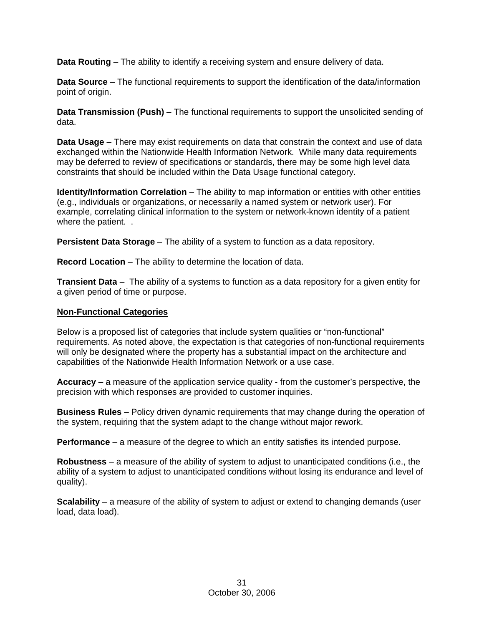**Data Routing** – The ability to identify a receiving system and ensure delivery of data.

**Data Source** – The functional requirements to support the identification of the data/information point of origin.

**Data Transmission (Push)** – The functional requirements to support the unsolicited sending of data.

**Data Usage** – There may exist requirements on data that constrain the context and use of data exchanged within the Nationwide Health Information Network. While many data requirements may be deferred to review of specifications or standards, there may be some high level data constraints that should be included within the Data Usage functional category.

**Identity/Information Correlation** – The ability to map information or entities with other entities (e.g., individuals or organizations, or necessarily a named system or network user). For example, correlating clinical information to the system or network-known identity of a patient where the patient...

**Persistent Data Storage** – The ability of a system to function as a data repository.

**Record Location** – The ability to determine the location of data.

**Transient Data** – The ability of a systems to function as a data repository for a given entity for a given period of time or purpose.

### **Non-Functional Categories**

Below is a proposed list of categories that include system qualities or "non-functional" requirements. As noted above, the expectation is that categories of non-functional requirements will only be designated where the property has a substantial impact on the architecture and capabilities of the Nationwide Health Information Network or a use case.

**Accuracy** – a measure of the application service quality - from the customer's perspective, the precision with which responses are provided to customer inquiries.

**Business Rules** – Policy driven dynamic requirements that may change during the operation of the system, requiring that the system adapt to the change without major rework.

**Performance** – a measure of the degree to which an entity satisfies its intended purpose.

**Robustness** – a measure of the ability of system to adjust to unanticipated conditions (i.e., the ability of a system to adjust to unanticipated conditions without losing its endurance and level of quality).

**Scalability** – a measure of the ability of system to adjust or extend to changing demands (user load, data load).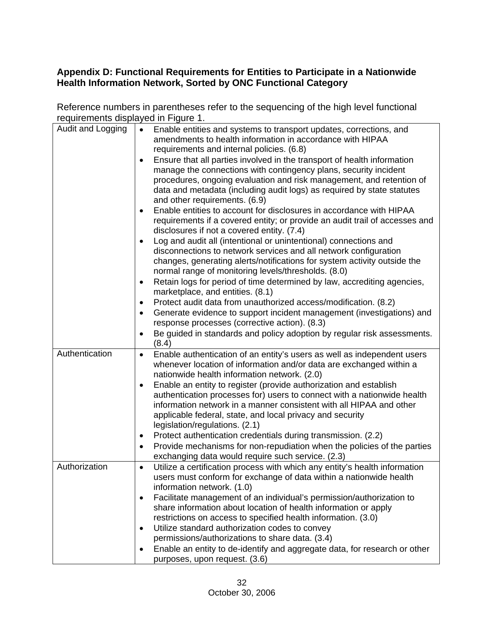# **Appendix D: Functional Requirements for Entities to Participate in a Nationwide Health Information Network, Sorted by ONC Functional Category**

Reference numbers in parentheses refer to the sequencing of the high level functional requirements displayed in Figure 1.

| Audit and Logging | Enable entities and systems to transport updates, corrections, and<br>amendments to health information in accordance with HIPAA<br>requirements and internal policies. (6.8)<br>Ensure that all parties involved in the transport of health information<br>manage the connections with contingency plans, security incident<br>procedures, ongoing evaluation and risk management, and retention of<br>data and metadata (including audit logs) as required by state statutes<br>and other requirements. (6.9)<br>Enable entities to account for disclosures in accordance with HIPAA<br>$\bullet$<br>requirements if a covered entity; or provide an audit trail of accesses and<br>disclosures if not a covered entity. (7.4)<br>Log and audit all (intentional or unintentional) connections and<br>$\bullet$<br>disconnections to network services and all network configuration<br>changes, generating alerts/notifications for system activity outside the<br>normal range of monitoring levels/thresholds. (8.0)<br>Retain logs for period of time determined by law, accrediting agencies,<br>$\bullet$<br>marketplace, and entities. (8.1)<br>Protect audit data from unauthorized access/modification. (8.2)<br>٠<br>Generate evidence to support incident management (investigations) and<br>$\bullet$<br>response processes (corrective action). (8.3)<br>Be guided in standards and policy adoption by regular risk assessments.<br>$\bullet$<br>(8.4) |
|-------------------|---------------------------------------------------------------------------------------------------------------------------------------------------------------------------------------------------------------------------------------------------------------------------------------------------------------------------------------------------------------------------------------------------------------------------------------------------------------------------------------------------------------------------------------------------------------------------------------------------------------------------------------------------------------------------------------------------------------------------------------------------------------------------------------------------------------------------------------------------------------------------------------------------------------------------------------------------------------------------------------------------------------------------------------------------------------------------------------------------------------------------------------------------------------------------------------------------------------------------------------------------------------------------------------------------------------------------------------------------------------------------------------------------------------------------------------------------------------------|
| Authentication    | Enable authentication of an entity's users as well as independent users<br>$\bullet$<br>whenever location of information and/or data are exchanged within a<br>nationwide health information network. (2.0)<br>Enable an entity to register (provide authorization and establish<br>$\bullet$<br>authentication processes for) users to connect with a nationwide health<br>information network in a manner consistent with all HIPAA and other<br>applicable federal, state, and local privacy and security<br>legislation/regulations. (2.1)<br>Protect authentication credentials during transmission. (2.2)<br>٠<br>Provide mechanisms for non-repudiation when the policies of the parties<br>٠<br>exchanging data would require such service. (2.3)                                                                                                                                                                                                                                                                                                                                                                                                                                                                                                                                                                                                                                                                                                           |
| Authorization     | Utilize a certification process with which any entity's health information<br>$\bullet$<br>users must conform for exchange of data within a nationwide health<br>information network. (1.0)<br>Facilitate management of an individual's permission/authorization to<br>$\bullet$<br>share information about location of health information or apply<br>restrictions on access to specified health information. (3.0)<br>Utilize standard authorization codes to convey<br>$\bullet$<br>permissions/authorizations to share data. (3.4)<br>Enable an entity to de-identify and aggregate data, for research or other<br>purposes, upon request. (3.6)                                                                                                                                                                                                                                                                                                                                                                                                                                                                                                                                                                                                                                                                                                                                                                                                                |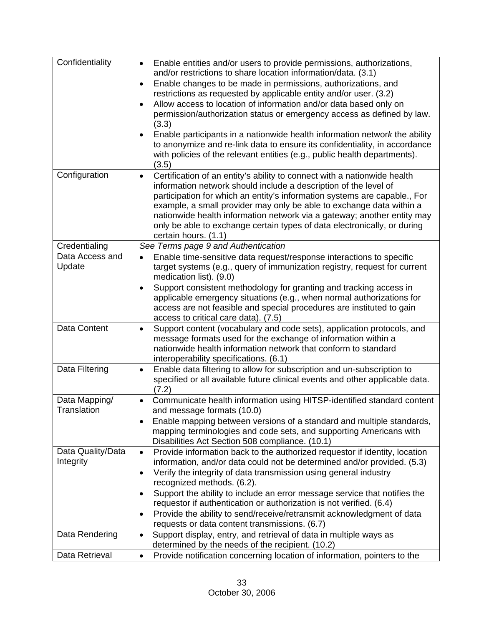| Confidentiality                | Enable entities and/or users to provide permissions, authorizations,<br>$\bullet$<br>and/or restrictions to share location information/data. (3.1)<br>Enable changes to be made in permissions, authorizations, and<br>٠<br>restrictions as requested by applicable entity and/or user. (3.2)<br>Allow access to location of information and/or data based only on<br>٠<br>permission/authorization status or emergency access as defined by law.<br>(3.3)<br>Enable participants in a nationwide health information network the ability<br>to anonymize and re-link data to ensure its confidentiality, in accordance<br>with policies of the relevant entities (e.g., public health departments). |
|--------------------------------|-----------------------------------------------------------------------------------------------------------------------------------------------------------------------------------------------------------------------------------------------------------------------------------------------------------------------------------------------------------------------------------------------------------------------------------------------------------------------------------------------------------------------------------------------------------------------------------------------------------------------------------------------------------------------------------------------------|
| Configuration                  | (3.5)<br>Certification of an entity's ability to connect with a nationwide health<br>$\bullet$<br>information network should include a description of the level of<br>participation for which an entity's information systems are capable., For<br>example, a small provider may only be able to exchange data within a<br>nationwide health information network via a gateway; another entity may<br>only be able to exchange certain types of data electronically, or during<br>certain hours. (1.1)                                                                                                                                                                                              |
| Credentialing                  | See Terms page 9 and Authentication                                                                                                                                                                                                                                                                                                                                                                                                                                                                                                                                                                                                                                                                 |
| Data Access and<br>Update      | Enable time-sensitive data request/response interactions to specific<br>$\bullet$<br>target systems (e.g., query of immunization registry, request for current<br>medication list). (9.0)<br>Support consistent methodology for granting and tracking access in<br>applicable emergency situations (e.g., when normal authorizations for<br>access are not feasible and special procedures are instituted to gain<br>access to critical care data). (7.5)                                                                                                                                                                                                                                           |
| Data Content                   | Support content (vocabulary and code sets), application protocols, and<br>$\bullet$<br>message formats used for the exchange of information within a<br>nationwide health information network that conform to standard<br>interoperability specifications. (6.1)                                                                                                                                                                                                                                                                                                                                                                                                                                    |
| Data Filtering                 | Enable data filtering to allow for subscription and un-subscription to<br>٠<br>specified or all available future clinical events and other applicable data.<br>(7.2)                                                                                                                                                                                                                                                                                                                                                                                                                                                                                                                                |
| Data Mapping/<br>Translation   | Communicate health information using HITSP-identified standard content<br>$\bullet$<br>and message formats (10.0)<br>Enable mapping between versions of a standard and multiple standards,<br>mapping terminologies and code sets, and supporting Americans with<br>Disabilities Act Section 508 compliance. (10.1)                                                                                                                                                                                                                                                                                                                                                                                 |
| Data Quality/Data<br>Integrity | Provide information back to the authorized requestor if identity, location<br>$\bullet$<br>information, and/or data could not be determined and/or provided. (5.3)<br>Verify the integrity of data transmission using general industry<br>٠<br>recognized methods. (6.2).<br>Support the ability to include an error message service that notifies the<br>٠<br>requestor if authentication or authorization is not verified. (6.4)<br>Provide the ability to send/receive/retransmit acknowledgment of data<br>٠<br>requests or data content transmissions. (6.7)                                                                                                                                   |
| Data Rendering                 | Support display, entry, and retrieval of data in multiple ways as<br>$\bullet$<br>determined by the needs of the recipient. (10.2)                                                                                                                                                                                                                                                                                                                                                                                                                                                                                                                                                                  |
| Data Retrieval                 | Provide notification concerning location of information, pointers to the<br>$\bullet$                                                                                                                                                                                                                                                                                                                                                                                                                                                                                                                                                                                                               |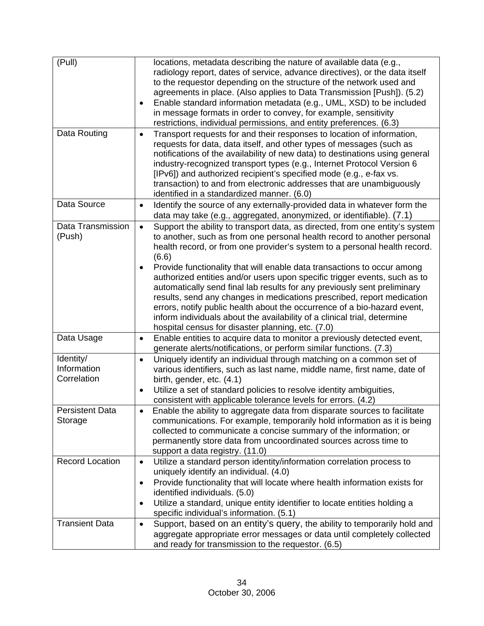| (Pull)                                  | locations, metadata describing the nature of available data (e.g.,<br>radiology report, dates of service, advance directives), or the data itself<br>to the requestor depending on the structure of the network used and<br>agreements in place. (Also applies to Data Transmission [Push]). (5.2)<br>Enable standard information metadata (e.g., UML, XSD) to be included<br>in message formats in order to convey, for example, sensitivity<br>restrictions, individual permissions, and entity preferences. (6.3) |
|-----------------------------------------|----------------------------------------------------------------------------------------------------------------------------------------------------------------------------------------------------------------------------------------------------------------------------------------------------------------------------------------------------------------------------------------------------------------------------------------------------------------------------------------------------------------------|
| Data Routing                            | Transport requests for and their responses to location of information,<br>$\bullet$<br>requests for data, data itself, and other types of messages (such as<br>notifications of the availability of new data) to destinations using general<br>industry-recognized transport types (e.g., Internet Protocol Version 6<br>[IPv6]) and authorized recipient's specified mode (e.g., e-fax vs.<br>transaction) to and from electronic addresses that are unambiguously<br>identified in a standardized manner. (6.0)    |
| Data Source                             | Identify the source of any externally-provided data in whatever form the<br>$\bullet$<br>data may take (e.g., aggregated, anonymized, or identifiable). (7.1)                                                                                                                                                                                                                                                                                                                                                        |
| Data Transmission<br>(Push)             | Support the ability to transport data, as directed, from one entity's system<br>$\bullet$<br>to another, such as from one personal health record to another personal<br>health record, or from one provider's system to a personal health record.<br>(6.6)<br>Provide functionality that will enable data transactions to occur among<br>$\bullet$<br>authorized entities and/or users upon specific trigger events, such as to<br>automatically send final lab results for any previously sent preliminary          |
|                                         | results, send any changes in medications prescribed, report medication<br>errors, notify public health about the occurrence of a bio-hazard event,<br>inform individuals about the availability of a clinical trial, determine<br>hospital census for disaster planning, etc. (7.0)                                                                                                                                                                                                                                  |
| Data Usage                              | Enable entities to acquire data to monitor a previously detected event,<br>$\bullet$<br>generate alerts/notifications, or perform similar functions. (7.3)                                                                                                                                                                                                                                                                                                                                                           |
| Identity/<br>Information<br>Correlation | Uniquely identify an individual through matching on a common set of<br>$\bullet$<br>various identifiers, such as last name, middle name, first name, date of<br>birth, gender, etc. (4.1)<br>Utilize a set of standard policies to resolve identity ambiguities,<br>$\bullet$<br>consistent with applicable tolerance levels for errors. (4.2)                                                                                                                                                                       |
| <b>Persistent Data</b><br>Storage       | Enable the ability to aggregate data from disparate sources to facilitate<br>communications. For example, temporarily hold information as it is being<br>collected to communicate a concise summary of the information; or<br>permanently store data from uncoordinated sources across time to<br>support a data registry. (11.0)                                                                                                                                                                                    |
| <b>Record Location</b>                  | Utilize a standard person identity/information correlation process to<br>$\bullet$<br>uniquely identify an individual. (4.0)<br>Provide functionality that will locate where health information exists for<br>$\bullet$<br>identified individuals. (5.0)<br>Utilize a standard, unique entity identifier to locate entities holding a<br>$\bullet$<br>specific individual's information. (5.1)                                                                                                                       |
| <b>Transient Data</b>                   | Support, based on an entity's query, the ability to temporarily hold and<br>$\bullet$<br>aggregate appropriate error messages or data until completely collected<br>and ready for transmission to the requestor. (6.5)                                                                                                                                                                                                                                                                                               |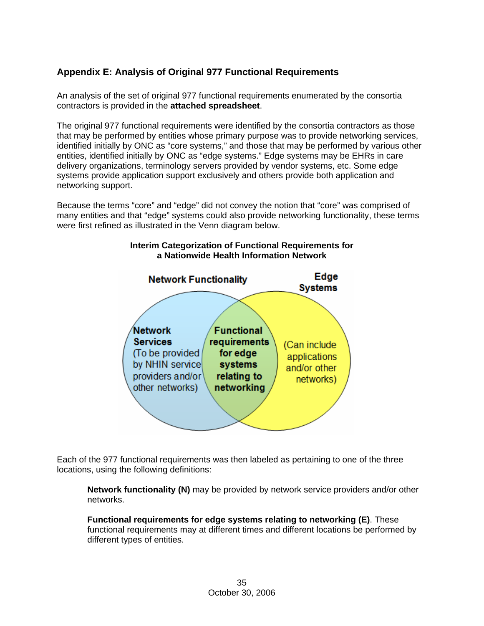### **Appendix E: Analysis of Original 977 Functional Requirements**

An analysis of the set of original 977 functional requirements enumerated by the consortia contractors is provided in the **attached spreadsheet**.

The original 977 functional requirements were identified by the consortia contractors as those that may be performed by entities whose primary purpose was to provide networking services, identified initially by ONC as "core systems," and those that may be performed by various other entities, identified initially by ONC as "edge systems." Edge systems may be EHRs in care delivery organizations, terminology servers provided by vendor systems, etc. Some edge systems provide application support exclusively and others provide both application and networking support.

Because the terms "core" and "edge" did not convey the notion that "core" was comprised of many entities and that "edge" systems could also provide networking functionality, these terms were first refined as illustrated in the Venn diagram below.

## **Interim Categorization of Functional Requirements for a Nationwide Health Information Network**



Each of the 977 functional requirements was then labeled as pertaining to one of the three locations, using the following definitions:

**Network functionality (N)** may be provided by network service providers and/or other networks.

**Functional requirements for edge systems relating to networking (E)**. These functional requirements may at different times and different locations be performed by different types of entities.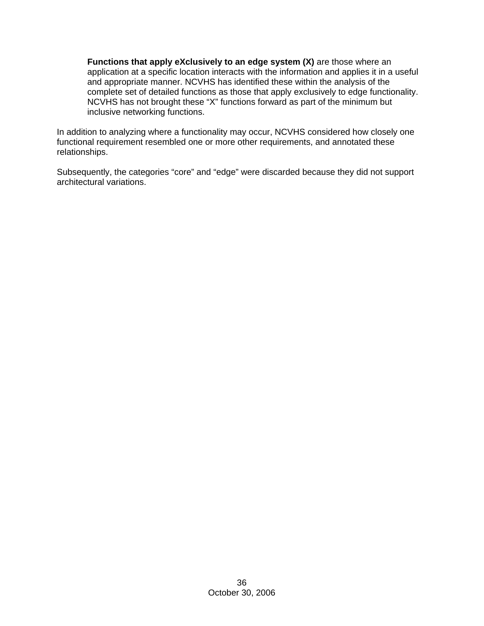**Functions that apply eXclusively to an edge system (X)** are those where an application at a specific location interacts with the information and applies it in a useful and appropriate manner. NCVHS has identified these within the analysis of the complete set of detailed functions as those that apply exclusively to edge functionality. NCVHS has not brought these "X" functions forward as part of the minimum but inclusive networking functions.

In addition to analyzing where a functionality may occur, NCVHS considered how closely one functional requirement resembled one or more other requirements, and annotated these relationships.

Subsequently, the categories "core" and "edge" were discarded because they did not support architectural variations.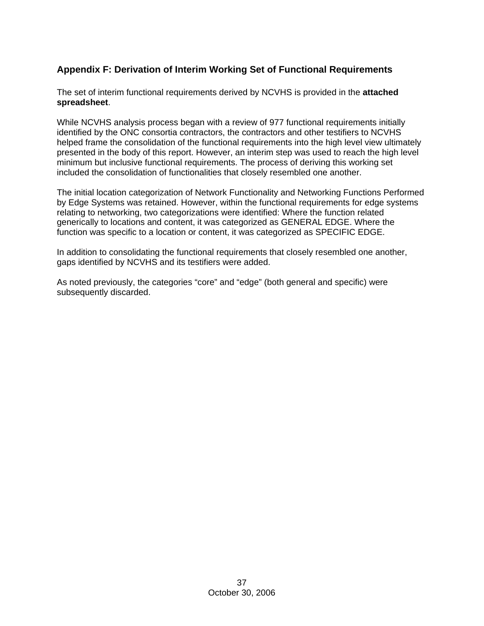### **Appendix F: Derivation of Interim Working Set of Functional Requirements**

The set of interim functional requirements derived by NCVHS is provided in the **attached spreadsheet**.

While NCVHS analysis process began with a review of 977 functional requirements initially identified by the ONC consortia contractors, the contractors and other testifiers to NCVHS helped frame the consolidation of the functional requirements into the high level view ultimately presented in the body of this report. However, an interim step was used to reach the high level minimum but inclusive functional requirements. The process of deriving this working set included the consolidation of functionalities that closely resembled one another.

The initial location categorization of Network Functionality and Networking Functions Performed by Edge Systems was retained. However, within the functional requirements for edge systems relating to networking, two categorizations were identified: Where the function related generically to locations and content, it was categorized as GENERAL EDGE. Where the function was specific to a location or content, it was categorized as SPECIFIC EDGE.

In addition to consolidating the functional requirements that closely resembled one another, gaps identified by NCVHS and its testifiers were added.

As noted previously, the categories "core" and "edge" (both general and specific) were subsequently discarded.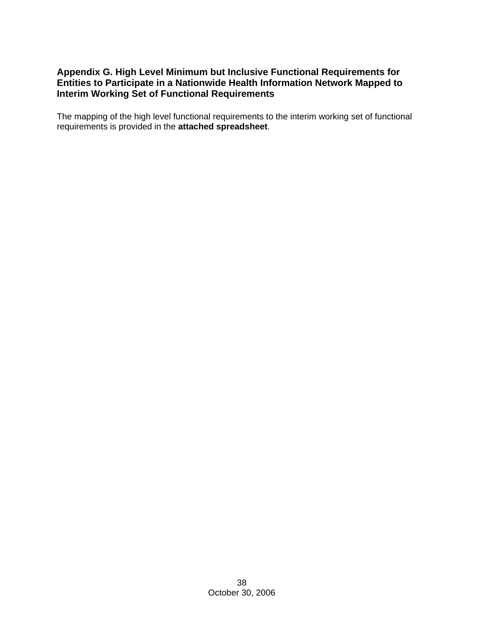### **Appendix G. High Level Minimum but Inclusive Functional Requirements for Entities to Participate in a Nationwide Health Information Network Mapped to Interim Working Set of Functional Requirements**

The mapping of the high level functional requirements to the interim working set of functional requirements is provided in the **attached spreadsheet**.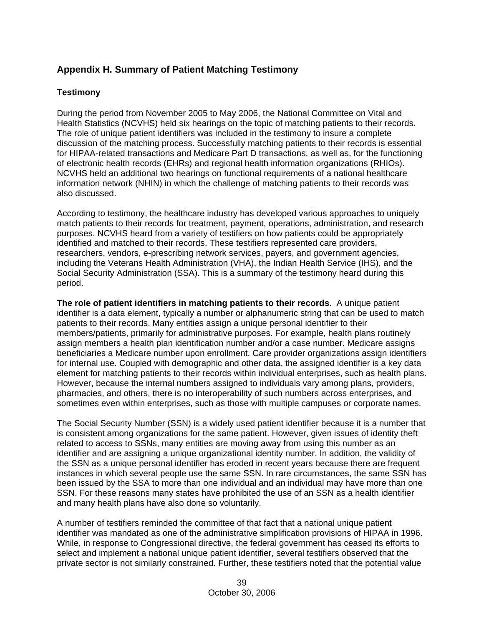### **Appendix H. Summary of Patient Matching Testimony**

### **Testimony**

During the period from November 2005 to May 2006, the National Committee on Vital and Health Statistics (NCVHS) held six hearings on the topic of matching patients to their records. The role of unique patient identifiers was included in the testimony to insure a complete discussion of the matching process. Successfully matching patients to their records is essential for HIPAA-related transactions and Medicare Part D transactions, as well as, for the functioning of electronic health records (EHRs) and regional health information organizations (RHIOs). NCVHS held an additional two hearings on functional requirements of a national healthcare information network (NHIN) in which the challenge of matching patients to their records was also discussed.

According to testimony, the healthcare industry has developed various approaches to uniquely match patients to their records for treatment, payment, operations, administration, and research purposes. NCVHS heard from a variety of testifiers on how patients could be appropriately identified and matched to their records. These testifiers represented care providers, researchers, vendors, e-prescribing network services, payers, and government agencies, including the Veterans Health Administration (VHA), the Indian Health Service (IHS), and the Social Security Administration (SSA). This is a summary of the testimony heard during this period.

**The role of patient identifiers in matching patients to their records**. A unique patient identifier is a data element, typically a number or alphanumeric string that can be used to match patients to their records. Many entities assign a unique personal identifier to their members/patients, primarily for administrative purposes. For example, health plans routinely assign members a health plan identification number and/or a case number. Medicare assigns beneficiaries a Medicare number upon enrollment. Care provider organizations assign identifiers for internal use. Coupled with demographic and other data, the assigned identifier is a key data element for matching patients to their records within individual enterprises, such as health plans. However, because the internal numbers assigned to individuals vary among plans, providers, pharmacies, and others, there is no interoperability of such numbers across enterprises, and sometimes even within enterprises, such as those with multiple campuses or corporate names.

The Social Security Number (SSN) is a widely used patient identifier because it is a number that is consistent among organizations for the same patient. However, given issues of identity theft related to access to SSNs, many entities are moving away from using this number as an identifier and are assigning a unique organizational identity number. In addition, the validity of the SSN as a unique personal identifier has eroded in recent years because there are frequent instances in which several people use the same SSN. In rare circumstances, the same SSN has been issued by the SSA to more than one individual and an individual may have more than one SSN. For these reasons many states have prohibited the use of an SSN as a health identifier and many health plans have also done so voluntarily.

A number of testifiers reminded the committee of that fact that a national unique patient identifier was mandated as one of the administrative simplification provisions of HIPAA in 1996. While, in response to Congressional directive, the federal government has ceased its efforts to select and implement a national unique patient identifier, several testifiers observed that the private sector is not similarly constrained. Further, these testifiers noted that the potential value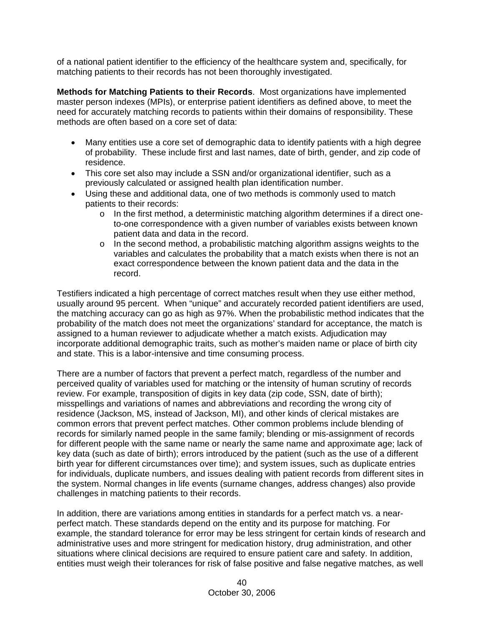of a national patient identifier to the efficiency of the healthcare system and, specifically, for matching patients to their records has not been thoroughly investigated.

**Methods for Matching Patients to their Records**. Most organizations have implemented master person indexes (MPIs), or enterprise patient identifiers as defined above, to meet the need for accurately matching records to patients within their domains of responsibility. These methods are often based on a core set of data:

- Many entities use a core set of demographic data to identify patients with a high degree of probability. These include first and last names, date of birth, gender, and zip code of residence.
- This core set also may include a SSN and/or organizational identifier, such as a previously calculated or assigned health plan identification number.
- Using these and additional data, one of two methods is commonly used to match patients to their records:
	- o In the first method, a deterministic matching algorithm determines if a direct oneto-one correspondence with a given number of variables exists between known patient data and data in the record.
	- $\circ$  In the second method, a probabilistic matching algorithm assigns weights to the variables and calculates the probability that a match exists when there is not an exact correspondence between the known patient data and the data in the record.

Testifiers indicated a high percentage of correct matches result when they use either method, usually around 95 percent. When "unique" and accurately recorded patient identifiers are used, the matching accuracy can go as high as 97%. When the probabilistic method indicates that the probability of the match does not meet the organizations' standard for acceptance, the match is assigned to a human reviewer to adjudicate whether a match exists. Adjudication may incorporate additional demographic traits, such as mother's maiden name or place of birth city and state. This is a labor-intensive and time consuming process.

There are a number of factors that prevent a perfect match, regardless of the number and perceived quality of variables used for matching or the intensity of human scrutiny of records review. For example, transposition of digits in key data (zip code, SSN, date of birth); misspellings and variations of names and abbreviations and recording the wrong city of residence (Jackson, MS, instead of Jackson, MI), and other kinds of clerical mistakes are common errors that prevent perfect matches. Other common problems include blending of records for similarly named people in the same family; blending or mis-assignment of records for different people with the same name or nearly the same name and approximate age; lack of key data (such as date of birth); errors introduced by the patient (such as the use of a different birth year for different circumstances over time); and system issues, such as duplicate entries for individuals, duplicate numbers, and issues dealing with patient records from different sites in the system. Normal changes in life events (surname changes, address changes) also provide challenges in matching patients to their records.

In addition, there are variations among entities in standards for a perfect match vs. a nearperfect match. These standards depend on the entity and its purpose for matching. For example, the standard tolerance for error may be less stringent for certain kinds of research and administrative uses and more stringent for medication history, drug administration, and other situations where clinical decisions are required to ensure patient care and safety. In addition, entities must weigh their tolerances for risk of false positive and false negative matches, as well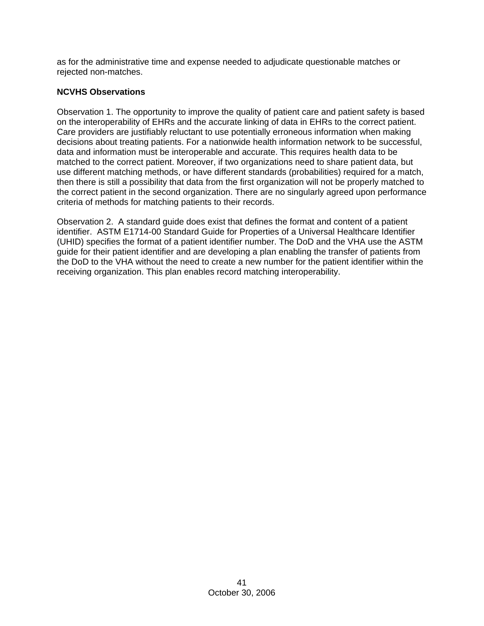as for the administrative time and expense needed to adjudicate questionable matches or rejected non-matches.

### **NCVHS Observations**

Observation 1. The opportunity to improve the quality of patient care and patient safety is based on the interoperability of EHRs and the accurate linking of data in EHRs to the correct patient. Care providers are justifiably reluctant to use potentially erroneous information when making decisions about treating patients. For a nationwide health information network to be successful, data and information must be interoperable and accurate. This requires health data to be matched to the correct patient. Moreover, if two organizations need to share patient data, but use different matching methods, or have different standards (probabilities) required for a match, then there is still a possibility that data from the first organization will not be properly matched to the correct patient in the second organization. There are no singularly agreed upon performance criteria of methods for matching patients to their records.

Observation 2. A standard guide does exist that defines the format and content of a patient identifier. ASTM E1714-00 Standard Guide for Properties of a Universal Healthcare Identifier (UHID) specifies the format of a patient identifier number. The DoD and the VHA use the ASTM guide for their patient identifier and are developing a plan enabling the transfer of patients from the DoD to the VHA without the need to create a new number for the patient identifier within the receiving organization. This plan enables record matching interoperability.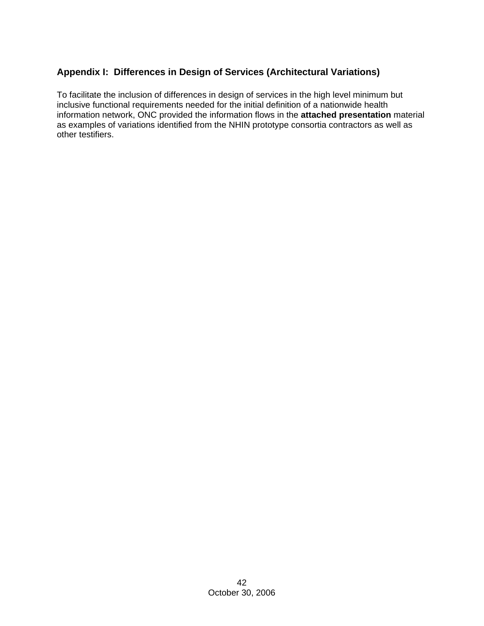### **Appendix I: Differences in Design of Services (Architectural Variations)**

To facilitate the inclusion of differences in design of services in the high level minimum but inclusive functional requirements needed for the initial definition of a nationwide health information network, ONC provided the information flows in the **attached presentation** material as examples of variations identified from the NHIN prototype consortia contractors as well as other testifiers.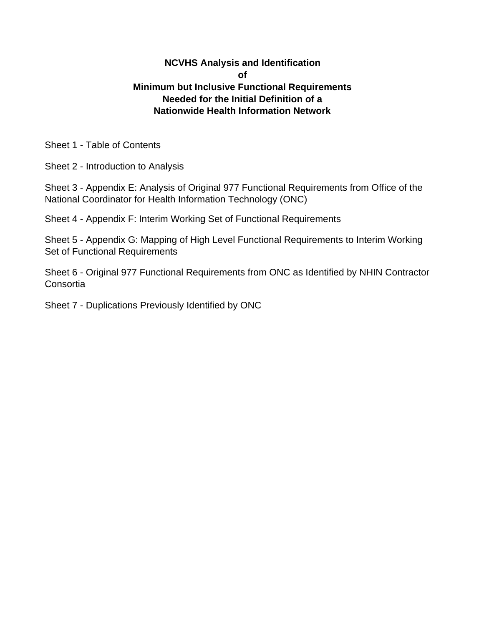### **NCVHS Analysis and Identification of Minimum but Inclusive Functional Requirements Needed for the Initial Definition of a Nationwide Health Information Network**

Sheet 1 - Table of Contents

Sheet 2 - Introduction to Analysis

Sheet 3 - Appendix E: Analysis of Original 977 Functional Requirements from Office of the National Coordinator for Health Information Technology (ONC)

Sheet 4 - Appendix F: Interim Working Set of Functional Requirements

Sheet 5 - Appendix G: Mapping of High Level Functional Requirements to Interim Working Set of Functional Requirements

Sheet 6 - Original 977 Functional Requirements from ONC as Identified by NHIN Contractor Consortia

Sheet 7 - Duplications Previously Identified by ONC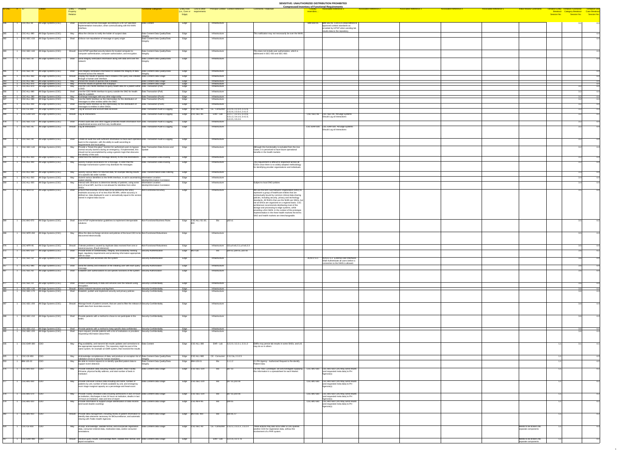| $ID-ONC$ $\#$ ID |                                                                                                          |                                                                              | Entity – Property<br>Property<br>Relation |                                                                                                                                                                                                                                                                                                       | <b>Functional Categories</b>                                                                  | (i.e., Core or requirements<br>Edge) | <b>Entity Role</b> Link to other Principal Context Context Reference                                    | <b>Comments / Rationale</b>                                                                                                                                                                                                                                                                                                                                                                                                                                                                            | <b>Compressed Inventory of Functional Requirements</b><br><b>Associated Reference 1</b><br>_Closely__<br>resembles. | <b>Associated Reference 2</b><br><b>Associated Reference 3</b> | <b>Associated Reference 4</b> | <b>Associated Reference 5</b> | <b>Initial Review Comments</b>                 | Tentative Entity Tentative Functional Tentiative Use<br>Breakout Category Breakout Case Breakout<br>Session No. Session No. Session No. |  |
|------------------|----------------------------------------------------------------------------------------------------------|------------------------------------------------------------------------------|-------------------------------------------|-------------------------------------------------------------------------------------------------------------------------------------------------------------------------------------------------------------------------------------------------------------------------------------------------------|-----------------------------------------------------------------------------------------------|--------------------------------------|---------------------------------------------------------------------------------------------------------|--------------------------------------------------------------------------------------------------------------------------------------------------------------------------------------------------------------------------------------------------------------------------------------------------------------------------------------------------------------------------------------------------------------------------------------------------------------------------------------------------------|---------------------------------------------------------------------------------------------------------------------|----------------------------------------------------------------|-------------------------------|-------------------------------|------------------------------------------------|-----------------------------------------------------------------------------------------------------------------------------------------|--|
|                  | $\begin{array}{ c c c }\n\hline\n\end{array}$ 1 $\begin{array}{ c c c }\n\hline\n\end{array}$ CSC-ALL-60 | All Edge Systems (CSC)                                                       |                                           | Shall Transmit well formed messages according to a HITSP specified<br>implementation instruction, when communicating with the NHIN                                                                                                                                                                    | Data Content                                                                                  | Edge                                 | Infrastructure                                                                                          |                                                                                                                                                                                                                                                                                                                                                                                                                                                                                                        | IBM-303-05  IBM-303-05 CDO-LIS Shall Adhere to<br>approved content standards as                                     |                                                                |                               |                               |                                                |                                                                                                                                         |  |
|                  | CSC-ALL-980                                                                                              | All Edge Systems (CSC)                                                       | May                                       | Interface<br>Allow the clinician to notify the holder of suspect data                                                                                                                                                                                                                                 | Data Content-Data Quality/Data                                                                | Edge                                 | Infrastructure                                                                                          | This notification may not necessarily be over the NHIN.                                                                                                                                                                                                                                                                                                                                                                                                                                                | provided by HITSP when sending lab<br>results data to the repository.                                               |                                                                |                               |                               |                                                |                                                                                                                                         |  |
|                  |                                                                                                          | CSC-SEC-150 All Edge Systems (CSC)                                           |                                           | Shall   Enforce non-repudiation of message or query origin                                                                                                                                                                                                                                            | Data Content-Data Quality/Data                                                                | Edge                                 | Infrastructure                                                                                          |                                                                                                                                                                                                                                                                                                                                                                                                                                                                                                        |                                                                                                                     |                                                                |                               |                               |                                                |                                                                                                                                         |  |
|                  |                                                                                                          | CSC-SEC-160 All Edge Systems (CSC)                                           |                                           | Should Use HITSP-specified security tokens for trusted computer-to-<br>computer authentication, computer authorization, and encryption.                                                                                                                                                               | Data Content-Data Quality/Data<br>∩tegrity                                                    | Edge                                 | Infrastructure                                                                                          | This does not include user authorization, which is<br>addressed in SEC-050 and SEC-060.                                                                                                                                                                                                                                                                                                                                                                                                                |                                                                                                                     |                                                                |                               |                               |                                                |                                                                                                                                         |  |
|                  | CSC-SEC-30                                                                                               | All Edge Systems (CSC)                                                       |                                           | Shall Send integrity verification information along with data sent over the<br><b>networl</b>                                                                                                                                                                                                         | Data Content-Data Quality/Data                                                                | Edge                                 | Infrastructure                                                                                          |                                                                                                                                                                                                                                                                                                                                                                                                                                                                                                        |                                                                                                                     |                                                                |                               |                               |                                                |                                                                                                                                         |  |
|                  | CSC-SEC-40                                                                                               | All Edge Systems (CSC)                                                       |                                           | Shall Use integrity verification information to validate the integrity of data  Data Content-Data Quality/Data<br>received across the network                                                                                                                                                         |                                                                                               | Edge                                 | Infrastructure                                                                                          |                                                                                                                                                                                                                                                                                                                                                                                                                                                                                                        |                                                                                                                     |                                                                |                               |                               |                                                |                                                                                                                                         |  |
|                  |                                                                                                          | CSC-ALL-950   All Edge Systems (CSC)<br>CSC-ALL-960 All Edge Systems (CSC)   | Should                                    | Display the results of queries that it initiates if the query was initiated Data Content-Data Usage<br>through a human user interface.<br>May Persist the results of queries that it initiates.                                                                                                       | Data Content-Data Usage                                                                       | Edge<br>Edge                         | Infrastructure<br>Infrastructure                                                                        |                                                                                                                                                                                                                                                                                                                                                                                                                                                                                                        |                                                                                                                     |                                                                |                               |                               |                                                |                                                                                                                                         |  |
|                  |                                                                                                          | CSC-ALL-970 All Edge Systems (CSC)<br>CSC-ALL-870 All Edge Systems (CSC)     |                                           | May Print the results of queries that it displays<br>May Use the CDO NHIN Interface to query health data for a patient within Data Transaction-(Pull)                                                                                                                                                 | Data Content-Data Usage                                                                       | Edge<br>Edge                         | Infrastructure<br>Infrastructure                                                                        |                                                                                                                                                                                                                                                                                                                                                                                                                                                                                                        |                                                                                                                     |                                                                |                               |                               |                                                |                                                                                                                                         |  |
|                  |                                                                                                          | CSC-ALL-880   All Edge Systems (CSC)<br>CSC-ALL-380 All Edge Systems (CSC)   | Shall                                     | Use the CDO NHIN Interface to query outside the SNO for health<br>data for a patient.<br>May Exchange messages with any other edge entity                                                                                                                                                             | Data Transaction-(Pull)<br>Data Transaction-(Push)                                            | Edge<br>Edge                         | Infrastructure<br>Infrastructure                                                                        |                                                                                                                                                                                                                                                                                                                                                                                                                                                                                                        |                                                                                                                     |                                                                |                               |                               |                                                | 3.2                                                                                                                                     |  |
|                  |                                                                                                          | CSC-ALL-390   All Edge Systems (CSC)<br>CSC-ALL-400   All Edge Systems (CSC) |                                           | Use the NHIN Interface as the intermediary for the distribution of<br>messages to other entities within the SNO.<br>Use the NHIN Interface as the intermediary for the distribution of                                                                                                                | Data Transaction-(Push)<br>Data Transaction-(Push)                                            | Edge<br>Edge                         | Infrastructure<br>Infrastructure                                                                        |                                                                                                                                                                                                                                                                                                                                                                                                                                                                                                        |                                                                                                                     |                                                                |                               |                               |                                                |                                                                                                                                         |  |
|                  |                                                                                                          | CSC-CE-640   All Edge Systems (CSC)                                          |                                           | messages to entities in other SNOs.<br>Shall Log all account and account data accesses                                                                                                                                                                                                                | Data Transaction-Audit & Logging                                                              | Edge CSC-SEC-85                      | CE - Consumer 2.2.2.6, 2.2.3.4, 2.2.2.6,                                                                |                                                                                                                                                                                                                                                                                                                                                                                                                                                                                                        |                                                                                                                     |                                                                |                               |                               |                                                |                                                                                                                                         |  |
|                  |                                                                                                          | CSC-EHR-500   All Edge Systems (CSC)                                         |                                           | Should   Log all interactions.                                                                                                                                                                                                                                                                        | Data Transaction-Audit & Logging                                                              | Edge CSC-SEC-85                      | 2.3.2.6, 2.3.3.4, 2.4.1.5<br>EHR - Lab $\vert$ 3.2.1.7, 3.2.3.5, 3.2.4.6,<br>3.3.1.3, 3.4.1.6, 3.4.2.3, |                                                                                                                                                                                                                                                                                                                                                                                                                                                                                                        | CSC-SEC-85 CSC-SEC-85 All Edge Systems<br>Should Log all interactions                                               |                                                                |                               |                               |                                                |                                                                                                                                         |  |
|                  |                                                                                                          | CSC-SEC-110   All Edge Systems (CSC)                                         |                                           | Shall Protect audit data and other logged protected health information from Data Transaction-Audit & Logging<br>unauthorized access and from any modification.                                                                                                                                        |                                                                                               | Edge                                 | 3.4.3.5, 3.5.2.6<br>Infrastructure                                                                      |                                                                                                                                                                                                                                                                                                                                                                                                                                                                                                        |                                                                                                                     |                                                                |                               |                               |                                                |                                                                                                                                         |  |
|                  |                                                                                                          | CSC-SEC-85   All Edge Systems (CSC)                                          |                                           | Should   Log all interactions.                                                                                                                                                                                                                                                                        | Data Transaction-Audit & Logging                                                              | Edge                                 | Infrastructure                                                                                          |                                                                                                                                                                                                                                                                                                                                                                                                                                                                                                        | CSC-EHR-500 CSC-EHR-500 All Edge Systems<br>Should Log all interactions                                             |                                                                |                               |                               |                                                |                                                                                                                                         |  |
|                  |                                                                                                          | CSC-SEC-90   All Edge Systems (CSC)                                          |                                           | Shall Create an audit trail with sufficient information to trace each operation Data Transaction-Audit & Logging<br>back to the originator, with the ability to audit according to<br>requirements and local policy.                                                                                  |                                                                                               | Edge                                 | Infrastructure                                                                                          |                                                                                                                                                                                                                                                                                                                                                                                                                                                                                                        |                                                                                                                     |                                                                |                               |                               |                                                |                                                                                                                                         |  |
|                  |                                                                                                          | CSC-SEC-140   All Edge Systems (CSC)                                         | Mav                                       | Provide a "break-the-glass" function for authorized users to bypass   Data Transaction-Data Access and<br>$\vert$ normal security barriers during an emergency. If implemented, this $\vert$ Update<br>should not be accomplished by using a generic login that obscures<br>the identity of the user. |                                                                                               | Edge                                 | Infrastructure                                                                                          | Although this functionality is excluded from the Use<br>Cases, it is perceived to have future operational<br>benefits in the health markets                                                                                                                                                                                                                                                                                                                                                            |                                                                                                                     |                                                                |                               |                               |                                                |                                                                                                                                         |  |
|                  |                                                                                                          | CSC-ALL-420   All Edge Systems (CSC)<br>CSC-ALL-440 All Edge Systems (CSC)   | May                                       | Determine the method of message delivery to the final destinations.   Data Transaction-Data Routing<br>May Specify multiple destinations for a message, in order that the                                                                                                                             | Data Transaction-Data Routing                                                                 | Edge<br>Edge                         | Infrastructure<br>Infrastructure                                                                        | This requirement is difficult to implement across all                                                                                                                                                                                                                                                                                                                                                                                                                                                  |                                                                                                                     |                                                                |                               |                               |                                                |                                                                                                                                         |  |
|                  |                                                                                                          |                                                                              |                                           | message transmission system may distribute the messages                                                                                                                                                                                                                                               |                                                                                               |                                      |                                                                                                         | CDOs since there is no widely adopted methodology<br>for identifying provider organizations and individuals.                                                                                                                                                                                                                                                                                                                                                                                           |                                                                                                                     |                                                                |                               |                               |                                                |                                                                                                                                         |  |
|                  |                                                                                                          | CSC-ALL-930 All Edge Systems (CSC)<br>CSC-ALL-910   All Edge Systems (CSC)   |                                           | May Specify various filters for returned data, for example filtering results Data Transformation-Data Filtering<br>on a specific lab order number.<br>Submit various identifiers to the NHIN Interface, to aid in ascertaining Information Location-                                                  |                                                                                               | Edge<br>Edge                         | Infrastructure<br>Infrastructure                                                                        |                                                                                                                                                                                                                                                                                                                                                                                                                                                                                                        |                                                                                                                     |                                                                |                               |                               |                                                |                                                                                                                                         |  |
|                  |                                                                                                          | CSC-ALL-920   All Edge Systems (CSC)                                         |                                           | patient identity.<br>Interact with clinicians to determine identity of patients, using some<br>form of local MPI, but this is not allowed for identities from other                                                                                                                                   | Identity/Information Correlation<br>Information Location-<br>Identity/Information Correlation | Edge                                 | Infrastructure                                                                                          | Subject to local SNO policies                                                                                                                                                                                                                                                                                                                                                                                                                                                                          |                                                                                                                     |                                                                |                               |                               |                                                |                                                                                                                                         |  |
|                  | CSC-NFR-10                                                                                               | All Edge Systems (CSC)                                                       | Shall                                     | Ensure that essential clinical data (to be defined by the SNO)                                                                                                                                                                                                                                        | Non-Functional-Accuracy                                                                       | Edge                                 | Infrastructure                                                                                          | We use the term Sub-Network Organization (SNO) to                                                                                                                                                                                                                                                                                                                                                                                                                                                      |                                                                                                                     |                                                                |                               |                               |                                                |                                                                                                                                         |  |
|                  |                                                                                                          |                                                                              |                                           | maintains accuracy to of no less than 99.99%, where accuracy is<br>defined as: data displayed to user is semantically equal to the version<br>stored in original data source                                                                                                                          |                                                                                               |                                      |                                                                                                         | represent a group of healthcare entities that are<br>contractually bound by common clinical data sharing<br>policies, including security, privacy and technology<br>standards. All RHIOs that use the NHIN are SNOs, but<br>not all SNOs are organized on a regional basis. CSC<br>architecture recommends distributing most of the<br>storage and processing to edge systems, while<br>providing a thin NHIN. In the context of the prototype<br>implementation in the three health markets the terms |                                                                                                                     |                                                                |                               |                               |                                                |                                                                                                                                         |  |
|                  |                                                                                                          | CSC-BIO-070 All Edge Systems (CSC)                                           |                                           | Shall Use HITSP implementation guidelines to implement interoperable<br>solutior                                                                                                                                                                                                                      | Non-Functional-Business Rules                                                                 | Edge CSC-ALL-50, 60,                 | p03s1                                                                                                   | SNO and health markets are interchangeable.                                                                                                                                                                                                                                                                                                                                                                                                                                                            |                                                                                                                     |                                                                |                               |                               |                                                |                                                                                                                                         |  |
|                  |                                                                                                          | CSC-NFR-260   All Edge Systems (CSC)                                         |                                           | May $\vert$ Allow the data exchange services and policies of the local CDO to be Non-Functional-Robustness<br>discovered electronically                                                                                                                                                               |                                                                                               | Edge                                 | Infrastructure                                                                                          |                                                                                                                                                                                                                                                                                                                                                                                                                                                                                                        |                                                                                                                     |                                                                |                               |                               |                                                |                                                                                                                                         |  |
|                  |                                                                                                          |                                                                              |                                           |                                                                                                                                                                                                                                                                                                       |                                                                                               |                                      |                                                                                                         |                                                                                                                                                                                                                                                                                                                                                                                                                                                                                                        |                                                                                                                     |                                                                |                               |                               |                                                |                                                                                                                                         |  |
|                  |                                                                                                          | CSC-NFR-95   All Edge Systems (CSC)<br>CSC-BIO-120 All Edge Systems (CSC)    | Should                                    | Tolerate problems caused by duplicate data received from one or $\blacksquare$ Non-Functional-Robustness<br>several sources [Fault tolerance]<br>Shall Provide levels of confidentiality, integrity, and availability meeting Security-Authentication                                                 |                                                                                               | Edge<br>Edge BIO-530                 | Infrastructure $ CE-p.9.86.2.3, p.9.86.3.3$<br>$p04$ s2, p09 s5, p10 s6<br>Bio                          |                                                                                                                                                                                                                                                                                                                                                                                                                                                                                                        |                                                                                                                     |                                                                |                               |                               |                                                |                                                                                                                                         |  |
|                  |                                                                                                          | CSC-SEC-50 All Edge Systems (CSC)                                            |                                           | legal, regulatory requirements and protecting information appropriate  <br>with its value<br>Shall Authenticate user accesses into the system                                                                                                                                                         | Security-Authentication                                                                       | Edge                                 | Infrastructure                                                                                          |                                                                                                                                                                                                                                                                                                                                                                                                                                                                                                        | ACN-07.6.1 ACN-07.6.1 External User Interfaces                                                                      |                                                                |                               |                               |                                                |                                                                                                                                         |  |
|                  |                                                                                                          | CSC-ALL-890   All Edge Systems (CSC)                                         |                                           | Send the identity and institution of the initiating user with each query Security-Authorization                                                                                                                                                                                                       |                                                                                               | Edge                                 | Infrastructure                                                                                          |                                                                                                                                                                                                                                                                                                                                                                                                                                                                                                        | Shall Authenticate all users before a<br>connection to the NHIN is allowed.                                         |                                                                |                               |                               |                                                |                                                                                                                                         |  |
|                  |                                                                                                          | CSC-SEC-60   All Edge Systems (CSC)                                          |                                           | Shall Establish user authorizations to use specific functions of the system Security-Authorization                                                                                                                                                                                                    |                                                                                               | Edge                                 | Infrastructure                                                                                          |                                                                                                                                                                                                                                                                                                                                                                                                                                                                                                        |                                                                                                                     |                                                                |                               |                               |                                                |                                                                                                                                         |  |
|                  | CSC-SEC-10                                                                                               | All Edge Systems (CSC)                                                       |                                           | Shall   Protect confidentiality of data and services over the network using                                                                                                                                                                                                                           | Security-Confidentiality                                                                      | Edge                                 | Infrastructure                                                                                          |                                                                                                                                                                                                                                                                                                                                                                                                                                                                                                        |                                                                                                                     |                                                                |                               |                               |                                                |                                                                                                                                         |  |
|                  |                                                                                                          | CSC-SEC-130 All Edge Systems (CSC)<br>CSC-SEC-170 All Edge Systems (CSC)     |                                           | Should   Detect network intrusions and log them.<br>Shall Establish, publish and implement security and privacy policies                                                                                                                                                                              | Security-Confidentiality<br>Security-Confidentiality                                          | Edge<br>Edge                         | Infrastructure<br>Infrastructure                                                                        |                                                                                                                                                                                                                                                                                                                                                                                                                                                                                                        |                                                                                                                     |                                                                |                               |                               |                                                |                                                                                                                                         |  |
|                  |                                                                                                          |                                                                              |                                           |                                                                                                                                                                                                                                                                                                       |                                                                                               |                                      |                                                                                                         |                                                                                                                                                                                                                                                                                                                                                                                                                                                                                                        |                                                                                                                     |                                                                |                               |                               |                                                |                                                                                                                                         |  |
|                  |                                                                                                          | CSC-SEC-200 All Edge Systems (CSC)                                           |                                           | Should Manage levels of patient consent, that are used to filter the release of Security-Confidentiality<br>health data from local data sources.                                                                                                                                                      |                                                                                               | Edge                                 | Infrastructure                                                                                          |                                                                                                                                                                                                                                                                                                                                                                                                                                                                                                        |                                                                                                                     |                                                                |                               |                               |                                                |                                                                                                                                         |  |
|                  |                                                                                                          | CSC-SEC-210 All Edge Systems (CSC)                                           |                                           | Shall Provide patients with a method to chose to not participate in the<br><b>INHIN</b>                                                                                                                                                                                                               | Security-Confidentiality                                                                      | Edge                                 | Infrastructure                                                                                          |                                                                                                                                                                                                                                                                                                                                                                                                                                                                                                        |                                                                                                                     |                                                                |                               |                               |                                                |                                                                                                                                         |  |
|                  |                                                                                                          | CSC-SEC-212   All Edge Systems (CSC)<br>CSC-SEC-220   All Edge Systems (CSC) | Shall                                     | Shall Provide patients with a method to keep specific data confidential.<br>Upon request, provide patients with a list of institutions or providers<br>requesting information about them.                                                                                                             | Security-Confidentiality<br>Security-Confidentiality                                          | Edge<br>Edge                         | Infrastructure<br>Infrastructure                                                                        |                                                                                                                                                                                                                                                                                                                                                                                                                                                                                                        |                                                                                                                     |                                                                |                               |                               |                                                |                                                                                                                                         |  |
|                  | $\overline{CSC-EHR-380}$ $\overline{CDO}$                                                                |                                                                              |                                           | May Flag availability, and transmit lab results updates and corrections to Data Content<br>the appropriate repositor(ies). The repository might be part of the<br>same system, for example an EMR system, that received the results.                                                                  |                                                                                               | Edge CSC-ALL-380                     | EHR - Lab $\vert$ 3.2.2.0, 3.2.2.1, 3.3.1.2                                                             | <b>EMRs may persist lab results in some SNOs, and LIS</b><br>may do so in others                                                                                                                                                                                                                                                                                                                                                                                                                       |                                                                                                                     |                                                                |                               |                               |                                                |                                                                                                                                         |  |
|                  | CSC-CE-850                                                                                               | <b>CDC</b>                                                                   |                                           | May Acknowledge completeness of data, and produce an exception list of Data Content-Data Quality/Data<br>validation errors to allow for human resolution.                                                                                                                                             |                                                                                               | Edge CSC-ALL-980                     | CE - Consumer 2.3.2.3a, 2.3.2.5                                                                         |                                                                                                                                                                                                                                                                                                                                                                                                                                                                                                        |                                                                                                                     |                                                                |                               |                               |                                                |                                                                                                                                         |  |
|                  | <b>IBM-105-02</b>                                                                                        | - ICDC                                                                       |                                           | May Be able to receive request to re-identify specified patient data to<br>support event detection                                                                                                                                                                                                    | Data Content-Data Quality/Data                                                                | Edge   IBM-105-01                    | 1.z.1.2                                                                                                 | 5.1 PH Agency - Authorized Request to Re-identify<br><b>Patient Data</b>                                                                                                                                                                                                                                                                                                                                                                                                                               |                                                                                                                     |                                                                |                               |                               |                                                |                                                                                                                                         |  |
|                  | CSC-BIO-250 CDO                                                                                          |                                                                              | May                                       | Provide institution data including Hospital System, Main Facility<br>ID/name, physical facility address, and total number of beds in<br>institutior                                                                                                                                                   | Data Content-Data Usage                                                                       | Edge CSC-SEC-220                     | $p07$ s3<br>Bio                                                                                         | For the Year 1 prototype, we will investigate supplying<br>this information in a spreadsheet for each Market.                                                                                                                                                                                                                                                                                                                                                                                          | CSC-BIO-560 CSC-BIO-560 CDO May Send results<br>and requested meta data) to PH<br>Agencie(s)                        |                                                                |                               |                               |                                                |                                                                                                                                         |  |
|                  | CSC-BIO-260 CDO                                                                                          |                                                                              |                                           | May   Provide Unit-level Census Data including unit name, number of<br>patients by unit, number of beds available by unit, and emergency<br>room triage marginal capacity as a percentage and head-count                                                                                              | Data Content-Data Usage                                                                       | Edge CSC-SEC-220                     | $p07$ s3, p10 s6<br>Bio                                                                                 |                                                                                                                                                                                                                                                                                                                                                                                                                                                                                                        | CSC-BIO-560 CSC-BIO-560 CDO May Send results<br>(and requested meta data) to PH<br>Agencie(s)                       |                                                                |                               |                               |                                                |                                                                                                                                         |  |
|                  | $\big $ CSC-BIO-270 $\big $ CDO                                                                          |                                                                              |                                           | May Provide Facility Utilization Data including admissions in last 24 hours Data Content-Data Usage<br>at institution, discharges in last 24 hours at institution, deaths in last                                                                                                                     |                                                                                               | Edge CSC-SEC-220                     | $p07$ s3, p10 s6<br>Bio                                                                                 |                                                                                                                                                                                                                                                                                                                                                                                                                                                                                                        | CSC-BIO-560 CSC-BIO-560 CDO May Send results<br>$\vert$ (and requested meta data) to PH                             |                                                                |                               |                               |                                                |                                                                                                                                         |  |
|                  | CSC-BIO-310 CDO                                                                                          |                                                                              |                                           | 24 hours at institution, date and time of report<br>May Provide information to support unique identification of data records Data Content-Data Usage<br>(and avoid double counting)                                                                                                                   |                                                                                               | Edge CSC-NFR-95                      | p09s5                                                                                                   |                                                                                                                                                                                                                                                                                                                                                                                                                                                                                                        | Agencie(s)<br>CSC-BIO-560 CSC-BIO-560 CDO May Send results<br>(and requested meta data) to PH<br>Agencie(s)         |                                                                |                               |                               |                                                |                                                                                                                                         |  |
|                  | CSC-BIO-410 CDO                                                                                          |                                                                              |                                           | Should Provide data management, including review of patient information to Data Content-Data Usage<br>identify data elements necessary for BIOsurveillance, and automatic<br>sharing with Public Health Agencies                                                                                      |                                                                                               | Edge $ BIO-010, 400$                 | $p10$ s6, s7<br>Bio                                                                                     |                                                                                                                                                                                                                                                                                                                                                                                                                                                                                                        |                                                                                                                     |                                                                |                               |                               |                                                |                                                                                                                                         |  |
|                  | CSC-CE-810 CDO                                                                                           |                                                                              | May                                       | Accept, acknowledge, validate format, and incorporate registration  Data Content-Data Usage<br>data, consumer-entered data, medication data, and/or consumer<br>annotations.                                                                                                                          |                                                                                               | Edge CSC-SEC-40                      |                                                                                                         | $\vert$ CE - Consumer $\vert$ 2.3.2.2, 2.3.2.3, 2.3.2.4 These actions may also occur after a CDO queries<br>another CDO for registration data, without the<br>involvement of a PHR system.                                                                                                                                                                                                                                                                                                             |                                                                                                                     |                                                                |                               |                               | Needs to be broken into<br>separate components |                                                                                                                                         |  |
|                  | CSC-EHR-480 CDO                                                                                          |                                                                              |                                           | Should Receive query results, acknowledge them, validate their format, and Data Content-Data Usage<br>report exceptions.                                                                                                                                                                              |                                                                                               | Edge                                 | EHR - Lab 3.2.1.6, 3.2.1.7a                                                                             |                                                                                                                                                                                                                                                                                                                                                                                                                                                                                                        |                                                                                                                     |                                                                |                               |                               | Needs to be broken into<br>separate components |                                                                                                                                         |  |

1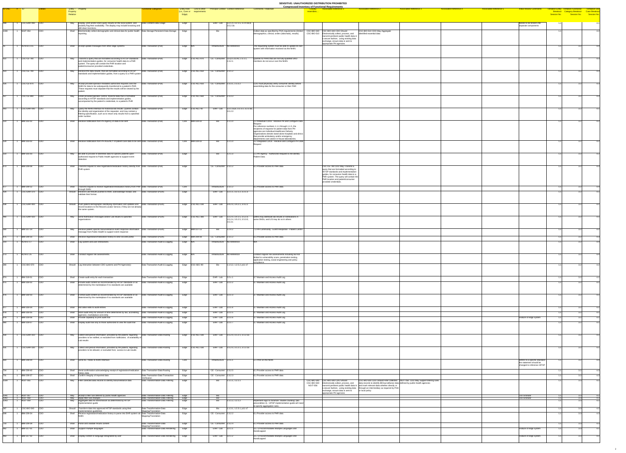|                    |                                           |                              |                                                                                                                                                                                                                                                   |                                                                                         |              |                                                 |                                                        |                                                                    |                                                                                                                                                                                                     | <u>SERSHIVER SHARSHISHLED DISTRIDS HOME ROMDITED</u><br><b>Compressed Inventory of Functional Requirements</b>                                                                                                                                       |                                                                                                  |                                                                                  |                               |                               |                                                                                         |                                              |    |
|--------------------|-------------------------------------------|------------------------------|---------------------------------------------------------------------------------------------------------------------------------------------------------------------------------------------------------------------------------------------------|-----------------------------------------------------------------------------------------|--------------|-------------------------------------------------|--------------------------------------------------------|--------------------------------------------------------------------|-----------------------------------------------------------------------------------------------------------------------------------------------------------------------------------------------------|------------------------------------------------------------------------------------------------------------------------------------------------------------------------------------------------------------------------------------------------------|--------------------------------------------------------------------------------------------------|----------------------------------------------------------------------------------|-------------------------------|-------------------------------|-----------------------------------------------------------------------------------------|----------------------------------------------|----|
| $ID-ONC$ $#$ $ID$  |                                           |                              | Entity – Property<br>Property<br>Relation                                                                                                                                                                                                         | unctional Categories                                                                    | Edge)        | (i.e., Core or requirements                     |                                                        | Entity Role Link to other Principal Context Context Reference      | <b>Comments / Rationale</b>                                                                                                                                                                         | <b>Associated Reference 1</b><br><mark>_Closely =</mark><br>resembles.                                                                                                                                                                               | <b>Associated Reference 2</b>                                                                    | <b>Associated Reference 3</b>                                                    | <b>Associated Reference 4</b> | <b>Associated Reference 5</b> | <b>Initial Review Comments</b>                                                          | <b>Tentative Entity Tentative Functional</b> |    |
| 448   1            | $\overline{CSC-EHR-490}$ $\overline{CDO}$ |                              | May   Display, print and/or store query results on the local system, and   Data Content-Data Usage                                                                                                                                                |                                                                                         | Edge         |                                                 |                                                        | EHR - Lab $\vert$ 3.2.1.4, 3.2.1.5, 3.2.4.3a,b,                    |                                                                                                                                                                                                     |                                                                                                                                                                                                                                                      |                                                                                                  |                                                                                  |                               |                               | Needs to be broken into                                                                 |                                              |    |
| 1038               | $N$ GIT-054                               | CDO                          | possibly flag their availability. The display may include browsing and<br>drill-down functions.<br>Shall Electronically collect demographic and clinical data for public health Data Storage-Persistent Data Storage                              |                                                                                         | Edge         |                                                 | BIO.                                                   | 3.5.2.3a                                                           | Collect data as specified by PHA requirements (limited CSC-BIO-340 CSC-BIO-340 CDO Should                                                                                                           |                                                                                                                                                                                                                                                      | CSC-BIO-510 CDO May Aggregate                                                                    |                                                                                  |                               |                               | separate components                                                                     |                                              |    |
|                    |                                           |                              | reporting                                                                                                                                                                                                                                         |                                                                                         |              |                                                 |                                                        |                                                                    | demographics, clinical, orders (labs/rads), results)                                                                                                                                                | CSC-BIO-510   Electronically collect, process, and<br>transmit pertinent public health data in<br>$ a$ secure fashion, using existing data<br>exchange, ensure data is sent to                                                                       | identified essential data                                                                        |                                                                                  |                               |                               |                                                                                         |                                              |    |
|                    | $ACN-02.3.15$ CDO                         |                              | Shall Accept update messages from other edge systems.                                                                                                                                                                                             | Data Transaction-(Pull)                                                                 | Edge N/A     |                                                 | Infrastructure No Reference                            |                                                                    | The requesting system must be able to update its own $\parallel$<br>system with information received via the NHIN.                                                                                  | appropriate PH agencies                                                                                                                                                                                                                              |                                                                                                  |                                                                                  |                               |                               |                                                                                         |                                              |    |
|                    |                                           |                              |                                                                                                                                                                                                                                                   |                                                                                         |              |                                                 |                                                        |                                                                    |                                                                                                                                                                                                     |                                                                                                                                                                                                                                                      |                                                                                                  |                                                                                  |                               |                               |                                                                                         |                                              |    |
| 422                | CSC-CE-780 CDO                            |                              | Transmit a query that are formatted according to HITSP standards<br>May<br>and implementation guides, for consumer health data to a PHR<br>system. The query will contain the PHR location and<br>patient/consumer provided credentials.          | Data Transaction-(Pull)                                                                 |              | Edge CSC-ALL-870                                |                                                        | CE - Consumer CE-p.5.s3.A3, 2.3.1.1,<br> 2.3.2.1                   | Queries to PHRs that are not fully-qualified SNO<br>members do not occur over the NHIN.                                                                                                             |                                                                                                                                                                                                                                                      |                                                                                                  |                                                                                  |                               |                               |                                                                                         |                                              |    |
| 423                | CSC-CE-790 CDO                            |                              | Receive the data results, that are formatted according to HITSP<br>May<br>standards and implementation guides, from a query to a PHR system                                                                                                       | Data Transaction-(Pull)                                                                 |              | Edge CSC-ALL-650                                | CE - Consumer 2.3.1.2                                  |                                                                    |                                                                                                                                                                                                     |                                                                                                                                                                                                                                                      |                                                                                                  |                                                                                  |                               |                               |                                                                                         |                                              |    |
|                    |                                           |                              |                                                                                                                                                                                                                                                   |                                                                                         |              |                                                 |                                                        |                                                                    |                                                                                                                                                                                                     |                                                                                                                                                                                                                                                      |                                                                                                  |                                                                                  |                               |                               |                                                                                         |                                              |    |
|                    | 426 1 CSC-CE-870 CDO                      |                              | May Accept provider/operator-mediated authorized requests over the Data Transaction-(Pull)<br>NHIN for data to be subsequently transferred to a patient's PHR.<br>These requests must stipulate that the results will be viewed by the            |                                                                                         |              | Edge CSC-ALL-650 CE - Consumer 2.3.3.1, 2.3.3.2 |                                                        |                                                                    | CDO must physically verify consumer identity before<br>assembling data for the consumer or their PHR                                                                                                |                                                                                                                                                                                                                                                      |                                                                                                  |                                                                                  |                               |                               |                                                                                         | 11                                           | 32 |
|                    | 427 1 CSC-CE-890 CDO                      |                              | May   Under provider/operator control, transmit data that is formatted                                                                                                                                                                            | Data Transaction-(Pull)                                                                 |              | Edge CSC-ALL-660 CE - Consumer 2.3.3.3          |                                                        |                                                                    |                                                                                                                                                                                                     |                                                                                                                                                                                                                                                      |                                                                                                  |                                                                                  |                               |                               |                                                                                         |                                              |    |
|                    |                                           |                              | according to HITSP standards and implementation guides,<br>accompanied by the patient's credentials, to a patient's PHR                                                                                                                           |                                                                                         |              |                                                 |                                                        |                                                                    |                                                                                                                                                                                                     |                                                                                                                                                                                                                                                      |                                                                                                  |                                                                                  |                               |                               |                                                                                         |                                              |    |
| $\overline{443}$ 1 | CSC-EHR-440 CDO                           |                              | May Query the NHIN Interface for historical lab results. Queries contain Data Transaction-(Pull)<br>the identity and organization of the requester, and may contain a<br>filtering specification, such as to return only results from a specified |                                                                                         |              | Edge CSC-ALL-40                                 |                                                        | EHR - Lab 3.2.1.1a,b, 3.2.3.3, 3.2.3.3a,<br>3.5.2.3                |                                                                                                                                                                                                     |                                                                                                                                                                                                                                                      |                                                                                                  |                                                                                  |                               |                               |                                                                                         |                                              |    |
|                    | 514 1 IBM-102-02 CDO                      |                              | order number.<br>Shall Receive notification from PH Agency of data to be sent                                                                                                                                                                     | Data Transaction-(Pull)                                                                 |              | $Core$  IBM-104-02                              | Bio⊟                                                   | 1.1.1.0                                                            | 2.2 Individual CDOs - Receive PH and Configure Data                                                                                                                                                 |                                                                                                                                                                                                                                                      |                                                                                                  |                                                                                  |                               |                               |                                                                                         |                                              |    |
|                    |                                           |                              |                                                                                                                                                                                                                                                   |                                                                                         |              |                                                 |                                                        |                                                                    | For reference numbers 1.1.1 through 1.1.5, the<br>recipients of requests for patient data from PH                                                                                                   |                                                                                                                                                                                                                                                      |                                                                                                  |                                                                                  |                               |                               |                                                                                         |                                              |    |
|                    |                                           |                              |                                                                                                                                                                                                                                                   |                                                                                         |              |                                                 |                                                        |                                                                    | agencies are Individual Healthcare Delivery<br>Organizations denote stand-alone hospitals and clinics<br>that provide ambulatory and/or emergency<br>departments care and/or in-house laboratories. |                                                                                                                                                                                                                                                      |                                                                                                  |                                                                                  |                               |                               |                                                                                         |                                              |    |
|                    | 529 1 IBM-103-02 CDO                      |                              | Shall Receive notification from PH AGENCY of patient care data to be sent Data Transaction-(Pull)                                                                                                                                                 |                                                                                         |              | Core IBM-104-02                                 | $\overline{Bio}$                                       | 1.2.1.0                                                            | 3.2 Integrated CDOs - Receive and Configure PH Data                                                                                                                                                 |                                                                                                                                                                                                                                                      |                                                                                                  |                                                                                  |                               |                               |                                                                                         |                                              |    |
|                    | 554 1 IBM-105-03 CDO                      |                              | $\mathsf{May}$ Be able to provide re-identified data for specific patients upon                                                                                                                                                                   | Data Transaction-(Pull)                                                                 | Edge         |                                                 | Bio                                                    | 1.2.1.3                                                            | 5.1 PH Agency - Authorized Request to Re-identify                                                                                                                                                   |                                                                                                                                                                                                                                                      |                                                                                                  |                                                                                  |                               |                               |                                                                                         |                                              |    |
|                    |                                           |                              | authorized request to Public Health agencies to support event<br>detection                                                                                                                                                                        |                                                                                         |              |                                                 |                                                        |                                                                    | <b>Patient Data</b>                                                                                                                                                                                 |                                                                                                                                                                                                                                                      |                                                                                                  |                                                                                  |                               |                               |                                                                                         |                                              |    |
|                    | 673 1 IBM-209-08 CDO                      |                              | Shall Transmit request to view registration/medication history directly from Data Transaction-(Pull)<br><b>PHR</b> system                                                                                                                         |                                                                                         | Edge         |                                                 | CE - Consumer 2.3.1.2                                  |                                                                    | 6.1 Provider access to PHR data                                                                                                                                                                     | CSC-CE-780 CDO May Transmit a<br>query that are formatted according to                                                                                                                                                                               |                                                                                                  |                                                                                  |                               |                               |                                                                                         |                                              |    |
|                    |                                           |                              |                                                                                                                                                                                                                                                   |                                                                                         |              |                                                 |                                                        |                                                                    |                                                                                                                                                                                                     | HITSP standards and implementation<br>quides, for consumer health data to a<br>PHR system. The query will contain the<br>PHR location and patient/consumer                                                                                           |                                                                                                  |                                                                                  |                               |                               |                                                                                         |                                              |    |
| 677                | IBM-209-12 CDO                            |                              | Shall Transmit request to receive registration/medication history from PHR Data Transaction-(Pull)                                                                                                                                                |                                                                                         | Core         |                                                 | Infrastructure $\vert$ 2.3.1.2                         |                                                                    | 6.1 Provider access to PHR data                                                                                                                                                                     | provided credentials.                                                                                                                                                                                                                                |                                                                                                  |                                                                                  |                               |                               |                                                                                         |                                              |    |
| $\overline{434}$   | 1 CSC-EHR-370 CDO                         |                              | through NHIN<br>Should Receive Lab Results pushed to them, acknowledge receipt, and   Data Transaction-(Push)<br>validate their format.                                                                                                           |                                                                                         | Edge         |                                                 |                                                        | EHR - Lab 3.2.1.1, 3.2.1.2, 3.2.1.3                                |                                                                                                                                                                                                     |                                                                                                                                                                                                                                                      |                                                                                                  |                                                                                  |                               |                               |                                                                                         |                                              |    |
|                    |                                           |                              |                                                                                                                                                                                                                                                   |                                                                                         |              |                                                 |                                                        |                                                                    |                                                                                                                                                                                                     |                                                                                                                                                                                                                                                      |                                                                                                  |                                                                                  |                               |                               |                                                                                         |                                              |    |
|                    | 438 1 CSC-EHR-400 CDO                     |                              | Should Push patient demographic identifying information and updates and Data Transaction-(Push)<br>record locations to the Record Locator Service, if they are not already<br>the same system.                                                    |                                                                                         |              | Edge CSC-ALL-190                                |                                                        | EHR - Lab $3.4.2.0, 3.4.2.1, 3.4.2.2$                              |                                                                                                                                                                                                     |                                                                                                                                                                                                                                                      |                                                                                                  |                                                                                  |                               |                               |                                                                                         |                                              |    |
| 440                | $\overline{CSC-EHR-420}$ $\overline{CDO}$ |                              | May Send Notification messages and/or Lab results to specified                                                                                                                                                                                    | Data Transaction-(Push)                                                                 |              | Edge CSC-ALL-380                                |                                                        | EHR - Lab 3.2.2.0, 3.4.1.5, 3.5.1.0,<br>3.5.2.4, 3.5.2.5, 3.5.3.0, | <b>EMRs may distribute lab results or notifications in</b><br>some SNOs, and LIS may do so in others                                                                                                |                                                                                                                                                                                                                                                      |                                                                                                  |                                                                                  |                               |                               |                                                                                         |                                              |    |
|                    |                                           |                              | organizations                                                                                                                                                                                                                                     |                                                                                         |              |                                                 |                                                        | 3.5.3.1                                                            |                                                                                                                                                                                                     |                                                                                                                                                                                                                                                      |                                                                                                  |                                                                                  |                               |                               |                                                                                         |                                              |    |
|                    | 580 1 IBM-107-14 CDO                      |                              | May Receive patient specific biosurveillance event response information Data Transaction-(Push)<br>message from Public Health to support event response                                                                                           |                                                                                         |              | Edge   IBM-107-13                               | Bio                                                    | 1.2.4.2                                                            | 7.3 PH Community - Event Response - Patient Centric                                                                                                                                                 |                                                                                                                                                                                                                                                      |                                                                                                  |                                                                                  |                               |                               |                                                                                         |                                              |    |
| 675                | <b>IBM-209-10</b><br>ACN-07.17 CDO        | CDO                          | Shall Receive registration/medication history to view via web portal<br>Shall Log system and user interactions.                                                                                                                                   | Data Transaction-(Push)<br>Data Transaction-Audit & Logging                             | Edge N/A     | $Edge$ $IBM-209-08$                             | $CE - Consumer$ 2.3.1.2<br>Infrastructure No Reference |                                                                    | 6.1 Provider access to PHR data                                                                                                                                                                     |                                                                                                                                                                                                                                                      |                                                                                                  |                                                                                  |                               |                               |                                                                                         |                                              |    |
|                    |                                           |                              |                                                                                                                                                                                                                                                   |                                                                                         |              |                                                 |                                                        |                                                                    |                                                                                                                                                                                                     |                                                                                                                                                                                                                                                      |                                                                                                  |                                                                                  |                               |                               |                                                                                         |                                              |    |
| $\overline{1273}$  | ACN-07.25                                 | CDO                          | Shall Conduct regular risk assessments.                                                                                                                                                                                                           | Data Transaction-Audit & Logging                                                        | Edge N/A     |                                                 | Infrastructure No Reference                            |                                                                    | Conduct regular risk assessments including but not<br>limited to vulnerability scans, penetration testing,<br>application testing, social engineering and policy                                    |                                                                                                                                                                                                                                                      |                                                                                                  |                                                                                  |                               |                               |                                                                                         |                                              |    |
|                    | 1 CSC-BIO-570 CDO                         |                              | Should Log interaction between CDO systems and PH Agencie(s)                                                                                                                                                                                      | Data Transaction-Audit & Logging                                                        |              | Edge CSC-SEC-90                                 | Bio                                                    | .1.5.2, 1.2.5.2, p11 s7                                            |                                                                                                                                                                                                     |                                                                                                                                                                                                                                                      |                                                                                                  |                                                                                  |                               |                               |                                                                                         |                                              |    |
|                    |                                           |                              |                                                                                                                                                                                                                                                   |                                                                                         |              |                                                 |                                                        |                                                                    |                                                                                                                                                                                                     |                                                                                                                                                                                                                                                      |                                                                                                  |                                                                                  |                               |                               |                                                                                         |                                              |    |
|                    | 974 1 IBM-319-01<br>975 1 IBM-319-02 CDO  | $\overline{\phantom{a}}$ CDO | Shall Create audit entry for each transaction<br>Shall   Include audit content as recommended by HITSP standards or as                                                                                                                            | Data Transaction-Audit & Logging<br>Data Transaction-Audit & Logging                    | Edge<br>Edge |                                                 | EHR-Lab $3.2.x.1$<br>EHR - Lab $3.2.x.2$               |                                                                    | 3.7 Maintain and Access Audit Log<br>3.7 Maintain and Access Audit Log                                                                                                                              |                                                                                                                                                                                                                                                      |                                                                                                  |                                                                                  |                               |                               |                                                                                         |                                              |    |
|                    |                                           |                              | determined by the marketplace if no standards are available                                                                                                                                                                                       |                                                                                         |              |                                                 |                                                        |                                                                    |                                                                                                                                                                                                     |                                                                                                                                                                                                                                                      |                                                                                                  |                                                                                  |                               |                               |                                                                                         |                                              |    |
|                    | 976 1 IBM-319-03 CDO                      |                              | Shall Format audit content as recommended by HITSP standards or as<br>determined by the marketplace if no standards are available                                                                                                                 | Data Transaction-Audit & Logging                                                        | Edge         |                                                 | EHR-Lab $3.2.x.3$                                      |                                                                    | 3.7 Maintain and Access Audit Log                                                                                                                                                                   |                                                                                                                                                                                                                                                      |                                                                                                  |                                                                                  |                               |                               |                                                                                         |                                              |    |
|                    | 977 1 IBM-319-04 CDO                      |                              | Shall   Not allow edits to audit entries                                                                                                                                                                                                          | Data Transaction-Audit & Logging                                                        | Edge         |                                                 | EHR-Lab $3.2.x.4$                                      |                                                                    | 3.7 Maintain and Access Audit Log                                                                                                                                                                   |                                                                                                                                                                                                                                                      |                                                                                                  |                                                                                  |                               |                               |                                                                                         |                                              |    |
| 978 1              | <b>IBM-319-05</b> CDO                     |                              | Shall Store audit entry for amount of time determined by law, accrediting<br>agencies, marketplace and entity                                                                                                                                     | Data Transaction-Audit & Logging                                                        | Edge         |                                                 | EHR - Lab $\vert$ 3.2.x.5                              |                                                                    | 3.7 Maintain and Access Audit Log                                                                                                                                                                   |                                                                                                                                                                                                                                                      |                                                                                                  |                                                                                  |                               |                               |                                                                                         |                                              |    |
| 980                | 979 1 IBM-319-06 CDO<br>1 IBM-319-07 CDO  |                              | Shall   Provide capability to print audit trail<br>Shall <b>Display audit trail only to those authorized to view the audit trail</b>                                                                                                              | Data Transaction-Audit & Logging<br>Data Transaction-Audit & Logging                    | Edge<br>Edge |                                                 | EHR - Lab $\vert$ 3.2.x.6<br>EHR - Lab 3.2.x.7         |                                                                    | 3.7 Maintain and Access Audit Log<br>3.7 Maintain and Access Audit Log                                                                                                                              |                                                                                                                                                                                                                                                      |                                                                                                  |                                                                                  |                               |                               | Feature of edge system                                                                  |                                              |    |
|                    |                                           |                              |                                                                                                                                                                                                                                                   |                                                                                         |              |                                                 |                                                        |                                                                    |                                                                                                                                                                                                     |                                                                                                                                                                                                                                                      |                                                                                                  |                                                                                  |                               |                               |                                                                                         |                                              |    |
|                    | 430 1 CSC-EHR-310 CDO                     |                              | $ $ Collect and persist information, provided by the patient, regarding $ $ Data Transaction-Data Routing<br>May<br>providers to be notified, or excluded from notification, of availability of<br>Lab results                                    |                                                                                         |              | Edge CSC-ALL-180                                |                                                        | EHR - Lab 3.1.2.0, 3.1.2.1, 3.1.2.1a                               |                                                                                                                                                                                                     |                                                                                                                                                                                                                                                      |                                                                                                  |                                                                                  |                               |                               |                                                                                         |                                              |    |
|                    | 431 1 CSC-EHR-330 CDO                     |                              | Collect and persist information, provided by the patient, regarding<br>May                                                                                                                                                                        | Data Transaction-Data Routing                                                           |              | Edge CSC-ALL-180                                |                                                        | EHR - Lab 3.1.2.0, 3.1.2.1, 3.1.2.1a                               |                                                                                                                                                                                                     |                                                                                                                                                                                                                                                      |                                                                                                  |                                                                                  |                               |                               |                                                                                         |                                              |    |
|                    |                                           |                              | providers to be allowed, or excluded from, access to Lab results                                                                                                                                                                                  |                                                                                         |              |                                                 |                                                        |                                                                    |                                                                                                                                                                                                     |                                                                                                                                                                                                                                                      |                                                                                                  |                                                                                  |                               |                               |                                                                                         |                                              |    |
|                    | 664 1 IBM-208-04                          | <b>CDO</b>                   | Shall Send HL7 feeds to NHIN Interface                                                                                                                                                                                                            | Data Transaction-Data Routing                                                           | Core         |                                                 | Infrastructure $ 2.z.5.1$                              |                                                                    | 5.1 PHR on the NHIN                                                                                                                                                                                 |                                                                                                                                                                                                                                                      |                                                                                                  |                                                                                  |                               |                               | Refers to a specific standard-<br>the statement should be<br>changed to reference HITSP |                                              |    |
|                    | IBM-209-40                                | <b>CDO</b>                   | Shall Send confirmation acknowledging receipt of registration/medication   Data Transaction-Data Routing<br>history data                                                                                                                          |                                                                                         | Edge         |                                                 | $CE - Consumer$ 2.3.2.5                                |                                                                    | 6.1 Provider access to PHR data                                                                                                                                                                     |                                                                                                                                                                                                                                                      |                                                                                                  |                                                                                  |                               |                               |                                                                                         |                                              |    |
|                    | <b>IBM-209-37</b><br>1 NGIT-055           | CDO<br> CDO                  | Shall Confirm integrity of imported data<br>May Filter collected data records to identify biosurveillance data                                                                                                                                    | Data Transaction-Data Transaction<br>Verification<br>Data Transformation-Data Filtering | Edge<br>Edge |                                                 | CE - Consumer 2.3.2.3<br>Bio                           | 1.1.1.1, 1.2.1.1                                                   | 6.1 Provider access to PHR data                                                                                                                                                                     | CSC-BIO-340 CSC-BIO-340 CDO Should                                                                                                                                                                                                                   |                                                                                                  | CSC-BIO-500 CDO Should Filter collected NGIT-056 CDO May Support filtering rules |                               |                               |                                                                                         |                                              |    |
|                    |                                           |                              |                                                                                                                                                                                                                                                   |                                                                                         |              |                                                 |                                                        |                                                                    |                                                                                                                                                                                                     | $CSC-BIO-500$ Electronically collect, process, and $\vert$ data records to identify BIOsurveillance data defined by public health agencies<br>NGIT-056   transmit pertinent public health data in $\vert$ and mark relevant data whether directly or | $\vert$ a secure fashion, using existing data $\vert$ through an intermediary as required by PHA |                                                                                  |                               |                               |                                                                                         |                                              |    |
| 1041               |                                           | CDO                          | $\Box$ May $\Box$ Accept a filter rule defined by public health agencies                                                                                                                                                                          | Data Transformation-Data Filtering                                                      | Edge         |                                                 | <u>Bio</u>                                             |                                                                    |                                                                                                                                                                                                     | exchange, ensure data is sent to<br>appropriate PH agencies                                                                                                                                                                                          | or local policy                                                                                  |                                                                                  |                               |                               | <b>Too Granular</b>                                                                     |                                              |    |
|                    | NGIT-057<br>NGIT-058<br>NGIT-059          | $rac{CDO}{CDO}$              | May Apply filter rule changes<br>May Aggregate data for transmission as determined by HITSP<br>implementation guide                                                                                                                               | Data Transformation-Data Filtering<br>Data Transformation-Data Filtering                | Edge<br>Edge |                                                 | <b>Bio</b><br>Bio                                      | 1.1.2, 1.2.1.2                                                     | Implement logic to minimize "double counting" (bio<br>precondition 4). HITSP implementation guide will need<br>to specify aggregation rules.                                                        |                                                                                                                                                                                                                                                      |                                                                                                  |                                                                                  |                               |                               | <b>Too Granular</b>                                                                     |                                              |    |
|                    | CSC-BIO-540 CDO<br><b>IBM-209-34</b>      | <b>CDO</b>                   | Should Transform data into approved HITSP standards using their<br>implementation guidelines<br>Shall Receive registration/medication history to parse into EHR system via Data Transformation-Data                                               | Data Transformation-Data<br>Mapping/Translation                                         | Edge<br>Edge |                                                 | Bio<br>CE - Consumer 2.3.2.2                           | .1.3.1, 1.2.3.1, p11 s7                                            | 6.1 Provider access to PHR data                                                                                                                                                                     |                                                                                                                                                                                                                                                      |                                                                                                  |                                                                                  |                               |                               |                                                                                         |                                              |    |
|                    |                                           |                              | NHIN                                                                                                                                                                                                                                              | Mapping/Translation                                                                     |              |                                                 |                                                        |                                                                    |                                                                                                                                                                                                     |                                                                                                                                                                                                                                                      |                                                                                                  |                                                                                  |                               |                               |                                                                                         |                                              |    |
| 962                | <b>IBM-209-39</b><br><b>IBM-317-01</b>    | CDO<br> CDO                  | Shall   Parse and validate results content<br>Shall Support multiple languages                                                                                                                                                                    | Data Transformation-Data<br>Mapping/Translation<br>Data Transformation-Data Rendering   | Edge<br>Edge |                                                 | $CE - Consumer$ 2.3.2.4<br>EHR-Lab $3.2.1.1$           |                                                                    | 6.1 Provider access to PHR data<br>3.5. UI Accommodates Multiple Languages and                                                                                                                      |                                                                                                                                                                                                                                                      |                                                                                                  |                                                                                  |                               |                               | Feature of edge system                                                                  |                                              |    |
| 963                | <b>IBM-317-02</b>                         | CDO                          | Shall <b>Display content in language designated by user</b>                                                                                                                                                                                       | Data Transformation-Data Rendering   Edge                                               |              |                                                 | EHR-Lab $3.2.1.2$                                      |                                                                    | Handicapped<br>3.5. UI Accommodates Multiple Languages and                                                                                                                                          |                                                                                                                                                                                                                                                      |                                                                                                  |                                                                                  |                               |                               | Feature of edge system                                                                  |                                              |    |
|                    |                                           |                              |                                                                                                                                                                                                                                                   |                                                                                         |              |                                                 |                                                        |                                                                    | Handicapped                                                                                                                                                                                         |                                                                                                                                                                                                                                                      |                                                                                                  |                                                                                  |                               |                               |                                                                                         |                                              |    |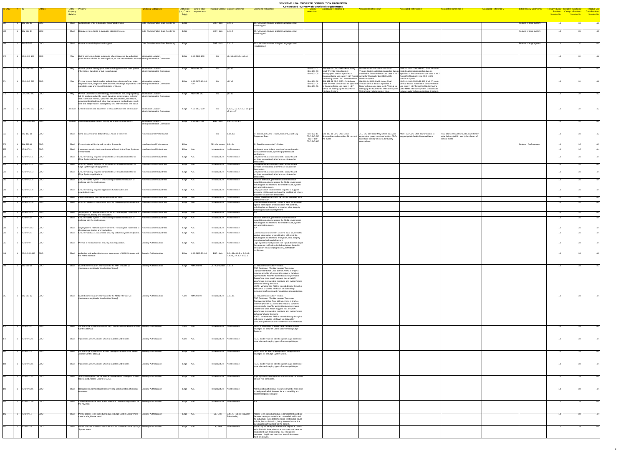**Compressed Inventory of Functional Requirements**

| <b>Comments / Rationale</b>                                                                                                                                                                                           | <b>Closely</b><br>resembles                  | Compressed Inventory of Functional Requirements<br><b>Associated Reference 1</b>                                                               | <b>Associated Reference 2</b>                                                                                                                                                                                          | <b>Associated Reference 3</b>                                                                                                                                                | <b>Associated Reference 4</b>                                                                         | <b>Associated Reference 5</b> | <b>Initial Review Comments</b> | <b>Tentative Entity</b><br><b>Breakout</b> |
|-----------------------------------------------------------------------------------------------------------------------------------------------------------------------------------------------------------------------|----------------------------------------------|------------------------------------------------------------------------------------------------------------------------------------------------|------------------------------------------------------------------------------------------------------------------------------------------------------------------------------------------------------------------------|------------------------------------------------------------------------------------------------------------------------------------------------------------------------------|-------------------------------------------------------------------------------------------------------|-------------------------------|--------------------------------|--------------------------------------------|
|                                                                                                                                                                                                                       |                                              |                                                                                                                                                |                                                                                                                                                                                                                        |                                                                                                                                                                              |                                                                                                       |                               |                                | Session No.                                |
| 3.5. UI Accommodates Multiple Languages and<br>Handicapped                                                                                                                                                            |                                              |                                                                                                                                                |                                                                                                                                                                                                                        |                                                                                                                                                                              |                                                                                                       |                               | Feature of edge system         | 1.1                                        |
| 3.5. UI Accommodates Multiple Languages and<br>Handicapped                                                                                                                                                            |                                              |                                                                                                                                                |                                                                                                                                                                                                                        |                                                                                                                                                                              |                                                                                                       |                               | Feature of edge system         | 1.1                                        |
| 3.5. UI Accommodates Multiple Languages and<br>Handicapped                                                                                                                                                            |                                              |                                                                                                                                                |                                                                                                                                                                                                                        |                                                                                                                                                                              |                                                                                                       |                               | Feature of edge system         | 1.1                                        |
|                                                                                                                                                                                                                       |                                              |                                                                                                                                                |                                                                                                                                                                                                                        |                                                                                                                                                                              |                                                                                                       |                               |                                | 1.1                                        |
|                                                                                                                                                                                                                       |                                              |                                                                                                                                                |                                                                                                                                                                                                                        |                                                                                                                                                                              |                                                                                                       |                               |                                |                                            |
|                                                                                                                                                                                                                       | IBM-101-01<br>IBM-101-03<br>IBM-101-05       | IBM-101-01 CDO-EMR--Ambulatory<br>Shall "Provide limited patient<br>demographic data as specified in<br>Biosurveillance use case in HL7 format | IBM-101-03 CDO-EMR--Acute Shall<br>"Provide limited patient demographic data as limited patient demographic data as<br>format for filtering by the CDO NHIN                                                            | IBM-101-05 CDO-EMR--ED Shall "Provide<br>specified in Biosurveillance use case in HL7   specified in Biosurveillance use case in HL7<br>format for filtering by the CDO NHIN |                                                                                                       |                               |                                | 1.1                                        |
|                                                                                                                                                                                                                       | IBM-101-02<br>IBM-101-04<br>IBM-101-06       | for filtering by the CDO NHIN Interface   Interface System.<br>IBM-101-02 CDO-EMR--Ambulatory<br>in Biosurveillance use case in HL7            | IBM-101-04 CDO-EMR--Acute Shall<br>Shall "Provide clinical data as specified  "Provide clinical data as specified in<br>Biosurveillance use case in HL7 format for $\vert$ use case in HL7 format for filtering by the | Interface System.<br>IBM-101-06 CDO-EMR--ED Shall "Provide<br>clinical data as specified in Biosurveillance                                                                  |                                                                                                       |                               |                                | 1.1                                        |
|                                                                                                                                                                                                                       |                                              | format for filtering by the CDO NHIN<br>Interface System.                                                                                      | filtering by the CDO NHIN Interface System.<br>Clinical data include: patient class                                                                                                                                    | CDO NHIN Interface System. Clinical data<br>include: patient class (outpatient, inpatient,                                                                                   |                                                                                                       |                               |                                | 1.1                                        |
|                                                                                                                                                                                                                       |                                              |                                                                                                                                                |                                                                                                                                                                                                                        |                                                                                                                                                                              |                                                                                                       |                               |                                |                                            |
|                                                                                                                                                                                                                       |                                              |                                                                                                                                                |                                                                                                                                                                                                                        |                                                                                                                                                                              |                                                                                                       |                               |                                | 1.1                                        |
|                                                                                                                                                                                                                       |                                              |                                                                                                                                                |                                                                                                                                                                                                                        |                                                                                                                                                                              |                                                                                                       |                               |                                | 1.1                                        |
|                                                                                                                                                                                                                       |                                              |                                                                                                                                                |                                                                                                                                                                                                                        |                                                                                                                                                                              |                                                                                                       |                               |                                |                                            |
| 2.4 Individual CDOs - Route, Transmit, Audit Log<br><b>Requested Data</b>                                                                                                                                             | IBM-103-11<br>CSC-BIO-010<br><b>NGIT-159</b> | IBM-103-11 CDO Shall Send<br>biosurveillance data within 24 hours of<br>the event                                                              | CSC-BIO-010 CDO May Share data with<br>appropriate government authorities. CDOs<br>may share directly or use a third-party                                                                                             | NGIT-159 CDO Shall Transmit data to<br>support public health biosurveillance                                                                                                 | CSC-BIO-110 CDO Should Ensure timely<br>data delivery (within twenty-four hours of<br>clinical event) |                               |                                | 1.1                                        |
| 6.1 Provider access to PHR data<br>Implement security best practices for configuration                                                                                                                                | <b>CSC-BIO-110</b>                           |                                                                                                                                                | intermediary.                                                                                                                                                                                                          |                                                                                                                                                                              |                                                                                                       |                               | Feature - Performance          | 1.1<br>1.1                                 |
| across infrastructure, operating systems and<br>applications.<br>Only required access control lists, accounts and                                                                                                     |                                              |                                                                                                                                                |                                                                                                                                                                                                                        |                                                                                                                                                                              |                                                                                                       |                               |                                | 1.1                                        |
| services are enabled; all others are disabled or<br>deactivated.<br>Only required access control lists, accounts and<br>services are enabled; all others are disabled or                                              |                                              |                                                                                                                                                |                                                                                                                                                                                                                        |                                                                                                                                                                              |                                                                                                       |                               |                                | 1.1                                        |
| deactivated.<br>Only required access control lists, accounts and<br>services are enabled; all others are disabled or                                                                                                  |                                              |                                                                                                                                                |                                                                                                                                                                                                                        |                                                                                                                                                                              |                                                                                                       |                               |                                | 1.1                                        |
| deactivated.<br>Malware detection, prevention and remediation<br>capabilities must exist across the NHIN environment,<br>including but not limited to the infrastructure, system                                      |                                              |                                                                                                                                                |                                                                                                                                                                                                                        |                                                                                                                                                                              |                                                                                                       |                               |                                | 1.1                                        |
| and application layers.<br>Only application functionalities required to support<br>access to NHIN services should be enabled; all others                                                                              |                                              |                                                                                                                                                |                                                                                                                                                                                                                        |                                                                                                                                                                              |                                                                                                       |                               |                                | 1.1                                        |
| should be disabled or deactivated.<br>Certain privileged functions can not be executed from<br>a remote session.<br>Communications between systems must be protected                                                  |                                              |                                                                                                                                                |                                                                                                                                                                                                                        |                                                                                                                                                                              |                                                                                                       |                               |                                | 1.1<br>1.1                                 |
| against interception or modification with controls,<br>including but not limited to encryption, data integrity<br>checking and acknowledgement.                                                                       |                                              |                                                                                                                                                |                                                                                                                                                                                                                        |                                                                                                                                                                              |                                                                                                       |                               |                                |                                            |
| N/A<br>Malware detection, prevention and remediation<br>capabilities must exist across the NHIN environment,                                                                                                          |                                              |                                                                                                                                                |                                                                                                                                                                                                                        |                                                                                                                                                                              |                                                                                                       |                               |                                | 1.1<br>1.1                                 |
| including but not limited to the infrastructure, system<br>and application layers.<br>N/A                                                                                                                             |                                              |                                                                                                                                                |                                                                                                                                                                                                                        |                                                                                                                                                                              |                                                                                                       |                               |                                | 1.1                                        |
| Communications between systems must be protected<br>against interception or modification with controls,<br>including but not limited to encryption, data integrity                                                    |                                              |                                                                                                                                                |                                                                                                                                                                                                                        |                                                                                                                                                                              |                                                                                                       |                               |                                | 1.1                                        |
| checking and acknowledgement.<br>Edge Systems must provide non-repudiation for output<br>that requires verification, including but not limited to                                                                     |                                              |                                                                                                                                                |                                                                                                                                                                                                                        |                                                                                                                                                                              |                                                                                                       |                               |                                | 1.1                                        |
| prescription issuance (signatures), birth/death<br>certificates.                                                                                                                                                      |                                              |                                                                                                                                                |                                                                                                                                                                                                                        |                                                                                                                                                                              |                                                                                                       |                               |                                |                                            |
| 6.1 Provider access to PHR data                                                                                                                                                                                       |                                              |                                                                                                                                                |                                                                                                                                                                                                                        |                                                                                                                                                                              |                                                                                                       |                               |                                |                                            |
| <b>ONC Guidance: The Harmonized Consumer</b><br>Empowerment Use Case did not intend to imply a<br>common provider ID across the network, but does                                                                     |                                              |                                                                                                                                                |                                                                                                                                                                                                                        |                                                                                                                                                                              |                                                                                                       |                               |                                | 1.1                                        |
| expresses the need for authentication of providers.<br>Several use case needs suggest that an NHIN<br>architecture may need to prototype and support some                                                             |                                              |                                                                                                                                                |                                                                                                                                                                                                                        |                                                                                                                                                                              |                                                                                                       |                               |                                |                                            |
| federated identity functions.<br>NOTE: Whether the PHR is viewed directly through a<br>web-portal or via the NHIN will be dictated by<br>consumer preference and marketplace circumstances.                           |                                              |                                                                                                                                                |                                                                                                                                                                                                                        |                                                                                                                                                                              |                                                                                                       |                               |                                |                                            |
| 6.1 Provider access to PHR data<br><b>ONC Guidance: The Harmonized Consumer</b>                                                                                                                                       |                                              |                                                                                                                                                |                                                                                                                                                                                                                        |                                                                                                                                                                              |                                                                                                       |                               |                                |                                            |
| Empowerment Use Case did not intend to imply a<br>common provider ID across the network, but does<br>expresses the need for authentication of providers.<br>Several use case needs suggest that an NHIN               |                                              |                                                                                                                                                |                                                                                                                                                                                                                        |                                                                                                                                                                              |                                                                                                       |                               |                                |                                            |
| architecture may need to prototype and support some<br>federated identity functions.<br>NOTE: Whether the PHR is viewed directly through a                                                                            |                                              |                                                                                                                                                |                                                                                                                                                                                                                        |                                                                                                                                                                              |                                                                                                       |                               |                                |                                            |
| web-portal or via the NHIN will be dictated by<br>consumer preference and marketplace circumstances.<br>RBAC is necessary to assign and manage access                                                                 |                                              |                                                                                                                                                |                                                                                                                                                                                                                        |                                                                                                                                                                              |                                                                                                       |                               |                                | 1.1                                        |
| privileges for all NHIN users and interfacing Edge<br>Systems.                                                                                                                                                        |                                              |                                                                                                                                                |                                                                                                                                                                                                                        |                                                                                                                                                                              |                                                                                                       |                               |                                |                                            |
| RBAC model must be able to support large scale user<br>expansion and varying types of access privileges.                                                                                                              |                                              |                                                                                                                                                |                                                                                                                                                                                                                        |                                                                                                                                                                              |                                                                                                       |                               |                                | 1.1                                        |
| RBAC must be used to assign and manage access<br>privileges for all Edge System users.                                                                                                                                |                                              |                                                                                                                                                |                                                                                                                                                                                                                        |                                                                                                                                                                              |                                                                                                       |                               |                                |                                            |
| RBAC model must be able to support large scale user                                                                                                                                                                   |                                              |                                                                                                                                                |                                                                                                                                                                                                                        |                                                                                                                                                                              |                                                                                                       |                               |                                |                                            |
| expansion and varying types of access privileges.                                                                                                                                                                     |                                              |                                                                                                                                                |                                                                                                                                                                                                                        |                                                                                                                                                                              |                                                                                                       |                               |                                |                                            |
| Edge Systems must implement access controls based<br>on user role definitions.                                                                                                                                        |                                              |                                                                                                                                                |                                                                                                                                                                                                                        |                                                                                                                                                                              |                                                                                                       |                               |                                | 1.1                                        |
| Administration of internal resources must be restricted<br>to designated administrators for accountability and                                                                                                        |                                              |                                                                                                                                                |                                                                                                                                                                                                                        |                                                                                                                                                                              |                                                                                                       |                               |                                | 1.1                                        |
| incident response integrity.                                                                                                                                                                                          |                                              |                                                                                                                                                |                                                                                                                                                                                                                        |                                                                                                                                                                              |                                                                                                       |                               |                                |                                            |
| N/A                                                                                                                                                                                                                   |                                              |                                                                                                                                                |                                                                                                                                                                                                                        |                                                                                                                                                                              |                                                                                                       |                               |                                | 1.1                                        |
| Access to an individual's data is conditional based on<br>the user having an established care relationship with                                                                                                       |                                              |                                                                                                                                                |                                                                                                                                                                                                                        |                                                                                                                                                                              |                                                                                                       |                               |                                |                                            |
| the individual. An established care relationship could<br>include, but not limited to, being involved in medical<br>care/diagnosis/treatment for the patient.<br>There may be exception events that require access to |                                              |                                                                                                                                                |                                                                                                                                                                                                                        |                                                                                                                                                                              |                                                                                                       |                               |                                |                                            |
| an individual's data, where the user does not have an<br>established care relationship, e.g. emergency<br>treatment. Legitimate overrides in such instances                                                           |                                              |                                                                                                                                                |                                                                                                                                                                                                                        |                                                                                                                                                                              |                                                                                                       |                               |                                |                                            |
| must be allowed.                                                                                                                                                                                                      |                                              |                                                                                                                                                |                                                                                                                                                                                                                        |                                                                                                                                                                              |                                                                                                       |                               |                                |                                            |

| <b>ID-ONC</b>                             | Entity - Property                                                                                                                                                                                                                                      | <b>Functional Categories</b>                              |                                         | <b>Entity Role</b> Link to other Principal Context Context Reference | <b>Comments / Rationale</b>                                                                                                                                         | <b>Compressed Inventory of Functional Requirements</b><br>Associated Reference <sup>-</sup>                                                                                           | <b>Associated Reference 2</b><br><b>Associated Reference 3</b><br><b>Associated Reference 4</b><br><b>Associated Reference 5</b>                                                                                                                     | <b>Initial Review Comments</b> |             | <b>Tentative Entity Tentative Functional Tentiative Use</b>                          |
|-------------------------------------------|--------------------------------------------------------------------------------------------------------------------------------------------------------------------------------------------------------------------------------------------------------|-----------------------------------------------------------|-----------------------------------------|----------------------------------------------------------------------|---------------------------------------------------------------------------------------------------------------------------------------------------------------------|---------------------------------------------------------------------------------------------------------------------------------------------------------------------------------------|------------------------------------------------------------------------------------------------------------------------------------------------------------------------------------------------------------------------------------------------------|--------------------------------|-------------|--------------------------------------------------------------------------------------|
|                                           | Property<br><b>Relation</b>                                                                                                                                                                                                                            |                                                           | (i.e., Core or<br>requirements<br>Edge) |                                                                      |                                                                                                                                                                     |                                                                                                                                                                                       |                                                                                                                                                                                                                                                      |                                | Session No. | Breakout Category Breakout Case Breakou<br><b>Exercise Session No</b><br>Session No. |
| <b>IBM-317-03</b>                         | Shall Support data entry in language designated by user                                                                                                                                                                                                | Data Transformation-Data Rendering                        | Edge                                    | EHR - Lab $ 3.2.1.3$                                                 | 3.5. UI Accommodates Multiple Languages and                                                                                                                         |                                                                                                                                                                                       |                                                                                                                                                                                                                                                      | Feature of edge system         | 1.1         | 3.3 <sup>1</sup>                                                                     |
|                                           |                                                                                                                                                                                                                                                        |                                                           |                                         |                                                                      | Handicapped                                                                                                                                                         |                                                                                                                                                                                       |                                                                                                                                                                                                                                                      |                                |             |                                                                                      |
| <b>IBM-317-04</b><br>$ $ CDO              | Shall Display retrieved data in language specified by user                                                                                                                                                                                             | Data Transformation-Data Rendering Edge                   |                                         | EHR-Lab $3.2.1.4$                                                    | 3.5. UI Accommodates Multiple Languages and<br>Handicapped                                                                                                          |                                                                                                                                                                                       |                                                                                                                                                                                                                                                      | Feature of edge system         |             |                                                                                      |
| 966<br><b>IBM-317-05</b><br> CDO          | Shall Provide accessibility for handicapped                                                                                                                                                                                                            | Data Transformation-Data Rendering                        | Edge                                    | EHR-Lab $3.2.1.5$                                                    | 3.5. UI Accommodates Multiple Languages and                                                                                                                         |                                                                                                                                                                                       |                                                                                                                                                                                                                                                      | Feature of edge system         |             | 4.1                                                                                  |
|                                           |                                                                                                                                                                                                                                                        |                                                           |                                         |                                                                      | Handicapped                                                                                                                                                         |                                                                                                                                                                                       |                                                                                                                                                                                                                                                      |                                |             |                                                                                      |
| CSC-BIO-100 CDO                           | Relink anonymized data to patients when requested by authorized   Information Location-<br>May                                                                                                                                                         |                                                           | Edge CSC-SEC-250                        | $p04$ s2, p09 s5, p10 s6<br>Bio                                      |                                                                                                                                                                     |                                                                                                                                                                                       |                                                                                                                                                                                                                                                      |                                |             |                                                                                      |
|                                           | public health officials for investigations, or use intermediaries to do so Identity/Information Correlation                                                                                                                                            |                                                           |                                         |                                                                      |                                                                                                                                                                     |                                                                                                                                                                                       |                                                                                                                                                                                                                                                      |                                |             |                                                                                      |
| CSC-BIO-210 CDO                           | May Provide patient demographic data including encounter date, patient   Information Location-                                                                                                                                                         |                                                           | Edge $ BIO-400, 540$                    | $\log 63$<br>Bio                                                     |                                                                                                                                                                     | IBM-101-01 CDO-EMR--Ambulatory<br>IBM-101-01                                                                                                                                          | IBM-101-03 CDO-EMR--Acute Shall<br>IBM-101-05 CDO-EMR--ED Shall "Provide                                                                                                                                                                             |                                |             |                                                                                      |
|                                           | information, date/time of last record update                                                                                                                                                                                                           | Identity/Information Correlation                          |                                         |                                                                      |                                                                                                                                                                     | IBM-101-03<br>Shall "Provide limited patient<br>IBM-101-05<br>demographic data as specified in                                                                                        | TProvide limited patient demograph<br>limited patient demographic data as<br>specified in Biosurveillance use case in HL7 specified in Biosurveillance use case in HL7                                                                               |                                |             |                                                                                      |
| $\overline{CSC-BIO-220}$ $\overline{CDO}$ | Provide clinical data including patient class, diagnosis/injury code,   Information Location-<br>May                                                                                                                                                   |                                                           | Edge CSC-NFR-10, 20,                    | $\log$ s3<br>Bio                                                     |                                                                                                                                                                     | for filtering by the CDO NHIN Interface   Interface System.<br>IBM-101-02  IBM-101-02 CDO-EMR--Ambulatory  IBM-101-04 CDO-EMR--Acute Shall                                            | Biosurveillance use case in HL7 format format for filtering by the CDO NHIN<br>format for filtering by the CDO NHIN<br>Interface System.<br>IBM-101-06 CDO-EMR--ED Shall "Provide                                                                    |                                |             |                                                                                      |
|                                           | diagnostic type, diagnostic date and time, discharge disposition, chief Identity/Information Correlation<br>complaint, date and time of first signs of illness                                                                                         |                                                           | 220                                     |                                                                      |                                                                                                                                                                     | IBM-101-04 Shall "Provide clinical data as specified Terovide clinical data as specified in<br>IBM-101-06 lin Biosurveillance use case in HL7<br>format for filtering by the CDO NHIN | clinical data as specified in Biosurveillance<br>Biosurveillance use case in HL7 format for $\vert$ use case in HL7 format for filtering by the<br>filtering by the CDO NHIN Interface System. CDO NHIN Interface System. Clinical data              |                                |             |                                                                                      |
| CSC-BIO-240 CDO                           | May Provide Laboratory and Radiology Test Results including reporting  Information Location-                                                                                                                                                           |                                                           | Edge BIO-400, 540                       | p07s3<br>Bio                                                         |                                                                                                                                                                     | Interface System.                                                                                                                                                                     | Clinical data include: patient class<br>include: patient class (outpatient, inpatient,                                                                                                                                                               |                                |             | -4.2                                                                                 |
|                                           | lab ID, performing lab ID, report data/time, report status, collection   dentity/Information Correlation<br>date, collection method, specimen site, test ordered, test results,<br>organism identified/result other than organism, method type, result |                                                           |                                         |                                                                      |                                                                                                                                                                     |                                                                                                                                                                                       |                                                                                                                                                                                                                                                      |                                |             |                                                                                      |
|                                           | unit, test interpretation, susceptibility test interpretation, test status                                                                                                                                                                             |                                                           |                                         |                                                                      |                                                                                                                                                                     |                                                                                                                                                                                       |                                                                                                                                                                                                                                                      |                                |             |                                                                                      |
| $\overline{CSC-BIO-530}$ $\overline{CDO}$ | Should Embed randomized data linker to allow authorized re-identification                                                                                                                                                                              | Information Location-<br>Identity/Information Correlation | Edge CSC-SEC-250                        | .1.2.2, 1.2.2.2, p07 s3, p09<br>Bio<br>$\vert$ s5, p11 s7            |                                                                                                                                                                     |                                                                                                                                                                                       |                                                                                                                                                                                                                                                      |                                |             | -4.2                                                                                 |
| $\overline{1429}$<br>1 CSC-EHR-305 CDO    | Should Collect and update patient demographic identity information.                                                                                                                                                                                    | Information Location-                                     | Edge CSC-ALL-180                        | EHR - Lab 3.1.1.0, 3.1.1.1                                           |                                                                                                                                                                     |                                                                                                                                                                                       |                                                                                                                                                                                                                                                      |                                |             |                                                                                      |
|                                           |                                                                                                                                                                                                                                                        | Identity/Information Correlation                          |                                         |                                                                      |                                                                                                                                                                     |                                                                                                                                                                                       |                                                                                                                                                                                                                                                      |                                |             |                                                                                      |
| 523 1 IBM-102-11 CDO                      | Shall Send biosurveillance data within 24 hours of the event                                                                                                                                                                                           | Non-Functional-Performance                                |                                         | 1.1.5.1X<br>Bio                                                      | 2.4 Individual CDOs - Route, Transmit, Audit Log                                                                                                                    | IBM-103-11   IBM-103-11 CDO Shall Send                                                                                                                                                | CSC-BIO-010 CDO May Share data with NGIT-159 CDO Shall Transmit data to<br>CSC-BIO-110 CDO Should Ensure timely                                                                                                                                      |                                |             | -4.2                                                                                 |
|                                           |                                                                                                                                                                                                                                                        |                                                           |                                         |                                                                      | <b>Requested Data</b>                                                                                                                                               | <b>NGIT-159</b><br>the event                                                                                                                                                          | CSC-BIO-010   biosurveillance data within 24 hours of   appropriate government authorities. CDOs   support public health biosurveillance<br>data delivery (within twenty-four hours of<br>may share directly or use a third-party<br>clinical event) |                                |             |                                                                                      |
| 676<br><b>IBM-209-11</b><br> CDO          | Shall Present data within via web portal in 5 seconds                                                                                                                                                                                                  | Non-Functional-Performance                                | Edge                                    | $CE - Consumer$ 2.3.1.2x                                             | 6.1 Provider access to PHR data                                                                                                                                     | <b>CSC-BIO-110</b>                                                                                                                                                                    | lintermediarv.                                                                                                                                                                                                                                       | Feature - Performance          |             |                                                                                      |
| ACN-07.21                                 | Shall   Implement security best practices at all levels in the Edge Systems   Non-Functional-Robustness<br>lenvironment                                                                                                                                |                                                           | Edge N/A                                | Infrastructure No Reference                                          | Implement security best practices for configuration<br>across infrastructure, operating systems and                                                                 |                                                                                                                                                                                       |                                                                                                                                                                                                                                                      |                                |             |                                                                                      |
| ACN-07.21.1<br>256<br> CDO                | Shall Ensure that only required components are enabled/activated for<br>Edge System infrastructure.                                                                                                                                                    | Non-Functional-Robustness                                 | Edge N/A                                | Infrastructure No Reference                                          | applications.<br>Only required access control lists, accounts and<br>services are enabled; all others are disabled or                                               |                                                                                                                                                                                       |                                                                                                                                                                                                                                                      |                                |             |                                                                                      |
| 257 1 ACN-07.21.2 CDO                     | Shall   Ensure that only required components are enabled/activated for   Non-Functional-Robustness                                                                                                                                                     |                                                           | Edge N/A                                | Infrastructure No Reference                                          | deactivated.<br>Only required access control lists, accounts and                                                                                                    |                                                                                                                                                                                       |                                                                                                                                                                                                                                                      |                                |             | $-4.4$                                                                               |
| $\overline{258}$ 1 A<br>ACN-07.21.3 CDO   | Edge System operating systems.<br>Ensure that only required components are enabled/activated for<br>Shall                                                                                                                                              | Non-Functional-Robustness                                 | Edge N/A                                | Infrastructure No Reference                                          | services are enabled; all others are disabled or<br>deactivated.<br>Only required access control lists, accounts and                                                |                                                                                                                                                                                       |                                                                                                                                                                                                                                                      |                                |             | 4.4                                                                                  |
|                                           | Edge System applications.                                                                                                                                                                                                                              |                                                           |                                         |                                                                      | services are enabled; all others are disabled or<br>deactivated.                                                                                                    |                                                                                                                                                                                       |                                                                                                                                                                                                                                                      |                                |             |                                                                                      |
| 260 1 ACN-07.21.5 CDO                     | Ensure that the system is protected against the introduction of<br>Shall<br>malware into the environment.                                                                                                                                              | Non-Functional-Robustness                                 | Edge N/A                                | Infrastructure No Reference                                          | Malware detection, prevention and remediation<br>capabilities must exist across the NHIN environment,<br>including but not limited to the infrastructure, system    |                                                                                                                                                                                       |                                                                                                                                                                                                                                                      |                                |             | $-4.4$                                                                               |
| ACN-07.21.6 CDO<br>261                    | Shall   Ensure that only required application functionalities are                                                                                                                                                                                      | Non-Functional-Robustness                                 | Edge N/A                                | Infrastructure No Reference                                          | and application layers.<br>Only application functionalities required to support                                                                                     |                                                                                                                                                                                       |                                                                                                                                                                                                                                                      |                                |             |                                                                                      |
| 262<br>ACN-07.21.7 CDO                    | enabled/activated.<br>Shall Limit functionality that can be accessed remotely.                                                                                                                                                                         | Non-Functional-Robustness                                 | Edge N/A                                | Infrastructure No Reference                                          | access to NHIN services should be enabled; all others<br>should be disabled or deactivated.<br>Certain privileged functions can not be executed from                |                                                                                                                                                                                       |                                                                                                                                                                                                                                                      |                                |             | 4.4                                                                                  |
| ACN-07.21.8 CDO<br>263                    | Shall Ensure that data is transmitted securely between system endpoints. Non-Functional-Robustness                                                                                                                                                     |                                                           | Edge N/A                                | Infrastructure No Reference                                          | a remote session.<br>Communications between systems must be protected                                                                                               |                                                                                                                                                                                       |                                                                                                                                                                                                                                                      |                                |             | -4.4                                                                                 |
|                                           |                                                                                                                                                                                                                                                        |                                                           |                                         |                                                                      | against interception or modification with controls,<br>including but not limited to encryption, data integrity<br>checking and acknowledgement.                     |                                                                                                                                                                                       |                                                                                                                                                                                                                                                      |                                |             |                                                                                      |
| 1267<br>ACN-07.22.2<br><b>CDO</b>         | Segregate the network by environments, including but not limited to Non-Functional-Robustness<br>Shall<br>development, testing and production.                                                                                                         |                                                           | Edge N/A                                | Infrastructure No Reference                                          |                                                                                                                                                                     |                                                                                                                                                                                       |                                                                                                                                                                                                                                                      |                                |             | -4.4                                                                                 |
| ACN-07.32<br> CDO                         | Shall Fnsure that the system is protected against the introduction of<br>malware into the environment.                                                                                                                                                 | Non-Functional-Robustness                                 | Edge N/A                                | Infrastructure   No Reference                                        | Malware detection, prevention and remediation<br>capabilities must exist across the NHIN environment<br>including but not limited to the infrastructure, system     |                                                                                                                                                                                       |                                                                                                                                                                                                                                                      |                                |             | 4.4                                                                                  |
| 289<br>ACN-07.33.2<br><b>CDO</b>          | Shall Segregate the network by environments, including but not limited to Non-Functional-Robustness                                                                                                                                                    |                                                           | Edge N/A                                | Infrastructure No Reference                                          | and application layers.                                                                                                                                             |                                                                                                                                                                                       |                                                                                                                                                                                                                                                      |                                |             | $-4.4$                                                                               |
| ACN-07.34<br> CDO                         | development, testing and production.<br>Shall Ensure that data is transmitted securely between system endpoints. Non-Functional-Robustness                                                                                                             |                                                           | Edge N/A                                | Infrastructure No Reference                                          | Communications between systems must be protected<br>against interception or modification with controls,                                                             |                                                                                                                                                                                       |                                                                                                                                                                                                                                                      |                                |             | 4.4                                                                                  |
|                                           |                                                                                                                                                                                                                                                        |                                                           |                                         |                                                                      | including but not limited to encryption, data integrity<br>checking and acknowledgement.                                                                            |                                                                                                                                                                                       |                                                                                                                                                                                                                                                      |                                |             |                                                                                      |
| ACN-07.9<br> CDO                          | Shall $\vert$ Provide a mechanism for ensuring non-repudiation.                                                                                                                                                                                        | Security-Authentication                                   | Edge N/A                                | Infrastructure No Reference                                          | Edge Systems must provide non-repudiation for output<br>that requires verification, including but not limited to<br>prescription issuance (signatures), birth/death |                                                                                                                                                                                       |                                                                                                                                                                                                                                                      |                                |             | -4.4                                                                                 |
| 442 1 CSC-EHR-430 CDO                     | Shall Authorize and authenticate users making use of CDO Systems and Security-Authentication                                                                                                                                                           |                                                           |                                         | Edge CSC-SEC-50, 60 EHR-Lab 3.2.1.1b, 3.2.3.1, 3.2.4.2,              | certificates.                                                                                                                                                       |                                                                                                                                                                                       |                                                                                                                                                                                                                                                      |                                |             | 4.7                                                                                  |
|                                           | the NHIN Interface.                                                                                                                                                                                                                                    |                                                           |                                         | 3.4.2.1, 3.4.3.2, 3.5.2.1                                            |                                                                                                                                                                     |                                                                                                                                                                                       |                                                                                                                                                                                                                                                      |                                |             |                                                                                      |
| 666 1 IBM-209-01<br><b>CDO</b>            | Submit authentication information to the PHR provider [to<br>Shall                                                                                                                                                                                     | Security-Authentication                                   | Edge  IBM-203-04                        | $\overline{CE}$ - Consumer $\overline{2.3.1.1}$                      | 6.1 Provider access to PHR data                                                                                                                                     |                                                                                                                                                                                       |                                                                                                                                                                                                                                                      |                                |             |                                                                                      |
|                                           | view/access registration/medication history]                                                                                                                                                                                                           |                                                           |                                         |                                                                      | <b>ONC Guidance: The Harmonized Consumer</b><br>Empowerment Use Case did not intend to imply a<br>common provider ID across the network, but does                   |                                                                                                                                                                                       |                                                                                                                                                                                                                                                      |                                |             |                                                                                      |
|                                           |                                                                                                                                                                                                                                                        |                                                           |                                         |                                                                      | expresses the need for authentication of providers.<br>Several use case needs suggest that an NHIN                                                                  |                                                                                                                                                                                       |                                                                                                                                                                                                                                                      |                                |             |                                                                                      |
|                                           |                                                                                                                                                                                                                                                        |                                                           |                                         |                                                                      | architecture may need to prototype and support some<br>federated identity functions.<br>NOTE: Whether the PHR is viewed directly through a $\vert$                  |                                                                                                                                                                                       |                                                                                                                                                                                                                                                      |                                |             |                                                                                      |
|                                           |                                                                                                                                                                                                                                                        |                                                           |                                         |                                                                      | web-portal or via the NHIN will be dictated by<br>consumer preference and marketplace circumstances.                                                                |                                                                                                                                                                                       |                                                                                                                                                                                                                                                      |                                |             |                                                                                      |
| $\overline{1}$   IBM-209-02   CDO         | Shall Submit authentication information to the NHIN Interface [to<br>view/access registration/medication history]                                                                                                                                      | Security-Authentication                                   | Core IBM-208-02                         | Infrastructure $ 2.3.1.1x$                                           | 6.1 Provider access to PHR data<br>ONC Guidance: The Harmonized Consumer                                                                                            |                                                                                                                                                                                       |                                                                                                                                                                                                                                                      |                                |             | $-4.4$                                                                               |
|                                           |                                                                                                                                                                                                                                                        |                                                           |                                         |                                                                      | Empowerment Use Case did not intend to imply a<br>common provider ID across the network, but does                                                                   |                                                                                                                                                                                       |                                                                                                                                                                                                                                                      |                                |             |                                                                                      |
|                                           |                                                                                                                                                                                                                                                        |                                                           |                                         |                                                                      | expresses the need for authentication of providers.<br>Several use case needs suggest that an NHIN<br>architecture may need to prototype and support some           |                                                                                                                                                                                       |                                                                                                                                                                                                                                                      |                                |             |                                                                                      |
|                                           |                                                                                                                                                                                                                                                        |                                                           |                                         |                                                                      | federated identity functions.<br>NOTE: Whether the PHR is viewed directly through a $ $                                                                             |                                                                                                                                                                                       |                                                                                                                                                                                                                                                      |                                |             |                                                                                      |
|                                           |                                                                                                                                                                                                                                                        |                                                           |                                         |                                                                      | web-portal or via the NHIN will be dictated by<br>consumer preference and marketplace circumstances.                                                                |                                                                                                                                                                                       |                                                                                                                                                                                                                                                      |                                |             |                                                                                      |
| ACN-07.12<br><b>CDO</b>                   | Shall Control Edge System access through structured Role Based Access Security-Authorization<br>Control (RBAC).                                                                                                                                        |                                                           | $Core$ $N/A$                            | Infrastructure No Reference                                          | RBAC is necessary to assign and manage access<br>privileges for all NHIN users and interfacing Edge                                                                 |                                                                                                                                                                                       |                                                                                                                                                                                                                                                      |                                |             |                                                                                      |
|                                           |                                                                                                                                                                                                                                                        |                                                           |                                         |                                                                      |                                                                                                                                                                     |                                                                                                                                                                                       |                                                                                                                                                                                                                                                      |                                |             |                                                                                      |
| ACN-07.12.1<br> CDO                       | Shall Implement a RBAC model which is scalable and flexible.                                                                                                                                                                                           | Security-Authorization                                    | Core N/A                                | Infrastructure No Reference                                          | RBAC model must be able to support large scale user<br>expansion and varying types of access privileges.                                                            |                                                                                                                                                                                       |                                                                                                                                                                                                                                                      |                                |             | 4.4                                                                                  |
|                                           |                                                                                                                                                                                                                                                        |                                                           |                                         |                                                                      |                                                                                                                                                                     |                                                                                                                                                                                       |                                                                                                                                                                                                                                                      |                                |             |                                                                                      |
| ACN-07.13<br>$ $ CDO                      | Shall Control Edge System user access through structured Role Based<br>Access Control (RBAC).                                                                                                                                                          | Security-Authorization                                    | Edge N/A                                | Infrastructure No Reference                                          | RBAC must be used to assign and manage access<br>privileges for all Edge System users.                                                                              |                                                                                                                                                                                       |                                                                                                                                                                                                                                                      |                                |             | 4.4                                                                                  |
|                                           |                                                                                                                                                                                                                                                        |                                                           |                                         |                                                                      |                                                                                                                                                                     |                                                                                                                                                                                       |                                                                                                                                                                                                                                                      |                                |             |                                                                                      |
| ACN-07.13.1<br> CDO<br>186                | Shall Implement a RBAC model which is scalable and flexible.                                                                                                                                                                                           | Security-Authorization                                    | Edge N/A                                | Infrastructure No Reference                                          | RBAC model must be able to support large scale user<br>expansion and varying types of access privileges.                                                            |                                                                                                                                                                                       |                                                                                                                                                                                                                                                      |                                |             |                                                                                      |
|                                           |                                                                                                                                                                                                                                                        |                                                           |                                         |                                                                      |                                                                                                                                                                     |                                                                                                                                                                                       |                                                                                                                                                                                                                                                      |                                |             |                                                                                      |
| 187 1 ACN-07.13.2 CDO                     | Shall Strictly manage all internal user access requests through structured Security-Authorization<br>Role Based Access Control (RBAC).                                                                                                                 |                                                           | Edge N/A                                | Infrastructure No Reference                                          | Edge Systems must implement access controls based<br>on user role definitions.                                                                                      |                                                                                                                                                                                       |                                                                                                                                                                                                                                                      |                                |             | $-4.4$                                                                               |
|                                           |                                                                                                                                                                                                                                                        |                                                           |                                         |                                                                      |                                                                                                                                                                     |                                                                                                                                                                                       |                                                                                                                                                                                                                                                      |                                |             |                                                                                      |
| $ACN-07.13.5$ CDO                         | Shall   Designate an administrator role covering administration of internal   Security-Authorization<br><b>resourc</b>                                                                                                                                 |                                                           | Edge N/A                                | Infrastructure No Reference                                          | Administration of internal resources must be restricted<br>to designated administrators for accountability and<br>incident response integrity.                      |                                                                                                                                                                                       |                                                                                                                                                                                                                                                      |                                |             | 4.4                                                                                  |
|                                           |                                                                                                                                                                                                                                                        |                                                           |                                         |                                                                      |                                                                                                                                                                     |                                                                                                                                                                                       |                                                                                                                                                                                                                                                      |                                |             |                                                                                      |
| ACN-07.13.6 CDO                           | Shall Create new internal roles where there is a business requirement for Security-Authorization<br>the new role.                                                                                                                                      |                                                           | Edge N/A                                | Infrastructure No Reference                                          |                                                                                                                                                                     |                                                                                                                                                                                       |                                                                                                                                                                                                                                                      |                                |             |                                                                                      |
| 1 ACN-07.14<br><b>CDO</b>                 | Shall Permit access to an individual's data to Edge System users where Security-Authorization                                                                                                                                                          |                                                           | Edge N/A                                |                                                                      | CE, EHR 3.4.1.4. Patient-Provider Access to an individual's data is conditional based on                                                                            |                                                                                                                                                                                       |                                                                                                                                                                                                                                                      |                                |             |                                                                                      |
|                                           | there is a legitimate need.                                                                                                                                                                                                                            |                                                           |                                         | Relationship                                                         | the user having an established care relationship with<br>the individual. An established care relationship could                                                     |                                                                                                                                                                                       |                                                                                                                                                                                                                                                      |                                |             | -4.4                                                                                 |
| 1   ACN-07.15                             | Shall Permit override of access restrictions to an individual's data by Edge Security-Authorization                                                                                                                                                    |                                                           |                                         | CE, EHR No Reference                                                 | include, but not limited to, being involved in medical<br>care/diagnosis/treatment for the patient.<br>There may be exception events that require access to         |                                                                                                                                                                                       |                                                                                                                                                                                                                                                      |                                |             |                                                                                      |
| CDO                                       | System users.                                                                                                                                                                                                                                          |                                                           | Edge  N/A                               |                                                                      | an individual's data, where the user does not have an<br>established care relationship, e.g. emergency                                                              |                                                                                                                                                                                       |                                                                                                                                                                                                                                                      |                                |             |                                                                                      |
|                                           |                                                                                                                                                                                                                                                        |                                                           |                                         |                                                                      | treatment. Legitimate overrides in such instances<br>must be allowed.                                                                                               |                                                                                                                                                                                       |                                                                                                                                                                                                                                                      |                                |             |                                                                                      |

|                | <b>Associated Reference 5</b> | <b>Initial Review Comments</b> | Session No.               | Tentative Entity Tentative Functional<br><b>Breakout Category Breakout</b><br>Session No. | <b>Tentiative Use</b><br><b>Case Breakout</b><br>Session No. |
|----------------|-------------------------------|--------------------------------|---------------------------|-------------------------------------------------------------------------------------------|--------------------------------------------------------------|
|                |                               | Feature of edge system         | 1.1                       | 3.3                                                                                       | 4.1                                                          |
|                |                               | Feature of edge system         | $1.1$                     | 3.3                                                                                       | 4.1                                                          |
|                |                               | Feature of edge system         | $1.1$                     | 3.3                                                                                       | 4.1                                                          |
|                |                               |                                | 1.1                       | 3.4                                                                                       | 4.2                                                          |
|                |                               |                                | $1.1$                     | 3.4                                                                                       | 4.2                                                          |
|                |                               |                                | $1.1$                     | 3.4                                                                                       | 4.2                                                          |
|                |                               |                                |                           |                                                                                           |                                                              |
|                |                               |                                | $1.1$                     | 3.4                                                                                       | 4.2                                                          |
|                |                               |                                | $1.1$                     | 3.4                                                                                       | 4.2                                                          |
|                |                               |                                | $1.1$                     | 3.4                                                                                       | 4.1                                                          |
| imely<br>rs of |                               |                                | 1.1                       | 3.5                                                                                       | 4.2                                                          |
|                |                               | Feature - Performance          | $1.1$                     | 3.5                                                                                       | 4.3                                                          |
|                |                               |                                | $1.1$                     | 3.5                                                                                       | 4.4                                                          |
|                |                               |                                | $1.1$<br>1.1              | 3.5<br>3.5                                                                                | 4.4<br>4.4                                                   |
|                |                               |                                | $1.1$                     | $\overline{3.5}$                                                                          | 4.4                                                          |
|                |                               |                                | $1.1$                     | 3.5                                                                                       | 4.4                                                          |
|                |                               |                                | 1.1                       | 3.5                                                                                       | 4.4                                                          |
|                |                               |                                | $1.1$<br>$\overline{1.1}$ | $\overline{3.5}$<br>3.5                                                                   | 4.4<br>4.4                                                   |
|                |                               |                                | 1.1                       | 3.5                                                                                       | 4.4                                                          |
|                |                               |                                | $1.1$                     | $\overline{3.5}$                                                                          | 4.4                                                          |
|                |                               |                                | $\overline{1.1}$<br>1.1   | 3.5<br>3.5                                                                                | 4.4<br>4.4                                                   |
|                |                               |                                | 1.1                       | 3.6                                                                                       | 4.4                                                          |
|                |                               |                                | 1.1                       | 3.6                                                                                       | 4.1                                                          |
|                |                               |                                | 1.1                       | 3.6                                                                                       | 4.3                                                          |
|                |                               |                                |                           |                                                                                           |                                                              |
|                |                               |                                |                           |                                                                                           |                                                              |
|                |                               |                                | $1.1$                     | 3.6                                                                                       | 4.4                                                          |
|                |                               |                                |                           |                                                                                           |                                                              |
|                |                               |                                |                           |                                                                                           |                                                              |
|                |                               |                                | $1.1$                     | 3.6                                                                                       | 4.4                                                          |
|                |                               |                                | $1.1$                     | 3.6                                                                                       | 4.4                                                          |
|                |                               |                                | $1.1$                     | 3.6                                                                                       | 4.4                                                          |
|                |                               |                                |                           |                                                                                           |                                                              |
|                |                               |                                | 1.1                       | 3.6                                                                                       | 4.4                                                          |
|                |                               |                                | 1.1                       | 3.6                                                                                       | 4.4                                                          |
|                |                               |                                | $1.1$                     | 3.6                                                                                       | 4.4                                                          |
|                |                               |                                | $1.1$                     | 3.6                                                                                       | 4.4                                                          |
|                |                               |                                | $1.1$                     | 3.6                                                                                       | 4.4                                                          |
|                |                               |                                |                           |                                                                                           |                                                              |
|                |                               |                                | $1.1$                     | 3.6                                                                                       | 4.4                                                          |
|                |                               |                                |                           |                                                                                           |                                                              |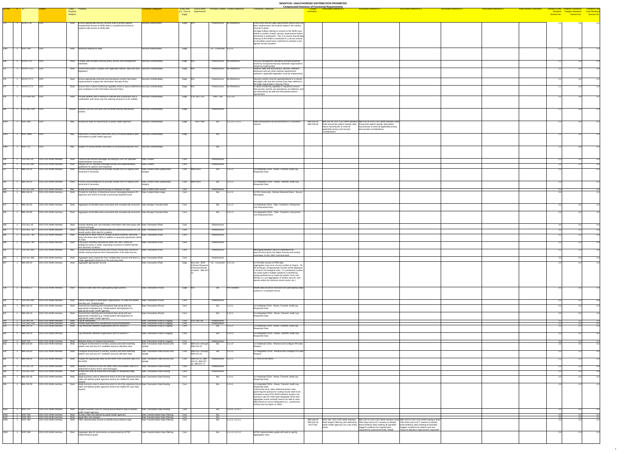|             |                                              |                                                                     |                                                  |                                                                                                                                                                                      |                                                                          |                                                  |                                                               |                                                                                                                     | <b>SENSITIVE. UNAU INURIZED DISTRIBUTION FROMBITED</b><br><b>Compressed Inventory of Functional Requirements</b>                                                                       |                                                                                         |                               |                                |                                                                                                                                         |
|-------------|----------------------------------------------|---------------------------------------------------------------------|--------------------------------------------------|--------------------------------------------------------------------------------------------------------------------------------------------------------------------------------------|--------------------------------------------------------------------------|--------------------------------------------------|---------------------------------------------------------------|---------------------------------------------------------------------------------------------------------------------|----------------------------------------------------------------------------------------------------------------------------------------------------------------------------------------|-----------------------------------------------------------------------------------------|-------------------------------|--------------------------------|-----------------------------------------------------------------------------------------------------------------------------------------|
| ID-ONC # ID |                                              |                                                                     | Entity - Property<br>Property<br><b>Relation</b> |                                                                                                                                                                                      | <b>Functional Categories</b>                                             | (i.e., Core or requirements                      | Entity Role Link to other Principal Context Context Reference | <b>Comments / Rationale</b>                                                                                         | <b>Associated Reference 2</b><br><b>Associated Reference 1</b><br><b>Closelv</b><br>resembles.                                                                                         | <b>Associated Reference 3</b><br><b>Associated Reference 4</b>                          | <b>Associated Reference 5</b> | <b>Initial Review Comments</b> | Tentative Entity Tentative Functional Tentiative Use<br>Breakout Category Breakout Case Breakout<br>Session No. Session No. Session No. |
|             |                                              |                                                                     |                                                  |                                                                                                                                                                                      |                                                                          | Edge)                                            |                                                               |                                                                                                                     |                                                                                                                                                                                        |                                                                                         |                               |                                |                                                                                                                                         |
|             | 1   ACN-07.26                                | <b>CDO</b>                                                          |                                                  | Shall Ensure appropriate security controls exist to protect against                                                                                                                  | Security-Authorization                                                   | Edge N/A                                         | Infrastructure No Reference                                   | In the event that all Edge requirements above have not                                                              |                                                                                                                                                                                        |                                                                                         |                               |                                | 3.6L                                                                                                                                    |
|             |                                              |                                                                     |                                                  | unauthorized access to NHIN data or unauthorized access to<br>systems with access to NHIN data.                                                                                      |                                                                          |                                                  |                                                               | been implemented, the controls stated in this section<br>must be in place.                                          |                                                                                                                                                                                        |                                                                                         |                               |                                |                                                                                                                                         |
|             |                                              |                                                                     |                                                  |                                                                                                                                                                                      |                                                                          |                                                  |                                                               | All Edge entities wishing to connect to the NHIN must<br>satisfy a number of basic security requirements before     |                                                                                                                                                                                        |                                                                                         |                               |                                |                                                                                                                                         |
|             |                                              |                                                                     |                                                  |                                                                                                                                                                                      |                                                                          |                                                  |                                                               | connection is authorized. This is to ensure that all data<br>sharing via the NHIN is conducted in a secure manner,  |                                                                                                                                                                                        |                                                                                         |                               |                                |                                                                                                                                         |
|             |                                              |                                                                     |                                                  |                                                                                                                                                                                      |                                                                          |                                                  |                                                               | as all entities would have confirmed to maintain a pre-                                                             |                                                                                                                                                                                        |                                                                                         |                               |                                |                                                                                                                                         |
|             |                                              |                                                                     |                                                  |                                                                                                                                                                                      |                                                                          |                                                  |                                                               | agreed security baseline.                                                                                           |                                                                                                                                                                                        |                                                                                         |                               |                                |                                                                                                                                         |
|             | 1 NGIT-109                                   | <b>CDO</b>                                                          |                                                  | shall Authorize request for data                                                                                                                                                     | Security-Authorization                                                   | Edge                                             | CE - Consumer 2.3.3.2                                         |                                                                                                                     |                                                                                                                                                                                        |                                                                                         |                               |                                |                                                                                                                                         |
|             |                                              |                                                                     |                                                  |                                                                                                                                                                                      |                                                                          |                                                  |                                                               |                                                                                                                     |                                                                                                                                                                                        |                                                                                         |                               |                                |                                                                                                                                         |
|             | ACN-07.23                                    | <b>CDC</b>                                                          |                                                  | Shall Comply with accepted security policy, privacy and management                                                                                                                   | Security-Confidentiality                                                 | Edge N/A                                         | Infrastructure No Reference                                   | Security management standards and best practices                                                                    |                                                                                                                                                                                        |                                                                                         |                               |                                |                                                                                                                                         |
|             |                                              |                                                                     |                                                  | standard                                                                                                                                                                             |                                                                          |                                                  |                                                               | issued by recognized security standards organizations<br>should be implemented.                                     |                                                                                                                                                                                        |                                                                                         |                               |                                |                                                                                                                                         |
|             | ACN-07.23.3 CDO                              |                                                                     |                                                  | Shall Ensure that system complies with applicable federal, state and local Security-Confidentiality<br>legislatio                                                                    |                                                                          | Edge N/A                                         | Infrastructure No Reference                                   | Federal, state and local privacy, security, retention,<br>disclosure and any other relevant requirements            |                                                                                                                                                                                        |                                                                                         |                               |                                |                                                                                                                                         |
|             |                                              |                                                                     |                                                  |                                                                                                                                                                                      |                                                                          |                                                  |                                                               | outlined in applicable legislation must be implemented.                                                             |                                                                                                                                                                                        |                                                                                         |                               |                                |                                                                                                                                         |
|             | ACN-07.27.1 CDO                              |                                                                     |                                                  | Shall Ensure appropriate technical and procedural controls have been<br>implemented to support the Information Security Policy.                                                      | Security-Confidentiality                                                 | Edge $N/A$                                       | Infrastructure No Reference                                   | Security controls must be operationalized in a manner<br>that aligns with how the controls have been defined in     |                                                                                                                                                                                        |                                                                                         |                               |                                |                                                                                                                                         |
|             | ACN-07.27.2 CDO                              |                                                                     |                                                  | Shall   Ensure that a robust monitoring capability exists to assure adherence Security-Confidentiality                                                                               |                                                                          | Edge N/A                                         | Infrastructure No Reference                                   | the Edge organization's Security Policy.<br>A robust monitoring capability is required to ensure                    |                                                                                                                                                                                        |                                                                                         |                               |                                |                                                                                                                                         |
|             |                                              |                                                                     |                                                  | and compliance to the Information Security Policy.                                                                                                                                   |                                                                          |                                                  |                                                               | that security controls are operational, are effective, and                                                          |                                                                                                                                                                                        |                                                                                         |                               |                                |                                                                                                                                         |
|             |                                              |                                                                     |                                                  |                                                                                                                                                                                      |                                                                          |                                                  |                                                               | are observed by all staff and third parties (where<br>appropriate).                                                 |                                                                                                                                                                                        |                                                                                         |                               |                                |                                                                                                                                         |
|             | 1 CSC-EHR-350 CDO                            |                                                                     |                                                  | Shall Provide patients with a method to indicate that a particular visit is Security-Confidentiality<br>confidential, and hence only the ordering clinician is to be notified.       |                                                                          | Edge CSC-SEC-212                                 | $EHR - Lab$ 3.1.2.1a                                          |                                                                                                                     |                                                                                                                                                                                        |                                                                                         |                               |                                |                                                                                                                                         |
|             |                                              |                                                                     |                                                  |                                                                                                                                                                                      |                                                                          |                                                  |                                                               |                                                                                                                     |                                                                                                                                                                                        |                                                                                         |                               |                                |                                                                                                                                         |
|             | CSC-SEC-180 CDO                              |                                                                     |                                                  | Should Enforce CDO-to-CDO and CDO-to-NHIN security and privacy                                                                                                                       | Security-Confidentiality                                                 | Edge                                             | Infrastructure                                                |                                                                                                                     |                                                                                                                                                                                        |                                                                                         |                               |                                |                                                                                                                                         |
|             |                                              |                                                                     |                                                  |                                                                                                                                                                                      |                                                                          |                                                  |                                                               |                                                                                                                     |                                                                                                                                                                                        |                                                                                         |                               |                                |                                                                                                                                         |
|             |                                              |                                                                     |                                                  |                                                                                                                                                                                      |                                                                          |                                                  |                                                               |                                                                                                                     |                                                                                                                                                                                        |                                                                                         |                               |                                |                                                                                                                                         |
|             | 1 NGIT-060                                   | CDO                                                                 |                                                  | May Anonymize data for transmission to public health agencies                                                                                                                        | Security-Confidentiality                                                 | NGIT-069<br>Edge                                 | .1.2.0, 1.2.2.0                                               | Data anomyization will be performed in a consister<br>manner                                                        | IBM-102-06  IBM-102-06 CDO-CDO NHIN Interface  IBM-103-06 CDO-CDO NHIN Interface Shall<br>IBM-103-06<br>Shall Anonymize patient specific data   Anonymize patient specific data before |                                                                                         |                               |                                |                                                                                                                                         |
|             |                                              |                                                                     |                                                  |                                                                                                                                                                                      |                                                                          |                                                  |                                                               |                                                                                                                     | before transmission to meet all<br>transmission to meet all applicable privacy<br>and security considerations<br>applicable privacy and security                                       |                                                                                         |                               |                                |                                                                                                                                         |
|             | NGIT-069a                                    | CDO                                                                 | Mav                                              | Implement a randomized data linker (RDL) for biosurveillance data Security-Confidentiality                                                                                           |                                                                          | Edge                                             |                                                               |                                                                                                                     | considerations                                                                                                                                                                         |                                                                                         |                               |                                |                                                                                                                                         |
|             |                                              |                                                                     |                                                  | transmitted to public health agencies                                                                                                                                                |                                                                          |                                                  |                                                               |                                                                                                                     |                                                                                                                                                                                        |                                                                                         |                               |                                |                                                                                                                                         |
|             |                                              |                                                                     |                                                  |                                                                                                                                                                                      |                                                                          |                                                  |                                                               |                                                                                                                     |                                                                                                                                                                                        |                                                                                         |                               |                                |                                                                                                                                         |
|             | 1 NGIT-117                                   | CDO                                                                 | May                                              | Support re-linking identity information to anonymized data per RDL Security-Confidentiality                                                                                          |                                                                          |                                                  |                                                               |                                                                                                                     |                                                                                                                                                                                        |                                                                                         |                               |                                |                                                                                                                                         |
|             |                                              |                                                                     |                                                  |                                                                                                                                                                                      |                                                                          |                                                  |                                                               |                                                                                                                     |                                                                                                                                                                                        |                                                                                         |                               |                                |                                                                                                                                         |
|             | $\mathsf{CSC}\text{-}\mathsf{ALL}\text{-}50$ | CDO-CDO NHIN Interface                                              | Shall                                            | Transmit well formed messages according to a HITSP specified                                                                                                                         | Data Content                                                             | Core                                             | Infrastructure                                                |                                                                                                                     |                                                                                                                                                                                        |                                                                                         |                               |                                |                                                                                                                                         |
|             | CSC-ALL-800                                  | CDO-CDO NHIN Interface                                              |                                                  | implementation instruction.<br>Shall Require HITSP standard message formats and implementation                                                                                       | Data Content                                                             | Core                                             | Infrastructure                                                |                                                                                                                     |                                                                                                                                                                                        |                                                                                         |                               |                                |                                                                                                                                         |
|             |                                              |                                                                     |                                                  | guidelines for queries and responses.                                                                                                                                                |                                                                          |                                                  |                                                               |                                                                                                                     |                                                                                                                                                                                        |                                                                                         |                               |                                |                                                                                                                                         |
|             | <b>IBM-102-15</b>                            | <b>CDO-CDO NHIN Interface</b>                                       | Shall                                            | Process acknowledgment of accurate receipt from PH Agency and Data Content-Data Quality/Data<br>retransmit if necessary                                                              |                                                                          | Core   IBM-104-6                                 | 1.1.5.2                                                       | 2.4 Individual CDOs - Route, Transmit, Audit Log<br><b>Requested Data</b>                                           |                                                                                                                                                                                        |                                                                                         |                               |                                |                                                                                                                                         |
|             |                                              |                                                                     |                                                  |                                                                                                                                                                                      |                                                                          |                                                  |                                                               |                                                                                                                     |                                                                                                                                                                                        |                                                                                         |                               |                                |                                                                                                                                         |
|             | <b>IBM-103-15</b>                            | <b>CDO-CDO NHIN Interface</b>                                       |                                                  | Shall Process acknowledgment of accurate receipt from PH Agency and Data Content-Data Quality/Data                                                                                   |                                                                          | Core   IBM-104-6                                 | 1.2.5.2<br>Bio                                                | 3.4 Integrated CDOs - Route, Transmit, Audit Log                                                                    |                                                                                                                                                                                        |                                                                                         |                               |                                |                                                                                                                                         |
|             |                                              |                                                                     |                                                  | retransmit if necessary                                                                                                                                                              |                                                                          |                                                  |                                                               | <b>Requested Data</b>                                                                                               |                                                                                                                                                                                        |                                                                                         |                               |                                |                                                                                                                                         |
|             | CSC-ALL-820<br><b>IBM-106-04</b>             | CDO-CDO NHIN Interface<br>CDO-CDO NHIN Interface                    | Mav<br>Shall                                     | Accept and respond asynchronously to requests for data<br>Provide for real-time, bi-directional secure messaging between PH                                                          | Data Content-Data Source<br>Data Content-Data Usage                      | Core<br>Core                                     | Infrastructure                                                | 6.2 PH Community - Monitor Detected Event - Secure                                                                  |                                                                                                                                                                                        |                                                                                         |                               |                                |                                                                                                                                         |
|             |                                              |                                                                     |                                                  | Agencies and CDOs to monitor a previously detected event                                                                                                                             |                                                                          |                                                  |                                                               | Messaging                                                                                                           |                                                                                                                                                                                        |                                                                                         |                               |                                |                                                                                                                                         |
|             |                                              |                                                                     |                                                  |                                                                                                                                                                                      |                                                                          |                                                  |                                                               |                                                                                                                     |                                                                                                                                                                                        |                                                                                         |                               |                                |                                                                                                                                         |
|             | <b>IBM-102-05</b>                            | CDO-CDO NHIN Interface                                              |                                                  | Shall Aggregate all identified data associated with complete lab encounter Data Storage-Transient Data                                                                               |                                                                          | Core                                             |                                                               | 2.3 Individual CDOs - Filter, Transform, Anonymize,<br><b>Link Requested Data</b>                                   |                                                                                                                                                                                        |                                                                                         |                               |                                |                                                                                                                                         |
|             | <b>IBM-103-05</b>                            | <b>CDO-CDO NHIN Interface</b>                                       |                                                  | Shall Aggregate all identified data associated with complete lab encounter Data Storage-Transient Data                                                                               |                                                                          | Core                                             | 1.2.1.2<br>Bio                                                | 3.3 Integrated CDOs - Filter, Transform, Anonymize,                                                                 |                                                                                                                                                                                        |                                                                                         |                               |                                |                                                                                                                                         |
|             |                                              |                                                                     |                                                  |                                                                                                                                                                                      |                                                                          |                                                  |                                                               | <b>Link Requested Data</b>                                                                                          |                                                                                                                                                                                        |                                                                                         |                               |                                |                                                                                                                                         |
|             |                                              |                                                                     |                                                  |                                                                                                                                                                                      |                                                                          |                                                  |                                                               |                                                                                                                     |                                                                                                                                                                                        |                                                                                         |                               |                                |                                                                                                                                         |
|             | CSC-ALL-40                                   | CDO-CDO NHIN Interface                                              |                                                  | Shall Include initiating user and institution information with each query and Data Transaction-(Pull)<br>pushed message                                                              |                                                                          | Core                                             | Infrastructure                                                |                                                                                                                     |                                                                                                                                                                                        |                                                                                         |                               |                                |                                                                                                                                         |
|             | CSC-ALL-750                                  | <b>CDO-CDO NHIN Interface</b>                                       |                                                  | Shall Accept and respond to authenticated and authorized queries for Lab Data Transaction-(Pull)                                                                                     |                                                                          | Core                                             | Infrastructure                                                |                                                                                                                     |                                                                                                                                                                                        |                                                                                         |                               |                                |                                                                                                                                         |
|             | CSC-ALL-780                                  | CDO-CDO NHIN Interface                                              | Shall                                            | results and/or other data for a patient.<br>Accept lists of other SNOs to contact as part of queries, and shall   Data Transaction-(Pull)                                            |                                                                          | Core                                             | Infrastructure                                                |                                                                                                                     |                                                                                                                                                                                        |                                                                                         |                               |                                |                                                                                                                                         |
|             |                                              |                                                                     |                                                  | query the these other SNOs in addition to querying repositories within                                                                                                               |                                                                          |                                                  |                                                               |                                                                                                                     |                                                                                                                                                                                        |                                                                                         |                               |                                |                                                                                                                                         |
|             |                                              |                                                                     |                                                  | CSC-ALL-790 CDO-CDO NHIN Interface Shall Only query indicated repositories within the SNO, unless an<br>ambiguous query is made, requesting resolution of patient identity           | Data Transaction-(Pull)                                                  | Core                                             | Infrastructure                                                |                                                                                                                     |                                                                                                                                                                                        |                                                                                         |                               |                                |                                                                                                                                         |
|             | CSC-ALL-810                                  | <b>CDO-CDO NHIN Interface</b>                                       |                                                  | and repository locations.<br>Communicate asynchronously with remote clinical data sources to   Data Transaction-(Pull)                                                               |                                                                          | Core                                             | Infrastructure                                                | Messaging between SNOs is expected to be                                                                            |                                                                                                                                                                                        |                                                                                         |                               |                                |                                                                                                                                         |
|             |                                              |                                                                     |                                                  | handle varying response time characteristics of the data sources                                                                                                                     |                                                                          |                                                  |                                                               | asynchronous given the higher security and routing<br>overheads of inter-SNO communication                          |                                                                                                                                                                                        |                                                                                         |                               |                                |                                                                                                                                         |
|             | CSC-ALL-840                                  | <b>CDO-CDO NHIN Interface</b>                                       |                                                  | Shall Aggregate query responses from multiple data sources and return a Data Transaction-(Pull)<br>single aggregated response to the querying entity.                                |                                                                          | Core                                             | Infrastructure                                                |                                                                                                                     |                                                                                                                                                                                        |                                                                                         |                               |                                |                                                                                                                                         |
|             | <b>IBM-209-33</b>                            | CDO-CDO NHIN Interface                                              |                                                  | Shall Aggregate appropriate records                                                                                                                                                  | Data Transaction-(Pull)                                                  | Edge   Also see: EHR -<br>Clinician Requests     | $\vert$ CE - Consumer $\vert$ 2.3.1.2x                        | 6.1 Provider access to PHR data<br>Aggregation may occur via any number of means. For                               |                                                                                                                                                                                        |                                                                                         |                               |                                | າ າ                                                                                                                                     |
|             |                                              |                                                                     |                                                  |                                                                                                                                                                                      |                                                                          | <b>Historical Results</b><br>Location - IBM-307- |                                                               | the prototype, all appropriate records will be displayed<br>in reverse chronological order. In a production system, |                                                                                                                                                                                        |                                                                                         |                               |                                |                                                                                                                                         |
|             |                                              |                                                                     |                                                  |                                                                                                                                                                                      |                                                                          |                                                  |                                                               | we would expect multiple variations controlled by<br>unique preferences to make the system more user                |                                                                                                                                                                                        |                                                                                         |                               |                                |                                                                                                                                         |
|             |                                              |                                                                     |                                                  |                                                                                                                                                                                      |                                                                          |                                                  |                                                               | friendly (i.e. pre-aggregation of certain records, sub-<br>queries within the retrieved record cache, etc.)         |                                                                                                                                                                                        |                                                                                         |                               |                                |                                                                                                                                         |
|             |                                              |                                                                     |                                                  |                                                                                                                                                                                      |                                                                          |                                                  |                                                               |                                                                                                                     |                                                                                                                                                                                        |                                                                                         |                               |                                |                                                                                                                                         |
|             | ACN-06.1.1                                   | <b>CDO-CDO NHIN Interface</b>                                       |                                                  | Shall Receive health data from participating edge systems.                                                                                                                           | Data Transaction-(Push)                                                  | Edge N/A                                         | <b>Pre-condition</b><br>Bio                                   | Health data should be received from participating edge<br>systems in a standard format.                             |                                                                                                                                                                                        |                                                                                         |                               |                                |                                                                                                                                         |
|             |                                              |                                                                     |                                                  |                                                                                                                                                                                      |                                                                          |                                                  |                                                               |                                                                                                                     |                                                                                                                                                                                        |                                                                                         |                               |                                |                                                                                                                                         |
|             | CSC-ALL-430                                  | CDO-CDO NHIN Interface                                              |                                                  | Shall   Deliver messages to destination organizations, or notify the sender   Data Transaction-(Push)                                                                                |                                                                          | Core                                             | Infrastructure                                                |                                                                                                                     |                                                                                                                                                                                        |                                                                                         |                               |                                |                                                                                                                                         |
|             | <b>IBM-102-10</b>                            | CDO-CDO NHIN Interface                                              | Shall                                            | that they are "Undeliverable".<br>Transmit the matching and normalized data along with any                                                                                           | Data Transaction-(Push)                                                  | Core                                             | .1.5.1                                                        | 2.4 Individual CDOs - Route, Transmit, Audit Log                                                                    |                                                                                                                                                                                        |                                                                                         |                               |                                | າ າ                                                                                                                                     |
|             |                                              |                                                                     |                                                  | appropriate metadata (e.g., limited patient demographics) to<br>appropriate public health agencies                                                                                   |                                                                          |                                                  |                                                               | <b>Requested Data</b>                                                                                               |                                                                                                                                                                                        |                                                                                         |                               |                                |                                                                                                                                         |
|             | <b>IBM-103-10</b>                            | CDO-CDO NHIN Interface                                              | Shall                                            | Transmit the matching and normalized data along with any<br>appropriate metadata (e.g., limited patient demographics) to                                                             | Data Transaction-(Push)                                                  | Core                                             | .2.5.1                                                        | 3.4 Integrated CDOs - Route, Transmit, Audit Log<br><b>Requested Data</b>                                           |                                                                                                                                                                                        |                                                                                         |                               |                                |                                                                                                                                         |
|             |                                              | CSC-ALL-80 CDO-CDO NHIN Interface                                   | Shall                                            | appropriate public health agencies<br>Log all interactions.                                                                                                                          | Data Transaction-Audit & Logging                                         | Core CSC-SEC-85                                  | Infrastructure                                                |                                                                                                                     |                                                                                                                                                                                        |                                                                                         |                               |                                |                                                                                                                                         |
|             | <b>IBM-102-14</b>                            | CSC-SEC-120 CDO-CDO NHIN Interface<br><b>CDO-CDO NHIN Interface</b> |                                                  | Shall Protect audit data from unauthorized access/modification<br>Shall   Log Interaction between organization and PH AGENCY                                                         | Data Transaction-Audit & Logging<br>Data Transaction-Audit & Logging     | Core<br>Core                                     | Infrastructure<br>.1.5.2                                      | 2.4 Individual CDOs - Route, Transmit, Audit Log                                                                    |                                                                                                                                                                                        |                                                                                         |                               |                                |                                                                                                                                         |
|             |                                              |                                                                     |                                                  |                                                                                                                                                                                      |                                                                          |                                                  |                                                               | Requested Data                                                                                                      |                                                                                                                                                                                        |                                                                                         |                               |                                |                                                                                                                                         |
|             | <b>IBM-103-14</b>                            | <b>CDO-CDO NHIN Interface</b>                                       |                                                  | Log Interaction between organization and PH AGENCY                                                                                                                                   | Data Transaction-Audit & Logging                                         | Core                                             | 1.2.5.2<br>Bio                                                | 3.4 Integrated CDOs - Route, Transmit, Audit Log                                                                    |                                                                                                                                                                                        |                                                                                         |                               |                                |                                                                                                                                         |
|             |                                              |                                                                     |                                                  |                                                                                                                                                                                      |                                                                          |                                                  |                                                               | <b>Requested Data</b>                                                                                               |                                                                                                                                                                                        |                                                                                         |                               |                                |                                                                                                                                         |
|             | NGIT-011<br>IBM-102-03                       | CDO-CDO NHIN Interface<br>CDO-CDO NHIN Interface                    |                                                  | Shall   Maintain history of network transactions<br>Shall Configure environment to monitor, process and send matching                                                                | Data Transaction-Audit & Logging<br>Data Transaction-Data Access and     | Core<br>$ $ IBM-101-1 through<br>Core            | Infrastructure<br>1.1.1.0                                     | 2.2 Individual CDOs - Receive and Configure PH Data                                                                 |                                                                                                                                                                                        |                                                                                         |                               |                                | 3.2                                                                                                                                     |
|             |                                              |                                                                     |                                                  | patient care and any HL7 available resource utilization data                                                                                                                         |                                                                          | <b>IBM-101-13</b>                                |                                                               |                                                                                                                     |                                                                                                                                                                                        |                                                                                         |                               |                                |                                                                                                                                         |
|             | <b>IBM-103-03</b>                            | <b>CDO-CDO NHIN Interface</b>                                       | Shall                                            | Configure environment to monitor, process and send matching<br>patient care and any HL7 available resource utilization data                                                          | Data Transaction-Data Access and                                         | Core IBM-101-1 through<br><b>IBM-101-13</b>      | 1.2.1.0                                                       | 3.2 Integrated CDOs - Receive and Configure PH Data                                                                 |                                                                                                                                                                                        |                                                                                         |                               |                                |                                                                                                                                         |
|             | <b>IBM-208-02</b>                            | CDO-CDO NHIN Interface                                              |                                                  | Shall Publish the appropriate data via the NHIN if the consumer opts in to Data Transaction-Data Access and                                                                          |                                                                          | Core IBM-205-15, IBM-                            | Infrastructure $ 2.z.2.2$                                     | 5.1 PHR on the NHIN                                                                                                 |                                                                                                                                                                                        |                                                                                         |                               |                                |                                                                                                                                         |
|             |                                              |                                                                     |                                                  | the NHIN                                                                                                                                                                             |                                                                          | 205-21, IBM-207-<br>26, IBM-207-27               |                                                               |                                                                                                                     |                                                                                                                                                                                        |                                                                                         |                               |                                |                                                                                                                                         |
|             | $\mathsf{CSC}\text{-}\mathsf{ALL}\text{-}20$ | CDO-CDO NHIN Interface                                              |                                                  | Shall Maintain a local list of URLs for other SNOs and entities that it it is Data Transaction-Data Routing<br>authorized to query and to send messages.                             |                                                                          | Core                                             | Infrastructure                                                |                                                                                                                     |                                                                                                                                                                                        |                                                                                         |                               |                                |                                                                                                                                         |
|             | CSC-ALL-410                                  | CDO-CDO NHIN Interface                                              |                                                  | Shall Accept and route all authorized messages to designated edge                                                                                                                    | Data Transaction-Data Routing                                            | Core                                             | Infrastructure                                                |                                                                                                                     |                                                                                                                                                                                        |                                                                                         |                               |                                |                                                                                                                                         |
|             | <b>IBM-102-09</b>                            | <b>CDO-CDO NHIN Interface</b>                                       |                                                  | Shall Apply business rules to determine which of all of the registered (local, Data Transaction-Data Routing<br>state and federal) public agencies need to be notified for each data |                                                                          | Core                                             | 1.1.4.1<br>Bio                                                | 2.4 Individual CDOs - Route, Transmit, Audit Log<br><b>Requested Data</b>                                           |                                                                                                                                                                                        |                                                                                         |                               |                                |                                                                                                                                         |
|             | <b>IBM-103-09</b>                            | <b>CDO-CDO NHIN Interface</b>                                       |                                                  | Apply business rules to determine which of all of the registered (local, Data Transaction-Data Routing                                                                               |                                                                          | Core                                             | 1.2.4.1<br>Bio                                                | 3.4 Integrated CDOs - Route, Transmit, Audit Log                                                                    |                                                                                                                                                                                        |                                                                                         |                               |                                |                                                                                                                                         |
|             |                                              |                                                                     |                                                  | state and federal) public agencies need to be notified for each data<br>reauest                                                                                                      |                                                                          |                                                  |                                                               | <b>Requested Data</b><br>Customized local, state, federal business rules                                            |                                                                                                                                                                                        |                                                                                         |                               |                                |                                                                                                                                         |
|             |                                              |                                                                     |                                                  |                                                                                                                                                                                      |                                                                          |                                                  |                                                               | governing the protocol for routing results need to be<br>activated in each CDO NHIN Interface System; the           |                                                                                                                                                                                        |                                                                                         |                               |                                |                                                                                                                                         |
|             |                                              |                                                                     |                                                  |                                                                                                                                                                                      |                                                                          |                                                  |                                                               | business rules for multi-state integrated CDOs that<br>aggregate results centrally need to be able to route         |                                                                                                                                                                                        |                                                                                         |                               |                                |                                                                                                                                         |
|             |                                              |                                                                     |                                                  |                                                                                                                                                                                      |                                                                          |                                                  |                                                               | data based on source designation (i.e., customized                                                                  |                                                                                                                                                                                        |                                                                                         |                               |                                |                                                                                                                                         |
|             | 1 NGIT-071                                   | CDO-CDO NHIN Interface                                              |                                                  | Shall Support business rules for routing biosurveillance data to specific                                                                                                            | Data Transaction-Data Routing                                            | Core                                             | .1.4.1, 1.2.4.1<br>Bio                                        | routing rules by region or state).                                                                                  |                                                                                                                                                                                        |                                                                                         |                               |                                |                                                                                                                                         |
|             |                                              |                                                                     | Shall                                            | public health agencies<br>Accept a filter rule defined by public health agencies                                                                                                     |                                                                          |                                                  |                                                               |                                                                                                                     |                                                                                                                                                                                        |                                                                                         |                               |                                |                                                                                                                                         |
|             | NGIT-062<br>NGIT-063                         | CDO-CDO NHIN Interface<br><b>CDO-CDO NHIN Interface</b>             |                                                  | Apply filter rule changes                                                                                                                                                            | Data Transformation-Data Filtering<br>Data Transformation-Data Filtering | Core<br>Core                                     |                                                               |                                                                                                                     | NGIT-061 CDO-CDO NHIN Interface IBM-102-04 CDO-CDO NHIN Interface Shall IBM-103-04 CDO-CDO NHIN Interface Shall                                                                        |                                                                                         |                               |                                |                                                                                                                                         |
|             | NGIT-064                                     | <b>CDO-CDO NHIN Interface</b>                                       |                                                  | Shall Filter collected data records to identify biosurveillance data                                                                                                                 | Data Transformation-Data Filtering                                       | Core                                             | .1.1.1, 1.2.1.1                                               |                                                                                                                     | IBM-103-04<br>Shall Support filtering rules defined by Filter data source HL7 streams to identify   Filter data source HL7 streams to identify<br>IBM-102-04                           |                                                                                         |                               |                                |                                                                                                                                         |
|             |                                              |                                                                     |                                                  |                                                                                                                                                                                      |                                                                          |                                                  |                                                               |                                                                                                                     | <b>NGIT-061</b><br>public health agencies (on a per entity biosurveillance data meeting all specified<br>(trigger) conditions for requirements                                         | biosurveillance data meeting all specified<br>(trigger) conditions for patient care and |                               |                                |                                                                                                                                         |
|             | NGIT-065                                     | CDO-CDO NHIN Interface                                              |                                                  | Shall Aggregate data for transmission as determined by HITSP                                                                                                                         | Data Transformation-Data Filtering                                       | Core                                             | 1.1.2, 1.2.1.2<br>Bio                                         | HITSP implementation guide will need to specify                                                                     | requested by authorized Public Health                                                                                                                                                  | resource utilization requirements requested                                             |                               |                                |                                                                                                                                         |
|             |                                              |                                                                     |                                                  | implementation guide                                                                                                                                                                 |                                                                          |                                                  |                                                               | aggregation rules.                                                                                                  |                                                                                                                                                                                        |                                                                                         |                               |                                |                                                                                                                                         |
|             |                                              |                                                                     |                                                  |                                                                                                                                                                                      |                                                                          |                                                  |                                                               |                                                                                                                     |                                                                                                                                                                                        |                                                                                         |                               |                                |                                                                                                                                         |
|             |                                              |                                                                     |                                                  |                                                                                                                                                                                      |                                                                          |                                                  |                                                               |                                                                                                                     |                                                                                                                                                                                        |                                                                                         |                               |                                |                                                                                                                                         |

4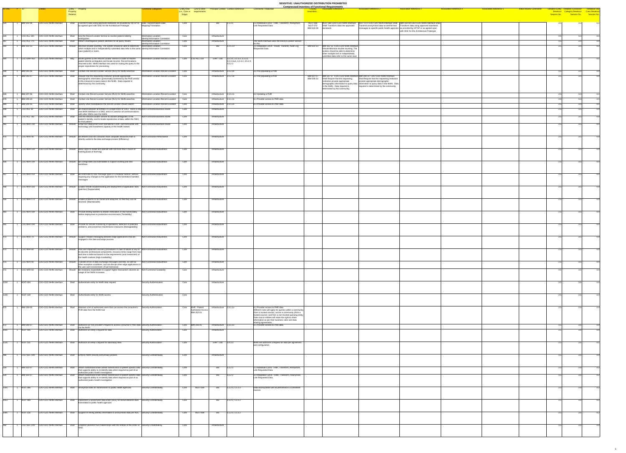| $ID-ONC$ $\#$ $ID$ |                                        |                                                  |                                                                                                                                                                                                                                                                              | <b>Functional Categories</b>                                                               | Entity Role Link to other Principal Context Context Reference |                                                         |                                                                                  | <b>Comments / Rationale</b>                                                                                                                                         | <b>Closelv</b>                | <b>Compressed Inventory of Functional Requirements</b><br><b>Associated Reference 2</b><br><b>Associated Reference 1</b>                                                                                                                                         | <b>Associated Reference 3</b><br><b>Associated Reference 4</b>                                  | <b>Associated Reference 5</b> | <b>Initial Review Comments</b> |     |                                                                                                                                         |
|--------------------|----------------------------------------|--------------------------------------------------|------------------------------------------------------------------------------------------------------------------------------------------------------------------------------------------------------------------------------------------------------------------------------|--------------------------------------------------------------------------------------------|---------------------------------------------------------------|---------------------------------------------------------|----------------------------------------------------------------------------------|---------------------------------------------------------------------------------------------------------------------------------------------------------------------|-------------------------------|------------------------------------------------------------------------------------------------------------------------------------------------------------------------------------------------------------------------------------------------------------------|-------------------------------------------------------------------------------------------------|-------------------------------|--------------------------------|-----|-----------------------------------------------------------------------------------------------------------------------------------------|
|                    |                                        |                                                  | Entity – Property<br>Property<br>Relation                                                                                                                                                                                                                                    |                                                                                            | (i.e., Core or requirements<br>Edge)                          |                                                         |                                                                                  |                                                                                                                                                                     | resembles.                    |                                                                                                                                                                                                                                                                  |                                                                                                 |                               |                                |     | Tentative Entity Tentative Functional Tentiative Use<br>Breakout Category Breakout Case Breakout<br>Session No. Session No. Session No. |
|                    | $\vert$ 1  IBM-102-08                  | <b>CDO-CDO NHIN Interface</b>                    | Shall Transform data using approved standards as provided by HITSP or Data Transformation-Data<br>as agreed upon with ONC for the Architecture Prototype                                                                                                                     | Mapping/Translation                                                                        | Core                                                          |                                                         | 1.1.3.1                                                                          | 2.3 Individual CDOs - Filter, Transform, Anonymize<br>Link Requested Data                                                                                           | <b>NGIT-072</b><br>IBM-103-08 | NGIT-068 NGIT-068 CDO-CDO NHIN Interface NGIT-072 CDO-CDO NHIN Interface Shall  IBM-103-08 CDO-CDO NHIN Interface Shall<br>Shall Transform data into approved<br>messages to specific public health agencies as provided by HITSP or as agreed upon<br>standards | $\vert$ Transmit anonymized data as well formed $\vert$ Transform data using approved standards |                               |                                | 2.5 | 3.3                                                                                                                                     |
|                    | CSC-ALL-320                            | <b>CDO-CDO NHIN Interface</b>                    | Shall Use the Record Locator Service to resolve patient indentiy                                                                                                                                                                                                             | Information Location-                                                                      | Core                                                          | Infrastructure                                          |                                                                                  |                                                                                                                                                                     |                               |                                                                                                                                                                                                                                                                  | with ONC for the Architecture Prototype                                                         |                               |                                |     |                                                                                                                                         |
|                    | CSC-ALL-770                            | <b>CDO-CDO NHIN Interface</b>                    | amibiguities.<br>Shall Return unambiguous patient identities for all query results.                                                                                                                                                                                          | Identity/Information Correlation<br>Information Location-                                  | Core                                                          | Infrastructure                                          |                                                                                  | The NHIN Interface uses the Record Locator Service                                                                                                                  |                               |                                                                                                                                                                                                                                                                  |                                                                                                 |                               |                                |     |                                                                                                                                         |
|                    | <b>IBM-103-13</b>                      | <b>CDO-CDO NHIN Interface</b>                    | Should   Minimize double counting. The system should be able to determine<br>when multiple and or independently submitted data refer to the same Identity/Information Correlation                                                                                            | Identity/Information Correlation<br>Information Location-                                  | Core                                                          | Bio                                                     | 1.2.5.1X                                                                         | for this.<br>3.4 Integrated CDOs - Route, Transmit, Audit Log<br>Requested Data                                                                                     |                               | IBM-102-13   IBM-102-13 CDO-CDO NHIN Interface<br>Should Minimize double counting. The                                                                                                                                                                           |                                                                                                 |                               |                                |     |                                                                                                                                         |
|                    |                                        |                                                  | case (patient) or event.                                                                                                                                                                                                                                                     |                                                                                            |                                                               |                                                         |                                                                                  |                                                                                                                                                                     |                               | system should be able to determine<br>when multiple and or independently<br>submitted data refer to the same case                                                                                                                                                |                                                                                                 |                               |                                |     |                                                                                                                                         |
|                    | CSC-EHR-450                            | CDO-CDO NHIN Interface                           | Route queries to the Record Locator Service in order to resolve<br>May<br>patient identity ambiguities and locate records. Record locations<br>returned to the NHIN Interface are used for routing the query to the<br>proper repositories for processing.                   | Information Location-Record Location                                                       | Core CSC-ALL-220                                              |                                                         | EHR - Lab 3.2.3.1, 3.2.3.0, 3.2.3.2,<br>3.2.3.2a,b, 3.2.3.4, 3.5.2.0,<br>3.5.2.2 |                                                                                                                                                                     |                               |                                                                                                                                                                                                                                                                  |                                                                                                 |                               |                                |     |                                                                                                                                         |
|                    | IBM-205-06                             | <b>CDO-CDO NHIN Interface</b>                    | Contain one Record Locator Service (RLS) for NHIN searches<br>Shall                                                                                                                                                                                                          | Information Location-Record Location                                                       | Core                                                          | $Infrastructure$ 2.2.2.3x                               |                                                                                  | 3.2 Pre-populating a PHR                                                                                                                                            |                               |                                                                                                                                                                                                                                                                  |                                                                                                 |                               |                                |     |                                                                                                                                         |
|                    | <b>IBM-205-07</b>                      | <b>CDO-CDO NHIN Interface</b>                    | Shall<br>Require that the requesting institution provide appropriate<br>demographic information (presumably brokered by the PHR vendor                                                                                                                                       | Information Location-Record Location                                                       | Core                                                          | Infrastructure $2.2.2.3x$                               |                                                                                  | 3.2 Pre-populating a PHR                                                                                                                                            | IBM-207-07<br>IBM-209-14      | IBM-207-07 CDO-CDO NHIN Interface IBM-209-14 CDO-CDO NHIN Interface<br>Shall Require that the requesting institution<br>Shall Require that the requesting                                                                                                        |                                                                                                 |                               |                                |     |                                                                                                                                         |
|                    |                                        |                                                  | in this instance) to query data in the NHIN. Data required is<br>determined by the community.                                                                                                                                                                                |                                                                                            |                                                               |                                                         |                                                                                  |                                                                                                                                                                     |                               | provide appropriate demographic<br>institution provide appropriate<br>demographic information to query data information to query data in the NHIN. Data $ $<br>in the NHIN. Data required is<br>required is determined by the community.                         |                                                                                                 |                               |                                |     |                                                                                                                                         |
|                    |                                        |                                                  |                                                                                                                                                                                                                                                                              |                                                                                            |                                                               |                                                         |                                                                                  |                                                                                                                                                                     |                               | determined by the community.                                                                                                                                                                                                                                     |                                                                                                 |                               |                                |     |                                                                                                                                         |
|                    | <b>IBM-207-06</b><br><b>IBM-209-13</b> | CDO-CDO NHIN Interface<br>CDO-CDO NHIN Interface | Shall Contain one Record Locator Service (RLS) for NHIN searches<br>Shall Contain one Record Locator Service (RLS) for NHIN searches                                                                                                                                         | Information Location-Record Location   Core<br>Information Location-Record Location   Core |                                                               | Infrastructure $2.1.5.2x$<br>Infrastructure $ 2.3.1.2x$ |                                                                                  | $4.2$ Updating a PHR<br>6.1 Provider access to PHR data                                                                                                             |                               |                                                                                                                                                                                                                                                                  |                                                                                                 |                               |                                |     |                                                                                                                                         |
|                    | <b>IBM-209-15</b>                      | <b>CDO-CDO NHIN Interface</b>                    | Shall Specify what marketplaces the Record Locator should search                                                                                                                                                                                                             | Information Location-Record Location Core                                                  |                                                               | Infrastructure $ 2.3.1.2x $                             |                                                                                  | 6.1 Provider access to PHR data                                                                                                                                     |                               |                                                                                                                                                                                                                                                                  |                                                                                                 |                               |                                |     |                                                                                                                                         |
|                    | CSC-ALL-10                             | <b>CDO-CDO NHIN Interface</b>                    | Shall Be shared between all entities in a single RHIO or SNO. There is only Non-Functional-Business Rules<br>one NHIN Interface in a SNO, and it is used for all communications                                                                                              |                                                                                            | Core                                                          | Infrastructure                                          |                                                                                  |                                                                                                                                                                     |                               |                                                                                                                                                                                                                                                                  |                                                                                                 |                               |                                |     |                                                                                                                                         |
|                    | CSC-ALL-760                            | <b>CDO-CDO NHIN Interface</b>                    | with other SNOs over the NHIN.<br>Use the Record Locator Service to resolve ambiguities in the<br>Shall                                                                                                                                                                      | Non-Functional-Business Rules                                                              | Core                                                          | Infrastructure                                          |                                                                                  |                                                                                                                                                                     |                               |                                                                                                                                                                                                                                                                  |                                                                                                 |                               |                                |     |                                                                                                                                         |
|                    |                                        | CSC-NFR-230 CDO-CDO NHIN Interface               | patient's identity, and to locate repositories of data, within the SNO,<br>for that patient.<br>Entail low Deployment and Operational Costs, commensurate with Non-Functional-Business Rules<br>Should                                                                       |                                                                                            | Core                                                          | Infrastructure                                          |                                                                                  |                                                                                                                                                                     |                               |                                                                                                                                                                                                                                                                  |                                                                                                 |                               |                                |     |                                                                                                                                         |
|                    |                                        |                                                  | technology and investment capacity of the health market.                                                                                                                                                                                                                     |                                                                                            |                                                               |                                                         |                                                                                  |                                                                                                                                                                     |                               |                                                                                                                                                                                                                                                                  |                                                                                                 |                               |                                |     |                                                                                                                                         |
|                    | CSC-NFR-40                             | CDO-CDO NHIN Interface                           | Should Be efficient and not consume more computer resources than is                                                                                                                                                                                                          | Non-Functional-Performance                                                                 | Core                                                          | Infrastructure                                          |                                                                                  |                                                                                                                                                                     |                               |                                                                                                                                                                                                                                                                  |                                                                                                 |                               |                                |     |                                                                                                                                         |
|                    |                                        |                                                  | directly useful to the data exchange process [Efficiency]                                                                                                                                                                                                                    |                                                                                            |                                                               |                                                         |                                                                                  |                                                                                                                                                                     |                               |                                                                                                                                                                                                                                                                  |                                                                                                 |                               |                                |     |                                                                                                                                         |
|                    |                                        | CSC-NFR-100 CDO-CDO NHIN Interface               | Should Allow users to install and operate with not more than 4 hours of                                                                                                                                                                                                      | Non-Functional-Robustness                                                                  | Core                                                          | Infrastructure                                          |                                                                                  |                                                                                                                                                                     |                               |                                                                                                                                                                                                                                                                  |                                                                                                 |                               |                                |     |                                                                                                                                         |
|                    |                                        |                                                  | training [Ease of learning]                                                                                                                                                                                                                                                  |                                                                                            |                                                               |                                                         |                                                                                  |                                                                                                                                                                     |                               |                                                                                                                                                                                                                                                                  |                                                                                                 |                               |                                |     |                                                                                                                                         |
|                    |                                        |                                                  | CSC-NFR-140 CDO-CDO NHIN Interface Should Be configurable and extendable to support existing and new                                                                                                                                                                         | Non-Functional-Robustness                                                                  | Core                                                          | Infrastructure                                          |                                                                                  |                                                                                                                                                                     |                               |                                                                                                                                                                                                                                                                  |                                                                                                 |                               |                                |     |                                                                                                                                         |
|                    |                                        |                                                  | workflows                                                                                                                                                                                                                                                                    |                                                                                            |                                                               |                                                         |                                                                                  |                                                                                                                                                                     |                               |                                                                                                                                                                                                                                                                  |                                                                                                 |                               |                                |     |                                                                                                                                         |
|                    |                                        | CSC-NFR-150 CDO-CDO NHIN Interface               | Shall  Be extensible to new message types in a modular fashion; without  Non-Functional-Robustness                                                                                                                                                                           |                                                                                            | Core                                                          | Infrastructure                                          |                                                                                  |                                                                                                                                                                     |                               |                                                                                                                                                                                                                                                                  |                                                                                                 |                               |                                |     |                                                                                                                                         |
|                    |                                        |                                                  | requiring any changes to the application for the heretofore handled                                                                                                                                                                                                          |                                                                                            |                                                               |                                                         |                                                                                  |                                                                                                                                                                     |                               |                                                                                                                                                                                                                                                                  |                                                                                                 |                               |                                |     |                                                                                                                                         |
|                    |                                        |                                                  | CSC-NFR-160 CDO-CDO NHIN Interface Should Enable remote troubleshooting and deployment of application fixes Non-Functional-Robustness<br>(patches) [Supportable]                                                                                                             |                                                                                            | Core                                                          | Infrastructure                                          |                                                                                  |                                                                                                                                                                     |                               |                                                                                                                                                                                                                                                                  |                                                                                                 |                               |                                |     |                                                                                                                                         |
|                    |                                        |                                                  |                                                                                                                                                                                                                                                                              |                                                                                            |                                                               |                                                         |                                                                                  |                                                                                                                                                                     |                               |                                                                                                                                                                                                                                                                  |                                                                                                 |                               |                                |     |                                                                                                                                         |
|                    |                                        |                                                  | $\vert$ CSC-NFR-170 $\vert$ CDO-CDO NHIN Interface $\vert$ Should $\vert$ Enable problems to be traced and analyzed, so that they can be<br>resolved [Maintainable]                                                                                                          | Non-Functional-Robustness                                                                  | Core                                                          | Infrastructure                                          |                                                                                  |                                                                                                                                                                     |                               |                                                                                                                                                                                                                                                                  |                                                                                                 |                               |                                |     |                                                                                                                                         |
|                    |                                        |                                                  |                                                                                                                                                                                                                                                                              |                                                                                            |                                                               |                                                         |                                                                                  |                                                                                                                                                                     |                               |                                                                                                                                                                                                                                                                  |                                                                                                 |                               |                                |     |                                                                                                                                         |
|                    |                                        |                                                  | CSC-NFR-180 CDO-CDO NHIN Interface Shall Provide testing facilities to enable verification of new functionality<br>before deployment to production environments [Testability]                                                                                                | Non-Functional-Robustness                                                                  | Core                                                          | Infrastructure                                          |                                                                                  |                                                                                                                                                                     |                               |                                                                                                                                                                                                                                                                  |                                                                                                 |                               |                                |     |                                                                                                                                         |
|                    |                                        |                                                  |                                                                                                                                                                                                                                                                              |                                                                                            |                                                               |                                                         |                                                                                  |                                                                                                                                                                     |                               |                                                                                                                                                                                                                                                                  |                                                                                                 |                               |                                |     |                                                                                                                                         |
|                    |                                        | CSC-NFR-190 CDO-CDO NHIN Interface               | Shall Provide for remote monitoring of operations, detection of potential<br>problems, and preventive maintenance measures [Manageability]                                                                                                                                   | Non-Functional-Robustness                                                                  | Core                                                          | Infrastructure                                          |                                                                                  |                                                                                                                                                                     |                               |                                                                                                                                                                                                                                                                  |                                                                                                 |                               |                                |     |                                                                                                                                         |
|                    |                                        |                                                  |                                                                                                                                                                                                                                                                              |                                                                                            |                                                               |                                                         |                                                                                  |                                                                                                                                                                     |                               |                                                                                                                                                                                                                                                                  |                                                                                                 |                               |                                |     |                                                                                                                                         |
|                    | 1 CSC-NFR-70                           |                                                  | CDO-CDO NHIN Interface Should Support reliable messaging between edge applications that are<br>engaged in the data exchange process                                                                                                                                          | Non-Functional-Robustness                                                                  | Core                                                          | Infrastructure                                          |                                                                                  |                                                                                                                                                                     |                               |                                                                                                                                                                                                                                                                  |                                                                                                 |                               |                                |     |                                                                                                                                         |
|                    |                                        |                                                  |                                                                                                                                                                                                                                                                              |                                                                                            |                                                               |                                                         |                                                                                  |                                                                                                                                                                     |                               |                                                                                                                                                                                                                                                                  |                                                                                                 |                               |                                |     |                                                                                                                                         |
| 474                | CSC-NFR-80                             |                                                  | CDO-CDO NHIN Interface Should Plan and implement recovery procedures in case of failure of any of Non-Functional-Robustness<br>lits discrete architectural components; recovery times range from near<br>real time to deferred based on the requirements (and investment) of |                                                                                            | Core                                                          | Infrastructure                                          |                                                                                  |                                                                                                                                                                     |                               |                                                                                                                                                                                                                                                                  |                                                                                                 |                               |                                |     |                                                                                                                                         |
|                    |                                        |                                                  | the health markets [High Availability]                                                                                                                                                                                                                                       |                                                                                            |                                                               |                                                         |                                                                                  |                                                                                                                                                                     |                               |                                                                                                                                                                                                                                                                  |                                                                                                 |                               |                                |     |                                                                                                                                         |
|                    | $\mathsf{CSC\text{-}NFR\text{-}90}$    | CDO-CDO NHIN Interface                           | Should Tolerate errors in data exchange messages and files, as well as<br>other exception conditions, and not disrupt other edge applications in<br>the user work environment. [Fault tolerance]                                                                             | Non-Functional-Robustness                                                                  | Core                                                          | Infrastructure                                          |                                                                                  |                                                                                                                                                                     |                               |                                                                                                                                                                                                                                                                  |                                                                                                 |                               |                                |     |                                                                                                                                         |
|                    | CSC-NFR-60                             | <b>CDO-CDO NHIN Interface</b>                    | Should Be modularly expandable to support higher transaction volumes as Non-Functional-Scalability<br>usage of the NHIN increases                                                                                                                                            |                                                                                            | Core                                                          | Infrastructure                                          |                                                                                  |                                                                                                                                                                     |                               |                                                                                                                                                                                                                                                                  |                                                                                                 |                               |                                |     |                                                                                                                                         |
|                    |                                        |                                                  |                                                                                                                                                                                                                                                                              |                                                                                            |                                                               |                                                         |                                                                                  |                                                                                                                                                                     |                               |                                                                                                                                                                                                                                                                  |                                                                                                 |                               |                                |     |                                                                                                                                         |
|                    | <b>NGIT-004</b>                        | CDO-CDO NHIN Interface                           | Shall Authenticate entity for NHIN data request                                                                                                                                                                                                                              | Security-Authentication                                                                    | Core                                                          | Infrastructure                                          |                                                                                  |                                                                                                                                                                     |                               |                                                                                                                                                                                                                                                                  |                                                                                                 |                               |                                |     |                                                                                                                                         |
|                    |                                        |                                                  |                                                                                                                                                                                                                                                                              |                                                                                            |                                                               |                                                         |                                                                                  |                                                                                                                                                                     |                               |                                                                                                                                                                                                                                                                  |                                                                                                 |                               |                                |     |                                                                                                                                         |
|                    | <b>NGIT-129</b>                        | CDO-CDO NHIN Interface                           | Shall Authenticate entity for NHIN access                                                                                                                                                                                                                                    | Security-Authentication                                                                    | Core                                                          |                                                         |                                                                                  |                                                                                                                                                                     |                               |                                                                                                                                                                                                                                                                  |                                                                                                 |                               |                                |     |                                                                                                                                         |
|                    | IBM-209-05                             | <b>CDO-CDO NHIN Interface</b>                    | Shall Maintain a list of authorized users that can access the consumer's Security-Authorization                                                                                                                                                                              |                                                                                            | Core EHR - Patient                                            | Infrastructure $2.3.1.1x$                               |                                                                                  | 6.1 Provider access to PHR data                                                                                                                                     |                               |                                                                                                                                                                                                                                                                  |                                                                                                 |                               |                                |     |                                                                                                                                         |
|                    |                                        |                                                  | PHR data from the NHIN hub                                                                                                                                                                                                                                                   |                                                                                            | Authorizes Access -<br><b>IBM-302-01</b>                      |                                                         |                                                                                  | Different rules will apply for queries within a community<br>$ $ (from a trusted source), across a community (from a                                                |                               |                                                                                                                                                                                                                                                                  |                                                                                                 |                               |                                |     |                                                                                                                                         |
|                    |                                        |                                                  |                                                                                                                                                                                                                                                                              |                                                                                            |                                                               |                                                         |                                                                                  | trusted source), and from a non-trusted querying entity.<br>Data source entities will retain the right to share<br>information as per their business rules and data |                               |                                                                                                                                                                                                                                                                  |                                                                                                 |                               |                                |     |                                                                                                                                         |
|                    | IBM-209-07                             | CDO-CDO NHIN Interface                           | Authorize (or not) provider's request to access consumer's PHR data Security-Authorization<br>Shall                                                                                                                                                                          |                                                                                            | $Core$  IBM-209-05                                            | Infrastructure $ 2.3.1.1x $                             |                                                                                  | sharing agreements.<br>6.1 Provider access to PHR data                                                                                                              |                               |                                                                                                                                                                                                                                                                  |                                                                                                 |                               |                                |     |                                                                                                                                         |
|                    | <b>NGIT-005</b>                        | <b>CDO-CDO NHIN Interface</b>                    | $\vert$ via the NHIN<br>Shall Authorize an entity's request for data                                                                                                                                                                                                         | Security-Authorization                                                                     | Core                                                          | Infrastructure                                          |                                                                                  |                                                                                                                                                                     |                               |                                                                                                                                                                                                                                                                  |                                                                                                 |                               |                                |     |                                                                                                                                         |
|                    |                                        |                                                  |                                                                                                                                                                                                                                                                              |                                                                                            |                                                               |                                                         |                                                                                  |                                                                                                                                                                     |                               |                                                                                                                                                                                                                                                                  |                                                                                                 |                               |                                |     |                                                                                                                                         |
|                    | $\sqrt{1126}$ 1 NGIT-151               | <b>CDO-CDO NHIN Interface</b>                    | Shall Authorize an entity's request for laboratory data                                                                                                                                                                                                                      | Security-Authorization                                                                     | Core                                                          | $EHR - Lab$ 3.4.3.3                                     |                                                                                  | NHIN will authorize a request for data per agreement<br>and configuration                                                                                           |                               |                                                                                                                                                                                                                                                                  |                                                                                                 |                               |                                |     |                                                                                                                                         |
|                    |                                        |                                                  |                                                                                                                                                                                                                                                                              |                                                                                            |                                                               |                                                         |                                                                                  |                                                                                                                                                                     |                               |                                                                                                                                                                                                                                                                  |                                                                                                 |                               |                                |     |                                                                                                                                         |
|                    |                                        | CSC-SEC-190 CDO-CDO NHIN Interface               | Shall Enforce NHIN security and privacy policies.                                                                                                                                                                                                                            | Security-Confidentiality                                                                   | Core                                                          | Infrastructure                                          |                                                                                  |                                                                                                                                                                     |                               |                                                                                                                                                                                                                                                                  |                                                                                                 |                               |                                |     |                                                                                                                                         |
|                    |                                        |                                                  |                                                                                                                                                                                                                                                                              |                                                                                            |                                                               |                                                         |                                                                                  |                                                                                                                                                                     |                               |                                                                                                                                                                                                                                                                  |                                                                                                 |                               |                                |     |                                                                                                                                         |
|                    | IBM-102-07                             | CDO-CDO NHIN Interface                           | Shall Attach randomized linker before transmission of patient specific data Security-Confidentiality<br>that supports ability to re-identify data when required as part of an<br>authorized public health investigation                                                      |                                                                                            | Core                                                          |                                                         |                                                                                  | 2.3 Individual CDOs - Filter, Transform, Anonymize,<br>Link Requested Data                                                                                          |                               |                                                                                                                                                                                                                                                                  |                                                                                                 |                               |                                |     |                                                                                                                                         |
|                    | <b>IBM-103-07</b>                      | CDO-CDO NHIN Interface                           | Attach randomized linker before transmission of patient specific data Security-Confidentiality<br>Shall<br>that supports ability to re-identify data when required as part of an                                                                                             |                                                                                            | Core                                                          |                                                         | .2.2.2                                                                           | 3.3 Integrated CDOs - Filter, Transform, Anonymize,<br>Link Requested Data                                                                                          |                               |                                                                                                                                                                                                                                                                  |                                                                                                 |                               |                                |     |                                                                                                                                         |
|                    |                                        |                                                  | authorized public health investigation                                                                                                                                                                                                                                       |                                                                                            |                                                               |                                                         |                                                                                  |                                                                                                                                                                     |                               |                                                                                                                                                                                                                                                                  |                                                                                                 |                               |                                |     |                                                                                                                                         |
|                    | 1 NGIT-066                             | <b>CDO-CDO NHIN Interface</b>                    | Shall Anonymize data for transmission to public health agencies                                                                                                                                                                                                              | Security-Confidentiality                                                                   | NGIT-069<br>Core                                              |                                                         | 1.1.2.0, 1.2.2.0                                                                 | Data anomyization will be performed in a consistent<br>manner                                                                                                       |                               |                                                                                                                                                                                                                                                                  |                                                                                                 |                               |                                |     |                                                                                                                                         |
|                    |                                        |                                                  |                                                                                                                                                                                                                                                                              |                                                                                            |                                                               |                                                         |                                                                                  |                                                                                                                                                                     |                               |                                                                                                                                                                                                                                                                  |                                                                                                 |                               |                                |     |                                                                                                                                         |
|                    | NGIT-069                               | <b>CDO-CDO NHIN Interface</b>                    | Shall Implement a randomized data linker (RDL) for biosurveillance data Security-Confidentiality<br>transmitted to public health agencies                                                                                                                                    |                                                                                            | Core                                                          | Bi∩∶                                                    | .1.2.2, 1.2.2.2                                                                  |                                                                                                                                                                     |                               |                                                                                                                                                                                                                                                                  |                                                                                                 |                               |                                |     |                                                                                                                                         |
|                    | 1 NGIT-116                             |                                                  | CDO-CDO NHIN Interface Shall Support re-linking identity information to anonymized data per RDL Security-Confidentiality                                                                                                                                                     |                                                                                            | Core NGIT-069                                                 | Bio                                                     | 1.1.2.2, 1.2.2.2                                                                 |                                                                                                                                                                     |                               |                                                                                                                                                                                                                                                                  |                                                                                                 |                               |                                |     |                                                                                                                                         |
|                    |                                        |                                                  |                                                                                                                                                                                                                                                                              |                                                                                            |                                                               |                                                         |                                                                                  |                                                                                                                                                                     |                               |                                                                                                                                                                                                                                                                  |                                                                                                 |                               |                                |     |                                                                                                                                         |
|                    |                                        |                                                  | The CSC-SEC-240 CDO-CDO NHIN Interface Shall Establish pairwise trust relationships with the entities of the RHIO or Security-Credentialing                                                                                                                                  |                                                                                            | Core                                                          | Infrastructure                                          |                                                                                  |                                                                                                                                                                     |                               |                                                                                                                                                                                                                                                                  |                                                                                                 |                               |                                |     |                                                                                                                                         |
|                    |                                        |                                                  |                                                                                                                                                                                                                                                                              |                                                                                            |                                                               |                                                         |                                                                                  |                                                                                                                                                                     |                               |                                                                                                                                                                                                                                                                  |                                                                                                 |                               |                                |     |                                                                                                                                         |
|                    |                                        |                                                  |                                                                                                                                                                                                                                                                              |                                                                                            |                                                               |                                                         |                                                                                  |                                                                                                                                                                     |                               |                                                                                                                                                                                                                                                                  |                                                                                                 |                               |                                |     |                                                                                                                                         |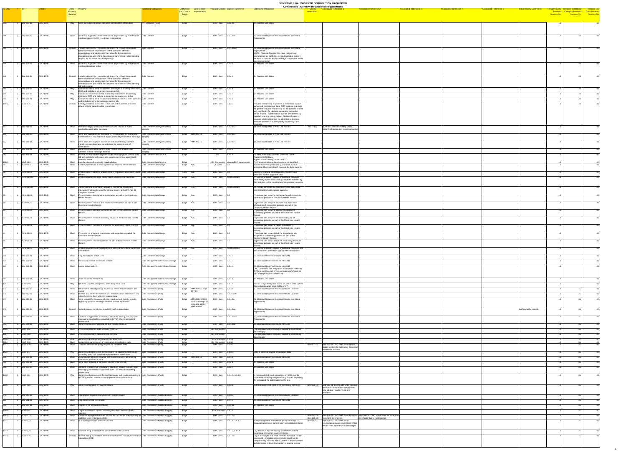| ID-ONC # ID |                                        |                    | Entity - Property           |                                                                                                                                                                                | unctional Categories                               | Entity Role Link to other Principal Context Context Reference |                                                                | <b>Compressed Inventory of Functional Requirements</b><br><b>Associated Reference 2</b><br><b>Comments / Rationale</b><br><b>Associated Reference 3</b><br><b>Associated Reference 5</b><br><b>Initial Review Comments</b><br><b>Associated Reference 1</b><br><b>Associated Reference 4</b> |                                                                                                                                        |
|-------------|----------------------------------------|--------------------|-----------------------------|--------------------------------------------------------------------------------------------------------------------------------------------------------------------------------|----------------------------------------------------|---------------------------------------------------------------|----------------------------------------------------------------|----------------------------------------------------------------------------------------------------------------------------------------------------------------------------------------------------------------------------------------------------------------------------------------------|----------------------------------------------------------------------------------------------------------------------------------------|
|             |                                        |                    | <b>Property</b><br>Relation |                                                                                                                                                                                |                                                    | (i.e., Core or requirements<br>Edge)                          |                                                                | resembles.                                                                                                                                                                                                                                                                                   | entative Entity Tentative Functional Tentiative Use<br>Breakout Category Breakout Case Breakout<br>Session No. Session No. Session No. |
|             |                                        |                    |                             |                                                                                                                                                                                |                                                    |                                                               |                                                                |                                                                                                                                                                                                                                                                                              |                                                                                                                                        |
|             | $\vert$ 1  IBM-316-10                  | CDO-EMR            |                             | May Store lab supplied unique lab order identification information                                                                                                             | ??-Unknown (IBM)                                   | Edge                                                          | EHR - Lab $ 3.2.2.10$                                          | 3.4 Process Lab Order                                                                                                                                                                                                                                                                        |                                                                                                                                        |
|             |                                        |                    |                             |                                                                                                                                                                                |                                                    |                                                               |                                                                |                                                                                                                                                                                                                                                                                              |                                                                                                                                        |
|             | <b>IBM-308-12</b>                      | CDO-EMR            |                             | Shall Adhere to approved content standards as provided by HITSP when Data Content                                                                                              |                                                    | Edge                                                          | EHR-Lab $3.2.1.1ax$                                            | 2.2 Clinician Requests Historical Results from Data                                                                                                                                                                                                                                          |                                                                                                                                        |
|             |                                        |                    |                             | sending request for lab result data to repository                                                                                                                              |                                                    |                                                               |                                                                | Repositories                                                                                                                                                                                                                                                                                 |                                                                                                                                        |
|             | <b>IBM-308-14</b>                      | CDO-EMR            |                             | Should   Include name of the requesting clinician; the HIPAA designated                                                                                                        | Data Content                                       |                                                               | EHR-Lab 3.2.1.1ax2                                             | 2.2 Clinician Requests Historical Results from Data                                                                                                                                                                                                                                          |                                                                                                                                        |
|             |                                        |                    |                             | National Provider ID and name of the clinician's affiliated                                                                                                                    |                                                    | Edge                                                          |                                                                | Renositories<br>NOTE: National Provider IDs have not yet been                                                                                                                                                                                                                                |                                                                                                                                        |
|             |                                        |                    |                             | organization, and identifying information for the requesting<br>marketplace as part of the data request transmission when sending<br>request for lab result data to repository |                                                    |                                                               |                                                                | promulgated; as such, this is requirement is stated in                                                                                                                                                                                                                                       |                                                                                                                                        |
|             | IBM-316-02                             | CDO-EMR            |                             | Shall Adhere to approved content standards as provided by HITSP when Data Content                                                                                              |                                                    | Edge                                                          | $EHR - Lab$ 3.2.z.2                                            | the form of "should" to acknowledge prospective health<br>care environment.<br>3.4 Process Lab Order                                                                                                                                                                                         |                                                                                                                                        |
|             |                                        |                    |                             | sending lab orders to lab                                                                                                                                                      |                                                    |                                                               |                                                                |                                                                                                                                                                                                                                                                                              |                                                                                                                                        |
|             |                                        |                    |                             |                                                                                                                                                                                |                                                    |                                                               |                                                                |                                                                                                                                                                                                                                                                                              |                                                                                                                                        |
|             | 1 IBM-316-03                           | CDO-EMR            |                             | Should   Include name of the requesting clinician; the HIPAA designated<br>National Provider ID and name of the clinician's affiliated                                         | Data Content                                       | Edge                                                          | EHR-Lab $\overline{3.2.z.3}$                                   | 3.4 Process Lab Order                                                                                                                                                                                                                                                                        |                                                                                                                                        |
|             |                                        |                    |                             | organization; and identifying information for the requesting<br>marketplace as part of the data request transmission when sending                                              |                                                    |                                                               |                                                                |                                                                                                                                                                                                                                                                                              |                                                                                                                                        |
|             | IBM-316-04                             | CDO-EMR            |                             | lab orders to lab<br>May  Indicate for lab to send result event messages to ordering clinician's  Data Content                                                                 |                                                    | Edge                                                          | $EHR - Lab$ 3.2.z.4                                            | 3.4 Process Lab Order                                                                                                                                                                                                                                                                        |                                                                                                                                        |
|             | <b>IBM-316-05</b>                      | CDO-EMR            | May                         | EMR and include in lab order message to lab<br>Indicate to send result event availability notifications to ordering                                                            | Data Content                                       | Edge                                                          | EHR-Lab $3.2.2.5$                                              | 3.4 Process Lab Order                                                                                                                                                                                                                                                                        |                                                                                                                                        |
|             | <b>IBM-316-06</b>                      | CDO-EMR            |                             | clinician's EMR and include in lab order message sent to lab<br>May  Indicate for lab to send result availability notification to other clinicians Data Content                |                                                    | Edge                                                          | EHR-Lab $3.2.2.6$                                              | 3.4 Process Lab Order                                                                                                                                                                                                                                                                        |                                                                                                                                        |
|             | <b>NGIT-115</b>                        | CDO-EMR            |                             | and include in lab order message sent to lab<br>Should   Identify providers associated in the care of the patient, and their                                                   | Data Content                                       | Edge                                                          | EHR-Lab $3.1.2.0$                                              | Provider relationship to patients is needed to support                                                                                                                                                                                                                                       |                                                                                                                                        |
|             |                                        |                    |                             | relationship to patient and/or procedures                                                                                                                                      |                                                    |                                                               |                                                                | authorized disclosure of data. EMR systems maintain<br>the patient-provider relationship for the episode of care                                                                                                                                                                             |                                                                                                                                        |
|             |                                        |                    |                             |                                                                                                                                                                                |                                                    |                                                               |                                                                | and specifically for lab tests requested during the<br>period of care. Relationships may be pre-defined by                                                                                                                                                                                   |                                                                                                                                        |
|             |                                        |                    |                             |                                                                                                                                                                                |                                                    |                                                               |                                                                | hospital, practice, group policy. Additional patient-<br>provider relationships may be identified at the time                                                                                                                                                                                |                                                                                                                                        |
|             |                                        |                    |                             |                                                                                                                                                                                |                                                    |                                                               |                                                                | tests are ordered or subsequently by primary care<br>providers.                                                                                                                                                                                                                              |                                                                                                                                        |
|             | <b>IBM-306-05</b>                      | CDO-EMR            |                             | Shall Validate integrity and completeness of new lab result event<br>availability notification message                                                                         | Data Content-Data Quality/Data                     | Edge                                                          | EHR-Lab $3.2.2.1x2$                                            | 1.6 Clinician Notified of New Lab Results<br>NGIT-122 NGIT-122 CDO-EMR May Verify<br>integrity of unsolicited result transaction                                                                                                                                                             |                                                                                                                                        |
|             | <b>IBM-306-07</b>                      | CDO-EMR            | Shall                       | Send acknowledgement message to record locator for successful                                                                                                                  | Data Content-Data Quality/Data                     | Edge $ IBM-305-14\rangle$                                     | EHR - Lab $\vert$ 3.2.2.1x3                                    | 1.6 Clinician Notified of New Lab Results                                                                                                                                                                                                                                                    |                                                                                                                                        |
|             |                                        |                    |                             | transmission of new lab result event availability notification message Integrity                                                                                               |                                                    |                                                               |                                                                |                                                                                                                                                                                                                                                                                              |                                                                                                                                        |
|             | <b>IBM-306-09</b>                      | CDO-EMR            | Shall                       | Send error messages to locator service if authenticity content<br>integrity or completeness not validated for transmission of                                                  | Data Content-Data Quality/Data<br>Integrity        | Edge $ IBM-305-15 $                                           | EHR-Lab $3.2.2.1x4$                                            | 1.6 Clinician Notified of New Lab Results                                                                                                                                                                                                                                                    |                                                                                                                                        |
|             | <b>IBM-316-08</b>                      | CDO-EMR            | Shall                       | notifications<br>Receive acknowledgement of order receipt and unique order                                                                                                     | Data Content-Data Quality/Data                     | Edge                                                          | $EHR - Lab$ 3.2.z.9                                            | 3.4 Process Lab Order                                                                                                                                                                                                                                                                        |                                                                                                                                        |
|             | <b>IBM-106-08</b>                      | CDO-EMR            |                             | identifier or error message from lab<br>Shall Provide additional/revised patient data (demographics, clinical data,                                                            | Data Content-Data Source                           | Edge                                                          | $\vert$ 1.z.2.8<br>Bio                                         | 6.5 PH Community - Monitor Detected Event -                                                                                                                                                                                                                                                  |                                                                                                                                        |
|             |                                        |                    |                             | ab and radiology test orders and results) to monitor a previously<br>detected event                                                                                            |                                                    |                                                               |                                                                | Additional CDO Data<br>Applies to ambulatory, acute, and ED.                                                                                                                                                                                                                                 |                                                                                                                                        |
|             | 1   NGIT-104<br>$1$ ACN-03.3           | CDO-EMR<br>CDO-EMR |                             | Shall   Identify source of externally-provided data<br>Shall Enable providers to access a patient's Electronic Health Record.   Data Content-Data Usage                        | Data Content-Data Source                           | Edge<br>Edge N/A                                              | $CE - Consumer$ also an EHR requirement<br>CE, EHR $\vert$ 3.2 | PHR-provided clinical data needs to be identified<br>It is necessary for participating providers to have                                                                                                                                                                                     |                                                                                                                                        |
|             |                                        |                    |                             |                                                                                                                                                                                |                                                    |                                                               |                                                                | access to Electronic Health Records for their patients.                                                                                                                                                                                                                                      |                                                                                                                                        |
|             | ACN-03.3.1                             | CDO-EMR            |                             | Shall Fnable edge systems to acquire data to populate a Electronic Health Data Content-Data Usage                                                                              |                                                    | Core N/A                                                      | $EHR - Lab$                                                    | Electronic medical record systems need to have<br>electronic access to patient data.                                                                                                                                                                                                         |                                                                                                                                        |
|             | ACN-03.3.10                            | CDO-EMR            |                             | Shall Enable providers to more easily report adverse drug reactions.                                                                                                           | Data Content-Data Usage                            | Edge N/A                                                      | EHR - Lab No Reference                                         | An Electronic Health Record should help providers<br>  more easily report adverse drug reactions suffered by                                                                                                                                                                                 |                                                                                                                                        |
|             |                                        |                    |                             |                                                                                                                                                                                |                                                    |                                                               |                                                                | their patients to the manufacturer or regulatory agency.                                                                                                                                                                                                                                     |                                                                                                                                        |
|             | ACN-03.3.11                            | CDO-EMR            |                             | Shall Capture clinical information as part of the normal health care<br>Interaction that can be used for clinical trials in a 21CFR Part 11                                    | Data Content-Data Usage                            | Edge N/A                                                      | EHR - Lab No Reference                                         | This would eliminate the need to key the same data<br>into clinical trial data capture systems.                                                                                                                                                                                              |                                                                                                                                        |
|             | ACN-03.3.2                             | CDO-EMR            |                             | compliant manner.<br>Shall Present patient demographic information as part of the Electronic                                                                                   | Data Content-Data Usage                            | Edge N/A                                                      | EHR-Lab                                                        | Physicians can view the demographics of consenting                                                                                                                                                                                                                                           |                                                                                                                                        |
|             |                                        |                    |                             | Health Record.                                                                                                                                                                 |                                                    |                                                               |                                                                | patients as part of the Electronic Health Record.                                                                                                                                                                                                                                            |                                                                                                                                        |
|             | ACN-03.3.3                             | CDO-EMR            |                             | Shall   Present patient financial and insurance information as part of the<br>Electronic Health Record.                                                                        | Data Content-Data Usage                            | Edge N/A                                                      | EHR - Lab                                                      | Physicians can view the financial and insurance<br>information of consenting patients as part of the                                                                                                                                                                                         |                                                                                                                                        |
|             | ACN-03.3.4                             | CDO-EMR            |                             | Shall Present patient allergy information as part of the Electronic Health Data Content-Data Usage                                                                             |                                                    | Edge N/A                                                      | EHR-Lab                                                        | Electronic Health Record.<br>Physicians can view the allergy information of                                                                                                                                                                                                                  |                                                                                                                                        |
|             |                                        |                    |                             | <b>Record</b>                                                                                                                                                                  |                                                    |                                                               |                                                                | consenting patients as part of the Electronic Health<br>Record.                                                                                                                                                                                                                              |                                                                                                                                        |
|             | ACN-03.3.5                             | CDO-EMR            |                             | Shall Present patient medication history as part of the Electronic Health<br>Record.                                                                                           | Data Content-Data Usage                            | Edge N/A                                                      | EHR-Lab $3.2$                                                  | Physicians can view the medication history of<br>consenting patients as part of the Electronic Health                                                                                                                                                                                        |                                                                                                                                        |
|             | ACN-03.3.6                             | CDO-EMR            |                             | Shall Present patient conditions as part of the Electronic Health Record.                                                                                                      | Data Content-Data Usage                            | Edge N/A                                                      | EHR-Lab $3.2$                                                  | Record.<br>Physicians can view the health conditions of                                                                                                                                                                                                                                      |                                                                                                                                        |
|             |                                        |                    |                             |                                                                                                                                                                                |                                                    |                                                               |                                                                | consenting patients as part of the Electronic Health<br>Record.                                                                                                                                                                                                                              |                                                                                                                                        |
|             | ACN-03.3.7                             | CDO-EMR            |                             | Shall Present a list of patient procedures and surgeries as part of the<br>Electronic Health Record.                                                                           | Data Content-Data Usage                            | Edge N/A                                                      | EHR-Lab                                                        | Physicians can view a list of the procedures and<br>surgeries of consenting patients as part of the                                                                                                                                                                                          |                                                                                                                                        |
|             | ACN-03.3.8                             | CDO-EMR            |                             | Shall   Present patient laboratory results as part of the Electronic Health                                                                                                    | Data Content-Data Usage                            | Edge N/A                                                      | EHR-Lab                                                        | Electronic Health Record.<br>Physicians can view a list of the laboratory results of                                                                                                                                                                                                         |                                                                                                                                        |
|             |                                        |                    |                             | Record.                                                                                                                                                                        |                                                    |                                                               |                                                                | consenting patients as part of the Electronic Health<br>Record.                                                                                                                                                                                                                              |                                                                                                                                        |
|             | ACN-03.3.9                             | CDO-EMR            |                             | Shall Enable providers and investigators to find and enroll their patients in Data Content-Data Usage<br>clinical trials.                                                      |                                                    | Edge N/A                                                      | EHR - Lab No Reference                                         | An Electronic Health Record should help providers find<br>and enroll their patients in appropriate clinical trials                                                                                                                                                                           |                                                                                                                                        |
|             | <b>IBM-311-06</b>                      | CDO-EMR            |                             | Shall   Flag new results within EHR                                                                                                                                            | Data Content-Data Usage                            | Edge                                                          | EHR - Lab 3.2.1.5                                              | 2.5 Clinician Receives Results into EHR                                                                                                                                                                                                                                                      |                                                                                                                                        |
|             | <b>IBM-311-04</b>                      | CDO-EMR            |                             | Shall Parse and validate lab results content                                                                                                                                   | Data Storage-Persistent Data Storage               | Edge                                                          | EHR - Lab $\vert$ 3.2.1.3                                      | 2.5 Clinician Receives Results into EHR                                                                                                                                                                                                                                                      |                                                                                                                                        |
|             | <b>IBM-311-05</b>                      | CDO-EMR            |                             | Shall   Merge data into EHR                                                                                                                                                    | Data Storage-Persistent Data Storage   Edge        |                                                               | EHR-Lab $3.2.1.4$                                              | 2.5 Clinician Receives Results into EHR                                                                                                                                                                                                                                                      |                                                                                                                                        |
|             |                                        |                    |                             |                                                                                                                                                                                |                                                    |                                                               |                                                                | ONC Guidance: The integration of lab result data into<br>EHRs is a critical part of the use case and should be                                                                                                                                                                               |                                                                                                                                        |
|             |                                        |                    |                             |                                                                                                                                                                                |                                                    |                                                               |                                                                | part of the prototype architecture                                                                                                                                                                                                                                                           |                                                                                                                                        |
|             | <b>IBM-316-09</b>                      | CDO-EMR            |                             | Shall Store lab order information                                                                                                                                              | Data Storage-Persistent Data Storage   Edge        |                                                               | EHR-Lab $3.2.2.8$                                              | 3.4 Process Lab Order                                                                                                                                                                                                                                                                        |                                                                                                                                        |
|             | NGIT-140                               | CDO-EMR            |                             | May Receive, process, and persist laboratory result data                                                                                                                       | Data Storage-Persistent Data Storage               | Edge                                                          | EHR-Lab $3.4.1.4$                                              | Results may identify restrictions on use of data. (Does<br>this pertain to acute care EMRs only?)                                                                                                                                                                                            |                                                                                                                                        |
|             | <b>IBM-307-50</b><br><b>IBM-307-55</b> | CDO-EMR<br>CDO-EMR |                             | Shall Receive the data repository location(s) where the test results are<br>Shall Browse and select the relevant test results location information and Data Transaction-(Pull) | Data Transaction-(Pull)                            | Edge $ IBM-307-47; IBM-$<br>$ 307-01$                         | EHR - Lab   3.2.3.4<br>EHR - Lab $\vert$ 3.2.3.3ax6            | 2.1 Clinician Requests Historical Results Location<br>2.1 Clinician Requests Historical Results Location                                                                                                                                                                                     |                                                                                                                                        |
|             |                                        |                    |                             | select locations from which to request data                                                                                                                                    |                                                    | Edge                                                          |                                                                |                                                                                                                                                                                                                                                                                              |                                                                                                                                        |
|             | <b>IBM-308-01</b>                      | CDO-EMR            | Shall                       | Send request for historical lab test result content directly to data<br>repository (local or remote) from EHR or web application                                               | Data Transaction-(Pull)                            | Edge   IBM-304-20 (IBM-<br>$ 304-18$ through 22               | EHR-Lab $\vert$ 3.2.1.1a                                       | 2.2 Clinician Requests Historical Results from Data<br>Repositories                                                                                                                                                                                                                          |                                                                                                                                        |
|             | <b>IBM-308-03</b>                      | CDO-EMR            |                             | Should Submit request for lab test results through a data stager                                                                                                               | Data Transaction-(Pull)                            | may also apply);<br><b>IBM-309-01</b><br>Edge                 | EHR - Lab 3.2.1.1az                                            | 2.2 Clinician Requests Historical Results from Data<br>Architectually specific                                                                                                                                                                                                               |                                                                                                                                        |
|             |                                        |                    |                             |                                                                                                                                                                                |                                                    |                                                               |                                                                | Repositories                                                                                                                                                                                                                                                                                 |                                                                                                                                        |
|             | <b>IBM-308-05</b>                      | CDO-EMR            |                             | Shall Conform to approved, vocabulary, structure, privacy, security and<br>messaging standards as provided by HITSP when transmitting                                          | Data Transaction-(Pull)                            | Edge                                                          | EHR-Lab 3.2.1.1ax3                                             | 2.2 Clinician Requests Historical Results from Data<br>Repositories                                                                                                                                                                                                                          |                                                                                                                                        |
|             | 1 IBM-311-02 CDO-EMR                   |                    | Shall                       | patient<br>Receive requested historical lab test results into EHR                                                                                                              | Data Transaction-(Pull)                            | Edge                                                          | EHR - Lab $3.2.1.1ax$                                          | 2.5 Clinician Receives Results into EHR                                                                                                                                                                                                                                                      |                                                                                                                                        |
|             | $N$ GIT-102                            | CDO-EMR            |                             | Shall Process registration data received from CE                                                                                                                               | Data Transaction-(Pull)                            | Edge                                                          | CE - Consumer                                                  | Processing includes receiving, validating, confirming                                                                                                                                                                                                                                        |                                                                                                                                        |
|             | $NGIT-103$                             | CDO-EMR            |                             | Shall Process medication data received from CE                                                                                                                                 | Data Transaction-(Pull)                            | Edge                                                          | CE - Consumer                                                  | data integrity<br>Processing includes receiving, validating, confirming                                                                                                                                                                                                                      |                                                                                                                                        |
|             | NGIT-108                               | CDO-EMR            |                             | shall Receive and validate request for data from PHR                                                                                                                           | Data Transaction-(Pull)                            | Edge                                                          | CE - Consumer 2.3.3.1                                          | data integrity                                                                                                                                                                                                                                                                               |                                                                                                                                        |
|             | NGIT-110<br>NGIT-128                   | CDO-EMR<br>CDO-EMR | Shall                       | Support the transmission of registration & medication data<br>Shall Transmit well formed query request for lab result data                                                     | Data Transaction-(Pull)<br>Data Transaction-(Pull) | Edge<br>Edge                                                  | $\vert$ CE - Consumer 2.3.3.3<br>EHR-Lab $ 3.2.3.0$            | IBM-307-01 CDO-EMR Shall Query<br>IBM-307-01                                                                                                                                                                                                                                                 |                                                                                                                                        |
|             |                                        |                    |                             |                                                                                                                                                                                |                                                    |                                                               |                                                                | locator system for laboratory (historical)<br>test results location                                                                                                                                                                                                                          |                                                                                                                                        |
|             | $NGIT-147$                             | CDO-EMR            |                             | $\mathsf{May}$ Receive and process well formed query for laboratory test results<br>according to HITSP specified implementation instructions                                   | Data Transaction-(Pull)                            | Edge                                                          | $EHR - Lab$ 3.4.3.0                                            | EMR is potential source of lab result data                                                                                                                                                                                                                                                   |                                                                                                                                        |
|             | <b>IBM-311-01</b>                      | CDO-EMR            |                             | Shall Automatically Receive new lab test results into EHR as ordering<br>clinician or provider of care                                                                         | Jata Transaction-(Push)                            | Edge $ \overline{\text{IBM-304-18}} $                         | EHR-Lab $3.2.1.1$                                              | 2.5 Clinician Receives Results into EHR                                                                                                                                                                                                                                                      |                                                                                                                                        |
|             | <b>IBM-316-01</b>                      | CDO-EMR            |                             | Shall Send new, updated or canceled lab test orders to lab                                                                                                                     | Data Transaction-(Push)                            | Edge                                                          | EHR - Lab $ 3.2.z.1$                                           | 3.4 Process Lab Order                                                                                                                                                                                                                                                                        |                                                                                                                                        |
|             | <b>IBM-316-07</b>                      | CDO-EMR            | Shall                       | Conform to approved, vocabulary, structure, privacy, security and<br>messaging standards as provided by HITSP when transmitting                                                | Data Transaction-(Push)                            | Edge                                                          | EHR-Lab $3.2.2.7$                                              | 3.4 Process Lab Order                                                                                                                                                                                                                                                                        |                                                                                                                                        |
|             | NGIT-121                               | CDO-EMR            | May                         | patient data<br>Receive and process well formed laboratory test results according to Data Transaction-(Push)                                                                   |                                                    | Edge                                                          | EHR-Lab 3.2.1.0, 3.4.1.0                                       | In the unsolicited result paradigm, an EMR may be                                                                                                                                                                                                                                            |                                                                                                                                        |
|             |                                        |                    |                             | HITSP specified standards and implementation instructions                                                                                                                      |                                                    |                                                               |                                                                | capable of receiving and processing results, especially<br>if it generated the initial order for the test.                                                                                                                                                                                   |                                                                                                                                        |
|             | NGIT-126                               | CDO-EMR            |                             | May Receive notification of new test results                                                                                                                                   | Data Transaction-(Push)                            | Edge                                                          | $EHR - Lab$ 3.2.2.1                                            | IBM-306-01<br>IBM-306-01 CDO-EMR Shall Receive<br>Notifications do not need to be technically complex.                                                                                                                                                                                       |                                                                                                                                        |
|             |                                        |                    |                             |                                                                                                                                                                                |                                                    |                                                               |                                                                | notification from locator service that<br>new lab test results events are                                                                                                                                                                                                                    |                                                                                                                                        |
|             | <b>IBM-307-52</b>                      | CDO-EMR            |                             | Shall   Log location request interaction with locator service                                                                                                                  | Data Transaction-Audit & Logging                   | Edge                                                          | EHR - Lab 3.2.3.5                                              | available<br>2.1 Clinician Requests Historical Results Location                                                                                                                                                                                                                              |                                                                                                                                        |
|             | <b>IBM-311-08</b>                      | CDO-EMR            |                             | Shall   Log receipt of lab test results                                                                                                                                        | Data Transaction-Audit & Logging                   | Edge                                                          | EHR-Lab $3.2.1.7$                                              | 2.5 Clinician Receives Results into EHR                                                                                                                                                                                                                                                      |                                                                                                                                        |
|             | <b>IBM-316-11</b>                      | CDO-EMR            |                             | Shall Log lab order interaction with lab                                                                                                                                       | Data Transaction-Audit & Logging                   | Edge                                                          | EHR-Lab 3.2.z.11                                               | 3.4 Process Lab Order                                                                                                                                                                                                                                                                        |                                                                                                                                        |
|             | NGIT-107                               | CDO-EMR            |                             | Shall   Log interactions of system receiving data from external (PHR)                                                                                                          | Data Transaction-Audit & Logging                   | Edge                                                          | CE - Consumer 2.3.2.6                                          |                                                                                                                                                                                                                                                                                              |                                                                                                                                        |
|             | $NGIT-113$                             | CDO-EMR            |                             | sources<br>Shall $\Box$ Create an exception list when lab results can not be unequivocally be Data Transaction-Audit & Logging                                                 |                                                    | Edge                                                          | EHR-Lab $3.2.1.7a$                                             | IBM-311-09 CDO-EMR Shall Produce  IBM-209-38 CDO May Create an exception  <br>IBM-311-09                                                                                                                                                                                                     |                                                                                                                                        |
|             | NGIT-123                               | CDO-EMR            |                             | matched to an order/patient/etc.<br>Shall Acknowledge receipt of lab result data                                                                                               | Data Transaction-Audit & Logging                   | Edge                                                          | EHR - Lab $\vert$ 3.2.1.6, 3.4.1.3                             | IBM-209-38<br>exception list of errors<br>list of data that is not imported<br>IBM-311-07<br>IBM-311-07 CDO-EMR Shall<br>Acknowledgement will confirm appropriateness or                                                                                                                     |                                                                                                                                        |
|             |                                        |                    |                             |                                                                                                                                                                                |                                                    |                                                               |                                                                | Acknowledge successful receipt of lab<br>inappropriateness of transmission per validation check.<br>results from repository or data stager                                                                                                                                                   |                                                                                                                                        |
|             | NGIT-124                               | CDO-EMR            |                             | Shall Maintain a log of interactions with external data systems                                                                                                                | Data Transaction-Audit & Logging                   | Edge                                                          | EHR-Lab $3.2.1.7, 3.4.1.6$                                     | Log data must include history of the receipt of lab                                                                                                                                                                                                                                          |                                                                                                                                        |
|             | $NGIT-125$                             | CDO-EMR            |                             | Should   Provide listing of lab result transactions received but not processed or Data Transaction-Audit & Logging                                                             |                                                    | Edge                                                          | EHR-Lab $3.2.1.7a$                                             | result data from other source systems.<br>Log of messages that were received but could not be                                                                                                                                                                                                |                                                                                                                                        |
|             |                                        |                    |                             | loaded into EMR                                                                                                                                                                |                                                    |                                                               |                                                                | processed -- including where results could not be<br>unequivocally matched with a patient -- should contain                                                                                                                                                                                  |                                                                                                                                        |
|             |                                        |                    |                             |                                                                                                                                                                                |                                                    |                                                               |                                                                | sufficient data to trace transaction to source system.                                                                                                                                                                                                                                       |                                                                                                                                        |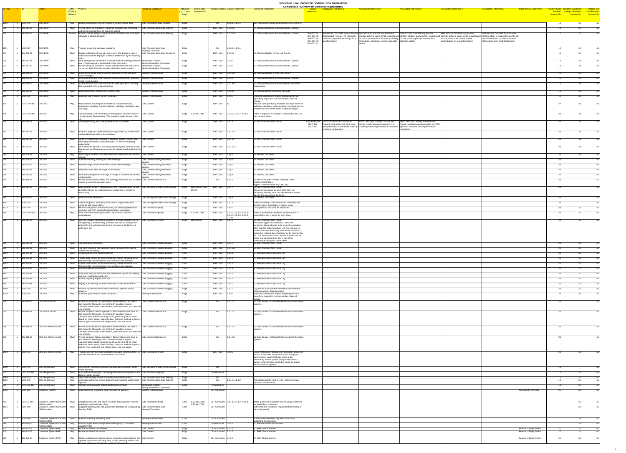# **<u>Ictional Requirements</u></u>**

| Core or requirements<br>Edge)                 |                                                    |                                                  |                                                                                                                                                                           | resembles                                                                                                                                                                                                                                                                                                                                                                                                                                                                 | Session No.                                                    | Breakout Category Breakout Case Breakou | Session No. Session No  |
|-----------------------------------------------|----------------------------------------------------|--------------------------------------------------|---------------------------------------------------------------------------------------------------------------------------------------------------------------------------|---------------------------------------------------------------------------------------------------------------------------------------------------------------------------------------------------------------------------------------------------------------------------------------------------------------------------------------------------------------------------------------------------------------------------------------------------------------------------|----------------------------------------------------------------|-----------------------------------------|-------------------------|
| Edge                                          | Bio                                                | 1.1.5.1, 1.2.5.1                                 | May defer determination of destinations to CDO NHIN                                                                                                                       |                                                                                                                                                                                                                                                                                                                                                                                                                                                                           | 1.1                                                            | 3.2                                     | 4.2                     |
| Edge                                          | EHR - Lab                                          | 3.2.3.3a                                         | 2.1 Clinician Requests Historical Results Location                                                                                                                        |                                                                                                                                                                                                                                                                                                                                                                                                                                                                           | $-1$                                                           |                                         | 4.1                     |
| Edge                                          | EHR - Lab                                          | 3.2.3.3ax1                                       | 2.1 Clinician Requests Historical Results Location                                                                                                                        | IBM-307-34 CDO-EMR Should Provide IBM-307-36 CDO-EMR Should Provide<br>IBM-307-34<br>IBM-307-38 CDO-EMR May Provide<br>IBM-307-40 CDO-EMR May Provide<br>IBM-307-42 CDO-EMR Shall Provide<br>IBM-307-36<br>$\vert$ clinician ability to query for lab results $\vert$ clinician ability to query for lab results based clinician ability to query for lab results based<br>clinician ability to query for lab results based clinician ability to request for specific lab | 1.1                                                            |                                         | 4.1                     |
|                                               |                                                    |                                                  |                                                                                                                                                                           | IBM-307-38<br>based on a specified date range for a $\vert$ on one or more types of lab data (chemistry, on one or more specified lab tests for a<br>on one, more or all local or remote<br>test results based on order number or<br>IBM-307-40<br>specified patient<br>$\vert$ hematology, pathology, etc) for a specified $\vert$ specified patient<br>other unique test result identification<br>marketplaces for a specified patient                                  |                                                                |                                         |                         |
| Edge                                          | Bio                                                | 1.1.3.1, 1.2.3.1                                 |                                                                                                                                                                           | IBM-307-42<br>patient                                                                                                                                                                                                                                                                                                                                                                                                                                                     | $\begin{array}{cc} 1 & 4 \end{array}$                          |                                         | 4.2                     |
| Edge                                          | EHR - Lab                                          | 3.2.2.1x                                         | 1.6 Clinician Notified of New Lab Results                                                                                                                                 |                                                                                                                                                                                                                                                                                                                                                                                                                                                                           |                                                                |                                         | 4.1                     |
| Edge                                          | EHR-Lab                                            | 3.2.3.2                                          | 2.1 Clinician Requests Historical Results Location                                                                                                                        |                                                                                                                                                                                                                                                                                                                                                                                                                                                                           | $-1$ 1                                                         |                                         | 4.1                     |
| Edge                                          | EHR - Lab                                          | 3.2.3.2                                          | 2.1 Clinician Requests Historical Results Location                                                                                                                        |                                                                                                                                                                                                                                                                                                                                                                                                                                                                           |                                                                |                                         | 4.1                     |
| Edge                                          | EHR - Lab                                          | 3.2.2.1x1                                        | 1.6 Clinician Notified of New Lab Results                                                                                                                                 |                                                                                                                                                                                                                                                                                                                                                                                                                                                                           | $11$                                                           | 36                                      | 4.1                     |
| Edge                                          | EHR - Lab                                          | 3.2.3.1                                          | 2.1 Clinician Requests Historical Results Location                                                                                                                        |                                                                                                                                                                                                                                                                                                                                                                                                                                                                           | 11                                                             | 3.6                                     | 4.1                     |
| Edge                                          | EHR - Lab                                          | 3.2.1.1 <sub>b</sub>                             | 2.2 Clinician Requests Historical Results from Data                                                                                                                       |                                                                                                                                                                                                                                                                                                                                                                                                                                                                           | $11$                                                           | 36                                      | 4.1                     |
| Edge                                          | EHR - Lab                                          | 3.2.2.1y                                         | Repositories<br>2.5 Clinician Receives Results into EHR                                                                                                                   |                                                                                                                                                                                                                                                                                                                                                                                                                                                                           | 1.1                                                            | 3.6                                     | 4.1                     |
| Edge                                          | EHR - Lab                                          | 3.4.3.3                                          | Additional validation of request may be performed                                                                                                                         |                                                                                                                                                                                                                                                                                                                                                                                                                                                                           | $\begin{array}{c} 1 & 4 \end{array}$                           | 36                                      | 4.1                     |
| Edge                                          | EHR - Lab                                          | ⊟s3                                              | (specifying requisition or order number, dates of<br>activity)<br>The use case specifically excludes any requirement for                                                  |                                                                                                                                                                                                                                                                                                                                                                                                                                                                           | 2.1                                                            |                                         | 4.1                     |
|                                               |                                                    |                                                  | $\vert$ radiology, cardiology, and neurology, but these may be $\vert$<br>available in some of the health market prototypes                                               |                                                                                                                                                                                                                                                                                                                                                                                                                                                                           |                                                                |                                         |                         |
| $\textsf{Edge} \quad  \textsf{CSC-ALL-380} $  | EHR - Lab                                          | 3.2.2.0, 3.2.2.1, 3.3.1.2                        | EMRs may persist lab results in some SNOs, and LIS<br>may do so in others                                                                                                 |                                                                                                                                                                                                                                                                                                                                                                                                                                                                           | 2.1                                                            |                                         | 4.1                     |
| Edge                                          | EHR-Lab                                            | 3.3.1.1                                          | 1.3 Lab Processes New Result                                                                                                                                              | CSC-EHR-360 CDO-LIS Should<br>NGIT-141 CDO-LIS May Transmit well<br>CSC-EHR-360<br>NGIT-119 CDO-LIS Shall Transmit well                                                                                                                                                                                                                                                                                                                                                   | 2.1                                                            |                                         | 4.1                     |
|                                               |                                                    |                                                  |                                                                                                                                                                           | <b>NGIT-119</b><br>  formed result messages according to HITSP  <br>Transmit preliminary, complete, final,<br>formed result messages according to a<br><b>NGIT-141</b><br>and updated lab results to the ordering HITSP specified implementation instruction.<br>Specified standards and implementation                                                                                                                                                                   |                                                                |                                         |                         |
| Edge                                          | EHR - Lab                                          | 3.3.1.2x1                                        | 1.3 Lab Processes New Result                                                                                                                                              | system or its designee.<br>instructions                                                                                                                                                                                                                                                                                                                                                                                                                                   | 2.1                                                            |                                         | 4.1                     |
| Edge                                          | EHR-Lab $ 3.3.1.2x$                                |                                                  | 1.3 Lab Processes New Result                                                                                                                                              |                                                                                                                                                                                                                                                                                                                                                                                                                                                                           | 2.1                                                            |                                         | 4.1                     |
| Edge                                          | EHR-Lab                                            | 3.3.1.2x3                                        | 1.3 Lab Processes New Result                                                                                                                                              |                                                                                                                                                                                                                                                                                                                                                                                                                                                                           | 2.1                                                            |                                         | 4.1                     |
|                                               |                                                    |                                                  |                                                                                                                                                                           |                                                                                                                                                                                                                                                                                                                                                                                                                                                                           |                                                                |                                         |                         |
| Edge<br>Edge                                  | EHR - Lab<br>EHR - Lab                             | 3.3 y.5<br>3.3 y.1                               | 3.4 Process Lab Order<br>3.4 Process Lab Order                                                                                                                            |                                                                                                                                                                                                                                                                                                                                                                                                                                                                           | 2.1<br>2.1                                                     |                                         | 4.1<br>4.1              |
| Edge                                          | EHR - Lab                                          | 3.3.y.2                                          | 3.4 Process Lab Order                                                                                                                                                     |                                                                                                                                                                                                                                                                                                                                                                                                                                                                           | 2.1                                                            |                                         | 4.1                     |
| Edge                                          | EHR - Lab $\vert 3.3.$ y. $3$                      |                                                  | 3.4 Process Lab Order                                                                                                                                                     |                                                                                                                                                                                                                                                                                                                                                                                                                                                                           | 2.1                                                            |                                         | 4.1                     |
| Edge                                          | EHR - Lab $\vert 3.3.$ y.4                         |                                                  | 3.4 Process Lab Order                                                                                                                                                     |                                                                                                                                                                                                                                                                                                                                                                                                                                                                           | 2.1                                                            |                                         | 4.1                     |
| Edge                                          | Bio                                                | 1.2.2.9                                          | 6.5 PH Community - Monitor Detected Event -<br>Additional CDO Data                                                                                                        |                                                                                                                                                                                                                                                                                                                                                                                                                                                                           | 2.1                                                            |                                         | 4.2                     |
| Edge   IBM-303-01; IBM-<br>$302 - 01$         | EHR - Lab                                          | 3.4.1.4                                          | Applies to reference lab and CDO lab.<br>1.3 Lab Processes New Result<br>The performing lab or an entity other than the                                                   |                                                                                                                                                                                                                                                                                                                                                                                                                                                                           | 2.1                                                            |                                         | 4.1                     |
|                                               |                                                    |                                                  | performing lab may store new lab test result events<br>data for the purposes of the NHIN.                                                                                 |                                                                                                                                                                                                                                                                                                                                                                                                                                                                           |                                                                |                                         |                         |
| Edge<br>Edge                                  | EHR - Lab $\vert$ 3.3.y.6<br>EHR - Lab             | 3.3.1.1                                          | 3.4 Process Lab Order<br>Data collected by LIS must maintain reference/data                                                                                               |                                                                                                                                                                                                                                                                                                                                                                                                                                                                           | 2.1<br>2.1                                                     |                                         | 4.1<br>4.1              |
| Edge                                          | EHR - Lab $ 3.4.3.0$                               |                                                  | links to support association to patient, order<br>LIS is potential source of lab result data                                                                              |                                                                                                                                                                                                                                                                                                                                                                                                                                                                           | 2.1                                                            |                                         | 4.1                     |
| $\textsf{Edge} \quad  \textsf{CSC-ALL-380} $  | EHR - Lab                                          | 3.2.2.0, 3.4.1.5, 3.5.1.0,                       | EMRs may distribute lab results or notifications in<br>some SNOs, and LIS may do so in others                                                                             |                                                                                                                                                                                                                                                                                                                                                                                                                                                                           | 2.1                                                            |                                         | 4.1                     |
| Edge IBM-303-01                               | EHR - Lab                                          | 3.5.2.4, 3.5.2.5, 3.5.3.0,<br>3.5.3.1<br>3.3.1.2 | 1.3 Lab Processes New Result                                                                                                                                              |                                                                                                                                                                                                                                                                                                                                                                                                                                                                           | 2.1                                                            |                                         | 4.1                     |
|                                               |                                                    |                                                  | This action applies to situations in which the<br>performing lab sends data to be stored in a database                                                                    |                                                                                                                                                                                                                                                                                                                                                                                                                                                                           |                                                                |                                         |                         |
|                                               |                                                    |                                                  | other than the performing lab's LIS. For example, a<br>satellite commercial lab may store all lab results in a<br>regional or national data repository for the commercial |                                                                                                                                                                                                                                                                                                                                                                                                                                                                           |                                                                |                                         |                         |
|                                               |                                                    |                                                  | lab. For some communities, lab result events will be<br>stored in a data repository that is part of the                                                                   |                                                                                                                                                                                                                                                                                                                                                                                                                                                                           |                                                                |                                         |                         |
| Edge                                          | EHR - Lab                                          | 3.3.1.3                                          | community for purposes of the NHIN.<br>1.3 Lab Processes New Result                                                                                                       |                                                                                                                                                                                                                                                                                                                                                                                                                                                                           | 2.1                                                            |                                         | 4.1                     |
| Edge                                          | EHR - Lab $\vert 3.3.1.2x2 \vert$                  |                                                  | 1.3 Lab Processes New Result                                                                                                                                              |                                                                                                                                                                                                                                                                                                                                                                                                                                                                           | 2.1                                                            | 3.2                                     | 4.1                     |
| Core                                          | EHR - Lab                                          | 3.3.x.1                                          | 3.7 Maintain and Access Audit Log                                                                                                                                         |                                                                                                                                                                                                                                                                                                                                                                                                                                                                           |                                                                |                                         | 4.1                     |
| Core<br>Core                                  | EHR - Lab<br>EHR - Lab                             | 3.3.x.2<br>3.3.x.3                               | 3.7 Maintain and Access Audit Log<br>3.7 Maintain and Access Audit Log                                                                                                    |                                                                                                                                                                                                                                                                                                                                                                                                                                                                           | 2.1<br>2.1                                                     |                                         | 4.1<br>4.1              |
| Core                                          | EHR - Lab                                          | 3.3.x.4                                          | 3.7 Maintain and Access Audit Log                                                                                                                                         |                                                                                                                                                                                                                                                                                                                                                                                                                                                                           | 2.1                                                            |                                         | 4.1                     |
| Core                                          | EHR - Lab                                          | 3.3.x.3                                          | 3.7 Maintain and Access Audit Log                                                                                                                                         |                                                                                                                                                                                                                                                                                                                                                                                                                                                                           | 2.1                                                            |                                         | 4.1                     |
| Core                                          | EHR - Lab                                          | 3.3.x.3                                          | 3.7 Maintain and Access Audit Log                                                                                                                                         |                                                                                                                                                                                                                                                                                                                                                                                                                                                                           | 2.1                                                            |                                         | 4.1                     |
| Core<br>Edge                                  | EHR - Lab<br>EHR - Lab                             | 3.3.x.7<br>3.3.1.3                               | 3.7 Maintain and Access Audit Log<br>Log data must include the destination of transaction                                                                                 |                                                                                                                                                                                                                                                                                                                                                                                                                                                                           | 2.1<br>2.1                                                     |                                         | 4.1<br>4.1              |
| Edge                                          | EHR - Lab                                          | 3.4.3.3                                          | (clinician system, data repository)<br>Additional validation of request may be performed                                                                                  |                                                                                                                                                                                                                                                                                                                                                                                                                                                                           | 2.1                                                            |                                         | 4.1                     |
| Edge                                          | Bio                                                | 1.1.1.0X                                         | (specifying requisition or order number, dates of<br>activity)<br>1.2 Data Source - CDO and Reference Lab Information                                                     |                                                                                                                                                                                                                                                                                                                                                                                                                                                                           | 2.1                                                            |                                         | 4.2                     |
|                                               |                                                    |                                                  | Systems                                                                                                                                                                   |                                                                                                                                                                                                                                                                                                                                                                                                                                                                           |                                                                |                                         |                         |
| Edge                                          | Bio                                                | 1.1.1.0X                                         | 1.2 Data Source - CDO and Reference Lab Information<br>Systems                                                                                                            |                                                                                                                                                                                                                                                                                                                                                                                                                                                                           | 2.1                                                            |                                         | 4.2                     |
|                                               |                                                    |                                                  |                                                                                                                                                                           |                                                                                                                                                                                                                                                                                                                                                                                                                                                                           |                                                                |                                         |                         |
|                                               |                                                    | 1.1.1.0X                                         | 1.2 Data Source - CDO and Reference Lab Information                                                                                                                       |                                                                                                                                                                                                                                                                                                                                                                                                                                                                           | 2.1                                                            |                                         | 4.2                     |
| Edge                                          | Bio                                                |                                                  | Systems                                                                                                                                                                   |                                                                                                                                                                                                                                                                                                                                                                                                                                                                           |                                                                |                                         |                         |
| Edge                                          | Bio                                                | 1.1.1.0X                                         | 1.2 Data Source - CDO and Reference Lab Information                                                                                                                       |                                                                                                                                                                                                                                                                                                                                                                                                                                                                           | 2.1                                                            |                                         | 4.2                     |
|                                               |                                                    |                                                  | Systems                                                                                                                                                                   |                                                                                                                                                                                                                                                                                                                                                                                                                                                                           |                                                                |                                         |                         |
|                                               |                                                    |                                                  |                                                                                                                                                                           |                                                                                                                                                                                                                                                                                                                                                                                                                                                                           |                                                                |                                         |                         |
| Edge                                          | EHR - Lab                                          | 3.4.2.2                                          | Result notification messages do not contain actual test<br>results. Unsolicited result notifications will update<br>patient record locator that data exists at the        |                                                                                                                                                                                                                                                                                                                                                                                                                                                                           | 2.1                                                            |                                         | 4.1                     |
|                                               |                                                    |                                                  | transmitting entity's system, and provide network<br>queries the information needed to locate the actual                                                                  |                                                                                                                                                                                                                                                                                                                                                                                                                                                                           |                                                                |                                         |                         |
| Edge                                          | Bio                                                |                                                  | results in source systems.                                                                                                                                                |                                                                                                                                                                                                                                                                                                                                                                                                                                                                           | 11                                                             |                                         | 4.2                     |
| Edge                                          | Infrastructure                                     |                                                  |                                                                                                                                                                           |                                                                                                                                                                                                                                                                                                                                                                                                                                                                           |                                                                |                                         | 4.4                     |
| Edge<br>Edge                                  | Bio<br>Bio                                         | 1.1.1.2, 1.2.1.2                                 | Aggregation and formatting to be implemented per                                                                                                                          |                                                                                                                                                                                                                                                                                                                                                                                                                                                                           | $-1.1$                                                         |                                         | 4.2<br>4.2              |
| Edge                                          | Infrastructure                                     |                                                  | approved specifications                                                                                                                                                   |                                                                                                                                                                                                                                                                                                                                                                                                                                                                           | 11                                                             |                                         | 4.4                     |
|                                               | CE - Consumer                                      |                                                  |                                                                                                                                                                           |                                                                                                                                                                                                                                                                                                                                                                                                                                                                           | No defined Entity Role<br>2.3                                  |                                         | $4.\overline{3}$        |
|                                               |                                                    |                                                  |                                                                                                                                                                           |                                                                                                                                                                                                                                                                                                                                                                                                                                                                           |                                                                |                                         |                         |
| $Core$ $ CSC-SEC-160,$<br>CSC-ALL-750<br>Core | CE - Consumer                                      | CE - Consumer 2.4.1.1, 2.4.1.2, 2.4.1.4          | These queries must indicate that the query results will  <br>be viewed by a consumer.                                                                                     |                                                                                                                                                                                                                                                                                                                                                                                                                                                                           |                                                                | 32                                      | 4.3                     |
|                                               |                                                    |                                                  | Determine how to express requirement for viewing of<br>data only (portal)                                                                                                 |                                                                                                                                                                                                                                                                                                                                                                                                                                                                           |                                                                |                                         | $4.\overline{3}$        |
| Core                                          | CE - Consumer                                      |                                                  | Authenticate valid NHIN request for the entity                                                                                                                            |                                                                                                                                                                                                                                                                                                                                                                                                                                                                           |                                                                | 3.6                                     | 4.3                     |
| Core                                          | Infrastructure $ 2.z.4.1 $                         |                                                  | supporting the consumer<br>6.1 Provider access to PHR data                                                                                                                |                                                                                                                                                                                                                                                                                                                                                                                                                                                                           |                                                                | 3.6                                     | 4.4                     |
| Edge                                          | $CE - Consumer$ 2.z.3.1<br>$CE$ - Consumer 2.z.3.2 |                                                  | 8.1 PHR Clinical Content<br>8.1 PHR Clinical Content                                                                                                                      |                                                                                                                                                                                                                                                                                                                                                                                                                                                                           | Feature of Edge System<br>2.3<br>Feature of Edge System<br>2.3 |                                         | $4.\overline{3}$<br>4.3 |
| Edge                                          |                                                    |                                                  |                                                                                                                                                                           |                                                                                                                                                                                                                                                                                                                                                                                                                                                                           |                                                                |                                         |                         |
| Edge                                          | $CE - Consumer$ 2.z.3.4                            |                                                  | 8.1 PHR Clinical Content                                                                                                                                                  |                                                                                                                                                                                                                                                                                                                                                                                                                                                                           | Feature of Edge System<br>2.3                                  | 3 <sub>1</sub>                          | 4.3                     |
|                                               |                                                    |                                                  |                                                                                                                                                                           |                                                                                                                                                                                                                                                                                                                                                                                                                                                                           |                                                                |                                         |                         |

| ed Reference 4               | <b>Associated Reference 5</b>                                                                                                                 | <b>Initial Review Comments</b>                   | <b>Breakout</b><br>Session No. | <b>Tentative Entity Tentative Functional</b><br>Category Breakout<br>Session No. | <b>Tentiative Use</b><br><b>Case Breakout</b><br>Session No. |
|------------------------------|-----------------------------------------------------------------------------------------------------------------------------------------------|--------------------------------------------------|--------------------------------|----------------------------------------------------------------------------------|--------------------------------------------------------------|
|                              |                                                                                                                                               |                                                  |                                |                                                                                  |                                                              |
|                              |                                                                                                                                               |                                                  | 1.1                            | 3.2                                                                              | 4.2                                                          |
| 40 CDO-EMR May Provide       | IBM-307-42 CDO-EMR Shall Provide                                                                                                              |                                                  | 1.1<br>1.1                     | 3.3<br>3.3                                                                       | 4.1<br>4.1                                                   |
| nore or all local or remote  | ability to query for lab results based $\big $ clinician ability to request for specific lab $\big $<br>test results based on order number or |                                                  |                                |                                                                                  |                                                              |
| aces for a specified patient | other unique test result identification                                                                                                       |                                                  |                                |                                                                                  |                                                              |
|                              |                                                                                                                                               |                                                  | $1.1$                          | 3.3                                                                              | 4.2                                                          |
|                              |                                                                                                                                               |                                                  | 1.1                            | 3.3                                                                              | 4.1                                                          |
|                              |                                                                                                                                               |                                                  | 1.1                            | 3.4                                                                              | 4.1                                                          |
|                              |                                                                                                                                               |                                                  | 1.1                            | 3.4                                                                              | 4.1                                                          |
|                              |                                                                                                                                               |                                                  | 1.1                            | 3.6                                                                              | 4.1                                                          |
|                              |                                                                                                                                               |                                                  | 1.1                            | 3.6                                                                              | 4.1                                                          |
|                              |                                                                                                                                               |                                                  | 1.1                            | 3.6                                                                              | 4.1                                                          |
|                              |                                                                                                                                               |                                                  | 1.1                            | 3.6                                                                              | 4.1                                                          |
|                              |                                                                                                                                               |                                                  | 1.1                            | 3.6                                                                              | 4.1                                                          |
|                              |                                                                                                                                               |                                                  | 2.1                            | 3.1                                                                              | 4.1                                                          |
|                              |                                                                                                                                               |                                                  | 2.1                            | 3.1                                                                              | 4.1                                                          |
|                              |                                                                                                                                               |                                                  |                                |                                                                                  |                                                              |
|                              |                                                                                                                                               |                                                  | 2.1                            | 3.1                                                                              | 4.1                                                          |
|                              |                                                                                                                                               |                                                  | 2.1                            | 3.1                                                                              | 4.1                                                          |
|                              |                                                                                                                                               |                                                  |                                |                                                                                  |                                                              |
|                              |                                                                                                                                               |                                                  | 2.1                            | 3.1                                                                              | 4.1                                                          |
|                              |                                                                                                                                               |                                                  | 2.1                            | 3.1                                                                              | 4.1                                                          |
|                              |                                                                                                                                               |                                                  | 2.1                            | 3.1                                                                              | 4.1                                                          |
|                              |                                                                                                                                               |                                                  | 2.1                            |                                                                                  | 4.1                                                          |
|                              |                                                                                                                                               |                                                  | 2.1<br>2.1                     |                                                                                  | 4.1<br>4.1                                                   |
|                              |                                                                                                                                               |                                                  | 2.1                            |                                                                                  | 4.1                                                          |
|                              |                                                                                                                                               |                                                  | 2.1                            |                                                                                  | 4.2                                                          |
|                              |                                                                                                                                               |                                                  | 2.1                            |                                                                                  | 4.1                                                          |
|                              |                                                                                                                                               |                                                  |                                |                                                                                  |                                                              |
|                              |                                                                                                                                               |                                                  | 2.1                            |                                                                                  | 4.1                                                          |
|                              |                                                                                                                                               |                                                  | 2.1                            |                                                                                  | 4.1                                                          |
|                              |                                                                                                                                               |                                                  | 2.1<br>2.1                     | 3.2<br>3.2                                                                       | 4.1<br>4.1                                                   |
|                              |                                                                                                                                               |                                                  |                                |                                                                                  |                                                              |
|                              |                                                                                                                                               |                                                  | 2.1                            | 3.2                                                                              | 4.1                                                          |
|                              |                                                                                                                                               |                                                  |                                |                                                                                  |                                                              |
|                              |                                                                                                                                               |                                                  |                                |                                                                                  |                                                              |
|                              |                                                                                                                                               |                                                  | 2.1                            | 3.2                                                                              | 4.1                                                          |
|                              |                                                                                                                                               |                                                  | 2.1                            | 3.2                                                                              | 4.1                                                          |
|                              |                                                                                                                                               |                                                  | 2.1                            | 3.2                                                                              | 4.1                                                          |
|                              |                                                                                                                                               |                                                  | 2.1                            | 3.2                                                                              | 4.1                                                          |
|                              |                                                                                                                                               |                                                  | 2.1<br>2.1                     | 3.2<br>3.2                                                                       | 4.1<br>4.1                                                   |
|                              |                                                                                                                                               |                                                  | 2.1                            | 3.2                                                                              | 4.1                                                          |
|                              |                                                                                                                                               |                                                  | 2.1                            | 3.2                                                                              | 4.1                                                          |
|                              |                                                                                                                                               |                                                  | 2.1                            | 3.2                                                                              | 4.1                                                          |
|                              |                                                                                                                                               |                                                  | 2.1<br>2.1                     | 3.2<br>3.6                                                                       | 4.1<br>4.1                                                   |
|                              |                                                                                                                                               |                                                  |                                |                                                                                  |                                                              |
|                              |                                                                                                                                               |                                                  | 2.1                            |                                                                                  | 4.2                                                          |
|                              |                                                                                                                                               |                                                  | 2.1                            |                                                                                  | 4.2                                                          |
|                              |                                                                                                                                               |                                                  |                                |                                                                                  |                                                              |
|                              |                                                                                                                                               |                                                  |                                |                                                                                  |                                                              |
|                              |                                                                                                                                               |                                                  | 2.1                            |                                                                                  | 4.2                                                          |
|                              |                                                                                                                                               |                                                  | 2.1                            |                                                                                  | 4.2                                                          |
|                              |                                                                                                                                               |                                                  |                                |                                                                                  |                                                              |
|                              |                                                                                                                                               |                                                  |                                |                                                                                  |                                                              |
|                              |                                                                                                                                               |                                                  | 2.1                            | 3.2                                                                              | 4.1                                                          |
|                              |                                                                                                                                               |                                                  |                                |                                                                                  |                                                              |
|                              |                                                                                                                                               |                                                  | 1.1                            |                                                                                  | 4.2                                                          |
|                              |                                                                                                                                               |                                                  | $1.1$                          | 3.2                                                                              | 4.4                                                          |
|                              |                                                                                                                                               |                                                  | $1.1$<br>1.1                   | 3.3<br>3.3                                                                       | 4.2<br>4.2                                                   |
|                              |                                                                                                                                               |                                                  | $1.1$                          | 3.4                                                                              | 4.4                                                          |
|                              | No defined Entity Role                                                                                                                        |                                                  | 2.3                            | 3.6                                                                              | 4.3                                                          |
|                              |                                                                                                                                               |                                                  |                                |                                                                                  |                                                              |
|                              |                                                                                                                                               |                                                  |                                | 3.2<br>3.3                                                                       | 4.3                                                          |
|                              |                                                                                                                                               |                                                  |                                |                                                                                  | 4.3                                                          |
|                              |                                                                                                                                               |                                                  |                                | 3.6                                                                              | 4.3                                                          |
|                              |                                                                                                                                               |                                                  |                                | 3.6                                                                              | 4.4                                                          |
|                              |                                                                                                                                               | Feature of Edge System<br>Feature of Edge System | 2.3<br>2.3                     | 3.1<br>3.1                                                                       | 4.3<br>4.3                                                   |
|                              |                                                                                                                                               | Feature of Edge System                           | 2.3                            | 3.1                                                                              | 4.3                                                          |
|                              |                                                                                                                                               |                                                  |                                |                                                                                  |                                                              |

| ID-ONC # ID |                                                     |                                                   | Entity - Property                                                                                                                                                                  | <b>Functional Categories</b>                                |                         |              | <b>Entity Role</b> Link to other Principal Context Context Reference |                                             | <b>Compressed Inventory of Functional Requirements</b><br><b>Comments / Rationale</b>                              |                                    | <b>Associated Reference 2</b><br><b>Initial Review Comments</b><br><b>Associated Reference 3</b><br><b>Associated Reference 4</b><br><b>Associated Reference 5</b><br>Associated Reference 1                                                                                                                                                                                                                                          | Tentative Entity Tentative Functional Tentiative Use |                        |
|-------------|-----------------------------------------------------|---------------------------------------------------|------------------------------------------------------------------------------------------------------------------------------------------------------------------------------------|-------------------------------------------------------------|-------------------------|--------------|----------------------------------------------------------------------|---------------------------------------------|--------------------------------------------------------------------------------------------------------------------|------------------------------------|---------------------------------------------------------------------------------------------------------------------------------------------------------------------------------------------------------------------------------------------------------------------------------------------------------------------------------------------------------------------------------------------------------------------------------------|------------------------------------------------------|------------------------|
|             |                                                     |                                                   | Property<br><b>Relation</b>                                                                                                                                                        |                                                             | (i.e., Core or<br>Edge) | requirements |                                                                      |                                             |                                                                                                                    |                                    | Session No.                                                                                                                                                                                                                                                                                                                                                                                                                           | Breakout Category Breakout Case Breakou              | Session No. Session No |
|             |                                                     |                                                   |                                                                                                                                                                                    |                                                             |                         |              |                                                                      |                                             |                                                                                                                    |                                    |                                                                                                                                                                                                                                                                                                                                                                                                                                       |                                                      |                        |
|             | $\begin{vmatrix} 1 & \text{NGIT-070} \end{vmatrix}$ | CDO-EMR                                           | Specify destination(s) for tranmission of biosurveillance data                                                                                                                     | Data Transaction-Data Routing                               | Edge                    |              | Bio                                                                  | $\vert 1.1.5.1, 1.2.5.1 \vert$              | May defer determination of destinations to CDO NHIN                                                                |                                    |                                                                                                                                                                                                                                                                                                                                                                                                                                       |                                                      | - 4.2                  |
|             | <b>IBM-307-30</b>                                   | CDO-EMR                                           | Shall Provide ability for clinician to request all available data (from local<br>and remote communities) for specified patient                                                     | Data Transformation-Data Filtering                          | Edge                    |              | EHR - Lab $\vert$ 3.2.3.3a                                           |                                             | 1 Clinician Requests Historical Results Location                                                                   |                                    |                                                                                                                                                                                                                                                                                                                                                                                                                                       |                                                      |                        |
|             | IBM-307-32                                          | CDO-EMR                                           | Should   Provide clinician ability to query for results based on one or multiple   Data Transformation-Data Filtering<br>criteria for a specified patient                          |                                                             | Edge                    |              | EHR - Lab 3.2.3.3ax1                                                 |                                             | 1 Clinician Requests Historical Results Locatior                                                                   | IBM-307-36                         | IBM-307-42 CDO-EMR Shall Provide<br>IBM-307-34  IBM-307-34 CDO-EMR Should Provide  IBM-307-36 CDO-EMR Should Provide<br><b>IBM-307-38 CDO-EMR May Provide</b><br>IBM-307-40 CDO-EMR May Provide<br>clinician ability to query for lab resul<br>linician ability to request for specific lab<br>clinician ability to query for lab results clinician ability to query for lab results based clinician ability to query for lab results |                                                      |                        |
|             |                                                     |                                                   |                                                                                                                                                                                    |                                                             |                         |              |                                                                      |                                             |                                                                                                                    | IBM-307-38<br>IBM-307-40           | based on a specified date range for a $\vert$ on one or more types of lab data (chemistry, on one or more specified lab tests for<br>test results based on order number or<br>on one, more or all local or remote<br>specified patient<br>$\vert$ hematology, pathology, etc) for a specified $\vert$ specified patient<br>other unique test result identification<br>marketplaces for a specified patient                            |                                                      |                        |
|             |                                                     |                                                   |                                                                                                                                                                                    |                                                             |                         |              |                                                                      |                                             |                                                                                                                    | IBM-307-42                         |                                                                                                                                                                                                                                                                                                                                                                                                                                       |                                                      |                        |
|             | <b>NGIT-067</b>                                     | CDO-EMR                                           | May   Transform data into approved standards                                                                                                                                       | Data Transformation-Data<br>Mapping/Translation             | Edge                    |              | <b>Bio</b>                                                           | 1.1.3.1, 1.2.3.1                            |                                                                                                                    |                                    |                                                                                                                                                                                                                                                                                                                                                                                                                                       |                                                      |                        |
|             | <b>IBM-306-11</b>                                   | CDO-EMR                                           | Shall   Display notification of new lab result event. The display is easy to<br>understand and the displayed content is determined by the receiving                                | Data Transformation-Data Rendering                          | Edge                    |              | EHR-Lab $ 3.2.2.1x$                                                  |                                             | 1.6 Clinician Notified of New Lab Results                                                                          |                                    |                                                                                                                                                                                                                                                                                                                                                                                                                                       |                                                      |                        |
|             | <b>IBM-307-06</b>                                   | CDO-EMR                                           | Send demographic information to record locator to identify patient for Information Location-<br>Shall                                                                              |                                                             | Edge                    |              | $\overline{\text{EHR - Lab}}$ 3.2.3.2                                |                                             | 1 Clinician Requests Historical Results Location                                                                   |                                    |                                                                                                                                                                                                                                                                                                                                                                                                                                       |                                                      |                        |
|             | <b>IBM-307-13</b>                                   | CDO-EMR                                           | query. Data required is determined by the community.<br>Shall Provide ability for clinician to browse potential matches and confirm                                                | Identity/Information Correlation<br>Information Location-   | Edge                    |              | EHR-Lab $ 3.2.3.2 $                                                  |                                             | 1 Clinician Requests Historical Results Location                                                                   |                                    |                                                                                                                                                                                                                                                                                                                                                                                                                                       |                                                      |                        |
|             |                                                     |                                                   | the correct patient for data location retrieval to locator system                                                                                                                  | Identity/Information Correlation                            |                         |              |                                                                      |                                             |                                                                                                                    |                                    |                                                                                                                                                                                                                                                                                                                                                                                                                                       |                                                      |                        |
|             | <b>IBM-306-03</b>                                   | $\mathsf{CDO\text{-}EMR}$                         | Shall Authenticate record locator sending notification of new lab result<br>event messages                                                                                         | Security-Authentication                                     | Edge                    |              | EHR - Lab   3.2.2.1x1                                                |                                             | 1.6 Clinician Notified of New Lab Results                                                                          |                                    |                                                                                                                                                                                                                                                                                                                                                                                                                                       |                                                      |                        |
|             | <b>IBM-307-03</b>                                   | CDO-EMR                                           | Shall Submit authentication information to locator system when querying<br>for lab results location                                                                                | Security-Authentication                                     | Edge                    |              | EHR - Lab   3.2.3.1                                                  |                                             | 2.1 Clinician Requests Historical Results Location                                                                 |                                    |                                                                                                                                                                                                                                                                                                                                                                                                                                       |                                                      |                        |
|             | <b>IBM-308-07</b>                                   | CDO-EMR                                           | Shall Submit authentication information to the data repository if sending Security-Authentication<br>data request directly to data repository                                      |                                                             | Edge                    |              | EHR-Lab $ 3.2.1.1b$                                                  |                                             | 2.2 Clinician Requests Historical Results from Data<br>Repositories                                                |                                    |                                                                                                                                                                                                                                                                                                                                                                                                                                       |                                                      |                        |
|             | <b>IBM-311-03</b>                                   | CDO-EMR                                           | Shall Authenticate entity sending lab results to EMR                                                                                                                               | Security-Authentication                                     | Edge                    |              | EHR-Lab 3.2.2.1y                                                     |                                             | 2.5 Clinician Receives Results into EHR                                                                            |                                    |                                                                                                                                                                                                                                                                                                                                                                                                                                       |                                                      |                        |
|             | NGIT-152                                            | CDO-EMR                                           | May Authorize query request for lab result data                                                                                                                                    | Security-Authorization                                      | Edge                    |              | EHR-Lab $ 3.4.3.3\rangle$                                            |                                             | Additional validation of request may be performed                                                                  |                                    |                                                                                                                                                                                                                                                                                                                                                                                                                                       |                                                      |                        |
|             |                                                     |                                                   |                                                                                                                                                                                    |                                                             |                         |              |                                                                      |                                             | (specifying requisition or order number, dates of<br>activity)                                                     |                                    |                                                                                                                                                                                                                                                                                                                                                                                                                                       |                                                      |                        |
|             | CSC-EHR-300 CDO-LIS                                 |                                                   | Report results including but not limited to: clinical chemistry,<br>May<br>hematology, serology, and microbiology, radiology, cardiology, and                                      | Data Content                                                | Edge                    |              | EHR-Lab                                                              |                                             | The use case specifically excludes any requirement for<br>radiology, cardiology, and neurology, but these may be   |                                    |                                                                                                                                                                                                                                                                                                                                                                                                                                       |                                                      |                        |
|             |                                                     |                                                   | neurology.                                                                                                                                                                         |                                                             |                         |              |                                                                      |                                             | available in some of the health market prototypes                                                                  |                                    |                                                                                                                                                                                                                                                                                                                                                                                                                                       |                                                      |                        |
|             | $\overline{CSC-EHR-382}$ $\overline{CDO-LIS}$       |                                                   | May $\vert$ Flag availability, and transmit lab results updates and corrections to $\vert$ Data Content<br>the appropriate Repositor(ies). The repository might be part of the     |                                                             | Edge CSC-ALL-380        |              |                                                                      | EHR - Lab $\vert$ 3.2.2.0, 3.2.2.1, 3.3.1.2 | EMRs may persist lab results in some SNOs, and LIS<br>may do so in others                                          |                                    |                                                                                                                                                                                                                                                                                                                                                                                                                                       |                                                      |                        |
|             | <b>IBM-303-01</b>                                   | CDO-LIS                                           | Shall Create preliminary, final and updated results for lab test.                                                                                                                  | Data Content                                                | Edge                    |              | EHR-Lab 3.3.1.1                                                      |                                             | 1.3 Lab Processes New Result                                                                                       |                                    | CSC-EHR-360 CSC-EHR-360 CDO-LIS Should<br>NGIT-119 CDO-LIS Shall Transmit well<br>NGIT-141 CDO-LIS May Transmit well                                                                                                                                                                                                                                                                                                                  |                                                      |                        |
|             |                                                     |                                                   |                                                                                                                                                                                    |                                                             |                         |              |                                                                      |                                             |                                                                                                                    | <b>NGIT-119</b><br><b>NGIT-141</b> | formed result messages according to HITSP<br>Transmit preliminary, complete, final, formed result messages according to a<br>and updated lab results to the ordering HITSP specified implementation instruction.<br>$\lceil$ specified standards and implementation                                                                                                                                                                   |                                                      |                        |
|             | <b>IBM-303-05</b>                                   | $ $ CDO-LIS                                       | Shall Adhere to approved content standards as provided by HITSP when Data Content                                                                                                  |                                                             | Edge                    |              | EHR-Lab 3.3.1.2x1                                                    |                                             | .3 Lab Processes New Result                                                                                        |                                    | system or its designee.<br>linstructions                                                                                                                                                                                                                                                                                                                                                                                              |                                                      |                        |
|             |                                                     |                                                   | sending lab results data to the repository.                                                                                                                                        |                                                             |                         |              |                                                                      |                                             |                                                                                                                    |                                    |                                                                                                                                                                                                                                                                                                                                                                                                                                       |                                                      |                        |
|             | <b>IBM-303-06</b>                                   | CDO-LIS                                           | Conform to approved, vocabulary, structure, privacy, security and<br>Shall<br>messaging standards as provided by HITSP when transmitting                                           | Data Content                                                | Edge                    |              | EHR-Lab $ 3.3.1.2x$                                                  |                                             | 1.3 Lab Processes New Result                                                                                       |                                    |                                                                                                                                                                                                                                                                                                                                                                                                                                       |                                                      |                        |
|             | <b>IBM-303-07</b>                                   | CDO-LIS                                           | Send data from the lab to the storing repository that includes results Data Content<br>Shall                                                                                       |                                                             | Edge                    |              | $EHR - Lab$ 3.3.1.2x3                                                |                                             | 1.3 Lab Processes New Result                                                                                       |                                    |                                                                                                                                                                                                                                                                                                                                                                                                                                       |                                                      |                        |
|             |                                                     |                                                   | data as well as information necessary for indexing and restrictions for                                                                                                            |                                                             |                         |              |                                                                      |                                             |                                                                                                                    |                                    |                                                                                                                                                                                                                                                                                                                                                                                                                                       |                                                      |                        |
|             | <b>IBM-316-16</b>                                   | CDO-LIS                                           | Send unique identifier to facilitate electronic retrieval of lab results to Data Content<br>May                                                                                    |                                                             | Edge                    |              | EHR-Lab $\vert$ 3.3.y.5                                              |                                             | 3.4 Process Lab Order                                                                                              |                                    |                                                                                                                                                                                                                                                                                                                                                                                                                                       |                                                      |                        |
|             | <b>IBM-316-12</b>                                   | CDO-LIS                                           | Shall Authenticate entity sending lab order message                                                                                                                                | Data Content-Data Quality/Data                              | Edge                    |              | EHR - Lab $\vert$ 3.3.y.1                                            |                                             | 3.4 Process Lab Order                                                                                              |                                    |                                                                                                                                                                                                                                                                                                                                                                                                                                       |                                                      |                        |
|             | $\vert$ IBM-316-13 $\vert$ CDO-LIS                  |                                                   | Shall $\big $ Validate integrity and completeness of lab order message                                                                                                             | Data Content-Data Quality/Data                              | Edge                    |              | EHR-Lab $3.3.y.2$                                                    |                                             | 3.4 Process Lab Order                                                                                              |                                    |                                                                                                                                                                                                                                                                                                                                                                                                                                       |                                                      |                        |
|             | <b>IBM-316-14</b>                                   | CDO-LIS                                           | Shall correct lab order error message as necessary                                                                                                                                 | Data Content-Data Quality/Data                              | Edge                    |              | EHR - Lab $\vert 3.3.$ y.3                                           |                                             | 3.4 Process Lab Order                                                                                              |                                    |                                                                                                                                                                                                                                                                                                                                                                                                                                       |                                                      |                        |
|             | <b>IBM-316-15</b>                                   | $\mathsf{CDO\text{-}LIS}$                         | Shall Send acknowledgement message of receipt of complete lab order to Data Content-Data Quality/Data<br>sending entity                                                            |                                                             | Edge                    |              | EHR - Lab $\vert$ 3.3.y.4                                            |                                             | 3.4 Process Lab Order                                                                                              |                                    |                                                                                                                                                                                                                                                                                                                                                                                                                                       |                                                      |                        |
|             | <b>IBM-106-09</b>                                   | CDO-LIS                                           | Shall Provide additional/revised lab and radiology test orders and results to Data Content-Data Source<br>monitor a previously detected event                                      |                                                             | Edge                    |              | Bio                                                                  | 1.2.2.9                                     | 6.5 PH Community - Monitor Detected Event -<br>Additional CDO Data                                                 |                                    |                                                                                                                                                                                                                                                                                                                                                                                                                                       |                                                      | $-4.2$                 |
|             | <b>IBM-303-03</b>                                   | CDO-LIS                                           | Shall Store lab test results in data repository and note restrictions for use Data Storage-Persistent Data Storage                                                                 |                                                             | Edge IBM-303-01; IBM-   |              | EHR-Lab $ 3.4.1.4$                                                   |                                             | Applies to reference lab and CDO lab.<br>1.3 Lab Processes New Result                                              |                                    |                                                                                                                                                                                                                                                                                                                                                                                                                                       |                                                      |                        |
|             |                                                     |                                                   | (providers of care list, patient consent restrictions or sensitivity<br>restrictions)                                                                                              |                                                             |                         |              |                                                                      |                                             | The performing lab or an entity other than the<br>performing lab may store new lab test result events              |                                    |                                                                                                                                                                                                                                                                                                                                                                                                                                       |                                                      |                        |
|             | <b>IBM-316-17</b>                                   | CDO-LIS                                           | Shall Store lab order information                                                                                                                                                  | Data Storage-Persistent Data Storage   Edge                 |                         |              | EHR-Lab $\vert$ 3.3.y.6                                              |                                             | data for the purposes of the NHIN.<br>3.4 Process Lab Order                                                        |                                    |                                                                                                                                                                                                                                                                                                                                                                                                                                       |                                                      |                        |
|             | <b>NGIT-118</b>                                     | CDO-LIS                                           | Shall Collect and persist laboratory result data to support electronic                                                                                                             | Data Storage-Persistent Data Storage                        | Edge                    |              | EHR-Lab $3.3.1.1$                                                    |                                             | Data collected by LIS must maintain reference/data                                                                 |                                    |                                                                                                                                                                                                                                                                                                                                                                                                                                       |                                                      |                        |
|             | <b>NGIT-148</b>                                     | CDO-LIS                                           | exchange with stakeholders<br>Shall Receive and process well formed query for laboratory test results                                                                              | Data Transaction-(Pull)                                     | Edge                    |              | EHR - Lab $ 3.4.3.0$                                                 |                                             | links to support association to patient, order<br>LIS is potential source of lab result data                       |                                    |                                                                                                                                                                                                                                                                                                                                                                                                                                       |                                                      |                        |
|             | CSC-EHR-422 CDO-LIS                                 |                                                   | according to HITSP specified implementation instructions<br>May Send Notification messages and/or Lab results to specified                                                         | Data Transaction-(Push)                                     | Edge CSC-ALL-380        |              |                                                                      | EHR - Lab 3.2.2.0, 3.4.1.5, 3.5.1.0,        | <b>EMRs may distribute lab results or notifications in</b>                                                         |                                    |                                                                                                                                                                                                                                                                                                                                                                                                                                       |                                                      |                        |
|             |                                                     |                                                   | <b>organizations</b>                                                                                                                                                               |                                                             |                         |              |                                                                      | 3.5.2.4, 3.5.2.5, 3.5.3.0,                  | some SNOs, and LIS may do so in others                                                                             |                                    |                                                                                                                                                                                                                                                                                                                                                                                                                                       |                                                      |                        |
|             | IBM-303-04                                          | CDO-LIS                                           | Shall Securely transmit lab result messages to the data repository of the Data Transaction-(Push)<br>storing entity (if another entity maintains lab data for storage and          |                                                             | Edge IBM-303-01         |              | EHR-Lab 3.3.1.2                                                      |                                             | 1.3 Lab Processes New Result<br>This action applies to situations in which the                                     |                                    |                                                                                                                                                                                                                                                                                                                                                                                                                                       |                                                      |                        |
|             |                                                     |                                                   | retrieval for the performing lab for the purposes of the NHIN, the<br>performing lab)                                                                                              |                                                             |                         |              |                                                                      |                                             | performing lab sends data to be stored in a database<br>other than the performing lab's LIS. For example, a        |                                    |                                                                                                                                                                                                                                                                                                                                                                                                                                       |                                                      |                        |
|             |                                                     |                                                   |                                                                                                                                                                                    |                                                             |                         |              |                                                                      |                                             | satellite commercial lab may store all lab results in a<br>regional or national data repository for the commercial |                                    |                                                                                                                                                                                                                                                                                                                                                                                                                                       |                                                      |                        |
|             |                                                     |                                                   |                                                                                                                                                                                    |                                                             |                         |              |                                                                      |                                             | lab. For some communities, lab result events will be<br>stored in a data repository that is part of the            |                                    |                                                                                                                                                                                                                                                                                                                                                                                                                                       |                                                      |                        |
|             | IBM-303-02                                          | CDO-LIS                                           | Shall Log creation of test results                                                                                                                                                 | Data Transaction-Audit & Logging                            | Edge                    |              | EHR-Lab 3.3.1.3                                                      |                                             | community for purposes of the NHIN.<br>1.3 Lab Processes New Result                                                |                                    |                                                                                                                                                                                                                                                                                                                                                                                                                                       |                                                      | 4.7                    |
|             | <b>IBM-303-08</b> CDO-LIS                           |                                                   | Shall Log transmission of new lab result event message to the storing                                                                                                              | Data Transaction-Audit & Logging                            | Edge                    |              | EHR-Lab 3.3.1.2x2                                                    |                                             | 1.3 Lab Processes New Result                                                                                       |                                    |                                                                                                                                                                                                                                                                                                                                                                                                                                       |                                                      |                        |
|             | <b>IBM-319-36</b>                                   | CDO-LIS                                           | entities data repository<br>Shall Create audit entry for each transaction                                                                                                          | Data Transaction-Audit & Logging                            | Core                    |              | EHR - Lab $\vert$ 3.3.x.1                                            |                                             | 3.7 Maintain and Access Audit Log                                                                                  |                                    |                                                                                                                                                                                                                                                                                                                                                                                                                                       |                                                      |                        |
|             | IBM-319-38                                          | CDO-LIS                                           | Shall Include audit content as recommended by HITSP standards or as                                                                                                                | Data Transaction-Audit & Logging                            | Core                    |              | EHR - Lab $\vert$ 3.3.x.2                                            |                                             | 3.7 Maintain and Access Audit Log                                                                                  |                                    |                                                                                                                                                                                                                                                                                                                                                                                                                                       |                                                      |                        |
|             | <b>IBM-319-40</b>                                   | CDO-LIS                                           | determined by the marketplace if no standards are available<br>Shall Format audit content as recommended by HITSP standards or as                                                  | Data Transaction-Audit & Logging                            | Core                    |              | EHR-Lab $\vert 3.3.x.3 \vert$                                        |                                             | 3.7 Maintain and Access Audit Log                                                                                  |                                    |                                                                                                                                                                                                                                                                                                                                                                                                                                       |                                                      |                        |
|             | <b>IBM-319-42</b>                                   | CDO-LIS                                           | determined by the marketplace if no standards are available<br>Shall Not allow edits to audit entries                                                                              | Data Transaction-Audit & Logging                            | Core                    |              | EHR - Lab $\vert 3.3.x.4 \vert$                                      |                                             | 3.7 Maintain and Access Audit Log                                                                                  |                                    |                                                                                                                                                                                                                                                                                                                                                                                                                                       |                                                      |                        |
|             | <b>IBM-319-44</b>                                   | CDO-LIS                                           | Shall Store audit entry for amount of time determined by law, accrediting                                                                                                          | Data Transaction-Audit & Logging                            | Core                    |              | EHR-Lab $3.3.x.3$                                                    |                                             | 3.7 Maintain and Access Audit Log                                                                                  |                                    |                                                                                                                                                                                                                                                                                                                                                                                                                                       |                                                      |                        |
|             | IBM-319-46                                          | CDO-LIS                                           | agencies, marketplace and entity<br>Shall Provide capability to print audit trail                                                                                                  | Data Transaction-Audit & Logging                            | Core                    |              | EHR-Lab $3.3.x.3$                                                    |                                             | 3.7 Maintain and Access Audit Log                                                                                  |                                    |                                                                                                                                                                                                                                                                                                                                                                                                                                       |                                                      |                        |
|             | IBM-319-48                                          | CDO-LIS                                           | Shall   Display audit trail only to those authorized to view the audit trail                                                                                                       | Data Transaction-Audit & Logging                            | Core                    |              | EHR-Lab $3.3.x.7$                                                    |                                             | 3.7 Maintain and Access Audit Log                                                                                  |                                    |                                                                                                                                                                                                                                                                                                                                                                                                                                       |                                                      | 4.                     |
|             | NGIT-120                                            | CDO-LIS                                           | Shall Maintain log of interactions with external data systems and/or                                                                                                               | Data Transaction-Audit & Logging                            | Edge                    |              | EHR - Lab $\vert$ 3.3.1.3                                            |                                             | Log data must include the destination of transaction                                                               |                                    |                                                                                                                                                                                                                                                                                                                                                                                                                                       |                                                      |                        |
|             | NGIT-153                                            | CDO-LIS                                           | May Authorize query request for lab result data                                                                                                                                    | Security-Authorization                                      | Edge                    |              | EHR - Lab   3.4.3.3                                                  |                                             | (clinician system, data repository)<br>Additional validation of request may be performed                           |                                    |                                                                                                                                                                                                                                                                                                                                                                                                                                       |                                                      |                        |
|             |                                                     |                                                   |                                                                                                                                                                                    |                                                             |                         |              |                                                                      |                                             | (specifying requisition or order number, dates of<br>activity)                                                     |                                    |                                                                                                                                                                                                                                                                                                                                                                                                                                       |                                                      |                        |
|             | <b>IBM-101-07</b>                                   | CDO-LIS--CDO lab                                  | Shall Provide lab order data as specified in Biosurveillance use case in<br>HL7 format for filtering by the CDO NHIN Interface System.                                             | Data Content-Data Source                                    | Edge                    |              | Bio                                                                  | 1.1.1.0X                                    | 1.2 Data Source - CDO and Reference Lab Information                                                                |                                    |                                                                                                                                                                                                                                                                                                                                                                                                                                       |                                                      | - 4.2                  |
|             |                                                     |                                                   | Lab order data include: order number, order test name, and date and<br>time of order.                                                                                              |                                                             |                         |              |                                                                      |                                             |                                                                                                                    |                                    |                                                                                                                                                                                                                                                                                                                                                                                                                                       |                                                      |                        |
|             | <b>IBM-101-08</b>                                   | CDO-LIS--CDO lab                                  | Shall Provide lab result data as specified in Biosurveillance use case in Data Content-Data Source<br>HL7 format for filtering by the CDO NHIN Interface System.                   |                                                             | Edge                    |              | Bio 1.1.1.0X                                                         |                                             | 1.2 Data Source - CDO and Reference Lab Information                                                                |                                    |                                                                                                                                                                                                                                                                                                                                                                                                                                       |                                                      | $-4.2$                 |
|             |                                                     |                                                   | Lab result data include: reporting lab ID, performing lab ID, report<br>date/time, report status, collection date, collection method, organism,                                    |                                                             |                         |              |                                                                      |                                             |                                                                                                                    |                                    |                                                                                                                                                                                                                                                                                                                                                                                                                                       |                                                      |                        |
|             |                                                     |                                                   | method type, result unit, test interpretation, and test status.                                                                                                                    |                                                             |                         |              |                                                                      |                                             |                                                                                                                    |                                    |                                                                                                                                                                                                                                                                                                                                                                                                                                       |                                                      |                        |
|             | <b>IBM-101-09</b>                                   | CDO-LIS--Reference lab                            | Shall Provide lab order data as specified in Biosurveillance use case in<br>HL7 format for filtering by the CDO NHIN Interface System.                                             | Data Content-Data Source                                    | Edge                    |              | Bio                                                                  | 1.1.1.0X                                    | .2 Data Source - CDO and Reference Lab Information                                                                 |                                    |                                                                                                                                                                                                                                                                                                                                                                                                                                       |                                                      | -4.2                   |
|             |                                                     |                                                   | Lab order data include: order number, order test name, and date and<br>time of order.                                                                                              |                                                             |                         |              |                                                                      |                                             |                                                                                                                    |                                    |                                                                                                                                                                                                                                                                                                                                                                                                                                       |                                                      |                        |
|             | <b>IBM-101-10</b>                                   | CDO-LIS--Reference lab                            | Shall Provide lab result data as specified in Biosurveillance use case in<br>HL7 format for filtering by the CDO NHIN Interface System.                                            | Data Content-Data Source                                    | Edge                    |              | Bio                                                                  | .1.1.0X                                     | 1.2 Data Source - CDO and Reference Lab Information                                                                |                                    |                                                                                                                                                                                                                                                                                                                                                                                                                                       |                                                      | -4.2                   |
|             |                                                     |                                                   | Lab result data include: reporting lab ID, performing lab ID, report<br>date/time. report status. collection date, collection method, organism.                                    |                                                             |                         |              |                                                                      |                                             |                                                                                                                    |                                    |                                                                                                                                                                                                                                                                                                                                                                                                                                       |                                                      |                        |
|             |                                                     |                                                   | method type, result unit, test interpretation, and test status.                                                                                                                    |                                                             |                         |              |                                                                      |                                             |                                                                                                                    |                                    |                                                                                                                                                                                                                                                                                                                                                                                                                                       |                                                      |                        |
|             | <b>NGIT-142</b>                                     | CDO-LIS--Reference lab                            | Transmit well formed result notification message according to HITSP Data Transaction-(Push)<br>specified standards and implementation instructions                                 |                                                             | Edge                    |              | EHR - Lab $ 3.4.2.2$                                                 |                                             | Result notification messages do not contain actual test<br>results. Unsolicited result notifications will update   |                                    |                                                                                                                                                                                                                                                                                                                                                                                                                                       |                                                      |                        |
|             |                                                     |                                                   |                                                                                                                                                                                    |                                                             |                         |              |                                                                      |                                             | patient record locator that data exists at the<br>transmitting entity's system, and provide network                |                                    |                                                                                                                                                                                                                                                                                                                                                                                                                                       |                                                      |                        |
|             |                                                     |                                                   |                                                                                                                                                                                    |                                                             |                         |              |                                                                      |                                             | queries the information needed to locate the actual<br>results in source systems.                                  |                                    |                                                                                                                                                                                                                                                                                                                                                                                                                                       |                                                      |                        |
|             | NGIT-073                                            | CDO-Registration                                  | Shall   Electronically collect census and utilization data to support public<br>health reporting                                                                                   | Data Storage-Persistent Data Storage   Edge                 |                         |              | Bio                                                                  |                                             |                                                                                                                    |                                    |                                                                                                                                                                                                                                                                                                                                                                                                                                       |                                                      |                        |
|             | CSC-ALL-190                                         | CDO-Registration                                  | Shall $\Box$ Push patient demographic identifying information and updates to the $\Box$ Data Transaction-(Push)<br>Record Locator Service.                                         |                                                             | Edge                    |              | Infrastructure                                                       |                                             |                                                                                                                    |                                    |                                                                                                                                                                                                                                                                                                                                                                                                                                       |                                                      |                        |
|             | NGIT-074<br>NGIT-075                                | CDO-Registration<br>CDO-Registration              | May Filter collected data records to identify biosurveillance data<br>Aggregate and format census data for transmission to public health Data Transformation-Data Filtering<br>May | Data Transformation-Data Filtering                          | Edge<br>Edge            |              | Bio<br><b>Bio</b>                                                    | .1.1.2, 1.2.1.2                             | Aggregation and formatting to be implemented per                                                                   |                                    |                                                                                                                                                                                                                                                                                                                                                                                                                                       |                                                      |                        |
|             | $\textsf{CSC-ALL-180}$                              | CDO-Registration                                  | agencies<br>Maintain latest available patient identifying information<br>Shall                                                                                                     | Information Location-                                       | Edge                    |              | Infrastructure                                                       |                                             | approved specifications                                                                                            |                                    |                                                                                                                                                                                                                                                                                                                                                                                                                                       |                                                      |                        |
|             | <b>NGIT-161</b>                                     | Consumer System-                                  | Shall Authenticate the requesting data from external systems                                                                                                                       | Identity/Information Correlation<br>Security-Authentication |                         |              | CE - Consumer                                                        |                                             |                                                                                                                    |                                    | No defined Entity Role                                                                                                                                                                                                                                                                                                                                                                                                                |                                                      | $-4.3$                 |
|             |                                                     |                                                   |                                                                                                                                                                                    |                                                             |                         |              |                                                                      |                                             |                                                                                                                    |                                    |                                                                                                                                                                                                                                                                                                                                                                                                                                       |                                                      |                        |
|             | $CSC-CE-690$                                        |                                                   | Consumer System-Consumer Shall Accept queries from, and return results to, fully-qualified PHRs for                                                                                | Data Transaction-(Pull)                                     | $Core$ $ CSC-SEC-160,$  |              |                                                                      | CE - Consumer 2.4.1.1, 2.4.1.2, 2.4.1.4     | These queries must indicate that the query results will                                                            |                                    |                                                                                                                                                                                                                                                                                                                                                                                                                                       |                                                      |                        |
|             | <b>NGIT-100</b>                                     | NHIN Interface<br>Consumer System-Consumer        | registration and medication data.<br>Support translating data into appropriate standards for incorporating Data Transformation-Data<br>Shall                                       |                                                             | Core                    | CSC-ALL-750  | CE - Consumer                                                        |                                             | be viewed by a consumer.<br>Determine how to express requirement for viewing of                                    |                                    |                                                                                                                                                                                                                                                                                                                                                                                                                                       |                                                      | 3.3<br>$-4.3$          |
|             |                                                     | NHIN Interface                                    | data into EHRs                                                                                                                                                                     | Mapping/Translation                                         |                         |              |                                                                      |                                             | data only (portal)                                                                                                 |                                    |                                                                                                                                                                                                                                                                                                                                                                                                                                       |                                                      |                        |
|             |                                                     |                                                   |                                                                                                                                                                                    |                                                             |                         |              |                                                                      |                                             |                                                                                                                    |                                    |                                                                                                                                                                                                                                                                                                                                                                                                                                       |                                                      |                        |
|             | NGIT-094                                            | <b>NHIN Interface</b>                             | Consumer System-Consumer Shall Authenticate entity requesting data                                                                                                                 | Security-Authentication                                     | Core                    |              | CE - Consumer                                                        |                                             | Authenticate valid NHIN request for the entity<br>supporting the consumer                                          |                                    |                                                                                                                                                                                                                                                                                                                                                                                                                                       |                                                      | - 4.                   |
|             | IBM-209-03                                          | Consumer System-Consumer<br>NHIN Interface        | Maintain a queriable marketplace-based registry to correlate to<br>Mav<br>possible PHRs                                                                                            | Security-Authorization                                      | Core                    |              | Infrastructure $ 2.z.4.1 $                                           |                                             | 6.1 Provider access to PHR data                                                                                    |                                    |                                                                                                                                                                                                                                                                                                                                                                                                                                       |                                                      | -4.4                   |
|             | IBM-212-01<br>IBM-212-02                            | Consumer System-PHR<br><b>Consumer System-PHR</b> | Be able to retrieve clinical notes<br>May<br>Mav<br>Be able to retrieve lab results                                                                                                | Data Content<br>Data Content                                | Edge<br>Edge            |              | CE - Consumer 2.z.3.1<br>CE - Consumer 2.z.3.2                       |                                             | 8.1 PHR Clinical Content<br>8.1 PHR Clinical Content                                                               |                                    | Feature of Edge System<br>Feature of Edge System                                                                                                                                                                                                                                                                                                                                                                                      |                                                      | -4.3<br>$-4.3$         |
|             | <b>IBM-212-04</b>                                   | Consumer System-PHR                               | Capture and maintain data on clinical encounters and outpatient and Data Content<br>May                                                                                            |                                                             | Edge                    |              | $CE - Consumer$ 2.z.3.4                                              |                                             | 8.1 PHR Clinical Content                                                                                           |                                    | Feature of Edge System                                                                                                                                                                                                                                                                                                                                                                                                                |                                                      | $-4.3$                 |
|             |                                                     |                                                   | inpatient procedures, including date, facility, attending Health Care<br>Provider diagnoses procedures and type of encounter                                                       |                                                             |                         |              |                                                                      |                                             |                                                                                                                    |                                    |                                                                                                                                                                                                                                                                                                                                                                                                                                       |                                                      |                        |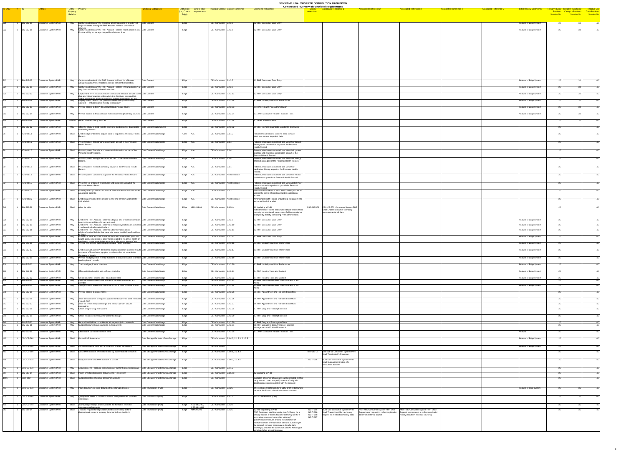**SENSITIVE: UNAUTHORIZED DISTRIBUTION PROHIBITED Compressed Inventory of Functional Requirements**

| ID-ONC # ID |                                        |                                                          | Entity - Property<br>Property                                                                                                                                                                                            | unctional Categories                               | (i.e., Core or requirements                           | Entity Role Link to other Principal Context Context Reference   | <u>Compressed Inventory of Functional Requirements</u><br><b>Comments / Rationale</b>                                                                           |                                    | <b>Associated Reference 2</b><br>ssociated Reference_                                                                                                                                                                               | <b>Associated Reference 3</b>                                                                                            | <b>Associated Reference 4</b> | <b>Associated Reference 5</b> | <b>Initial Review Comments</b>                   | Breakout Category Breakout Case Breakou | <b>Tentiative Use</b>      |
|-------------|----------------------------------------|----------------------------------------------------------|--------------------------------------------------------------------------------------------------------------------------------------------------------------------------------------------------------------------------|----------------------------------------------------|-------------------------------------------------------|-----------------------------------------------------------------|-----------------------------------------------------------------------------------------------------------------------------------------------------------------|------------------------------------|-------------------------------------------------------------------------------------------------------------------------------------------------------------------------------------------------------------------------------------|--------------------------------------------------------------------------------------------------------------------------|-------------------------------|-------------------------------|--------------------------------------------------|-----------------------------------------|----------------------------|
|             |                                        |                                                          | <b>Relation</b>                                                                                                                                                                                                          |                                                    | Edge)                                                 |                                                                 |                                                                                                                                                                 |                                    |                                                                                                                                                                                                                                     |                                                                                                                          |                               |                               |                                                  | <b>Session No.</b>                      | <b>Exercise Session No</b> |
|             | <b>IBM-212-05</b>                      | Consumer System-PHR                                      | $\vert$ Capture and maintain the presence and/or absence of a history of $\vert$ Data Content<br>May                                                                                                                     |                                                    | Edge                                                  | $CE - Consumer$ 2.z.3.5                                         | 8.2 PHR Consumer Data Entry                                                                                                                                     |                                    |                                                                                                                                                                                                                                     |                                                                                                                          |                               |                               | Feature of Edge System                           |                                         | - 4.3                      |
|             | IBM-212-06                             | <b>Consumer System-PHR</b>                               | major diseases among the PHR Account Holder's close blood<br>Capture and maintain the PHR Account Holder's health problem list. Data Content<br>Mav                                                                      |                                                    | Edge                                                  | CE - Consumer 2.z.3.6                                           | 8.2 PHR Consumer Data Entry                                                                                                                                     |                                    |                                                                                                                                                                                                                                     |                                                                                                                          |                               |                               | Feature of Edge System                           |                                         |                            |
|             |                                        |                                                          | Provide ability to manage the problem list over time                                                                                                                                                                     |                                                    |                                                       |                                                                 |                                                                                                                                                                 |                                    |                                                                                                                                                                                                                                     |                                                                                                                          |                               |                               |                                                  |                                         |                            |
|             |                                        |                                                          |                                                                                                                                                                                                                          |                                                    |                                                       |                                                                 |                                                                                                                                                                 |                                    |                                                                                                                                                                                                                                     |                                                                                                                          |                               |                               |                                                  |                                         |                            |
|             |                                        |                                                          |                                                                                                                                                                                                                          |                                                    |                                                       |                                                                 |                                                                                                                                                                 |                                    |                                                                                                                                                                                                                                     |                                                                                                                          |                               |                               |                                                  |                                         |                            |
|             |                                        |                                                          |                                                                                                                                                                                                                          |                                                    |                                                       |                                                                 |                                                                                                                                                                 |                                    |                                                                                                                                                                                                                                     |                                                                                                                          |                               |                               |                                                  |                                         |                            |
|             |                                        |                                                          |                                                                                                                                                                                                                          |                                                    |                                                       |                                                                 |                                                                                                                                                                 |                                    |                                                                                                                                                                                                                                     |                                                                                                                          |                               |                               |                                                  |                                         |                            |
|             |                                        |                                                          |                                                                                                                                                                                                                          |                                                    |                                                       |                                                                 |                                                                                                                                                                 |                                    |                                                                                                                                                                                                                                     |                                                                                                                          |                               |                               |                                                  |                                         |                            |
|             |                                        |                                                          |                                                                                                                                                                                                                          |                                                    |                                                       |                                                                 |                                                                                                                                                                 |                                    |                                                                                                                                                                                                                                     |                                                                                                                          |                               |                               |                                                  |                                         |                            |
|             |                                        |                                                          |                                                                                                                                                                                                                          |                                                    |                                                       |                                                                 |                                                                                                                                                                 |                                    |                                                                                                                                                                                                                                     |                                                                                                                          |                               |                               |                                                  |                                         |                            |
|             | <b>IBM-212-07</b>                      | Consumer System-PHR                                      | Capture and maintain the PHR Account Holder's list of known<br>May<br>allergens and adverse reactions with all pertinent information                                                                                     | Data Content                                       | Edge                                                  | $\overline{CE}$ - Consumer 2.z.3.7                              | 8.2 PHR Consumer Data Entry                                                                                                                                     |                                    |                                                                                                                                                                                                                                     |                                                                                                                          |                               |                               | Feature of Edge System                           |                                         |                            |
|             | <b>IBM-212-08</b>                      | Consumer System-PHR                                      | Capture and maintain the PHR Account Holder's immunizations in a Data Content<br>May<br>way that can be easily viewed over time                                                                                          |                                                    | Edge                                                  | $CE - Consumer \quad  2.z.3.8$                                  | 8.2 PHR Consumer Data Entry                                                                                                                                     |                                    |                                                                                                                                                                                                                                     |                                                                                                                          |                               |                               | Feature of Edge System                           | ่ 2 1                                   | $-4.3$                     |
|             | <b>IBM-212-13</b>                      | Consumer System-PHR                                      | Capture the PHR Account Holder's advanced directive as well as the Data Content<br>date and circumstances under which the directives are provided,<br>and/or the Iocation and/or custodian's contact information for any |                                                    | Edge                                                  | CE - Consumer 2.z.3.13                                          | 8.2 PHR Consumer Data Entry                                                                                                                                     |                                    |                                                                                                                                                                                                                                     |                                                                                                                          |                               |                               | Feature of Edge System                           |                                         | $-4.3$                     |
|             | <b>IBM-212-18</b>                      | Consumer System-PHR                                      | $\sqrt{\frac{1}{1}}$ Display health data $\frac{1}{1}$ both patient sourced and professionally<br>May<br>sourced — with consumer-friendly terminology                                                                    | Data Content                                       | Edge                                                  | $\sqrt{CE - \text{Cosumer}}$ 2.z.3.18                           | 8.3 PHR Usability and User Preferences                                                                                                                          |                                    |                                                                                                                                                                                                                                     |                                                                                                                          |                               |                               | Feature of Edge System                           |                                         | -4.3                       |
|             | <b>IBM-212-33</b>                      | Consumer System-PHR                                      | Provide access to the PHR Account Holder's care plan(s)<br>May                                                                                                                                                           | Data Content                                       | Edge                                                  | $CE - Consumer$ 2.z.3.33                                        | 8.10 PHR Health Plan Administration                                                                                                                             |                                    |                                                                                                                                                                                                                                     |                                                                                                                          |                               |                               | Feature of Edge System                           |                                         | - 4.3                      |
|             | <b>IBM-212-34</b>                      | Consumer System-PHR                                      | May Provide access to financial data from clinical and pharmacy sources Data Content                                                                                                                                     |                                                    | Edge                                                  | $CE - Consumer$ 2.z.3.34                                        | 8.11 PHR Consumer Health Financial Tools                                                                                                                        |                                    |                                                                                                                                                                                                                                     |                                                                                                                          |                               |                               | Feature of Edge System                           |                                         | -4.3                       |
|             | <b>IBM-212-38</b>                      | Consumer System-PHR                                      | Should   Retain data according to SLAs                                                                                                                                                                                   | Data Content                                       | Edge                                                  | CE - Consumer 2.z.3.38                                          | 8.13 PHR Administration                                                                                                                                         |                                    |                                                                                                                                                                                                                                     |                                                                                                                          |                               |                               |                                                  |                                         | $-4.3$                     |
|             | <b>IBM-212-32</b>                      | <b>Consumer System-PHR</b>                               | Offer the ability to read remote electronic medication or diagnostics   Data Content-Data Source<br>May                                                                                                                  |                                                    | Edge                                                  | CE - Consumer 2.z.3.32                                          | 8.9 PHR Remote Diagnostic Monitoring Interfaces                                                                                                                 |                                    |                                                                                                                                                                                                                                     |                                                                                                                          |                               |                               |                                                  |                                         |                            |
|             | ACN-03.1.1                             | Consumer System-PHR                                      | monitoring devices<br>Shall Enable edge systems to acquire data to populate a Personal Health Data Content-Data Usage                                                                                                    |                                                    | Core N/A                                              | CE - Consumer 2.1.4.2                                           | Personal health record systems need to have                                                                                                                     |                                    |                                                                                                                                                                                                                                     |                                                                                                                          |                               |                               |                                                  |                                         | -4.3                       |
|             | ACN-03.1.2                             | Consumer System-PHR                                      | Record.<br>Shall<br>Present patient demographic information as part of the Personal                                                                                                                                      | Data Content-Data Usage                            | Edge N/A                                              | CE - Consumer 2.1.4                                             | electronic access to patient data.<br>Patients, who have consented, can view their patient                                                                      |                                    |                                                                                                                                                                                                                                     |                                                                                                                          |                               |                               |                                                  |                                         |                            |
|             |                                        |                                                          | Health Record.                                                                                                                                                                                                           |                                                    |                                                       |                                                                 | demographic information as part of the Personal<br>Health Record.                                                                                               |                                    |                                                                                                                                                                                                                                     |                                                                                                                          |                               |                               |                                                  |                                         | - 4.3                      |
|             | ACN-03.1.3                             | Consumer System-PHR                                      | Shall Present patient financial and insurance information as part of the<br>Personal Health Record.                                                                                                                      | Data Content-Data Usage                            | Edge N/A                                              | CE - Consumer 2.1.4                                             | Patients, who have consented, can view their patient<br>financial and insurance information as part of the                                                      |                                    |                                                                                                                                                                                                                                     |                                                                                                                          |                               |                               |                                                  |                                         | -4.3                       |
|             | ACN-03.1.4                             | Consumer System-PHR                                      | Shall   Present patient allergy information as part of the Personal Health                                                                                                                                               | Data Content-Data Usage                            | Edge N/A                                              | CE - Consumer 2.1.4                                             | Personal Health Record.<br>Patients, who have consented, can view their allergy                                                                                 |                                    |                                                                                                                                                                                                                                     |                                                                                                                          |                               |                               |                                                  |                                         | -4.3                       |
|             | ACN-03.1.5                             | Consumer System-PHR                                      | Record.<br>Shall Present patient medication history as part of the Personal Health                                                                                                                                       | Data Content-Data Usage                            | Edge N/A                                              | CE - Consumer 2.1.4                                             | information as part of the Personal Health Record.<br>Patients, who have consented, can view their                                                              |                                    |                                                                                                                                                                                                                                     |                                                                                                                          |                               |                               |                                                  |                                         | -4.3                       |
|             |                                        |                                                          | $\blacksquare$ Record                                                                                                                                                                                                    |                                                    |                                                       |                                                                 | medication history as part of the Personal Health<br>Record.                                                                                                    |                                    |                                                                                                                                                                                                                                     |                                                                                                                          |                               |                               |                                                  |                                         |                            |
|             | ACN-03.1.6                             | <b>Consumer System-PHR</b>                               | Shall Present patient conditions as part of the Personal Health Record.                                                                                                                                                  | Data Content-Data Usage                            | Edge N/A                                              | CE - Consumer No Reference                                      | Patients, who have consented, can view their health<br>conditions as part of the Personal Health Record.                                                        |                                    |                                                                                                                                                                                                                                     |                                                                                                                          |                               |                               |                                                  |                                         | -4.3                       |
|             | ACN-03.1.7                             | Consumer System-PHR                                      | Shall Present a list of patient procedures and surgeries as part of the<br>Personal Health Record.                                                                                                                       | Data Content-Data Usage                            | Edge N/A                                              | CE - Consumer No Reference                                      | Patients, who have consented, can view a list of their<br>procedures and surgeries as part of the Personal                                                      |                                    |                                                                                                                                                                                                                                     |                                                                                                                          |                               |                               |                                                  |                                         | -4.3                       |
|             | ACN-03.2.1                             | Consumer System-PHR                                      | Shall Enable patient proxies to access the Personal Health Record of their Data Content-Data Usage                                                                                                                       |                                                    | Edge N/A                                              | CE - Consumer 2.1.2                                             | Health Record.<br>Personal health records must allow patient proxies to                                                                                         |                                    |                                                                                                                                                                                                                                     |                                                                                                                          |                               |                               |                                                  |                                         | $-4.3$                     |
|             |                                        |                                                          | associated patients.                                                                                                                                                                                                     |                                                    |                                                       | CE - Consumer No Reference                                      | access the same information that the patient can<br>access.                                                                                                     |                                    |                                                                                                                                                                                                                                     |                                                                                                                          |                               |                               |                                                  |                                         |                            |
|             | ACN-03.2.2                             | Consumer System-PHR                                      | Shall Enable patients and their proxies to find and enroll in appropriate<br>clinical trials                                                                                                                             | Data Content-Data Usage                            | $\textsf{Edge}$ N/A                                   |                                                                 | A Personal Health Record should help the patient find $^{-1}$<br>and enroll in clinical trials                                                                  |                                    |                                                                                                                                                                                                                                     |                                                                                                                          |                               |                               |                                                  |                                         | -4.3                       |
|             | IBM-207-26                             | Consumer System-PHR                                      | Shall Allow for edits                                                                                                                                                                                                    | Data Content-Data Usage                            | Edge IBM-205-01                                       | $CE - Consumer$ 2.1.5.4x                                        | 4.2 Updating a PHR<br>Note difference - some fields fully editable while others                                                                                 |                                    | CSC-CE-570 CSC-CE-570 Consumer System-PHR<br>Shall Enable consumer to modify                                                                                                                                                        |                                                                                                                          |                               |                               |                                                  |                                         | -4.3                       |
|             |                                        |                                                          |                                                                                                                                                                                                                          |                                                    |                                                       |                                                                 | can only be annotated. Also, some fields can only be<br>changed by directly contacting PHR administrator.                                                       |                                    | consumer-entered data                                                                                                                                                                                                               |                                                                                                                          |                               |                               |                                                  |                                         |                            |
|             | <b>IBM-212-09</b>                      | Consumer System-PHR                                      | Enable the PHR Account Holder to add past and present information Data Content-Data Usage<br>May<br>about other modalities of treatment used                                                                             |                                                    | Edge                                                  | CE - Consumer 2.z.3.9                                           | 8.2 PHR Consumer Data Entry                                                                                                                                     |                                    |                                                                                                                                                                                                                                     |                                                                                                                          |                               |                               | Feature of Edge System                           |                                         | $-4.3$                     |
|             | <b>IBM-212-10</b><br><b>IBM-212-11</b> | <b>Consumer System-PHR</b><br>Consumer System-PHR        | Enable the PHR Account Holder to self-report symptoms or concerns Data Content-Data Usage<br>Mav<br>in a chronologically sortable diary<br>Enable the PHR Account Holder to add information about<br>Mav                 | Data Content-Data Usage                            | Edge<br>Edge                                          | $\overline{CE}$ - Consumer 2.z.3.10<br>$CE - Consumer$ 2.z.3.11 | 8.2 PHR Consumer Data Entry<br>8.2 PHR Consumer Data Entry                                                                                                      |                                    |                                                                                                                                                                                                                                     |                                                                                                                          |                               |                               | Feature of Edge System<br>Feature of Edge System |                                         | - 4.3<br>$-4.3$            |
|             | <b>IBM-212-12</b>                      | <b>Consumer System-PHR</b>                               | religious/spiritual beliefs that he or she wants Health Care Providers<br>Enable the PHR Account Holder to add information about personal<br>May                                                                         | Data Content-Data Usage                            | Edge                                                  | CE - Consumer 2.z.3.12                                          | 8.2 PHR Consumer Data Entry                                                                                                                                     |                                    |                                                                                                                                                                                                                                     |                                                                                                                          |                               |                               | Feature of Edge System                           |                                         | $-4.3$                     |
|             |                                        |                                                          | health goals, next steps or other notes related to his or her health or<br>onditions or any other information he or she wants Health Care                                                                                |                                                    |                                                       |                                                                 |                                                                                                                                                                 |                                    |                                                                                                                                                                                                                                     |                                                                                                                          |                               |                               |                                                  |                                         |                            |
|             | <b>IBM-212-16</b>                      | Consumer System-PHR                                      | Provide one-screen bulleted and printable health summary<br>May                                                                                                                                                          | Data Content-Data Usage                            | Edge                                                  | $CE - Consumer$ 2.z.3.16                                        | 8.3 PHR Usability and User Preferences                                                                                                                          |                                    |                                                                                                                                                                                                                                     |                                                                                                                          |                               |                               | Feature of Edge System                           |                                         | - 4.3                      |
|             | <b>IBM-212-17</b>                      | Consumer System-PHR                                      | Enable an Authorized PHR User to display laboratory and test results Data Content-Data Usage<br>May<br>by means of flow sheets, graphs, or other tools that enable the<br>discovery of trends                            |                                                    | Edge                                                  | $\overline{CE}$ - Consumer 2.z.3.17                             | 8.3 PHR Usability and User Preferences                                                                                                                          |                                    |                                                                                                                                                                                                                                     |                                                                                                                          |                               |                               | Feature of Edge System                           |                                         | -4.3                       |
|             | <b>IBM-212-19</b>                      | Consumer System-PHR                                      | Provide multiple printer friendly functions to allow consumer to create Data Content-Data Usage<br>May<br>hard copies of records                                                                                         |                                                    | Edge                                                  | CE - Consumer 2.z.3.19                                          | 8.3 PHR Usability and User Preferences                                                                                                                          |                                    |                                                                                                                                                                                                                                     |                                                                                                                          |                               |                               | Feature of Edge System                           |                                         | $-4.3$                     |
|             | <b>IBM-212-20</b>                      | Consumer System-PHR                                      | Track and graph tests over time<br>May                                                                                                                                                                                   | Data Content-Data Usage                            | Edge                                                  | $CE - Consumer$ 2.z.3.20                                        | 8.3 PHR Usability and User Preferences                                                                                                                          |                                    |                                                                                                                                                                                                                                     |                                                                                                                          |                               |                               | Feature of Edge System                           |                                         | 4.                         |
|             | <b>IBM-212-21</b>                      | Consumer System-PHR                                      | Offer patient education and self-care modules<br>May                                                                                                                                                                     | Data Content-Data Usage                            | Edge                                                  | $CE - Consumer$ 2.z.3.21                                        | 8.4 PHR Healthy Tools and Content                                                                                                                               |                                    |                                                                                                                                                                                                                                     |                                                                                                                          |                               |                               | Feature of Edge System                           |                                         | $-4.3$                     |
|             | <b>IBM-212-22</b><br><b>IBM-212-23</b> | <b>Consumer System-PHR</b><br><b>Consumer System-PHR</b> | Create and offer links to other educational sites<br>May<br>Offer secure electronic communication between consumer and<br>May                                                                                            | Data Content-Data Usage<br>Data Content-Data Usage | Edge<br>Edge                                          | $CE - Consumer$ 2.z.3.22<br>$CE$ - Consumer 2.z.3.23            | 8.4 PHR Healthy Tools and Content<br>8.5 PHR Consumer/Provider Communications and                                                                               |                                    |                                                                                                                                                                                                                                     |                                                                                                                          |                               |                               | Feature of Edge System                           |                                         | $-4.3$                     |
|             | <b>IBM-212-24</b>                      | <b>Consumer System-PHR</b>                               | Offer provider initiated auto-reminders for the PHR Account Holder<br>May                                                                                                                                                | Data Content-Data Usage                            | Edge                                                  | CE - Consumer 2.z.3.24                                          | 8.5 PHR Consumer/Provider Communications and                                                                                                                    |                                    |                                                                                                                                                                                                                                     |                                                                                                                          |                               |                               | Feature of Edge System                           |                                         | -4.3                       |
|             | <b>IBM-212-25</b>                      | Consumer System-PHR                                      | May<br><b>Provide access to intake forms</b>                                                                                                                                                                             | Data Content-Data Usage                            | Edge                                                  | $CE - Consumer$ 2.z.3.25                                        | 8.6 PHR Appointment and Pre-admit Workflow                                                                                                                      |                                    |                                                                                                                                                                                                                                     |                                                                                                                          |                               |                               |                                                  |                                         | -4.3                       |
|             | <b>IBM-212-26</b>                      | <b>Consumer System-PHR</b>                               | May   Allow the consumer to request appointments with their care providers Data Content-Data Usage                                                                                                                       |                                                    | Edge                                                  | $CE - Consumer$ 2.z.3.26                                        | 8.6 PHR Appointment and Pre-admit Workflow                                                                                                                      |                                    |                                                                                                                                                                                                                                     |                                                                                                                          |                               |                               |                                                  |                                         | - 4.                       |
|             | <b>IBM-212-27</b>                      | <b>Consumer System-PHR</b>                               | through PHR<br>Allow for preliminary screenings and follow-ups with secure<br>May                                                                                                                                        | Data Content-Data Usage                            | Edge                                                  | $\overline{CE}$ - Consumer 2.z.3.27                             | 8.6 PHR Appointment and Pre-admit Workflow                                                                                                                      |                                    |                                                                                                                                                                                                                                     |                                                                                                                          |                               |                               |                                                  |                                         |                            |
|             | <b>IBM-212-28</b>                      | Consumer System-PHR                                      | May<br>Check drug-to-drug interactions                                                                                                                                                                                   | Data Content-Data Usage                            | Edge                                                  | $\sqrt{CE - \text{а.2.3.28}}$                                   | 8.7 PHR Drug and Prescription Tools                                                                                                                             |                                    |                                                                                                                                                                                                                                     |                                                                                                                          |                               |                               |                                                  |                                         | 4.                         |
|             | <b>IBM-212-29</b>                      | Consumer System-PHR                                      | May<br>Check insurance coverage for prescribed drugs                                                                                                                                                                     | Data Content-Data Usage                            | Edge                                                  | $CE - Consumer$ 2.z.3.29                                        | 8.7 PHR Drug and Prescription Tools                                                                                                                             |                                    |                                                                                                                                                                                                                                     |                                                                                                                          |                               |                               |                                                  |                                         | $-4.3$                     |
|             | <b>IBM-212-30</b><br><b>IBM-212-31</b> | Consumer System-PHR<br>Consumer System-PHR               | May Remind the PHR Account Holder about prescription renewals<br>May Support biosurveillance and data mining activity                                                                                                    | Data Content-Data Usage<br>Data Content-Data Usage | Edge<br>Edge                                          | $\overline{CE}$ - Consumer 2.z.3.30<br>$CE$ - Consumer 2.z.3.31 | 8.7 PHR Drug and Prescription Tools<br>8.8 PHR Linkage to Biosurveillance, Disease                                                                              |                                    |                                                                                                                                                                                                                                     |                                                                                                                          |                               |                               |                                                  |                                         |                            |
|             | <b>IBM-212-35</b>                      | Consumer System-PHR                                      | May <b>Offer health care cost estimate tools</b>                                                                                                                                                                         | Data Content-Data Usage                            | Edge                                                  | CE - Consumer 2.z.3.35                                          | Management and Clinical Research<br>8.11 PHR Consumer Health Financial Tools                                                                                    |                                    |                                                                                                                                                                                                                                     |                                                                                                                          |                               |                               | Feature                                          |                                         | $-4.3$                     |
| 403         | CSC-CE-560                             | Consumer System-PHR                                      | Shall Persist PHR information                                                                                                                                                                                            | Data Storage-Persistent Data Storage               | Edge                                                  | $\vert$ CE - Consumer 2.1.4.3, 2.1.5.3, 2.1.5.5                 |                                                                                                                                                                 |                                    |                                                                                                                                                                                                                                     |                                                                                                                          |                               |                               | Feature of Edge System                           |                                         |                            |
|             |                                        |                                                          |                                                                                                                                                                                                                          |                                                    |                                                       |                                                                 |                                                                                                                                                                 |                                    |                                                                                                                                                                                                                                     |                                                                                                                          |                               |                               |                                                  |                                         | - 4.3                      |
| 406         | $\csc$ -CE-590                         | Consumer System-PHR                                      | Shall Persist consumer edits and annotations to PHR information                                                                                                                                                          | Data Storage-Persistent Data Storage Edge          |                                                       | CE - Consumer                                                   |                                                                                                                                                                 |                                    |                                                                                                                                                                                                                                     |                                                                                                                          |                               |                               | Feature of Edge System                           |                                         | $-4.3$                     |
| 407         | $\textsf{CSC-CE-600}$                  | Consumer System-PHR                                      | Shall Close PHR account when requested by authenticated consumer.                                                                                                                                                        | Data Storage-Persistent Data Storage               | Edge                                                  | CE - Consumer 2.1.6.1, 2.2.4.3                                  |                                                                                                                                                                 |                                    | IBM-211-01   IBM-211-01 Consumer System-PHR<br>Shall Terminate PHR account                                                                                                                                                          |                                                                                                                          |                               |                               |                                                  |                                         | $-4.3$                     |
| 408         | $\csc$ -CE-620                         | Consumer System-PHR                                      | Shall   Notify customer that PHR account is closed                                                                                                                                                                       | Data Storage-Persistent Data Storage   Edge        |                                                       | CE - Consumer 2.1.6.2, 2.2.4.4                                  |                                                                                                                                                                 |                                    | NGIT-098   NGIT-098 Consumer System-PHR<br>Shall Support termination of a                                                                                                                                                           |                                                                                                                          |                               |                               |                                                  |                                         | -4.3                       |
| 112         | $\text{CSC-CE-670}$                    | Consumer System-PHR                                      | May   Establish a PHR account containing user authentication credentials   Data Storage-Persistent Data Storage   Edge                                                                                                   |                                                    |                                                       | $CE - Consumer$ 2.2.1.2                                         |                                                                                                                                                                 |                                    | consumers account                                                                                                                                                                                                                   |                                                                                                                          |                               |                               |                                                  |                                         | - 4.3                      |
| 654         | <b>IBM-207-34</b>                      | Consumer System-PHR                                      | Shall   Import annotated/modified data into the PHR system                                                                                                                                                               | Data Storage-Persistent Data Storage   Edge        |                                                       | CE - Consumer 2.1.5.5x                                          | 4.2 Updating a PHR                                                                                                                                              |                                    |                                                                                                                                                                                                                                     |                                                                                                                          |                               |                               |                                                  |                                         | -4.3                       |
| 1066        | NGIT-082                               | <b>Consumer System-PHR</b>                               | Shall Support creation of unique consumer account                                                                                                                                                                        | Data Storage-Persistent Data Storage               | Edge                                                  | CE - Consumer                                                   | validation of 'owner' of account; can be created by third<br>party 'owner'; need to specify means of uniquely                                                   |                                    |                                                                                                                                                                                                                                     |                                                                                                                          |                               |                               |                                                  |                                         | $-4.3$                     |
| 413         | $\csc$ -CE-678                         | Consumer System-PHR                                      | May   Input data from, or store data to, offline storage devices                                                                                                                                                         | Data Transaction-(Pull)                            | Edge                                                  | $\overline{CE}$ - Consumer 2.2.2.3                              | identifying person associated with the account<br>This is also a mechanism for a CDO or PHR to transfer                                                         |                                    |                                                                                                                                                                                                                                     |                                                                                                                          |                               |                               | Feature of edge system                           |                                         | - 4.3                      |
|             |                                        |                                                          |                                                                                                                                                                                                                          |                                                    |                                                       |                                                                 | personal health records without network access.                                                                                                                 |                                    |                                                                                                                                                                                                                                     |                                                                                                                          |                               |                               |                                                  |                                         |                            |
| l414        | CSC-CE-680                             | Consumer System-PHR                                      | May Query other PHRs for accessible data using consumer provided<br>credentials                                                                                                                                          | Data Transaction-(Pull)                            | Edge                                                  | $\overline{CE}$ - Consumer 2.2.2.3                              | This is not an NHIN query                                                                                                                                       |                                    |                                                                                                                                                                                                                                     |                                                                                                                          |                               |                               |                                                  |                                         | $-4.3$                     |
|             |                                        | 418 1 CSC-CE-740 Consumer System-PHR                     | Shall Acknowledge receipt of and validate the format of received<br>messages and requests                                                                                                                                | Data Transaction-(Pull)                            | Edge CSC-SEC-40, CE - Consumer 2.2.2.5<br>CSC-ALL-680 |                                                                 |                                                                                                                                                                 |                                    |                                                                                                                                                                                                                                     |                                                                                                                          |                               |                               |                                                  |                                         | $-4.3$                     |
|             | <b>IBM-205-04</b>                      | <b>Consumer System-PHR</b>                               | Transmit request for registration/medication history data to<br>Shall<br>data/network systems to query documents from the NHIN                                                                                           | Data Transaction-(Pull)                            | Edge IBM-205-01                                       | CE - Consumer 2.2.2.3                                           | 3.2 Pre-populating a PHR<br>ONC Guidance: Architecturally, the PHR may be a<br>primary source of some data and definitely will be a                             | <b>NGIT-085</b><br><b>NGIT-088</b> | NGIT-085 Consumer System-PHR Shall<br>NGIT-088 Consumer System-PHR<br>NGIT-086 Shall Transmit well formed query<br>Support user request to collect registration<br>request for medication history data<br>data from external source | NGIT-086 Consumer System-PHR Shall<br>Support user request to collect medication<br>history data from external source(s) |                               |                               |                                                  |                                         | - 4.3                      |
|             |                                        |                                                          |                                                                                                                                                                                                                          |                                                    |                                                       |                                                                 | secondary source of some data. Although<br>synchronization issues around reconciliation of                                                                      | <b>NGIT-087</b>                    |                                                                                                                                                                                                                                     |                                                                                                                          |                               |                               |                                                  |                                         |                            |
|             |                                        |                                                          |                                                                                                                                                                                                                          |                                                    |                                                       |                                                                 | multiple sources of medication data are out of scope,<br>the network services necessary to handle data<br>exchange, requests for correction and the handling of |                                    |                                                                                                                                                                                                                                     |                                                                                                                          |                               |                               |                                                  |                                         |                            |
|             |                                        |                                                          |                                                                                                                                                                                                                          |                                                    |                                                       |                                                                 | annotated data are within scope.                                                                                                                                |                                    |                                                                                                                                                                                                                                     |                                                                                                                          |                               |                               |                                                  |                                         |                            |

| ents / Rationale                                                                                                                                                                                                                                                                                                                                                   | <b>Closely</b><br>resembles        | <b>Associated Reference 1</b>                                                              | <b>Associated Reference 2</b>                                                      | <b>Associated Reference 3</b>                                                    | <b>Associated Reference 4</b> | <b>Associated Reference 5</b> | <b>Initial Review Comments</b>                   | <b>Tentative Entity</b><br><b>Breakout</b><br>Session No. |
|--------------------------------------------------------------------------------------------------------------------------------------------------------------------------------------------------------------------------------------------------------------------------------------------------------------------------------------------------------------------|------------------------------------|--------------------------------------------------------------------------------------------|------------------------------------------------------------------------------------|----------------------------------------------------------------------------------|-------------------------------|-------------------------------|--------------------------------------------------|-----------------------------------------------------------|
| <b>IR Consumer Data Entry</b>                                                                                                                                                                                                                                                                                                                                      |                                    |                                                                                            |                                                                                    |                                                                                  |                               |                               | Feature of Edge System                           | 2.3                                                       |
| <b>IR Consumer Data Entry</b>                                                                                                                                                                                                                                                                                                                                      |                                    |                                                                                            |                                                                                    |                                                                                  |                               |                               | Feature of Edge System                           | 2.3                                                       |
|                                                                                                                                                                                                                                                                                                                                                                    |                                    |                                                                                            |                                                                                    |                                                                                  |                               |                               |                                                  |                                                           |
|                                                                                                                                                                                                                                                                                                                                                                    |                                    |                                                                                            |                                                                                    |                                                                                  |                               |                               |                                                  |                                                           |
|                                                                                                                                                                                                                                                                                                                                                                    |                                    |                                                                                            |                                                                                    |                                                                                  |                               |                               |                                                  |                                                           |
|                                                                                                                                                                                                                                                                                                                                                                    |                                    |                                                                                            |                                                                                    |                                                                                  |                               |                               |                                                  |                                                           |
|                                                                                                                                                                                                                                                                                                                                                                    |                                    |                                                                                            |                                                                                    |                                                                                  |                               |                               |                                                  |                                                           |
|                                                                                                                                                                                                                                                                                                                                                                    |                                    |                                                                                            |                                                                                    |                                                                                  |                               |                               |                                                  |                                                           |
| <b>IR Consumer Data Entry</b>                                                                                                                                                                                                                                                                                                                                      |                                    |                                                                                            |                                                                                    |                                                                                  |                               |                               | Feature of Edge System                           | 2.3                                                       |
| <b>IR Consumer Data Entry</b>                                                                                                                                                                                                                                                                                                                                      |                                    |                                                                                            |                                                                                    |                                                                                  |                               |                               | Feature of Edge System                           | 2.3                                                       |
| <b>IR Consumer Data Entry</b>                                                                                                                                                                                                                                                                                                                                      |                                    |                                                                                            |                                                                                    |                                                                                  |                               |                               | Feature of Edge System                           | 2.3                                                       |
| <b>IR Usability and User Preferences</b>                                                                                                                                                                                                                                                                                                                           |                                    |                                                                                            |                                                                                    |                                                                                  |                               |                               | Feature of Edge System                           | 2.3                                                       |
| HR Health Plan Administration                                                                                                                                                                                                                                                                                                                                      |                                    |                                                                                            |                                                                                    |                                                                                  |                               |                               | Feature of Edge System                           | 2.3                                                       |
| HR Consumer Health Financial Tools                                                                                                                                                                                                                                                                                                                                 |                                    |                                                                                            |                                                                                    |                                                                                  |                               |                               | Feature of Edge System                           | 2.3                                                       |
| HR Administration                                                                                                                                                                                                                                                                                                                                                  |                                    |                                                                                            |                                                                                    |                                                                                  |                               |                               |                                                  | 2.3                                                       |
| IR Remote Diagnostic Monitoring Interfaces                                                                                                                                                                                                                                                                                                                         |                                    |                                                                                            |                                                                                    |                                                                                  |                               |                               |                                                  | 2.3                                                       |
| nal health record systems need to have<br>onic access to patient data.                                                                                                                                                                                                                                                                                             |                                    |                                                                                            |                                                                                    |                                                                                  |                               |                               |                                                  | 2.3                                                       |
| ts, who have consented, can view their patient                                                                                                                                                                                                                                                                                                                     |                                    |                                                                                            |                                                                                    |                                                                                  |                               |                               |                                                  | 2.3                                                       |
| graphic information as part of the Personal<br>Record.<br>ts, who have consented, can view their patient                                                                                                                                                                                                                                                           |                                    |                                                                                            |                                                                                    |                                                                                  |                               |                               |                                                  | 2.3                                                       |
| ial and insurance information as part of the<br>nal Health Record.                                                                                                                                                                                                                                                                                                 |                                    |                                                                                            |                                                                                    |                                                                                  |                               |                               |                                                  |                                                           |
| ts, who have consented, can view their allergy<br>ation as part of the Personal Health Record.                                                                                                                                                                                                                                                                     |                                    |                                                                                            |                                                                                    |                                                                                  |                               |                               |                                                  | 2.3                                                       |
| ts, who have consented, can view their<br>ation history as part of the Personal Health                                                                                                                                                                                                                                                                             |                                    |                                                                                            |                                                                                    |                                                                                  |                               |                               |                                                  | 2.3                                                       |
| ts, who have consented, can view their health<br>ions as part of the Personal Health Record.                                                                                                                                                                                                                                                                       |                                    |                                                                                            |                                                                                    |                                                                                  |                               |                               |                                                  | 2.3                                                       |
| ts, who have consented, can view a list of their                                                                                                                                                                                                                                                                                                                   |                                    |                                                                                            |                                                                                    |                                                                                  |                               |                               |                                                  | 2.3                                                       |
| dures and surgeries as part of the Personal<br>Record.<br>nal health records must allow patient proxies to                                                                                                                                                                                                                                                         |                                    |                                                                                            |                                                                                    |                                                                                  |                               |                               |                                                  | 2.3                                                       |
| s the same information that the patient can                                                                                                                                                                                                                                                                                                                        |                                    |                                                                                            |                                                                                    |                                                                                  |                               |                               |                                                  |                                                           |
| sonal Health Record should help the patient find<br>nroll in clinical trials                                                                                                                                                                                                                                                                                       |                                    |                                                                                            |                                                                                    |                                                                                  |                               |                               |                                                  | 2.3                                                       |
| dating a PHR<br>lifference - some fields fully editable while others $\vert$<br>lly be annotated. Also, some fields can only be                                                                                                                                                                                                                                    | <b>CSC-CE-570</b>                  | CSC-CE-570 Consumer System-PHR<br>Shall Enable consumer to modify<br>consumer-entered data |                                                                                    |                                                                                  |                               |                               |                                                  | 2.3                                                       |
| ed by directly contacting PHR administrator.                                                                                                                                                                                                                                                                                                                       |                                    |                                                                                            |                                                                                    |                                                                                  |                               |                               |                                                  |                                                           |
| <b>IR Consumer Data Entry</b><br><b>IR Consumer Data Entry</b>                                                                                                                                                                                                                                                                                                     |                                    |                                                                                            |                                                                                    |                                                                                  |                               |                               | Feature of Edge System<br>Feature of Edge System | 2.3<br>2.3                                                |
| <b>IR Consumer Data Entry</b>                                                                                                                                                                                                                                                                                                                                      |                                    |                                                                                            |                                                                                    |                                                                                  |                               |                               | Feature of Edge System                           | 2.3                                                       |
| <b>IR Consumer Data Entry</b>                                                                                                                                                                                                                                                                                                                                      |                                    |                                                                                            |                                                                                    |                                                                                  |                               |                               | Feature of Edge System                           | 2.3                                                       |
| <b>IR Usability and User Preferences</b>                                                                                                                                                                                                                                                                                                                           |                                    |                                                                                            |                                                                                    |                                                                                  |                               |                               | Feature of Edge System                           | 2.3                                                       |
| <b>IR Usability and User Preferences</b>                                                                                                                                                                                                                                                                                                                           |                                    |                                                                                            |                                                                                    |                                                                                  |                               |                               | Feature of Edge System                           | 2.3                                                       |
| <b>IR Usability and User Preferences</b>                                                                                                                                                                                                                                                                                                                           |                                    |                                                                                            |                                                                                    |                                                                                  |                               |                               | Feature of Edge System                           | 2.3                                                       |
| <b>IR Usability and User Preferences</b>                                                                                                                                                                                                                                                                                                                           |                                    |                                                                                            |                                                                                    |                                                                                  |                               |                               | Feature of Edge System                           | 2.3                                                       |
| <b>IR Healthy Tools and Content</b>                                                                                                                                                                                                                                                                                                                                |                                    |                                                                                            |                                                                                    |                                                                                  |                               |                               | Feature of Edge System                           | 2.3                                                       |
| <b>IR Healthy Tools and Content</b><br>IR Consumer/Provider Communications and                                                                                                                                                                                                                                                                                     |                                    |                                                                                            |                                                                                    |                                                                                  |                               |                               | Feature of Edge System                           | 2.3<br>2.3                                                |
| IR Consumer/Provider Communications and                                                                                                                                                                                                                                                                                                                            |                                    |                                                                                            |                                                                                    |                                                                                  |                               |                               | Feature of Edge System                           | 2.3                                                       |
| IR Appointment and Pre-admit Workflow                                                                                                                                                                                                                                                                                                                              |                                    |                                                                                            |                                                                                    |                                                                                  |                               |                               |                                                  | 2.3                                                       |
| IR Appointment and Pre-admit Workflow                                                                                                                                                                                                                                                                                                                              |                                    |                                                                                            |                                                                                    |                                                                                  |                               |                               |                                                  | 2.3                                                       |
| IR Appointment and Pre-admit Workflow                                                                                                                                                                                                                                                                                                                              |                                    |                                                                                            |                                                                                    |                                                                                  |                               |                               |                                                  | 2.3<br>2.3                                                |
| <b>IR Drug and Prescription Tools</b><br>IR Drug and Prescription Tools                                                                                                                                                                                                                                                                                            |                                    |                                                                                            |                                                                                    |                                                                                  |                               |                               |                                                  | 2.3                                                       |
| <b>IR Drug and Prescription Tools</b>                                                                                                                                                                                                                                                                                                                              |                                    |                                                                                            |                                                                                    |                                                                                  |                               |                               |                                                  | 2.3                                                       |
| IR Linkage to Biosurveillance, Disease<br>gement and Clinical Research                                                                                                                                                                                                                                                                                             |                                    |                                                                                            |                                                                                    |                                                                                  |                               |                               |                                                  | 2.3                                                       |
| HR Consumer Health Financial Tools                                                                                                                                                                                                                                                                                                                                 |                                    |                                                                                            |                                                                                    |                                                                                  |                               |                               | Feature                                          | 2.3                                                       |
|                                                                                                                                                                                                                                                                                                                                                                    |                                    |                                                                                            |                                                                                    |                                                                                  |                               |                               | Feature of Edge System                           | 2.3                                                       |
|                                                                                                                                                                                                                                                                                                                                                                    |                                    |                                                                                            |                                                                                    |                                                                                  |                               |                               | Feature of Edge System                           | 2.3                                                       |
|                                                                                                                                                                                                                                                                                                                                                                    | IBM-211-01                         | IBM-211-01 Consumer System-PHR<br>Shall Terminate PHR account                              |                                                                                    |                                                                                  |                               |                               |                                                  | 2.3                                                       |
|                                                                                                                                                                                                                                                                                                                                                                    | <b>NGIT-098</b>                    | NGIT-098 Consumer System-PHR<br>Shall Support termination of a                             |                                                                                    |                                                                                  |                               |                               |                                                  | 2.3                                                       |
|                                                                                                                                                                                                                                                                                                                                                                    |                                    | consumers account                                                                          |                                                                                    |                                                                                  |                               |                               |                                                  | 2.3                                                       |
| dating a PHR                                                                                                                                                                                                                                                                                                                                                       |                                    |                                                                                            |                                                                                    |                                                                                  |                               |                               |                                                  | 2.3                                                       |
| tion of 'owner' of account; can be created by third<br>owner'; need to specify means of uniquely<br>ying person associated with the account                                                                                                                                                                                                                        |                                    |                                                                                            |                                                                                    |                                                                                  |                               |                               |                                                  | 2.3                                                       |
| also a mechanism for a CDO or PHR to transfer<br>al health records without network access.                                                                                                                                                                                                                                                                         |                                    |                                                                                            |                                                                                    |                                                                                  |                               |                               | Feature of edge system                           | 2.3                                                       |
| not an NHIN query                                                                                                                                                                                                                                                                                                                                                  |                                    |                                                                                            |                                                                                    |                                                                                  |                               |                               |                                                  | 2.3                                                       |
|                                                                                                                                                                                                                                                                                                                                                                    |                                    |                                                                                            |                                                                                    |                                                                                  |                               |                               |                                                  | 2.3                                                       |
| e-populating a PHR                                                                                                                                                                                                                                                                                                                                                 | <b>NGIT-085</b><br><b>NGIT-086</b> | NGIT-088 Consumer System-PHR<br>Shall Transmit well formed query                           | NGIT-085 Consumer System-PHR Shall<br>Support user request to collect registration | NGIT-086 Consumer System-PHR Shall<br>Support user request to collect medication |                               |                               |                                                  | 2.3                                                       |
| Guidance: Architecturally, the PHR may be a<br>y source of some data and definitely will be a<br>dary source of some data. Although<br>ronization issues around reconciliation of<br>le sources of medication data are out of scope,<br>twork services necessary to handle data<br>nge, requests for correction and the handling of<br>ated data are within scope. | <b>NGIT-088</b><br><b>NGIT-087</b> | request for medication history data                                                        | data from external source                                                          | history data from external source(s)                                             |                               |                               |                                                  |                                                           |

| <b>Associated Reference 5</b> | <b>Initial Review Comments</b> |             | <b>Tentative Entity Tentative Functional</b><br>Breakout Category Breakout | <b>Tentiative Use</b><br><b>Case Breakout</b> |
|-------------------------------|--------------------------------|-------------|----------------------------------------------------------------------------|-----------------------------------------------|
|                               |                                | Session No. | Session No.                                                                | <b>Session No.</b>                            |
|                               | Feature of Edge System         | 2.3         | 3.1                                                                        | 4.3                                           |
|                               | Feature of Edge System         | 2.3         | 3.1                                                                        | 4.3                                           |
|                               |                                |             |                                                                            |                                               |
|                               |                                |             |                                                                            |                                               |
|                               |                                |             |                                                                            |                                               |
|                               |                                |             |                                                                            |                                               |
|                               |                                |             |                                                                            |                                               |
|                               |                                |             |                                                                            |                                               |
|                               |                                |             |                                                                            |                                               |
|                               | Feature of Edge System         | 2.3         | 3.1                                                                        | 4.3                                           |
|                               | Feature of Edge System         | 2.3         | 3.1                                                                        | 4.3                                           |
|                               | Feature of Edge System         | 2.3         | 3.1                                                                        | 4.3                                           |
|                               | Feature of Edge System         | 2.3         | 3.1                                                                        | 4.3                                           |
|                               | Feature of Edge System         | 2.3         | 3.1                                                                        | 4.3                                           |
|                               | Feature of Edge System         | 2.3         | 3.1                                                                        | 4.3                                           |
|                               |                                |             |                                                                            |                                               |
|                               |                                | 2.3         | 3.1                                                                        | 4.3                                           |
|                               |                                | 2.3         |                                                                            | 4.3                                           |
|                               |                                | 2.3         |                                                                            | 4.3                                           |
|                               |                                | 2.3         |                                                                            | 4.3                                           |
|                               |                                | 2.3         |                                                                            | 4.3                                           |
|                               |                                |             |                                                                            |                                               |
|                               |                                | 2.3         |                                                                            | 4.3                                           |
|                               |                                | 2.3         |                                                                            | 4.3                                           |
|                               |                                | 2.3         |                                                                            | 4.3                                           |
|                               |                                |             |                                                                            |                                               |
|                               |                                | 2.3         |                                                                            | 4.3                                           |
|                               |                                | 2.3         |                                                                            | 4.3                                           |
|                               |                                | 2.3         |                                                                            | 4.3                                           |
|                               |                                | 2.3         |                                                                            | 4.3                                           |
|                               |                                |             |                                                                            |                                               |
|                               | Feature of Edge System         | 2.3         |                                                                            | 4.3                                           |
|                               | Feature of Edge System         | 2.3         |                                                                            | 4.3                                           |
|                               | Feature of Edge System         | 2.3         |                                                                            | 4.3                                           |
|                               | Feature of Edge System         | 2.3         |                                                                            | 4.3                                           |
|                               | Feature of Edge System         | 2.3         |                                                                            | 4.3                                           |
|                               | Feature of Edge System         | 2.3         |                                                                            | 4.3                                           |
|                               | Feature of Edge System         | 2.3         |                                                                            | 4.3                                           |
|                               | Feature of Edge System         | 2.3         |                                                                            | 4.3                                           |
|                               | Feature of Edge System         | 2.3         |                                                                            | 4.3                                           |
|                               | Feature of Edge System         | 2.3         |                                                                            | 4.3                                           |
|                               |                                | 2.3         |                                                                            | 4.3                                           |
|                               | Feature of Edge System         | 2.3         |                                                                            | 4.3                                           |
|                               |                                | 2.3         |                                                                            | 4.3                                           |
|                               |                                | 2.3         |                                                                            | 4.3                                           |
|                               |                                | 2.3<br>2.3  |                                                                            | 4.3<br>4.3                                    |
|                               |                                | 2.3         |                                                                            | 4.3                                           |
|                               |                                | 2.3         |                                                                            | 4.3                                           |
|                               |                                | 2.3         |                                                                            | 4.3                                           |
|                               | Feature                        | 2.3         |                                                                            | 4.3                                           |
|                               | Feature of Edge System         | 2.3         |                                                                            | 4.3                                           |
|                               | Feature of Edge System         | 2.3         |                                                                            | 4.3                                           |
|                               |                                | 2.3         |                                                                            | 4.3                                           |
|                               |                                | 2.3         |                                                                            | 4.3                                           |
|                               |                                |             |                                                                            |                                               |
|                               |                                | 2.3<br>2.3  |                                                                            | 4.3<br>4.3                                    |
|                               |                                | 2.3         |                                                                            | 4.3                                           |
|                               |                                |             |                                                                            |                                               |
|                               | Feature of edge system         | 2.3         | 3.2                                                                        | 4.3                                           |
|                               |                                | 2.3         | 3.2                                                                        | 4.3                                           |
|                               |                                | 2.3         | 3.2                                                                        | 4.3                                           |
|                               |                                | 2.3         | 3.2                                                                        | 4.3                                           |
|                               |                                |             |                                                                            |                                               |
|                               |                                |             |                                                                            |                                               |
|                               |                                |             |                                                                            |                                               |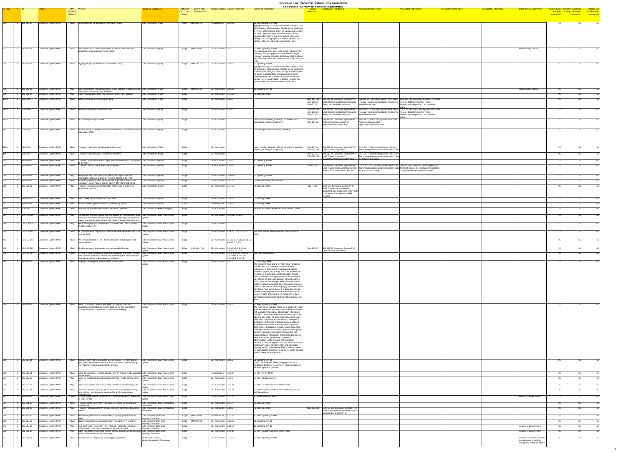| ID-ONC # ID |                                                       |                                                   | Entity - Property                                                                                                                                                                                                                         | <b>Functional Categories</b>                                           | <b>Entity Role</b><br>Link to other  | <b>Principal Context Context Reference</b>                |                                                                                                              | <b>Compressed Inventory of Functional Requirements</b><br><b>Comments / Rationale</b>                                                                                                                                                                                                                                                                                                                                                                                                                                                                                                                                                                                                                                                                                                                                                                                                                                                                                                                                                                                       |                                                      | <b>Associated Reference 1</b>                                                                                                                            | <b>Associated Reference 2</b>                                                                                                                                       | <b>Associated Reference 3</b>                                                                                                                                                                                                                                                                      | <b>Associated Reference 4</b> | <b>Associated Reference 5</b> | <b>Initial Review Comments</b>                        |                                         |                            |
|-------------|-------------------------------------------------------|---------------------------------------------------|-------------------------------------------------------------------------------------------------------------------------------------------------------------------------------------------------------------------------------------------|------------------------------------------------------------------------|--------------------------------------|-----------------------------------------------------------|--------------------------------------------------------------------------------------------------------------|-----------------------------------------------------------------------------------------------------------------------------------------------------------------------------------------------------------------------------------------------------------------------------------------------------------------------------------------------------------------------------------------------------------------------------------------------------------------------------------------------------------------------------------------------------------------------------------------------------------------------------------------------------------------------------------------------------------------------------------------------------------------------------------------------------------------------------------------------------------------------------------------------------------------------------------------------------------------------------------------------------------------------------------------------------------------------------|------------------------------------------------------|----------------------------------------------------------------------------------------------------------------------------------------------------------|---------------------------------------------------------------------------------------------------------------------------------------------------------------------|----------------------------------------------------------------------------------------------------------------------------------------------------------------------------------------------------------------------------------------------------------------------------------------------------|-------------------------------|-------------------------------|-------------------------------------------------------|-----------------------------------------|----------------------------|
|             |                                                       |                                                   | Property<br><b>Relation</b>                                                                                                                                                                                                               |                                                                        | (i.e., Core or requirements<br>Edge) |                                                           |                                                                                                              |                                                                                                                                                                                                                                                                                                                                                                                                                                                                                                                                                                                                                                                                                                                                                                                                                                                                                                                                                                                                                                                                             | <b>resembles</b>                                     |                                                                                                                                                          |                                                                                                                                                                     |                                                                                                                                                                                                                                                                                                    |                               |                               |                                                       | <b>Category Breakout</b><br>Session No. | Session No.<br>Session No. |
|             | $\vert$ 1  IBM-205-14                                 | Consumer System-PHR                               | Shall   Aggregate appropriate records from NHIN query                                                                                                                                                                                     | Data Transaction-(Pull)                                                | Core   IBM-205-11                    | Infrastructure $ 2.2.2.3x$                                |                                                                                                              | $3.2$ Pre-populating a PHR<br>Aggregation may occur via any number of means. For<br>the prototype, all appropriate records will be displayed<br>in reverse chronological order. In a production system,<br>we would expect multiple variations controlled by<br>unique preferences to make the system more user<br>friendly (i.e. pre-aggregation of certain records, sub-<br>queries within the retrieved record cache, etc.)                                                                                                                                                                                                                                                                                                                                                                                                                                                                                                                                                                                                                                              |                                                      |                                                                                                                                                          |                                                                                                                                                                     |                                                                                                                                                                                                                                                                                                    |                               |                               |                                                       |                                         | 32                         |
|             | <b>IBM-205-18</b>                                     | Consumer System-PHR                               | Shall $\bigcup$ Use a medication transaction broker to pre-populate PHR with<br>registration and medication history data                                                                                                                  | Data Transaction-(Pull)                                                | Edge   IBM-205-01                    | CE - Consumer 2.2.2.3                                     |                                                                                                              | 3.2 Pre-populating a PHR<br>One approach, most likely to be employed during the<br>prototype, is to pre-populate from PBM exchanges.<br>However, as more institution participate, HL7 feeds will<br>become more robust and data could be pulled from the<br>NHIN.                                                                                                                                                                                                                                                                                                                                                                                                                                                                                                                                                                                                                                                                                                                                                                                                           |                                                      |                                                                                                                                                          |                                                                                                                                                                     |                                                                                                                                                                                                                                                                                                    |                               |                               | Architectually specific                               |                                         |                            |
|             | <b>IBM-207-14</b>                                     | Consumer System-PHR                               | Shall Aggregate appropriate records from NHIN query                                                                                                                                                                                       | Data Transaction-(Pull)                                                | Edge $\overline{IBM-207-11}$         | CE - Consumer 2.1.5.2x                                    |                                                                                                              | 4.2 Updating a PHR<br>Aggregation may occur via any number of means. For<br>the prototype, all appropriate records will be displayed<br>in reverse chronological order. In a production system,<br>we would expect multiple variations controlled by<br>unique preferences to make the system more user<br>friendly (i.e. pre-aggregation of certain records, sub-<br>queries within the retrieved record cache, etc.)                                                                                                                                                                                                                                                                                                                                                                                                                                                                                                                                                                                                                                                      |                                                      |                                                                                                                                                          |                                                                                                                                                                     |                                                                                                                                                                                                                                                                                                    |                               |                               |                                                       |                                         |                            |
|             | <b>IBM-207-18</b>                                     | Consumer System-PHR                               | Use a medication transaction broker to pull updated registration and $\vert$ Data Transaction-(Pull)<br>May<br>medication history data into the PHR                                                                                       |                                                                        | Edge  IBM-207-01                     | $CE - Consumer$ 2.1.5.2x                                  |                                                                                                              | 4.2 Updating a PHR                                                                                                                                                                                                                                                                                                                                                                                                                                                                                                                                                                                                                                                                                                                                                                                                                                                                                                                                                                                                                                                          |                                                      |                                                                                                                                                          |                                                                                                                                                                     |                                                                                                                                                                                                                                                                                                    |                               |                               | Architectually specific                               |                                         |                            |
|             | <b>IBM-211-04</b>                                     | Consumer System-PHR                               | Import standardized data when creating a new PHR account<br>May                                                                                                                                                                           | Data Transaction-(Pull)                                                | Edge                                 | CE - Consumer 2.2.4.3x                                    |                                                                                                              | 7.2 Closing a PHR                                                                                                                                                                                                                                                                                                                                                                                                                                                                                                                                                                                                                                                                                                                                                                                                                                                                                                                                                                                                                                                           |                                                      |                                                                                                                                                          |                                                                                                                                                                     |                                                                                                                                                                                                                                                                                                    |                               |                               |                                                       |                                         |                            |
|             | <b>NGIT-089</b>                                       | Consumer System-PHR                               | Shall Receive and process registration data                                                                                                                                                                                               | Data Transaction-(Pull)                                                | Edge                                 | CE - Consumer 2.1.5.3                                     |                                                                                                              |                                                                                                                                                                                                                                                                                                                                                                                                                                                                                                                                                                                                                                                                                                                                                                                                                                                                                                                                                                                                                                                                             | IBM-205-2<br>IBM-207-2                               | Shall Receive registration/medication   Receive registration/medication history into   Receive data from another PHR or<br>history into the PHR/database | the PHR/database                                                                                                                                                    | CSC-CE-730  IBM-205-21 Consumer System-PHR  IBM-207-21 Consumer System-PHR Shall  CSC-CE-730 Consumer System-PHR Shall<br>Repository in response to an authorized                                                                                                                                  |                               |                               |                                                       |                                         |                            |
|             | NGIT-090                                              | Consumer System-PHR                               | Shall Receive and process medication data                                                                                                                                                                                                 | Data Transaction-(Pull)                                                | Edge                                 | CE - Consumer 2.1.5.3                                     |                                                                                                              |                                                                                                                                                                                                                                                                                                                                                                                                                                                                                                                                                                                                                                                                                                                                                                                                                                                                                                                                                                                                                                                                             | <b>CSC-CE-730</b><br>IBM-205-2<br>IBM-207-21         | Shall Receive registration/medication<br>history into the PHR/database                                                                                   | Receive registration/medication history into Receive data from another PHR or<br>the PHR/database                                                                   | IBM-205-21 Consumer System-PHR   IBM-207-21 Consumer System-PHR Shall CSC-CE-730 Consumer System-PHR Shall<br>Repository in response to an authorized                                                                                                                                              |                               |                               |                                                       |                                         |                            |
|             | $NGIT-091$                                            | <b>Consumer System-PHR</b>                        | Shall Acknowledge receipt of data                                                                                                                                                                                                         | Data Transaction-(Pull)                                                | Edge                                 | CE - Consumer                                             |                                                                                                              | PHR shall acknowledge receipt; CDO NHIN may<br>acknowledge acknowledgement                                                                                                                                                                                                                                                                                                                                                                                                                                                                                                                                                                                                                                                                                                                                                                                                                                                                                                                                                                                                  |                                                      | IBM-205-23   IBM-205-23 Consumer System-PHR<br>IBM-207-23 Shall Acknowledge receipt of<br>registration/medication data                                   | IBM-207-23 Consumer System-PHR Shall<br>Acknowledge receipt of<br>registration/medication data                                                                      | query                                                                                                                                                                                                                                                                                              |                               |                               |                                                       |                                         |                            |
|             | <b>NGIT-093</b>                                       | Consumer System-PHR                               | Shall Provide listing of lab result transactions received but not processed or Data Transaction-(Pull)<br>loaded into EMR                                                                                                                 |                                                                        | Edge                                 | CE - Consumer                                             |                                                                                                              | Processing includes receiving, validating                                                                                                                                                                                                                                                                                                                                                                                                                                                                                                                                                                                                                                                                                                                                                                                                                                                                                                                                                                                                                                   |                                                      |                                                                                                                                                          |                                                                                                                                                                     |                                                                                                                                                                                                                                                                                                    |                               |                               |                                                       |                                         |                            |
| 1080        | $NGIT-096$                                            | Consumer System-PHR                               | Shall<br>Transmit registration data to authorized system                                                                                                                                                                                  | Data Transaction-(Pull)                                                | Edge                                 | CE - Consumer                                             |                                                                                                              | Clarify whether data will / will not be coded; translation                                                                                                                                                                                                                                                                                                                                                                                                                                                                                                                                                                                                                                                                                                                                                                                                                                                                                                                                                                                                                  |                                                      | IBM-207-04 IBM-207-04 Consumer System-PHR                                                                                                                | CSC-CE-770 Consumer System-PHR May                                                                                                                                  |                                                                                                                                                                                                                                                                                                    |                               |                               |                                                       |                                         |                            |
|             | NGIT-097                                              | Consumer System-PHR                               | Shall Transmit medication data to authorized system                                                                                                                                                                                       | Data Transaction-(Pull)                                                | Edge                                 | CE - Consumer                                             |                                                                                                              | needed (for EMR) or not (portal)                                                                                                                                                                                                                                                                                                                                                                                                                                                                                                                                                                                                                                                                                                                                                                                                                                                                                                                                                                                                                                            | <b>CSC-CE-770</b><br>IBM-207-04<br><b>CSC-CE-770</b> | Shall Transmit request for<br>nistration/medication history data to<br><b>IBM-207-04 Consumer System-PHR</b><br>Shall Transmit request for               | Transmit registration and/or medication data<br><u>in resnonse to a guery</u><br>CSC-CE-770 Consumer System-PHR May<br>Transmit registration and/or medication data |                                                                                                                                                                                                                                                                                                    |                               |                               |                                                       |                                         |                            |
|             | IBM-207-31                                            | Consumer System-PHR                               | Shall $\vert$ Transmit consumer modified registration and medication history data $\vert$ Data Transaction-(Push)<br>to the PHR                                                                                                           |                                                                        | Edge                                 | CE - Consumer 2.1.5.5                                     |                                                                                                              | 4.2 Updating a PHR                                                                                                                                                                                                                                                                                                                                                                                                                                                                                                                                                                                                                                                                                                                                                                                                                                                                                                                                                                                                                                                          |                                                      | $r$ enistration/medication history data to $\frac{1}{r}$ in response to a query                                                                          |                                                                                                                                                                     |                                                                                                                                                                                                                                                                                                    |                               |                               |                                                       |                                         |                            |
|             | <b>IBM-207-33</b>                                     | Consumer System-PHR                               | Shall Transmit data according to HITSP standards                                                                                                                                                                                          | Data Transaction-(Push)                                                | Edge                                 | CE - Consumer 2.1.5.5x                                    |                                                                                                              | 4.2 Updating a PHR                                                                                                                                                                                                                                                                                                                                                                                                                                                                                                                                                                                                                                                                                                                                                                                                                                                                                                                                                                                                                                                          |                                                      | $\vert$ based security standards (SSL, etc.) $\vert$ in response to a query                                                                              |                                                                                                                                                                     | IBM-207-32   IBM-207-32 Consumer System-PHR   CSC-CE-770 Consumer System-PHR May   IBM-207-04 Consumer System-PHR Shall<br>Shall Transmit data according to web- Transmit registration and/or medication data Transmit request for registration/medication<br>history data to data/network systems |                               |                               |                                                       |                                         |                            |
|             | IBM-207-39<br>IBM-209-09                              | Consumer System-PHR<br>Consumer System-PHR        | Receive request from consumer to transfer registration and<br>May<br>medication history to another PHR when closing initial PHR<br>Shall Provide appropriate PHR data in HITSP approved format - CDA                                      | Data Transaction-(Push)<br>Data Transaction-(Push)                     | Edge<br>Edge                         | CE - Consumer 2.1.6.1a<br>$CE - Consumer$ 2.3.1.2x        |                                                                                                              | 4.2 Updating a PHR<br>6.1 Provider access to PHR data                                                                                                                                                                                                                                                                                                                                                                                                                                                                                                                                                                                                                                                                                                                                                                                                                                                                                                                                                                                                                       |                                                      |                                                                                                                                                          |                                                                                                                                                                     |                                                                                                                                                                                                                                                                                                    |                               |                               |                                                       |                                         |                            |
|             | <b>IBM-211-02</b>                                     | Consumer System-PHR                               | compliant - when viewing directly from PHR system/web portal<br>May $\vert$ Transfer registration and medication history data to a different<br>provider of services                                                                      | Data Transaction-(Push)                                                | Edge                                 | $CE - Consumer \t   2.2.4.3x$                             |                                                                                                              | 7.2 Closing a PHR                                                                                                                                                                                                                                                                                                                                                                                                                                                                                                                                                                                                                                                                                                                                                                                                                                                                                                                                                                                                                                                           |                                                      | NGIT-099 NGIT-099 Consumer System-PHR<br>Shall Support transmission of                                                                                   |                                                                                                                                                                     |                                                                                                                                                                                                                                                                                                    |                               |                               |                                                       |                                         |                            |
|             |                                                       |                                                   |                                                                                                                                                                                                                                           |                                                                        |                                      |                                                           |                                                                                                              |                                                                                                                                                                                                                                                                                                                                                                                                                                                                                                                                                                                                                                                                                                                                                                                                                                                                                                                                                                                                                                                                             |                                                      | registration and medication history data<br>to a subsequent provider of PHR<br>services                                                                  |                                                                                                                                                                     |                                                                                                                                                                                                                                                                                                    |                               |                               |                                                       |                                         |                            |
|             | <b>IBM-211-03</b><br><b>IBM-211-06</b>                | Consumer System-PHR<br>Consumer System-PHR        | Shall Export PHR data in a standardized format<br>Shall Follow data encryption standards governed by HITSP                                                                                                                                | Data Transaction-(Push)<br>Data Transaction-(Push)                     | Edge<br>Core                         | CE - Consumer 2.2.4.3x<br>Infrastructure $2.2.4.3x$       |                                                                                                              | 7.2 Closing a PHR<br>7.2 Closing a PHR                                                                                                                                                                                                                                                                                                                                                                                                                                                                                                                                                                                                                                                                                                                                                                                                                                                                                                                                                                                                                                      |                                                      |                                                                                                                                                          |                                                                                                                                                                     |                                                                                                                                                                                                                                                                                                    |                               |                               |                                                       |                                         |                            |
|             | <b>NGIT-092</b>                                       | Consumer System-PHR                               | Shall   Maintain log of interactions with external data systems                                                                                                                                                                           | Data Transaction-Audit & Logging                                       | Edge                                 | CE - Consumer                                             |                                                                                                              | maintain history of requests for data, receipt of data                                                                                                                                                                                                                                                                                                                                                                                                                                                                                                                                                                                                                                                                                                                                                                                                                                                                                                                                                                                                                      |                                                      |                                                                                                                                                          |                                                                                                                                                                     |                                                                                                                                                                                                                                                                                                    |                               |                               |                                                       |                                         |                            |
|             | CSC-CE-100                                            | Consumer System-PHR                               | Contain the following data linked to a patient ID: demographic data; Data Transaction-Data Access and<br>Mav<br>  financial information sufficient for insurance elibibility checking and   Update                                        |                                                                        | Edge                                 | CE - Consumer $ p.5.$ s3.B, p.5.s3.C                      |                                                                                                              |                                                                                                                                                                                                                                                                                                                                                                                                                                                                                                                                                                                                                                                                                                                                                                                                                                                                                                                                                                                                                                                                             |                                                      |                                                                                                                                                          |                                                                                                                                                                     |                                                                                                                                                                                                                                                                                                    |                               |                               |                                                       |                                         |                            |
|             | CSC-CE-430                                            | <b>Consumer System-PHR</b>                        | claims processing; basic clinical information including allergies and<br>Have the capability for consumers to transfer their data from one<br>Mav<br><b>PHR</b> to another PHR                                                            | Data Transaction-Data Access and                                       | Edge                                 | CE - Consumer                                             |                                                                                                              |                                                                                                                                                                                                                                                                                                                                                                                                                                                                                                                                                                                                                                                                                                                                                                                                                                                                                                                                                                                                                                                                             |                                                      |                                                                                                                                                          |                                                                                                                                                                     |                                                                                                                                                                                                                                                                                                    |                               |                               |                                                       |                                         |                            |
|             | $\text{CSC-CE-540}$                                   | Consumer System-PHR                               | Shall Accept consumer request to locate and retrieve their PHR data from Data Transaction-Data Access and<br>another PHR                                                                                                                  |                                                                        | Edge                                 |                                                           | CE - Consumer 2.1.4.2, 2.1.5.2, 2.2.2.1                                                                      | This PHR to PHR interaction does not involve the                                                                                                                                                                                                                                                                                                                                                                                                                                                                                                                                                                                                                                                                                                                                                                                                                                                                                                                                                                                                                            |                                                      |                                                                                                                                                          |                                                                                                                                                                     |                                                                                                                                                                                                                                                                                                    |                               |                               |                                                       |                                         |                            |
|             | $\textcolor{blue}{\mathsf{CSC\text{-}CE\text{-}550}}$ | Consumer System-PHR                               | Shall Present information in PHR to the consumer including date and<br>source of data                                                                                                                                                     | Data Transaction-Data Access and                                       | Edge                                 |                                                           | CE - Consumer $ CE-p.8.$ s5.2, CE-p.6.s3.D5,<br>2.1.4.3, 2.1.5.3                                             |                                                                                                                                                                                                                                                                                                                                                                                                                                                                                                                                                                                                                                                                                                                                                                                                                                                                                                                                                                                                                                                                             |                                                      |                                                                                                                                                          |                                                                                                                                                                     |                                                                                                                                                                                                                                                                                                    |                               |                               |                                                       |                                         |                            |
| 405<br>416. | $\textsf{CSC-CE-580}$<br>$\big $ CSC-CE-70            | Consumer System-PHR<br>Consumer System-PHR        | Shall Enable consumer to annotate non-user-modifiable data.<br>Shall Provide a secure electronic patient demographic and health history   Data Transaction-Data Access and                                                                | Data Transaction-Data Access and                                       | Edge CSC-ALL-710<br>Edge             |                                                           | CE - Consumer $CE-p.8.55.3, 2.1.5.4a$ ,<br>2.1.5.5, 2.1.5.5.a<br>CE - Consumer $ p.2, p.5.53.45, p.6.53.01,$ | Top PHR specification                                                                                                                                                                                                                                                                                                                                                                                                                                                                                                                                                                                                                                                                                                                                                                                                                                                                                                                                                                                                                                                       |                                                      | IBM-207-27   IBM-207-27 Consumer System-PHR<br>Shall Allow for annotations                                                                               |                                                                                                                                                                     |                                                                                                                                                                                                                                                                                                    |                               |                               |                                                       |                                         |                            |
|             | 1 <b>IBM-201-01</b>                                   | Consumer System-PHR                               | which can be accessed, viewed and updated by the consumer and Update<br>shared with others at the consumer's choice<br>Shall Display home page of selected PHR to consumer                                                                | Data Transaction-Data Access and                                       | Edge                                 | CE - Consumer 2.1.1.0                                     | $ p.6$ .s3.D2, p.6.s3.D3,<br>p.6.s3.D4, p.9.s7.1                                                             | 1.1 Opening a PHR                                                                                                                                                                                                                                                                                                                                                                                                                                                                                                                                                                                                                                                                                                                                                                                                                                                                                                                                                                                                                                                           |                                                      |                                                                                                                                                          |                                                                                                                                                                     |                                                                                                                                                                                                                                                                                                    |                               |                               |                                                       |                                         |                            |
|             |                                                       |                                                   |                                                                                                                                                                                                                                           |                                                                        |                                      |                                                           |                                                                                                              | The consumer shall select a PHR from a number of<br>possible vendors. Vendors may be software<br>companies, or sponsoring organizations such as<br>hospitals, payers, ambulatory practices, schools, etc.<br>A consumer's particular medical condition (family<br>history, diabetes, managing other chronic condition,<br>letc.) should be taken into account when choosing a<br>PHR. Given this landscape, PHR should be able to<br>support multiple languages, have translation services<br>clinical data into readable language), and serve those<br>that do not have web access. It is assumed that the<br><b>PHR</b> data will originate from medication transaction<br>brokers (health information intermediaries) or from<br>participating institutions that stream HL7 data into the                                                                                                                                                                                                                                                                                |                                                      |                                                                                                                                                          |                                                                                                                                                                     |                                                                                                                                                                                                                                                                                                    |                               |                               |                                                       |                                         |                            |
|             | <b>IBM-205-01</b>                                     | Consumer System-PHR                               | Shall Allow consumer to request that PHR be pre-populated with<br>registration and medication history data for the first time (either<br>through the NHIN or medication transaction brokers)                                              | Data Transaction-Data Access and                                       | Edge                                 | $\vert$ CE - Consumer 2.1.4.2                             |                                                                                                              | $3.2$ Pre-populating a PHR<br>The PHR will be updated based on a 'triggered' model<br>when the consumer requests that the PHR be updated<br>with available information. Registration information<br>includes: Last name, first name, middle name, street<br>address, city, state, zip code, home telephone, work<br>telephone, cell phone, e-mail address, emergency<br>contact(s), relationship to patient, home telephone,<br>work telephone, e-mail address, patient's gender,<br>DOB, SSN, ethnicity/race, height, weight, insurance<br>coverage identification number, group number, policy<br>number, subscriber, subscriber relationship, and<br>known allergies. Medication history includes: current<br>medication name (proprietary or generic),<br>administration mode, dosage, administration<br>frequency, prescribing physician, and past medications<br>[medication name, condition, start and stop dates,<br>dosage]. NOTE: Whether the PHR is pre-populated<br>via a medication broker or via the NHIN will be dictated<br>by the marketplace in question. |                                                      |                                                                                                                                                          |                                                                                                                                                                     |                                                                                                                                                                                                                                                                                                    |                               |                               |                                                       |                                         |                            |
|             | <b>IBM-207-01</b>                                     | Consumer System-PHR                               | Shall Request that PHR be populated with up-to-date (i.e. not initial pre-<br>populated) registration and medication history data (either through   Update<br>the NHIN or medication transaction brokers)                                 | Data Transaction-Data Access and                                       | Edge                                 | $\vert$ CE - Consumer 2.1.5.2                             |                                                                                                              | 4.2 Updating a PHR<br>NOTE: Whether the PHR is pre-populated via a<br>medication broker or via the NHIN will be dictated by<br>the marketplace in question.                                                                                                                                                                                                                                                                                                                                                                                                                                                                                                                                                                                                                                                                                                                                                                                                                                                                                                                 |                                                      |                                                                                                                                                          |                                                                                                                                                                     |                                                                                                                                                                                                                                                                                                    |                               |                               |                                                       |                                         |                            |
|             | <b>IBM-208-01</b><br><b>IBM-212-03</b>                | Consumer System-PHR<br>Consumer System-PHR        | Shall Allow the consumer to select whether their PHR data will be available Data Transaction-Data Access and<br>via the NHIN<br>Allow for modifications and annotations in lab results, clinical notes, Data Transaction-Data Access and  |                                                                        | Edge<br>Edge                         | $Infrastructure$ 2.z.2.1<br>$CE - Consumer$ 2.z.3.3       |                                                                                                              | 5.1 PHR on the NHIN<br>8.1 PHR Clinical Content                                                                                                                                                                                                                                                                                                                                                                                                                                                                                                                                                                                                                                                                                                                                                                                                                                                                                                                                                                                                                             |                                                      |                                                                                                                                                          |                                                                                                                                                                     |                                                                                                                                                                                                                                                                                                    |                               |                               |                                                       |                                         |                            |
|             | <b>IBM-212-15</b>                                     | Consumer System-PHR                               | Allow consumer to hide clinical data, lab results, family history, etc.<br>Mav                                                                                                                                                            | Data Transaction-Data Access and                                       | Edge                                 | $CE - Consumer$ 2.z.3.15                                  |                                                                                                              | 8.3 PHR Usability and User Preferences                                                                                                                                                                                                                                                                                                                                                                                                                                                                                                                                                                                                                                                                                                                                                                                                                                                                                                                                                                                                                                      |                                                      |                                                                                                                                                          |                                                                                                                                                                     |                                                                                                                                                                                                                                                                                                    |                               |                               |                                                       |                                         |                            |
|             | <b>IBM-212-36</b>                                     | Consumer System-PHR                               | Shall Adhere to the laws (federal, state, local, and business) governing<br>how minors' records can be accessed by a third party across                                                                                                   | Data Transaction-Data Access and                                       | Edge                                 | CE - Consumer 2.z.3.36                                    |                                                                                                              | 8.12 PHR Federal, State, Local and Business Laws<br>and Regulations                                                                                                                                                                                                                                                                                                                                                                                                                                                                                                                                                                                                                                                                                                                                                                                                                                                                                                                                                                                                         |                                                      |                                                                                                                                                          |                                                                                                                                                                     |                                                                                                                                                                                                                                                                                                    |                               |                               |                                                       |                                         |                            |
|             | <b>IBM-212-37</b>                                     | Consumer System-PHR                               | Should Provide Service Level Agreement to Consumer regarding availability Data Transaction-Data Access and<br>of PHR service                                                                                                              |                                                                        | Edge                                 | $\vert$ CE - Consumer $\vert$ 2.z.3.37                    |                                                                                                              | 8.13 PHR Administration                                                                                                                                                                                                                                                                                                                                                                                                                                                                                                                                                                                                                                                                                                                                                                                                                                                                                                                                                                                                                                                     |                                                      |                                                                                                                                                          |                                                                                                                                                                     |                                                                                                                                                                                                                                                                                                    |                               |                               | Feature of Edge System                                |                                         |                            |
|             | <b>IBM-211-07</b><br><b>IBM-211-08</b>                | Consumer System-PHR<br>Consumer System-PHR        | Shall Transmit confirmation that PHR has been closed (or closed and Data Transaction-Data Transaction<br>transferred<br>Transmit notification that PHR data has been transferred to another<br>May                                        | Verification<br>Data Transaction-Data Transaction                      | Edge<br>Edge                         | CE - Consumer 2.2.4.4<br>$CE - Consumer$ 2.1.6.2          |                                                                                                              | 7.2 Closing a PHR<br>7.2 Closing a PHR                                                                                                                                                                                                                                                                                                                                                                                                                                                                                                                                                                                                                                                                                                                                                                                                                                                                                                                                                                                                                                      |                                                      | CSC-CE-630 CSC-CE-630 Consumer System-PHR                                                                                                                |                                                                                                                                                                     |                                                                                                                                                                                                                                                                                                    |                               |                               |                                                       |                                         |                            |
|             | <b>IBM-205-15</b>                                     | <b>Consumer System-PHR</b>                        | ⊪vendol<br>Shall Receive registration/medication history to pre-populate PHR via                                                                                                                                                          | Verification<br>Data Transformation-Data                               | Edge   IBM-205-04                    | Infrastructure $2.2.2.4x$                                 |                                                                                                              | 3.2 Pre-populating a PHR                                                                                                                                                                                                                                                                                                                                                                                                                                                                                                                                                                                                                                                                                                                                                                                                                                                                                                                                                                                                                                                    |                                                      | Shall Notify customer that PHR data is<br>transmited to another PHR                                                                                      |                                                                                                                                                                     |                                                                                                                                                                                                                                                                                                    |                               |                               |                                                       |                                         |                            |
|             | <b>IBM-207-15</b>                                     | <b>Consumer System-PHR</b>                        | <b>NHIN</b><br>Receive registration/medication history to update PHR via NHIN<br>Shall                                                                                                                                                    | Mapping/Translation<br>Data Transformation-Data<br>Mapping/Translation | Edge IBM-207-04                      | $CE - Consumer$ 2.1.5.2x                                  |                                                                                                              | 4.2 Updating a PHR                                                                                                                                                                                                                                                                                                                                                                                                                                                                                                                                                                                                                                                                                                                                                                                                                                                                                                                                                                                                                                                          |                                                      |                                                                                                                                                          |                                                                                                                                                                     |                                                                                                                                                                                                                                                                                                    |                               |                               |                                                       |                                         | 4.3                        |
|             | <b>IBM-207-28</b><br><b>IBM-212-14</b>                | <b>Consumer System-PHR</b><br>Consumer System-PHR | Map information entered by PHR Account Holders to controlled,<br>May<br>standardized code sets or nomenclature when feasible<br>Offer 'translation' services to provide clinical data in easy to read and Data Transformation-Data<br>May | Data Transformation-Data<br>Mapping/Translation                        | Edge<br>Edge                         | CE - Consumer 2.1.5.4x<br>$CE - Consumer \quad  2.z.3.14$ |                                                                                                              | 4.2 Updating a PHR<br>8.3 PHR Usability and User Preferences                                                                                                                                                                                                                                                                                                                                                                                                                                                                                                                                                                                                                                                                                                                                                                                                                                                                                                                                                                                                                |                                                      |                                                                                                                                                          |                                                                                                                                                                     |                                                                                                                                                                                                                                                                                                    |                               |                               | Feature of Edge System<br>Feature of Edge System      |                                         | 4.3<br>-4.3                |
|             | <b>IBM-205-19</b>                                     | Consumer System-PHR                               | understandable format and language<br>Shall   Maintain an XDS repository following pre-population                                                                                                                                         | Mapping/Translation<br>Information Location-                           | Edge                                 | CE - Consumer 2.2.2.3x                                    |                                                                                                              | 3.2 Pre-populating a PHR                                                                                                                                                                                                                                                                                                                                                                                                                                                                                                                                                                                                                                                                                                                                                                                                                                                                                                                                                                                                                                                    |                                                      |                                                                                                                                                          |                                                                                                                                                                     |                                                                                                                                                                                                                                                                                                    |                               |                               | Refers to a specific standard-                        |                                         | 4.3                        |
|             |                                                       |                                                   |                                                                                                                                                                                                                                           | Identity/Information Correlation                                       |                                      |                                                           |                                                                                                              |                                                                                                                                                                                                                                                                                                                                                                                                                                                                                                                                                                                                                                                                                                                                                                                                                                                                                                                                                                                                                                                                             |                                                      |                                                                                                                                                          |                                                                                                                                                                     |                                                                                                                                                                                                                                                                                                    |                               |                               | the statement should be<br>changed to reference HITSP |                                         |                            |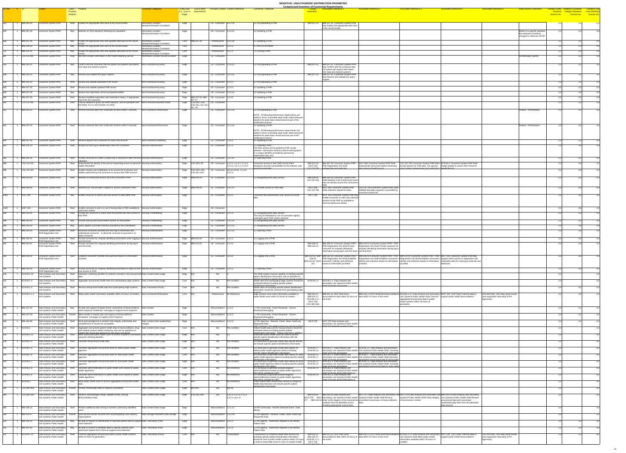| $ID-ONC$ $\#$ ID   |                                                               |                                                                 |                      | Entity - Property                                                                                                                                                                                                                | unctional Categories                                                                      | <b>Entity Role</b>      | Link to other                                                                      | <b>Principal Context Context Reference</b>                            | <b>Comments / Rationale</b>                                                                                                                                 | <b>Compressed Inventory of Functional Requirements</b><br><b>Associated Reference 2</b><br><b>Associated Reference 3</b><br><b>Associated Reference 5</b><br><b>Initial Review Comment</b><br><b>Associated Reference</b><br><b>Associated Reference 4</b><br>entative Entity -                                                                                                                                                                      | <b>Tentiative Use</b>                                      |
|--------------------|---------------------------------------------------------------|-----------------------------------------------------------------|----------------------|----------------------------------------------------------------------------------------------------------------------------------------------------------------------------------------------------------------------------------|-------------------------------------------------------------------------------------------|-------------------------|------------------------------------------------------------------------------------|-----------------------------------------------------------------------|-------------------------------------------------------------------------------------------------------------------------------------------------------------|------------------------------------------------------------------------------------------------------------------------------------------------------------------------------------------------------------------------------------------------------------------------------------------------------------------------------------------------------------------------------------------------------------------------------------------------------|------------------------------------------------------------|
|                    |                                                               |                                                                 | Property<br>Relation |                                                                                                                                                                                                                                  |                                                                                           | (i.e., Core or<br>Edge) | requirements                                                                       |                                                                       |                                                                                                                                                             | Breakout<br>resembles.<br>Session No.                                                                                                                                                                                                                                                                                                                                                                                                                | Category Breakout Case Breakout<br>Session No. Session No. |
| 613.               | <b>IBM-205-20</b>                                             | <b>Consumer System-PHR</b>                                      |                      | Shall Publish the appropriate links back to the record locator                                                                                                                                                                   | Information Location-                                                                     |                         |                                                                                    | $CE - Consumer$ 2.2.2.3x                                              | 3.2 Pre-populating a PHR                                                                                                                                    | IBM-207-20   IBM-207-20 Consumer System-PHR                                                                                                                                                                                                                                                                                                                                                                                                          | 3.4                                                        |
|                    |                                                               |                                                                 |                      |                                                                                                                                                                                                                                  | Identity/Information Correlation                                                          | Edge                    |                                                                                    |                                                                       |                                                                                                                                                             | May Publish the appropriate links back<br>to the record locator                                                                                                                                                                                                                                                                                                                                                                                      |                                                            |
| 639                | <b>IBM-207-19</b>                                             | <b>Consumer System-PHR</b>                                      | May                  | Maintain an XDS repository following pre-population                                                                                                                                                                              | Information Location-<br>Identity/Information Correlation                                 | Edge                    |                                                                                    | $CE - Consumer$ 2.1.5.2x                                              | 4.2 Updating a PHR                                                                                                                                          | Refers to a specific standard<br>the statement should be                                                                                                                                                                                                                                                                                                                                                                                             |                                                            |
|                    |                                                               |                                                                 |                      |                                                                                                                                                                                                                                  |                                                                                           |                         |                                                                                    |                                                                       |                                                                                                                                                             | changed to reference HITSP                                                                                                                                                                                                                                                                                                                                                                                                                           |                                                            |
| 656                | <b>IBM-207-36</b>                                             | Consumer System-PHR                                             | May                  | Publish the appropriate links with updated data back to the record<br>locato                                                                                                                                                     | Information Location-<br>Identity/Information Correlation                                 |                         | Core $\sqrt{\text{IBM-207-30}}$                                                    | Infrastructure $ 2.z.1.18$                                            | 4.2 Updating a PHR                                                                                                                                          |                                                                                                                                                                                                                                                                                                                                                                                                                                                      |                                                            |
|                    | <b>IBM-208-03</b><br><b>IBM-211-05</b>                        | Consumer System-PHR<br>Consumer System-PHR                      | May<br>May           | Publish the appropriate links back to the record locator<br>Publish the appropriate links with updated data back to the record                                                                                                   | Information Location-<br>Identity/Information Correlation<br><b>Information Location-</b> | Core<br>Core            |                                                                                    | Infrastructure $ 2.z.2.3\rangle$<br>Infrastructure $ 2.z.1.1$         | 5.1 PHR on the NHIN<br>7.2 Closing a PHR                                                                                                                    |                                                                                                                                                                                                                                                                                                                                                                                                                                                      |                                                            |
|                    | $\textcolor{red}{\mathsf{CSC}\text{-}\mathsf{CE}\text{-}480}$ | Consumer System-PHR                                             | Shall                | Not store location information in the Patient Matching service.                                                                                                                                                                  | Identity/Information Correlation<br>Information Location-Record Location                  |                         |                                                                                    | CE - Consumer                                                         |                                                                                                                                                             | Architectually specific                                                                                                                                                                                                                                                                                                                                                                                                                              |                                                            |
|                    |                                                               |                                                                 |                      |                                                                                                                                                                                                                                  |                                                                                           |                         |                                                                                    |                                                                       |                                                                                                                                                             |                                                                                                                                                                                                                                                                                                                                                                                                                                                      |                                                            |
|                    | <b>IBM-205-02</b>                                             | <b>Consumer System-PHR</b>                                      | Mav                  | Confirm with the consumer that the system will request information<br>from data and network systems                                                                                                                              | Non-Functional-Accuracy                                                                   | Edge                    |                                                                                    | CE - Consumer 2.1.4.2x                                                | 3.2 Pre-populating a PHR                                                                                                                                    | IBM-207-02<br><b>IBM-207-02 Consumer System-PHR</b><br>May Confirm with the consumer that                                                                                                                                                                                                                                                                                                                                                            |                                                            |
|                    |                                                               |                                                                 |                      |                                                                                                                                                                                                                                  |                                                                                           |                         |                                                                                    |                                                                       |                                                                                                                                                             | the system will request information<br>from data and network systems                                                                                                                                                                                                                                                                                                                                                                                 |                                                            |
| 596                | <b>IBM-205-03</b>                                             | Consumer System-PHR                                             |                      | May Receive and validate the query request                                                                                                                                                                                       | Non-Functional-Accuracy                                                                   | Edge                    |                                                                                    | $CE - Consumer$ 2.1.4.2x                                              | 3.2 Pre-populating a PHR                                                                                                                                    | IBM-207-03<br>IBM-207-03 Consumer System-PHR<br>May Receive and validate the query                                                                                                                                                                                                                                                                                                                                                                   |                                                            |
| 618                | <b>IBM-205-25</b>                                             | Consumer System-PHR                                             |                      | Shall Review and validate populated PHR record                                                                                                                                                                                   | Non-Functional-Accuracy                                                                   | Edge                    |                                                                                    | $CE - Consumer \quad  2.1.4.3$                                        | 3.2 Pre-populating a PHR                                                                                                                                    | request                                                                                                                                                                                                                                                                                                                                                                                                                                              |                                                            |
| 645                | <b>IBM-207-25</b>                                             | <b>Consumer System-PHR</b>                                      |                      | Shall Review and validate updated PHR record                                                                                                                                                                                     | Non-Functional-Accuracy                                                                   | Edge                    |                                                                                    | CE - Consumer 2.1.5.3                                                 | 4.2 Updating a PHR                                                                                                                                          |                                                                                                                                                                                                                                                                                                                                                                                                                                                      |                                                            |
| 649                | <b>IBM-207-29</b>                                             | Consumer System-PHR                                             | Mav                  | Restrict how data fields will be annotated/modified.                                                                                                                                                                             | Non-Functional-Accuracy                                                                   | Edge                    |                                                                                    | $CE - Consumer$ 2.1.5.4x                                              | 4.2 Updating a PHR                                                                                                                                          |                                                                                                                                                                                                                                                                                                                                                                                                                                                      |                                                            |
| 650                | <b>IBM-207-30</b>                                             | Consumer System-PHR                                             |                      | Receive modified registration and medication history, if appropriate, Non-Functional-Accuracy<br>back from the consumer                                                                                                          |                                                                                           |                         | Edge  IBM-207-26; IBM-                                                             | $\vert$ CE - Consumer 2.1.5.5                                         | $4.2$ Updating a PHR                                                                                                                                        |                                                                                                                                                                                                                                                                                                                                                                                                                                                      |                                                            |
|                    | $\textcolor{red}{\mathsf{CSC\text{-}CE\text{-}400}}$          | <b>Consumer System-PHR</b>                                      | Shall                | $\Box$ Only be allowed to query the NHIN interface, and be queriable over $\Box$ Non-Functional-Business Rules<br>the NHIN, if it is a full member of a SNO.                                                                     |                                                                                           |                         | Edge CSC-SEC-230,<br>$ {\sf CSC}\text{-}\mathsf{ALL}\text{-}20,\, {\sf CSC}\cdot $ | CE - Consumer                                                         |                                                                                                                                                             |                                                                                                                                                                                                                                                                                                                                                                                                                                                      |                                                            |
| 615                | <b>IBM-205-22</b>                                             | Consumer System-PHR                                             | Shall                | Present retrieved data from medication brokers within 5 seconds                                                                                                                                                                  | Non-Functional-Performance                                                                | Edge                    | $ALL-30$                                                                           | $CE - Consumer$ 2.2.2.3x                                              | 3.2 Pre-populating a PHR                                                                                                                                    | Feature - Performance                                                                                                                                                                                                                                                                                                                                                                                                                                |                                                            |
|                    |                                                               |                                                                 |                      |                                                                                                                                                                                                                                  |                                                                                           |                         |                                                                                    |                                                                       | NOTE: All following performance requirements are                                                                                                            |                                                                                                                                                                                                                                                                                                                                                                                                                                                      |                                                            |
|                    |                                                               |                                                                 |                      |                                                                                                                                                                                                                                  |                                                                                           |                         |                                                                                    |                                                                       | stated in terms of possible peak loads; determining the<br>baseline for peak loads should become part of the<br>certification process.                      |                                                                                                                                                                                                                                                                                                                                                                                                                                                      |                                                            |
| 642                | <b>IBM-207-22</b>                                             | <b>Consumer System-PHR</b>                                      | Shall                | <b>Present retrieved data from medication brokers within 5 seconds</b>                                                                                                                                                           | Non-Functional-Performance                                                                | Edge                    |                                                                                    | $CE - Consumer$ 2.1.5.3x                                              | 4.2 Updating a PHR                                                                                                                                          | Feature - Performance                                                                                                                                                                                                                                                                                                                                                                                                                                |                                                            |
|                    |                                                               |                                                                 |                      |                                                                                                                                                                                                                                  |                                                                                           |                         |                                                                                    |                                                                       | NOTE: All following performance requirements are<br>stated in terms of possible peak loads; determining the                                                 |                                                                                                                                                                                                                                                                                                                                                                                                                                                      |                                                            |
|                    |                                                               |                                                                 |                      |                                                                                                                                                                                                                                  |                                                                                           |                         |                                                                                    |                                                                       | baseline for peak loads should become part of the<br>certification process.                                                                                 |                                                                                                                                                                                                                                                                                                                                                                                                                                                      |                                                            |
| 658                | <b>IBM-207-38</b>                                             | <b>Consumer System-PHR</b>                                      |                      | Shall Receive request from consumer to close PHR account                                                                                                                                                                         | Non-Functional-Scalability                                                                | Edge                    |                                                                                    | $CE - Consumer$ 2.1.6.1                                               | $4.2$ Updating a PHR                                                                                                                                        |                                                                                                                                                                                                                                                                                                                                                                                                                                                      |                                                            |
|                    | <b>IBM-201-03</b>                                             | <b>Consumer System-PHR</b>                                      |                      | Shall Accept first time log-in identification data from consumer                                                                                                                                                                 | Security-Authentication                                                                   | Edge                    |                                                                                    | $CE - Consumer$ 2.1.1.1                                               | 1.1 Opening a PHR<br>First time access will be guided by PHR vendor                                                                                         |                                                                                                                                                                                                                                                                                                                                                                                                                                                      |                                                            |
|                    |                                                               |                                                                 |                      |                                                                                                                                                                                                                                  |                                                                                           |                         |                                                                                    |                                                                       | selected - information entered could be demographic<br>or a unique identifier provided by sponsoring                                                        |                                                                                                                                                                                                                                                                                                                                                                                                                                                      |                                                            |
|                    | <b>IBM-201-05</b>                                             | Consumer System-PHR                                             |                      | Shall   Prompt consumer to create a unique log-in mechanism after first time Security-Authentication                                                                                                                             |                                                                                           | Edge                    |                                                                                    | $\overline{CE}$ - Consumer 2.1.1.1x                                   | organization (pin, etc).<br>1.1 Opening a PHR                                                                                                               |                                                                                                                                                                                                                                                                                                                                                                                                                                                      |                                                            |
|                    | $CSC-CE-510$                                                  | Consumer System-PHR                                             |                      | Shall Authenticate the identity of the person requesting access to personal Security-Authorization<br>health information                                                                                                         |                                                                                           |                         | Edge CSC-SEC-50                                                                    | CE - Consumer 2.1.2.1, 2.1.3.1, 2.1.4.1,<br>2.1.5.1, 2.2.1.1, 2.2.2.2 | Consumer access to their PHR via the NHIN<br>introduces security vulnerabilities to the network, and                                                        | IBM-207-40 IBM-207-40 Consumer System-PHR-- NGIT-083 Consumer System-PHR Shall CSC-CE-750 Consumer System-PHR Shall ACN-03.1 Consumer System-PHR Shall<br><b>NGIT-083</b><br><b>PHR Registration info Shall</b><br>$\vert$ Accept queries for PHR data. The queries $\vert$ Enable people to access their Personal<br>Authenticate consumers before accessing                                                                                        |                                                            |
|                    | $\csc$ -CE-520                                                | Consumer System-PHR                                             | Shall                | Enable creation and modification of an access list of persons and                                                                                                                                                                | Security-Authorization                                                                    |                         | Edge CSC-SEC-200,                                                                  | CE - Consumer   CE-p.5.s3.A1, 2.1.2.2,                                | Mahulaan ad hlunw                                                                                                                                           | CSC-CE-750 Authorticate and verify the<br><u>must contain authenticating and authorizing</u> Health Record<br>their nersonal health record                                                                                                                                                                                                                                                                                                           |                                                            |
|                    |                                                               |                                                                 |                      | entities authorized by the consumer to access their PHR account.                                                                                                                                                                 |                                                                                           |                         | CSC-ALL-610                                                                        | 2.2.1.3                                                               |                                                                                                                                                             |                                                                                                                                                                                                                                                                                                                                                                                                                                                      |                                                            |
|                    | <b>IBM-203-04</b>                                             | Consumer System-PHR                                             |                      | Shall Maintain an authorized access list to the consumer's PHR                                                                                                                                                                   | Security-Authorization                                                                    |                         | Edge $ \overline{\text{IBM-201-03}} $                                              | $CE - Consumer \t   2.1.2.2x$                                         | 2.2 Designating third party access                                                                                                                          | IBM-209-04  IBM-209-04 Consumer System-PHR<br>CSC-CE-530 Shall Maintain a list of authorized users<br>that can directly access the consumer's                                                                                                                                                                                                                                                                                                        |                                                            |
| 671                | <b>IBM-209-06</b>                                             | <b>Consumer System-PHR</b>                                      |                      | Shall Authorize (or not) provider's request to access consumer's PHR                                                                                                                                                             | Security-Authorization                                                                    |                         | Edge  IBM-209-04                                                                   | $CE - Consumer$ 2.3.1.1x                                              | 6.1 Provider access to PHR data                                                                                                                             | <b>PHR</b><br><b>NGIT-095</b><br>NGIT-095 Consumer System-PHR<br>CSC-CE-760 Consumer System-PHR Shall                                                                                                                                                                                                                                                                                                                                                |                                                            |
|                    |                                                               |                                                                 |                      |                                                                                                                                                                                                                                  |                                                                                           |                         |                                                                                    |                                                                       |                                                                                                                                                             | <b>CSC-CE-760</b><br>Shall Authorize request for data<br>Validate that data requestor is permitted b<br>consumer access list                                                                                                                                                                                                                                                                                                                         |                                                            |
| 1068               | <b>NGIT-084</b>                                               | Consumer System-PHR                                             | Mav                  | Enable consumer to define who has access to data within PHR                                                                                                                                                                      | Security-Authorization                                                                    | Edge                    |                                                                                    | CE - Consumer 2.1.2.2                                                 | Consumer has authorization over access to his/her                                                                                                           | NGIT-163 NGIT-163 Consumer System-PHR Ma<br>Enable consumer to mark only selected                                                                                                                                                                                                                                                                                                                                                                    |                                                            |
|                    |                                                               |                                                                 |                      |                                                                                                                                                                                                                                  |                                                                                           |                         |                                                                                    |                                                                       |                                                                                                                                                             | portions of the PHR as available to<br>external authorized entities                                                                                                                                                                                                                                                                                                                                                                                  |                                                            |
|                    | <b>NGIT-164</b>                                               | <b>Consumer System-PHR</b>                                      |                      | Enable consumer to opt in or out of having data in PHR available to Security-Authorization                                                                                                                                       |                                                                                           | Edge                    |                                                                                    | CE - Consumer                                                         |                                                                                                                                                             |                                                                                                                                                                                                                                                                                                                                                                                                                                                      |                                                            |
| 588                | <b>IBM-203-01</b>                                             | <b>Consumer System-PHR</b>                                      |                      | authorized entities<br>Shall Prompt the consumer to select what third-parties will have access to Security-Credentialing                                                                                                         |                                                                                           | Edge                    |                                                                                    | $CE - Consumer$ 2.2.1.3                                               | 2.2 Designating third party access                                                                                                                          |                                                                                                                                                                                                                                                                                                                                                                                                                                                      |                                                            |
| 589                |                                                               |                                                                 |                      | their PHR<br>Provide look-up and reconciliation service for third parties                                                                                                                                                        |                                                                                           |                         |                                                                                    | $CE - Consumer$ 2.1.2.2x                                              | This may be facilitated by use of a provider registry;<br>contingent upon PHR vendor selected.                                                              |                                                                                                                                                                                                                                                                                                                                                                                                                                                      |                                                            |
|                    | <b>IBM-203-02</b><br><b>IBM-203-03</b>                        | <b>Consumer System-PHR</b><br>Consumer System-PHR               | Mav<br>May           | Query against a provider directory provided by the marketplace                                                                                                                                                                   | Security-Credentialing<br>Security-Credentialing                                          | Edge<br>Edge            |                                                                                    | $CE - Consumer$ 2.1.2.2x                                              | 2.2 Designating third party access<br>2.2 Designating third party access                                                                                    |                                                                                                                                                                                                                                                                                                                                                                                                                                                      |                                                            |
| 584                | <b>IBM-201-04</b>                                             | Consumer System-PHR-                                            | Shall                | Reconcile consumer provided first time log-in information and                                                                                                                                                                    | Security-Authentication                                                                   | Edge                    |                                                                                    | $CE - Consumer$ 2.1.1.1x                                              | 1.1 Opening a PHR                                                                                                                                           |                                                                                                                                                                                                                                                                                                                                                                                                                                                      |                                                            |
|                    |                                                               | <b>PHR Registration info</b>                                    |                      | authenticate consumer. 1) allow the consumer to proceed or 2)<br>reject consumer                                                                                                                                                 |                                                                                           |                         |                                                                                    |                                                                       |                                                                                                                                                             |                                                                                                                                                                                                                                                                                                                                                                                                                                                      |                                                            |
|                    | <b>IBM-202-01</b>                                             | <b>Consumer System-PHR--</b><br><b>PHR Registration info</b>    | Shall                | Prompt consumer for uniquely identifying information when logging in Security-Authentication<br>(not first time)                                                                                                                 |                                                                                           |                         | Edge   IBM-201-04                                                                  | CE - Consumer 2.1.2.1                                                 | 2.1 Logging into a PHR                                                                                                                                      |                                                                                                                                                                                                                                                                                                                                                                                                                                                      |                                                            |
|                    | <b>IBM-204-01</b>                                             | Consumer System-PHR-<br><b>PHR Registration info</b>            |                      | Prompt consumer for uniquely identifying information during log-in  Security-Authentication<br>$ $ (not first time)                                                                                                              |                                                                                           |                         | Edge $ IBM-201-04 $                                                                | $CE - Consumer \quad  2.1.3.1$                                        | 3.1 Logging into a PHR                                                                                                                                      | IBM-206-01 IBM-206-01 Consumer System-PHR-- IBM-210-01 Consumer System-PHR-- PHR<br>PHR Registration info Shall Prompt   Registration info Shall Prompt consumer for<br>IBM-210-01                                                                                                                                                                                                                                                                   |                                                            |
|                    |                                                               |                                                                 |                      |                                                                                                                                                                                                                                  |                                                                                           |                         |                                                                                    |                                                                       |                                                                                                                                                             | consumer for uniquely identifying   uniquely identifying information during log-in<br>information during log-in (not first time) (not first time)                                                                                                                                                                                                                                                                                                    |                                                            |
|                    | <b>IBM-204-02</b>                                             | <b>Consumer System-PHR</b>                                      | Shall                | Establish consumer's identity and authorize based on information                                                                                                                                                                 | Security-Authentication                                                                   | Edge                    |                                                                                    | CE - Consumer 2.1.3.1                                                 | 3.1 Logging into a PHR                                                                                                                                      | IBM-202-02 IBM- IBM-202-02 Consumer System-PHR-- IBM-206-02 Consumer System-PHR-- PHR IBM-210-02 Consumer System-PHR-- PHR NGIT-101 Consumer System-PHR May                                                                                                                                                                                                                                                                                          |                                                            |
|                    |                                                               | <b>PHR Registration info</b>                                    |                      | provided                                                                                                                                                                                                                         |                                                                                           |                         |                                                                                    |                                                                       |                                                                                                                                                             | PHR Registration info Shall Establish Registration info Shall Establish consumer's Registration info Shall Establish consumer's Support direct access to registration and<br>206-02<br>IBM-210-02 NGIT- consumer's identity and authorize<br>identity and authorize based on information identity and authorize based on information medication data for viewing by external user<br>101<br>based on information provided<br>provided<br>linterfaces |                                                            |
| 582                | <b>IBM-201-02</b>                                             | <b>Consumer System-PHR</b>                                      | Shall                | Prompt consumer for uniquely identifying information to allow for first Security-Authorization                                                                                                                                   |                                                                                           | Edge                    |                                                                                    | CE - Consumer 2.2.1.2                                                 | 1.1 Opening a PHR                                                                                                                                           |                                                                                                                                                                                                                                                                                                                                                                                                                                                      |                                                            |
|                    | ACN-06.1.10                                                   | <b>PHR Registration info</b><br>Data Analysis and Secondary     |                      | time access to PHR<br>Generate a relinking identifier for patients included in the anonymized Data Content-Data Usage                                                                                                            |                                                                                           | Edge N/A                |                                                                                    |                                                                       | The NHIN system must be capable of relinking specific                                                                                                       |                                                                                                                                                                                                                                                                                                                                                                                                                                                      |                                                            |
|                    |                                                               | Use Systems                                                     |                      |                                                                                                                                                                                                                                  |                                                                                           |                         |                                                                                    |                                                                       | Datient identification information with an identifier for<br>nationte included in renorte that do not include enecifi                                       |                                                                                                                                                                                                                                                                                                                                                                                                                                                      |                                                            |
| 141                | ACN-06.1.4                                                    | Data Analysis and Secondary<br>Use Systems                      | Shall                | Aggregate anonymized health data from participating edge systems. Data Content-Data Usage                                                                                                                                        |                                                                                           | Core N/A                |                                                                                    | Pre-condition                                                         | Health data from participating edge systems should be<br>combined without including specific patient<br>identification information                          | ACN-06.1.5 Data Analysis and<br>ACN-06.1.5<br>Secondary Use Systems-Public Health<br>Shall Generate annrenated                                                                                                                                                                                                                                                                                                                                       |                                                            |
| 140                | ACN-06.1.3                                                    | Data Analysis and Secondary<br>Use Systems                      |                      | Shall Receive anonymized health data from participating edge systems. Data Transaction-(Push)                                                                                                                                    |                                                                                           | Core N/A                |                                                                                    | Pre-condition                                                         | Health data not including specific patient identification<br>information should be received from participating edge                                         |                                                                                                                                                                                                                                                                                                                                                                                                                                                      |                                                            |
|                    | ACN-05.1.1.1                                                  | Data Analysis and Secondary<br>Use Systems                      |                      | Shall Make public health information available within 24 hours of creation. Non-Functional-Performance                                                                                                                           |                                                                                           | Core N/A                |                                                                                    | Infrastructure No Reference                                           | Edge systems must make information available t<br>public health users within 24 hours of creation.                                                          | CSC-BIO-560 CDO May Send results<br>IBM-103-11 CDO Shall Send biosurveillance ACN-06.1.12 Data Analysis and Secondary NGIT-159 CDO Shall Transmit data to<br>IBM-102-11   IBM-102-11 CDO Shall Send<br>IBM-103-11<br>Use Systems-Public Health Shall Transmit Support public health biosurveillance<br>biosurveillance data within 24 hours of $\vert$ data within 24 hours of the event<br>(and requested meta data) to PH                          |                                                            |
|                    |                                                               |                                                                 |                      |                                                                                                                                                                                                                                  |                                                                                           |                         |                                                                                    |                                                                       |                                                                                                                                                             | ACN-06.1.12<br>Agencie(s)<br>the event<br>aggregated anonymized data to public<br><b>NGIT-159</b><br>health systems within 24 hours of                                                                                                                                                                                                                                                                                                               |                                                            |
|                    |                                                               |                                                                 |                      |                                                                                                                                                                                                                                  |                                                                                           |                         |                                                                                    |                                                                       |                                                                                                                                                             | CSC-BIO-560<br>generation.                                                                                                                                                                                                                                                                                                                                                                                                                           |                                                            |
|                    | <b>IBM-107-02</b>                                             | Data Analysis and Secondary<br>Use Systems-Public Health        |                      | Provide and support template driven composition of biosurveillance   Data Content<br>event response 'broadcast" messages to support event response                                                                               |                                                                                           | Edge                    |                                                                                    | Biosurveillance 1.z.3.2                                               | 7.1 PH Community - Event Response - Secure<br><b>Broadcast Messaging</b>                                                                                    |                                                                                                                                                                                                                                                                                                                                                                                                                                                      |                                                            |
|                    | <b>IBM-107-03</b>                                             | Data Analysis and Secondary<br>Use Systems-Public Health        |                      | Allow sender to specify type and urgency of biosurveillance<br>broadcast" messages to support event response                                                                                                                     | Data Content                                                                              | Edge                    |                                                                                    | Biosurveillance 1.z.3.3                                               | 7.1 PH Community - Event Response - Secure<br><b>Broadcast Messaging</b>                                                                                    |                                                                                                                                                                                                                                                                                                                                                                                                                                                      |                                                            |
|                    | <b>IBM-104-06</b>                                             | Data Analysis and Secondary<br>Use Systems-Public Health        |                      | Send acknowledgment to senders that integrity, authenticity and<br>completeness of results are acceptable.                                                                                                                       | Data Content-Data Quality/Data                                                            | Edge                    |                                                                                    | Biosurveillance 1.3.2.3                                               | Different types of hinsurveillance event responders will<br>4.2 PH Agencies - Receive, Check, Store, Audit Log<br>Requested Data                            | NGIT-079 Data Analysis and<br><b>NGIT-079</b><br>Secondary Use Systems-Public Health                                                                                                                                                                                                                                                                                                                                                                 |                                                            |
|                    | ACN-06.1                                                      | Data Analysis and Secondary                                     |                      | Aggregate anonymized patient health data for biosurveillance, drug   Data Content-Data Usage                                                                                                                                     |                                                                                           | $Core$ $N/A$            |                                                                                    | Pre-condition<br>Bio                                                  | ONC Guidance: The NHIN contractors should architect<br>Patient health data used for biosurveillance should be                                               | Shall Acknowledge receint of data                                                                                                                                                                                                                                                                                                                                                                                                                    |                                                            |
| 136                | ACN-06.1.11                                                   | Use Systems-Public Health<br>Data Analysis and Secondary        |                      | and medical product safety monitoring, and use by regulators to<br>eunnart the review and enarmously of new drugs and thorning<br>Allow authorized public health users to access a patient's information Data Content-Data Usage |                                                                                           | Edge N/A                |                                                                                    |                                                                       | combined without including specific patient<br>identification information Please note that in addition<br>Authorized public health users are able to access |                                                                                                                                                                                                                                                                                                                                                                                                                                                      |                                                            |
|                    |                                                               | Use Systems-Public Health                                       |                      | using the relinking identifier.                                                                                                                                                                                                  |                                                                                           |                         |                                                                                    |                                                                       | specific patient identification information with the<br>relinking identifier                                                                                |                                                                                                                                                                                                                                                                                                                                                                                                                                                      |                                                            |
|                    | ACN-06.1.2                                                    | Data Analysis and Secondary<br>Use Systems-Public Health        |                      | Generate anonymized health data.                                                                                                                                                                                                 | Data Content-Data Usage                                                                   | Edge N/A                |                                                                                    | <b>Pre-condition</b><br>Bio                                           | It is necessary to generate health data reports that do<br>not include specific patient identification information.                                         |                                                                                                                                                                                                                                                                                                                                                                                                                                                      |                                                            |
| $\overline{142}$   | ACN-06.1.5                                                    | Data Analysis and Secondary<br>Use Systems-Public Health        |                      | Generate aggregated anonymized data for federal public health<br>agencies                                                                                                                                                        | Data Content-Data Usage                                                                   | $Core$ $N/A$            |                                                                                    | Pre-condition                                                         | It is necessary to generate health data reports for<br>federal public health agencies without including                                                     | ACN-06.1.7<br>ACN-06.1.7 Data Analysis and<br>ACN-06.1.6 Data Analysis and Secondary<br>ACN-06.1.6 Secondary Use Systems-Public Health<br>Use Systems-Public Health Shall Generate                                                                                                                                                                                                                                                                   |                                                            |
| 143                | ACN-06.1.6                                                    | Data Analysis and Secondary                                     |                      | Generate aggregated anonymized data for state public health                                                                                                                                                                      | Data Content-Data Usage                                                                   | $Core$ $N/A$            |                                                                                    | Pre-condition<br>Bio⊟                                                 | specific patient identification information<br>It is necessary to generate health data reports for state                                                    | Shall Generate aggregated<br>angrenated anonymized data for state public<br>ACN-06.1.5<br>ACN-06.1.7 Data Analysis and Secondary<br>ACN-06.1.5 Data Analysis and                                                                                                                                                                                                                                                                                     |                                                            |
| $\sqrt{144}$       | ACN-06.1.7                                                    | Use Systems-Public Health<br>Data Analysis and Secondary        |                      | agencies<br>Generate aggregated anonymized data for local public health                                                                                                                                                          | Data Content-Data Usage                                                                   | Edge N/A                |                                                                                    | <b>Pre-condition</b><br>הוא                                           | public health agencies without including specific patient<br>identification information<br>It is necessary to generate health data reports for local        | Secondary Use Systems-Public<br>Use Systems-Public Health Shall Generate<br>ACN-06.1.7<br>ildug leagling ateh herimynone hetenernoe<br>Shall Generate angregated<br>ACN-06.1.6 Data Analysis and Secondary<br>ACN-06.1.5 Data Analysis and<br>ACN-06.1.5                                                                                                                                                                                             |                                                            |
|                    |                                                               | Use Systems-Public Health                                       |                      | agencies.                                                                                                                                                                                                                        |                                                                                           |                         |                                                                                    |                                                                       | public health agencies without including specific patient<br>identification information                                                                     | I Use Systems-Public Health Shall Generate<br>ACN-06.1.6<br>Secondary Use Systems-Public Health<br>hatchannne atenanafiller<br>aildun atets 101 eteh harimunne hatena1nne.                                                                                                                                                                                                                                                                           |                                                            |
| $\overline{145}$   | ACN-06.1.8                                                    | Data Analysis and Secondary<br>Use Systems-Public Health        |                      | Generate alerts/notifications to public health users based on public   Data Content-Data Usage<br>health algorithms.                                                                                                             |                                                                                           | Core N/A                |                                                                                    | No Reference                                                          | It is necessary to generate positive/negative<br>alerts/notifications based on public health algorithms<br>that will be supplied by ONC.                    | ACN-06.1.9 ACN-06.1.9 Data Analysis and<br>Secondary Use Systems-Public Health<br>Shall Generate alerts/notifications to                                                                                                                                                                                                                                                                                                                             |                                                            |
| 146                | ACN-06.1.9                                                    | Data Analysis and Secondary<br>Use Systems-Public Health        |                      | Generate alerts/notifications to public health users based on public  Data Content-Data Usage<br>health algorithms.                                                                                                              |                                                                                           | Edge N/A                |                                                                                    | No Reference<br>∟טו                                                   | It is necessary to generate positive/negative<br>alerts/notifications based on public health algorithms                                                     | ACN-06.1.8 ACN-06.1.8 Data Analysis and<br>Secondary Use Systems-Public Health                                                                                                                                                                                                                                                                                                                                                                       |                                                            |
| $\overline{147}$   | ACN-06.2                                                      | Data Analysis and Secondary                                     |                      | Allow public health users to access aggregated anonymized health   Data Content-Data Usage                                                                                                                                       |                                                                                           | $Core$ $N/A$            |                                                                                    | No Reference                                                          | that will be supplied by ONC.<br>Public health users should have access to combined                                                                         | Shall Generate alerts/notifications to                                                                                                                                                                                                                                                                                                                                                                                                               |                                                            |
|                    | $\textcolor{red}{\mathsf{CSC\text{-}BIO\text{-}400}}$         | Use Systems-Public Health<br>Data Analysis and Secondary Should |                      | Provide measurable utility to improve surveillance                                                                                                                                                                               | Data Content-Data Usage                                                                   | Edge $ BIO-010$         |                                                                                    | p10s6                                                                 | health data that does not include specific patient<br>identification information                                                                            |                                                                                                                                                                                                                                                                                                                                                                                                                                                      |                                                            |
|                    |                                                               | Use Systems-Public Health                                       |                      |                                                                                                                                                                                                                                  |                                                                                           |                         |                                                                                    |                                                                       |                                                                                                                                                             |                                                                                                                                                                                                                                                                                                                                                                                                                                                      |                                                            |
|                    | CSC-BIO-590                                                   | Data Analysis and Secondary<br>Use Systems-Public Health        |                      | Receive, acknowledge receipt, validate format, and log<br><b>BIOsurveillance data</b>                                                                                                                                            | Data Content-Data Usage                                                                   |                         | Edge CSC-ALL-800                                                                   | 3.2.1 1.3.2.2 1.3.2.3<br>$1.3.2.4$ , p11 s3                           |                                                                                                                                                             | NGIT-077 Data Analysis and Secondary Use NGIT-078 Data Analysis and Secondary Use IBM-104-03 Data Analysis and Secondary<br>IBM-104-05   IBM-104-05 Data Analysis and<br>Systems-Public Health Shall Verify integrity Use Systems-Public Health Shall Receive<br>NGIT-078 NGIT-Secondary Use Systems-Public Health Systems-Public Health Shall Receive                                                                                               |                                                            |
|                    |                                                               |                                                                 |                      |                                                                                                                                                                                                                                  |                                                                                           |                         |                                                                                    |                                                                       |                                                                                                                                                             | $ 077 $ IBM-104-03 Shall Verify integrity of the transmission unsolicited transmission of biosurveillance $ $ of transmission content<br>anonymized data with associated<br>contents from the identified source data<br>randomized data links from all authorized<br>data sources                                                                                                                                                                    |                                                            |
| 566                | <b>IBM-106-11</b>                                             | Data Analysis and Secondary<br>Use Systems-Public Health        |                      | Perform additional data mining to monitor a previously identified<br>levent                                                                                                                                                      | Data Content-Data Usage                                                                   | Edge                    |                                                                                    | Biosurveillance 1.z.2.11                                              | 6.6 PH Community - Monitor Detected Event - Data                                                                                                            | including appropriate anonymized                                                                                                                                                                                                                                                                                                                                                                                                                     |                                                            |
| $\overline{549}$   | <b>IBM-104-07</b>                                             | Data Analysis and Secondary                                     |                      | Store lab test results received from all participating Care Delivery                                                                                                                                                             | Data Storage-Persistent Data Storage                                                      | Edge                    |                                                                                    | Biosurveillance   1.3.2.3X                                            | 4.2 PH Agencies - Receive, Check, Store, Audit Log                                                                                                          |                                                                                                                                                                                                                                                                                                                                                                                                                                                      |                                                            |
| $\overline{552}$ 1 | <b>IBM-105-01</b>                                             | Use Systems-Public Health<br>Data Analysis and Secondary        |                      | Organizations<br>Be able to request re-identification of specified patient data to support Data Transaction-(Pull)                                                                                                               |                                                                                           | Edge                    |                                                                                    | Biosurveillance 1.z.1.1                                               | <b>Requested Data</b><br>5.1 PH Agency - Authorized Request to Re-identify                                                                                  |                                                                                                                                                                                                                                                                                                                                                                                                                                                      |                                                            |
|                    |                                                               | Use Systems-Public Health                                       |                      | event detection                                                                                                                                                                                                                  |                                                                                           |                         |                                                                                    |                                                                       | <b>Patient Data</b>                                                                                                                                         |                                                                                                                                                                                                                                                                                                                                                                                                                                                      |                                                            |
|                    | <b>IBM-105-04</b>                                             | Data Analysis and Secondary<br>Use Systems-Public Health        |                      | Be able to receive re-identified data for specific patients upon<br>authorized request from CDOs to support event detection                                                                                                      | Data Transaction-(Pull)                                                                   | Edge                    |                                                                                    | Biosurveillance   1.z.1.4                                             | 5.1 PH Agency - Authorized Request to Re-identify<br><b>Patient Data</b>                                                                                    |                                                                                                                                                                                                                                                                                                                                                                                                                                                      |                                                            |
|                    | ACN-06.1.12                                                   | Data Analysis and Secondary<br>Use Systems-Public Health        |                      | Transmit aggregated anonymized data to public health systems<br>within 24 hours of generation.                                                                                                                                   | Data Transaction-(Push)                                                                   | Core N/A                |                                                                                    | 2 Description<br>Bio                                                  | Transmission of combined health data records no<br>including specific patient identification information                                                    | IBM-102-11   IBM-102-11 CDO Shall Send<br>IBM-103-11 CDO Shall Send biosurveillance ACN-05.1.1.1 Data Analysis and Secondary NGIT-159 CDO Shall Transmit data to<br>CSC-BIO-560 CDO May Send results<br>IBM-103-11<br>Use Systems Shall Make public health<br>(and requested meta data) to PH<br>biosurveillance data within 24 hours of $\vert$ data within 24 hours of the event<br>support public health biosurveillance                          |                                                            |
|                    |                                                               |                                                                 |                      |                                                                                                                                                                                                                                  |                                                                                           |                         |                                                                                    |                                                                       | should be sent to public health systems within 24 hours<br>in order to keep data recent in case of a public health                                          | $ACN-05.1.1.1$ the event<br>information available within 24 hours of<br>Agencie(s)<br><b>NGIT-159</b><br>creation.                                                                                                                                                                                                                                                                                                                                   |                                                            |
|                    |                                                               |                                                                 |                      |                                                                                                                                                                                                                                  |                                                                                           |                         |                                                                                    |                                                                       |                                                                                                                                                             |                                                                                                                                                                                                                                                                                                                                                                                                                                                      |                                                            |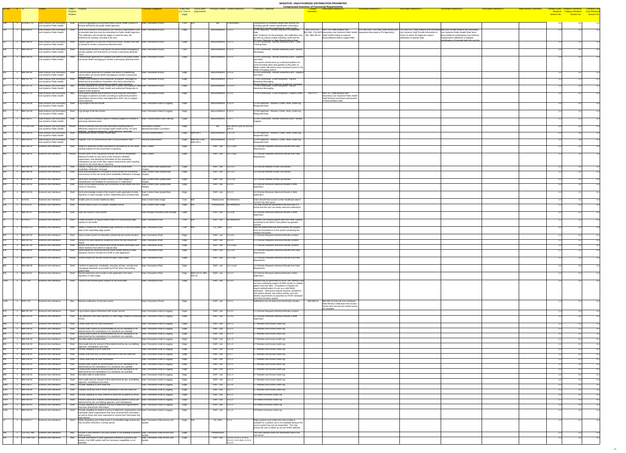| ID-ONC # ID |                                                                |                                                          |                             | Entity - Property                                                                                                                                                                                                           | unctional Categories                                      | <b>Entity Role</b> Link to other     | <b>Principal Context Context Reference</b>        | <b>Comments / Rationale</b>                                                                                                                                      | <b>Compressed Inventory of Functional Requirements</b><br><b>Associated Reference 2</b><br><b>Associated Reference 1</b>                                                                   | <b>Associated Reference 3</b><br><b>Associated Reference 5</b><br><b>Associated Reference 4</b>                                                                                                         | <b>Initial Review Comment</b> | <b>Tentiative Use</b>                                                                                                                                               |
|-------------|----------------------------------------------------------------|----------------------------------------------------------|-----------------------------|-----------------------------------------------------------------------------------------------------------------------------------------------------------------------------------------------------------------------------|-----------------------------------------------------------|--------------------------------------|---------------------------------------------------|------------------------------------------------------------------------------------------------------------------------------------------------------------------|--------------------------------------------------------------------------------------------------------------------------------------------------------------------------------------------|---------------------------------------------------------------------------------------------------------------------------------------------------------------------------------------------------------|-------------------------------|---------------------------------------------------------------------------------------------------------------------------------------------------------------------|
|             |                                                                |                                                          | <b>Property</b><br>Relation |                                                                                                                                                                                                                             |                                                           | (i.e., Core or requirements<br>Edge) |                                                   |                                                                                                                                                                  | resembles.                                                                                                                                                                                 |                                                                                                                                                                                                         | Session No.                   | <b>Entry Pendance Pendance Pendance Second</b><br>Breakout Category Breakout Case Breakout<br>Session No.                   Session No.                 Session No. |
|             |                                                                |                                                          |                             |                                                                                                                                                                                                                             |                                                           |                                      |                                                   |                                                                                                                                                                  |                                                                                                                                                                                            |                                                                                                                                                                                                         |                               |                                                                                                                                                                     |
|             | ACN-06.1.13                                                    | Data Analysis and Secondary                              |                             | Transmit aggregated anonymized data to public health systems in                                                                                                                                                             | Data Transaction-(Push)                                   | Core $\vert N/A \vert$               | Description                                       | Transmission of combined health data records not                                                                                                                 |                                                                                                                                                                                            |                                                                                                                                                                                                         |                               | 32                                                                                                                                                                  |
|             |                                                                | Use Systems-Public Health                                |                             | formats defined by the public health agencies.                                                                                                                                                                              |                                                           |                                      |                                                   | including specific patient identification information<br>should be in formats predefined by public health                                                        |                                                                                                                                                                                            |                                                                                                                                                                                                         |                               |                                                                                                                                                                     |
|             | <b>IBM-104-02</b>                                              | Data Analysis and Secondary<br>Use Systems-Public Health |                             | Send biosurveillance participating Care Delivery Organizations a list   Data Transaction-(Push)<br>of essential data that must be transmitted to Public Health Agencies.                                                    |                                                           | Edge                                 | Biosurveillance 1.3.1.1                           | 4.1 PH Agencies - Provide Definition of Requested                                                                                                                | $\overline{\phantom{1}}$ NGIT-076 CSC- $\overline{\phantom{1}}$ NGIT-076 Data Analysis and<br>BIO-580 CSC-BIO-Secondary Use Systems-Public Health<br>requested meta data) to PH Agencie(s) | CSC-BIO-560 CDO May Send results (and CSC-BIO-550 Data Analysis and Secondary IBM-106-01Data Analysis and Secondary<br>Use Systems Shall Provide information to<br>Use Systems-Public Health Shall Send |                               |                                                                                                                                                                     |
|             |                                                                |                                                          |                             | The notification will include the trigger to send the data, the<br>timeframe for sending, and data to be sent.                                                                                                              |                                                           |                                      |                                                   | ONC Guidance: for the prototype, this notification may<br>be sent via various modes including: email and fax.                                                    | 550 IBM-106-01 Shall Publish listing of required<br>biosurveillance data to support filter                                                                                                 | CDOs on which PH Agencies require<br>biosurveillance participating Care Delivery<br>notification of specific data<br>Organizations additional or updated                                                |                               |                                                                                                                                                                     |
|             | <b>IBM-106-02</b>                                              | Data Analysis and Secondary                              |                             | Update algorithms to track the confirmed number, location and rate Data Transaction-(Push)                                                                                                                                  |                                                           | Edge                                 | Biosurveillance   1.z.2.2                         | <b>PH Local Regional or State Biosurveillance Data</b><br>6.1 PH Community - Monitor Detected Event - Case                                                       |                                                                                                                                                                                            | specification of essential data that must be                                                                                                                                                            |                               |                                                                                                                                                                     |
|             |                                                                | Use Systems-Public Health                                |                             | of spread to monitor a previously detected event                                                                                                                                                                            |                                                           |                                      |                                                   | <b>Tracking Data</b>                                                                                                                                             |                                                                                                                                                                                            |                                                                                                                                                                                                         |                               |                                                                                                                                                                     |
|             | <b>IBM-106-03</b>                                              | Data Analysis and Secondary<br>Use Systems-Public Health |                             | Communicate directly to care givers via secure NHIN messaging to   Data Transaction-(Push)<br>provide updates and instructions to monitor a previously detected                                                             |                                                           | Core                                 | Biosurveillance 1.z.2.3                           | 6.2 PH Community - Monitor Detected Event - Secure<br>Messaging                                                                                                  |                                                                                                                                                                                            |                                                                                                                                                                                                         |                               |                                                                                                                                                                     |
|             | <b>IBM-106-05</b>                                              | Data Analysis and Secondary                              |                             | Communicate approved PH updates and alerts to the public media   Data Transaction-(Push)                                                                                                                                    |                                                           | Edge                                 | Biosurveillance 1.z.2.5                           | 6.3 PH Community - Monitor Detected Event - Updates                                                                                                              |                                                                                                                                                                                            |                                                                                                                                                                                                         |                               |                                                                                                                                                                     |
|             |                                                                | Use Systems-Public Health                                |                             | via secure NHIN messaging to monitor a previously detected event                                                                                                                                                            |                                                           |                                      |                                                   | and Alerts                                                                                                                                                       |                                                                                                                                                                                            |                                                                                                                                                                                                         |                               |                                                                                                                                                                     |
|             |                                                                |                                                          |                             |                                                                                                                                                                                                                             |                                                           |                                      |                                                   | The system should serve as a standard platform for<br>communicating alerts and updates to the public so                                                          |                                                                                                                                                                                            |                                                                                                                                                                                                         |                               |                                                                                                                                                                     |
|             |                                                                |                                                          |                             |                                                                                                                                                                                                                             |                                                           |                                      |                                                   | Media outlets will need to have restricted access to the<br>NHIN messaging system.                                                                               |                                                                                                                                                                                            |                                                                                                                                                                                                         |                               |                                                                                                                                                                     |
|             | IBM-106-06                                                     | Data Analysis and Secondary<br>Use Systems-Public Health |                             | Communicate approved PH updates and alerts to neighboring<br>communities via secure NHIN messaging to monitor a previously                                                                                                  | Data Transaction-(Push)                                   | Edge                                 | Biosurveillance   1.z.2.6                         | 6.3 PH Community - Monitor Detected Event - Updates<br>and Alerts                                                                                                |                                                                                                                                                                                            |                                                                                                                                                                                                         |                               |                                                                                                                                                                     |
|             | <b>IBM-107-01</b>                                              | Data Analysis and Secondary                              |                             | detected event<br>Publish biosurveillance event response 'broadcast" messages to                                                                                                                                            | Data Transaction-(Push)                                   | Edge                                 | Biosurveillance 1.z.3.1                           | 7.1 PH Community - Event Response - Secure                                                                                                                       |                                                                                                                                                                                            |                                                                                                                                                                                                         |                               |                                                                                                                                                                     |
|             | <b>IBM-107-11</b>                                              | Use Systems-Public Health<br>Data Analysis and Secondary |                             | authorized biosurveillance responders who have subscribed to<br>receive the broadcast messages to support event response<br>Provide capability for secure, instant text or audio messaging or video Data Transaction-(Push) |                                                           |                                      | Biosurveillance 1.z.3.11                          | <b>Broadcast Messaging</b><br>Rinsurveillance event response 'hroadcast" messages<br>7.2 PH Community - Event Response - Secure                                  |                                                                                                                                                                                            |                                                                                                                                                                                                         |                               |                                                                                                                                                                     |
|             |                                                                | Use Systems-Public Health                                |                             | conferencing between Public Health and authorized Responder to                                                                                                                                                              |                                                           | Edge                                 |                                                   | <b>Interactive Messaging</b>                                                                                                                                     |                                                                                                                                                                                            |                                                                                                                                                                                                         |                               |                                                                                                                                                                     |
|             | <b>IBM-107-13</b>                                              | Data Analysis and Secondary                              |                             | support event response<br>Send patient-specific biosurveillance event response information                                                                                                                                  | Data Transaction-(Push)                                   | Edge                                 | Biosurveillance 1.z.4.1                           | 7.3 PH Community - Event Response - Patient Centric                                                                                                              | NGIT-077 Data Analysis and<br><b>NGIT-077</b>                                                                                                                                              |                                                                                                                                                                                                         |                               |                                                                                                                                                                     |
|             |                                                                | Use Systems-Public Health                                |                             | messages to patient's provider according to authorized provider's<br>specification (secure email, web application, EHR, etc) to support                                                                                     |                                                           |                                      |                                                   |                                                                                                                                                                  | Secondary Use Systems-Public Health<br>Shall Receive unsolicited transmissio                                                                                                               |                                                                                                                                                                                                         |                               |                                                                                                                                                                     |
|             | <b>IBM-104-08</b>                                              | Data Analysis and Secondary                              | Shall                       | event response<br>Log receipt of lab test results                                                                                                                                                                           | Data Transaction-Audit & Logging                          | Edge                                 | Biosurveillance 1.3.2.4                           | 4.2 PH Agencies - Receive, Check, Store, Audit Log                                                                                                               | of biosurveillance data                                                                                                                                                                    |                                                                                                                                                                                                         |                               |                                                                                                                                                                     |
|             |                                                                | Use Systems-Public Health                                |                             |                                                                                                                                                                                                                             |                                                           |                                      |                                                   | <b>Requested Data</b>                                                                                                                                            |                                                                                                                                                                                            |                                                                                                                                                                                                         |                               |                                                                                                                                                                     |
|             | IBM-104-09                                                     | Data Analysis and Secondary<br>Use Systems-Public Health |                             | Shall Log storage of lab test results                                                                                                                                                                                       | Data Transaction-Audit & Logging                          | Edge                                 | Biosurveillance 1.3.2.4                           | 4.2 PH Agencies - Receive, Check, Store, Audit Log<br><b>Requested Data</b>                                                                                      |                                                                                                                                                                                            |                                                                                                                                                                                                         |                               |                                                                                                                                                                     |
|             | <b>IBM-106-07</b>                                              | Data Analysis and Secondary                              |                             | Send requests to inventory status of medical supplies to monitor a                                                                                                                                                          | Data Transformation-Data Filtering                        | Edge                                 | Biosurveillance 1.z.2.7                           | 6.4 PH Community - Monitor Detected Event - Monitor                                                                                                              |                                                                                                                                                                                            |                                                                                                                                                                                                         |                               |                                                                                                                                                                     |
|             |                                                                | Use Systems-Public Health                                |                             | previously detected event                                                                                                                                                                                                   |                                                           |                                      |                                                   |                                                                                                                                                                  |                                                                                                                                                                                            |                                                                                                                                                                                                         |                               |                                                                                                                                                                     |
|             | $\textcolor{red}{\mathsf{CSC}\text{-}\mathsf{BIO}\text{-}030}$ | Data Analysis and Secondary<br>Use Systems-Public Health | Should                      | Receive sufficient and accurate information enabling them to<br>effectively respond to and manage public health events--for early                                                                                           | Information Location-<br>Identity/Information Correlation | Edge                                 | $ p02, p04$ s2, p05 s3, p10 s6,<br>Bio<br> p09 s5 |                                                                                                                                                                  |                                                                                                                                                                                            |                                                                                                                                                                                                         |                               |                                                                                                                                                                     |
|             | <b>IBM-104-04</b>                                              | Data Analysis and Secondary                              |                             | detection situational awareness rapid response automatic<br>Authenticate sender of public health data                                                                                                                       | Security-Authentication                                   | Edge $\overline{IBM-104-1}$          | Biosurveillance 1.3.2.2X                          | 4.2 PH Agencies - Receive, Check, Store, Audit Log                                                                                                               |                                                                                                                                                                                            |                                                                                                                                                                                                         |                               |                                                                                                                                                                     |
|             |                                                                | Use Systems-Public Health                                | Shall                       |                                                                                                                                                                                                                             |                                                           | Edge $ IBM-102-1$ and                |                                                   | <b>Requested Data</b>                                                                                                                                            |                                                                                                                                                                                            |                                                                                                                                                                                                         |                               |                                                                                                                                                                     |
|             | <b>IBM-104-01</b>                                              | Data Analysis and Secondary<br>Use Systems-Public Health |                             | Register CDO as authorized provider of biosurveillance data                                                                                                                                                                 | Security-Authorization                                    | <b>IBM-103-1</b>                     | Biosurveillance 1.3.2.2X                          | 4.2 PH Agencies - Receive, Check, Store, Audit Log<br><b>Requested Data</b>                                                                                      |                                                                                                                                                                                            |                                                                                                                                                                                                         |                               |                                                                                                                                                                     |
|             | <b>IBM-308-13</b>                                              | <b>External User interfaces</b>                          | Shall                       | Adhere to approved content standards as provided by HITSP when   Data Content<br>sending request for lab result data to repository                                                                                          |                                                           | Edge                                 | $\overline{\text{EHR}}$ - Lab 3.2.1.1ax1          | 2.2 Clinician Requests Historical Results from Data<br>Repositories                                                                                              |                                                                                                                                                                                            |                                                                                                                                                                                                         |                               |                                                                                                                                                                     |
|             |                                                                |                                                          |                             |                                                                                                                                                                                                                             |                                                           |                                      |                                                   | 2.2 Clinician Requests Historical Results from Data                                                                                                              |                                                                                                                                                                                            |                                                                                                                                                                                                         |                               |                                                                                                                                                                     |
|             | <b>IBM-308-15</b>                                              | <b>External User interfaces</b>                          |                             | Should   Include name of the requesting clinician; the HIPAA designated<br>National Provider ID and name of the clinician's affiliated                                                                                      | Data Content                                              | Edge                                 | $EHR - Lab$ 3.2.1.1ax2                            | Repositories                                                                                                                                                     |                                                                                                                                                                                            |                                                                                                                                                                                                         |                               |                                                                                                                                                                     |
|             |                                                                |                                                          |                             | organization, and identifying information for the requesting<br>marketplace as part of the data request transmission when sending                                                                                           |                                                           |                                      |                                                   |                                                                                                                                                                  |                                                                                                                                                                                            |                                                                                                                                                                                                         |                               |                                                                                                                                                                     |
|             | <b>IBM-306-06</b>                                              | <b>External User interfaces</b>                          | Shall                       | request for lab result data to repository<br>Validate integrity and completeness of new lab result event                                                                                                                    | Data Content-Data Quality/Data                            | Edge                                 | EHR-Lab $\vert$ 3.2.2.1x                          | 1.6 Clinician Notified of New Lab Results                                                                                                                        |                                                                                                                                                                                            |                                                                                                                                                                                                         |                               |                                                                                                                                                                     |
|             | <b>IBM-306-08</b>                                              | <b>External User interfaces</b>                          |                             | availability notification message<br>Send acknowledgement message to record locator for successful                                                                                                                          | Data Content-Data Quality/Data                            | Edge                                 | EHR-Lab $3.2.2.1x$                                | 1.6 Clinician Notified of New Lab Results                                                                                                                        |                                                                                                                                                                                            |                                                                                                                                                                                                         |                               |                                                                                                                                                                     |
|             |                                                                |                                                          |                             | transmission of new lab result event availability notification message Integrity                                                                                                                                            |                                                           |                                      |                                                   |                                                                                                                                                                  |                                                                                                                                                                                            |                                                                                                                                                                                                         |                               |                                                                                                                                                                     |
|             | <b>IBM-306-10</b>                                              | <b>External User interfaces</b>                          | Shall                       | Send error messages to locator service if content integrity or<br>completeness not validated for transmission of notifications                                                                                              | Data Content-Data Quality/Data                            | Edge                                 | EHR-Lab 3.2.2.1x1                                 | 1.6 Clinician Notified of New Lab Results                                                                                                                        |                                                                                                                                                                                            |                                                                                                                                                                                                         |                               |                                                                                                                                                                     |
|             | <b>IBM-312-02</b>                                              | <b>External User interfaces</b>                          |                             | Verify correct patient identity and correctness of lab results and error Data Content-Data Quality/Data<br>correct if necessary                                                                                             |                                                           | Edge                                 | $EHR - Lab$ 3.2.4.4                               | 2.6 Clinician Receives Historical Results in Web<br>Application                                                                                                  |                                                                                                                                                                                            |                                                                                                                                                                                                         |                               |                                                                                                                                                                     |
|             | <b>IBM-312-03</b>                                              | <b>External User interfaces</b>                          |                             | Send acknowledge receipt of lab results in web application to data   Data Content-Data Quality/Data                                                                                                                         |                                                           | Edge                                 | EHR-Lab $3.2.4.5$                                 | 2.6 Clinician Receives Historical Results in Web                                                                                                                 |                                                                                                                                                                                            |                                                                                                                                                                                                         |                               |                                                                                                                                                                     |
|             |                                                                |                                                          |                             | $ $ repository or data manager system, depending upon sending entity $ $ Integrity                                                                                                                                          |                                                           |                                      |                                                   | Application                                                                                                                                                      |                                                                                                                                                                                            |                                                                                                                                                                                                         |                               |                                                                                                                                                                     |
|             | $ACN-03$                                                       | <b>External User interfaces</b>                          |                             | Shall   Enable users to access healthcare data.                                                                                                                                                                             | Data Content-Data Usage                                   | $Core$ $N/A$                         | Infrastructure No Reference                       | Users should have access to their healthcare data if                                                                                                             |                                                                                                                                                                                            |                                                                                                                                                                                                         |                               |                                                                                                                                                                     |
|             | ACN-04.16                                                      | <b>External User interfaces</b>                          |                             | Shall Present data to users in a usable, readable format.                                                                                                                                                                   | Data Content-Data Usage                                   | Edge N/A                             | Infrastructure   No Reference                     | consent has been given.<br>The data should be presented to the end user in a                                                                                     |                                                                                                                                                                                            |                                                                                                                                                                                                         |                               |                                                                                                                                                                     |
|             |                                                                |                                                          |                             |                                                                                                                                                                                                                             |                                                           |                                      |                                                   | format that the user can easily read and understand.                                                                                                             |                                                                                                                                                                                            |                                                                                                                                                                                                         |                               |                                                                                                                                                                     |
|             | IBM-312-07                                                     | <b>External User interfaces</b>                          |                             | Shall Save lab results in local system                                                                                                                                                                                      | Data Storage-Persistent Data Storage   Edge               |                                      | EHR-Lab $3.2.4.3b$                                | 2.6 Clinician Receives Historical Results in Web<br>Application                                                                                                  |                                                                                                                                                                                            |                                                                                                                                                                                                         |                               |                                                                                                                                                                     |
|             | ACN-02.2                                                       | <b>External User interfaces</b>                          |                             | Shall Enable providers to request patient data from participating edge                                                                                                                                                      | Data Transaction-(Pull)                                   | $Core$ $N/A$                         | EHR - Lab No Reference                            | Providers can request patient data from other systems                                                                                                            |                                                                                                                                                                                            |                                                                                                                                                                                                         |                               |                                                                                                                                                                     |
|             |                                                                |                                                          |                             | systems in the NHIN.                                                                                                                                                                                                        |                                                           |                                      |                                                   | connected to the NHIN, if the patient has granted                                                                                                                |                                                                                                                                                                                            |                                                                                                                                                                                                         |                               |                                                                                                                                                                     |
|             | ACN-02.3.3                                                     | <b>External User interfaces</b>                          | Shall                       | Initiate a request for the identified edge system(s) to send the patient Data Transaction-(Pull)<br>data to the requesting edge system.                                                                                     |                                                           | $Core$ $N/A$                         | CE, EHR $\vert$ 3.2.3                             | After the patient data has been located, the request<br>must be forwarded on to the system containing the                                                        |                                                                                                                                                                                            |                                                                                                                                                                                                         |                               |                                                                                                                                                                     |
|             | IBM-307-02                                                     | <b>External User interfaces</b>                          |                             | Shall Query locator system for laboratory (historical) test results location                                                                                                                                                | Data Transaction-(Pull)                                   | Edge                                 | $EHR - Lab$ 3.2.4.0x                              | needed information.<br>1 Clinician Requests Historical Results Location                                                                                          |                                                                                                                                                                                            |                                                                                                                                                                                                         |                               |                                                                                                                                                                     |
|             | <b>IBM-307-51</b>                                              | <b>External User interfaces</b>                          |                             | Shall Receive the data repository location(s) where the test results are                                                                                                                                                    | Data Transaction-(Pull)                                   | Edge                                 | EHR-Lab $3.2.3.4$                                 | 2.1 Clinician Requests Historical Results Location                                                                                                               |                                                                                                                                                                                            |                                                                                                                                                                                                         |                               |                                                                                                                                                                     |
|             | <b>IBM-307-56</b>                                              |                                                          |                             | Browse and select the relevant test results location information and Data Transaction-(Pull)                                                                                                                                |                                                           |                                      | EHR - Lab 3.2.3.3ax1                              | 1 Clinician Requests Historical Results Location                                                                                                                 |                                                                                                                                                                                            |                                                                                                                                                                                                         |                               |                                                                                                                                                                     |
|             |                                                                | External User interfaces                                 | Shall                       | select locations from which to request data                                                                                                                                                                                 |                                                           | Edge                                 |                                                   |                                                                                                                                                                  |                                                                                                                                                                                            |                                                                                                                                                                                                         |                               |                                                                                                                                                                     |
|             | <b>IBM-308-02</b>                                              | <b>External User interfaces</b>                          |                             | Shall Send request for historical lab test result content directly to data<br>repository (local or remote) from EHR or web application                                                                                      | Data Transaction-(Pull)                                   | Edge                                 | EHR-Lab 3.2.1.1a                                  | 2.2 Clinician Requests Historical Results from Data<br>Repositories                                                                                              |                                                                                                                                                                                            |                                                                                                                                                                                                         |                               |                                                                                                                                                                     |
|             | <b>IBM-308-04</b>                                              | <b>External User interfaces</b>                          |                             | Should Submit request for lab test results through a data stager                                                                                                                                                            | Data Transaction-(Pull)                                   | Edge                                 | EHR-Lab 3.2.1.1az                                 | 2.2 Clinician Requests Historical Results from Data                                                                                                              |                                                                                                                                                                                            |                                                                                                                                                                                                         |                               |                                                                                                                                                                     |
|             |                                                                |                                                          |                             |                                                                                                                                                                                                                             |                                                           |                                      |                                                   | Repositories                                                                                                                                                     |                                                                                                                                                                                            |                                                                                                                                                                                                         |                               |                                                                                                                                                                     |
|             | <b>IBM-308-06</b>                                              | <b>External User interfaces</b>                          | Shall                       | Conform to approved, vocabulary, structure, privacy, security and<br>messaging standards as provided by HITSP when transmitting                                                                                             | Data Transaction-(Pull)                                   | Edge                                 | EHR-Lab 3.2.1.1ax3                                | 2.2 Clinician Requests Historical Results from Data<br>Repositories                                                                                              |                                                                                                                                                                                            |                                                                                                                                                                                                         |                               |                                                                                                                                                                     |
|             | <b>IBM-312-01</b>                                              | <b>External User interfaces</b>                          | Shall                       | patient data.<br>Receive laboratory test results in web application from data                                                                                                                                               | Data Transaction-(Pull)                                   | Edge   IBM-310-01: IBM-              | EHR-Lab $3.2.4.3$                                 | 2.6 Clinician Receives Historical Results in Web                                                                                                                 |                                                                                                                                                                                            |                                                                                                                                                                                                         |                               |                                                                                                                                                                     |
|             |                                                                |                                                          |                             | repository or data stager                                                                                                                                                                                                   |                                                           | $309-10$                             |                                                   | Application                                                                                                                                                      |                                                                                                                                                                                            |                                                                                                                                                                                                         |                               |                                                                                                                                                                     |
|             | <b>NGIT-130</b>                                                | <b>External User interfaces</b>                          | Shall                       | Transmit well formed query request for lab result data                                                                                                                                                                      | Data Transaction-(Pull)                                   | Edge                                 | EHR-Lab $3.2.3.0$                                 | Request may be generated by direct user interface and<br>not have underlying support of EMR system to validate                                                   |                                                                                                                                                                                            |                                                                                                                                                                                                         |                               |                                                                                                                                                                     |
|             |                                                                |                                                          |                             |                                                                                                                                                                                                                             |                                                           |                                      |                                                   | patient and user data. Completion of request will                                                                                                                |                                                                                                                                                                                            |                                                                                                                                                                                                         |                               |                                                                                                                                                                     |
|             |                                                                |                                                          |                             |                                                                                                                                                                                                                             |                                                           |                                      |                                                   | require authentication of user as a valid NHIN<br>participant. Valid query request requires compliance<br>with patient identity, test (order) identity, and user |                                                                                                                                                                                            |                                                                                                                                                                                                         |                               |                                                                                                                                                                     |
|             |                                                                |                                                          |                             |                                                                                                                                                                                                                             |                                                           |                                      |                                                   | identity requirements as specified by HITSP standards                                                                                                            |                                                                                                                                                                                            |                                                                                                                                                                                                         |                               |                                                                                                                                                                     |
|             | $NGIT-127$                                                     | <b>External User interfaces</b>                          | Mav                         | Receive notification of new test results                                                                                                                                                                                    | Data Transaction-(Push)                                   | Edge                                 | EHR - Lab 3.2.2.1                                 | and implementation guides.<br>Notifications do not need to be technically complex.                                                                               | IBM-306-02<br><b>IBM-306-02 External User Interfaces</b>                                                                                                                                   |                                                                                                                                                                                                         |                               |                                                                                                                                                                     |
|             |                                                                |                                                          |                             |                                                                                                                                                                                                                             |                                                           |                                      |                                                   |                                                                                                                                                                  | Shall Receive notification from locator<br>service that new lab test results events                                                                                                        |                                                                                                                                                                                                         |                               |                                                                                                                                                                     |
|             | IBM-307-53                                                     | <b>External User interfaces</b>                          |                             | Shall   Log location request interaction with locator service                                                                                                                                                               | Data Transaction-Audit & Logging                          | Edge                                 | EHR - Lab   3.2.3.5                               | 2.1 Clinician Requests Historical Results Location                                                                                                               | are available                                                                                                                                                                              |                                                                                                                                                                                                         |                               |                                                                                                                                                                     |
|             | <b>IBM-312-04</b>                                              | <b>External User interfaces</b>                          |                             | Shall   Log interaction with data repository or data stager related to receiving Data Transaction-Audit & Logging                                                                                                           |                                                           | Edge                                 | EHR-Lab $3.2.4.6$                                 | 2.6 Clinician Receives Historical Results in Web                                                                                                                 |                                                                                                                                                                                            |                                                                                                                                                                                                         |                               |                                                                                                                                                                     |
|             |                                                                |                                                          |                             | ∣results                                                                                                                                                                                                                    |                                                           |                                      |                                                   | Application                                                                                                                                                      |                                                                                                                                                                                            |                                                                                                                                                                                                         |                               |                                                                                                                                                                     |
|             |                                                                | <b>IBM-319-15</b> External User interfaces               |                             | Shall Create audit entry for each transaction                                                                                                                                                                               | Data Transaction-Audit & Logging                          | Edge                                 | EHR-Lab $3.2.x.1$                                 | 3.7 Maintain and Access Audit Log                                                                                                                                |                                                                                                                                                                                            |                                                                                                                                                                                                         |                               |                                                                                                                                                                     |
|             | <b>IBM-319-16</b>                                              | <b>External User interfaces</b>                          |                             | Shall Include audit content as recommended by HITSP standards or as<br>determined by the marketplace if no standards are available                                                                                          | Data Transaction-Audit & Logging                          | Edge                                 | EHR - Lab $\vert$ 3.2.x.2                         | 3.7 Maintain and Access Audit Log                                                                                                                                |                                                                                                                                                                                            |                                                                                                                                                                                                         |                               |                                                                                                                                                                     |
|             | <b>IBM-319-17</b>                                              | <b>External User interfaces</b>                          |                             | Shall Format audit content as recommended by HITSP standards or as                                                                                                                                                          | Data Transaction-Audit & Logging                          | Edge                                 | EHR-Lab $3.2.x.3$                                 | 3.7 Maintain and Access Audit Log                                                                                                                                |                                                                                                                                                                                            |                                                                                                                                                                                                         |                               |                                                                                                                                                                     |
|             | <b>IBM-319-18</b>                                              | <b>External User interfaces</b>                          |                             | determined by the marketplace if no standards are available<br>Shall   Not allow edits to audit entries                                                                                                                     | Data Transaction-Audit & Logging                          | Edge                                 | EHR-Lab $\vert$ 3.2.x.4                           | 3.7 Maintain and Access Audit Log                                                                                                                                |                                                                                                                                                                                            |                                                                                                                                                                                                         |                               |                                                                                                                                                                     |
|             | <b>IBM-319-19</b>                                              | <b>External User interfaces</b>                          |                             | Shall Store audit entry for amount of time determined by law, accrediting                                                                                                                                                   | Data Transaction-Audit & Logging                          | Edge                                 | EHR - Lab $\vert$ 3.2.x.5                         | 3.7 Maintain and Access Audit Log                                                                                                                                |                                                                                                                                                                                            |                                                                                                                                                                                                         |                               |                                                                                                                                                                     |
|             | <b>IBM-319-20</b>                                              | <b>External User interfaces</b>                          |                             | agencies, marketplace and entity<br>Shall Provide capability to print audit trail                                                                                                                                           | Data Transaction-Audit & Logging                          | Edge                                 | EHR-Lab $3.2.x.6$                                 | 3.7 Maintain and Access Audit Log                                                                                                                                |                                                                                                                                                                                            |                                                                                                                                                                                                         |                               |                                                                                                                                                                     |
|             | <b>IBM-319-21</b>                                              | <b>External User interfaces</b>                          |                             | Shall <b>Display audit trail only to those authorized to view the audit trail</b>                                                                                                                                           | Data Transaction-Audit & Logging                          | Edge                                 | EHR - Lab $ 3.2.x.7$                              | 3.7 Maintain and Access Audit Log                                                                                                                                |                                                                                                                                                                                            |                                                                                                                                                                                                         |                               |                                                                                                                                                                     |
|             | <b>IBM-319-22</b>                                              | <b>External User interfaces</b>                          |                             | Shall Create audit entry for each transaction                                                                                                                                                                               | Data Transaction-Audit & Logging                          | Edge                                 | EHR-Lab $3.1.x.1$                                 | 3.7 Maintain and Access Audit Log                                                                                                                                |                                                                                                                                                                                            |                                                                                                                                                                                                         |                               |                                                                                                                                                                     |
|             | <b>IBM-319-23</b>                                              | <b>External User interfaces</b>                          |                             | Shall   Include audit content as recommended by HITSP standards or as                                                                                                                                                       | Data Transaction-Audit & Logging                          | Edge                                 | EHR-Lab $3.1.x.2$                                 | 3.7 Maintain and Access Audit Log                                                                                                                                |                                                                                                                                                                                            |                                                                                                                                                                                                         |                               |                                                                                                                                                                     |
|             | <b>IBM-319-24</b>                                              | <b>External User interfaces</b>                          |                             | determined by the marketplace if no standards are available<br>Shall Format audit content as recommended by HITSP standards or as                                                                                           | Data Transaction-Audit & Logging                          | Edge                                 | EHR-Lab $\vert$ 3.1.x.3                           | 3.7 Maintain and Access Audit Log                                                                                                                                |                                                                                                                                                                                            |                                                                                                                                                                                                         |                               |                                                                                                                                                                     |
|             | <b>IBM-319-25</b>                                              | <b>External User interfaces</b>                          |                             | determined by the marketplace if no standards are available<br>Shall   Not allow edits to audit entries                                                                                                                     | Data Transaction-Audit & Logging                          | Edge                                 | EHR-Lab $\vert$ 3.1.x.4                           | 3.7 Maintain and Access Audit Log                                                                                                                                |                                                                                                                                                                                            |                                                                                                                                                                                                         |                               |                                                                                                                                                                     |
|             | IBM-319-26                                                     | <b>External User interfaces</b>                          |                             | Shall Store audit entry for amount of time determined by law, accrediting                                                                                                                                                   | Data Transaction-Audit & Logging                          | Edge                                 | EHR - Lab $\vert$ 3.1.x.5                         | 3.7 Maintain and Access Audit Log                                                                                                                                |                                                                                                                                                                                            |                                                                                                                                                                                                         |                               |                                                                                                                                                                     |
|             | <b>IBM-319-27</b>                                              | <b>External User interfaces</b>                          |                             | agencies, marketplace and entity<br>Shall Provide capability to print audit trail                                                                                                                                           | Data Transaction-Audit & Logging                          | Edge                                 | $EHR - Lab$ 3.1.x.6                               | 3.7 Maintain and Access Audit Log                                                                                                                                |                                                                                                                                                                                            |                                                                                                                                                                                                         |                               |                                                                                                                                                                     |
|             | <b>IBM-319-28</b>                                              | <b>External User interfaces</b>                          |                             | Shall   Displays audit trail only to those authorized to view the audit trail                                                                                                                                               | Data Transaction-Audit & Logging                          | Edge                                 | EHR-Lab 3.1.x.7                                   | 3.7 Maintain and Access Audit Log                                                                                                                                |                                                                                                                                                                                            |                                                                                                                                                                                                         |                               |                                                                                                                                                                     |
|             | IBM-320-01                                                     | <b>External User interfaces</b>                          |                             | Shall Provide capability for easy retrieval of audit trail by patient or proxy   Data Transaction-Audit & Logging                                                                                                           |                                                           | Edge                                 | EHR-Lab $\vert$ 3.1.y.1                           | 3.8 Patient Accesses Audit Log                                                                                                                                   |                                                                                                                                                                                            |                                                                                                                                                                                                         |                               |                                                                                                                                                                     |
|             | IBM-320-02                                                     | <b>External User interfaces</b>                          |                             | Shall Present audit trail in manner understandable to patient or proxy (as  Data Transaction-Audit & Logging                                                                                                                |                                                           | Edge                                 | $EHR - Lab$ 3.1.y.2                               | 3.8 Patient Accesses Audit Log                                                                                                                                   |                                                                                                                                                                                            |                                                                                                                                                                                                         |                               |                                                                                                                                                                     |
|             | IBM-320-03                                                     |                                                          |                             | determined by law, accrediting agencies, and marketplace)<br>Shall Provide capability for a patient or proxy to determine organizations Data Transaction-Audit & Logging Edge                                               |                                                           |                                      | EHR - Lab 3.1.y.3                                 | 3.8 Patient Accesses Audit Log                                                                                                                                   |                                                                                                                                                                                            |                                                                                                                                                                                                         |                               |                                                                                                                                                                     |
|             |                                                                | <b>External User interfaces</b>                          |                             | that have shared their information                                                                                                                                                                                          |                                                           |                                      |                                                   |                                                                                                                                                                  |                                                                                                                                                                                            |                                                                                                                                                                                                         |                               |                                                                                                                                                                     |
|             | IBM-320-04                                                     | <b>External User interfaces</b>                          |                             | Shall Provide capability for patient or proxy to determine organizations and Data Transaction-Audit & Logging<br>individuals within organizations that have received their information                                      |                                                           | Edge                                 | EHR - Lab $\vert$ 3.1.y.4                         | 3.8 Patient Accesses Audit Log                                                                                                                                   |                                                                                                                                                                                            |                                                                                                                                                                                                         |                               |                                                                                                                                                                     |
|             |                                                                |                                                          |                             | as well as those who have requested to receive their information but<br>were denied                                                                                                                                         |                                                           |                                      |                                                   |                                                                                                                                                                  |                                                                                                                                                                                            |                                                                                                                                                                                                         |                               |                                                                                                                                                                     |
|             | ACN-02.3.7                                                     | <b>External User interfaces</b>                          | Shall                       | Notify requesting user if data exists in an identified edge system but Data Transaction-Data Access and<br>has not been received in a timely period.                                                                        |                                                           | Edge N/A                             | $CE, EHR$ 3.2.4                                   | Edge systems must notify their users if data is<br>available for a patient, but is not available because the                                                     |                                                                                                                                                                                            |                                                                                                                                                                                                         |                               |                                                                                                                                                                     |
|             |                                                                |                                                          |                             |                                                                                                                                                                                                                             |                                                           |                                      |                                                   | source system has not yet responded. This may<br>prompt the user to follow up via non-NHIN methods.                                                              |                                                                                                                                                                                            |                                                                                                                                                                                                         |                               |                                                                                                                                                                     |
|             | CSC-ALL-990                                                    | <b>External User interfaces</b>                          |                             | May Provide a web interface if an EMR system is not available to perform Data Transaction-Data Access and                                                                                                                   |                                                           | Edge                                 | Infrastructure                                    | This user interface does not necessarily have to be                                                                                                              |                                                                                                                                                                                            |                                                                                                                                                                                                         |                               |                                                                                                                                                                     |
|             | $CSC-EHR-510$                                                  | <b>External User interfaces</b>                          | Mav                         | NHIN queries.<br>Provide web-based or other application interfaces to process lab                                                                                                                                           | Data Transaction-Data Access and                          | Edge                                 | EHR - Lab 3.2.4.0, 3.2.4.1, 3.2.4.2,              | web based                                                                                                                                                        |                                                                                                                                                                                            |                                                                                                                                                                                                         |                               |                                                                                                                                                                     |
|             |                                                                |                                                          |                             | results, if an EMR system with the necessary capabilities is not<br>available.                                                                                                                                              |                                                           |                                      | 3.2.4.3, 3.2.4.3a,b, 3.2.4.4,<br>3.2.4.5          |                                                                                                                                                                  |                                                                                                                                                                                            |                                                                                                                                                                                                         |                               |                                                                                                                                                                     |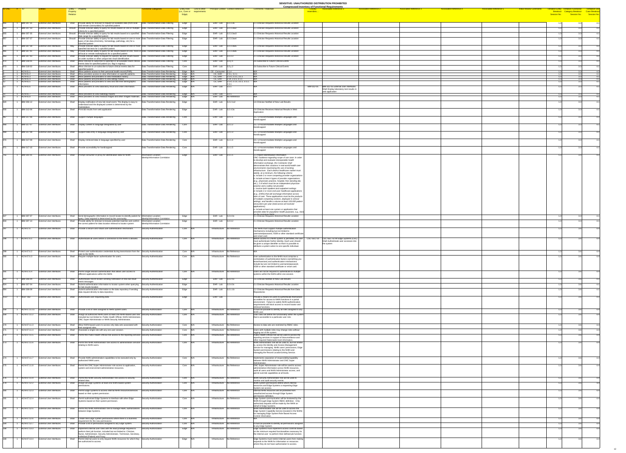| ID-ONC # ID |                                        |                                                                    |                                                                                                                                                                                                                                                     | Functional Categories                                                    | <b>Entity Role</b> Link to other     |                                                            | <b>Principal Context Context Reference</b>                          | <b>Comments / Rationale</b>                                                                                                                                      | <b>Compressed Inventory of Functional Requirements</b><br><b>Associated Reference 2</b><br><b>Associated Reference 1</b><br><b>Associated Reference 3</b><br><b>Associated Reference 4</b><br><b>Associated Reference 5</b> | <b>Initial Review Comment</b><br>entative Entity  Tentative Functional |     | <b>Tentiative Use</b> |
|-------------|----------------------------------------|--------------------------------------------------------------------|-----------------------------------------------------------------------------------------------------------------------------------------------------------------------------------------------------------------------------------------------------|--------------------------------------------------------------------------|--------------------------------------|------------------------------------------------------------|---------------------------------------------------------------------|------------------------------------------------------------------------------------------------------------------------------------------------------------------|-----------------------------------------------------------------------------------------------------------------------------------------------------------------------------------------------------------------------------|------------------------------------------------------------------------|-----|-----------------------|
|             |                                        |                                                                    | Entity - Property<br><b>Property</b><br>Relation                                                                                                                                                                                                    |                                                                          | (i.e., Core or requirements<br>Edge) |                                                            |                                                                     |                                                                                                                                                                  | resembles.                                                                                                                                                                                                                  | Session No.                                                            |     |                       |
|             |                                        |                                                                    |                                                                                                                                                                                                                                                     |                                                                          |                                      |                                                            |                                                                     |                                                                                                                                                                  |                                                                                                                                                                                                                             |                                                                        |     |                       |
|             | <b>IBM-307-31</b><br><b>IBM-307-33</b> | <b>External User interfaces</b><br><b>External User interfaces</b> | Shall Provide ability for clinician to request all available data (from local<br>and remote communities) for specified patient<br>Should Provide clinician ability to query for results based on one or multiple Data Transformation-Data Filtering | Data Transformation-Data Filtering                                       | Edge<br>Edge                         | EHR - Lab $\vert$ 3.2.3.3a<br>EHR - Lab $\vert$ 3.2.3.3ax2 |                                                                     | 2.1 Clinician Requests Historical Results Location<br>2.1 Clinician Requests Historical Results Location                                                         |                                                                                                                                                                                                                             | 1.3                                                                    | 3.3 |                       |
|             | <b>IBM-307-35</b>                      | <b>External User interfaces</b>                                    | criteria for a specified patient<br>Should Provide clinician ability to query for lab results based on a specified Data Transformation-Data Filtering                                                                                               |                                                                          | Edge                                 | $\overline{\mathsf{EHR}}$ - Lab $\vert$ 3.2.3.3ax3         |                                                                     | .1 Clinician Requests Historical Results Location                                                                                                                |                                                                                                                                                                                                                             |                                                                        |     |                       |
|             | <b>IBM-307-37</b>                      | <b>External User interfaces</b>                                    | date range for a specified patient<br>Should   Provide clinician ability to query for lab results based on one or more Data Transformation-Data Filtering                                                                                           |                                                                          | Edge                                 | EHR-Lab 3.2.3.3ax4                                         |                                                                     | .1 Clinician Requests Historical Results Location                                                                                                                |                                                                                                                                                                                                                             |                                                                        |     |                       |
|             |                                        |                                                                    | types of lab data (chemistry, hematology, pathology, etc) for a<br>specified patient                                                                                                                                                                |                                                                          |                                      |                                                            |                                                                     |                                                                                                                                                                  |                                                                                                                                                                                                                             |                                                                        |     |                       |
|             | <b>IBM-307-39</b>                      | <b>External User interfaces</b>                                    | Provide clinician ability to query for lab results based on one or more Data Transformation-Data Filtering<br>May<br>specified lab tests for a specified patient                                                                                    |                                                                          | Edge                                 | EHR-Lab $3.2.3.3ax5$                                       |                                                                     | 2.1 Clinician Requests Historical Results Location                                                                                                               |                                                                                                                                                                                                                             |                                                                        |     |                       |
|             | <b>IBM-307-41</b>                      | <b>External User interfaces</b>                                    | Provide clinician ability to query for lab results based on one, more or Data Transformation-Data Filtering<br>May<br>all local or remote marketplaces for a specified patient                                                                      |                                                                          | Edge                                 | EHR-Lab $\vert$ 3.2.3.3ax6                                 |                                                                     | 2.1 Clinician Requests Historical Results Location                                                                                                               |                                                                                                                                                                                                                             |                                                                        |     |                       |
|             | <b>IBM-307-43</b>                      | <b>External User interfaces</b>                                    | Provide clinician ability to request for specific lab test results based  Data Transformation-Data Filtering<br>Shall<br>on order number or other unique test result identification                                                                 |                                                                          | Edge                                 | EHR-Lab 3.2.3.3                                            |                                                                     | 2.1 Clinician Requests Historical Results Location                                                                                                               |                                                                                                                                                                                                                             |                                                                        |     |                       |
|             | <b>IBM-318-01</b>                      | <b>External User interfaces</b>                                    | Allow clinician to subscribe to specified or all available future clinical Data Transformation-Data Filtering<br>events data for specified patient (vs. flag in registry)                                                                           |                                                                          | Core                                 | EHR-Lab $\vert$ 3.2.y.1                                    |                                                                     | 3.6 Subscribe to Future Clinical Events                                                                                                                          |                                                                                                                                                                                                                             |                                                                        |     |                       |
|             | <b>IBM-318-02</b>                      | <b>External User interfaces</b>                                    | Shall Allow clinician to un-subscribe to future clinical events data for<br>specified patient                                                                                                                                                       | Data Transformation-Data Filtering                                       | Core                                 | EHR-Lab $\overline{)3.2.42}$                               |                                                                     | 3.6 Subscribe to Future Clinical Events                                                                                                                          |                                                                                                                                                                                                                             |                                                                        |     |                       |
|             | $ACN-01.1$<br>$ACN-01.2$               | <b>External User interfaces</b><br><b>External User interfaces</b> | Shall Allow patients access to their personal health record (PHR).<br>Shall Allow providers access to view information on specific patients.                                                                                                        | Data Transformation-Data Rendering<br>Data Transformation-Data Rendering | Edge N/A<br>Edge N/A                 | CE - Consumer 2.1.4<br>CE, EHR                             | 2.3.1, 3.2.1                                                        |                                                                                                                                                                  |                                                                                                                                                                                                                             |                                                                        |     |                       |
|             | $ACN-01.3$<br>ACN-01.4                 | <b>External User interfaces</b><br><b>External User interfaces</b> | Shall Allow patients and providers to view medication history.<br>Shall Allow patients and providers to view allergy history.                                                                                                                       | Data Transformation-Data Rendering<br>Data Transformation-Data Rendering | Edge N/A<br>Edge N/A                 |                                                            | CE, EHR $\vert$ 2.1.4, 2.3.1, 3.1.1<br>$CE, EHR$ 2.14, 2.3.1, 3.1.1 |                                                                                                                                                                  |                                                                                                                                                                                                                             |                                                                        |     |                       |
|             | ACN-01.5                               | <b>External User interfaces</b>                                    | Shall Allow patients and providers to view and edit their demographic<br>information.                                                                                                                                                               | Data Transformation-Data Rendering                                       | Edge N/A                             |                                                            | CE, EHR $\vert$ 2.1.4, 2.1.5, 3.1.1, 3.1.2, $\vert$ N/A<br> 2.3.1   |                                                                                                                                                                  |                                                                                                                                                                                                                             |                                                                        |     |                       |
|             | ACN-01.6                               | <b>External User interfaces</b>                                    | Shall Allow providers to view laboratory result and order information.                                                                                                                                                                              | Data Transformation-Data Rendering                                       | Edge N/A                             | EHR-Lab $3.2.1$                                            |                                                                     |                                                                                                                                                                  | IBM-312-05   IBM-312-05 External User Interfaces<br>Shall Display laboratory test results in                                                                                                                                |                                                                        |     |                       |
|             | $ACN-01.7$<br>ACN-01.8                 | <b>External User interfaces</b>                                    | Shall Allow providers to view radiology reports.<br>Shall   Allow providers to view medical images and other imaged materials.                                                                                                                      | Data Transformation-Data Rendering<br>Data Transformation-Data Rendering | Edge N/A<br>Edge N/A                 | $EHR - Lab$ 3.2.1<br>EHR - Lab No Reference                |                                                                     |                                                                                                                                                                  | web application                                                                                                                                                                                                             |                                                                        |     |                       |
|             | <b>IBM-306-12</b>                      | <b>External User interfaces</b><br><b>External User interfaces</b> | Display notification of new lab result event. The display is easy to<br>Shall                                                                                                                                                                       | Data Transformation-Data Rendering   Edge                                |                                      | EHR-Lab $\overline{)3.2.2.1x2}$                            |                                                                     | 1.6 Clinician Notified of New Lab Results                                                                                                                        |                                                                                                                                                                                                                             |                                                                        |     |                       |
|             |                                        |                                                                    | understand and the displayed content is determined by the<br>marketplace                                                                                                                                                                            |                                                                          |                                      |                                                            |                                                                     |                                                                                                                                                                  |                                                                                                                                                                                                                             |                                                                        |     |                       |
|             | <b>IBM-312-06</b>                      | <b>External User interfaces</b>                                    | Shall Print lab results from web application                                                                                                                                                                                                        | Data Transformation-Data Rendering   Edge                                |                                      | EHR-Lab 3.2.4.3a                                           |                                                                     | 2.6 Clinician Receives Historical Results in Web<br>Application                                                                                                  |                                                                                                                                                                                                                             |                                                                        |     |                       |
| דםב         | <b>IBM-317-06</b>                      | <b>External User interfaces</b>                                    | Shall Support multiple languages                                                                                                                                                                                                                    | Data Transformation-Data Rendering Core                                  |                                      | EHR-Lab $3.2.1.1$                                          |                                                                     | 3.5. UI Accommodates Multiple Languages and                                                                                                                      |                                                                                                                                                                                                                             |                                                                        |     |                       |
|             |                                        |                                                                    |                                                                                                                                                                                                                                                     |                                                                          |                                      |                                                            |                                                                     | Handicapped                                                                                                                                                      |                                                                                                                                                                                                                             |                                                                        |     |                       |
| 968         | <b>IBM-317-07</b>                      | <b>External User interfaces</b>                                    | Shall <b>Display content in language designated by user</b>                                                                                                                                                                                         | Data Transformation-Data Rendering                                       | Core                                 | EHR-Lab 3.z.1.2                                            |                                                                     | 3.5. UI Accommodates Multiple Languages and<br>Handicapped                                                                                                       |                                                                                                                                                                                                                             |                                                                        |     |                       |
|             | <b>IBM-317-08</b>                      | <b>External User interfaces</b>                                    | Shall Support data entry in language designated by user                                                                                                                                                                                             | Data Transformation-Data Rendering                                       | Core                                 | EHR-Lab $3.2.1.3$                                          |                                                                     | 3.5. UI Accommodates Multiple Languages and                                                                                                                      |                                                                                                                                                                                                                             |                                                                        |     |                       |
|             |                                        |                                                                    |                                                                                                                                                                                                                                                     |                                                                          |                                      |                                                            |                                                                     | Handicapped                                                                                                                                                      |                                                                                                                                                                                                                             |                                                                        |     |                       |
|             | <b>IBM-317-09</b>                      | <b>External User interfaces</b>                                    | Shall   Display retrieved data in language specified by user                                                                                                                                                                                        | Data Transformation-Data Rendering                                       | Core                                 | EHR-Lab $\vert$ 3.z.1.4                                    |                                                                     | 3.5. UI Accommodates Multiple Languages and<br>Handicapped                                                                                                       |                                                                                                                                                                                                                             |                                                                        |     |                       |
|             | <b>IBM-317-10</b>                      | <b>External User interfaces</b>                                    | Shall Provide accessibility for handicapped                                                                                                                                                                                                         | Data Transformation-Data Rendering                                       | Core                                 | EHR-Lab $3.2.1.5$                                          |                                                                     | 3.5. UI Accommodates Multiple Languages and                                                                                                                      |                                                                                                                                                                                                                             |                                                                        |     |                       |
|             | IBM-301-01                             | <b>External User interfaces</b>                                    |                                                                                                                                                                                                                                                     | Information Location-                                                    |                                      | EHR-Lab $3.1.1.1$                                          |                                                                     | Handicapped<br>1.1 Patient Identification Information                                                                                                            |                                                                                                                                                                                                                             |                                                                        |     |                       |
|             |                                        |                                                                    | Shall Prompt consumer or proxy for identification data for NHIN                                                                                                                                                                                     | Identity/Information Correlation                                         | Edge                                 |                                                            |                                                                     | ONC Guidance regarding scope of use case: In order                                                                                                               |                                                                                                                                                                                                                             |                                                                        |     |                       |
|             |                                        |                                                                    |                                                                                                                                                                                                                                                     |                                                                          |                                      |                                                            |                                                                     | to develop and evaluate interoperable health<br>information exchange, the Contractor shall                                                                       |                                                                                                                                                                                                                             |                                                                        |     |                       |
|             |                                        |                                                                    |                                                                                                                                                                                                                                                     |                                                                          |                                      |                                                            |                                                                     | demonstrate their solutions in real-world health care<br>environments maximizing the use of existing                                                             |                                                                                                                                                                                                                             |                                                                        |     |                       |
|             |                                        |                                                                    |                                                                                                                                                                                                                                                     |                                                                          |                                      |                                                            |                                                                     | infrastructure. Each distinct healthcare market must<br>satisfy, at a minimum, the following criteria:                                                           |                                                                                                                                                                                                                             |                                                                        |     |                       |
|             |                                        |                                                                    |                                                                                                                                                                                                                                                     |                                                                          |                                      |                                                            |                                                                     | a. Include 2 or more competing provider organizations<br>b. Include at least 4 types of provider organizations                                                   |                                                                                                                                                                                                                             |                                                                        |     |                       |
|             |                                        |                                                                    |                                                                                                                                                                                                                                                     |                                                                          |                                      |                                                            |                                                                     | $ $ (e.g., physicians practice, hospital, free standing lab,<br>$\vert$ etc.), 2 of which must be an independent physician                                       |                                                                                                                                                                                                                             |                                                                        |     |                       |
|             |                                        |                                                                    |                                                                                                                                                                                                                                                     |                                                                          |                                      |                                                            |                                                                     | practice and a safety net provider<br>c. Involve both inpatient and outpatient settings                                                                          |                                                                                                                                                                                                                             |                                                                        |     |                       |
|             |                                        |                                                                    |                                                                                                                                                                                                                                                     |                                                                          |                                      |                                                            |                                                                     | d. Include 2 or more end-user healthcare applications<br>$ $ (e.g., EHRs) that will exchange information across                                                  |                                                                                                                                                                                                                             |                                                                        |     |                       |
|             |                                        |                                                                    |                                                                                                                                                                                                                                                     |                                                                          |                                      |                                                            |                                                                     | sites of care. These applications must be the products<br>of multiple competing vendors, deployed in clinical                                                    |                                                                                                                                                                                                                             |                                                                        |     |                       |
|             |                                        |                                                                    |                                                                                                                                                                                                                                                     |                                                                          |                                      |                                                            |                                                                     | settings, and handle a volume at least 100,000 patient<br>encounters per year (total across all involved                                                         |                                                                                                                                                                                                                             |                                                                        |     |                       |
|             |                                        |                                                                    |                                                                                                                                                                                                                                                     |                                                                          |                                      |                                                            |                                                                     | applications).<br>$\vert$ e. Include at least one system or application that                                                                                     |                                                                                                                                                                                                                             |                                                                        |     |                       |
|             | IBM-307-07                             | <b>External User interfaces</b>                                    | Shall Send demographic information to record locator to identify patient for Information Location-                                                                                                                                                  |                                                                          | Edge                                 | EHR-Lab $3.2.4.0x$                                         |                                                                     | provides data for population health purposes, e.g., bios<br>via the prototype NHINI<br>2.1 Clinician Requests Historical Results Location                        |                                                                                                                                                                                                                             |                                                                        |     |                       |
| 834         | <b>IBM-307-14</b>                      | <b>External User interfaces</b>                                    | query. Data required is determined by the community.<br>Shall<br>Provide ability for clinician to browse potential matches and confirm                                                                                                              | Identity/Information Correlation<br>Information Location-                | Edge                                 | EHR - Lab $\overline{)3.2.3.2}$                            |                                                                     | 2.1 Clinician Requests Historical Results Location                                                                                                               |                                                                                                                                                                                                                             |                                                                        |     |                       |
|             |                                        |                                                                    | the correct patient for data location retrieval to locator system                                                                                                                                                                                   | Identity/Information Correlation                                         |                                      |                                                            |                                                                     |                                                                                                                                                                  |                                                                                                                                                                                                                             |                                                                        |     |                       |
|             | ACN-07.6                               | <b>External User interfaces</b>                                    | Shall Provide a secure and robust user authentication mechanism.                                                                                                                                                                                    | Security-Authentication                                                  | Core N/A                             | Infrastructure No Reference                                |                                                                     | The NHIN must support multiple authentication<br>mechanisms including but not limited to                                                                         |                                                                                                                                                                                                                             |                                                                        |     |                       |
|             |                                        |                                                                    |                                                                                                                                                                                                                                                     |                                                                          |                                      |                                                            |                                                                     | username/password, X509 or other standard certificate<br>and smart card.                                                                                         |                                                                                                                                                                                                                             |                                                                        |     |                       |
|             | ACN-07.6.1                             | <b>External User interfaces</b>                                    | Shall Authenticate all users before a connection to the NHIN is allowed.                                                                                                                                                                            | Security-Authentication                                                  | Core N/A                             | Infrastructure   No Reference                              |                                                                     | must authenticate his/her identity. Each user should                                                                                                             | Before access to a NHIN system is permitted, the user   CSC-SEC-50 CSC-SEC-50 All Edge Systems (CSC)<br>Shall Authenticate user accesses into                                                                               |                                                                        |     |                       |
|             |                                        |                                                                    |                                                                                                                                                                                                                                                     |                                                                          |                                      |                                                            |                                                                     | be given a unique identifier so that it is possible to<br>attribute a system action to one specific individual.                                                  | the system                                                                                                                                                                                                                  |                                                                        |     |                       |
|             | ACN-07.6.2                             | <b>External User interfaces</b>                                    | Shall Protect user authentication credentials during transmission from the Security-Authentication                                                                                                                                                  |                                                                          | Core N/A                             | Infrastructure No Reference                                |                                                                     |                                                                                                                                                                  |                                                                                                                                                                                                                             |                                                                        |     |                       |
|             | ACN-07.6.3                             | <b>External User interfaces</b>                                    | user to the NHIN.<br>Shall Require multiple-factor authentication for users.                                                                                                                                                                        | Security-Authentication                                                  | $Core$ $N/A$                         | Infrastructure No Reference                                |                                                                     | User authentication to the NHIN must comprise a                                                                                                                  |                                                                                                                                                                                                                             |                                                                        |     |                       |
|             |                                        |                                                                    |                                                                                                                                                                                                                                                     |                                                                          |                                      |                                                            |                                                                     | combination of authentication factors (something you<br>know/have/are) and authentication mechanisms                                                             |                                                                                                                                                                                                                             |                                                                        |     |                       |
|             |                                        |                                                                    |                                                                                                                                                                                                                                                     |                                                                          |                                      |                                                            |                                                                     | include but are not limited to username/password,<br>X509 or other standard certificate or smart card.                                                           |                                                                                                                                                                                                                             |                                                                        |     |                       |
|             | ACN-07.6.4                             | <b>External User interfaces</b>                                    | Shall Permit single session authentication that allows user access to<br>different applications within the NHIN.                                                                                                                                    | Security-Authentication                                                  | $Core$ $N/A$                         | Infrastructure No Reference                                |                                                                     | Users will not be required to authenticate to multiple<br>systems within the NHIN within one session.                                                            |                                                                                                                                                                                                                             |                                                                        |     |                       |
|             | <b>IBM-306-04</b>                      | <b>External User interfaces</b>                                    | Shall Authenticate record locator sending notification of new lab result                                                                                                                                                                            | Security-Authentication                                                  | Edge                                 | EHR-Lab 3.2.2.1x                                           |                                                                     | 1.6 Clinician Notified of New Lab Results                                                                                                                        |                                                                                                                                                                                                                             |                                                                        |     |                       |
|             | <b>IBM-307-04</b>                      | <b>External User interfaces</b>                                    | event messages<br>Shall Submit authentication information to locator system when querying                                                                                                                                                           | Security-Authentication                                                  | Edge                                 | EHR-Lab $3.2.4.0x$                                         |                                                                     | 2.1 Clinician Requests Historical Results Location                                                                                                               |                                                                                                                                                                                                                             |                                                                        |     |                       |
|             | <b>IBM-308-08</b>                      | <b>External User interfaces</b>                                    | for lab results location<br>Submit authentication information to the data repository if sending<br>Shall                                                                                                                                            | Security-Authentication                                                  | Edge                                 | $\overline{\text{EHR - Lab}}$ 3.2.1.1b                     |                                                                     | 2.2 Clinician Requests Historical Results from Data                                                                                                              |                                                                                                                                                                                                                             |                                                                        |     |                       |
|             |                                        |                                                                    | data request directly to data repository                                                                                                                                                                                                            |                                                                          |                                      |                                                            |                                                                     | Repositories                                                                                                                                                     |                                                                                                                                                                                                                             |                                                                        |     |                       |
|             | NGIT-162                               | <b>External User interfaces</b>                                    | Shall Authenticate user requesting data                                                                                                                                                                                                             | Security-Authentication                                                  | Edge                                 | EHR-Lab                                                    |                                                                     | Provide a means for users to authenticate themselves<br>as entities for access to NHIN functions in a portal                                                     |                                                                                                                                                                                                                             |                                                                        |     |                       |
|             |                                        |                                                                    |                                                                                                                                                                                                                                                     |                                                                          |                                      |                                                            |                                                                     | environment. Failure to satisfy NHIN authentication<br>requirements will block access to record locator and                                                      |                                                                                                                                                                                                                             |                                                                        |     |                       |
|             | ACN-07.11.11                           | <b>External User interfaces</b>                                    | Shall Provide a list of roles assigned to NHIN system users.                                                                                                                                                                                        | Security-Authorization                                                   | $Core$ $N/A$                         | Infrastructure No Reference                                |                                                                     | retrieval functions.<br>It must be possible to identify all roles assigned to any                                                                                |                                                                                                                                                                                                                             |                                                                        |     |                       |
|             | ACN-07.11.2                            | <b>External User interfaces</b>                                    | Shall Assign all authorized NHIN users at least one NHIN-based user role, Security-Authorization                                                                                                                                                    |                                                                          | $Core$ $N/A$                         | Infrastructure No Reference                                |                                                                     | NHIN user.<br>User roles will define the functionality within the system                                                                                         |                                                                                                                                                                                                                             |                                                                        |     |                       |
|             |                                        |                                                                    | included but not limited to: Public Health Official, NHIN Administrator,<br><b>ONC Super Administrator or NHIN Security Administrator.</b>                                                                                                          |                                                                          |                                      |                                                            |                                                                     | that is accessible to a particular user role.                                                                                                                    |                                                                                                                                                                                                                             |                                                                        |     |                       |
|             |                                        |                                                                    | 1 ACN-07.11.3 External User interfaces Shall Allow NHIN-based users to access only data sets associated with Security-Authorization                                                                                                                 |                                                                          | Core N/A Infrastructure No Reference |                                                            |                                                                     | Access to data sets are restricted by RBAC roles.                                                                                                                |                                                                                                                                                                                                                             |                                                                        |     | -4.4                  |
|             | ACN-07.11.4                            | <b>External User interfaces</b>                                    | their assigned roles.<br>Shall Associate a single role with any one user session.                                                                                                                                                                   | Security-Authorization                                                   | Core N/A                             | Infrastructure No Reference                                |                                                                     | Users with multiple roles may change roles without                                                                                                               |                                                                                                                                                                                                                             |                                                                        |     |                       |
|             | ACN-07.11.5                            | <b>External User interfaces</b>                                    | Shall Permit the Public Health Official role access to the reporting services. Security-Authorization                                                                                                                                               |                                                                          | Core N/A                             | Infrastructure No Reference                                |                                                                     | logging out of the system.<br>Public Health Official role will be used to access the                                                                             |                                                                                                                                                                                                                             |                                                                        |     |                       |
|             | ACN-07.11.6                            | <b>External User interfaces</b>                                    | Shall Permit the NHIN Administrator role access to administration services Security-Authorization                                                                                                                                                   |                                                                          | $Core$ $N/A$                         | Infrastructure No Reference                                |                                                                     | reporting services in support of biosurveillance and<br>other required Nationwide level information.<br>NHIN Administrator role will be used to, but not limited |                                                                                                                                                                                                                             |                                                                        |     |                       |
|             |                                        |                                                                    | relating to NHIN users.                                                                                                                                                                                                                             |                                                                          |                                      |                                                            |                                                                     | to, access the Identity and Access Management<br>Service for managing NHIN users' permissions, Edge                                                              |                                                                                                                                                                                                                             |                                                                        |     |                       |
|             |                                        |                                                                    |                                                                                                                                                                                                                                                     |                                                                          |                                      |                                                            |                                                                     | System permissions relating to the NHIN and<br>managing the Record Locator/Linking Service.                                                                      |                                                                                                                                                                                                                             |                                                                        |     |                       |
|             | ACN-07.11.7                            | <b>External User interfaces</b>                                    | Shall Provide NHIN administration capabilities to be executed only by                                                                                                                                                                               | Security-Authorization                                                   | $Core$ $N/A$                         | Infrastructure No Reference                                |                                                                     | Implements separation of responsibility/capability                                                                                                               |                                                                                                                                                                                                                             |                                                                        |     |                       |
|             |                                        |                                                                    | authorized NHIN users.                                                                                                                                                                                                                              |                                                                          |                                      |                                                            |                                                                     | between NHIN Administrator and ONC Super<br>∣Administrator                                                                                                       |                                                                                                                                                                                                                             |                                                                        |     |                       |
|             | ACN-07.11.8                            | <b>External User interfaces</b>                                    | Shall Permit the ONC Super Administrator role access to application,<br>system and environment administrative resources.                                                                                                                            | Security-Authorization                                                   | $Core$ N/A                           | Infrastructure No Reference                                |                                                                     | ONC Super Administrator role will be used to access<br>administrative information across NHIN resources.                                                         |                                                                                                                                                                                                                             |                                                                        |     |                       |
|             |                                        |                                                                    |                                                                                                                                                                                                                                                     |                                                                          |                                      |                                                            |                                                                     | audit all users and NHIN Administrator access, and<br>permit override capabilities at all levels.                                                                |                                                                                                                                                                                                                             |                                                                        |     |                       |
|             | ACN-07.11.9                            | <b>External User interfaces</b>                                    | Shall Permit the NHIN Security Administrator role access to security-                                                                                                                                                                               | Security-Authorization                                                   | Core N/A                             | Infrastructure No Reference                                |                                                                     | NHIN Security Administrator role will be used to                                                                                                                 |                                                                                                                                                                                                                             |                                                                        |     |                       |
|             | ACN-07.12.2                            | <b>External User interfaces</b>                                    | related data.<br>Shall Assign all Edge Systems at least one NHIN-based system                                                                                                                                                                       | Security-Authorization                                                   | $Core$ $N/A$                         | Infrastructure No Reference                                |                                                                     | monitor and audit security events.<br>NHIN system permissions define which internal                                                                              |                                                                                                                                                                                                                             |                                                                        |     |                       |
|             |                                        |                                                                    | permissions.                                                                                                                                                                                                                                        |                                                                          |                                      |                                                            |                                                                     | resources and Edge Systems a requesting Edge<br>System can access.                                                                                               |                                                                                                                                                                                                                             |                                                                        |     |                       |
|             | ACN-07.12.3                            | <b>External User interfaces</b>                                    | Shall Permit Edge Systems to access internal NHIN resources/services<br>based on their system permission.                                                                                                                                           | Security-Authorization                                                   | $Core$ $N/A$                         | Infrastructure No Reference                                |                                                                     | Internal NHIN resources will be protected from<br>unauthorized access through Edge System                                                                        |                                                                                                                                                                                                                             |                                                                        |     |                       |
|             | ACN-07.12.4                            | <b>External User interfaces</b>                                    | Shall Permit authorized Edge Systems to interface with other Edge                                                                                                                                                                                   | Security-Authorization                                                   | $Core$ $N/A$                         | Infrastructure No Reference                                |                                                                     | permissions definition.<br>Edge System communication will be brokered by the                                                                                     |                                                                                                                                                                                                                             |                                                                        |     |                       |
|             |                                        |                                                                    | Systems based on their system permission.                                                                                                                                                                                                           |                                                                          |                                      |                                                            |                                                                     | NHIN through Edge System RBAC definition. Only<br>authorized requests will be made by the NHIN on<br>behalf of Edge Systems.                                     |                                                                                                                                                                                                                             |                                                                        |     |                       |
|             | ACN-07.12.5                            | <b>External User interfaces</b>                                    | Shall Permit the NHIN Administrator role to manage RBAC authorizations Security-Authorization<br>between Edge Systems.                                                                                                                              |                                                                          | Core N/A                             | Infrastructure No Reference                                |                                                                     | NHIN Administrator role will be used to access the<br>Edge System Capability Service (located in the NHIN)                                                       |                                                                                                                                                                                                                             |                                                                        |     |                       |
|             |                                        |                                                                    |                                                                                                                                                                                                                                                     |                                                                          |                                      |                                                            |                                                                     | for managing Edge System Role Based Access<br>Control information.                                                                                               |                                                                                                                                                                                                                             |                                                                        |     |                       |
|             | ACN-07.12.6                            | <b>External User interfaces</b>                                    | Shall Create new Edge System permissions where there is a business<br>requirement for the new permissions                                                                                                                                           | Security-Authorization                                                   | Core N/A                             | Infrastructure No Reference                                |                                                                     |                                                                                                                                                                  |                                                                                                                                                                                                                             |                                                                        |     |                       |
|             | ACN-07.12.7                            | <b>External User interfaces</b>                                    | Shall Provide a list of permissions assigned to any Edge System.                                                                                                                                                                                    | Security-Authorization                                                   | Core N/A                             | Infrastructure No Reference                                |                                                                     | It must be possible to identify all permissions assigned<br>to any Edge System.                                                                                  |                                                                                                                                                                                                                             |                                                                        |     |                       |
|             | ACN-07.13.3                            | <b>External User interfaces</b>                                    | Shall   Implement internal user roles with the least privilege required to<br>perform their job function, included but not limited to: Clinician,                                                                                                   | Security-Authorization                                                   | Edge N/A                             | Infrastructure No Reference                                |                                                                     | Edge Systems must implement access controls based<br>on the minimum required functionalities necessary for                                                       |                                                                                                                                                                                                                             |                                                                        |     |                       |
|             |                                        |                                                                    | Nurse, Administrator, Security Administrator, Technician, Secretary,<br>Individual (Patient) and Proxy.                                                                                                                                             |                                                                          |                                      |                                                            |                                                                     | the internal user to perform their defined job function.                                                                                                         |                                                                                                                                                                                                                             |                                                                        |     |                       |
|             | ACN-07.13.4                            | <b>External User interfaces</b>                                    | Shall Permit internal users to only request NHIN resources for which they Security-Authorization<br>are authorized to access.                                                                                                                       |                                                                          | Edge N/A                             | Infrastructure   No Reference                              |                                                                     | Edge Systems must restrict internal users from making<br>requests to the NHIN for information or resources                                                       |                                                                                                                                                                                                                             |                                                                        |     |                       |
|             |                                        |                                                                    |                                                                                                                                                                                                                                                     |                                                                          |                                      |                                                            |                                                                     | where they do not have authorization to access.                                                                                                                  |                                                                                                                                                                                                                             |                                                                        |     |                       |
|             |                                        |                                                                    |                                                                                                                                                                                                                                                     |                                                                          |                                      |                                                            |                                                                     |                                                                                                                                                                  |                                                                                                                                                                                                                             |                                                                        |     |                       |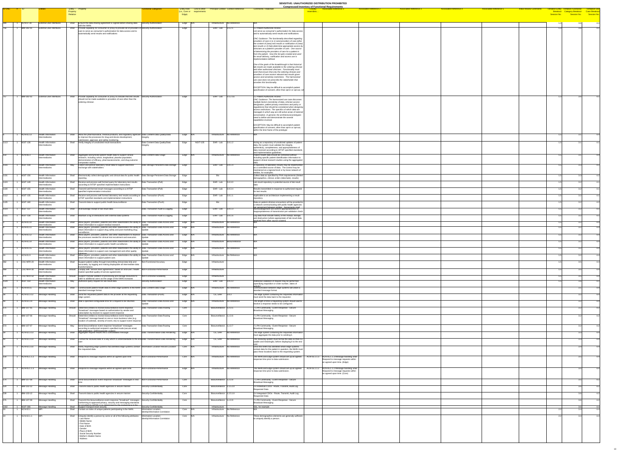|             |                                         |                                             |                                                                                                                                                                                   |                                                           |                                                                                              |                                                |                                                                                                                               | <b>ULINDITIVE. UNAUTHUNIZED DISTINIDUTION I NUMBITED</b><br><b>Compressed Inventory of Functional Requirements</b> |                               |                               |                               |                               |                                |                                       |      |  |
|-------------|-----------------------------------------|---------------------------------------------|-----------------------------------------------------------------------------------------------------------------------------------------------------------------------------------|-----------------------------------------------------------|----------------------------------------------------------------------------------------------|------------------------------------------------|-------------------------------------------------------------------------------------------------------------------------------|--------------------------------------------------------------------------------------------------------------------|-------------------------------|-------------------------------|-------------------------------|-------------------------------|--------------------------------|---------------------------------------|------|--|
| ID-ONC # ID |                                         |                                             | Entity - Property<br>Property                                                                                                                                                     | <b>Functional Categories</b>                              | Entity Role Link to other Principal Context Context Reference<br>(i.e., Core or requirements |                                                | <b>Comments / Rationale</b>                                                                                                   | <b>Associated Reference 1</b><br><u>resembles.</u>                                                                 | <b>Associated Reference 2</b> | <b>Associated Reference 3</b> | <b>Associated Reference 4</b> | <b>Associated Reference 5</b> | <b>Initial Review Comments</b> | Tentative Entity Tentative Functional |      |  |
|             |                                         |                                             | <b>Relation</b>                                                                                                                                                                   |                                                           | Edge)                                                                                        |                                                |                                                                                                                               |                                                                                                                    |                               |                               |                               |                               |                                |                                       |      |  |
|             | ACN-07.30                               | <b>External User interfaces</b>             | Shall   Ensure the data sharing agreement is signed before sharing data   Security-Authorization                                                                                  |                                                           |                                                                                              | Infrastructure No Reference                    |                                                                                                                               |                                                                                                                    |                               |                               |                               |                               |                                |                                       |      |  |
|             |                                         |                                             | with the NHIN.                                                                                                                                                                    |                                                           | Edge  N/A                                                                                    |                                                |                                                                                                                               |                                                                                                                    |                               |                               |                               |                               |                                |                                       |      |  |
|             | IBM-302-01                              | <b>External User interfaces</b>             | Shall Provide capability for consumer or proxy to provide list of providers of Security-Authorization<br>care to serve as consumer's authorization for data access and to         |                                                           | Edge                                                                                         | EHR-Lab 3.1.2.1                                | 1.2 Patient Authorizes Access<br>List serve as consumer's authorization for data access                                       |                                                                                                                    |                               |                               |                               |                               |                                |                                       |      |  |
|             |                                         |                                             | automatically send results and notifications                                                                                                                                      |                                                           |                                                                                              |                                                | and to automatically send results and notifications                                                                           |                                                                                                                    |                               |                               |                               |                               |                                |                                       |      |  |
|             |                                         |                                             |                                                                                                                                                                                   |                                                           |                                                                                              |                                                | ONC Guidance: The functionality described regarding<br>providers of care is to 1) send providers of care either               |                                                                                                                    |                               |                               |                               |                               |                                |                                       |      |  |
|             |                                         |                                             |                                                                                                                                                                                   |                                                           |                                                                                              |                                                | the content of (new) test results or notification of (new)<br>test results or 2) help determine appropriate access by         |                                                                                                                    |                               |                               |                               |                               |                                |                                       |      |  |
|             |                                         |                                             |                                                                                                                                                                                   |                                                           |                                                                                              |                                                | clinicians as a patient's provider of care. One source<br>of determining the providers of care for a patient is               |                                                                                                                    |                               |                               |                               |                               |                                |                                       |      |  |
|             |                                         |                                             |                                                                                                                                                                                   |                                                           |                                                                                              |                                                | from the patient. How this list gets created and used                                                                         |                                                                                                                    |                               |                               |                               |                               |                                |                                       |      |  |
|             |                                         |                                             |                                                                                                                                                                                   |                                                           |                                                                                              |                                                | for result delivery, notification and access use is<br>implementation defined.                                                |                                                                                                                    |                               |                               |                               |                               |                                |                                       |      |  |
|             |                                         |                                             |                                                                                                                                                                                   |                                                           |                                                                                              |                                                | One of the goals of the breakthrough is that historical                                                                       |                                                                                                                    |                               |                               |                               |                               |                                |                                       |      |  |
|             |                                         |                                             |                                                                                                                                                                                   |                                                           |                                                                                              |                                                | lab results are made available to the ordering clinician<br>and other authorized clinicians. Functionality must               |                                                                                                                    |                               |                               |                               |                               |                                |                                       |      |  |
|             |                                         |                                             |                                                                                                                                                                                   |                                                           |                                                                                              |                                                | exist that ensure that only the ordering clinician and<br>providers of care receive relevant test results given               |                                                                                                                    |                               |                               |                               |                               |                                |                                       |      |  |
|             |                                         |                                             |                                                                                                                                                                                   |                                                           |                                                                                              |                                                | access and sensitivity restrictions. The harmonized<br>use case does not prescribe the stakeholder that                       |                                                                                                                    |                               |                               |                               |                               |                                |                                       |      |  |
|             |                                         |                                             |                                                                                                                                                                                   |                                                           |                                                                                              |                                                | provides this functionality.                                                                                                  |                                                                                                                    |                               |                               |                               |                               |                                |                                       |      |  |
|             |                                         |                                             |                                                                                                                                                                                   |                                                           |                                                                                              |                                                | <b>EXCEPTION: May be difficult to accomplish patient</b>                                                                      |                                                                                                                    |                               |                               |                               |                               |                                |                                       |      |  |
|             |                                         |                                             |                                                                                                                                                                                   |                                                           |                                                                                              |                                                | specification of consent, other than opt-in or opt-out, wit                                                                   |                                                                                                                    |                               |                               |                               |                               |                                |                                       |      |  |
|             | IBM-302-02                              | <b>External User interfaces</b>             | Shall   Provide capability for consumer or proxy to indicate that test results Security-Authorization                                                                             |                                                           | Edge                                                                                         | $EHR - Lab$ 3.1.2.1a                           | 1.2 Patient Authorizes Access                                                                                                 |                                                                                                                    |                               |                               |                               |                               |                                |                                       |      |  |
|             |                                         |                                             | should not be made available to providers of care other than the<br>ordering clinician                                                                                            |                                                           |                                                                                              |                                                | ONC Guidance: The harmonized use case discusses<br>multiple factors (sensitivity of data, clinician access                    |                                                                                                                    |                               |                               |                               |                               |                                |                                       |      |  |
|             |                                         |                                             |                                                                                                                                                                                   |                                                           |                                                                                              |                                                | designation, patient privacy restrictions and policy or<br>regulations) that should be considered when designing              |                                                                                                                    |                               |                               |                               |                               |                                |                                       |      |  |
|             |                                         |                                             |                                                                                                                                                                                   |                                                           |                                                                                              |                                                | access restrictions. The specifics of which data are<br>managed in which way are still active areas of national               |                                                                                                                    |                               |                               |                               |                               |                                |                                       |      |  |
|             |                                         |                                             |                                                                                                                                                                                   |                                                           |                                                                                              |                                                | conversation. In general, the architectural prototypes<br>need to define and demonstrate the several                          |                                                                                                                    |                               |                               |                               |                               |                                |                                       |      |  |
|             |                                         |                                             |                                                                                                                                                                                   |                                                           |                                                                                              |                                                | capabilities involved.                                                                                                        |                                                                                                                    |                               |                               |                               |                               |                                |                                       |      |  |
|             |                                         |                                             |                                                                                                                                                                                   |                                                           |                                                                                              |                                                | <b>EXCEPTION: May be difficult to accomplish patient</b>                                                                      |                                                                                                                    |                               |                               |                               |                               |                                |                                       |      |  |
|             |                                         |                                             |                                                                                                                                                                                   |                                                           |                                                                                              |                                                | specification of consent, other than opt-in or opt-out,<br>within the time frame of the prototype                             |                                                                                                                    |                               |                               |                               |                               |                                |                                       |      |  |
|             | ACN-01.13                               | <b>Health Information</b>                   | Shall Allow the pharmaceutical, medical products, and regulatory agencies Data Content-Data Quality/Data                                                                          |                                                           | Edge N/A                                                                                     | Infrastructure No Reference                    |                                                                                                                               |                                                                                                                    |                               |                               |                               |                               |                                |                                       |      |  |
|             |                                         | Intermediaries                              | to improve the processes for drug and device development,<br>submission, approval, and safety monitoring.                                                                         | Integrity                                                 |                                                                                              |                                                |                                                                                                                               |                                                                                                                    |                               |                               |                               |                               |                                |                                       |      |  |
|             | NGIT-136                                | Health Information<br>Intermediaries        | Shall Verify integrity of unsolicited result transactions                                                                                                                         | Data Content-Data Quality/Data<br>Integrity               | <b>NGIT-135</b><br>Edge                                                                      | EHR - Lab $ 3.4.1.2 $                          | Acting as a repository of unsolicted updates of patient<br>data, the system must validate the integrity,                      |                                                                                                                    |                               |                               |                               |                               |                                |                                       |      |  |
|             |                                         |                                             |                                                                                                                                                                                   |                                                           |                                                                                              |                                                | authenticity, completeness, and appropriateness of<br>data received according to HITSP specified standards                    |                                                                                                                    |                               |                               |                               |                               |                                |                                       |      |  |
| $154$ 1     | ACN-06.3                                | Health Information                          |                                                                                                                                                                                   | Data Content-Data Usage                                   | Edge N/A                                                                                     | Infrastructure No Reference                    | and implementation guidelines.<br>Patient health data should be combined without                                              |                                                                                                                    |                               |                               |                               |                               |                                |                                       |      |  |
|             |                                         | Intermediaries                              | Shall   Aggregate anonymized patient health data to support clinical<br>research, including cohort, longitudinal, placebo population,                                             |                                                           |                                                                                              |                                                | including specific patient identification information to                                                                      |                                                                                                                    |                               |                               |                               |                               |                                |                                       |      |  |
|             |                                         |                                             | demonstration of efficacy, pharmacoeconomic, and drug outcome<br>comparator studies.                                                                                              |                                                           |                                                                                              |                                                | support clinical research studies using the aggregated                                                                        |                                                                                                                    |                               |                               |                               |                               |                                |                                       |      |  |
|             | $NGIT-139$                              | Health Information<br>Intermediaries        | May Collect and persist laboratory result data to support electronic<br>exchange with stakeholders                                                                                | Data Storage-Persistent Data Storage   Edge               |                                                                                              | EHR-Lab $ 3.4.1.4 $                            | A repository of laboratory results may be implemented<br>as a controlled source of data. The control may be                   |                                                                                                                    |                               |                               |                               |                               |                                |                                       |      |  |
|             |                                         |                                             |                                                                                                                                                                                   |                                                           |                                                                                              |                                                | maintained at a regional level or by loose network of<br>entities, for examples.                                              |                                                                                                                    |                               |                               |                               |                               |                                |                                       |      |  |
|             | <b>NGIT-156</b>                         | Health Information<br>Intermediaries        | Shall Electronically collect demographic and clinical data for public health Data Storage-Persistent Data Storage                                                                 |                                                           | Edge                                                                                         |                                                | Collect data as specified by PHA requirements (limited<br>demographics, clinical, orders (labs/rads), results)                |                                                                                                                    |                               |                               |                               |                               |                                |                                       |      |  |
|             | <b>NGIT-149</b>                         | Health Information                          | reporting<br>Shall Receive and process well formed query for laboratory test results                                                                                              | Data Transaction-(Pull)                                   | Edge                                                                                         | EHR-Lab $3.4.3.0$                              | Lab result repository is potential source of lab result                                                                       |                                                                                                                    |                               |                               |                               |                               |                                |                                       | റ റി |  |
|             |                                         | Intermediaries                              | according to HITSP specified implementation instructions                                                                                                                          |                                                           |                                                                                              |                                                |                                                                                                                               |                                                                                                                    |                               |                               |                               |                               |                                |                                       |      |  |
|             | <b>NGIT-155</b>                         | Health Information<br>Intermediaries        | Shall Transmit well formed result messages according to a HITSP<br>specified implementation instruction.                                                                          | Data Transaction-(Pull)                                   | Edge                                                                                         | $EHR - Lab$ 3.4.3.4                            | Results transmitted in response to authorized request<br>for test results.                                                    |                                                                                                                    |                               |                               |                               |                               |                                |                                       |      |  |
|             | NGIT-135                                | <b>Health Information</b>                   | Shall Receive and process well formed laboratory test results according to Data Transaction-(Push)                                                                                |                                                           | Edge                                                                                         | EHR-Lab 3.4.1.1                                | Applicable to an architecture implementing a result                                                                           |                                                                                                                    |                               |                               |                               |                               |                                |                                       |      |  |
|             |                                         | Intermediaries                              | HITSP specified standards and implementation instructions                                                                                                                         |                                                           |                                                                                              |                                                | repository.                                                                                                                   |                                                                                                                    |                               |                               |                               |                               |                                |                                       |      |  |
|             | <b>NGIT-160</b>                         | Health Information<br>Intermediaries        | Shall Transmit data to support public health biosurveillance                                                                                                                      | Data Transaction-(Push)                                   | Edge                                                                                         |                                                | Data on patient-clinician encounters will be provided to<br>a network communicating with public health agencies               |                                                                                                                    |                               |                               |                               |                               |                                |                                       |      |  |
|             | $NGIT-137$                              | <b>Health Information</b>                   | Shall Acknowledge receipt of lab result data                                                                                                                                      | Data Transaction-Audit & Logging                          | Edge                                                                                         | EHR-Lab $3.4.1.3$                              | ner agreement hetween entities Agreements shall<br>Acknowledgement will confirm appropriateness or                            |                                                                                                                    |                               |                               |                               |                               |                                |                                       |      |  |
|             |                                         | Intermediaries                              |                                                                                                                                                                                   |                                                           |                                                                                              |                                                | inappropriateness of transmission per validation check.                                                                       |                                                                                                                    |                               |                               |                               |                               |                                |                                       |      |  |
|             | <b>NGIT-138</b>                         | Health Information<br>Intermediaries        | Shall   Maintain a log of interactions with external data systems                                                                                                                 | Data Transaction-Audit & Logging                          | Edge                                                                                         | EHR - Lab $ 3.4.1.6$                           | Log data must include history of the receipt, storage,<br>and destruction (where appropriate) of lab result data              |                                                                                                                    |                               |                               |                               |                               |                                |                                       |      |  |
|             | ACN-01.10                               | <b>Health Information</b><br>Intermediaries | Shall Allow payers, providers, patients and other stakeholders the ability to Data Transaction-Data Access and<br>share information to support medical research.                  |                                                           | Edge N/A                                                                                     | Infrastructure No Reference                    | received from other source systems                                                                                            |                                                                                                                    |                               |                               |                               |                               |                                |                                       |      |  |
|             | ACN-01.11                               | Health Information                          | Shall Allow payers, providers, patients and other stakeholders the ability to Data Transaction-Data Access and                                                                    |                                                           | Edge N/A                                                                                     | Infrastructure No Reference                    |                                                                                                                               |                                                                                                                    |                               |                               |                               |                               |                                |                                       |      |  |
|             |                                         | Intermediaries                              | share information to support drug safety and post-marketing drug   Update<br>surveillance.                                                                                        |                                                           |                                                                                              |                                                |                                                                                                                               |                                                                                                                    |                               |                               |                               |                               |                                |                                       |      |  |
|             | ACN-01.12                               | Health Information<br>Intermediaries        | Shall Allow payers, providers, patients, and other stakeholders to improve Data Transaction-Data Access and<br>the processes needed for clinical trial recruitment and execution. | ∥Update l                                                 | Edge N/A                                                                                     | Infrastructure No Reference                    |                                                                                                                               |                                                                                                                    |                               |                               |                               |                               |                                |                                       |      |  |
|             | ACN-01.14                               | Health Information                          | Shall Allow payers, providers, patients and other stakeholders the ability to Data Transaction-Data Access and                                                                    |                                                           | Edge N/A                                                                                     | Infrastructure Biosurveillance                 |                                                                                                                               |                                                                                                                    |                               |                               |                               |                               |                                |                                       |      |  |
|             | ACN-01.15                               | Intermediaries<br><b>Health Information</b> | share information to support public health surveillance.<br>Shall Allow payers, providers, patients and other stakeholders the ability to Data Transaction-Data Access and        | <i><u><b>U</b>ndate</u></i>                               | Edge N/A                                                                                     | Infrastructure No Reference                    |                                                                                                                               |                                                                                                                    |                               |                               |                               |                               |                                |                                       |      |  |
|             |                                         | Intermediaries                              | share information to support care management and other quality                                                                                                                    | Update                                                    |                                                                                              |                                                |                                                                                                                               |                                                                                                                    |                               |                               |                               |                               |                                |                                       |      |  |
|             | ACN-01.9                                | <b>Health Information</b><br>Intermediaries | Shall Allow payers, providers, patients and other stakeholders the ability to Data Transaction-Data Access and<br>share information to support patient care.                      |                                                           | Edge N/A                                                                                     | Infrastructure No Reference                    |                                                                                                                               |                                                                                                                    |                               |                               |                               |                               |                                |                                       |      |  |
|             | $ {\sf CSC}\text{-}\sf{NFR}\text{-}20 $ | Health Information                          | Shall Support patient safety through transmitting clinical data fully and                                                                                                         | Non-Functional-Accuracy                                   | Edge                                                                                         | Infrastructure                                 |                                                                                                                               |                                                                                                                    |                               |                               |                               |                               |                                |                                       |      |  |
|             |                                         | Intermediaries                              | accurately, by logging and making displayable all intermediate data<br>transformati                                                                                               |                                                           |                                                                                              |                                                |                                                                                                                               |                                                                                                                    |                               |                               |                               |                               |                                |                                       |      |  |
|             | CSC-NFR-30                              | <b>Health Information</b><br>Intermediaries | Should Comply with "service level agreements" based on end-user / health Non-Functional-Performance<br>market specified quality-of-service agreements                             |                                                           | Edge                                                                                         | Infrastructure                                 |                                                                                                                               |                                                                                                                    |                               |                               |                               |                               |                                |                                       |      |  |
|             | $\overline{\text{CSC-NFR-50}}$          | <b>Health Information</b>                   | Should Support modular addition of processing and storage resources to                                                                                                            | Non-Functional-Scalability                                | Edge                                                                                         | Infrastructure                                 |                                                                                                                               |                                                                                                                    |                               |                               |                               |                               |                                |                                       |      |  |
|             | NGIT-154                                | Intermediaries<br>Health Information        | cater to additional users as the usage of the NHIN increases<br>May Authorize query request for lab result data                                                                   | Security-Authorization                                    | Edge                                                                                         | EHR-Lab $3.4.3.3$                              | Additional validation of request may be performed                                                                             |                                                                                                                    |                               |                               |                               |                               |                                |                                       |      |  |
|             |                                         | Intermediaries                              |                                                                                                                                                                                   |                                                           |                                                                                              |                                                | (specifying requisition or order number, dates of                                                                             |                                                                                                                    |                               |                               |                               |                               |                                |                                       |      |  |
|             | ACN-04.15                               | Message Handling                            | Shall Communicate patient health data to other edge systems in the NHIN Data Content-Data Usage<br>standard message format.                                                       |                                                           | Edge N/A                                                                                     | Infrastructure No Reference                    | Communication between edge systems will utilize a<br>standard message format.                                                 |                                                                                                                    |                               |                               |                               |                               |                                |                                       |      |  |
|             | ACN-02.3.12                             | Message Handling                            | Shall Send the requested patient data to the provider at the requesting                                                                                                           | Data Transaction-(Push)                                   | Edge N/A                                                                                     | $CE, EHR$ 3.4.3                                | The edge system containing the requested information                                                                          |                                                                                                                    |                               |                               |                               |                               |                                |                                       |      |  |
|             |                                         |                                             | edge system.                                                                                                                                                                      |                                                           |                                                                                              |                                                | must send the data back to the requestor.                                                                                     |                                                                                                                    |                               |                               |                               |                               |                                |                                       |      |  |
|             | ACN-02.3.9                              | Message Handling                            | Shall   Wait a specified configurable time for a request to be returned.                                                                                                          | Data Transaction-Data Access and                          | Edge N/A                                                                                     | Infrastructure No Reference                    | he length of time a requesting system should wait to<br>receive a response needs to be configured.                            |                                                                                                                    |                               |                               |                               |                               |                                |                                       |      |  |
|             | <b>IBM-107-05</b>                       | Message Handling                            | Should   Determine entities to receive biosurveillance event response                                                                                                             | Data Transaction-Data Routing                             | Core                                                                                         | $\overline{\text{B}}$ iosurveillance   1.z.3.5 | 7.1 PH Community - Event Response - Secure                                                                                    |                                                                                                                    |                               |                               |                               |                               |                                |                                       |      |  |
|             |                                         |                                             | "broadcast" messages based on authorization by sender and<br>subscription by receiver to support event response                                                                   |                                                           |                                                                                              |                                                | <b>Broadcast Messaging</b>                                                                                                    |                                                                                                                    |                               |                               |                               |                               |                                |                                       |      |  |
|             | <b>IBM-107-06</b>                       | Message Handling                            | Should   Determine entities to receive biosurveillance event response<br>"broadcast" message based on one or more business rules (e.g.                                            | Data Transaction-Data Routing                             | Core                                                                                         | Biosurveillance $ 1.z.3.6 $                    | 7.1 PH Community - Event Response - Secure<br><b>Broadcast Messaging</b>                                                      |                                                                                                                    |                               |                               |                               |                               |                                |                                       |      |  |
|             |                                         |                                             | location of outbreak, severity of event, etc) to support event response                                                                                                           |                                                           |                                                                                              |                                                |                                                                                                                               |                                                                                                                    |                               |                               |                               |                               |                                |                                       |      |  |
|             | <b>IBM-107-07</b>                       | Message Handling                            | Send biosurveillance event response 'broadcast" messages<br>May<br>according to authorized recipient's specified mode (secure email,                                              | Data Transaction-Data Routing                             | Core                                                                                         | Biosurveillance 1.z.3.7                        | 7.1 PH Community - Event Response - Secure<br><b>Broadcast Messaging</b>                                                      |                                                                                                                    |                               |                               |                               |                               |                                |                                       |      |  |
|             | ACN-02.3.13                             | Message Handling                            | web annlication FHR/responder system)<br>Aggregate request results into a consolidated message.<br>Shall                                                                          | Data Transformation-Data Rendering                        | $\textsf{Edge}$ N/A                                                                          | CE, EHR No Reference                           | The edge system containing the requested information                                                                          |                                                                                                                    |                               |                               |                               |                               |                                |                                       |      |  |
|             |                                         |                                             |                                                                                                                                                                                   |                                                           |                                                                                              |                                                | must aggregate the data prior to sending it.                                                                                  |                                                                                                                    |                               |                               |                               |                               |                                |                                       |      |  |
|             | ACN-02.3.14                             | Message Handling                            | Shall   Format the received data in a way which is understandable to the end Data Transformation-Data Rendering                                                                   |                                                           | Edge N/A                                                                                     | CE, EHR No Reference                           | The receiving system must format the data so that it is $\parallel$<br>usable and meaningful, before displaying it to the end |                                                                                                                    |                               |                               |                               |                               |                                |                                       |      |  |
|             | ACN-02.3.10                             | Message Handling                            | Shall Notify requesting edge systems that identified edge systems contain Information Location-Record Location                                                                    |                                                           | Core N/A                                                                                     | Infrastructure No Reference                    | Once the NHIN has identified which edge systems                                                                               |                                                                                                                    |                               |                               |                               |                               |                                |                                       |      |  |
|             |                                         |                                             | the requested data.                                                                                                                                                               |                                                           |                                                                                              |                                                | contain data for the patient in question, the NHIN must<br>pass these locations back to the requesting system.                |                                                                                                                    |                               |                               |                               |                               |                                |                                       |      |  |
|             | ACN-05.1.1.2                            | Message Handling                            | Shall Respond to message requests within an agreed upon time.                                                                                                                     | Non-Functional-Performance                                | Core N/A                                                                                     | Infrastructure No Reference                    | The NHIN and Edge system should set up an agreed                                                                              | ACN-05.1.1.3 ACN-05.1.1.3 Message handling Shall                                                                   |                               |                               |                               |                               |                                |                                       |      |  |
|             |                                         |                                             |                                                                                                                                                                                   |                                                           |                                                                                              |                                                | response time prior to data submission.                                                                                       | Respond to message requests within                                                                                 |                               |                               |                               |                               |                                |                                       |      |  |
|             |                                         |                                             |                                                                                                                                                                                   |                                                           |                                                                                              |                                                |                                                                                                                               | an agreed upon time. (Edge)                                                                                        |                               |                               |                               |                               |                                |                                       |      |  |
|             | ACN-05.1.1.3                            | Message Handling                            | Shall Respond to message requests within an agreed upon time.                                                                                                                     | Non-Functional-Performance                                | Edge N/A                                                                                     | Infrastructure   No Reference                  | The NHIN and Edge system should set up an agreed<br>response time prior to data submission.                                   | ACN-05.1.1.2 ACN-05.1.1.2 Message handling Shall<br>Respond to message requests within                             |                               |                               |                               |                               |                                |                                       |      |  |
|             |                                         |                                             |                                                                                                                                                                                   |                                                           |                                                                                              |                                                |                                                                                                                               | an agreed upon time. (Core)                                                                                        |                               |                               |                               |                               |                                |                                       |      |  |
|             | <b>IBM-107-08</b>                       | Message Handling                            | Shall Send biosurveillance event response 'broadcast" messages in real Non-Functional-Performance                                                                                 |                                                           | Core                                                                                         | Biosurveillance 1.z.3.8                        | 7.1 PH Community - Event Response - Secure                                                                                    |                                                                                                                    |                               |                               |                               |                               |                                |                                       |      |  |
|             |                                         |                                             |                                                                                                                                                                                   |                                                           |                                                                                              |                                                | <b>Broadcast Messaging</b>                                                                                                    |                                                                                                                    |                               |                               |                               |                               |                                |                                       |      |  |
|             | <b>IBM-102-12</b>                       | Message Handling                            | Shall Transmit data to public health agencies in secure manner                                                                                                                    | Security-Confidentiality                                  | Core                                                                                         | Biosurveillance 1.1.5.1X                       | 2.4 Individual CDOs - Route, Transmit, Audit Log<br>Requested Data                                                            |                                                                                                                    |                               |                               |                               |                               |                                |                                       |      |  |
|             | <b>IBM-103-12</b>                       | Message Handling                            | Shall Transmit data to public health agencies in secure manner                                                                                                                    | Security-Confidentiality                                  | Core                                                                                         | Biosurveillance 1.2.5.1X                       | 3.4 Integrated CDOs - Route, Transmit, Audit Log                                                                              |                                                                                                                    |                               |                               |                               |                               |                                |                                       |      |  |
|             |                                         |                                             |                                                                                                                                                                                   |                                                           |                                                                                              |                                                | <b>Requested Data</b>                                                                                                         |                                                                                                                    |                               |                               |                               |                               |                                |                                       |      |  |
|             | IBM-107-09                              | Message Handling                            | Shall Transmit the biosurveillance event response "broadcast" messages Security-Confidentiality<br>conforming to approved privacy, security and messaging standards               |                                                           | Core                                                                                         | Biosurveillance 1.z.3.9                        | 7.1 PH Community - Event Response - Secure<br><b>Broadcast Messaging</b>                                                      |                                                                                                                    |                               |                               |                               |                               |                                |                                       |      |  |
|             | <b>NGIT-006</b>                         | Message Handling                            | s provided by HITSP or as determined by the marketplace in the<br>Shall Support transport level security                                                                          | Security-Confidentiality                                  |                                                                                              | Infrastructure                                 | SSL, for example                                                                                                              |                                                                                                                    |                               |                               |                               |                               |                                |                                       |      |  |
|             | ACN-02.1                                | <b>MPI</b>                                  | Shall Contain an index of unique patients participating in the NHIN.                                                                                                              | Information Location-<br>Identity/Information Correlation | $Core$ $N/A$                                                                                 | Infrastructure No Reference                    |                                                                                                                               |                                                                                                                    |                               |                               |                               |                               |                                |                                       |      |  |
|             | ACN-02.1.1                              | <b>MPI</b>                                  | Shall Uniquely identify a person by some or all of the following attributes:<br>- Last Name                                                                                       | Information Location-<br>Identity/Information Correlation | Core N/A                                                                                     | Infrastructure No Reference                    | These demographics elements are generally sufficient<br>to uniquely identify a person.                                        |                                                                                                                    |                               |                               |                               |                               |                                |                                       |      |  |
|             |                                         |                                             | - Middle Name                                                                                                                                                                     |                                                           |                                                                                              |                                                |                                                                                                                               |                                                                                                                    |                               |                               |                               |                               |                                |                                       |      |  |
|             |                                         |                                             | - First Name<br>- Date of Birth                                                                                                                                                   |                                                           |                                                                                              |                                                |                                                                                                                               |                                                                                                                    |                               |                               |                               |                               |                                |                                       |      |  |
|             |                                         |                                             | - Gender<br>- Place of Birth                                                                                                                                                      |                                                           |                                                                                              |                                                |                                                                                                                               |                                                                                                                    |                               |                               |                               |                               |                                |                                       |      |  |
|             |                                         |                                             | - Social Security Number<br>- Mother's Maiden Name                                                                                                                                |                                                           |                                                                                              |                                                |                                                                                                                               |                                                                                                                    |                               |                               |                               |                               |                                |                                       |      |  |
|             |                                         |                                             |                                                                                                                                                                                   |                                                           |                                                                                              |                                                |                                                                                                                               |                                                                                                                    |                               |                               |                               |                               |                                |                                       |      |  |
|             |                                         |                                             |                                                                                                                                                                                   |                                                           |                                                                                              |                                                |                                                                                                                               |                                                                                                                    |                               |                               |                               |                               |                                |                                       |      |  |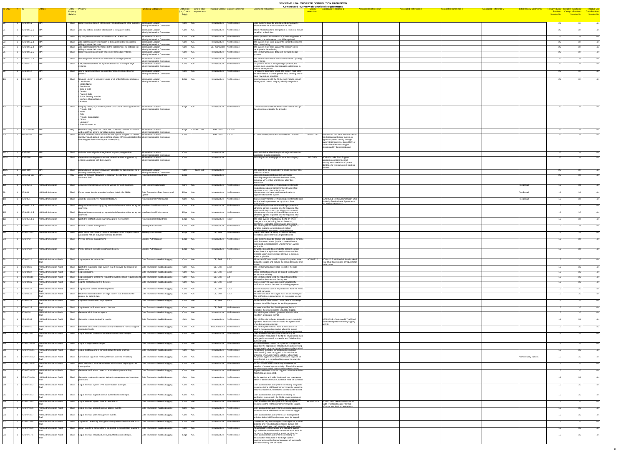|                                                                                |                                       |                                                                                                                                                           |                                                                  |                  |                                                                                      |                                                                                                                    | <b>SENSITIVE: UNAUTHORIZED DISTRIBUTION PROHIBITED</b><br><b>Compressed Inventory of Functional Requirements</b> |                                                                                                  |                                                             |
|--------------------------------------------------------------------------------|---------------------------------------|-----------------------------------------------------------------------------------------------------------------------------------------------------------|------------------------------------------------------------------|------------------|--------------------------------------------------------------------------------------|--------------------------------------------------------------------------------------------------------------------|------------------------------------------------------------------------------------------------------------------|--------------------------------------------------------------------------------------------------|-------------------------------------------------------------|
| <b>ID-ONC</b><br>$\frac{4}{5}$ ID                                              |                                       | Entity - Property<br>Property                                                                                                                             | unctional Categories                                             | (i.e., Core or   | <b>Entity Role</b> Link to other Principal Context Context Reference<br>requirements | <b>Comments / Rationale</b>                                                                                        | <b>Associated Reference 3</b><br><b>Associated Reference 2</b><br><b>Associated Reference 1</b><br>resembles     | <b>Associated Reference 4</b><br><b>Associated Reference 5</b><br><b>Initial Review Comments</b> | <b>Tentative Entity Tentative Functional Tentiative Use</b> |
|                                                                                |                                       | <b>Relation</b>                                                                                                                                           |                                                                  | Edge)            |                                                                                      |                                                                                                                    |                                                                                                                  | Session No.                                                                                      |                                                             |
|                                                                                |                                       |                                                                                                                                                           |                                                                  |                  |                                                                                      |                                                                                                                    |                                                                                                                  |                                                                                                  |                                                             |
| $ ACN-02.1.2 $ MPI                                                             |                                       | Shall Receive unique patient information from participating edge systems. Information Location-                                                           |                                                                  | Core N/A         | Infrastructure No Reference                                                          | Edge systems must be able to send demographic                                                                      |                                                                                                                  |                                                                                                  |                                                             |
| ACN-02.1.2.1 MPI                                                               |                                       | Shall Add new patient identifier information to the patient index.                                                                                        | Identity/Information Correlation<br>Information Location-        | Core N/A         | Infrastructure No Reference                                                          | information to the NHIN for use in the MPI.<br>When information for a new patient is received, it must             |                                                                                                                  |                                                                                                  |                                                             |
|                                                                                |                                       |                                                                                                                                                           | Identity/Information Correlation                                 |                  |                                                                                      | be added to the index.                                                                                             |                                                                                                                  |                                                                                                  |                                                             |
| $ACN-02.1.2.2$ MPI                                                             |                                       | Shall Update patient identifier information in the patient index.                                                                                         | Information Location-<br><b>Identity/Information Correlation</b> | $Core$ $N/A$     | Infrastructure No Reference                                                          | When updated information for a preexisting patient is                                                              |                                                                                                                  |                                                                                                  |                                                             |
| ACN-02.1.2.3 MPI                                                               |                                       | Shall<br>Add patient consent information to the patient index for patients                                                                                | formation Location-                                              | Core N/A         | Infrastructure   No Reference                                                        | received, the index record should be updated.<br>The system must store a patient's consent decision to             |                                                                                                                  |                                                                                                  |                                                             |
| ACN-02.1.2.4 MPI                                                               |                                       | willing to share their data.<br>Add patient dissent information to the patient index for patients not<br>Shall                                            | <b>Identity/Information Correlation</b><br>Information Location- | $Core$ $N/A$     | CE - Consumer No Reference                                                           | allow data sharing.<br>he system must track a patient's decision not to                                            |                                                                                                                  |                                                                                                  |                                                             |
| ACN-02.1.2.5 MPI                                                               |                                       | willing to share their data.<br>Shall Receive patient information when sent from edge systems.                                                            | Identity/Information Correlation<br>Information Location-        | Core N/A         | Infrastructure No Reference                                                          | participate in data sharing.<br>The NHIN must accept data sent by trusted edge                                     |                                                                                                                  |                                                                                                  |                                                             |
|                                                                                |                                       |                                                                                                                                                           | Identity/Information Correlation                                 |                  |                                                                                      | svstems.                                                                                                           |                                                                                                                  |                                                                                                  |                                                             |
| $ACN-02.1.2.6$ MPI                                                             |                                       | Shall Validate patient information when sent from edge systems.                                                                                           | Information Location-                                            | Core N/A         | Infrastructure No Reference                                                          | The NHIN must validate transactions before updating                                                                |                                                                                                                  |                                                                                                  |                                                             |
| ACN-02.1.3                                                                     |                                       | Shall<br>Link patient identifiers for a patient that exists in multiple edge                                                                              | Identity/Information Correlation<br><b>Information Location-</b> | Core N/A         | Infrastructure No Reference                                                          | any systems.<br>For patients found in multiple edge systems, the                                                   |                                                                                                                  |                                                                                                  |                                                             |
|                                                                                |                                       |                                                                                                                                                           | Identity/Information Correlation                                 |                  |                                                                                      | system must recognize that separate patients are in<br>fact the same person.                                       |                                                                                                                  |                                                                                                  |                                                             |
| ACN-02.1.4 MPI                                                                 |                                       | Shall<br>Unlink patient identifiers for patients incorrectly linked to other                                                                              | <b>Information Location-</b>                                     | Core N/A         | Infrastructure No Reference                                                          | For patients incorrectly linked, the system must allow                                                             |                                                                                                                  |                                                                                                  |                                                             |
|                                                                                |                                       |                                                                                                                                                           | Identity/Information Correlation                                 |                  |                                                                                      | an administrator to unlink patient data, creating one or<br>more new patient identities.                           |                                                                                                                  |                                                                                                  |                                                             |
| ACN-04.8                                                                       |                                       | Uniquely identify a person by some or all of the following attributes:<br>Shall<br>- Last Name                                                            | Information Location-<br>Identity/Information Correlation        | Edge N/A         | Infrastructure No Reference                                                          | Communications with the NHIN must include enough<br>demographic data to uniquely identify the patient.             |                                                                                                                  |                                                                                                  |                                                             |
|                                                                                |                                       | - Middle Name<br>- First Name                                                                                                                             |                                                                  |                  |                                                                                      |                                                                                                                    |                                                                                                                  |                                                                                                  |                                                             |
|                                                                                |                                       | - Date of Birth                                                                                                                                           |                                                                  |                  |                                                                                      |                                                                                                                    |                                                                                                                  |                                                                                                  |                                                             |
|                                                                                |                                       | Gender<br>- Place of Birth                                                                                                                                |                                                                  |                  |                                                                                      |                                                                                                                    |                                                                                                                  |                                                                                                  |                                                             |
|                                                                                |                                       | - Social Security Number                                                                                                                                  |                                                                  |                  |                                                                                      |                                                                                                                    |                                                                                                                  |                                                                                                  |                                                             |
|                                                                                |                                       | - Mother's Maiden Name<br>Address                                                                                                                         |                                                                  |                  |                                                                                      |                                                                                                                    |                                                                                                                  |                                                                                                  |                                                             |
| $\overline{114}$ 1<br>$1 \t ACN-04.9$                                          |                                       | Uniquely identify a provider by some or all of the following attributes:   Information Location-<br>Shall                                                 |                                                                  | Edge  N/A        | Infrastructure No Reference                                                          | Communications with the NHIN must include enough                                                                   |                                                                                                                  |                                                                                                  |                                                             |
|                                                                                |                                       | Provider OI                                                                                                                                               | Identity/Information Correlation                                 |                  |                                                                                      | data to uniquely identify the provider.                                                                            |                                                                                                                  |                                                                                                  |                                                             |
|                                                                                |                                       | Name<br>Role                                                                                                                                              |                                                                  |                  |                                                                                      |                                                                                                                    |                                                                                                                  |                                                                                                  |                                                             |
|                                                                                |                                       | - Provider Organization<br>$-$ DEA $#$                                                                                                                    |                                                                  |                  |                                                                                      |                                                                                                                    |                                                                                                                  |                                                                                                  |                                                             |
|                                                                                |                                       | License #                                                                                                                                                 |                                                                  |                  |                                                                                      |                                                                                                                    |                                                                                                                  |                                                                                                  |                                                             |
|                                                                                |                                       | - State Licensed In                                                                                                                                       |                                                                  |                  |                                                                                      |                                                                                                                    |                                                                                                                  |                                                                                                  |                                                             |
| $ CSC-EHR-460 $ MPI                                                            |                                       | May  Be used locally within a CDO or SNO to allow a clinician to browse<br>and select from among candidate patient matches.                               | Information Location-<br>Identity/Information Correlation        | Edge CSC-ALL-250 | EHR-Lab $ 3.2.3.3a $                                                                 |                                                                                                                    |                                                                                                                  |                                                                                                  |                                                             |
| $\overline{ABM-307-11}$ MPI                                                    |                                       | Shall Provide method for clinician and locator system to agree on patient   Information Location-                                                         |                                                                  | Core             | EHR-Lab $ 3.2.3.2 $                                                                  | .1 Clinician Requests Historical Results Location                                                                  | IBM-307-12<br><b>IBM-307-12 MPI Shall Provide method</b>                                                         |                                                                                                  |                                                             |
|                                                                                |                                       | identity through patient trait matching, shared MPI or patient identifier Identity/Information Correlation<br>matching (as determined by the marketplace) |                                                                  |                  |                                                                                      |                                                                                                                    | for clinician and locator system to<br>agree on patient identity through                                         |                                                                                                  |                                                             |
|                                                                                |                                       |                                                                                                                                                           |                                                                  |                  |                                                                                      |                                                                                                                    | patient trait matching, shared MPI or<br>patient identifier matching (as                                         |                                                                                                  |                                                             |
|                                                                                |                                       |                                                                                                                                                           |                                                                  |                  |                                                                                      |                                                                                                                    | determined by the marketplace)                                                                                   |                                                                                                  |                                                             |
| 1033<br><b>NGIT-007</b>                                                        | ∥MP                                   | Shall   Maintain index of patients registered at particpating entities                                                                                    | Information Location-                                            | Core             | Infrastructure                                                                       | Index will define all entities (locations) that have data                                                          |                                                                                                                  |                                                                                                  |                                                             |
| 1034<br><b>NGIT-008</b>                                                        |                                       | Shall   Determine unambiguous match of patient identities supported by                                                                                    | Identity/Information Correlation<br>Information Location-        | Core             | Infrastructure                                                                       | associated to patients/person.<br>matching occurs during upload or at time of query                                | NGIT-134 NGIT-134 MPI Shall Support                                                                              |                                                                                                  |                                                             |
|                                                                                |                                       | entities associated with the network                                                                                                                      | Identity/Information Correlation                                 |                  |                                                                                      |                                                                                                                    | unambiguous matching and                                                                                         |                                                                                                  |                                                             |
|                                                                                |                                       |                                                                                                                                                           |                                                                  |                  |                                                                                      |                                                                                                                    | subsequent correlation of patient<br>identities for the purpose of locating                                      |                                                                                                  |                                                             |
| 1035<br>$NGIT-009$                                                             |                                       | Shall<br>Return patient identifiers previously uploaded by data sources for a $\Box$ Information Location-                                                |                                                                  | Core             | <b>NGIT-008</b><br>Infrastructure                                                    | The patient will be identified by a single identifier or a                                                         | records                                                                                                          |                                                                                                  |                                                             |
|                                                                                |                                       | uniquely identified patient                                                                                                                               | Identity/Information Correlation                                 |                  |                                                                                      | collection of traits                                                                                               |                                                                                                                  |                                                                                                  |                                                             |
| $ CSC-ALL-250 $ MPI                                                            |                                       | May Allow for clinician interaction to ascertain the identities of patients<br>within the SNO                                                             | Non-Functional-Robustness                                        | Edge             | Infrastructure                                                                       | While clinician interaction is not allowed to<br>disambiguate patient identites between SNOs,                      |                                                                                                                  |                                                                                                  |                                                             |
|                                                                                |                                       |                                                                                                                                                           |                                                                  |                  |                                                                                      | individual MPIs within a SNO may allow this<br>interaction.                                                        |                                                                                                                  |                                                                                                  |                                                             |
| ACN-05.1.3<br>126                                                              | NHIN Administration                   | Shall Establish Operational Agreements with all certified members.                                                                                        | Data Content-Data Usage                                          | $Core$ $N/A$     | Infrastructure No Reference                                                          | It is necessary for the NHIN and edge systems to                                                                   |                                                                                                                  | Too Broad                                                                                        |                                                             |
|                                                                                |                                       |                                                                                                                                                           |                                                                  |                  |                                                                                      | establish operational agreements with a certified<br>members prior to data submission                              |                                                                                                                  |                                                                                                  |                                                             |
| ACN-04                                                                         | NHIN Administration                   | Perform core functions needed to share data in the NHIN.<br>Shall                                                                                         | Data Transaction-Data Access and                                 | Edge N/A         | Infrastructure No Reference                                                          | It is necessary to have providers and patients<br>registered to use the system.                                    |                                                                                                                  | <b>Too Broad</b>                                                                                 |                                                             |
| ACN-05.1                                                                       | <b>NHIN Administration</b>            | Shall Abide by Service Level Agreements (SLA).                                                                                                            | Non-Functional-Performance                                       | $Core$ $N/A$     | Infrastructure No Reference                                                          | It is necessary for the NHIN and edge systems to have                                                              | ACN-05.1.1 NHIN Administration Shall                                                                             | <b>Too Broad</b>                                                                                 |                                                             |
|                                                                                |                                       |                                                                                                                                                           |                                                                  |                  |                                                                                      | service level agreements set up prior to data                                                                      | Abide by Service Level Agreements<br>$(SI \triangle)$ for nerformance                                            |                                                                                                  |                                                             |
| ACN-05.1.1.4                                                                   | <b>NHIN Administration</b>            | Shall Respond to non-messaging requests for information within an agreed Non-Functional-Performance                                                       |                                                                  | Core N/A         | Infrastructure No Reference                                                          | It is necessary for the NHIN and Edge systems to                                                                   |                                                                                                                  |                                                                                                  |                                                             |
|                                                                                |                                       | upon time.                                                                                                                                                |                                                                  |                  |                                                                                      | adhere to agreed response time for requests. The<br>NHIN and Fring system should set un an anread                  |                                                                                                                  |                                                                                                  |                                                             |
| ACN-05.1.1.5                                                                   | NHIN Administration                   | Shall  Respond to non-messaging requests for information within an agreed Non-Functional-Performance<br>upon time.                                        |                                                                  | Edge N/A         | Infrastructure No Reference                                                          | It is necessary for the NHIN and Edge systems to<br>adhere to agreed response time for requests. The               |                                                                                                                  |                                                                                                  |                                                             |
| ACN-05.1.1.6                                                                   | <b>NHIN Administration</b>            | Shall   Notify the NHIN of any relevant changes to their system.                                                                                          | Non-Functional-Robustness                                        | Edge N/A         | Infrastructure Policy                                                                | MHIN and Fring system should set up an agreed<br>The edge system should notify the NHIN when                       |                                                                                                                  |                                                                                                  |                                                             |
|                                                                                |                                       |                                                                                                                                                           |                                                                  |                  |                                                                                      | changes occur, including, but not limited to,<br>zauzzi hne annenatniem zahernnu zamitnwoh                         |                                                                                                                  |                                                                                                  |                                                             |
| ACN-07.1<br>156                                                                | NHIN Administration                   | Shall Provide consent management.                                                                                                                         | Security-Authorization                                           | $Core$ $N/A$     | Infrastructure No Reference                                                          | The NHIN system must be flexible and capable of<br>handling multiple consent states (implied                       |                                                                                                                  |                                                                                                  |                                                             |
| 164<br>ACN-07.10.3                                                             | NHIN Administration                   | Shall<br>Allow authorized users to override view restrictions to specific data  Security-Authorization                                                    |                                                                  | Edge N/A         | CE, EHR No Reference                                                                 | consent/dissent_expressed_consent/dissent<br>Users must have the ability to override viewing                       |                                                                                                                  |                                                                                                  |                                                             |
|                                                                                |                                       | associated with an individual's clinical treatment.                                                                                                       |                                                                  |                  |                                                                                      | restrictions where there is a legitimate need.                                                                     |                                                                                                                  |                                                                                                  |                                                             |
| $\begin{array}{ c c c c }\n\hline\n245 & 1 \\ \hline\n\end{array}$<br>ACN-07.2 | NHIN Administration                   | Shall   Provide consent management.                                                                                                                       | Security-Authorization                                           | Edge N/A         | Infrastructure No Reference                                                          | Edge systems must be flexible and capable of handling                                                              |                                                                                                                  |                                                                                                  |                                                             |
|                                                                                |                                       |                                                                                                                                                           |                                                                  |                  |                                                                                      | multiple consent states (implied consent/dissent.<br>expressed consent/dissent, undetermined), where               |                                                                                                                  |                                                                                                  |                                                             |
| 249<br>ACN-07.2.4                                                              | NHIN Administration                   | Shall Permit consent override by authorized users.                                                                                                        | Security-Authorization                                           | Edge N/A         | Infrastructure No Reference                                                          | applicable.<br>It must be possible to override the consent control                                                 |                                                                                                                  |                                                                                                  |                                                             |
|                                                                                |                                       |                                                                                                                                                           |                                                                  |                  |                                                                                      | where there is a legitimate need to do so and the                                                                  |                                                                                                                  |                                                                                                  |                                                             |
|                                                                                |                                       |                                                                                                                                                           |                                                                  |                  |                                                                                      | override action must be made obvious to the user,<br>where applicable.                                             |                                                                                                                  |                                                                                                  |                                                             |
| ACN-02.2.1                                                                     | NHIN Administration-Audit             | Shall Log requests for patient data.                                                                                                                      | Data Transaction-Audit & Logging                                 | Core N/A         | CE, EHR 3.2.3                                                                        | All successful/unsuccessful requests for patient data<br>should be logged and include the requestor name and       | ACN-02.2.2<br>ACN-02.2.2 NHIN Administration-Audit<br>Trail Shall Save copies of requests for                    |                                                                                                  |                                                             |
| ACN-02.2.3                                                                     | NHIN Administration-Audit             | Shall Notify the requesting edge system that it received the request for                                                                                  |                                                                  |                  | $CE, EHR$ 3.2.3                                                                      | The NHIN must acknowledge receipt of the data                                                                      | patient data.                                                                                                    |                                                                                                  |                                                             |
|                                                                                |                                       | patient data.                                                                                                                                             | Data Transaction-Audit & Logging                                 | Core N/A         |                                                                                      |                                                                                                                    |                                                                                                                  |                                                                                                  |                                                             |
| ACN-02.2.4                                                                     | NHIN Administration-Audit             | Log notifications.<br>Shall                                                                                                                               | Data Transaction-Audit & Logging                                 | Core N/A         | $CE, EHR$ 3.2.3                                                                      | These notifications should be logged, to allow for<br>appropriate auditing.                                        |                                                                                                                  |                                                                                                  |                                                             |
| ACN-02.3.11                                                                    | <b>NHIN Administration-Audit</b>      | Shall   Log notifications sent to the requesting systems about requests being Data Transaction-Audit & Logging<br>orocessec                               |                                                                  | $Core$ $N/A$     | $CE, EHR$ 3.4                                                                        | The NHIN needs to keep the requesting system<br>informed on the status of the request.                             |                                                                                                                  |                                                                                                  |                                                             |
| ACN-02.3.2                                                                     | NHIN Administration-Audit             | Shall<br>Log the notification sent to the user.                                                                                                           | Data Transaction-Audit & Logging                                 | $Core$ $N/A$     | $CE, EHR$ 3.2.3                                                                      | It is necessary to save successful/unsuccessful                                                                    |                                                                                                                  |                                                                                                  |                                                             |
|                                                                                |                                       |                                                                                                                                                           |                                                                  |                  |                                                                                      | notifications sent to the user for auditing purposes.                                                              |                                                                                                                  |                                                                                                  |                                                             |
| ACN-02.3.4                                                                     | NHIN Administration-Audit             | Shall Log requests sent to identified systems.                                                                                                            | Data Transaction-Audit & Logging                                 | Core N/A         | $CE, EHR$ 3.2.3                                                                      | It is necessary to save all requests sent from the NHIN<br>for audit purposes.                                     |                                                                                                                  |                                                                                                  |                                                             |
| ACN-02.3.5                                                                     | NHIN Administration-Audit             | Shall $\overline{\phantom{a}}$ Receive confirmation from an edge system that it received the<br>request for patient data.                                 | Data Transaction-Audit & Logging                                 | Core N/A         | CE, EHR $\vert$ 3.2.3                                                                | All communication messages must be acknowledged.<br>The notification is important so no messages are lost          |                                                                                                                  |                                                                                                  |                                                             |
| ACN-02.3.6                                                                     | NHIN Administration-Audit             | Shall   Log confirmations from edge systems.                                                                                                              | Data Transaction-Audit & Logging                                 | $Core$ $N/A$     | $CE, EHR$ 3.2.3                                                                      | Idurina processina<br>All successful/unsuccessful confirmations from edge                                          |                                                                                                                  |                                                                                                  |                                                             |
|                                                                                |                                       |                                                                                                                                                           |                                                                  |                  |                                                                                      | systems should be logged for auditing purposes.                                                                    |                                                                                                                  |                                                                                                  |                                                             |
| ACN-02.3.8                                                                     | NHIN Administration-Audit             | Shall Log timeout notifications sent to the user.                                                                                                         | Data Transaction-Audit & Logging                                 | Core N/A         | CE, EHR No Reference                                                                 | If a user is notified that data is present, but not                                                                |                                                                                                                  |                                                                                                  |                                                             |
| ACN-02.4                                                                       | NHIN Administration-Audit             | Shall<br>Generate administrative reports.                                                                                                                 | Data Transaction-Audit & Logging                                 | Core N/A         | Infrastructure No Reference                                                          | available, these notifications should be logged.<br>The NHIN system should generate administrative                 |                                                                                                                  |                                                                                                  |                                                             |
|                                                                                |                                       |                                                                                                                                                           |                                                                  |                  |                                                                                      | reports in a readable format.                                                                                      |                                                                                                                  |                                                                                                  |                                                             |
| ACN-02.4.1                                                                     | <b>NHIN Administration-Audit</b>      | Shall Generate system monitoring reports.                                                                                                                 | Data Transaction-Audit & Logging                                 | Core N/A         | Infrastructure No Reference                                                          | The NHIN system should generate system monitoring<br>reports to detail who has accessed the system and             | ACN-02.4.2Admin-Audit Trail Shall<br>Generate reports monitoring logging                                         |                                                                                                  |                                                             |
| ACN-02.4.3                                                                     | NHIN Administration-Audit             | Generate alerts/notifications for activity outside the normal range of Data Transaction-Audit & Logging<br>Shall                                          |                                                                  | Core N/A         | Biosurveillance No Reference                                                         | when the access occurred.<br>The NHIN system should have a mechanism for                                           | activity.                                                                                                        |                                                                                                  |                                                             |
|                                                                                |                                       | monitoring levels.                                                                                                                                        |                                                                  |                  |                                                                                      | alerting the appropriate parties when the system                                                                   |                                                                                                                  |                                                                                                  |                                                             |
| ACN-07.16.1                                                                    | NHIN Administration-Audit             | Log all relevant infrastructure level authentication attempts.<br>Shall                                                                                   | Data Transaction-Audit & Logging                                 | Core N/A         | Infrastructure No Reference                                                          | monitoring identifies situations that require immediate<br>User, administrator and system connecting to            |                                                                                                                  |                                                                                                  |                                                             |
|                                                                                |                                       |                                                                                                                                                           |                                                                  |                  |                                                                                      | Infrastructure resources in the NHIN environment must<br>be logged to ensure all successful and failed activity    |                                                                                                                  |                                                                                                  |                                                             |
| ACN-07.16.10                                                                   | NHIN Administration-Audit             | Shall Log all configuration changes.                                                                                                                      | Data Transaction-Audit & Logging                                 | $Core$ $N/A$     | Infrastructure   No Reference                                                        | can be traced.<br>Successful/Unsuccessful configuration changes are                                                |                                                                                                                  |                                                                                                  |                                                             |
|                                                                                |                                       |                                                                                                                                                           |                                                                  |                  |                                                                                      | logged at the application, infrastructure and operating                                                            |                                                                                                                  |                                                                                                  |                                                             |
| ACN-07.16.11                                                                   | NHIN Administration-Audit             | Shall Log all modifications to consent status (for data sharing).                                                                                         | Data Transaction-Audit & Logging                                 | $Core$ $N/A$     | Infrastructure No Reference                                                          | system level to ensure that all changes can be tracked<br>All attempts to modify consent (successful and           |                                                                                                                  |                                                                                                  |                                                             |
|                                                                                |                                       |                                                                                                                                                           |                                                                  |                  |                                                                                      | unsuccessful) must be logged, to include but not<br>limited to who (user making undate) when (date                 |                                                                                                                  |                                                                                                  |                                                             |
| ACN-07.16.12                                                                   | NHIN Administration-Audit             | Shall Consolidate logs from NHIN systems in a central repository.                                                                                         | Data Transaction-Audit & Logging                                 | $Core$ $N/A$     | Infrastructure   No Reference                                                        | All system, application and Infrastructure logs will be<br>consolidated to a centralized log server for analysis,  |                                                                                                                  | Architectually specific                                                                          |                                                             |
| ACN-07.16.14                                                                   | NHIN Administration-Audit             | Shall Allow thresholds to be set to determine activities requiring further                                                                                | Data Transaction-Audit & Logging                                 | $Core$ $N/A$     | Infrastructure No Reference                                                          | alerting and reporting<br>Thresholds will determine activity outside of the                                        |                                                                                                                  |                                                                                                  |                                                             |
|                                                                                |                                       | nvestigation                                                                                                                                              |                                                                  |                  |                                                                                      | baseline of normal system activity. Thresholds are set<br>for tolerated deviation from normal system activity      |                                                                                                                  |                                                                                                  |                                                             |
| ACN-07.16.15                                                                   | NHIN Administration-Audit             | Shall<br>Generate notifications based on anomalous system activity.                                                                                       | Data Transaction-Audit & Logging                                 | $Core$ $N/A$     | Infrastructure   No Reference                                                        | Reports and Alerts must be triggered when established<br>thresholds are exceeded.                                  |                                                                                                                  |                                                                                                  |                                                             |
| ACN-07.16.16                                                                   | NHIN Administration-Audit             | Shall<br>Generate evidence to support incident management and response                                                                                    | Data Transaction-Audit & Logging                                 | $Core$ $N/A$     | Infrastructure No Reference                                                          | In the event of an incident outbreak e.g. virus /worm                                                              |                                                                                                                  |                                                                                                  |                                                             |
|                                                                                |                                       | processes                                                                                                                                                 |                                                                  |                  |                                                                                      | attack or denial of service, evidence must be captured.                                                            |                                                                                                                  |                                                                                                  |                                                             |
| ACN-07.16.2                                                                    | NHIN Administration-Audit             | Log all relevant system level authentication attempts.<br>Shall                                                                                           | Data Transaction-Audit & Logging                                 | $Core$ $N/A$     | Infrastructure No Reference                                                          | User, administrator and system connecting to system                                                                |                                                                                                                  |                                                                                                  |                                                             |
|                                                                                |                                       |                                                                                                                                                           |                                                                  |                  |                                                                                      | resources in the NHIN environment must be logged to<br>ensure all successful and failed activity can be traced.    |                                                                                                                  |                                                                                                  |                                                             |
|                                                                                |                                       |                                                                                                                                                           |                                                                  |                  |                                                                                      |                                                                                                                    |                                                                                                                  |                                                                                                  |                                                             |
| ACN-07.16.3                                                                    | NHIN Administration-Audit             | Shall   Log all relevant application level authentication attempts.                                                                                       | Data Transaction-Audit & Logging                                 | $Core$ $N/A$     | Infrastructure No Reference                                                          | User, administrator and system connecting to<br>application resources in the NHIN environment must                 |                                                                                                                  |                                                                                                  |                                                             |
|                                                                                | ACN-07.16.5 NHIN Administration-Audit | Shall Log all relevant system level access events.                                                                                                        | Data Transaction-Audit & Logging                                 | Core N/A         | Infrastructure No Reference                                                          | he lonned to ensure all successful and failed activity<br>User, administrator and system accessing system          | ACN-07.16.4   ACN-07.16.4 NHIN Administration-                                                                   |                                                                                                  |                                                             |
|                                                                                |                                       |                                                                                                                                                           |                                                                  |                  |                                                                                      | resources in the NHIN environment must be logged.                                                                  | Audit Trail Shall Log all relevant<br>infrastructure level access events                                         |                                                                                                  |                                                             |
| ACN-07.16.6                                                                    | NHIN Administration-Audit             | Shall   Log all relevant application level access events.                                                                                                 | Data Transaction-Audit & Logging                                 | Core N/A         | Infrastructure No Reference                                                          | User, administrator and system accessing application<br>resources in the NHIN environment must be logged.          |                                                                                                                  |                                                                                                  |                                                             |
| ACN-07.16.7                                                                    | NHIN Administration-Audit             | Shall Log all relevant user management events.                                                                                                            | Data Transaction-Audit & Logging                                 | $Core$ $N/A$     | Infrastructure No Reference                                                          | User, administrator and system user management                                                                     |                                                                                                                  |                                                                                                  |                                                             |
|                                                                                |                                       |                                                                                                                                                           |                                                                  |                  |                                                                                      | activities in the NHIN environment must be logged.                                                                 |                                                                                                                  |                                                                                                  |                                                             |
|                                                                                |                                       |                                                                                                                                                           |                                                                  |                  |                                                                                      | Data details required to support investigations, trouble                                                           |                                                                                                                  |                                                                                                  |                                                             |
| ACN-07.16.8                                                                    | NHIN Administration-Audit             | Shall   Log details necessary to support investigations and corrective action. Data Transaction-Audit & Logging                                           |                                                                  | Core N/A         | Infrastructure No Reference                                                          |                                                                                                                    |                                                                                                                  |                                                                                                  |                                                             |
|                                                                                |                                       |                                                                                                                                                           |                                                                  |                  |                                                                                      | shooting and remedial action include, but are not<br>limited to who (year role) what (access type) when            |                                                                                                                  |                                                                                                  |                                                             |
| ACN-07.16.9                                                                    | NHIN Administration-Audit             | Shall Retain logs for a period of time as defined in the retention standard. Data Transaction-Audit & Logging                                             |                                                                  | $Core$ $N/A$     | Infrastructure   No Reference                                                        | All application, infrastructure and operating system<br>logs will be retained to ensure there are audit trails for |                                                                                                                  |                                                                                                  |                                                             |
| ACN-07.17.1                                                                    | NHIN Administration-Audit             | Shall Log all relevant infrastructure level authentication attempts.                                                                                      | Data Transaction-Audit & Logging                                 | Edge N/A         | Infrastructure No Reference                                                          | future use Retention timeline would be driven by<br>User, administrator and system connecting to                   |                                                                                                                  |                                                                                                  |                                                             |
|                                                                                |                                       |                                                                                                                                                           |                                                                  |                  |                                                                                      | infrastructure resources in the Edge System<br>environment must be logged to ensure all successful                 |                                                                                                                  |                                                                                                  |                                                             |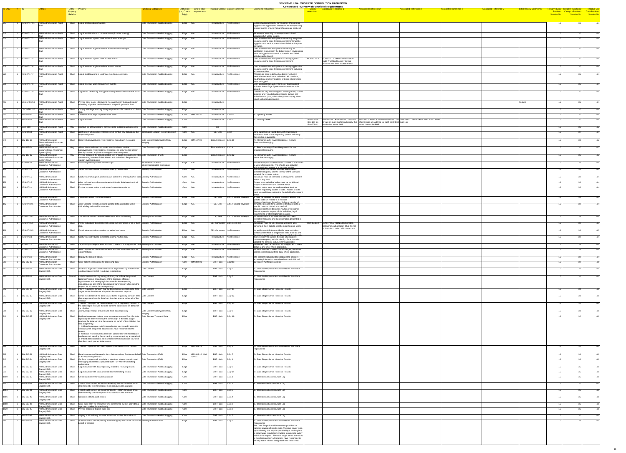| <b>ID-ONC</b>                                                       |                                        |                                                                                 | Entity - Property                                                                                                                                                                               | unctional Categories                                       |                         | <b>Entity Role</b> Link to other    | <b>Principal Context Context Reference</b>    | <b>Comments / Rationale</b>                                                                                                                                         | <b>Compressed Inventory of Functional Requirements</b><br><b>Associated Reference 1</b><br><b>Associated Reference 2</b><br><b>Associated Reference 3</b>                                                                                                  | <b>Associated Reference 5</b><br><b>Associated Reference 4</b> | <b>Initial Review Comments</b> | Tentative Entity Tentative Functional               | <b>Tentiative Use</b>                       |
|---------------------------------------------------------------------|----------------------------------------|---------------------------------------------------------------------------------|-------------------------------------------------------------------------------------------------------------------------------------------------------------------------------------------------|------------------------------------------------------------|-------------------------|-------------------------------------|-----------------------------------------------|---------------------------------------------------------------------------------------------------------------------------------------------------------------------|------------------------------------------------------------------------------------------------------------------------------------------------------------------------------------------------------------------------------------------------------------|----------------------------------------------------------------|--------------------------------|-----------------------------------------------------|---------------------------------------------|
|                                                                     |                                        |                                                                                 | Property<br>Relation                                                                                                                                                                            |                                                            | (i.e., Core or<br>Edge) | requirements                        |                                               |                                                                                                                                                                     | <b>resembles</b>                                                                                                                                                                                                                                           |                                                                |                                | <b>Category Breakout</b><br>Breakout<br>Session No. | Case Breakout<br>.Session No<br>Session No. |
|                                                                     |                                        |                                                                                 |                                                                                                                                                                                                 |                                                            |                         |                                     |                                               |                                                                                                                                                                     |                                                                                                                                                                                                                                                            |                                                                |                                |                                                     |                                             |
|                                                                     | ACN-07.17.11                           | NHIN Administration-Audit                                                       | Shall   Log all configuration changes.                                                                                                                                                          | Data Transaction-Audit & Logging                           | Edge  N/A               |                                     | Infrastructure   No Reference                 | Successful/Unsuccessful configuration changes are<br>logged at the application, infrastructure and operating                                                        |                                                                                                                                                                                                                                                            |                                                                |                                |                                                     |                                             |
|                                                                     | ACN-07.17.12                           | NHIN Administration-Audit                                                       | Log all modifications to consent status (for data sharing).<br>Shall                                                                                                                            | Data Transaction-Audit & Logging                           | Edge N/A                |                                     | Infrastructure No Reference                   | system level to ensure that all changes are captured.<br>All attempts to modify consent (successful and                                                             |                                                                                                                                                                                                                                                            |                                                                |                                |                                                     |                                             |
|                                                                     | ACN-07.17.2                            | NHIN Administration-Audit                                                       | Shall<br>Log all relevant system level authentication attempts.                                                                                                                                 | Data Transaction-Audit & Logging                           | Edge N/A                |                                     | Infrastructure No Reference                   | unsuccessful) will be logged.<br>User, administrator and system connecting to system                                                                                |                                                                                                                                                                                                                                                            |                                                                |                                |                                                     |                                             |
|                                                                     |                                        |                                                                                 |                                                                                                                                                                                                 |                                                            |                         |                                     |                                               | resources in the Edge System environment must be<br>logged to ensure all successful and failed activity can                                                         |                                                                                                                                                                                                                                                            |                                                                |                                |                                                     |                                             |
|                                                                     | ACN-07.17.3                            | NHIN Administration-Audit                                                       | Shall   Log all relevant application level authentication attempts.                                                                                                                             | Data Transaction-Audit & Logging                           | Edge N/A                |                                     | Infrastructure   No Reference                 | be traced.<br>User, administrator and system connecting to                                                                                                          |                                                                                                                                                                                                                                                            |                                                                |                                |                                                     |                                             |
|                                                                     |                                        |                                                                                 |                                                                                                                                                                                                 |                                                            |                         |                                     |                                               | application resources in the Edge System environment<br>must be logged to ensure all successful and failed                                                          |                                                                                                                                                                                                                                                            |                                                                |                                |                                                     |                                             |
|                                                                     | ACN-07.17.5                            | NHIN Administration-Audit                                                       | Shall Log all relevant system level access events.                                                                                                                                              | Data Transaction-Audit & Logging                           | Edge N/A                |                                     | Infrastructure No Reference                   | activity can be traced.<br>User, administrator and system accessing system                                                                                          | ACN-07.17.4 ACN-07.17.4 NHIN Administration-                                                                                                                                                                                                               |                                                                |                                |                                                     |                                             |
|                                                                     |                                        |                                                                                 |                                                                                                                                                                                                 |                                                            |                         |                                     |                                               | resources in the Edge System environment.                                                                                                                           | Audit Trail Shall Log all relevant<br>infrastructure level access events.                                                                                                                                                                                  |                                                                |                                |                                                     |                                             |
|                                                                     | ACN-07.17.6                            | NHIN Administration-Audit                                                       | Shall Log all relevant application level access events.                                                                                                                                         | Data Transaction-Audit & Logging                           | Edge N/A                |                                     | Infrastructure No Reference                   | User, administrator and system accessing application<br>resources in the Edge System environment, including                                                         |                                                                                                                                                                                                                                                            |                                                                |                                |                                                     |                                             |
|                                                                     | ACN-07.17.7                            | NHIN Administration-Audit                                                       | Log all modifications to legitimate need access events.<br>Shall                                                                                                                                | Data Transaction-Audit & Logging                           | Edge N/A                |                                     | Infrastructure No Reference                   | access overrides.<br>A legitimate need is defined as being involved in                                                                                              |                                                                                                                                                                                                                                                            |                                                                |                                |                                                     |                                             |
|                                                                     |                                        |                                                                                 |                                                                                                                                                                                                 |                                                            |                         |                                     |                                               | medical treatment for the individual. All creations,<br>modifications and terminations of these relationships                                                       |                                                                                                                                                                                                                                                            |                                                                |                                |                                                     |                                             |
|                                                                     | ACN-07.17.8                            | NHIN Administration-Audit                                                       | Shall<br>Log all relevant user management events.                                                                                                                                               | Data Transaction-Audit & Logging                           | Edge $N/A$              |                                     | Infrastructure   No Reference                 | must be logged.<br>User, administrator and system user management                                                                                                   |                                                                                                                                                                                                                                                            |                                                                |                                |                                                     |                                             |
|                                                                     |                                        |                                                                                 |                                                                                                                                                                                                 |                                                            |                         |                                     |                                               | activities in the Edge System environment must be                                                                                                                   |                                                                                                                                                                                                                                                            |                                                                |                                |                                                     |                                             |
|                                                                     | ACN-07.17.9                            | NHIN Administration-Audit                                                       | Shall Log details necessary to support investigations and corrective action. Data Transaction-Audit & Logging                                                                                   |                                                            | Edge N/A                |                                     | Infrastructure No Reference                   | Data details required to support investigations, trouble<br>shooting and remedial action include, but are not                                                       |                                                                                                                                                                                                                                                            |                                                                |                                |                                                     |                                             |
| 463                                                                 |                                        | CSC-NFR-210   NHIN Administration-Audit                                         | Shall Provide easy to use interface to message history logs and support Data Transaction-Audit & Logging                                                                                        |                                                            | Edge                    |                                     | Infrastructure                                | limited to who (user, role), what (access type), when<br>(date) and origin/destination.                                                                             |                                                                                                                                                                                                                                                            |                                                                |                                |                                                     |                                             |
|                                                                     |                                        |                                                                                 | rebuilding of patient medical records at specific points in time                                                                                                                                |                                                            |                         |                                     |                                               |                                                                                                                                                                     |                                                                                                                                                                                                                                                            |                                                                |                                |                                                     |                                             |
| 464                                                                 | $\textsf{CSC-NFR-220}$                 | NHIN Administration-Audit                                                       | Comply with legal and regulatory requirements for retention of clinical Data Transaction-Audit & Logging<br>Shall                                                                               |                                                            | Edge                    |                                     | Infrastructure                                |                                                                                                                                                                     |                                                                                                                                                                                                                                                            |                                                                |                                |                                                     |                                             |
| 657                                                                 | <b>IBM-207-37</b>                      | NHIN Administration-Audit                                                       | Shall Create an audit log for updated data fields                                                                                                                                               | Data Transaction-Audit & Logging                           |                         | Core   IBM-207-30                   | Infrastructure $ 2.1.5.5x $                   | 4.2 Updating a PHR                                                                                                                                                  |                                                                                                                                                                                                                                                            |                                                                |                                |                                                     |                                             |
|                                                                     | <b>IBM-211-09</b>                      | NHIN Administration-Audit                                                       | Shall Log interaction                                                                                                                                                                           | Data Transaction-Audit & Logging                           | Core                    |                                     | Infrastructure $ 2.2.4.5$                     | 7.2 Closing a PHR                                                                                                                                                   | IBM-205-24Admin-Audit Trail Shall   IBM-207-24 NHIN Administration-Audit Trail   IBM-209-41Admin-Audit Trail Shall Create<br>IBM-205-24<br>IBM-207-24<br>Create an audit log for each entity that Shall Create an audit log for each entity that audit log |                                                                |                                |                                                     |                                             |
| 1065                                                                | <b>NGIT-080</b>                        | <b>NHIN Administration-Audit</b>                                                | May Maintain log of transactions between data suppliers and receivers   Data Transaction-Audit & Logging                                                                                        |                                                            | Core                    |                                     | <b>Bio</b>                                    |                                                                                                                                                                     | IBM-209-41<br>sends data to the PHR<br>sends data to the PHR                                                                                                                                                                                               |                                                                |                                |                                                     |                                             |
|                                                                     | ACN-02.3.1                             | NHIN Administration-Audit                                                       | Shall   Notify users when edge systems do not contain any data about the   Information Location-Record Location                                                                                 |                                                            | $Core$ $ N/A$           |                                     | CE, EHR 3.2.3                                 | If the patient is not found, the NHIN must send a                                                                                                                   |                                                                                                                                                                                                                                                            |                                                                |                                |                                                     |                                             |
|                                                                     |                                        |                                                                                 | requested patient.                                                                                                                                                                              |                                                            |                         |                                     |                                               | notification back to the requesting system indicating<br>that no data is available.                                                                                 |                                                                                                                                                                                                                                                            |                                                                |                                |                                                     |                                             |
| 576                                                                 | $IBM-107-10$                           | <b>NHIN Administration-</b><br><b>Biosurveillance Responder</b>                 | Shall Receive biosurveillance event response 'broadcast" messages                                                                                                                               | Data Content-Data Quality/Data                             |                         | Edge $\sqrt{\text{IBM-107-08}}$     | Biosurveillance $ 1.z.3.10$                   | 7.1 PH Community - Event Response - Secure<br>Broadcast Messaging                                                                                                   |                                                                                                                                                                                                                                                            |                                                                |                                |                                                     |                                             |
|                                                                     | <b>IBM-107-04</b>                      | System (IBM)<br><b>NHIN Administration-</b>                                     | Allows biosurveillance responder to subscribe to receive<br>May                                                                                                                                 | Data Transaction-(Pull)                                    | Edge                    |                                     | Biosurveillance $1.2.3.4$                     | 7.1 PH Community - Event Response - Secure                                                                                                                          |                                                                                                                                                                                                                                                            |                                                                |                                |                                                     |                                             |
|                                                                     |                                        | <b>Biosurveillance Responder</b><br>System (IBM)                                | biosurveillance event response messages as secure email and/or<br>directly into web application to support event response                                                                       |                                                            |                         |                                     |                                               | <b>Broadcast Messaging</b>                                                                                                                                          |                                                                                                                                                                                                                                                            |                                                                |                                |                                                     |                                             |
|                                                                     | <b>IBM-107-12</b>                      | <b>NHIN Administration-</b><br><b>Biosurveillance Responder</b><br>System (IBM) | May Provide capability for secure, instant text or audio messaging or video Data Transaction-(Push)<br>conferencing between Public Health and authorized Responder to<br>support event response |                                                            | Edge                    |                                     | Biosurveillance 1.z.3.12                      | 7.2 PH Community - Event Response - Secure<br>Interactive Messaging                                                                                                 |                                                                                                                                                                                                                                                            |                                                                |                                |                                                     |                                             |
|                                                                     | ACN-04.10                              | NHIN Administration-                                                            | Shall   Establish patient-provider relationships.                                                                                                                                               | Information Location-                                      | Edge N/A                |                                     | Infrastructure   No Reference                 | It is necessary to establish which provider is authorized                                                                                                           |                                                                                                                                                                                                                                                            |                                                                |                                |                                                     |                                             |
| 157                                                                 | ACN-07.1.1                             | Consumer Authorization<br><b>NHIN Administration-</b>                           | Shall<br>Capture an individual's consent to sharing his/her data.                                                                                                                               | Identity/Information Correlation<br>Security-Authorization | Core N/A                |                                     | Infrastructure No Reference                   | to view which patients. This should also establish<br>which provider a patient is authorized to view<br>It is necessary to capture the date when patient            |                                                                                                                                                                                                                                                            |                                                                |                                |                                                     |                                             |
|                                                                     |                                        | <b>Consumer Authorization</b>                                                   |                                                                                                                                                                                                 |                                                            |                         |                                     |                                               | consent was given, and the identity of the user who<br>updated the consent status.                                                                                  |                                                                                                                                                                                                                                                            |                                                                |                                |                                                     |                                             |
| 158                                                                 | ACN-07.1.2                             | <b>NHIN Administration-</b><br><b>Consumer Authorization</b>                    | Shall Capture any change in an individual's consent to sharing his/her data. Security-Authorization                                                                                             |                                                            | Core N/A                |                                     | Infrastructure No Reference                   | Individuals must be permitted to change their consent<br>status at any time.                                                                                        |                                                                                                                                                                                                                                                            |                                                                |                                |                                                     |                                             |
|                                                                     | ACN-07.1.3                             | NHIN Administration-<br><b>Consumer Authorization</b>                           | Shall $\Box$ Allow only authorized access to an individual's data based on their $\Box$ Security-Authorization<br>consent status                                                                |                                                            | $Core$ $N/A$            |                                     | Infrastructure No Reference                   | Access to an individual's data must be conditional,<br>subject to the individual's consent status.                                                                  |                                                                                                                                                                                                                                                            |                                                                |                                |                                                     |                                             |
|                                                                     | ACN-07.1.4                             | <b>JHIN Administration-</b><br><b>Consumer Authorization</b>                    | Shall Provide consent status to authorized requesting systems.                                                                                                                                  | Security-Authorization                                     | $Core$ $N/A$            |                                     | Infrastructure   No Reference                 | Consent status must be made available to other<br>systems requesting access to data. Access to data                                                                 |                                                                                                                                                                                                                                                            |                                                                |                                |                                                     |                                             |
|                                                                     |                                        |                                                                                 |                                                                                                                                                                                                 |                                                            |                         |                                     |                                               | must be conditional, subject to the individual's consent                                                                                                            |                                                                                                                                                                                                                                                            |                                                                |                                |                                                     |                                             |
| $\overline{161}$                                                    | ACN-07.10                              | <b>NHIN Administration-</b><br><b>Consumer Authorization</b>                    | Shall   Implement a data restriction service.                                                                                                                                                   | Security-Authorization                                     | Edge N/A                |                                     | CE, EHR<br>1.4 Sealed envelope                | It must be possible for a user to restrict access to a<br>specific data set related to a medical                                                                    |                                                                                                                                                                                                                                                            |                                                                |                                |                                                     |                                             |
| 162                                                                 | ACN-07.10.1                            | <b>VHIN Administration-</b><br><b>Consumer Authorization</b>                    | Allow users to restrict access to specific data associated with a<br>clinical diagnosis and/or treatment.                                                                                       | Security-Authorization                                     | Edge N/A                |                                     | CE, EHR<br>1.4 Sealed envelope                | diannosis/treatment hased on his/her profession:<br>It must be possible for a user to restrict access to a<br>specific data set related to a medical                |                                                                                                                                                                                                                                                            |                                                                |                                |                                                     |                                             |
|                                                                     |                                        |                                                                                 |                                                                                                                                                                                                 |                                                            |                         |                                     |                                               | diagnosis/treatment based on his/her professional<br>discretion, on the request of the individual, legal                                                            |                                                                                                                                                                                                                                                            |                                                                |                                |                                                     |                                             |
| 163                                                                 | ACN-07.10.2                            | NHIN Administration-                                                            | Shall<br>Indicate that certain data has been restricted from viewing.                                                                                                                           | Security-Authorization                                     | Edge N/A                |                                     | CE, EHR<br>4.1.4 Sealed envelope              | requirement, or other legitimate reasons.<br>It must be obvious to users that data has been                                                                         |                                                                                                                                                                                                                                                            |                                                                |                                |                                                     |                                             |
|                                                                     |                                        | <b>Consumer Authorization</b>                                                   |                                                                                                                                                                                                 |                                                            |                         |                                     |                                               | restricted from view and the information presented is<br>not complete                                                                                               |                                                                                                                                                                                                                                                            |                                                                |                                |                                                     |                                             |
| $\overline{194}$                                                    | ACN-07.15.1                            | <b>VHIN Administration-</b><br><b>Consumer Authorization</b>                    | Shall Permit individuals to select which users can view some or all of their Security-Authorization                                                                                             |                                                            | Edge N/A                |                                     | CE - Consumer 2.1.1.0, 2.1.2.0                | Individuals must be able to grant access to all or<br>portions of their data to specific Edge System users.                                                         | ACN-07.15.2 ACN-07.15.2 NHIN Administration-<br>Consumer Authorization Shall Permit                                                                                                                                                                        |                                                                |                                |                                                     |                                             |
| 196                                                                 | ACN-07.15.3                            | NHIN Administration-<br><b>Consumer Authorization</b>                           | Shall Permit view restriction override by authorized users.                                                                                                                                     | Security-Authorization                                     | Edge N/A                |                                     | CE - Consumer No Reference                    | It must be possible to override the view restriction                                                                                                                | individuals to select which users are                                                                                                                                                                                                                      |                                                                |                                |                                                     |                                             |
| 246                                                                 | ACN-07.2.1                             | NHIN Administration-                                                            | Capture an individual's consent to sharing his/her data.<br>Shall                                                                                                                               | Security-Authorization                                     | Edge N/A                |                                     | Infrastructure No Reference                   | control where there is a legitimate need to do so and<br>the user is authorized to use the override functionali<br>It is necessary to capture the date when patient |                                                                                                                                                                                                                                                            |                                                                |                                |                                                     |                                             |
|                                                                     |                                        | <b>Consumer Authorization</b>                                                   |                                                                                                                                                                                                 |                                                            |                         |                                     |                                               | consent was given, and the identity of the user who<br>updated the consent status, where applicable.                                                                |                                                                                                                                                                                                                                                            |                                                                |                                |                                                     |                                             |
| 247                                                                 |                                        | 1 ACN-07.2.2 NHIN Administration-<br><b>Consumer Authorization</b>              | Shall $\Box$ Capture any change in an individual's consent to sharing his/her data. Security-Authorization                                                                                      |                                                            | Edge N/A                |                                     | Infrastructure No Reference                   | ndividuals must be permitted to change their consent<br>status at any time, where applicable.                                                                       |                                                                                                                                                                                                                                                            |                                                                |                                |                                                     |                                             |
| $\frac{1}{248}$                                                     | ACN-07.2.3                             | NHIN Administration-<br><b>Consumer Authorization</b>                           | Shall Allow only authorized access to an individual's data based on their Security-Authorization<br>consent status.                                                                             |                                                            | Edge N/A                |                                     | Infrastructure No Reference                   | As an individual's consent status changes, so do the<br>access control around their data, where applicable.                                                         |                                                                                                                                                                                                                                                            |                                                                |                                |                                                     |                                             |
|                                                                     | ACN-07.2.5                             | NHIN Administration-                                                            | Shall Display the consent status.                                                                                                                                                               | Security-Authorization                                     | Edge N/A                |                                     | Infrastructure No Reference                   | The consent status must be displayed to all users                                                                                                                   |                                                                                                                                                                                                                                                            |                                                                |                                |                                                     |                                             |
|                                                                     | <b>IBM-302-03</b>                      | <b>Consumer Authorization</b><br><b>NHIN Administration-</b>                    | Shall Store patient permissions for accessing data                                                                                                                                              | Security-Authorization                                     |                         | Core $ IBM-302-01 $                 | EHR - Lab $\vert$ 3.1.2.1x                    | accessing information associated with an individual.<br>1.2 Patient Authorizes Access                                                                               |                                                                                                                                                                                                                                                            |                                                                |                                |                                                     |                                             |
| 887                                                                 | <b>IBM-308-11</b>                      | <b>Consumer Authorization</b><br><b>NHIN Administration-Data</b>                | Adhere to approved content standards as provided by HITSP when   Data Content                                                                                                                   |                                                            | Edge                    |                                     | EHR-Lab $3.6.y.2$                             | 2.2 Clinician Requests Historical Results from Data                                                                                                                 |                                                                                                                                                                                                                                                            |                                                                |                                |                                                     |                                             |
|                                                                     |                                        | Stager (IBM)                                                                    | sending request for lab result data to repository                                                                                                                                               |                                                            |                         |                                     |                                               | <b>Repositories</b>                                                                                                                                                 |                                                                                                                                                                                                                                                            |                                                                |                                |                                                     |                                             |
|                                                                     | <b>IBM-308-16</b>                      | NHIN Administration-Data<br>Stager (IBM)                                        | Should   Include name of the requesting clinician; the HIPAA designated<br>National Provider ID and name of the clinician's affiliated                                                          | Data Content                                               | Edge                    |                                     | EHR-Lab $3.6.y.3$                             | 2.2 Clinician Requests Historical Results from Data<br>Repositories                                                                                                 |                                                                                                                                                                                                                                                            |                                                                |                                |                                                     |                                             |
|                                                                     |                                        |                                                                                 | organization, and identifying information for the requesting<br>marketplace as part of the data request transmission when sending                                                               |                                                            |                         |                                     |                                               |                                                                                                                                                                     |                                                                                                                                                                                                                                                            |                                                                |                                |                                                     |                                             |
|                                                                     | <b>IBM-310-06</b>                      | NHIN Administration-Data                                                        | request for lab result data to repository<br>Should  Inform requesting clinician that the transmission is incomplete if the  Data Content                                                       |                                                            | Edge                    |                                     | EHR-Lab 3.6.y.11                              | 2.4 Data Stager Sends Historical Results                                                                                                                            |                                                                                                                                                                                                                                                            |                                                                |                                |                                                     |                                             |
|                                                                     |                                        | Stager (IBM)                                                                    | stager sends data before all queried data sources respond                                                                                                                                       |                                                            |                         |                                     |                                               |                                                                                                                                                                     |                                                                                                                                                                                                                                                            |                                                                |                                |                                                     |                                             |
|                                                                     | <b>IBM-310-07</b>                      | <b>NHIN Administration-Data</b><br>Stager (IBM)                                 | Sends the identity of the data source to the requesting clinician if the Data Content<br>Shall<br>data stager receives the data from the data source on behalf of the                           |                                                            | Edge                    |                                     | $\overline{\text{EHR - Lab}}$ 3.6.y.12        | 2.4 Data Stager Sends Historical Results                                                                                                                            |                                                                                                                                                                                                                                                            |                                                                |                                |                                                     |                                             |
| 914                                                                 | <b>IBM-310-08</b>                      | NHIN Administration-Data<br>Stager (IBM)                                        | Transmit messages for failed searches to the requesting clinician if Data Content<br>Shall<br>the data stager receives the data from the data source on behalf of                               |                                                            | Edge                    |                                     | EHR-Lab 3.6.y.13                              | 2.4 Data Stager Sends Historical Results                                                                                                                            |                                                                                                                                                                                                                                                            |                                                                |                                |                                                     |                                             |
|                                                                     |                                        |                                                                                 | the clinician<br>Acknowledge receipt of lab results from data repository                                                                                                                        | Data Content-Data Quality/Data                             |                         |                                     |                                               |                                                                                                                                                                     |                                                                                                                                                                                                                                                            |                                                                |                                |                                                     |                                             |
|                                                                     | <b>IBM-310-02</b><br><b>IBM-310-05</b> | NHIN Administration-Data<br>Stager (IBM)<br>NHIN Administration-Data            | Shall<br>Shall<br>Hold and aggregate data or error messages received from the data   Data Storage-Transient Data                                                                                |                                                            | Edge<br>Edge            |                                     | EHR-Lab $3.6.y.8$<br>EHR-Lab $\vert$ 3.6.y.10 | 2.4 Data Stager Sends Historical Results<br>2.4 Data Stager Sends Historical Results                                                                                |                                                                                                                                                                                                                                                            |                                                                |                                |                                                     |                                             |
|                                                                     |                                        | Stager (IBM)                                                                    | repository as determined by the community. If the data stager<br>receives the data from the data source on behalf of the clinician, the                                                         |                                                            |                         |                                     |                                               |                                                                                                                                                                     |                                                                                                                                                                                                                                                            |                                                                |                                |                                                     |                                             |
|                                                                     |                                        |                                                                                 | data stager may:<br>1) hold and aggregate data from each data source and transmit to                                                                                                            |                                                            |                         |                                     |                                               |                                                                                                                                                                     |                                                                                                                                                                                                                                                            |                                                                |                                |                                                     |                                             |
|                                                                     |                                        |                                                                                 | clinician when all queried data sources have responded to the                                                                                                                                   |                                                            |                         |                                     |                                               |                                                                                                                                                                     |                                                                                                                                                                                                                                                            |                                                                |                                |                                                     |                                             |
|                                                                     |                                        |                                                                                 | 2) hold data received until a time limit specified by the marketplace<br>has been met, sending the remaining response as they are received                                                      |                                                            |                         |                                     |                                               |                                                                                                                                                                     |                                                                                                                                                                                                                                                            |                                                                |                                |                                                     |                                             |
|                                                                     |                                        |                                                                                 | 3) immediately send data as it is received from each data source of<br>data from each queried data source.                                                                                      |                                                            |                         |                                     |                                               |                                                                                                                                                                     |                                                                                                                                                                                                                                                            |                                                                |                                |                                                     |                                             |
|                                                                     | <b>IBM-308-10</b>                      | NHIN Administration-Data                                                        | Transmit request for lab data repository on behalf of the clinician<br>Shall                                                                                                                    | Data Transaction-(Pull)                                    |                         | Edge  IBM-309-11                    | EHR-Lab $3.6.y.1$                             | 2.2 Clinician Requests Historical Results from Data                                                                                                                 |                                                                                                                                                                                                                                                            |                                                                |                                |                                                     |                                             |
|                                                                     |                                        | Stager (IBM)                                                                    |                                                                                                                                                                                                 |                                                            |                         |                                     |                                               | Repositories                                                                                                                                                        |                                                                                                                                                                                                                                                            |                                                                |                                |                                                     |                                             |
|                                                                     | <b>IBM-310-01</b>                      | NHIN Administration-Data<br>Stager (IBM)                                        | Receive requested lab results form data repository if acting on behalf Data Transaction-(Pull)<br>Shall<br>of the requesting clinician                                                          |                                                            |                         | Edge  IBM-308-10; IBM-<br>$ 309-11$ | EHR-Lab $ 3.6. y.7$                           | 2.4 Data Stager Sends Historical Results                                                                                                                            |                                                                                                                                                                                                                                                            |                                                                |                                |                                                     |                                             |
|                                                                     | <b>IBM-310-04</b>                      | <b>NHIN Administration-Data</b><br>Stager (IBM)                                 | Shall<br>Conform to approved, vocabulary, structure, privacy, security and $\Box$ Data Transaction-(Pull)<br>messaging standards as provided by HITSP when transmitting                         |                                                            | Edge                    |                                     | EHR - Lab $\vert$ 3.6.y.4                     | 2.4 Data Stager Sends Historical Results                                                                                                                            |                                                                                                                                                                                                                                                            |                                                                |                                |                                                     |                                             |
| 909                                                                 | <b>IBM-310-03</b>                      | NHIN Administration-Data                                                        | patient data<br>Log interaction with data repository related to receiving results<br>Shall                                                                                                      | Data Transaction-Audit & Logging                           | Edge                    |                                     | $EHR - Lab$ 3.6.y.9                           | 2.4 Data Stager Sends Historical Results                                                                                                                            |                                                                                                                                                                                                                                                            |                                                                |                                |                                                     |                                             |
| 915                                                                 | <b>IBM-310-09</b>                      | Stager (IBM)<br><b>NHIN Administration-Data</b>                                 | Shall Log interaction with clinician related to transmitting results                                                                                                                            | Data Transaction-Audit & Logging                           | Edge                    |                                     | EHR-Lab $ 3.6 \text{ y.14} $                  | 2.4 Data Stager Sends Historical Results                                                                                                                            |                                                                                                                                                                                                                                                            |                                                                |                                |                                                     |                                             |
| 1010                                                                | <b>IBM-319-37</b>                      | Stager (IBM)<br>NHIN Administration-Data                                        | Shall Create audit entry for each transaction                                                                                                                                                   | Data Transaction-Audit & Logging                           | Core                    |                                     | EHR - Lab $\vert$ 3.6.x.1                     | 3.7 Maintain and Access Audit Log                                                                                                                                   |                                                                                                                                                                                                                                                            |                                                                |                                |                                                     |                                             |
| $1012$                                                              | <b>IBM-319-39</b>                      | Stager (IBM)<br>NHIN Administration-Data                                        | Shall<br>Include audit content as recommended by HITSP standards or as $\Box$ Data Transaction-Audit & Logging                                                                                  |                                                            | Core                    |                                     | EHR-Lab $3.6.x.2$                             | 3.7 Maintain and Access Audit Log                                                                                                                                   |                                                                                                                                                                                                                                                            |                                                                |                                |                                                     |                                             |
|                                                                     |                                        | Stager (IBM)                                                                    | determined by the marketplace if no standards are available                                                                                                                                     |                                                            |                         |                                     |                                               |                                                                                                                                                                     |                                                                                                                                                                                                                                                            |                                                                |                                |                                                     |                                             |
| $\begin{array}{ c c c c }\n\hline\n1014 & 1 \\ \hline\n\end{array}$ | <b>IBM-319-41</b>                      | <b>NHIN Administration-Data</b><br>Stager (IBM)                                 | Format audit content as recommended by HITSP standards or as<br>Shall<br>determined by the marketplace if no standards are available                                                            | Data Transaction-Audit & Logging                           | Core                    |                                     | $EHR - Lab$ 3.6.x.3                           | 3.7 Maintain and Access Audit Log                                                                                                                                   |                                                                                                                                                                                                                                                            |                                                                |                                |                                                     |                                             |
| 1016                                                                | <b>IBM-319-43</b>                      | NHIN Administration-Data<br>Stager (IBM)                                        | Shall<br>Not allow edits to audit entries                                                                                                                                                       | Data Transaction-Audit & Logging                           | Core                    |                                     | EHR-Lab $3.6.x.4$                             | 7 Maintain and Access Audit Log                                                                                                                                     |                                                                                                                                                                                                                                                            |                                                                |                                |                                                     |                                             |
| 1018                                                                | <b>IBM-319-45</b>                      | NHIN Administration-Data                                                        | Shall Store audit entry for amount of time determined by law, accrediting   Data Transaction-Audit & Logging                                                                                    |                                                            | Core                    |                                     | EHR-Lab $3.6.x.6$                             | 3.7 Maintain and Access Audit Log                                                                                                                                   |                                                                                                                                                                                                                                                            |                                                                |                                |                                                     |                                             |
|                                                                     | <b>IBM-319-47</b>                      | Stager (IBM)<br>NHIN Administration-Data                                        | agencies, marketplace and entity<br>Shall Provide capability to print audit trail                                                                                                               | Data Transaction-Audit & Logging                           | Core                    |                                     | EHR-Lab $3.6.x.6$                             | 3.7 Maintain and Access Audit Log                                                                                                                                   |                                                                                                                                                                                                                                                            |                                                                |                                |                                                     |                                             |
| $\overline{1022}$                                                   | IBM-319-49                             | Stager (IBM)<br>NHIN Administration-Data                                        | Shall<br>Display audit trail only to those authorized to view the audit trail                                                                                                                   | Data Transaction-Audit & Logging                           | Core                    |                                     | EHR-Lab $3.6.x.7$                             | 3.7 Maintain and Access Audit Log                                                                                                                                   |                                                                                                                                                                                                                                                            |                                                                |                                |                                                     |                                             |
|                                                                     | <b>IBM-308-09</b>                      | Stager (IBM)<br>NHIN Administration-Data                                        | Shall<br>Authenticate to data repository if submitting request for lab results on Security-Authentication                                                                                       |                                                            | Edge                    |                                     | EHR-Lab $3.6 y.5$                             | 2.2 Clinician Requests Historical Results from Data                                                                                                                 |                                                                                                                                                                                                                                                            |                                                                |                                |                                                     |                                             |
|                                                                     |                                        | Stager (IBM)                                                                    | behalf of clinician                                                                                                                                                                             |                                                            |                         |                                     |                                               | The Data Stager is middleware that provides for                                                                                                                     |                                                                                                                                                                                                                                                            |                                                                |                                |                                                     |                                             |
|                                                                     |                                        |                                                                                 |                                                                                                                                                                                                 |                                                            |                         |                                     |                                               | transient staging of results data. The data stager is an<br>optional entity that may be provided by a marketplace                                                   |                                                                                                                                                                                                                                                            |                                                                |                                |                                                     |                                             |
|                                                                     |                                        |                                                                                 |                                                                                                                                                                                                 |                                                            |                         |                                     |                                               | to accumulate results from multiple locations to satisfy<br>a clinician's request. The data stager sends the results                                                |                                                                                                                                                                                                                                                            |                                                                |                                |                                                     |                                             |
|                                                                     |                                        |                                                                                 |                                                                                                                                                                                                 |                                                            |                         |                                     |                                               | to the clinician when all locations have responded to<br>the request or when a designated time limit is met.                                                        |                                                                                                                                                                                                                                                            |                                                                |                                |                                                     |                                             |
|                                                                     |                                        |                                                                                 |                                                                                                                                                                                                 |                                                            |                         |                                     |                                               |                                                                                                                                                                     |                                                                                                                                                                                                                                                            |                                                                |                                |                                                     |                                             |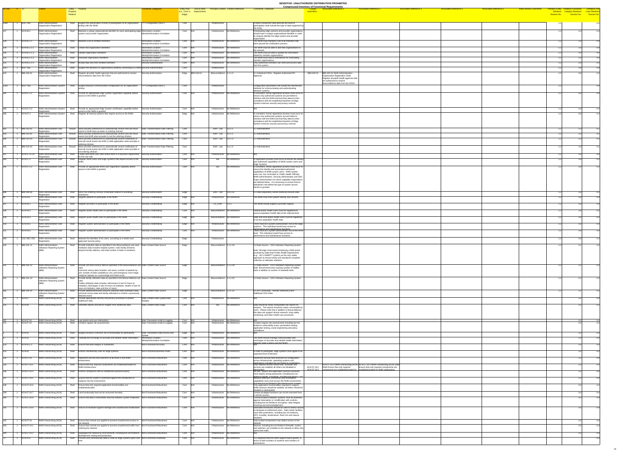| <b>ID-ONC</b>      |                                        |                                                                                                                             | Property<br><b>Relation</b> | Entity - Property                                                                                                                                                                                                                                                                                    | unctional Categories                                                                          | <b>Entity Role</b> Link to other<br>(i.e., Core or requirements<br>Edge) | <b>Principal Context Context Reference</b>                   | <b>Comments / Rationale</b>                                                                                                                                                                                                                                                                                                                                                                                                                                                                 | <b>Compressed Inventory of Functional Requirements</b><br><b>Associated Reference 1</b><br>resembles                                    | <b>Associated Reference 2</b>                                                                                           | <b>Associated Reference 3</b> | <b>Associated Reference 4</b> | <b>Associated Reference 5</b> | <b>Initial Review Comments</b> | <b>Tentative Entity Tentative Functional</b><br>Session No. | <b>Tentiative Use</b><br>Breakout Category Breakout Case Breakout<br><b>Exercise Session No.</b><br>Session No. |
|--------------------|----------------------------------------|-----------------------------------------------------------------------------------------------------------------------------|-----------------------------|------------------------------------------------------------------------------------------------------------------------------------------------------------------------------------------------------------------------------------------------------------------------------------------------------|-----------------------------------------------------------------------------------------------|--------------------------------------------------------------------------|--------------------------------------------------------------|---------------------------------------------------------------------------------------------------------------------------------------------------------------------------------------------------------------------------------------------------------------------------------------------------------------------------------------------------------------------------------------------------------------------------------------------------------------------------------------------|-----------------------------------------------------------------------------------------------------------------------------------------|-------------------------------------------------------------------------------------------------------------------------|-------------------------------|-------------------------------|-------------------------------|--------------------------------|-------------------------------------------------------------|-----------------------------------------------------------------------------------------------------------------|
| 1028               | $\vert$ 1 NGIT-002                     | NHIN Administration-                                                                                                        |                             | Shall Support the specification of level of participation of an organization                                                                                                                                                                                                                         | ???-Configuration (NGIT)                                                                      | Core                                                                     | Infrastructure                                               | A NHIN component shall describe the level of                                                                                                                                                                                                                                                                                                                                                                                                                                                |                                                                                                                                         |                                                                                                                         |                               |                               |                               |                                |                                                             |                                                                                                                 |
| $\frac{1}{127}$    | ACN-05.2                               | <b>Organization Registration</b><br><b>NHIN Administration</b>                                                              | Shall                       | (entity) with the NHIN<br>Maintain a unique organizational identifier for each participating edge Information Location-                                                                                                                                                                              |                                                                                               | Core N/A                                                                 | Infrastructure   No Reference                                | participation shall include the type of data supported by<br>the entity.<br>Participating edge systems and provider organizations                                                                                                                                                                                                                                                                                                                                                           |                                                                                                                                         |                                                                                                                         |                               |                               |                               |                                |                                                             |                                                                                                                 |
|                    |                                        | <b>Organization Registration</b>                                                                                            |                             | system and provider organization.                                                                                                                                                                                                                                                                    | Identity/Information Correlation                                                              |                                                                          |                                                              | should have a unique organizational identifier in order<br>to uniquely identify the edge system and provider<br>organization.                                                                                                                                                                                                                                                                                                                                                               |                                                                                                                                         |                                                                                                                         |                               |                               |                               |                                |                                                             |                                                                                                                 |
|                    | ACN-05.2.1                             | <b>NHIN Administration-</b><br><b>Organization Registration</b>                                                             |                             | Shall Maintain a list of certified members.                                                                                                                                                                                                                                                          | Information Location-<br>Identity/Information Correlation                                     | Core N/A                                                                 | Infrastructure No Reference                                  | The NHIN must maintain a list of all members that<br>have passed the certification process.                                                                                                                                                                                                                                                                                                                                                                                                 |                                                                                                                                         |                                                                                                                         |                               |                               |                               |                                |                                                             |                                                                                                                 |
|                    | ACN-05.2.1.1<br>ACN-05.2.1.2           | NHIN Administration-<br><b>Organization Registration</b><br>NHIN Administration-                                            |                             | Shall Create new organization identifiers.<br>Shall Update organization identifiers.                                                                                                                                                                                                                 | Information Location-<br>Identity/Information Correlation<br>Information Location-            | Core N/A<br>Core N/A                                                     | Infrastructure   No Reference<br>Infrastructure No Reference | The NHIN must be able to add new organizations to<br>the network.<br>The NHIN must be able to update the information                                                                                                                                                                                                                                                                                                                                                                        |                                                                                                                                         |                                                                                                                         |                               |                               |                               |                                |                                                             |                                                                                                                 |
|                    | ACN-05.2.1.3                           | Organization Registration<br>NHIN Administration-<br><b>Organization Registration</b>                                       |                             | Shall   Inactivate organization identifiers.                                                                                                                                                                                                                                                         | Identity/Information Correlation<br>Information Location-<br>Identity/Information Correlation | Core N/A                                                                 | Infrastructure No Reference                                  | related to member organizations.<br>The NHIN must have a mechanism for inactivating<br>member organizations.                                                                                                                                                                                                                                                                                                                                                                                |                                                                                                                                         |                                                                                                                         |                               |                               |                               |                                |                                                             |                                                                                                                 |
| 1027               | ACN-05.1.2.1<br>NGIT-001               | <b>NHIN Administration-</b><br><b>Organization Registration</b>                                                             |                             | Shall Accept data only from certified members.<br>Shall Support the definition of organizations (entities) connecting to a NHIN Security-Authentication                                                                                                                                              | Security-Authentication                                                                       | Core N/A                                                                 | Infrastructure No Reference<br>Infrastructure                | Only authorized members can send and access data<br>from the system.                                                                                                                                                                                                                                                                                                                                                                                                                        |                                                                                                                                         |                                                                                                                         |                               |                               |                               |                                |                                                             |                                                                                                                 |
| 513                | <b>IBM-102-01</b>                      | NHIN Administration-<br><b>Organization Registration</b><br><b>JHIN Administration-</b><br><b>Organization Registration</b> |                             | Shall Register all public health agencies that are authorized to receive<br>biosurveillance data from the CDOs                                                                                                                                                                                       | Security-Authorization                                                                        | Core<br>Edge  IBM-104-01                                                 | Biosurveillance 1.1.1.0                                      | 2.1 Individual CDOs - Register Authorized PH                                                                                                                                                                                                                                                                                                                                                                                                                                                | IBM-103-01<br><b>IBM-103-01 NHIN Administration-</b><br>Organization Registration Shall<br>Register all public health agencies that $ $ |                                                                                                                         |                               |                               |                               |                                |                                                             |                                                                                                                 |
|                    | NGIT-003                               | NHIN Administration-System                                                                                                  | Shall                       | Support physical communication configuration for an organization                                                                                                                                                                                                                                     | $ ?$ ??-Configuration (NGIT)                                                                  | Core                                                                     | Infrastructure                                               | Configuration parameters will include the harmonized                                                                                                                                                                                                                                                                                                                                                                                                                                        | are authorized to receive<br>biosurveillance data from the CDOs                                                                         |                                                                                                                         |                               |                               |                               |                                |                                                             |                                                                                                                 |
|                    | ACN-07.3.2                             | Registration<br>NHIN Administration-System<br>Registration                                                                  | Shall                       | $\vert$ Provide an appropriate Edge System registration capability before $\vert$ Security-Authorization<br>access to the NHIN is granted.                                                                                                                                                           |                                                                                               | $Core$ $N/A$                                                             | Infrastructure No Reference                                  | methods for communicating and authenticating<br>between systems.<br>A consistent, formal registration process must occur to<br>ensure only authorized systems are permitted to<br>interface with the NHIN and that they attest to their<br>compliance with the established baseline of Edge<br>System minimum security and privacy controls.                                                                                                                                                |                                                                                                                                         |                                                                                                                         |                               |                               |                               |                                |                                                             |                                                                                                                 |
| 283                | ACN-07.3.3                             | NHIN Administration-System<br>Registration                                                                                  | Shall                       | Provide an appropriate Edge System certification capability before<br>access to the NHIN is granted.                                                                                                                                                                                                 | Security-Authorization                                                                        | Core N/A                                                                 | Infrastructure No Reference                                  |                                                                                                                                                                                                                                                                                                                                                                                                                                                                                             |                                                                                                                                         |                                                                                                                         |                               |                               |                               |                                |                                                             |                                                                                                                 |
|                    | ACN-07.4                               | NHIN Administration-System<br>Registration                                                                                  |                             | Shall Register all internal systems that require access to the NHIN.                                                                                                                                                                                                                                 | Security-Authorization                                                                        | Edge N/A                                                                 | Infrastructure   No Reference                                | A consistent, formal registration process must occur to<br>ensure only authorized systems are permitted to<br>interface with the NHIN and that they attest to their<br>compliance with the established baseline of Edge<br>System minimum security and privacy controls.                                                                                                                                                                                                                    |                                                                                                                                         |                                                                                                                         |                               |                               |                               |                                |                                                             |                                                                                                                 |
| 932                | <b>IBM-313-01</b><br><b>IBM-313-02</b> | NHIN Administration-User<br>Registration<br>NHIN Administration-User                                                        |                             | Should Store provider preferences to automatically receive new lab result   Data Transformation-Data Filtering<br>events in EHR when provider is ordering clinician<br>Should Store provider preferences to automatically receive new lab result                                                     | Data Transformation-Data Filtering                                                            | Core<br>Core                                                             | EHR - Lab $\vert 3.x.1.1 \vert$<br>EHR-Lab $3.x.1.2$         | 3.1 Administrative<br>1.1 Administrative                                                                                                                                                                                                                                                                                                                                                                                                                                                    |                                                                                                                                         |                                                                                                                         |                               |                               |                               |                                |                                                             |                                                                                                                 |
|                    | <b>IBM-313-03</b>                      | Registration<br>NHIN Administration-User                                                                                    |                             | events into EHR when provider is not the ordering clinician<br>Should Store provider preferences to automatically receive notification of                                                                                                                                                            | Data Transformation-Data Filtering                                                            | Core                                                                     | EHR-Lab $\vert 3.x.1.3 \vert$                                | 3.1 Administrative                                                                                                                                                                                                                                                                                                                                                                                                                                                                          |                                                                                                                                         |                                                                                                                         |                               |                               |                               |                                |                                                             |                                                                                                                 |
|                    | <b>IBM-313-04</b>                      | Registration<br>NHIN Administration-User<br>Registration                                                                    |                             | new lab result events into EHR or Web application when provider is<br>ordering clinician<br>Should Store provider preferences to automatically receive notification of<br>new lab result events into EHR or Web application when provider is                                                         | Data Transformation-Data Filtering                                                            | Core                                                                     | EHR-Lab $3.x.1.4$                                            | 3.1 Administrative                                                                                                                                                                                                                                                                                                                                                                                                                                                                          |                                                                                                                                         |                                                                                                                         |                               |                               |                               |                                |                                                             |                                                                                                                 |
| 167                | ACN-07.11.10                           | NHIN Administration-User                                                                                                    | Shall                       | not ordering clinician<br>Create new NHIN user roles where there is a business requirement Security-Authorization                                                                                                                                                                                    |                                                                                               | $Core$ $N/A$                                                             | Infrastructure No Reference                                  |                                                                                                                                                                                                                                                                                                                                                                                                                                                                                             |                                                                                                                                         |                                                                                                                         |                               |                               |                               |                                |                                                             |                                                                                                                 |
|                    | ACN-07.3                               | NHIN Administration-User<br>Registration                                                                                    |                             | for the new role.<br>Shall Register NHIN users and Edge Systems that require access to the Security-Authorization                                                                                                                                                                                    |                                                                                               | $Core$ $N/A$                                                             | No Reference<br>Bio                                          | A registration process must occur to ensure the identity<br>and authorized capabilities of NHIN system users and                                                                                                                                                                                                                                                                                                                                                                            |                                                                                                                                         |                                                                                                                         |                               |                               |                               |                                |                                                             |                                                                                                                 |
|                    | ACN-07.3.1                             | NHIN Administration-User<br>Registration                                                                                    | Shall                       | Provide an appropriate NHIN user registration capability before<br>access to the NHIN is granted.                                                                                                                                                                                                    | Security-Authorization                                                                        | Core N/A                                                                 | No Reference<br>Bio                                          | Edge Systems.<br>A consistent, formal registration process must occur to<br>ensure the identity and associated authorized<br>capabilities of NHIN system users. NHIN system<br>users are, but not limited to, Public Health Officials,<br>NHIN Administrators, Security Administrator and ONC<br>Super Administrators for which capability expectations<br>are defined below. It is necessary to ensure that an<br>individual's role define the type of system access<br>he/she is granted. |                                                                                                                                         |                                                                                                                         |                               |                               |                               |                                |                                                             |                                                                                                                 |
|                    | <b>IBM-309-06</b>                      | NHIN Administration-User<br>Registration                                                                                    | Shall                       | Store non-ordering clinician credentials relative to sensitivity<br>  restrictions                                                                                                                                                                                                                   | Security-Authorization                                                                        | Edge                                                                     | EHR-Lab $\vert 3.4.3.3x \vert$                               | 3 Data Repository Sends Historical Results Data                                                                                                                                                                                                                                                                                                                                                                                                                                             |                                                                                                                                         |                                                                                                                         |                               |                               |                               |                                |                                                             |                                                                                                                 |
|                    | ACN-04.1                               | <b>NHIN Administration-User</b><br>Registration                                                                             | Shall                       | Register patients to participate in the NHIN.                                                                                                                                                                                                                                                        | Security-Credentialing                                                                        | Edge N/A                                                                 | Infrastructure No Reference                                  | The NHIN must track patient identity and consent.                                                                                                                                                                                                                                                                                                                                                                                                                                           |                                                                                                                                         |                                                                                                                         |                               |                               |                               |                                |                                                             |                                                                                                                 |
|                    | ACN-04.2                               | NHIN Administration-User<br>Registration                                                                                    |                             | Shall Register providers to participate in the NHIN.                                                                                                                                                                                                                                                 | Security-Credentialing                                                                        | Edge N/A                                                                 | CE, EHR 3.1.2                                                | The NHIN should support a provider registry.                                                                                                                                                                                                                                                                                                                                                                                                                                                |                                                                                                                                         |                                                                                                                         |                               |                               |                               |                                |                                                             |                                                                                                                 |
|                    | ACN-04.3                               | NHIN Administration-User<br>Registration                                                                                    | Shall                       | Register public health users to participate in the NHIN.                                                                                                                                                                                                                                             | Security-Credentialing                                                                        | Core N/A                                                                 | Biosurveillance No Reference                                 | Federal public health users must be registered to<br>access population health data at the national level.                                                                                                                                                                                                                                                                                                                                                                                   |                                                                                                                                         |                                                                                                                         |                               |                               |                               |                                |                                                             |                                                                                                                 |
|                    | ACN-04.4                               | <b>NHIN Administration-User</b><br>Registration                                                                             |                             | Shall $\vert$ Register public health users to participate in the NHIN.                                                                                                                                                                                                                               | Security-Credentialing                                                                        | Edge N/A                                                                 | Biosurveillance No Reference                                 | State and local public health users must be registered<br>to access population health data.                                                                                                                                                                                                                                                                                                                                                                                                 |                                                                                                                                         |                                                                                                                         |                               |                               |                               |                                |                                                             |                                                                                                                 |
|                    | $ACN-04.5$<br>ACN-04.6                 | NHIN Administration-User<br>Registration                                                                                    |                             | Shall Register system administrators to participate in the NHIN.<br>Shall Register system administrators to participate in the NHIN.                                                                                                                                                                 | Security-Credentialing                                                                        | Edge N/A<br>$Core$ $N/A$                                                 | Infrastructure No Reference<br>Infrastructure No Reference   | There must be a system administrator role at the edge  <br>svstems. This individual would have access to<br>nerformance and maintenance functions<br>There must be a system administrator role at the NHIN                                                                                                                                                                                                                                                                                  |                                                                                                                                         |                                                                                                                         |                               |                               |                               |                                |                                                             |                                                                                                                 |
|                    |                                        | <b>NHIN Administration-User</b><br>Registration                                                                             |                             |                                                                                                                                                                                                                                                                                                      | Security-Credentialing                                                                        |                                                                          |                                                              | level. This individual would have access to<br>performance and maintenance functions.                                                                                                                                                                                                                                                                                                                                                                                                       |                                                                                                                                         |                                                                                                                         |                               |                               |                               |                                |                                                             |                                                                                                                 |
| 493                | CSC-SEC-250<br><b>IBM-101-11</b>       | NHIN Administration-User<br>Registration<br>NHIN Administration-                                                            | Shall                       | Shall Maintain the identities of its Users, according to a written and<br>approved security policy.<br>Provide institution data as specified in the Biosurveillance use case. Data Content-Data Source                                                                                               | Security-Credentialing                                                                        | Edge<br>Edge                                                             | Infrastructure<br>Biosurveillance 1.1.1.0X                   |                                                                                                                                                                                                                                                                                                                                                                                                                                                                                             |                                                                                                                                         |                                                                                                                         |                               |                               |                               |                                |                                                             |                                                                                                                 |
|                    |                                        | Utilization Reporting System                                                                                                |                             | Institution data includes hospital system, main facility ID/name,<br>physical facility address, and total number of beds in institution.                                                                                                                                                             |                                                                                               |                                                                          |                                                              | 1.3 Data Source - CDO Utilization Reporting System<br>Note: Strongly recommend employing a Web portal<br>provided by state-level Public Health Departments<br>$\vert$ (e.g., NC's SMARTT system) as the only viable<br>approach to ensure timely and standards compliant<br>collection of utilization statistics.                                                                                                                                                                           |                                                                                                                                         |                                                                                                                         |                               |                               |                               |                                |                                                             |                                                                                                                 |
|                    | <b>IBM-101-12</b>                      | NHIN Administration-<br>Utilization Reporting System<br>(IBM)                                                               |                             | Shall Provide unit-level census data as specified in the Biosurveillance use Data Content-Data Source<br>Unit-level census data includes: unit name, number of patients by<br>unit, number of beds available by unit, and emergency room triage<br>marginal capacity as a percentage and head-count. |                                                                                               | Edge                                                                     | Biosurveillance 1.1.1.0X                                     | 1.3 Data Source - CDO Utilization Reporting System<br>Note: Recommend also tracking number of staffed<br>beds in addition to number of available beds.                                                                                                                                                                                                                                                                                                                                      |                                                                                                                                         |                                                                                                                         |                               |                               |                               |                                |                                                             |                                                                                                                 |
|                    | <b>IBM-101-13</b>                      | NHIN Administration<br>Utilization Reporting System<br>(IBM)                                                                |                             | Shall Provide facility utilization data as specified in the Biosurveillance use Data Content-Data Source<br>Facility utilization data includes: admissions in last 24 hours at<br>institution, discharges in last 24 hours at institution, deaths in last 24                                         |                                                                                               | Edge                                                                     | Biosurveillance 1.1.1.0X                                     | 1.3 Data Source - CDO Utilization Reporting System                                                                                                                                                                                                                                                                                                                                                                                                                                          |                                                                                                                                         |                                                                                                                         |                               |                               |                               |                                |                                                             |                                                                                                                 |
|                    | <b>IBM-106-10</b>                      | NHIN Administration<br><b>Utilization Reporting System</b>                                                                  | Shall                       | hours at institution, date and time of report.<br>Provide additional/revised resource utilization data (institution data.<br>unit level census data and facility utilization) to monitor a previously                                                                                                | Data Content-Data Source                                                                      | Edge                                                                     | $\overline{\text{Bios}}$ urveillance   1.z.2.10              | 6.5 PH Community - Monitor Detected Event -<br>Additional CDO Data                                                                                                                                                                                                                                                                                                                                                                                                                          |                                                                                                                                         |                                                                                                                         |                               |                               |                               |                                |                                                             |                                                                                                                 |
|                    | $ACN-07$                               | (IBM)<br>NHIN Overarching (ACN)                                                                                             | Shall                       | detected event<br>Provide appropriate security and privacy processes to protect<br>healthcare data.                                                                                                                                                                                                  | Data Content-Data Quality/Data<br>Integrity                                                   | Core N/A                                                                 | Infrastructure No Reference                                  |                                                                                                                                                                                                                                                                                                                                                                                                                                                                                             |                                                                                                                                         |                                                                                                                         |                               |                               |                               |                                |                                                             |                                                                                                                 |
|                    | $ACN-06$                               | NHIN Overarching (ACN)                                                                                                      | Shall                       | Generate reports and derive insights from healthcare data                                                                                                                                                                                                                                            | Data Content-Data Usage                                                                       | $Core$ $N/A$                                                             | No Reference<br>Bio                                          | Data should be easily manipulated into reports for<br>analysis. The reports should be easily consumable by<br>users. Please note that in addition to biosurveillance<br>this data can support clinical research, drug safety<br>monitoring, and other health care processes.                                                                                                                                                                                                                |                                                                                                                                         |                                                                                                                         |                               |                               |                               |                                |                                                             |                                                                                                                 |
|                    | ACN-07.16<br>ACN-07.24                 | NHIN Overarching (ACN)<br>NHIN Overarching (ACN)                                                                            |                             | Shall Log system and user interactions.<br>Shall Conduct regular risk assessments.                                                                                                                                                                                                                   | Data Transaction-Audit & Logging<br>Data Transaction-Audit & Logging                          | Core N/A<br>Core N/A                                                     | Infrastructure No Reference<br>Infrastructure No Reference   | Conduct regular risk assessments including but not<br>limited to vulnerability scans, penetration testing,<br>application testing, social engineering and policy                                                                                                                                                                                                                                                                                                                            |                                                                                                                                         |                                                                                                                         |                               |                               |                               |                                |                                                             |                                                                                                                 |
|                    | <b>ACN-01</b>                          | NHIN Overarching (ACN)                                                                                                      | Shall                       | Support at least a minimum set of functionality for participants.                                                                                                                                                                                                                                    | Data Transaction-Data Access and                                                              | Edge N/A                                                                 | Infrastructure   No Reference                                | compliance.                                                                                                                                                                                                                                                                                                                                                                                                                                                                                 |                                                                                                                                         |                                                                                                                         |                               |                               |                               |                                |                                                             |                                                                                                                 |
| $\overline{124}$ 1 | <b>ACN-02</b><br>ACN-05.1.2            | NHIN Overarching (ACN)<br>NHIN Overarching (ACN)                                                                            | Shall                       | Facilitate the exchange of accurate and reliable health information.<br>Shall Ensure that data integrity is maintained.                                                                                                                                                                              | Information Location-<br>Identity/Information Correlation<br>Non-Functional-Accuracy          | Core N/A<br>$Core$ $N/A$                                                 | Infrastructure No Reference<br>Infrastructure No Reference   | The NHIN should manage communication and<br>exchanges of accurate and reliable health information<br>hetween edge systems and the NHIN                                                                                                                                                                                                                                                                                                                                                      |                                                                                                                                         |                                                                                                                         |                               |                               |                               |                                |                                                             |                                                                                                                 |
|                    | $ACN-05$                               | NHIN Overarching (ACN)                                                                                                      | Shall                       | Enforce membership rules for edge systems.                                                                                                                                                                                                                                                           | Non-Functional-Business Rules                                                                 | Core N/A                                                                 | Infrastructure No Reference                                  | In order to participate, edge systems must agree to an $ $                                                                                                                                                                                                                                                                                                                                                                                                                                  |                                                                                                                                         |                                                                                                                         |                               |                               |                               |                                |                                                             |                                                                                                                 |
| 232                | ACN-07.18                              | NHIN Overarching (ACN)                                                                                                      |                             | Shall   Implement security best practices at all levels in the NHIN                                                                                                                                                                                                                                  | Non-Functional-Robustness                                                                     | Core N/A                                                                 | Infrastructure No Reference                                  | expected level of behavior.<br>Implement security best practices for configuration                                                                                                                                                                                                                                                                                                                                                                                                          |                                                                                                                                         |                                                                                                                         |                               |                               |                               |                                |                                                             |                                                                                                                 |
| 233                | ACN-07.18.1                            | NHIN Overarching (ACN)                                                                                                      | Shall                       | lenvironment.<br>Ensure that only required components are enabled/activated for<br>NHIN infrastructure.                                                                                                                                                                                              | <b>Non-Functional-Robustness</b>                                                              | $Core$ $ N/A$                                                            | Infrastructure No Reference                                  | across infrastructure, operating systems and<br>annlications including but not limited to contingency<br>Only required access control lists, accounts and<br>services are enabled; all others are disabled or                                                                                                                                                                                                                                                                               | ACN-07.18.2 Shall Ensure that only required                                                                                             | ACN-07.18.2 NHIN Overarching (ACN) ACN-07.18.3 NHIN Overarching (ACN) Shall<br>Ensure that only required components are |                               |                               |                               |                                |                                                             |                                                                                                                 |
| 236                | ACN-07.18.4                            | NHIN Overarching (ACN)                                                                                                      | Shall                       | Enforce compliance with an established password policy.                                                                                                                                                                                                                                              | Non-Functional-Robustness                                                                     | Core N/A                                                                 | Infrastructure No Reference                                  | hatevitheah<br>All user, system and application (service) accounts<br>must require strong passwords, including but not                                                                                                                                                                                                                                                                                                                                                                      | $\Delta$ CN-07 18 3 $\sim$ components are enabled/activated for enabled/activated for NHIN applications                                 |                                                                                                                         |                               |                               |                               |                                |                                                             |                                                                                                                 |
|                    | ACN-07.18.5                            | NHIN Overarching (ACN)                                                                                                      | Shall                       | Ensure that the system is protected against the introduction of<br>malware into the environment.                                                                                                                                                                                                     | Non-Functional-Robustness                                                                     | Core N/A                                                                 | Infrastructure No Reference                                  | limited to length complexity and lifecycle (bistory age<br>Malware detection, prevention and remediation<br>capabilities must exist across the NHIN environment                                                                                                                                                                                                                                                                                                                             |                                                                                                                                         |                                                                                                                         |                               |                               |                               |                                |                                                             |                                                                                                                 |
|                    | ACN-07.18.6                            | NHIN Overarching (ACN)<br>NHIN Overarching (ACN)                                                                            | Shall                       | Ensure that only required application functionalities are<br>enabled/activated.<br>Shall   Limit functionality that can be accessed remotely.                                                                                                                                                        | Non-Functional-Robustness<br>Non-Functional-Robustness                                        | Core N/A<br>Core N/A                                                     | Infrastructure No Reference<br>Infrastructure   No Reference | $\mid$ including but not limited to the infrastructure system<br>Only application functionalities required to support<br>NHIN services should be enabled; all others should be<br>disabled or deactivated.<br>Certain privileged functions can not be executed from                                                                                                                                                                                                                         |                                                                                                                                         |                                                                                                                         |                               |                               |                               |                                |                                                             |                                                                                                                 |
| 239                | ACN-07.18.7<br>ACN-07.18.8             | NHIN Overarching (ACN)                                                                                                      |                             | Shall   Ensure that data is transmitted securely between system endpoints. Non-Functional-Robustness                                                                                                                                                                                                 |                                                                                               | Core N/A                                                                 | Infrastructure No Reference                                  | a remote session.<br>Communications between systems must be protected                                                                                                                                                                                                                                                                                                                                                                                                                       |                                                                                                                                         |                                                                                                                         |                               |                               |                               |                                |                                                             |                                                                                                                 |
| 241                | ACN-07.18.9                            | NHIN Overarching (ACN)                                                                                                      |                             | Shall Secure all hardware against damage and unauthorized modification. Non-Functional-Robustness                                                                                                                                                                                                    |                                                                                               | Core N/A                                                                 | Infrastructure   No Reference                                | against interception or modification with controls.<br>including but not limited to encryption, data integrity<br>checking and acknowledgement.<br>Dedicated enclosures should be used to restrict access<br>to hardware to authorized users. Data center facilities<br>must offer protections, including but not limited to,                                                                                                                                                               |                                                                                                                                         |                                                                                                                         |                               |                               |                               |                                |                                                             |                                                                                                                 |
| 242                | ACN-07.19                              | NHIN Overarching (ACN)                                                                                                      | Shall                       | $\Box$ Ensure that controls are applied to prevent unauthorized access to $\Box$ Non-Functional-Robustness                                                                                                                                                                                           |                                                                                               | $Core$ $N/A$                                                             | Infrastructure No Reference                                  | UPS, humidity, temperature, flood, fire and natural<br>Only trusted components may obtain access to the                                                                                                                                                                                                                                                                                                                                                                                     |                                                                                                                                         |                                                                                                                         |                               |                               |                               |                                |                                                             |                                                                                                                 |
| 243                | ACN-07.19.1                            | NHIN Overarching (ACN)                                                                                                      |                             | the network.<br>Shall   Ensure that controls are applied to prevent unauthorized traffic from   Non-Functional-Robustness<br>entering the network.                                                                                                                                                   |                                                                                               | Core N/A                                                                 | Infrastructure   No Reference                                | network.<br>Devices, including but not limited to firewalls, routers,<br>and switches, are installed on the network to allow only                                                                                                                                                                                                                                                                                                                                                           |                                                                                                                                         |                                                                                                                         |                               |                               |                               |                                |                                                             |                                                                                                                 |
| 244                | ACN-07.19.2                            | NHIN Overarching (ACN)                                                                                                      |                             | Segregate the network by environments, including but not limited to Non-Functional-Robustness                                                                                                                                                                                                        |                                                                                               | Core N/A                                                                 | Infrastructure No Reference                                  | authorized traffic.                                                                                                                                                                                                                                                                                                                                                                                                                                                                         |                                                                                                                                         |                                                                                                                         |                               |                               |                               |                                |                                                             |                                                                                                                 |
|                    | ACN-02.6                               | NHIN Overarching (ACN)                                                                                                      |                             | development, testing and production.<br>Shall Process and communicate data to scale as edge systems grow over Non-Functional-Scalability                                                                                                                                                             |                                                                                               | Core N/A                                                                 | Infrastructure No Reference                                  | It is important that the NHIN support future growth, in<br>terms of both numbers of systems and numbers of<br>transactions.                                                                                                                                                                                                                                                                                                                                                                 |                                                                                                                                         |                                                                                                                         |                               |                               |                               |                                |                                                             |                                                                                                                 |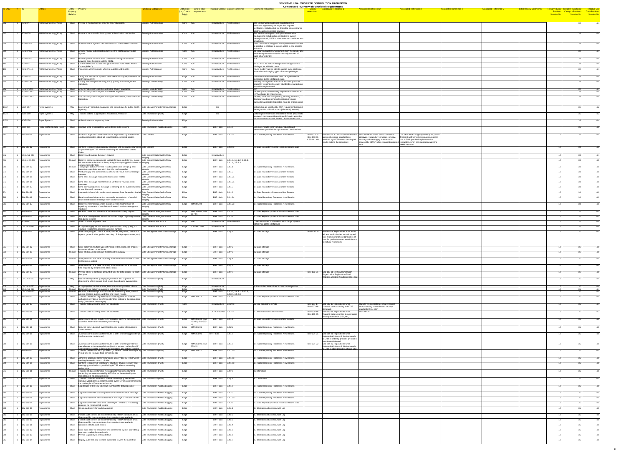| tity Role Link to other                         | <b>Principal Context Context Reference</b> | <b>Comments / Rationale</b>                                                                                                                                  | <u>Compressed Inventory of Functional Requirements</u><br><b>Closely</b><br>resembles | Associated Reference 1                                                                | <b>Associated Reference 2</b>                                                                                        | <b>Associated Reference 3</b>                                                                                               | <b>Associated Reference 4</b> | <b>Associated Reference 5</b> | <b>Initial Review Comments</b> |             | <b>Tentative Entity Tentative Functional</b><br>Breakout Category Breakout | <b>Tentiative Use</b>                    |
|-------------------------------------------------|--------------------------------------------|--------------------------------------------------------------------------------------------------------------------------------------------------------------|---------------------------------------------------------------------------------------|---------------------------------------------------------------------------------------|----------------------------------------------------------------------------------------------------------------------|-----------------------------------------------------------------------------------------------------------------------------|-------------------------------|-------------------------------|--------------------------------|-------------|----------------------------------------------------------------------------|------------------------------------------|
| , Core or crequirements<br>Edge)                |                                            |                                                                                                                                                              |                                                                                       |                                                                                       |                                                                                                                      |                                                                                                                             |                               |                               |                                | Session No. | Session No.                                                                | <b>Case Breakou</b><br><b>Session No</b> |
|                                                 | Infrastructure No Reference                |                                                                                                                                                              |                                                                                       |                                                                                       |                                                                                                                      |                                                                                                                             |                               |                               |                                |             |                                                                            |                                          |
| $Core$ $ N/A $                                  |                                            | The NHIN must provide non-repudiation (e.g.<br>electronic signatures) for output that requires<br>verification, including but not limited to biosurveillance |                                                                                       |                                                                                       |                                                                                                                      |                                                                                                                             |                               |                               |                                |             | 3.6                                                                        | 4.4                                      |
| Core N/A                                        | Infrastructure   No Reference              | alerting, and prescription issuance.<br>The NHIN must support multiple authentication                                                                        |                                                                                       |                                                                                       |                                                                                                                      |                                                                                                                             |                               |                               |                                |             |                                                                            | 4.4                                      |
|                                                 |                                            | mechanisms including but not limited to system<br>name/password, X509 or other standard certificate and                                                      |                                                                                       |                                                                                       |                                                                                                                      |                                                                                                                             |                               |                               |                                |             |                                                                            |                                          |
| Core N/A                                        | Infrastructure   No Reference              | smart card.<br>Each user should be given a unique identifier so that it                                                                                      |                                                                                       |                                                                                       |                                                                                                                      |                                                                                                                             |                               |                               |                                |             |                                                                            | 4.4                                      |
|                                                 |                                            | is possible to attribute a system action to one specific<br>individual.                                                                                      |                                                                                       |                                                                                       |                                                                                                                      |                                                                                                                             |                               |                               |                                |             |                                                                            |                                          |
| Core N/A                                        | Infrastructure   No Reference              | To ensure a Trusted Environment, both the sender and<br>receiver organization must be mutually assured of<br>each other's identity.                          |                                                                                       |                                                                                       |                                                                                                                      |                                                                                                                             |                               |                               |                                |             |                                                                            | 4.4                                      |
| Core N/A                                        | Infrastructure   No Reference              |                                                                                                                                                              |                                                                                       |                                                                                       |                                                                                                                      |                                                                                                                             |                               |                               |                                |             |                                                                            | 4.4                                      |
| Core N/A                                        | Infrastructure   No Reference              | RBAC must be used to assign and manage access<br>privileges for all NHIN users.                                                                              |                                                                                       |                                                                                       |                                                                                                                      |                                                                                                                             |                               |                               |                                |             |                                                                            | 4.4                                      |
| Core N/A                                        | Infrastructure   No Reference              | RBAC model must be able to support large scale user<br>expansion and varying types of access privileges.                                                     |                                                                                       |                                                                                       |                                                                                                                      |                                                                                                                             |                               |                               |                                |             |                                                                            | 4.4                                      |
| Edge $ N/A $                                    | Infrastructure   No Reference              | Self-certification statement must be signed before                                                                                                           |                                                                                       |                                                                                       |                                                                                                                      |                                                                                                                             |                               |                               |                                |             | 36                                                                         | 4.4                                      |
| $Core$ $N/A$                                    | Infrastructure   No Reference              | connection to the NHIN is allowed.<br>Security management standards and best practices<br>  issued by recognized security standards organizations            |                                                                                       |                                                                                       |                                                                                                                      |                                                                                                                             |                               |                               |                                |             |                                                                            | 4.4                                      |
| Core N/A                                        | Infrastructure No Reference                | should be implemented.                                                                                                                                       |                                                                                       |                                                                                       |                                                                                                                      |                                                                                                                             |                               |                               |                                |             | 3.6                                                                        | 4.4                                      |
| Core N/A                                        | Infrastructure No Reference                | Federal privacy and security requirements outlined in<br>HIPAA should be implemented.                                                                        |                                                                                       |                                                                                       |                                                                                                                      |                                                                                                                             |                               |                               |                                |             |                                                                            | 4.4                                      |
| Core N/A                                        | Infrastructure No Reference                | Federal, state and local privacy, security, retention,<br>disclosure and any other relevant requirements                                                     |                                                                                       |                                                                                       |                                                                                                                      |                                                                                                                             |                               |                               |                                |             |                                                                            | 4.4                                      |
|                                                 |                                            | outlined in applicable legislation must be implemented.                                                                                                      |                                                                                       |                                                                                       |                                                                                                                      |                                                                                                                             |                               |                               |                                |             |                                                                            |                                          |
| Edge                                            | Bio                                        | Collect data as specified by PHA requirements (limited<br>demographics, clinical, orders (labs/rads), results)                                               |                                                                                       |                                                                                       |                                                                                                                      |                                                                                                                             |                               |                               |                                |             |                                                                            | 4.2                                      |
| Edge                                            | Bio                                        | Data on patient-clinician encounters will be provided to<br>a network communicating with public health agencies                                              |                                                                                       |                                                                                       |                                                                                                                      |                                                                                                                             |                               |                               |                                |             |                                                                            | 4.2                                      |
| Edge                                            |                                            | nor anroomant hatwaan antitios Anroomants shall                                                                                                              |                                                                                       |                                                                                       |                                                                                                                      |                                                                                                                             |                               |                               |                                |             |                                                                            | 4.4                                      |
| Core                                            | 3.2.4.6<br>EHR - Lab                       | Log must include history of data requests and                                                                                                                |                                                                                       |                                                                                       |                                                                                                                      |                                                                                                                             |                               |                               |                                |             |                                                                            | 4.1                                      |
|                                                 |                                            | transactions provided through external user interface.                                                                                                       |                                                                                       |                                                                                       |                                                                                                                      |                                                                                                                             |                               |                               |                                |             |                                                                            |                                          |
| Edge                                            | EHR - Lab<br>3.4.2.2x                      | 1.4 Data Repository Processes New Results                                                                                                                    | IBM-303-05<br>IBM-303-06                                                              | approved content standards as                                                         | IBM-303-05 CDO-LIS Shall Adhere to  IBM-303-06 CDO-LIS Shall Conform to<br>approved, vocabulary, structure, privacy, | CSC-ALL-60 All Edge Systems (CSC) Shall<br>Transmit well formed messages according                                          |                               |                               |                                | 1.5         |                                                                            | 4.1                                      |
|                                                 |                                            |                                                                                                                                                              | CSC-ALL-60                                                                            | provided by HITSP when sending lab<br>results data to the repository.                 | security and messaging standards as                                                                                  | to a HITSP specified implementation<br>provided by HITSP when transmitting patient instruction, when communicating with the |                               |                               |                                |             |                                                                            |                                          |
| Edge                                            | EHR - Lab<br>3.4.3.4x                      | 2.3 Data Repository Sends Historical Results Data                                                                                                            |                                                                                       |                                                                                       |                                                                                                                      | NHIN Interface.                                                                                                             |                               |                               |                                | 1.5         |                                                                            | 4.1                                      |
|                                                 |                                            |                                                                                                                                                              |                                                                                       |                                                                                       |                                                                                                                      |                                                                                                                             |                               |                               |                                |             |                                                                            |                                          |
| Edge                                            | Infrastructure<br>EHR - Lab                | 3.4.1.0, 3.4.1.2, 3.4.1.3,                                                                                                                                   |                                                                                       |                                                                                       |                                                                                                                      |                                                                                                                             |                               |                               |                                |             |                                                                            | 4.4<br>4.1                               |
| Edge                                            | 3.4.1.4, 3.5.1.3                           |                                                                                                                                                              |                                                                                       |                                                                                       |                                                                                                                      |                                                                                                                             |                               |                               |                                |             |                                                                            |                                          |
| Edge                                            | EHR - Lab<br>3.4.1.1                       | 1.4. Data Repository Processes New Results                                                                                                                   |                                                                                       |                                                                                       |                                                                                                                      |                                                                                                                             |                               |                               |                                | 1.5         | <b>R</b> 2                                                                 | 4.1                                      |
| Edge                                            | 3.4.1.2<br>EHR - Lab                       | 1.4 Data Repository Processes New Results                                                                                                                    |                                                                                       |                                                                                       |                                                                                                                      |                                                                                                                             |                               |                               |                                | 1.5         |                                                                            | 4.1                                      |
| Edge                                            | EHR - Lab $ 3.4.1.2x$                      | 1.4 Data Repository Processes New Results                                                                                                                    |                                                                                       |                                                                                       |                                                                                                                      |                                                                                                                             |                               |                               |                                |             |                                                                            | 4.1                                      |
| Edge                                            | 3.4.1.2x<br>EHR - Lab                      | 1.4 Data Repository Processes New Results                                                                                                                    |                                                                                       |                                                                                       |                                                                                                                      |                                                                                                                             |                               |                               |                                | 15          |                                                                            | 4.1                                      |
| Edge<br>Edge                                    | EHR-Lab $ 3.4.1.3$<br>EHR - Lab<br>3.4.1.6 | 1.4 Data Repository Processes New Results<br>1.4 Data Repository Processes New Results                                                                       |                                                                                       |                                                                                       |                                                                                                                      |                                                                                                                             |                               |                               |                                |             |                                                                            | 4.1<br>4.1                               |
| Edge                                            | EHR-Lab $ 3.4.1.2x$                        | 1.4 Data Repository Processes New Results                                                                                                                    |                                                                                       |                                                                                       |                                                                                                                      |                                                                                                                             |                               |                               |                                |             |                                                                            | 4.1                                      |
|                                                 |                                            |                                                                                                                                                              |                                                                                       |                                                                                       |                                                                                                                      |                                                                                                                             |                               |                               |                                |             |                                                                            |                                          |
| Edge  IBM-305-04                                | EHR-Lab<br>3.4.1.2x                        | 1.4 Data Repository Processes New Results                                                                                                                    |                                                                                       |                                                                                       |                                                                                                                      |                                                                                                                             |                               |                               |                                |             |                                                                            | 4.1                                      |
| $\textsf{Edge}$  IBM-308-01; IBM-<br>$307 - 01$ | EHR - Lab<br>3.4.3.1                       | 2.3 Data Repository Sends Historical Results Data                                                                                                            |                                                                                       |                                                                                       |                                                                                                                      |                                                                                                                             |                               |                               |                                |             |                                                                            | 4.1                                      |
| Edge                                            | EHR - Lab<br>3.4.3.1                       | 2.3 Data Repository Sends Historical Results Data                                                                                                            |                                                                                       |                                                                                       |                                                                                                                      |                                                                                                                             |                               |                               |                                | 1.5         |                                                                            | 4.1                                      |
| Edge  N/A                                       | Infrastructure   No Reference              | Core clinical data should be stored in edge systems<br>rather than at the NHIN level.                                                                        |                                                                                       |                                                                                       |                                                                                                                      |                                                                                                                             |                               |                               |                                |             |                                                                            | 4.4                                      |
| $\textsf{Edge} \quad  \textsf{CSC-ALL-930} $    | Infrastructure                             |                                                                                                                                                              |                                                                                       |                                                                                       |                                                                                                                      |                                                                                                                             |                               |                               |                                | 15          |                                                                            | 4.4                                      |
| Edge                                            | EHR-Lab $ 3.4 y.1$                         | 3.2 Data Storage                                                                                                                                             | IBM-304-09                                                                            | IBM-304-09 Repositories Shall Store<br>lab test results in data repository and        |                                                                                                                      |                                                                                                                             |                               |                               |                                |             |                                                                            | 4.1                                      |
|                                                 |                                            |                                                                                                                                                              |                                                                                       | note restrictions for use (providers of<br>care list, patient consent restrictions or |                                                                                                                      |                                                                                                                             |                               |                               |                                |             |                                                                            |                                          |
|                                                 |                                            |                                                                                                                                                              |                                                                                       | sensitivity restrictions)                                                             |                                                                                                                      |                                                                                                                             |                               |                               |                                |             |                                                                            |                                          |
| Edge                                            | EHR - Lab<br>3.4 y.2                       | 3.2 Data Storage                                                                                                                                             |                                                                                       |                                                                                       |                                                                                                                      |                                                                                                                             |                               |                               |                                | 1.5         |                                                                            | 4.1                                      |
| Edge                                            | EHR - Lab<br>3.4 y.3                       | 3.2 Data Storage                                                                                                                                             |                                                                                       |                                                                                       |                                                                                                                      |                                                                                                                             |                               |                               |                                |             |                                                                            | 4.1                                      |
| Edge                                            | EHR - Lab<br>3.4 y.4                       | 3.2 Data Storage                                                                                                                                             |                                                                                       |                                                                                       |                                                                                                                      |                                                                                                                             |                               |                               |                                |             |                                                                            | 4.1                                      |
| Edge                                            | EHR - Lab<br>3.4.y.5                       | 3.2 Data Storage                                                                                                                                             |                                                                                       |                                                                                       |                                                                                                                      |                                                                                                                             |                               |                               |                                |             |                                                                            | 4.1                                      |
| Edge                                            | EHR - Lab<br>3.4.y.7                       | 3.2 Data Storage                                                                                                                                             | IBM-103-01                                                                            | IBM-103-01 NHIN Administration-                                                       |                                                                                                                      |                                                                                                                             |                               |                               |                                |             |                                                                            | 4.1                                      |
| Edge                                            | Infrastructure                             |                                                                                                                                                              |                                                                                       | Organization Registration Shall<br>Register all public health agencies that           |                                                                                                                      |                                                                                                                             |                               |                               |                                |             |                                                                            | 4.4                                      |
|                                                 |                                            |                                                                                                                                                              |                                                                                       |                                                                                       |                                                                                                                      |                                                                                                                             |                               |                               |                                |             |                                                                            |                                          |
| Edge<br>Edge                                    | Infrastructure<br>Infrastructure           | Holder of data determines access control policies                                                                                                            |                                                                                       |                                                                                       |                                                                                                                      |                                                                                                                             |                               |                               |                                |             | 3.2                                                                        | 4.4<br>4.4                               |
| Edge                                            | EHR - Lab<br>3.4.3.4, 3.5.2.3              | 3.4.3.0, 3.4.3.1, 3.4.3.3,                                                                                                                                   |                                                                                       |                                                                                       |                                                                                                                      |                                                                                                                             |                               |                               |                                |             |                                                                            | 4.1                                      |
| Edge  IBM-304-18                                | EHR-Lab<br>3.4.3.4                         | 2.3 Data Repository Sends Historical Results Data                                                                                                            |                                                                                       |                                                                                       |                                                                                                                      |                                                                                                                             |                               |                               |                                |             |                                                                            | 4.1                                      |
| Core                                            | Infrastructure $ 2.2.2.4x $                | 3.2 Pre-populating a PHR                                                                                                                                     | IBM-207-17<br>IBM-207-16                                                              | <b>IBM-207-17 Repositories Shall</b><br>Transmit data according to HITSP              | <b>IBM-207-16 Repositories Shall Transmit</b><br>data according to web-based security                                |                                                                                                                             |                               |                               |                                |             |                                                                            | 4.4                                      |
| Edge                                            | $CE - Consumer$ 2.3.2.2x                   | 6.1 Provider access to PHR data                                                                                                                              | IBM-205-16                                                                            | standards<br>IBM-205-16 Repositories Shall                                            | standards (SSL, etc.)<br><b>IBM-209-35</b>                                                                           |                                                                                                                             |                               |                               |                                |             |                                                                            | 4.3                                      |
|                                                 |                                            |                                                                                                                                                              | IBM-209-35                                                                            | Transmit data according to web-based<br>security standards (SSL, etc.)                |                                                                                                                      |                                                                                                                             |                               |                               |                                |             |                                                                            |                                          |
| Edge  IBM-303-04; IBM-<br>303-07; IBM-303-      | EHR-Lab<br>3.4.1.1                         | 1.4 Data Repository Processes New Results                                                                                                                    |                                                                                       |                                                                                       |                                                                                                                      |                                                                                                                             |                               |                               |                                |             |                                                                            | 4.1                                      |
| $\textsf{Edge}$  IBM-305-01                     | EHR - Lab<br>3.4.2.2                       | 1.4 Data Repository Processes New Results                                                                                                                    |                                                                                       |                                                                                       |                                                                                                                      |                                                                                                                             |                               |                               |                                |             | 32                                                                         | 4.1                                      |
| Edge $ IBM-311-01 $                             | 3.4.1.5<br>$EHR - Lab$                     | 1.4 Data Repository Processes New Results                                                                                                                    | IBM-304-21                                                                            | IBM-304-21 Repositories Shall                                                         |                                                                                                                      |                                                                                                                             |                               |                               |                                | 1.5         | 3.2                                                                        | 4.1                                      |
|                                                 |                                            |                                                                                                                                                              |                                                                                       | Automatically transmit lab test results<br>to EHR of ordering provider (in local or   |                                                                                                                      |                                                                                                                             |                               |                               |                                |             |                                                                            |                                          |
| Edge   IBM-311-01; IBM-                         | EHR - Lab<br>3.4.1.5                       | 1.4 Data Repository Processes New Results                                                                                                                    | IBM-304-22                                                                            | remote marketplace)<br>IBM-304-22 Repositories Shall                                  |                                                                                                                      |                                                                                                                             |                               |                               |                                |             |                                                                            | 4.1                                      |
| $309-10$<br>Edge  IBM-309-10                    | EHR - Lab<br>3.4.1.5x1                     | 1.4 Data Repository Processes New Results                                                                                                                    |                                                                                       | Automatically transmit lab test results<br>to FHR of other providers of care who      |                                                                                                                      |                                                                                                                             |                               |                               |                                | 1.5         | 32                                                                         | 4.1                                      |
|                                                 |                                            |                                                                                                                                                              |                                                                                       |                                                                                       |                                                                                                                      |                                                                                                                             |                               |                               |                                |             |                                                                            |                                          |
| Edge                                            | EHR - Lab<br>3.4.1.5x                      | 1.4 Data Repository Processes New Results                                                                                                                    |                                                                                       |                                                                                       |                                                                                                                      |                                                                                                                             |                               |                               |                                | $-1.5$      |                                                                            | 4.1                                      |
| Edge                                            | 3.4.1.5x<br>EHR - Lab                      | 1.4 Data Repository Processes New Results                                                                                                                    |                                                                                       |                                                                                       |                                                                                                                      |                                                                                                                             |                               |                               |                                |             |                                                                            | 4.1                                      |
| Edge                                            | EHR - Lab<br>3.4 y.8                       | 3.3 Standards                                                                                                                                                |                                                                                       |                                                                                       |                                                                                                                      |                                                                                                                             |                               |                               |                                |             | 32                                                                         | 4.1                                      |
|                                                 | 3.4 y.9<br>EHR - Lab                       | 3.3. Standards                                                                                                                                               |                                                                                       |                                                                                       |                                                                                                                      |                                                                                                                             |                               |                               |                                | 1.5         | 32                                                                         | 4.1                                      |
| Edge                                            |                                            |                                                                                                                                                              |                                                                                       |                                                                                       |                                                                                                                      |                                                                                                                             |                               |                               |                                |             |                                                                            |                                          |
| Edge                                            | 3.4.1.6<br>EHR - Lab                       | 1.4 Data Repository Processes New Results                                                                                                                    |                                                                                       |                                                                                       |                                                                                                                      |                                                                                                                             |                               |                               |                                |             |                                                                            | 4.1                                      |
| Edge                                            | EHR - Lab<br>3.4.2.3                       | 1.4 Data Repository Processes New Results                                                                                                                    |                                                                                       |                                                                                       |                                                                                                                      |                                                                                                                             |                               |                               |                                |             |                                                                            | 4.1                                      |
| Edge                                            | EHR - Lab<br>3.4.1.5x1                     | 1.4 Data Repository Processes New Results                                                                                                                    |                                                                                       |                                                                                       |                                                                                                                      |                                                                                                                             |                               |                               |                                |             |                                                                            | 4.1                                      |
| Edge                                            | EHR - Lab<br>3.4.3.5                       | 2.3 Data Repository Sends Historical Results Data                                                                                                            |                                                                                       |                                                                                       |                                                                                                                      |                                                                                                                             |                               |                               |                                |             |                                                                            | 4.1                                      |
| Edge                                            | EHR-Lab $ 3.4.x.1$                         | 3.7 Maintain and Access Audit Log                                                                                                                            |                                                                                       |                                                                                       |                                                                                                                      |                                                                                                                             |                               |                               |                                |             | 3.2                                                                        | 4.1                                      |
| Edge                                            | EHR - Lab<br>3.4.x.2                       | 3.7 Maintain and Access Audit Log                                                                                                                            |                                                                                       |                                                                                       |                                                                                                                      |                                                                                                                             |                               |                               |                                | - 1.5       |                                                                            | 4.1                                      |
| Edge                                            | EHR-Lab $ 3.4.x.3$                         | 3.7 Maintain and Access Audit Log                                                                                                                            |                                                                                       |                                                                                       |                                                                                                                      |                                                                                                                             |                               |                               |                                |             |                                                                            | 4.1                                      |
| Edge                                            | EHR-Lab $ 3.4.x.4$                         | 3.7 Maintain and Access Audit Log                                                                                                                            |                                                                                       |                                                                                       |                                                                                                                      |                                                                                                                             |                               |                               |                                | 1.5         |                                                                            | 4.1                                      |
| Edge                                            | EHR - Lab $ 3.4.x.5 $                      | 3.7 Maintain and Access Audit Log                                                                                                                            |                                                                                       |                                                                                       |                                                                                                                      |                                                                                                                             |                               |                               |                                |             |                                                                            | 4.1                                      |
| Edge                                            | EHR-Lab $ 3.4.x.6$                         | 3.7 Maintain and Access Audit Log                                                                                                                            |                                                                                       |                                                                                       |                                                                                                                      |                                                                                                                             |                               |                               |                                | 1.5         |                                                                            | 4.1                                      |
| Edge                                            | EHR-Lab $ 3.4.x.7 $                        | 3.7 Maintain and Access Audit Log                                                                                                                            |                                                                                       |                                                                                       |                                                                                                                      |                                                                                                                             |                               |                               |                                |             |                                                                            | 4.1                                      |

| Reference 2                                                                       | <b>Associated Reference 3</b>                                                                                             | <b>Associated Reference 4</b> | <b>Associated Reference 5</b> | <b>Initial Review Comments</b> |            |                                                                                                |                                                |
|-----------------------------------------------------------------------------------|---------------------------------------------------------------------------------------------------------------------------|-------------------------------|-------------------------------|--------------------------------|------------|------------------------------------------------------------------------------------------------|------------------------------------------------|
|                                                                                   |                                                                                                                           |                               |                               |                                |            | Tentative Entity Tentative Functional<br>Breakout Category Breakout<br>Session No. Session No. | Tentiative Use<br>Case Breakout<br>Session No. |
|                                                                                   |                                                                                                                           |                               |                               |                                |            |                                                                                                |                                                |
|                                                                                   |                                                                                                                           |                               |                               |                                |            | 3.6                                                                                            | 4.4                                            |
|                                                                                   |                                                                                                                           |                               |                               |                                |            |                                                                                                |                                                |
|                                                                                   |                                                                                                                           |                               |                               |                                |            | 3.6                                                                                            | 4.4                                            |
|                                                                                   |                                                                                                                           |                               |                               |                                |            |                                                                                                |                                                |
|                                                                                   |                                                                                                                           |                               |                               |                                |            | 3.6                                                                                            | 4.4                                            |
|                                                                                   |                                                                                                                           |                               |                               |                                |            | 3.6                                                                                            | 4.4                                            |
|                                                                                   |                                                                                                                           |                               |                               |                                |            | 3.6                                                                                            | 4.4                                            |
|                                                                                   |                                                                                                                           |                               |                               |                                |            | 3.6                                                                                            | 4.4                                            |
|                                                                                   |                                                                                                                           |                               |                               |                                |            | 3.6                                                                                            | 4.4                                            |
|                                                                                   |                                                                                                                           |                               |                               |                                |            | 3.6                                                                                            | 4.4                                            |
|                                                                                   |                                                                                                                           |                               |                               |                                |            | 3.6                                                                                            | 4.4                                            |
|                                                                                   |                                                                                                                           |                               |                               |                                |            |                                                                                                |                                                |
|                                                                                   |                                                                                                                           |                               |                               |                                |            | 3.6<br>3.6                                                                                     | 4.4<br>4.4                                     |
|                                                                                   |                                                                                                                           |                               |                               |                                |            | 3.6                                                                                            | 4.4                                            |
|                                                                                   |                                                                                                                           |                               |                               |                                |            |                                                                                                |                                                |
|                                                                                   |                                                                                                                           |                               |                               |                                |            | 3.3                                                                                            | 4.2                                            |
|                                                                                   |                                                                                                                           |                               |                               |                                |            | 3.2                                                                                            | 4.2                                            |
|                                                                                   |                                                                                                                           |                               |                               |                                |            | 3.6                                                                                            | 4.4                                            |
|                                                                                   |                                                                                                                           |                               |                               |                                |            |                                                                                                |                                                |
|                                                                                   |                                                                                                                           |                               |                               |                                |            | 3.2                                                                                            | 4.1                                            |
| 6 CDO-LIS Shall Conform to<br>vocabulary, structure, privacy,                     | CSC-ALL-60 All Edge Systems (CSC) Shall<br>Transmit well formed messages according<br>to a HITSP specified implementation |                               |                               |                                | 1.5        | 3.1                                                                                            | 4.1                                            |
| d messaging standards as                                                          | y HITSP when transmitting patient instruction, when communicating with the                                                |                               |                               |                                |            |                                                                                                |                                                |
|                                                                                   | NHIN Interface.                                                                                                           |                               |                               |                                | 1.5        | 3.1                                                                                            | 4.1                                            |
|                                                                                   |                                                                                                                           |                               |                               |                                |            |                                                                                                |                                                |
|                                                                                   |                                                                                                                           |                               |                               |                                | 1.5<br>1.5 | 3.1<br>3.1                                                                                     | 4.4<br>4.1                                     |
|                                                                                   |                                                                                                                           |                               |                               |                                |            |                                                                                                |                                                |
|                                                                                   |                                                                                                                           |                               |                               |                                | 1.5        | 3.1                                                                                            | 4.1                                            |
|                                                                                   |                                                                                                                           |                               |                               |                                | 1.5<br>1.5 | 3.1<br>3.1                                                                                     | 4.1<br>4.1                                     |
|                                                                                   |                                                                                                                           |                               |                               |                                | 1.5        | 3.1                                                                                            | 4.1                                            |
|                                                                                   |                                                                                                                           |                               |                               |                                | 1.5        | 3.1                                                                                            | 4.1                                            |
|                                                                                   |                                                                                                                           |                               |                               |                                | 1.5        | 3.1                                                                                            | 4.1                                            |
|                                                                                   |                                                                                                                           |                               |                               |                                | 1.5        | 3.1                                                                                            | 4.1                                            |
|                                                                                   |                                                                                                                           |                               |                               |                                | 1.5        | 3.1                                                                                            | 4.1                                            |
|                                                                                   |                                                                                                                           |                               |                               |                                |            |                                                                                                |                                                |
|                                                                                   |                                                                                                                           |                               |                               |                                | 1.5        | 3.1                                                                                            | 4.1                                            |
|                                                                                   |                                                                                                                           |                               |                               |                                | 1.5<br>1.5 | 3.1<br>3.1                                                                                     | 4.1<br>4.4                                     |
|                                                                                   |                                                                                                                           |                               |                               |                                | 1.5        | 3.1                                                                                            | 4.4                                            |
|                                                                                   |                                                                                                                           |                               |                               |                                | 1.5        | 3.3                                                                                            | 4.1                                            |
|                                                                                   |                                                                                                                           |                               |                               |                                |            |                                                                                                |                                                |
|                                                                                   |                                                                                                                           |                               |                               |                                |            |                                                                                                |                                                |
|                                                                                   |                                                                                                                           |                               |                               |                                | 1.5        | 3.3                                                                                            | 4.1                                            |
|                                                                                   |                                                                                                                           |                               |                               |                                | 1.5        | 3.3                                                                                            | 4.1                                            |
|                                                                                   |                                                                                                                           |                               |                               |                                | 1.5        | 3.3                                                                                            | 4.1                                            |
|                                                                                   |                                                                                                                           |                               |                               |                                | 1.5        | 3.3                                                                                            | 4.1                                            |
|                                                                                   |                                                                                                                           |                               |                               |                                |            |                                                                                                |                                                |
|                                                                                   |                                                                                                                           |                               |                               |                                | 1.5        | 3.3                                                                                            | 4.1                                            |
|                                                                                   |                                                                                                                           |                               |                               |                                | 1.5        | 3.2                                                                                            | 4.4                                            |
|                                                                                   |                                                                                                                           |                               |                               |                                | 1.5        | 3.2                                                                                            | 4.4                                            |
|                                                                                   |                                                                                                                           |                               |                               |                                | 1.5<br>1.5 | 3.2<br>3.2                                                                                     | 4.4<br>4.1                                     |
|                                                                                   |                                                                                                                           |                               |                               |                                | 1.5        | 3.2                                                                                            | 4.1                                            |
|                                                                                   |                                                                                                                           |                               |                               |                                |            |                                                                                                |                                                |
| <b>6 Repositories Shall Transmit</b><br>ding to web-based security<br>(SSL, etc.) |                                                                                                                           |                               |                               |                                | 1.5        | 3.2                                                                                            | 4.4                                            |
|                                                                                   |                                                                                                                           |                               |                               |                                | 1.5        | 3.2                                                                                            | 4.3                                            |
|                                                                                   |                                                                                                                           |                               |                               |                                | 1.5        | 3.2                                                                                            | 4.1                                            |
|                                                                                   |                                                                                                                           |                               |                               |                                |            |                                                                                                |                                                |
|                                                                                   |                                                                                                                           |                               |                               |                                | 1.5        | 3.2                                                                                            | 4.1                                            |
|                                                                                   |                                                                                                                           |                               |                               |                                | 1.5        | 3.2                                                                                            | 4.1                                            |
|                                                                                   |                                                                                                                           |                               |                               |                                |            |                                                                                                |                                                |
|                                                                                   |                                                                                                                           |                               |                               |                                | 1.5        | 3.2                                                                                            | 4.1                                            |
|                                                                                   |                                                                                                                           |                               |                               |                                | 1.5        | 3.2                                                                                            | 4.1                                            |
|                                                                                   |                                                                                                                           |                               |                               |                                | 1.5        | 3.2                                                                                            | 4.1                                            |
|                                                                                   |                                                                                                                           |                               |                               |                                | 1.5        | 3.2                                                                                            | 4.1                                            |
|                                                                                   |                                                                                                                           |                               |                               |                                | 1.5        | 3.2                                                                                            | 4.1                                            |
|                                                                                   |                                                                                                                           |                               |                               |                                |            |                                                                                                |                                                |
|                                                                                   |                                                                                                                           |                               |                               |                                | 1.5        | 3.2                                                                                            | 4.1                                            |
|                                                                                   |                                                                                                                           |                               |                               |                                | 1.5        | 3.2                                                                                            | 4.1                                            |
|                                                                                   |                                                                                                                           |                               |                               |                                | 1.5        | 3.2                                                                                            | 4.1                                            |
|                                                                                   |                                                                                                                           |                               |                               |                                | 1.5        | 3.2                                                                                            | 4.1                                            |
|                                                                                   |                                                                                                                           |                               |                               |                                | 1.5        | 3.2                                                                                            | 4.1                                            |
|                                                                                   |                                                                                                                           |                               |                               |                                | 1.5        | 3.2                                                                                            | 4.1                                            |
|                                                                                   |                                                                                                                           |                               |                               |                                | 1.5        | 3.2                                                                                            | 4.1                                            |
|                                                                                   |                                                                                                                           |                               |                               |                                | 1.5        | 3.2                                                                                            | 4.1                                            |
|                                                                                   |                                                                                                                           |                               |                               |                                | 1.5        | 3.2                                                                                            | 4.1                                            |
|                                                                                   |                                                                                                                           |                               |                               |                                | 1.5        | 3.2                                                                                            | 4.1                                            |
|                                                                                   |                                                                                                                           |                               |                               |                                | 1.5        | 3.2                                                                                            | 4.1                                            |
|                                                                                   |                                                                                                                           |                               |                               |                                | 1.5        | 3.2                                                                                            | 4.1                                            |

| ID-ONC # ID |                                         |                              | Entity - Property                                                                                                                                                                                                        | <b>Functional Categories</b>                                         |                                         | <b>Entity Role</b> Link to other Principal Context Context Reference                  | <b>Compressed Inventory of Functional Requirements</b><br><b>Comments / Rationale</b>                                                               |                          | <b>Associated Reference 2</b><br><b>Associated Reference 5</b><br><b>Initial Review Comments</b><br><b>Associated Reference 3</b><br><b>Associated Reference 4</b><br><b>Associated Reference</b>                                                                                                                                                                            | <b>Tentative Entity Tentative Functional Tentiative Use</b>                 |
|-------------|-----------------------------------------|------------------------------|--------------------------------------------------------------------------------------------------------------------------------------------------------------------------------------------------------------------------|----------------------------------------------------------------------|-----------------------------------------|---------------------------------------------------------------------------------------|-----------------------------------------------------------------------------------------------------------------------------------------------------|--------------------------|------------------------------------------------------------------------------------------------------------------------------------------------------------------------------------------------------------------------------------------------------------------------------------------------------------------------------------------------------------------------------|-----------------------------------------------------------------------------|
|             |                                         |                              | Property<br><b>Relation</b>                                                                                                                                                                                              |                                                                      | (i.e., Core or<br>requirements<br>Edge) |                                                                                       |                                                                                                                                                     |                          | <b>Session No.</b>                                                                                                                                                                                                                                                                                                                                                           | Breakout Category Breakout Case Breakou<br><b>Session No</b><br>Session No. |
|             |                                         |                              |                                                                                                                                                                                                                          |                                                                      |                                         |                                                                                       |                                                                                                                                                     |                          |                                                                                                                                                                                                                                                                                                                                                                              |                                                                             |
|             | $\vert$ 1 $\vert$ ACN-07.7              | NHIN Overarching (ACN)       | Shall   Provide a mechanism for ensuring non-repudiation.                                                                                                                                                                | Security-Authentication                                              | Core   N/A                              | Infrastructure   No Reference                                                         | The NHIN must provide non-repudiation (e.g.<br>electronic signatures) for output that requires                                                      |                          |                                                                                                                                                                                                                                                                                                                                                                              | $-4.4$                                                                      |
|             | ACN-07.8                                | NHIN Overarching (ACN)       | Shall<br>Provide a secure and robust system authentication mechanism.                                                                                                                                                    | Security-Authentication                                              | Core N/A                                | Infrastructure No Reference                                                           | verification, including but not limited to biosurveillance<br>alerting, and prescription issuance.<br>The NHIN must support multiple authentication |                          |                                                                                                                                                                                                                                                                                                                                                                              |                                                                             |
|             |                                         |                              |                                                                                                                                                                                                                          |                                                                      |                                         |                                                                                       | mechanisms including but not limited to system<br>name/password, X509 or other standard certificate and                                             |                          |                                                                                                                                                                                                                                                                                                                                                                              |                                                                             |
|             | ACN-07.8.1                              | NHIN Overarching (ACN)       | Shall Authenticate all systems before connection to the NHIN is allowed.                                                                                                                                                 | Security-Authentication                                              | $Core$ $N/A$                            | Infrastructure No Reference                                                           | smart card.<br>Each user should be given a unique identifier so that it                                                                             |                          |                                                                                                                                                                                                                                                                                                                                                                              | 4.4                                                                         |
|             |                                         |                              |                                                                                                                                                                                                                          |                                                                      |                                         |                                                                                       | is possible to attribute a system action to one specific<br>individual                                                                              |                          |                                                                                                                                                                                                                                                                                                                                                                              |                                                                             |
|             | ACN-07.8.2                              | NHIN Overarching (ACN)       | Enforce mutual authentication between the NHIN and any Edge<br>Shall                                                                                                                                                     | Security-Authentication                                              | $Core$ $N/A$                            | Infrastructure No Reference                                                           | o ensure a Trusted Environment, both the sender and<br>receiver organization must be mutually assured of                                            |                          |                                                                                                                                                                                                                                                                                                                                                                              |                                                                             |
|             | ACN-07.8.3                              | NHIN Overarching (ACN)       | Protect system authentication credentials during transmission<br>Shall<br>between Edge Systems and the NHIN.                                                                                                             | Security-Authentication                                              | Core N/A                                | Infrastructure No Reference                                                           | each other's identity.                                                                                                                              |                          |                                                                                                                                                                                                                                                                                                                                                                              |                                                                             |
|             | ACN-07.11                               | NHIN Overarching (ACN)       | Control NHIN user access through structured Role Based Access<br>Control (RBAC).                                                                                                                                         | Security-Authorization                                               | Core N/A                                | Infrastructure   No Reference                                                         | RBAC must be used to assign and manage access<br>privileges for all NHIN users.                                                                     |                          |                                                                                                                                                                                                                                                                                                                                                                              |                                                                             |
|             | ACN-07.11.1                             | NHIN Overarching (ACN)       | Implement a RBAC model which is scalable and flexible.<br>Shall                                                                                                                                                          | Security-Authorization                                               | Core N/A                                | Infrastructure No Reference                                                           | RBAC model must be able to support large scale user<br>expansion and varying types of access privileges.                                            |                          |                                                                                                                                                                                                                                                                                                                                                                              |                                                                             |
|             | ACN-07.5                                | NHIN Overarching (ACN)       | Shall Certify that all internal systems meet NHIN security requirements for Security-Authorization                                                                                                                       |                                                                      | Edge N/A                                | Infrastructure   No Reference                                                         | Self-certification statement must be signed before                                                                                                  |                          |                                                                                                                                                                                                                                                                                                                                                                              |                                                                             |
|             | ACN-07.20                               | NHIN Overarching (ACN)       | NHIN connectivity<br>Comply with accepted security policy, privacy and management                                                                                                                                        | Security-Confidentiality                                             | Core N/A                                | Infrastructure No Reference                                                           | connection to the NHIN is allowed.<br>Security management standards and best practices                                                              |                          |                                                                                                                                                                                                                                                                                                                                                                              |                                                                             |
|             | ACN-07.20.1                             | NHIN Overarching (ACN)       | standards<br>Ensure that system complies with data privacy standards.<br>Shall                                                                                                                                           | Security-Confidentiality                                             | $Core$ $N/A$                            | Infrastructure No Reference                                                           | issued by recognized security standards organizations<br>should be implemented.                                                                     |                          |                                                                                                                                                                                                                                                                                                                                                                              |                                                                             |
|             | ACN-07.20.2                             | NHIN Overarching (ACN)       | Shall   Ensure that system complies with HIPAA legislation.                                                                                                                                                              | Security-Confidentiality                                             | Core N/A                                | Infrastructure   No Reference                                                         | Federal privacy and security requirements outlined in<br>HIPAA should be implemented.                                                               |                          |                                                                                                                                                                                                                                                                                                                                                                              |                                                                             |
|             | ACN-07.20.3                             | NHIN Overarching (ACN)       | Ensure that system complies with applicable federal, state and local $\vert$ Security-Confidentiality<br>Shall                                                                                                           |                                                                      | $Core$ $N/A$                            | Infrastructure No Reference                                                           | Federal, state and local privacy, security, retention<br>disclosure and any other relevant requirements                                             |                          |                                                                                                                                                                                                                                                                                                                                                                              |                                                                             |
|             |                                         |                              |                                                                                                                                                                                                                          |                                                                      |                                         |                                                                                       | outlined in applicable legislation must be implemented.                                                                                             |                          |                                                                                                                                                                                                                                                                                                                                                                              |                                                                             |
|             | $NGIT-157$                              | <b>Payer Systems</b>         | May Electronically collect demographic and clinical data for public health Data Storage-Persistent Data Storage                                                                                                          |                                                                      | Edge                                    | Bio.                                                                                  | Collect data as specified by PHA requirements (limited<br>demographics, clinical, orders (labs/rads), results)                                      |                          |                                                                                                                                                                                                                                                                                                                                                                              |                                                                             |
|             | $\overline{\overline{\text{NGIT-159}}}$ | <b>Payer Systems</b>         | Transmit data to support public health biosurveillance<br>Mav                                                                                                                                                            | Data Transaction-(Push)                                              | Edge                                    | BIO                                                                                   | Data on patient-clinician encounters will be provided to<br>a network communicating with public health agencies                                     |                          |                                                                                                                                                                                                                                                                                                                                                                              | -4.2                                                                        |
|             | $\overline{\overline{\text{NGIT-150}}}$ | <b>Payer Systems</b>         | Shall Authenticate user requesting data                                                                                                                                                                                  | Security-Authentication                                              | Edge                                    |                                                                                       | nor anroomant hatwaan antitiae Anroomante shall                                                                                                     |                          |                                                                                                                                                                                                                                                                                                                                                                              |                                                                             |
|             | NGIT-131                                | Portal NHIN Interface (NGIT) | Shall Maintain a log of interactions with external data systems                                                                                                                                                          | Data Transaction-Audit & Logging                                     | Core                                    | EHR-Lab $3.2.4.6$                                                                     | Log must include history of data requests and                                                                                                       |                          |                                                                                                                                                                                                                                                                                                                                                                              |                                                                             |
|             |                                         |                              |                                                                                                                                                                                                                          |                                                                      |                                         |                                                                                       | transactions provided through external user interface.                                                                                              |                          |                                                                                                                                                                                                                                                                                                                                                                              |                                                                             |
|             | <b>IBM-304-14</b>                       | Repositories                 | Shall Adhere to approved content standards as provided by HITSP when Data Content<br>sending information about lab result location to record locator                                                                     |                                                                      | Edge                                    | EHR-Lab $3.4.2.2x$                                                                    | 1.4 Data Repository Processes New Results                                                                                                           | IBM-303-05<br>IBM-303-06 | IBM-303-05 CDO-LIS Shall Adhere to  IBM-303-06 CDO-LIS Shall Conform to<br>CSC-ALL-60 All Edge Systems (CSC) Shall<br>Transmit well formed messages according<br>approved content standards as<br>approved, vocabulary, structure, privacy,<br>CSC-ALL-60   provided by HITSP when sending lab<br>to a HITSP specified implementation<br>security and messaging standards as |                                                                             |
|             |                                         |                              |                                                                                                                                                                                                                          |                                                                      |                                         |                                                                                       |                                                                                                                                                     |                          | provided by HITSP when transmitting patient instruction, when communicating with the<br>results data to the repository.<br>NHIN Interface.                                                                                                                                                                                                                                   |                                                                             |
|             | <b>IBM-309-12</b>                       | Repositories                 | Shall Conform to approved vocabulary, structure and messaging standards Data Content<br>as provided by HITSP when transmitting lab result event data to                                                                  |                                                                      | Edge                                    | EHR-Lab $3.4.3.4x$                                                                    | 2.3 Data Repository Sends Historical Results Data                                                                                                   |                          |                                                                                                                                                                                                                                                                                                                                                                              |                                                                             |
|             | CSC-ALL-680                             | Repositories                 | Receive and validate the query request<br>Shall                                                                                                                                                                          | Data Content-Data Quality/Data                                       | Edge                                    | Infrastructure                                                                        |                                                                                                                                                     |                          |                                                                                                                                                                                                                                                                                                                                                                              | 4.4                                                                         |
|             | CSC-EHR-390 Repositories                |                              | Should Receive, acknowledge receipt, validate formats, and store or merge Data Content-Data Quality/Data                                                                                                                 |                                                                      | Edge                                    | EHR - Lab $\boxed{3.4.1.0, 3.4.1.2, 3.4.1.3}$                                         |                                                                                                                                                     |                          |                                                                                                                                                                                                                                                                                                                                                                              |                                                                             |
|             | <b>IBM-304-02</b>                       | Repositories                 | $\vert$ lab test results submitted to them, along with any supplied allowed or Integrity<br>excluded provider lists<br>Should   Take proper action when lab results updates are sent (e.g. error                         | Data Content-Data Quality/Data                                       | Edge                                    | 3.4.1.4, 3.5.1.3<br>EHR-Lab $ 3.4.1.1$                                                | 1.4. Data Repository Processes New Results                                                                                                          |                          |                                                                                                                                                                                                                                                                                                                                                                              |                                                                             |
|             | <b>IBM-304-04</b>                       | Repositories                 | correction, completeness, etc.) from the performing lab<br>Shall Verify integrity and completeness of new lab result events message                                                                                      | Data Content-Data Quality/Data                                       | Edge                                    | EHR-Lab $3.4.1.2$                                                                     | 1.4 Data Repository Processes New Results                                                                                                           |                          |                                                                                                                                                                                                                                                                                                                                                                              |                                                                             |
|             | <b>IBM-304-05</b>                       | Repositories                 | Shall Send error message if lab authenticity is not verified                                                                                                                                                             | Data Content-Data Quality/Data                                       | Edge                                    | EHR-Lab $3.4.1.2x$                                                                    | 1.4 Data Repository Processes New Results                                                                                                           |                          |                                                                                                                                                                                                                                                                                                                                                                              |                                                                             |
|             | IBM-304-06                              | Repositories                 | Shall Send error message if content is not verified for new lab result                                                                                                                                                   | Data Content-Data Quality/Data                                       | Edge                                    | EHR-Lab $3.4.1.2x$                                                                    | 1.4 Data Repository Processes New Results                                                                                                           |                          |                                                                                                                                                                                                                                                                                                                                                                              |                                                                             |
|             | IBM-304-07                              | Repositories                 | Shall Send acknowledgement message to sending lab for successful send Data Content-Data Quality/Data<br>of new lab result message                                                                                        |                                                                      | Edge                                    | EHR - Lab   3.4.1.3                                                                   | 1.4 Data Repository Processes New Results                                                                                                           |                          |                                                                                                                                                                                                                                                                                                                                                                              |                                                                             |
|             | <b>IBM-304-08</b>                       | Repositories                 | Shall $\vert$ Log receipt of new lab results event message from the performing lab Data Content-Data Quality/Data                                                                                                        |                                                                      | Edge                                    | EHR - Lab $ 3.4.1.6$                                                                  | 1.4 Data Repository Processes New Results                                                                                                           |                          |                                                                                                                                                                                                                                                                                                                                                                              |                                                                             |
|             | <b>IBM-304-16</b>                       | Repositories                 | Shall Receive acknowledgement of successful transmission of new lab<br>result event location message from locator service                                                                                                | Data Content-Data Quality/Data                                       | Edge                                    | EHR - Lab $\vert$ 3.4.1.2x                                                            | 1.4 Data Repository Processes New Results                                                                                                           |                          |                                                                                                                                                                                                                                                                                                                                                                              |                                                                             |
|             | IBM-304-17                              | Repositories                 | Shall Receive error messages form locator service if authenticity of<br>repository or content of new lab result event location message not                                                                               | Data Content-Data Quality/Data<br>Integrity                          | Edge  IBM-305-04                        | EHR-Lab $\vert$ 3.4.1.2x                                                              | 1.4 Data Repository Processes New Results                                                                                                           |                          |                                                                                                                                                                                                                                                                                                                                                                              | 4.7                                                                         |
|             | <b>IBM-309-01</b>                       | Repositories                 | Receive, parse and validate the lab results data query request<br>Shall                                                                                                                                                  | Data Content-Data Quality/Data                                       | Edge   IBM-308-01; IBM-                 | EHR-Lab $3.4.3.1$                                                                     | 2.3 Data Repository Sends Historical Results Data                                                                                                   |                          |                                                                                                                                                                                                                                                                                                                                                                              |                                                                             |
|             | <b>IBM-309-02</b>                       | Repositories                 | Shall Send acknowledgement to clinician or data stager regarding received Data Content-Data Quality/Data                                                                                                                 |                                                                      | $307-01$<br>Edge                        | EHR-Lab $3.4.3.1$                                                                     | 2.3 Data Repository Sends Historical Results Data                                                                                                   |                          |                                                                                                                                                                                                                                                                                                                                                                              |                                                                             |
|             | ACN-04.7                                | Repositories                 | data query request<br>Shall Store core clinical patient data.                                                                                                                                                            | Data Content-Data Source                                             | Edge N/A                                | Infrastructure No Reference                                                           | Core clinical data should be stored in edge systems                                                                                                 |                          |                                                                                                                                                                                                                                                                                                                                                                              |                                                                             |
|             | CSC-ALL-945                             | Repositories                 | Shall Accept and apply various filters as part of an incoming query, for<br>example results for a specific Lab order number.                                                                                             | Data Content-Data Source                                             | Edge CSC-ALL-930                        | Infrastructure                                                                        | rather than at the NHIN level.                                                                                                                      |                          |                                                                                                                                                                                                                                                                                                                                                                              | -4.4                                                                        |
|             | <b>IBM-314-01</b>                       | Repositories                 | Shall Store multiple types of clinical data (Lab, Rx, diagnostic, procedure   Data Storage-Persistent Data Storage  <br>reports, genomic data, patient teaching, clinical progress notes, etc)                           |                                                                      | Edge                                    | EHR - Lab $\vert$ 3.4.y.1                                                             | 3.2 Data Storage                                                                                                                                    |                          | IBM-304-09   IBM-304-09 Repositories Shall Store<br>lab test results in data repository and                                                                                                                                                                                                                                                                                  | 4.1                                                                         |
|             |                                         |                              |                                                                                                                                                                                                                          |                                                                      |                                         |                                                                                       |                                                                                                                                                     |                          | note restrictions for use (providers of<br>care list, patient consent restrictions or                                                                                                                                                                                                                                                                                        |                                                                             |
|             |                                         |                              |                                                                                                                                                                                                                          |                                                                      |                                         |                                                                                       |                                                                                                                                                     |                          | sensitivity restrictions)                                                                                                                                                                                                                                                                                                                                                    |                                                                             |
|             | IBM-314-02                              | Repositories<br>Repositories | Shall Store data from multiple types of media (video, audio, still images,<br>unstructured text, coded data)                                                                                                             | Data Storage-Persistent Data Storage   Edge                          |                                         | EHR-Lab $3.4.y.2$                                                                     | 3.2 Data Storage<br>3.2 Data Storage                                                                                                                |                          |                                                                                                                                                                                                                                                                                                                                                                              |                                                                             |
|             | <b>IBM-314-03</b>                       |                              | Should Store all data using standard format and vocabulary                                                                                                                                                               | Data Storage-Persistent Data Storage   Edge                          |                                         | EHR - Lab $\vert$ 3.4.y.3                                                             |                                                                                                                                                     |                          |                                                                                                                                                                                                                                                                                                                                                                              |                                                                             |
|             | <b>IBM-314-04</b>                       | Repositories                 | Should Store, maintain and have capability to retrieve minimum set of data Data Storage-Persistent Data Storage Edge<br>for lifetime of patient                                                                          |                                                                      |                                         | $EHR - Lab$ 3.4.y.4                                                                   | 3.2 Data Storage                                                                                                                                    |                          |                                                                                                                                                                                                                                                                                                                                                                              |                                                                             |
|             | <b>IBM-314-05</b>                       | Repositories                 | Shall Store, maintain and have capability to retrieve data for amount of<br>time required by law (Federal, state, local)                                                                                                 | Data Storage-Persistent Data Storage                                 | Edge                                    | EHR - Lab $\vert$ 3.4.y.5                                                             | 3.2 Data Storage                                                                                                                                    |                          |                                                                                                                                                                                                                                                                                                                                                                              |                                                                             |
|             | <b>IBM-314-07</b>                       | Repositories                 | Should   Provide ability to configure amount of time for data storage for each   Data Storage-Persistent Data Storage                                                                                                    |                                                                      | Edge                                    | EHR-Lab $\vert$ 3.4.y.7                                                               | 3.2 Data Storage                                                                                                                                    |                          | IBM-103-01   IBM-103-01 NHIN Administration-                                                                                                                                                                                                                                                                                                                                 | २ २।                                                                        |
|             | CSC-ALL-600 Repositories                |                              | data type<br>Use the identity of the querying organization and originator in<br>May                                                                                                                                      | Data Transaction-(Pull)                                              | Edge                                    | Infrastructure                                                                        |                                                                                                                                                     |                          | Organization Registration Shall<br>Register all nublic health agencies that                                                                                                                                                                                                                                                                                                  | -4.4                                                                        |
|             |                                         |                              | determining which records it will return, based on its own policies.                                                                                                                                                     |                                                                      |                                         |                                                                                       |                                                                                                                                                     |                          |                                                                                                                                                                                                                                                                                                                                                                              |                                                                             |
|             | CSC-ALL-650<br>CSC-ALL-660              | Repositories<br>Repositories | May<br>Accept queries for clinical data, from authorized providers of care<br>Should   Return clinical data in response to authorized queries.                                                                           | Data Transaction-(Pull)<br>Data Transaction-(Pull)                   | Edge<br>Edge                            | Infrastructure<br>Infrastructure                                                      | Holder of data determines access control policies                                                                                                   |                          |                                                                                                                                                                                                                                                                                                                                                                              |                                                                             |
|             | CSC-EHR-470<br><b>IBM-309-10</b>        | Repositories<br>Repositories | Should Receive, acknowledge, and validate the format of queries, control<br>access, process queries, and filter and return results.<br>Shall Transmit lab results requested by an ordering clinician or other            | Data Transaction-(Pull)<br>Data Transaction-(Pull)                   | Edge<br>Edge IBM-304-18                 | EHR - Lab $\vert$ 3.4.3.0, 3.4.3.1, 3.4.3.3,<br>3.4.3.4, 3.5.2.3<br>EHR-Lab $3.4.3.4$ | 2.3 Data Repository Sends Historical Results Data                                                                                                   |                          |                                                                                                                                                                                                                                                                                                                                                                              |                                                                             |
|             |                                         |                              | authorized provider of care for an identified patient to the requesting<br>entity (clinician or data stager)                                                                                                             |                                                                      |                                         |                                                                                       |                                                                                                                                                     |                          |                                                                                                                                                                                                                                                                                                                                                                              |                                                                             |
|             | <b>IBM-205-17</b>                       | Repositories                 | Shall   Transmit data according to HITSP standards                                                                                                                                                                       | Data Transaction-(Push)                                              | Core                                    | Infrastructure $\sqrt{2.2.2.4x}$                                                      | 3.2 Pre-populating a PHR                                                                                                                            | IBM-207-16               | IBM-207-17   IBM-207-17 Repositories Shall<br><b>IBM-207-16 Repositories Shall Transmit</b><br>data according to web-based security<br>Transmit data according to HITSP                                                                                                                                                                                                      | 4.4                                                                         |
|             | <b>IBM-209-36</b>                       | Repositories                 | Shall Transmit data according to HITSP standards                                                                                                                                                                         | Data Transaction-(Push)                                              | Edge                                    | $CE - Consumer$ 2.3.2.2x                                                              | 6.1 Provider access to PHR data                                                                                                                     |                          | standards (SSL, etc.)<br>IBM-205-16 IBM-205-16 Repositories Shall<br><b>IBM-209-35</b>                                                                                                                                                                                                                                                                                       |                                                                             |
|             | <b>IBM-304-01</b>                       | Repositories                 | Shall Receive new lab test result event messages from the performing lab $\vert$ Data Transaction-(Push)                                                                                                                 |                                                                      | Edge   IBM-303-04; IBM-                 | EHR-Lab $ 3.4.1.1$                                                                    | 1.4 Data Repository Processes New Results                                                                                                           |                          | IBM-209-35   Transmit data according to web-based<br>security standards (SSL, etc.)                                                                                                                                                                                                                                                                                          |                                                                             |
|             |                                         |                              | as well as information necessary for indexing                                                                                                                                                                            |                                                                      | 303-07; IBM-303-                        |                                                                                       |                                                                                                                                                     |                          |                                                                                                                                                                                                                                                                                                                                                                              |                                                                             |
|             | <b>IBM-304-11</b>                       | Repositories                 | Shall Securely send lab result event location and related information to Data Transaction-(Push)<br>locator service                                                                                                      |                                                                      | Edge $ IBM-305-01 $                     | $EHR - Lab$ 3.4.2.2                                                                   | 1.4 Data Repository Processes New Results                                                                                                           |                          |                                                                                                                                                                                                                                                                                                                                                                              |                                                                             |
|             | IBM-304-18                              | Repositories                 | Shall Automatically transmit lab test results to EHR of ordering provider (in Data Transaction-(Push)                                                                                                                    |                                                                      | $\textsf{Edge}$  IBM-311-01             | $EHR - Lab$<br>3.4.1.5                                                                | 1.4 Data Repository Processes New Results                                                                                                           |                          | IBM-304-21   IBM-304-21 Repositories Shall<br>Automatically transmit lab test results                                                                                                                                                                                                                                                                                        | $-4.7$                                                                      |
|             |                                         |                              | local or remote marketplace)                                                                                                                                                                                             |                                                                      |                                         |                                                                                       |                                                                                                                                                     |                          | to EHR of ordering provider (in local or  <br>remote marketplace)                                                                                                                                                                                                                                                                                                            |                                                                             |
|             | <b>IBM-304-19</b>                       | Repositories                 | Shall Automatically transmit lab test results to EHR of other providers of $\Box$ Data Transaction-(Push)<br>care who are not ordering clinician (local or remote marketplace) if                                        |                                                                      | Edge   IBM-311-01; IBM-<br>$ 309-10$    | EHR - Lab   $3.4.1.5$                                                                 | 1.4 Data Repository Processes New Results                                                                                                           |                          | IBM-304-22   IBM-304-22 Repositories Shall<br>Automatically transmit lab test results                                                                                                                                                                                                                                                                                        |                                                                             |
|             | <b>IBM-304-20</b>                       | Repositories                 | <u>Innronriate according to sensitivity restrictions and natient conser</u><br>Transmit lab test results to providers (in local or remote marketplace) Data Transaction-(Push)<br>Shall                                  |                                                                      | Edge IBM-309-10                         | EHR - Lab 3.4.1.5x1                                                                   | 1.4 Data Repository Processes New Results                                                                                                           |                          | to FHR of other providers of care who                                                                                                                                                                                                                                                                                                                                        |                                                                             |
|             | <b>IBM-304-23</b>                       | Repositories                 | in real time as received from performing lab<br>Shall Adhere to approved content standards as provided by HITSP when Data Transaction-(Push)                                                                             |                                                                      | Edge                                    | EHR-Lab $\vert$ 3.4.1.5x                                                              | 1.4 Data Repository Processes New Results                                                                                                           |                          |                                                                                                                                                                                                                                                                                                                                                                              |                                                                             |
|             | <b>IBM-304-25</b>                       | Repositories                 | sending lab results data to clinician.<br>Conform to approved, vocabulary, structure, privacy, security and<br>Shall                                                                                                     | Data Transaction-(Push)                                              | Edge                                    | EHR-Lab $\vert$ 3.4.1.5x                                                              | 1.4 Data Repository Processes New Results                                                                                                           |                          |                                                                                                                                                                                                                                                                                                                                                                              |                                                                             |
|             |                                         |                              | messaging standards as provided by HITSP when transmitting<br>patient data.                                                                                                                                              |                                                                      |                                         |                                                                                       |                                                                                                                                                     |                          |                                                                                                                                                                                                                                                                                                                                                                              |                                                                             |
|             | <b>IBM-315-01</b>                       | Repositories                 | Transmit all data in standard messaging format using standard<br>Should<br>vocabulary as recommended by HITSP or as determined by the                                                                                    | Data Transaction-(Push)                                              | Edge                                    | EHR - Lab $\vert$ 3.4.y.8                                                             | 3.3 Standards                                                                                                                                       |                          |                                                                                                                                                                                                                                                                                                                                                                              |                                                                             |
|             | <b>IBM-315-02</b>                       | Repositories                 | marketplace if no standards exist<br>Shall Transmit minimum data set in standard messaging format and<br>standard vocabulary as recommended by HITSP or as determined by                                                 | Data Transaction-(Push)                                              | Edge                                    | EHR - Lab $\vert 3.4 y.9 \vert$                                                       | 3.3. Standards                                                                                                                                      |                          |                                                                                                                                                                                                                                                                                                                                                                              |                                                                             |
|             | <b>IBM-304-10</b>                       | Repositories                 | the marketplace if no standards exist<br>Shall Log storage of the new lab result events in the data repository                                                                                                           | Data Transaction-Audit & Logging                                     | Edge                                    | EHR-Lab $3.4.1.6$                                                                     | 1.4 Data Repository Processes New Results                                                                                                           |                          |                                                                                                                                                                                                                                                                                                                                                                              |                                                                             |
|             |                                         |                              |                                                                                                                                                                                                                          |                                                                      |                                         |                                                                                       |                                                                                                                                                     |                          |                                                                                                                                                                                                                                                                                                                                                                              |                                                                             |
|             | <b>IBM-304-15</b>                       | Repositories                 | Shall Log interaction with locator system for lab result location message                                                                                                                                                | Data Transaction-Audit & Logging                                     | Edge                                    | EHR - Lab $ 3.4.2.3$                                                                  | 1.4 Data Repository Processes New Results                                                                                                           |                          |                                                                                                                                                                                                                                                                                                                                                                              |                                                                             |
|             | <b>IBM-304-26</b><br><b>IBM-309-14</b>  | Repositories<br>Repositories | Shall Log transmission of new lab test result message to provider's EHR Data Transaction-Audit & Logging<br>Shall Log interaction with clinician or data stager related to processing   Data Transaction-Audit & Logging |                                                                      | Edge<br>Edge                            | EHR-Lab 3.4.1.5x1<br>EHR-Lab $3.4.3.5$                                                | 1.4 Data Repository Processes New Results<br>2.3 Data Repository Sends Historical Results Data                                                      |                          |                                                                                                                                                                                                                                                                                                                                                                              |                                                                             |
|             | <b>IBM-319-08</b>                       | Repositories                 | requests for historical lab results<br>Shall Create audit entry for each transaction                                                                                                                                     | Data Transaction-Audit & Logging                                     | Edge                                    | $EHR - Lab$ 3.4.x.1                                                                   | 3.7 Maintain and Access Audit Log                                                                                                                   |                          |                                                                                                                                                                                                                                                                                                                                                                              | 4.1                                                                         |
|             |                                         |                              |                                                                                                                                                                                                                          |                                                                      |                                         |                                                                                       |                                                                                                                                                     |                          |                                                                                                                                                                                                                                                                                                                                                                              |                                                                             |
|             | IBM-319-09<br><b>IBM-319-10</b>         | Repositories<br>Repositories | Shall   Include audit content as recommended by HITSP standards or as<br>determined by the marketplace if no standards are available<br>Shall Format audit content as recommended by HITSP standards or as               | Data Transaction-Audit & Logging<br>Data Transaction-Audit & Logging | Edge<br>Edge                            | EHR-Lab $\vert$ 3.4.x.2<br>EHR-Lab $\vert 3.4.x.3 \vert$                              | 3.7 Maintain and Access Audit Log<br>.7 Maintain and Access Audit Log                                                                               |                          |                                                                                                                                                                                                                                                                                                                                                                              | 4.<br>$-4.1$                                                                |
|             | <b>IBM-319-11</b>                       | Repositories                 | determined by the marketplace if no standards are available<br>Shall Not allow edits to audit entries                                                                                                                    | Data Transaction-Audit & Logging                                     | Edge                                    | EHR - Lab $\vert$ 3.4.x.4                                                             | 3.7 Maintain and Access Audit Log                                                                                                                   |                          |                                                                                                                                                                                                                                                                                                                                                                              |                                                                             |
|             | <b>IBM-319-12</b>                       | Repositories                 | Shall Store audit entry for amount of time determined by law, accrediting                                                                                                                                                | Data Transaction-Audit & Logging                                     | Edge                                    | EHR - Lab $\vert$ 3.4.x.5                                                             | 3.7 Maintain and Access Audit Log                                                                                                                   |                          |                                                                                                                                                                                                                                                                                                                                                                              |                                                                             |
|             | <b>IBM-319-13</b>                       | Repositories                 | agencies, marketplace and entity<br>Shall Provide Capability to print audit trail                                                                                                                                        | Data Transaction-Audit & Logging                                     | Edge                                    | EHR - Lab $\vert$ 3.4.x.6                                                             | 3.7 Maintain and Access Audit Log                                                                                                                   |                          |                                                                                                                                                                                                                                                                                                                                                                              | 4.7                                                                         |
|             | <b>IBM-319-14</b>                       | Repositories                 | Shall   Display audit trail only to those authorized to view the audit trail                                                                                                                                             | Data Transaction-Audit & Logging                                     | Edge                                    | EHR-Lab $\vert$ 3.4.x.7                                                               | .7 Maintain and Access Audit Log                                                                                                                    |                          |                                                                                                                                                                                                                                                                                                                                                                              | 4.7                                                                         |
|             |                                         |                              |                                                                                                                                                                                                                          |                                                                      |                                         |                                                                                       |                                                                                                                                                     |                          |                                                                                                                                                                                                                                                                                                                                                                              |                                                                             |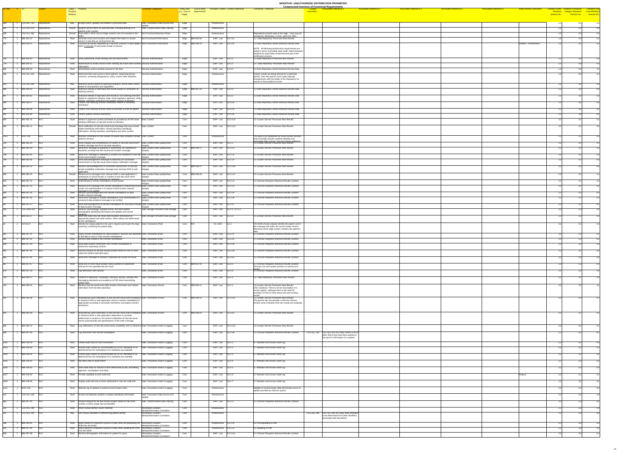|                                                                                                                      |                                                                        |              |          |                                                                                                                                                                                       |                                                           |          |                                 |                                                                      |                                                                                                                  | <b>Compressed Inventory of Functional Requirements</b>                                                              |                               |                               |                                |                                                             |      |  |
|----------------------------------------------------------------------------------------------------------------------|------------------------------------------------------------------------|--------------|----------|---------------------------------------------------------------------------------------------------------------------------------------------------------------------------------------|-----------------------------------------------------------|----------|---------------------------------|----------------------------------------------------------------------|------------------------------------------------------------------------------------------------------------------|---------------------------------------------------------------------------------------------------------------------|-------------------------------|-------------------------------|--------------------------------|-------------------------------------------------------------|------|--|
| $ID-ONC$ $\#$ $ID$                                                                                                   |                                                                        |              | Property | Entity - Property                                                                                                                                                                     | unctional Categories                                      |          | (i.e., Core or requirements     | <b>Entity Role</b> Link to other Principal Context Context Reference | <b>Comments / Rationale</b>                                                                                      | <b>Associated Reference 2</b><br><b>Associated Reference 3</b><br><b>Associated Reference 1</b><br><b>resembles</b> | <b>Associated Reference 4</b> | <b>Associated Reference 5</b> | <b>Initial Review Comments</b> | <b>Tentative Entity Tentative Functional Tentiative Use</b> |      |  |
|                                                                                                                      |                                                                        |              | Relation |                                                                                                                                                                                       |                                                           | Edge)    |                                 |                                                                      |                                                                                                                  |                                                                                                                     |                               |                               |                                | Session No.                                                 |      |  |
|                                                                                                                      |                                                                        |              |          |                                                                                                                                                                                       |                                                           |          |                                 |                                                                      |                                                                                                                  |                                                                                                                     |                               |                               |                                |                                                             |      |  |
|                                                                                                                      | CSC-ALL-710                                                            | Repositories |          | May Accept inserts, updates and deletes to persisted data.                                                                                                                            | Data Transaction-Data Access and                          | Edge     |                                 | Infrastructure                                                       |                                                                                                                  |                                                                                                                     |                               |                               |                                | 1.5                                                         | 3.2  |  |
|                                                                                                                      | CSC-ALL-670                                                            | Repositories |          | Should Support various filters for querying data, including filtering on a<br>specific order number.                                                                                  | Data Transformation-Data Filtering                        | Edge     |                                 | Infrastructure                                                       |                                                                                                                  |                                                                                                                     |                               |                               |                                |                                                             |      |  |
|                                                                                                                      | $\csc$ -ALL-550                                                        | Repositories |          | Should Exist within a SNO, but are Edge systems and not essential to the                                                                                                              | Non-Functional-Business Rules                             | Edge     |                                 | Infrastructure                                                       | Repositories persists data at the edge -- they may be                                                            |                                                                                                                     |                               |                               |                                |                                                             |      |  |
|                                                                                                                      | <b>IBM-304-13</b>                                                      | Repositories | Shall    | Send lab result event location and related information to locator                                                                                                                     | Non-Functional-Performance                                |          | Edge IBM-303-04                 | $EHR - Lab$ 3.4.2.2x                                                 | centralized, distributed, or both, within the SNO.<br>1.4 Data Repository Processes New Results                  |                                                                                                                     |                               |                               |                                |                                                             |      |  |
|                                                                                                                      | <b>IBM-309-11</b>                                                      | Repositories |          | service in real time as received from lab<br>Shall Transmit lab results requested by a clinician (clinician or data stager) Non-Functional-Performance                                |                                                           |          | Edge  IBM-308-10                | EHR-Lab $\vert$ 3.4.3.4x                                             | 2.3 Data Repository Sends Historical Results Data                                                                |                                                                                                                     |                               |                               | Feature - Performance          |                                                             |      |  |
|                                                                                                                      |                                                                        |              |          | within 5 seconds of successful receipt of request                                                                                                                                     |                                                           |          |                                 |                                                                      |                                                                                                                  |                                                                                                                     |                               |                               |                                |                                                             |      |  |
|                                                                                                                      |                                                                        |              |          |                                                                                                                                                                                       |                                                           |          |                                 |                                                                      | NOTE: All following performance requirements are<br>stated in terms of possible peak loads; determining the      |                                                                                                                     |                               |                               |                                |                                                             |      |  |
|                                                                                                                      |                                                                        |              |          |                                                                                                                                                                                       |                                                           |          |                                 |                                                                      | baseline for peak loads should become part of the<br>certification process.                                      |                                                                                                                     |                               |                               |                                |                                                             |      |  |
| <u> 1989 - Jan Stein Stein Stein Stein Stein Stein Stein Stein Stein Stein Stein Stein Stein Stein Stein Stein S</u> | <b>IBM-304-03</b>                                                      | Repositories |          | Shall Verify authenticity of lab sending new lab result events                                                                                                                        | Security-Authentication                                   | Edge     |                                 | EHR-Lab $3.4.1.2$                                                    | 1.4 Data Repository Processes New Results                                                                        |                                                                                                                     |                               |                               |                                |                                                             |      |  |
|                                                                                                                      | <b>IBM-304-12</b>                                                      | Repositories |          | Shall Authenticate to locator service when sending lab result event location Security-Authentication                                                                                  |                                                           | Edge     |                                 | EHR-Lab 3.4.2.1                                                      | 1.4 Data Repository Processes New Results                                                                        |                                                                                                                     |                               |                               |                                |                                                             |      |  |
| 395                                                                                                                  | <b>IBM-309-03</b>                                                      | Repositories |          | Shall Authenticate system sending request for lab data                                                                                                                                | Security-Authentication                                   | Edge     |                                 | $EHR - Lab$ 3.4.3.2                                                  | 2.3 Data Repository Sends Historical Results Data                                                                |                                                                                                                     |                               |                               |                                |                                                             |      |  |
|                                                                                                                      |                                                                        | Repositories |          |                                                                                                                                                                                       | Security-Authorization                                    |          |                                 | Infrastructure                                                       |                                                                                                                  |                                                                                                                     |                               |                               |                                |                                                             |      |  |
|                                                                                                                      | $ {\sf CSC}\text{-}\sf ALL\text{-}610$                                 |              |          | Shall Determine their own access control policies, respecting privacy<br>concerns, sensitivity designations, policy, and/or other attributes                                          |                                                           | Edge     |                                 |                                                                      | If query results are being refused for a particular<br>querier, then that querier must make separate             |                                                                                                                     |                               |                               |                                |                                                             |      |  |
|                                                                                                                      |                                                                        |              |          |                                                                                                                                                                                       |                                                           |          |                                 |                                                                      | arrangements with the holder of the Repository for<br>access to those patient records.                           |                                                                                                                     |                               |                               |                                |                                                             |      |  |
| 0.42                                                                                                                 | 1 CSC-ALL-690 Repositories                                             |              |          | May Authorize access based on querying institution, and/or other criteria Security-Authorization<br>based on local policies and regulations.                                          |                                                           | Edge     |                                 | Infrastructure                                                       |                                                                                                                  |                                                                                                                     |                               |                               |                                |                                                             |      |  |
| 896 1                                                                                                                | IBM-309-04                                                             | Repositories |          | Shall Authorize release of laboratory test results based on verification as Security-Authorization                                                                                    |                                                           |          | $Edge$ IBM-307-16               | $EHR - Lab$ 3.4.3.3                                                  | 2.3 Data Repository Sends Historical Results Data                                                                |                                                                                                                     |                               |                               |                                |                                                             |      |  |
| 897                                                                                                                  | <b>IBM-309-05</b>                                                      | Repositories |          | ordering clinician                                                                                                                                                                    |                                                           |          |                                 | EHR-Lab $3.4.3.3$                                                    | 2.3 Data Repository Sends Historical Results Data                                                                |                                                                                                                     |                               |                               |                                |                                                             |      |  |
|                                                                                                                      |                                                                        |              |          | Shall Authorize release of laboratory test results to non-ordering clinicians Security-Authorization<br>based on regulations (federal, state, local) regulatory agencies, entity      |                                                           | Edge     |                                 |                                                                      |                                                                                                                  |                                                                                                                     |                               |                               |                                |                                                             |      |  |
| 899 1 IBM-309-07                                                                                                     |                                                                        | Repositories |          | nolicies, sensitivity restrictions and natient consent restrictions.<br>Shall Confirm non-ordering clinician credentials relative to sensitivity                                      | Security-Authorization                                    | Edge     |                                 | EHR-Lab $3.4.3.3x$                                                   | 2.3 Data Repository Sends Historical Results Data                                                                |                                                                                                                     |                               |                               |                                |                                                             |      |  |
| $\overline{900}$ $\overline{0}$                                                                                      |                                                                        |              |          | restrictions                                                                                                                                                                          |                                                           |          |                                 |                                                                      |                                                                                                                  |                                                                                                                     |                               |                               |                                |                                                             |      |  |
|                                                                                                                      | <b>IBM-309-08</b>                                                      | Repositories |          | Shall Confirm non-ordering clinician status as provider of care for patient Security-Authorization                                                                                    |                                                           | Edge     |                                 | EHR-Lab $3.4.3.3x$                                                   | 2.3 Data Repository Sends Historical Results Data                                                                |                                                                                                                     |                               |                               |                                |                                                             |      |  |
| 901                                                                                                                  | IBM-309-09                                                             | Repositories |          | Shall Confirm patient consent restrictions                                                                                                                                            | Security-Authorization                                    | Edge     |                                 | EHR-Lab $\vert 3.4.3.3x \vert$                                       | 2.3 Data Repository Sends Historical Results Data                                                                |                                                                                                                     |                               |                               |                                |                                                             |      |  |
| 803                                                                                                                  | <b>IBM-305-10</b>                                                      |              |          | Shall Adhere to approved content standards as provided by HITSP when Data Content<br>sending notification of new lab results to clinicians.                                           |                                                           | Core     |                                 | EHR - Lab $\vert$ 3.5.3.1x2                                          | 1.5 Locator Service Processes New Results                                                                        |                                                                                                                     |                               |                               |                                |                                                             |      |  |
| 804 1                                                                                                                | <b>IBM-305-11</b> RLS                                                  |              |          | Should Send notification of new lab result event message that may include: Data Content                                                                                               |                                                           | Core     |                                 | EHR-Lab $3.5.3.1x3$                                                  | 1.5 Locator Service Processes New Results                                                                        |                                                                                                                     |                               |                               |                                |                                                             |      |  |
|                                                                                                                      |                                                                        |              |          | patient identifying information, storing repository identifying                                                                                                                       |                                                           |          |                                 |                                                                      |                                                                                                                  |                                                                                                                     |                               |                               |                                |                                                             |      |  |
|                                                                                                                      |                                                                        |              |          | information, storing repository marketplace and other content                                                                                                                         |                                                           |          |                                 |                                                                      |                                                                                                                  |                                                                                                                     |                               |                               |                                |                                                             |      |  |
| $1120$ 1                                                                                                             | NGIT-145                                                               |              |          | Shall   Maintain information on the location of patient data available through Data Content<br>network services.                                                                      |                                                           | Core     |                                 | Infrastructure                                                       | The data to be maintained by record locator services<br>shall minimally include a patient identifier and         |                                                                                                                     |                               |                               |                                |                                                             |      |  |
|                                                                                                                      | 796 1 IBM-305-03                                                       |              |          | Shall Verify integrity and completeness of content of new lab result event   Data Content-Data Quality/Data                                                                           |                                                           | Core     |                                 | EHR-Lab $3.5.1.2$                                                    | associated data sources but may include additional<br>1.5 Locator Service Processes New Results                  |                                                                                                                     |                               |                               |                                |                                                             |      |  |
|                                                                                                                      | <b>IBM-305-04</b>                                                      |              |          | location message sent from lab data repository<br>Shall Send error message to repository if authenticity not validated for                                                            | Data Content-Data Quality/Data                            |          | Core $\sqrt{\text{IBM-}304-17}$ | EHR-Lab $\vert$ 3.5.1.2x                                             | 1.5 Locator Service Processes New Results                                                                        |                                                                                                                     |                               |                               |                                |                                                             |      |  |
|                                                                                                                      |                                                                        |              |          | repository sending new lab result event location message                                                                                                                              | Integrity                                                 |          |                                 |                                                                      |                                                                                                                  |                                                                                                                     |                               |                               |                                |                                                             |      |  |
| 798 1                                                                                                                | IBM-305-05                                                             |              |          | Shall Send error message to repository if content not validated for new lab Data Content-Data Quality/Data                                                                            |                                                           | Core     |                                 | EHR-Lab $\vert$ 3.5.1.2x                                             | 1.5 Locator Service Processes New Results                                                                        |                                                                                                                     |                               |                               |                                |                                                             |      |  |
|                                                                                                                      | 799   1   IBM-305-06   RLS                                             |              |          | result event location message<br>Shall Send acknowledgement message to repository for successful                                                                                      | Data Content-Data Quality/Data                            | Core     |                                 | EHR - Lab $\vert$ 3.5.1.2x                                           | 1.5 Locator Service Processes New Results                                                                        |                                                                                                                     |                               |                               |                                |                                                             |      |  |
|                                                                                                                      |                                                                        |              |          | transmission of new lab result event location notification message                                                                                                                    | Integrity                                                 |          |                                 |                                                                      |                                                                                                                  |                                                                                                                     |                               |                               |                                |                                                             |      |  |
| 807 1                                                                                                                | <b>IBM-305-14</b> RLS                                                  |              |          | Shall Receive acknowledgement of successful transmission of new lab Data Content-Data Quality/Data<br>results availability notification message from clinician EHR or web   Integrity |                                                           |          | Core   IBM-306-07               | $EHR - Lab$ 3.5.3.1x6                                                | 1.5 Locator Service Processes New Results                                                                        |                                                                                                                     |                               |                               |                                |                                                             |      |  |
| 808                                                                                                                  | <b>IBM-305-15</b>                                                      |              |          | application<br>Should Receive error messages from clinician EHR or web application if                                                                                                 | Data Content-Data Quality/Data                            |          | Core   IBM-306-09               | EHR-Lab $3.5.3.1x7$                                                  | 1.5 Locator Service Processes New Results                                                                        |                                                                                                                     |                               |                               |                                |                                                             |      |  |
|                                                                                                                      |                                                                        |              |          | authenticity of record locator or content of new lab result event                                                                                                                     | Integrity                                                 |          |                                 |                                                                      |                                                                                                                  |                                                                                                                     |                               |                               |                                |                                                             |      |  |
| 842                                                                                                                  | <b>IBM-307-22</b>                                                      |              |          | hatsbilsy ton anssam moitsinity vtilidslisy<br>Shall Authenticate to remote marketplace record locator                                                                                | Data Content-Data Quality/Data                            | Core     |                                 | EHR-Lab $\vert$ 3.5.2.x2                                             | 2.1 Clinician Requests Historical Results Location                                                               |                                                                                                                     |                               |                               |                                |                                                             |      |  |
| 843                                                                                                                  | <b>IBM-307-23</b>                                                      |              |          | Shall Receive error message from remote marketplace if requesting recor                                                                                                               | d Data Content-Data Quality/Data                          | Core     |                                 | EHR - Lab $\vert$ 3.5.2.x3                                           | 2.1 Clinician Requests Historical Results Location                                                               |                                                                                                                     |                               |                               |                                |                                                             |      |  |
|                                                                                                                      |                                                                        |              |          | locator not authenticated or if content of data location request<br>haitinav ton si anessam                                                                                           | Integrity                                                 |          |                                 |                                                                      |                                                                                                                  |                                                                                                                     |                               |                               |                                |                                                             |      |  |
| 844                                                                                                                  | <b>IBM-307-24</b>                                                      |              | Shall    | Receive acknowledgement from remote marketplace for data<br>location request message                                                                                                  | Data Content-Data Quality/Data                            | Core     |                                 | EHR-Lab $\vert$ 3.5.2.x4                                             | .1 Clinician Requests Historical Results Location                                                                |                                                                                                                     |                               |                               |                                |                                                             |      |  |
| 846                                                                                                                  | <b>IBM-307-26</b>                                                      |              |          | Shall Send error message to remote marketplace if not authenticated or if<br>consent of data locations message is not verified                                                        | Data Content-Data Quality/Data                            | Core     |                                 | EHR - Lab $\vert$ 3.5.2.x6                                           | 2.1 Clinician Requests Historical Results Location                                                               |                                                                                                                     |                               |                               |                                |                                                             |      |  |
| 847                                                                                                                  | <b>IBM-307-27</b> RLS                                                  |              |          | Shall Send acknowledgement to remote marketplace for successful receipt Data Content-Data Quality/Data                                                                                | Integrity                                                 | Core     |                                 | EHR-Lab 3.5.2.x7                                                     | 2.1 Clinician Requests Historical Results Location                                                               |                                                                                                                     |                               |                               |                                |                                                             |      |  |
|                                                                                                                      |                                                                        |              |          | of data location message                                                                                                                                                              |                                                           |          |                                 |                                                                      |                                                                                                                  |                                                                                                                     |                               |                               |                                |                                                             |      |  |
| 439                                                                                                                  | $CSC-EHR-410$ RLS                                                      |              |          | Shall Receive, acknowledge, validate format, and store patient<br>demographic identifying information and updates and record                                                          | Data Storage-Persistent Data Storage Core                 |          |                                 | EHR - Lab $3.5.1.1, 3.5.1.2$                                         |                                                                                                                  |                                                                                                                     |                               |                               |                                |                                                             |      |  |
| 800                                                                                                                  | IBM-305-07                                                             |              | Shall    | Store and index new lab result event location information by                                                                                                                          | Data Storage-Persistent Data Storage Core                 |          |                                 | $EHR - Lab$ 3.5.1.3                                                  | 1.5 Locator Service Processes New Results                                                                        |                                                                                                                     |                               |                               |                                |                                                             |      |  |
|                                                                                                                      |                                                                        |              |          | appropriate patient and other indices. Other indices are determined<br>by the marketplace                                                                                             |                                                           |          |                                 |                                                                      |                                                                                                                  |                                                                                                                     |                               |                               |                                |                                                             |      |  |
|                                                                                                                      | ACN-02.3                                                               |              |          | Shall $\Box$ Identify the unique patient in the user's request and locate the edge $\Box$ Data Transaction-(Pull)                                                                     |                                                           | Core N/A |                                 | $CE, EHR$ 3.2.3                                                      | The NHIN should uniquely identify the patient sent in                                                            |                                                                                                                     |                               |                               |                                |                                                             |      |  |
|                                                                                                                      |                                                                        |              |          | system(s) containing the patient data.                                                                                                                                                |                                                           |          |                                 |                                                                      | the message and utilize the record locater service<br>determine which edge system contains the patient's         |                                                                                                                     |                               |                               |                                |                                                             |      |  |
| 841                                                                                                                  | <b>IBM-307-21</b> RLS                                                  |              |          | Shall Query remote marketplace for data locations if clinician has specified Data Transaction-(Pull)                                                                                  |                                                           | Core     |                                 | EHR-Lab $3.5.2.x1$                                                   | 2.1 Clinician Requests Historical Results Location                                                               |                                                                                                                     |                               |                               |                                |                                                             |      |  |
| 845                                                                                                                  | <b>IBM-307-25</b> RLS                                                  |              |          | to find data in one or more remote marketplaces<br>Shall Receive data locations from remote marketplace                                                                               | Data Transaction-(Pull)                                   | Core     |                                 | EHR-Lab $\vert$ 3.5.2.x5                                             | 2.1 Clinician Requests Historical Results Location                                                               |                                                                                                                     |                               |                               |                                |                                                             |      |  |
|                                                                                                                      |                                                                        |              |          |                                                                                                                                                                                       |                                                           |          |                                 |                                                                      |                                                                                                                  |                                                                                                                     |                               |                               |                                |                                                             |      |  |
| 1849                                                                                                                 | 1 IBM-307-29 RLS                                                       |              |          | Send data location information from remote marketplace to<br>authorized requesting clinician                                                                                          | Data Transaction-(Pull)                                   | Core     |                                 | EHR-Lab 3.5.2.x9                                                     | 2.1 Clinician Requests Historical Results Location                                                               |                                                                                                                     |                               |                               |                                |                                                             |      |  |
| $\overline{865}$                                                                                                     | 1 IBM-307-45 RLS                                                       |              |          | Shall Receive request for lab test results location based on one or more Data Transaction-(Pull)                                                                                      |                                                           | Core     |                                 | EHR-Lab $3.5.2.3a$                                                   | 2.1 Clinician Requests Historical Results Location                                                               |                                                                                                                     |                               |                               |                                |                                                             |      |  |
|                                                                                                                      |                                                                        |              |          | criteria for patient specified query                                                                                                                                                  |                                                           |          |                                 |                                                                      |                                                                                                                  |                                                                                                                     |                               |                               |                                |                                                             |      |  |
|                                                                                                                      | IBM-307-46 RL                                                          |              |          | Shall Send error message to clinician if specified lab results not found                                                                                                              | Data Transaction-(Pull)                                   | Core     |                                 | EHR-Lab $3.5.2.5x$                                                   | 2.1 Clinician Requests Historical Results Location                                                               |                                                                                                                     |                               |                               |                                |                                                             |      |  |
| 867                                                                                                                  | IBM-307-47                                                             |              |          | Shall Send one or more result location (links) pointers to authorized                                                                                                                 | Data Transaction-(Pull)                                   |          | Core   IBM-307-01               | EHR-Lab 3.5.2.5                                                      | 2.1 Clinician Requests Historical Results Location                                                               |                                                                                                                     |                               |                               |                                |                                                             |      |  |
|                                                                                                                      |                                                                        |              |          | clinician for the specified lab test result                                                                                                                                           |                                                           |          |                                 |                                                                      | Clinician can use location pointers to retrieve test                                                             |                                                                                                                     |                               |                               |                                |                                                             |      |  |
|                                                                                                                      | 874 1 IBM-307-54 RLS                                                   |              |          | Shall Log interaction with clinician                                                                                                                                                  | Data Transaction-(Pull)                                   | Core     |                                 | EHR-Lab $3.5.2.6$                                                    | 2.1 Clinician Requests Historical Results Location                                                               |                                                                                                                     |                               |                               |                                |                                                             |      |  |
| $\sim$ 1                                                                                                             | IBM-304-27                                                             |              |          | Shall Conform to approved, vocabulary, structure, privacy, security and                                                                                                               | Data Transaction-(Push)                                   | Core     |                                 | EHR - Lab $\vert$ 3.5.x.1                                            | 1.4 Data Repository Processes New Results                                                                        |                                                                                                                     |                               |                               |                                |                                                             |      |  |
|                                                                                                                      |                                                                        |              |          | messaging standards as provided by HITSP when transmitting                                                                                                                            |                                                           |          |                                 |                                                                      |                                                                                                                  |                                                                                                                     |                               |                               |                                |                                                             |      |  |
|                                                                                                                      | <b>IBM-305-01</b>                                                      |              |          | patient data.<br>Shall Receive new lab result event (file) location information and related Data Transaction-(Push)                                                                   |                                                           |          | Core   IBM-304-11               | EHR-Lab 3.5.1.1                                                      | 1.5 Locator Service Processes New Results                                                                        |                                                                                                                     |                               |                               |                                |                                                             | റ റി |  |
|                                                                                                                      |                                                                        |              |          | information from lab data repository                                                                                                                                                  |                                                           |          |                                 |                                                                      | ONC Guidance: There is not an assumption of a<br>results registry, although there is the need for                |                                                                                                                     |                               |                               |                                |                                                             |      |  |
|                                                                                                                      |                                                                        |              |          |                                                                                                                                                                                       |                                                           |          |                                 |                                                                      | providers of care to know about new and existing                                                                 |                                                                                                                     |                               |                               |                                |                                                             |      |  |
|                                                                                                                      | IBM-305-08                                                             |              |          | Shall Automatically send notification of new lab test result event availability Data Transaction-(Push)                                                                               |                                                           |          | Core IBM-306-01                 | EHR-Lab $3.5.3.1x1$                                                  | 1.5 Locator Service Processes New Results                                                                        |                                                                                                                     |                               |                               |                                |                                                             |      |  |
|                                                                                                                      |                                                                        |              |          | to clinicians EHR or web application (local or remote marketplace) if<br>appropriate according to sensitivity restrictions and patient consent                                        |                                                           |          |                                 |                                                                      | The goal for this functionality is that the clinician<br>receive some indication that new results are available. |                                                                                                                     |                               |                               |                                |                                                             |      |  |
|                                                                                                                      |                                                                        |              |          | restrictions                                                                                                                                                                          |                                                           |          |                                 |                                                                      |                                                                                                                  |                                                                                                                     |                               |                               |                                |                                                             |      |  |
| 802                                                                                                                  | $\vert$ 1   IBM-305-09                                                 |              |          | Shall Automatically send notification of new lab test result event availability Data Transaction-(Push)                                                                               |                                                           |          | Core   IBM-306-01               | EHR-Lab $\vert$ 3.5.3.1z                                             | 1.5 Locator Service Processes New Results                                                                        |                                                                                                                     |                               |                               |                                |                                                             |      |  |
|                                                                                                                      |                                                                        |              |          | to clinicians EHR or web application dependent on provider<br>preferences to receive or not receive notification of new lab result                                                    |                                                           |          |                                 |                                                                      |                                                                                                                  |                                                                                                                     |                               |                               |                                |                                                             |      |  |
|                                                                                                                      |                                                                        |              |          | events automatically and specifications of lab order message                                                                                                                          |                                                           |          |                                 |                                                                      |                                                                                                                  |                                                                                                                     |                               |                               |                                |                                                             |      |  |
| 806 1                                                                                                                | <b>IBM-305-13</b> RLS                                                  |              |          | Shall Log notifications of new lab result events availability sent to clinicians Data Transaction-Audit & Logging                                                                     |                                                           | Core     |                                 | EHR - Lab 3.5.3.1x5                                                  | 1.5 Locator Service Processes New Results                                                                        |                                                                                                                     |                               |                               |                                |                                                             |      |  |
|                                                                                                                      |                                                                        |              |          |                                                                                                                                                                                       |                                                           |          |                                 |                                                                      |                                                                                                                  |                                                                                                                     |                               |                               |                                |                                                             |      |  |
| $\overline{848}$                                                                                                     | $\begin{array}{ c c c c c c } \hline \end{array}$ 1   IBM-307-28   RLS |              |          | Shall   Log interaction with remote marketplace                                                                                                                                       | Data Transaction-Audit & Logging                          | Core     |                                 | EHR-Lab $ 3.5.2.x8 $                                                 | 2.1 Clinician Reguests Historical Results Location                                                               | $\text{CSC-ALL-310}$ CSC-ALL-310 RLS May Persist a list of<br>other SNOs that have been queried in                  |                               |                               |                                |                                                             |      |  |
|                                                                                                                      |                                                                        |              |          |                                                                                                                                                                                       |                                                           |          |                                 |                                                                      |                                                                                                                  | the past for information on a patient.                                                                              |                               |                               |                                |                                                             |      |  |
| $\overline{1002}$                                                                                                    | IBM-319-29                                                             |              |          | Shall Create audit entry for each transaction                                                                                                                                         | Data Transaction-Audit & Logging                          | Core     |                                 | EHR-Lab $3.5.x.1$                                                    | 3.7 Maintain and Access Audit Log                                                                                |                                                                                                                     |                               |                               |                                |                                                             |      |  |
| 1003                                                                                                                 | IBM-319-30                                                             | RLS          |          | Shall Include audit content as recommended by HITSP standards or as                                                                                                                   | Data Transaction-Audit & Logging                          | Core     |                                 | EHR-Lab $3.5.x.2$                                                    | 3.7 Maintain and Access Audit Log                                                                                |                                                                                                                     |                               |                               |                                |                                                             |      |  |
|                                                                                                                      |                                                                        |              |          | determined by the marketplace if no standards are available                                                                                                                           |                                                           |          |                                 |                                                                      |                                                                                                                  |                                                                                                                     |                               |                               |                                |                                                             |      |  |
| 1004                                                                                                                 | IBM-319-31                                                             |              | Shall    | Format audit content as recommended by HITSP standards or as<br>determined by the marketplace if no standards are available                                                           | Data Transaction-Audit & Logging                          | Core     |                                 | EHR-Lab $3.5.x.3$                                                    | 3.7 Maintain and Access Audit Log                                                                                |                                                                                                                     |                               |                               |                                |                                                             |      |  |
| 1005 1                                                                                                               | <b>IBM-319-32</b>                                                      |              |          | Shall Not allow edits to audit entries                                                                                                                                                | Data Transaction-Audit & Logging                          | Core     |                                 | EHR-Lab $3.5.x.4$                                                    | 3.7 Maintain and Access Audit Log                                                                                |                                                                                                                     |                               |                               |                                |                                                             |      |  |
|                                                                                                                      |                                                                        |              |          |                                                                                                                                                                                       |                                                           |          |                                 |                                                                      |                                                                                                                  |                                                                                                                     |                               |                               |                                |                                                             |      |  |
| 1006 1                                                                                                               | <b>IBM-319-33</b>                                                      |              |          | Shall Store audit entry for amount of time determined by law, accrediting   Data Transaction-Audit & Logging<br>agencies, marketplace and entity                                      |                                                           | Core     |                                 | EHR-Lab $3.5.x.5$                                                    | 3.7 Maintain and Access Audit Log                                                                                |                                                                                                                     |                               |                               |                                |                                                             |      |  |
| 1007                                                                                                                 | IBM-319-34                                                             | RLS          |          | Shall Provide capability to print audit trail                                                                                                                                         | Data Transaction-Audit & Logging                          | Core     |                                 | EHR-Lab $3.5.x.6$                                                    | 3.7 Maintain and Access Audit Log                                                                                |                                                                                                                     |                               |                               | Feature                        |                                                             |      |  |
|                                                                                                                      |                                                                        |              |          |                                                                                                                                                                                       |                                                           |          |                                 |                                                                      |                                                                                                                  |                                                                                                                     |                               |                               |                                |                                                             |      |  |
| 1008 1                                                                                                               | <b>IBM-319-35</b> RLS                                                  |              |          | Shall Display audit trail only to those authorized to view the audit trail                                                                                                            | Data Transaction-Audit & Logging                          | Core     |                                 | EHR-Lab $3.5.x.7$                                                    | 3.7 Maintain and Access Audit Log                                                                                |                                                                                                                     |                               |                               |                                |                                                             |      |  |
|                                                                                                                      |                                                                        |              |          |                                                                                                                                                                                       |                                                           |          |                                 |                                                                      |                                                                                                                  |                                                                                                                     |                               |                               |                                |                                                             |      |  |
|                                                                                                                      | $NGIT-146$                                                             |              |          | Shall   Maintain log of updates to patient-record locator index                                                                                                                       | Data Transaction-Audit & Logging                          | Core     |                                 | Infrastructure                                                       | Updates to record locator data will include source of<br>update provided by external system.                     |                                                                                                                     |                               |                               |                                |                                                             |      |  |
|                                                                                                                      | CSC-ALL-200 RLS                                                        |              |          | Shall Accept and Maintain updates to patient identifying information.                                                                                                                 | Data Transaction-Data Access and                          | Core     |                                 | Infrastructure                                                       |                                                                                                                  |                                                                                                                     |                               |                               |                                |                                                             |      |  |
|                                                                                                                      |                                                                        |              |          |                                                                                                                                                                                       |                                                           |          |                                 |                                                                      |                                                                                                                  |                                                                                                                     |                               |                               |                                |                                                             |      |  |
| 864                                                                                                                  | IBM-307-44 RLS                                                         |              |          | Shall Receive request for lab test results location based on lab order<br>number or other unique lab test identifier                                                                  | Data Transformation-Data Filtering                        | Core     |                                 | EHR-Lab $3.5.2.3$                                                    | 2.1 Clinician Requests Historical Results Location                                                               |                                                                                                                     |                               |                               |                                |                                                             |      |  |
|                                                                                                                      | $\big {\text{CSC-ALL-280}}\big $ RLS                                   |              |          | Shall Return actual identity values matched.                                                                                                                                          | Information Location-                                     | Core     |                                 | Infrastructure                                                       |                                                                                                                  |                                                                                                                     |                               |                               |                                |                                                             |      |  |
|                                                                                                                      | $ {\sf CSC}\text{-}\sf ALL\text{-}300$ RLS                             |              |          | May   Use various identifiers in determining patient identity                                                                                                                         | Identity/Information Correlation<br>Information Location- | Core     |                                 | Infrastructure                                                       |                                                                                                                  | CSC-ALL-290 CSC-ALL-290 RLS May Allow identities                                                                    |                               |                               |                                |                                                             |      |  |
|                                                                                                                      |                                                                        |              |          |                                                                                                                                                                                       | Identity/Information Correlation                          |          |                                 |                                                                      |                                                                                                                  | to be determined from other identifiers<br>associated with the patient.                                             |                               |                               |                                |                                                             |      |  |
|                                                                                                                      |                                                                        |              |          |                                                                                                                                                                                       |                                                           |          |                                 |                                                                      |                                                                                                                  |                                                                                                                     |                               |                               |                                |                                                             |      |  |
|                                                                                                                      | <b>IBM-205-05</b>                                                      |              |          | Shall Match patient to respective sources of data when pre-populating the Information Location-<br><b>PHR</b> from the NHIN                                                           | Identity/Information Correlation                          | Core     |                                 | Infrastructure $ 2.2.2.3x$                                           | 3.2 Pre-populating a PHR                                                                                         |                                                                                                                     |                               |                               |                                |                                                             |      |  |
| 625.                                                                                                                 | <b>IBM-207-05</b>                                                      |              |          | Shall Match patient to respective sources of data when updating the PHR<br>from the NHIN                                                                                              | Information Location-<br>Identity/Information Correlation | Core     |                                 | Infrastructure $ 2.1.5.2x$                                           | $4.2$ Updating a PHR                                                                                             |                                                                                                                     |                               |                               |                                |                                                             |      |  |
| 828                                                                                                                  | <b>IBM-307-08</b>                                                      |              |          | Shall Receive demographic information for patient for query                                                                                                                           | Information Location-<br>Identity/Information Correlation | Core     |                                 | EHR-Lab 3.5.2.2x1                                                    | 2.1 Clinician Requests Historical Results Location                                                               |                                                                                                                     |                               |                               |                                |                                                             |      |  |
|                                                                                                                      |                                                                        |              |          |                                                                                                                                                                                       |                                                           |          |                                 |                                                                      |                                                                                                                  |                                                                                                                     |                               |                               |                                |                                                             |      |  |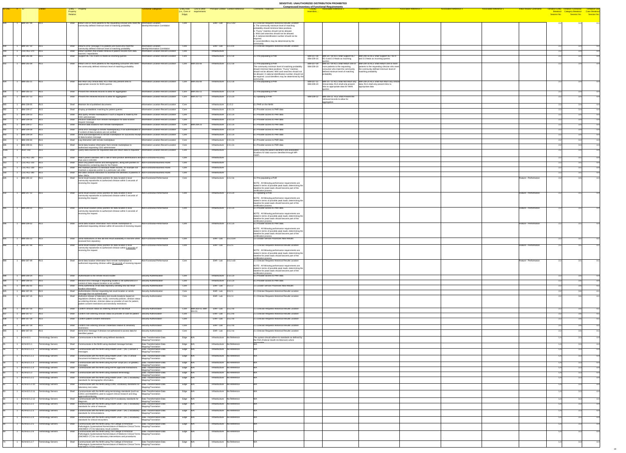| ID-ONC # ID |                                                                      |                                     | Entity - Property                                                                                                                                                                                                                                                                           | unctional Categories                                                                       | <b>Entity Role</b> Link to other        |                                                               | <b>Principal Context Context Reference</b> | <b>Comments / Rationale</b>                                                                                                                                                                                                                         | <b>Compressed Inventory of Functional Requirements</b><br><b>Associated Reference 2</b><br><b>Associated Reference 5</b><br><b>Associated Reference 1</b><br><b>Associated Reference 3</b><br><b>Associated Reference 4</b>                                                                                                                           | <b>Initial Review Comment</b><br>entative Entity i | <b>Tentiative Use</b> |
|-------------|----------------------------------------------------------------------|-------------------------------------|---------------------------------------------------------------------------------------------------------------------------------------------------------------------------------------------------------------------------------------------------------------------------------------------|--------------------------------------------------------------------------------------------|-----------------------------------------|---------------------------------------------------------------|--------------------------------------------|-----------------------------------------------------------------------------------------------------------------------------------------------------------------------------------------------------------------------------------------------------|-------------------------------------------------------------------------------------------------------------------------------------------------------------------------------------------------------------------------------------------------------------------------------------------------------------------------------------------------------|----------------------------------------------------|-----------------------|
|             |                                                                      |                                     | <b>Property</b><br>Relation                                                                                                                                                                                                                                                                 |                                                                                            | (i.e., Core or<br>requirements<br>Edge) |                                                               |                                            |                                                                                                                                                                                                                                                     | resembles.                                                                                                                                                                                                                                                                                                                                            | Session No.                                        |                       |
|             |                                                                      |                                     |                                                                                                                                                                                                                                                                                             |                                                                                            |                                         |                                                               |                                            |                                                                                                                                                                                                                                                     |                                                                                                                                                                                                                                                                                                                                                       |                                                    |                       |
|             | IBM-307-09                                                           |                                     | Shall Return one or more patients to the requesting clinician who meet the Information Location-<br>community defined minimum level of matching probability                                                                                                                                 | Identity/Information Correlation                                                           | Core                                    | EHR - Lab   $3.5.2.2x2$                                       |                                            | 2.1 Clinician Requests Historical Results Location<br>a. The community minimum level of matching<br>probability should minimize false positives.<br>b. "Fuzzy" matches should not be allowed.<br>c. Wild card searches should not be allowed        |                                                                                                                                                                                                                                                                                                                                                       |                                                    | 3.4                   |
|             |                                                                      |                                     |                                                                                                                                                                                                                                                                                             |                                                                                            |                                         |                                                               |                                            | d. A national identification number should not be<br>e. Local identifiers may be determined by the                                                                                                                                                  |                                                                                                                                                                                                                                                                                                                                                       |                                                    |                       |
|             | <b>IBM-307-10</b> RLS                                                |                                     | Shall Returns error message if no patients are found who meet the<br>community defined minimum level of matching probability                                                                                                                                                                | Information Location-<br>Identity/Information Correlation                                  | Core                                    | EHR-Lab $3.2.3.0x$                                            |                                            | community<br>2.1 Clinician Requests Historical Results Location                                                                                                                                                                                     |                                                                                                                                                                                                                                                                                                                                                       |                                                    |                       |
|             | $ {\sf CSC}\text{-}\mathsf{ALL}\text{-}270$ RLS<br><b>IBM-205-08</b> |                                     | Shall Return pointers that enable retrieval of patient records from data<br>sources / repositories                                                                                                                                                                                          | Information Location-Record Location<br>Information Location-Record Location Core          | Core                                    | Infrastructure<br>Infrastructure $ 2.2.2.3x$                  |                                            |                                                                                                                                                                                                                                                     | IBM-209-16 RLS Shall Support HL7 R2.4<br><b>IBM-207-08 RLS Shall Support HL7</b>                                                                                                                                                                                                                                                                      |                                                    |                       |
|             |                                                                      |                                     | Shall Support HL7 R2.4 and 3.0 feeds as incoming queries                                                                                                                                                                                                                                    |                                                                                            |                                         |                                                               |                                            | 3.2 Pre-populating a PHR                                                                                                                                                                                                                            | IBM-207-08<br>IBM-209-16<br>$R2.4$ and 3.0 feeds as incoming<br>and 3.0 feeds as incoming queries                                                                                                                                                                                                                                                     |                                                    |                       |
|             | IBM-205-09                                                           |                                     | Return one or more patients to the requesting consumer who meet   Information Location-Record Location   Core   IBM-205-06<br>Shall<br>the community defined minimum level of matching probability                                                                                          |                                                                                            |                                         | Infrastructure $ 2.2.2.3x $                                   |                                            | 3.2 Pre-populating a PHR<br>The community minimum level of matching probabil<br>should minimize false positives. "Fuzzy" matches<br>should not be allowed. Wild card searches should not<br>be allowed. A national identification number should not | IBM-207-09   IBM-207-09 RLS Shall Return one or<br>IBM-209-18 RLS Shall Return one or more<br>IBM-209-18<br>more patients to the requesting<br>patients to the requesting clinician who meet<br>the community defined minimum level of<br>consumer who meet the community<br>defined minimum level of matching<br>matching probability<br>probability |                                                    |                       |
|             |                                                                      |                                     |                                                                                                                                                                                                                                                                                             |                                                                                            |                                         |                                                               |                                            | be required. Local identifiers may be determined by the<br>community                                                                                                                                                                                |                                                                                                                                                                                                                                                                                                                                                       |                                                    |                       |
| 606 1       | <b>IBM-205-11</b><br>$ IBM-205-13 $ RLS                              | ⊟ IRI S                             | Shall   Not return any clinical data; RLS shall only present links to<br>appropriate records for NHIN queries<br>Shall Present the retrieved records to allow for aggregation                                                                                                               | Information Location-Record Location<br>Information Location-Record Location               | Core   IBM-205-06<br>Core IBM-205-11    | Infrastructure $ 2.2.2.3x $<br>Infrastructure $2.2.2.3x$      |                                            | 3.2 Pre-populating a PHR<br>3.2 Pre-populating a PHR                                                                                                                                                                                                | <b>IBM-207-11 RLS Shall Not return any IBM-209-20 RLS Shall Not return any clinical</b><br>IBM-207-11<br>$IBM-209-20$ clinical data; RLS shall only present $\vert$ data; RLS shall only present links to<br>links to appropriate data for NHIN<br>appropriate data<br>queries                                                                        |                                                    |                       |
|             | <b>IBM-207-13</b> RLS                                                |                                     | Shall Present the retrieved records to allow for aggregation                                                                                                                                                                                                                                | Information Location-Record Location                                                       | Core   IBM-207-11                       | Infrastructure $\vert$ 2.1.5.2x                               |                                            | 4.2 Updating a PHR                                                                                                                                                                                                                                  | IBM-209-22   IBM-209-22 RLS Shall Present the<br>retrieved records to allow for<br>aggregation                                                                                                                                                                                                                                                        |                                                    |                       |
|             | <b>IBM-208-05</b><br><b>IBM-209-17</b>                               |                                     | Shall   Maintain list of published documents<br>Shall Employ probabilistic matching for patient queries                                                                                                                                                                                     | Information Location-Record Location   Core<br>Information Location-Record Location   Core |                                         | Infrastructure $ 2.2.5.2$<br>Infrastructure $ 2.3.1.2x$       |                                            | 5.1 PHR on the NHIN<br>6.1 Provider access to PHR data                                                                                                                                                                                              |                                                                                                                                                                                                                                                                                                                                                       |                                                    |                       |
|             | IBM-209-23                                                           | RLS                                 | Shall $\vert$ Also query remote marketplaces if such a request is made by the                                                                                                                                                                                                               | Information Location-Record Location   Core                                                |                                         | Infrastructure $ 2.3.1.2x$                                    |                                            | 6.1 Provider access to PHR data                                                                                                                                                                                                                     |                                                                                                                                                                                                                                                                                                                                                       |                                                    |                       |
|             | <b>IBM-209-26</b>                                                    | <b>RLS</b>                          | CDO administrator<br>Shall Receive notification from remote marketplace for data location<br>request message                                                                                                                                                                                | Information Location-Record Location Core                                                  |                                         | $Infrastructure$ 2.3.1.2x                                     |                                            | 6.1 Provider access to PHR data                                                                                                                                                                                                                     |                                                                                                                                                                                                                                                                                                                                                       |                                                    |                       |
|             | <b>IBM-209-27</b>                                                    |                                     | Shall Receive data locations from remote marketplaces                                                                                                                                                                                                                                       | Information Location-Record Location                                                       | Core IBM-209-23                         | Infrastructure $ 2.3.1.2x$                                    |                                            | 6.1 Provider access to PHR data                                                                                                                                                                                                                     |                                                                                                                                                                                                                                                                                                                                                       |                                                    |                       |
|             | <b>IBM-209-28</b><br><b>IBM-209-29</b>                               |                                     | Shall Send error message to remote marketplace(s) if not authenticated or Information Location-Record Location Core<br>If content of data locations are not verified<br>Shall Send acknowledgement to remote marketplace for successful receipt Information Location-Record Location   Core |                                                                                            |                                         | Infrastructure $\vert$ 2.3.1.2x<br>Infrastructure $ 2.3.1.2x$ |                                            | 6.1 Provider access to PHR data<br>6.1 Provider access to PHR data                                                                                                                                                                                  |                                                                                                                                                                                                                                                                                                                                                       |                                                    |                       |
|             | IBM-209-30                                                           | RLS                                 | of data location message<br>Shall   Log interaction with remote marketplace                                                                                                                                                                                                                 | Information Location-Record Location                                                       | Core                                    | Infrastructure $ 2.3.1.2x $                                   |                                            | 6.1 Provider access to PHR data                                                                                                                                                                                                                     |                                                                                                                                                                                                                                                                                                                                                       |                                                    |                       |
|             | <b>IBM-209-31</b>                                                    |                                     | Shall Send data location information from remote marketplace to<br>authorized requesting CDO administrator                                                                                                                                                                                  | Information Location-Record Location                                                       | Core                                    | Infrastructure $\vert$ 2.3.1.2x                               |                                            | 6.1 Provider access to PHR data                                                                                                                                                                                                                     |                                                                                                                                                                                                                                                                                                                                                       |                                                    |                       |
|             | NGIT-010                                                             | RLS                                 | Shall Query data sources for requested data and return data to requestor Information Location-Record Location                                                                                                                                                                               |                                                                                            | Core                                    | Infrastructure                                                |                                            | Query using the patient identifiers and associated<br>locations for data sources identified through MPI                                                                                                                                             |                                                                                                                                                                                                                                                                                                                                                       |                                                    |                       |
|             | CSC-ALL-240 RLS                                                      |                                     | Shall Match patient Identities with a rate of false positive identifications less Non-Functional-Accuracy<br>than one in $100,000$ .                                                                                                                                                        |                                                                                            | Core                                    | Infrastructure                                                |                                            |                                                                                                                                                                                                                                                     |                                                                                                                                                                                                                                                                                                                                                       |                                                    |                       |
|             | $\overline{CSC-ALL-210}$ RLS<br>$\overline{CSC}$ -ALL-230 RLS        |                                     | Shall Store only patient names and demographics, along with pointers to Non-Functional-Business Rules<br>Repositories containing data for the Patient.<br>Shall Not maintain pointers to individual health records, for example not                                                         | Non-Functional-Business Rules                                                              | Core<br>Core                            | Infrastructure<br>Infrastructure                              |                                            |                                                                                                                                                                                                                                                     |                                                                                                                                                                                                                                                                                                                                                       |                                                    | -4.4                  |
|             | $ {\sf CSC}\text{-}\mathsf{ALL}\text{-}260 $ $ {\sf RLS} $           |                                     | maintain a separate pointer to a particular Lab order.<br>Shall Not allow clinician interaction to ascertain the identities of patients in Non-Functional-Business Rules                                                                                                                    |                                                                                            | Core                                    | Infrastructure                                                |                                            |                                                                                                                                                                                                                                                     |                                                                                                                                                                                                                                                                                                                                                       |                                                    |                       |
|             | <b>IBM-205-12</b> RLS                                                |                                     | other SNOs.<br>Shall Send result location (links) pointers for data located in local<br>community repositories to authorized clinician within 5 seconds of                                                                                                                                  | Non-Functional-Performance                                                                 | Core                                    | Infrastructure $ 2.2.2.3x $                                   |                                            | 3.2 Pre-populating a PHR                                                                                                                                                                                                                            |                                                                                                                                                                                                                                                                                                                                                       | Feature - Performance                              |                       |
|             | <b>IBM-207-12</b> RLS                                                |                                     | receiving the request<br>Shall Send result location (links) pointers for data located in local                                                                                                                                                                                              | Non-Functional-Performance                                                                 | Core                                    | Infrastructure $ 2.1.5.2x $                                   |                                            | NOTE: All following performance requirements are<br>stated in terms of possible peak loads; determining the<br>baseline for peak loads should become part of the<br>certification process.<br>4.2 Updating a PHR                                    |                                                                                                                                                                                                                                                                                                                                                       | Feature - Performance                              |                       |
|             |                                                                      |                                     | community repositories to authorized clinician within 5 seconds of<br>receiving the request                                                                                                                                                                                                 |                                                                                            |                                         |                                                               |                                            | NOTE: All following performance requirements are<br>stated in terms of possible peak loads; determining the<br>baseline for peak loads should become part of the                                                                                    |                                                                                                                                                                                                                                                                                                                                                       |                                                    |                       |
|             | <b>IBM-209-21</b>                                                    |                                     | Shall Send result location (links) pointers for data located in local<br>community repositories to authorized clinician within 5 seconds of                                                                                                                                                 | Non-Functional-Performance                                                                 | Core                                    | Infrastructure $ 2.3.1.2x $                                   |                                            | certification process.<br>6.1 Provider access to PHR data                                                                                                                                                                                           |                                                                                                                                                                                                                                                                                                                                                       | Feature - Performance                              |                       |
|             |                                                                      |                                     | receiving the request                                                                                                                                                                                                                                                                       |                                                                                            |                                         |                                                               |                                            | NOTE: All following performance requirements are<br>stated in terms of possible peak loads; determining the                                                                                                                                         |                                                                                                                                                                                                                                                                                                                                                       |                                                    |                       |
|             | <b>IBM-209-32</b> RLS                                                |                                     | Shall Send data location information from remote marketplace to                                                                                                                                                                                                                             | Non-Functional-Performance                                                                 | Core                                    | Infrastructure $\sqrt{2.3.1.2x}$                              |                                            | baseline for peak loads should become part of the<br>certification process.<br>6.1 Provider access to PHR data                                                                                                                                      |                                                                                                                                                                                                                                                                                                                                                       | Feature - Performance                              |                       |
|             |                                                                      |                                     | authorized requesting clinician within 30 seconds of receiving request                                                                                                                                                                                                                      |                                                                                            |                                         |                                                               |                                            | NOTE: All following performance requirements are<br>stated in terms of possible peak loads; determining the                                                                                                                                         |                                                                                                                                                                                                                                                                                                                                                       |                                                    |                       |
|             |                                                                      |                                     |                                                                                                                                                                                                                                                                                             |                                                                                            |                                         |                                                               |                                            | baseline for peak loads should become part of the<br>certification process.                                                                                                                                                                         |                                                                                                                                                                                                                                                                                                                                                       |                                                    |                       |
|             | 805 1 IBM-305-12 RLS                                                 |                                     | Shall Send notifications of new lab test result availability in real time when Non-Functional-Performance<br>received from repository                                                                                                                                                       |                                                                                            | Core                                    | EHR - Lab   3.5.3.1x4                                         |                                            | 1.5 Locator Service Processes New Results                                                                                                                                                                                                           |                                                                                                                                                                                                                                                                                                                                                       |                                                    |                       |
|             | <b>IBM-307-48</b> RLS                                                |                                     | Shall<br>Send result location (links) pointers for data located in local<br>community repositories to authorized clinician within 5 seconds of<br>receiving the request                                                                                                                     | Non-Functional-Performance                                                                 | Core                                    | EHR - Lab   $3.5.2.5$                                         |                                            | .1 Clinician Requests Historical Results Location<br>NOTE: All following performance requirements are                                                                                                                                               |                                                                                                                                                                                                                                                                                                                                                       | Feature - Performance                              |                       |
|             |                                                                      |                                     |                                                                                                                                                                                                                                                                                             |                                                                                            |                                         |                                                               |                                            | stated in terms of possible peak loads; determining the<br>baseline for peak loads should become part of the<br>certification process.                                                                                                              |                                                                                                                                                                                                                                                                                                                                                       |                                                    |                       |
|             | <b>IBM-307-49</b> RLS                                                |                                     | Shall Send data location information from remote marketplace to<br>authorized requesting clinician within 30 seconds of receiving request                                                                                                                                                   | Non-Functional-Performance                                                                 | Core                                    | EHR-Lab 3.5.2.x10                                             |                                            | 2.1 Clinician Requests Historical Results Location                                                                                                                                                                                                  |                                                                                                                                                                                                                                                                                                                                                       | Feature - Performance                              |                       |
|             |                                                                      |                                     |                                                                                                                                                                                                                                                                                             |                                                                                            |                                         |                                                               |                                            | NOTE: All following performance requirements are<br>stated in terms of possible peak loads; determining the<br>baseline for peak loads should become part of the                                                                                    |                                                                                                                                                                                                                                                                                                                                                       |                                                    |                       |
|             | <b>IBM-209-24</b> RLS                                                |                                     | Shall Authenticate to the remote record locater                                                                                                                                                                                                                                             | Security-Authentication                                                                    | Core                                    | Infrastructure $ 2.3.1.2x$                                    |                                            | certification process.<br>6.1 Provider access to PHR data                                                                                                                                                                                           |                                                                                                                                                                                                                                                                                                                                                       |                                                    |                       |
|             | IBM-209-25                                                           |                                     | Shall Receive error message if requesting locater is not authorized or if<br>content of data request location is not verified                                                                                                                                                               | Security-Authentication                                                                    | Core                                    | Infrastructure $ 2.3.1.2x$                                    |                                            | 6.1 Provider access to PHR data                                                                                                                                                                                                                     |                                                                                                                                                                                                                                                                                                                                                       |                                                    |                       |
|             | <b>IBM-305-02</b><br><b>IBM-307-05</b>                               |                                     | Shall Verify authenticity of lab data repository sending new lab result<br>location information<br>Shall Authenticates clinician requesting lab result location or sends                                                                                                                    | Security-Authentication<br>Security-Authentication                                         | Core<br>Core                            | EHR-Lab $3.5.1.2$<br>EHR-Lab $3.5.2.1$                        |                                            | 1.5 Locator Service Processes New Results<br>2.1 Clinician Requests Historical Results Location                                                                                                                                                     |                                                                                                                                                                                                                                                                                                                                                       |                                                    |                       |
|             | <b>IBM-307-15</b> RLS                                                |                                     | message that not authenticated<br>Shall Authorize release of laboratory test results locations based on                                                                                                                                                                                     | Security-Authorization                                                                     | Core                                    | EHR-Lab $3.5.2.4$                                             |                                            | 2.1 Clinician Requests Historical Results Location                                                                                                                                                                                                  |                                                                                                                                                                                                                                                                                                                                                       |                                                    |                       |
|             |                                                                      |                                     | regulations (federal, state, local), community policies, clinician status<br>as ordering clinician, clinician status as provider of care for patient,<br>patient consent restrictions and sensitivity restrictions                                                                          |                                                                                            |                                         |                                                               |                                            |                                                                                                                                                                                                                                                     |                                                                                                                                                                                                                                                                                                                                                       |                                                    |                       |
| <b>936</b>  | <b>IBM-307-16</b> RLS                                                |                                     | Shall Confirm clinician status as ordering clinician for lab result                                                                                                                                                                                                                         | Security-Authorization                                                                     | Core   IBM-303-01; IBM-<br>$ 304-01$    | EHR-Lab $3.5.2.4x$                                            |                                            | 2.1 Clinician Requests Historical Results Location                                                                                                                                                                                                  |                                                                                                                                                                                                                                                                                                                                                       |                                                    |                       |
|             | <b>IBM-307-17</b> RL                                                 |                                     | Shall Confirm non-ordering clinician status as provider of care for patient Security-Authorization                                                                                                                                                                                          |                                                                                            | Core                                    | EHR-Lab $ 3.5.2.4x$                                           |                                            | 2.1 Clinician Requests Historical Results Location                                                                                                                                                                                                  |                                                                                                                                                                                                                                                                                                                                                       |                                                    |                       |
|             | <b>IBM-307-18</b> RLS                                                |                                     | Shall Confirm patient consent restrictions                                                                                                                                                                                                                                                  | Security-Authorization                                                                     | Core                                    | EHR-Lab $\vert$ 3.5.2.4x                                      |                                            | 2.1 Clinician Requests Historical Results Location                                                                                                                                                                                                  |                                                                                                                                                                                                                                                                                                                                                       |                                                    |                       |
| ጓ4∩         | <b>IBM-307-19</b><br><b>IBM-307-20</b>                               | RLS<br>RLS                          | Confirm non-ordering clinician credentials relative to sensitivity<br>Shall<br>Shall Send error message if clinician not authorized to access data for                                                                                                                                      | Security-Authorization<br>Security-Authorization                                           | Core<br>Core                            | EHR-Lab $ 3.5.2.4x$<br>EHR-Lab $3.5.2.4x$                     |                                            | 2.1 Clinician Requests Historical Results Location<br>2.1 Clinician Requests Historical Results Location                                                                                                                                            |                                                                                                                                                                                                                                                                                                                                                       |                                                    |                       |
|             | ACN-02.5                                                             | <b>Terminology Servers</b>          | identified patient<br>Shall Communicate in the NHIN using defined standards.                                                                                                                                                                                                                | Data Transformation-Data                                                                   | Edge N/A                                | Infrastructure No Reference                                   |                                            | The system should adhere to standards as defined by                                                                                                                                                                                                 |                                                                                                                                                                                                                                                                                                                                                       |                                                    |                       |
|             | ACN-02.5.1                                                           | <b>Terminology Servers</b>          | Shall Communicate in the NHIN using standard message formats.                                                                                                                                                                                                                               | Mapping/Translation<br>Data Transformation-Data                                            | Edge N/A                                | Infrastructure No Reference                                   |                                            | the FHA (Federal Health Architecture) where                                                                                                                                                                                                         |                                                                                                                                                                                                                                                                                                                                                       |                                                    |                       |
|             | ACN-02.5.1.1                                                         | <b>Terminology Servers</b>          | Shall Communicate with the NHIN using Health Level 7 (HL7) version 3                                                                                                                                                                                                                        | Mapping/Translation<br>Data Transformation-Data                                            | Edge N/A                                | Infrastructure No Reference                                   |                                            |                                                                                                                                                                                                                                                     |                                                                                                                                                                                                                                                                                                                                                       |                                                    |                       |
|             | ACN-02.5.1.2                                                         | <b>Terminology Servers</b>          | Communicate with the NHIN using Health Level 7 (HL7) Clinical<br>Shall                                                                                                                                                                                                                      | Mapping/Translation<br>Data Transformation-Data                                            | Edge N/A                                | Infrastructure No Reference                                   |                                            |                                                                                                                                                                                                                                                     |                                                                                                                                                                                                                                                                                                                                                       |                                                    |                       |
|             | ACN-02.5.1.3                                                         | <b>Terminology Servers</b>          | Document Architecture (CDA) messages.<br>Communicate with the NHIN using NCPDP Script (v8.1 or greater)<br>Shall                                                                                                                                                                            | Mapping/Translation<br>Data Transformation-Data                                            | Edge $N/A$                              | Infrastructure No Reference                                   |                                            |                                                                                                                                                                                                                                                     |                                                                                                                                                                                                                                                                                                                                                       |                                                    |                       |
|             | ACN-02.5.1.4                                                         | <b>Terminology Servers</b>          | Shall Communicate with the NHIN using HIPAA approved transactions.                                                                                                                                                                                                                          | Mapping/Translation<br>Data Transformation-Data<br>Mapping/Translation                     | Edge N/A                                | Infrastructure No Reference                                   |                                            |                                                                                                                                                                                                                                                     |                                                                                                                                                                                                                                                                                                                                                       |                                                    |                       |
|             | ACN-02.5.2                                                           | <b>Terminology Servers</b>          | Shall Communicate with the NHIN using standard terminology.                                                                                                                                                                                                                                 | Data Transformation-Data<br>Mapping/Translation                                            | Edge N/A                                | Infrastructure No Reference                                   |                                            |                                                                                                                                                                                                                                                     |                                                                                                                                                                                                                                                                                                                                                       |                                                    |                       |
|             | ACN-02.5.2.1                                                         | Terminology Servers                 | Shall Communicate with the NHIN using Health Level 7 (HL7) vocabulary<br>standards for demographic information.                                                                                                                                                                             | Data Transformation-Data<br>Mapping/Translation                                            | Edge N/A                                | Infrastructure No Reference                                   |                                            |                                                                                                                                                                                                                                                     |                                                                                                                                                                                                                                                                                                                                                       |                                                    |                       |
|             |                                                                      | ACN-02.5.2.10 Terminology Servers   | Shall Communicate with the NHIN using LOINC vocabulary standards for<br>laboratory test codes.                                                                                                                                                                                              | Data Transformation-Data<br>Mapping/Translation                                            | Edge N/A                                | Infrastructure No Reference                                   |                                            |                                                                                                                                                                                                                                                     |                                                                                                                                                                                                                                                                                                                                                       |                                                    |                       |
|             |                                                                      | ACN-02.5.2.11   Terminology Servers | Shall Communicate with the NHIN using terminology standards (such as<br>CDISC and MedDRA) used to support clinical research and drug                                                                                                                                                        | Data Transformation-Data<br>Mapping/Translation                                            | Edge N/A                                | Infrastructure No Reference                                   |                                            |                                                                                                                                                                                                                                                     |                                                                                                                                                                                                                                                                                                                                                       |                                                    |                       |
|             |                                                                      | ACN-02.5.2.12 Terminology Servers   | Communicate with the NHIN using ICD-9 vocabulary standards for<br>Shall                                                                                                                                                                                                                     | Data Transformation-Data<br>Mapping/Translation                                            | Edge N/A                                | Infrastructure No Reference                                   |                                            |                                                                                                                                                                                                                                                     |                                                                                                                                                                                                                                                                                                                                                       |                                                    |                       |
|             |                                                                      | ACN-02.5.2.2 Terminology Servers    | Shall $\big $ Communicate with the NHIN using Health Level 7 (HL7) vocabulary $\big $ Data Transformation-Data<br>standards for units of measure.                                                                                                                                           | Mapping/Translation                                                                        | Edge N/A                                | Infrastructure   No Reference<br>Infrastructure No Reference  |                                            |                                                                                                                                                                                                                                                     |                                                                                                                                                                                                                                                                                                                                                       |                                                    |                       |
|             |                                                                      | ACN-02.5.2.3 Terminology Servers    | Shall Communicate with the NHIN using Health Level 7 (HL7) vocabulary $\vert$ Data Transformation-Data<br>standards for immunizations.                                                                                                                                                      | Mapping/Translation                                                                        | Edge N/A                                |                                                               |                                            |                                                                                                                                                                                                                                                     |                                                                                                                                                                                                                                                                                                                                                       |                                                    |                       |
|             |                                                                      | ACN-02.5.2.4 Terminology Servers    | Shall Communicate with the NHIN using Health Level 7 (HL7) vocabulary Data Transformation-Data<br>standards for clinical encounters.                                                                                                                                                        | Mapping/Translation<br>Data Transformation-Data                                            | Edge N/A<br>Edge N/A                    | Infrastructure No Reference<br>Infrastructure No Reference    |                                            |                                                                                                                                                                                                                                                     |                                                                                                                                                                                                                                                                                                                                                       |                                                    |                       |
|             |                                                                      | ACN-02.5.2.5 Terminology Servers    | Shall Communicate with the NHIN using The College of American<br>Pathologists Systematized Nomenclature of Medicine Clinical Terms   Mapping/Translation<br>(SNOMED CT) for laboratory result contents.                                                                                     |                                                                                            |                                         |                                                               |                                            |                                                                                                                                                                                                                                                     |                                                                                                                                                                                                                                                                                                                                                       |                                                    |                       |
|             |                                                                      | ACN-02.5.2.6 Terminology Servers    | Communicate with the NHIN using The College of American<br>Shall<br>Pathologists Systematized Nomenclature of Medicine Clinical Terms   Mapping/Translation<br>(SNOMED CT) for non-laboratory interventions and procedures.                                                                 | Data Transformation-Data                                                                   | Edge N/A                                | Infrastructure No Reference                                   |                                            |                                                                                                                                                                                                                                                     |                                                                                                                                                                                                                                                                                                                                                       |                                                    |                       |
|             | ACN-02.5.2.7                                                         | <b>Terminology Servers</b>          | Shall Communicate with the NHIN using The College of American<br>Pathologists Systematized Nomenclature of Medicine Clinical Terms   Mapping/Translation<br>ISNOMED CT) for anatomy                                                                                                         | Data Transformation-Data                                                                   | Edge N/A                                | Infrastructure No Reference                                   |                                            |                                                                                                                                                                                                                                                     |                                                                                                                                                                                                                                                                                                                                                       |                                                    |                       |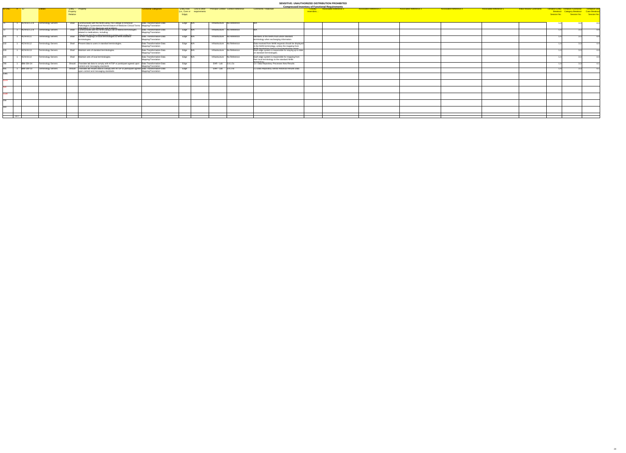|                          |                    |                            |                                                                                                                                                                                                    |                                                 |                                                                           |                             |                                            |                                                                                                                                                               | <b>Compressed Inventory of Functional Requirements</b> |                               |                               |                               |                               |                                |                                                                                                                                                                                  |  |
|--------------------------|--------------------|----------------------------|----------------------------------------------------------------------------------------------------------------------------------------------------------------------------------------------------|-------------------------------------------------|---------------------------------------------------------------------------|-----------------------------|--------------------------------------------|---------------------------------------------------------------------------------------------------------------------------------------------------------------|--------------------------------------------------------|-------------------------------|-------------------------------|-------------------------------|-------------------------------|--------------------------------|----------------------------------------------------------------------------------------------------------------------------------------------------------------------------------|--|
|                          | $ID-ONC$ $\#$ $ID$ |                            | Entity - Property<br>Property<br>Relation                                                                                                                                                          | Functional Categories                           | <b>Entity Role</b> Link to other<br>(i.e., Core or requirements)<br>Edge) |                             | <b>Principal Context Context Reference</b> | <b>Comments / Rationale</b>                                                                                                                                   | <b>Associated Reference 1</b><br>resembles.            | <b>Associated Reference 2</b> | <b>Associated Reference 3</b> | <b>Associated Reference 4</b> | <b>Associated Reference 5</b> | <b>Initial Review Comments</b> | Tentative Entity Tentative Functional<br>Tentative Entity Tentative Functional Tentiative Use<br>Breakout Category Breakout Case Breakout<br>Session No. Session No. Session No. |  |
|                          | 1 $ ACN-02.5.2.8$  | <b>Terminology Servers</b> | Shall Communicate with the NHIN using The College of American<br>Pathologists Systematized Nomenclature of Medicine Clinical Terms   Mapping/Translation<br>ISNOMED CT) for diagnosis and problems | Data Transformation-Data                        | Edge N/A                                                                  | Infrastructure No Reference |                                            |                                                                                                                                                               |                                                        |                               |                               |                               |                               |                                | 3.3                                                                                                                                                                              |  |
|                          | ACN-02.5.2.9       | <b>Terminology Servers</b> | Communicate with the NHIN using a set of federal terminologies<br>Shall<br>related to medications, including:<br>The Food and Drug Administration's names and codes for                            | Data Transformation-Data<br>Mapping/Translation | Edge N/A                                                                  | Infrastructure No Reference |                                            |                                                                                                                                                               |                                                        |                               |                               |                               |                               |                                |                                                                                                                                                                                  |  |
|                          | ACN-04.11          | <b>Terminology Servers</b> | Shall Contain mappings of local terminologies to NHIN standard<br>terminologies                                                                                                                    | Data Transformation-Data<br>Mapping/Translation | Edge N/A                                                                  | Infrastructure No Reference |                                            | Members of the NHIN must utilize standard<br>terminology when exchanging information.                                                                         |                                                        |                               |                               |                               |                               |                                |                                                                                                                                                                                  |  |
|                          | ACN-04.12          | <b>Terminology Servers</b> | Shall Present data to users in standard terminologies.                                                                                                                                             | Data Transformation-Data<br>Mapping/Translation | Edge N/A                                                                  | Infrastructure No Reference |                                            | Data received from NHIN requests should be displayed<br>in the NHIN terminology, unless the mapping from<br>NHIN terminology hack to local terminology exists |                                                        |                               |                               |                               |                               |                                |                                                                                                                                                                                  |  |
|                          | ACN-04.13          | <b>Terminology Servers</b> | Shall Maintain sets of standard terminologies.                                                                                                                                                     | Data Transformation-Data<br>Mapping/Translation | Edge N/A                                                                  | Infrastructure No Reference |                                            | Each edge system is responsible for staying up to date<br>on standard terminologies.                                                                          |                                                        |                               |                               |                               |                               |                                |                                                                                                                                                                                  |  |
| 104                      | ACN-04.14          | <b>Terminology Servers</b> | Shall Maintain sets of local terminologies.                                                                                                                                                        | Data Transformation-Data<br>Mapping/Translation | Edge N/A                                                                  | Infrastructure No Reference |                                            | Each edge system is responsible for mapping from<br>their local terminology to the standard NHIN                                                              |                                                        |                               |                               |                               |                               |                                |                                                                                                                                                                                  |  |
|                          | <b>IBM-304-24</b>  | <b>Terminology Servers</b> | Should Translate lab data to comply with HITSP or participant agreed upon<br>content and messaging standards                                                                                       | Data Transformation-Data<br>Mapping/Translation | Edge                                                                      | EHR-Lab $3.4.1.5x$          |                                            | 1.4 Data Repository Processes New Results                                                                                                                     |                                                        |                               |                               |                               |                               |                                |                                                                                                                                                                                  |  |
| 905<br>$\overline{1085}$ | <b>IBM-309-13</b>  | <b>Terminology Servers</b> | Should   Translate lab results data to comply with HITSP or participant agreed Data Transformation-Data<br>upon content and messaging standards                                                    | Mapping/Translation                             | Edge                                                                      | EHR-Lab $3.4.3.4x$          |                                            | 2.3 Data Repository Sends Historical Results Data                                                                                                             |                                                        |                               |                               |                               |                               |                                |                                                                                                                                                                                  |  |
|                          |                    |                            |                                                                                                                                                                                                    |                                                 |                                                                           |                             |                                            |                                                                                                                                                               |                                                        |                               |                               |                               |                               |                                |                                                                                                                                                                                  |  |
|                          |                    |                            |                                                                                                                                                                                                    |                                                 |                                                                           |                             |                                            |                                                                                                                                                               |                                                        |                               |                               |                               |                               |                                |                                                                                                                                                                                  |  |
|                          |                    |                            |                                                                                                                                                                                                    |                                                 |                                                                           |                             |                                            |                                                                                                                                                               |                                                        |                               |                               |                               |                               |                                |                                                                                                                                                                                  |  |
|                          |                    |                            |                                                                                                                                                                                                    |                                                 |                                                                           |                             |                                            |                                                                                                                                                               |                                                        |                               |                               |                               |                               |                                |                                                                                                                                                                                  |  |
|                          |                    |                            |                                                                                                                                                                                                    |                                                 |                                                                           |                             |                                            |                                                                                                                                                               |                                                        |                               |                               |                               |                               |                                |                                                                                                                                                                                  |  |
|                          |                    |                            |                                                                                                                                                                                                    |                                                 |                                                                           |                             |                                            |                                                                                                                                                               |                                                        |                               |                               |                               |                               |                                |                                                                                                                                                                                  |  |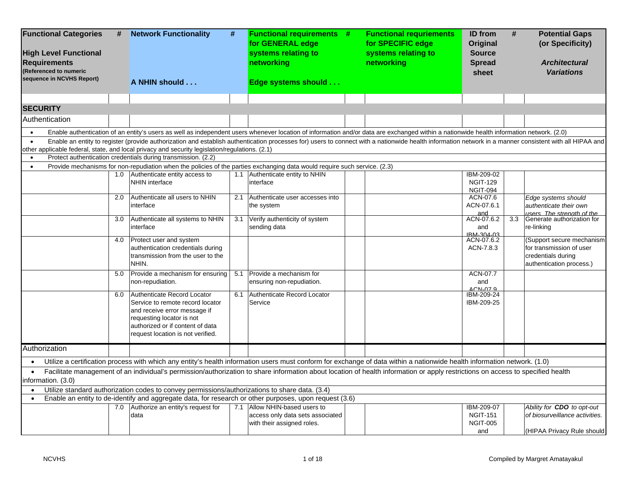| <b>Functional Categories</b><br><b>High Level Functional</b><br><b>Requirements</b><br>(Referenced to numeric<br>sequence in NCVHS Report) | #   | <b>Network Functionality</b><br>A NHIN should                                                                                                                          | #   | <b>Functional requirements #</b><br>for GENERAL edge<br>systems relating to<br>networking<br>Edge systems should                                                                                        | <b>Functional requriements</b><br>for SPECIFIC edge<br>systems relating to<br>networking | <b>ID</b> from<br>#<br>Original<br><b>Source</b><br><b>Spread</b><br>sheet | <b>Potential Gaps</b><br>(or Specificity)<br><b>Architectural</b><br><b>Variations</b>                  |
|--------------------------------------------------------------------------------------------------------------------------------------------|-----|------------------------------------------------------------------------------------------------------------------------------------------------------------------------|-----|---------------------------------------------------------------------------------------------------------------------------------------------------------------------------------------------------------|------------------------------------------------------------------------------------------|----------------------------------------------------------------------------|---------------------------------------------------------------------------------------------------------|
| <b>SECURITY</b>                                                                                                                            |     |                                                                                                                                                                        |     |                                                                                                                                                                                                         |                                                                                          |                                                                            |                                                                                                         |
| Authentication                                                                                                                             |     |                                                                                                                                                                        |     |                                                                                                                                                                                                         |                                                                                          |                                                                            |                                                                                                         |
|                                                                                                                                            |     |                                                                                                                                                                        |     | Enable authentication of an entity's users as well as independent users whenever location of information and/or data are exchanged within a nationwide health information network. (2.0)                |                                                                                          |                                                                            |                                                                                                         |
| $\bullet$                                                                                                                                  |     |                                                                                                                                                                        |     | Enable an entity to register (provide authorization and establish authentication processes for) users to connect with a nationwide health information network in a manner consistent with all HIPAA and |                                                                                          |                                                                            |                                                                                                         |
|                                                                                                                                            |     | other applicable federal, state, and local privacy and security legislation/regulations. (2.1)                                                                         |     |                                                                                                                                                                                                         |                                                                                          |                                                                            |                                                                                                         |
| $\bullet$                                                                                                                                  |     | Protect authentication credentials during transmission. (2.2)                                                                                                          |     | Provide mechanisms for non-repudiation when the policies of the parties exchanging data would require such service. (2.3)                                                                               |                                                                                          |                                                                            |                                                                                                         |
|                                                                                                                                            |     | 1.0 Authenticate entity access to                                                                                                                                      | 1.1 | Authenticate entity to NHIN                                                                                                                                                                             |                                                                                          | IBM-209-02                                                                 |                                                                                                         |
|                                                                                                                                            |     | <b>NHIN</b> interface                                                                                                                                                  |     | interface                                                                                                                                                                                               |                                                                                          | <b>NGIT-129</b><br><b>NGIT-094</b>                                         |                                                                                                         |
|                                                                                                                                            | 2.0 | Authenticate all users to NHIN<br>interface                                                                                                                            | 2.1 | Authenticate user accesses into<br>the system                                                                                                                                                           |                                                                                          | ACN-07.6<br>ACN-07.6.1                                                     | Edge systems should<br>authenticate their own                                                           |
|                                                                                                                                            | 3.0 | Authenticate all systems to NHIN<br>interface                                                                                                                          | 3.1 | Verify authenticity of system<br>sending data                                                                                                                                                           |                                                                                          | and<br>ACN-07.6.2<br>3.3<br>and<br>IRM 304 03                              | users. The strenath of the<br>Generate authorization for<br>re-linking                                  |
|                                                                                                                                            | 4.0 | Protect user and system<br>authentication credentials during<br>transmission from the user to the<br>NHIN.                                                             |     |                                                                                                                                                                                                         |                                                                                          | ACN-07.6.2<br>ACN-7.8.3                                                    | (Support secure mechanism<br>for transmission of user<br>credentials during<br>authentication process.) |
|                                                                                                                                            | 5.0 | Provide a mechanism for ensuring<br>non-repudiation.                                                                                                                   | 5.1 | Provide a mechanism for<br>ensuring non-repudiation.                                                                                                                                                    |                                                                                          | ACN-07.7<br>and                                                            |                                                                                                         |
|                                                                                                                                            | 6.0 | Authenticate Record Locator                                                                                                                                            | 6.1 | Authenticate Record Locator                                                                                                                                                                             |                                                                                          | $ACN-079$<br>IBM-209-24                                                    |                                                                                                         |
|                                                                                                                                            |     | Service to remote record locator<br>and receive error message if<br>requesting locator is not<br>authorized or if content of data<br>request location is not verified. |     | Service                                                                                                                                                                                                 |                                                                                          | IBM-209-25                                                                 |                                                                                                         |
| Authorization                                                                                                                              |     |                                                                                                                                                                        |     |                                                                                                                                                                                                         |                                                                                          |                                                                            |                                                                                                         |
|                                                                                                                                            |     |                                                                                                                                                                        |     | Utilize a certification process with which any entity's health information users must conform for exchange of data within a nationwide health information network. (1.0)                                |                                                                                          |                                                                            |                                                                                                         |
| $\bullet$<br>information. (3.0)                                                                                                            |     |                                                                                                                                                                        |     | Facilitate management of an individual's permission/authorization to share information about location of health information or apply restrictions on access to specified health                         |                                                                                          |                                                                            |                                                                                                         |
| $\bullet$                                                                                                                                  |     | Utilize standard authorization codes to convey permissions/authorizations to share data. (3.4)                                                                         |     |                                                                                                                                                                                                         |                                                                                          |                                                                            |                                                                                                         |
|                                                                                                                                            |     |                                                                                                                                                                        |     | Enable an entity to de-identify and aggregate data, for research or other purposes, upon request (3.6)                                                                                                  |                                                                                          |                                                                            |                                                                                                         |
|                                                                                                                                            | 7.0 | Authorize an entity's request for<br>data                                                                                                                              |     | 7.1 Allow NHIN-based users to<br>access only data sets associated<br>with their assigned roles.                                                                                                         |                                                                                          | IBM-209-07<br><b>NGIT-151</b><br><b>NGIT-005</b>                           | Ability for <b>CDO</b> to opt-out<br>of biosurveillance activities.                                     |
|                                                                                                                                            |     |                                                                                                                                                                        |     |                                                                                                                                                                                                         |                                                                                          | and                                                                        | (HIPAA Privacy Rule should                                                                              |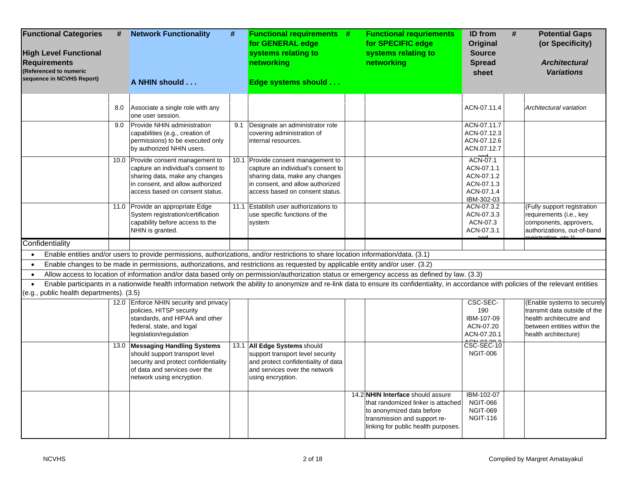| <b>Functional Categories</b><br><b>High Level Functional</b><br><b>Requirements</b><br>(Referenced to numeric<br>sequence in NCVHS Report) | #   | <b>Network Functionality</b><br>A NHIN should                                                                                                                                     | #   | <b>Functional requirements #</b><br>for GENERAL edge<br>systems relating to<br>networking<br>Edge systems should                                                                                                                                                                                                                               | <b>Functional requriements</b><br>for SPECIFIC edge<br>systems relating to<br>networking                                                                                    | #<br><b>ID</b> from<br>Original<br><b>Source</b><br><b>Spread</b><br>sheet     | <b>Potential Gaps</b><br>(or Specificity)<br><b>Architectural</b><br><b>Variations</b>                                                        |
|--------------------------------------------------------------------------------------------------------------------------------------------|-----|-----------------------------------------------------------------------------------------------------------------------------------------------------------------------------------|-----|------------------------------------------------------------------------------------------------------------------------------------------------------------------------------------------------------------------------------------------------------------------------------------------------------------------------------------------------|-----------------------------------------------------------------------------------------------------------------------------------------------------------------------------|--------------------------------------------------------------------------------|-----------------------------------------------------------------------------------------------------------------------------------------------|
|                                                                                                                                            | 8.0 | Associate a single role with any<br>one user session.                                                                                                                             |     |                                                                                                                                                                                                                                                                                                                                                |                                                                                                                                                                             | ACN-07.11.4                                                                    | Architectural variation                                                                                                                       |
|                                                                                                                                            | 9.0 | Provide NHIN administration<br>capabilities (e.g., creation of<br>permissions) to be executed only<br>by authorized NHIN users.                                                   | 9.1 | Designate an administrator role<br>covering administration of<br>internal resources.                                                                                                                                                                                                                                                           |                                                                                                                                                                             | ACN-07.11.7<br>ACN-07.12.3<br>ACN-07.12.6<br>ACN.07.12.7                       |                                                                                                                                               |
|                                                                                                                                            |     | 10.0 Provide consent management to<br>capture an individual's consent to<br>sharing data, make any changes<br>in consent, and allow authorized<br>access based on consent status. |     | 10.1 Provide consent management to<br>capture an individual's consent to<br>sharing data, make any changes<br>in consent, and allow authorized<br>access based on consent status.                                                                                                                                                              |                                                                                                                                                                             | ACN-07.1<br>ACN-07.1.1<br>ACN-07.1.2<br>ACN-07.1.3<br>ACN-07.1.4<br>IBM-302-03 |                                                                                                                                               |
|                                                                                                                                            |     | 11.0 Provide an appropriate Edge<br>System registration/certification<br>capability before access to the<br>NHIN is granted.                                                      |     | 11.1 Establish user authorizations to<br>use specific functions of the<br>system                                                                                                                                                                                                                                                               |                                                                                                                                                                             | ACN-07.3.2<br>ACN-07.3.3<br>ACN-07.3<br>ACN-07.3.1                             | (Fully support registration<br>requirements (i.e., key<br>components, approvers,<br>authorizations, out-of-band                               |
| Confidentiality                                                                                                                            |     |                                                                                                                                                                                   |     |                                                                                                                                                                                                                                                                                                                                                |                                                                                                                                                                             |                                                                                |                                                                                                                                               |
| $\bullet$                                                                                                                                  |     |                                                                                                                                                                                   |     | Enable entities and/or users to provide permissions, authorizations, and/or restrictions to share location information/data. (3.1)                                                                                                                                                                                                             |                                                                                                                                                                             |                                                                                |                                                                                                                                               |
| $\bullet$                                                                                                                                  |     |                                                                                                                                                                                   |     | Enable changes to be made in permissions, authorizations, and restrictions as requested by applicable entity and/or user. (3.2)                                                                                                                                                                                                                |                                                                                                                                                                             |                                                                                |                                                                                                                                               |
| (e.g., public health departments). (3.5)                                                                                                   |     |                                                                                                                                                                                   |     | Allow access to location of information and/or data based only on permission/authorization status or emergency access as defined by law. (3.3)<br>Enable participants in a nationwide health information network the ability to anonymize and re-link data to ensure its confidentiality, in accordance with policies of the relevant entities |                                                                                                                                                                             |                                                                                |                                                                                                                                               |
|                                                                                                                                            |     | 12.0 Enforce NHIN security and privacy<br>policies, HITSP security<br>standards, and HIPAA and other<br>federal, state, and logal<br>legislation/regulation                       |     |                                                                                                                                                                                                                                                                                                                                                |                                                                                                                                                                             | CSC-SEC-<br>190<br>IBM-107-09<br>ACN-07.20<br>ACN-07.20.1<br>0.0107222         | (Enable systems to securely<br>transmit data outside of the<br>health architecutre and<br>between entities within the<br>health architecture) |
|                                                                                                                                            |     | 13.0 Messaging Handling Systems<br>should support transport level<br>security and protect confidentiality<br>of data and services over the<br>network using encryption.           |     | 13.1 All Edge Systems should<br>support transport level security<br>and protect confidentiality of data<br>and services over the network<br>using encryption.                                                                                                                                                                                  |                                                                                                                                                                             | CSC-SEC-10<br><b>NGIT-006</b>                                                  |                                                                                                                                               |
|                                                                                                                                            |     |                                                                                                                                                                                   |     |                                                                                                                                                                                                                                                                                                                                                | 14.2 NHIN Interface should assure<br>that randomized linker is attached<br>to anonymized data before<br>transmission and support re-<br>linking for public health purposes. | IBM-102-07<br><b>NGIT-066</b><br><b>NGIT-069</b><br><b>NGIT-116</b>            |                                                                                                                                               |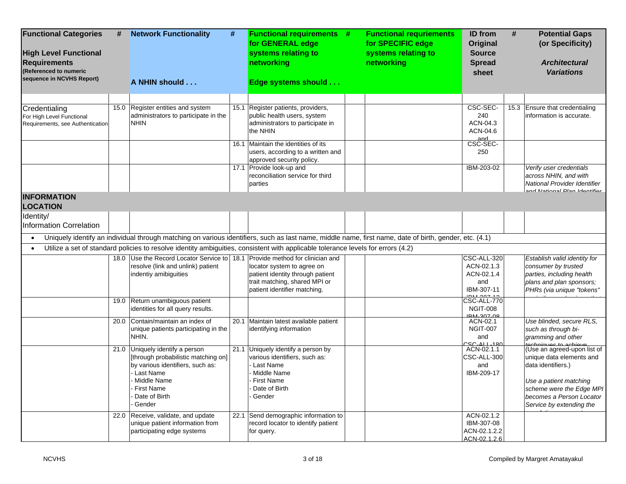| <b>Functional Categories</b><br><b>High Level Functional</b><br><b>Requirements</b><br>(Referenced to numeric<br>sequence in NCVHS Report) | # | <b>Network Functionality</b><br>A NHIN should                                                                                                                                   | # | <b>Functional requirements #</b><br>for GENERAL edge<br>systems relating to<br>networking<br>Edge systems should                                       | <b>Functional requriements</b><br>for SPECIFIC edge<br>systems relating to<br>networking | ID from<br>Original<br><b>Source</b><br><b>Spread</b><br>sheet | # | <b>Potential Gaps</b><br>(or Specificity)<br><b>Architectural</b><br><b>Variations</b>                                                                                                      |
|--------------------------------------------------------------------------------------------------------------------------------------------|---|---------------------------------------------------------------------------------------------------------------------------------------------------------------------------------|---|--------------------------------------------------------------------------------------------------------------------------------------------------------|------------------------------------------------------------------------------------------|----------------------------------------------------------------|---|---------------------------------------------------------------------------------------------------------------------------------------------------------------------------------------------|
|                                                                                                                                            |   |                                                                                                                                                                                 |   |                                                                                                                                                        |                                                                                          |                                                                |   |                                                                                                                                                                                             |
| Credentialing<br>For High Level Functional<br>Requirements, see Authentication                                                             |   | 15.0 Register entities and system<br>administrators to participate in the<br><b>NHIN</b>                                                                                        |   | 15.1 Register patients, providers,<br>public health users, system<br>administrators to participate in<br>the NHIN                                      |                                                                                          | CSC-SEC-<br>240<br>ACN-04.3<br>ACN-04.6<br>and                 |   | 15.3 Ensure that credentialing<br>information is accurate.                                                                                                                                  |
|                                                                                                                                            |   |                                                                                                                                                                                 |   | 16.1 Maintain the identities of its<br>users, according to a written and<br>approved security policy.                                                  |                                                                                          | CSC-SEC-<br>250                                                |   |                                                                                                                                                                                             |
|                                                                                                                                            |   |                                                                                                                                                                                 |   | 17.1 Provide look-up and<br>reconciliation service for third<br>parties                                                                                |                                                                                          | IBM-203-02                                                     |   | Verify user credentials<br>across NHIN, and with<br>National Provider Identifier<br>and National Dlan Idontifior                                                                            |
| <b>INFORMATION</b><br><b>LOCATION</b>                                                                                                      |   |                                                                                                                                                                                 |   |                                                                                                                                                        |                                                                                          |                                                                |   |                                                                                                                                                                                             |
| Identity/<br><b>Information Correlation</b>                                                                                                |   |                                                                                                                                                                                 |   |                                                                                                                                                        |                                                                                          |                                                                |   |                                                                                                                                                                                             |
|                                                                                                                                            |   |                                                                                                                                                                                 |   | Uniquely identify an individual through matching on various identifiers, such as last name, middle name, first name, date of birth, gender, etc. (4.1) |                                                                                          |                                                                |   |                                                                                                                                                                                             |
|                                                                                                                                            |   |                                                                                                                                                                                 |   | Utilize a set of standard policies to resolve identity ambiguities, consistent with applicable tolerance levels for errors (4.2)                       |                                                                                          |                                                                |   |                                                                                                                                                                                             |
|                                                                                                                                            |   | 18.0 Use the Record Locator Service to 18.1 Provide method for clinician and<br>resolve (link and unlink) patient<br>indentiy amibiguities                                      |   | locator system to agree on<br>patient identity through patient<br>trait matching, shared MPI or<br>patient identifier matching.                        |                                                                                          | CSC-ALL-320<br>ACN-02.1.3<br>ACN-02.1.4<br>and<br>IBM-307-11   |   | Establish valid identity for<br>consumer by trusted<br>parties, including health<br>plans and plan sponsors;<br>PHRs (via unique "tokens"                                                   |
|                                                                                                                                            |   | 19.0 Return unambiguous patient<br>identities for all query results.                                                                                                            |   |                                                                                                                                                        |                                                                                          | CSC-ALL-770<br><b>NGIT-008</b><br>IRM-307-08                   |   |                                                                                                                                                                                             |
|                                                                                                                                            |   | 20.0 Contain/maintain an index of<br>unique patients participating in the<br>NHIN.                                                                                              |   | 20.1 Maintain latest available patient<br>identifying information                                                                                      |                                                                                          | ACN-02.1<br>NGIT-007<br>and<br><u>CC ALL 180</u>               |   | Use blinded, secure RLS,<br>such as through bi-<br>gramming and other<br>tochniques to achieve                                                                                              |
|                                                                                                                                            |   | 21.0 Uniquely identify a person<br>[through probabilistic matching on]<br>by various identifiers, such as:<br>Last Name<br>Middle Name<br>First Name<br>Date of Birth<br>Gender |   | 21.1 Uniquely identify a person by<br>various identifiers, such as:<br>Last Name<br>Middle Name<br>First Name<br>Date of Birth<br>Gender               |                                                                                          | ACN-02.1.1<br>CSC-ALL-300<br>and<br>IBM-209-17                 |   | (Use an agreed-upon list of<br>unique data elements and<br>data identifiers.)<br>Use a patient matching<br>scheme were the Edge MPI<br>becomes a Person Locator<br>Service by extending the |
|                                                                                                                                            |   | 22.0 Receive, validate, and update<br>unique patient information from<br>participating edge systems                                                                             |   | 22.1 Send demographic information to<br>record locator to identify patient<br>for query.                                                               |                                                                                          | ACN-02.1.2<br>IBM-307-08<br>ACN-02.1.2.2<br>ACN-02.1.2.6       |   |                                                                                                                                                                                             |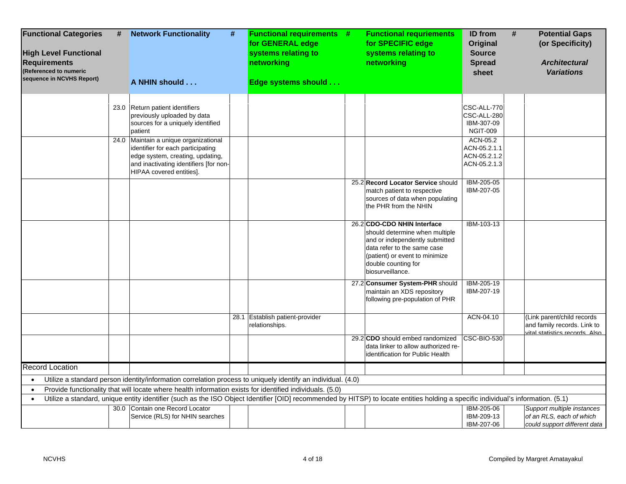| <b>Functional Categories</b><br><b>High Level Functional</b><br><b>Requirements</b><br>(Referenced to numeric<br>sequence in NCVHS Report) | # | <b>Network Functionality</b><br>#<br>A NHIN should                                                                                                                                | <b>Functional requirements #</b><br>for GENERAL edge<br>systems relating to<br>networking<br>Edge systems should | <b>Functional requriements</b><br>for SPECIFIC edge<br>systems relating to<br>networking                                                                                     | ID from<br>Original<br><b>Source</b><br><b>Spread</b><br>sheet | # | <b>Potential Gaps</b><br>(or Specificity)<br><b>Architectural</b><br><b>Variations</b>      |
|--------------------------------------------------------------------------------------------------------------------------------------------|---|-----------------------------------------------------------------------------------------------------------------------------------------------------------------------------------|------------------------------------------------------------------------------------------------------------------|------------------------------------------------------------------------------------------------------------------------------------------------------------------------------|----------------------------------------------------------------|---|---------------------------------------------------------------------------------------------|
|                                                                                                                                            |   |                                                                                                                                                                                   |                                                                                                                  |                                                                                                                                                                              |                                                                |   |                                                                                             |
|                                                                                                                                            |   | 23.0 Return patient identifiers<br>previously uploaded by data<br>sources for a uniquely identified<br>patient                                                                    |                                                                                                                  |                                                                                                                                                                              | CSC-ALL-770<br>CSC-ALL-280<br>IBM-307-09<br><b>NGIT-009</b>    |   |                                                                                             |
|                                                                                                                                            |   | 24.0 Maintain a unique organizational                                                                                                                                             |                                                                                                                  |                                                                                                                                                                              | ACN-05.2                                                       |   |                                                                                             |
|                                                                                                                                            |   | identifier for each participating                                                                                                                                                 |                                                                                                                  |                                                                                                                                                                              | ACN-05.2.1.1                                                   |   |                                                                                             |
|                                                                                                                                            |   | edge system, creating, updating,<br>and inactivating identifiers [for non-<br>HIPAA covered entities].                                                                            |                                                                                                                  |                                                                                                                                                                              | ACN-05.2.1.2<br>ACN-05.2.1.3                                   |   |                                                                                             |
|                                                                                                                                            |   |                                                                                                                                                                                   |                                                                                                                  | 25.2 Record Locator Service should                                                                                                                                           | IBM-205-05                                                     |   |                                                                                             |
|                                                                                                                                            |   |                                                                                                                                                                                   |                                                                                                                  | match patient to respective                                                                                                                                                  | IBM-207-05                                                     |   |                                                                                             |
|                                                                                                                                            |   |                                                                                                                                                                                   |                                                                                                                  | sources of data when populating<br>the PHR from the NHIN                                                                                                                     |                                                                |   |                                                                                             |
|                                                                                                                                            |   |                                                                                                                                                                                   |                                                                                                                  | 26.2 CDO-CDO NHIN Interface                                                                                                                                                  | IBM-103-13                                                     |   |                                                                                             |
|                                                                                                                                            |   |                                                                                                                                                                                   |                                                                                                                  | should determine when multiple<br>and or independently submitted<br>data refer to the same case<br>(patient) or event to minimize<br>double counting for<br>biosurveillance. |                                                                |   |                                                                                             |
|                                                                                                                                            |   |                                                                                                                                                                                   |                                                                                                                  | 27.2 Consumer System-PHR should                                                                                                                                              | IBM-205-19                                                     |   |                                                                                             |
|                                                                                                                                            |   |                                                                                                                                                                                   |                                                                                                                  | maintain an XDS repository<br>following pre-population of PHR                                                                                                                | IBM-207-19                                                     |   |                                                                                             |
|                                                                                                                                            |   |                                                                                                                                                                                   | 28.1 Establish patient-provider<br>relationships.                                                                |                                                                                                                                                                              | ACN-04.10                                                      |   | (Link parent/child records<br>and family records. Link to<br>vital statistics records. Also |
|                                                                                                                                            |   |                                                                                                                                                                                   |                                                                                                                  | 29.2 CDO should embed randomized<br>data linker to allow authorized re-<br>identification for Public Health                                                                  | <b>CSC-BIO-530</b>                                             |   |                                                                                             |
| <b>Record Location</b>                                                                                                                     |   |                                                                                                                                                                                   |                                                                                                                  |                                                                                                                                                                              |                                                                |   |                                                                                             |
| $\bullet$                                                                                                                                  |   | Utilize a standard person identity/information correlation process to uniquely identify an individual. (4.0)                                                                      |                                                                                                                  |                                                                                                                                                                              |                                                                |   |                                                                                             |
| $\bullet$                                                                                                                                  |   | Provide functionality that will locate where health information exists for identified individuals. (5.0)                                                                          |                                                                                                                  |                                                                                                                                                                              |                                                                |   |                                                                                             |
| $\bullet$                                                                                                                                  |   | Utilize a standard, unique entity identifier (such as the ISO Object Identifier [OID] recommended by HITSP) to locate entities holding a specific individual's information. (5.1) |                                                                                                                  |                                                                                                                                                                              |                                                                |   |                                                                                             |
|                                                                                                                                            |   | 30.0 Contain one Record Locator                                                                                                                                                   |                                                                                                                  |                                                                                                                                                                              | IBM-205-06                                                     |   | Support multiple instances                                                                  |
|                                                                                                                                            |   | Service (RLS) for NHIN searches                                                                                                                                                   |                                                                                                                  |                                                                                                                                                                              | IBM-209-13                                                     |   | of an RLS, each of which                                                                    |
|                                                                                                                                            |   |                                                                                                                                                                                   |                                                                                                                  |                                                                                                                                                                              | IBM-207-06                                                     |   | could support different data                                                                |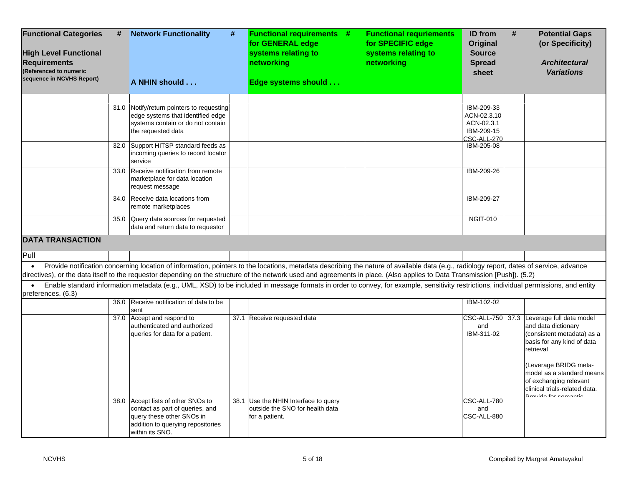| <b>Functional Categories</b><br><b>High Level Functional</b><br><b>Requirements</b><br>(Referenced to numeric<br>sequence in NCVHS Report) | #    | <b>Network Functionality</b><br>A NHIN should                                                                                                                                                                                                                                                                                                                         | # | <b>Functional requirements #</b><br>for GENERAL edge<br>systems relating to<br>networking<br>Edge systems should | <b>Functional requriements</b><br>for SPECIFIC edge<br>systems relating to<br>networking | <b>ID</b> from<br><b>Original</b><br><b>Source</b><br><b>Spread</b><br>sheet | # | <b>Potential Gaps</b><br>(or Specificity)<br><b>Architectural</b><br><b>Variations</b>                                                                                                                                                                                    |
|--------------------------------------------------------------------------------------------------------------------------------------------|------|-----------------------------------------------------------------------------------------------------------------------------------------------------------------------------------------------------------------------------------------------------------------------------------------------------------------------------------------------------------------------|---|------------------------------------------------------------------------------------------------------------------|------------------------------------------------------------------------------------------|------------------------------------------------------------------------------|---|---------------------------------------------------------------------------------------------------------------------------------------------------------------------------------------------------------------------------------------------------------------------------|
|                                                                                                                                            | 31.0 | Notify/return pointers to requesting<br>edge systems that identified edge<br>systems contain or do not contain<br>the requested data                                                                                                                                                                                                                                  |   |                                                                                                                  |                                                                                          | IBM-209-33<br>ACN-02.3.10<br>ACN-02.3.1<br>IBM-209-15<br>CSC-ALL-270         |   |                                                                                                                                                                                                                                                                           |
|                                                                                                                                            |      | 32.0 Support HITSP standard feeds as<br>incoming queries to record locator<br>service                                                                                                                                                                                                                                                                                 |   |                                                                                                                  |                                                                                          | IBM-205-08                                                                   |   |                                                                                                                                                                                                                                                                           |
|                                                                                                                                            |      | 33.0 Receive notification from remote<br>marketplace for data location<br>request message                                                                                                                                                                                                                                                                             |   |                                                                                                                  |                                                                                          | IBM-209-26                                                                   |   |                                                                                                                                                                                                                                                                           |
|                                                                                                                                            |      | 34.0 Receive data locations from<br>remote marketplaces                                                                                                                                                                                                                                                                                                               |   |                                                                                                                  |                                                                                          | IBM-209-27                                                                   |   |                                                                                                                                                                                                                                                                           |
|                                                                                                                                            |      | 35.0 Query data sources for requested<br>data and return data to requestor                                                                                                                                                                                                                                                                                            |   |                                                                                                                  |                                                                                          | <b>NGIT-010</b>                                                              |   |                                                                                                                                                                                                                                                                           |
| <b>DATA TRANSACTION</b>                                                                                                                    |      |                                                                                                                                                                                                                                                                                                                                                                       |   |                                                                                                                  |                                                                                          |                                                                              |   |                                                                                                                                                                                                                                                                           |
| Pull                                                                                                                                       |      |                                                                                                                                                                                                                                                                                                                                                                       |   |                                                                                                                  |                                                                                          |                                                                              |   |                                                                                                                                                                                                                                                                           |
| $\bullet$                                                                                                                                  |      | Provide notification concerning location of information, pointers to the locations, metadata describing the nature of available data (e.g., radiology report, dates of service, advance<br>directives), or the data itself to the requestor depending on the structure of the network used and agreements in place. (Also applies to Data Transmission [Push]). (5.2) |   |                                                                                                                  |                                                                                          |                                                                              |   |                                                                                                                                                                                                                                                                           |
| preferences. (6.3)                                                                                                                         |      | Enable standard information metadata (e.g., UML, XSD) to be included in message formats in order to convey, for example, sensitivity restrictions, individual permissions, and entity                                                                                                                                                                                 |   |                                                                                                                  |                                                                                          |                                                                              |   |                                                                                                                                                                                                                                                                           |
|                                                                                                                                            |      | 36.0 Receive notification of data to be<br>sent                                                                                                                                                                                                                                                                                                                       |   |                                                                                                                  |                                                                                          | IBM-102-02                                                                   |   |                                                                                                                                                                                                                                                                           |
|                                                                                                                                            |      | 37.0 Accept and respond to<br>authenticated and authorized<br>queries for data for a patient.                                                                                                                                                                                                                                                                         |   | 37.1 Receive requested data                                                                                      |                                                                                          | CSC-ALL-750 37.3<br>and<br>IBM-311-02                                        |   | Leverage full data model<br>and data dictionary<br>(consistent metadata) as a<br>basis for any kind of data<br>retrieval<br>(Leverage BRIDG meta-<br>model as a standard means<br>of exchanging relevant<br>clinical trials-related data.<br><b>Provide for compation</b> |
|                                                                                                                                            |      | 38.0 Accept lists of other SNOs to<br>contact as part of queries, and<br>query these other SNOs in<br>addition to querying repositories<br>within its SNO.                                                                                                                                                                                                            |   | 38.1 Use the NHIN Interface to query<br>outside the SNO for health data<br>for a patient.                        |                                                                                          | CSC-ALL-780<br>and<br>CSC-ALL-880                                            |   |                                                                                                                                                                                                                                                                           |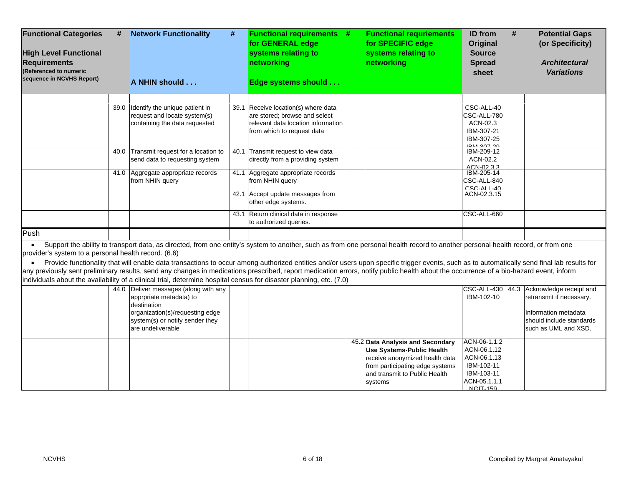| <b>Functional Categories</b><br><b>High Level Functional</b><br><b>Requirements</b><br>(Referenced to numeric | #    | <b>Network Functionality</b><br>#                                                                                                                                                                                                                                                                                                                                                                                                                                                                           | <b>Functional requirements #</b><br>for GENERAL edge<br>systems relating to<br>networking                                                | <b>Functional requriements</b><br>for SPECIFIC edge<br>systems relating to<br>networking                                                                                              | ID from<br>Original<br><b>Source</b><br><b>Spread</b><br>sheet                                                 | # | <b>Potential Gaps</b><br>(or Specificity)<br><b>Architectural</b><br><b>Variations</b>                                                           |
|---------------------------------------------------------------------------------------------------------------|------|-------------------------------------------------------------------------------------------------------------------------------------------------------------------------------------------------------------------------------------------------------------------------------------------------------------------------------------------------------------------------------------------------------------------------------------------------------------------------------------------------------------|------------------------------------------------------------------------------------------------------------------------------------------|---------------------------------------------------------------------------------------------------------------------------------------------------------------------------------------|----------------------------------------------------------------------------------------------------------------|---|--------------------------------------------------------------------------------------------------------------------------------------------------|
| sequence in NCVHS Report)                                                                                     |      | A NHIN should                                                                                                                                                                                                                                                                                                                                                                                                                                                                                               | Edge systems should                                                                                                                      |                                                                                                                                                                                       |                                                                                                                |   |                                                                                                                                                  |
|                                                                                                               | 39.0 | Identify the unique patient in<br>request and locate system(s)<br>containing the data requested                                                                                                                                                                                                                                                                                                                                                                                                             | 39.1 Receive location(s) where data<br>are stored; browse and select<br>relevant data location information<br>from which to request data |                                                                                                                                                                                       | CSC-ALL-40<br>CSC-ALL-780<br>ACN-02.3<br>IBM-307-21<br>IBM-307-25<br>IRM_307_20                                |   |                                                                                                                                                  |
|                                                                                                               | 40.0 | Transmit request for a location to<br>send data to requesting system                                                                                                                                                                                                                                                                                                                                                                                                                                        | 40.1 Transmit request to view data<br>directly from a providing system                                                                   |                                                                                                                                                                                       | IBM-209-12<br>ACN-02.2<br>ACN-0233                                                                             |   |                                                                                                                                                  |
|                                                                                                               |      | 41.0 Aggregate appropriate records<br>from NHIN query                                                                                                                                                                                                                                                                                                                                                                                                                                                       | 41.1 Aggregate appropriate records<br>from NHIN query                                                                                    |                                                                                                                                                                                       | IBM-205-14<br>CSC-ALL-840<br>$CSC-ALI-40$                                                                      |   |                                                                                                                                                  |
|                                                                                                               |      |                                                                                                                                                                                                                                                                                                                                                                                                                                                                                                             | 42.1 Accept update messages from<br>other edge systems.                                                                                  |                                                                                                                                                                                       | ACN-02.3.15                                                                                                    |   |                                                                                                                                                  |
|                                                                                                               |      |                                                                                                                                                                                                                                                                                                                                                                                                                                                                                                             | 43.1 Return clinical data in response<br>to authorized queries.                                                                          |                                                                                                                                                                                       | CSC-ALL-660                                                                                                    |   |                                                                                                                                                  |
| Push                                                                                                          |      |                                                                                                                                                                                                                                                                                                                                                                                                                                                                                                             |                                                                                                                                          |                                                                                                                                                                                       |                                                                                                                |   |                                                                                                                                                  |
| $\bullet$<br>provider's system to a personal health record. (6.6)                                             |      | Support the ability to transport data, as directed, from one entity's system to another, such as from one personal health record to another personal health record, or from one                                                                                                                                                                                                                                                                                                                             |                                                                                                                                          |                                                                                                                                                                                       |                                                                                                                |   |                                                                                                                                                  |
|                                                                                                               |      | Provide functionality that will enable data transactions to occur among authorized entities and/or users upon specific trigger events, such as to automatically send final lab results for<br>any previously sent preliminary results, send any changes in medications prescribed, report medication errors, notify public health about the occurrence of a bio-hazard event, inform<br>individuals about the availability of a clinical trial, determine hospital census for disaster planning, etc. (7.0) |                                                                                                                                          |                                                                                                                                                                                       |                                                                                                                |   |                                                                                                                                                  |
|                                                                                                               |      | 44.0 Deliver messages (along with any<br>apprpriate metadata) to<br>destination<br>organization(s)/requesting edge<br>system(s) or notify sender they<br>are undeliverable                                                                                                                                                                                                                                                                                                                                  |                                                                                                                                          |                                                                                                                                                                                       | IBM-102-10                                                                                                     |   | CSC-ALL-430 44.3 Acknowledge receipt and<br>retransmit if necessary.<br>Information metadata<br>should include standards<br>such as UML and XSD. |
|                                                                                                               |      |                                                                                                                                                                                                                                                                                                                                                                                                                                                                                                             |                                                                                                                                          | 45.2 Data Analysis and Secondary<br><b>Use Systems-Public Health</b><br>receive anonymized health data<br>from participating edge systems<br>and transmit to Public Health<br>systems | ACN-06-1.1.2<br>ACN-06.1.12<br>ACN-06.1.13<br>IBM-102-11<br>IBM-103-11<br>ACN-05.1.1.1<br>NGIT <sub>-150</sub> |   |                                                                                                                                                  |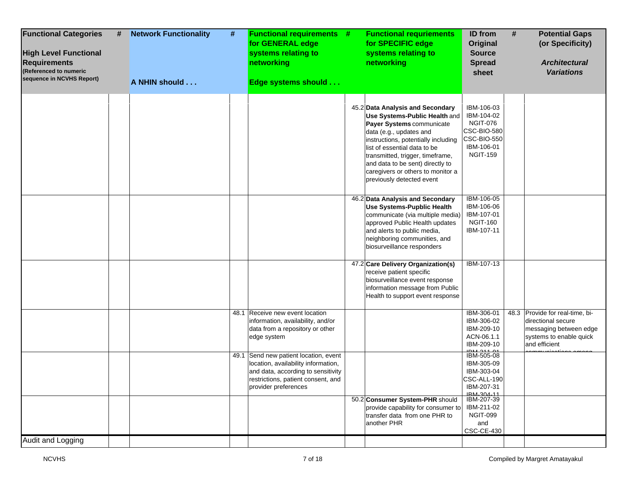| 45.2 Data Analysis and Secondary<br>IBM-106-03<br>IBM-104-02<br>Use Systems-Public Health and<br><b>NGIT-076</b><br>Payer Systems communicate<br>CSC-BIO-580<br>data (e.g., updates and<br>CSC-BIO-550<br>instructions, potentially including<br>IBM-106-01<br>list of essential data to be<br><b>NGIT-159</b><br>transmitted, trigger, timeframe,<br>and data to be sent) directly to<br>caregivers or others to monitor a<br>previously detected event<br>IBM-106-05<br>46.2 Data Analysis and Secondary<br>IBM-106-06<br>Use Systems-Pupblic Health<br>IBM-107-01<br>communicate (via multiple media)<br><b>NGIT-160</b><br>approved Public Health updates<br>IBM-107-11<br>and alerts to public media,<br>neighboring communities, and<br>biosurveillance responders<br>47.2 Care Delivery Organization(s)<br><b>IBM-107-13</b><br>receive patient specific<br>biosurveillance event response<br>information message from Public<br>Health to support event response<br>48.3 Provide for real-time, bi-<br>IBM-306-01<br>48.1 Receive new event location<br>information, availability, and/or<br>IBM-306-02<br>directional secure<br>IBM-209-10<br>data from a repository or other<br>ACN-06.1.1<br>edge system<br>and efficient<br>IBM-209-10<br>IBM-505-08<br>49.1 Send new patient location, event<br>location, availability information,<br>IBM-305-09<br>IBM-303-04<br>and data, according to sensitivity<br>CSC-ALL-190<br>restrictions, patient consent, and<br>IBM-207-31<br>provider preferences<br>IRM_304_11<br>50.2 Consumer System-PHR should<br>IBM-207-39 | <b>Functional Categories</b><br>#<br><b>High Level Functional</b><br><b>Requirements</b><br>(Referenced to numeric<br>sequence in NCVHS Report) | <b>Network Functionality</b><br>#<br>A NHIN should | <b>Functional requirements #</b><br>for GENERAL edge<br>systems relating to<br>networking<br>Edge systems should | <b>Functional requriements</b><br>for SPECIFIC edge<br>systems relating to<br>networking | <b>ID</b> from<br><b>Original</b><br><b>Source</b><br><b>Spread</b><br>sheet | # | <b>Potential Gaps</b><br>(or Specificity)<br><b>Architectural</b><br><b>Variations</b> |
|------------------------------------------------------------------------------------------------------------------------------------------------------------------------------------------------------------------------------------------------------------------------------------------------------------------------------------------------------------------------------------------------------------------------------------------------------------------------------------------------------------------------------------------------------------------------------------------------------------------------------------------------------------------------------------------------------------------------------------------------------------------------------------------------------------------------------------------------------------------------------------------------------------------------------------------------------------------------------------------------------------------------------------------------------------------------------------------------------------------------------------------------------------------------------------------------------------------------------------------------------------------------------------------------------------------------------------------------------------------------------------------------------------------------------------------------------------------------------------------------------------------------------------------------------------------------------|-------------------------------------------------------------------------------------------------------------------------------------------------|----------------------------------------------------|------------------------------------------------------------------------------------------------------------------|------------------------------------------------------------------------------------------|------------------------------------------------------------------------------|---|----------------------------------------------------------------------------------------|
|                                                                                                                                                                                                                                                                                                                                                                                                                                                                                                                                                                                                                                                                                                                                                                                                                                                                                                                                                                                                                                                                                                                                                                                                                                                                                                                                                                                                                                                                                                                                                                              |                                                                                                                                                 |                                                    |                                                                                                                  |                                                                                          |                                                                              |   |                                                                                        |
|                                                                                                                                                                                                                                                                                                                                                                                                                                                                                                                                                                                                                                                                                                                                                                                                                                                                                                                                                                                                                                                                                                                                                                                                                                                                                                                                                                                                                                                                                                                                                                              |                                                                                                                                                 |                                                    |                                                                                                                  |                                                                                          |                                                                              |   |                                                                                        |
|                                                                                                                                                                                                                                                                                                                                                                                                                                                                                                                                                                                                                                                                                                                                                                                                                                                                                                                                                                                                                                                                                                                                                                                                                                                                                                                                                                                                                                                                                                                                                                              |                                                                                                                                                 |                                                    |                                                                                                                  |                                                                                          |                                                                              |   |                                                                                        |
|                                                                                                                                                                                                                                                                                                                                                                                                                                                                                                                                                                                                                                                                                                                                                                                                                                                                                                                                                                                                                                                                                                                                                                                                                                                                                                                                                                                                                                                                                                                                                                              |                                                                                                                                                 |                                                    |                                                                                                                  |                                                                                          |                                                                              |   | messaging between edge<br>systems to enable quick                                      |
|                                                                                                                                                                                                                                                                                                                                                                                                                                                                                                                                                                                                                                                                                                                                                                                                                                                                                                                                                                                                                                                                                                                                                                                                                                                                                                                                                                                                                                                                                                                                                                              |                                                                                                                                                 |                                                    |                                                                                                                  |                                                                                          |                                                                              |   |                                                                                        |
| transfer data from one PHR to<br><b>NGIT-099</b><br>another PHR<br>and<br><b>CSC-CE-430</b><br>Audit and Logging                                                                                                                                                                                                                                                                                                                                                                                                                                                                                                                                                                                                                                                                                                                                                                                                                                                                                                                                                                                                                                                                                                                                                                                                                                                                                                                                                                                                                                                             |                                                                                                                                                 |                                                    |                                                                                                                  | provide capability for consumer to                                                       | IBM-211-02                                                                   |   |                                                                                        |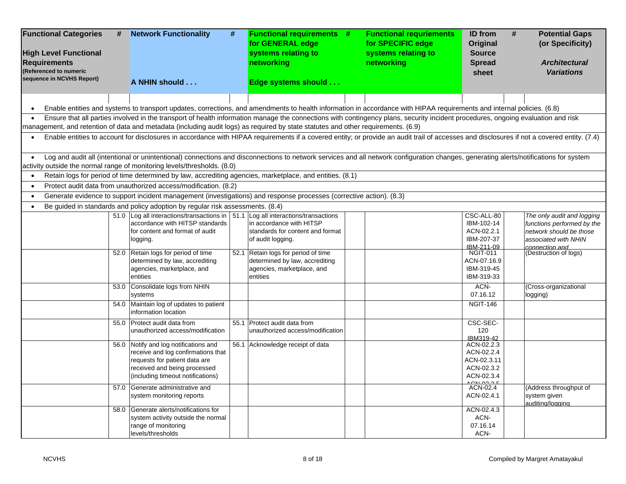| <b>Functional Categories</b><br>#<br><b>High Level Functional</b><br><b>Requirements</b><br>(Referenced to numeric<br>sequence in NCVHS Report) | <b>Network Functionality</b><br>#<br>A NHIN should                                                                                                                                                                                                                | <b>Functional requirements #</b><br>for GENERAL edge<br>systems relating to<br>networking<br>Edge systems should | <b>Functional requriements</b><br>for SPECIFIC edge<br>systems relating to<br>networking | ID from<br>Original<br><b>Source</b><br><b>Spread</b><br>sheet                     | <b>Potential Gaps</b><br>#<br>(or Specificity)<br><b>Architectural</b><br><b>Variations</b>                 |
|-------------------------------------------------------------------------------------------------------------------------------------------------|-------------------------------------------------------------------------------------------------------------------------------------------------------------------------------------------------------------------------------------------------------------------|------------------------------------------------------------------------------------------------------------------|------------------------------------------------------------------------------------------|------------------------------------------------------------------------------------|-------------------------------------------------------------------------------------------------------------|
| $\bullet$                                                                                                                                       | Enable entities and systems to transport updates, corrections, and amendments to health information in accordance with HIPAA requirements and internal policies. (6.8)                                                                                            |                                                                                                                  |                                                                                          |                                                                                    |                                                                                                             |
|                                                                                                                                                 | Ensure that all parties involved in the transport of health information manage the connections with contingency plans, security incident procedures, ongoing evaluation and risk                                                                                  |                                                                                                                  |                                                                                          |                                                                                    |                                                                                                             |
|                                                                                                                                                 | management, and retention of data and metadata (including audit logs) as required by state statutes and other requirements. (6.9)                                                                                                                                 |                                                                                                                  |                                                                                          |                                                                                    |                                                                                                             |
|                                                                                                                                                 | Enable entities to account for disclosures in accordance with HIPAA requirements if a covered entity; or provide an audit trail of accesses and disclosures if not a covered entity. (7.4)                                                                        |                                                                                                                  |                                                                                          |                                                                                    |                                                                                                             |
|                                                                                                                                                 | Log and audit all (intentional or unintentional) connections and disconnections to network services and all network configuration changes, generating alerts/notifications for system<br>activity outside the normal range of monitoring levels/thresholds. (8.0) |                                                                                                                  |                                                                                          |                                                                                    |                                                                                                             |
| $\bullet$                                                                                                                                       | Retain logs for period of time determined by law, accrediting agencies, marketplace, and entities. (8.1)                                                                                                                                                          |                                                                                                                  |                                                                                          |                                                                                    |                                                                                                             |
|                                                                                                                                                 | Protect audit data from unauthorized access/modification. (8.2)                                                                                                                                                                                                   |                                                                                                                  |                                                                                          |                                                                                    |                                                                                                             |
| $\bullet$                                                                                                                                       | Generate evidence to support incident management (investigations) and response processes (corrective action). (8.3)                                                                                                                                               |                                                                                                                  |                                                                                          |                                                                                    |                                                                                                             |
| $\bullet$                                                                                                                                       | Be guided in standards and policy adoption by regular risk assessments. (8.4)                                                                                                                                                                                     |                                                                                                                  |                                                                                          |                                                                                    |                                                                                                             |
|                                                                                                                                                 | 51.0 Log all interactions/transactions in   51.1 Log all interactions/transactions<br>accordance with HITSP standards<br>for content and format of audit<br>logging.                                                                                              | in accordance with HITSP<br>standards for content and format<br>of audit logging.                                |                                                                                          | CSC-ALL-80<br>IBM-102-14<br>ACN-02.2.1<br>IBM-207-37<br>IBM-211-09                 | The only audit and logging<br>functions performed by the<br>network should be those<br>associated with NHIN |
|                                                                                                                                                 | 52.0 Retain logs for period of time<br>determined by law, accrediting<br>agencies, marketplace, and<br>entities                                                                                                                                                   | 52.1 Retain logs for period of time<br>determined by law, accrediting<br>agencies, marketplace, and<br>entities  |                                                                                          | <b>NGIT-011</b><br>ACN-07.16.9<br>IBM-319-45<br>IBM-319-33                         | connection and<br>(Destruction of logs)                                                                     |
|                                                                                                                                                 | 53.0 Consolidate logs from NHIN<br>systems                                                                                                                                                                                                                        |                                                                                                                  |                                                                                          | ACN-<br>07.16.12                                                                   | (Cross-organizational<br>logging)                                                                           |
| 54.0                                                                                                                                            | Maintain log of updates to patient<br>information location                                                                                                                                                                                                        |                                                                                                                  |                                                                                          | <b>NGIT-146</b>                                                                    |                                                                                                             |
| 55.0                                                                                                                                            | Protect audit data from<br>unauthorized access/modification                                                                                                                                                                                                       | 55.1 Protect audit data from<br>unauthorized access/modification                                                 |                                                                                          | CSC-SEC-<br>120<br>IBM319-42                                                       |                                                                                                             |
|                                                                                                                                                 | 56.0 Notify and log notifications and<br>receive and log confirmations that<br>requests for patient data are<br>received and being processed<br>(including timeout notifications)                                                                                 | 56.1 Acknowledge receipt of data                                                                                 |                                                                                          | ACN-02.2.3<br>ACN-02.2.4<br>ACN-02.3.11<br>ACN-02.3.2<br>ACN-02.3.4<br>$C_{NLOQQ}$ |                                                                                                             |
|                                                                                                                                                 | 57.0 Generate administrative and<br>system monitoring reports                                                                                                                                                                                                     |                                                                                                                  |                                                                                          | ACN-02.4<br>ACN-02.4.1                                                             | (Address throughput of<br>system given<br>auditing/logging                                                  |
|                                                                                                                                                 | 58.0 Generate alerts/notifications for<br>system activity outside the normal<br>range of monitoring<br>levels/thresholds                                                                                                                                          |                                                                                                                  |                                                                                          | ACN-02.4.3<br>ACN-<br>07.16.14<br>ACN-                                             |                                                                                                             |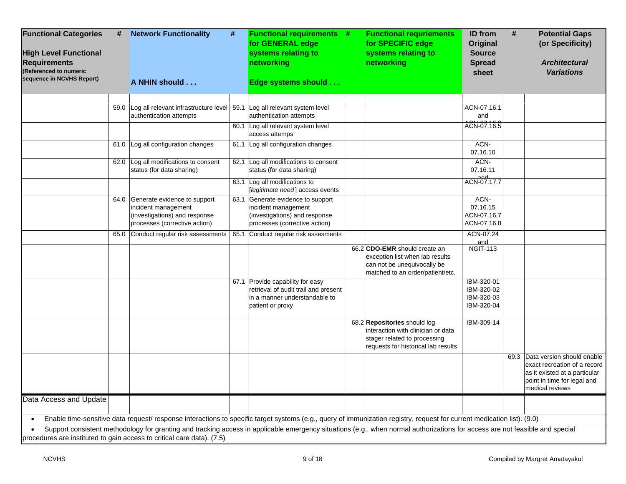| <b>Functional Categories</b><br><b>High Level Functional</b><br><b>Requirements</b><br>(Referenced to numeric<br>sequence in NCVHS Report) | #    | <b>Network Functionality</b>                                                                                                                                                                                                                           | # | <b>Functional requirements #</b><br>for GENERAL edge<br>systems relating to<br>networking                                     | <b>Functional requriements</b><br>for SPECIFIC edge<br>systems relating to<br>networking                                                  | ID from<br>Original<br><b>Source</b><br><b>Spread</b><br>sheet | # | <b>Potential Gaps</b><br>(or Specificity)<br><b>Architectural</b><br><b>Variations</b>                                                             |
|--------------------------------------------------------------------------------------------------------------------------------------------|------|--------------------------------------------------------------------------------------------------------------------------------------------------------------------------------------------------------------------------------------------------------|---|-------------------------------------------------------------------------------------------------------------------------------|-------------------------------------------------------------------------------------------------------------------------------------------|----------------------------------------------------------------|---|----------------------------------------------------------------------------------------------------------------------------------------------------|
|                                                                                                                                            |      | A NHIN should                                                                                                                                                                                                                                          |   | Edge systems should                                                                                                           |                                                                                                                                           |                                                                |   |                                                                                                                                                    |
|                                                                                                                                            | 59.0 | Log all relevant infrastructure level<br>authentication attempts                                                                                                                                                                                       |   | 59.1 Log all relevant system level<br>authentication attempts                                                                 |                                                                                                                                           | ACN-07.16.1<br>and<br>ACN-07.16.5                              |   |                                                                                                                                                    |
|                                                                                                                                            |      |                                                                                                                                                                                                                                                        |   | 60.1 Log all relevant system level<br>access attemps                                                                          |                                                                                                                                           |                                                                |   |                                                                                                                                                    |
|                                                                                                                                            |      | 61.0 Log all configuration changes                                                                                                                                                                                                                     |   | 61.1 Log all configuration changes                                                                                            |                                                                                                                                           | ACN-<br>07.16.10                                               |   |                                                                                                                                                    |
|                                                                                                                                            |      | 62.0 Log all modifications to consent<br>status (for data sharing)                                                                                                                                                                                     |   | 62.1 Log all modifications to consent<br>status (for data sharing)                                                            |                                                                                                                                           | ACN-<br>07.16.11                                               |   |                                                                                                                                                    |
|                                                                                                                                            |      |                                                                                                                                                                                                                                                        |   | 63.1 Log all modifications to<br>[legitimate need] access events                                                              |                                                                                                                                           | لممم<br>ACN-07.17.7                                            |   |                                                                                                                                                    |
|                                                                                                                                            |      | 64.0 Generate evidence to support<br>incident management<br>(investigations) and response<br>processes (corrective action)                                                                                                                             |   | 63.1 Generate evidence to support<br>incident management<br>(investigations) and response<br>processes (corrective action)    |                                                                                                                                           | ACN-<br>07.16.15<br>ACN-07.16.7<br>ACN-07.16.8                 |   |                                                                                                                                                    |
|                                                                                                                                            |      | 65.0 Conduct regular risk assessments                                                                                                                                                                                                                  |   | 65.1 Conduct regular risk assesments                                                                                          |                                                                                                                                           | ACN-07.24                                                      |   |                                                                                                                                                    |
|                                                                                                                                            |      |                                                                                                                                                                                                                                                        |   |                                                                                                                               | 66.2 CDO-EMR should create an<br>exception list when lab results<br>can not be unequivocally be<br>matched to an order/patient/etc.       | and<br><b>NGIT-113</b>                                         |   |                                                                                                                                                    |
|                                                                                                                                            |      |                                                                                                                                                                                                                                                        |   | 67.1 Provide capability for easy<br>retrieval of audit trail and present<br>in a manner understandable to<br>patient or proxy |                                                                                                                                           | IBM-320-01<br>IBM-320-02<br>IBM-320-03<br>IBM-320-04           |   |                                                                                                                                                    |
|                                                                                                                                            |      |                                                                                                                                                                                                                                                        |   |                                                                                                                               | 68.2 Repositories should log<br>interaction with clinician or data<br>stager related to processing<br>requests for historical lab results | IBM-309-14                                                     |   |                                                                                                                                                    |
|                                                                                                                                            |      |                                                                                                                                                                                                                                                        |   |                                                                                                                               |                                                                                                                                           |                                                                |   | 69.3 Data version should enable<br>exact recreation of a record<br>as it existed at a particular<br>point in time for legal and<br>medical reviews |
| Data Access and Update                                                                                                                     |      |                                                                                                                                                                                                                                                        |   |                                                                                                                               |                                                                                                                                           |                                                                |   |                                                                                                                                                    |
| $\bullet$                                                                                                                                  |      | Enable time-sensitive data request/ response interactions to specific target systems (e.g., query of immunization registry, request for current medication list). (9.0)                                                                                |   |                                                                                                                               |                                                                                                                                           |                                                                |   |                                                                                                                                                    |
| $\bullet$                                                                                                                                  |      | Support consistent methodology for granting and tracking access in applicable emergency situations (e.g., when normal authorizations for access are not feasible and special<br>procedures are instituted to gain access to critical care data). (7.5) |   |                                                                                                                               |                                                                                                                                           |                                                                |   |                                                                                                                                                    |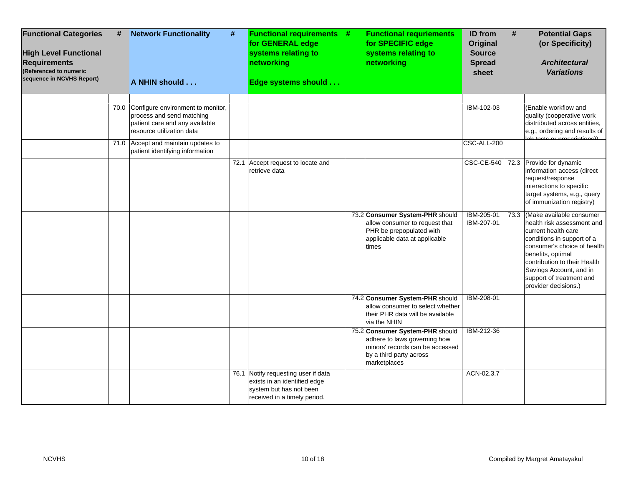| <b>Functional Categories</b><br><b>High Level Functional</b><br><b>Requirements</b><br>(Referenced to numeric<br>sequence in NCVHS Report) | # | <b>Network Functionality</b>                                                                                                       | # | <b>Functional requirements #</b><br>for GENERAL edge<br>systems relating to<br>networking                                      | <b>Functional requriements</b><br>for SPECIFIC edge<br>systems relating to<br>networking                                                      | <b>ID</b> from<br><b>Original</b><br><b>Source</b><br><b>Spread</b><br>sheet | #    | <b>Potential Gaps</b><br>(or Specificity)<br><b>Architectural</b><br><b>Variations</b>                                                                                                                                                                                         |
|--------------------------------------------------------------------------------------------------------------------------------------------|---|------------------------------------------------------------------------------------------------------------------------------------|---|--------------------------------------------------------------------------------------------------------------------------------|-----------------------------------------------------------------------------------------------------------------------------------------------|------------------------------------------------------------------------------|------|--------------------------------------------------------------------------------------------------------------------------------------------------------------------------------------------------------------------------------------------------------------------------------|
|                                                                                                                                            |   | A NHIN should                                                                                                                      |   | Edge systems should                                                                                                            |                                                                                                                                               |                                                                              |      |                                                                                                                                                                                                                                                                                |
|                                                                                                                                            |   | 70.0 Configure environment to monitor,<br>process and send matching<br>patient care and any available<br>resource utilization data |   |                                                                                                                                |                                                                                                                                               | IBM-102-03<br>CSC-ALL-200                                                    |      | (Enable workflow and<br>quality (cooperative work<br>distrtibuted across entities,<br>e.g., ordering and results of<br>ab toete or procesiptionell                                                                                                                             |
|                                                                                                                                            |   | 71.0 Accept and maintain updates to<br>patient identifying information                                                             |   |                                                                                                                                |                                                                                                                                               |                                                                              |      |                                                                                                                                                                                                                                                                                |
|                                                                                                                                            |   |                                                                                                                                    |   | 72.1 Accept request to locate and<br>retrieve data                                                                             |                                                                                                                                               |                                                                              |      | CSC-CE-540 72.3 Provide for dynamic<br>information access (direct<br>request/response<br>interactions to specific<br>target systems, e.g., query<br>of immunization registry)                                                                                                  |
|                                                                                                                                            |   |                                                                                                                                    |   |                                                                                                                                | 73.2 Consumer System-PHR should<br>allow consumer to request that<br>PHR be prepopulated with<br>applicable data at applicable<br>times       | IBM-205-01<br>IBM-207-01                                                     | 73.3 | (Make available consumer<br>health risk assessment and<br>current health care<br>conditions in support of a<br>consumer's choice of health<br>benefits, optimal<br>contribution to their Health<br>Savings Account, and in<br>support of treatment and<br>provider decisions.) |
|                                                                                                                                            |   |                                                                                                                                    |   |                                                                                                                                | 74.2 Consumer System-PHR should<br>allow consumer to select whether<br>their PHR data will be available<br>via the NHIN                       | IBM-208-01                                                                   |      |                                                                                                                                                                                                                                                                                |
|                                                                                                                                            |   |                                                                                                                                    |   |                                                                                                                                | 75.2 Consumer System-PHR should<br>adhere to laws governing how<br>minors' records can be accessed<br>by a third party across<br>marketplaces | IBM-212-36                                                                   |      |                                                                                                                                                                                                                                                                                |
|                                                                                                                                            |   |                                                                                                                                    |   | 76.1 Notify requesting user if data<br>exists in an identified edge<br>system but has not been<br>received in a timely period. |                                                                                                                                               | ACN-02.3.7                                                                   |      |                                                                                                                                                                                                                                                                                |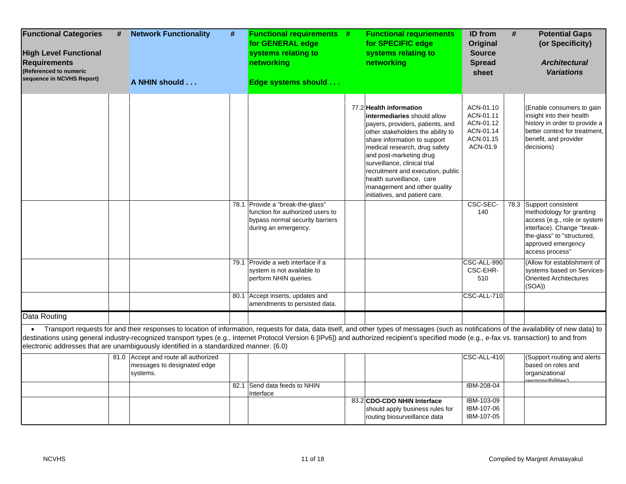| <b>Functional Categories</b><br><b>High Level Functional</b><br><b>Requirements</b><br>(Referenced to numeric<br>sequence in NCVHS Report) | # | <b>Network Functionality</b><br>A NHIN should                                          | # | <b>Functional requirements #</b><br>for GENERAL edge<br>systems relating to<br>networking<br>Edge systems should                | <b>Functional requriements</b><br>for SPECIFIC edge<br>systems relating to<br>networking                                                                                                                                                                                                                                                                                                         | ID from<br>#<br>Original<br><b>Source</b><br><b>Spread</b><br>sheet       | <b>Potential Gaps</b><br>(or Specificity)<br><b>Architectural</b><br><b>Variations</b>                                                                                                   |
|--------------------------------------------------------------------------------------------------------------------------------------------|---|----------------------------------------------------------------------------------------|---|---------------------------------------------------------------------------------------------------------------------------------|--------------------------------------------------------------------------------------------------------------------------------------------------------------------------------------------------------------------------------------------------------------------------------------------------------------------------------------------------------------------------------------------------|---------------------------------------------------------------------------|------------------------------------------------------------------------------------------------------------------------------------------------------------------------------------------|
|                                                                                                                                            |   |                                                                                        |   |                                                                                                                                 | 77.2 Health information<br>intermediaries should allow<br>payers, providers, patients, and<br>other stakeholders the ability to<br>share information to support<br>medical research, drug safety<br>and post-marketing drug<br>surveillance, clinical trial<br>recruitment and execution, public<br>health surveillance, care<br>management and other quality<br>initiatives, and patient care.  | ACN-01.10<br>ACN-01.11<br>ACN-01.12<br>ACN-01.14<br>ACN.01.15<br>ACN-01.9 | (Enable consumers to gain<br>insight into their health<br>history in order to provide a<br>better context for treatment,<br>benefit, and provider<br>decisions)                          |
|                                                                                                                                            |   |                                                                                        |   | 78.1 Provide a "break-the-glass"<br>function for authorized users to<br>bypass normal security barriers<br>during an emergency. |                                                                                                                                                                                                                                                                                                                                                                                                  | CSC-SEC-<br>140                                                           | 78.3 Support consistent<br>methodology for granting<br>access (e.g., role or system<br>interface). Change "break-<br>the-glass" to "structured,<br>approved emergency<br>access process" |
|                                                                                                                                            |   |                                                                                        |   | 79.1 Provide a web interface if a<br>system is not available to<br>perform NHIN queries.                                        |                                                                                                                                                                                                                                                                                                                                                                                                  | CSC-ALL-990<br>CSC-EHR-<br>510                                            | (Allow for establishment of<br>systems based on Services-<br><b>Oriented Architectures</b><br>(SOA)                                                                                      |
|                                                                                                                                            |   |                                                                                        |   | 80.1 Accept inserts, updates and<br>amendments to persisted data.                                                               |                                                                                                                                                                                                                                                                                                                                                                                                  | CSC-ALL-710                                                               |                                                                                                                                                                                          |
| Data Routing                                                                                                                               |   |                                                                                        |   |                                                                                                                                 |                                                                                                                                                                                                                                                                                                                                                                                                  |                                                                           |                                                                                                                                                                                          |
|                                                                                                                                            |   | electronic addresses that are unambiguously identified in a standardized manner. (6.0) |   |                                                                                                                                 | • Transport requests for and their responses to location of information, requests for data, data itself, and other types of messages (such as notifications of the availability of new data) to<br>destinations using general industry-recognized transport types (e.g., Internet Protocol Version 6 [IPv6]) and authorized recipient's specified mode (e.g., e-fax vs. transaction) to and from |                                                                           |                                                                                                                                                                                          |
|                                                                                                                                            |   | 81.0 Accept and route all authorized<br>messages to designated edge<br>systems.        |   |                                                                                                                                 |                                                                                                                                                                                                                                                                                                                                                                                                  | CSC-ALL-410                                                               | (Support routing and alerts<br>based on roles and<br>organizational<br>raenoneihilitiae)                                                                                                 |
|                                                                                                                                            |   |                                                                                        |   | 82.1 Send data feeds to NHIN                                                                                                    |                                                                                                                                                                                                                                                                                                                                                                                                  | IBM-208-04                                                                |                                                                                                                                                                                          |
|                                                                                                                                            |   |                                                                                        |   | Interface                                                                                                                       | 83.2 CDO-CDO NHIN Interface<br>should apply business rules for<br>routing biosurveillance data                                                                                                                                                                                                                                                                                                   | IBM-103-09<br>IBM-107-06<br>IBM-107-05                                    |                                                                                                                                                                                          |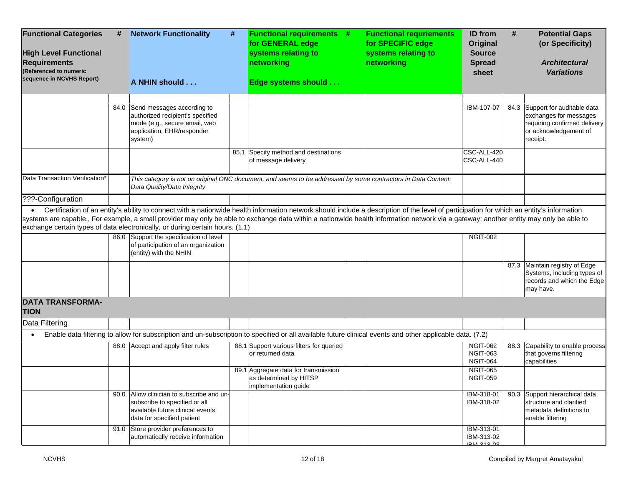| <b>Functional Categories</b><br>#<br><b>High Level Functional</b><br><b>Requirements</b><br>(Referenced to numeric<br>sequence in NCVHS Report)                                                                                                                                      | <b>Network Functionality</b><br>A NHIN should                                                                                                                                                                                        | # | <b>Functional requirements #</b><br>for GENERAL edge<br>systems relating to<br>networking<br>Edge systems should | <b>Functional requriements</b><br>for SPECIFIC edge<br>systems relating to<br>networking | <b>ID</b> from<br><b>Original</b><br><b>Source</b><br><b>Spread</b><br>sheet | # | <b>Potential Gaps</b><br>(or Specificity)<br><b>Architectural</b><br><b>Variations</b>                                         |
|--------------------------------------------------------------------------------------------------------------------------------------------------------------------------------------------------------------------------------------------------------------------------------------|--------------------------------------------------------------------------------------------------------------------------------------------------------------------------------------------------------------------------------------|---|------------------------------------------------------------------------------------------------------------------|------------------------------------------------------------------------------------------|------------------------------------------------------------------------------|---|--------------------------------------------------------------------------------------------------------------------------------|
|                                                                                                                                                                                                                                                                                      | 84.0 Send messages according to<br>authorized recipient's specified<br>mode (e.g., secure email, web<br>application, EHR/responder<br>system)                                                                                        |   |                                                                                                                  |                                                                                          | IBM-107-07                                                                   |   | 84.3 Support for auditable data<br>exchanges for messages<br>requiring confirmed delivery<br>or acknowledgement of<br>receipt. |
|                                                                                                                                                                                                                                                                                      |                                                                                                                                                                                                                                      |   | 85.1 Specify method and destinations<br>of message delivery                                                      |                                                                                          | CSC-ALL-420<br>CSC-ALL-440                                                   |   |                                                                                                                                |
| Data Transaction Verification*                                                                                                                                                                                                                                                       | This category is not on original ONC document, and seems to be addressed by some contractors in Data Content:<br>Data Quality/Data Integrity                                                                                         |   |                                                                                                                  |                                                                                          |                                                                              |   |                                                                                                                                |
| ???-Configuration                                                                                                                                                                                                                                                                    |                                                                                                                                                                                                                                      |   |                                                                                                                  |                                                                                          |                                                                              |   |                                                                                                                                |
| $\bullet$<br>systems are capable., For example, a small provider may only be able to exchange data within a nationwide health information network via a gateway; another entity may only be able to<br>exchange certain types of data electronically, or during certain hours. (1.1) | Certification of an entity's ability to connect with a nationwide health information network should include a description of the level of participation for which an entity's information<br>86.0 Support the specification of level |   |                                                                                                                  |                                                                                          | <b>NGIT-002</b>                                                              |   |                                                                                                                                |
|                                                                                                                                                                                                                                                                                      | of participation of an organization<br>(entity) with the NHIN                                                                                                                                                                        |   |                                                                                                                  |                                                                                          |                                                                              |   |                                                                                                                                |
|                                                                                                                                                                                                                                                                                      |                                                                                                                                                                                                                                      |   |                                                                                                                  |                                                                                          |                                                                              |   | 87.3 Maintain registry of Edge<br>Systems, including types of<br>records and which the Edge<br>may have.                       |
| <b>DATA TRANSFORMA-</b><br><b>TION</b>                                                                                                                                                                                                                                               |                                                                                                                                                                                                                                      |   |                                                                                                                  |                                                                                          |                                                                              |   |                                                                                                                                |
| Data Filtering                                                                                                                                                                                                                                                                       |                                                                                                                                                                                                                                      |   |                                                                                                                  |                                                                                          |                                                                              |   |                                                                                                                                |
|                                                                                                                                                                                                                                                                                      | Enable data filtering to allow for subscription and un-subscription to specified or all available future clinical events and other applicable data. (7.2)                                                                            |   |                                                                                                                  |                                                                                          |                                                                              |   |                                                                                                                                |
|                                                                                                                                                                                                                                                                                      | 88.0 Accept and apply filter rules                                                                                                                                                                                                   |   | 88.1 Support various filters for queried<br>or returned data                                                     |                                                                                          | <b>NGIT-062</b><br><b>NGIT-063</b><br><b>NGIT-064</b>                        |   | 88.3 Capability to enable process<br>that governs filtering<br>capabilities                                                    |
|                                                                                                                                                                                                                                                                                      |                                                                                                                                                                                                                                      |   | 89.1 Aggregate data for transmission<br>as determined by HITSP<br>implementation guide                           |                                                                                          | <b>NGIT-065</b><br><b>NGIT-059</b>                                           |   |                                                                                                                                |
|                                                                                                                                                                                                                                                                                      | 90.0 Allow clinician to subscribe and un-<br>subscribe to specified or all<br>available future clinical events<br>data for specified patient                                                                                         |   |                                                                                                                  |                                                                                          | IBM-318-01<br>IBM-318-02                                                     |   | 90.3 Support hierarchical data<br>structure and clarified<br>metadata definitions to<br>enable filtering                       |
|                                                                                                                                                                                                                                                                                      | 91.0 Store provider preferences to<br>automatically receive information                                                                                                                                                              |   |                                                                                                                  |                                                                                          | IBM-313-01<br>IBM-313-02<br><b>IDM 212 02</b>                                |   |                                                                                                                                |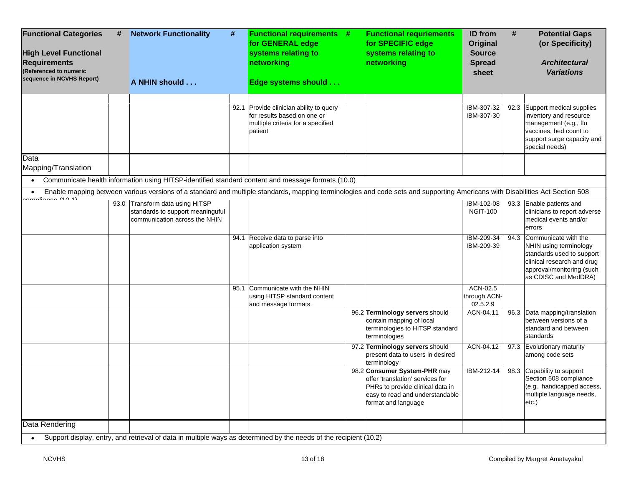| <b>Functional Categories</b><br>#<br><b>High Level Functional</b><br><b>Requirements</b><br>(Referenced to numeric<br>sequence in NCVHS Report) | <b>Network Functionality</b><br>#<br>A NHIN should                                                                                                                           | <b>Functional requirements #</b><br>for GENERAL edge<br>systems relating to<br>networking<br>Edge systems should       | <b>Functional requriements</b><br>for SPECIFIC edge<br>systems relating to<br>networking                                                                       | <b>ID</b> from<br>Original<br><b>Source</b><br><b>Spread</b><br>sheet | #    | <b>Potential Gaps</b><br>(or Specificity)<br><b>Architectural</b><br><b>Variations</b>                                                                         |
|-------------------------------------------------------------------------------------------------------------------------------------------------|------------------------------------------------------------------------------------------------------------------------------------------------------------------------------|------------------------------------------------------------------------------------------------------------------------|----------------------------------------------------------------------------------------------------------------------------------------------------------------|-----------------------------------------------------------------------|------|----------------------------------------------------------------------------------------------------------------------------------------------------------------|
|                                                                                                                                                 |                                                                                                                                                                              | 92.1 Provide clinician ability to query<br>for results based on one or<br>multiple criteria for a specified<br>patient |                                                                                                                                                                | IBM-307-32<br>IBM-307-30                                              |      | 92.3 Support medical supplies<br>inventory and resource<br>management (e.g., flu<br>vaccines, bed count to<br>support surge capacity and<br>special needs)     |
| Data<br>Mapping/Translation                                                                                                                     |                                                                                                                                                                              |                                                                                                                        |                                                                                                                                                                |                                                                       |      |                                                                                                                                                                |
|                                                                                                                                                 | Communicate health information using HITSP-identified standard content and message formats (10.0)                                                                            |                                                                                                                        |                                                                                                                                                                |                                                                       |      |                                                                                                                                                                |
|                                                                                                                                                 | Enable mapping between various versions of a standard and multiple standards, mapping terminologies and code sets and supporting Americans with Disabilities Act Section 508 |                                                                                                                        |                                                                                                                                                                |                                                                       |      |                                                                                                                                                                |
| 20(101)                                                                                                                                         | 93.0 Transform data using HITSP<br>standards to support meaninguful<br>communication across the NHIN                                                                         |                                                                                                                        |                                                                                                                                                                | IBM-102-08<br><b>NGIT-100</b>                                         |      | 93.3 Enable patients and<br>clinicians to report adverse<br>medical events and/or<br>errors                                                                    |
|                                                                                                                                                 |                                                                                                                                                                              | 94.1 Receive data to parse into<br>application system                                                                  |                                                                                                                                                                | IBM-209-34<br>IBM-209-39                                              | 94.3 | Communicate with the<br>NHIN using terminology<br>standards used to support<br>clinical research and drug<br>approval/monitoring (such<br>as CDISC and MedDRA) |
|                                                                                                                                                 |                                                                                                                                                                              | 95.1 Communicate with the NHIN<br>using HITSP standard content<br>and message formats.                                 |                                                                                                                                                                | ACN-02.5<br>through ACN-<br>02.5.2.9                                  |      |                                                                                                                                                                |
|                                                                                                                                                 |                                                                                                                                                                              |                                                                                                                        | 96.2 Terminology servers should<br>contain mapping of local<br>terminologies to HITSP standard<br>terminologies                                                | ACN-04.11                                                             |      | 96.3 Data mapping/translation<br>between versions of a<br>standard and between<br>standards                                                                    |
|                                                                                                                                                 |                                                                                                                                                                              |                                                                                                                        | 97.2 Terminology servers should<br>present data to users in desired<br>terminology                                                                             | ACN-04.12                                                             |      | 97.3 Evolutionary maturity<br>among code sets                                                                                                                  |
|                                                                                                                                                 |                                                                                                                                                                              |                                                                                                                        | 98.2 Consumer System-PHR may<br>offer 'translation' services for<br>PHRs to provide clinical data in<br>easy to read and understandable<br>format and language | IBM-212-14                                                            |      | 98.3 Capability to support<br>Section 508 compliance<br>(e.g., handicapped access,<br>multiple language needs,<br>etc.)                                        |
| Data Rendering                                                                                                                                  | Support display, entry, and retrieval of data in multiple ways as determined by the needs of the recipient (10.2)                                                            |                                                                                                                        |                                                                                                                                                                |                                                                       |      |                                                                                                                                                                |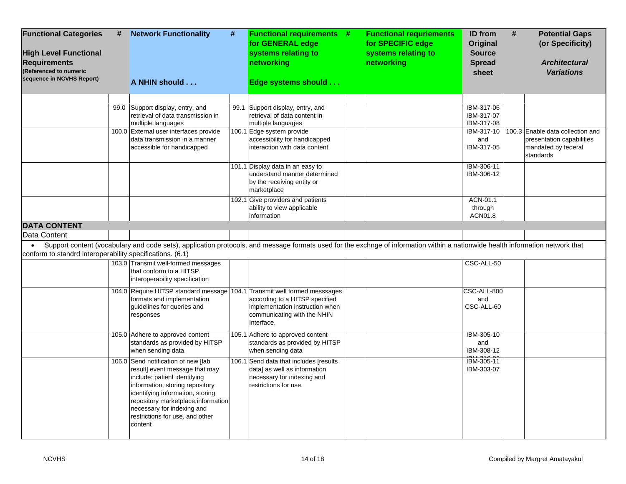| <b>Functional Categories</b><br><b>High Level Functional</b><br><b>Requirements</b><br>(Referenced to numeric<br>sequence in NCVHS Report) | #    | <b>Network Functionality</b><br>A NHIN should                                                                                                                                                                                                                                                   | $\#$ | <b>Functional requirements #</b><br>for GENERAL edge<br>systems relating to<br>networking<br>Edge systems should              | <b>Functional requriements</b><br>for SPECIFIC edge<br>systems relating to<br>networking | <b>ID</b> from<br>Original<br><b>Source</b><br><b>Spread</b><br>sheet | # | <b>Potential Gaps</b><br>(or Specificity)<br><b>Architectural</b><br><b>Variations</b> |
|--------------------------------------------------------------------------------------------------------------------------------------------|------|-------------------------------------------------------------------------------------------------------------------------------------------------------------------------------------------------------------------------------------------------------------------------------------------------|------|-------------------------------------------------------------------------------------------------------------------------------|------------------------------------------------------------------------------------------|-----------------------------------------------------------------------|---|----------------------------------------------------------------------------------------|
|                                                                                                                                            | 99.0 | Support display, entry, and<br>retrieval of data transmission in<br>multiple languages<br>100.0 External user interfaces provide                                                                                                                                                                |      | 99.1 Support display, entry, and<br>retrieval of data content in<br>multiple languages<br>100.1 Edge system provide           |                                                                                          | IBM-317-06<br>IBM-317-07<br>IBM-317-08<br>IBM-317-10                  |   | 100.3 Enable data collection and                                                       |
|                                                                                                                                            |      | data transmission in a manner<br>accessible for handicapped                                                                                                                                                                                                                                     |      | accessibility for handicapped<br>interaction with data content                                                                |                                                                                          | and<br>IBM-317-05                                                     |   | presentation capabilities<br>mandated by federal<br>standards                          |
|                                                                                                                                            |      |                                                                                                                                                                                                                                                                                                 |      | 101.1 Display data in an easy to<br>understand manner determined<br>by the receiving entity or<br>marketplace                 |                                                                                          | IBM-306-11<br>IBM-306-12                                              |   |                                                                                        |
|                                                                                                                                            |      |                                                                                                                                                                                                                                                                                                 |      | 102.1 Give providers and patients<br>ability to view applicable<br>information                                                |                                                                                          | ACN-01.1<br>through<br>ACN01.8                                        |   |                                                                                        |
| <b>DATA CONTENT</b>                                                                                                                        |      |                                                                                                                                                                                                                                                                                                 |      |                                                                                                                               |                                                                                          |                                                                       |   |                                                                                        |
| Data Content                                                                                                                               |      |                                                                                                                                                                                                                                                                                                 |      |                                                                                                                               |                                                                                          |                                                                       |   |                                                                                        |
| $\bullet$<br>conform to standrd interoperability specifications. (6.1)                                                                     |      | Support content (vocabulary and code sets), application protocols, and message formats used for the exchnge of information within a nationwide health information network that                                                                                                                  |      |                                                                                                                               |                                                                                          |                                                                       |   |                                                                                        |
|                                                                                                                                            |      | 103.0 Transmit well-formed messages<br>that conform to a HITSP<br>interoperability specification                                                                                                                                                                                                |      |                                                                                                                               |                                                                                          | CSC-ALL-50                                                            |   |                                                                                        |
|                                                                                                                                            |      | 104.0 Require HITSP standard message 104.1 Transmit well formed messsages<br>formats and implementation<br>guidelines for queries and<br>responses                                                                                                                                              |      | according to a HITSP specified<br>implementation instruction when<br>communicating with the NHIN<br>Interface.                |                                                                                          | CSC-ALL-800<br>and<br>CSC-ALL-60                                      |   |                                                                                        |
|                                                                                                                                            |      | 105.0 Adhere to approved content<br>standards as provided by HITSP<br>when sending data                                                                                                                                                                                                         |      | 105.1 Adhere to approved content<br>standards as provided by HITSP<br>when sending data                                       |                                                                                          | IBM-305-10<br>and<br>IBM-308-12                                       |   |                                                                                        |
|                                                                                                                                            |      | 106.0 Send notification of new [lab<br>result] event message that may<br>include: patient identifying<br>information, storing repository<br>identifying information, storing<br>repository marketplace, information<br>necessary for indexing and<br>restrictions for use, and other<br>content |      | 106.1 Send data that includes [results<br>data] as well as information<br>necessary for indexing and<br>restrictions for use. |                                                                                          | IBM-305-11<br>IBM-303-07                                              |   |                                                                                        |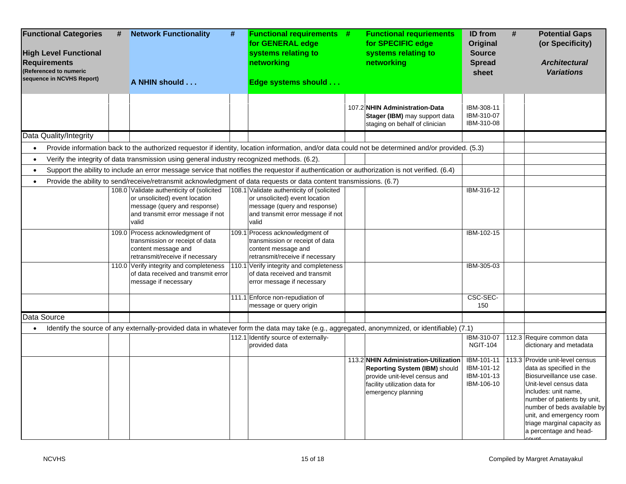| #<br><b>Functional Categories</b><br><b>High Level Functional</b><br><b>Requirements</b><br>(Referenced to numeric<br>sequence in NCVHS Report) | <b>Network Functionality</b><br>A NHIN should                                                                                                                                                                                                                                    | # | <b>Functional requirements #</b><br>for GENERAL edge<br>systems relating to<br>networking<br>Edge systems should                                          | <b>Functional requriements</b><br>for SPECIFIC edge<br>systems relating to<br>networking                                                                       | <b>ID</b> from<br><b>Original</b><br><b>Source</b><br><b>Spread</b><br>sheet | #<br><b>Potential Gaps</b><br>(or Specificity)<br><b>Architectural</b><br><b>Variations</b>                                                                                                                                                                                                   |
|-------------------------------------------------------------------------------------------------------------------------------------------------|----------------------------------------------------------------------------------------------------------------------------------------------------------------------------------------------------------------------------------------------------------------------------------|---|-----------------------------------------------------------------------------------------------------------------------------------------------------------|----------------------------------------------------------------------------------------------------------------------------------------------------------------|------------------------------------------------------------------------------|-----------------------------------------------------------------------------------------------------------------------------------------------------------------------------------------------------------------------------------------------------------------------------------------------|
|                                                                                                                                                 |                                                                                                                                                                                                                                                                                  |   |                                                                                                                                                           | 107.2 NHIN Administration-Data<br>Stager (IBM) may support data<br>staging on behalf of clinician                                                              | IBM-308-11<br>IBM-310-07<br>IBM-310-08                                       |                                                                                                                                                                                                                                                                                               |
| Data Quality/Integrity                                                                                                                          |                                                                                                                                                                                                                                                                                  |   |                                                                                                                                                           |                                                                                                                                                                |                                                                              |                                                                                                                                                                                                                                                                                               |
|                                                                                                                                                 |                                                                                                                                                                                                                                                                                  |   |                                                                                                                                                           | Provide information back to the authorized requestor if identity, location information, and/or data could not be determined and/or provided. (5.3)             |                                                                              |                                                                                                                                                                                                                                                                                               |
|                                                                                                                                                 | Verify the integrity of data transmission using general industry recognized methods. (6.2).                                                                                                                                                                                      |   |                                                                                                                                                           |                                                                                                                                                                |                                                                              |                                                                                                                                                                                                                                                                                               |
|                                                                                                                                                 |                                                                                                                                                                                                                                                                                  |   |                                                                                                                                                           | Support the ability to include an error message service that notifies the requestor if authentication or authorization is not verified. (6.4)                  |                                                                              |                                                                                                                                                                                                                                                                                               |
|                                                                                                                                                 | Provide the ability to send/receive/retransmit acknowledgment of data requests or data content transmissions. (6.7)<br>108.0 Validate authenticity of (solicited<br>or unsolicited) event location<br>message (query and response)<br>and transmit error message if not<br>valid |   | 108.1 Validate authenticity of (solicited<br>or unsolicited) event location<br>message (query and response)<br>and transmit error message if not<br>valid |                                                                                                                                                                | IBM-316-12                                                                   |                                                                                                                                                                                                                                                                                               |
|                                                                                                                                                 | 109.0 Process acknowledgment of<br>transmission or receipt of data<br>content message and<br>retransmit/receive if necessary                                                                                                                                                     |   | 109.1 Process acknowledgment of<br>transmission or receipt of data<br>content message and<br>retransmit/receive if necessary                              |                                                                                                                                                                | IBM-102-15                                                                   |                                                                                                                                                                                                                                                                                               |
|                                                                                                                                                 | 110.0 Verify integrity and completeness<br>of data received and transmit error<br>message if necessary                                                                                                                                                                           |   | 110.1 Verify integrity and completeness<br>of data received and transmit<br>error message if necessary                                                    |                                                                                                                                                                | IBM-305-03                                                                   |                                                                                                                                                                                                                                                                                               |
|                                                                                                                                                 |                                                                                                                                                                                                                                                                                  |   | 111.1 Enforce non-repudiation of                                                                                                                          |                                                                                                                                                                | CSC-SEC-                                                                     |                                                                                                                                                                                                                                                                                               |
|                                                                                                                                                 |                                                                                                                                                                                                                                                                                  |   | message or query origin                                                                                                                                   |                                                                                                                                                                | 150                                                                          |                                                                                                                                                                                                                                                                                               |
| Data Source                                                                                                                                     |                                                                                                                                                                                                                                                                                  |   |                                                                                                                                                           |                                                                                                                                                                |                                                                              |                                                                                                                                                                                                                                                                                               |
|                                                                                                                                                 |                                                                                                                                                                                                                                                                                  |   | 112.1 Identify source of externally-<br>provided data                                                                                                     | Identify the source of any externally-provided data in whatever form the data may take (e.g., aggregated, anonymnized, or identifiable) (7.1)                  | IBM-310-07<br><b>NGIT-104</b>                                                | 112.3 Require common data<br>dictionary and metadata                                                                                                                                                                                                                                          |
|                                                                                                                                                 |                                                                                                                                                                                                                                                                                  |   |                                                                                                                                                           | 113.2 NHIN Administration-Utilization<br>Reporting System (IBM) should<br>provide unit-level census and<br>facility utilization data for<br>emergency planning | IBM-101-11<br>IBM-101-12<br>IBM-101-13<br>IBM-106-10                         | 113.3 Provide unit-level census<br>data as specified in the<br>Biosurveillance use case.<br>Unit-level census data<br>includes: unit name,<br>number of patients by unit,<br>number of beds available by<br>unit, and emergency room<br>triage marginal capacity as<br>a percentage and head- |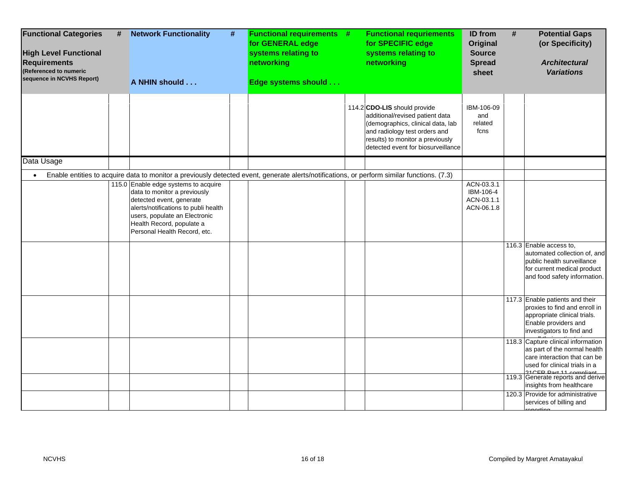| <b>Functional Categories</b><br><b>High Level Functional</b><br><b>Requirements</b><br>(Referenced to numeric<br>sequence in NCVHS Report) | # | <b>Network Functionality</b><br>#<br>A NHIN should                                                                                                                                                                                                                                                                                                                                   | <b>Functional requirements #</b><br>for GENERAL edge<br>systems relating to<br>networking<br>Edge systems should | <b>Functional requriements</b><br>for SPECIFIC edge<br>systems relating to<br>networking                                                                                                                        | <b>ID</b> from<br>Original<br><b>Source</b><br><b>Spread</b><br>sheet | # | <b>Potential Gaps</b><br>(or Specificity)<br><b>Architectural</b><br><b>Variations</b>                                                                                                                                          |
|--------------------------------------------------------------------------------------------------------------------------------------------|---|--------------------------------------------------------------------------------------------------------------------------------------------------------------------------------------------------------------------------------------------------------------------------------------------------------------------------------------------------------------------------------------|------------------------------------------------------------------------------------------------------------------|-----------------------------------------------------------------------------------------------------------------------------------------------------------------------------------------------------------------|-----------------------------------------------------------------------|---|---------------------------------------------------------------------------------------------------------------------------------------------------------------------------------------------------------------------------------|
|                                                                                                                                            |   |                                                                                                                                                                                                                                                                                                                                                                                      |                                                                                                                  | 114.2 CDO-LIS should provide<br>additional/revised patient data<br>(demographics, clinical data, lab<br>and radiology test orders and<br>results) to monitor a previously<br>detected event for biosurveillance | IBM-106-09<br>and<br>related<br>fcns                                  |   |                                                                                                                                                                                                                                 |
| Data Usage                                                                                                                                 |   |                                                                                                                                                                                                                                                                                                                                                                                      |                                                                                                                  |                                                                                                                                                                                                                 |                                                                       |   |                                                                                                                                                                                                                                 |
|                                                                                                                                            |   | Enable entities to acquire data to monitor a previously detected event, generate alerts/notifications, or perform similar functions. (7.3)<br>115.0 Enable edge systems to acquire<br>data to monitor a previously<br>detected event, generate<br>alerts/notifications to publi health<br>users, populate an Electronic<br>Health Record, populate a<br>Personal Health Record, etc. |                                                                                                                  |                                                                                                                                                                                                                 | ACN-03.3.1<br>IBM-106-4<br>ACN-03.1.1<br>ACN-06.1.8                   |   | 116.3 Enable access to,<br>automated collection of, and<br>public health surveillance<br>for current medical product<br>and food safety information.                                                                            |
|                                                                                                                                            |   |                                                                                                                                                                                                                                                                                                                                                                                      |                                                                                                                  |                                                                                                                                                                                                                 |                                                                       |   | 117.3 Enable patients and their<br>proxies to find and enroll in<br>appropriate clinical trials.<br>Enable providers and<br>investigators to find and                                                                           |
|                                                                                                                                            |   |                                                                                                                                                                                                                                                                                                                                                                                      |                                                                                                                  |                                                                                                                                                                                                                 |                                                                       |   | 118.3 Capture clinical information<br>as part of the normal health<br>care interaction that can be<br>used for clinical trials in a<br>04CED Dort 11 compliant<br>119.3 Generate reports and derive<br>insights from healthcare |
|                                                                                                                                            |   |                                                                                                                                                                                                                                                                                                                                                                                      |                                                                                                                  |                                                                                                                                                                                                                 |                                                                       |   | 120.3 Provide for administrative<br>services of billing and<br>anartina                                                                                                                                                         |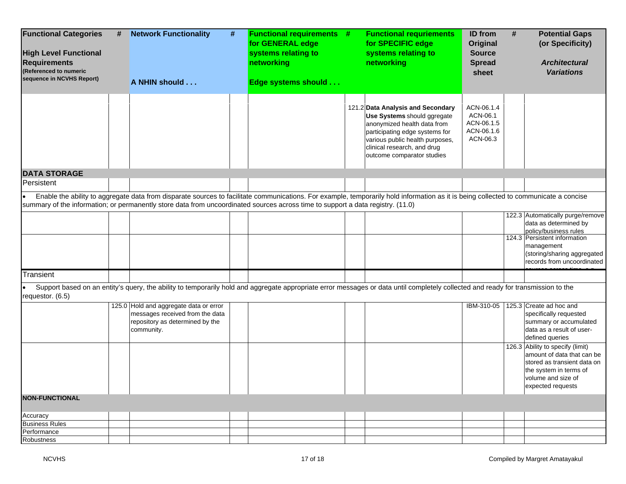| <b>Functional Categories</b><br><b>High Level Functional</b><br><b>Requirements</b><br>(Referenced to numeric<br>sequence in NCVHS Report) | # | <b>Network Functionality</b><br>A NHIN should                                                                                                                                         | # | <b>Functional requirements #</b><br>for GENERAL edge<br>systems relating to<br>networking<br>Edge systems should | <b>Functional requriements</b><br>for SPECIFIC edge<br>systems relating to<br>networking                                                                                                                                          | ID from<br><b>Original</b><br><b>Source</b><br><b>Spread</b><br>sheet | # | <b>Potential Gaps</b><br>(or Specificity)<br><b>Architectural</b><br><b>Variations</b>                                                                             |
|--------------------------------------------------------------------------------------------------------------------------------------------|---|---------------------------------------------------------------------------------------------------------------------------------------------------------------------------------------|---|------------------------------------------------------------------------------------------------------------------|-----------------------------------------------------------------------------------------------------------------------------------------------------------------------------------------------------------------------------------|-----------------------------------------------------------------------|---|--------------------------------------------------------------------------------------------------------------------------------------------------------------------|
|                                                                                                                                            |   |                                                                                                                                                                                       |   |                                                                                                                  | 121.2 Data Analysis and Secondary<br>Use Systems should ggregate<br>anonymized health data from<br>participating edge systems for<br>various public health purposes,<br>clinical research, and drug<br>outcome comparator studies | ACN-06.1.4<br>ACN-06.1<br>ACN-06.1.5<br>ACN-06.1.6<br>ACN-06.3        |   |                                                                                                                                                                    |
| <b>DATA STORAGE</b>                                                                                                                        |   |                                                                                                                                                                                       |   |                                                                                                                  |                                                                                                                                                                                                                                   |                                                                       |   |                                                                                                                                                                    |
| Persistent                                                                                                                                 |   |                                                                                                                                                                                       |   |                                                                                                                  |                                                                                                                                                                                                                                   |                                                                       |   |                                                                                                                                                                    |
|                                                                                                                                            |   | Enable the ability to aggregate data from disparate sources to facilitate communications. For example, temporarily hold information as it is being collected to communicate a concise |   |                                                                                                                  |                                                                                                                                                                                                                                   |                                                                       |   |                                                                                                                                                                    |
|                                                                                                                                            |   | summary of the information; or permanently store data from uncoordinated sources across time to support a data registry. (11.0)                                                       |   |                                                                                                                  |                                                                                                                                                                                                                                   |                                                                       |   |                                                                                                                                                                    |
|                                                                                                                                            |   |                                                                                                                                                                                       |   |                                                                                                                  |                                                                                                                                                                                                                                   |                                                                       |   | 122.3 Automatically purge/remove                                                                                                                                   |
|                                                                                                                                            |   |                                                                                                                                                                                       |   |                                                                                                                  |                                                                                                                                                                                                                                   |                                                                       |   | data as determined by<br>policy/business rules                                                                                                                     |
|                                                                                                                                            |   |                                                                                                                                                                                       |   |                                                                                                                  |                                                                                                                                                                                                                                   |                                                                       |   | 124.3 Persistent information<br>management<br>(storing/sharing aggregated<br>records from uncoordinated                                                            |
| Transient                                                                                                                                  |   |                                                                                                                                                                                       |   |                                                                                                                  |                                                                                                                                                                                                                                   |                                                                       |   |                                                                                                                                                                    |
| requestor. (6.5)                                                                                                                           |   | Support based on an entity's query, the ability to temporarily hold and aggregate appropriate error messages or data until completely collected and ready for transmission to the     |   |                                                                                                                  |                                                                                                                                                                                                                                   |                                                                       |   |                                                                                                                                                                    |
|                                                                                                                                            |   | 125.0 Hold and aggregate data or error<br>messages received from the data<br>repository as determined by the<br>community.                                                            |   |                                                                                                                  |                                                                                                                                                                                                                                   | IBM-310-05                                                            |   | 125.3 Create ad hoc and<br>specifically requested<br>summary or accumulated<br>data as a result of user-<br>defined queries                                        |
|                                                                                                                                            |   |                                                                                                                                                                                       |   |                                                                                                                  |                                                                                                                                                                                                                                   |                                                                       |   | 126.3 Ability to specify (limit)<br>amount of data that can be<br>stored as transient data on<br>the system in terms of<br>volume and size of<br>expected requests |
| <b>NON-FUNCTIONAL</b>                                                                                                                      |   |                                                                                                                                                                                       |   |                                                                                                                  |                                                                                                                                                                                                                                   |                                                                       |   |                                                                                                                                                                    |
| Accuracy                                                                                                                                   |   |                                                                                                                                                                                       |   |                                                                                                                  |                                                                                                                                                                                                                                   |                                                                       |   |                                                                                                                                                                    |
| <b>Business Rules</b>                                                                                                                      |   |                                                                                                                                                                                       |   |                                                                                                                  |                                                                                                                                                                                                                                   |                                                                       |   |                                                                                                                                                                    |
| Performance                                                                                                                                |   |                                                                                                                                                                                       |   |                                                                                                                  |                                                                                                                                                                                                                                   |                                                                       |   |                                                                                                                                                                    |
| Robustness                                                                                                                                 |   |                                                                                                                                                                                       |   |                                                                                                                  |                                                                                                                                                                                                                                   |                                                                       |   |                                                                                                                                                                    |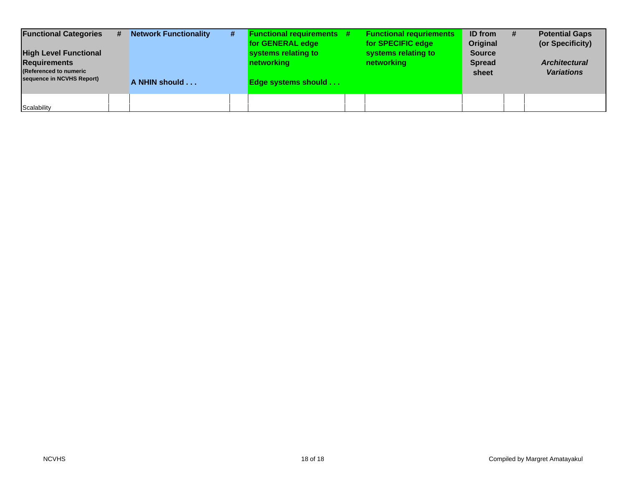| <b>Functional Categories</b><br><b>High Level Functional</b><br><b>Requirements</b><br>(Referenced to numeric<br>sequence in NCVHS Report) | # | <b>Network Functionality</b><br>A NHIN should | # | <b>Functional requirements #</b><br>for GENERAL edge<br>systems relating to<br>networking<br><b>Edge systems should</b> | <b>Functional requriements</b><br>for SPECIFIC edge<br>systems relating to<br>networking | <b>ID</b> from<br>Original<br><b>Source</b><br><b>Spread</b><br>sheet | <b>Potential Gaps</b><br>(or Specificity)<br><b>Architectural</b><br><b>Variations</b> |
|--------------------------------------------------------------------------------------------------------------------------------------------|---|-----------------------------------------------|---|-------------------------------------------------------------------------------------------------------------------------|------------------------------------------------------------------------------------------|-----------------------------------------------------------------------|----------------------------------------------------------------------------------------|
| Scalability                                                                                                                                |   |                                               |   |                                                                                                                         |                                                                                          |                                                                       |                                                                                        |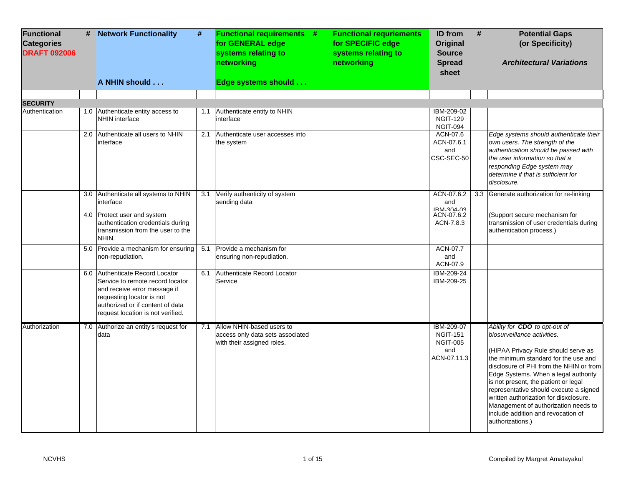| <b>Functional</b><br><b>Categories</b><br><b>DRAFT 092006</b> | # | <b>Network Functionality</b>                                                                                                                                                                              | #   | <b>Functional requirements #</b><br>for GENERAL edge<br>systems relating to<br>networking       | <b>Functional requriements</b><br>for SPECIFIC edge<br>systems relating to<br>networking | <b>ID</b> from<br>Original<br><b>Source</b><br><b>Spread</b><br>sheet  | # | <b>Potential Gaps</b><br>(or Specificity)<br><b>Architectural Variations</b>                                                                                                                                                                                                                                                                                                                                                                                 |
|---------------------------------------------------------------|---|-----------------------------------------------------------------------------------------------------------------------------------------------------------------------------------------------------------|-----|-------------------------------------------------------------------------------------------------|------------------------------------------------------------------------------------------|------------------------------------------------------------------------|---|--------------------------------------------------------------------------------------------------------------------------------------------------------------------------------------------------------------------------------------------------------------------------------------------------------------------------------------------------------------------------------------------------------------------------------------------------------------|
|                                                               |   | A NHIN should                                                                                                                                                                                             |     | Edge systems should                                                                             |                                                                                          |                                                                        |   |                                                                                                                                                                                                                                                                                                                                                                                                                                                              |
|                                                               |   |                                                                                                                                                                                                           |     |                                                                                                 |                                                                                          |                                                                        |   |                                                                                                                                                                                                                                                                                                                                                                                                                                                              |
| <b>SECURITY</b><br>Authentication                             |   | 1.0 Authenticate entity access to<br><b>NHIN</b> interface                                                                                                                                                | 1.1 | Authenticate entity to NHIN<br>interface                                                        |                                                                                          | IBM-209-02<br><b>NGIT-129</b><br>NGIT-094                              |   |                                                                                                                                                                                                                                                                                                                                                                                                                                                              |
|                                                               |   | 2.0 Authenticate all users to NHIN<br>interface                                                                                                                                                           | 2.1 | Authenticate user accesses into<br>the system                                                   |                                                                                          | ACN-07.6<br>ACN-07.6.1<br>and<br>CSC-SEC-50                            |   | Edge systems should authenticate their<br>own users. The strength of the<br>authentication should be passed with<br>the user information so that a<br>responding Edge system may<br>determine if that is sufficient for<br>disclosure.                                                                                                                                                                                                                       |
|                                                               |   | 3.0 Authenticate all systems to NHIN<br>interface                                                                                                                                                         |     | 3.1 Verify authenticity of system<br>sending data                                               |                                                                                          | ACN-07.6.2<br>and<br>IRM-304-03                                        |   | 3.3 Generate authorization for re-linking                                                                                                                                                                                                                                                                                                                                                                                                                    |
|                                                               |   | 4.0 Protect user and system<br>authentication credentials during<br>transmission from the user to the<br>NHIN.                                                                                            |     |                                                                                                 |                                                                                          | ACN-07.6.2<br>ACN-7.8.3                                                |   | (Support secure mechanism for<br>transmission of user credentials during<br>authentication process.)                                                                                                                                                                                                                                                                                                                                                         |
|                                                               |   | 5.0 Provide a mechanism for ensuring<br>non-repudiation.                                                                                                                                                  |     | 5.1 Provide a mechanism for<br>ensuring non-repudiation.                                        |                                                                                          | ACN-07.7<br>and<br>ACN-07.9                                            |   |                                                                                                                                                                                                                                                                                                                                                                                                                                                              |
|                                                               |   | 6.0 Authenticate Record Locator<br>Service to remote record locator<br>and receive error message if<br>requesting locator is not<br>authorized or if content of data<br>request location is not verified. | 6.1 | Authenticate Record Locator<br>Service                                                          |                                                                                          | IBM-209-24<br>IBM-209-25                                               |   |                                                                                                                                                                                                                                                                                                                                                                                                                                                              |
| Authorization                                                 |   | 7.0 Authorize an entity's request for<br>data                                                                                                                                                             |     | 7.1 Allow NHIN-based users to<br>access only data sets associated<br>with their assigned roles. |                                                                                          | IBM-209-07<br><b>NGIT-151</b><br><b>NGIT-005</b><br>and<br>ACN-07.11.3 |   | Ability for CDO to opt-out of<br>biosurveillance activities.<br>(HIPAA Privacy Rule should serve as<br>the minimum standard for the use and<br>disclosure of PHI from the NHIN or from<br>Edge Systems. When a legal authority<br>is not present, the patient or legal<br>representative should execute a signed<br>written authorization for disxclosure.<br>Management of authorization needs to<br>include addition and revocation of<br>authorizations.) |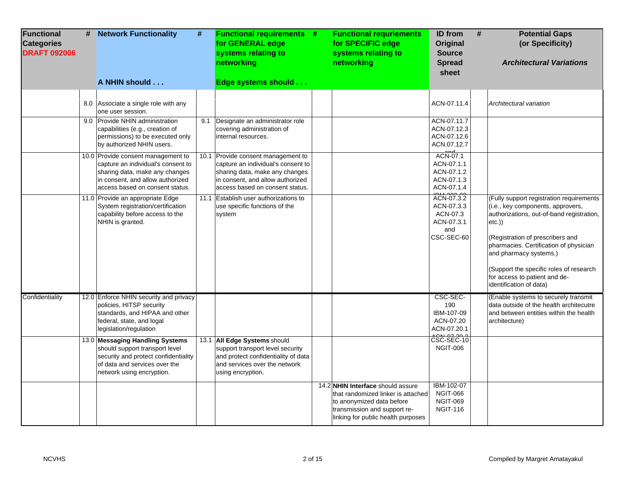| Functional<br><b>Categories</b><br><b>DRAFT 092006</b> | # | <b>Network Functionality</b>                                                                                                                                                      | #   | <b>Functional requirements #</b><br>for GENERAL edge<br>systems relating to<br>networking                                                                                         | <b>Functional requriements</b><br>for SPECIFIC edge<br>systems relating to<br>networking                                                                                   | <b>ID</b> from<br><b>Original</b><br><b>Source</b><br><b>Spread</b><br>sheet | # | <b>Potential Gaps</b><br>(or Specificity)<br><b>Architectural Variations</b>                                                                                                                                                                                                                                                                       |
|--------------------------------------------------------|---|-----------------------------------------------------------------------------------------------------------------------------------------------------------------------------------|-----|-----------------------------------------------------------------------------------------------------------------------------------------------------------------------------------|----------------------------------------------------------------------------------------------------------------------------------------------------------------------------|------------------------------------------------------------------------------|---|----------------------------------------------------------------------------------------------------------------------------------------------------------------------------------------------------------------------------------------------------------------------------------------------------------------------------------------------------|
|                                                        |   | A NHIN should                                                                                                                                                                     |     | Edge systems should                                                                                                                                                               |                                                                                                                                                                            |                                                                              |   |                                                                                                                                                                                                                                                                                                                                                    |
|                                                        |   | 8.0 Associate a single role with any<br>one user session.                                                                                                                         |     |                                                                                                                                                                                   |                                                                                                                                                                            | ACN-07.11.4                                                                  |   | Architectural variation                                                                                                                                                                                                                                                                                                                            |
|                                                        |   | 9.0 Provide NHIN administration<br>capabilities (e.g., creation of<br>permissions) to be executed only<br>by authorized NHIN users.                                               | 9.1 | Designate an administrator role<br>covering administration of<br>internal resources.                                                                                              |                                                                                                                                                                            | ACN-07.11.7<br>ACN-07.12.3<br>ACN-07.12.6<br>ACN.07.12.7                     |   |                                                                                                                                                                                                                                                                                                                                                    |
|                                                        |   | 10.0 Provide consent management to<br>capture an individual's consent to<br>sharing data, make any changes<br>in consent, and allow authorized<br>access based on consent status. |     | 10.1 Provide consent management to<br>capture an individual's consent to<br>sharing data, make any changes<br>in consent, and allow authorized<br>access based on consent status. |                                                                                                                                                                            | ACN-07.1<br>ACN-07.1.1<br>ACN-07.1.2<br>ACN-07.1.3<br>ACN-07.1.4             |   |                                                                                                                                                                                                                                                                                                                                                    |
|                                                        |   | 11.0 Provide an appropriate Edge<br>System registration/certification<br>capability before access to the<br>NHIN is granted.                                                      |     | 11.1 Establish user authorizations to<br>use specific functions of the<br>system                                                                                                  |                                                                                                                                                                            | ACN-07.3.2<br>ACN-07.3.3<br>ACN-07.3<br>ACN-07.3.1<br>and<br>CSC-SEC-60      |   | (Fully support registration requirements<br>(i.e., key components, approvers,<br>authorizations, out-of-band registration,<br>etc.)<br>(Registration of prescribers and<br>pharmacies. Certification of physician<br>and pharmacy systems.)<br>(Support the specific roles of research<br>for access to patient and de-<br>identification of data) |
| Confidentiality                                        |   | 12.0 Enforce NHIN security and privacy<br>policies, HITSP security<br>standards, and HIPAA and other<br>federal, state, and logal<br>legislation/regulation                       |     |                                                                                                                                                                                   |                                                                                                                                                                            | CSC-SEC-<br>190<br>IBM-107-09<br>ACN-07.20<br>ACN-07.20.1<br>0.0107202       |   | (Enable systems to securely transmit<br>data outside of the health architecutre<br>and between entities within the health<br>architecture)                                                                                                                                                                                                         |
|                                                        |   | 13.0 Messaging Handling Systems<br>should support transport level<br>security and protect confidentiality<br>of data and services over the<br>network using encryption.           |     | 13.1 All Edge Systems should<br>support transport level security<br>and protect confidentiality of data<br>and services over the network<br>using encryption.                     |                                                                                                                                                                            | CSC-SEC-10<br><b>NGIT-006</b>                                                |   |                                                                                                                                                                                                                                                                                                                                                    |
|                                                        |   |                                                                                                                                                                                   |     |                                                                                                                                                                                   | 14.2 NHIN Interface should assure<br>that randomized linker is attached<br>to anonymized data before<br>transmission and support re-<br>linking for public health purposes | IBM-102-07<br><b>NGIT-066</b><br><b>NGIT-069</b><br><b>NGIT-116</b>          |   |                                                                                                                                                                                                                                                                                                                                                    |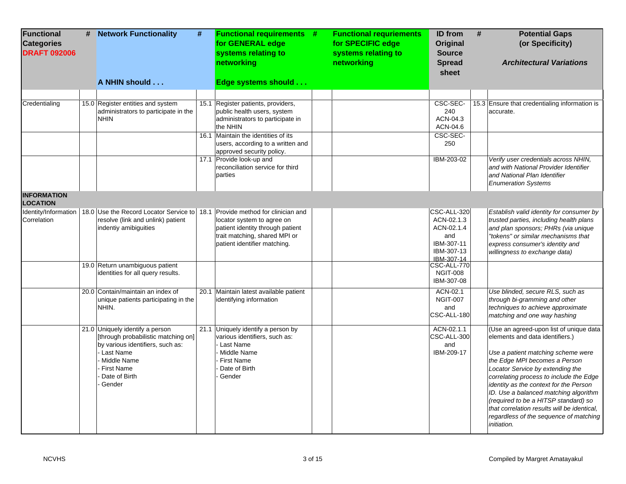| <b>Functional</b><br><b>Categories</b><br><b>DRAFT 092006</b> | # | <b>Network Functionality</b><br>A NHIN should                                                                                                                                          | # | <b>Functional requirements #</b><br>for GENERAL edge<br>systems relating to<br>networking<br>Edge systems should                                                                              | <b>Functional requriements</b><br>for SPECIFIC edge<br>systems relating to<br>networking | ID from<br><b>Original</b><br><b>Source</b><br><b>Spread</b><br>sheet                    | # | <b>Potential Gaps</b><br>(or Specificity)<br><b>Architectural Variations</b>                                                                                                                                                                                                                                                                                                                                                                                               |
|---------------------------------------------------------------|---|----------------------------------------------------------------------------------------------------------------------------------------------------------------------------------------|---|-----------------------------------------------------------------------------------------------------------------------------------------------------------------------------------------------|------------------------------------------------------------------------------------------|------------------------------------------------------------------------------------------|---|----------------------------------------------------------------------------------------------------------------------------------------------------------------------------------------------------------------------------------------------------------------------------------------------------------------------------------------------------------------------------------------------------------------------------------------------------------------------------|
|                                                               |   |                                                                                                                                                                                        |   |                                                                                                                                                                                               |                                                                                          |                                                                                          |   |                                                                                                                                                                                                                                                                                                                                                                                                                                                                            |
| Credentialing                                                 |   | 15.0 Register entities and system<br>administrators to participate in the<br><b>NHIN</b>                                                                                               |   | 15.1 Register patients, providers,<br>public health users, system<br>administrators to participate in<br>the NHIN<br>16.1 Maintain the identities of its<br>users, according to a written and |                                                                                          | CSC-SEC-<br>240<br>ACN-04.3<br>ACN-04.6<br>CSC-SEC-<br>250                               |   | 15.3 Ensure that credentialing information is<br>accurate.                                                                                                                                                                                                                                                                                                                                                                                                                 |
|                                                               |   |                                                                                                                                                                                        |   | approved security policy.<br>17.1 Provide look-up and<br>reconciliation service for third<br>parties                                                                                          |                                                                                          | IBM-203-02                                                                               |   | Verify user credentials across NHIN,<br>and with National Provider Identifier<br>and National Plan Identifier<br><b>Enumeration Systems</b>                                                                                                                                                                                                                                                                                                                                |
| <b>INFORMATION</b><br><b>LOCATION</b>                         |   |                                                                                                                                                                                        |   |                                                                                                                                                                                               |                                                                                          |                                                                                          |   |                                                                                                                                                                                                                                                                                                                                                                                                                                                                            |
| Identity/Information<br>Correlation                           |   | 18.0 Use the Record Locator Service to 18.1 Provide method for clinician and<br>resolve (link and unlink) patient<br>indentiy amibiguities                                             |   | locator system to agree on<br>patient identity through patient<br>trait matching, shared MPI or<br>patient identifier matching.                                                               |                                                                                          | CSC-ALL-320<br>ACN-02.1.3<br>ACN-02.1.4<br>and<br>IBM-307-11<br>IBM-307-13<br>IBM-307-14 |   | Establish valid identity for consumer by<br>trusted parties, including health plans<br>and plan sponsors; PHRs (via unique<br>"tokens" or similar mechanisms that<br>express consumer's identity and<br>willingness to exchange data)                                                                                                                                                                                                                                      |
|                                                               |   | 19.0 Return unambiguous patient<br>identities for all query results.                                                                                                                   |   |                                                                                                                                                                                               |                                                                                          | CSC-ALL-770<br><b>NGIT-008</b><br>IBM-307-08                                             |   |                                                                                                                                                                                                                                                                                                                                                                                                                                                                            |
|                                                               |   | 20.0 Contain/maintain an index of<br>unique patients participating in the<br>NHIN.                                                                                                     |   | 20.1 Maintain latest available patient<br>identifying information                                                                                                                             |                                                                                          | ACN-02.1<br><b>NGIT-007</b><br>and<br>CSC-ALL-180                                        |   | Use blinded, secure RLS, such as<br>through bi-gramming and other<br>techniques to achieve approximate<br>matching and one way hashing                                                                                                                                                                                                                                                                                                                                     |
|                                                               |   | 21.0 Uniquely identify a person<br>[through probabilistic matching on]<br>by various identifiers, such as:<br>Last Name<br>Middle Name<br><b>First Name</b><br>Date of Birth<br>Gender |   | 21.1 Uniquely identify a person by<br>various identifiers, such as:<br>Last Name<br>Middle Name<br><b>First Name</b><br>Date of Birth<br>Gender                                               |                                                                                          | ACN-02.1.1<br>CSC-ALL-300<br>and<br>IBM-209-17                                           |   | (Use an agreed-upon list of unique data<br>elements and data identifiers.)<br>Use a patient matching scheme were<br>the Edge MPI becomes a Person<br>Locator Service by extending the<br>correlating process to include the Edge<br>identity as the context for the Person<br>ID. Use a balanced matching algorithm<br>(required to be a HITSP standard) so<br>that correlation results will be identical.<br>regardless of the sequence of matching<br><i>initiation.</i> |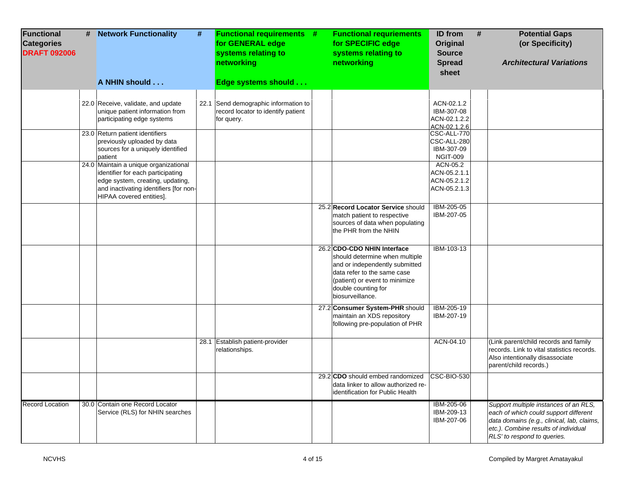| Functional<br><b>Categories</b><br><b>DRAFT 092006</b> | # | <b>Network Functionality</b><br>#<br>A NHIN should                                                                                                                                   | <b>Functional requirements #</b><br>for GENERAL edge<br>systems relating to<br>networking<br>Edge systems should | <b>Functional requriements</b><br>for SPECIFIC edge<br>systems relating to<br>networking                                                                                                                    | <b>ID</b> from<br><b>Original</b><br><b>Source</b><br><b>Spread</b><br>sheet | # | <b>Potential Gaps</b><br>(or Specificity)<br><b>Architectural Variations</b>                                                                                                                        |
|--------------------------------------------------------|---|--------------------------------------------------------------------------------------------------------------------------------------------------------------------------------------|------------------------------------------------------------------------------------------------------------------|-------------------------------------------------------------------------------------------------------------------------------------------------------------------------------------------------------------|------------------------------------------------------------------------------|---|-----------------------------------------------------------------------------------------------------------------------------------------------------------------------------------------------------|
|                                                        |   |                                                                                                                                                                                      |                                                                                                                  |                                                                                                                                                                                                             |                                                                              |   |                                                                                                                                                                                                     |
|                                                        |   | 22.0 Receive, validate, and update<br>unique patient information from<br>participating edge systems                                                                                  | 22.1 Send demographic information to<br>record locator to identify patient<br>for query.                         |                                                                                                                                                                                                             | ACN-02.1.2<br>IBM-307-08<br>ACN-02.1.2.2<br>ACN-02.1.2.6                     |   |                                                                                                                                                                                                     |
|                                                        |   | 23.0 Return patient identifiers<br>previously uploaded by data<br>sources for a uniquely identified<br>patient                                                                       |                                                                                                                  |                                                                                                                                                                                                             | CSC-ALL-770<br>CSC-ALL-280<br>IBM-307-09<br><b>NGIT-009</b>                  |   |                                                                                                                                                                                                     |
|                                                        |   | 24.0 Maintain a unique organizational<br>identifier for each participating<br>edge system, creating, updating,<br>and inactivating identifiers [for non-<br>HIPAA covered entities]. |                                                                                                                  |                                                                                                                                                                                                             | ACN-05.2<br>ACN-05.2.1.1<br>ACN-05.2.1.2<br>ACN-05.2.1.3                     |   |                                                                                                                                                                                                     |
|                                                        |   |                                                                                                                                                                                      |                                                                                                                  | 25.2 Record Locator Service should<br>match patient to respective<br>sources of data when populating<br>the PHR from the NHIN                                                                               | IBM-205-05<br>IBM-207-05                                                     |   |                                                                                                                                                                                                     |
|                                                        |   |                                                                                                                                                                                      |                                                                                                                  | 26.2 CDO-CDO NHIN Interface<br>should determine when multiple<br>and or independently submitted<br>data refer to the same case<br>(patient) or event to minimize<br>double counting for<br>biosurveillance. | IBM-103-13                                                                   |   |                                                                                                                                                                                                     |
|                                                        |   |                                                                                                                                                                                      |                                                                                                                  | 27.2 Consumer System-PHR should<br>maintain an XDS repository<br>following pre-population of PHR                                                                                                            | IBM-205-19<br>IBM-207-19                                                     |   |                                                                                                                                                                                                     |
|                                                        |   |                                                                                                                                                                                      | 28.1 Establish patient-provider<br>relationships.                                                                |                                                                                                                                                                                                             | ACN-04.10                                                                    |   | (Link parent/child records and family<br>records. Link to vital statistics records.<br>Also intentionally disassociate<br>parent/child records.)                                                    |
|                                                        |   |                                                                                                                                                                                      |                                                                                                                  | 29.2 CDO should embed randomized<br>data linker to allow authorized re-<br>identification for Public Health                                                                                                 | CSC-BIO-530                                                                  |   |                                                                                                                                                                                                     |
| Record Location                                        |   | 30.0 Contain one Record Locator<br>Service (RLS) for NHIN searches                                                                                                                   |                                                                                                                  |                                                                                                                                                                                                             | IBM-205-06<br>IBM-209-13<br>IBM-207-06                                       |   | Support multiple instances of an RLS,<br>each of which could support different<br>data domains (e.g., clinical, lab, claims,<br>etc.). Combine results of individual<br>RLS' to respond to queries. |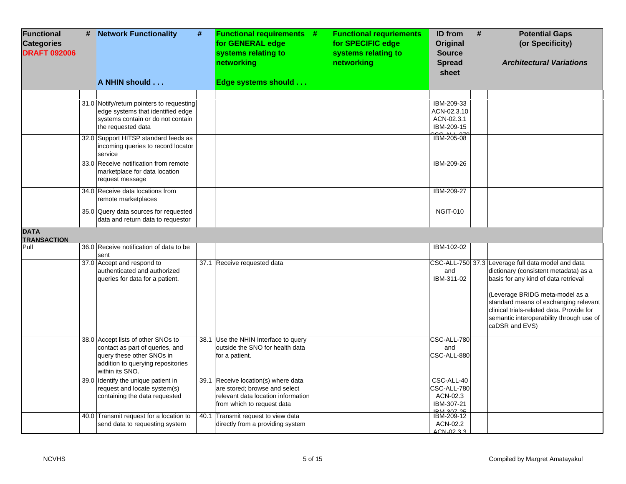| <b>Functional</b><br><b>Categories</b><br><b>DRAFT 092006</b> | # | <b>Network Functionality</b><br>A NHIN should                                                                                                              | # | <b>Functional requirements #</b><br>for GENERAL edge<br>systems relating to<br>networking<br>Edge systems should                         | <b>Functional requriements</b><br>for SPECIFIC edge<br>systems relating to<br>networking | ID from<br><b>Original</b><br><b>Source</b><br><b>Spread</b><br>sheet    | #<br><b>Potential Gaps</b><br>(or Specificity)<br><b>Architectural Variations</b>                                                                                                                                                                                                                                          |
|---------------------------------------------------------------|---|------------------------------------------------------------------------------------------------------------------------------------------------------------|---|------------------------------------------------------------------------------------------------------------------------------------------|------------------------------------------------------------------------------------------|--------------------------------------------------------------------------|----------------------------------------------------------------------------------------------------------------------------------------------------------------------------------------------------------------------------------------------------------------------------------------------------------------------------|
|                                                               |   |                                                                                                                                                            |   |                                                                                                                                          |                                                                                          |                                                                          |                                                                                                                                                                                                                                                                                                                            |
|                                                               |   | 31.0 Notify/return pointers to requesting<br>edge systems that identified edge<br>systems contain or do not contain<br>the requested data                  |   |                                                                                                                                          |                                                                                          | IBM-209-33<br>ACN-02.3.10<br>ACN-02.3.1<br>IBM-209-15                    |                                                                                                                                                                                                                                                                                                                            |
|                                                               |   | 32.0 Support HITSP standard feeds as<br>incoming queries to record locator<br>service                                                                      |   |                                                                                                                                          |                                                                                          | IBM-205-08                                                               |                                                                                                                                                                                                                                                                                                                            |
|                                                               |   | 33.0 Receive notification from remote<br>marketplace for data location<br>request message                                                                  |   |                                                                                                                                          |                                                                                          | IBM-209-26                                                               |                                                                                                                                                                                                                                                                                                                            |
|                                                               |   | 34.0 Receive data locations from<br>remote marketplaces                                                                                                    |   |                                                                                                                                          |                                                                                          | IBM-209-27                                                               |                                                                                                                                                                                                                                                                                                                            |
|                                                               |   | 35.0 Query data sources for requested<br>data and return data to requestor                                                                                 |   |                                                                                                                                          |                                                                                          | <b>NGIT-010</b>                                                          |                                                                                                                                                                                                                                                                                                                            |
| <b>DATA</b>                                                   |   |                                                                                                                                                            |   |                                                                                                                                          |                                                                                          |                                                                          |                                                                                                                                                                                                                                                                                                                            |
| <b>TRANSACTION</b><br>Pull                                    |   | 36.0 Receive notification of data to be                                                                                                                    |   |                                                                                                                                          |                                                                                          | IBM-102-02                                                               |                                                                                                                                                                                                                                                                                                                            |
|                                                               |   | sent                                                                                                                                                       |   |                                                                                                                                          |                                                                                          |                                                                          |                                                                                                                                                                                                                                                                                                                            |
|                                                               |   | 37.0 Accept and respond to<br>authenticated and authorized<br>queries for data for a patient.                                                              |   | 37.1 Receive requested data                                                                                                              |                                                                                          | and<br>IBM-311-02                                                        | CSC-ALL-750 37.3 Leverage full data model and data<br>dictionary (consistent metadata) as a<br>basis for any kind of data retrieval<br>(Leverage BRIDG meta-model as a<br>standard means of exchanging relevant<br>clinical trials-related data. Provide for<br>semantic interoperability through use of<br>caDSR and EVS) |
|                                                               |   | 38.0 Accept lists of other SNOs to<br>contact as part of queries, and<br>query these other SNOs in<br>addition to querying repositories<br>within its SNO. |   | 38.1 Use the NHIN Interface to query<br>outside the SNO for health data<br>for a patient.                                                |                                                                                          | CSC-ALL-780<br>and<br>CSC-ALL-880                                        |                                                                                                                                                                                                                                                                                                                            |
|                                                               |   | 39.0 Identify the unique patient in<br>request and locate system(s)<br>containing the data requested                                                       |   | 39.1 Receive location(s) where data<br>are stored; browse and select<br>relevant data location information<br>from which to request data |                                                                                          | CSC-ALL-40<br>CSC-ALL-780<br>ACN-02.3<br>IBM-307-21<br><b>IRM 207 25</b> |                                                                                                                                                                                                                                                                                                                            |
|                                                               |   | 40.0 Transmit request for a location to<br>send data to requesting system                                                                                  |   | 40.1 Transmit request to view data<br>directly from a providing system                                                                   |                                                                                          | IBM-209-12<br>ACN-02.2<br>ACN-02.3.3                                     |                                                                                                                                                                                                                                                                                                                            |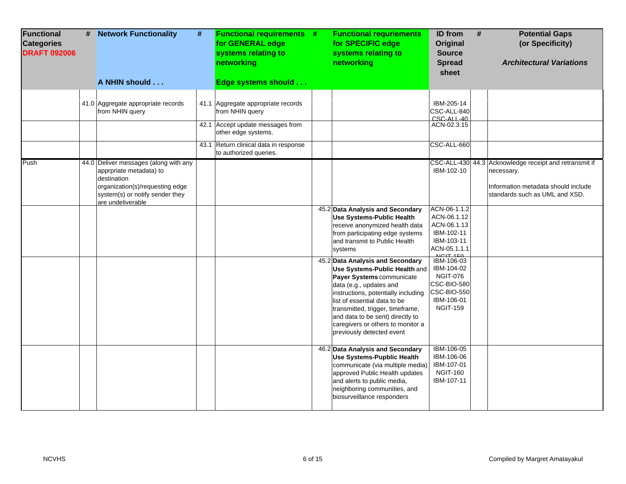| Functional<br><b>Categories</b><br><b>DRAFT 092006</b> | # | <b>Network Functionality</b>                                                                                                                                               | # | <b>Functional requirements #</b><br>for GENERAL edge<br>systems relating to<br>networking | <b>Functional requriements</b><br>for SPECIFIC edge<br>systems relating to<br>networking                                                                                                                                                                                                                                                   | <b>ID</b> from<br>Original<br><b>Source</b><br><b>Spread</b><br>sheet                                                    | <b>Potential Gaps</b><br>#<br>(or Specificity)<br><b>Architectural Variations</b>                                                             |
|--------------------------------------------------------|---|----------------------------------------------------------------------------------------------------------------------------------------------------------------------------|---|-------------------------------------------------------------------------------------------|--------------------------------------------------------------------------------------------------------------------------------------------------------------------------------------------------------------------------------------------------------------------------------------------------------------------------------------------|--------------------------------------------------------------------------------------------------------------------------|-----------------------------------------------------------------------------------------------------------------------------------------------|
|                                                        |   | A NHIN should                                                                                                                                                              |   | Edge systems should                                                                       |                                                                                                                                                                                                                                                                                                                                            |                                                                                                                          |                                                                                                                                               |
|                                                        |   | 41.0 Aggregate appropriate records<br>from NHIN query                                                                                                                      |   | 41.1 Aggregate appropriate records<br>from NHIN query<br>42.1 Accept update messages from |                                                                                                                                                                                                                                                                                                                                            | IBM-205-14<br>CSC-ALL-840<br>$CSC-ALI-40$<br>ACN-02.3.15                                                                 |                                                                                                                                               |
|                                                        |   |                                                                                                                                                                            |   | other edge systems.                                                                       |                                                                                                                                                                                                                                                                                                                                            |                                                                                                                          |                                                                                                                                               |
|                                                        |   |                                                                                                                                                                            |   | 43.1 Return clinical data in response<br>to authorized queries.                           |                                                                                                                                                                                                                                                                                                                                            | CSC-ALL-660                                                                                                              |                                                                                                                                               |
| Push                                                   |   | 44.0 Deliver messages (along with any<br>apprpriate metadata) to<br>destination<br>organization(s)/requesting edge<br>system(s) or notify sender they<br>are undeliverable |   |                                                                                           |                                                                                                                                                                                                                                                                                                                                            | IBM-102-10                                                                                                               | CSC-ALL-430 44.3 Acknowledge receipt and retransmit if<br>necessary.<br>Information metadata should include<br>standards such as UML and XSD. |
|                                                        |   |                                                                                                                                                                            |   |                                                                                           | 45.2 Data Analysis and Secondary<br><b>Use Systems-Public Health</b><br>receive anonymized health data<br>from participating edge systems<br>and transmit to Public Health<br>systems                                                                                                                                                      | ACN-06-1.1.2<br>ACN-06.1.12<br>ACN-06.1.13<br>IBM-102-11<br>IBM-103-11<br>ACN-05.1.1.1<br>NCIT 150                       |                                                                                                                                               |
|                                                        |   |                                                                                                                                                                            |   |                                                                                           | 45.2 Data Analysis and Secondary<br>Use Systems-Public Health and<br>Payer Systems communicate<br>data (e.g., updates and<br>instructions, potentially including<br>list of essential data to be<br>transmitted, trigger, timeframe,<br>and data to be sent) directly to<br>caregivers or others to monitor a<br>previously detected event | IBM-106-03<br>IBM-104-02<br><b>NGIT-076</b><br><b>CSC-BIO-580</b><br><b>CSC-BIO-550</b><br>IBM-106-01<br><b>NGIT-159</b> |                                                                                                                                               |
|                                                        |   |                                                                                                                                                                            |   |                                                                                           | 46.2 Data Analysis and Secondary<br><b>Use Systems-Pupblic Health</b><br>communicate (via multiple media)<br>approved Public Health updates<br>and alerts to public media,<br>neighboring communities, and<br>biosurveillance responders                                                                                                   | IBM-106-05<br>IBM-106-06<br>IBM-107-01<br><b>NGIT-160</b><br>IBM-107-11                                                  |                                                                                                                                               |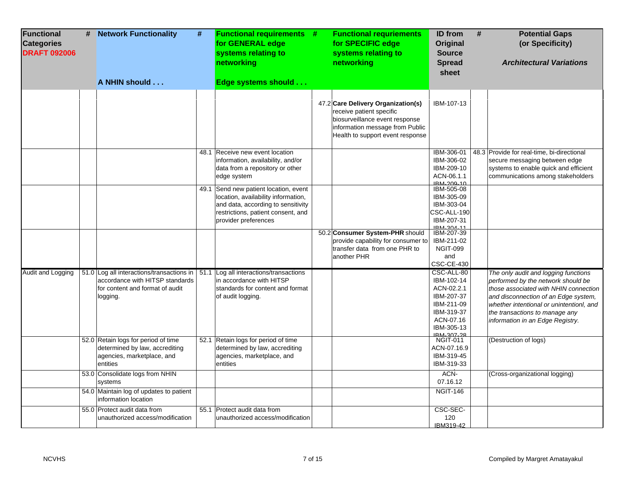| Functional<br><b>Categories</b><br><b>DRAFT 092006</b> | # | <b>Network Functionality</b><br>A NHIN should                                                                               | # | <b>Functional requirements #</b><br>for GENERAL edge<br>systems relating to<br>networking<br>Edge systems should                                                                 | <b>Functional requriements</b><br>for SPECIFIC edge<br>systems relating to<br>networking                                                                                | <b>ID</b> from<br><b>Original</b><br><b>Source</b><br><b>Spread</b><br>sheet                                              | # | <b>Potential Gaps</b><br>(or Specificity)<br><b>Architectural Variations</b>                                                                                                                                                                                                  |
|--------------------------------------------------------|---|-----------------------------------------------------------------------------------------------------------------------------|---|----------------------------------------------------------------------------------------------------------------------------------------------------------------------------------|-------------------------------------------------------------------------------------------------------------------------------------------------------------------------|---------------------------------------------------------------------------------------------------------------------------|---|-------------------------------------------------------------------------------------------------------------------------------------------------------------------------------------------------------------------------------------------------------------------------------|
|                                                        |   |                                                                                                                             |   |                                                                                                                                                                                  | 47.2 Care Delivery Organization(s)<br>receive patient specific<br>biosurveillance event response<br>information message from Public<br>Health to support event response | IBM-107-13                                                                                                                |   |                                                                                                                                                                                                                                                                               |
|                                                        |   |                                                                                                                             |   | 48.1 Receive new event location<br>information, availability, and/or<br>data from a repository or other<br>edge system                                                           |                                                                                                                                                                         | IBM-306-01<br>IBM-306-02<br>IBM-209-10<br>ACN-06.1.1<br>IRM-209-10                                                        |   | 48.3 Provide for real-time, bi-directional<br>secure messaging between edge<br>systems to enable quick and efficient<br>communications among stakeholders                                                                                                                     |
|                                                        |   |                                                                                                                             |   | 49.1 Send new patient location, event<br>location, availability information,<br>and data, according to sensitivity<br>restrictions, patient consent, and<br>provider preferences |                                                                                                                                                                         | IBM-505-08<br>IBM-305-09<br>IBM-303-04<br>CSC-ALL-190<br>IBM-207-31<br>IRM-304-11                                         |   |                                                                                                                                                                                                                                                                               |
|                                                        |   |                                                                                                                             |   |                                                                                                                                                                                  | 50.2 Consumer System-PHR should<br>provide capability for consumer to<br>transfer data from one PHR to<br>another PHR                                                   | IBM-207-39<br>IBM-211-02<br><b>NGIT-099</b><br>and<br>CSC-CE-430                                                          |   |                                                                                                                                                                                                                                                                               |
| <b>Audit and Logging</b>                               |   | 51.0 Log all interactions/transactions in<br>accordance with HITSP standards<br>for content and format of audit<br>logging. |   | 51.1 Log all interactions/transactions<br>in accordance with HITSP<br>standards for content and format<br>of audit logging.                                                      |                                                                                                                                                                         | CSC-ALL-80<br>IBM-102-14<br>ACN-02.2.1<br>IBM-207-37<br>IBM-211-09<br>IBM-319-37<br>ACN-07.16<br>IBM-305-13<br>IRM_307_28 |   | The only audit and logging functions<br>performed by the network should be<br>those associated with NHIN connection<br>and disconnection of an Edge system,<br>whether intentional or unintentionl, and<br>the transactions to manage any<br>information in an Edge Registry. |
|                                                        |   | 52.0 Retain logs for period of time<br>determined by law, accrediting<br>agencies, marketplace, and<br>entities             |   | 52.1 Retain logs for period of time<br>determined by law, accrediting<br>agencies, marketplace, and<br>entities                                                                  |                                                                                                                                                                         | <b>NGIT-011</b><br>ACN-07.16.9<br>IBM-319-45<br>IBM-319-33                                                                |   | (Destruction of logs)                                                                                                                                                                                                                                                         |
|                                                        |   | 53.0 Consolidate logs from NHIN<br>systems                                                                                  |   |                                                                                                                                                                                  |                                                                                                                                                                         | ACN-<br>07.16.12                                                                                                          |   | (Cross-organizational logging)                                                                                                                                                                                                                                                |
|                                                        |   | 54.0 Maintain log of updates to patient<br>information location                                                             |   |                                                                                                                                                                                  |                                                                                                                                                                         | <b>NGIT-146</b>                                                                                                           |   |                                                                                                                                                                                                                                                                               |
|                                                        |   | 55.0 Protect audit data from<br>unauthorized access/modification                                                            |   | 55.1 Protect audit data from<br>unauthorized access/modification                                                                                                                 |                                                                                                                                                                         | CSC-SEC-<br>120<br>IBM319-42                                                                                              |   |                                                                                                                                                                                                                                                                               |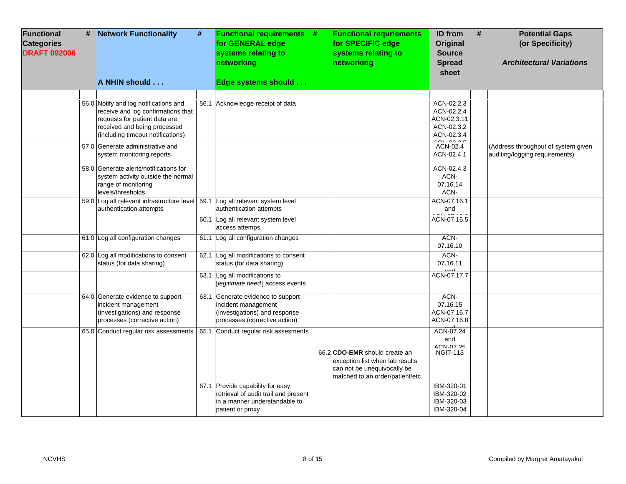| <b>Functional</b><br><b>Categories</b><br><b>DRAFT 092006</b> | # Network Functionality                                                                                                                                                           | # | <b>Functional requirements #</b><br>for GENERAL edge<br>systems relating to<br>networking                                     | <b>Functional requriements</b><br>for SPECIFIC edge<br>systems relating to<br>networking                                            | <b>ID</b> from<br>Original<br><b>Source</b><br><b>Spread</b><br>sheet           | # | <b>Potential Gaps</b><br>(or Specificity)<br><b>Architectural Variations</b> |
|---------------------------------------------------------------|-----------------------------------------------------------------------------------------------------------------------------------------------------------------------------------|---|-------------------------------------------------------------------------------------------------------------------------------|-------------------------------------------------------------------------------------------------------------------------------------|---------------------------------------------------------------------------------|---|------------------------------------------------------------------------------|
|                                                               | A NHIN should                                                                                                                                                                     |   | Edge systems should                                                                                                           |                                                                                                                                     |                                                                                 |   |                                                                              |
|                                                               | 56.0 Notify and log notifications and<br>receive and log confirmations that<br>requests for patient data are<br>received and being processed<br>(including timeout notifications) |   | 56.1 Acknowledge receipt of data                                                                                              |                                                                                                                                     | ACN-02.2.3<br>ACN-02.2.4<br>ACN-02.3.11<br>ACN-02.3.2<br>ACN-02.3.4<br>0.010000 |   |                                                                              |
|                                                               | 57.0 Generate administrative and<br>system monitoring reports                                                                                                                     |   |                                                                                                                               |                                                                                                                                     | ACN-02.4<br>ACN-02.4.1                                                          |   | (Address throughput of system given<br>auditing/logging requirements)        |
|                                                               | 58.0 Generate alerts/notifications for<br>system activity outside the normal<br>range of monitoring<br>levels/thresholds                                                          |   |                                                                                                                               |                                                                                                                                     | ACN-02.4.3<br>ACN-<br>07.16.14<br>ACN-                                          |   |                                                                              |
|                                                               | 59.0 Log all relevant infrastructure level 59.1 Log all relevant system level<br>authentication attempts                                                                          |   | authentication attempts                                                                                                       |                                                                                                                                     | ACN-07.16.1<br>and                                                              |   |                                                                              |
|                                                               |                                                                                                                                                                                   |   | 60.1 Log all relevant system level<br>access attemps                                                                          |                                                                                                                                     | ACN-07.16.5                                                                     |   |                                                                              |
|                                                               | 61.0 Log all configuration changes                                                                                                                                                |   | 61.1 Log all configuration changes                                                                                            |                                                                                                                                     | ACN-<br>07.16.10                                                                |   |                                                                              |
|                                                               | 62.0 Log all modifications to consent<br>status (for data sharing)                                                                                                                |   | 62.1 Log all modifications to consent<br>status (for data sharing)                                                            |                                                                                                                                     | ACN-<br>07.16.11<br>and                                                         |   |                                                                              |
|                                                               |                                                                                                                                                                                   |   | 63.1 Log all modifications to<br>[legitimate need] access events                                                              |                                                                                                                                     | ACN-07.17.7                                                                     |   |                                                                              |
|                                                               | 64.0 Generate evidence to support<br>incident management<br>(investigations) and response<br>processes (corrective action)                                                        |   | 63.1 Generate evidence to support<br>incident management<br>(investigations) and response<br>processes (corrective action)    |                                                                                                                                     | ACN-<br>07.16.15<br>ACN-07.16.7<br>ACN-07.16.8                                  |   |                                                                              |
|                                                               | 65.0 Conduct regular risk assessments                                                                                                                                             |   | 65.1 Conduct regular risk assesments                                                                                          |                                                                                                                                     | ACN-07.24<br>and<br>ACN-07 25                                                   |   |                                                                              |
|                                                               |                                                                                                                                                                                   |   |                                                                                                                               | 66.2 CDO-EMR should create an<br>exception list when lab results<br>can not be unequivocally be<br>matched to an order/patient/etc. | <b>NGIT-113</b>                                                                 |   |                                                                              |
|                                                               |                                                                                                                                                                                   |   | 67.1 Provide capability for easy<br>retrieval of audit trail and present<br>in a manner understandable to<br>patient or proxy |                                                                                                                                     | IBM-320-01<br>IBM-320-02<br>IBM-320-03<br>IBM-320-04                            |   |                                                                              |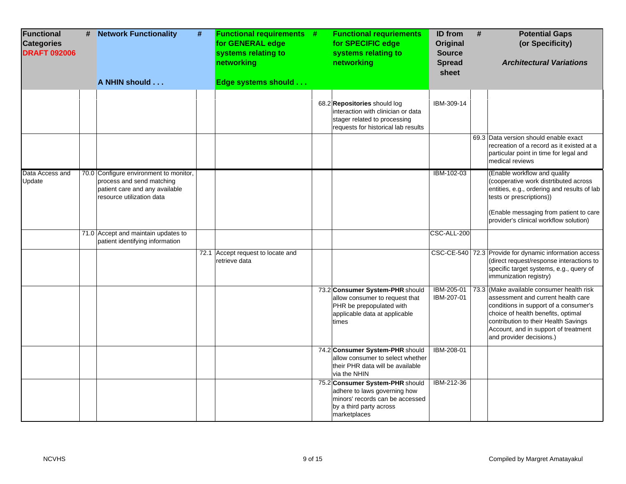| <b>Functional</b><br><b>Categories</b><br><b>DRAFT 092006</b> | # | <b>Network Functionality</b><br>A NHIN should                                                                                      | $\pmb{\#}$ | <b>Functional requirements #</b><br>for GENERAL edge<br>systems relating to<br>networking<br>Edge systems should | <b>Functional requriements</b><br>for SPECIFIC edge<br>systems relating to<br>networking                                                      | <b>ID</b> from<br>Original<br><b>Source</b><br><b>Spread</b><br>sheet | # | <b>Potential Gaps</b><br>(or Specificity)<br><b>Architectural Variations</b>                                                                                                                                                                                               |
|---------------------------------------------------------------|---|------------------------------------------------------------------------------------------------------------------------------------|------------|------------------------------------------------------------------------------------------------------------------|-----------------------------------------------------------------------------------------------------------------------------------------------|-----------------------------------------------------------------------|---|----------------------------------------------------------------------------------------------------------------------------------------------------------------------------------------------------------------------------------------------------------------------------|
|                                                               |   |                                                                                                                                    |            |                                                                                                                  | 68.2 Repositories should log<br>interaction with clinician or data<br>stager related to processing                                            | IBM-309-14                                                            |   |                                                                                                                                                                                                                                                                            |
|                                                               |   |                                                                                                                                    |            |                                                                                                                  | requests for historical lab results                                                                                                           |                                                                       |   | 69.3 Data version should enable exact<br>recreation of a record as it existed at a<br>particular point in time for legal and<br>medical reviews                                                                                                                            |
| Data Access and<br>Update                                     |   | 70.0 Configure environment to monitor,<br>process and send matching<br>patient care and any available<br>resource utilization data |            |                                                                                                                  |                                                                                                                                               | IBM-102-03                                                            |   | (Enable workflow and quality<br>(cooperative work distrtibuted across<br>entities, e.g., ordering and results of lab<br>tests or prescriptions))<br>(Enable messaging from patient to care<br>provider's clinical workflow solution)                                       |
|                                                               |   | 71.0 Accept and maintain updates to<br>patient identifying information                                                             |            |                                                                                                                  |                                                                                                                                               | CSC-ALL-200                                                           |   |                                                                                                                                                                                                                                                                            |
|                                                               |   |                                                                                                                                    |            | 72.1 Accept request to locate and<br>retrieve data                                                               |                                                                                                                                               |                                                                       |   | CSC-CE-540 72.3 Provide for dynamic information access<br>(direct request/response interactions to<br>specific target systems, e.g., query of<br>immunization registry)                                                                                                    |
|                                                               |   |                                                                                                                                    |            |                                                                                                                  | 73.2 Consumer System-PHR should<br>allow consumer to request that<br>PHR be prepopulated with<br>applicable data at applicable<br>times       | IBM-205-01<br>IBM-207-01                                              |   | 73.3 (Make available consumer health risk<br>assessment and current health care<br>conditions in support of a consumer's<br>choice of health benefits, optimal<br>contribution to their Health Savings<br>Account, and in support of treatment<br>and provider decisions.) |
|                                                               |   |                                                                                                                                    |            |                                                                                                                  | 74.2 Consumer System-PHR should<br>allow consumer to select whether<br>their PHR data will be available<br>via the NHIN                       | IBM-208-01                                                            |   |                                                                                                                                                                                                                                                                            |
|                                                               |   |                                                                                                                                    |            |                                                                                                                  | 75.2 Consumer System-PHR should<br>adhere to laws governing how<br>minors' records can be accessed<br>by a third party across<br>marketplaces | IBM-212-36                                                            |   |                                                                                                                                                                                                                                                                            |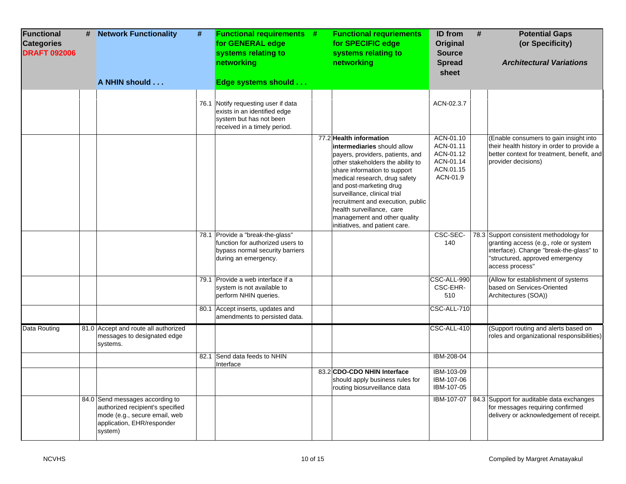| <b>Functional</b><br><b>Categories</b><br><b>DRAFT 092006</b> | # | <b>Network Functionality</b><br>A NHIN should                                                                                                 | # | <b>Functional requirements #</b><br>for GENERAL edge<br>systems relating to<br>networking<br>Edge systems should                | <b>Functional requriements</b><br>for SPECIFIC edge<br>systems relating to<br>networking                                                                                                                                                                                                                                                                                                        | ID from<br>Original<br><b>Source</b><br><b>Spread</b><br>sheet            | # | <b>Potential Gaps</b><br>(or Specificity)<br><b>Architectural Variations</b>                                                                                                      |
|---------------------------------------------------------------|---|-----------------------------------------------------------------------------------------------------------------------------------------------|---|---------------------------------------------------------------------------------------------------------------------------------|-------------------------------------------------------------------------------------------------------------------------------------------------------------------------------------------------------------------------------------------------------------------------------------------------------------------------------------------------------------------------------------------------|---------------------------------------------------------------------------|---|-----------------------------------------------------------------------------------------------------------------------------------------------------------------------------------|
|                                                               |   |                                                                                                                                               |   |                                                                                                                                 |                                                                                                                                                                                                                                                                                                                                                                                                 |                                                                           |   |                                                                                                                                                                                   |
|                                                               |   |                                                                                                                                               |   | 76.1 Notify requesting user if data<br>exists in an identified edge<br>system but has not been<br>received in a timely period.  |                                                                                                                                                                                                                                                                                                                                                                                                 | ACN-02.3.7                                                                |   |                                                                                                                                                                                   |
|                                                               |   |                                                                                                                                               |   |                                                                                                                                 | 77.2 Health information<br>intermediaries should allow<br>payers, providers, patients, and<br>other stakeholders the ability to<br>share information to support<br>medical research, drug safety<br>and post-marketing drug<br>surveillance, clinical trial<br>recruitment and execution, public<br>health surveillance, care<br>management and other quality<br>initiatives, and patient care. | ACN-01.10<br>ACN-01.11<br>ACN-01.12<br>ACN-01.14<br>ACN.01.15<br>ACN-01.9 |   | (Enable consumers to gain insight into<br>their health history in order to provide a<br>better context for treatment, benefit, and<br>provider decisions)                         |
|                                                               |   |                                                                                                                                               |   | 78.1 Provide a "break-the-glass"<br>function for authorized users to<br>bypass normal security barriers<br>during an emergency. |                                                                                                                                                                                                                                                                                                                                                                                                 | CSC-SEC-<br>140                                                           |   | 78.3 Support consistent methodology for<br>granting access (e.g., role or system<br>interface). Change "break-the-glass" to<br>"structured, approved emergency<br>access process" |
|                                                               |   |                                                                                                                                               |   | 79.1 Provide a web interface if a<br>system is not available to<br>perform NHIN queries.                                        |                                                                                                                                                                                                                                                                                                                                                                                                 | CSC-ALL-990<br>CSC-EHR-<br>510                                            |   | (Allow for establishment of systems<br>based on Services-Oriented<br>Architectures (SOA))                                                                                         |
|                                                               |   |                                                                                                                                               |   | 80.1 Accept inserts, updates and<br>amendments to persisted data.                                                               |                                                                                                                                                                                                                                                                                                                                                                                                 | CSC-ALL-710                                                               |   |                                                                                                                                                                                   |
| Data Routing                                                  |   | 81.0 Accept and route all authorized<br>messages to designated edge<br>systems.                                                               |   |                                                                                                                                 |                                                                                                                                                                                                                                                                                                                                                                                                 | CSC-ALL-410                                                               |   | (Support routing and alerts based on<br>roles and organizational responsibilities)                                                                                                |
|                                                               |   |                                                                                                                                               |   | 82.1 Send data feeds to NHIN<br>Interface                                                                                       |                                                                                                                                                                                                                                                                                                                                                                                                 | IBM-208-04                                                                |   |                                                                                                                                                                                   |
|                                                               |   |                                                                                                                                               |   |                                                                                                                                 | 83.2 CDO-CDO NHIN Interface<br>should apply business rules for<br>routing biosurveillance data                                                                                                                                                                                                                                                                                                  | IBM-103-09<br>IBM-107-06<br>IBM-107-05                                    |   |                                                                                                                                                                                   |
|                                                               |   | 84.0 Send messages according to<br>authorized recipient's specified<br>mode (e.g., secure email, web<br>application, EHR/responder<br>system) |   |                                                                                                                                 |                                                                                                                                                                                                                                                                                                                                                                                                 | IBM-107-07                                                                |   | 84.3 Support for auditable data exchanges<br>for messages requiring confirmed<br>delivery or acknowledgement of receipt.                                                          |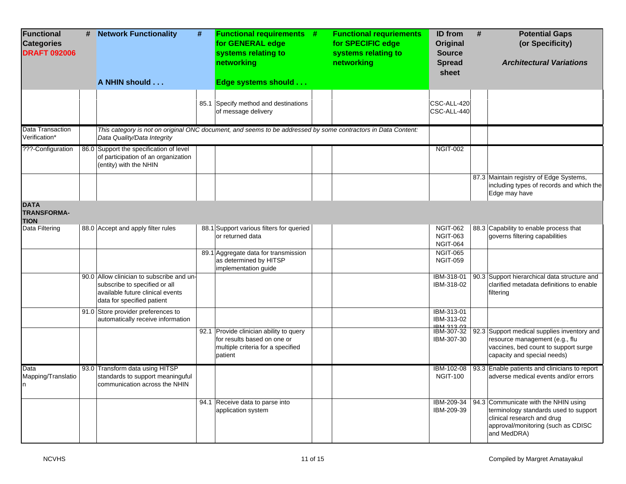| <b>Functional</b><br><b>Categories</b><br><b>DRAFT 092006</b> | # | <b>Network Functionality</b><br>A NHIN should                                                                                                | # | <b>Functional requirements #</b><br>for GENERAL edge<br>systems relating to<br>networking<br>Edge systems should       | <b>Functional requriements</b><br>for SPECIFIC edge<br>systems relating to<br>networking | ID from<br><b>Original</b><br><b>Source</b><br><b>Spread</b><br>sheet | # | <b>Potential Gaps</b><br>(or Specificity)<br><b>Architectural Variations</b>                                                                                     |
|---------------------------------------------------------------|---|----------------------------------------------------------------------------------------------------------------------------------------------|---|------------------------------------------------------------------------------------------------------------------------|------------------------------------------------------------------------------------------|-----------------------------------------------------------------------|---|------------------------------------------------------------------------------------------------------------------------------------------------------------------|
|                                                               |   |                                                                                                                                              |   | 85.1 Specify method and destinations                                                                                   |                                                                                          | CSC-ALL-420                                                           |   |                                                                                                                                                                  |
|                                                               |   |                                                                                                                                              |   | of message delivery                                                                                                    |                                                                                          | CSC-ALL-440                                                           |   |                                                                                                                                                                  |
| Data Transaction<br>Verification*                             |   | Data Quality/Data Integrity                                                                                                                  |   | This category is not on original ONC document, and seems to be addressed by some contractors in Data Content:          |                                                                                          |                                                                       |   |                                                                                                                                                                  |
| ???-Configuration                                             |   | 86.0 Support the specification of level<br>of participation of an organization<br>(entity) with the NHIN                                     |   |                                                                                                                        |                                                                                          | <b>NGIT-002</b>                                                       |   |                                                                                                                                                                  |
|                                                               |   |                                                                                                                                              |   |                                                                                                                        |                                                                                          |                                                                       |   | 87.3 Maintain registry of Edge Systems,<br>including types of records and which the<br>Edge may have                                                             |
| <b>DATA</b><br><b>TRANSFORMA-</b><br><b>TION</b>              |   |                                                                                                                                              |   |                                                                                                                        |                                                                                          |                                                                       |   |                                                                                                                                                                  |
| Data Filtering                                                |   | 88.0 Accept and apply filter rules                                                                                                           |   | 88.1 Support various filters for queried<br>or returned data                                                           |                                                                                          | <b>NGIT-062</b><br><b>NGIT-063</b><br><b>NGIT-064</b>                 |   | 88.3 Capability to enable process that<br>governs filtering capabilities                                                                                         |
|                                                               |   |                                                                                                                                              |   | 89.1 Aggregate data for transmission<br>as determined by HITSP<br>implementation guide                                 |                                                                                          | <b>NGIT-065</b><br><b>NGIT-059</b>                                    |   |                                                                                                                                                                  |
|                                                               |   | 90.0 Allow clinician to subscribe and un-<br>subscribe to specified or all<br>available future clinical events<br>data for specified patient |   |                                                                                                                        |                                                                                          | IBM-318-01<br>IBM-318-02                                              |   | 90.3 Support hierarchical data structure and<br>clarified metadata definitions to enable<br>filtering                                                            |
|                                                               |   | 91.0 Store provider preferences to<br>automatically receive information                                                                      |   |                                                                                                                        |                                                                                          | IBM-313-01<br>IBM-313-02<br><b>IRM 212 02</b>                         |   |                                                                                                                                                                  |
|                                                               |   |                                                                                                                                              |   | 92.1 Provide clinician ability to query<br>for results based on one or<br>multiple criteria for a specified<br>patient |                                                                                          | IBM-307-32<br>IBM-307-30                                              |   | 92.3 Support medical supplies inventory and<br>resource management (e.g., flu<br>vaccines, bed count to support surge<br>capacity and special needs)             |
| Data<br>Mapping/Translatio<br>n                               |   | 93.0 Transform data using HITSP<br>standards to support meaninguful<br>communication across the NHIN                                         |   |                                                                                                                        |                                                                                          | IBM-102-08<br><b>NGIT-100</b>                                         |   | 93.3 Enable patients and clinicians to report<br>adverse medical events and/or errors                                                                            |
|                                                               |   |                                                                                                                                              |   | 94.1 Receive data to parse into<br>application system                                                                  |                                                                                          | IBM-209-34<br>IBM-209-39                                              |   | 94.3 Communicate with the NHIN using<br>terminology standards used to support<br>clinical research and drug<br>approval/monitoring (such as CDISC<br>and MedDRA) |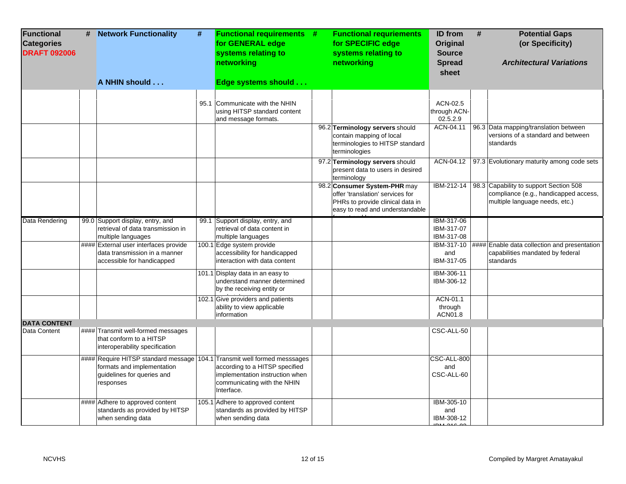| Functional<br><b>Categories</b><br><b>DRAFT 092006</b> | # Network Functionality<br>A NHIN should                                                                                                          | # | <b>Functional requirements #</b><br>for GENERAL edge<br>systems relating to<br>networking<br>Edge systems should | <b>Functional requriements</b><br>for SPECIFIC edge<br>systems relating to<br>networking                                                | <b>ID</b> from<br><b>Original</b><br><b>Source</b><br><b>Spread</b><br>sheet | # | <b>Potential Gaps</b><br>(or Specificity)<br><b>Architectural Variations</b>                                                 |
|--------------------------------------------------------|---------------------------------------------------------------------------------------------------------------------------------------------------|---|------------------------------------------------------------------------------------------------------------------|-----------------------------------------------------------------------------------------------------------------------------------------|------------------------------------------------------------------------------|---|------------------------------------------------------------------------------------------------------------------------------|
|                                                        |                                                                                                                                                   |   | 95.1 Communicate with the NHIN<br>using HITSP standard content<br>and message formats.                           |                                                                                                                                         | ACN-02.5<br>through ACN-<br>02.5.2.9                                         |   |                                                                                                                              |
|                                                        |                                                                                                                                                   |   |                                                                                                                  | 96.2 Terminology servers should<br>contain mapping of local<br>terminologies to HITSP standard<br>terminologies                         | ACN-04.11                                                                    |   | 96.3 Data mapping/translation between<br>versions of a standard and between<br>standards                                     |
|                                                        |                                                                                                                                                   |   |                                                                                                                  | 97.2 Terminology servers should<br>present data to users in desired<br>terminology                                                      |                                                                              |   | ACN-04.12   97.3 Evolutionary maturity among code sets                                                                       |
|                                                        |                                                                                                                                                   |   |                                                                                                                  | 98.2 Consumer System-PHR may<br>offer 'translation' services for<br>PHRs to provide clinical data in<br>easy to read and understandable |                                                                              |   | IBM-212-14 98.3 Capability to support Section 508<br>compliance (e.g., handicapped access,<br>multiple language needs, etc.) |
| Data Rendering                                         | 99.0 Support display, entry, and<br>retrieval of data transmission in<br>multiple languages                                                       |   | 99.1 Support display, entry, and<br>retrieval of data content in<br>multiple languages                           |                                                                                                                                         | IBM-317-06<br>IBM-317-07<br>IBM-317-08                                       |   |                                                                                                                              |
|                                                        | ####  External user interfaces provide<br>data transmission in a manner<br>accessible for handicapped                                             |   | 100.1 Edge system provide<br>accessibility for handicapped<br>interaction with data content                      |                                                                                                                                         | and<br>IBM-317-05                                                            |   | IBM-317-10   #### Enable data collection and presentation<br>capabilities mandated by federal<br>standards                   |
|                                                        |                                                                                                                                                   |   | 101.1 Display data in an easy to<br>understand manner determined<br>by the receiving entity or                   |                                                                                                                                         | IBM-306-11<br>IBM-306-12                                                     |   |                                                                                                                              |
|                                                        |                                                                                                                                                   |   | 102.1 Give providers and patients<br>ability to view applicable<br>information                                   |                                                                                                                                         | ACN-01.1<br>through<br>ACN01.8                                               |   |                                                                                                                              |
| <b>DATA CONTENT</b><br>Data Content                    | #### Transmit well-formed messages<br>that conform to a HITSP<br>interoperability specification                                                   |   |                                                                                                                  |                                                                                                                                         | CSC-ALL-50                                                                   |   |                                                                                                                              |
|                                                        | #### Require HITSP standard message 104.1 Transmit well formed messsages<br>formats and implementation<br>guidelines for queries and<br>responses |   | according to a HITSP specified<br>implementation instruction when<br>communicating with the NHIN<br>Interface.   |                                                                                                                                         | CSC-ALL-800<br>and<br>CSC-ALL-60                                             |   |                                                                                                                              |
|                                                        | #### Adhere to approved content<br>standards as provided by HITSP<br>when sending data                                                            |   | 105.1 Adhere to approved content<br>standards as provided by HITSP<br>when sending data                          |                                                                                                                                         | IBM-305-10<br>and<br>IBM-308-12                                              |   |                                                                                                                              |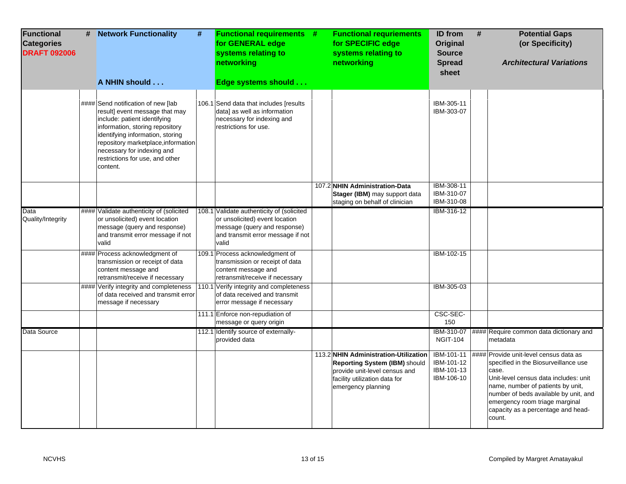| <b>Functional</b><br><b>Categories</b><br><b>DRAFT 092006</b> | # Network Functionality                                                                                                                                                                                                                                                                         | $\pmb{\#}$ | <b>Functional requirements #</b><br>for GENERAL edge<br>systems relating to<br>networking                                                                 | <b>Functional requriements</b><br>for SPECIFIC edge<br>systems relating to<br>networking                                                                       | <b>ID</b> from<br>Original<br><b>Source</b><br><b>Spread</b><br>sheet | # | <b>Potential Gaps</b><br>(or Specificity)<br><b>Architectural Variations</b>                                                                                                                                                                                                                     |
|---------------------------------------------------------------|-------------------------------------------------------------------------------------------------------------------------------------------------------------------------------------------------------------------------------------------------------------------------------------------------|------------|-----------------------------------------------------------------------------------------------------------------------------------------------------------|----------------------------------------------------------------------------------------------------------------------------------------------------------------|-----------------------------------------------------------------------|---|--------------------------------------------------------------------------------------------------------------------------------------------------------------------------------------------------------------------------------------------------------------------------------------------------|
|                                                               | A NHIN should                                                                                                                                                                                                                                                                                   |            | Edge systems should                                                                                                                                       |                                                                                                                                                                |                                                                       |   |                                                                                                                                                                                                                                                                                                  |
|                                                               | #### Send notification of new [lab<br>result] event message that may<br>include: patient identifying<br>information, storing repository<br>identifying information, storing<br>repository marketplace, information<br>necessary for indexing and<br>restrictions for use, and other<br>content. |            | 106.1 Send data that includes [results<br>data] as well as information<br>necessary for indexing and<br>restrictions for use.                             |                                                                                                                                                                | IBM-305-11<br>IBM-303-07                                              |   |                                                                                                                                                                                                                                                                                                  |
|                                                               |                                                                                                                                                                                                                                                                                                 |            |                                                                                                                                                           | 107.2 NHIN Administration-Data<br>Stager (IBM) may support data<br>staging on behalf of clinician                                                              | IBM-308-11<br>IBM-310-07<br>IBM-310-08                                |   |                                                                                                                                                                                                                                                                                                  |
| Data<br>Quality/Integrity                                     | #### Validate authenticity of (solicited<br>or unsolicited) event location<br>message (query and response)<br>and transmit error message if not<br>valid                                                                                                                                        |            | 108.1 Validate authenticity of (solicited<br>or unsolicited) event location<br>message (query and response)<br>and transmit error message if not<br>valid |                                                                                                                                                                | IBM-316-12                                                            |   |                                                                                                                                                                                                                                                                                                  |
|                                                               | #### Process acknowledgment of<br>transmission or receipt of data<br>content message and<br>retransmit/receive if necessary                                                                                                                                                                     |            | 109.1 Process acknowledgment of<br>transmission or receipt of data<br>content message and<br>retransmit/receive if necessary                              |                                                                                                                                                                | <b>IBM-102-15</b>                                                     |   |                                                                                                                                                                                                                                                                                                  |
|                                                               | #### Verify integrity and completeness<br>of data received and transmit error<br>message if necessary                                                                                                                                                                                           |            | 110.1 Verify integrity and completeness<br>of data received and transmit<br>error message if necessary                                                    |                                                                                                                                                                | IBM-305-03                                                            |   |                                                                                                                                                                                                                                                                                                  |
|                                                               |                                                                                                                                                                                                                                                                                                 |            | 111.1 Enforce non-repudiation of<br>message or query origin                                                                                               |                                                                                                                                                                | CSC-SEC-<br>150                                                       |   |                                                                                                                                                                                                                                                                                                  |
| Data Source                                                   |                                                                                                                                                                                                                                                                                                 |            | 112.1 Identify source of externally-<br>provided data                                                                                                     |                                                                                                                                                                | IBM-310-07<br><b>NGIT-104</b>                                         |   | #### Require common data dictionary and<br>metadata                                                                                                                                                                                                                                              |
|                                                               |                                                                                                                                                                                                                                                                                                 |            |                                                                                                                                                           | 113.2 NHIN Administration-Utilization<br>Reporting System (IBM) should<br>provide unit-level census and<br>facility utilization data for<br>emergency planning | IBM-101-11<br>IBM-101-12<br>IBM-101-13<br>IBM-106-10                  |   | #### Provide unit-level census data as<br>specified in the Biosurveillance use<br>case.<br>Unit-level census data includes: unit<br>name, number of patients by unit,<br>number of beds available by unit, and<br>emergency room triage marginal<br>capacity as a percentage and head-<br>count. |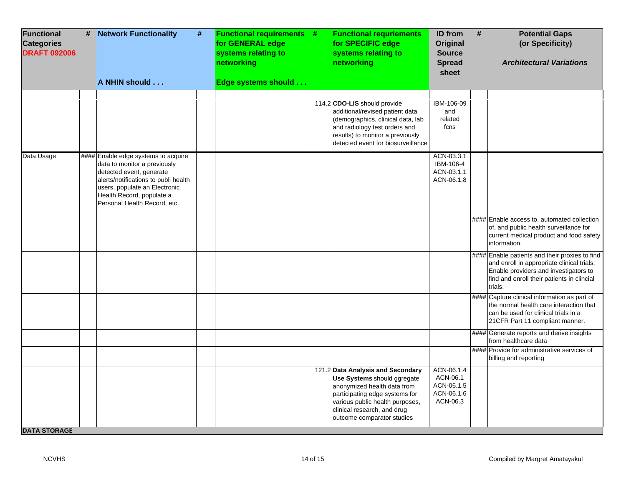| <b>Functional</b><br><b>Categories</b><br><b>DRAFT 092006</b> | # | <b>Network Functionality</b><br>A NHIN should                                                                                                                                                                                          | $\pmb{\#}$ | <b>Functional requirements #</b><br>for GENERAL edge<br>systems relating to<br>networking<br>Edge systems should | <b>Functional requriements</b><br>for SPECIFIC edge<br>systems relating to<br>networking                                                                                                                                          | ID from<br>Original<br><b>Source</b><br><b>Spread</b><br>sheet | # | <b>Potential Gaps</b><br>(or Specificity)<br><b>Architectural Variations</b>                                                                                                                   |
|---------------------------------------------------------------|---|----------------------------------------------------------------------------------------------------------------------------------------------------------------------------------------------------------------------------------------|------------|------------------------------------------------------------------------------------------------------------------|-----------------------------------------------------------------------------------------------------------------------------------------------------------------------------------------------------------------------------------|----------------------------------------------------------------|---|------------------------------------------------------------------------------------------------------------------------------------------------------------------------------------------------|
|                                                               |   |                                                                                                                                                                                                                                        |            |                                                                                                                  |                                                                                                                                                                                                                                   |                                                                |   |                                                                                                                                                                                                |
|                                                               |   |                                                                                                                                                                                                                                        |            |                                                                                                                  | 114.2 CDO-LIS should provide<br>additional/revised patient data<br>(demographics, clinical data, lab<br>and radiology test orders and<br>results) to monitor a previously<br>detected event for biosurveillance                   | IBM-106-09<br>and<br>related<br>fcns                           |   |                                                                                                                                                                                                |
| Data Usage                                                    |   | ####  Enable edge systems to acquire<br>data to monitor a previously<br>detected event, generate<br>alerts/notifications to publi health<br>users, populate an Electronic<br>Health Record, populate a<br>Personal Health Record, etc. |            |                                                                                                                  |                                                                                                                                                                                                                                   | ACN-03.3.1<br>IBM-106-4<br>ACN-03.1.1<br>ACN-06.1.8            |   |                                                                                                                                                                                                |
|                                                               |   |                                                                                                                                                                                                                                        |            |                                                                                                                  |                                                                                                                                                                                                                                   |                                                                |   | ####  Enable access to, automated collection<br>of, and public health surveillance for<br>current medical product and food safety<br>information.                                              |
|                                                               |   |                                                                                                                                                                                                                                        |            |                                                                                                                  |                                                                                                                                                                                                                                   |                                                                |   | #### Enable patients and their proxies to find<br>and enroll in appropriate clinical trials.<br>Enable providers and investigators to<br>find and enroll their patients in clincial<br>trials. |
|                                                               |   |                                                                                                                                                                                                                                        |            |                                                                                                                  |                                                                                                                                                                                                                                   |                                                                |   | #### Capture clinical information as part of<br>the normal health care interaction that<br>can be used for clinical trials in a<br>21CFR Part 11 compliant manner.                             |
|                                                               |   |                                                                                                                                                                                                                                        |            |                                                                                                                  |                                                                                                                                                                                                                                   |                                                                |   | #### Generate reports and derive insights<br>from healthcare data                                                                                                                              |
|                                                               |   |                                                                                                                                                                                                                                        |            |                                                                                                                  |                                                                                                                                                                                                                                   |                                                                |   | ####  Provide for administrative services of<br>billing and reporting                                                                                                                          |
| <b>DATA STORAGE</b>                                           |   |                                                                                                                                                                                                                                        |            |                                                                                                                  | 121.2 Data Analysis and Secondary<br>Use Systems should ggregate<br>anonymized health data from<br>participating edge systems for<br>various public health purposes,<br>clinical research, and drug<br>outcome comparator studies | ACN-06.1.4<br>ACN-06.1<br>ACN-06.1.5<br>ACN-06.1.6<br>ACN-06.3 |   |                                                                                                                                                                                                |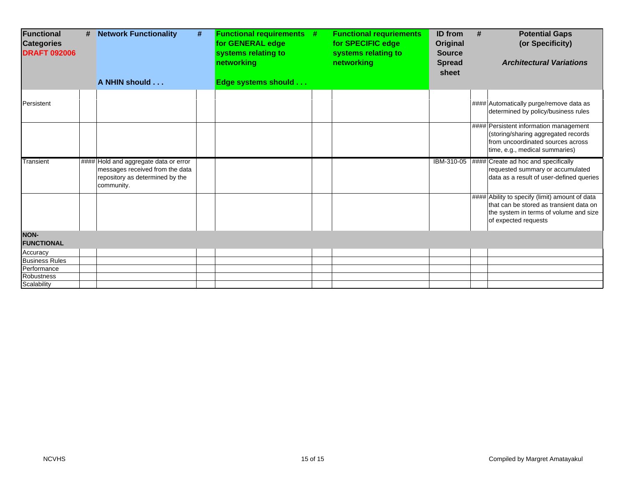| <b>Functional</b><br><b>Categories</b><br><b>DRAFT 092006</b> | # | <b>Network Functionality</b><br>A NHIN should                                                                             | # | <b>Functional requirements #</b><br>for GENERAL edge<br>systems relating to<br>networking<br>Edge systems should | <b>Functional requriements</b><br>for SPECIFIC edge<br>systems relating to<br>networking | <b>ID</b> from<br>Original<br><b>Source</b><br><b>Spread</b><br>sheet | <b>Potential Gaps</b><br>#<br>(or Specificity)<br><b>Architectural Variations</b>                                                                           |
|---------------------------------------------------------------|---|---------------------------------------------------------------------------------------------------------------------------|---|------------------------------------------------------------------------------------------------------------------|------------------------------------------------------------------------------------------|-----------------------------------------------------------------------|-------------------------------------------------------------------------------------------------------------------------------------------------------------|
| Persistent                                                    |   |                                                                                                                           |   |                                                                                                                  |                                                                                          |                                                                       | #### Automatically purge/remove data as<br>determined by policy/business rules                                                                              |
|                                                               |   |                                                                                                                           |   |                                                                                                                  |                                                                                          |                                                                       | #### Persistent information management<br>(storing/sharing aggregated records<br>from uncoordinated sources across<br>time, e.g., medical summaries)        |
| Transient                                                     |   | #### Hold and aggregate data or error<br>messages received from the data<br>repository as determined by the<br>community. |   |                                                                                                                  |                                                                                          |                                                                       | IBM-310-05   #### Create ad hoc and specifically<br>requested summary or accumulated<br>data as a result of user-defined queries                            |
|                                                               |   |                                                                                                                           |   |                                                                                                                  |                                                                                          |                                                                       | #### Ability to specify (limit) amount of data<br>that can be stored as transient data on<br>the system in terms of volume and size<br>of expected requests |
| <b>NON-</b><br><b>FUNCTIONAL</b>                              |   |                                                                                                                           |   |                                                                                                                  |                                                                                          |                                                                       |                                                                                                                                                             |
| Accuracy                                                      |   |                                                                                                                           |   |                                                                                                                  |                                                                                          |                                                                       |                                                                                                                                                             |
| <b>Business Rules</b>                                         |   |                                                                                                                           |   |                                                                                                                  |                                                                                          |                                                                       |                                                                                                                                                             |
| Performance                                                   |   |                                                                                                                           |   |                                                                                                                  |                                                                                          |                                                                       |                                                                                                                                                             |
| <b>Robustness</b>                                             |   |                                                                                                                           |   |                                                                                                                  |                                                                                          |                                                                       |                                                                                                                                                             |
| Scalability                                                   |   |                                                                                                                           |   |                                                                                                                  |                                                                                          |                                                                       |                                                                                                                                                             |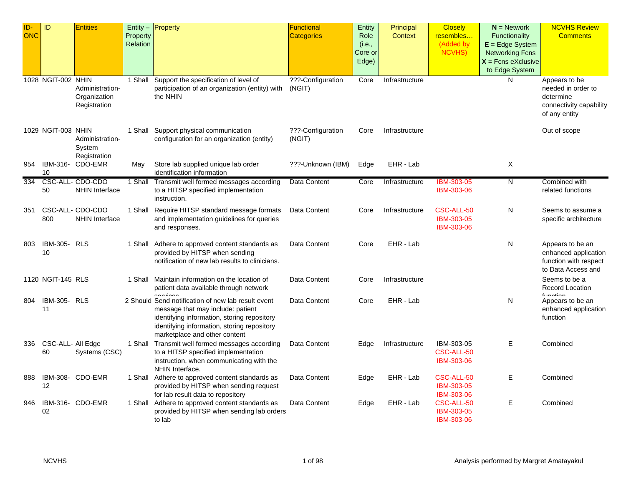| ID-<br>ONC | ID                                     | <b>Entities</b>                                 | Property | Entity - Property                                                                                                                                                                                                      | <b>Functional</b><br><b>Categories</b> | Entity<br>Role             | Principal<br><b>Context</b> | <b>Closely</b><br>resembles                   | $N =$ Network<br>Functionality                                                        | <b>NCVHS Review</b><br><b>Comments</b>                                                       |
|------------|----------------------------------------|-------------------------------------------------|----------|------------------------------------------------------------------------------------------------------------------------------------------------------------------------------------------------------------------------|----------------------------------------|----------------------------|-----------------------------|-----------------------------------------------|---------------------------------------------------------------------------------------|----------------------------------------------------------------------------------------------|
|            |                                        |                                                 | Relation |                                                                                                                                                                                                                        |                                        | (i.e.,<br>Core or<br>Edge) |                             | (Added by<br>NCVHS)                           | $E = Edge System$<br><b>Networking Fcns</b><br>$X =$ Fcns eXclusive<br>to Edge System |                                                                                              |
|            | 1028 NGIT-002 NHIN                     | Administration-<br>Organization<br>Registration | 1 Shall  | Support the specification of level of<br>participation of an organization (entity) with<br>the NHIN                                                                                                                    | ???-Configuration<br>(NGIT)            | Core                       | Infrastructure              |                                               | N                                                                                     | Appears to be<br>needed in order to<br>determine<br>connectivity capability<br>of any entity |
|            | 1029 NGIT-003 NHIN                     | Administration-<br>System<br>Registration       |          | 1 Shall Support physical communication<br>configuration for an organization (entity)                                                                                                                                   | ???-Configuration<br>(NGIT)            | Core                       | Infrastructure              |                                               |                                                                                       | Out of scope                                                                                 |
| 954        | IBM-316-<br>10                         | CDO-EMR                                         | May      | Store lab supplied unique lab order<br>identification information                                                                                                                                                      | ???-Unknown (IBM)                      | Edge                       | EHR - Lab                   |                                               | Χ                                                                                     |                                                                                              |
| 334        | 50                                     | CSC-ALL- CDO-CDO<br><b>NHIN Interface</b>       | 1 Shall  | Transmit well formed messages according<br>to a HITSP specified implementation<br>instruction.                                                                                                                         | Data Content                           | Core                       | Infrastructure              | IBM-303-05<br>IBM-303-06                      | N                                                                                     | Combined with<br>related functions                                                           |
| 351        | 800                                    | CSC-ALL- CDO-CDO<br><b>NHIN Interface</b>       |          | 1 Shall Require HITSP standard message formats<br>and implementation guidelines for queries<br>and responses.                                                                                                          | Data Content                           | Core                       | Infrastructure              | CSC-ALL-50<br>IBM-303-05<br>IBM-303-06        | N                                                                                     | Seems to assume a<br>specific architecture                                                   |
| 803        | <b>IBM-305- RLS</b><br>10 <sup>1</sup> |                                                 |          | 1 Shall Adhere to approved content standards as<br>provided by HITSP when sending<br>notification of new lab results to clinicians.                                                                                    | Data Content                           | Core                       | EHR - Lab                   |                                               | N                                                                                     | Appears to be an<br>enhanced application<br>function with respect<br>to Data Access and      |
|            | 1120 NGIT-145 RLS                      |                                                 | 1 Shall  | Maintain information on the location of<br>patient data available through network<br>$\sim$ n $i$ 000                                                                                                                  | Data Content                           | Core                       | Infrastructure              |                                               |                                                                                       | Seems to be a<br><b>Record Location</b><br>function                                          |
| 804        | <b>IBM-305- RLS</b><br>11              |                                                 |          | 2 Should Send notification of new lab result event<br>message that may include: patient<br>identifying information, storing repository<br>identifying information, storing repository<br>marketplace and other content | Data Content                           | Core                       | EHR - Lab                   |                                               | N                                                                                     | Appears to be an<br>enhanced application<br>function                                         |
| 336        | CSC-ALL- All Edge<br>60                | Systems (CSC)                                   |          | 1 Shall Transmit well formed messages according<br>to a HITSP specified implementation<br>instruction, when communicating with the<br>NHIN Interface.                                                                  | Data Content                           | Edge                       | Infrastructure              | IBM-303-05<br>CSC-ALL-50<br><b>IBM-303-06</b> | E                                                                                     | Combined                                                                                     |
| 888        | 12                                     | IBM-308- CDO-EMR                                | 1 Shall  | Adhere to approved content standards as<br>provided by HITSP when sending request<br>for lab result data to repository                                                                                                 | Data Content                           | Edge                       | EHR - Lab                   | CSC-ALL-50<br>IBM-303-05<br>IBM-303-06        | Е                                                                                     | Combined                                                                                     |
| 946        | 02                                     | IBM-316- CDO-EMR                                | 1 Shall  | Adhere to approved content standards as<br>provided by HITSP when sending lab orders<br>to lab                                                                                                                         | Data Content                           | Edge                       | EHR - Lab                   | CSC-ALL-50<br>IBM-303-05<br>IBM-303-06        | E.                                                                                    | Combined                                                                                     |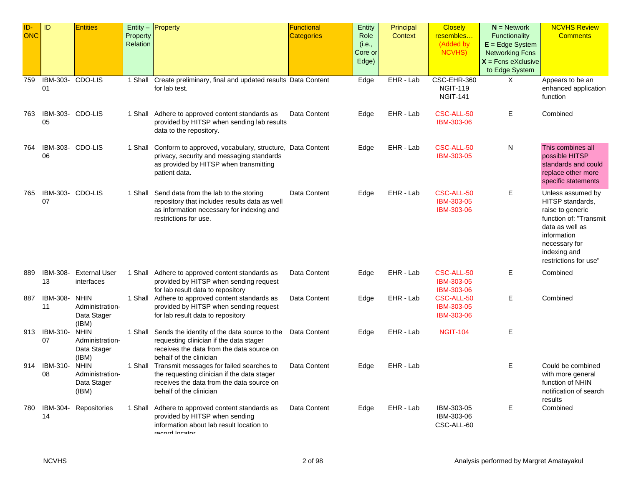| ID-<br><b>ONC</b> | ID                     | <b>Entities</b>                                        | Property<br>Relation | $Entity -$ Property                                                                                                                                                     | Functional<br><b>Categories</b> | Entity<br>Role<br>(i.e.,<br>Core or<br>Edge) | Principal<br><b>Context</b> | <b>Closely</b><br>resembles<br>(Added by<br><b>NCVHS)</b> | $N =$ Network<br>Functionality<br>$E = Edge System$<br><b>Networking Fcns</b><br>$X =$ Fcns eXclusive<br>to Edge System | <b>NCVHS Review</b><br><b>Comments</b>                                                                                                                                          |
|-------------------|------------------------|--------------------------------------------------------|----------------------|-------------------------------------------------------------------------------------------------------------------------------------------------------------------------|---------------------------------|----------------------------------------------|-----------------------------|-----------------------------------------------------------|-------------------------------------------------------------------------------------------------------------------------|---------------------------------------------------------------------------------------------------------------------------------------------------------------------------------|
| 759               | IBM-303-<br>01         | CDO-LIS                                                | 1 Shall              | Create preliminary, final and updated results Data Content<br>for lab test.                                                                                             |                                 | Edge                                         | EHR - Lab                   | CSC-EHR-360<br><b>NGIT-119</b><br><b>NGIT-141</b>         | X                                                                                                                       | Appears to be an<br>enhanced application<br>function                                                                                                                            |
| 763               | IBM-303- CDO-LIS<br>05 |                                                        |                      | 1 Shall Adhere to approved content standards as<br>provided by HITSP when sending lab results<br>data to the repository.                                                | Data Content                    | Edge                                         | EHR - Lab                   | CSC-ALL-50<br>IBM-303-06                                  | Е                                                                                                                       | Combined                                                                                                                                                                        |
| 764               | IBM-303- CDO-LIS<br>06 |                                                        | 1 Shall              | Conform to approved, vocabulary, structure, Data Content<br>privacy, security and messaging standards<br>as provided by HITSP when transmitting<br>patient data.        |                                 | Edge                                         | EHR - Lab                   | CSC-ALL-50<br>IBM-303-05                                  | N                                                                                                                       | This combines all<br>possible HITSP<br>standards and could<br>replace other more<br>specific statements                                                                         |
| 765               | IBM-303- CDO-LIS<br>07 |                                                        | 1 Shall              | Send data from the lab to the storing<br>repository that includes results data as well<br>as information necessary for indexing and<br>restrictions for use.            | Data Content                    | Edge                                         | EHR - Lab                   | CSC-ALL-50<br>IBM-303-05<br>IBM-303-06                    | Е                                                                                                                       | Unless assumed by<br>HITSP standards,<br>raise to generic<br>function of: "Transmit<br>data as well as<br>information<br>necessary for<br>indexing and<br>restrictions for use" |
| 889               | IBM-308-<br>13         | <b>External User</b><br>interfaces                     |                      | 1 Shall Adhere to approved content standards as<br>provided by HITSP when sending request<br>for lab result data to repository                                          | Data Content                    | Edge                                         | EHR - Lab                   | CSC-ALL-50<br>IBM-303-05<br>IBM-303-06                    | Е                                                                                                                       | Combined                                                                                                                                                                        |
| 887               | IBM-308-<br>11         | <b>NHIN</b><br>Administration-<br>Data Stager<br>(IBM) |                      | 1 Shall Adhere to approved content standards as<br>provided by HITSP when sending request<br>for lab result data to repository                                          | Data Content                    | Edge                                         | EHR - Lab                   | CSC-ALL-50<br>IBM-303-05<br><b>IBM-303-06</b>             | Е                                                                                                                       | Combined                                                                                                                                                                        |
| 913               | IBM-310-<br>07         | <b>NHIN</b><br>Administration-<br>Data Stager<br>(IBM) | 1 Shall              | Sends the identity of the data source to the<br>requesting clinician if the data stager<br>receives the data from the data source on<br>behalf of the clinician         | Data Content                    | Edge                                         | EHR - Lab                   | <b>NGIT-104</b>                                           | Е                                                                                                                       |                                                                                                                                                                                 |
| 914               | IBM-310-<br>08         | <b>NHIN</b><br>Administration-<br>Data Stager<br>(IBM) |                      | 1 Shall Transmit messages for failed searches to<br>the requesting clinician if the data stager<br>receives the data from the data source on<br>behalf of the clinician | Data Content                    | Edge                                         | EHR - Lab                   |                                                           | Е                                                                                                                       | Could be combined<br>with more general<br>function of NHIN<br>notification of search<br>results                                                                                 |
| 780               | 14                     | IBM-304- Repositories                                  |                      | 1 Shall Adhere to approved content standards as<br>provided by HITSP when sending<br>information about lab result location to<br>racord locator                         | Data Content                    | Edge                                         | EHR - Lab                   | IBM-303-05<br>IBM-303-06<br>CSC-ALL-60                    | Е                                                                                                                       | Combined                                                                                                                                                                        |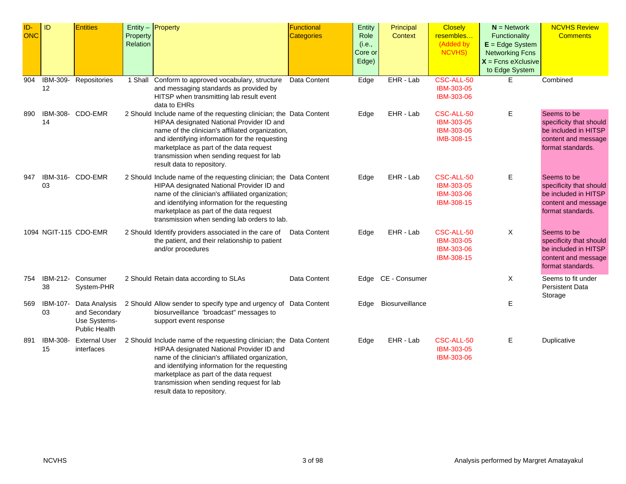| ID-<br><b>ONC</b> | ID             | <b>Entities</b>                                                        | Property<br>Relation | Entity $-$ Property                                                                                                                                                                                                                                                                                                                          | Functional<br><b>Categories</b> | Entity<br>Role<br>(i.e.,<br>Core or<br>Edge) | Principal<br>Context | <b>Closely</b><br>resembles<br>(Added by<br>NCVHS)   | $N =$ Network<br>Functionality<br>$E = Edge System$<br><b>Networking Fcns</b><br>$X =$ Fcns eXclusive<br>to Edge System | <b>NCVHS Review</b><br><b>Comments</b>                                                                     |
|-------------------|----------------|------------------------------------------------------------------------|----------------------|----------------------------------------------------------------------------------------------------------------------------------------------------------------------------------------------------------------------------------------------------------------------------------------------------------------------------------------------|---------------------------------|----------------------------------------------|----------------------|------------------------------------------------------|-------------------------------------------------------------------------------------------------------------------------|------------------------------------------------------------------------------------------------------------|
| 904               | IBM-309-<br>12 | Repositories                                                           | 1 Shall              | Conform to approved vocabulary, structure<br>and messaging standards as provided by<br>HITSP when transmitting lab result event<br>data to EHRs                                                                                                                                                                                              | Data Content                    | Edge                                         | EHR - Lab            | CSC-ALL-50<br>IBM-303-05<br>IBM-303-06               | E                                                                                                                       | Combined                                                                                                   |
| 890               | 14             | IBM-308- CDO-EMR                                                       |                      | 2 Should Include name of the requesting clinician; the Data Content<br>HIPAA designated National Provider ID and<br>name of the clinician's affiliated organization,<br>and identifying information for the requesting<br>marketplace as part of the data request<br>transmission when sending request for lab<br>result data to repository. |                                 | Edge                                         | EHR - Lab            | CSC-ALL-50<br>IBM-303-05<br>IBM-303-06<br>IMB-308-15 | Ε                                                                                                                       | Seems to be<br>specificity that should<br>be included in HITSP<br>content and message<br>format standards. |
| 947               | 03             | IBM-316- CDO-EMR                                                       |                      | 2 Should Include name of the requesting clinician; the Data Content<br>HIPAA designated National Provider ID and<br>name of the clinician's affiliated organization;<br>and identifying information for the requesting<br>marketplace as part of the data request<br>transmission when sending lab orders to lab.                            |                                 | Edge                                         | EHR - Lab            | CSC-ALL-50<br>IBM-303-05<br>IBM-303-06<br>IBM-308-15 | Ε                                                                                                                       | Seems to be<br>specificity that should<br>be included in HITSP<br>content and message<br>format standards. |
|                   |                | 1094 NGIT-115 CDO-EMR                                                  |                      | 2 Should Identify providers associated in the care of Data Content<br>the patient, and their relationship to patient<br>and/or procedures                                                                                                                                                                                                    |                                 | Edge                                         | EHR - Lab            | CSC-ALL-50<br>IBM-303-05<br>IBM-303-06<br>IBM-308-15 | X                                                                                                                       | Seems to be<br>specificity that should<br>be included in HITSP<br>content and message<br>format standards. |
| 754               | IBM-212-<br>38 | Consumer<br>System-PHR                                                 |                      | 2 Should Retain data according to SLAs                                                                                                                                                                                                                                                                                                       | Data Content                    |                                              | Edge CE - Consumer   |                                                      | $\boldsymbol{\mathsf{X}}$                                                                                               | Seems to fit under<br><b>Persistent Data</b><br>Storage                                                    |
| 569               | IBM-107-<br>03 | Data Analysis<br>and Secondary<br>Use Systems-<br><b>Public Health</b> |                      | 2 Should Allow sender to specify type and urgency of Data Content<br>biosurveillance 'broadcast" messages to<br>support event response                                                                                                                                                                                                       |                                 |                                              | Edge Biosurveillance |                                                      | Е                                                                                                                       |                                                                                                            |
| 891               | IBM-308-<br>15 | <b>External User</b><br>interfaces                                     |                      | 2 Should Include name of the requesting clinician; the Data Content<br>HIPAA designated National Provider ID and<br>name of the clinician's affiliated organization,<br>and identifying information for the requesting<br>marketplace as part of the data request<br>transmission when sending request for lab<br>result data to repository. |                                 | Edge                                         | EHR - Lab            | CSC-ALL-50<br>IBM-303-05<br>IBM-303-06               | Е                                                                                                                       | Duplicative                                                                                                |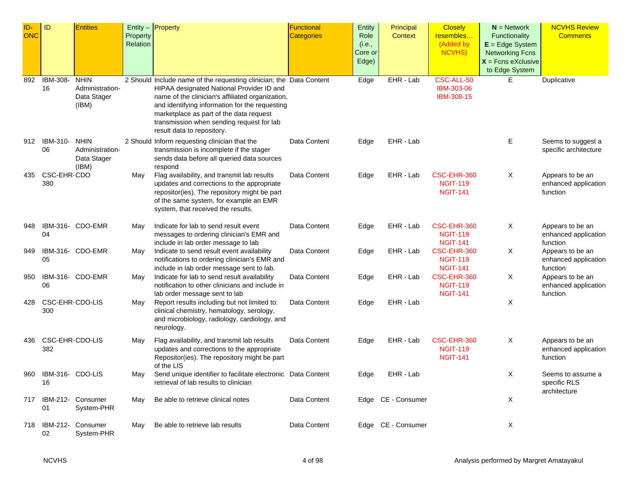| ID-        | ID                     | <b>Entities</b>                                        |                      | Entity $-$ Property                                                                                                                                                                                                                                                                                                                          | Functional        | Entity                             | Principal          | <b>Closely</b>                                    | $N =$ Network                                                                                          | <b>NCVHS Review</b>                                  |
|------------|------------------------|--------------------------------------------------------|----------------------|----------------------------------------------------------------------------------------------------------------------------------------------------------------------------------------------------------------------------------------------------------------------------------------------------------------------------------------------|-------------------|------------------------------------|--------------------|---------------------------------------------------|--------------------------------------------------------------------------------------------------------|------------------------------------------------------|
| <b>ONC</b> |                        |                                                        | Property<br>Relation |                                                                                                                                                                                                                                                                                                                                              | <b>Categories</b> | Role<br>(i.e.,<br>Core or<br>Edge) | <b>Context</b>     | resembles<br>(Added by<br>NCVHS)                  | Functionality<br>$E = Edge System$<br><b>Networking Fcns</b><br>$X =$ Fcns eXclusive<br>to Edge System | <b>Comments</b>                                      |
| 892        | IBM-308-<br>16         | <b>NHIN</b><br>Administration-<br>Data Stager<br>(IBM) |                      | 2 Should Include name of the requesting clinician; the Data Content<br>HIPAA designated National Provider ID and<br>name of the clinician's affiliated organization,<br>and identifying information for the requesting<br>marketplace as part of the data request<br>transmission when sending request for lab<br>result data to repository. |                   | Edge                               | $EHR - Lab$        | CSC-ALL-50<br>IBM-303-06<br>IBM-308-15            | E.                                                                                                     | Duplicative                                          |
| 912        | IBM-310-<br>06         | <b>NHIN</b><br>Administration-<br>Data Stager<br>(IBM) |                      | 2 Should Inform requesting clinician that the<br>transmission is incomplete if the stager<br>sends data before all queried data sources<br>respond                                                                                                                                                                                           | Data Content      | Edge                               | EHR - Lab          |                                                   | Е                                                                                                      | Seems to suggest a<br>specific architecture          |
| 435        | CSC-EHR-CDO<br>380     |                                                        | May                  | Flag availability, and transmit lab results<br>updates and corrections to the appropriate<br>repositor(ies). The repository might be part<br>of the same system, for example an EMR<br>system, that received the results.                                                                                                                    | Data Content      | Edge                               | EHR - Lab          | CSC-EHR-360<br><b>NGIT-119</b><br><b>NGIT-141</b> | X                                                                                                      | Appears to be an<br>enhanced application<br>function |
| 948        | 04                     | IBM-316- CDO-EMR                                       | May                  | Indicate for lab to send result event<br>messages to ordering clinician's EMR and<br>include in lab order message to lab                                                                                                                                                                                                                     | Data Content      | Edge                               | EHR - Lab          | CSC-EHR-360<br><b>NGIT-119</b><br><b>NGIT-141</b> | X                                                                                                      | Appears to be an<br>enhanced application<br>function |
| 949        | 05                     | IBM-316- CDO-EMR                                       | May                  | Indicate to send result event availability<br>notifications to ordering clinician's EMR and<br>include in lab order message sent to lab.                                                                                                                                                                                                     | Data Content      | Edge                               | EHR - Lab          | CSC-EHR-360<br><b>NGIT-119</b><br><b>NGIT-141</b> | X                                                                                                      | Appears to be an<br>enhanced application<br>function |
| 950        | 06                     | IBM-316- CDO-EMR                                       | May                  | Indicate for lab to send result availability<br>notification to other clinicians and include in<br>lab order message sent to lab                                                                                                                                                                                                             | Data Content      | Edge                               | EHR - Lab          | CSC-EHR-360<br><b>NGIT-119</b><br><b>NGIT-141</b> | X                                                                                                      | Appears to be an<br>enhanced application<br>function |
| 428        | CSC-EHR-CDO-LIS<br>300 |                                                        | May                  | Report results including but not limited to:<br>clinical chemistry, hematology, serology,<br>and microbiology, radiology, cardiology, and<br>neurology.                                                                                                                                                                                      | Data Content      | Edge                               | EHR - Lab          |                                                   | X                                                                                                      |                                                      |
| 436        | CSC-EHR-CDO-LIS<br>382 |                                                        | May                  | Flag availability, and transmit lab results<br>updates and corrections to the appropriate<br>Repositor(ies). The repository might be part<br>of the LIS                                                                                                                                                                                      | Data Content      | Edge                               | EHR - Lab          | CSC-EHR-360<br><b>NGIT-119</b><br><b>NGIT-141</b> | Χ                                                                                                      | Appears to be an<br>enhanced application<br>function |
| 960        | IBM-316- CDO-LIS<br>16 |                                                        | May                  | Send unique identifier to facilitate electronic Data Content<br>retrieval of lab results to clinician                                                                                                                                                                                                                                        |                   | Edge                               | EHR - Lab          |                                                   | X                                                                                                      | Seems to assume a<br>specific RLS<br>architecture    |
| 717        | 01                     | IBM-212- Consumer<br>System-PHR                        | May                  | Be able to retrieve clinical notes                                                                                                                                                                                                                                                                                                           | Data Content      |                                    | Edge CE - Consumer |                                                   | X                                                                                                      |                                                      |
|            | 02                     | 718 IBM-212- Consumer<br>System-PHR                    | May                  | Be able to retrieve lab results                                                                                                                                                                                                                                                                                                              | Data Content      |                                    | Edge CE - Consumer |                                                   | X                                                                                                      |                                                      |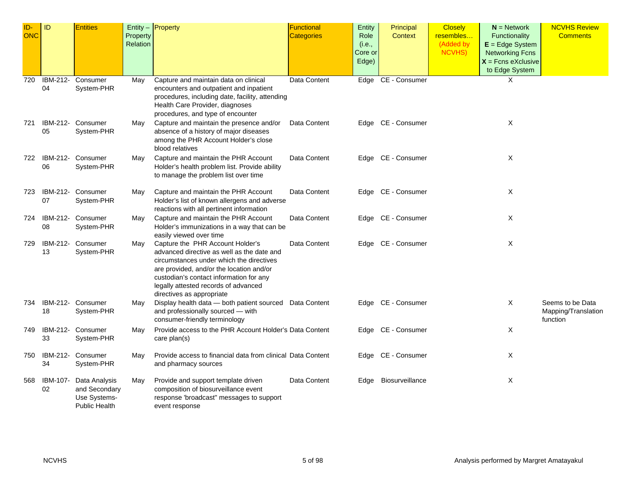| ID-<br><b>ONC</b> | ID             | <b>Entities</b>                                                        | Property<br><b>Relation</b> | Entity $-$ Property                                                                                                                                                                                                                                                                    | <b>Functional</b><br><b>Categories</b> | Entity<br>Role<br>(i.e.,<br>Core or<br>Edge) | Principal<br><b>Context</b> | <b>Closely</b><br>resembles<br>(Added by<br>NCVHS) | $N =$ Network<br>Functionality<br>$E = Edge System$<br><b>Networking Fcns</b><br>$X =$ Fcns eXclusive<br>to Edge System | <b>NCVHS Review</b><br><b>Comments</b>              |
|-------------------|----------------|------------------------------------------------------------------------|-----------------------------|----------------------------------------------------------------------------------------------------------------------------------------------------------------------------------------------------------------------------------------------------------------------------------------|----------------------------------------|----------------------------------------------|-----------------------------|----------------------------------------------------|-------------------------------------------------------------------------------------------------------------------------|-----------------------------------------------------|
| 720               | 04             | IBM-212- Consumer<br>System-PHR                                        | May                         | Capture and maintain data on clinical<br>encounters and outpatient and inpatient<br>procedures, including date, facility, attending<br>Health Care Provider, diagnoses<br>procedures, and type of encounter                                                                            | Data Content                           |                                              | Edge CE - Consumer          |                                                    | X                                                                                                                       |                                                     |
| 721               | IBM-212-<br>05 | Consumer<br>System-PHR                                                 | May                         | Capture and maintain the presence and/or<br>absence of a history of major diseases<br>among the PHR Account Holder's close<br>blood relatives                                                                                                                                          | Data Content                           |                                              | Edge CE - Consumer          |                                                    | X                                                                                                                       |                                                     |
|                   | 06             | 722 IBM-212- Consumer<br>System-PHR                                    | May                         | Capture and maintain the PHR Account<br>Holder's health problem list. Provide ability<br>to manage the problem list over time                                                                                                                                                          | Data Content                           |                                              | Edge CE - Consumer          |                                                    | X                                                                                                                       |                                                     |
| 723               | IBM-212-<br>07 | Consumer<br>System-PHR                                                 | May                         | Capture and maintain the PHR Account<br>Holder's list of known allergens and adverse<br>reactions with all pertinent information                                                                                                                                                       | Data Content                           |                                              | Edge CE - Consumer          |                                                    | $\boldsymbol{\mathsf{X}}$                                                                                               |                                                     |
| 724               | IBM-212-<br>08 | Consumer<br>System-PHR                                                 | May                         | Capture and maintain the PHR Account<br>Holder's immunizations in a way that can be<br>easily viewed over time                                                                                                                                                                         | Data Content                           |                                              | Edge CE - Consumer          |                                                    | X                                                                                                                       |                                                     |
| 729               | IBM-212-<br>13 | Consumer<br>System-PHR                                                 | May                         | Capture the PHR Account Holder's<br>advanced directive as well as the date and<br>circumstances under which the directives<br>are provided, and/or the location and/or<br>custodian's contact information for any<br>legally attested records of advanced<br>directives as appropriate | Data Content                           |                                              | Edge CE - Consumer          |                                                    | Χ                                                                                                                       |                                                     |
| 734               | IBM-212-<br>18 | Consumer<br>System-PHR                                                 | May                         | Display health data - both patient sourced Data Content<br>and professionally sourced - with<br>consumer-friendly terminology                                                                                                                                                          |                                        |                                              | Edge CE - Consumer          |                                                    | X                                                                                                                       | Seems to be Data<br>Mapping/Translation<br>function |
| 749               | 33             | IBM-212- Consumer<br>System-PHR                                        | May                         | Provide access to the PHR Account Holder's Data Content<br>care plan(s)                                                                                                                                                                                                                |                                        |                                              | Edge CE - Consumer          |                                                    | X                                                                                                                       |                                                     |
| 750               | IBM-212-<br>34 | Consumer<br>System-PHR                                                 | May                         | Provide access to financial data from clinical Data Content<br>and pharmacy sources                                                                                                                                                                                                    |                                        |                                              | Edge CE - Consumer          |                                                    | X                                                                                                                       |                                                     |
| 568               | IBM-107-<br>02 | Data Analysis<br>and Secondary<br>Use Systems-<br><b>Public Health</b> | May                         | Provide and support template driven<br>composition of biosurveillance event<br>response 'broadcast" messages to support<br>event response                                                                                                                                              | Data Content                           |                                              | Edge Biosurveillance        |                                                    | X                                                                                                                       |                                                     |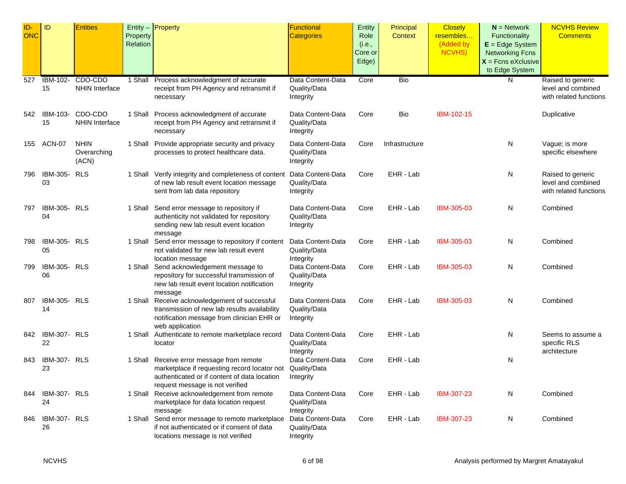| ID-<br><b>ONC</b> | ID                        | <b>Entities</b>                     | Property<br>Relation | Entity - Property                                                                                                                                                            | Functional<br><b>Categories</b>                | Entity<br>Role<br>(i.e.,<br>Core or<br>Edge) | Principal<br>Context | <b>Closely</b><br>resembles<br>(Added by<br><b>NCVHS)</b> | $N =$ Network<br>Functionality<br>$E = Edge System$<br><b>Networking Fcns</b><br>$X =$ Fcns eXclusive<br>to Edge System | <b>NCVHS Review</b><br><b>Comments</b>                            |
|-------------------|---------------------------|-------------------------------------|----------------------|------------------------------------------------------------------------------------------------------------------------------------------------------------------------------|------------------------------------------------|----------------------------------------------|----------------------|-----------------------------------------------------------|-------------------------------------------------------------------------------------------------------------------------|-------------------------------------------------------------------|
| 527               | <b>IBM-102-</b><br>15     | CDO-CDO<br><b>NHIN Interface</b>    |                      | 1 Shall Process acknowledgment of accurate<br>receipt from PH Agency and retransmit if<br>necessary                                                                          | Data Content-Data<br>Quality/Data<br>Integrity | Core                                         | <b>Bio</b>           |                                                           | N                                                                                                                       | Raised to generic<br>level and combined<br>with related functions |
| 542               | IBM-103-<br>15            | CDO-CDO<br>NHIN Interface           |                      | 1 Shall Process acknowledgment of accurate<br>receipt from PH Agency and retransmit if<br>necessary                                                                          | Data Content-Data<br>Quality/Data<br>Integrity | Core                                         | Bio                  | IBM-102-15                                                |                                                                                                                         | Duplicative                                                       |
| 155               | ACN-07                    | <b>NHIN</b><br>Overarching<br>(ACN) |                      | 1 Shall Provide appropriate security and privacy<br>processes to protect healthcare data.                                                                                    | Data Content-Data<br>Quality/Data<br>Integrity | Core                                         | Infrastructure       |                                                           | N                                                                                                                       | Vague; is more<br>specific elsewhere                              |
| 796               | IBM-305-<br>03            | <b>RLS</b>                          |                      | 1 Shall Verify integrity and completeness of content<br>of new lab result event location message<br>sent from lab data repository                                            | Data Content-Data<br>Quality/Data<br>Integrity | Core                                         | EHR - Lab            |                                                           | N                                                                                                                       | Raised to generic<br>level and combined<br>with related functions |
| 797               | IBM-305-<br>04            | <b>RLS</b>                          |                      | 1 Shall Send error message to repository if<br>authenticity not validated for repository<br>sending new lab result event location<br>message                                 | Data Content-Data<br>Quality/Data<br>Integrity | Core                                         | EHR - Lab            | IBM-305-03                                                | N                                                                                                                       | Combined                                                          |
| 798               | IBM-305- RLS<br>05        |                                     |                      | 1 Shall Send error message to repository if content<br>not validated for new lab result event<br>location message                                                            | Data Content-Data<br>Quality/Data<br>Integrity | Core                                         | EHR - Lab            | IBM-305-03                                                | N                                                                                                                       | Combined                                                          |
| 799               | IBM-305-<br>06            | <b>RLS</b>                          |                      | 1 Shall Send acknowledgement message to<br>repository for successful transmission of<br>new lab result event location notification<br>message                                | Data Content-Data<br>Quality/Data<br>Integrity | Core                                         | EHR - Lab            | IBM-305-03                                                | N                                                                                                                       | Combined                                                          |
| 807               | IBM-305-<br>14            | <b>RLS</b>                          |                      | 1 Shall Receive acknowledgement of successful<br>transmission of new lab results availability<br>notification message from clinician EHR or<br>web application               | Data Content-Data<br>Quality/Data<br>Integrity | Core                                         | EHR - Lab            | IBM-305-03                                                | N                                                                                                                       | Combined                                                          |
| 842               | <b>IBM-307- RLS</b><br>22 |                                     |                      | 1 Shall Authenticate to remote marketplace record<br>locator                                                                                                                 | Data Content-Data<br>Quality/Data<br>Integrity | Core                                         | EHR - Lab            |                                                           | N                                                                                                                       | Seems to assume a<br>specific RLS<br>architecture                 |
| 843               | <b>IBM-307- RLS</b><br>23 |                                     |                      | 1 Shall Receive error message from remote<br>marketplace if requesting record locator not<br>authenticated or if content of data location<br>request message is not verified | Data Content-Data<br>Quality/Data<br>Integrity | Core                                         | EHR - Lab            |                                                           | N                                                                                                                       |                                                                   |
| 844               | IBM-307- RLS<br>24        |                                     |                      | 1 Shall Receive acknowledgement from remote<br>marketplace for data location request<br>message                                                                              | Data Content-Data<br>Quality/Data<br>Integrity | Core                                         | EHR - Lab            | IBM-307-23                                                | N                                                                                                                       | Combined                                                          |
| 846               | IBM-307- RLS<br>26        |                                     |                      | 1 Shall Send error message to remote marketplace<br>if not authenticated or if consent of data<br>locations message is not verified                                          | Data Content-Data<br>Quality/Data<br>Integrity | Core                                         | EHR - Lab            | IBM-307-23                                                | N                                                                                                                       | Combined                                                          |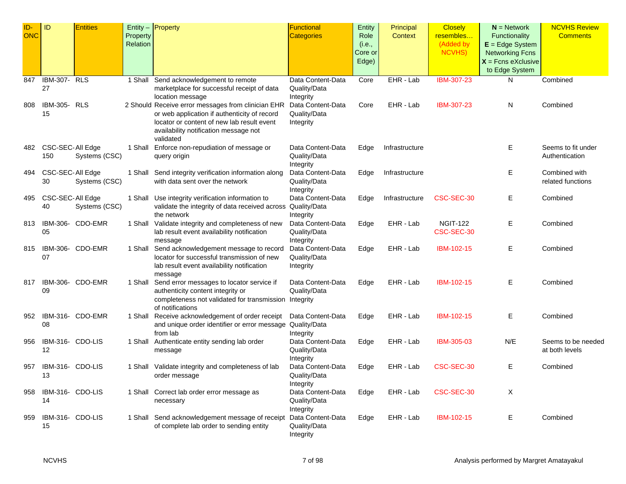| ID-        | ID                  | <b>Entities</b>  |          | Entity $-$ <b>Property</b>                                                           | <b>Functional</b>              | Entity  | Principal      | <b>Closely</b>  | $N =$ Network          | <b>NCVHS Review</b> |
|------------|---------------------|------------------|----------|--------------------------------------------------------------------------------------|--------------------------------|---------|----------------|-----------------|------------------------|---------------------|
| <b>ONC</b> |                     |                  | Property |                                                                                      | <b>Categories</b>              | Role    | Context        | resembles       | Functionality          | <b>Comments</b>     |
|            |                     |                  | Relation |                                                                                      |                                | (i.e.,  |                | (Added by       | $E = Edge System$      |                     |
|            |                     |                  |          |                                                                                      |                                | Core or |                | NCVHS)          | <b>Networking Fcns</b> |                     |
|            |                     |                  |          |                                                                                      |                                | Edge)   |                |                 | $X =$ Fcns eXclusive   |                     |
|            |                     |                  |          |                                                                                      |                                |         |                |                 | to Edge System         |                     |
| 847        | <b>IBM-307- RLS</b> |                  | 1 Shall  | Send acknowledgement to remote                                                       | Data Content-Data              | Core    | EHR - Lab      | IBM-307-23      | N                      | Combined            |
|            | 27                  |                  |          | marketplace for successful receipt of data                                           | Quality/Data                   |         |                |                 |                        |                     |
|            |                     |                  |          | location message                                                                     | Integrity                      |         |                |                 |                        |                     |
| 808        | <b>IBM-305- RLS</b> |                  |          | 2 Should Receive error messages from clinician EHR                                   | Data Content-Data              | Core    | EHR - Lab      | IBM-307-23      | N                      | Combined            |
|            | 15                  |                  |          | or web application if authenticity of record                                         | Quality/Data                   |         |                |                 |                        |                     |
|            |                     |                  |          | locator or content of new lab result event                                           | Integrity                      |         |                |                 |                        |                     |
|            |                     |                  |          | availability notification message not                                                |                                |         |                |                 |                        |                     |
|            |                     |                  |          | validated                                                                            |                                |         |                |                 |                        |                     |
| 482        | CSC-SEC-All Edge    |                  | 1 Shall  | Enforce non-repudiation of message or                                                | Data Content-Data              | Edge    | Infrastructure |                 | Ε                      | Seems to fit under  |
|            | 150                 | Systems (CSC)    |          | query origin                                                                         | Quality/Data                   |         |                |                 |                        | Authentication      |
|            |                     |                  |          |                                                                                      | Integrity                      |         |                |                 |                        |                     |
| 494        | CSC-SEC-All Edge    |                  | 1 Shall  | Send integrity verification information along                                        | Data Content-Data              | Edge    | Infrastructure |                 | Ε                      | Combined with       |
|            | 30                  | Systems (CSC)    |          | with data sent over the network                                                      | Quality/Data                   |         |                |                 |                        | related functions   |
|            |                     |                  |          |                                                                                      | Integrity                      |         |                |                 |                        |                     |
| 495        | CSC-SEC-All Edge    |                  | 1 Shall  | Use integrity verification information to                                            | Data Content-Data              | Edge    | Infrastructure | CSC-SEC-30      | Е                      | Combined            |
|            | 40                  | Systems (CSC)    |          | validate the integrity of data received across Quality/Data                          |                                |         |                |                 |                        |                     |
|            |                     |                  |          | the network                                                                          | Integrity                      |         |                |                 |                        |                     |
| 813        | IBM-306-            | CDO-EMR          | 1 Shall  | Validate integrity and completeness of new                                           | Data Content-Data              | Edge    | EHR - Lab      | <b>NGIT-122</b> | Е                      | Combined            |
|            | 05                  |                  |          | lab result event availability notification                                           | Quality/Data                   |         |                | CSC-SEC-30      |                        |                     |
| 815        |                     | IBM-306- CDO-EMR |          | message                                                                              | Integrity<br>Data Content-Data |         | EHR - Lab      | IBM-102-15      |                        | Combined            |
|            | 07                  |                  | 1 Shall  | Send acknowledgement message to record<br>locator for successful transmission of new |                                | Edge    |                |                 | Е                      |                     |
|            |                     |                  |          | lab result event availability notification                                           | Quality/Data<br>Integrity      |         |                |                 |                        |                     |
|            |                     |                  |          | message                                                                              |                                |         |                |                 |                        |                     |
| 817        |                     | IBM-306- CDO-EMR |          | 1 Shall Send error messages to locator service if                                    | Data Content-Data              | Edge    | EHR - Lab      | IBM-102-15      | Е                      | Combined            |
|            | 09                  |                  |          | authenticity content integrity or                                                    | Quality/Data                   |         |                |                 |                        |                     |
|            |                     |                  |          | completeness not validated for transmission Integrity                                |                                |         |                |                 |                        |                     |
|            |                     |                  |          | of notifications                                                                     |                                |         |                |                 |                        |                     |
| 952        |                     | IBM-316- CDO-EMR | 1 Shall  | Receive acknowledgement of order receipt                                             | Data Content-Data              | Edge    | EHR - Lab      | IBM-102-15      | Е                      | Combined            |
|            | 08                  |                  |          | and unique order identifier or error message Quality/Data                            |                                |         |                |                 |                        |                     |
|            |                     |                  |          | from lab                                                                             | Integrity                      |         |                |                 |                        |                     |
| 956        | IBM-316- CDO-LIS    |                  |          | 1 Shall Authenticate entity sending lab order                                        | Data Content-Data              | Edge    | EHR - Lab      | IBM-305-03      | N/E                    | Seems to be needed  |
|            | 12                  |                  |          | message                                                                              | Quality/Data                   |         |                |                 |                        | at both levels      |
|            |                     |                  |          |                                                                                      | Integrity                      |         |                |                 |                        |                     |
| 957        | IBM-316- CDO-LIS    |                  | 1 Shall  | Validate integrity and completeness of lab                                           | Data Content-Data              | Edge    | EHR - Lab      | CSC-SEC-30      | Ε                      | Combined            |
|            | 13                  |                  |          | order message                                                                        | Quality/Data                   |         |                |                 |                        |                     |
|            |                     |                  |          |                                                                                      | Integrity                      |         |                |                 |                        |                     |
| 958        | IBM-316- CDO-LIS    |                  |          | 1 Shall Correct lab order error message as                                           | Data Content-Data              | Edge    | EHR - Lab      | CSC-SEC-30      | X                      |                     |
|            | 14                  |                  |          | necessary                                                                            | Quality/Data                   |         |                |                 |                        |                     |
|            |                     |                  |          |                                                                                      | Integrity                      |         |                |                 |                        |                     |
| 959        | IBM-316- CDO-LIS    |                  |          | 1 Shall Send acknowledgement message of receipt                                      | Data Content-Data              | Edge    | EHR - Lab      | IBM-102-15      | Е                      | Combined            |
|            | 15                  |                  |          | of complete lab order to sending entity                                              | Quality/Data                   |         |                |                 |                        |                     |
|            |                     |                  |          |                                                                                      | Integrity                      |         |                |                 |                        |                     |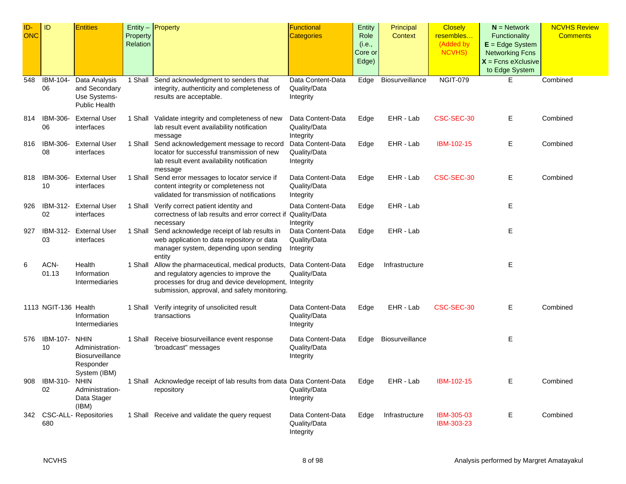| $ID -$<br><b>ONC</b> | ID                   | <b>Entities</b>                                                                       | Property<br>Relation | Entity $-$ Property                                                                                                                                                                                   | Functional<br><b>Categories</b>                | Entity<br>Role<br>(i.e.,<br>Core or<br>Edge) | Principal<br>Context | <b>Closely</b><br>resembles<br>(Added by<br><b>NCVHS)</b> | $N =$ Network<br>Functionality<br>$E = Edge System$<br><b>Networking Fcns</b><br>$X =$ Fcns eXclusive | <b>NCVHS Review</b><br><b>Comments</b> |
|----------------------|----------------------|---------------------------------------------------------------------------------------|----------------------|-------------------------------------------------------------------------------------------------------------------------------------------------------------------------------------------------------|------------------------------------------------|----------------------------------------------|----------------------|-----------------------------------------------------------|-------------------------------------------------------------------------------------------------------|----------------------------------------|
| 548                  | IBM-104-<br>06       | Data Analysis<br>and Secondary<br>Use Systems-<br><b>Public Health</b>                |                      | 1 Shall Send acknowledgment to senders that<br>integrity, authenticity and completeness of<br>results are acceptable.                                                                                 | Data Content-Data<br>Quality/Data<br>Integrity | Edge                                         | Biosurveillance      | <b>NGIT-079</b>                                           | to Edge System<br>Е                                                                                   | Combined                               |
| 814                  | IBM-306-<br>06       | <b>External User</b><br>interfaces                                                    |                      | 1 Shall Validate integrity and completeness of new<br>lab result event availability notification<br>message                                                                                           | Data Content-Data<br>Quality/Data<br>Integrity | Edge                                         | EHR - Lab            | CSC-SEC-30                                                | E.                                                                                                    | Combined                               |
| 816                  | IBM-306-<br>08       | <b>External User</b><br>interfaces                                                    |                      | 1 Shall Send acknowledgement message to record<br>locator for successful transmission of new<br>lab result event availability notification<br>message                                                 | Data Content-Data<br>Quality/Data<br>Integrity | Edge                                         | EHR - Lab            | IBM-102-15                                                | E.                                                                                                    | Combined                               |
| 818                  | IBM-306-<br>10       | <b>External User</b><br>interfaces                                                    |                      | 1 Shall Send error messages to locator service if<br>content integrity or completeness not<br>validated for transmission of notifications                                                             | Data Content-Data<br>Quality/Data<br>Integrity | Edge                                         | EHR - Lab            | CSC-SEC-30                                                | E.                                                                                                    | Combined                               |
| 926                  | IBM-312-<br>02       | <b>External User</b><br>interfaces                                                    |                      | 1 Shall Verify correct patient identity and<br>correctness of lab results and error correct if<br>necessary                                                                                           | Data Content-Data<br>Quality/Data<br>Integrity | Edge                                         | EHR - Lab            |                                                           | E.                                                                                                    |                                        |
| 927                  | IBM-312-<br>03       | <b>External User</b><br>interfaces                                                    |                      | 1 Shall Send acknowledge receipt of lab results in<br>web application to data repository or data<br>manager system, depending upon sending<br>entity                                                  | Data Content-Data<br>Quality/Data<br>Integrity | Edge                                         | EHR - Lab            |                                                           | Е                                                                                                     |                                        |
| 6                    | ACN-<br>01.13        | Health<br>Information<br>Intermediaries                                               |                      | 1 Shall Allow the pharmaceutical, medical products,<br>and regulatory agencies to improve the<br>processes for drug and device development, Integrity<br>submission, approval, and safety monitoring. | Data Content-Data<br>Quality/Data              | Edge                                         | Infrastructure       |                                                           | Е                                                                                                     |                                        |
|                      | 1113 NGIT-136 Health | Information<br>Intermediaries                                                         |                      | 1 Shall Verify integrity of unsolicited result<br>transactions                                                                                                                                        | Data Content-Data<br>Quality/Data<br>Integrity | Edge                                         | EHR - Lab            | CSC-SEC-30                                                | Е                                                                                                     | Combined                               |
| 576                  | IBM-107-<br>10       | <b>NHIN</b><br>Administration-<br><b>Biosurveillance</b><br>Responder<br>System (IBM) |                      | 1 Shall Receive biosurveillance event response<br>'broadcast" messages                                                                                                                                | Data Content-Data<br>Quality/Data<br>Integrity | Edge                                         | Biosurveillance      |                                                           | Е                                                                                                     |                                        |
| 908                  | IBM-310-<br>02       | <b>NHIN</b><br>Administration-<br>Data Stager<br>(IBM)                                |                      | 1 Shall Acknowledge receipt of lab results from data Data Content-Data<br>repository                                                                                                                  | Quality/Data<br>Integrity                      | Edge                                         | EHR - Lab            | IBM-102-15                                                | E                                                                                                     | Combined                               |
|                      | 680                  | 342 CSC-ALL- Repositories                                                             |                      | 1 Shall Receive and validate the query request                                                                                                                                                        | Data Content-Data<br>Quality/Data<br>Integrity | Edge                                         | Infrastructure       | IBM-305-03<br>IBM-303-23                                  | E.                                                                                                    | Combined                               |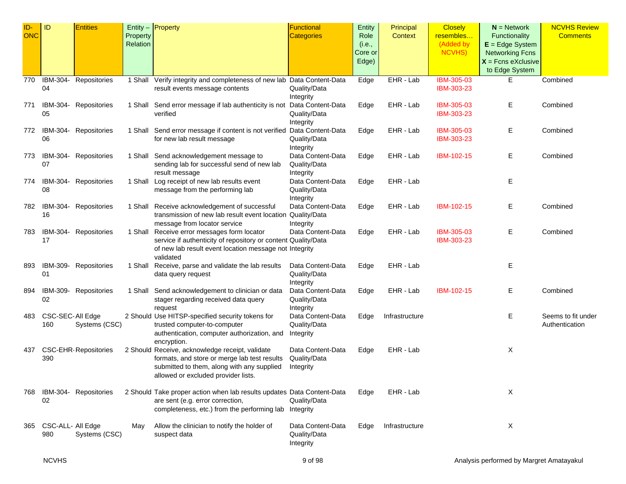| $ID -$     | ID                       | <b>Entities</b>             |                      | Entity - Property                                                                                                                                                                    | Functional                                     | Entity                    | Principal      | <b>Closely</b>                          | $N =$ Network                                                | <b>NCVHS Review</b>                  |
|------------|--------------------------|-----------------------------|----------------------|--------------------------------------------------------------------------------------------------------------------------------------------------------------------------------------|------------------------------------------------|---------------------------|----------------|-----------------------------------------|--------------------------------------------------------------|--------------------------------------|
| <b>ONC</b> |                          |                             | Property<br>Relation |                                                                                                                                                                                      | <b>Categories</b>                              | Role<br>(i.e.,<br>Core or | Context        | resembles<br>(Added by<br><b>NCVHS)</b> | Functionality<br>$E = Edge System$<br><b>Networking Fcns</b> | <b>Comments</b>                      |
|            |                          |                             |                      |                                                                                                                                                                                      |                                                | Edge)                     |                |                                         | $X =$ Fcns eXclusive<br>to Edge System                       |                                      |
| 770        | IBM-304-<br>04           | Repositories                | 1 Shall              | Verify integrity and completeness of new lab Data Content-Data<br>result events message contents                                                                                     | Quality/Data<br>Integrity                      | Edge                      | EHR - Lab      | IBM-305-03<br>IBM-303-23                | Ε                                                            | Combined                             |
| 771        | IBM-304-<br>05           | Repositories                |                      | 1 Shall Send error message if lab authenticity is not Data Content-Data<br>verified                                                                                                  | Quality/Data<br>Integrity                      | Edge                      | EHR - Lab      | IBM-305-03<br>IBM-303-23                | Е                                                            | Combined                             |
| 772        | IBM-304-<br>06           | Repositories                |                      | 1 Shall Send error message if content is not verified Data Content-Data<br>for new lab result message                                                                                | Quality/Data<br>Integrity                      | Edge                      | EHR - Lab      | IBM-305-03<br>IBM-303-23                | Ε                                                            | Combined                             |
| 773        | 07                       | IBM-304- Repositories       |                      | 1 Shall Send acknowledgement message to<br>sending lab for successful send of new lab<br>result message                                                                              | Data Content-Data<br>Quality/Data<br>Integrity | Edge                      | EHR - Lab      | <b>IBM-102-15</b>                       | Ε                                                            | Combined                             |
| 774        | 08                       | IBM-304- Repositories       |                      | 1 Shall Log receipt of new lab results event<br>message from the performing lab                                                                                                      | Data Content-Data<br>Quality/Data<br>Integrity | Edge                      | EHR - Lab      |                                         | Ε                                                            |                                      |
| 782        | IBM-304-<br>16           | Repositories                |                      | 1 Shall Receive acknowledgement of successful<br>transmission of new lab result event location Quality/Data<br>message from locator service                                          | Data Content-Data<br>Integrity                 | Edge                      | EHR - Lab      | IBM-102-15                              | Ε                                                            | Combined                             |
| 783        | IBM-304-<br>17           | Repositories                |                      | 1 Shall Receive error messages form locator<br>service if authenticity of repository or content Quality/Data<br>of new lab result event location message not Integrity<br>validated  | Data Content-Data                              | Edge                      | EHR - Lab      | IBM-305-03<br>IBM-303-23                | Ε                                                            | Combined                             |
| 893        | 01                       | IBM-309- Repositories       |                      | 1 Shall Receive, parse and validate the lab results<br>data query request                                                                                                            | Data Content-Data<br>Quality/Data<br>Integrity | Edge                      | EHR - Lab      |                                         | Ε                                                            |                                      |
| 894        | IBM-309-<br>02           | Repositories                |                      | 1 Shall Send acknowledgement to clinician or data<br>stager regarding received data query<br>request                                                                                 | Data Content-Data<br>Quality/Data<br>Integrity | Edge                      | EHR - Lab      | IBM-102-15                              | Е                                                            | Combined                             |
| 483        | CSC-SEC-All Edge<br>160  | Systems (CSC)               |                      | 2 Should Use HITSP-specified security tokens for<br>trusted computer-to-computer<br>authentication, computer authorization, and<br>encryption.                                       | Data Content-Data<br>Quality/Data<br>Integrity | Edge                      | Infrastructure |                                         | Ε                                                            | Seems to fit under<br>Authentication |
| 437        | 390                      | <b>CSC-EHR-Repositories</b> |                      | 2 Should Receive, acknowledge receipt, validate<br>formats, and store or merge lab test results<br>submitted to them, along with any supplied<br>allowed or excluded provider lists. | Data Content-Data<br>Quality/Data<br>Integrity | Edge                      | EHR - Lab      |                                         | X                                                            |                                      |
| 768        | 02                       | IBM-304- Repositories       |                      | 2 Should Take proper action when lab results updates Data Content-Data<br>are sent (e.g. error correction,<br>completeness, etc.) from the performing lab Integrity                  | Quality/Data                                   | Edge                      | EHR - Lab      |                                         | Χ                                                            |                                      |
| 365        | CSC-ALL- All Edge<br>980 | Systems (CSC)               | May                  | Allow the clinician to notify the holder of<br>suspect data                                                                                                                          | Data Content-Data<br>Quality/Data<br>Integrity | Edge                      | Infrastructure |                                         | Χ                                                            |                                      |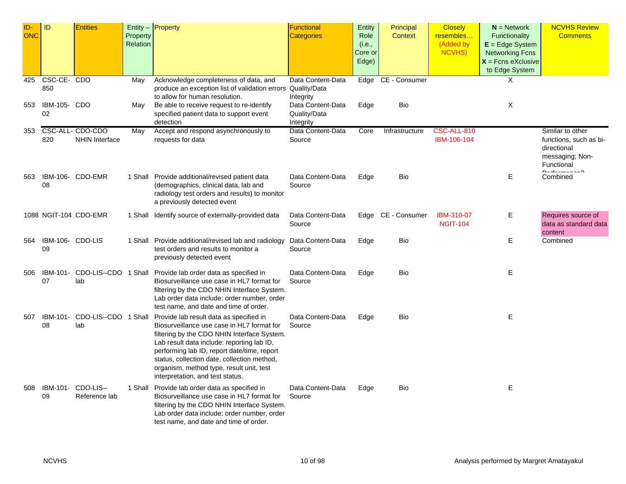| ID-<br><b>ONC</b> | ID                                | <b>Entities</b>                           | Property<br>Relation | Entity - Property                                                                                                                                                                                                                                                                                                                                                | <b>Functional</b><br><b>Categories</b>              | Entity<br>Role<br>(i.e.,<br>Core or<br>Edge) | Principal<br><b>Context</b> | <b>Closely</b><br>resembles<br>(Added by<br><b>NCVHS)</b> | $N =$ Network<br><b>Functionality</b><br>$E = Edge System$<br><b>Networking Fcns</b><br>$X =$ Fcns eXclusive<br>to Edge System | <b>NCVHS Review</b><br><b>Comments</b>                                                     |
|-------------------|-----------------------------------|-------------------------------------------|----------------------|------------------------------------------------------------------------------------------------------------------------------------------------------------------------------------------------------------------------------------------------------------------------------------------------------------------------------------------------------------------|-----------------------------------------------------|----------------------------------------------|-----------------------------|-----------------------------------------------------------|--------------------------------------------------------------------------------------------------------------------------------|--------------------------------------------------------------------------------------------|
| 425<br>553        | CSC-CE-CDO<br>850<br>IBM-105- CDO |                                           | May<br>May           | Acknowledge completeness of data, and<br>produce an exception list of validation errors Quality/Data<br>to allow for human resolution.<br>Be able to receive request to re-identify                                                                                                                                                                              | Data Content-Data<br>Integrity<br>Data Content-Data | Edge<br>Edge                                 | CE - Consumer<br>Bio        |                                                           | X<br>X                                                                                                                         |                                                                                            |
|                   | 02                                |                                           |                      | specified patient data to support event<br>detection                                                                                                                                                                                                                                                                                                             | Quality/Data<br>Integrity                           |                                              |                             |                                                           |                                                                                                                                |                                                                                            |
| 353               | 820                               | CSC-ALL- CDO-CDO<br><b>NHIN Interface</b> | May                  | Accept and respond asynchronously to<br>requests for data                                                                                                                                                                                                                                                                                                        | Data Content-Data<br>Source                         | Core                                         | Infrastructure              | CSC-ALL-810<br>IBM-106-104                                |                                                                                                                                | Similar to other<br>functions, such as bi-<br>directional<br>messaging; Non-<br>Functional |
| 563               | 08                                | IBM-106- CDO-EMR                          |                      | 1 Shall Provide additional/revised patient data<br>(demographics, clinical data, lab and<br>radiology test orders and results) to monitor<br>a previously detected event                                                                                                                                                                                         | Data Content-Data<br>Source                         | Edge                                         | Bio                         |                                                           | E                                                                                                                              | Combined                                                                                   |
|                   |                                   | 1088 NGIT-104 CDO-EMR                     |                      | 1 Shall Identify source of externally-provided data                                                                                                                                                                                                                                                                                                              | Data Content-Data<br>Source                         |                                              | Edge CE - Consumer          | <b>IBM-310-07</b><br><b>NGIT-104</b>                      | Е                                                                                                                              | Requires source of<br>data as standard data<br>content                                     |
| 564               | IBM-106- CDO-LIS<br>09            |                                           |                      | 1 Shall Provide additional/revised lab and radiology<br>test orders and results to monitor a<br>previously detected event                                                                                                                                                                                                                                        | Data Content-Data<br>Source                         | Edge                                         | Bio                         |                                                           | Е                                                                                                                              | Combined                                                                                   |
| 506               | IBM-101-<br>07                    | CDO-LIS--CDO 1 Shall<br>lab               |                      | Provide lab order data as specified in<br>Biosurveillance use case in HL7 format for<br>filtering by the CDO NHIN Interface System.<br>Lab order data include: order number, order<br>test name, and date and time of order.                                                                                                                                     | Data Content-Data<br>Source                         | Edge                                         | Bio                         |                                                           | Ε                                                                                                                              |                                                                                            |
| 507               | IBM-101-<br>08                    | CDO-LIS--CDO 1 Shall<br>lab               |                      | Provide lab result data as specified in<br>Biosurveillance use case in HL7 format for<br>filtering by the CDO NHIN Interface System.<br>Lab result data include: reporting lab ID,<br>performing lab ID, report date/time, report<br>status, collection date, collection method,<br>organism, method type, result unit, test<br>interpretation, and test status. | Data Content-Data<br>Source                         | Edge                                         | Bio                         |                                                           | E                                                                                                                              |                                                                                            |
| 508               | IBM-101-<br>09                    | CDO-LIS--<br>Reference lab                |                      | 1 Shall Provide lab order data as specified in<br>Biosurveillance use case in HL7 format for<br>filtering by the CDO NHIN Interface System.<br>Lab order data include: order number, order<br>test name, and date and time of order.                                                                                                                             | Data Content-Data<br>Source                         | Edge                                         | Bio                         |                                                           | E                                                                                                                              |                                                                                            |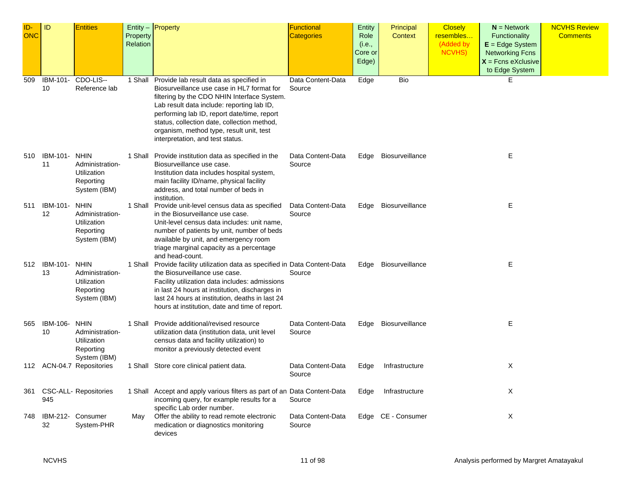| ID-<br><b>ONC</b> | ID                 | <b>Entities</b>                                                            | <b>Property</b><br>Relation | Entity $-$ <b>Property</b>                                                                                                                                                                                                                                                                                                                                               | Functional<br>Categories    | Entity<br>Role<br>(i.e.,<br>Core or<br>Edge) | Principal<br><b>Context</b> | <b>Closely</b><br>resembles<br>(Added by<br>NCVHS) | $N =$ Network<br>Functionality<br>$E = Edge System$<br><b>Networking Fcns</b><br>$X =$ Fcns eXclusive<br>to Edge System | <b>NCVHS Review</b><br><b>Comments</b> |
|-------------------|--------------------|----------------------------------------------------------------------------|-----------------------------|--------------------------------------------------------------------------------------------------------------------------------------------------------------------------------------------------------------------------------------------------------------------------------------------------------------------------------------------------------------------------|-----------------------------|----------------------------------------------|-----------------------------|----------------------------------------------------|-------------------------------------------------------------------------------------------------------------------------|----------------------------------------|
| 509               | IBM-101-<br>10     | CDO-LIS--<br>Reference lab                                                 |                             | 1 Shall Provide lab result data as specified in<br>Biosurveillance use case in HL7 format for<br>filtering by the CDO NHIN Interface System.<br>Lab result data include: reporting lab ID,<br>performing lab ID, report date/time, report<br>status, collection date, collection method,<br>organism, method type, result unit, test<br>interpretation, and test status. | Data Content-Data<br>Source | Edge                                         | Bio                         |                                                    | E.                                                                                                                      |                                        |
| 510               | IBM-101-<br>11     | <b>NHIN</b><br>Administration-<br>Utilization<br>Reporting<br>System (IBM) |                             | 1 Shall Provide institution data as specified in the<br>Biosurveillance use case.<br>Institution data includes hospital system,<br>main facility ID/name, physical facility<br>address, and total number of beds in<br>institution.                                                                                                                                      | Data Content-Data<br>Source | Edge                                         | Biosurveillance             |                                                    | Е                                                                                                                       |                                        |
| 511               | IBM-101-<br>12     | <b>NHIN</b><br>Administration-<br>Utilization<br>Reporting<br>System (IBM) |                             | 1 Shall Provide unit-level census data as specified<br>in the Biosurveillance use case.<br>Unit-level census data includes: unit name,<br>number of patients by unit, number of beds<br>available by unit, and emergency room<br>triage marginal capacity as a percentage<br>and head-count.                                                                             | Data Content-Data<br>Source | Edge                                         | Biosurveillance             |                                                    | Е                                                                                                                       |                                        |
|                   | 512 IBM-101-<br>13 | <b>NHIN</b><br>Administration-<br>Utilization<br>Reporting<br>System (IBM) |                             | 1 Shall Provide facility utilization data as specified in Data Content-Data<br>the Biosurveillance use case.<br>Facility utilization data includes: admissions<br>in last 24 hours at institution, discharges in<br>last 24 hours at institution, deaths in last 24<br>hours at institution, date and time of report.                                                    | Source                      |                                              | Edge Biosurveillance        |                                                    | E.                                                                                                                      |                                        |
| 565               | IBM-106-<br>10     | <b>NHIN</b><br>Administration-<br>Utilization<br>Reporting<br>System (IBM) |                             | 1 Shall Provide additional/revised resource<br>utilization data (institution data, unit level<br>census data and facility utilization) to<br>monitor a previously detected event                                                                                                                                                                                         | Data Content-Data<br>Source |                                              | Edge Biosurveillance        |                                                    | E.                                                                                                                      |                                        |
|                   |                    | 112 ACN-04.7 Repositories                                                  |                             | 1 Shall Store core clinical patient data.                                                                                                                                                                                                                                                                                                                                | Data Content-Data<br>Source | Edge                                         | Infrastructure              |                                                    | X                                                                                                                       |                                        |
| 361               | 945                | <b>CSC-ALL- Repositories</b>                                               |                             | 1 Shall Accept and apply various filters as part of an Data Content-Data<br>incoming query, for example results for a<br>specific Lab order number.                                                                                                                                                                                                                      | Source                      | Edge                                         | Infrastructure              |                                                    | X                                                                                                                       |                                        |
| 748               | 32                 | IBM-212- Consumer<br>System-PHR                                            | May                         | Offer the ability to read remote electronic<br>medication or diagnostics monitoring<br>devices                                                                                                                                                                                                                                                                           | Data Content-Data<br>Source |                                              | Edge CE - Consumer          |                                                    | X                                                                                                                       |                                        |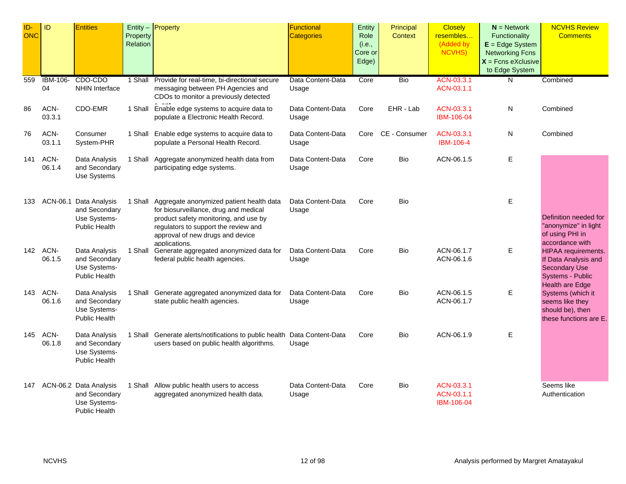| ID-<br><b>ONC</b> | ID                 | <b>Entities</b>                                                                 | Property<br>Relation | $Entity -$ Property                                                                                                                                                                                                             | Functional<br>Categories   | Entity<br>Role<br>(i.e.,<br>Core or<br>Edge) | Principal<br>Context | <b>Closely</b><br>resembles<br>(Added by<br><b>NCVHS)</b> | $N =$ Network<br>Functionality<br>$E = Edge System$<br><b>Networking Fcns</b><br>$X =$ Fcns eXclusive<br>to Edge System | <b>NCVHS Review</b><br><b>Comments</b>                                                                     |
|-------------------|--------------------|---------------------------------------------------------------------------------|----------------------|---------------------------------------------------------------------------------------------------------------------------------------------------------------------------------------------------------------------------------|----------------------------|----------------------------------------------|----------------------|-----------------------------------------------------------|-------------------------------------------------------------------------------------------------------------------------|------------------------------------------------------------------------------------------------------------|
| 559               | IBM-106-<br>04     | CDO-CDO<br><b>NHIN Interface</b>                                                |                      | 1 Shall Provide for real-time, bi-directional secure<br>messaging between PH Agencies and<br>CDOs to monitor a previously detected                                                                                              | Data Content-Data<br>Usage | Core                                         | Bio                  | ACN-03.3.1<br>ACN-03.1.1                                  | N                                                                                                                       | Combined                                                                                                   |
| 86                | ACN-<br>03.3.1     | CDO-EMR                                                                         | 1 Shall              | Enable edge systems to acquire data to<br>populate a Electronic Health Record.                                                                                                                                                  | Data Content-Data<br>Usage | Core                                         | EHR - Lab            | ACN-03.3.1<br>IBM-106-04                                  | N                                                                                                                       | Combined                                                                                                   |
| 76                | ACN-<br>03.1.1     | Consumer<br>System-PHR                                                          |                      | 1 Shall Enable edge systems to acquire data to<br>populate a Personal Health Record.                                                                                                                                            | Data Content-Data<br>Usage |                                              | Core CE - Consumer   | ACN-03.3.1<br>IBM-106-4                                   | N                                                                                                                       | Combined                                                                                                   |
| 141               | ACN-<br>06.1.4     | Data Analysis<br>and Secondary<br>Use Systems                                   |                      | 1 Shall Aggregate anonymized health data from<br>participating edge systems.                                                                                                                                                    | Data Content-Data<br>Usage | Core                                         | Bio                  | ACN-06.1.5                                                | Ε                                                                                                                       |                                                                                                            |
| 133               |                    | ACN-06.1 Data Analysis<br>and Secondary<br>Use Systems-<br><b>Public Health</b> |                      | 1 Shall Aggregate anonymized patient health data<br>for biosurveillance, drug and medical<br>product safety monitoring, and use by<br>regulators to support the review and<br>approval of new drugs and device<br>applications. | Data Content-Data<br>Usage | Core                                         | Bio                  |                                                           | Е                                                                                                                       | Definition needed for<br>"anonymize" in light<br>of using PHI in<br>accordance with                        |
|                   | 142 ACN-<br>06.1.5 | Data Analysis<br>and Secondary<br>Use Systems-<br><b>Public Health</b>          | 1 Shall              | Generate aggregated anonymized data for<br>federal public health agencies.                                                                                                                                                      | Data Content-Data<br>Usage | Core                                         | Bio                  | ACN-06.1.7<br>ACN-06.1.6                                  | Ε                                                                                                                       | HIPAA requirements.<br>If Data Analysis and<br><b>Secondary Use</b><br>Systems - Public<br>Health are Edge |
| 143               | ACN-<br>06.1.6     | Data Analysis<br>and Secondary<br>Use Systems-<br><b>Public Health</b>          | 1 Shall              | Generate aggregated anonymized data for<br>state public health agencies.                                                                                                                                                        | Data Content-Data<br>Usage | Core                                         | Bio                  | ACN-06.1.5<br>ACN-06.1.7                                  | Е                                                                                                                       | Systems (which it<br>seems like they<br>should be), then<br>these functions are E.                         |
| 145               | ACN-<br>06.1.8     | Data Analysis<br>and Secondary<br>Use Systems-<br><b>Public Health</b>          |                      | 1 Shall Generate alerts/notifications to public health Data Content-Data<br>users based on public health algorithms.                                                                                                            | Usage                      | Core                                         | Bio                  | ACN-06.1.9                                                | Е                                                                                                                       |                                                                                                            |
| 147               |                    | ACN-06.2 Data Analysis<br>and Secondary<br>Use Systems-<br>Public Health        |                      | 1 Shall Allow public health users to access<br>aggregated anonymized health data.                                                                                                                                               | Data Content-Data<br>Usage | Core                                         | Bio                  | ACN-03.3.1<br>ACN-03.1.1<br>IBM-106-04                    |                                                                                                                         | Seems like<br>Authentication                                                                               |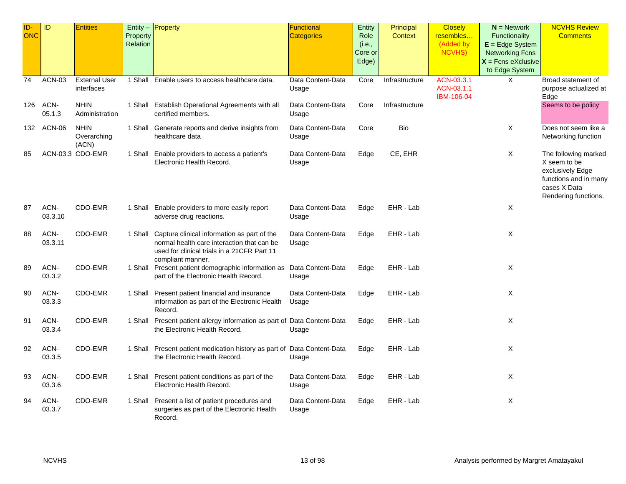| ID-        | ID            | <b>Entities</b>            |          | Entity $-$ Property                                                      | <b>Functional</b>          | Entity  | Principal      | <b>Closely</b> | $N =$ Network                          | <b>NCVHS Review</b>                         |
|------------|---------------|----------------------------|----------|--------------------------------------------------------------------------|----------------------------|---------|----------------|----------------|----------------------------------------|---------------------------------------------|
| <b>ONC</b> |               |                            | Property |                                                                          | <b>Categories</b>          | Role    | Context        | resembles      | Functionality                          | <b>Comments</b>                             |
|            |               |                            | Relation |                                                                          |                            | (i.e.,  |                | (Added by      | $E = Edge System$                      |                                             |
|            |               |                            |          |                                                                          |                            | Core or |                | <b>NCVHS)</b>  | <b>Networking Fcns</b>                 |                                             |
|            |               |                            |          |                                                                          |                            | Edge)   |                |                | $X =$ Fcns eXclusive<br>to Edge System |                                             |
| 74         | <b>ACN-03</b> | <b>External User</b>       | 1 Shall  |                                                                          | Data Content-Data          | Core    | Infrastructure | ACN-03.3.1     | X                                      | Broad statement of                          |
|            |               | interfaces                 |          | Enable users to access healthcare data.                                  | Usage                      |         |                | ACN-03.1.1     |                                        | purpose actualized at                       |
|            |               |                            |          |                                                                          |                            |         |                | IBM-106-04     |                                        | Edge                                        |
| 126        | ACN-          | <b>NHIN</b>                |          | 1 Shall Establish Operational Agreements with all                        | Data Content-Data          | Core    | Infrastructure |                |                                        | Seems to be policy                          |
|            | 05.1.3        | Administration             |          | certified members.                                                       | Usage                      |         |                |                |                                        |                                             |
|            |               |                            |          |                                                                          |                            |         |                |                |                                        |                                             |
|            | 132 ACN-06    | <b>NHIN</b><br>Overarching |          | 1 Shall Generate reports and derive insights from<br>healthcare data     | Data Content-Data<br>Usage | Core    | Bio            |                | X                                      | Does not seem like a<br>Networking function |
|            |               | (ACN)                      |          |                                                                          |                            |         |                |                |                                        |                                             |
| 85         |               | ACN-03.3 CDO-EMR           |          | 1 Shall Enable providers to access a patient's                           | Data Content-Data          | Edge    | CE, EHR        |                | X                                      | The following marked                        |
|            |               |                            |          | Electronic Health Record.                                                | Usage                      |         |                |                |                                        | X seem to be                                |
|            |               |                            |          |                                                                          |                            |         |                |                |                                        | exclusively Edge                            |
|            |               |                            |          |                                                                          |                            |         |                |                |                                        | functions and in many                       |
|            |               |                            |          |                                                                          |                            |         |                |                |                                        | cases X Data                                |
|            |               |                            |          |                                                                          |                            |         |                |                |                                        | Rendering functions.                        |
| 87         | ACN-          | CDO-EMR                    |          | 1 Shall Enable providers to more easily report                           | Data Content-Data          | Edge    | EHR - Lab      |                | X                                      |                                             |
|            | 03.3.10       |                            |          | adverse drug reactions.                                                  | Usage                      |         |                |                |                                        |                                             |
| 88         | ACN-          | CDO-EMR                    |          | 1 Shall Capture clinical information as part of the                      | Data Content-Data          | Edge    | EHR - Lab      |                | X                                      |                                             |
|            | 03.3.11       |                            |          | normal health care interaction that can be                               | Usage                      |         |                |                |                                        |                                             |
|            |               |                            |          | used for clinical trials in a 21 CFR Part 11                             |                            |         |                |                |                                        |                                             |
|            |               |                            |          | compliant manner.                                                        |                            |         |                |                |                                        |                                             |
| 89         | ACN-          | CDO-EMR                    |          | 1 Shall Present patient demographic information as                       | Data Content-Data          | Edge    | EHR - Lab      |                | X                                      |                                             |
|            | 03.3.2        |                            |          | part of the Electronic Health Record.                                    | Usage                      |         |                |                |                                        |                                             |
| 90         | ACN-          | CDO-EMR                    |          | 1 Shall Present patient financial and insurance                          | Data Content-Data          | Edge    | EHR - Lab      |                | X                                      |                                             |
|            | 03.3.3        |                            |          | information as part of the Electronic Health                             | Usage                      |         |                |                |                                        |                                             |
|            |               |                            |          | Record.                                                                  |                            |         |                |                |                                        |                                             |
| 91         | ACN-          | CDO-EMR                    |          | 1 Shall Present patient allergy information as part of Data Content-Data |                            | Edge    | EHR - Lab      |                | X                                      |                                             |
|            | 03.3.4        |                            |          | the Electronic Health Record.                                            | Usage                      |         |                |                |                                        |                                             |
|            |               |                            |          |                                                                          |                            |         |                |                |                                        |                                             |
| 92         | ACN-          | CDO-EMR                    |          | 1 Shall Present patient medication history as part of Data Content-Data  |                            | Edge    | EHR - Lab      |                | X                                      |                                             |
|            | 03.3.5        |                            |          | the Electronic Health Record.                                            | Usage                      |         |                |                |                                        |                                             |
| 93         | ACN-          | CDO-EMR                    |          | 1 Shall Present patient conditions as part of the                        | Data Content-Data          | Edge    | EHR - Lab      |                | X                                      |                                             |
|            | 03.3.6        |                            |          | Electronic Health Record.                                                | Usage                      |         |                |                |                                        |                                             |
|            |               |                            |          |                                                                          |                            |         |                |                |                                        |                                             |
| 94         | ACN-          | CDO-EMR                    |          | 1 Shall Present a list of patient procedures and                         | Data Content-Data          | Edge    | EHR - Lab      |                | X                                      |                                             |
|            | 03.3.7        |                            |          | surgeries as part of the Electronic Health                               | Usage                      |         |                |                |                                        |                                             |
|            |               |                            |          | Record.                                                                  |                            |         |                |                |                                        |                                             |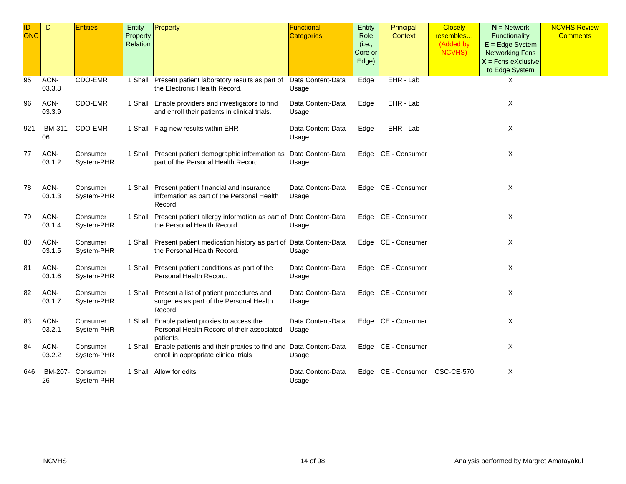| ID-<br><b>ONC</b> | ID             | <b>Entities</b>        | Property<br>Relation | Entity $-$ Property                                                                                              | <b>Functional</b><br><b>Categories</b> | Entity<br>Role<br>(i.e.,<br>Core or<br>Edge) | Principal<br>Context | <b>Closely</b><br>resembles<br>(Added by<br><b>NCVHS)</b> | $N =$ Network<br>Functionality<br>$E = Edge System$<br><b>Networking Fcns</b><br>$X =$ Fcns eXclusive<br>to Edge System | <b>NCVHS Review</b><br><b>Comments</b> |
|-------------------|----------------|------------------------|----------------------|------------------------------------------------------------------------------------------------------------------|----------------------------------------|----------------------------------------------|----------------------|-----------------------------------------------------------|-------------------------------------------------------------------------------------------------------------------------|----------------------------------------|
| 95                | ACN-<br>03.3.8 | CDO-EMR                |                      | 1 Shall Present patient laboratory results as part of<br>the Electronic Health Record.                           | Data Content-Data<br>Usage             | Edge                                         | EHR - Lab            |                                                           | X                                                                                                                       |                                        |
| 96                | ACN-<br>03.3.9 | CDO-EMR                |                      | 1 Shall Enable providers and investigators to find<br>and enroll their patients in clinical trials.              | Data Content-Data<br>Usage             | Edge                                         | EHR - Lab            |                                                           | Χ                                                                                                                       |                                        |
| 921               | 06             | IBM-311- CDO-EMR       |                      | 1 Shall Flag new results within EHR                                                                              | Data Content-Data<br>Usage             | Edge                                         | EHR - Lab            |                                                           | Χ                                                                                                                       |                                        |
| 77                | ACN-<br>03.1.2 | Consumer<br>System-PHR |                      | 1 Shall Present patient demographic information as Data Content-Data<br>part of the Personal Health Record.      | Usage                                  |                                              | Edge CE - Consumer   |                                                           | X                                                                                                                       |                                        |
| 78                | ACN-<br>03.1.3 | Consumer<br>System-PHR |                      | 1 Shall Present patient financial and insurance<br>information as part of the Personal Health<br>Record.         | Data Content-Data<br>Usage             |                                              | Edge CE - Consumer   |                                                           | Χ                                                                                                                       |                                        |
| 79                | ACN-<br>03.1.4 | Consumer<br>System-PHR |                      | 1 Shall Present patient allergy information as part of Data Content-Data<br>the Personal Health Record.          | Usage                                  |                                              | Edge CE - Consumer   |                                                           | Χ                                                                                                                       |                                        |
| 80                | ACN-<br>03.1.5 | Consumer<br>System-PHR |                      | 1 Shall Present patient medication history as part of Data Content-Data<br>the Personal Health Record.           | Usage                                  |                                              | Edge CE - Consumer   |                                                           | X                                                                                                                       |                                        |
| 81                | ACN-<br>03.1.6 | Consumer<br>System-PHR |                      | 1 Shall Present patient conditions as part of the<br>Personal Health Record.                                     | Data Content-Data<br>Usage             |                                              | Edge CE - Consumer   |                                                           | Χ                                                                                                                       |                                        |
| 82                | ACN-<br>03.1.7 | Consumer<br>System-PHR |                      | 1 Shall Present a list of patient procedures and<br>surgeries as part of the Personal Health<br>Record.          | Data Content-Data<br>Usage             |                                              | Edge CE - Consumer   |                                                           | Χ                                                                                                                       |                                        |
| 83                | ACN-<br>03.2.1 | Consumer<br>System-PHR |                      | 1 Shall Enable patient proxies to access the<br>Personal Health Record of their associated<br>patients.          | Data Content-Data<br>Usage             |                                              | Edge CE - Consumer   |                                                           | Χ                                                                                                                       |                                        |
| 84                | ACN-<br>03.2.2 | Consumer<br>System-PHR |                      | 1 Shall Enable patients and their proxies to find and Data Content-Data<br>enroll in appropriate clinical trials | Usage                                  |                                              | Edge CE - Consumer   |                                                           | Χ                                                                                                                       |                                        |
| 646               | IBM-207-<br>26 | Consumer<br>System-PHR |                      | 1 Shall Allow for edits                                                                                          | Data Content-Data<br>Usage             |                                              | Edge CE - Consumer   | <b>CSC-CE-570</b>                                         | Χ                                                                                                                       |                                        |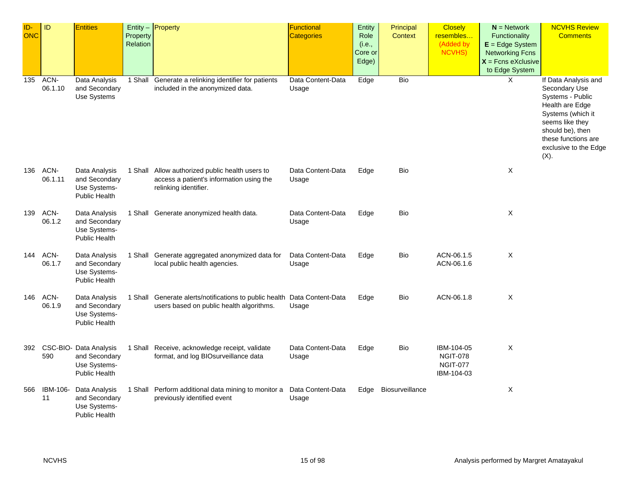| ID-<br>ONC | ID                 | <b>Entities</b>                                                                     | Property<br>Relation | Entity - Property                                                                                                    | <b>Functional</b><br>Categories | Entity<br>Role<br>(i.e.,<br>Core or<br>Edge) | Principal<br><b>Context</b> | <b>Closely</b><br>resembles<br>(Added by<br>NCVHS)             | $N =$ Network<br>Functionality<br>$E = Edge System$<br><b>Networking Fcns</b><br>$X =$ Fcns eXclusive<br>to Edge System | <b>NCVHS Review</b><br><b>Comments</b>                                                                                                                                                              |
|------------|--------------------|-------------------------------------------------------------------------------------|----------------------|----------------------------------------------------------------------------------------------------------------------|---------------------------------|----------------------------------------------|-----------------------------|----------------------------------------------------------------|-------------------------------------------------------------------------------------------------------------------------|-----------------------------------------------------------------------------------------------------------------------------------------------------------------------------------------------------|
| 135        | ACN-<br>06.1.10    | Data Analysis<br>and Secondary<br>Use Systems                                       |                      | 1 Shall Generate a relinking identifier for patients<br>included in the anonymized data.                             | Data Content-Data<br>Usage      | Edge                                         | <b>Bio</b>                  |                                                                | $\times$                                                                                                                | If Data Analysis and<br>Secondary Use<br>Systems - Public<br>Health are Edge<br>Systems (which it<br>seems like they<br>should be), then<br>these functions are<br>exclusive to the Edge<br>$(X)$ . |
| 136        | ACN-<br>06.1.11    | Data Analysis<br>and Secondary<br>Use Systems-<br>Public Health                     |                      | 1 Shall Allow authorized public health users to<br>access a patient's information using the<br>relinking identifier. | Data Content-Data<br>Usage      | Edge                                         | Bio                         |                                                                | X                                                                                                                       |                                                                                                                                                                                                     |
| 139        | ACN-<br>06.1.2     | Data Analysis<br>and Secondary<br>Use Systems-<br><b>Public Health</b>              |                      | 1 Shall Generate anonymized health data.                                                                             | Data Content-Data<br>Usage      | Edge                                         | Bio                         |                                                                | $\mathsf X$                                                                                                             |                                                                                                                                                                                                     |
|            | 144 ACN-<br>06.1.7 | Data Analysis<br>and Secondary<br>Use Systems-<br>Public Health                     |                      | 1 Shall Generate aggregated anonymized data for<br>local public health agencies.                                     | Data Content-Data<br>Usage      | Edge                                         | Bio                         | ACN-06.1.5<br>ACN-06.1.6                                       | X                                                                                                                       |                                                                                                                                                                                                     |
| 146        | ACN-<br>06.1.9     | Data Analysis<br>and Secondary<br>Use Systems-<br><b>Public Health</b>              |                      | 1 Shall Generate alerts/notifications to public health Data Content-Data<br>users based on public health algorithms. | Usage                           | Edge                                         | Bio                         | ACN-06.1.8                                                     | X                                                                                                                       |                                                                                                                                                                                                     |
|            | 590                | 392 CSC-BIO- Data Analysis<br>and Secondary<br>Use Systems-<br><b>Public Health</b> |                      | 1 Shall Receive, acknowledge receipt, validate<br>format, and log BIOsurveillance data                               | Data Content-Data<br>Usage      | Edge                                         | Bio                         | IBM-104-05<br><b>NGIT-078</b><br><b>NGIT-077</b><br>IBM-104-03 | Χ                                                                                                                       |                                                                                                                                                                                                     |
| 566        | IBM-106-<br>11     | Data Analysis<br>and Secondary<br>Use Systems-<br><b>Public Health</b>              |                      | 1 Shall Perform additional data mining to monitor a Data Content-Data<br>previously identified event                 | Usage                           | Edge                                         | Biosurveillance             |                                                                | X                                                                                                                       |                                                                                                                                                                                                     |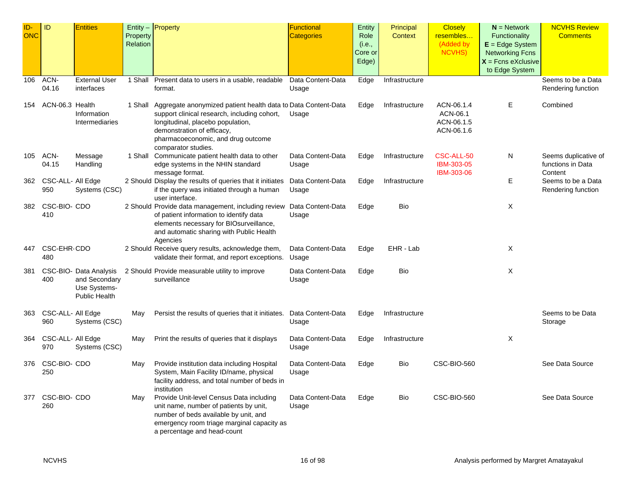| $ID -$<br><b>ONC</b> | ID                           | <b>Entities</b>                                                                 | Property<br>Relation | $Entity -$ Property                                                                                                                                                                                                                                   | <b>Functional</b><br><b>Categories</b> | Entity<br>Role<br>(i.e.,<br>Core or<br>Edge) | Principal<br><b>Context</b> | <b>Closely</b><br>resembles<br>(Added by<br>NCVHS) | $N =$ Network<br>Functionality<br>$E = Edge System$<br><b>Networking Fcns</b><br>$X =$ Fcns eXclusive<br>to Edge System | <b>NCVHS Review</b><br><b>Comments</b>               |
|----------------------|------------------------------|---------------------------------------------------------------------------------|----------------------|-------------------------------------------------------------------------------------------------------------------------------------------------------------------------------------------------------------------------------------------------------|----------------------------------------|----------------------------------------------|-----------------------------|----------------------------------------------------|-------------------------------------------------------------------------------------------------------------------------|------------------------------------------------------|
| 106                  | ACN-<br>04.16                | <b>External User</b><br>interfaces                                              | 1 Shall              | Present data to users in a usable, readable<br>format.                                                                                                                                                                                                | Data Content-Data<br>Usage             | Edge                                         | Infrastructure              |                                                    |                                                                                                                         | Seems to be a Data<br>Rendering function             |
| 154                  | ACN-06.3 Health              | Information<br>Intermediaries                                                   |                      | 1 Shall Aggregate anonymized patient health data to Data Content-Data<br>support clinical research, including cohort,<br>longitudinal, placebo population,<br>demonstration of efficacy,<br>pharmacoeconomic, and drug outcome<br>comparator studies. | Usage                                  | Edge                                         | Infrastructure              | ACN-06.1.4<br>ACN-06.1<br>ACN-06.1.5<br>ACN-06.1.6 | Е                                                                                                                       | Combined                                             |
| 105                  | ACN-<br>04.15                | Message<br>Handling                                                             |                      | 1 Shall Communicate patient health data to other<br>edge systems in the NHIN standard<br>message format.                                                                                                                                              | Data Content-Data<br>Usage             | Edge                                         | Infrastructure              | CSC-ALL-50<br>IBM-303-05<br><b>IBM-303-06</b>      | N                                                                                                                       | Seems duplicative of<br>functions in Data<br>Content |
|                      | 362 CSC-ALL- All Edge<br>950 | Systems (CSC)                                                                   |                      | 2 Should Display the results of queries that it initiates<br>if the query was initiated through a human<br>user interface.                                                                                                                            | Data Content-Data<br>Usage             | Edge                                         | Infrastructure              |                                                    | Е                                                                                                                       | Seems to be a Data<br>Rendering function             |
| 382                  | CSC-BIO- CDO<br>410          |                                                                                 |                      | 2 Should Provide data management, including review<br>of patient information to identify data<br>elements necessary for BIOsurveillance,<br>and automatic sharing with Public Health<br>Agencies                                                      | Data Content-Data<br>Usage             | Edge                                         | Bio                         |                                                    | X                                                                                                                       |                                                      |
| 447                  | CSC-EHR-CDO<br>480           |                                                                                 |                      | 2 Should Receive query results, acknowledge them,<br>validate their format, and report exceptions.                                                                                                                                                    | Data Content-Data<br>Usage             | Edge                                         | EHR - Lab                   |                                                    | Х                                                                                                                       |                                                      |
| 381                  | 400                          | CSC-BIO- Data Analysis<br>and Secondary<br>Use Systems-<br><b>Public Health</b> |                      | 2 Should Provide measurable utility to improve<br>surveillance                                                                                                                                                                                        | Data Content-Data<br>Usage             | Edge                                         | Bio                         |                                                    | X                                                                                                                       |                                                      |
| 363                  | CSC-ALL- All Edge<br>960     | Systems (CSC)                                                                   | May                  | Persist the results of queries that it initiates.                                                                                                                                                                                                     | Data Content-Data<br>Usage             | Edge                                         | Infrastructure              |                                                    |                                                                                                                         | Seems to be Data<br>Storage                          |
| 364                  | CSC-ALL- All Edge<br>970     | Systems (CSC)                                                                   | May                  | Print the results of queries that it displays                                                                                                                                                                                                         | Data Content-Data<br>Usage             | Edge                                         | Infrastructure              |                                                    | X                                                                                                                       |                                                      |
| 376                  | CSC-BIO- CDO<br>250          |                                                                                 | May                  | Provide institution data including Hospital<br>System, Main Facility ID/name, physical<br>facility address, and total number of beds in<br>institution                                                                                                | Data Content-Data<br>Usage             | Edge                                         | Bio                         | CSC-BIO-560                                        |                                                                                                                         | See Data Source                                      |
| 377                  | CSC-BIO- CDO<br>260          |                                                                                 | May                  | Provide Unit-level Census Data including<br>unit name, number of patients by unit,<br>number of beds available by unit, and<br>emergency room triage marginal capacity as<br>a percentage and head-count                                              | Data Content-Data<br>Usage             | Edge                                         | Bio                         | CSC-BIO-560                                        |                                                                                                                         | See Data Source                                      |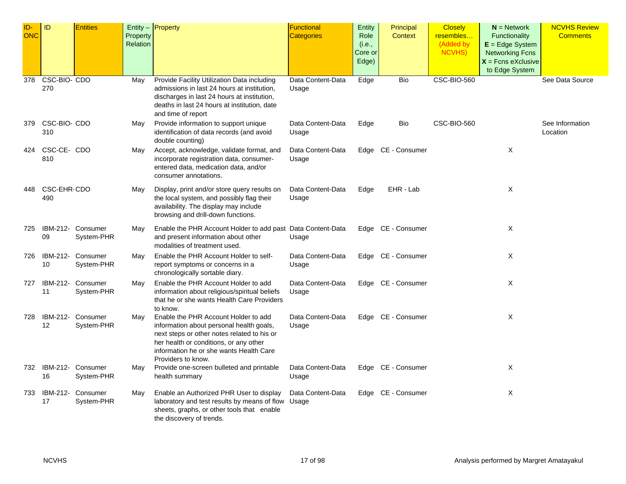| ID-<br><b>ONC</b> | ID                  | <b>Entities</b>                 | Property<br>Relation | Entity $-$ Property                                                                                                                                                                                                                        | <b>Functional</b><br><b>Categories</b> | <b>Entity</b><br>Role<br>(i.e.,<br>Core or<br>Edge) | Principal<br><b>Context</b> | <b>Closely</b><br>resembles<br>(Added by<br>NCVHS) | $N =$ Network<br><b>Functionality</b><br>$E = Edge System$<br><b>Networking Fcns</b><br>$X =$ Fcns eXclusive | <b>NCVHS Review</b><br><b>Comments</b> |
|-------------------|---------------------|---------------------------------|----------------------|--------------------------------------------------------------------------------------------------------------------------------------------------------------------------------------------------------------------------------------------|----------------------------------------|-----------------------------------------------------|-----------------------------|----------------------------------------------------|--------------------------------------------------------------------------------------------------------------|----------------------------------------|
| 378               | CSC-BIO- CDO<br>270 |                                 | May                  | Provide Facility Utilization Data including<br>admissions in last 24 hours at institution,<br>discharges in last 24 hours at institution,<br>deaths in last 24 hours at institution, date<br>and time of report                            | Data Content-Data<br>Usage             | Edge                                                | Bio                         | <b>CSC-BIO-560</b>                                 | to Edge System                                                                                               | See Data Source                        |
| 379               | CSC-BIO- CDO<br>310 |                                 | May                  | Provide information to support unique<br>identification of data records (and avoid<br>double counting)                                                                                                                                     | Data Content-Data<br>Usage             | Edge                                                | Bio                         | CSC-BIO-560                                        |                                                                                                              | See Information<br>Location            |
| 424               | CSC-CE-CDO<br>810   |                                 | May                  | Accept, acknowledge, validate format, and<br>incorporate registration data, consumer-<br>entered data, medication data, and/or<br>consumer annotations.                                                                                    | Data Content-Data<br>Usage             |                                                     | Edge CE - Consumer          |                                                    | X                                                                                                            |                                        |
| 448               | CSC-EHR-CDO<br>490  |                                 | May                  | Display, print and/or store query results on<br>the local system, and possibly flag their<br>availability. The display may include<br>browsing and drill-down functions.                                                                   | Data Content-Data<br>Usage             | Edge                                                | EHR - Lab                   |                                                    | Χ                                                                                                            |                                        |
| 725               | 09                  | IBM-212- Consumer<br>System-PHR | May                  | Enable the PHR Account Holder to add past Data Content-Data<br>and present information about other<br>modalities of treatment used.                                                                                                        | Usage                                  |                                                     | Edge CE - Consumer          |                                                    | X                                                                                                            |                                        |
| 726               | IBM-212-<br>10      | Consumer<br>System-PHR          | May                  | Enable the PHR Account Holder to self-<br>report symptoms or concerns in a<br>chronologically sortable diary.                                                                                                                              | Data Content-Data<br>Usage             |                                                     | Edge CE - Consumer          |                                                    | X                                                                                                            |                                        |
| 727               | IBM-212-<br>11      | Consumer<br>System-PHR          | May                  | Enable the PHR Account Holder to add<br>information about religious/spiritual beliefs<br>that he or she wants Health Care Providers<br>to know.                                                                                            | Data Content-Data<br>Usage             |                                                     | Edge CE - Consumer          |                                                    | Χ                                                                                                            |                                        |
| 728               | 12                  | IBM-212- Consumer<br>System-PHR | May                  | Enable the PHR Account Holder to add<br>information about personal health goals,<br>next steps or other notes related to his or<br>her health or conditions, or any other<br>information he or she wants Health Care<br>Providers to know. | Data Content-Data<br>Usage             |                                                     | Edge CE - Consumer          |                                                    | X                                                                                                            |                                        |
| 732               | IBM-212-<br>16      | Consumer<br>System-PHR          | May                  | Provide one-screen bulleted and printable<br>health summary                                                                                                                                                                                | Data Content-Data<br>Usage             |                                                     | Edge CE - Consumer          |                                                    | X                                                                                                            |                                        |
| 733               | 17                  | IBM-212- Consumer<br>System-PHR | May                  | Enable an Authorized PHR User to display<br>laboratory and test results by means of flow<br>sheets, graphs, or other tools that enable<br>the discovery of trends.                                                                         | Data Content-Data<br>Usage             |                                                     | Edge CE - Consumer          |                                                    | Χ                                                                                                            |                                        |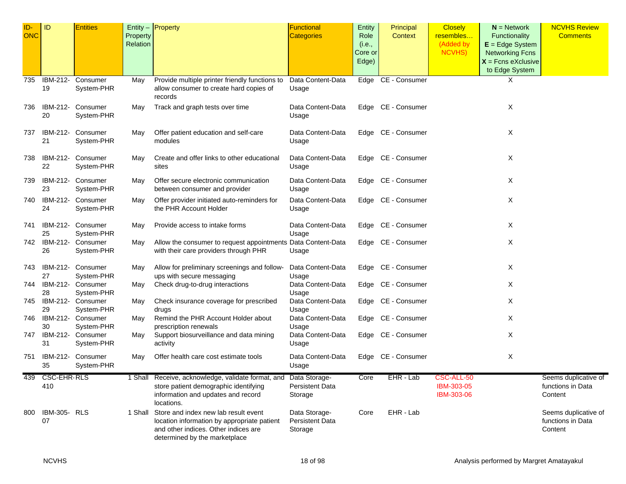| ID-<br><b>ONC</b> | ID                        | <b>Entities</b>                 |                      | Entity $-$ Property                                                                                                                                                  | <b>Functional</b>                                  | <b>Entity</b>  | Principal          | <b>Closely</b>           | $N =$ Network                          | <b>NCVHS Review</b>                                  |
|-------------------|---------------------------|---------------------------------|----------------------|----------------------------------------------------------------------------------------------------------------------------------------------------------------------|----------------------------------------------------|----------------|--------------------|--------------------------|----------------------------------------|------------------------------------------------------|
|                   |                           |                                 | Property<br>Relation |                                                                                                                                                                      | <b>Categories</b>                                  | Role<br>(i.e., | Context            | resembles<br>(Added by   | Functionality<br>$E = Edge System$     | <b>Comments</b>                                      |
|                   |                           |                                 |                      |                                                                                                                                                                      |                                                    | Core or        |                    | <b>NCVHS)</b>            | <b>Networking Fcns</b>                 |                                                      |
|                   |                           |                                 |                      |                                                                                                                                                                      |                                                    | Edge)          |                    |                          | $X =$ Fcns eXclusive<br>to Edge System |                                                      |
| 735               | IBM-212-                  | Consumer                        | May                  | Provide multiple printer friendly functions to                                                                                                                       | Data Content-Data                                  |                | Edge CE - Consumer |                          | Χ                                      |                                                      |
|                   | 19                        | System-PHR                      |                      | allow consumer to create hard copies of<br>records                                                                                                                   | Usage                                              |                |                    |                          |                                        |                                                      |
| 736               | 20                        | IBM-212- Consumer<br>System-PHR | May                  | Track and graph tests over time                                                                                                                                      | Data Content-Data<br>Usage                         |                | Edge CE - Consumer |                          | Χ                                      |                                                      |
| 737               | IBM-212-<br>21            | Consumer<br>System-PHR          | May                  | Offer patient education and self-care<br>modules                                                                                                                     | Data Content-Data<br>Usage                         |                | Edge CE - Consumer |                          | Χ                                      |                                                      |
| 738               | IBM-212-<br>22            | Consumer<br>System-PHR          | May                  | Create and offer links to other educational<br>sites                                                                                                                 | Data Content-Data<br>Usage                         |                | Edge CE - Consumer |                          | Χ                                      |                                                      |
| 739               | 23                        | IBM-212- Consumer<br>System-PHR | May                  | Offer secure electronic communication<br>between consumer and provider                                                                                               | Data Content-Data<br>Usage                         |                | Edge CE - Consumer |                          | Χ                                      |                                                      |
| 740               | IBM-212-<br>24            | Consumer<br>System-PHR          | May                  | Offer provider initiated auto-reminders for<br>the PHR Account Holder                                                                                                | Data Content-Data<br>Usage                         |                | Edge CE - Consumer |                          | Χ                                      |                                                      |
| 741               | 25                        | IBM-212- Consumer<br>System-PHR | May                  | Provide access to intake forms                                                                                                                                       | Data Content-Data<br>Usage                         |                | Edge CE - Consumer |                          | Χ                                      |                                                      |
| 742.              | 26                        | IBM-212- Consumer<br>System-PHR | May                  | Allow the consumer to request appointments Data Content-Data<br>with their care providers through PHR                                                                | Usage                                              |                | Edge CE - Consumer |                          | Χ                                      |                                                      |
| 743               | IBM-212-<br>27            | Consumer<br>System-PHR          | May                  | Allow for preliminary screenings and follow-<br>ups with secure messaging                                                                                            | Data Content-Data<br>Usage                         |                | Edge CE - Consumer |                          | Χ                                      |                                                      |
| 744               | IBM-212-<br>28            | Consumer<br>System-PHR          | May                  | Check drug-to-drug interactions                                                                                                                                      | Data Content-Data<br>Usage                         |                | Edge CE - Consumer |                          | Χ                                      |                                                      |
| 745               | 29                        | IBM-212- Consumer<br>System-PHR | May                  | Check insurance coverage for prescribed<br>drugs                                                                                                                     | Data Content-Data<br>Usage                         |                | Edge CE - Consumer |                          | Χ                                      |                                                      |
| 746               | 30                        | IBM-212- Consumer<br>System-PHR | May                  | Remind the PHR Account Holder about<br>prescription renewals                                                                                                         | Data Content-Data<br>Usage                         |                | Edge CE - Consumer |                          | Χ                                      |                                                      |
| 747               | 31                        | IBM-212- Consumer<br>System-PHR | May                  | Support biosurveillance and data mining<br>activity                                                                                                                  | Data Content-Data<br>Usage                         | Edge           | CE - Consumer      |                          | Χ                                      |                                                      |
| 751               | 35                        | IBM-212- Consumer<br>System-PHR | May                  | Offer health care cost estimate tools                                                                                                                                | Data Content-Data<br>Usage                         |                | Edge CE - Consumer |                          | Χ                                      |                                                      |
| 439               | <b>CSC-EHR-RLS</b>        |                                 |                      | 1 Shall Receive, acknowledge, validate format, and Data Storage-                                                                                                     |                                                    | Core           | EHR - Lab          | CSC-ALL-50               |                                        | Seems duplicative of                                 |
|                   | 410                       |                                 |                      | store patient demographic identifying<br>information and updates and record<br>locations.                                                                            | <b>Persistent Data</b><br>Storage                  |                |                    | IBM-303-05<br>IBM-303-06 |                                        | functions in Data<br>Content                         |
| 800               | <b>IBM-305- RLS</b><br>07 |                                 |                      | 1 Shall Store and index new lab result event<br>location information by appropriate patient<br>and other indices. Other indices are<br>determined by the marketplace | Data Storage-<br><b>Persistent Data</b><br>Storage | Core           | EHR - Lab          |                          |                                        | Seems duplicative of<br>functions in Data<br>Content |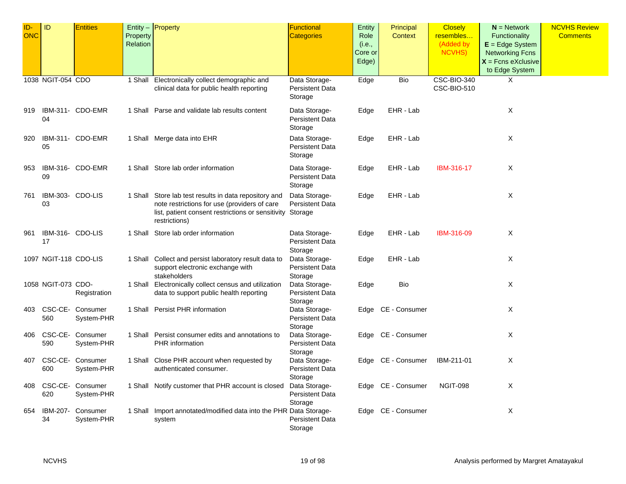| ID-<br><b>ONC</b> | ID                     | <b>Entities</b>                 | Property<br>Relation | Entity - Property                                                                                                                                                           | Functional<br><b>Categories</b>                    | <b>Entity</b><br>Role<br>(i.e., | Principal<br>Context | <b>Closely</b><br>resembles<br>(Added by | $N =$ Network<br><b>Functionality</b><br>$E = Edge System$       | <b>NCVHS Review</b><br><b>Comments</b> |
|-------------------|------------------------|---------------------------------|----------------------|-----------------------------------------------------------------------------------------------------------------------------------------------------------------------------|----------------------------------------------------|---------------------------------|----------------------|------------------------------------------|------------------------------------------------------------------|----------------------------------------|
|                   |                        |                                 |                      |                                                                                                                                                                             |                                                    | Core or<br>Edge)                |                      | NCVHS)                                   | <b>Networking Fcns</b><br>$X =$ Fcns eXclusive<br>to Edge System |                                        |
|                   | 1038 NGIT-054 CDO      |                                 |                      | 1 Shall Electronically collect demographic and<br>clinical data for public health reporting                                                                                 | Data Storage-<br><b>Persistent Data</b><br>Storage | Edge                            | <b>Bio</b>           | <b>CSC-BIO-340</b><br>CSC-BIO-510        | X                                                                |                                        |
| 919               | 04                     | IBM-311- CDO-EMR                |                      | 1 Shall Parse and validate lab results content                                                                                                                              | Data Storage-<br><b>Persistent Data</b><br>Storage | Edge                            | EHR - Lab            |                                          | Χ                                                                |                                        |
| 920               | 05                     | IBM-311- CDO-EMR                |                      | 1 Shall Merge data into EHR                                                                                                                                                 | Data Storage-<br><b>Persistent Data</b><br>Storage | Edge                            | EHR - Lab            |                                          | X                                                                |                                        |
| 953               | 09                     | IBM-316- CDO-EMR                |                      | 1 Shall Store lab order information                                                                                                                                         | Data Storage-<br><b>Persistent Data</b><br>Storage | Edge                            | EHR - Lab            | IBM-316-17                               | Χ                                                                |                                        |
| 761               | IBM-303- CDO-LIS<br>03 |                                 |                      | 1 Shall Store lab test results in data repository and<br>note restrictions for use (providers of care<br>list, patient consent restrictions or sensitivity<br>restrictions) | Data Storage-<br><b>Persistent Data</b><br>Storage | Edge                            | EHR - Lab            |                                          | X                                                                |                                        |
| 961               | IBM-316- CDO-LIS<br>17 |                                 |                      | 1 Shall Store lab order information                                                                                                                                         | Data Storage-<br><b>Persistent Data</b><br>Storage | Edge                            | EHR - Lab            | IBM-316-09                               | X                                                                |                                        |
|                   | 1097 NGIT-118 CDO-LIS  |                                 |                      | 1 Shall Collect and persist laboratory result data to<br>support electronic exchange with<br>stakeholders                                                                   | Data Storage-<br><b>Persistent Data</b><br>Storage | Edge                            | EHR - Lab            |                                          | X                                                                |                                        |
|                   | 1058 NGIT-073 CDO-     | Registration                    |                      | 1 Shall Electronically collect census and utilization<br>data to support public health reporting                                                                            | Data Storage-<br><b>Persistent Data</b><br>Storage | Edge                            | Bio                  |                                          | X                                                                |                                        |
| 403               | 560                    | CSC-CE- Consumer<br>System-PHR  |                      | 1 Shall Persist PHR information                                                                                                                                             | Data Storage-<br><b>Persistent Data</b><br>Storage |                                 | Edge CE - Consumer   |                                          | X                                                                |                                        |
| 406               | 590                    | CSC-CE- Consumer<br>System-PHR  |                      | 1 Shall Persist consumer edits and annotations to<br><b>PHR</b> information                                                                                                 | Data Storage-<br>Persistent Data<br>Storage        |                                 | Edge CE - Consumer   |                                          | X                                                                |                                        |
| 407               | 600                    | CSC-CE- Consumer<br>System-PHR  |                      | 1 Shall Close PHR account when requested by<br>authenticated consumer.                                                                                                      | Data Storage-<br><b>Persistent Data</b><br>Storage |                                 | Edge CE - Consumer   | IBM-211-01                               | Χ                                                                |                                        |
| 408               | 620                    | CSC-CE- Consumer<br>System-PHR  |                      | 1 Shall Notify customer that PHR account is closed                                                                                                                          | Data Storage-<br><b>Persistent Data</b><br>Storage |                                 | Edge CE - Consumer   | <b>NGIT-098</b>                          | X                                                                |                                        |
| 654               | 34                     | IBM-207- Consumer<br>System-PHR |                      | 1 Shall Import annotated/modified data into the PHR Data Storage-<br>system                                                                                                 | <b>Persistent Data</b><br>Storage                  |                                 | Edge CE - Consumer   |                                          | X                                                                |                                        |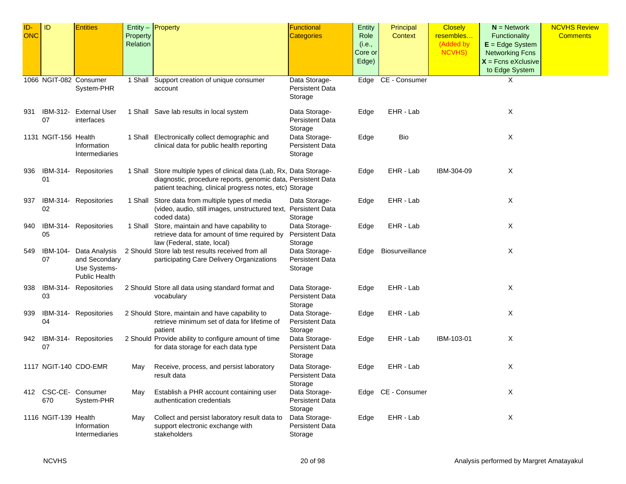| ID-        | ID                     | <b>Entities</b>       |          | $Entity -$ Property                                                            | <b>Functional</b>        | Entity  | Principal          | <b>Closely</b> | $N =$ Network          | <b>NCVHS Review</b> |
|------------|------------------------|-----------------------|----------|--------------------------------------------------------------------------------|--------------------------|---------|--------------------|----------------|------------------------|---------------------|
| <b>ONC</b> |                        |                       | Property |                                                                                | <b>Categories</b>        | Role    | Context            | resembles      | Functionality          | <b>Comments</b>     |
|            |                        |                       | Relation |                                                                                |                          | (i.e.,  |                    | (Added by      | $E = Edge System$      |                     |
|            |                        |                       |          |                                                                                |                          | Core or |                    | NCVHS)         | <b>Networking Fcns</b> |                     |
|            |                        |                       |          |                                                                                |                          | Edge)   |                    |                | $X =$ Fcns eXclusive   |                     |
|            |                        |                       |          |                                                                                |                          |         |                    |                | to Edge System         |                     |
|            | 1066 NGIT-082 Consumer |                       |          | 1 Shall Support creation of unique consumer                                    | Data Storage-            |         | Edge CE - Consumer |                | X                      |                     |
|            |                        | System-PHR            |          | account                                                                        | <b>Persistent Data</b>   |         |                    |                |                        |                     |
|            |                        |                       |          |                                                                                | Storage                  |         |                    |                |                        |                     |
|            |                        |                       |          |                                                                                |                          |         |                    |                |                        |                     |
| 931        | IBM-312-               | <b>External User</b>  |          | 1 Shall Save lab results in local system                                       | Data Storage-            | Edge    | EHR - Lab          |                | X                      |                     |
|            | 07                     | interfaces            |          |                                                                                | <b>Persistent Data</b>   |         |                    |                |                        |                     |
|            | 1131 NGIT-156 Health   |                       |          | 1 Shall Electronically collect demographic and                                 | Storage<br>Data Storage- |         | Bio                |                | X                      |                     |
|            |                        | Information           |          | clinical data for public health reporting                                      | <b>Persistent Data</b>   | Edge    |                    |                |                        |                     |
|            |                        | Intermediaries        |          |                                                                                | Storage                  |         |                    |                |                        |                     |
|            |                        |                       |          |                                                                                |                          |         |                    |                |                        |                     |
| 936        |                        | IBM-314- Repositories |          | 1 Shall Store multiple types of clinical data (Lab, Rx, Data Storage-          |                          | Edge    | EHR - Lab          | IBM-304-09     | Χ                      |                     |
|            | 01                     |                       |          | diagnostic, procedure reports, genomic data, Persistent Data                   |                          |         |                    |                |                        |                     |
|            |                        |                       |          | patient teaching, clinical progress notes, etc) Storage                        |                          |         |                    |                |                        |                     |
|            |                        |                       |          |                                                                                |                          |         |                    |                |                        |                     |
| 937        | 02                     | IBM-314- Repositories |          | 1 Shall Store data from multiple types of media                                | Data Storage-            | Edge    | EHR - Lab          |                | X                      |                     |
|            |                        |                       |          | (video, audio, still images, unstructured text, Persistent Data<br>coded data) | Storage                  |         |                    |                |                        |                     |
| 940        |                        | IBM-314- Repositories |          | 1 Shall Store, maintain and have capability to                                 | Data Storage-            | Edge    | EHR - Lab          |                | X                      |                     |
|            | 05                     |                       |          | retrieve data for amount of time required by                                   | <b>Persistent Data</b>   |         |                    |                |                        |                     |
|            |                        |                       |          | law (Federal, state, local)                                                    | Storage                  |         |                    |                |                        |                     |
| 549        | IBM-104-               | Data Analysis         |          | 2 Should Store lab test results received from all                              | Data Storage-            | Edge    | Biosurveillance    |                | Χ                      |                     |
|            | 07                     | and Secondary         |          | participating Care Delivery Organizations                                      | <b>Persistent Data</b>   |         |                    |                |                        |                     |
|            |                        | Use Systems-          |          |                                                                                | Storage                  |         |                    |                |                        |                     |
|            |                        | <b>Public Health</b>  |          |                                                                                |                          |         |                    |                |                        |                     |
| 938        |                        | IBM-314- Repositories |          | 2 Should Store all data using standard format and                              | Data Storage-            | Edge    | EHR - Lab          |                | X                      |                     |
|            | 03                     |                       |          | vocabulary                                                                     | <b>Persistent Data</b>   |         |                    |                |                        |                     |
|            |                        |                       |          |                                                                                | Storage                  |         |                    |                |                        |                     |
| 939        |                        | IBM-314- Repositories |          | 2 Should Store, maintain and have capability to                                | Data Storage-            | Edge    | EHR - Lab          |                | Χ                      |                     |
|            | 04                     |                       |          | retrieve minimum set of data for lifetime of                                   | <b>Persistent Data</b>   |         |                    |                |                        |                     |
|            |                        |                       |          | patient                                                                        | Storage                  |         |                    |                |                        |                     |
| 942        |                        | IBM-314- Repositories |          | 2 Should Provide ability to configure amount of time                           | Data Storage-            | Edge    | EHR - Lab          | IBM-103-01     | Χ                      |                     |
|            | 07                     |                       |          | for data storage for each data type                                            | <b>Persistent Data</b>   |         |                    |                |                        |                     |
|            |                        |                       |          |                                                                                | Storage                  |         |                    |                |                        |                     |
|            |                        | 1117 NGIT-140 CDO-EMR | May      | Receive, process, and persist laboratory                                       | Data Storage-            | Edge    | EHR - Lab          |                | Χ                      |                     |
|            |                        |                       |          | result data                                                                    | <b>Persistent Data</b>   |         |                    |                |                        |                     |
|            |                        |                       |          |                                                                                | Storage                  |         |                    |                |                        |                     |
|            |                        | 412 CSC-CE- Consumer  | May      | Establish a PHR account containing user                                        | Data Storage-            |         | Edge CE - Consumer |                | Χ                      |                     |
|            | 670                    | System-PHR            |          | authentication credentials                                                     | <b>Persistent Data</b>   |         |                    |                |                        |                     |
|            |                        |                       |          |                                                                                | Storage                  |         |                    |                |                        |                     |
|            | 1116 NGIT-139 Health   |                       | May      | Collect and persist laboratory result data to                                  | Data Storage-            | Edge    | EHR - Lab          |                | Χ                      |                     |
|            |                        | Information           |          | support electronic exchange with                                               | <b>Persistent Data</b>   |         |                    |                |                        |                     |
|            |                        | Intermediaries        |          | stakeholders                                                                   | Storage                  |         |                    |                |                        |                     |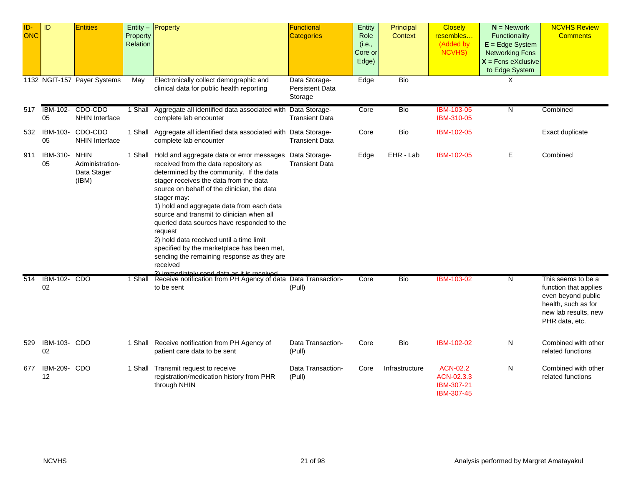| ID-<br><b>ONC</b> | ID                    | <b>Entities</b>                                        | Property<br>Relation | Entity - Property                                                                                                                                                                                                                                                                                                                                                                                                                                                                                                                                                                                                | Functional<br><b>Categories</b>                    | Entity<br>Role<br>(i.e.,<br>Core or<br>Edge) | Principal<br><b>Context</b> | <b>Closely</b><br>resembles<br>(Added by<br><b>NCVHS)</b> | $N =$ Network<br>Functionality<br>$E = Edge System$<br><b>Networking Fcns</b><br>$X$ = Fcns eXclusive<br>to Edge System | <b>NCVHS Review</b><br><b>Comments</b>                                                                                             |
|-------------------|-----------------------|--------------------------------------------------------|----------------------|------------------------------------------------------------------------------------------------------------------------------------------------------------------------------------------------------------------------------------------------------------------------------------------------------------------------------------------------------------------------------------------------------------------------------------------------------------------------------------------------------------------------------------------------------------------------------------------------------------------|----------------------------------------------------|----------------------------------------------|-----------------------------|-----------------------------------------------------------|-------------------------------------------------------------------------------------------------------------------------|------------------------------------------------------------------------------------------------------------------------------------|
|                   |                       | 1132 NGIT-157 Payer Systems                            | May                  | Electronically collect demographic and<br>clinical data for public health reporting                                                                                                                                                                                                                                                                                                                                                                                                                                                                                                                              | Data Storage-<br><b>Persistent Data</b><br>Storage | Edge                                         | <b>Bio</b>                  |                                                           | X                                                                                                                       |                                                                                                                                    |
| 517               | <b>IBM-102-</b><br>05 | CDO-CDO<br><b>NHIN Interface</b>                       | 1 Shall              | Aggregate all identified data associated with Data Storage-<br>complete lab encounter                                                                                                                                                                                                                                                                                                                                                                                                                                                                                                                            | <b>Transient Data</b>                              | Core                                         | <b>Bio</b>                  | <b>IBM-103-05</b><br>IBM-310-05                           | N                                                                                                                       | Combined                                                                                                                           |
| 532               | IBM-103-<br>05        | CDO-CDO<br><b>NHIN Interface</b>                       |                      | 1 Shall Aggregate all identified data associated with Data Storage-<br>complete lab encounter                                                                                                                                                                                                                                                                                                                                                                                                                                                                                                                    | <b>Transient Data</b>                              | Core                                         | Bio                         | IBM-102-05                                                |                                                                                                                         | Exact duplicate                                                                                                                    |
| 911               | IBM-310-<br>05        | <b>NHIN</b><br>Administration-<br>Data Stager<br>(IBM) |                      | 1 Shall Hold and aggregate data or error messages Data Storage-<br>received from the data repository as<br>determined by the community. If the data<br>stager receives the data from the data<br>source on behalf of the clinician, the data<br>stager may:<br>1) hold and aggregate data from each data<br>source and transmit to clinician when all<br>queried data sources have responded to the<br>request<br>2) hold data received until a time limit<br>specified by the marketplace has been met,<br>sending the remaining response as they are<br>received<br>2) immediately cand data as it is resolved | <b>Transient Data</b>                              | Edge                                         | EHR - Lab                   | IBM-102-05                                                | Ε                                                                                                                       | Combined                                                                                                                           |
| 514               | IBM-102- CDO<br>02    |                                                        | 1 Shall              | Receive notification from PH Agency of data Data Transaction-<br>to be sent                                                                                                                                                                                                                                                                                                                                                                                                                                                                                                                                      | (Pull)                                             | Core                                         | <b>Bio</b>                  | <b>IBM-103-02</b>                                         | N                                                                                                                       | This seems to be a<br>function that applies<br>even beyond public<br>health, such as for<br>new lab results, new<br>PHR data, etc. |
| 529               | IBM-103- CDO<br>02    |                                                        |                      | 1 Shall Receive notification from PH Agency of<br>patient care data to be sent                                                                                                                                                                                                                                                                                                                                                                                                                                                                                                                                   | Data Transaction-<br>(Pull)                        | Core                                         | Bio                         | IBM-102-02                                                | N                                                                                                                       | Combined with other<br>related functions                                                                                           |
| 677               | IBM-209- CDO<br>12    |                                                        |                      | 1 Shall Transmit request to receive<br>registration/medication history from PHR<br>through NHIN                                                                                                                                                                                                                                                                                                                                                                                                                                                                                                                  | Data Transaction-<br>(Pull)                        | Core                                         | Infrastructure              | ACN-02.2<br>ACN-02.3.3<br>IBM-307-21<br>IBM-307-45        | N                                                                                                                       | Combined with other<br>related functions                                                                                           |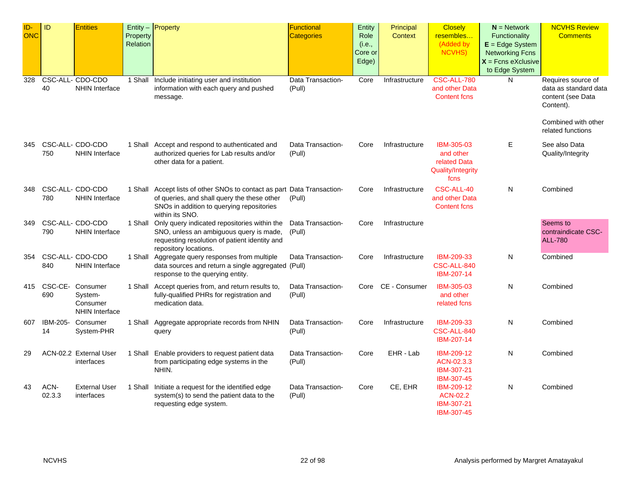| ID-<br>ONC | ID             | <b>Entities</b>                                          | Property<br>Relation | Entity - Property                                                                                                                                                                      | <b>Functional</b><br><b>Categories</b> | Entity<br>Role<br>(i.e.,<br>Core or<br>Edge) | Principal<br><b>Context</b> | <b>Closely</b><br>resembles<br>(Added by<br><b>NCVHS)</b>                   | $N =$ Network<br>Functionality<br>$E = Edge System$<br><b>Networking Fcns</b><br>$X =$ Fcns eXclusive<br>to Edge System | <b>NCVHS Review</b><br><b>Comments</b>                                        |
|------------|----------------|----------------------------------------------------------|----------------------|----------------------------------------------------------------------------------------------------------------------------------------------------------------------------------------|----------------------------------------|----------------------------------------------|-----------------------------|-----------------------------------------------------------------------------|-------------------------------------------------------------------------------------------------------------------------|-------------------------------------------------------------------------------|
| 328        | 40             | CSC-ALL- CDO-CDO<br><b>NHIN Interface</b>                | 1 Shall              | Include initiating user and institution<br>information with each query and pushed<br>message.                                                                                          | Data Transaction-<br>(Pull)            | Core                                         | Infrastructure              | CSC-ALL-780<br>and other Data<br><b>Content fcns</b>                        | N                                                                                                                       | Requires source of<br>data as standard data<br>content (see Data<br>Content). |
|            |                |                                                          |                      |                                                                                                                                                                                        |                                        |                                              |                             |                                                                             |                                                                                                                         | Combined with other<br>related functions                                      |
| 345        | 750            | CSC-ALL- CDO-CDO<br><b>NHIN Interface</b>                |                      | 1 Shall Accept and respond to authenticated and<br>authorized queries for Lab results and/or<br>other data for a patient.                                                              | Data Transaction-<br>(Pull)            | Core                                         | Infrastructure              | IBM-305-03<br>and other<br>related Data<br><b>Quality/Integrity</b><br>fcns | Е                                                                                                                       | See also Data<br>Quality/Integrity                                            |
| 348        | 780            | CSC-ALL- CDO-CDO<br><b>NHIN Interface</b>                |                      | 1 Shall Accept lists of other SNOs to contact as part Data Transaction-<br>of queries, and shall query the these other<br>SNOs in addition to querying repositories<br>within its SNO. | (Pull)                                 | Core                                         | Infrastructure              | CSC-ALL-40<br>and other Data<br><b>Content fcns</b>                         | N                                                                                                                       | Combined                                                                      |
| 349        | 790            | CSC-ALL- CDO-CDO<br><b>NHIN Interface</b>                | 1 Shall              | Only query indicated repositories within the<br>SNO, unless an ambiguous query is made,<br>requesting resolution of patient identity and<br>repository locations.                      | Data Transaction-<br>(Pull)            | Core                                         | Infrastructure              |                                                                             |                                                                                                                         | Seems to<br>contraindicate CSC-<br><b>ALL-780</b>                             |
| 354        | 840            | CSC-ALL- CDO-CDO<br>NHIN Interface                       |                      | 1 Shall Aggregate query responses from multiple<br>data sources and return a single aggregated (Pull)<br>response to the querying entity.                                              | Data Transaction-                      | Core                                         | Infrastructure              | IBM-209-33<br>CSC-ALL-840<br>IBM-207-14                                     | N                                                                                                                       | Combined                                                                      |
| 415        | CSC-CE-<br>690 | Consumer<br>System-<br>Consumer<br><b>NHIN Interface</b> |                      | 1 Shall Accept queries from, and return results to,<br>fully-qualified PHRs for registration and<br>medication data.                                                                   | Data Transaction-<br>(Pull)            | Core                                         | CE - Consumer               | IBM-305-03<br>and other<br>related fcns                                     | N                                                                                                                       | Combined                                                                      |
| 607        | IBM-205-<br>14 | Consumer<br>System-PHR                                   | 1 Shall              | Aggregate appropriate records from NHIN<br>query                                                                                                                                       | Data Transaction-<br>(Pull)            | Core                                         | Infrastructure              | IBM-209-33<br>CSC-ALL-840<br>IBM-207-14                                     | N                                                                                                                       | Combined                                                                      |
| 29         |                | ACN-02.2 External User<br>interfaces                     | 1 Shall              | Enable providers to request patient data<br>from participating edge systems in the<br>NHIN.                                                                                            | Data Transaction-<br>(Pull)            | Core                                         | EHR - Lab                   | IBM-209-12<br>ACN-02.3.3<br>IBM-307-21<br>IBM-307-45                        | N                                                                                                                       | Combined                                                                      |
| 43         | ACN-<br>02.3.3 | <b>External User</b><br>interfaces                       |                      | 1 Shall Initiate a request for the identified edge<br>system(s) to send the patient data to the<br>requesting edge system.                                                             | Data Transaction-<br>(Pull)            | Core                                         | CE, EHR                     | <b>IBM-209-12</b><br><b>ACN-02.2</b><br>IBM-307-21<br>IBM-307-45            | N                                                                                                                       | Combined                                                                      |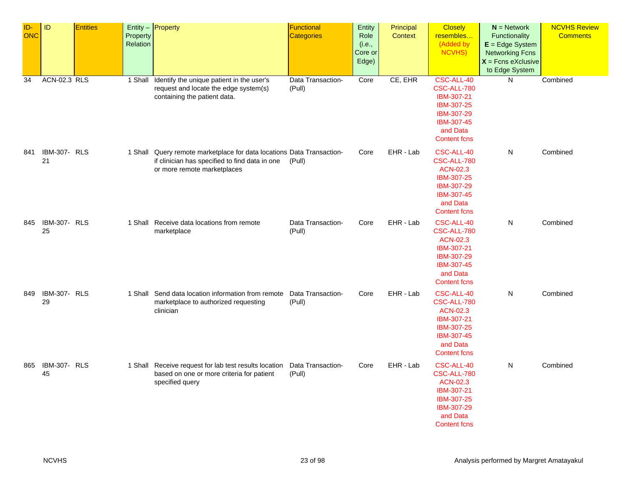| $ID-$<br><b>ONC</b> | ID                        | <b>Entities</b> | Property<br>Relation | $Entity -$ Property                                                                                                                                    | Functional<br><b>Categories</b> | Entity<br>Role<br>(i.e.,<br>Core or<br>Edge) | Principal<br>Context | <b>Closely</b><br>resembles<br>(Added by<br>NCVHS)                                                                        | $N =$ Network<br>Functionality<br>$E = Edge System$<br><b>Networking Fcns</b><br>$X =$ Fcns eXclusive<br>to Edge System | <b>NCVHS Review</b><br><b>Comments</b> |
|---------------------|---------------------------|-----------------|----------------------|--------------------------------------------------------------------------------------------------------------------------------------------------------|---------------------------------|----------------------------------------------|----------------------|---------------------------------------------------------------------------------------------------------------------------|-------------------------------------------------------------------------------------------------------------------------|----------------------------------------|
| $\overline{34}$     | <b>ACN-02.3 RLS</b>       |                 | 1 Shall              | Identify the unique patient in the user's<br>request and locate the edge system(s)<br>containing the patient data.                                     | Data Transaction-<br>(Pull)     | Core                                         | CE, EHR              | CSC-ALL-40<br>CSC-ALL-780<br>IBM-307-21<br>IBM-307-25<br>IBM-307-29<br>IBM-307-45<br>and Data<br><b>Content fcns</b>      | N                                                                                                                       | Combined                               |
| 841                 | <b>IBM-307- RLS</b><br>21 |                 |                      | 1 Shall Query remote marketplace for data locations Data Transaction-<br>if clinician has specified to find data in one<br>or more remote marketplaces | (Pull)                          | Core                                         | EHR - Lab            | CSC-ALL-40<br>CSC-ALL-780<br><b>ACN-02.3</b><br>IBM-307-25<br>IBM-307-29<br>IBM-307-45<br>and Data<br><b>Content fcns</b> | N                                                                                                                       | Combined                               |
| 845                 | IBM-307- RLS<br>25        |                 |                      | 1 Shall Receive data locations from remote<br>marketplace                                                                                              | Data Transaction-<br>(Pull)     | Core                                         | EHR - Lab            | CSC-ALL-40<br>CSC-ALL-780<br><b>ACN-02.3</b><br>IBM-307-21<br>IBM-307-29<br>IBM-307-45<br>and Data<br><b>Content fcns</b> | N                                                                                                                       | Combined                               |
| 849                 | <b>IBM-307- RLS</b><br>29 |                 |                      | 1 Shall Send data location information from remote<br>marketplace to authorized requesting<br>clinician                                                | Data Transaction-<br>(Pull)     | Core                                         | EHR - Lab            | CSC-ALL-40<br>CSC-ALL-780<br><b>ACN-02.3</b><br>IBM-307-21<br>IBM-307-25<br>IBM-307-45<br>and Data<br><b>Content fcns</b> | N                                                                                                                       | Combined                               |
| 865                 | IBM-307- RLS<br>45        |                 |                      | 1 Shall Receive request for lab test results location<br>based on one or more criteria for patient<br>specified query                                  | Data Transaction-<br>(Pull)     | Core                                         | EHR - Lab            | CSC-ALL-40<br>CSC-ALL-780<br><b>ACN-02.3</b><br>IBM-307-21<br>IBM-307-25<br>IBM-307-29<br>and Data<br><b>Content fcns</b> | N                                                                                                                       | Combined                               |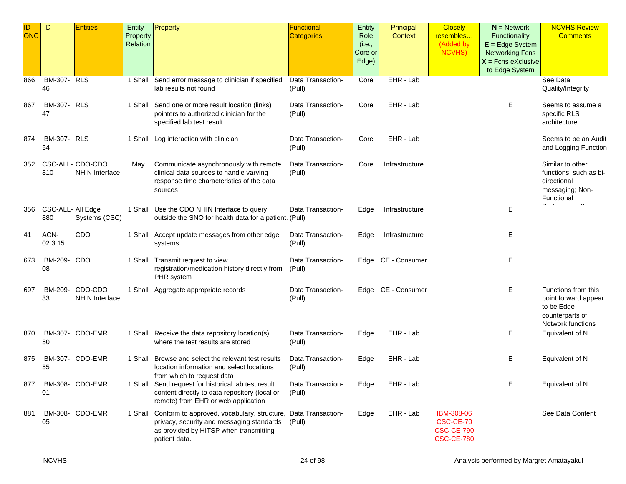| ID-<br><b>ONC</b> | ID                        | <b>Entities</b>                           | Property<br>Relation | Entity $-$ Property                                                                                                                                                   | Functional<br><b>Categories</b> | Entity<br>Role<br>(i.e.,<br>Core or<br>Edge) | Principal<br>Context | <b>Closely</b><br>resembles<br>(Added by<br>NCVHS)                | $N =$ Network<br>Functionality<br>$E = Edge System$<br><b>Networking Fcns</b><br>$X =$ Fcns eXclusive<br>to Edge System | <b>NCVHS Review</b><br><b>Comments</b>                                                            |
|-------------------|---------------------------|-------------------------------------------|----------------------|-----------------------------------------------------------------------------------------------------------------------------------------------------------------------|---------------------------------|----------------------------------------------|----------------------|-------------------------------------------------------------------|-------------------------------------------------------------------------------------------------------------------------|---------------------------------------------------------------------------------------------------|
| 866               | <b>IBM-307- RLS</b><br>46 |                                           | 1 Shall              | Send error message to clinician if specified<br>lab results not found                                                                                                 | Data Transaction-<br>(Pull)     | Core                                         | EHR - Lab            |                                                                   |                                                                                                                         | See Data<br>Quality/Integrity                                                                     |
| 867               | <b>IBM-307- RLS</b><br>47 |                                           | 1 Shall              | Send one or more result location (links)<br>pointers to authorized clinician for the<br>specified lab test result                                                     | Data Transaction-<br>(Pull)     | Core                                         | EHR - Lab            |                                                                   | Е                                                                                                                       | Seems to assume a<br>specific RLS<br>architecture                                                 |
| 874               | <b>IBM-307- RLS</b><br>54 |                                           | 1 Shall              | Log interaction with clinician                                                                                                                                        | Data Transaction-<br>(Pull)     | Core                                         | EHR - Lab            |                                                                   |                                                                                                                         | Seems to be an Audit<br>and Logging Function                                                      |
| 352               | 810                       | CSC-ALL- CDO-CDO<br><b>NHIN Interface</b> | May                  | Communicate asynchronously with remote<br>clinical data sources to handle varying<br>response time characteristics of the data<br>sources                             | Data Transaction-<br>(Pull)     | Core                                         | Infrastructure       |                                                                   |                                                                                                                         | Similar to other<br>functions, such as bi-<br>directional<br>messaging; Non-<br>Functional<br>- - |
| 356               | CSC-ALL- All Edge<br>880  | Systems (CSC)                             |                      | 1 Shall Use the CDO NHIN Interface to query<br>outside the SNO for health data for a patient. (Pull)                                                                  | Data Transaction-               | Edge                                         | Infrastructure       |                                                                   | Ε                                                                                                                       | $\hat{\phantom{a}}$                                                                               |
| 41                | ACN-<br>02.3.15           | <b>CDO</b>                                |                      | 1 Shall Accept update messages from other edge<br>systems.                                                                                                            | Data Transaction-<br>(Pull)     | Edge                                         | Infrastructure       |                                                                   | Е                                                                                                                       |                                                                                                   |
| 673               | IBM-209-<br>08            | <b>CDO</b>                                |                      | 1 Shall Transmit request to view<br>registration/medication history directly from<br>PHR system                                                                       | Data Transaction-<br>(Pull)     |                                              | Edge CE - Consumer   |                                                                   | Ε                                                                                                                       |                                                                                                   |
| 697               | IBM-209-<br>33            | CDO-CDO<br><b>NHIN Interface</b>          | 1 Shall              | Aggregate appropriate records                                                                                                                                         | Data Transaction-<br>(Pull)     |                                              | Edge CE - Consumer   |                                                                   | E.                                                                                                                      | Functions from this<br>point forward appear<br>to be Edge<br>counterparts of<br>Network functions |
| 870               | 50                        | IBM-307- CDO-EMR                          |                      | 1 Shall Receive the data repository location(s)<br>where the test results are stored                                                                                  | Data Transaction-<br>(Pull)     | Edge                                         | EHR - Lab            |                                                                   | Е                                                                                                                       | Equivalent of N                                                                                   |
| 875               | 55                        | IBM-307- CDO-EMR                          | 1 Shall              | Browse and select the relevant test results<br>location information and select locations<br>from which to request data                                                | Data Transaction-<br>(Pull)     | Edge                                         | EHR - Lab            |                                                                   | Е                                                                                                                       | Equivalent of N                                                                                   |
| 877               | 01                        | IBM-308- CDO-EMR                          |                      | 1 Shall Send request for historical lab test result<br>content directly to data repository (local or<br>remote) from EHR or web application                           | Data Transaction-<br>(Pull)     | Edge                                         | EHR - Lab            |                                                                   | Е                                                                                                                       | Equivalent of N                                                                                   |
| 881               | 05                        | IBM-308- CDO-EMR                          | 1 Shall              | Conform to approved, vocabulary, structure, Data Transaction-<br>privacy, security and messaging standards<br>as provided by HITSP when transmitting<br>patient data. | (Pull)                          | Edge                                         | EHR - Lab            | IBM-308-06<br>CSC-CE-70<br><b>CSC-CE-790</b><br><b>CSC-CE-780</b> |                                                                                                                         | See Data Content                                                                                  |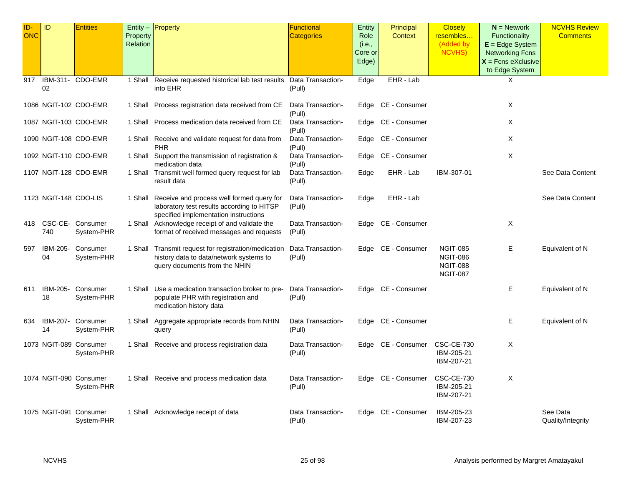| ID-<br><b>ONC</b> | ID                    | <b>Entities</b>                      | Property | Entity - Property                                                                   | <b>Functional</b><br><b>Categories</b> | <b>Entity</b><br>Role | Principal<br><b>Context</b> | <b>Closely</b><br>resembles        | $N =$ Network<br><b>Functionality</b>  | <b>NCVHS Review</b><br><b>Comments</b> |
|-------------------|-----------------------|--------------------------------------|----------|-------------------------------------------------------------------------------------|----------------------------------------|-----------------------|-----------------------------|------------------------------------|----------------------------------------|----------------------------------------|
|                   |                       |                                      | Relation |                                                                                     |                                        | (i.e.,                |                             | (Added by                          | $E = E$ dge System                     |                                        |
|                   |                       |                                      |          |                                                                                     |                                        | Core or               |                             | <b>NCVHS)</b>                      | <b>Networking Fcns</b>                 |                                        |
|                   |                       |                                      |          |                                                                                     |                                        | Edge)                 |                             |                                    | $X =$ Fcns eXclusive<br>to Edge System |                                        |
| 917               |                       | IBM-311- CDO-EMR                     |          | 1 Shall Receive requested historical lab test results Data Transaction-             |                                        | Edge                  | EHR - Lab                   |                                    | X                                      |                                        |
|                   | 02                    |                                      |          | into EHR                                                                            | (Pull)                                 |                       |                             |                                    |                                        |                                        |
|                   |                       | 1086 NGIT-102 CDO-EMR                |          | 1 Shall Process registration data received from CE                                  | Data Transaction-                      |                       | Edge CE - Consumer          |                                    | Χ                                      |                                        |
|                   |                       |                                      |          |                                                                                     | (Pull)                                 |                       |                             |                                    |                                        |                                        |
|                   |                       | 1087 NGIT-103 CDO-EMR                |          | 1 Shall Process medication data received from CE                                    | Data Transaction-<br>(Pull)            |                       | Edge CE - Consumer          |                                    | Χ                                      |                                        |
|                   |                       | 1090 NGIT-108 CDO-EMR                |          | 1 Shall Receive and validate request for data from                                  | Data Transaction-                      |                       | Edge CE - Consumer          |                                    | X                                      |                                        |
|                   |                       | 1092 NGIT-110 CDO-EMR                |          | <b>PHR</b><br>1 Shall Support the transmission of registration &                    | (Pull)<br>Data Transaction-            |                       | Edge CE - Consumer          |                                    | Χ                                      |                                        |
|                   |                       |                                      |          | medication data                                                                     | (Pull)                                 |                       |                             |                                    |                                        |                                        |
|                   |                       | 1107 NGIT-128 CDO-EMR                |          | 1 Shall Transmit well formed query request for lab<br>result data                   | Data Transaction-<br>(Pull)            | Edge                  | EHR - Lab                   | IBM-307-01                         |                                        | See Data Content                       |
|                   |                       |                                      |          |                                                                                     |                                        |                       |                             |                                    |                                        |                                        |
|                   | 1123 NGIT-148 CDO-LIS |                                      |          | 1 Shall Receive and process well formed query for                                   | Data Transaction-                      | Edge                  | EHR - Lab                   |                                    |                                        | See Data Content                       |
|                   |                       |                                      |          | laboratory test results according to HITSP<br>specified implementation instructions | (Pull)                                 |                       |                             |                                    |                                        |                                        |
|                   |                       | 418 CSC-CE- Consumer                 |          | 1 Shall Acknowledge receipt of and validate the                                     | Data Transaction-                      |                       | Edge CE - Consumer          |                                    | Χ                                      |                                        |
|                   | 740                   | System-PHR                           |          | format of received messages and requests                                            | (Pull)                                 |                       |                             |                                    |                                        |                                        |
| 597               | IBM-205-              | Consumer                             |          | 1 Shall Transmit request for registration/medication                                | Data Transaction-                      |                       | Edge CE - Consumer          | <b>NGIT-085</b>                    | Е                                      | Equivalent of N                        |
|                   | 04                    | System-PHR                           |          | history data to data/network systems to<br>query documents from the NHIN            | (Pull)                                 |                       |                             | <b>NGIT-086</b><br><b>NGIT-088</b> |                                        |                                        |
|                   |                       |                                      |          |                                                                                     |                                        |                       |                             | <b>NGIT-087</b>                    |                                        |                                        |
| 611               | IBM-205-              | Consumer                             |          | 1 Shall Use a medication transaction broker to pre-                                 | Data Transaction-                      |                       | Edge CE - Consumer          |                                    | Е                                      | Equivalent of N                        |
|                   | 18                    | System-PHR                           |          | populate PHR with registration and                                                  | (Pull)                                 |                       |                             |                                    |                                        |                                        |
|                   |                       |                                      |          | medication history data                                                             |                                        |                       |                             |                                    |                                        |                                        |
| 634               |                       | IBM-207- Consumer                    |          | 1 Shall Aggregate appropriate records from NHIN                                     | Data Transaction-                      |                       | Edge CE - Consumer          |                                    | Ε                                      | Equivalent of N                        |
|                   | 14                    | System-PHR                           |          | query                                                                               | (Pull)                                 |                       |                             |                                    |                                        |                                        |
|                   |                       | 1073 NGIT-089 Consumer               |          | 1 Shall Receive and process registration data                                       | Data Transaction-                      |                       | Edge CE - Consumer          | <b>CSC-CE-730</b>                  | Χ                                      |                                        |
|                   |                       | System-PHR                           |          |                                                                                     | (Pull)                                 |                       |                             | IBM-205-21<br>IBM-207-21           |                                        |                                        |
|                   |                       |                                      |          |                                                                                     |                                        |                       |                             |                                    |                                        |                                        |
|                   |                       | 1074 NGIT-090 Consumer<br>System-PHR |          | 1 Shall Receive and process medication data                                         | Data Transaction-<br>(Pull)            |                       | Edge CE - Consumer          | <b>CSC-CE-730</b><br>IBM-205-21    | Χ                                      |                                        |
|                   |                       |                                      |          |                                                                                     |                                        |                       |                             | IBM-207-21                         |                                        |                                        |
|                   |                       | 1075 NGIT-091 Consumer               |          | 1 Shall Acknowledge receipt of data                                                 | Data Transaction-                      |                       | Edge CE - Consumer          | IBM-205-23                         |                                        | See Data                               |
|                   |                       | System-PHR                           |          |                                                                                     | (Pull)                                 |                       |                             | IBM-207-23                         |                                        | Quality/Integrity                      |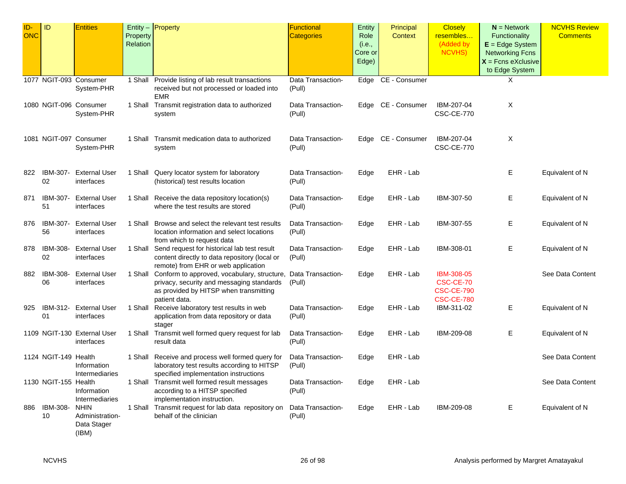| ID-<br><b>ONC</b> | ID                     | <b>Entities</b>                                        | Property | Entity $-$ <b>Property</b>                                                                                                                                                    | Functional<br><b>Categories</b> | Entity<br>Role   | Principal<br>Context | <b>Closely</b><br>resembles                                              | $N =$ Network<br>Functionality                 | <b>NCVHS Review</b><br><b>Comments</b> |
|-------------------|------------------------|--------------------------------------------------------|----------|-------------------------------------------------------------------------------------------------------------------------------------------------------------------------------|---------------------------------|------------------|----------------------|--------------------------------------------------------------------------|------------------------------------------------|----------------------------------------|
|                   |                        |                                                        | Relation |                                                                                                                                                                               |                                 | (i.e.,           |                      | (Added by                                                                | $E = Edge System$                              |                                        |
|                   |                        |                                                        |          |                                                                                                                                                                               |                                 | Core or<br>Edge) |                      | <b>NCVHS)</b>                                                            | <b>Networking Fcns</b><br>$X =$ Fcns eXclusive |                                        |
|                   |                        |                                                        |          |                                                                                                                                                                               |                                 |                  |                      |                                                                          | to Edge System                                 |                                        |
|                   |                        | 1077 NGIT-093 Consumer<br>System-PHR                   |          | 1 Shall Provide listing of lab result transactions<br>received but not processed or loaded into<br><b>EMR</b>                                                                 | Data Transaction-<br>(Pull)     |                  | Edge CE - Consumer   |                                                                          | Χ                                              |                                        |
|                   | 1080 NGIT-096 Consumer | System-PHR                                             |          | 1 Shall Transmit registration data to authorized<br>system                                                                                                                    | Data Transaction-<br>(Pull)     |                  | Edge CE - Consumer   | IBM-207-04<br><b>CSC-CE-770</b>                                          | X                                              |                                        |
|                   |                        | 1081 NGIT-097 Consumer<br>System-PHR                   |          | 1 Shall Transmit medication data to authorized<br>system                                                                                                                      | Data Transaction-<br>(Pull)     |                  | Edge CE - Consumer   | IBM-207-04<br><b>CSC-CE-770</b>                                          | Χ                                              |                                        |
| 822               | IBM-307-<br>02         | <b>External User</b><br>interfaces                     |          | 1 Shall Query locator system for laboratory<br>(historical) test results location                                                                                             | Data Transaction-<br>(Pull)     | Edge             | EHR - Lab            |                                                                          | E.                                             | Equivalent of N                        |
| 871               | IBM-307-<br>51         | <b>External User</b><br>interfaces                     |          | 1 Shall Receive the data repository location(s)<br>where the test results are stored                                                                                          | Data Transaction-<br>(Pull)     | Edge             | EHR - Lab            | IBM-307-50                                                               | Е                                              | Equivalent of N                        |
| 876               | IBM-307-<br>56         | External User<br>interfaces                            |          | 1 Shall Browse and select the relevant test results<br>location information and select locations<br>from which to request data                                                | Data Transaction-<br>(Pull)     | Edge             | EHR - Lab            | IBM-307-55                                                               | E.                                             | Equivalent of N                        |
| 878               | IBM-308-<br>02         | <b>External User</b><br>interfaces                     |          | 1 Shall Send request for historical lab test result<br>content directly to data repository (local or<br>remote) from EHR or web application                                   | Data Transaction-<br>(Pull)     | Edge             | EHR - Lab            | IBM-308-01                                                               | E.                                             | Equivalent of N                        |
| 882               | IBM-308-<br>06         | <b>External User</b><br>interfaces                     |          | 1 Shall Conform to approved, vocabulary, structure, Data Transaction-<br>privacy, security and messaging standards<br>as provided by HITSP when transmitting<br>patient data. | (Pull)                          | Edge             | EHR - Lab            | <b>IBM-308-05</b><br>CSC-CE-70<br><b>CSC-CE-790</b><br><b>CSC-CE-780</b> |                                                | See Data Content                       |
| 925               | IBM-312-<br>01         | <b>External User</b><br>interfaces                     |          | 1 Shall Receive laboratory test results in web<br>application from data repository or data<br>stager                                                                          | Data Transaction-<br>(Pull)     | Edge             | EHR - Lab            | IBM-311-02                                                               | E.                                             | Equivalent of N                        |
|                   |                        | 1109 NGIT-130 External User<br>interfaces              |          | 1 Shall Transmit well formed query request for lab<br>result data                                                                                                             | Data Transaction-<br>(Pull)     | Edge             | EHR - Lab            | IBM-209-08                                                               | Е                                              | Equivalent of N                        |
|                   | 1124 NGIT-149 Health   | Information<br>Intermediaries                          |          | 1 Shall Receive and process well formed query for<br>laboratory test results according to HITSP<br>specified implementation instructions                                      | Data Transaction-<br>(Pull)     | Edge             | EHR - Lab            |                                                                          |                                                | See Data Content                       |
|                   | 1130 NGIT-155 Health   | Information<br>Intermediaries                          |          | 1 Shall Transmit well formed result messages<br>according to a HITSP specified<br>implementation instruction.                                                                 | Data Transaction-<br>(Pull)     | Edge             | EHR - Lab            |                                                                          |                                                | See Data Content                       |
| 886               | IBM-308-<br>10         | <b>NHIN</b><br>Administration-<br>Data Stager<br>(IBM) |          | 1 Shall Transmit request for lab data repository on<br>behalf of the clinician                                                                                                | Data Transaction-<br>(Pull)     | Edge             | EHR - Lab            | IBM-209-08                                                               | Е.                                             | Equivalent of N                        |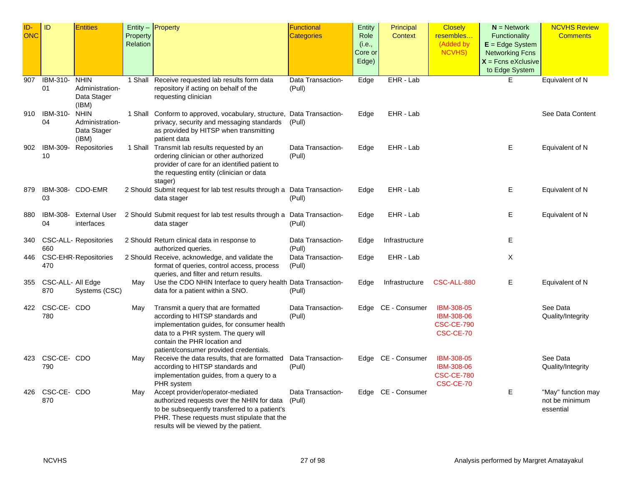| ID-        | ID                | <b>Entities</b>              |          | Entity - Property                                                        | Functional        | <b>Entity</b> | Principal          | <b>Closely</b>                  | $N =$ Network          | <b>NCVHS Review</b> |
|------------|-------------------|------------------------------|----------|--------------------------------------------------------------------------|-------------------|---------------|--------------------|---------------------------------|------------------------|---------------------|
| <b>ONC</b> |                   |                              | Property |                                                                          | <b>Categories</b> | Role          | Context            | resembles                       | Functionality          | <b>Comments</b>     |
|            |                   |                              | Relation |                                                                          |                   | (i.e.,        |                    | (Added by                       | $E = Edge System$      |                     |
|            |                   |                              |          |                                                                          |                   | Core or       |                    | NCVHS)                          | <b>Networking Fcns</b> |                     |
|            |                   |                              |          |                                                                          |                   | Edge)         |                    |                                 | $X =$ Fcns eXclusive   |                     |
|            |                   |                              |          |                                                                          |                   |               |                    |                                 | to Edge System         |                     |
| 907        | IBM-310-          | <b>NHIN</b>                  | 1 Shall  | Receive requested lab results form data                                  | Data Transaction- | Edge          | EHR - Lab          |                                 | E                      | Equivalent of N     |
|            | 01                | Administration-              |          | repository if acting on behalf of the                                    | (Pull)            |               |                    |                                 |                        |                     |
|            |                   | Data Stager                  |          | requesting clinician                                                     |                   |               |                    |                                 |                        |                     |
|            |                   | (IBM)                        |          |                                                                          |                   |               |                    |                                 |                        |                     |
| 910        | IBM-310-          | <b>NHIN</b>                  |          | 1 Shall Conform to approved, vocabulary, structure,                      | Data Transaction- | Edge          | EHR - Lab          |                                 |                        | See Data Content    |
|            | 04                | Administration-              |          | privacy, security and messaging standards                                | (Pull)            |               |                    |                                 |                        |                     |
|            |                   | Data Stager                  |          | as provided by HITSP when transmitting                                   |                   |               |                    |                                 |                        |                     |
|            |                   | (IBM)                        |          | patient data                                                             |                   |               |                    |                                 |                        |                     |
| 902        | IBM-309-          | Repositories                 |          | 1 Shall Transmit lab results requested by an                             | Data Transaction- | Edge          | EHR - Lab          |                                 | Е                      | Equivalent of N     |
|            | 10                |                              |          | ordering clinician or other authorized                                   | (Pull)            |               |                    |                                 |                        |                     |
|            |                   |                              |          | provider of care for an identified patient to                            |                   |               |                    |                                 |                        |                     |
|            |                   |                              |          | the requesting entity (clinician or data                                 |                   |               |                    |                                 |                        |                     |
|            |                   |                              |          | stager)                                                                  |                   |               |                    |                                 |                        |                     |
| 879        |                   | IBM-308- CDO-EMR             |          | 2 Should Submit request for lab test results through a Data Transaction- |                   | Edge          | EHR - Lab          |                                 | Е                      | Equivalent of N     |
|            | 03                |                              |          | data stager                                                              | (Pull)            |               |                    |                                 |                        |                     |
| 880        | IBM-308-          | <b>External User</b>         |          | 2 Should Submit request for lab test results through a Data Transaction- |                   | Edge          | EHR - Lab          |                                 | Е                      | Equivalent of N     |
|            | 04                | interfaces                   |          | data stager                                                              | (Pull)            |               |                    |                                 |                        |                     |
|            |                   |                              |          |                                                                          |                   |               |                    |                                 |                        |                     |
| 340        |                   | <b>CSC-ALL-</b> Repositories |          | 2 Should Return clinical data in response to                             | Data Transaction- | Edge          | Infrastructure     |                                 | Е                      |                     |
|            | 660               |                              |          | authorized queries.                                                      | (Pull)            |               |                    |                                 |                        |                     |
| 446        |                   | <b>CSC-EHR-Repositories</b>  |          | 2 Should Receive, acknowledge, and validate the                          | Data Transaction- | Edge          | EHR - Lab          |                                 | X                      |                     |
|            | 470               |                              |          | format of queries, control access, process                               | (Pull)            |               |                    |                                 |                        |                     |
|            |                   |                              |          | queries, and filter and return results.                                  |                   |               |                    |                                 |                        |                     |
| 355        | CSC-ALL- All Edge |                              | May      | Use the CDO NHIN Interface to query health Data Transaction-             |                   | Edge          | Infrastructure     | CSC-ALL-880                     | Е                      | Equivalent of N     |
|            | 870               | Systems (CSC)                |          | data for a patient within a SNO.                                         | (Pull)            |               |                    |                                 |                        |                     |
|            |                   |                              |          |                                                                          |                   |               |                    |                                 |                        |                     |
| 422        | CSC-CE- CDO       |                              | May      | Transmit a query that are formatted                                      | Data Transaction- | Edge          | CE - Consumer      | IBM-308-05                      |                        | See Data            |
|            | 780               |                              |          | according to HITSP standards and                                         | (Pull)            |               |                    | IBM-308-06                      |                        | Quality/Integrity   |
|            |                   |                              |          | implementation guides, for consumer health                               |                   |               |                    | <b>CSC-CE-790</b>               |                        |                     |
|            |                   |                              |          | data to a PHR system. The query will                                     |                   |               |                    | CSC-CE-70                       |                        |                     |
|            |                   |                              |          | contain the PHR location and                                             |                   |               |                    |                                 |                        |                     |
|            |                   |                              |          | patient/consumer provided credentials.                                   |                   |               |                    |                                 |                        |                     |
| 423        | CSC-CE- CDO       |                              | May      | Receive the data results, that are formatted                             | Data Transaction- |               | Edge CE - Consumer | IBM-308-05<br><b>IBM-308-06</b> |                        | See Data            |
|            | 790               |                              |          | according to HITSP standards and                                         | (Pull)            |               |                    |                                 |                        | Quality/Integrity   |
|            |                   |                              |          | implementation guides, from a query to a<br>PHR system                   |                   |               |                    | <b>CSC-CE-780</b><br>CSC-CE-70  |                        |                     |
| 426        | CSC-CE- CDO       |                              | May      | Accept provider/operator-mediated                                        | Data Transaction- | Edge          | CE - Consumer      |                                 | Е                      | "May" function may  |
|            | 870               |                              |          | authorized requests over the NHIN for data                               | (Pull)            |               |                    |                                 |                        | not be minimum      |
|            |                   |                              |          | to be subsequently transferred to a patient's                            |                   |               |                    |                                 |                        | essential           |
|            |                   |                              |          | PHR. These requests must stipulate that the                              |                   |               |                    |                                 |                        |                     |
|            |                   |                              |          | results will be viewed by the patient.                                   |                   |               |                    |                                 |                        |                     |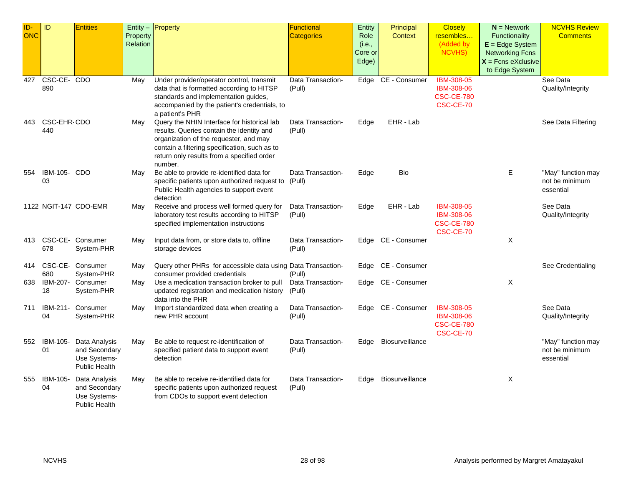| $ID-$<br><b>ONC</b> | ID                      | <b>Entities</b>                                                        | Property<br>Relation | $Entity -$ Property                                                                                                                                                                                                                          | Functional<br><b>Categories</b> | Entity<br>Role<br>(i.e.,<br>Core or<br>Edge) | Principal<br><b>Context</b> | <b>Closely</b><br>resembles<br>(Added by<br><b>NCVHS)</b>                       | $N =$ Network<br>Functionality<br>$E = Edge System$<br><b>Networking Fcns</b><br>$X$ = Fcns eXclusive<br>to Edge System | <b>NCVHS Review</b><br><b>Comments</b>            |
|---------------------|-------------------------|------------------------------------------------------------------------|----------------------|----------------------------------------------------------------------------------------------------------------------------------------------------------------------------------------------------------------------------------------------|---------------------------------|----------------------------------------------|-----------------------------|---------------------------------------------------------------------------------|-------------------------------------------------------------------------------------------------------------------------|---------------------------------------------------|
| 427                 | CSC-CE-CDO<br>890       |                                                                        | May                  | Under provider/operator control, transmit<br>data that is formatted according to HITSP<br>standards and implementation guides,<br>accompanied by the patient's credentials, to<br>a patient's PHR                                            | Data Transaction-<br>(Pull)     |                                              | Edge CE - Consumer          | <b>IBM-308-05</b><br><b>IBM-308-06</b><br><b>CSC-CE-780</b><br><b>CSC-CE-70</b> |                                                                                                                         | See Data<br>Quality/Integrity                     |
| 443                 | CSC-EHR-CDO<br>440      |                                                                        | May                  | Query the NHIN Interface for historical lab<br>results. Queries contain the identity and<br>organization of the requester, and may<br>contain a filtering specification, such as to<br>return only results from a specified order<br>number. | Data Transaction-<br>(Pull)     | Edge                                         | EHR - Lab                   |                                                                                 |                                                                                                                         | See Data Filtering                                |
| 554                 | IBM-105- CDO<br>03      |                                                                        | May                  | Be able to provide re-identified data for<br>specific patients upon authorized request to (Pull)<br>Public Health agencies to support event<br>detection                                                                                     | Data Transaction-               | Edge                                         | Bio                         |                                                                                 | Е                                                                                                                       | "May" function may<br>not be minimum<br>essential |
|                     |                         | 1122 NGIT-147 CDO-EMR                                                  | May                  | Receive and process well formed query for<br>laboratory test results according to HITSP<br>specified implementation instructions                                                                                                             | Data Transaction-<br>(Pull)     | Edge                                         | EHR - Lab                   | IBM-308-05<br>IBM-308-06<br><b>CSC-CE-780</b><br>CSC-CE-70                      |                                                                                                                         | See Data<br>Quality/Integrity                     |
|                     | 678                     | 413 CSC-CE- Consumer<br>System-PHR                                     | May                  | Input data from, or store data to, offline<br>storage devices                                                                                                                                                                                | Data Transaction-<br>(Pull)     |                                              | Edge CE - Consumer          |                                                                                 | X                                                                                                                       |                                                   |
| 414                 | CSC-CE- Consumer<br>680 | System-PHR                                                             | May                  | Query other PHRs for accessible data using Data Transaction-<br>consumer provided credentials                                                                                                                                                | (Pull)                          |                                              | Edge CE - Consumer          |                                                                                 |                                                                                                                         | See Credentialing                                 |
| 638                 | 18                      | IBM-207- Consumer<br>System-PHR                                        | May                  | Use a medication transaction broker to pull<br>updated registration and medication history<br>data into the PHR                                                                                                                              | Data Transaction-<br>(Pull)     |                                              | Edge CE - Consumer          |                                                                                 | X                                                                                                                       |                                                   |
| 711                 | IBM-211-<br>04          | Consumer<br>System-PHR                                                 | May                  | Import standardized data when creating a<br>new PHR account                                                                                                                                                                                  | Data Transaction-<br>(Pull)     |                                              | Edge CE - Consumer          | IBM-308-05<br>IBM-308-06<br><b>CSC-CE-780</b><br><b>CSC-CE-70</b>               |                                                                                                                         | See Data<br>Quality/Integrity                     |
| 552                 | IBM-105-<br>01          | Data Analysis<br>and Secondary<br>Use Systems-<br><b>Public Health</b> | May                  | Be able to request re-identification of<br>specified patient data to support event<br>detection                                                                                                                                              | Data Transaction-<br>(Pull)     | Edge                                         | Biosurveillance             |                                                                                 |                                                                                                                         | "May" function may<br>not be minimum<br>essential |
| 555                 | IBM-105-<br>04          | Data Analysis<br>and Secondary<br>Use Systems-<br><b>Public Health</b> | Mav                  | Be able to receive re-identified data for<br>specific patients upon authorized request<br>from CDOs to support event detection                                                                                                               | Data Transaction-<br>(Pull)     | Edge                                         | Biosurveillance             |                                                                                 | X                                                                                                                       |                                                   |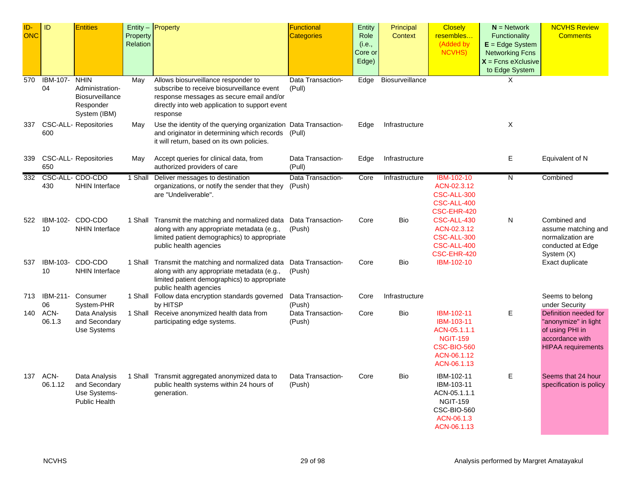| ID-<br><b>ONC</b> | ID              | <b>Entities</b>                                                                       | Property<br>Relation | Entity - Property                                                                                                                                                                           | <b>Functional</b><br><b>Categories</b> | Entity<br>Role<br>(i.e.,<br>Core or<br>Edge) | Principal<br><b>Context</b> | <b>Closely</b><br>resembles<br>(Added by<br><b>NCVHS)</b>                                                       | $N =$ Network<br><b>Functionality</b><br>$E = Edge System$<br><b>Networking Fcns</b><br>$X =$ Fcns eXclusive<br>to Edge System | <b>NCVHS Review</b><br><b>Comments</b>                                                                           |
|-------------------|-----------------|---------------------------------------------------------------------------------------|----------------------|---------------------------------------------------------------------------------------------------------------------------------------------------------------------------------------------|----------------------------------------|----------------------------------------------|-----------------------------|-----------------------------------------------------------------------------------------------------------------|--------------------------------------------------------------------------------------------------------------------------------|------------------------------------------------------------------------------------------------------------------|
| 570               | IBM-107-<br>04  | <b>NHIN</b><br>Administration-<br><b>Biosurveillance</b><br>Responder<br>System (IBM) | May                  | Allows biosurveillance responder to<br>subscribe to receive biosurveillance event<br>response messages as secure email and/or<br>directly into web application to support event<br>response | Data Transaction-<br>(Pull)            | Edge                                         | Biosurveillance             |                                                                                                                 | X                                                                                                                              |                                                                                                                  |
| 337               | 600             | <b>CSC-ALL- Repositories</b>                                                          | May                  | Use the identity of the querying organization Data Transaction-<br>and originator in determining which records (Pull)<br>it will return, based on its own policies.                         |                                        | Edge                                         | Infrastructure              |                                                                                                                 | X                                                                                                                              |                                                                                                                  |
| 339               | 650             | <b>CSC-ALL- Repositories</b>                                                          | May                  | Accept queries for clinical data, from<br>authorized providers of care                                                                                                                      | Data Transaction-<br>(Pull)            | Edge                                         | Infrastructure              |                                                                                                                 | E                                                                                                                              | Equivalent of N                                                                                                  |
| 332               | 430             | CSC-ALL- CDO-CDO<br><b>NHIN Interface</b>                                             | 1 Shall              | Deliver messages to destination<br>organizations, or notify the sender that they<br>are "Undeliverable".                                                                                    | Data Transaction-<br>(Push)            | Core                                         | Infrastructure              | IBM-102-10<br>ACN-02.3.12<br><b>CSC-ALL-300</b><br>CSC-ALL-400<br>CSC-EHR-420                                   | N                                                                                                                              | Combined                                                                                                         |
| 522               | 10              | IBM-102- CDO-CDO<br><b>NHIN Interface</b>                                             |                      | 1 Shall Transmit the matching and normalized data Data Transaction-<br>along with any appropriate metadata (e.g.,<br>limited patient demographics) to appropriate<br>public health agencies | (Push)                                 | Core                                         | <b>Bio</b>                  | CSC-ALL-430<br>ACN-02.3.12<br>CSC-ALL-300<br>CSC-ALL-400<br>CSC-EHR-420                                         | N                                                                                                                              | Combined and<br>assume matching and<br>normalization are<br>conducted at Edge<br>System (X)                      |
| 537               | IBM-103-<br>10  | CDO-CDO<br><b>NHIN Interface</b>                                                      |                      | 1 Shall Transmit the matching and normalized data Data Transaction-<br>along with any appropriate metadata (e.g.,<br>limited patient demographics) to appropriate<br>public health agencies | (Push)                                 | Core                                         | Bio                         | IBM-102-10                                                                                                      |                                                                                                                                | Exact duplicate                                                                                                  |
| 713               | IBM-211-<br>06  | Consumer<br>System-PHR                                                                |                      | 1 Shall Follow data encryption standards governed<br>by HITSP                                                                                                                               | Data Transaction-<br>(Push)            | Core                                         | Infrastructure              |                                                                                                                 |                                                                                                                                | Seems to belong<br>under Security                                                                                |
| 140               | ACN-<br>06.1.3  | Data Analysis<br>and Secondary<br>Use Systems                                         |                      | 1 Shall Receive anonymized health data from<br>participating edge systems.                                                                                                                  | Data Transaction-<br>(Push)            | Core                                         | Bio                         | IBM-102-11<br>IBM-103-11<br>ACN-05.1.1.1<br><b>NGIT-159</b><br><b>CSC-BIO-560</b><br>ACN-06.1.12<br>ACN-06.1.13 | E                                                                                                                              | Definition needed for<br>"anonymize" in light<br>of using PHI in<br>accordance with<br><b>HIPAA</b> requirements |
| 137               | ACN-<br>06.1.12 | Data Analysis<br>and Secondary<br>Use Systems-<br><b>Public Health</b>                |                      | 1 Shall Transmit aggregated anonymized data to<br>public health systems within 24 hours of<br>generation.                                                                                   | Data Transaction-<br>(Push)            | Core                                         | Bio                         | IBM-102-11<br>IBM-103-11<br>ACN-05.1.1.1<br><b>NGIT-159</b><br>CSC-BIO-560<br>ACN-06.1.3<br>ACN-06.1.13         | E                                                                                                                              | Seems that 24 hour<br>specification is policy                                                                    |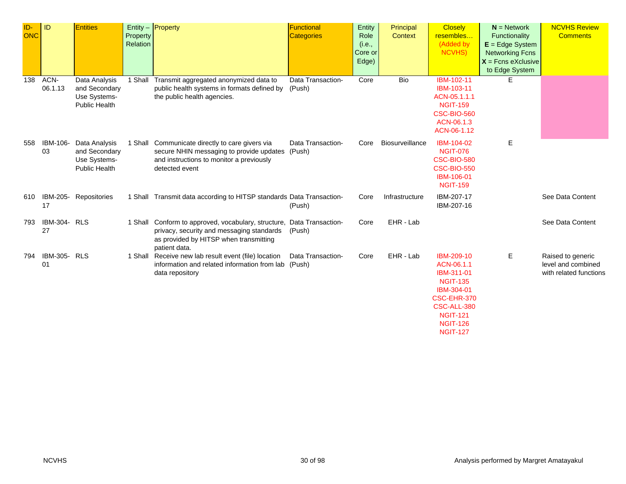| ID-<br><b>ONC</b> | ID                 | <b>Entities</b>                                                        | Property<br>Relation | Entity - Property                                                                                                                                                             | Functional<br>Categories    | Entity<br>Role<br>(i.e.,<br>Core or<br>Edge) | Principal<br><b>Context</b> | <b>Closely</b><br>resembles<br>(Added by<br>NCVHS)                                                                                                             | $N =$ Network<br>Functionality<br>$E = Edge System$<br><b>Networking Fcns</b><br>$X =$ Fcns eXclusive<br>to Edge System | <b>NCVHS Review</b><br><b>Comments</b>                            |
|-------------------|--------------------|------------------------------------------------------------------------|----------------------|-------------------------------------------------------------------------------------------------------------------------------------------------------------------------------|-----------------------------|----------------------------------------------|-----------------------------|----------------------------------------------------------------------------------------------------------------------------------------------------------------|-------------------------------------------------------------------------------------------------------------------------|-------------------------------------------------------------------|
| 138               | ACN-<br>06.1.13    | Data Analysis<br>and Secondary<br>Use Systems-<br><b>Public Health</b> | 1 Shall              | Transmit aggregated anonymized data to<br>public health systems in formats defined by<br>the public health agencies.                                                          | Data Transaction-<br>(Push) | Core                                         | <b>Bio</b>                  | IBM-102-11<br>IBM-103-11<br>ACN-05.1.1.1<br><b>NGIT-159</b><br><b>CSC-BIO-560</b><br>ACN-06.1.3<br>ACN-06-1.12                                                 | E.                                                                                                                      |                                                                   |
| 558               | IBM-106-<br>03     | Data Analysis<br>and Secondary<br>Use Systems-<br><b>Public Health</b> |                      | 1 Shall Communicate directly to care givers via<br>secure NHIN messaging to provide updates (Push)<br>and instructions to monitor a previously<br>detected event              | Data Transaction-           | Core                                         | Biosurveillance             | IBM-104-02<br><b>NGIT-076</b><br><b>CSC-BIO-580</b><br><b>CSC-BIO-550</b><br>IBM-106-01<br><b>NGIT-159</b>                                                     | Е                                                                                                                       |                                                                   |
| 610               | 17                 | IBM-205- Repositories                                                  |                      | 1 Shall Transmit data according to HITSP standards Data Transaction-                                                                                                          | (Push)                      | Core                                         | Infrastructure              | IBM-207-17<br>IBM-207-16                                                                                                                                       |                                                                                                                         | See Data Content                                                  |
| 793               | IBM-304- RLS<br>27 |                                                                        |                      | 1 Shall Conform to approved, vocabulary, structure, Data Transaction-<br>privacy, security and messaging standards<br>as provided by HITSP when transmitting<br>patient data. | (Push)                      | Core                                         | EHR - Lab                   |                                                                                                                                                                |                                                                                                                         | See Data Content                                                  |
| 794               | IBM-305- RLS<br>01 |                                                                        |                      | 1 Shall Receive new lab result event (file) location<br>information and related information from lab (Push)<br>data repository                                                | Data Transaction-           | Core                                         | EHR - Lab                   | IBM-209-10<br>ACN-06.1.1<br>IBM-311-01<br><b>NGIT-135</b><br>IBM-304-01<br>CSC-EHR-370<br>CSC-ALL-380<br><b>NGIT-121</b><br><b>NGIT-126</b><br><b>NGIT-127</b> | E                                                                                                                       | Raised to generic<br>level and combined<br>with related functions |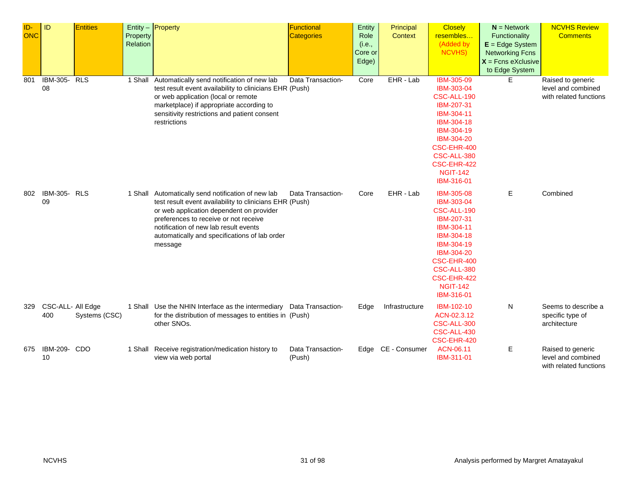| ID-<br><b>ONC</b> | <b>ID</b>                | <b>Entities</b> | Property<br>Relation | Entity $-$ Property                                                                                                                                                                                                                                                                                     | <b>Functional</b><br><b>Categories</b> | Entity<br>Role<br>(i.e.,<br>Core or<br>Edge) | Principal<br>Context | <b>Closely</b><br>resembles<br>(Added by<br><b>NCVHS)</b>                                                                                                                                          | $N =$ Network<br>Functionality<br>$E = Edge System$<br><b>Networking Fcns</b><br>$X =$ Fcns eXclusive<br>to Edge System | <b>NCVHS Review</b><br><b>Comments</b>                            |
|-------------------|--------------------------|-----------------|----------------------|---------------------------------------------------------------------------------------------------------------------------------------------------------------------------------------------------------------------------------------------------------------------------------------------------------|----------------------------------------|----------------------------------------------|----------------------|----------------------------------------------------------------------------------------------------------------------------------------------------------------------------------------------------|-------------------------------------------------------------------------------------------------------------------------|-------------------------------------------------------------------|
| 801               | IBM-305-<br>08           | RLS             | 1 Shall              | Automatically send notification of new lab<br>test result event availability to clinicians EHR (Push)<br>or web application (local or remote<br>marketplace) if appropriate according to<br>sensitivity restrictions and patient consent<br>restrictions                                                | Data Transaction-                      | Core                                         | EHR - Lab            | <b>IBM-305-09</b><br>IBM-303-04<br>CSC-ALL-190<br>IBM-207-31<br>IBM-304-11<br>IBM-304-18<br>IBM-304-19<br>IBM-304-20<br>CSC-EHR-400<br>CSC-ALL-380<br>CSC-EHR-422<br><b>NGIT-142</b><br>IBM-316-01 | E                                                                                                                       | Raised to generic<br>level and combined<br>with related functions |
| 802               | IBM-305- RLS<br>09       |                 |                      | 1 Shall Automatically send notification of new lab<br>test result event availability to clinicians EHR (Push)<br>or web application dependent on provider<br>preferences to receive or not receive<br>notification of new lab result events<br>automatically and specifications of lab order<br>message | Data Transaction-                      | Core                                         | EHR - Lab            | IBM-305-08<br>IBM-303-04<br>CSC-ALL-190<br>IBM-207-31<br>IBM-304-11<br>IBM-304-18<br>IBM-304-19<br>IBM-304-20<br>CSC-EHR-400<br>CSC-ALL-380<br>CSC-EHR-422<br><b>NGIT-142</b><br>IBM-316-01        | Е                                                                                                                       | Combined                                                          |
| 329               | CSC-ALL- All Edge<br>400 | Systems (CSC)   |                      | 1 Shall Use the NHIN Interface as the intermediary Data Transaction-<br>for the distribution of messages to entities in (Push)<br>other SNOs.                                                                                                                                                           |                                        | Edge                                         | Infrastructure       | IBM-102-10<br>ACN-02.3.12<br>CSC-ALL-300<br>CSC-ALL-430<br>CSC-EHR-420                                                                                                                             | N                                                                                                                       | Seems to describe a<br>specific type of<br>architecture           |
| 675               | IBM-209- CDO<br>10       |                 |                      | 1 Shall Receive registration/medication history to<br>view via web portal                                                                                                                                                                                                                               | Data Transaction-<br>(Push)            |                                              | Edge CE - Consumer   | ACN-06.11<br>IBM-311-01                                                                                                                                                                            | Е                                                                                                                       | Raised to generic<br>level and combined<br>with related functions |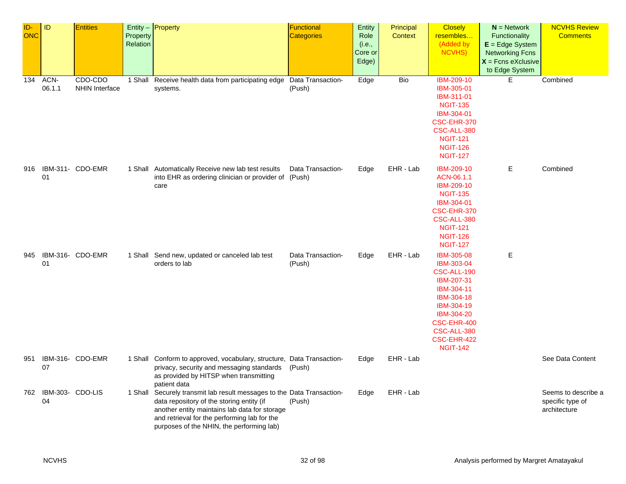| ID-<br>ONC | ID                     | <b>Entities</b>                  | Property<br>Relation | Entity - Property                                                                                                                                                                                                                                                 | Functional<br>Categories    | Entity<br>Role<br>(i.e.,<br>Core or<br>Edge) | Principal<br>Context | <b>Closely</b><br>resembles<br>(Added by<br>NCVHS)                                                                                                                                   | $N =$ Network<br>Functionality<br>$E = Edge System$<br><b>Networking Fcns</b><br>$X =$ Fcns eXclusive<br>to Edge System | <b>NCVHS Review</b><br><b>Comments</b>                  |
|------------|------------------------|----------------------------------|----------------------|-------------------------------------------------------------------------------------------------------------------------------------------------------------------------------------------------------------------------------------------------------------------|-----------------------------|----------------------------------------------|----------------------|--------------------------------------------------------------------------------------------------------------------------------------------------------------------------------------|-------------------------------------------------------------------------------------------------------------------------|---------------------------------------------------------|
| 134        | ACN-<br>06.1.1         | CDO-CDO<br><b>NHIN Interface</b> |                      | 1 Shall Receive health data from participating edge<br>systems.                                                                                                                                                                                                   | Data Transaction-<br>(Push) | Edge                                         | Bio                  | <b>IBM-209-10</b><br>IBM-305-01<br>IBM-311-01<br><b>NGIT-135</b><br>IBM-304-01<br>CSC-EHR-370<br>CSC-ALL-380<br><b>NGIT-121</b><br><b>NGIT-126</b><br><b>NGIT-127</b>                | E.                                                                                                                      | Combined                                                |
| 916        | 01                     | IBM-311- CDO-EMR                 |                      | 1 Shall Automatically Receive new lab test results<br>into EHR as ordering clinician or provider of (Push)<br>care                                                                                                                                                | Data Transaction-           | Edge                                         | EHR - Lab            | IBM-209-10<br>ACN-06.1.1<br><b>IBM-209-10</b><br><b>NGIT-135</b><br>IBM-304-01<br>CSC-EHR-370<br>CSC-ALL-380<br><b>NGIT-121</b><br><b>NGIT-126</b><br><b>NGIT-127</b>                | Е                                                                                                                       | Combined                                                |
| 945        | 01                     | IBM-316- CDO-EMR                 |                      | 1 Shall Send new, updated or canceled lab test<br>orders to lab                                                                                                                                                                                                   | Data Transaction-<br>(Push) | Edge                                         | EHR - Lab            | <b>IBM-305-08</b><br>IBM-303-04<br>CSC-ALL-190<br>IBM-207-31<br>IBM-304-11<br>IBM-304-18<br>IBM-304-19<br>IBM-304-20<br>CSC-EHR-400<br>CSC-ALL-380<br>CSC-EHR-422<br><b>NGIT-142</b> | Е                                                                                                                       |                                                         |
| 951        | 07                     | IBM-316- CDO-EMR                 |                      | 1 Shall Conform to approved, vocabulary, structure, Data Transaction-<br>privacy, security and messaging standards<br>as provided by HITSP when transmitting<br>patient data                                                                                      | (Push)                      | Edge                                         | EHR - Lab            |                                                                                                                                                                                      |                                                                                                                         | See Data Content                                        |
| 762        | IBM-303- CDO-LIS<br>04 |                                  |                      | 1 Shall Securely transmit lab result messages to the Data Transaction-<br>data repository of the storing entity (if<br>another entity maintains lab data for storage<br>and retrieval for the performing lab for the<br>purposes of the NHIN, the performing lab) | (Push)                      | Edge                                         | EHR - Lab            |                                                                                                                                                                                      |                                                                                                                         | Seems to describe a<br>specific type of<br>architecture |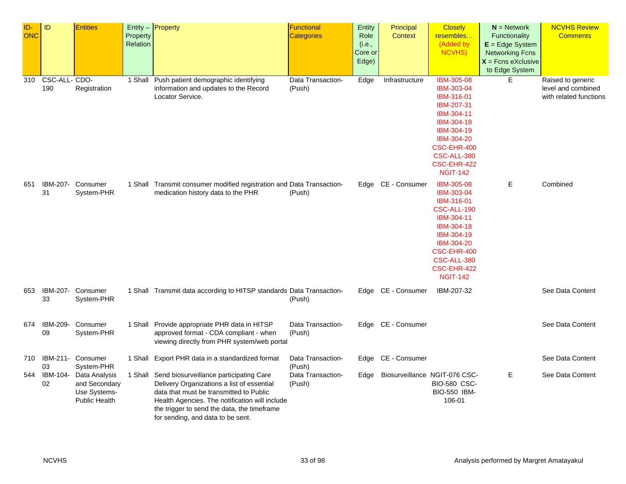| ID-        | ID             | <b>Entities</b>      |                 | Entity $-$ Property                                                                     | Functional        | Entity  | Principal                     | <b>Closely</b>            | $N =$ Network          | <b>NCVHS Review</b>    |
|------------|----------------|----------------------|-----------------|-----------------------------------------------------------------------------------------|-------------------|---------|-------------------------------|---------------------------|------------------------|------------------------|
| <b>ONC</b> |                |                      | Property        |                                                                                         | Categories        | Role    | <b>Context</b>                | resembles                 | <b>Functionality</b>   | <b>Comments</b>        |
|            |                |                      | <b>Relation</b> |                                                                                         |                   | (i.e.,  |                               | (Added by                 | $E = Edge System$      |                        |
|            |                |                      |                 |                                                                                         |                   | Core or |                               | NCVHS)                    | <b>Networking Fcns</b> |                        |
|            |                |                      |                 |                                                                                         |                   | Edge)   |                               |                           | $X =$ Fcns eXclusive   |                        |
|            |                |                      |                 |                                                                                         |                   |         |                               |                           | to Edge System         |                        |
| 310        | CSC-ALL-CDO-   |                      |                 | 1 Shall Push patient demographic identifying                                            | Data Transaction- | Edge    | Infrastructure                | <b>IBM-305-08</b>         | Е                      | Raised to generic      |
|            | 190            | Registration         |                 | information and updates to the Record                                                   | (Push)            |         |                               | IBM-303-04                |                        | level and combined     |
|            |                |                      |                 | Locator Service.                                                                        |                   |         |                               | IBM-316-01                |                        | with related functions |
|            |                |                      |                 |                                                                                         |                   |         |                               | IBM-207-31                |                        |                        |
|            |                |                      |                 |                                                                                         |                   |         |                               | IBM-304-11                |                        |                        |
|            |                |                      |                 |                                                                                         |                   |         |                               | IBM-304-18                |                        |                        |
|            |                |                      |                 |                                                                                         |                   |         |                               | IBM-304-19<br>IBM-304-20  |                        |                        |
|            |                |                      |                 |                                                                                         |                   |         |                               | CSC-EHR-400               |                        |                        |
|            |                |                      |                 |                                                                                         |                   |         |                               | CSC-ALL-380               |                        |                        |
|            |                |                      |                 |                                                                                         |                   |         |                               | CSC-EHR-422               |                        |                        |
|            |                |                      |                 |                                                                                         |                   |         |                               | <b>NGIT-142</b>           |                        |                        |
| 651        | IBM-207-       | Consumer             |                 | 1 Shall Transmit consumer modified registration and Data Transaction-                   |                   |         | Edge CE - Consumer            | <b>IBM-305-08</b>         | Е                      | Combined               |
|            | 31             | System-PHR           |                 | medication history data to the PHR                                                      | (Push)            |         |                               | IBM-303-04                |                        |                        |
|            |                |                      |                 |                                                                                         |                   |         |                               | IBM-316-01                |                        |                        |
|            |                |                      |                 |                                                                                         |                   |         |                               | CSC-ALL-190               |                        |                        |
|            |                |                      |                 |                                                                                         |                   |         |                               | IBM-304-11                |                        |                        |
|            |                |                      |                 |                                                                                         |                   |         |                               | IBM-304-18                |                        |                        |
|            |                |                      |                 |                                                                                         |                   |         |                               | IBM-304-19                |                        |                        |
|            |                |                      |                 |                                                                                         |                   |         |                               | IBM-304-20<br>CSC-EHR-400 |                        |                        |
|            |                |                      |                 |                                                                                         |                   |         |                               | CSC-ALL-380               |                        |                        |
|            |                |                      |                 |                                                                                         |                   |         |                               | CSC-EHR-422               |                        |                        |
|            |                |                      |                 |                                                                                         |                   |         |                               | <b>NGIT-142</b>           |                        |                        |
| 653        |                | IBM-207- Consumer    |                 | 1 Shall Transmit data according to HITSP standards Data Transaction-                    |                   |         | Edge CE - Consumer            | IBM-207-32                |                        | See Data Content       |
|            | 33             | System-PHR           |                 |                                                                                         | (Push)            |         |                               |                           |                        |                        |
|            |                |                      |                 |                                                                                         |                   |         |                               |                           |                        |                        |
|            |                |                      |                 |                                                                                         |                   |         |                               |                           |                        |                        |
| 674        | IBM-209-<br>09 | Consumer             |                 | 1 Shall Provide appropriate PHR data in HITSP<br>approved format - CDA compliant - when | Data Transaction- |         | Edge CE - Consumer            |                           |                        | See Data Content       |
|            |                | System-PHR           |                 | viewing directly from PHR system/web portal                                             | (Push)            |         |                               |                           |                        |                        |
|            |                |                      |                 |                                                                                         |                   |         |                               |                           |                        |                        |
| 710        |                | IBM-211- Consumer    |                 | 1 Shall Export PHR data in a standardized format                                        | Data Transaction- |         | Edge CE - Consumer            |                           |                        | See Data Content       |
|            | 03             | System-PHR           |                 |                                                                                         | (Push)            |         |                               |                           |                        |                        |
| 544        | IBM-104-       | Data Analysis        |                 | 1 Shall Send biosurveillance participating Care                                         | Data Transaction- | Edge    | Biosurveillance NGIT-076 CSC- |                           | E                      | See Data Content       |
|            | 02             | and Secondary        |                 | Delivery Organizations a list of essential                                              | (Push)            |         |                               | <b>BIO-580 CSC-</b>       |                        |                        |
|            |                | Use Systems-         |                 | data that must be transmitted to Public                                                 |                   |         |                               | BIO-550 IBM-              |                        |                        |
|            |                | <b>Public Health</b> |                 | Health Agencies. The notification will include                                          |                   |         |                               | 106-01                    |                        |                        |
|            |                |                      |                 | the trigger to send the data, the timeframe<br>for sending, and data to be sent.        |                   |         |                               |                           |                        |                        |
|            |                |                      |                 |                                                                                         |                   |         |                               |                           |                        |                        |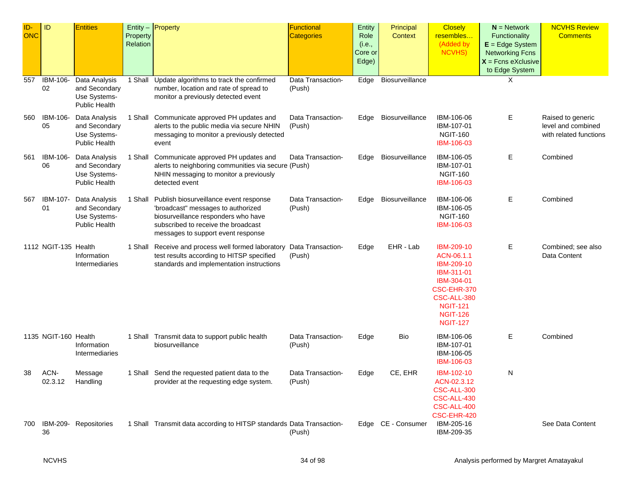| ID-<br><b>ONC</b> | ID                    | <b>Entities</b>                                                        | Property<br>Relation | Entity $-$ Property                                                                                                                                                                                      | Functional<br>Categories    | Entity<br>Role<br>(i.e.,<br>Core or<br>Edge) | Principal<br><b>Context</b> | <b>Closely</b><br>resembles<br>(Added by<br><b>NCVHS)</b>                                                                                                 | $N =$ Network<br>Functionality<br>$E = Edge System$<br><b>Networking Fcns</b><br>$X =$ Fcns eXclusive<br>to Edge System | <b>NCVHS Review</b><br><b>Comments</b>                            |
|-------------------|-----------------------|------------------------------------------------------------------------|----------------------|----------------------------------------------------------------------------------------------------------------------------------------------------------------------------------------------------------|-----------------------------|----------------------------------------------|-----------------------------|-----------------------------------------------------------------------------------------------------------------------------------------------------------|-------------------------------------------------------------------------------------------------------------------------|-------------------------------------------------------------------|
| 557               | <b>IBM-106-</b><br>02 | Data Analysis<br>and Secondary<br>Use Systems-<br><b>Public Health</b> | 1 Shall              | Update algorithms to track the confirmed<br>number, location and rate of spread to<br>monitor a previously detected event                                                                                | Data Transaction-<br>(Push) | Edge                                         | Biosurveillance             |                                                                                                                                                           | Χ                                                                                                                       |                                                                   |
| 560               | IBM-106-<br>05        | Data Analysis<br>and Secondary<br>Use Systems-<br><b>Public Health</b> | 1 Shall              | Communicate approved PH updates and<br>alerts to the public media via secure NHIN<br>messaging to monitor a previously detected<br>event                                                                 | Data Transaction-<br>(Push) | Edge                                         | Biosurveillance             | IBM-106-06<br>IBM-107-01<br><b>NGIT-160</b><br>IBM-106-03                                                                                                 | Е                                                                                                                       | Raised to generic<br>level and combined<br>with related functions |
| 561               | IBM-106-<br>06        | Data Analysis<br>and Secondary<br>Use Systems-<br><b>Public Health</b> | 1 Shall              | Communicate approved PH updates and<br>alerts to neighboring communities via secure (Push)<br>NHIN messaging to monitor a previously<br>detected event                                                   | Data Transaction-           | Edge                                         | Biosurveillance             | IBM-106-05<br>IBM-107-01<br><b>NGIT-160</b><br>IBM-106-03                                                                                                 | E.                                                                                                                      | Combined                                                          |
| 567               | IBM-107-<br>01        | Data Analysis<br>and Secondary<br>Use Systems-<br>Public Health        |                      | 1 Shall Publish biosurveillance event response<br>'broadcast" messages to authorized<br>biosurveillance responders who have<br>subscribed to receive the broadcast<br>messages to support event response | Data Transaction-<br>(Push) | Edge                                         | Biosurveillance             | IBM-106-06<br>IBM-106-05<br><b>NGIT-160</b><br>IBM-106-03                                                                                                 | Е                                                                                                                       | Combined                                                          |
|                   | 1112 NGIT-135 Health  | Information<br>Intermediaries                                          |                      | 1 Shall Receive and process well formed laboratory Data Transaction-<br>test results according to HITSP specified<br>standards and implementation instructions                                           | (Push)                      | Edge                                         | EHR - Lab                   | IBM-209-10<br>ACN-06.1.1<br>IBM-209-10<br>IBM-311-01<br>IBM-304-01<br>CSC-EHR-370<br>CSC-ALL-380<br><b>NGIT-121</b><br><b>NGIT-126</b><br><b>NGIT-127</b> | Е                                                                                                                       | Combined; see also<br>Data Content                                |
|                   | 1135 NGIT-160 Health  | Information<br>Intermediaries                                          |                      | 1 Shall Transmit data to support public health<br>biosurveillance                                                                                                                                        | Data Transaction-<br>(Push) | Edge                                         | Bio                         | IBM-106-06<br>IBM-107-01<br>IBM-106-05<br><b>IBM-106-03</b>                                                                                               | Е                                                                                                                       | Combined                                                          |
| 38                | ACN-<br>02.3.12       | Message<br>Handling                                                    |                      | 1 Shall Send the requested patient data to the<br>provider at the requesting edge system.                                                                                                                | Data Transaction-<br>(Push) | Edge                                         | CE, EHR                     | IBM-102-10<br>ACN-02.3.12<br>CSC-ALL-300<br>CSC-ALL-430<br>CSC-ALL-400<br>CSC-EHR-420                                                                     | N                                                                                                                       |                                                                   |
| 700               | 36                    | IBM-209- Repositories                                                  |                      | 1 Shall Transmit data according to HITSP standards Data Transaction-                                                                                                                                     | (Push)                      |                                              | Edge CE - Consumer          | IBM-205-16<br>IBM-209-35                                                                                                                                  |                                                                                                                         | See Data Content                                                  |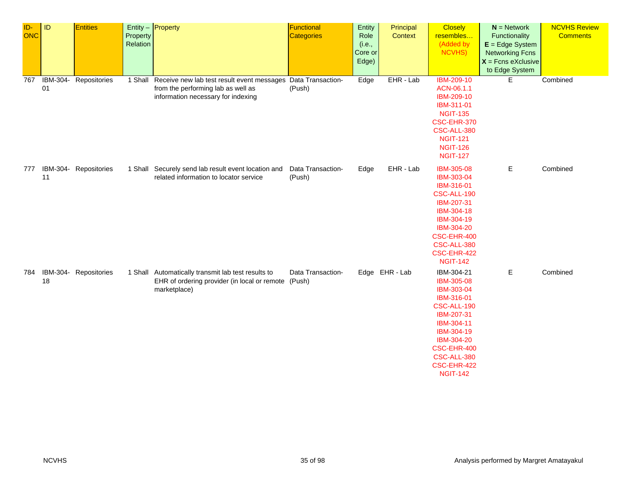| ID-<br><b>ONC</b> | ID             | <b>Entities</b>       | Property<br>Relation | Entity - Property                                                                                                              | Functional<br><b>Categories</b> | Entity<br>Role<br>(i.e.,<br>Core or<br>Edge) | Principal<br>Context | <b>Closely</b><br>resembles<br>(Added by<br>NCVHS)                                                                                                                                          | $N =$ Network<br>Functionality<br>$E = Edge System$<br><b>Networking Fcns</b><br>$X =$ Fcns eXclusive<br>to Edge System | <b>NCVHS Review</b><br><b>Comments</b> |
|-------------------|----------------|-----------------------|----------------------|--------------------------------------------------------------------------------------------------------------------------------|---------------------------------|----------------------------------------------|----------------------|---------------------------------------------------------------------------------------------------------------------------------------------------------------------------------------------|-------------------------------------------------------------------------------------------------------------------------|----------------------------------------|
| 767               | IBM-304-<br>01 | Repositories          |                      | 1 Shall Receive new lab test result event messages<br>from the performing lab as well as<br>information necessary for indexing | Data Transaction-<br>(Push)     | Edge                                         | EHR - Lab            | <b>IBM-209-10</b><br>ACN-06.1.1<br>IBM-209-10<br>IBM-311-01<br><b>NGIT-135</b><br>CSC-EHR-370<br>CSC-ALL-380<br><b>NGIT-121</b><br><b>NGIT-126</b><br><b>NGIT-127</b>                       | E.                                                                                                                      | Combined                               |
| 777               | 11             | IBM-304- Repositories |                      | 1 Shall Securely send lab result event location and<br>related information to locator service                                  | Data Transaction-<br>(Push)     | Edge                                         | EHR - Lab            | <b>IBM-305-08</b><br>IBM-303-04<br>IBM-316-01<br>CSC-ALL-190<br>IBM-207-31<br>IBM-304-18<br>IBM-304-19<br>IBM-304-20<br>CSC-EHR-400<br>CSC-ALL-380<br>CSC-EHR-422<br><b>NGIT-142</b>        | Е                                                                                                                       | Combined                               |
| 784               | 18             | IBM-304- Repositories |                      | 1 Shall Automatically transmit lab test results to<br>EHR of ordering provider (in local or remote (Push)<br>marketplace)      | Data Transaction-               |                                              | Edge EHR-Lab         | IBM-304-21<br>IBM-305-08<br>IBM-303-04<br>IBM-316-01<br>CSC-ALL-190<br>IBM-207-31<br>IBM-304-11<br>IBM-304-19<br>IBM-304-20<br>CSC-EHR-400<br>CSC-ALL-380<br>CSC-EHR-422<br><b>NGIT-142</b> | Е                                                                                                                       | Combined                               |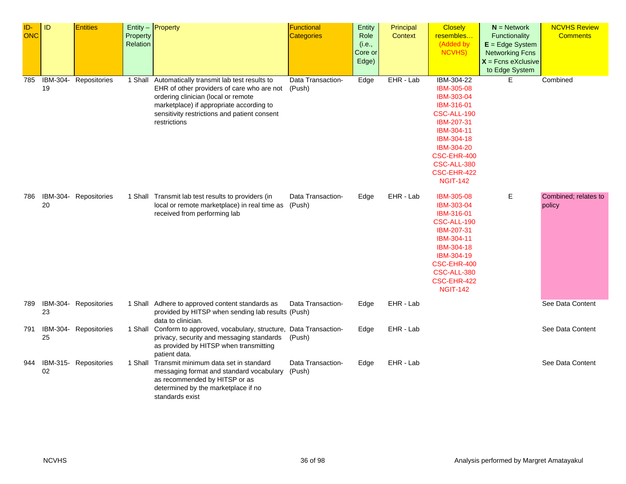| ID-<br><b>ONC</b> | ID             | <b>Entities</b>       | Property<br>Relation | Entity $-$ Property                                                                                                                                                                                                                                | Functional<br><b>Categories</b> | Entity<br>Role<br>(i.e.,<br>Core or<br>Edge) | Principal<br>Context | <b>Closely</b><br>resembles<br>(Added by<br>NCVHS)                                                                                                                                          | $N =$ Network<br>Functionality<br>$E = Edge System$<br><b>Networking Fcns</b><br>$X =$ Fcns eXclusive<br>to Edge System | <b>NCVHS Review</b><br><b>Comments</b> |
|-------------------|----------------|-----------------------|----------------------|----------------------------------------------------------------------------------------------------------------------------------------------------------------------------------------------------------------------------------------------------|---------------------------------|----------------------------------------------|----------------------|---------------------------------------------------------------------------------------------------------------------------------------------------------------------------------------------|-------------------------------------------------------------------------------------------------------------------------|----------------------------------------|
| 785               | IBM-304-<br>19 | Repositories          | 1 Shall              | Automatically transmit lab test results to<br>EHR of other providers of care who are not (Push)<br>ordering clinician (local or remote<br>marketplace) if appropriate according to<br>sensitivity restrictions and patient consent<br>restrictions | Data Transaction-               | Edge                                         | EHR - Lab            | IBM-304-22<br>IBM-305-08<br>IBM-303-04<br>IBM-316-01<br>CSC-ALL-190<br>IBM-207-31<br>IBM-304-11<br>IBM-304-18<br>IBM-304-20<br>CSC-EHR-400<br>CSC-ALL-380<br>CSC-EHR-422<br><b>NGIT-142</b> | E.                                                                                                                      | Combined                               |
| 786               | 20             | IBM-304- Repositories |                      | 1 Shall Transmit lab test results to providers (in<br>local or remote marketplace) in real time as<br>received from performing lab                                                                                                                 | Data Transaction-<br>(Push)     | Edge                                         | EHR - Lab            | <b>IBM-305-08</b><br>IBM-303-04<br>IBM-316-01<br>CSC-ALL-190<br>IBM-207-31<br>IBM-304-11<br>IBM-304-18<br>IBM-304-19<br>CSC-EHR-400<br>CSC-ALL-380<br>CSC-EHR-422<br><b>NGIT-142</b>        | Е                                                                                                                       | Combined; relates to<br>policy         |
| 789               | 23             | IBM-304- Repositories |                      | 1 Shall Adhere to approved content standards as<br>provided by HITSP when sending lab results (Push)<br>data to clinician.                                                                                                                         | Data Transaction-               | Edge                                         | EHR - Lab            |                                                                                                                                                                                             |                                                                                                                         | See Data Content                       |
| 791               | 25             | IBM-304- Repositories |                      | 1 Shall Conform to approved, vocabulary, structure, Data Transaction-<br>privacy, security and messaging standards<br>as provided by HITSP when transmitting<br>patient data.                                                                      | (Push)                          | Edge                                         | EHR - Lab            |                                                                                                                                                                                             |                                                                                                                         | See Data Content                       |
| 944               | 02             | IBM-315- Repositories |                      | 1 Shall Transmit minimum data set in standard<br>messaging format and standard vocabulary<br>as recommended by HITSP or as<br>determined by the marketplace if no<br>standards exist                                                               | Data Transaction-<br>(Push)     | Edge                                         | EHR - Lab            |                                                                                                                                                                                             |                                                                                                                         | See Data Content                       |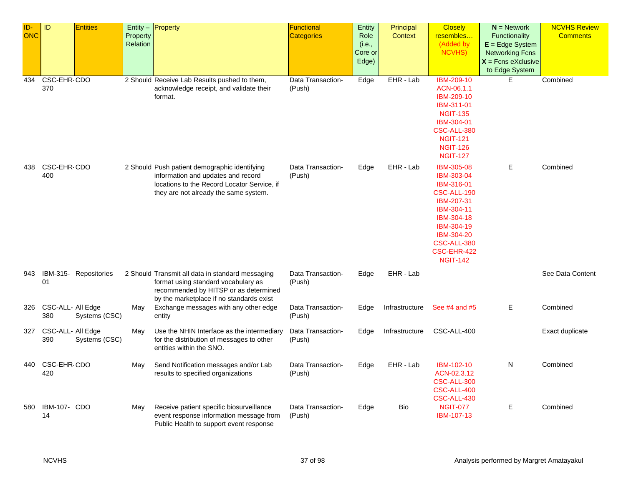| ID-        | ID                | <b>Entities</b>       |          | Entity $-$ Property                              | Functional        | Entity  | Principal      | <b>Closely</b>     | $N =$ Network          | <b>NCVHS Review</b> |
|------------|-------------------|-----------------------|----------|--------------------------------------------------|-------------------|---------|----------------|--------------------|------------------------|---------------------|
| <b>ONC</b> |                   |                       | Property |                                                  | <b>Categories</b> | Role    | Context        | resembles          | Functionality          | <b>Comments</b>     |
|            |                   |                       | Relation |                                                  |                   | (i.e.,  |                | (Added by          | $E = Edge System$      |                     |
|            |                   |                       |          |                                                  |                   | Core or |                | <b>NCVHS)</b>      | <b>Networking Fcns</b> |                     |
|            |                   |                       |          |                                                  |                   | Edge)   |                |                    | $X =$ Fcns eXclusive   |                     |
|            |                   |                       |          |                                                  |                   |         |                |                    | to Edge System         |                     |
|            |                   |                       |          |                                                  |                   |         |                | <b>IBM-209-10</b>  | E.                     |                     |
| 434        | CSC-EHR-CDO       |                       |          | 2 Should Receive Lab Results pushed to them,     | Data Transaction- | Edge    | $EHR - Lab$    |                    |                        | Combined            |
|            | 370               |                       |          | acknowledge receipt, and validate their          | (Push)            |         |                | ACN-06.1.1         |                        |                     |
|            |                   |                       |          | format.                                          |                   |         |                | IBM-209-10         |                        |                     |
|            |                   |                       |          |                                                  |                   |         |                | IBM-311-01         |                        |                     |
|            |                   |                       |          |                                                  |                   |         |                | <b>NGIT-135</b>    |                        |                     |
|            |                   |                       |          |                                                  |                   |         |                | IBM-304-01         |                        |                     |
|            |                   |                       |          |                                                  |                   |         |                | <b>CSC-ALL-380</b> |                        |                     |
|            |                   |                       |          |                                                  |                   |         |                | <b>NGIT-121</b>    |                        |                     |
|            |                   |                       |          |                                                  |                   |         |                | <b>NGIT-126</b>    |                        |                     |
|            |                   |                       |          |                                                  |                   |         |                | <b>NGIT-127</b>    |                        |                     |
| 438        | CSC-EHR-CDO       |                       |          | 2 Should Push patient demographic identifying    | Data Transaction- | Edge    | EHR - Lab      | IBM-305-08         | E                      | Combined            |
|            | 400               |                       |          | information and updates and record               | (Push)            |         |                | IBM-303-04         |                        |                     |
|            |                   |                       |          | locations to the Record Locator Service, if      |                   |         |                | IBM-316-01         |                        |                     |
|            |                   |                       |          | they are not already the same system.            |                   |         |                | CSC-ALL-190        |                        |                     |
|            |                   |                       |          |                                                  |                   |         |                | IBM-207-31         |                        |                     |
|            |                   |                       |          |                                                  |                   |         |                | IBM-304-11         |                        |                     |
|            |                   |                       |          |                                                  |                   |         |                | IBM-304-18         |                        |                     |
|            |                   |                       |          |                                                  |                   |         |                | IBM-304-19         |                        |                     |
|            |                   |                       |          |                                                  |                   |         |                | IBM-304-20         |                        |                     |
|            |                   |                       |          |                                                  |                   |         |                | CSC-ALL-380        |                        |                     |
|            |                   |                       |          |                                                  |                   |         |                | CSC-EHR-422        |                        |                     |
|            |                   |                       |          |                                                  |                   |         |                | <b>NGIT-142</b>    |                        |                     |
|            |                   |                       |          |                                                  |                   |         |                |                    |                        |                     |
| 943        |                   | IBM-315- Repositories |          | 2 Should Transmit all data in standard messaging | Data Transaction- | Edge    | EHR - Lab      |                    |                        | See Data Content    |
|            | 01                |                       |          | format using standard vocabulary as              | (Push)            |         |                |                    |                        |                     |
|            |                   |                       |          | recommended by HITSP or as determined            |                   |         |                |                    |                        |                     |
|            |                   |                       |          | by the marketplace if no standards exist         |                   |         |                |                    |                        |                     |
| 326        | CSC-ALL- All Edge |                       | May      | Exchange messages with any other edge            | Data Transaction- | Edge    | Infrastructure | See #4 and #5      | E.                     | Combined            |
|            | 380               | Systems (CSC)         |          | entity                                           | (Push)            |         |                |                    |                        |                     |
|            |                   |                       |          |                                                  |                   |         |                |                    |                        |                     |
| 327        | CSC-ALL- All Edge |                       | May      | Use the NHIN Interface as the intermediary       | Data Transaction- | Edge    | Infrastructure | CSC-ALL-400        |                        | Exact duplicate     |
|            | 390               | Systems (CSC)         |          | for the distribution of messages to other        | (Push)            |         |                |                    |                        |                     |
|            |                   |                       |          | entities within the SNO.                         |                   |         |                |                    |                        |                     |
|            |                   |                       |          |                                                  |                   |         |                |                    |                        |                     |
| 440        | CSC-EHR-CDO       |                       | May      | Send Notification messages and/or Lab            | Data Transaction- | Edge    | EHR - Lab      | IBM-102-10         | N                      | Combined            |
|            | 420               |                       |          | results to specified organizations               | (Push)            |         |                | ACN-02.3.12        |                        |                     |
|            |                   |                       |          |                                                  |                   |         |                | <b>CSC-ALL-300</b> |                        |                     |
|            |                   |                       |          |                                                  |                   |         |                | CSC-ALL-400        |                        |                     |
|            |                   |                       |          |                                                  |                   |         |                | CSC-ALL-430        |                        |                     |
| 580        | IBM-107- CDO      |                       | May      | Receive patient specific biosurveillance         | Data Transaction- | Edge    | Bio            | <b>NGIT-077</b>    | E                      | Combined            |
|            | 14                |                       |          | event response information message from          | (Push)            |         |                | IBM-107-13         |                        |                     |
|            |                   |                       |          | Public Health to support event response          |                   |         |                |                    |                        |                     |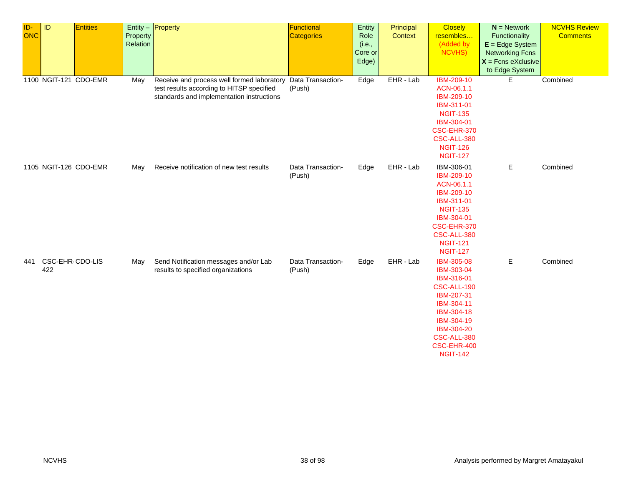| ID-<br><b>ONC</b> | ID                     | <b>Entities</b>       | Property<br>Relation | Entity - Property                                                                                                                                      | <b>Functional</b><br><b>Categories</b> | Entity<br>Role<br>(i.e.,<br>Core or<br>Edge) | Principal<br>Context | <b>Closely</b><br>resembles<br>(Added by<br>NCVHS)                                                                                                                           | $N =$ Network<br>Functionality<br>$E = Edge System$<br><b>Networking Fcns</b><br>$X$ = Fcns eXclusive<br>to Edge System | <b>NCVHS Review</b><br><b>Comments</b> |
|-------------------|------------------------|-----------------------|----------------------|--------------------------------------------------------------------------------------------------------------------------------------------------------|----------------------------------------|----------------------------------------------|----------------------|------------------------------------------------------------------------------------------------------------------------------------------------------------------------------|-------------------------------------------------------------------------------------------------------------------------|----------------------------------------|
|                   |                        | 1100 NGIT-121 CDO-EMR | May                  | Receive and process well formed laboratory Data Transaction-<br>test results according to HITSP specified<br>standards and implementation instructions | (Push)                                 | Edge                                         | EHR - Lab            | <b>IBM-209-10</b><br>ACN-06.1.1<br>IBM-209-10<br>IBM-311-01<br><b>NGIT-135</b><br>IBM-304-01<br>CSC-EHR-370<br>CSC-ALL-380<br><b>NGIT-126</b><br><b>NGIT-127</b>             | E                                                                                                                       | Combined                               |
|                   | 1105 NGIT-126 CDO-EMR  |                       | May                  | Receive notification of new test results                                                                                                               | Data Transaction-<br>(Push)            | Edge                                         | EHR - Lab            | IBM-306-01<br>IBM-209-10<br>ACN-06.1.1<br>IBM-209-10<br>IBM-311-01<br><b>NGIT-135</b><br>IBM-304-01<br>CSC-EHR-370<br>CSC-ALL-380<br><b>NGIT-121</b><br><b>NGIT-127</b>      | Е                                                                                                                       | Combined                               |
| 441               | CSC-EHR-CDO-LIS<br>422 |                       | May                  | Send Notification messages and/or Lab<br>results to specified organizations                                                                            | Data Transaction-<br>(Push)            | Edge                                         | EHR - Lab            | IBM-305-08<br>IBM-303-04<br>IBM-316-01<br>CSC-ALL-190<br>IBM-207-31<br>IBM-304-11<br>IBM-304-18<br>IBM-304-19<br>IBM-304-20<br>CSC-ALL-380<br>CSC-EHR-400<br><b>NGIT-142</b> | E                                                                                                                       | Combined                               |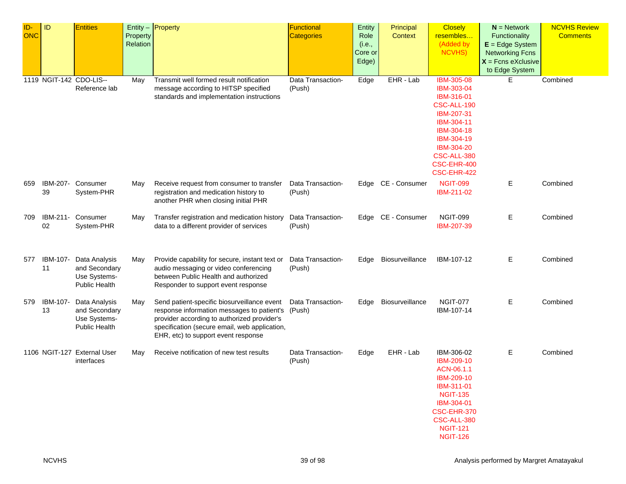| ID-<br><b>ONC</b> | ID             | <b>Entities</b>                                                        | Property<br>Relation | Entity - Property                                                                                                                                                                                                                | <b>Functional</b><br><b>Categories</b> | Entity<br>Role<br>(i.e.,<br>Core or<br>Edge) | Principal<br>Context | <b>Closely</b><br>resembles<br>(Added by<br><b>NCVHS)</b>                                                                                                                       | $N =$ Network<br>Functionality<br>$E = Edge System$<br><b>Networking Fcns</b><br>$X =$ Fcns eXclusive<br>to Edge System | <b>NCVHS Review</b><br><b>Comments</b> |
|-------------------|----------------|------------------------------------------------------------------------|----------------------|----------------------------------------------------------------------------------------------------------------------------------------------------------------------------------------------------------------------------------|----------------------------------------|----------------------------------------------|----------------------|---------------------------------------------------------------------------------------------------------------------------------------------------------------------------------|-------------------------------------------------------------------------------------------------------------------------|----------------------------------------|
|                   |                | 1119 NGIT-142 CDO-LIS--<br>Reference lab                               | May                  | Transmit well formed result notification<br>message according to HITSP specified<br>standards and implementation instructions                                                                                                    | Data Transaction-<br>(Push)            | Edge                                         | EHR - Lab            | <b>IBM-305-08</b><br>IBM-303-04<br>IBM-316-01<br>CSC-ALL-190<br>IBM-207-31<br>IBM-304-11<br>IBM-304-18<br>IBM-304-19<br>IBM-304-20<br>CSC-ALL-380<br>CSC-EHR-400<br>CSC-EHR-422 | E.                                                                                                                      | Combined                               |
| 659               | 39             | IBM-207- Consumer<br>System-PHR                                        | May                  | Receive request from consumer to transfer<br>registration and medication history to<br>another PHR when closing initial PHR                                                                                                      | Data Transaction-<br>(Push)            | Edge                                         | CE - Consumer        | <b>NGIT-099</b><br>IBM-211-02                                                                                                                                                   | Е                                                                                                                       | Combined                               |
| 709               | 02             | IBM-211- Consumer<br>System-PHR                                        | May                  | Transfer registration and medication history<br>data to a different provider of services                                                                                                                                         | Data Transaction-<br>(Push)            | Edge                                         | CE - Consumer        | <b>NGIT-099</b><br>IBM-207-39                                                                                                                                                   | Е                                                                                                                       | Combined                               |
| 577               | IBM-107-<br>11 | Data Analysis<br>and Secondary<br>Use Systems-<br><b>Public Health</b> | May                  | Provide capability for secure, instant text or<br>audio messaging or video conferencing<br>between Public Health and authorized<br>Responder to support event response                                                           | Data Transaction-<br>(Push)            | Edge                                         | Biosurveillance      | IBM-107-12                                                                                                                                                                      | Е                                                                                                                       | Combined                               |
| 579               | IBM-107-<br>13 | Data Analysis<br>and Secondary<br>Use Systems-<br><b>Public Health</b> | May                  | Send patient-specific biosurveillance event<br>response information messages to patient's<br>provider according to authorized provider's<br>specification (secure email, web application,<br>EHR, etc) to support event response | Data Transaction-<br>(Push)            | Edge                                         | Biosurveillance      | <b>NGIT-077</b><br>IBM-107-14                                                                                                                                                   | Е                                                                                                                       | Combined                               |
|                   |                | 1106 NGIT-127 External User<br>interfaces                              | May                  | Receive notification of new test results                                                                                                                                                                                         | Data Transaction-<br>(Push)            | Edge                                         | EHR - Lab            | IBM-306-02<br>IBM-209-10<br>ACN-06.1.1<br>IBM-209-10<br>IBM-311-01<br><b>NGIT-135</b><br>IBM-304-01<br>CSC-EHR-370<br>CSC-ALL-380<br><b>NGIT-121</b><br><b>NGIT-126</b>         | E.                                                                                                                      | Combined                               |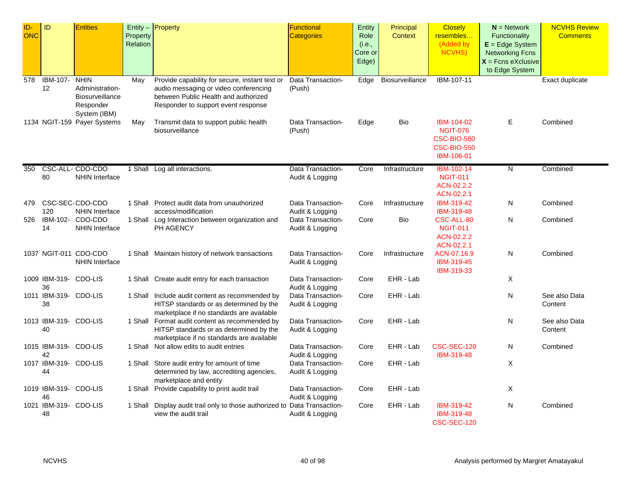| ID-<br><b>ONC</b><br>578 | ID<br>IBM-107-              | <b>Entities</b><br><b>NHIN</b>                                  | Property<br>Relation<br>May | Entity - Property<br>Provide capability for secure, instant text or                                                                     | Functional<br><b>Categories</b><br>Data Transaction- | Entity<br>Role<br>(i.e.,<br>Core or<br>Edge)<br>Edge | Principal<br><b>Context</b><br>Biosurveillance | <b>Closely</b><br>resembles<br>(Added by<br><b>NCVHS)</b><br>IBM-107-11                        | $N =$ Network<br><b>Functionality</b><br>$E = Edge System$<br><b>Networking Fcns</b><br>$X =$ Fcns eXclusive<br>to Edge System | <b>NCVHS Review</b><br><b>Comments</b><br>Exact duplicate |
|--------------------------|-----------------------------|-----------------------------------------------------------------|-----------------------------|-----------------------------------------------------------------------------------------------------------------------------------------|------------------------------------------------------|------------------------------------------------------|------------------------------------------------|------------------------------------------------------------------------------------------------|--------------------------------------------------------------------------------------------------------------------------------|-----------------------------------------------------------|
|                          | 12                          | Administration-<br>Biosurveillance<br>Responder<br>System (IBM) |                             | audio messaging or video conferencing<br>between Public Health and authorized<br>Responder to support event response                    | (Push)                                               |                                                      |                                                |                                                                                                |                                                                                                                                |                                                           |
|                          |                             | 1134 NGIT-159 Payer Systems                                     | May                         | Transmit data to support public health<br>biosurveillance                                                                               | Data Transaction-<br>(Push)                          | Edge                                                 | Bio                                            | IBM-104-02<br><b>NGIT-076</b><br><b>CSC-BIO-580</b><br><b>CSC-BIO-550</b><br><b>IBM-106-01</b> | E                                                                                                                              | Combined                                                  |
| 350                      | 80                          | CSC-ALL- CDO-CDO<br><b>NHIN Interface</b>                       |                             | 1 Shall Log all interactions.                                                                                                           | Data Transaction-<br>Audit & Logging                 | Core                                                 | Infrastructure                                 | IBM-102-14<br><b>NGIT-011</b><br>ACN-02.2.2<br>ACN-02.2.1                                      | N                                                                                                                              | Combined                                                  |
| 479                      | 120                         | CSC-SEC-CDO-CDO<br><b>NHIN Interface</b>                        |                             | 1 Shall Protect audit data from unauthorized<br>access/modification                                                                     | Data Transaction-<br>Audit & Logging                 | Core                                                 | Infrastructure                                 | IBM-319-42<br>IBM-319-48                                                                       | N                                                                                                                              | Combined                                                  |
| 526                      | IBM-102-<br>14              | CDO-CDO<br><b>NHIN Interface</b>                                |                             | 1 Shall Log Interaction between organization and<br>PH AGENCY                                                                           | Data Transaction-<br>Audit & Logging                 | Core                                                 | <b>Bio</b>                                     | CSC-ALL-80<br><b>NGIT-011</b><br>ACN-02.2.2<br>ACN-02.2.1                                      | N                                                                                                                              | Combined                                                  |
|                          |                             | 1037 NGIT-011 CDO-CDO<br><b>NHIN Interface</b>                  |                             | 1 Shall Maintain history of network transactions                                                                                        | Data Transaction-<br>Audit & Logging                 | Core                                                 | Infrastructure                                 | ACN-07.16.9<br>IBM-319-45<br>IBM-319-33                                                        | N                                                                                                                              | Combined                                                  |
|                          | 1009 IBM-319- CDO-LIS<br>36 |                                                                 |                             | 1 Shall Create audit entry for each transaction                                                                                         | Data Transaction-<br>Audit & Logging                 | Core                                                 | EHR - Lab                                      |                                                                                                | X                                                                                                                              |                                                           |
|                          | 1011 IBM-319- CDO-LIS<br>38 |                                                                 |                             | 1 Shall Include audit content as recommended by<br>HITSP standards or as determined by the<br>marketplace if no standards are available | Data Transaction-<br>Audit & Logging                 | Core                                                 | EHR - Lab                                      |                                                                                                | N                                                                                                                              | See also Data<br>Content                                  |
|                          | 1013 IBM-319- CDO-LIS<br>40 |                                                                 |                             | 1 Shall Format audit content as recommended by<br>HITSP standards or as determined by the<br>marketplace if no standards are available  | Data Transaction-<br>Audit & Logging                 | Core                                                 | EHR - Lab                                      |                                                                                                | N                                                                                                                              | See also Data<br>Content                                  |
|                          | 1015 IBM-319- CDO-LIS<br>42 |                                                                 | 1 Shall                     | Not allow edits to audit entries                                                                                                        | Data Transaction-<br>Audit & Logging                 | Core                                                 | EHR - Lab                                      | CSC-SEC-120<br>IBM-319-48                                                                      | N                                                                                                                              | Combined                                                  |
|                          | 1017 IBM-319- CDO-LIS<br>44 |                                                                 |                             | 1 Shall Store audit entry for amount of time<br>determined by law, accrediting agencies,<br>marketplace and entity                      | Data Transaction-<br>Audit & Logging                 | Core                                                 | EHR - Lab                                      |                                                                                                | X                                                                                                                              |                                                           |
|                          | 1019 IBM-319- CDO-LIS<br>46 |                                                                 | 1 Shall                     | Provide capability to print audit trail                                                                                                 | Data Transaction-<br>Audit & Logging                 | Core                                                 | EHR - Lab                                      |                                                                                                | Χ                                                                                                                              |                                                           |
|                          | 1021 IBM-319- CDO-LIS<br>48 |                                                                 | 1 Shall                     | Display audit trail only to those authorized to Data Transaction-<br>view the audit trail                                               | Audit & Logging                                      | Core                                                 | EHR - Lab                                      | IBM-319-42<br>IBM-319-48<br>CSC-SEC-120                                                        | N                                                                                                                              | Combined                                                  |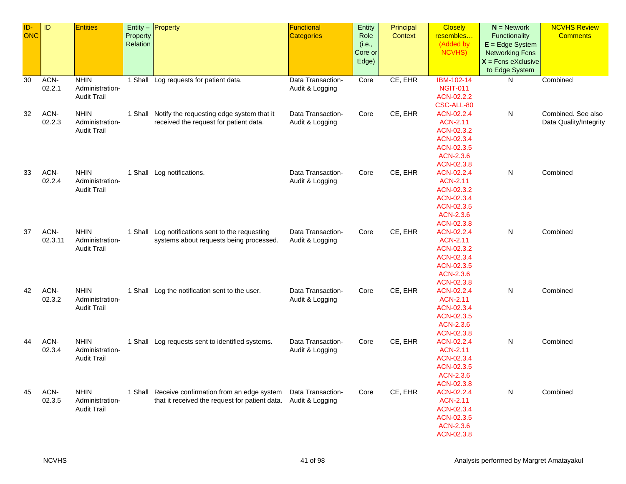| ID-<br>ONC | ID              | <b>Entities</b>                                      | Property<br>Relation | Entity - Property                                                                                                  | Functional<br><b>Categories</b>      | Entity<br>Role<br>(i.e.,<br>Core or<br>Edge) | Principal<br>Context | <b>Closely</b><br>resembles<br>(Added by<br>NCVHS)                                                 | $N =$ Network<br>Functionality<br>$E = Edge System$<br><b>Networking Fcns</b><br>$X =$ Fcns eXclusive | <b>NCVHS Review</b><br><b>Comments</b>       |
|------------|-----------------|------------------------------------------------------|----------------------|--------------------------------------------------------------------------------------------------------------------|--------------------------------------|----------------------------------------------|----------------------|----------------------------------------------------------------------------------------------------|-------------------------------------------------------------------------------------------------------|----------------------------------------------|
| 30         | ACN-            | <b>NHIN</b>                                          |                      | 1 Shall Log requests for patient data.                                                                             | Data Transaction-                    | Core                                         | CE, EHR              | IBM-102-14                                                                                         | to Edge System<br>N                                                                                   | Combined                                     |
|            | 02.2.1          | Administration-<br><b>Audit Trail</b>                |                      |                                                                                                                    | Audit & Logging                      |                                              |                      | <b>NGIT-011</b><br>ACN-02.2.2<br>CSC-ALL-80                                                        |                                                                                                       |                                              |
| 32         | ACN-<br>02.2.3  | <b>NHIN</b><br>Administration-<br><b>Audit Trail</b> |                      | 1 Shall Notify the requesting edge system that it<br>received the request for patient data.                        | Data Transaction-<br>Audit & Logging | Core                                         | CE, EHR              | ACN-02.2.4<br><b>ACN-2.11</b><br>ACN-02.3.2<br>ACN-02.3.4<br>ACN-02.3.5<br>ACN-2.3.6<br>ACN-02.3.8 | N                                                                                                     | Combined. See also<br>Data Quality/Integrity |
| 33         | ACN-<br>02.2.4  | <b>NHIN</b><br>Administration-<br><b>Audit Trail</b> |                      | 1 Shall Log notifications.                                                                                         | Data Transaction-<br>Audit & Logging | Core                                         | CE, EHR              | ACN-02.2.4<br><b>ACN-2.11</b><br>ACN-02.3.2<br>ACN-02.3.4<br>ACN-02.3.5<br>ACN-2.3.6<br>ACN-02.3.8 | N                                                                                                     | Combined                                     |
| 37         | ACN-<br>02.3.11 | <b>NHIN</b><br>Administration-<br><b>Audit Trail</b> |                      | 1 Shall Log notifications sent to the requesting<br>systems about requests being processed.                        | Data Transaction-<br>Audit & Logging | Core                                         | CE, EHR              | ACN-02.2.4<br><b>ACN-2.11</b><br>ACN-02.3.2<br>ACN-02.3.4<br>ACN-02.3.5<br>ACN-2.3.6<br>ACN-02.3.8 | N                                                                                                     | Combined                                     |
| 42         | ACN-<br>02.3.2  | <b>NHIN</b><br>Administration-<br><b>Audit Trail</b> |                      | 1 Shall Log the notification sent to the user.                                                                     | Data Transaction-<br>Audit & Logging | Core                                         | CE, EHR              | ACN-02.2.4<br><b>ACN-2.11</b><br>ACN-02.3.4<br>ACN-02.3.5<br>ACN-2.3.6<br>ACN-02.3.8               | N                                                                                                     | Combined                                     |
| 44         | ACN-<br>02.3.4  | <b>NHIN</b><br>Administration-<br><b>Audit Trail</b> |                      | 1 Shall Log requests sent to identified systems.                                                                   | Data Transaction-<br>Audit & Logging | Core                                         | CE, EHR              | ACN-02.2.4<br><b>ACN-2.11</b><br>ACN-02.3.4<br>ACN-02.3.5<br>ACN-2.3.6<br>ACN-02.3.8               | N                                                                                                     | Combined                                     |
| 45         | ACN-<br>02.3.5  | <b>NHIN</b><br>Administration-<br><b>Audit Trail</b> |                      | 1 Shall Receive confirmation from an edge system<br>that it received the request for patient data. Audit & Logging | Data Transaction-                    | Core                                         | CE, EHR              | ACN-02.2.4<br><b>ACN-2.11</b><br>ACN-02.3.4<br>ACN-02.3.5<br>ACN-2.3.6<br>ACN-02.3.8               | N                                                                                                     | Combined                                     |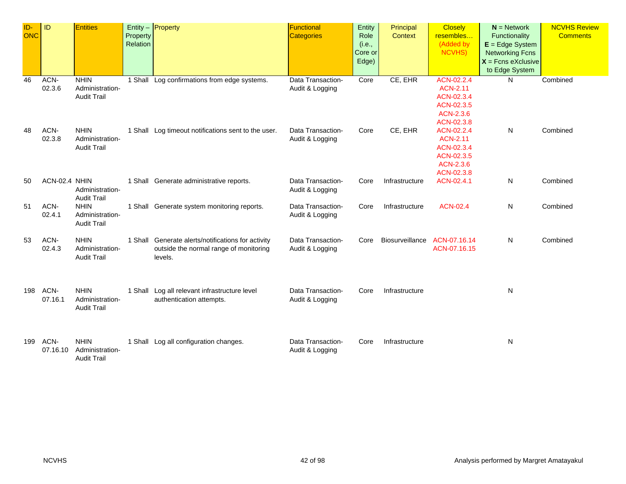| ID-<br><b>ONC</b> | <b>ID</b>        | <b>Entities</b>                                      | Property<br>Relation | Entity $-$ Property                                                                                     | <b>Functional</b><br><b>Categories</b> | Entity<br>Role<br>(i.e.,<br>Core or<br>Edge) | Principal<br><b>Context</b>  | <b>Closely</b><br>resembles<br>(Added by<br>NCVHS)                                   | $N =$ Network<br>Functionality<br>$E = Edge System$<br><b>Networking Fcns</b><br>$X$ = Fcns eXclusive<br>to Edge System | <b>NCVHS Review</b><br><b>Comments</b> |
|-------------------|------------------|------------------------------------------------------|----------------------|---------------------------------------------------------------------------------------------------------|----------------------------------------|----------------------------------------------|------------------------------|--------------------------------------------------------------------------------------|-------------------------------------------------------------------------------------------------------------------------|----------------------------------------|
| 46                | ACN-<br>02.3.6   | <b>NHIN</b><br>Administration-<br><b>Audit Trail</b> |                      | 1 Shall Log confirmations from edge systems.                                                            | Data Transaction-<br>Audit & Logging   | Core                                         | CE, EHR                      | ACN-02.2.4<br><b>ACN-2.11</b><br>ACN-02.3.4<br>ACN-02.3.5<br>ACN-2.3.6<br>ACN-02.3.8 | N                                                                                                                       | Combined                               |
| 48                | ACN-<br>02.3.8   | <b>NHIN</b><br>Administration-<br><b>Audit Trail</b> |                      | 1 Shall Log timeout notifications sent to the user.                                                     | Data Transaction-<br>Audit & Logging   | Core                                         | CE, EHR                      | ACN-02.2.4<br><b>ACN-2.11</b><br>ACN-02.3.4<br>ACN-02.3.5<br>ACN-2.3.6<br>ACN-02.3.8 | N                                                                                                                       | Combined                               |
| 50                | ACN-02.4 NHIN    | Administration-<br><b>Audit Trail</b>                |                      | 1 Shall Generate administrative reports.                                                                | Data Transaction-<br>Audit & Logging   | Core                                         | Infrastructure               | ACN-02.4.1                                                                           | N                                                                                                                       | Combined                               |
| 51                | ACN-<br>02.4.1   | <b>NHIN</b><br>Administration-<br><b>Audit Trail</b> |                      | 1 Shall Generate system monitoring reports.                                                             | Data Transaction-<br>Audit & Logging   | Core                                         | Infrastructure               | <b>ACN-02.4</b>                                                                      | N                                                                                                                       | Combined                               |
| 53                | ACN-<br>02.4.3   | <b>NHIN</b><br>Administration-<br><b>Audit Trail</b> |                      | 1 Shall Generate alerts/notifications for activity<br>outside the normal range of monitoring<br>levels. | Data Transaction-<br>Audit & Logging   | Core                                         | Biosurveillance ACN-07.16.14 | ACN-07.16.15                                                                         | N                                                                                                                       | Combined                               |
| 198               | ACN-<br>07.16.1  | <b>NHIN</b><br>Administration-<br><b>Audit Trail</b> |                      | 1 Shall Log all relevant infrastructure level<br>authentication attempts.                               | Data Transaction-<br>Audit & Logging   | Core                                         | Infrastructure               |                                                                                      | ${\sf N}$                                                                                                               |                                        |
| 199               | ACN-<br>07.16.10 | <b>NHIN</b><br>Administration-<br><b>Audit Trail</b> |                      | 1 Shall Log all configuration changes.                                                                  | Data Transaction-<br>Audit & Logging   | Core                                         | Infrastructure               |                                                                                      | N                                                                                                                       |                                        |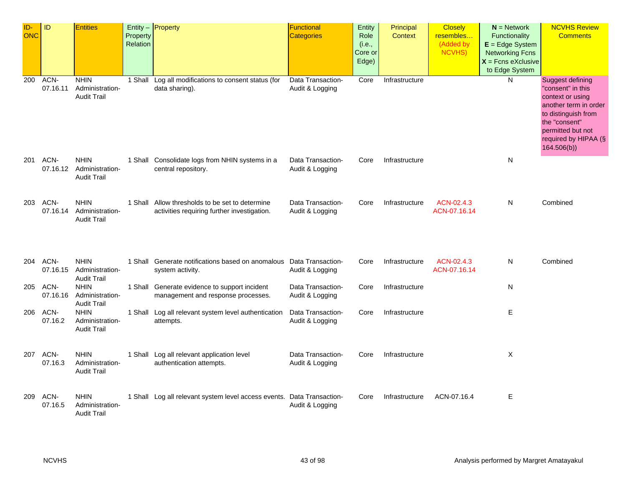| ID-<br>ONC | ID               | <b>Entities</b>                                      | Property<br>Relation | $Entity -$ Property                                                                            | Functional<br>Categories             | Entity<br>Role<br>(i.e.,<br>Core or<br>Edge) | Principal<br><b>Context</b> | <b>Closely</b><br>resembles<br>(Added by<br>NCVHS) | $N =$ Network<br>Functionality<br>$E = Edge System$<br><b>Networking Fcns</b><br>$X =$ Fcns eXclusive<br>to Edge System | <b>NCVHS Review</b><br><b>Comments</b>                                                                                                                                                       |
|------------|------------------|------------------------------------------------------|----------------------|------------------------------------------------------------------------------------------------|--------------------------------------|----------------------------------------------|-----------------------------|----------------------------------------------------|-------------------------------------------------------------------------------------------------------------------------|----------------------------------------------------------------------------------------------------------------------------------------------------------------------------------------------|
| 200        | ACN-<br>07.16.11 | <b>NHIN</b><br>Administration-<br><b>Audit Trail</b> |                      | 1 Shall Log all modifications to consent status (for<br>data sharing).                         | Data Transaction-<br>Audit & Logging | Core                                         | Infrastructure              |                                                    | N                                                                                                                       | <b>Suggest defining</b><br>"consent" in this<br>context or using<br>another term in order<br>to distinguish from<br>the "consent"<br>permitted but not<br>required by HIPAA (§<br>164.506(b) |
| 201        | ACN-<br>07.16.12 | <b>NHIN</b><br>Administration-<br><b>Audit Trail</b> |                      | 1 Shall Consolidate logs from NHIN systems in a<br>central repository.                         | Data Transaction-<br>Audit & Logging | Core                                         | Infrastructure              |                                                    | N                                                                                                                       |                                                                                                                                                                                              |
| 203        | ACN-<br>07.16.14 | <b>NHIN</b><br>Administration-<br><b>Audit Trail</b> |                      | 1 Shall Allow thresholds to be set to determine<br>activities requiring further investigation. | Data Transaction-<br>Audit & Logging | Core                                         | Infrastructure              | ACN-02.4.3<br>ACN-07.16.14                         | N                                                                                                                       | Combined                                                                                                                                                                                     |
| 204        | ACN-<br>07.16.15 | <b>NHIN</b><br>Administration-<br><b>Audit Trail</b> |                      | 1 Shall Generate notifications based on anomalous Data Transaction-<br>system activity.        | Audit & Logging                      | Core                                         | Infrastructure              | ACN-02.4.3<br>ACN-07.16.14                         | N                                                                                                                       | Combined                                                                                                                                                                                     |
| 205        | ACN-<br>07.16.16 | <b>NHIN</b><br>Administration-<br><b>Audit Trail</b> |                      | 1 Shall Generate evidence to support incident<br>management and response processes.            | Data Transaction-<br>Audit & Logging | Core                                         | Infrastructure              |                                                    | N                                                                                                                       |                                                                                                                                                                                              |
| 206        | ACN-<br>07.16.2  | <b>NHIN</b><br>Administration-<br><b>Audit Trail</b> |                      | 1 Shall Log all relevant system level authentication<br>attempts.                              | Data Transaction-<br>Audit & Logging | Core                                         | Infrastructure              |                                                    | E                                                                                                                       |                                                                                                                                                                                              |
| 207        | ACN-<br>07.16.3  | <b>NHIN</b><br>Administration-<br><b>Audit Trail</b> |                      | 1 Shall Log all relevant application level<br>authentication attempts.                         | Data Transaction-<br>Audit & Logging | Core                                         | Infrastructure              |                                                    | X                                                                                                                       |                                                                                                                                                                                              |
| 209        | ACN-<br>07.16.5  | <b>NHIN</b><br>Administration-<br><b>Audit Trail</b> |                      | 1 Shall Log all relevant system level access events. Data Transaction-                         | Audit & Logging                      | Core                                         | Infrastructure              | ACN-07.16.4                                        | E                                                                                                                       |                                                                                                                                                                                              |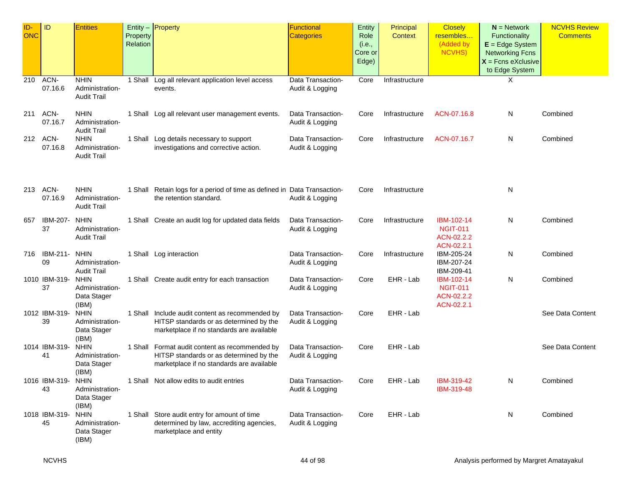| ID-<br><b>ONC</b> | ID                  | <b>Entities</b>                                        | Property<br>Relation | Entity $-$ Property                                                                                                                     | <b>Functional</b><br><b>Categories</b> | Entity<br>Role<br>(i.e.,<br>Core or<br>Edge) | Principal<br>Context | <b>Closely</b><br>resembles<br>(Added by<br>NCVHS)        | $N =$ Network<br>Functionality<br>$E = Edge System$<br><b>Networking Fcns</b><br>$X =$ Fcns eXclusive<br>to Edge System | <b>NCVHS Review</b><br><b>Comments</b> |
|-------------------|---------------------|--------------------------------------------------------|----------------------|-----------------------------------------------------------------------------------------------------------------------------------------|----------------------------------------|----------------------------------------------|----------------------|-----------------------------------------------------------|-------------------------------------------------------------------------------------------------------------------------|----------------------------------------|
| 210               | ACN-<br>07.16.6     | <b>NHIN</b><br>Administration-<br><b>Audit Trail</b>   |                      | 1 Shall Log all relevant application level access<br>events.                                                                            | Data Transaction-<br>Audit & Logging   | Core                                         | Infrastructure       |                                                           | Χ                                                                                                                       |                                        |
| 211               | ACN-<br>07.16.7     | <b>NHIN</b><br>Administration-<br><b>Audit Trail</b>   |                      | 1 Shall Log all relevant user management events.                                                                                        | Data Transaction-<br>Audit & Logging   | Core                                         | Infrastructure       | ACN-07.16.8                                               | N                                                                                                                       | Combined                               |
| 212               | ACN-<br>07.16.8     | <b>NHIN</b><br>Administration-<br><b>Audit Trail</b>   |                      | 1 Shall Log details necessary to support<br>investigations and corrective action.                                                       | Data Transaction-<br>Audit & Logging   | Core                                         | Infrastructure       | ACN-07.16.7                                               | N                                                                                                                       | Combined                               |
| 213               | ACN-<br>07.16.9     | <b>NHIN</b><br>Administration-<br><b>Audit Trail</b>   |                      | 1 Shall Retain logs for a period of time as defined in Data Transaction-<br>the retention standard.                                     | Audit & Logging                        | Core                                         | Infrastructure       |                                                           | N                                                                                                                       |                                        |
| 657               | IBM-207-<br>37      | <b>NHIN</b><br>Administration-<br><b>Audit Trail</b>   |                      | 1 Shall Create an audit log for updated data fields                                                                                     | Data Transaction-<br>Audit & Logging   | Core                                         | Infrastructure       | IBM-102-14<br><b>NGIT-011</b><br>ACN-02.2.2<br>ACN-02.2.1 | N                                                                                                                       | Combined                               |
| 716               | IBM-211-<br>09      | <b>NHIN</b><br>Administration-<br><b>Audit Trail</b>   |                      | 1 Shall Log interaction                                                                                                                 | Data Transaction-<br>Audit & Logging   | Core                                         | Infrastructure       | IBM-205-24<br>IBM-207-24<br>IBM-209-41                    | N                                                                                                                       | Combined                               |
|                   | 1010 IBM-319-<br>37 | <b>NHIN</b><br>Administration-<br>Data Stager<br>(IBM) |                      | 1 Shall Create audit entry for each transaction                                                                                         | Data Transaction-<br>Audit & Logging   | Core                                         | EHR - Lab            | IBM-102-14<br><b>NGIT-011</b><br>ACN-02.2.2<br>ACN-02.2.1 | N                                                                                                                       | Combined                               |
|                   | 1012 IBM-319-<br>39 | <b>NHIN</b><br>Administration-<br>Data Stager<br>(IBM) |                      | 1 Shall Include audit content as recommended by<br>HITSP standards or as determined by the<br>marketplace if no standards are available | Data Transaction-<br>Audit & Logging   | Core                                         | EHR - Lab            |                                                           |                                                                                                                         | See Data Content                       |
|                   | 1014 IBM-319-<br>41 | <b>NHIN</b><br>Administration-<br>Data Stager<br>(IBM) |                      | 1 Shall Format audit content as recommended by<br>HITSP standards or as determined by the<br>marketplace if no standards are available  | Data Transaction-<br>Audit & Logging   | Core                                         | EHR - Lab            |                                                           |                                                                                                                         | See Data Content                       |
|                   | 1016 IBM-319-<br>43 | <b>NHIN</b><br>Administration-<br>Data Stager<br>(IBM) |                      | 1 Shall Not allow edits to audit entries                                                                                                | Data Transaction-<br>Audit & Logging   | Core                                         | EHR - Lab            | IBM-319-42<br>IBM-319-48                                  | N                                                                                                                       | Combined                               |
|                   | 1018 IBM-319-<br>45 | <b>NHIN</b><br>Administration-<br>Data Stager<br>(IBM) |                      | 1 Shall Store audit entry for amount of time<br>determined by law, accrediting agencies,<br>marketplace and entity                      | Data Transaction-<br>Audit & Logging   | Core                                         | EHR - Lab            |                                                           | N                                                                                                                       | Combined                               |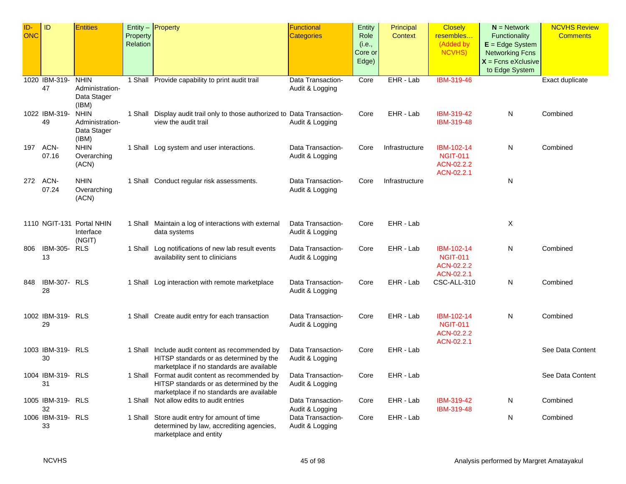| $ID -$ | ID                      | <b>Entities</b>           |          | Entity $-$ Property                                                                      | <b>Functional</b> | <b>Entity</b> | Principal      | <b>Closely</b>  | $N =$ Network          | <b>NCVHS Review</b> |
|--------|-------------------------|---------------------------|----------|------------------------------------------------------------------------------------------|-------------------|---------------|----------------|-----------------|------------------------|---------------------|
| ONC    |                         |                           | Property |                                                                                          | <b>Categories</b> | Role          | <b>Context</b> | resembles       | Functionality          | <b>Comments</b>     |
|        |                         |                           | Relation |                                                                                          |                   | (i.e.,        |                | (Added by       | $E = Edge System$      |                     |
|        |                         |                           |          |                                                                                          |                   | Core or       |                | <b>NCVHS)</b>   | <b>Networking Fcns</b> |                     |
|        |                         |                           |          |                                                                                          |                   | Edge)         |                |                 | $X =$ Fcns eXclusive   |                     |
|        |                         |                           |          |                                                                                          |                   |               |                |                 | to Edge System         |                     |
|        | 1020 IBM-319-           | <b>NHIN</b>               |          | 1 Shall Provide capability to print audit trail                                          | Data Transaction- | Core          | EHR - Lab      | IBM-319-46      |                        | Exact duplicate     |
|        | 47                      | Administration-           |          |                                                                                          | Audit & Logging   |               |                |                 |                        |                     |
|        |                         | Data Stager               |          |                                                                                          |                   |               |                |                 |                        |                     |
|        |                         | (IBM)                     |          |                                                                                          |                   |               |                |                 |                        |                     |
|        | 1022 IBM-319-           | <b>NHIN</b>               |          | 1 Shall Display audit trail only to those authorized to Data Transaction-                |                   | Core          | EHR - Lab      | IBM-319-42      | N                      | Combined            |
|        | 49                      | Administration-           |          | view the audit trail                                                                     | Audit & Logging   |               |                | IBM-319-48      |                        |                     |
|        |                         | Data Stager               |          |                                                                                          |                   |               |                |                 |                        |                     |
|        |                         | (IBM)                     |          |                                                                                          |                   |               |                |                 |                        |                     |
| 197    | ACN-                    | <b>NHIN</b>               |          | 1 Shall Log system and user interactions.                                                | Data Transaction- | Core          | Infrastructure | IBM-102-14      | N                      | Combined            |
|        | 07.16                   | Overarching               |          |                                                                                          | Audit & Logging   |               |                | <b>NGIT-011</b> |                        |                     |
|        |                         | (ACN)                     |          |                                                                                          |                   |               |                | ACN-02.2.2      |                        |                     |
|        |                         |                           |          |                                                                                          |                   |               |                | ACN-02.2.1      |                        |                     |
|        | 272 ACN-                | <b>NHIN</b>               |          | 1 Shall Conduct regular risk assessments.                                                | Data Transaction- | Core          | Infrastructure |                 | N                      |                     |
|        | 07.24                   | Overarching               |          |                                                                                          | Audit & Logging   |               |                |                 |                        |                     |
|        |                         | (ACN)                     |          |                                                                                          |                   |               |                |                 |                        |                     |
|        |                         |                           |          |                                                                                          |                   |               |                |                 |                        |                     |
|        |                         |                           |          |                                                                                          |                   |               |                |                 |                        |                     |
|        |                         | 1110 NGIT-131 Portal NHIN |          | 1 Shall Maintain a log of interactions with external                                     | Data Transaction- | Core          | EHR - Lab      |                 | X                      |                     |
|        |                         | Interface                 |          | data systems                                                                             | Audit & Logging   |               |                |                 |                        |                     |
| 806    | <b>IBM-305- RLS</b>     | (NGIT)                    |          | 1 Shall Log notifications of new lab result events                                       | Data Transaction- | Core          | EHR - Lab      | IBM-102-14      | N                      | Combined            |
|        | 13                      |                           |          | availability sent to clinicians                                                          | Audit & Logging   |               |                | <b>NGIT-011</b> |                        |                     |
|        |                         |                           |          |                                                                                          |                   |               |                | ACN-02.2.2      |                        |                     |
|        |                         |                           |          |                                                                                          |                   |               |                | ACN-02.2.1      |                        |                     |
| 848    | IBM-307- RLS            |                           |          | 1 Shall Log interaction with remote marketplace                                          | Data Transaction- | Core          | EHR - Lab      | CSC-ALL-310     | N                      | Combined            |
|        | 28                      |                           |          |                                                                                          | Audit & Logging   |               |                |                 |                        |                     |
|        |                         |                           |          |                                                                                          |                   |               |                |                 |                        |                     |
|        |                         |                           |          |                                                                                          |                   |               |                |                 |                        |                     |
|        | 1002 IBM-319- RLS       |                           |          | 1 Shall Create audit entry for each transaction                                          | Data Transaction- | Core          | EHR - Lab      | IBM-102-14      | N                      | Combined            |
|        | 29                      |                           |          |                                                                                          | Audit & Logging   |               |                | <b>NGIT-011</b> |                        |                     |
|        |                         |                           |          |                                                                                          |                   |               |                | ACN-02.2.2      |                        |                     |
|        |                         |                           |          |                                                                                          |                   |               |                | ACN-02.2.1      |                        |                     |
|        | 1003 IBM-319- RLS       |                           |          | 1 Shall Include audit content as recommended by                                          | Data Transaction- | Core          | EHR - Lab      |                 |                        | See Data Content    |
|        | 30                      |                           |          | HITSP standards or as determined by the                                                  | Audit & Logging   |               |                |                 |                        |                     |
|        |                         |                           |          | marketplace if no standards are available                                                |                   |               |                |                 |                        |                     |
|        | 1004 IBM-319- RLS       |                           |          | 1 Shall Format audit content as recommended by                                           | Data Transaction- | Core          | EHR - Lab      |                 |                        | See Data Content    |
|        | 31                      |                           |          | HITSP standards or as determined by the                                                  | Audit & Logging   |               |                |                 |                        |                     |
|        |                         |                           |          | marketplace if no standards are available                                                |                   |               |                |                 |                        |                     |
|        | 1005 IBM-319- RLS       |                           |          | 1 Shall Not allow edits to audit entries                                                 | Data Transaction- | Core          | EHR - Lab      | IBM-319-42      | N                      | Combined            |
|        | 32                      |                           |          |                                                                                          | Audit & Logging   |               |                | IBM-319-48      |                        |                     |
|        | 1006 IBM-319- RLS<br>33 |                           |          | 1 Shall Store audit entry for amount of time<br>determined by law, accrediting agencies, | Data Transaction- | Core          | EHR - Lab      |                 | N                      | Combined            |
|        |                         |                           |          | marketplace and entity                                                                   | Audit & Logging   |               |                |                 |                        |                     |
|        |                         |                           |          |                                                                                          |                   |               |                |                 |                        |                     |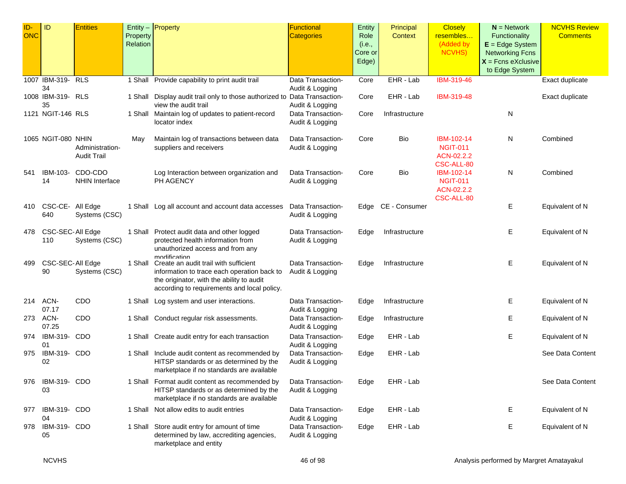| ID-        | <b>ID</b>              | <b>Entities</b>       |          | Entity $-$ Property                                                                          | Functional                                  | Entity  | Principal      | <b>Closely</b>           | $N =$ Network          | <b>NCVHS Review</b> |
|------------|------------------------|-----------------------|----------|----------------------------------------------------------------------------------------------|---------------------------------------------|---------|----------------|--------------------------|------------------------|---------------------|
| <b>ONC</b> |                        |                       | Property |                                                                                              | <b>Categories</b>                           | Role    | Context        | resembles                | Functionality          | <b>Comments</b>     |
|            |                        |                       | Relation |                                                                                              |                                             | (i.e.,  |                | (Added by                | $E = Edge System$      |                     |
|            |                        |                       |          |                                                                                              |                                             | Core or |                | NCVHS)                   | <b>Networking Fcns</b> |                     |
|            |                        |                       |          |                                                                                              |                                             | Edge)   |                |                          | $X =$ Fcns eXclusive   |                     |
|            |                        |                       |          |                                                                                              |                                             |         |                |                          | to Edge System         |                     |
|            | 1007 IBM-319-<br>34    | <b>RLS</b>            |          | 1 Shall Provide capability to print audit trail                                              | Data Transaction-                           | Core    | EHR - Lab      | IBM-319-46               |                        | Exact duplicate     |
|            | 1008 IBM-319- RLS      |                       |          | 1 Shall Display audit trail only to those authorized to                                      | Audit & Logging<br><b>Data Transaction-</b> | Core    | EHR - Lab      | IBM-319-48               |                        | Exact duplicate     |
|            | 35                     |                       |          | view the audit trail                                                                         | Audit & Logging                             |         |                |                          |                        |                     |
|            | 1121 NGIT-146 RLS      |                       |          | 1 Shall Maintain log of updates to patient-record                                            | Data Transaction-                           | Core    | Infrastructure |                          | N                      |                     |
|            |                        |                       |          | locator index                                                                                | Audit & Logging                             |         |                |                          |                        |                     |
|            | 1065 NGIT-080 NHIN     |                       | May      | Maintain log of transactions between data                                                    | Data Transaction-                           | Core    | Bio            | IBM-102-14               | N                      | Combined            |
|            |                        | Administration-       |          | suppliers and receivers                                                                      | Audit & Logging                             |         |                | <b>NGIT-011</b>          |                        |                     |
|            |                        | <b>Audit Trail</b>    |          |                                                                                              |                                             |         |                | ACN-02.2.2               |                        |                     |
| 541        | IBM-103-               | CDO-CDO               |          | Log Interaction between organization and                                                     | Data Transaction-                           | Core    | Bio            | CSC-ALL-80<br>IBM-102-14 | N                      | Combined            |
|            | 14                     | <b>NHIN Interface</b> |          | PH AGENCY                                                                                    | Audit & Logging                             |         |                | <b>NGIT-011</b>          |                        |                     |
|            |                        |                       |          |                                                                                              |                                             |         |                | ACN-02.2.2               |                        |                     |
|            |                        |                       |          |                                                                                              |                                             |         |                | CSC-ALL-80               |                        |                     |
| 410        | CSC-CE- All Edge       |                       |          | 1 Shall Log all account and account data accesses                                            | Data Transaction-                           | Edge    | CE - Consumer  |                          | Е                      | Equivalent of N     |
|            | 640                    | Systems (CSC)         |          |                                                                                              | Audit & Logging                             |         |                |                          |                        |                     |
| 478        | CSC-SEC-All Edge       |                       |          | 1 Shall Protect audit data and other logged                                                  | Data Transaction-                           | Edge    | Infrastructure |                          | Ε                      | Equivalent of N     |
|            | 110                    | Systems (CSC)         |          | protected health information from                                                            | Audit & Logging                             |         |                |                          |                        |                     |
|            |                        |                       |          | unauthorized access and from any                                                             |                                             |         |                |                          |                        |                     |
|            |                        |                       |          | modification                                                                                 |                                             |         |                |                          |                        |                     |
| 499        | CSC-SEC-All Edge<br>90 | Systems (CSC)         |          | 1 Shall Create an audit trail with sufficient<br>information to trace each operation back to | Data Transaction-                           | Edge    | Infrastructure |                          | E                      | Equivalent of N     |
|            |                        |                       |          | the originator, with the ability to audit                                                    | Audit & Logging                             |         |                |                          |                        |                     |
|            |                        |                       |          | according to requirements and local policy.                                                  |                                             |         |                |                          |                        |                     |
|            | 214 ACN-               | CDO                   |          | 1 Shall Log system and user interactions.                                                    | Data Transaction-                           | Edge    | Infrastructure |                          | Е                      | Equivalent of N     |
|            | 07.17                  |                       |          |                                                                                              | Audit & Logging                             |         |                |                          |                        |                     |
| 273        | ACN-                   | CDO                   |          | 1 Shall Conduct regular risk assessments.                                                    | Data Transaction-                           | Edge    | Infrastructure |                          | Е                      | Equivalent of N     |
|            | 07.25                  |                       |          |                                                                                              | Audit & Logging                             |         |                |                          |                        |                     |
| 974        | IBM-319-               | CDO                   |          | 1 Shall Create audit entry for each transaction                                              | Data Transaction-                           | Edge    | EHR - Lab      |                          | Е                      | Equivalent of N     |
| 975        | 01<br>IBM-319-         | CDO                   |          | 1 Shall Include audit content as recommended by                                              | Audit & Logging<br>Data Transaction-        | Edge    | EHR - Lab      |                          |                        | See Data Content    |
|            | 02                     |                       |          | HITSP standards or as determined by the                                                      | Audit & Logging                             |         |                |                          |                        |                     |
|            |                        |                       |          | marketplace if no standards are available                                                    |                                             |         |                |                          |                        |                     |
| 976        | IBM-319- CDO           |                       |          | 1 Shall Format audit content as recommended by                                               | Data Transaction-                           | Edge    | EHR - Lab      |                          |                        | See Data Content    |
|            | 03                     |                       |          | HITSP standards or as determined by the                                                      | Audit & Logging                             |         |                |                          |                        |                     |
|            |                        |                       |          | marketplace if no standards are available                                                    |                                             |         |                |                          |                        |                     |
| 977        | IBM-319- CDO           |                       |          | 1 Shall Not allow edits to audit entries                                                     | Data Transaction-                           | Edge    | EHR - Lab      |                          | E.                     | Equivalent of N     |
|            | 04                     |                       |          |                                                                                              | Audit & Logging                             |         |                |                          |                        |                     |
| 978        | IBM-319- CDO           |                       |          | 1 Shall Store audit entry for amount of time                                                 | Data Transaction-                           | Edge    | EHR - Lab      |                          | Е                      | Equivalent of N     |
|            | 05                     |                       |          | determined by law, accrediting agencies,                                                     | Audit & Logging                             |         |                |                          |                        |                     |
|            |                        |                       |          | marketplace and entity                                                                       |                                             |         |                |                          |                        |                     |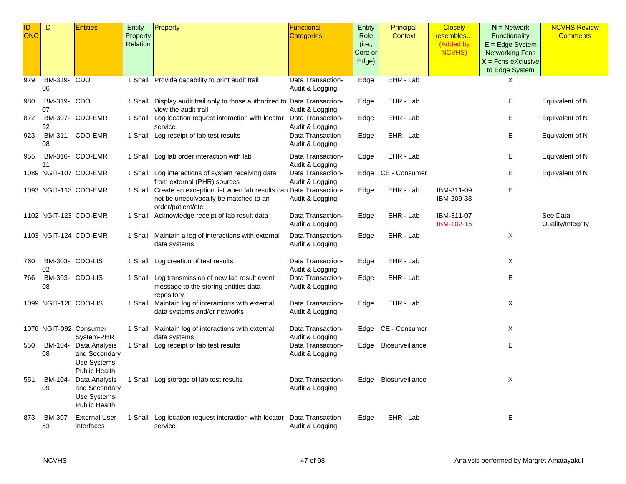| ID-        | ID                     | <b>Entities</b>                                                        |          | Entity - Property                                                                                                                      | Functional                           | Entity  | Principal       | <b>Closely</b>           | $N =$ Network          | <b>NCVHS Review</b>           |
|------------|------------------------|------------------------------------------------------------------------|----------|----------------------------------------------------------------------------------------------------------------------------------------|--------------------------------------|---------|-----------------|--------------------------|------------------------|-------------------------------|
| <b>ONC</b> |                        |                                                                        | Property |                                                                                                                                        | <b>Categories</b>                    | Role    | <b>Context</b>  | resembles                | Functionality          | <b>Comments</b>               |
|            |                        |                                                                        | Relation |                                                                                                                                        |                                      | (i.e.,  |                 | (Added by                | $E = Edge System$      |                               |
|            |                        |                                                                        |          |                                                                                                                                        |                                      | Core or |                 | NCVHS)                   | <b>Networking Fcns</b> |                               |
|            |                        |                                                                        |          |                                                                                                                                        |                                      | Edge)   |                 |                          | $X =$ Fcns eXclusive   |                               |
|            |                        |                                                                        |          |                                                                                                                                        |                                      |         |                 |                          | to Edge System         |                               |
| 979        | IBM-319-<br>06         | CDO                                                                    |          | 1 Shall Provide capability to print audit trail                                                                                        | Data Transaction-<br>Audit & Logging | Edge    | EHR - Lab       |                          | X                      |                               |
| 980        | IBM-319- CDO<br>07     |                                                                        |          | 1 Shall Display audit trail only to those authorized to Data Transaction-<br>view the audit trail                                      | Audit & Logging                      | Edge    | EHR - Lab       |                          | Е                      | Equivalent of N               |
| 872        | 52                     | IBM-307- CDO-EMR                                                       |          | 1 Shall Log location request interaction with locator<br>service                                                                       | Data Transaction-<br>Audit & Logging | Edge    | EHR - Lab       |                          | E.                     | Equivalent of N               |
| 923        | 08                     | IBM-311- CDO-EMR                                                       |          | 1 Shall Log receipt of lab test results                                                                                                | Data Transaction-<br>Audit & Logging | Edge    | EHR - Lab       |                          | E                      | Equivalent of N               |
| 955        | 11                     | IBM-316- CDO-EMR                                                       |          | 1 Shall Log lab order interaction with lab                                                                                             | Data Transaction-<br>Audit & Logging | Edge    | EHR - Lab       |                          | Е                      | Equivalent of N               |
|            |                        | 1089 NGIT-107 CDO-EMR                                                  |          | 1 Shall Log interactions of system receiving data<br>from external (PHR) sources                                                       | Data Transaction-<br>Audit & Logging | Edge    | CE - Consumer   |                          | Е                      | Equivalent of N               |
|            |                        | 1093 NGIT-113 CDO-EMR                                                  |          | 1 Shall Create an exception list when lab results can Data Transaction-<br>not be unequivocally be matched to an<br>order/patient/etc. | Audit & Logging                      | Edge    | EHR - Lab       | IBM-311-09<br>IBM-209-38 | E.                     |                               |
|            |                        | 1102 NGIT-123 CDO-EMR                                                  |          | 1 Shall Acknowledge receipt of lab result data                                                                                         | Data Transaction-<br>Audit & Logging | Edge    | EHR - Lab       | IBM-311-07<br>IBM-102-15 |                        | See Data<br>Quality/Integrity |
|            |                        | 1103 NGIT-124 CDO-EMR                                                  |          | 1 Shall Maintain a log of interactions with external<br>data systems                                                                   | Data Transaction-<br>Audit & Logging | Edge    | EHR - Lab       |                          | X                      |                               |
| 760        | IBM-303- CDO-LIS<br>02 |                                                                        |          | 1 Shall Log creation of test results                                                                                                   | Data Transaction-<br>Audit & Logging | Edge    | EHR - Lab       |                          | X                      |                               |
| 766        | IBM-303- CDO-LIS<br>08 |                                                                        |          | 1 Shall Log transmission of new lab result event<br>message to the storing entities data<br>repository                                 | Data Transaction-<br>Audit & Logging | Edge    | EHR - Lab       |                          | E.                     |                               |
|            | 1099 NGIT-120 CDO-LIS  |                                                                        |          | 1 Shall Maintain log of interactions with external<br>data systems and/or networks                                                     | Data Transaction-<br>Audit & Logging | Edge    | EHR - Lab       |                          | X                      |                               |
|            |                        | 1076 NGIT-092 Consumer<br>System-PHR                                   |          | 1 Shall Maintain log of interactions with external<br>data systems                                                                     | Data Transaction-<br>Audit & Logging | Edge    | CE - Consumer   |                          | X                      |                               |
| 550        | IBM-104-<br>08         | Data Analysis<br>and Secondary<br>Use Systems-<br><b>Public Health</b> |          | 1 Shall Log receipt of lab test results                                                                                                | Data Transaction-<br>Audit & Logging | Edge    | Biosurveillance |                          | E.                     |                               |
| 551        | IBM-104-<br>09         | Data Analysis<br>and Secondary<br>Use Systems-<br><b>Public Health</b> |          | 1 Shall Log storage of lab test results                                                                                                | Data Transaction-<br>Audit & Logging | Edge    | Biosurveillance |                          | X                      |                               |
| 873        | IBM-307-<br>53         | <b>External User</b><br>interfaces                                     |          | 1 Shall Log location request interaction with locator<br>service                                                                       | Data Transaction-<br>Audit & Logging | Edge    | EHR - Lab       |                          | Е                      |                               |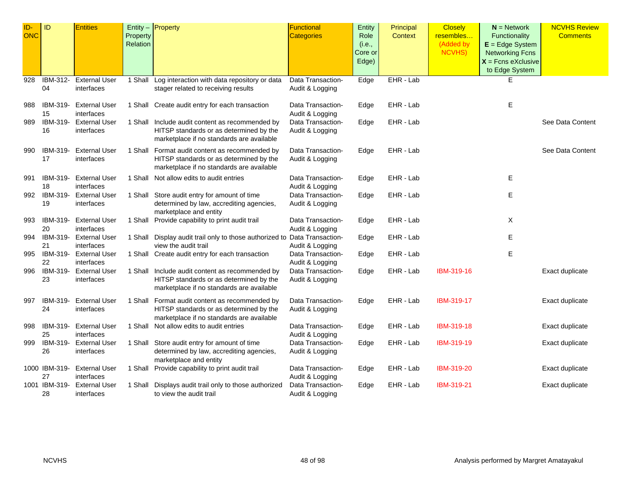| ID-<br><b>ONC</b> | ID                  | <b>Entities</b>                    | Property<br>Relation | Entity $-$ <b>Property</b>                                                                                                              | <b>Functional</b><br><b>Categories</b> | Entity<br>Role<br>(i.e.,<br>Core or<br>Edge) | Principal<br><b>Context</b> | <b>Closely</b><br>resembles<br>(Added by<br><b>NCVHS)</b> | $N =$ Network<br>Functionality<br>$E = Edge System$<br><b>Networking Fcns</b><br>$X$ = Fcns eXclusive<br>to Edge System | <b>NCVHS Review</b><br><b>Comments</b> |
|-------------------|---------------------|------------------------------------|----------------------|-----------------------------------------------------------------------------------------------------------------------------------------|----------------------------------------|----------------------------------------------|-----------------------------|-----------------------------------------------------------|-------------------------------------------------------------------------------------------------------------------------|----------------------------------------|
| 928               | IBM-312-<br>04      | <b>External User</b><br>interfaces |                      | 1 Shall Log interaction with data repository or data<br>stager related to receiving results                                             | Data Transaction-<br>Audit & Logging   | Edge                                         | EHR - Lab                   |                                                           | Е                                                                                                                       |                                        |
| 988               | IBM-319-<br>15      | <b>External User</b><br>interfaces |                      | 1 Shall Create audit entry for each transaction                                                                                         | Data Transaction-<br>Audit & Logging   | Edge                                         | EHR - Lab                   |                                                           | Ε                                                                                                                       |                                        |
| 989               | IBM-319-<br>16      | <b>External User</b><br>interfaces |                      | 1 Shall Include audit content as recommended by<br>HITSP standards or as determined by the<br>marketplace if no standards are available | Data Transaction-<br>Audit & Logging   | Edge                                         | EHR - Lab                   |                                                           |                                                                                                                         | See Data Content                       |
| 990               | IBM-319-<br>17      | <b>External User</b><br>interfaces |                      | 1 Shall Format audit content as recommended by<br>HITSP standards or as determined by the<br>marketplace if no standards are available  | Data Transaction-<br>Audit & Logging   | Edge                                         | EHR - Lab                   |                                                           |                                                                                                                         | See Data Content                       |
| 991               | IBM-319-<br>18      | <b>External User</b><br>interfaces |                      | 1 Shall Not allow edits to audit entries                                                                                                | Data Transaction-<br>Audit & Logging   | Edge                                         | EHR - Lab                   |                                                           | Ε                                                                                                                       |                                        |
| 992               | IBM-319-<br>19      | <b>External User</b><br>interfaces |                      | 1 Shall Store audit entry for amount of time<br>determined by law, accrediting agencies,<br>marketplace and entity                      | Data Transaction-<br>Audit & Logging   | Edge                                         | EHR - Lab                   |                                                           | Е                                                                                                                       |                                        |
| 993               | IBM-319-<br>20      | <b>External User</b><br>interfaces |                      | 1 Shall Provide capability to print audit trail                                                                                         | Data Transaction-<br>Audit & Logging   | Edge                                         | EHR - Lab                   |                                                           | Χ                                                                                                                       |                                        |
| 994               | IBM-319-<br>21      | <b>External User</b><br>interfaces |                      | 1 Shall Display audit trail only to those authorized to<br>view the audit trail                                                         | Data Transaction-<br>Audit & Logging   | Edge                                         | EHR - Lab                   |                                                           | Ε                                                                                                                       |                                        |
| 995               | IBM-319-<br>22      | <b>External User</b><br>interfaces |                      | 1 Shall Create audit entry for each transaction                                                                                         | Data Transaction-<br>Audit & Logging   | Edge                                         | EHR - Lab                   |                                                           | Ε                                                                                                                       |                                        |
| 996               | IBM-319-<br>23      | <b>External User</b><br>interfaces |                      | 1 Shall Include audit content as recommended by<br>HITSP standards or as determined by the<br>marketplace if no standards are available | Data Transaction-<br>Audit & Logging   | Edge                                         | EHR - Lab                   | IBM-319-16                                                |                                                                                                                         | Exact duplicate                        |
| 997               | IBM-319-<br>24      | <b>External User</b><br>interfaces |                      | 1 Shall Format audit content as recommended by<br>HITSP standards or as determined by the<br>marketplace if no standards are available  | Data Transaction-<br>Audit & Logging   | Edge                                         | EHR - Lab                   | <b>IBM-319-17</b>                                         |                                                                                                                         | Exact duplicate                        |
| 998               | IBM-319-<br>25      | <b>External User</b><br>interfaces |                      | 1 Shall Not allow edits to audit entries                                                                                                | Data Transaction-<br>Audit & Logging   | Edge                                         | EHR - Lab                   | <b>IBM-319-18</b>                                         |                                                                                                                         | Exact duplicate                        |
| 999               | IBM-319-<br>26      | <b>External User</b><br>interfaces |                      | 1 Shall Store audit entry for amount of time<br>determined by law, accrediting agencies,<br>marketplace and entity                      | Data Transaction-<br>Audit & Logging   | Edge                                         | EHR - Lab                   | IBM-319-19                                                |                                                                                                                         | Exact duplicate                        |
|                   | 1000 IBM-319-<br>27 | <b>External User</b><br>interfaces |                      | 1 Shall Provide capability to print audit trail                                                                                         | Data Transaction-<br>Audit & Logging   | Edge                                         | EHR - Lab                   | IBM-319-20                                                |                                                                                                                         | Exact duplicate                        |
|                   | 1001 IBM-319-<br>28 | <b>External User</b><br>interfaces |                      | 1 Shall Displays audit trail only to those authorized<br>to view the audit trail                                                        | Data Transaction-<br>Audit & Logging   | Edge                                         | EHR - Lab                   | IBM-319-21                                                |                                                                                                                         | Exact duplicate                        |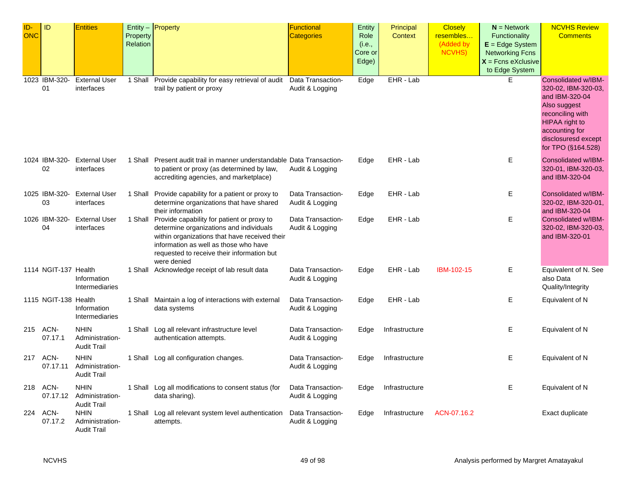| ID- | ID                   | <b>Entities</b>                                      |          | Entity $-$ Property                                                                                                                                                                            | <b>Functional</b>                    | Entity  | Principal      | <b>Closely</b> | $N =$ Network          | <b>NCVHS Review</b>                                                           |
|-----|----------------------|------------------------------------------------------|----------|------------------------------------------------------------------------------------------------------------------------------------------------------------------------------------------------|--------------------------------------|---------|----------------|----------------|------------------------|-------------------------------------------------------------------------------|
| ONC |                      |                                                      | Property |                                                                                                                                                                                                | <b>Categories</b>                    | Role    | <b>Context</b> | resembles      | Functionality          | <b>Comments</b>                                                               |
|     |                      |                                                      | Relation |                                                                                                                                                                                                |                                      | (i.e.,  |                | (Added by      | $E = Edge System$      |                                                                               |
|     |                      |                                                      |          |                                                                                                                                                                                                |                                      | Core or |                | NCVHS)         | <b>Networking Fcns</b> |                                                                               |
|     |                      |                                                      |          |                                                                                                                                                                                                |                                      | Edge)   |                |                | $X =$ Fcns eXclusive   |                                                                               |
|     |                      |                                                      |          |                                                                                                                                                                                                |                                      |         |                |                | to Edge System         |                                                                               |
|     | 1023 IBM-320-<br>01  | <b>External User</b><br>interfaces                   | 1 Shall  | Provide capability for easy retrieval of audit<br>trail by patient or proxy                                                                                                                    | Data Transaction-<br>Audit & Logging | Edge    | EHR - Lab      |                | E.                     | Consolidated w/IBM-<br>320-02, IBM-320-03,                                    |
|     |                      |                                                      |          |                                                                                                                                                                                                |                                      |         |                |                |                        | and IBM-320-04<br>Also suggest<br>reconciling with                            |
|     |                      |                                                      |          |                                                                                                                                                                                                |                                      |         |                |                |                        | HIPAA right to<br>accounting for<br>disclosuresd except<br>for TPO (§164.528) |
|     |                      |                                                      |          |                                                                                                                                                                                                |                                      |         |                |                |                        |                                                                               |
|     | 1024 IBM-320-<br>02  | <b>External User</b><br>interfaces                   |          | 1 Shall Present audit trail in manner understandable Data Transaction-<br>to patient or proxy (as determined by law,<br>accrediting agencies, and marketplace)                                 | Audit & Logging                      | Edge    | EHR - Lab      |                | Ε                      | Consolidated w/IBM-<br>320-01, IBM-320-03,<br>and IBM-320-04                  |
|     | 1025 IBM-320-        | <b>External User</b>                                 |          | 1 Shall Provide capability for a patient or proxy to                                                                                                                                           | Data Transaction-                    | Edge    | EHR - Lab      |                | Е                      | Consolidated w/IBM-                                                           |
|     | 03                   | interfaces                                           |          | determine organizations that have shared<br>their information                                                                                                                                  | Audit & Logging                      |         |                |                |                        | 320-02, IBM-320-01,<br>and IBM-320-04                                         |
|     | 1026 IBM-320-        | <b>External User</b>                                 |          | 1 Shall Provide capability for patient or proxy to                                                                                                                                             | Data Transaction-                    | Edge    | EHR - Lab      |                | E                      | Consolidated w/IBM-                                                           |
|     | 04                   | interfaces                                           |          | determine organizations and individuals<br>within organizations that have received their<br>information as well as those who have<br>requested to receive their information but<br>were denied | Audit & Logging                      |         |                |                |                        | 320-02, IBM-320-03,<br>and IBM-320-01                                         |
|     | 1114 NGIT-137 Health | Information<br>Intermediaries                        |          | 1 Shall Acknowledge receipt of lab result data                                                                                                                                                 | Data Transaction-<br>Audit & Logging | Edge    | EHR - Lab      | IBM-102-15     | Е                      | Equivalent of N. See<br>also Data<br>Quality/Integrity                        |
|     | 1115 NGIT-138 Health | Information<br>Intermediaries                        |          | 1 Shall Maintain a log of interactions with external<br>data systems                                                                                                                           | Data Transaction-<br>Audit & Logging | Edge    | EHR - Lab      |                | E                      | Equivalent of N                                                               |
|     | 215 ACN-<br>07.17.1  | <b>NHIN</b><br>Administration-<br><b>Audit Trail</b> |          | 1 Shall Log all relevant infrastructure level<br>authentication attempts.                                                                                                                      | Data Transaction-<br>Audit & Logging | Edge    | Infrastructure |                | Е                      | Equivalent of N                                                               |
|     | 217 ACN-<br>07.17.11 | <b>NHIN</b><br>Administration-<br><b>Audit Trail</b> |          | 1 Shall Log all configuration changes.                                                                                                                                                         | Data Transaction-<br>Audit & Logging | Edge    | Infrastructure |                | Е                      | Equivalent of N                                                               |
| 218 | ACN-<br>07.17.12     | <b>NHIN</b><br>Administration-<br><b>Audit Trail</b> |          | 1 Shall Log all modifications to consent status (for<br>data sharing).                                                                                                                         | Data Transaction-<br>Audit & Logging | Edge    | Infrastructure |                | Е                      | Equivalent of N                                                               |
|     | 224 ACN-<br>07.17.2  | <b>NHIN</b><br>Administration-<br><b>Audit Trail</b> |          | 1 Shall Log all relevant system level authentication<br>attempts.                                                                                                                              | Data Transaction-<br>Audit & Logging | Edge    | Infrastructure | ACN-07.16.2    |                        | Exact duplicate                                                               |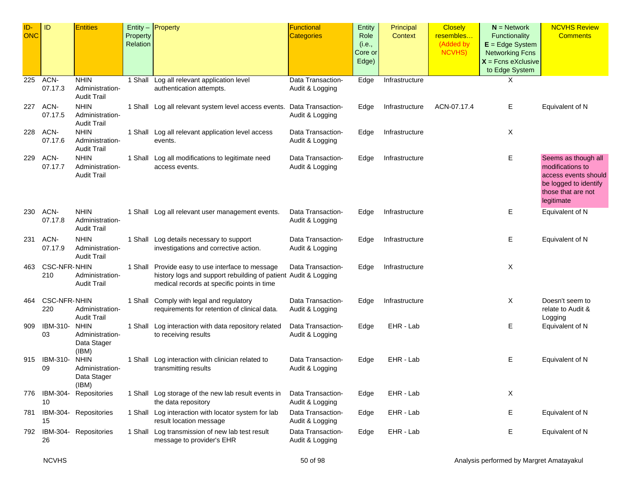| ID-<br><b>ONC</b> | ID                         | <b>Entities</b>                                        | Property<br>Relation | Entity - Property                                                                                                                                        | <b>Functional</b><br><b>Categories</b> | Entity<br>Role<br>(i.e.,<br>Core or<br>Edge) | Principal<br>Context | <b>Closely</b><br>resembles<br>(Added by<br>NCVHS) | $N =$ Network<br>Functionality<br>$E = Edge System$<br><b>Networking Fcns</b><br>$X =$ Fcns eXclusive<br>to Edge System | <b>NCVHS Review</b><br><b>Comments</b>                                                                                       |
|-------------------|----------------------------|--------------------------------------------------------|----------------------|----------------------------------------------------------------------------------------------------------------------------------------------------------|----------------------------------------|----------------------------------------------|----------------------|----------------------------------------------------|-------------------------------------------------------------------------------------------------------------------------|------------------------------------------------------------------------------------------------------------------------------|
| 225               | ACN-<br>07.17.3            | <b>NHIN</b><br>Administration-<br><b>Audit Trail</b>   |                      | 1 Shall Log all relevant application level<br>authentication attempts.                                                                                   | Data Transaction-<br>Audit & Logging   | Edge                                         | Infrastructure       |                                                    | Χ                                                                                                                       |                                                                                                                              |
| 227               | ACN-<br>07.17.5            | <b>NHIN</b><br>Administration-<br><b>Audit Trail</b>   |                      | 1 Shall Log all relevant system level access events. Data Transaction-                                                                                   | Audit & Logging                        | Edge                                         | Infrastructure       | ACN-07.17.4                                        | Е                                                                                                                       | Equivalent of N                                                                                                              |
| 228               | ACN-<br>07.17.6            | <b>NHIN</b><br>Administration-<br><b>Audit Trail</b>   |                      | 1 Shall Log all relevant application level access<br>events.                                                                                             | Data Transaction-<br>Audit & Logging   | Edge                                         | Infrastructure       |                                                    | Χ                                                                                                                       |                                                                                                                              |
| 229               | ACN-<br>07.17.7            | <b>NHIN</b><br>Administration-<br><b>Audit Trail</b>   |                      | 1 Shall Log all modifications to legitimate need<br>access events.                                                                                       | Data Transaction-<br>Audit & Logging   | Edge                                         | Infrastructure       |                                                    | Е                                                                                                                       | Seems as though all<br>modifications to<br>access events should<br>be logged to identify<br>those that are not<br>legitimate |
| 230               | ACN-<br>07.17.8            | <b>NHIN</b><br>Administration-<br><b>Audit Trail</b>   |                      | 1 Shall Log all relevant user management events.                                                                                                         | Data Transaction-<br>Audit & Logging   | Edge                                         | Infrastructure       |                                                    | Е                                                                                                                       | Equivalent of N                                                                                                              |
| 231               | ACN-<br>07.17.9            | <b>NHIN</b><br>Administration-<br><b>Audit Trail</b>   |                      | 1 Shall Log details necessary to support<br>investigations and corrective action.                                                                        | Data Transaction-<br>Audit & Logging   | Edge                                         | Infrastructure       |                                                    | Е                                                                                                                       | Equivalent of N                                                                                                              |
| 463               | <b>CSC-NFR-NHIN</b><br>210 | Administration-<br><b>Audit Trail</b>                  | 1 Shall              | Provide easy to use interface to message<br>history logs and support rebuilding of patient Audit & Logging<br>medical records at specific points in time | Data Transaction-                      | Edge                                         | Infrastructure       |                                                    | Χ                                                                                                                       |                                                                                                                              |
| 464               | <b>CSC-NFR-NHIN</b><br>220 | Administration-<br><b>Audit Trail</b>                  |                      | 1 Shall Comply with legal and regulatory<br>requirements for retention of clinical data.                                                                 | Data Transaction-<br>Audit & Logging   | Edge                                         | Infrastructure       |                                                    | Χ                                                                                                                       | Doesn't seem to<br>relate to Audit &<br>Logging                                                                              |
| 909               | IBM-310-<br>03             | <b>NHIN</b><br>Administration-<br>Data Stager<br>(IBM) |                      | 1 Shall Log interaction with data repository related<br>to receiving results                                                                             | Data Transaction-<br>Audit & Logging   | Edge                                         | EHR - Lab            |                                                    | Е                                                                                                                       | Equivalent of N                                                                                                              |
| 915               | IBM-310-<br>09             | <b>NHIN</b><br>Administration-<br>Data Stager<br>(IBM) |                      | 1 Shall Log interaction with clinician related to<br>transmitting results                                                                                | Data Transaction-<br>Audit & Logging   | Edge                                         | EHR - Lab            |                                                    | Е                                                                                                                       | Equivalent of N                                                                                                              |
|                   | 776 IBM-304-<br>10         | Repositories                                           |                      | 1 Shall Log storage of the new lab result events in<br>the data repository                                                                               | Data Transaction-<br>Audit & Logging   | Edge                                         | EHR - Lab            |                                                    | X                                                                                                                       |                                                                                                                              |
| 781               | 15                         | IBM-304- Repositories                                  |                      | 1 Shall Log interaction with locator system for lab<br>result location message                                                                           | Data Transaction-<br>Audit & Logging   | Edge                                         | EHR - Lab            |                                                    | Е                                                                                                                       | Equivalent of N                                                                                                              |
| 792               | 26                         | IBM-304- Repositories                                  |                      | 1 Shall Log transmission of new lab test result<br>message to provider's EHR                                                                             | Data Transaction-<br>Audit & Logging   | Edge                                         | EHR - Lab            |                                                    | Е                                                                                                                       | Equivalent of N                                                                                                              |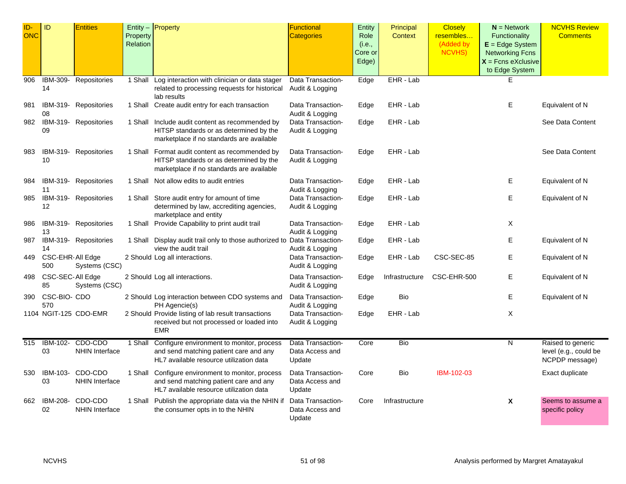| ID-<br><b>ONC</b> | ID                       | <b>Entities</b>                  | Property<br>Relation | Entity $-$ Property                                                                                                                     | <b>Functional</b><br><b>Categories</b>         | Entity<br>Role<br>(i.e.,<br>Core or<br>Edge) | Principal<br><b>Context</b> | <b>Closely</b><br>resembles<br>(Added by<br><b>NCVHS)</b> | $N =$ Network<br><b>Functionality</b><br>$E = Edge System$<br><b>Networking Fcns</b><br>$X =$ Fcns eXclusive<br>to Edge System | <b>NCVHS Review</b><br><b>Comments</b>                       |
|-------------------|--------------------------|----------------------------------|----------------------|-----------------------------------------------------------------------------------------------------------------------------------------|------------------------------------------------|----------------------------------------------|-----------------------------|-----------------------------------------------------------|--------------------------------------------------------------------------------------------------------------------------------|--------------------------------------------------------------|
| 906               | 14                       | IBM-309- Repositories            | 1 Shall              | Log interaction with clinician or data stager<br>related to processing requests for historical<br>lab results                           | Data Transaction-<br>Audit & Logging           | Edge                                         | EHR - Lab                   |                                                           | F                                                                                                                              |                                                              |
| 981               | 08                       | IBM-319- Repositories            |                      | 1 Shall Create audit entry for each transaction                                                                                         | Data Transaction-<br>Audit & Logging           | Edge                                         | EHR - Lab                   |                                                           | Е                                                                                                                              | Equivalent of N                                              |
| 982               | 09                       | IBM-319- Repositories            |                      | 1 Shall Include audit content as recommended by<br>HITSP standards or as determined by the<br>marketplace if no standards are available | Data Transaction-<br>Audit & Logging           | Edge                                         | EHR - Lab                   |                                                           |                                                                                                                                | See Data Content                                             |
| 983               | 10                       | IBM-319- Repositories            |                      | 1 Shall Format audit content as recommended by<br>HITSP standards or as determined by the<br>marketplace if no standards are available  | Data Transaction-<br>Audit & Logging           | Edge                                         | EHR - Lab                   |                                                           |                                                                                                                                | See Data Content                                             |
| 984               | 11                       | IBM-319- Repositories            |                      | 1 Shall Not allow edits to audit entries                                                                                                | Data Transaction-<br>Audit & Logging           | Edge                                         | EHR - Lab                   |                                                           | Е                                                                                                                              | Equivalent of N                                              |
| 985               | 12                       | IBM-319- Repositories            |                      | 1 Shall Store audit entry for amount of time<br>determined by law, accrediting agencies,<br>marketplace and entity                      | Data Transaction-<br>Audit & Logging           | Edge                                         | EHR - Lab                   |                                                           | Е                                                                                                                              | Equivalent of N                                              |
| 986               | 13                       | IBM-319- Repositories            |                      | 1 Shall Provide Capability to print audit trail                                                                                         | Data Transaction-<br>Audit & Logging           | Edge                                         | EHR - Lab                   |                                                           | Χ                                                                                                                              |                                                              |
| 987               | 14                       | IBM-319- Repositories            |                      | 1 Shall Display audit trail only to those authorized to Data Transaction-<br>view the audit trail                                       | Audit & Logging                                | Edge                                         | EHR - Lab                   |                                                           | Е                                                                                                                              | Equivalent of N                                              |
| 449               | CSC-EHR- All Edge<br>500 | Systems (CSC)                    |                      | 2 Should Log all interactions.                                                                                                          | Data Transaction-<br>Audit & Logging           | Edge                                         | EHR - Lab                   | CSC-SEC-85                                                | Е                                                                                                                              | Equivalent of N                                              |
| 498               | CSC-SEC-All Edge<br>85   | Systems (CSC)                    |                      | 2 Should Log all interactions.                                                                                                          | Data Transaction-<br>Audit & Logging           | Edge                                         | Infrastructure              | CSC-EHR-500                                               | Е                                                                                                                              | Equivalent of N                                              |
| 390               | CSC-BIO- CDO<br>570      |                                  |                      | 2 Should Log interaction between CDO systems and<br>PH Agencie(s)                                                                       | Data Transaction-<br>Audit & Logging           | Edge                                         | Bio                         |                                                           | Ε                                                                                                                              | Equivalent of N                                              |
|                   | 1104 NGIT-125 CDO-EMR    |                                  |                      | 2 Should Provide listing of lab result transactions<br>received but not processed or loaded into<br><b>EMR</b>                          | Data Transaction-<br>Audit & Logging           | Edge                                         | EHR - Lab                   |                                                           | X                                                                                                                              |                                                              |
| 515               | IBM-102-<br>03           | CDO-CDO<br>NHIN Interface        | 1 Shall              | Configure environment to monitor, process<br>and send matching patient care and any<br>HL7 available resource utilization data          | Data Transaction-<br>Data Access and<br>Update | Core                                         | <b>Bio</b>                  |                                                           | N                                                                                                                              | Raised to generic<br>level (e.g., could be<br>NCPDP message) |
| 530               | IBM-103-<br>03           | CDO-CDO<br><b>NHIN Interface</b> |                      | 1 Shall Configure environment to monitor, process<br>and send matching patient care and any<br>HL7 available resource utilization data  | Data Transaction-<br>Data Access and<br>Update | Core                                         | Bio                         | IBM-102-03                                                |                                                                                                                                | Exact duplicate                                              |
| 662               | IBM-208-<br>02           | CDO-CDO<br><b>NHIN Interface</b> |                      | 1 Shall Publish the appropriate data via the NHIN if<br>the consumer opts in to the NHIN                                                | Data Transaction-<br>Data Access and<br>Update | Core                                         | Infrastructure              |                                                           | $\boldsymbol{\mathsf{X}}$                                                                                                      | Seems to assume a<br>specific policy                         |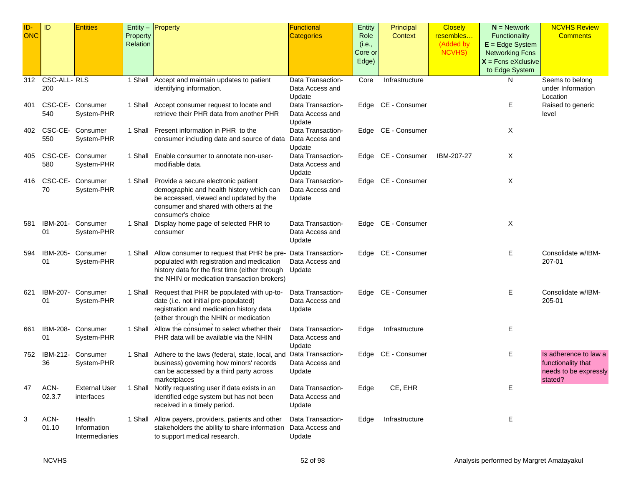| ID-        | ID              | <b>Entities</b>      |          | Entity $-$ Property                                                      | <b>Functional</b>           | Entity  | Principal          | <b>Closely</b> | $N =$ Network          | <b>NCVHS Review</b>   |
|------------|-----------------|----------------------|----------|--------------------------------------------------------------------------|-----------------------------|---------|--------------------|----------------|------------------------|-----------------------|
| <b>ONC</b> |                 |                      | Property |                                                                          | <b>Categories</b>           | Role    | Context            | resembles      | Functionality          | <b>Comments</b>       |
|            |                 |                      | Relation |                                                                          |                             | (i.e.,  |                    | (Added by      | $E = Edge System$      |                       |
|            |                 |                      |          |                                                                          |                             | Core or |                    | <b>NCVHS)</b>  | <b>Networking Fcns</b> |                       |
|            |                 |                      |          |                                                                          |                             | Edge)   |                    |                | $X =$ Fcns eXclusive   |                       |
|            |                 |                      |          |                                                                          |                             |         |                    |                | to Edge System         |                       |
|            | 312 CSC-ALL-RLS |                      |          | 1 Shall Accept and maintain updates to patient                           | Data Transaction-           | Core    | Infrastructure     |                | N                      | Seems to belong       |
|            | 200             |                      |          | identifying information.                                                 | Data Access and             |         |                    |                |                        | under Information     |
|            |                 |                      |          |                                                                          | Update                      |         |                    |                |                        | Location              |
| 401        |                 | CSC-CE- Consumer     |          | 1 Shall Accept consumer request to locate and                            | Data Transaction-           |         | Edge CE - Consumer |                | Е                      | Raised to generic     |
|            | 540             | System-PHR           |          | retrieve their PHR data from another PHR                                 | Data Access and             |         |                    |                |                        | level                 |
|            |                 |                      |          |                                                                          | Update                      |         |                    |                |                        |                       |
| 402        |                 | CSC-CE- Consumer     |          | 1 Shall Present information in PHR to the                                | Data Transaction-           |         | Edge CE - Consumer |                | Χ                      |                       |
|            | 550             | System-PHR           |          | consumer including date and source of data Data Access and               |                             |         |                    |                |                        |                       |
| 405        |                 | CSC-CE- Consumer     |          | 1 Shall Enable consumer to annotate non-user-                            | Update<br>Data Transaction- |         | Edge CE - Consumer | IBM-207-27     | Χ                      |                       |
|            | 580             | System-PHR           |          | modifiable data.                                                         | Data Access and             |         |                    |                |                        |                       |
|            |                 |                      |          |                                                                          | Update                      |         |                    |                |                        |                       |
| 416        |                 | CSC-CE- Consumer     |          | 1 Shall Provide a secure electronic patient                              | Data Transaction-           |         | Edge CE - Consumer |                | Χ                      |                       |
|            | 70              | System-PHR           |          | demographic and health history which can                                 | Data Access and             |         |                    |                |                        |                       |
|            |                 |                      |          | be accessed, viewed and updated by the                                   | Update                      |         |                    |                |                        |                       |
|            |                 |                      |          | consumer and shared with others at the                                   |                             |         |                    |                |                        |                       |
|            |                 |                      |          | consumer's choice                                                        |                             |         |                    |                |                        |                       |
| 581        | IBM-201-        | Consumer             | 1 Shall  | Display home page of selected PHR to                                     | Data Transaction-           |         | Edge CE - Consumer |                | Χ                      |                       |
|            | 01              | System-PHR           |          | consumer                                                                 | Data Access and             |         |                    |                |                        |                       |
|            |                 |                      |          |                                                                          | Update                      |         |                    |                |                        |                       |
| 594        | IBM-205-        | Consumer             |          | 1 Shall Allow consumer to request that PHR be pre- Data Transaction-     |                             |         | Edge CE - Consumer |                | Ε                      | Consolidate w/IBM-    |
|            | 01              | System-PHR           |          | populated with registration and medication                               | Data Access and             |         |                    |                |                        | 207-01                |
|            |                 |                      |          | history data for the first time (either through Update                   |                             |         |                    |                |                        |                       |
|            |                 |                      |          | the NHIN or medication transaction brokers)                              |                             |         |                    |                |                        |                       |
| 621        |                 | IBM-207- Consumer    |          | 1 Shall Request that PHR be populated with up-to-                        | Data Transaction-           |         | Edge CE - Consumer |                | Е                      | Consolidate w/IBM-    |
|            | 01              | System-PHR           |          | date (i.e. not initial pre-populated)                                    | Data Access and             |         |                    |                |                        | 205-01                |
|            |                 |                      |          | registration and medication history data                                 | Update                      |         |                    |                |                        |                       |
|            |                 |                      |          | (either through the NHIN or medication                                   |                             |         |                    |                |                        |                       |
| 661        | IBM-208-        | Consumer             |          | 1 Shall Allow the consumer to select whether their                       | Data Transaction-           | Edge    | Infrastructure     |                | Ε                      |                       |
|            | 01              | System-PHR           |          | PHR data will be available via the NHIN                                  | Data Access and             |         |                    |                |                        |                       |
|            |                 |                      |          |                                                                          | Update                      |         |                    |                |                        |                       |
| 752        |                 | IBM-212- Consumer    |          | 1 Shall Adhere to the laws (federal, state, local, and Data Transaction- |                             |         | Edge CE - Consumer |                | Ε                      | Is adherence to law a |
|            | 36              | System-PHR           |          | business) governing how minors' records                                  | Data Access and             |         |                    |                |                        | functionality that    |
|            |                 |                      |          | can be accessed by a third party across                                  | Update                      |         |                    |                |                        | needs to be expressly |
|            |                 |                      |          | marketplaces                                                             |                             |         |                    |                |                        | stated?               |
| 47         | ACN-            | <b>External User</b> |          | 1 Shall Notify requesting user if data exists in an                      | Data Transaction-           | Edge    | CE, EHR            |                | Ε                      |                       |
|            | 02.3.7          | interfaces           |          | identified edge system but has not been                                  | Data Access and             |         |                    |                |                        |                       |
|            |                 |                      |          | received in a timely period.                                             | Update                      |         |                    |                |                        |                       |
| 3          | ACN-            | Health               |          | 1 Shall Allow payers, providers, patients and other                      | Data Transaction-           | Edge    | Infrastructure     |                | Е                      |                       |
|            | 01.10           | Information          |          | stakeholders the ability to share information                            | Data Access and             |         |                    |                |                        |                       |
|            |                 | Intermediaries       |          | to support medical research.                                             | Update                      |         |                    |                |                        |                       |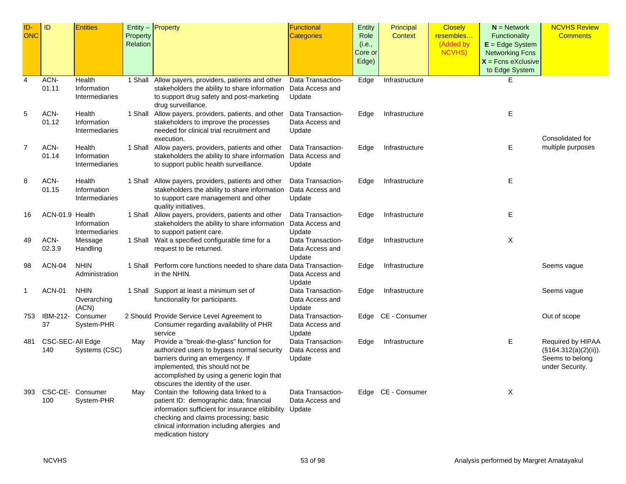| <b>ONC</b><br><b>Categories</b><br>Role<br>resembles<br>Functionality<br><b>Comments</b><br>Property<br>Context<br>Relation<br>(Added by<br>$E = Edge System$<br>(i.e.,<br><b>NCVHS)</b><br>Core or<br><b>Networking Fcns</b><br>Edge)<br>$X =$ Fcns eXclusive<br>to Edge System<br>$\overline{\mathbf{4}}$<br>ACN-<br>E<br>1 Shall Allow payers, providers, patients and other<br>Data Transaction-<br>Edge<br>Health<br>Infrastructure<br>01.11<br>Information<br>stakeholders the ability to share information<br>Data Access and<br>to support drug safety and post-marketing<br>Intermediaries<br>Update<br>drug surveillance.<br>ACN-<br>Е<br>5<br>Health<br>1 Shall Allow payers, providers, patients, and other<br>Data Transaction-<br>Edge<br>Infrastructure<br>01.12<br>stakeholders to improve the processes<br>Data Access and<br>Information<br>needed for clinical trial recruitment and<br>Intermediaries<br>Update<br>Consolidated for<br>execution.<br>Ε<br>multiple purposes<br>7<br>ACN-<br>Health<br>1 Shall Allow payers, providers, patients and other<br>Data Transaction-<br>Edge<br>Infrastructure<br>01.14<br>stakeholders the ability to share information<br>Data Access and<br>Information<br>to support public health surveillance.<br>Intermediaries<br>Update<br>Е<br>ACN-<br>Health<br>1 Shall Allow payers, providers, patients and other<br>Data Transaction-<br>8<br>Edge<br>Infrastructure<br>01.15<br>stakeholders the ability to share information<br>Data Access and<br>Information<br>Intermediaries<br>to support care management and other<br>Update<br>quality initiatives.<br>Е<br>ACN-01.9 Health<br>1 Shall Allow payers, providers, patients and other<br>Data Transaction-<br>16<br>Edge<br>Infrastructure<br>stakeholders the ability to share information<br>Data Access and<br>Information<br>Intermediaries<br>Update<br>to support patient care.<br>X<br>ACN-<br>1 Shall Wait a specified configurable time for a<br>Message<br>Data Transaction-<br>Infrastructure<br>49<br>Edge<br>02.3.9<br>request to be returned.<br>Handling<br>Data Access and<br>Update<br>ACN-04<br><b>NHIN</b><br>1 Shall Perform core functions needed to share data Data Transaction-<br>98<br>Infrastructure<br>Edge<br>Seems vague<br>in the NHIN.<br>Data Access and<br>Administration<br>Update<br><b>ACN-01</b><br><b>NHIN</b><br>1 Shall Support at least a minimum set of<br>Data Transaction-<br>Infrastructure<br>Seems vague<br>1<br>Edge<br>Overarching<br>functionality for participants.<br>Data Access and<br>(ACN)<br>Update<br>IBM-212- Consumer<br>2 Should Provide Service Level Agreement to<br>Data Transaction-<br>Edge CE - Consumer<br>Out of scope<br>753<br>37<br>Consumer regarding availability of PHR<br>System-PHR<br>Data Access and<br>service<br>Update<br>Ε<br>CSC-SEC-All Edge<br>Provide a "break-the-glass" function for<br>Data Transaction-<br>Edge<br>Infrastructure<br>Required by HIPAA<br>481<br>May<br>authorized users to bypass normal security<br>$(\$164.312(a)(2)(ii)).$<br>140<br>Systems (CSC)<br>Data Access and<br>barriers during an emergency. If<br>Update<br>Seems to belong | ID- | ID | <b>Entities</b> | Entity $-$ Property | <b>Functional</b> | Entity | Principal | <b>Closely</b> | $N =$ Network | <b>NCVHS Review</b> |
|-------------------------------------------------------------------------------------------------------------------------------------------------------------------------------------------------------------------------------------------------------------------------------------------------------------------------------------------------------------------------------------------------------------------------------------------------------------------------------------------------------------------------------------------------------------------------------------------------------------------------------------------------------------------------------------------------------------------------------------------------------------------------------------------------------------------------------------------------------------------------------------------------------------------------------------------------------------------------------------------------------------------------------------------------------------------------------------------------------------------------------------------------------------------------------------------------------------------------------------------------------------------------------------------------------------------------------------------------------------------------------------------------------------------------------------------------------------------------------------------------------------------------------------------------------------------------------------------------------------------------------------------------------------------------------------------------------------------------------------------------------------------------------------------------------------------------------------------------------------------------------------------------------------------------------------------------------------------------------------------------------------------------------------------------------------------------------------------------------------------------------------------------------------------------------------------------------------------------------------------------------------------------------------------------------------------------------------------------------------------------------------------------------------------------------------------------------------------------------------------------------------------------------------------------------------------------------------------------------------------------------------------------------------------------------------------------------------------------------------------------------------------------------------------------------------------------------------------------------------------------------------------------------------------------------------------------------------------------------------------------------------------------------------------------------------------------------------------------------------------------------------------------------------------------|-----|----|-----------------|---------------------|-------------------|--------|-----------|----------------|---------------|---------------------|
|                                                                                                                                                                                                                                                                                                                                                                                                                                                                                                                                                                                                                                                                                                                                                                                                                                                                                                                                                                                                                                                                                                                                                                                                                                                                                                                                                                                                                                                                                                                                                                                                                                                                                                                                                                                                                                                                                                                                                                                                                                                                                                                                                                                                                                                                                                                                                                                                                                                                                                                                                                                                                                                                                                                                                                                                                                                                                                                                                                                                                                                                                                                                                                         |     |    |                 |                     |                   |        |           |                |               |                     |
|                                                                                                                                                                                                                                                                                                                                                                                                                                                                                                                                                                                                                                                                                                                                                                                                                                                                                                                                                                                                                                                                                                                                                                                                                                                                                                                                                                                                                                                                                                                                                                                                                                                                                                                                                                                                                                                                                                                                                                                                                                                                                                                                                                                                                                                                                                                                                                                                                                                                                                                                                                                                                                                                                                                                                                                                                                                                                                                                                                                                                                                                                                                                                                         |     |    |                 |                     |                   |        |           |                |               |                     |
|                                                                                                                                                                                                                                                                                                                                                                                                                                                                                                                                                                                                                                                                                                                                                                                                                                                                                                                                                                                                                                                                                                                                                                                                                                                                                                                                                                                                                                                                                                                                                                                                                                                                                                                                                                                                                                                                                                                                                                                                                                                                                                                                                                                                                                                                                                                                                                                                                                                                                                                                                                                                                                                                                                                                                                                                                                                                                                                                                                                                                                                                                                                                                                         |     |    |                 |                     |                   |        |           |                |               |                     |
|                                                                                                                                                                                                                                                                                                                                                                                                                                                                                                                                                                                                                                                                                                                                                                                                                                                                                                                                                                                                                                                                                                                                                                                                                                                                                                                                                                                                                                                                                                                                                                                                                                                                                                                                                                                                                                                                                                                                                                                                                                                                                                                                                                                                                                                                                                                                                                                                                                                                                                                                                                                                                                                                                                                                                                                                                                                                                                                                                                                                                                                                                                                                                                         |     |    |                 |                     |                   |        |           |                |               |                     |
|                                                                                                                                                                                                                                                                                                                                                                                                                                                                                                                                                                                                                                                                                                                                                                                                                                                                                                                                                                                                                                                                                                                                                                                                                                                                                                                                                                                                                                                                                                                                                                                                                                                                                                                                                                                                                                                                                                                                                                                                                                                                                                                                                                                                                                                                                                                                                                                                                                                                                                                                                                                                                                                                                                                                                                                                                                                                                                                                                                                                                                                                                                                                                                         |     |    |                 |                     |                   |        |           |                |               |                     |
|                                                                                                                                                                                                                                                                                                                                                                                                                                                                                                                                                                                                                                                                                                                                                                                                                                                                                                                                                                                                                                                                                                                                                                                                                                                                                                                                                                                                                                                                                                                                                                                                                                                                                                                                                                                                                                                                                                                                                                                                                                                                                                                                                                                                                                                                                                                                                                                                                                                                                                                                                                                                                                                                                                                                                                                                                                                                                                                                                                                                                                                                                                                                                                         |     |    |                 |                     |                   |        |           |                |               |                     |
|                                                                                                                                                                                                                                                                                                                                                                                                                                                                                                                                                                                                                                                                                                                                                                                                                                                                                                                                                                                                                                                                                                                                                                                                                                                                                                                                                                                                                                                                                                                                                                                                                                                                                                                                                                                                                                                                                                                                                                                                                                                                                                                                                                                                                                                                                                                                                                                                                                                                                                                                                                                                                                                                                                                                                                                                                                                                                                                                                                                                                                                                                                                                                                         |     |    |                 |                     |                   |        |           |                |               |                     |
|                                                                                                                                                                                                                                                                                                                                                                                                                                                                                                                                                                                                                                                                                                                                                                                                                                                                                                                                                                                                                                                                                                                                                                                                                                                                                                                                                                                                                                                                                                                                                                                                                                                                                                                                                                                                                                                                                                                                                                                                                                                                                                                                                                                                                                                                                                                                                                                                                                                                                                                                                                                                                                                                                                                                                                                                                                                                                                                                                                                                                                                                                                                                                                         |     |    |                 |                     |                   |        |           |                |               |                     |
|                                                                                                                                                                                                                                                                                                                                                                                                                                                                                                                                                                                                                                                                                                                                                                                                                                                                                                                                                                                                                                                                                                                                                                                                                                                                                                                                                                                                                                                                                                                                                                                                                                                                                                                                                                                                                                                                                                                                                                                                                                                                                                                                                                                                                                                                                                                                                                                                                                                                                                                                                                                                                                                                                                                                                                                                                                                                                                                                                                                                                                                                                                                                                                         |     |    |                 |                     |                   |        |           |                |               |                     |
|                                                                                                                                                                                                                                                                                                                                                                                                                                                                                                                                                                                                                                                                                                                                                                                                                                                                                                                                                                                                                                                                                                                                                                                                                                                                                                                                                                                                                                                                                                                                                                                                                                                                                                                                                                                                                                                                                                                                                                                                                                                                                                                                                                                                                                                                                                                                                                                                                                                                                                                                                                                                                                                                                                                                                                                                                                                                                                                                                                                                                                                                                                                                                                         |     |    |                 |                     |                   |        |           |                |               |                     |
|                                                                                                                                                                                                                                                                                                                                                                                                                                                                                                                                                                                                                                                                                                                                                                                                                                                                                                                                                                                                                                                                                                                                                                                                                                                                                                                                                                                                                                                                                                                                                                                                                                                                                                                                                                                                                                                                                                                                                                                                                                                                                                                                                                                                                                                                                                                                                                                                                                                                                                                                                                                                                                                                                                                                                                                                                                                                                                                                                                                                                                                                                                                                                                         |     |    |                 |                     |                   |        |           |                |               |                     |
|                                                                                                                                                                                                                                                                                                                                                                                                                                                                                                                                                                                                                                                                                                                                                                                                                                                                                                                                                                                                                                                                                                                                                                                                                                                                                                                                                                                                                                                                                                                                                                                                                                                                                                                                                                                                                                                                                                                                                                                                                                                                                                                                                                                                                                                                                                                                                                                                                                                                                                                                                                                                                                                                                                                                                                                                                                                                                                                                                                                                                                                                                                                                                                         |     |    |                 |                     |                   |        |           |                |               |                     |
|                                                                                                                                                                                                                                                                                                                                                                                                                                                                                                                                                                                                                                                                                                                                                                                                                                                                                                                                                                                                                                                                                                                                                                                                                                                                                                                                                                                                                                                                                                                                                                                                                                                                                                                                                                                                                                                                                                                                                                                                                                                                                                                                                                                                                                                                                                                                                                                                                                                                                                                                                                                                                                                                                                                                                                                                                                                                                                                                                                                                                                                                                                                                                                         |     |    |                 |                     |                   |        |           |                |               |                     |
|                                                                                                                                                                                                                                                                                                                                                                                                                                                                                                                                                                                                                                                                                                                                                                                                                                                                                                                                                                                                                                                                                                                                                                                                                                                                                                                                                                                                                                                                                                                                                                                                                                                                                                                                                                                                                                                                                                                                                                                                                                                                                                                                                                                                                                                                                                                                                                                                                                                                                                                                                                                                                                                                                                                                                                                                                                                                                                                                                                                                                                                                                                                                                                         |     |    |                 |                     |                   |        |           |                |               |                     |
|                                                                                                                                                                                                                                                                                                                                                                                                                                                                                                                                                                                                                                                                                                                                                                                                                                                                                                                                                                                                                                                                                                                                                                                                                                                                                                                                                                                                                                                                                                                                                                                                                                                                                                                                                                                                                                                                                                                                                                                                                                                                                                                                                                                                                                                                                                                                                                                                                                                                                                                                                                                                                                                                                                                                                                                                                                                                                                                                                                                                                                                                                                                                                                         |     |    |                 |                     |                   |        |           |                |               |                     |
|                                                                                                                                                                                                                                                                                                                                                                                                                                                                                                                                                                                                                                                                                                                                                                                                                                                                                                                                                                                                                                                                                                                                                                                                                                                                                                                                                                                                                                                                                                                                                                                                                                                                                                                                                                                                                                                                                                                                                                                                                                                                                                                                                                                                                                                                                                                                                                                                                                                                                                                                                                                                                                                                                                                                                                                                                                                                                                                                                                                                                                                                                                                                                                         |     |    |                 |                     |                   |        |           |                |               |                     |
|                                                                                                                                                                                                                                                                                                                                                                                                                                                                                                                                                                                                                                                                                                                                                                                                                                                                                                                                                                                                                                                                                                                                                                                                                                                                                                                                                                                                                                                                                                                                                                                                                                                                                                                                                                                                                                                                                                                                                                                                                                                                                                                                                                                                                                                                                                                                                                                                                                                                                                                                                                                                                                                                                                                                                                                                                                                                                                                                                                                                                                                                                                                                                                         |     |    |                 |                     |                   |        |           |                |               |                     |
|                                                                                                                                                                                                                                                                                                                                                                                                                                                                                                                                                                                                                                                                                                                                                                                                                                                                                                                                                                                                                                                                                                                                                                                                                                                                                                                                                                                                                                                                                                                                                                                                                                                                                                                                                                                                                                                                                                                                                                                                                                                                                                                                                                                                                                                                                                                                                                                                                                                                                                                                                                                                                                                                                                                                                                                                                                                                                                                                                                                                                                                                                                                                                                         |     |    |                 |                     |                   |        |           |                |               |                     |
|                                                                                                                                                                                                                                                                                                                                                                                                                                                                                                                                                                                                                                                                                                                                                                                                                                                                                                                                                                                                                                                                                                                                                                                                                                                                                                                                                                                                                                                                                                                                                                                                                                                                                                                                                                                                                                                                                                                                                                                                                                                                                                                                                                                                                                                                                                                                                                                                                                                                                                                                                                                                                                                                                                                                                                                                                                                                                                                                                                                                                                                                                                                                                                         |     |    |                 |                     |                   |        |           |                |               |                     |
|                                                                                                                                                                                                                                                                                                                                                                                                                                                                                                                                                                                                                                                                                                                                                                                                                                                                                                                                                                                                                                                                                                                                                                                                                                                                                                                                                                                                                                                                                                                                                                                                                                                                                                                                                                                                                                                                                                                                                                                                                                                                                                                                                                                                                                                                                                                                                                                                                                                                                                                                                                                                                                                                                                                                                                                                                                                                                                                                                                                                                                                                                                                                                                         |     |    |                 |                     |                   |        |           |                |               |                     |
|                                                                                                                                                                                                                                                                                                                                                                                                                                                                                                                                                                                                                                                                                                                                                                                                                                                                                                                                                                                                                                                                                                                                                                                                                                                                                                                                                                                                                                                                                                                                                                                                                                                                                                                                                                                                                                                                                                                                                                                                                                                                                                                                                                                                                                                                                                                                                                                                                                                                                                                                                                                                                                                                                                                                                                                                                                                                                                                                                                                                                                                                                                                                                                         |     |    |                 |                     |                   |        |           |                |               |                     |
|                                                                                                                                                                                                                                                                                                                                                                                                                                                                                                                                                                                                                                                                                                                                                                                                                                                                                                                                                                                                                                                                                                                                                                                                                                                                                                                                                                                                                                                                                                                                                                                                                                                                                                                                                                                                                                                                                                                                                                                                                                                                                                                                                                                                                                                                                                                                                                                                                                                                                                                                                                                                                                                                                                                                                                                                                                                                                                                                                                                                                                                                                                                                                                         |     |    |                 |                     |                   |        |           |                |               |                     |
|                                                                                                                                                                                                                                                                                                                                                                                                                                                                                                                                                                                                                                                                                                                                                                                                                                                                                                                                                                                                                                                                                                                                                                                                                                                                                                                                                                                                                                                                                                                                                                                                                                                                                                                                                                                                                                                                                                                                                                                                                                                                                                                                                                                                                                                                                                                                                                                                                                                                                                                                                                                                                                                                                                                                                                                                                                                                                                                                                                                                                                                                                                                                                                         |     |    |                 |                     |                   |        |           |                |               |                     |
|                                                                                                                                                                                                                                                                                                                                                                                                                                                                                                                                                                                                                                                                                                                                                                                                                                                                                                                                                                                                                                                                                                                                                                                                                                                                                                                                                                                                                                                                                                                                                                                                                                                                                                                                                                                                                                                                                                                                                                                                                                                                                                                                                                                                                                                                                                                                                                                                                                                                                                                                                                                                                                                                                                                                                                                                                                                                                                                                                                                                                                                                                                                                                                         |     |    |                 |                     |                   |        |           |                |               |                     |
|                                                                                                                                                                                                                                                                                                                                                                                                                                                                                                                                                                                                                                                                                                                                                                                                                                                                                                                                                                                                                                                                                                                                                                                                                                                                                                                                                                                                                                                                                                                                                                                                                                                                                                                                                                                                                                                                                                                                                                                                                                                                                                                                                                                                                                                                                                                                                                                                                                                                                                                                                                                                                                                                                                                                                                                                                                                                                                                                                                                                                                                                                                                                                                         |     |    |                 |                     |                   |        |           |                |               |                     |
|                                                                                                                                                                                                                                                                                                                                                                                                                                                                                                                                                                                                                                                                                                                                                                                                                                                                                                                                                                                                                                                                                                                                                                                                                                                                                                                                                                                                                                                                                                                                                                                                                                                                                                                                                                                                                                                                                                                                                                                                                                                                                                                                                                                                                                                                                                                                                                                                                                                                                                                                                                                                                                                                                                                                                                                                                                                                                                                                                                                                                                                                                                                                                                         |     |    |                 |                     |                   |        |           |                |               |                     |
|                                                                                                                                                                                                                                                                                                                                                                                                                                                                                                                                                                                                                                                                                                                                                                                                                                                                                                                                                                                                                                                                                                                                                                                                                                                                                                                                                                                                                                                                                                                                                                                                                                                                                                                                                                                                                                                                                                                                                                                                                                                                                                                                                                                                                                                                                                                                                                                                                                                                                                                                                                                                                                                                                                                                                                                                                                                                                                                                                                                                                                                                                                                                                                         |     |    |                 |                     |                   |        |           |                |               |                     |
|                                                                                                                                                                                                                                                                                                                                                                                                                                                                                                                                                                                                                                                                                                                                                                                                                                                                                                                                                                                                                                                                                                                                                                                                                                                                                                                                                                                                                                                                                                                                                                                                                                                                                                                                                                                                                                                                                                                                                                                                                                                                                                                                                                                                                                                                                                                                                                                                                                                                                                                                                                                                                                                                                                                                                                                                                                                                                                                                                                                                                                                                                                                                                                         |     |    |                 |                     |                   |        |           |                |               |                     |
|                                                                                                                                                                                                                                                                                                                                                                                                                                                                                                                                                                                                                                                                                                                                                                                                                                                                                                                                                                                                                                                                                                                                                                                                                                                                                                                                                                                                                                                                                                                                                                                                                                                                                                                                                                                                                                                                                                                                                                                                                                                                                                                                                                                                                                                                                                                                                                                                                                                                                                                                                                                                                                                                                                                                                                                                                                                                                                                                                                                                                                                                                                                                                                         |     |    |                 |                     |                   |        |           |                |               |                     |
|                                                                                                                                                                                                                                                                                                                                                                                                                                                                                                                                                                                                                                                                                                                                                                                                                                                                                                                                                                                                                                                                                                                                                                                                                                                                                                                                                                                                                                                                                                                                                                                                                                                                                                                                                                                                                                                                                                                                                                                                                                                                                                                                                                                                                                                                                                                                                                                                                                                                                                                                                                                                                                                                                                                                                                                                                                                                                                                                                                                                                                                                                                                                                                         |     |    |                 |                     |                   |        |           |                |               |                     |
|                                                                                                                                                                                                                                                                                                                                                                                                                                                                                                                                                                                                                                                                                                                                                                                                                                                                                                                                                                                                                                                                                                                                                                                                                                                                                                                                                                                                                                                                                                                                                                                                                                                                                                                                                                                                                                                                                                                                                                                                                                                                                                                                                                                                                                                                                                                                                                                                                                                                                                                                                                                                                                                                                                                                                                                                                                                                                                                                                                                                                                                                                                                                                                         |     |    |                 |                     |                   |        |           |                |               |                     |
|                                                                                                                                                                                                                                                                                                                                                                                                                                                                                                                                                                                                                                                                                                                                                                                                                                                                                                                                                                                                                                                                                                                                                                                                                                                                                                                                                                                                                                                                                                                                                                                                                                                                                                                                                                                                                                                                                                                                                                                                                                                                                                                                                                                                                                                                                                                                                                                                                                                                                                                                                                                                                                                                                                                                                                                                                                                                                                                                                                                                                                                                                                                                                                         |     |    |                 |                     |                   |        |           |                |               |                     |
|                                                                                                                                                                                                                                                                                                                                                                                                                                                                                                                                                                                                                                                                                                                                                                                                                                                                                                                                                                                                                                                                                                                                                                                                                                                                                                                                                                                                                                                                                                                                                                                                                                                                                                                                                                                                                                                                                                                                                                                                                                                                                                                                                                                                                                                                                                                                                                                                                                                                                                                                                                                                                                                                                                                                                                                                                                                                                                                                                                                                                                                                                                                                                                         |     |    |                 |                     |                   |        |           |                |               |                     |
|                                                                                                                                                                                                                                                                                                                                                                                                                                                                                                                                                                                                                                                                                                                                                                                                                                                                                                                                                                                                                                                                                                                                                                                                                                                                                                                                                                                                                                                                                                                                                                                                                                                                                                                                                                                                                                                                                                                                                                                                                                                                                                                                                                                                                                                                                                                                                                                                                                                                                                                                                                                                                                                                                                                                                                                                                                                                                                                                                                                                                                                                                                                                                                         |     |    |                 |                     |                   |        |           |                |               |                     |
|                                                                                                                                                                                                                                                                                                                                                                                                                                                                                                                                                                                                                                                                                                                                                                                                                                                                                                                                                                                                                                                                                                                                                                                                                                                                                                                                                                                                                                                                                                                                                                                                                                                                                                                                                                                                                                                                                                                                                                                                                                                                                                                                                                                                                                                                                                                                                                                                                                                                                                                                                                                                                                                                                                                                                                                                                                                                                                                                                                                                                                                                                                                                                                         |     |    |                 |                     |                   |        |           |                |               |                     |
|                                                                                                                                                                                                                                                                                                                                                                                                                                                                                                                                                                                                                                                                                                                                                                                                                                                                                                                                                                                                                                                                                                                                                                                                                                                                                                                                                                                                                                                                                                                                                                                                                                                                                                                                                                                                                                                                                                                                                                                                                                                                                                                                                                                                                                                                                                                                                                                                                                                                                                                                                                                                                                                                                                                                                                                                                                                                                                                                                                                                                                                                                                                                                                         |     |    |                 |                     |                   |        |           |                |               |                     |
|                                                                                                                                                                                                                                                                                                                                                                                                                                                                                                                                                                                                                                                                                                                                                                                                                                                                                                                                                                                                                                                                                                                                                                                                                                                                                                                                                                                                                                                                                                                                                                                                                                                                                                                                                                                                                                                                                                                                                                                                                                                                                                                                                                                                                                                                                                                                                                                                                                                                                                                                                                                                                                                                                                                                                                                                                                                                                                                                                                                                                                                                                                                                                                         |     |    |                 |                     |                   |        |           |                |               |                     |
|                                                                                                                                                                                                                                                                                                                                                                                                                                                                                                                                                                                                                                                                                                                                                                                                                                                                                                                                                                                                                                                                                                                                                                                                                                                                                                                                                                                                                                                                                                                                                                                                                                                                                                                                                                                                                                                                                                                                                                                                                                                                                                                                                                                                                                                                                                                                                                                                                                                                                                                                                                                                                                                                                                                                                                                                                                                                                                                                                                                                                                                                                                                                                                         |     |    |                 |                     |                   |        |           |                |               |                     |
| implemented, this should not be<br>under Security.                                                                                                                                                                                                                                                                                                                                                                                                                                                                                                                                                                                                                                                                                                                                                                                                                                                                                                                                                                                                                                                                                                                                                                                                                                                                                                                                                                                                                                                                                                                                                                                                                                                                                                                                                                                                                                                                                                                                                                                                                                                                                                                                                                                                                                                                                                                                                                                                                                                                                                                                                                                                                                                                                                                                                                                                                                                                                                                                                                                                                                                                                                                      |     |    |                 |                     |                   |        |           |                |               |                     |
| accomplished by using a generic login that                                                                                                                                                                                                                                                                                                                                                                                                                                                                                                                                                                                                                                                                                                                                                                                                                                                                                                                                                                                                                                                                                                                                                                                                                                                                                                                                                                                                                                                                                                                                                                                                                                                                                                                                                                                                                                                                                                                                                                                                                                                                                                                                                                                                                                                                                                                                                                                                                                                                                                                                                                                                                                                                                                                                                                                                                                                                                                                                                                                                                                                                                                                              |     |    |                 |                     |                   |        |           |                |               |                     |
| obscures the identity of the user.<br>CSC-CE- Consumer<br>Contain the following data linked to a<br>X<br>Data Transaction-<br>Edge CE - Consumer<br>393<br>May                                                                                                                                                                                                                                                                                                                                                                                                                                                                                                                                                                                                                                                                                                                                                                                                                                                                                                                                                                                                                                                                                                                                                                                                                                                                                                                                                                                                                                                                                                                                                                                                                                                                                                                                                                                                                                                                                                                                                                                                                                                                                                                                                                                                                                                                                                                                                                                                                                                                                                                                                                                                                                                                                                                                                                                                                                                                                                                                                                                                          |     |    |                 |                     |                   |        |           |                |               |                     |
| 100<br>System-PHR<br>patient ID: demographic data; financial<br>Data Access and                                                                                                                                                                                                                                                                                                                                                                                                                                                                                                                                                                                                                                                                                                                                                                                                                                                                                                                                                                                                                                                                                                                                                                                                                                                                                                                                                                                                                                                                                                                                                                                                                                                                                                                                                                                                                                                                                                                                                                                                                                                                                                                                                                                                                                                                                                                                                                                                                                                                                                                                                                                                                                                                                                                                                                                                                                                                                                                                                                                                                                                                                         |     |    |                 |                     |                   |        |           |                |               |                     |
| information sufficient for insurance elibibility<br>Update                                                                                                                                                                                                                                                                                                                                                                                                                                                                                                                                                                                                                                                                                                                                                                                                                                                                                                                                                                                                                                                                                                                                                                                                                                                                                                                                                                                                                                                                                                                                                                                                                                                                                                                                                                                                                                                                                                                                                                                                                                                                                                                                                                                                                                                                                                                                                                                                                                                                                                                                                                                                                                                                                                                                                                                                                                                                                                                                                                                                                                                                                                              |     |    |                 |                     |                   |        |           |                |               |                     |
| checking and claims processing; basic                                                                                                                                                                                                                                                                                                                                                                                                                                                                                                                                                                                                                                                                                                                                                                                                                                                                                                                                                                                                                                                                                                                                                                                                                                                                                                                                                                                                                                                                                                                                                                                                                                                                                                                                                                                                                                                                                                                                                                                                                                                                                                                                                                                                                                                                                                                                                                                                                                                                                                                                                                                                                                                                                                                                                                                                                                                                                                                                                                                                                                                                                                                                   |     |    |                 |                     |                   |        |           |                |               |                     |
| clinical information including allergies and                                                                                                                                                                                                                                                                                                                                                                                                                                                                                                                                                                                                                                                                                                                                                                                                                                                                                                                                                                                                                                                                                                                                                                                                                                                                                                                                                                                                                                                                                                                                                                                                                                                                                                                                                                                                                                                                                                                                                                                                                                                                                                                                                                                                                                                                                                                                                                                                                                                                                                                                                                                                                                                                                                                                                                                                                                                                                                                                                                                                                                                                                                                            |     |    |                 |                     |                   |        |           |                |               |                     |
| medication history                                                                                                                                                                                                                                                                                                                                                                                                                                                                                                                                                                                                                                                                                                                                                                                                                                                                                                                                                                                                                                                                                                                                                                                                                                                                                                                                                                                                                                                                                                                                                                                                                                                                                                                                                                                                                                                                                                                                                                                                                                                                                                                                                                                                                                                                                                                                                                                                                                                                                                                                                                                                                                                                                                                                                                                                                                                                                                                                                                                                                                                                                                                                                      |     |    |                 |                     |                   |        |           |                |               |                     |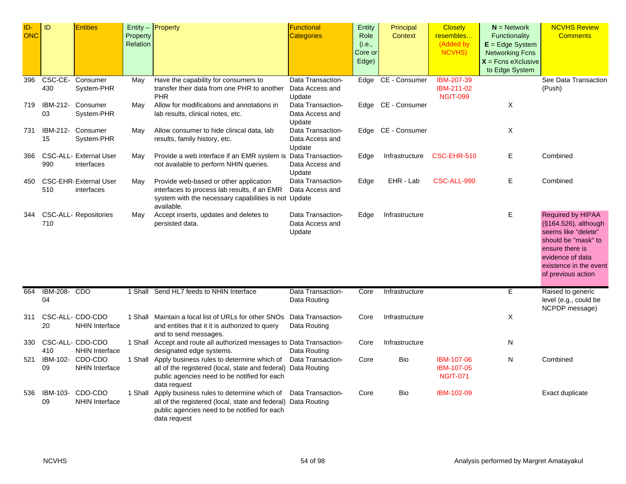| ID-        | ID                 | <b>Entities</b>                            |                      | Entity $-$ Property                                                                                                                                                                 | <b>Functional</b>                 | Entity         | Principal      | <b>Closely</b>                                     | $N =$ Network                      | <b>NCVHS Review</b>                                                                                                                                       |
|------------|--------------------|--------------------------------------------|----------------------|-------------------------------------------------------------------------------------------------------------------------------------------------------------------------------------|-----------------------------------|----------------|----------------|----------------------------------------------------|------------------------------------|-----------------------------------------------------------------------------------------------------------------------------------------------------------|
| <b>ONC</b> |                    |                                            | Property<br>Relation |                                                                                                                                                                                     | Categories                        | Role<br>(i.e., | <b>Context</b> | resembles<br>(Added by                             | Functionality<br>$E = Edge System$ | <b>Comments</b>                                                                                                                                           |
|            |                    |                                            |                      |                                                                                                                                                                                     |                                   | Core or        |                | NCVHS)                                             | <b>Networking Fcns</b>             |                                                                                                                                                           |
|            |                    |                                            |                      |                                                                                                                                                                                     |                                   | Edge)          |                |                                                    | $X =$ Fcns eXclusive               |                                                                                                                                                           |
|            |                    |                                            |                      |                                                                                                                                                                                     |                                   |                |                |                                                    | to Edge System                     |                                                                                                                                                           |
| 396        |                    | CSC-CE- Consumer                           | May                  | Have the capability for consumers to                                                                                                                                                | Data Transaction-                 | Edge           | CE - Consumer  | <b>IBM-207-39</b>                                  |                                    | See Data Transaction                                                                                                                                      |
|            | 430                | System-PHR                                 |                      | transfer their data from one PHR to another<br><b>PHR</b>                                                                                                                           | Data Access and<br>Update         |                |                | IBM-211-02<br><b>NGIT-099</b>                      |                                    | (Push)                                                                                                                                                    |
| 719        |                    | IBM-212- Consumer                          | May                  | Allow for modifications and annotations in                                                                                                                                          | Data Transaction-                 | Edge           | CE - Consumer  |                                                    | Χ                                  |                                                                                                                                                           |
|            | 03                 | System-PHR                                 |                      | lab results, clinical notes, etc.                                                                                                                                                   | Data Access and<br>Update         |                |                |                                                    |                                    |                                                                                                                                                           |
| 731        |                    | IBM-212- Consumer                          | May                  | Allow consumer to hide clinical data, lab                                                                                                                                           | Data Transaction-                 | Edge           | CE - Consumer  |                                                    | X                                  |                                                                                                                                                           |
|            | 15                 | System-PHR                                 |                      | results, family history, etc.                                                                                                                                                       | Data Access and<br>Update         |                |                |                                                    |                                    |                                                                                                                                                           |
| 366        |                    | CSC-ALL- External User                     | May                  | Provide a web interface if an EMR system is                                                                                                                                         | Data Transaction-                 | Edge           | Infrastructure | CSC-EHR-510                                        | Е                                  | Combined                                                                                                                                                  |
|            | 990                | interfaces                                 |                      | not available to perform NHIN queries.                                                                                                                                              | Data Access and<br>Update         |                |                |                                                    |                                    |                                                                                                                                                           |
| 450        | 510                | <b>CSC-EHR-External User</b><br>interfaces | May                  | Provide web-based or other application<br>interfaces to process lab results, if an EMR                                                                                              | Data Transaction-                 | Edge           | EHR - Lab      | CSC-ALL-990                                        | Е                                  | Combined                                                                                                                                                  |
|            |                    |                                            |                      | system with the necessary capabilities is not Update<br>available.                                                                                                                  | Data Access and                   |                |                |                                                    |                                    |                                                                                                                                                           |
| 344        |                    | <b>CSC-ALL- Repositories</b>               | May                  | Accept inserts, updates and deletes to                                                                                                                                              | Data Transaction-                 | Edge           | Infrastructure |                                                    | Ε                                  | Required by HIPAA                                                                                                                                         |
|            | 710                |                                            |                      | persisted data.                                                                                                                                                                     | Data Access and<br>Update         |                |                |                                                    |                                    | (§164.526), although<br>seems like "delete"<br>should be "mask" to<br>ensure there is<br>evidence of data<br>existence in the event<br>of previous action |
|            |                    |                                            |                      |                                                                                                                                                                                     |                                   |                |                |                                                    |                                    |                                                                                                                                                           |
| 664        | IBM-208- CDO<br>04 |                                            | 1 Shall              | Send HL7 feeds to NHIN Interface                                                                                                                                                    | Data Transaction-<br>Data Routing | Core           | Infrastructure |                                                    | Ε                                  | Raised to generic<br>level (e.g., could be<br>NCPDP message)                                                                                              |
| 311        | 20                 | CSC-ALL- CDO-CDO<br><b>NHIN Interface</b>  |                      | 1 Shall Maintain a local list of URLs for other SNOs Data Transaction-<br>and entities that it it is authorized to query<br>and to send messages.                                   | Data Routing                      | Core           | Infrastructure |                                                    | Χ                                  |                                                                                                                                                           |
| 330        | 410                | CSC-ALL- CDO-CDO<br><b>NHIN Interface</b>  |                      | 1 Shall Accept and route all authorized messages to Data Transaction-<br>designated edge systems.                                                                                   | Data Routing                      | Core           | Infrastructure |                                                    | N                                  |                                                                                                                                                           |
| 521        | 09                 | IBM-102- CDO-CDO<br><b>NHIN Interface</b>  |                      | 1 Shall Apply business rules to determine which of<br>all of the registered (local, state and federal) Data Routing<br>public agencies need to be notified for each<br>data request | Data Transaction-                 | Core           | Bio            | IBM-107-06<br><b>IBM-107-05</b><br><b>NGIT-071</b> | N                                  | Combined                                                                                                                                                  |
| 536        | 09                 | IBM-103- CDO-CDO<br><b>NHIN Interface</b>  |                      | 1 Shall Apply business rules to determine which of<br>all of the registered (local, state and federal) Data Routing<br>public agencies need to be notified for each<br>data request | Data Transaction-                 | Core           | Bio            | IBM-102-09                                         |                                    | Exact duplicate                                                                                                                                           |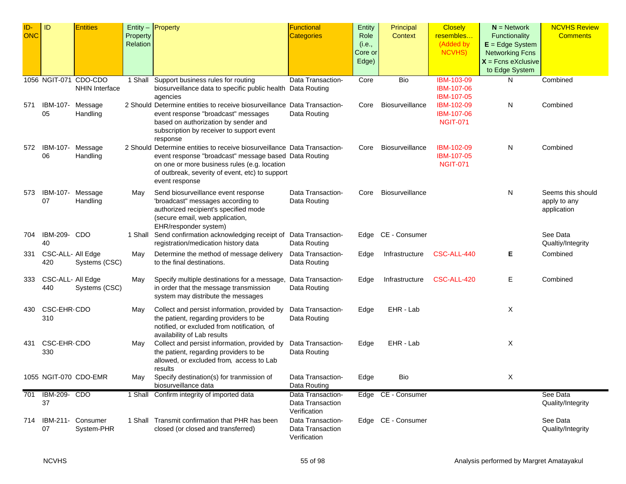| ID-        | ID                | <b>Entities</b>       |          | Entity - Property                                                                    | <b>Functional</b> | Entity  | Principal          | <b>Closely</b>  | $N =$ Network          | <b>NCVHS Review</b> |
|------------|-------------------|-----------------------|----------|--------------------------------------------------------------------------------------|-------------------|---------|--------------------|-----------------|------------------------|---------------------|
| <b>ONC</b> |                   |                       | Property |                                                                                      | <b>Categories</b> | Role    | Context            | resembles       | Functionality          | <b>Comments</b>     |
|            |                   |                       | Relation |                                                                                      |                   | (i.e.,  |                    | (Added by       | $E = Edge System$      |                     |
|            |                   |                       |          |                                                                                      |                   | Core or |                    | <b>NCVHS)</b>   | <b>Networking Fcns</b> |                     |
|            |                   |                       |          |                                                                                      |                   | Edge)   |                    |                 | $X =$ Fcns eXclusive   |                     |
|            |                   |                       |          |                                                                                      |                   |         |                    |                 | to Edge System         |                     |
|            |                   | 1056 NGIT-071 CDO-CDO | 1 Shall  | Support business rules for routing                                                   | Data Transaction- | Core    | Bio                | IBM-103-09      | N                      | Combined            |
|            |                   | <b>NHIN Interface</b> |          | biosurveillance data to specific public health Data Routing                          |                   |         |                    | IBM-107-06      |                        |                     |
|            |                   |                       |          | agencies                                                                             |                   |         |                    | IBM-107-05      |                        |                     |
| 571        | IBM-107-          | Message               |          | 2 Should Determine entities to receive biosurveillance Data Transaction-             |                   | Core    | Biosurveillance    | IBM-102-09      | N                      | Combined            |
|            | 05                | Handling              |          | event response "broadcast" messages                                                  | Data Routing      |         |                    | IBM-107-06      |                        |                     |
|            |                   |                       |          | based on authorization by sender and                                                 |                   |         |                    | <b>NGIT-071</b> |                        |                     |
|            |                   |                       |          | subscription by receiver to support event                                            |                   |         |                    |                 |                        |                     |
| 572        | IBM-107-          | Message               |          | response<br>2 Should Determine entities to receive biosurveillance Data Transaction- |                   | Core    | Biosurveillance    | IBM-102-09      | N                      | Combined            |
|            | 06                | Handling              |          | event response "broadcast" message based Data Routing                                |                   |         |                    | IBM-107-05      |                        |                     |
|            |                   |                       |          | on one or more business rules (e.g. location                                         |                   |         |                    | <b>NGIT-071</b> |                        |                     |
|            |                   |                       |          | of outbreak, severity of event, etc) to support                                      |                   |         |                    |                 |                        |                     |
|            |                   |                       |          | event response                                                                       |                   |         |                    |                 |                        |                     |
| 573        | IBM-107-          | Message               | May      | Send biosurveillance event response                                                  | Data Transaction- | Core    | Biosurveillance    |                 | N                      | Seems this should   |
|            | 07                | Handling              |          | 'broadcast" messages according to                                                    | Data Routing      |         |                    |                 |                        | apply to any        |
|            |                   |                       |          | authorized recipient's specified mode                                                |                   |         |                    |                 |                        | application         |
|            |                   |                       |          | (secure email, web application,                                                      |                   |         |                    |                 |                        |                     |
|            |                   |                       |          | EHR/responder system)                                                                |                   |         |                    |                 |                        |                     |
| 704        | IBM-209- CDO      |                       |          | 1 Shall Send confirmation acknowledging receipt of Data Transaction-                 |                   |         | Edge CE - Consumer |                 |                        | See Data            |
|            | 40                |                       |          | registration/medication history data                                                 | Data Routing      |         |                    |                 |                        | Qualtiy/Integrity   |
| 331        | CSC-ALL- All Edge |                       | May      | Determine the method of message delivery                                             | Data Transaction- | Edge    | Infrastructure     | CSC-ALL-440     | Е                      | Combined            |
|            | 420               | Systems (CSC)         |          | to the final destinations.                                                           | Data Routing      |         |                    |                 |                        |                     |
|            |                   |                       |          |                                                                                      |                   |         |                    |                 |                        |                     |
| 333        | CSC-ALL- All Edge |                       | May      | Specify multiple destinations for a message,                                         | Data Transaction- | Edge    | Infrastructure     | CSC-ALL-420     | Е                      | Combined            |
|            | 440               | Systems (CSC)         |          | in order that the message transmission                                               | Data Routing      |         |                    |                 |                        |                     |
|            |                   |                       |          | system may distribute the messages                                                   |                   |         |                    |                 |                        |                     |
| 430        | CSC-EHR-CDO       |                       | May      | Collect and persist information, provided by                                         | Data Transaction- | Edge    | EHR - Lab          |                 | X                      |                     |
|            | 310               |                       |          | the patient, regarding providers to be                                               | Data Routing      |         |                    |                 |                        |                     |
|            |                   |                       |          | notified, or excluded from notification, of                                          |                   |         |                    |                 |                        |                     |
|            |                   |                       |          | availability of Lab results                                                          |                   |         |                    |                 |                        |                     |
| 431        | CSC-EHR-CDO       |                       | May      | Collect and persist information, provided by                                         | Data Transaction- | Edge    | EHR - Lab          |                 | Χ                      |                     |
|            | 330               |                       |          | the patient, regarding providers to be                                               | Data Routing      |         |                    |                 |                        |                     |
|            |                   |                       |          | allowed, or excluded from, access to Lab<br>results                                  |                   |         |                    |                 |                        |                     |
|            |                   | 1055 NGIT-070 CDO-EMR | May      | Specify destination(s) for tranmission of                                            | Data Transaction- | Edge    | Bio                |                 | Χ                      |                     |
|            |                   |                       |          | biosurveillance data                                                                 | Data Routing      |         |                    |                 |                        |                     |
| 701        | IBM-209- CDO      |                       | 1 Shall  | Confirm integrity of imported data                                                   | Data Transaction- |         | Edge CE - Consumer |                 |                        | See Data            |
|            | 37                |                       |          |                                                                                      | Data Transaction  |         |                    |                 |                        | Quality/Integrity   |
|            |                   |                       |          |                                                                                      | Verification      |         |                    |                 |                        |                     |
| 714        |                   | IBM-211- Consumer     |          | 1 Shall Transmit confirmation that PHR has been                                      | Data Transaction- |         | Edge CE - Consumer |                 |                        | See Data            |
|            | 07                | System-PHR            |          | closed (or closed and transferred)                                                   | Data Transaction  |         |                    |                 |                        | Quality/Integrity   |
|            |                   |                       |          |                                                                                      | Verification      |         |                    |                 |                        |                     |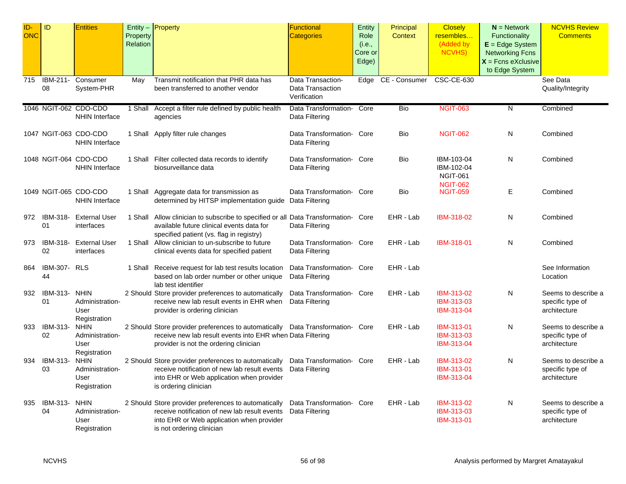| ID-<br>ONC | ID                 | <b>Entities</b>                                        | Property<br>Relation | $Entity -$ Property                                                                                                                                                                    | <b>Functional</b><br><b>Categories</b>                | Entity<br>Role<br>(i.e.,<br>Core or<br>Edge) | Principal<br>Context | <b>Closely</b><br>resembles<br>(Added by<br><b>NCVHS)</b>      | $N =$ Network<br>Functionality<br>$E = Edge System$<br><b>Networking Fcns</b><br>$X =$ Fcns eXclusive<br>to Edge System | <b>NCVHS Review</b><br><b>Comments</b>                  |
|------------|--------------------|--------------------------------------------------------|----------------------|----------------------------------------------------------------------------------------------------------------------------------------------------------------------------------------|-------------------------------------------------------|----------------------------------------------|----------------------|----------------------------------------------------------------|-------------------------------------------------------------------------------------------------------------------------|---------------------------------------------------------|
| 715        | IBM-211-<br>08     | Consumer<br>System-PHR                                 | May                  | Transmit notification that PHR data has<br>been transferred to another vendor                                                                                                          | Data Transaction-<br>Data Transaction<br>Verification | Edge                                         | CE - Consumer        | CSC-CE-630                                                     |                                                                                                                         | See Data<br>Quality/Integrity                           |
|            |                    | 1046 NGIT-062 CDO-CDO<br><b>NHIN Interface</b>         | 1 Shall              | Accept a filter rule defined by public health<br>agencies                                                                                                                              | Data Transformation-<br>Data Filtering                | Core                                         | Bio                  | <b>NGIT-063</b>                                                | $\overline{N}$                                                                                                          | Combined                                                |
|            |                    | 1047 NGIT-063 CDO-CDO<br><b>NHIN Interface</b>         |                      | 1 Shall Apply filter rule changes                                                                                                                                                      | Data Transformation- Core<br>Data Filtering           |                                              | Bio                  | <b>NGIT-062</b>                                                | N                                                                                                                       | Combined                                                |
|            |                    | 1048 NGIT-064 CDO-CDO<br><b>NHIN Interface</b>         |                      | 1 Shall Filter collected data records to identify<br>biosurveillance data                                                                                                              | Data Transformation Core<br>Data Filtering            |                                              | Bio                  | IBM-103-04<br>IBM-102-04<br><b>NGIT-061</b><br><b>NGIT-062</b> | N                                                                                                                       | Combined                                                |
|            |                    | 1049 NGIT-065 CDO-CDO<br><b>NHIN Interface</b>         |                      | 1 Shall Aggregate data for transmission as<br>determined by HITSP implementation guide Data Filtering                                                                                  | Data Transformation- Core                             |                                              | Bio                  | <b>NGIT-059</b>                                                | E                                                                                                                       | Combined                                                |
| 972        | IBM-318-<br>01     | <b>External User</b><br>interfaces                     |                      | 1 Shall Allow clinician to subscribe to specified or all Data Transformation- Core<br>available future clinical events data for<br>specified patient (vs. flag in registry)            | Data Filtering                                        |                                              | EHR - Lab            | IBM-318-02                                                     | N                                                                                                                       | Combined                                                |
| 973        | IBM-318-<br>02     | <b>External User</b><br>interfaces                     |                      | 1 Shall Allow clinician to un-subscribe to future<br>clinical events data for specified patient                                                                                        | Data Transformation- Core<br>Data Filtering           |                                              | EHR - Lab            | IBM-318-01                                                     | N.                                                                                                                      | Combined                                                |
| 864        | IBM-307- RLS<br>44 |                                                        |                      | 1 Shall Receive request for lab test results location<br>based on lab order number or other unique<br>lab test identifier                                                              | Data Transformation- Core<br>Data Filtering           |                                              | EHR - Lab            |                                                                |                                                                                                                         | See Information<br>Location                             |
| 932        | IBM-313-<br>01     | <b>NHIN</b><br>Administration-<br>User<br>Registration |                      | 2 Should Store provider preferences to automatically<br>receive new lab result events in EHR when<br>provider is ordering clinician                                                    | Data Transformation- Core<br>Data Filtering           |                                              | EHR - Lab            | IBM-313-02<br>IBM-313-03<br>IBM-313-04                         | N                                                                                                                       | Seems to describe a<br>specific type of<br>architecture |
| 933        | IBM-313-<br>02     | <b>NHIN</b><br>Administration-<br>User<br>Registration |                      | 2 Should Store provider preferences to automatically Data Transformation- Core<br>receive new lab result events into EHR when Data Filtering<br>provider is not the ordering clinician |                                                       |                                              | EHR - Lab            | IBM-313-01<br>IBM-313-03<br>IBM-313-04                         | N                                                                                                                       | Seems to describe a<br>specific type of<br>architecture |
| 934        | IBM-313-<br>03     | <b>NHIN</b><br>Administration-<br>User<br>Registration |                      | 2 Should Store provider preferences to automatically<br>receive notification of new lab result events<br>into EHR or Web application when provider<br>is ordering clinician            | Data Transformation- Core<br>Data Filtering           |                                              | EHR - Lab            | IBM-313-02<br>IBM-313-01<br>IBM-313-04                         | N                                                                                                                       | Seems to describe a<br>specific type of<br>architecture |
| 935        | IBM-313-<br>04     | <b>NHIN</b><br>Administration-<br>User<br>Registration |                      | 2 Should Store provider preferences to automatically<br>receive notification of new lab result events<br>into EHR or Web application when provider<br>is not ordering clinician        | Data Transformation Core<br>Data Filtering            |                                              | EHR - Lab            | IBM-313-02<br>IBM-313-03<br>IBM-313-01                         | N                                                                                                                       | Seems to describe a<br>specific type of<br>architecture |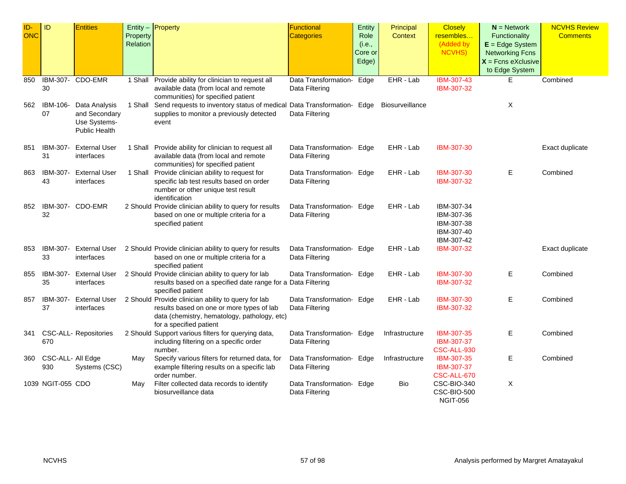| ID-<br><b>ONC</b> | ID                       | <b>Entities</b>                                                        | Property<br>Relation | Entity $-$ Property                                                                                                                                                         | Functional<br><b>Categories</b>             | Entity<br>Role<br>(i.e.,<br>Core or<br>Edge) | Principal<br><b>Context</b> | <b>Closely</b><br>resembles<br>(Added by<br><b>NCVHS)</b>          | $N =$ Network<br>Functionality<br>$E = Edge System$<br><b>Networking Fcns</b><br>$X =$ Fcns eXclusive<br>to Edge System | <b>NCVHS Review</b><br><b>Comments</b> |
|-------------------|--------------------------|------------------------------------------------------------------------|----------------------|-----------------------------------------------------------------------------------------------------------------------------------------------------------------------------|---------------------------------------------|----------------------------------------------|-----------------------------|--------------------------------------------------------------------|-------------------------------------------------------------------------------------------------------------------------|----------------------------------------|
| 850               | 30                       | IBM-307- CDO-EMR                                                       |                      | 1 Shall Provide ability for clinician to request all<br>available data (from local and remote<br>communities) for specified patient                                         | Data Transformation- Edge<br>Data Filtering |                                              | EHR - Lab                   | IBM-307-43<br>IBM-307-32                                           | E.                                                                                                                      | Combined                               |
| 562               | IBM-106-<br>07           | Data Analysis<br>and Secondary<br>Use Systems-<br><b>Public Health</b> |                      | 1 Shall Send requests to inventory status of medical Data Transformation- Edge<br>supplies to monitor a previously detected<br>event                                        | Data Filtering                              |                                              | Biosurveillance             |                                                                    | Χ                                                                                                                       |                                        |
| 851               | IBM-307-<br>31           | <b>External User</b><br>interfaces                                     |                      | 1 Shall Provide ability for clinician to request all<br>available data (from local and remote<br>communities) for specified patient                                         | Data Transformation- Edge<br>Data Filtering |                                              | EHR - Lab                   | IBM-307-30                                                         |                                                                                                                         | Exact duplicate                        |
| 863               | IBM-307-<br>43           | <b>External User</b><br>interfaces                                     |                      | 1 Shall Provide clinician ability to request for<br>specific lab test results based on order<br>number or other unique test result<br>identification                        | Data Transformation- Edge<br>Data Filtering |                                              | EHR - Lab                   | IBM-307-30<br>IBM-307-32                                           | Е                                                                                                                       | Combined                               |
| 852               | 32                       | IBM-307- CDO-EMR                                                       |                      | 2 Should Provide clinician ability to query for results<br>based on one or multiple criteria for a<br>specified patient                                                     | Data Transformation- Edge<br>Data Filtering |                                              | EHR - Lab                   | IBM-307-34<br>IBM-307-36<br>IBM-307-38<br>IBM-307-40<br>IBM-307-42 |                                                                                                                         |                                        |
| 853               | IBM-307-<br>33           | External User<br>interfaces                                            |                      | 2 Should Provide clinician ability to query for results<br>based on one or multiple criteria for a<br>specified patient                                                     | Data Transformation- Edge<br>Data Filtering |                                              | EHR - Lab                   | IBM-307-32                                                         |                                                                                                                         | Exact duplicate                        |
| 855               | IBM-307-<br>35           | External User<br>interfaces                                            |                      | 2 Should Provide clinician ability to query for lab<br>results based on a specified date range for a Data Filtering<br>specified patient                                    | Data Transformation- Edge                   |                                              | EHR - Lab                   | IBM-307-30<br>IBM-307-32                                           | Е                                                                                                                       | Combined                               |
| 857               | IBM-307-<br>37           | External User<br>interfaces                                            |                      | 2 Should Provide clinician ability to query for lab<br>results based on one or more types of lab<br>data (chemistry, hematology, pathology, etc)<br>for a specified patient | Data Transformation- Edge<br>Data Filtering |                                              | EHR - Lab                   | IBM-307-30<br>IBM-307-32                                           | Е                                                                                                                       | Combined                               |
| 341               | 670                      | <b>CSC-ALL- Repositories</b>                                           |                      | 2 Should Support various filters for querying data,<br>including filtering on a specific order<br>number.                                                                   | Data Transformation- Edge<br>Data Filtering |                                              | Infrastructure              | IBM-307-35<br>IBM-307-37<br>CSC-ALL-930                            | E.                                                                                                                      | Combined                               |
| 360               | CSC-ALL- All Edge<br>930 | Systems (CSC)                                                          | May                  | Specify various filters for returned data, for<br>example filtering results on a specific lab<br>order number.                                                              | Data Transformation- Edge<br>Data Filtering |                                              | Infrastructure              | IBM-307-35<br>IBM-307-37<br>CSC-ALL-670                            | E.                                                                                                                      | Combined                               |
|                   | 1039 NGIT-055 CDO        |                                                                        | May                  | Filter collected data records to identify<br>biosurveillance data                                                                                                           | Data Transformation- Edge<br>Data Filtering |                                              | Bio                         | CSC-BIO-340<br>CSC-BIO-500<br><b>NGIT-056</b>                      | Χ                                                                                                                       |                                        |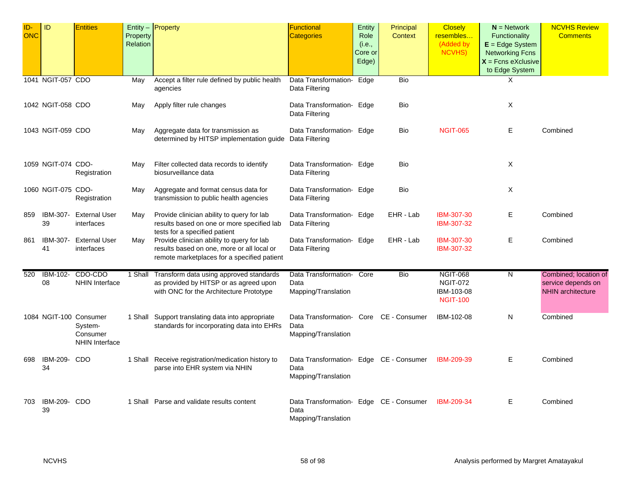| ID-<br>ONC | ID                        | <b>Entities</b>                                                 | Property<br>Relation | Entity - Property                                                                                                                       | <b>Functional</b><br><b>Categories</b>                                 | Entity<br>Role<br>(i.e.,<br>Core or<br>Edge) | Principal<br><b>Context</b> | <b>Closely</b><br>resembles<br>(Added by<br><b>NCVHS)</b>           | $N =$ Network<br><b>Functionality</b><br>$E = Edge System$<br><b>Networking Fcns</b><br>$X =$ Fcns eXclusive<br>to Edge System | <b>NCVHS Review</b><br><b>Comments</b>                                  |
|------------|---------------------------|-----------------------------------------------------------------|----------------------|-----------------------------------------------------------------------------------------------------------------------------------------|------------------------------------------------------------------------|----------------------------------------------|-----------------------------|---------------------------------------------------------------------|--------------------------------------------------------------------------------------------------------------------------------|-------------------------------------------------------------------------|
|            | 1041 NGIT-057 CDO         |                                                                 | May                  | Accept a filter rule defined by public health<br>agencies                                                                               | Data Transformation-<br>Data Filtering                                 | Edge                                         | Bio                         |                                                                     | X                                                                                                                              |                                                                         |
|            | 1042 NGIT-058 CDO         |                                                                 | May                  | Apply filter rule changes                                                                                                               | Data Transformation- Edge<br>Data Filtering                            |                                              | Bio                         |                                                                     | Χ                                                                                                                              |                                                                         |
|            | 1043 NGIT-059 CDO         |                                                                 | May                  | Aggregate data for transmission as<br>determined by HITSP implementation guide Data Filtering                                           | Data Transformation- Edge                                              |                                              | Bio                         | <b>NGIT-065</b>                                                     | Е                                                                                                                              | Combined                                                                |
|            | 1059 NGIT-074 CDO-        | Registration                                                    | Mav                  | Filter collected data records to identify<br>biosurveillance data                                                                       | Data Transformation- Edge<br>Data Filtering                            |                                              | <b>Bio</b>                  |                                                                     | X                                                                                                                              |                                                                         |
|            | 1060 NGIT-075 CDO-        | Registration                                                    | May                  | Aggregate and format census data for<br>transmission to public health agencies                                                          | Data Transformation- Edge<br>Data Filtering                            |                                              | Bio                         |                                                                     | Χ                                                                                                                              |                                                                         |
| 859        | IBM-307-<br>39            | <b>External User</b><br>interfaces                              | May                  | Provide clinician ability to query for lab<br>results based on one or more specified lab<br>tests for a specified patient               | Data Transformation- Edge<br>Data Filtering                            |                                              | EHR - Lab                   | IBM-307-30<br>IBM-307-32                                            | Е                                                                                                                              | Combined                                                                |
| 861        | IBM-307-<br>41            | <b>External User</b><br>interfaces                              | May                  | Provide clinician ability to query for lab<br>results based on one, more or all local or<br>remote marketplaces for a specified patient | Data Transformation- Edge<br>Data Filtering                            |                                              | EHR - Lab                   | IBM-307-30<br>IBM-307-32                                            | Е                                                                                                                              | Combined                                                                |
| 520        | IBM-102-<br>08            | CDO-CDO<br><b>NHIN Interface</b>                                | 1 Shall              | Transform data using approved standards<br>as provided by HITSP or as agreed upon<br>with ONC for the Architecture Prototype            | Data Transformation- Core<br>Data<br>Mapping/Translation               |                                              | Bio                         | <b>NGIT-068</b><br><b>NGIT-072</b><br>IBM-103-08<br><b>NGIT-100</b> | N                                                                                                                              | Combined; location of<br>service depends on<br><b>NHIN</b> architecture |
|            |                           | 1084 NGIT-100 Consumer<br>System-<br>Consumer<br>NHIN Interface |                      | 1 Shall Support translating data into appropriate<br>standards for incorporating data into EHRs                                         | Data Transformation- Core CE - Consumer<br>Data<br>Mapping/Translation |                                              |                             | IBM-102-08                                                          | N                                                                                                                              | Combined                                                                |
| 698        | IBM-209-<br>34            | CDO                                                             |                      | 1 Shall Receive registration/medication history to<br>parse into EHR system via NHIN                                                    | Data Transformation- Edge CE - Consumer<br>Data<br>Mapping/Translation |                                              |                             | IBM-209-39                                                          | Е                                                                                                                              | Combined                                                                |
| 703        | <b>IBM-209- CDO</b><br>39 |                                                                 |                      | 1 Shall Parse and validate results content                                                                                              | Data Transformation- Edge CE - Consumer<br>Data<br>Mapping/Translation |                                              |                             | IBM-209-34                                                          | Е                                                                                                                              | Combined                                                                |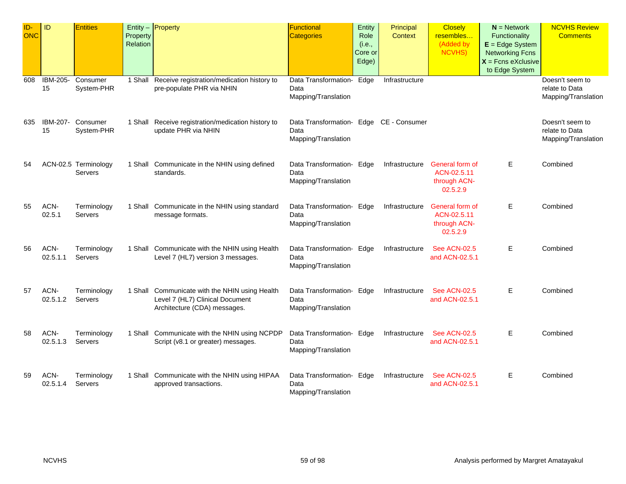| ID-<br><b>ONC</b> | ID               | <b>Entities</b>                 | Property<br>Relation | Entity - Property                                                                                                 | Functional<br>Categories                                               | Entity<br>Role<br>(i.e.,<br>Core or<br>Edge) | Principal<br><b>Context</b> | <b>Closely</b><br>resembles<br>(Added by<br><b>NCVHS)</b>  | $N =$ Network<br>Functionality<br>$E = Edge System$<br><b>Networking Fcns</b><br>$X =$ Fcns eXclusive<br>to Edge System | <b>NCVHS Review</b><br><b>Comments</b>                   |
|-------------------|------------------|---------------------------------|----------------------|-------------------------------------------------------------------------------------------------------------------|------------------------------------------------------------------------|----------------------------------------------|-----------------------------|------------------------------------------------------------|-------------------------------------------------------------------------------------------------------------------------|----------------------------------------------------------|
| 608               | IBM-205-<br>15   | Consumer<br>System-PHR          |                      | 1 Shall Receive registration/medication history to<br>pre-populate PHR via NHIN                                   | Data Transformation- Edge<br>Data<br>Mapping/Translation               |                                              | Infrastructure              |                                                            |                                                                                                                         | Doesn't seem to<br>relate to Data<br>Mapping/Translation |
| 635               | 15               | IBM-207- Consumer<br>System-PHR |                      | 1 Shall Receive registration/medication history to<br>update PHR via NHIN                                         | Data Transformation- Edge CE - Consumer<br>Data<br>Mapping/Translation |                                              |                             |                                                            |                                                                                                                         | Doesn't seem to<br>relate to Data<br>Mapping/Translation |
| 54                |                  | ACN-02.5 Terminology<br>Servers |                      | 1 Shall Communicate in the NHIN using defined<br>standards.                                                       | Data Transformation- Edge<br>Data<br>Mapping/Translation               |                                              | Infrastructure              | General form of<br>ACN-02.5.11<br>through ACN-<br>02.5.2.9 | Е                                                                                                                       | Combined                                                 |
| 55                | ACN-<br>02.5.1   | Terminology<br>Servers          |                      | 1 Shall Communicate in the NHIN using standard<br>message formats.                                                | Data Transformation- Edge<br>Data<br>Mapping/Translation               |                                              | Infrastructure              | General form of<br>ACN-02.5.11<br>through ACN-<br>02.5.2.9 | E                                                                                                                       | Combined                                                 |
| 56                | ACN-<br>02.5.1.1 | Terminology<br>Servers          |                      | 1 Shall Communicate with the NHIN using Health<br>Level 7 (HL7) version 3 messages.                               | Data Transformation- Edge<br>Data<br>Mapping/Translation               |                                              | Infrastructure              | <b>See ACN-02.5</b><br>and ACN-02.5.1                      | Е                                                                                                                       | Combined                                                 |
| 57                | ACN-<br>02.5.1.2 | Terminology<br>Servers          |                      | 1 Shall Communicate with the NHIN using Health<br>Level 7 (HL7) Clinical Document<br>Architecture (CDA) messages. | Data Transformation- Edge<br>Data<br>Mapping/Translation               |                                              | Infrastructure              | <b>See ACN-02.5</b><br>and ACN-02.5.1                      | Е                                                                                                                       | Combined                                                 |
| 58                | ACN-<br>02.5.1.3 | Terminology<br>Servers          |                      | 1 Shall Communicate with the NHIN using NCPDP<br>Script (v8.1 or greater) messages.                               | Data Transformation- Edge<br>Data<br>Mapping/Translation               |                                              | Infrastructure              | <b>See ACN-02.5</b><br>and ACN-02.5.1                      | Е                                                                                                                       | Combined                                                 |
| 59                | ACN-<br>02.5.1.4 | Terminology<br>Servers          |                      | 1 Shall Communicate with the NHIN using HIPAA<br>approved transactions.                                           | Data Transformation- Edge<br>Data<br>Mapping/Translation               |                                              | Infrastructure              | <b>See ACN-02.5</b><br>and ACN-02.5.1                      | Е                                                                                                                       | Combined                                                 |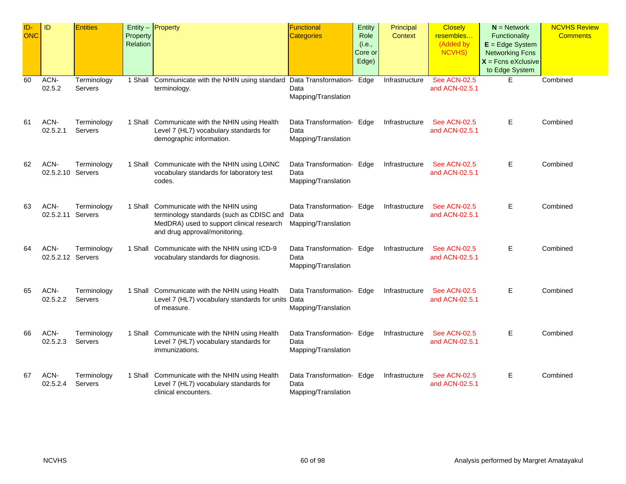| ID-<br><b>ONC</b> | ID                        | <b>Entities</b>        | Property<br>Relation | Entity - Property                                                                                                                                                 | Functional<br><b>Categories</b>                          | Entity<br>Role<br>(i.e.,<br>Core or<br>Edge) | Principal<br>Context | <b>Closely</b><br>resembles<br>(Added by<br><b>NCVHS)</b> | $N =$ Network<br>Functionality<br>$E = Edge System$<br><b>Networking Fcns</b><br>$X =$ Fcns eXclusive<br>to Edge System | <b>NCVHS Review</b><br><b>Comments</b> |
|-------------------|---------------------------|------------------------|----------------------|-------------------------------------------------------------------------------------------------------------------------------------------------------------------|----------------------------------------------------------|----------------------------------------------|----------------------|-----------------------------------------------------------|-------------------------------------------------------------------------------------------------------------------------|----------------------------------------|
| 60                | ACN-<br>02.5.2            | Terminology<br>Servers |                      | 1 Shall Communicate with the NHIN using standard Data Transformation-<br>terminology.                                                                             | Data<br>Mapping/Translation                              | Edge                                         | Infrastructure       | <b>See ACN-02.5</b><br>and ACN-02.5.1                     | E.                                                                                                                      | Combined                               |
| 61                | ACN-<br>02.5.2.1          | Terminology<br>Servers |                      | 1 Shall Communicate with the NHIN using Health<br>Level 7 (HL7) vocabulary standards for<br>demographic information.                                              | Data Transformation- Edge<br>Data<br>Mapping/Translation |                                              | Infrastructure       | <b>See ACN-02.5</b><br>and ACN-02.5.1                     | Е                                                                                                                       | Combined                               |
| 62                | ACN-<br>02.5.2.10 Servers | Terminology            |                      | 1 Shall Communicate with the NHIN using LOINC<br>vocabulary standards for laboratory test<br>codes.                                                               | Data Transformation- Edge<br>Data<br>Mapping/Translation |                                              | Infrastructure       | <b>See ACN-02.5</b><br>and ACN-02.5.1                     | Е                                                                                                                       | Combined                               |
| 63                | ACN-<br>02.5.2.11         | Terminology<br>Servers |                      | 1 Shall Communicate with the NHIN using<br>terminology standards (such as CDISC and<br>MedDRA) used to support clinical research<br>and drug approval/monitoring. | Data Transformation- Edge<br>Data<br>Mapping/Translation |                                              | Infrastructure       | <b>See ACN-02.5</b><br>and ACN-02.5.1                     | E                                                                                                                       | Combined                               |
| 64                | ACN-<br>02.5.2.12 Servers | Terminology            |                      | 1 Shall Communicate with the NHIN using ICD-9<br>vocabulary standards for diagnosis.                                                                              | Data Transformation- Edge<br>Data<br>Mapping/Translation |                                              | Infrastructure       | <b>See ACN-02.5</b><br>and ACN-02.5.1                     | E.                                                                                                                      | Combined                               |
| 65                | ACN-<br>02.5.2.2          | Terminology<br>Servers |                      | 1 Shall Communicate with the NHIN using Health<br>Level 7 (HL7) vocabulary standards for units Data<br>of measure.                                                | Data Transformation- Edge<br>Mapping/Translation         |                                              | Infrastructure       | <b>See ACN-02.5</b><br>and ACN-02.5.1                     | Е                                                                                                                       | Combined                               |
| 66                | ACN-<br>02.5.2.3          | Terminology<br>Servers |                      | 1 Shall Communicate with the NHIN using Health<br>Level 7 (HL7) vocabulary standards for<br>immunizations.                                                        | Data Transformation- Edge<br>Data<br>Mapping/Translation |                                              | Infrastructure       | <b>See ACN-02.5</b><br>and ACN-02.5.1                     | E.                                                                                                                      | Combined                               |
| 67                | ACN-<br>02.5.2.4          | Terminology<br>Servers |                      | 1 Shall Communicate with the NHIN using Health<br>Level 7 (HL7) vocabulary standards for<br>clinical encounters.                                                  | Data Transformation- Edge<br>Data<br>Mapping/Translation |                                              | Infrastructure       | <b>See ACN-02.5</b><br>and ACN-02.5.1                     | Е                                                                                                                       | Combined                               |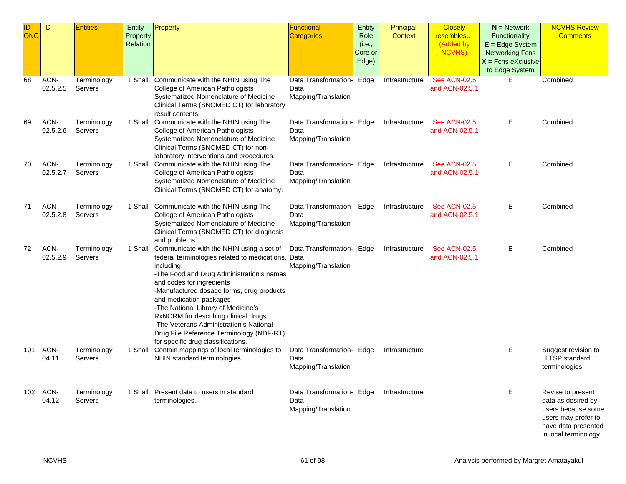| ID-<br><b>ONC</b> | ID               | <b>Entities</b>        |                      | Entity $-$ Property                                                                                              | Functional                  | Entity           | Principal      | <b>Closely</b>                        | $N =$ Network<br>Functionality                 | <b>NCVHS Review</b><br><b>Comments</b>      |
|-------------------|------------------|------------------------|----------------------|------------------------------------------------------------------------------------------------------------------|-----------------------------|------------------|----------------|---------------------------------------|------------------------------------------------|---------------------------------------------|
|                   |                  |                        | Property<br>Relation |                                                                                                                  | <b>Categories</b>           | Role<br>(i.e.,   | Context        | resembles<br>(Added by                | $E = Edge System$                              |                                             |
|                   |                  |                        |                      |                                                                                                                  |                             | Core or<br>Edge) |                | <b>NCVHS)</b>                         | <b>Networking Fcns</b><br>$X =$ Fcns eXclusive |                                             |
|                   |                  |                        |                      |                                                                                                                  |                             |                  |                |                                       | to Edge System                                 |                                             |
| 68                | ACN-             | Terminology            |                      | 1 Shall Communicate with the NHIN using The                                                                      | Data Transformation- Edge   |                  | Infrastructure | <b>See ACN-02.5</b>                   | Е                                              | Combined                                    |
|                   | 02.5.2.5         | Servers                |                      | College of American Pathologists<br>Systematized Nomenclature of Medicine                                        | Data<br>Mapping/Translation |                  |                | and ACN-02.5.1                        |                                                |                                             |
|                   |                  |                        |                      | Clinical Terms (SNOMED CT) for laboratory<br>result contents.                                                    |                             |                  |                |                                       |                                                |                                             |
| 69                | ACN-             | Terminology            |                      | 1 Shall Communicate with the NHIN using The                                                                      | Data Transformation- Edge   |                  | Infrastructure | <b>See ACN-02.5</b>                   | Е                                              | Combined                                    |
|                   | 02.5.2.6         | Servers                |                      | College of American Pathologists<br>Systematized Nomenclature of Medicine<br>Clinical Terms (SNOMED CT) for non- | Data<br>Mapping/Translation |                  |                | and ACN-02.5.1                        |                                                |                                             |
| 70                | ACN-             | Terminology            |                      | laboratory interventions and procedures.<br>1 Shall Communicate with the NHIN using The                          | Data Transformation- Edge   |                  | Infrastructure | <b>See ACN-02.5</b>                   | Е                                              | Combined                                    |
|                   | 02.5.2.7         | Servers                |                      | College of American Pathologists                                                                                 | Data                        |                  |                | and ACN-02.5.1                        |                                                |                                             |
|                   |                  |                        |                      | Systematized Nomenclature of Medicine<br>Clinical Terms (SNOMED CT) for anatomy.                                 | Mapping/Translation         |                  |                |                                       |                                                |                                             |
| 71                | ACN-             | Terminology            |                      | 1 Shall Communicate with the NHIN using The                                                                      | Data Transformation- Edge   |                  | Infrastructure | <b>See ACN-02.5</b>                   | Е                                              | Combined                                    |
|                   | 02.5.2.8         | Servers                |                      | College of American Pathologists<br>Systematized Nomenclature of Medicine                                        | Data<br>Mapping/Translation |                  |                | and ACN-02.5.1                        |                                                |                                             |
|                   |                  |                        |                      | Clinical Terms (SNOMED CT) for diagnosis<br>and problems.                                                        |                             |                  |                |                                       |                                                |                                             |
| 72                | ACN-<br>02.5.2.9 | Terminology<br>Servers |                      | 1 Shall Communicate with the NHIN using a set of<br>federal terminologies related to medications, Data           | Data Transformation- Edge   |                  | Infrastructure | <b>See ACN-02.5</b><br>and ACN-02.5.1 | Е                                              | Combined                                    |
|                   |                  |                        |                      | including:                                                                                                       | Mapping/Translation         |                  |                |                                       |                                                |                                             |
|                   |                  |                        |                      | -The Food and Drug Administration's names                                                                        |                             |                  |                |                                       |                                                |                                             |
|                   |                  |                        |                      | and codes for ingredients<br>-Manufactured dosage forms, drug products                                           |                             |                  |                |                                       |                                                |                                             |
|                   |                  |                        |                      | and medication packages                                                                                          |                             |                  |                |                                       |                                                |                                             |
|                   |                  |                        |                      | -The National Library of Medicine's<br>RxNORM for describing clinical drugs                                      |                             |                  |                |                                       |                                                |                                             |
|                   |                  |                        |                      | -The Veterans Administration's National                                                                          |                             |                  |                |                                       |                                                |                                             |
|                   |                  |                        |                      | Drug File Reference Terminology (NDF-RT)                                                                         |                             |                  |                |                                       |                                                |                                             |
| 101               | ACN-             | Terminology            |                      | for specific drug classifications.<br>1 Shall Contain mappings of local terminologies to                         | Data Transformation- Edge   |                  | Infrastructure |                                       | Ε                                              | Suggest revision to                         |
|                   | 04.11            | Servers                |                      | NHIN standard terminologies.                                                                                     | Data                        |                  |                |                                       |                                                | <b>HITSP</b> standard                       |
|                   |                  |                        |                      |                                                                                                                  | Mapping/Translation         |                  |                |                                       |                                                | terminologies.                              |
| 102               | ACN-             | Terminology            |                      | 1 Shall Present data to users in standard                                                                        | Data Transformation- Edge   |                  | Infrastructure |                                       | E                                              | Revise to present                           |
|                   | 04.12            | Servers                |                      | terminologies.                                                                                                   | Data<br>Mapping/Translation |                  |                |                                       |                                                | data as desired by<br>users because some    |
|                   |                  |                        |                      |                                                                                                                  |                             |                  |                |                                       |                                                | users may prefer to                         |
|                   |                  |                        |                      |                                                                                                                  |                             |                  |                |                                       |                                                | have data presented<br>in local terminology |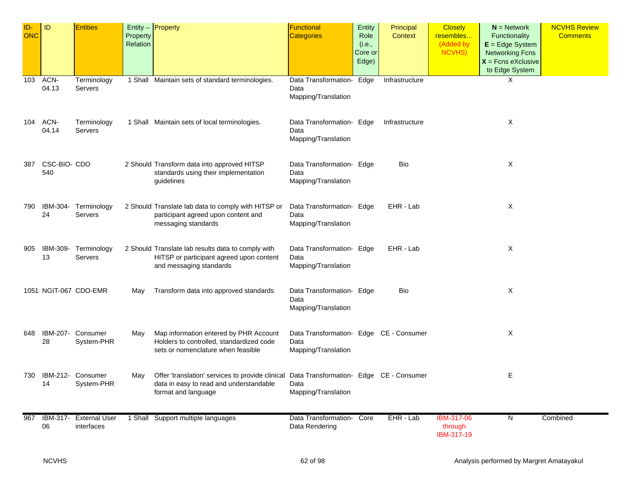| ID-<br>ONC | ID                  | <b>Entities</b>                     | Property<br>Relation | Entity $-$ Property                                                                                                                                        | <b>Functional</b><br><b>Categories</b>                                 | <b>Entity</b><br>Role<br>(i.e.,<br>Core or<br>Edge) | Principal<br><b>Context</b> | <b>Closely</b><br>resembles<br>(Added by<br>NCVHS) | $N =$ Network<br>Functionality<br>$E = Edge System$<br><b>Networking Fcns</b><br>$X$ = Fcns eXclusive<br>to Edge System | <b>NCVHS Review</b><br><b>Comments</b> |
|------------|---------------------|-------------------------------------|----------------------|------------------------------------------------------------------------------------------------------------------------------------------------------------|------------------------------------------------------------------------|-----------------------------------------------------|-----------------------------|----------------------------------------------------|-------------------------------------------------------------------------------------------------------------------------|----------------------------------------|
| 103        | ACN-<br>04.13       | Terminology<br>Servers              |                      | 1 Shall Maintain sets of standard terminologies.                                                                                                           | Data Transformation- Edge<br>Data<br>Mapping/Translation               |                                                     | Infrastructure              |                                                    | X                                                                                                                       |                                        |
| 104        | ACN-<br>04.14       | Terminology<br>Servers              |                      | 1 Shall Maintain sets of local terminologies.                                                                                                              | Data Transformation- Edge<br>Data<br>Mapping/Translation               |                                                     | Infrastructure              |                                                    | X                                                                                                                       |                                        |
| 387        | CSC-BIO- CDO<br>540 |                                     |                      | 2 Should Transform data into approved HITSP<br>standards using their implementation<br>guidelines                                                          | Data Transformation- Edge<br>Data<br>Mapping/Translation               |                                                     | Bio                         |                                                    | X                                                                                                                       |                                        |
| 790        | 24                  | IBM-304- Terminology<br>Servers     |                      | 2 Should Translate lab data to comply with HITSP or<br>participant agreed upon content and<br>messaging standards                                          | Data Transformation- Edge<br>Data<br>Mapping/Translation               |                                                     | EHR - Lab                   |                                                    | X                                                                                                                       |                                        |
| 905        | IBM-309-<br>13      | Terminology<br>Servers              |                      | 2 Should Translate lab results data to comply with<br>HITSP or participant agreed upon content<br>and messaging standards                                  | Data Transformation- Edge<br>Data<br>Mapping/Translation               |                                                     | EHR - Lab                   |                                                    | Χ                                                                                                                       |                                        |
|            |                     | 1051 NGIT-067 CDO-EMR               | May                  | Transform data into approved standards                                                                                                                     | Data Transformation- Edge<br>Data<br>Mapping/Translation               |                                                     | Bio                         |                                                    | X                                                                                                                       |                                        |
| 648        | 28                  | IBM-207- Consumer<br>System-PHR     | May                  | Map information entered by PHR Account<br>Holders to controlled, standardized code<br>sets or nomenclature when feasible                                   | Data Transformation- Edge CE - Consumer<br>Data<br>Mapping/Translation |                                                     |                             |                                                    | х                                                                                                                       |                                        |
|            | 14                  | 730 IBM-212- Consumer<br>System-PHR | May                  | Offer 'translation' services to provide clinical Data Transformation- Edge CE - Consumer<br>data in easy to read and understandable<br>format and language | Data<br>Mapping/Translation                                            |                                                     |                             |                                                    | Е                                                                                                                       |                                        |
| 967        | IBM-317-<br>06      | <b>External User</b><br>interfaces  |                      | 1 Shall Support multiple languages                                                                                                                         | Data Transformation- Core<br>Data Rendering                            |                                                     | EHR - Lab                   | <b>IBM-317-06</b><br>through<br>IBM-317-19         | N                                                                                                                       | Combined                               |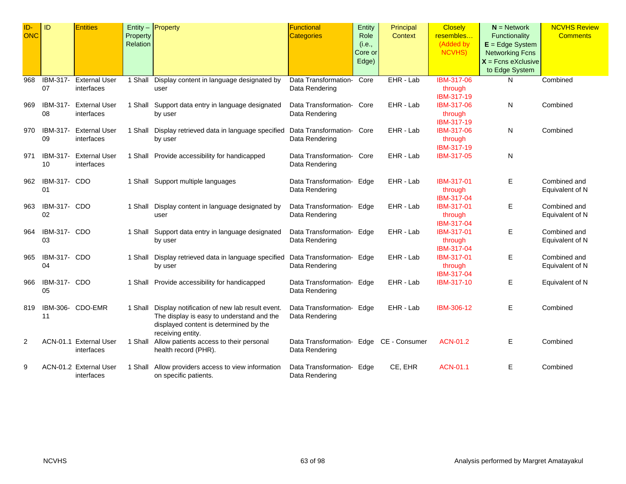| ID-<br><b>ONC</b> | ID                        | <b>Entities</b>                      | Property<br>Relation | Entity $-$ <b>Property</b>                                                                                                                                        | <b>Functional</b><br><b>Categories</b>                    | <b>Entity</b><br>Role<br>(i.e.,<br>Core or<br>Edge) | Principal<br>Context | <b>Closely</b><br>resembles<br>(Added by<br><b>NCVHS</b> ) | $N =$ Network<br>Functionality<br>$E = Edge System$<br><b>Networking Fcns</b><br>$X =$ Fcns eXclusive<br>to Edge System | <b>NCVHS Review</b><br><b>Comments</b> |
|-------------------|---------------------------|--------------------------------------|----------------------|-------------------------------------------------------------------------------------------------------------------------------------------------------------------|-----------------------------------------------------------|-----------------------------------------------------|----------------------|------------------------------------------------------------|-------------------------------------------------------------------------------------------------------------------------|----------------------------------------|
| 968               | IBM-317-<br>07            | <b>External User</b><br>interfaces   |                      | 1 Shall Display content in language designated by<br>user                                                                                                         | Data Transformation-<br>Data Rendering                    | Core                                                | EHR - Lab            | IBM-317-06<br>through<br>IBM-317-19                        | N                                                                                                                       | Combined                               |
| 969               | IBM-317-<br>08            | <b>External User</b><br>interfaces   |                      | 1 Shall Support data entry in language designated<br>by user                                                                                                      | Data Transformation- Core<br>Data Rendering               |                                                     | EHR - Lab            | IBM-317-06<br>through<br>IBM-317-19                        | N                                                                                                                       | Combined                               |
| 970               | IBM-317-<br>09            | <b>External User</b><br>interfaces   |                      | 1 Shall Display retrieved data in language specified<br>by user                                                                                                   | Data Transformation- Core<br>Data Rendering               |                                                     | EHR - Lab            | IBM-317-06<br>through<br>IBM-317-19                        | N                                                                                                                       | Combined                               |
| 971               | IBM-317-<br>10            | <b>External User</b><br>interfaces   |                      | 1 Shall Provide accessibility for handicapped                                                                                                                     | Data Transformation- Core<br>Data Rendering               |                                                     | EHR - Lab            | IBM-317-05                                                 | N                                                                                                                       |                                        |
| 962               | IBM-317- CDO<br>01        |                                      |                      | 1 Shall Support multiple languages                                                                                                                                | Data Transformation- Edge<br>Data Rendering               |                                                     | EHR - Lab            | IBM-317-01<br>through<br>IBM-317-04                        | Е                                                                                                                       | Combined and<br>Equivalent of N        |
| 963               | <b>IBM-317- CDO</b><br>02 |                                      |                      | 1 Shall Display content in language designated by<br>user                                                                                                         | Data Transformation- Edge<br>Data Rendering               |                                                     | EHR - Lab            | IBM-317-01<br>through<br>IBM-317-04                        | E                                                                                                                       | Combined and<br>Equivalent of N        |
| 964               | <b>IBM-317- CDO</b><br>03 |                                      |                      | 1 Shall Support data entry in language designated<br>by user                                                                                                      | Data Transformation- Edge<br>Data Rendering               |                                                     | EHR - Lab            | IBM-317-01<br>through<br>IBM-317-04                        | Е                                                                                                                       | Combined and<br>Equivalent of N        |
| 965               | IBM-317- CDO<br>04        |                                      |                      | 1 Shall Display retrieved data in language specified<br>by user                                                                                                   | Data Transformation- Edge<br>Data Rendering               |                                                     | EHR - Lab            | IBM-317-01<br>through<br>IBM-317-04                        | Е                                                                                                                       | Combined and<br>Equivalent of N        |
| 966               | IBM-317- CDO<br>05        |                                      |                      | 1 Shall Provide accessibility for handicapped                                                                                                                     | Data Transformation- Edge<br>Data Rendering               |                                                     | EHR - Lab            | IBM-317-10                                                 | Е                                                                                                                       | Equivalent of N                        |
| 819               | 11                        | IBM-306- CDO-EMR                     |                      | 1 Shall Display notification of new lab result event.<br>The display is easy to understand and the<br>displayed content is determined by the<br>receiving entity. | Data Transformation- Edge<br>Data Rendering               |                                                     | EHR - Lab            | IBM-306-12                                                 | Е                                                                                                                       | Combined                               |
| $\overline{2}$    |                           | ACN-01.1 External User<br>interfaces |                      | 1 Shall Allow patients access to their personal<br>health record (PHR).                                                                                           | Data Transformation- Edge CE - Consumer<br>Data Rendering |                                                     |                      | ACN-01.2                                                   | Е                                                                                                                       | Combined                               |
| 9                 |                           | ACN-01.2 External User<br>interfaces |                      | 1 Shall Allow providers access to view information<br>on specific patients.                                                                                       | Data Transformation- Edge<br>Data Rendering               |                                                     | CE, EHR              | ACN-01.1                                                   | Е                                                                                                                       | Combined                               |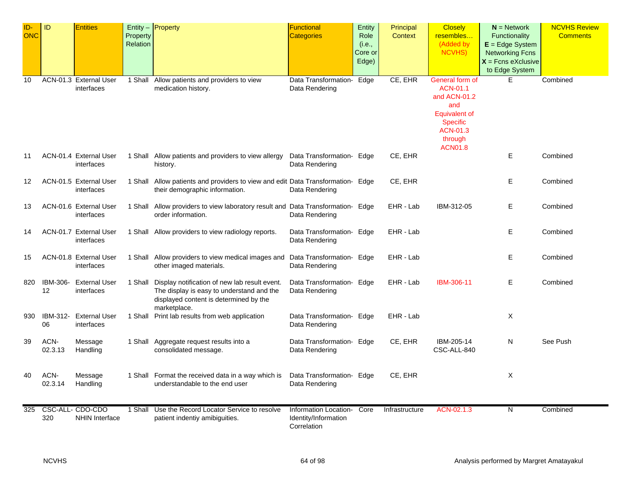| ID-<br><b>ONC</b> | ID              | <b>Entities</b>                          | Property<br>Relation | $Entity -$ Property                                                                                                                                          | <b>Functional</b><br><b>Categories</b>                       | Entity<br>Role             | Principal<br>Context | <b>Closely</b><br>resembles<br>(Added by                                                                                                      | $N =$ Network<br>Functionality                                                        | <b>NCVHS Review</b><br><b>Comments</b> |
|-------------------|-----------------|------------------------------------------|----------------------|--------------------------------------------------------------------------------------------------------------------------------------------------------------|--------------------------------------------------------------|----------------------------|----------------------|-----------------------------------------------------------------------------------------------------------------------------------------------|---------------------------------------------------------------------------------------|----------------------------------------|
|                   |                 |                                          |                      |                                                                                                                                                              |                                                              | (i.e.,<br>Core or<br>Edge) |                      | <b>NCVHS</b> )                                                                                                                                | $E = Edge System$<br><b>Networking Fcns</b><br>$X =$ Fcns eXclusive<br>to Edge System |                                        |
| 10                |                 | ACN-01.3 External User<br>interfaces     | 1 Shall              | Allow patients and providers to view<br>medication history.                                                                                                  | Data Transformation-<br>Data Rendering                       | Edge                       | CE, EHR              | General form of<br>ACN-01.1<br>and ACN-01.2<br>and<br><b>Equivalent of</b><br><b>Specific</b><br><b>ACN-01.3</b><br>through<br><b>ACN01.8</b> | E.                                                                                    | Combined                               |
| 11                |                 | ACN-01.4 External User<br>interfaces     |                      | 1 Shall Allow patients and providers to view allergy<br>history.                                                                                             | Data Transformation- Edge<br>Data Rendering                  |                            | CE, EHR              |                                                                                                                                               | Ε                                                                                     | Combined                               |
| 12                |                 | ACN-01.5 External User<br>interfaces     |                      | 1 Shall Allow patients and providers to view and edit Data Transformation- Edge<br>their demographic information.                                            | Data Rendering                                               |                            | CE, EHR              |                                                                                                                                               | Е                                                                                     | Combined                               |
| 13                |                 | ACN-01.6 External User<br>interfaces     |                      | 1 Shall Allow providers to view laboratory result and Data Transformation- Edge<br>order information.                                                        | Data Rendering                                               |                            | EHR - Lab            | IBM-312-05                                                                                                                                    | Е                                                                                     | Combined                               |
| 14                |                 | ACN-01.7 External User<br>interfaces     |                      | 1 Shall Allow providers to view radiology reports.                                                                                                           | Data Transformation- Edge<br>Data Rendering                  |                            | EHR - Lab            |                                                                                                                                               | Е                                                                                     | Combined                               |
| 15                |                 | ACN-01.8 External User<br>interfaces     |                      | 1 Shall Allow providers to view medical images and<br>other imaged materials.                                                                                | Data Transformation- Edge<br>Data Rendering                  |                            | EHR - Lab            |                                                                                                                                               | Е                                                                                     | Combined                               |
| 820               | 12              | IBM-306- External User<br>interfaces     |                      | 1 Shall Display notification of new lab result event.<br>The display is easy to understand and the<br>displayed content is determined by the<br>marketplace. | Data Transformation- Edge<br>Data Rendering                  |                            | EHR - Lab            | IBM-306-11                                                                                                                                    | Ε                                                                                     | Combined                               |
| 930               | IBM-312-<br>06  | <b>External User</b><br>interfaces       |                      | 1 Shall Print lab results from web application                                                                                                               | Data Transformation- Edge<br>Data Rendering                  |                            | EHR - Lab            |                                                                                                                                               | X                                                                                     |                                        |
| 39                | ACN-<br>02.3.13 | Message<br>Handling                      |                      | 1 Shall Aggregate request results into a<br>consolidated message.                                                                                            | Data Transformation- Edge<br>Data Rendering                  |                            | CE, EHR              | IBM-205-14<br>CSC-ALL-840                                                                                                                     | N                                                                                     | See Push                               |
| 40                | ACN-<br>02.3.14 | Message<br>Handling                      |                      | 1 Shall Format the received data in a way which is<br>understandable to the end user                                                                         | Data Transformation- Edge<br>Data Rendering                  |                            | CE, EHR              |                                                                                                                                               | X                                                                                     |                                        |
| 325               | 320             | CSC-ALL-CDO-CDO<br><b>NHIN Interface</b> |                      | 1 Shall Use the Record Locator Service to resolve<br>patient indentiy amibiguities.                                                                          | Information Location-<br>Identity/Information<br>Correlation | Core                       | Infrastructure       | ACN-02.1.3                                                                                                                                    | N                                                                                     | Combined                               |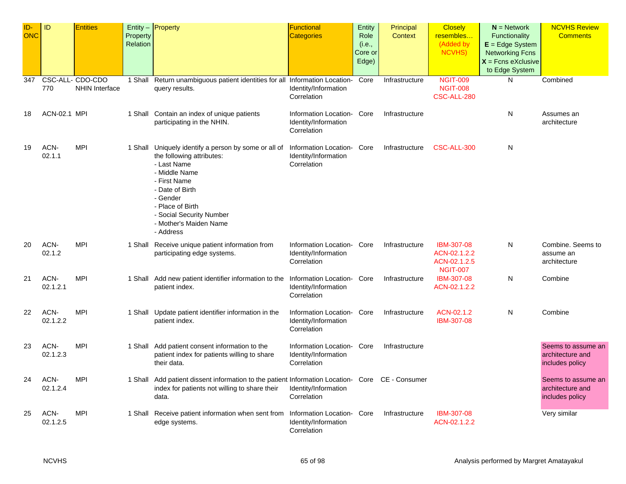| ID-<br><b>ONC</b> | ID                  | <b>Entities</b>                           | Property<br>Relation | $Entity -$ Property                                                                                                                                                                                                                                     | Functional<br><b>Categories</b>                                   | <b>Entity</b><br>Role<br>(i.e.,<br>Core or<br>Edge) | Principal<br><b>Context</b> | <b>Closely</b><br>resembles<br>(Added by<br>NCVHS)                   | $N =$ Network<br>Functionality<br>$E = Edge System$<br><b>Networking Fcns</b><br>$X =$ Fcns eXclusive | <b>NCVHS Review</b><br><b>Comments</b>                    |
|-------------------|---------------------|-------------------------------------------|----------------------|---------------------------------------------------------------------------------------------------------------------------------------------------------------------------------------------------------------------------------------------------------|-------------------------------------------------------------------|-----------------------------------------------------|-----------------------------|----------------------------------------------------------------------|-------------------------------------------------------------------------------------------------------|-----------------------------------------------------------|
| 347               | 770                 | CSC-ALL- CDO-CDO<br><b>NHIN Interface</b> | 1 Shall              | Return unambiguous patient identities for all Information Location-<br>query results.                                                                                                                                                                   | Identity/Information<br>Correlation                               | Core                                                | Infrastructure              | <b>NGIT-009</b><br><b>NGIT-008</b><br>CSC-ALL-280                    | to Edge System<br>N                                                                                   | Combined                                                  |
| 18                | <b>ACN-02.1 MPI</b> |                                           |                      | 1 Shall Contain an index of unique patients<br>participating in the NHIN.                                                                                                                                                                               | Information Location-<br>Identity/Information<br>Correlation      | Core                                                | Infrastructure              |                                                                      | N                                                                                                     | Assumes an<br>architecture                                |
| 19                | ACN-<br>02.1.1      | <b>MPI</b>                                |                      | 1 Shall Uniquely identify a person by some or all of<br>the following attributes:<br>- Last Name<br>- Middle Name<br>- First Name<br>- Date of Birth<br>- Gender<br>- Place of Birth<br>- Social Security Number<br>- Mother's Maiden Name<br>- Address | Information Location-<br>Identity/Information<br>Correlation      | Core                                                | Infrastructure              | CSC-ALL-300                                                          | N                                                                                                     |                                                           |
| 20                | ACN-<br>02.1.2      | <b>MPI</b>                                |                      | 1 Shall Receive unique patient information from<br>participating edge systems.                                                                                                                                                                          | Information Location-<br>Identity/Information<br>Correlation      | Core                                                | Infrastructure              | <b>IBM-307-08</b><br>ACN-02.1.2.2<br>ACN-02.1.2.5<br><b>NGIT-007</b> | N                                                                                                     | Combine. Seems to<br>assume an<br>architecture            |
| 21                | ACN-<br>02.1.2.1    | <b>MPI</b>                                |                      | 1 Shall Add new patient identifier information to the<br>patient index.                                                                                                                                                                                 | Information Location-<br>Identity/Information<br>Correlation      | Core                                                | Infrastructure              | IBM-307-08<br>ACN-02.1.2.2                                           | N                                                                                                     | Combine                                                   |
| 22                | ACN-<br>02.1.2.2    | <b>MPI</b>                                |                      | 1 Shall Update patient identifier information in the<br>patient index.                                                                                                                                                                                  | Information Location-<br>Identity/Information<br>Correlation      | Core                                                | Infrastructure              | ACN-02.1.2<br>IBM-307-08                                             | N                                                                                                     | Combine                                                   |
| 23                | ACN-<br>02.1.2.3    | <b>MPI</b>                                |                      | 1 Shall Add patient consent information to the<br>patient index for patients willing to share<br>their data.                                                                                                                                            | Information Location- Core<br>Identity/Information<br>Correlation |                                                     | Infrastructure              |                                                                      |                                                                                                       | Seems to assume an<br>architecture and<br>includes policy |
| 24                | ACN-<br>02.1.2.4    | <b>MPI</b>                                |                      | 1 Shall Add patient dissent information to the patient Information Location- Core CE - Consumer<br>index for patients not willing to share their<br>data.                                                                                               | Identity/Information<br>Correlation                               |                                                     |                             |                                                                      |                                                                                                       | Seems to assume an<br>architecture and<br>includes policy |
| 25                | ACN-<br>02.1.2.5    | <b>MPI</b>                                |                      | 1 Shall Receive patient information when sent from<br>edge systems.                                                                                                                                                                                     | Information Location- Core<br>Identity/Information<br>Correlation |                                                     | Infrastructure              | IBM-307-08<br>ACN-02.1.2.2                                           |                                                                                                       | Very similar                                              |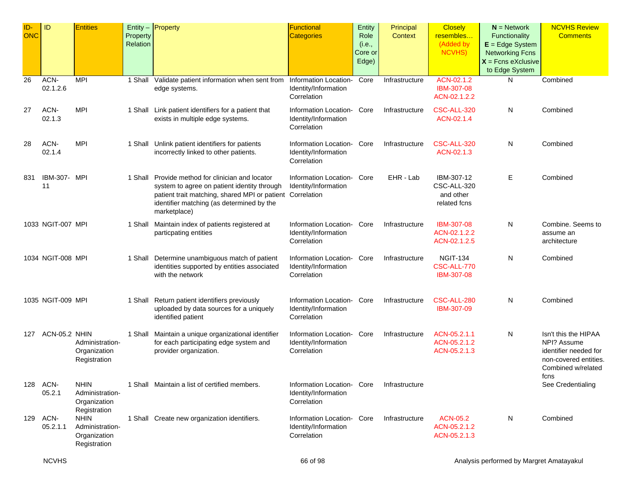| ID-<br><b>ONC</b> | ID                 | <b>Entities</b>                                                | Property<br>Relation | $Entity -$ Property                                                                                                                                                                                                       | <b>Functional</b><br><b>Categories</b>                            | Entity<br>Role<br>(i.e.,<br>Core or<br>Edge) | Principal<br>Context | <b>Closely</b><br>resembles<br>(Added by<br><b>NCVHS)</b> | $N =$ Network<br>Functionality<br>$E = Edge System$<br><b>Networking Fcns</b><br>$X =$ Fcns eXclusive<br>to Edge System | <b>NCVHS Review</b><br><b>Comments</b>                                                                              |
|-------------------|--------------------|----------------------------------------------------------------|----------------------|---------------------------------------------------------------------------------------------------------------------------------------------------------------------------------------------------------------------------|-------------------------------------------------------------------|----------------------------------------------|----------------------|-----------------------------------------------------------|-------------------------------------------------------------------------------------------------------------------------|---------------------------------------------------------------------------------------------------------------------|
| 26                | ACN-<br>02.1.2.6   | MPI                                                            | 1 Shall              | Validate patient information when sent from<br>edge systems.                                                                                                                                                              | Information Location-<br>Identity/Information<br>Correlation      | Core                                         | Infrastructure       | ACN-02.1.2<br>IBM-307-08<br>ACN-02.1.2.2                  | N                                                                                                                       | Combined                                                                                                            |
| 27                | ACN-<br>02.1.3     | <b>MPI</b>                                                     |                      | 1 Shall Link patient identifiers for a patient that<br>exists in multiple edge systems.                                                                                                                                   | Information Location-<br>Identity/Information<br>Correlation      | Core                                         | Infrastructure       | CSC-ALL-320<br>ACN-02.1.4                                 | N                                                                                                                       | Combined                                                                                                            |
| 28                | ACN-<br>02.1.4     | <b>MPI</b>                                                     |                      | 1 Shall Unlink patient identifiers for patients<br>incorrectly linked to other patients.                                                                                                                                  | Information Location- Core<br>Identity/Information<br>Correlation |                                              | Infrastructure       | CSC-ALL-320<br>ACN-02.1.3                                 | N                                                                                                                       | Combined                                                                                                            |
| 831               | IBM-307- MPI<br>11 |                                                                |                      | 1 Shall Provide method for clinician and locator<br>system to agree on patient identity through<br>patient trait matching, shared MPI or patient Correlation<br>identifier matching (as determined by the<br>marketplace) | Information Location-<br>Identity/Information                     | Core                                         | EHR - Lab            | IBM-307-12<br>CSC-ALL-320<br>and other<br>related fcns    | Ε                                                                                                                       | Combined                                                                                                            |
|                   | 1033 NGIT-007 MPI  |                                                                |                      | 1 Shall Maintain index of patients registered at<br>particpating entities                                                                                                                                                 | Information Location-<br>Identity/Information<br>Correlation      | Core                                         | Infrastructure       | IBM-307-08<br>ACN-02.1.2.2<br>ACN-02.1.2.5                | N                                                                                                                       | Combine. Seems to<br>assume an<br>architecture                                                                      |
|                   | 1034 NGIT-008 MPI  |                                                                |                      | 1 Shall Determine unambiguous match of patient<br>identities supported by entities associated<br>with the network                                                                                                         | Information Location- Core<br>Identity/Information<br>Correlation |                                              | Infrastructure       | <b>NGIT-134</b><br>CSC-ALL-770<br><b>IBM-307-08</b>       | N                                                                                                                       | Combined                                                                                                            |
|                   | 1035 NGIT-009 MPI  |                                                                |                      | 1 Shall Return patient identifiers previously<br>uploaded by data sources for a uniquely<br>identified patient                                                                                                            | Information Location-<br>Identity/Information<br>Correlation      | Core                                         | Infrastructure       | CSC-ALL-280<br>IBM-307-09                                 | N                                                                                                                       | Combined                                                                                                            |
| 127               | ACN-05.2 NHIN      | Administration-<br>Organization<br>Registration                |                      | 1 Shall Maintain a unique organizational identifier<br>for each participating edge system and<br>provider organization.                                                                                                   | Information Location- Core<br>Identity/Information<br>Correlation |                                              | Infrastructure       | ACN-05.2.1.1<br>ACN-05.2.1.2<br>ACN-05.2.1.3              | N                                                                                                                       | Isn't this the HIPAA<br>NPI? Assume<br>identifier needed for<br>non-covered entities.<br>Combined w/related<br>fcns |
| 128               | ACN-<br>05.2.1     | <b>NHIN</b><br>Administration-<br>Organization<br>Registration |                      | 1 Shall Maintain a list of certified members.                                                                                                                                                                             | Information Location- Core<br>Identity/Information<br>Correlation |                                              | Infrastructure       |                                                           |                                                                                                                         | See Credentialing                                                                                                   |
| 129               | ACN-<br>05.2.1.1   | <b>NHIN</b><br>Administration-<br>Organization<br>Registration |                      | 1 Shall Create new organization identifiers.                                                                                                                                                                              | Information Location- Core<br>Identity/Information<br>Correlation |                                              | Infrastructure       | <b>ACN-05.2</b><br>ACN-05.2.1.2<br>ACN-05.2.1.3           | N                                                                                                                       | Combined                                                                                                            |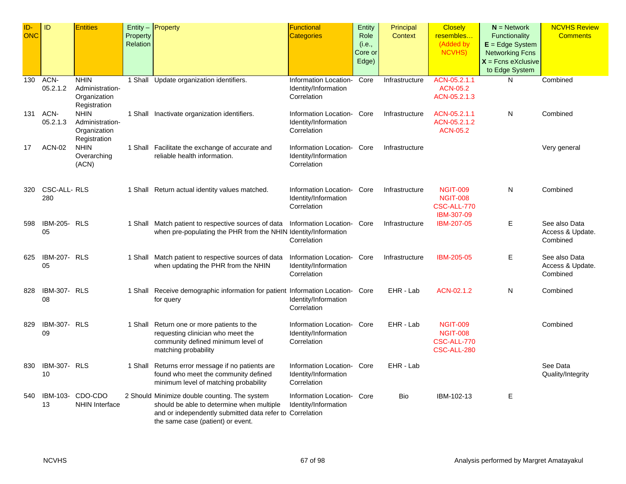| ID-        | ID                  | <b>Entities</b>             |          | Entity - Property                                                         | <b>Functional</b>                             | Entity  | Principal      | <b>Closely</b>                     | $N =$ Network          | <b>NCVHS Review</b> |
|------------|---------------------|-----------------------------|----------|---------------------------------------------------------------------------|-----------------------------------------------|---------|----------------|------------------------------------|------------------------|---------------------|
| <b>ONC</b> |                     |                             | Property |                                                                           | <b>Categories</b>                             | Role    | <b>Context</b> | resembles                          | <b>Functionality</b>   | <b>Comments</b>     |
|            |                     |                             | Relation |                                                                           |                                               | (i.e.,  |                | (Added by                          | $E = Edge System$      |                     |
|            |                     |                             |          |                                                                           |                                               | Core or |                | <b>NCVHS)</b>                      | <b>Networking Fcns</b> |                     |
|            |                     |                             |          |                                                                           |                                               | Edge)   |                |                                    | $X =$ Fcns eXclusive   |                     |
|            |                     |                             |          |                                                                           |                                               |         |                |                                    | to Edge System         |                     |
| 130        | ACN-                | <b>NHIN</b>                 |          | 1 Shall Update organization identifiers.                                  | Information Location-                         | Core    | Infrastructure | ACN-05.2.1.1                       | N                      | Combined            |
|            | 05.2.1.2            | Administration-             |          |                                                                           | Identity/Information                          |         |                | <b>ACN-05.2</b>                    |                        |                     |
|            |                     |                             |          |                                                                           | Correlation                                   |         |                |                                    |                        |                     |
|            |                     | Organization                |          |                                                                           |                                               |         |                | ACN-05.2.1.3                       |                        |                     |
|            | ACN-                | Registration<br><b>NHIN</b> |          |                                                                           |                                               |         |                |                                    | N                      |                     |
| 131        |                     |                             |          | 1 Shall Inactivate organization identifiers.                              | Information Location-                         | Core    | Infrastructure | ACN-05.2.1.1                       |                        | Combined            |
|            | 05.2.1.3            | Administration-             |          |                                                                           | Identity/Information                          |         |                | ACN-05.2.1.2                       |                        |                     |
|            |                     | Organization                |          |                                                                           | Correlation                                   |         |                | <b>ACN-05.2</b>                    |                        |                     |
|            |                     | Registration                |          |                                                                           |                                               |         |                |                                    |                        |                     |
| 17         | <b>ACN-02</b>       | <b>NHIN</b>                 |          | 1 Shall Facilitate the exchange of accurate and                           | Information Location- Core                    |         | Infrastructure |                                    |                        | Very general        |
|            |                     | Overarching                 |          | reliable health information.                                              | Identity/Information                          |         |                |                                    |                        |                     |
|            |                     | (ACN)                       |          |                                                                           | Correlation                                   |         |                |                                    |                        |                     |
|            |                     |                             |          |                                                                           |                                               |         |                |                                    |                        |                     |
|            |                     |                             |          |                                                                           |                                               |         |                |                                    |                        |                     |
| 320        | CSC-ALL-RLS<br>280  |                             |          | 1 Shall Return actual identity values matched.                            | Information Location-<br>Identity/Information | Core    | Infrastructure | <b>NGIT-009</b><br><b>NGIT-008</b> | N                      | Combined            |
|            |                     |                             |          |                                                                           |                                               |         |                |                                    |                        |                     |
|            |                     |                             |          |                                                                           | Correlation                                   |         |                | CSC-ALL-770                        |                        |                     |
|            |                     |                             |          |                                                                           |                                               |         |                | IBM-307-09                         |                        |                     |
| 598        | <b>IBM-205- RLS</b> |                             |          | 1 Shall Match patient to respective sources of data                       | Information Location- Core                    |         | Infrastructure | IBM-207-05                         | Ε                      | See also Data       |
|            | 05                  |                             |          | when pre-populating the PHR from the NHIN Identity/Information            |                                               |         |                |                                    |                        | Access & Update.    |
|            |                     |                             |          |                                                                           | Correlation                                   |         |                |                                    |                        | Combined            |
| 625        | <b>IBM-207- RLS</b> |                             |          |                                                                           | Information Location-                         | Core    |                | IBM-205-05                         |                        | See also Data       |
|            | 05                  |                             |          | 1 Shall Match patient to respective sources of data                       |                                               |         | Infrastructure |                                    | Е                      |                     |
|            |                     |                             |          | when updating the PHR from the NHIN                                       | Identity/Information                          |         |                |                                    |                        | Access & Update.    |
|            |                     |                             |          |                                                                           | Correlation                                   |         |                |                                    |                        | Combined            |
| 828        | <b>IBM-307- RLS</b> |                             |          | 1 Shall Receive demographic information for patient Information Location- |                                               | Core    | EHR - Lab      | ACN-02.1.2                         | N                      | Combined            |
|            | 08                  |                             |          | for query                                                                 | Identity/Information                          |         |                |                                    |                        |                     |
|            |                     |                             |          |                                                                           | Correlation                                   |         |                |                                    |                        |                     |
|            |                     |                             |          |                                                                           |                                               |         |                |                                    |                        |                     |
| 829        | IBM-307- RLS        |                             |          | 1 Shall Return one or more patients to the                                | Information Location-                         | Core    | EHR - Lab      | <b>NGIT-009</b>                    |                        | Combined            |
|            | 09                  |                             |          | requesting clinician who meet the                                         | Identity/Information                          |         |                | <b>NGIT-008</b>                    |                        |                     |
|            |                     |                             |          | community defined minimum level of                                        | Correlation                                   |         |                | CSC-ALL-770                        |                        |                     |
|            |                     |                             |          | matching probability                                                      |                                               |         |                | CSC-ALL-280                        |                        |                     |
|            |                     |                             |          |                                                                           |                                               |         |                |                                    |                        |                     |
| 830        | <b>IBM-307- RLS</b> |                             |          | 1 Shall Returns error message if no patients are                          | Information Location-                         | Core    | EHR - Lab      |                                    |                        | See Data            |
|            | 10                  |                             |          | found who meet the community defined                                      | Identity/Information                          |         |                |                                    |                        | Quality/Integrity   |
|            |                     |                             |          | minimum level of matching probability                                     | Correlation                                   |         |                |                                    |                        |                     |
|            |                     |                             |          |                                                                           |                                               |         |                |                                    |                        |                     |
| 540        | IBM-103-            | CDO-CDO                     |          | 2 Should Minimize double counting. The system                             | Information Location- Core                    |         | Bio            | IBM-102-13                         | Е                      |                     |
|            | 13                  | NHIN Interface              |          | should be able to determine when multiple                                 | Identity/Information                          |         |                |                                    |                        |                     |
|            |                     |                             |          | and or independently submitted data refer to Correlation                  |                                               |         |                |                                    |                        |                     |
|            |                     |                             |          | the same case (patient) or event.                                         |                                               |         |                |                                    |                        |                     |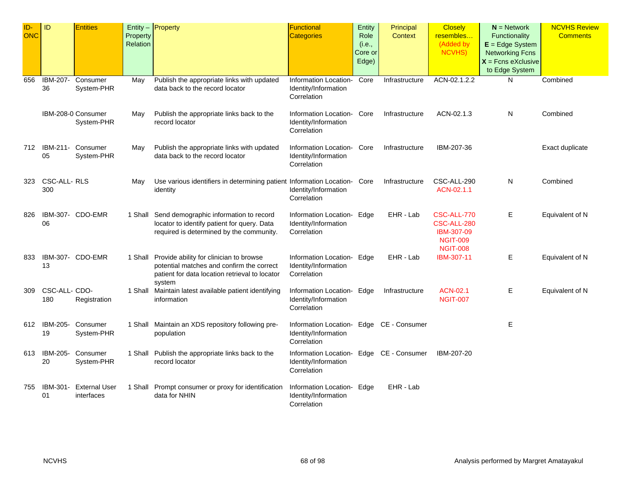| ID-<br><b>ONC</b> | ID                   | <b>Entities</b>                    | Property<br>Relation | Entity $-$ Property                                                                                                                                      | Functional<br><b>Categories</b>                                                 | Entity<br>Role<br>(i.e.,<br>Core or<br>Edge) | Principal<br><b>Context</b> | <b>Closely</b><br>resembles<br>(Added by<br>NCVHS)                             | $N =$ Network<br>Functionality<br>$E = Edge System$<br><b>Networking Fcns</b><br>$X =$ Fcns eXclusive<br>to Edge System | <b>NCVHS Review</b><br><b>Comments</b> |
|-------------------|----------------------|------------------------------------|----------------------|----------------------------------------------------------------------------------------------------------------------------------------------------------|---------------------------------------------------------------------------------|----------------------------------------------|-----------------------------|--------------------------------------------------------------------------------|-------------------------------------------------------------------------------------------------------------------------|----------------------------------------|
| 656               | IBM-207-<br>36       | Consumer<br>System-PHR             | May                  | Publish the appropriate links with updated<br>data back to the record locator                                                                            | Information Location-<br>Identity/Information<br>Correlation                    | Core                                         | Infrastructure              | ACN-02.1.2.2                                                                   | N                                                                                                                       | Combined                               |
|                   |                      | IBM-208-0 Consumer<br>System-PHR   | May                  | Publish the appropriate links back to the<br>record locator                                                                                              | Information Location-<br>Identity/Information<br>Correlation                    | Core                                         | Infrastructure              | ACN-02.1.3                                                                     | N                                                                                                                       | Combined                               |
| 712               | IBM-211-<br>05       | Consumer<br>System-PHR             | May                  | Publish the appropriate links with updated<br>data back to the record locator                                                                            | Information Location-<br>Identity/Information<br>Correlation                    | Core                                         | Infrastructure              | IBM-207-36                                                                     |                                                                                                                         | Exact duplicate                        |
| 323               | CSC-ALL-RLS<br>300   |                                    | May                  | Use various identifiers in determining patient Information Location-<br>identity                                                                         | Identity/Information<br>Correlation                                             | Core                                         | Infrastructure              | CSC-ALL-290<br>ACN-02.1.1                                                      | N                                                                                                                       | Combined                               |
| 826               | 06                   | IBM-307- CDO-EMR                   |                      | 1 Shall Send demographic information to record<br>locator to identify patient for query. Data<br>required is determined by the community.                | Information Location- Edge<br>Identity/Information<br>Correlation               |                                              | EHR - Lab                   | CSC-ALL-770<br>CSC-ALL-280<br>IBM-307-09<br><b>NGIT-009</b><br><b>NGIT-008</b> | E.                                                                                                                      | Equivalent of N                        |
| 833               | 13                   | IBM-307- CDO-EMR                   |                      | 1 Shall Provide ability for clinician to browse<br>potential matches and confirm the correct<br>patient for data location retrieval to locator<br>system | Information Location- Edge<br>Identity/Information<br>Correlation               |                                              | EHR - Lab                   | IBM-307-11                                                                     | Е                                                                                                                       | Equivalent of N                        |
| 309               | CSC-ALL- CDO-<br>180 | Registration                       |                      | 1 Shall Maintain latest available patient identifying<br>information                                                                                     | Information Location- Edge<br>Identity/Information<br>Correlation               |                                              | Infrastructure              | <b>ACN-02.1</b><br><b>NGIT-007</b>                                             | Е                                                                                                                       | Equivalent of N                        |
| 612               | 19                   | IBM-205- Consumer<br>System-PHR    |                      | 1 Shall Maintain an XDS repository following pre-<br>population                                                                                          | Information Location- Edge CE - Consumer<br>Identity/Information<br>Correlation |                                              |                             |                                                                                | Е                                                                                                                       |                                        |
| 613               | IBM-205-<br>20       | Consumer<br>System-PHR             |                      | 1 Shall Publish the appropriate links back to the<br>record locator                                                                                      | Information Location- Edge CE - Consumer<br>Identity/Information<br>Correlation |                                              |                             | IBM-207-20                                                                     |                                                                                                                         |                                        |
| 755               | IBM-301-<br>01       | <b>External User</b><br>interfaces |                      | 1 Shall Prompt consumer or proxy for identification<br>data for NHIN                                                                                     | Information Location- Edge<br>Identity/Information<br>Correlation               |                                              | EHR - Lab                   |                                                                                |                                                                                                                         |                                        |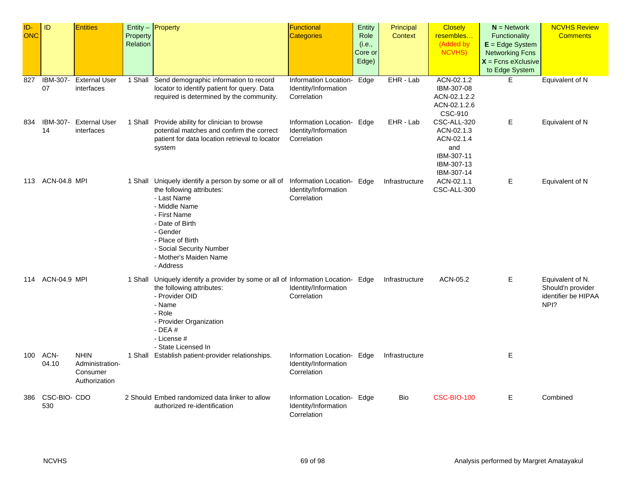| ID-        | ID                  | <b>Entities</b>      |          | Entity - Property                                                                 | <b>Functional</b>          | Entity  | Principal      | <b>Closely</b> | $N =$ Network          | <b>NCVHS Review</b> |
|------------|---------------------|----------------------|----------|-----------------------------------------------------------------------------------|----------------------------|---------|----------------|----------------|------------------------|---------------------|
| <b>ONC</b> |                     |                      | Property |                                                                                   | <b>Categories</b>          | Role    | <b>Context</b> | resembles      | Functionality          | <b>Comments</b>     |
|            |                     |                      | Relation |                                                                                   |                            | (i.e.,  |                | (Added by      | $E = Edge System$      |                     |
|            |                     |                      |          |                                                                                   |                            | Core or |                | <b>NCVHS)</b>  | <b>Networking Fcns</b> |                     |
|            |                     |                      |          |                                                                                   |                            | Edge)   |                |                | $X =$ Fcns eXclusive   |                     |
|            |                     |                      |          |                                                                                   |                            |         |                |                | to Edge System         |                     |
| 827        | IBM-307-            | <b>External User</b> |          | 1 Shall Send demographic information to record                                    | Information Location-      | Edge    | EHR - Lab      | ACN-02.1.2     | E                      | Equivalent of N     |
|            | 07                  | interfaces           |          | locator to identify patient for query. Data                                       | Identity/Information       |         |                | IBM-307-08     |                        |                     |
|            |                     |                      |          | required is determined by the community.                                          | Correlation                |         |                | ACN-02.1.2.2   |                        |                     |
|            |                     |                      |          |                                                                                   |                            |         |                | ACN-02.1.2.6   |                        |                     |
|            |                     |                      |          |                                                                                   |                            |         |                | CSC-910        |                        |                     |
| 834        | IBM-307-            | <b>External User</b> |          | 1 Shall Provide ability for clinician to browse                                   | Information Location- Edge |         | EHR - Lab      | CSC-ALL-320    | E                      | Equivalent of N     |
|            | 14                  | interfaces           |          | potential matches and confirm the correct                                         | Identity/Information       |         |                | ACN-02.1.3     |                        |                     |
|            |                     |                      |          | patient for data location retrieval to locator                                    | Correlation                |         |                | ACN-02.1.4     |                        |                     |
|            |                     |                      |          | system                                                                            |                            |         |                | and            |                        |                     |
|            |                     |                      |          |                                                                                   |                            |         |                | IBM-307-11     |                        |                     |
|            |                     |                      |          |                                                                                   |                            |         |                | IBM-307-13     |                        |                     |
|            |                     |                      |          |                                                                                   |                            |         |                | IBM-307-14     |                        |                     |
| 113        | <b>ACN-04.8 MPI</b> |                      |          | 1 Shall Uniquely identify a person by some or all of                              | Information Location- Edge |         | Infrastructure | ACN-02.1.1     | Е                      | Equivalent of N     |
|            |                     |                      |          | the following attributes:                                                         | Identity/Information       |         |                | CSC-ALL-300    |                        |                     |
|            |                     |                      |          | - Last Name                                                                       | Correlation                |         |                |                |                        |                     |
|            |                     |                      |          | - Middle Name                                                                     |                            |         |                |                |                        |                     |
|            |                     |                      |          | - First Name                                                                      |                            |         |                |                |                        |                     |
|            |                     |                      |          | - Date of Birth<br>- Gender                                                       |                            |         |                |                |                        |                     |
|            |                     |                      |          | - Place of Birth                                                                  |                            |         |                |                |                        |                     |
|            |                     |                      |          | - Social Security Number                                                          |                            |         |                |                |                        |                     |
|            |                     |                      |          | - Mother's Maiden Name                                                            |                            |         |                |                |                        |                     |
|            |                     |                      |          | - Address                                                                         |                            |         |                |                |                        |                     |
|            |                     |                      |          |                                                                                   |                            |         |                |                |                        |                     |
| 114        | <b>ACN-04.9 MPI</b> |                      |          | 1 Shall Uniquely identify a provider by some or all of Information Location- Edge |                            |         | Infrastructure | ACN-05.2       | E                      | Equivalent of N.    |
|            |                     |                      |          | the following attributes:                                                         | Identity/Information       |         |                |                |                        | Should'n provider   |
|            |                     |                      |          | - Provider OID                                                                    | Correlation                |         |                |                |                        | identifier be HIPAA |
|            |                     |                      |          | - Name                                                                            |                            |         |                |                |                        | NPI?                |
|            |                     |                      |          | - Role                                                                            |                            |         |                |                |                        |                     |
|            |                     |                      |          | - Provider Organization<br>$-$ DEA $#$                                            |                            |         |                |                |                        |                     |
|            |                     |                      |          | - License #                                                                       |                            |         |                |                |                        |                     |
|            |                     |                      |          | - State Licensed In                                                               |                            |         |                |                |                        |                     |
| 100        | ACN-                | <b>NHIN</b>          |          | 1 Shall Establish patient-provider relationships.                                 | Information Location- Edge |         | Infrastructure |                | Е                      |                     |
|            | 04.10               | Administration-      |          |                                                                                   | Identity/Information       |         |                |                |                        |                     |
|            |                     | Consumer             |          |                                                                                   | Correlation                |         |                |                |                        |                     |
|            |                     | Authorization        |          |                                                                                   |                            |         |                |                |                        |                     |
|            |                     |                      |          |                                                                                   |                            |         |                |                |                        |                     |
| 386        | CSC-BIO- CDO        |                      |          | 2 Should Embed randomized data linker to allow                                    | Information Location- Edge |         | <b>Bio</b>     | CSC-BIO-100    | Е                      | Combined            |
|            | 530                 |                      |          | authorized re-identification                                                      | Identity/Information       |         |                |                |                        |                     |
|            |                     |                      |          |                                                                                   | Correlation                |         |                |                |                        |                     |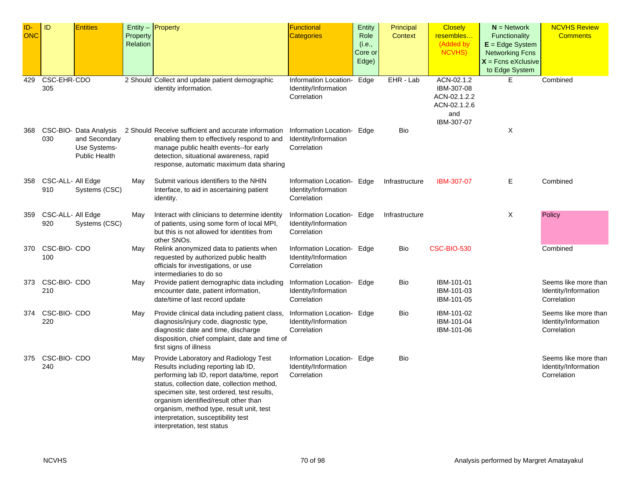| ID-<br>ONC | ID                       | <b>Entities</b>                                                                 | Property<br>Relation | $Entity -$ Property                                                                                                                                                                                                                                                                                                                                                                 | Functional<br><b>Categories</b>                                   | Entity<br>Role<br>(i.e.,<br>Core or<br>Edge) | Principal<br><b>Context</b> | <b>Closely</b><br>resembles<br>(Added by<br><b>NCVHS)</b>                     | $N =$ Network<br><b>Functionality</b><br>$E = Edge System$<br><b>Networking Fcns</b><br>$X =$ Fcns eXclusive<br>to Edge System | <b>NCVHS Review</b><br><b>Comments</b>                      |
|------------|--------------------------|---------------------------------------------------------------------------------|----------------------|-------------------------------------------------------------------------------------------------------------------------------------------------------------------------------------------------------------------------------------------------------------------------------------------------------------------------------------------------------------------------------------|-------------------------------------------------------------------|----------------------------------------------|-----------------------------|-------------------------------------------------------------------------------|--------------------------------------------------------------------------------------------------------------------------------|-------------------------------------------------------------|
| 429        | CSC-EHR-CDO<br>305       |                                                                                 |                      | 2 Should Collect and update patient demographic<br>identity information.                                                                                                                                                                                                                                                                                                            | Information Location-<br>Identity/Information<br>Correlation      | Edge                                         | EHR - Lab                   | ACN-02.1.2<br>IBM-307-08<br>ACN-02.1.2.2<br>ACN-02.1.2.6<br>and<br>IBM-307-07 | E                                                                                                                              | Combined                                                    |
| 368        | 030                      | CSC-BIO- Data Analysis<br>and Secondary<br>Use Systems-<br><b>Public Health</b> |                      | 2 Should Receive sufficient and accurate information<br>enabling them to effectively respond to and<br>manage public health events--for early<br>detection, situational awareness, rapid<br>response, automatic maximum data sharing                                                                                                                                                | Information Location- Edge<br>Identity/Information<br>Correlation |                                              | Bio                         |                                                                               | X                                                                                                                              |                                                             |
| 358        | CSC-ALL- All Edge<br>910 | Systems (CSC)                                                                   | May                  | Submit various identifiers to the NHIN<br>Interface, to aid in ascertaining patient<br>identity.                                                                                                                                                                                                                                                                                    | Information Location- Edge<br>Identity/Information<br>Correlation |                                              | Infrastructure              | IBM-307-07                                                                    | Е                                                                                                                              | Combined                                                    |
| 359        | CSC-ALL- All Edge<br>920 | Systems (CSC)                                                                   | May                  | Interact with clinicians to determine identity<br>of patients, using some form of local MPI,<br>but this is not allowed for identities from<br>other SNOs.                                                                                                                                                                                                                          | Information Location- Edge<br>Identity/Information<br>Correlation |                                              | Infrastructure              |                                                                               | Χ                                                                                                                              | Policy                                                      |
| 370        | CSC-BIO- CDO<br>100      |                                                                                 | May                  | Relink anonymized data to patients when<br>requested by authorized public health<br>officials for investigations, or use<br>intermediaries to do so                                                                                                                                                                                                                                 | Information Location- Edge<br>Identity/Information<br>Correlation |                                              | Bio                         | <b>CSC-BIO-530</b>                                                            |                                                                                                                                | Combined                                                    |
| 373        | CSC-BIO- CDO<br>210      |                                                                                 | May                  | Provide patient demographic data including<br>encounter date, patient information,<br>date/time of last record update                                                                                                                                                                                                                                                               | Information Location-<br>Identity/Information<br>Correlation      | Edge                                         | Bio                         | IBM-101-01<br>IBM-101-03<br>IBM-101-05                                        |                                                                                                                                | Seems like more than<br>Identity/Information<br>Correlation |
| 374        | CSC-BIO- CDO<br>220      |                                                                                 | May                  | Provide clinical data including patient class,<br>diagnosis/injury code, diagnostic type,<br>diagnostic date and time, discharge<br>disposition, chief complaint, date and time of<br>first signs of illness                                                                                                                                                                        | Information Location- Edge<br>Identity/Information<br>Correlation |                                              | Bio                         | IBM-101-02<br>IBM-101-04<br>IBM-101-06                                        |                                                                                                                                | Seems like more than<br>Identity/Information<br>Correlation |
| 375        | CSC-BIO- CDO<br>240      |                                                                                 | May                  | Provide Laboratory and Radiology Test<br>Results including reporting lab ID,<br>performing lab ID, report data/time, report<br>status, collection date, collection method,<br>specimen site, test ordered, test results,<br>organism identified/result other than<br>organism, method type, result unit, test<br>interpretation, susceptibility test<br>interpretation, test status | Information Location- Edge<br>Identity/Information<br>Correlation |                                              | Bio                         |                                                                               |                                                                                                                                | Seems like more than<br>Identity/Information<br>Correlation |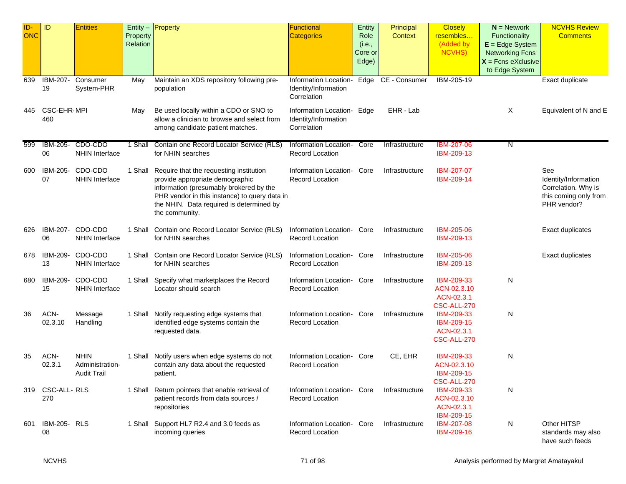| ID-<br><b>ONC</b> | ID                        | <b>Entities</b>                                      | Property<br>Relation | Entity $-$ Property                                                                                                                                                                                                                          | Functional<br><b>Categories</b>                              | Entity<br>Role<br>(i.e.,<br>Core or<br>Edge) | Principal<br>Context | <b>Closely</b><br>resembles<br>(Added by<br><b>NCVHS)</b>     | $N =$ Network<br>Functionality<br>$E = Edge System$<br><b>Networking Fcns</b><br>$X =$ Fcns eXclusive<br>to Edge System | <b>NCVHS Review</b><br><b>Comments</b>                                                     |
|-------------------|---------------------------|------------------------------------------------------|----------------------|----------------------------------------------------------------------------------------------------------------------------------------------------------------------------------------------------------------------------------------------|--------------------------------------------------------------|----------------------------------------------|----------------------|---------------------------------------------------------------|-------------------------------------------------------------------------------------------------------------------------|--------------------------------------------------------------------------------------------|
| 639               | IBM-207-<br>19            | Consumer<br>System-PHR                               | May                  | Maintain an XDS repository following pre-<br>population                                                                                                                                                                                      | Information Location-<br>Identity/Information<br>Correlation | Edge                                         | CE - Consumer        | IBM-205-19                                                    |                                                                                                                         | Exact duplicate                                                                            |
| 445               | <b>CSC-EHR-MPI</b><br>460 |                                                      | May                  | Be used locally within a CDO or SNO to<br>allow a clinician to browse and select from<br>among candidate patient matches.                                                                                                                    | Information Location-<br>Identity/Information<br>Correlation | Edge                                         | EHR - Lab            |                                                               | X                                                                                                                       | Equivalent of N and E                                                                      |
| 599               | IBM-205-<br>06            | CDO-CDO<br><b>NHIN Interface</b>                     | 1 Shall              | Contain one Record Locator Service (RLS)<br>for NHIN searches                                                                                                                                                                                | Information Location-<br><b>Record Location</b>              | Core                                         | Infrastructure       | <b>IBM-207-06</b><br>IBM-209-13                               | N                                                                                                                       |                                                                                            |
| 600               | IBM-205-<br>07            | CDO-CDO<br><b>NHIN Interface</b>                     |                      | 1 Shall Require that the requesting institution<br>provide appropriate demographic<br>information (presumably brokered by the<br>PHR vendor in this instance) to query data in<br>the NHIN. Data required is determined by<br>the community. | Information Location-<br><b>Record Location</b>              | Core                                         | Infrastructure       | IBM-207-07<br>IBM-209-14                                      |                                                                                                                         | See<br>Identity/Information<br>Correlation. Why is<br>this coming only from<br>PHR vendor? |
| 626               | IBM-207-<br>06            | CDO-CDO<br><b>NHIN Interface</b>                     | 1 Shall              | Contain one Record Locator Service (RLS)<br>for NHIN searches                                                                                                                                                                                | Information Location-<br><b>Record Location</b>              | Core                                         | Infrastructure       | IBM-205-06<br>IBM-209-13                                      |                                                                                                                         | Exact duplicates                                                                           |
| 678               | IBM-209-<br>13            | CDO-CDO<br><b>NHIN Interface</b>                     |                      | 1 Shall Contain one Record Locator Service (RLS)<br>for NHIN searches                                                                                                                                                                        | Information Location-<br><b>Record Location</b>              | Core                                         | Infrastructure       | <b>IBM-205-06</b><br>IBM-209-13                               |                                                                                                                         | Exact duplicates                                                                           |
| 680               | IBM-209-<br>15            | CDO-CDO<br><b>NHIN Interface</b>                     | 1 Shall              | Specify what marketplaces the Record<br>Locator should search                                                                                                                                                                                | Information Location-<br><b>Record Location</b>              | Core                                         | Infrastructure       | IBM-209-33<br>ACN-02.3.10<br>ACN-02.3.1<br><b>CSC-ALL-270</b> | N                                                                                                                       |                                                                                            |
| 36                | ACN-<br>02.3.10           | Message<br>Handling                                  |                      | 1 Shall Notify requesting edge systems that<br>identified edge systems contain the<br>requested data.                                                                                                                                        | Information Location-<br><b>Record Location</b>              | Core                                         | Infrastructure       | IBM-209-33<br>IBM-209-15<br>ACN-02.3.1<br>CSC-ALL-270         | N                                                                                                                       |                                                                                            |
| 35                | ACN-<br>02.3.1            | <b>NHIN</b><br>Administration-<br><b>Audit Trail</b> | 1 Shall              | Notify users when edge systems do not<br>contain any data about the requested<br>patient.                                                                                                                                                    | Information Location-<br><b>Record Location</b>              | Core                                         | CE, EHR              | IBM-209-33<br>ACN-02.3.10<br>IBM-209-15<br><b>CSC-ALL-270</b> | N                                                                                                                       |                                                                                            |
| 319               | CSC-ALL-RLS<br>270        |                                                      |                      | 1 Shall Return pointers that enable retrieval of<br>patient records from data sources /<br>repositories                                                                                                                                      | Information Location-<br><b>Record Location</b>              | Core                                         | Infrastructure       | IBM-209-33<br>ACN-02.3.10<br>ACN-02.3.1<br>IBM-209-15         | N                                                                                                                       |                                                                                            |
| 601               | <b>IBM-205- RLS</b><br>08 |                                                      |                      | 1 Shall Support HL7 R2.4 and 3.0 feeds as<br>incoming queries                                                                                                                                                                                | Information Location- Core<br><b>Record Location</b>         |                                              | Infrastructure       | <b>IBM-207-08</b><br>IBM-209-16                               | N                                                                                                                       | Other HITSP<br>standards may also<br>have such feeds                                       |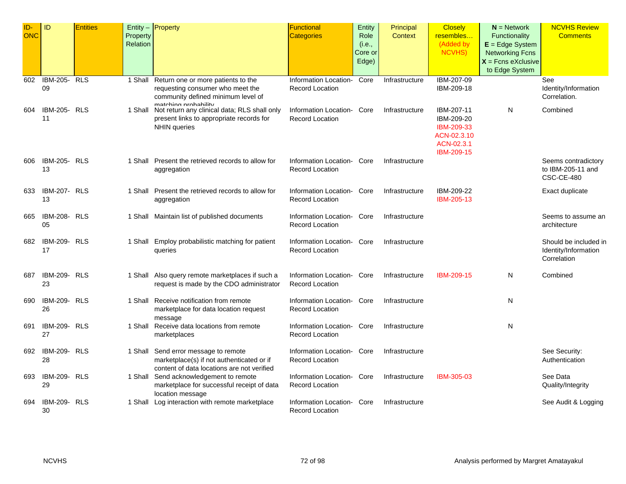| ID-<br><b>ONC</b> | ID                        | <b>Entities</b> | Property<br>Relation | Entity - Property                                                                                                                       | <b>Functional</b><br>Categories                      | Entity<br>Role<br>(i.e.,<br>Core or<br>Edge) | Principal<br><b>Context</b> | <b>Closely</b><br>resembles<br>(Added by<br>NCVHS)                                       | $N =$ Network<br>Functionality<br>$E = Edge System$<br><b>Networking Fcns</b><br>$X =$ Fcns eXclusive<br>to Edge System | <b>NCVHS Review</b><br><b>Comments</b>                       |
|-------------------|---------------------------|-----------------|----------------------|-----------------------------------------------------------------------------------------------------------------------------------------|------------------------------------------------------|----------------------------------------------|-----------------------------|------------------------------------------------------------------------------------------|-------------------------------------------------------------------------------------------------------------------------|--------------------------------------------------------------|
| 602               | <b>IBM-205- RLS</b><br>09 |                 | 1 Shall              | Return one or more patients to the<br>requesting consumer who meet the<br>community defined minimum level of                            | Information Location-<br><b>Record Location</b>      | Core                                         | Infrastructure              | IBM-207-09<br>IBM-209-18                                                                 |                                                                                                                         | See<br>Identity/Information<br>Correlation.                  |
| 604               | <b>IBM-205- RLS</b><br>11 |                 | 1 Shall              | matching probability<br>Not return any clinical data; RLS shall only<br>present links to appropriate records for<br><b>NHIN</b> queries | Information Location-<br><b>Record Location</b>      | Core                                         | Infrastructure              | IBM-207-11<br>IBM-209-20<br>IBM-209-33<br>ACN-02.3.10<br>ACN-02.3.1<br><b>IBM-209-15</b> | N                                                                                                                       | Combined                                                     |
| 606               | <b>IBM-205- RLS</b><br>13 |                 |                      | 1 Shall Present the retrieved records to allow for<br>aggregation                                                                       | Information Location-<br><b>Record Location</b>      | Core                                         | Infrastructure              |                                                                                          |                                                                                                                         | Seems contradictory<br>to IBM-205-11 and<br>CSC-CE-480       |
| 633               | IBM-207- RLS<br>13        |                 |                      | 1 Shall Present the retrieved records to allow for<br>aggregation                                                                       | Information Location-<br><b>Record Location</b>      | Core                                         | Infrastructure              | IBM-209-22<br>IBM-205-13                                                                 |                                                                                                                         | Exact duplicate                                              |
| 665               | <b>IBM-208- RLS</b><br>05 |                 |                      | 1 Shall Maintain list of published documents                                                                                            | Information Location- Core<br><b>Record Location</b> |                                              | Infrastructure              |                                                                                          |                                                                                                                         | Seems to assume an<br>architecture                           |
| 682               | <b>IBM-209- RLS</b><br>17 |                 |                      | 1 Shall Employ probabilistic matching for patient<br>queries                                                                            | Information Location- Core<br><b>Record Location</b> |                                              | Infrastructure              |                                                                                          |                                                                                                                         | Should be included in<br>Identity/Information<br>Correlation |
| 687               | <b>IBM-209- RLS</b><br>23 |                 |                      | 1 Shall Also query remote marketplaces if such a<br>request is made by the CDO administrator                                            | Information Location-<br><b>Record Location</b>      | Core                                         | Infrastructure              | <b>IBM-209-15</b>                                                                        | N                                                                                                                       | Combined                                                     |
| 690               | <b>IBM-209- RLS</b><br>26 |                 |                      | 1 Shall Receive notification from remote<br>marketplace for data location request<br>message                                            | Information Location- Core<br><b>Record Location</b> |                                              | Infrastructure              |                                                                                          | N                                                                                                                       |                                                              |
| 691               | <b>IBM-209- RLS</b><br>27 |                 |                      | 1 Shall Receive data locations from remote<br>marketplaces                                                                              | Information Location- Core<br><b>Record Location</b> |                                              | Infrastructure              |                                                                                          | N                                                                                                                       |                                                              |
| 692               | IBM-209- RLS<br>28        |                 |                      | 1 Shall Send error message to remote<br>marketplace(s) if not authenticated or if<br>content of data locations are not verified         | Information Location-<br><b>Record Location</b>      | Core                                         | Infrastructure              |                                                                                          |                                                                                                                         | See Security:<br>Authentication                              |
| 693               | <b>IBM-209- RLS</b><br>29 |                 |                      | 1 Shall Send acknowledgement to remote<br>marketplace for successful receipt of data<br>location message                                | Information Location- Core<br><b>Record Location</b> |                                              | Infrastructure              | IBM-305-03                                                                               |                                                                                                                         | See Data<br>Quality/Integrity                                |
| 694               | <b>IBM-209- RLS</b><br>30 |                 |                      | 1 Shall Log interaction with remote marketplace                                                                                         | Information Location- Core<br><b>Record Location</b> |                                              | Infrastructure              |                                                                                          |                                                                                                                         | See Audit & Logging                                          |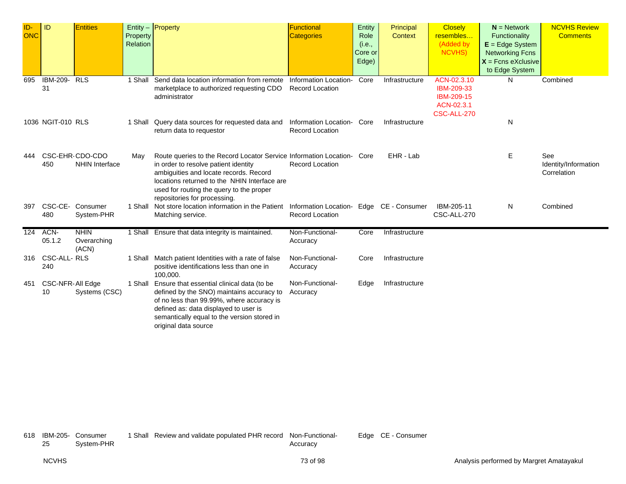| ID-<br><b>ONC</b> | <b>ID</b>              | <b>Entities</b>                          | Property<br>Relation | Entity $-$ Property                                                                                                                                                                                                                                                                  | <b>Functional</b><br><b>Categories</b>          | Entity<br>Role<br>(i.e.,<br>Core or<br>Edge) | Principal<br><b>Context</b> | <b>Closely</b><br>resembles<br>(Added by<br>NCVHS)                   | $N =$ Network<br>Functionality<br>$E = Edge System$<br><b>Networking Fcns</b><br>$X =$ Fcns eXclusive<br>to Edge System | <b>NCVHS Review</b><br><b>Comments</b>     |
|-------------------|------------------------|------------------------------------------|----------------------|--------------------------------------------------------------------------------------------------------------------------------------------------------------------------------------------------------------------------------------------------------------------------------------|-------------------------------------------------|----------------------------------------------|-----------------------------|----------------------------------------------------------------------|-------------------------------------------------------------------------------------------------------------------------|--------------------------------------------|
| 695               | IBM-209-<br>31         | <b>RLS</b>                               |                      | 1 Shall Send data location information from remote<br>marketplace to authorized requesting CDO<br>administrator                                                                                                                                                                      | Information Location-<br><b>Record Location</b> | Core                                         | Infrastructure              | ACN-02.3.10<br>IBM-209-33<br>IBM-209-15<br>ACN-02.3.1<br>CSC-ALL-270 | N                                                                                                                       | Combined                                   |
|                   | 1036 NGIT-010 RLS      |                                          | 1 Shall              | Query data sources for requested data and<br>return data to requestor                                                                                                                                                                                                                | Information Location-<br><b>Record Location</b> | Core                                         | Infrastructure              |                                                                      | N                                                                                                                       |                                            |
| 444               | 450                    | CSC-EHR-CDO-CDO<br><b>NHIN Interface</b> | May                  | Route queries to the Record Locator Service Information Location- Core<br>in order to resolve patient identity<br>ambiguities and locate records. Record<br>locations returned to the NHIN Interface are<br>used for routing the query to the proper<br>repositories for processing. | <b>Record Location</b>                          |                                              | EHR - Lab                   |                                                                      | E.                                                                                                                      | See<br>Identity/Information<br>Correlation |
| 397               | CSC-CE-<br>480         | Consumer<br>System-PHR                   |                      | 1 Shall Not store location information in the Patient Information Location- Edge CE - Consumer<br>Matching service.                                                                                                                                                                  | <b>Record Location</b>                          |                                              |                             | IBM-205-11<br>CSC-ALL-270                                            | N                                                                                                                       | Combined                                   |
| 124               | ACN-<br>05.1.2         | <b>NHIN</b><br>Overarching<br>(ACN)      |                      | 1 Shall Ensure that data integrity is maintained.                                                                                                                                                                                                                                    | Non-Functional-<br>Accuracy                     | Core                                         | Infrastructure              |                                                                      |                                                                                                                         |                                            |
|                   | 316 CSC-ALL-RLS<br>240 |                                          |                      | 1 Shall Match patient Identities with a rate of false<br>positive identifications less than one in<br>100,000.                                                                                                                                                                       | Non-Functional-<br>Accuracy                     | Core                                         | Infrastructure              |                                                                      |                                                                                                                         |                                            |
| 451               | CSC-NFR-All Edge<br>10 | Systems (CSC)                            | 1 Shall              | Ensure that essential clinical data (to be<br>defined by the SNO) maintains accuracy to<br>of no less than 99.99%, where accuracy is<br>defined as: data displayed to user is<br>semantically equal to the version stored in<br>original data source                                 | Non-Functional-<br>Accuracy                     | Edge                                         | Infrastructure              |                                                                      |                                                                                                                         |                                            |

618 IBM-205- Consumer System-PHR

1 Shall Review and validate populated PHR record Non-Functional-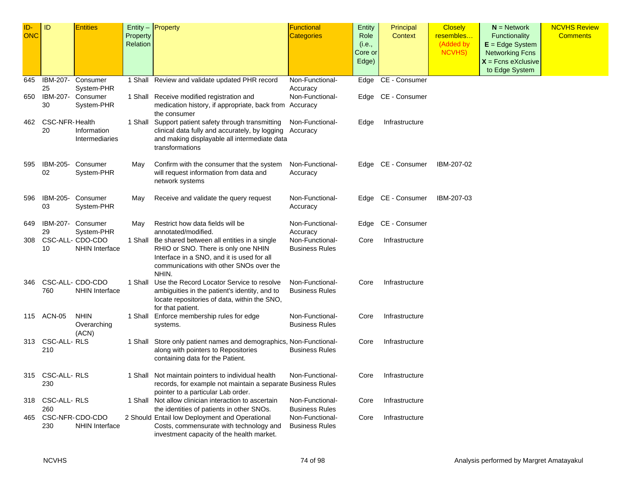| ID- | ID                    | <b>Entities</b>                           |                      | Entity - Property                                                                                 | Functional                               | <b>Entity</b>  | Principal          | <b>Closely</b>         | $N =$ Network                      | <b>NCVHS Review</b> |
|-----|-----------------------|-------------------------------------------|----------------------|---------------------------------------------------------------------------------------------------|------------------------------------------|----------------|--------------------|------------------------|------------------------------------|---------------------|
| ONC |                       |                                           | Property<br>Relation |                                                                                                   | <b>Categories</b>                        | Role<br>(i.e., | Context            | resembles<br>(Added by | Functionality<br>$E = Edge System$ | <b>Comments</b>     |
|     |                       |                                           |                      |                                                                                                   |                                          | Core or        |                    | NCVHS)                 | <b>Networking Fcns</b>             |                     |
|     |                       |                                           |                      |                                                                                                   |                                          | Edge)          |                    |                        | $X =$ Fcns eXclusive               |                     |
|     |                       |                                           |                      |                                                                                                   |                                          |                |                    |                        | to Edge System                     |                     |
| 645 | IBM-207-              | Consumer                                  |                      | 1 Shall Review and validate updated PHR record                                                    | Non-Functional-                          | Edge           | CE - Consumer      |                        |                                    |                     |
|     | 25                    | System-PHR                                |                      |                                                                                                   | Accuracy                                 |                |                    |                        |                                    |                     |
| 650 | IBM-207-<br>30        | Consumer<br>System-PHR                    |                      | 1 Shall Receive modified registration and                                                         | Non-Functional-                          |                | Edge CE - Consumer |                        |                                    |                     |
|     |                       |                                           |                      | medication history, if appropriate, back from Accuracy<br>the consumer                            |                                          |                |                    |                        |                                    |                     |
| 462 | <b>CSC-NFR-Health</b> |                                           |                      | 1 Shall Support patient safety through transmitting                                               | Non-Functional-                          | Edge           | Infrastructure     |                        |                                    |                     |
|     | 20                    | Information                               |                      | clinical data fully and accurately, by logging                                                    | Accuracy                                 |                |                    |                        |                                    |                     |
|     |                       | Intermediaries                            |                      | and making displayable all intermediate data                                                      |                                          |                |                    |                        |                                    |                     |
|     |                       |                                           |                      | transformations                                                                                   |                                          |                |                    |                        |                                    |                     |
| 595 | IBM-205-              | Consumer                                  | May                  | Confirm with the consumer that the system                                                         | Non-Functional-                          |                | Edge CE - Consumer | IBM-207-02             |                                    |                     |
|     | 02                    | System-PHR                                |                      | will request information from data and                                                            | Accuracy                                 |                |                    |                        |                                    |                     |
|     |                       |                                           |                      | network systems                                                                                   |                                          |                |                    |                        |                                    |                     |
| 596 | IBM-205-              | Consumer                                  | May                  | Receive and validate the query request                                                            | Non-Functional-                          |                | Edge CE - Consumer | IBM-207-03             |                                    |                     |
|     | 03                    | System-PHR                                |                      |                                                                                                   | Accuracy                                 |                |                    |                        |                                    |                     |
|     |                       |                                           |                      |                                                                                                   |                                          |                |                    |                        |                                    |                     |
| 649 | IBM-207-              | Consumer                                  | May                  | Restrict how data fields will be                                                                  | Non-Functional-                          | Edge           | CE - Consumer      |                        |                                    |                     |
|     | 29                    | System-PHR                                |                      | annotated/modified.                                                                               | Accuracy                                 |                |                    |                        |                                    |                     |
| 308 |                       | CSC-ALL- CDO-CDO<br><b>NHIN Interface</b> |                      | 1 Shall Be shared between all entities in a single<br>RHIO or SNO. There is only one NHIN         | Non-Functional-<br><b>Business Rules</b> | Core           | Infrastructure     |                        |                                    |                     |
|     | 10                    |                                           |                      | Interface in a SNO, and it is used for all                                                        |                                          |                |                    |                        |                                    |                     |
|     |                       |                                           |                      | communications with other SNOs over the                                                           |                                          |                |                    |                        |                                    |                     |
|     |                       |                                           |                      | NHIN.                                                                                             |                                          |                |                    |                        |                                    |                     |
| 346 |                       | CSC-ALL- CDO-CDO                          |                      | 1 Shall Use the Record Locator Service to resolve                                                 | Non-Functional-                          | Core           | Infrastructure     |                        |                                    |                     |
|     | 760                   | <b>NHIN Interface</b>                     |                      | ambiguities in the patient's identity, and to                                                     | <b>Business Rules</b>                    |                |                    |                        |                                    |                     |
|     |                       |                                           |                      | locate repositories of data, within the SNO,                                                      |                                          |                |                    |                        |                                    |                     |
|     | 115 ACN-05            | <b>NHIN</b>                               |                      | for that patient.<br>1 Shall Enforce membership rules for edge                                    | Non-Functional-                          | Core           | Infrastructure     |                        |                                    |                     |
|     |                       | Overarching                               |                      | systems.                                                                                          | <b>Business Rules</b>                    |                |                    |                        |                                    |                     |
|     |                       | (ACN)                                     |                      |                                                                                                   |                                          |                |                    |                        |                                    |                     |
| 313 | CSC-ALL-RLS           |                                           |                      | 1 Shall Store only patient names and demographics, Non-Functional-                                |                                          | Core           | Infrastructure     |                        |                                    |                     |
|     | 210                   |                                           |                      | along with pointers to Repositories                                                               | <b>Business Rules</b>                    |                |                    |                        |                                    |                     |
|     |                       |                                           |                      | containing data for the Patient.                                                                  |                                          |                |                    |                        |                                    |                     |
|     | 315 CSC-ALL-RLS       |                                           |                      | 1 Shall Not maintain pointers to individual health                                                | Non-Functional-                          | Core           | Infrastructure     |                        |                                    |                     |
|     | 230                   |                                           |                      | records, for example not maintain a separate Business Rules                                       |                                          |                |                    |                        |                                    |                     |
|     |                       |                                           |                      | pointer to a particular Lab order.                                                                |                                          |                |                    |                        |                                    |                     |
| 318 | CSC-ALL-RLS<br>260    |                                           |                      | 1 Shall Not allow clinician interaction to ascertain<br>the identities of patients in other SNOs. | Non-Functional-<br><b>Business Rules</b> | Core           | Infrastructure     |                        |                                    |                     |
| 465 |                       | CSC-NFR-CDO-CDO                           |                      | 2 Should Entail low Deployment and Operational                                                    | Non-Functional-                          | Core           | Infrastructure     |                        |                                    |                     |
|     | 230                   | <b>NHIN Interface</b>                     |                      | Costs, commensurate with technology and                                                           | <b>Business Rules</b>                    |                |                    |                        |                                    |                     |
|     |                       |                                           |                      | investment capacity of the health market.                                                         |                                          |                |                    |                        |                                    |                     |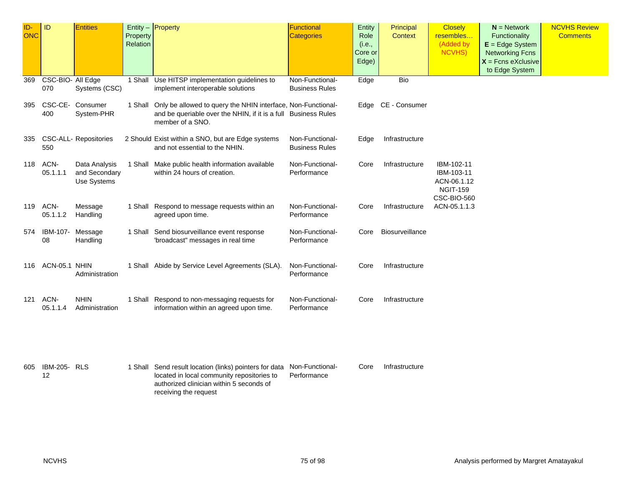| ID-<br><b>ONC</b> | ID                       | <b>Entities</b>                               | Property<br>Relation | $Entity -$ Property                                                                                                                                        | Functional<br><b>Categories</b>          | Entity<br>Role<br>(i.e.,<br>Core or<br>Edge) | Principal<br>Context | <b>Closely</b><br>resembles<br>(Added by<br>NCVHS)                        | $N =$ Network<br>Functionality<br>$E = Edge System$<br><b>Networking Fcns</b><br>$X =$ Fcns eXclusive<br>to Edge System | <b>NCVHS Review</b><br><b>Comments</b> |
|-------------------|--------------------------|-----------------------------------------------|----------------------|------------------------------------------------------------------------------------------------------------------------------------------------------------|------------------------------------------|----------------------------------------------|----------------------|---------------------------------------------------------------------------|-------------------------------------------------------------------------------------------------------------------------|----------------------------------------|
| 369               | CSC-BIO- All Edge<br>070 | Systems (CSC)                                 |                      | 1 Shall Use HITSP implementation guidelines to<br>implement interoperable solutions                                                                        | Non-Functional-<br><b>Business Rules</b> | Edge                                         | <b>Bio</b>           |                                                                           |                                                                                                                         |                                        |
| 395               | 400                      | CSC-CE- Consumer<br>System-PHR                |                      | 1 Shall Only be allowed to query the NHIN interface, Non-Functional-<br>and be queriable over the NHIN, if it is a full Business Rules<br>member of a SNO. |                                          | Edge                                         | CE - Consumer        |                                                                           |                                                                                                                         |                                        |
|                   | 550                      | 335 CSC-ALL- Repositories                     |                      | 2 Should Exist within a SNO, but are Edge systems<br>and not essential to the NHIN.                                                                        | Non-Functional-<br><b>Business Rules</b> | Edge                                         | Infrastructure       |                                                                           |                                                                                                                         |                                        |
| 118               | ACN-<br>05.1.1.1         | Data Analysis<br>and Secondary<br>Use Systems |                      | 1 Shall Make public health information available<br>within 24 hours of creation.                                                                           | Non-Functional-<br>Performance           | Core                                         | Infrastructure       | IBM-102-11<br>IBM-103-11<br>ACN-06.1.12<br><b>NGIT-159</b><br>CSC-BIO-560 |                                                                                                                         |                                        |
| 119               | ACN-<br>05.1.1.2         | Message<br>Handling                           |                      | 1 Shall Respond to message requests within an<br>agreed upon time.                                                                                         | Non-Functional-<br>Performance           | Core                                         | Infrastructure       | ACN-05.1.1.3                                                              |                                                                                                                         |                                        |
| 574               | IBM-107-<br>08           | Message<br>Handling                           |                      | 1 Shall Send biosurveillance event response<br>'broadcast" messages in real time                                                                           | Non-Functional-<br>Performance           | Core                                         | Biosurveillance      |                                                                           |                                                                                                                         |                                        |
|                   | 116 ACN-05.1 NHIN        | Administration                                |                      | 1 Shall Abide by Service Level Agreements (SLA).                                                                                                           | Non-Functional-<br>Performance           | Core                                         | Infrastructure       |                                                                           |                                                                                                                         |                                        |
| 121               | ACN-<br>05.1.1.4         | <b>NHIN</b><br>Administration                 |                      | 1 Shall Respond to non-messaging requests for<br>information within an agreed upon time.                                                                   | Non-Functional-<br>Performance           | Core                                         | Infrastructure       |                                                                           |                                                                                                                         |                                        |
|                   |                          |                                               |                      |                                                                                                                                                            |                                          |                                              |                      |                                                                           |                                                                                                                         |                                        |

| 605 IBM-205- RLS |  | 1 Shall Send result location (links) pointers for data Non-Functional- |             | Core | Infrastructure |
|------------------|--|------------------------------------------------------------------------|-------------|------|----------------|
|                  |  | located in local community repositories to                             | Performance |      |                |
|                  |  | authorized clinician within 5 seconds of                               |             |      |                |
|                  |  | receiving the request                                                  |             |      |                |
|                  |  |                                                                        |             |      |                |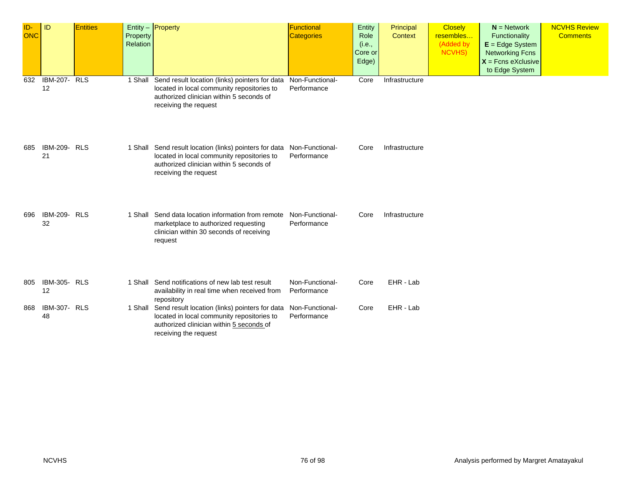| ID-<br><b>ONC</b> | <b>ID</b>                 | Entities | Entity - Property<br>Property<br>Relation |                                                                                                                                                                                           | Functional<br><b>Categories</b> | Entity<br>Role<br>(i.e.,<br>Core or<br>Edge) | Principal<br><b>Context</b> | <b>Closely</b><br>resembles<br>(Added by<br><b>NCVHS)</b> | $N =$ Network<br>Functionality<br>$E = Edge System$<br><b>Networking Fcns</b><br>$X =$ Fcns eXclusive<br>to Edge System | <b>NCVHS Review</b><br><b>Comments</b> |
|-------------------|---------------------------|----------|-------------------------------------------|-------------------------------------------------------------------------------------------------------------------------------------------------------------------------------------------|---------------------------------|----------------------------------------------|-----------------------------|-----------------------------------------------------------|-------------------------------------------------------------------------------------------------------------------------|----------------------------------------|
| 632               | <b>IBM-207- RLS</b><br>12 |          | 1 Shall                                   | Send result location (links) pointers for data<br>located in local community repositories to<br>authorized clinician within 5 seconds of<br>receiving the request                         | Non-Functional-<br>Performance  | Core                                         | Infrastructure              |                                                           |                                                                                                                         |                                        |
| 685               | <b>IBM-209- RLS</b><br>21 |          |                                           | 1 Shall Send result location (links) pointers for data Non-Functional-<br>located in local community repositories to<br>authorized clinician within 5 seconds of<br>receiving the request | Performance                     | Core                                         | Infrastructure              |                                                           |                                                                                                                         |                                        |
| 696               | <b>IBM-209- RLS</b><br>32 |          | 1 Shall                                   | Send data location information from remote<br>marketplace to authorized requesting<br>clinician within 30 seconds of receiving<br>request                                                 | Non-Functional-<br>Performance  | Core                                         | Infrastructure              |                                                           |                                                                                                                         |                                        |
| 805               | <b>IBM-305- RLS</b><br>12 |          |                                           | 1 Shall Send notifications of new lab test result<br>availability in real time when received from<br>repository                                                                           | Non-Functional-<br>Performance  | Core                                         | EHR - Lab                   |                                                           |                                                                                                                         |                                        |
| 868               | <b>IBM-307- RLS</b><br>48 |          | 1 Shall                                   | Send result location (links) pointers for data Non-Functional-<br>located in local community repositories to<br>authorized clinician within 5 seconds of<br>receiving the request         | Performance                     | Core                                         | EHR - Lab                   |                                                           |                                                                                                                         |                                        |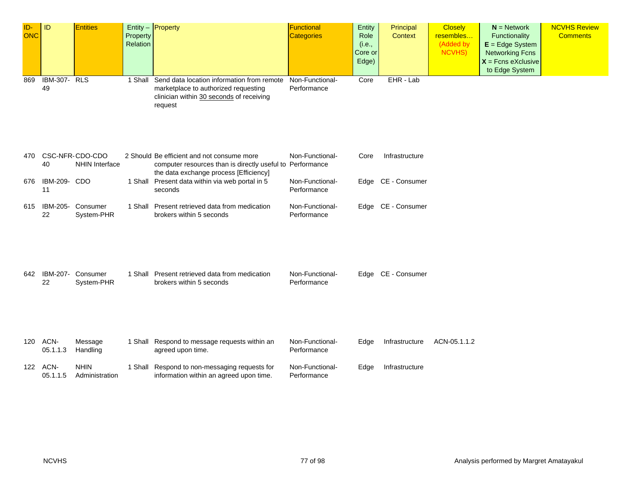| ID-<br><b>ONC</b> | ID                        | <b>Entities</b>                          | Property<br>Relation | Entity $-$ <b>Property</b>                                                                                                                        | Functional<br><b>Categories</b> | Entity<br>Role<br>(i.e.,<br>Core or<br>Edge) | Principal<br><b>Context</b> | <b>Closely</b><br>resembles<br>(Added by<br><b>NCVHS)</b> | $N =$ Network<br>Functionality<br>$E = Edge System$<br><b>Networking Fcns</b><br>$X =$ Fcns eXclusive<br>to Edge System | <b>NCVHS Review</b><br><b>Comments</b> |
|-------------------|---------------------------|------------------------------------------|----------------------|---------------------------------------------------------------------------------------------------------------------------------------------------|---------------------------------|----------------------------------------------|-----------------------------|-----------------------------------------------------------|-------------------------------------------------------------------------------------------------------------------------|----------------------------------------|
| 869               | <b>IBM-307- RLS</b><br>49 |                                          | 1 Shall              | Send data location information from remote<br>marketplace to authorized requesting<br>clinician within 30 seconds of receiving<br>request         | Non-Functional-<br>Performance  | Core                                         | EHR - Lab                   |                                                           |                                                                                                                         |                                        |
| 470               | 40                        | CSC-NFR-CDO-CDO<br><b>NHIN Interface</b> |                      | 2 Should Be efficient and not consume more<br>computer resources than is directly useful to Performance<br>the data exchange process [Efficiency] | Non-Functional-                 | Core                                         | Infrastructure              |                                                           |                                                                                                                         |                                        |
| 676               | IBM-209- CDO<br>11        |                                          |                      | 1 Shall Present data within via web portal in 5<br>seconds                                                                                        | Non-Functional-<br>Performance  |                                              | Edge CE - Consumer          |                                                           |                                                                                                                         |                                        |
| 615               | IBM-205-<br>22            | Consumer<br>System-PHR                   |                      | 1 Shall Present retrieved data from medication<br>brokers within 5 seconds                                                                        | Non-Functional-<br>Performance  |                                              | Edge CE - Consumer          |                                                           |                                                                                                                         |                                        |
| 642               | IBM-207-<br>22            | Consumer<br>System-PHR                   |                      | 1 Shall Present retrieved data from medication<br>brokers within 5 seconds                                                                        | Non-Functional-<br>Performance  |                                              | Edge CE - Consumer          |                                                           |                                                                                                                         |                                        |
| 120               | ACN-<br>05.1.1.3          | Message<br>Handling                      |                      | 1 Shall Respond to message requests within an<br>agreed upon time.                                                                                | Non-Functional-<br>Performance  | Edge                                         | Infrastructure              | ACN-05.1.1.2                                              |                                                                                                                         |                                        |
| 122               | ACN-<br>05.1.1.5          | <b>NHIN</b><br>Administration            |                      | 1 Shall Respond to non-messaging requests for<br>information within an agreed upon time.                                                          | Non-Functional-<br>Performance  | Edge                                         | Infrastructure              |                                                           |                                                                                                                         |                                        |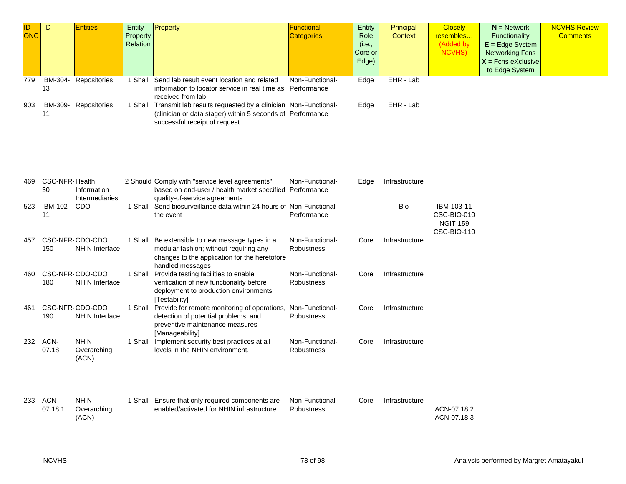| ID-<br><b>ONC</b> | ID                          | <b>Entities</b>                          | Property<br>Relation | $Entity -$ Property                                                                                                                                                  | Functional<br><b>Categories</b>      | Entity<br>Role<br>(i.e.,<br>Core or<br>Edge) | Principal<br><b>Context</b> | <b>Closely</b><br>resembles<br>(Added by<br><b>NCVHS)</b>          | $N =$ Network<br><b>Functionality</b><br>$E = Edge System$<br><b>Networking Fcns</b><br>$X =$ Fcns eXclusive<br>to Edge System | <b>NCVHS Review</b><br><b>Comments</b> |
|-------------------|-----------------------------|------------------------------------------|----------------------|----------------------------------------------------------------------------------------------------------------------------------------------------------------------|--------------------------------------|----------------------------------------------|-----------------------------|--------------------------------------------------------------------|--------------------------------------------------------------------------------------------------------------------------------|----------------------------------------|
| 779               | IBM-304-<br>13              | Repositories                             |                      | 1 Shall Send lab result event location and related<br>information to locator service in real time as Performance<br>received from lab                                | Non-Functional-                      | Edge                                         | EHR - Lab                   |                                                                    |                                                                                                                                |                                        |
| 903               | IBM-309-<br>11              | Repositories                             |                      | 1 Shall Transmit lab results requested by a clinician Non-Functional-<br>(clinician or data stager) within 5 seconds of Performance<br>successful receipt of request |                                      | Edge                                         | EHR - Lab                   |                                                                    |                                                                                                                                |                                        |
| 469               | <b>CSC-NFR-Health</b><br>30 | Information<br>Intermediaries            |                      | 2 Should Comply with "service level agreements"<br>based on end-user / health market specified Performance<br>quality-of-service agreements                          | Non-Functional-                      | Edge                                         | Infrastructure              |                                                                    |                                                                                                                                |                                        |
| 523               | IBM-102-<br>11              | CDO                                      |                      | 1 Shall Send biosurveillance data within 24 hours of Non-Functional-<br>the event                                                                                    | Performance                          |                                              | Bio                         | IBM-103-11<br>CSC-BIO-010<br><b>NGIT-159</b><br><b>CSC-BIO-110</b> |                                                                                                                                |                                        |
| 457               | 150                         | CSC-NFR-CDO-CDO<br><b>NHIN Interface</b> | 1 Shall              | Be extensible to new message types in a<br>modular fashion; without requiring any<br>changes to the application for the heretofore<br>handled messages               | Non-Functional-<br>Robustness        | Core                                         | Infrastructure              |                                                                    |                                                                                                                                |                                        |
| 460               | 180                         | CSC-NFR-CDO-CDO<br><b>NHIN Interface</b> | 1 Shall              | Provide testing facilities to enable<br>verification of new functionality before<br>deployment to production environments<br>[Testability]                           | Non-Functional-<br><b>Robustness</b> | Core                                         | Infrastructure              |                                                                    |                                                                                                                                |                                        |
| 461               | 190                         | CSC-NFR-CDO-CDO<br><b>NHIN Interface</b> | 1 Shall              | Provide for remote monitoring of operations, Non-Functional-<br>detection of potential problems, and<br>preventive maintenance measures<br>[Manageability]           | Robustness                           | Core                                         | Infrastructure              |                                                                    |                                                                                                                                |                                        |
|                   | 232 ACN-<br>07.18           | <b>NHIN</b><br>Overarching<br>(ACN)      | 1 Shall              | Implement security best practices at all<br>levels in the NHIN environment.                                                                                          | Non-Functional-<br>Robustness        | Core                                         | Infrastructure              |                                                                    |                                                                                                                                |                                        |
|                   | 233 ACN-<br>07.18.1         | <b>NHIN</b><br>Overarching<br>(ACN)      |                      | 1 Shall Ensure that only required components are<br>enabled/activated for NHIN infrastructure.                                                                       | Non-Functional-<br>Robustness        | Core                                         | Infrastructure              | ACN-07.18.2<br>ACN-07.18.3                                         |                                                                                                                                |                                        |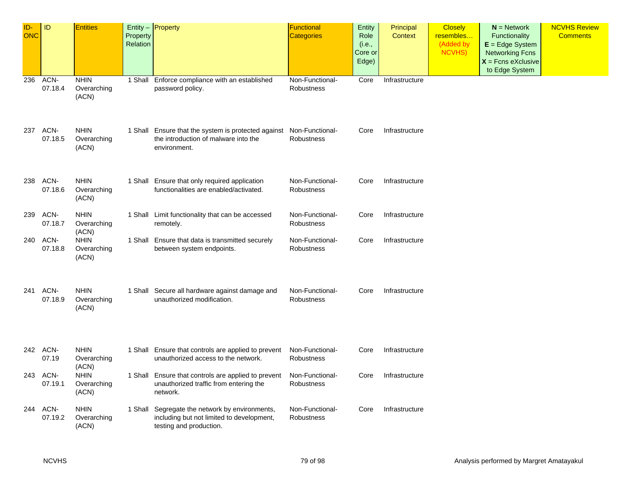| ID-<br><b>ONC</b> | ID                  | <b>Entities</b>                     | Property<br>Relation | Entity - Property                                                                                                           | <b>Functional</b><br><b>Categories</b> | Entity<br>Role<br>(i.e.,<br>Core or<br>Edge) | Principal<br>Context | <b>Closely</b><br>resembles<br>(Added by<br><b>NCVHS)</b> | $N =$ Network<br>Functionality<br>$E = Edge System$<br><b>Networking Fcns</b><br>$X =$ Fcns eXclusive<br>to Edge System | <b>NCVHS Review</b><br><b>Comments</b> |
|-------------------|---------------------|-------------------------------------|----------------------|-----------------------------------------------------------------------------------------------------------------------------|----------------------------------------|----------------------------------------------|----------------------|-----------------------------------------------------------|-------------------------------------------------------------------------------------------------------------------------|----------------------------------------|
| 236               | ACN-<br>07.18.4     | <b>NHIN</b><br>Overarching<br>(ACN) | 1 Shall              | Enforce compliance with an established<br>password policy.                                                                  | Non-Functional-<br>Robustness          | Core                                         | Infrastructure       |                                                           |                                                                                                                         |                                        |
|                   | 237 ACN-<br>07.18.5 | <b>NHIN</b><br>Overarching<br>(ACN) |                      | 1 Shall Ensure that the system is protected against Non-Functional-<br>the introduction of malware into the<br>environment. | <b>Robustness</b>                      | Core                                         | Infrastructure       |                                                           |                                                                                                                         |                                        |
| 238               | ACN-<br>07.18.6     | <b>NHIN</b><br>Overarching<br>(ACN) |                      | 1 Shall Ensure that only required application<br>functionalities are enabled/activated.                                     | Non-Functional-<br>Robustness          | Core                                         | Infrastructure       |                                                           |                                                                                                                         |                                        |
| 239               | ACN-<br>07.18.7     | <b>NHIN</b><br>Overarching<br>(ACN) |                      | 1 Shall Limit functionality that can be accessed<br>remotely.                                                               | Non-Functional-<br><b>Robustness</b>   | Core                                         | Infrastructure       |                                                           |                                                                                                                         |                                        |
| 240               | ACN-<br>07.18.8     | <b>NHIN</b><br>Overarching<br>(ACN) |                      | 1 Shall Ensure that data is transmitted securely<br>between system endpoints.                                               | Non-Functional-<br>Robustness          | Core                                         | Infrastructure       |                                                           |                                                                                                                         |                                        |
|                   | 241 ACN-<br>07.18.9 | <b>NHIN</b><br>Overarching<br>(ACN) |                      | 1 Shall Secure all hardware against damage and<br>unauthorized modification.                                                | Non-Functional-<br>Robustness          | Core                                         | Infrastructure       |                                                           |                                                                                                                         |                                        |
|                   | 242 ACN-<br>07.19   | <b>NHIN</b><br>Overarching<br>(ACN) |                      | 1 Shall Ensure that controls are applied to prevent<br>unauthorized access to the network.                                  | Non-Functional-<br>Robustness          | Core                                         | Infrastructure       |                                                           |                                                                                                                         |                                        |
| 243               | ACN-<br>07.19.1     | <b>NHIN</b><br>Overarching<br>(ACN) |                      | 1 Shall Ensure that controls are applied to prevent<br>unauthorized traffic from entering the<br>network.                   | Non-Functional-<br>Robustness          | Core                                         | Infrastructure       |                                                           |                                                                                                                         |                                        |
|                   | 244 ACN-<br>07.19.2 | <b>NHIN</b><br>Overarching<br>(ACN) |                      | 1 Shall Segregate the network by environments,<br>including but not limited to development,<br>testing and production.      | Non-Functional-<br>Robustness          | Core                                         | Infrastructure       |                                                           |                                                                                                                         |                                        |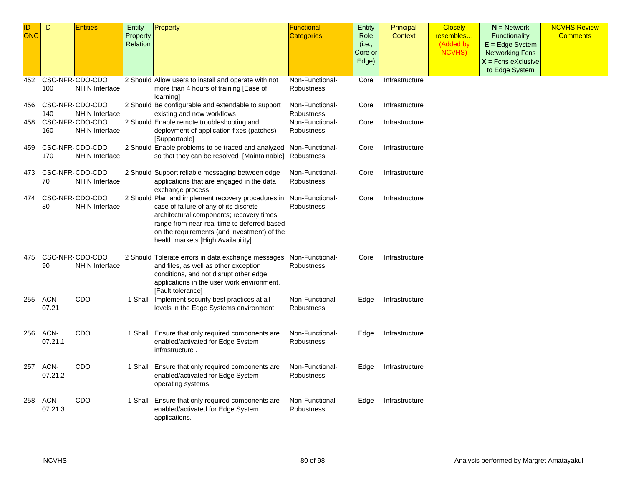| ID-<br>ONC | <b>ID</b>       | <b>Entities</b>                          | Property<br>Relation | Entity $-$ Property                                                                                                                                                                                                                                                          | <b>Functional</b><br><b>Categories</b> | Entity<br>Role<br>(i.e.,<br>Core or<br>Edge) | Principal<br><b>Context</b> | <b>Closely</b><br>resembles<br>(Added by<br><b>NCVHS)</b> | $N =$ Network<br>Functionality<br>$E = Edge System$<br><b>Networking Fcns</b><br>$X =$ Fcns eXclusive<br>to Edge System | <b>NCVHS Review</b><br><b>Comments</b> |
|------------|-----------------|------------------------------------------|----------------------|------------------------------------------------------------------------------------------------------------------------------------------------------------------------------------------------------------------------------------------------------------------------------|----------------------------------------|----------------------------------------------|-----------------------------|-----------------------------------------------------------|-------------------------------------------------------------------------------------------------------------------------|----------------------------------------|
| 452        |                 | CSC-NFR-CDO-CDO                          |                      | 2 Should Allow users to install and operate with not                                                                                                                                                                                                                         | Non-Functional-                        | Core                                         | Infrastructure              |                                                           |                                                                                                                         |                                        |
|            | 100             | <b>NHIN Interface</b>                    |                      | more than 4 hours of training [Ease of<br>learning                                                                                                                                                                                                                           | Robustness                             |                                              |                             |                                                           |                                                                                                                         |                                        |
| 456        | 140             | CSC-NFR-CDO-CDO<br><b>NHIN Interface</b> |                      | 2 Should Be configurable and extendable to support<br>existing and new workflows                                                                                                                                                                                             | Non-Functional-<br>Robustness          | Core                                         | Infrastructure              |                                                           |                                                                                                                         |                                        |
| 458        |                 | CSC-NFR-CDO-CDO                          |                      | 2 Should Enable remote troubleshooting and                                                                                                                                                                                                                                   | Non-Functional-                        | Core                                         | Infrastructure              |                                                           |                                                                                                                         |                                        |
|            | 160             | <b>NHIN Interface</b>                    |                      | deployment of application fixes (patches)<br>[Supportable]                                                                                                                                                                                                                   | Robustness                             |                                              |                             |                                                           |                                                                                                                         |                                        |
| 459        |                 | CSC-NFR-CDO-CDO                          |                      | 2 Should Enable problems to be traced and analyzed, Non-Functional-                                                                                                                                                                                                          |                                        | Core                                         | Infrastructure              |                                                           |                                                                                                                         |                                        |
|            | 170             | <b>NHIN Interface</b>                    |                      | so that they can be resolved [Maintainable] Robustness                                                                                                                                                                                                                       |                                        |                                              |                             |                                                           |                                                                                                                         |                                        |
| 473        |                 | CSC-NFR-CDO-CDO                          |                      | 2 Should Support reliable messaging between edge                                                                                                                                                                                                                             | Non-Functional-                        | Core                                         | Infrastructure              |                                                           |                                                                                                                         |                                        |
|            | 70              | <b>NHIN Interface</b>                    |                      | applications that are engaged in the data<br>exchange process                                                                                                                                                                                                                | <b>Robustness</b>                      |                                              |                             |                                                           |                                                                                                                         |                                        |
| 474        | 80              | CSC-NFR-CDO-CDO<br><b>NHIN Interface</b> |                      | 2 Should Plan and implement recovery procedures in<br>case of failure of any of its discrete<br>architectural components; recovery times<br>range from near-real time to deferred based<br>on the requirements (and investment) of the<br>health markets [High Availability] | Non-Functional-<br>Robustness          | Core                                         | Infrastructure              |                                                           |                                                                                                                         |                                        |
| 475        | 90              | CSC-NFR-CDO-CDO<br><b>NHIN Interface</b> |                      | 2 Should Tolerate errors in data exchange messages<br>and files, as well as other exception<br>conditions, and not disrupt other edge<br>applications in the user work environment.<br>[Fault tolerance]                                                                     | Non-Functional-<br>Robustness          | Core                                         | Infrastructure              |                                                           |                                                                                                                         |                                        |
| 255        | ACN-<br>07.21   | <b>CDO</b>                               | 1 Shall              | Implement security best practices at all<br>levels in the Edge Systems environment.                                                                                                                                                                                          | Non-Functional-<br>Robustness          | Edge                                         | Infrastructure              |                                                           |                                                                                                                         |                                        |
| 256        | ACN-<br>07.21.1 | CDO                                      |                      | 1 Shall Ensure that only required components are<br>enabled/activated for Edge System<br>infrastructure.                                                                                                                                                                     | Non-Functional-<br>Robustness          | Edge                                         | Infrastructure              |                                                           |                                                                                                                         |                                        |
| 257        | ACN-<br>07.21.2 | CDO                                      |                      | 1 Shall Ensure that only required components are<br>enabled/activated for Edge System<br>operating systems.                                                                                                                                                                  | Non-Functional-<br>Robustness          | Edge                                         | Infrastructure              |                                                           |                                                                                                                         |                                        |
| 258        | ACN-<br>07.21.3 | CDO                                      | 1 Shall              | Ensure that only required components are<br>enabled/activated for Edge System<br>applications.                                                                                                                                                                               | Non-Functional-<br>Robustness          | Edge                                         | Infrastructure              |                                                           |                                                                                                                         |                                        |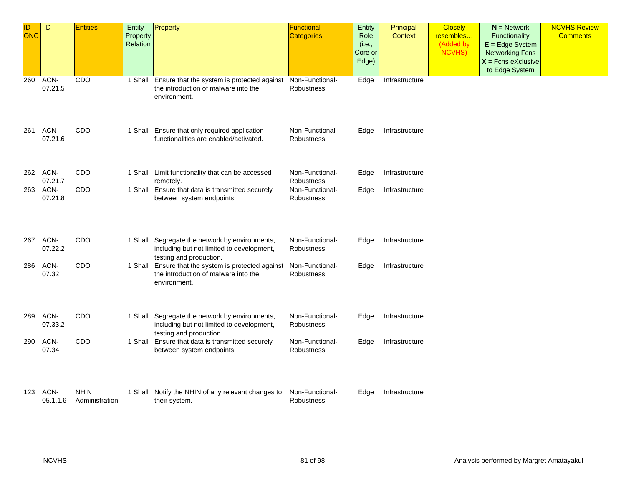| ID-<br>ONC | $\mathsf{ID}$    | <b>Entities</b>               | Property<br><b>Relation</b> | Entity - Property                                                                                                      | Functional<br><b>Categories</b> | Entity<br>Role<br>(i.e.,<br>Core or<br>Edge) | Principal<br>Context | <b>Closely</b><br>resembles<br>(Added by<br>NCVHS) | $N =$ Network<br><b>Functionality</b><br>$E = Edge System$<br><b>Networking Fcns</b><br>$X =$ Fcns eXclusive<br>to Edge System | <b>NCVHS Review</b><br><b>Comments</b> |
|------------|------------------|-------------------------------|-----------------------------|------------------------------------------------------------------------------------------------------------------------|---------------------------------|----------------------------------------------|----------------------|----------------------------------------------------|--------------------------------------------------------------------------------------------------------------------------------|----------------------------------------|
| 260        | ACN-<br>07.21.5  | CDO                           |                             | 1 Shall Ensure that the system is protected against<br>the introduction of malware into the<br>environment.            | Non-Functional-<br>Robustness   | Edge                                         | Infrastructure       |                                                    |                                                                                                                                |                                        |
| 261        | ACN-<br>07.21.6  | CDO                           |                             | 1 Shall Ensure that only required application<br>functionalities are enabled/activated.                                | Non-Functional-<br>Robustness   | Edge                                         | Infrastructure       |                                                    |                                                                                                                                |                                        |
| 262        | ACN-<br>07.21.7  | CDO                           |                             | 1 Shall Limit functionality that can be accessed<br>remotely.                                                          | Non-Functional-<br>Robustness   | Edge                                         | Infrastructure       |                                                    |                                                                                                                                |                                        |
| 263        | ACN-<br>07.21.8  | CDO                           |                             | 1 Shall Ensure that data is transmitted securely<br>between system endpoints.                                          | Non-Functional-<br>Robustness   | Edge                                         | Infrastructure       |                                                    |                                                                                                                                |                                        |
| 267        | ACN-<br>07.22.2  | CDO                           |                             | 1 Shall Segregate the network by environments,<br>including but not limited to development,<br>testing and production. | Non-Functional-<br>Robustness   | Edge                                         | Infrastructure       |                                                    |                                                                                                                                |                                        |
| 286        | ACN-<br>07.32    | CDO                           |                             | 1 Shall Ensure that the system is protected against<br>the introduction of malware into the<br>environment.            | Non-Functional-<br>Robustness   | Edge                                         | Infrastructure       |                                                    |                                                                                                                                |                                        |
| 289        | ACN-<br>07.33.2  | CDO                           |                             | 1 Shall Segregate the network by environments,<br>including but not limited to development,<br>testing and production. | Non-Functional-<br>Robustness   | Edge                                         | Infrastructure       |                                                    |                                                                                                                                |                                        |
| 290        | ACN-<br>07.34    | CDO                           |                             | 1 Shall Ensure that data is transmitted securely<br>between system endpoints.                                          | Non-Functional-<br>Robustness   | Edge                                         | Infrastructure       |                                                    |                                                                                                                                |                                        |
| 123        | ACN-<br>05.1.1.6 | <b>NHIN</b><br>Administration |                             | 1 Shall Notify the NHIN of any relevant changes to<br>their system.                                                    | Non-Functional-<br>Robustness   | Edge                                         | Infrastructure       |                                                    |                                                                                                                                |                                        |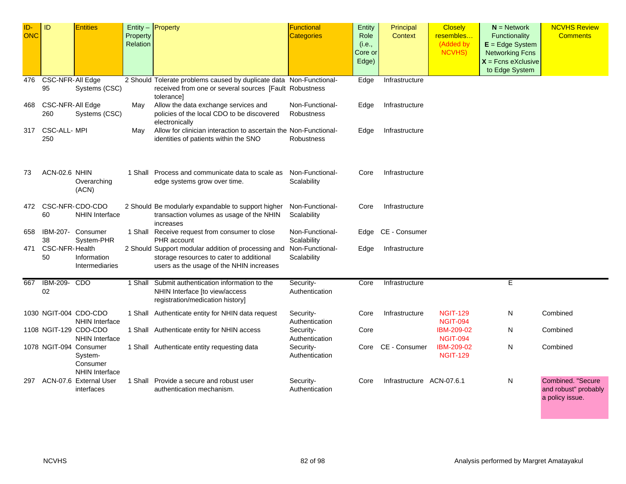| ID-<br>ONC | ID                      | <b>Entities</b>                                                        | Property<br>Relation | $Entity -$ Property                                                                                                                         | Functional<br><b>Categories</b> | Entity<br>Role<br>(i.e.,<br>Core or<br>Edge) | Principal<br>Context      | <b>Closely</b><br>resembles<br>(Added by<br><b>NCVHS)</b> | $N =$ Network<br>Functionality<br>$E = Edge System$<br><b>Networking Fcns</b><br>$X =$ Fcns eXclusive<br>to Edge System | <b>NCVHS Review</b><br><b>Comments</b>                       |
|------------|-------------------------|------------------------------------------------------------------------|----------------------|---------------------------------------------------------------------------------------------------------------------------------------------|---------------------------------|----------------------------------------------|---------------------------|-----------------------------------------------------------|-------------------------------------------------------------------------------------------------------------------------|--------------------------------------------------------------|
| 476        | CSC-NFR-All Edge<br>95  | Systems (CSC)                                                          |                      | 2 Should Tolerate problems caused by duplicate data Non-Functional-<br>received from one or several sources [Fault Robustness<br>tolerancel |                                 | Edge                                         | Infrastructure            |                                                           |                                                                                                                         |                                                              |
| 468        | CSC-NFR-All Edge<br>260 | Systems (CSC)                                                          | May                  | Allow the data exchange services and<br>policies of the local CDO to be discovered<br>electronically                                        | Non-Functional-<br>Robustness   | Edge                                         | Infrastructure            |                                                           |                                                                                                                         |                                                              |
| 317        | CSC-ALL- MPI<br>250     |                                                                        | May                  | Allow for clinician interaction to ascertain the Non-Functional-<br>identities of patients within the SNO                                   | Robustness                      | Edge                                         | Infrastructure            |                                                           |                                                                                                                         |                                                              |
| 73         | ACN-02.6 NHIN           | Overarching<br>(ACN)                                                   |                      | 1 Shall Process and communicate data to scale as<br>edge systems grow over time.                                                            | Non-Functional-<br>Scalability  | Core                                         | Infrastructure            |                                                           |                                                                                                                         |                                                              |
|            | 60                      | 472 CSC-NFR-CDO-CDO<br><b>NHIN Interface</b>                           |                      | 2 Should Be modularly expandable to support higher<br>transaction volumes as usage of the NHIN<br>increases                                 | Non-Functional-<br>Scalability  | Core                                         | Infrastructure            |                                                           |                                                                                                                         |                                                              |
| 658        | 38                      | IBM-207- Consumer<br>System-PHR                                        |                      | 1 Shall Receive request from consumer to close<br>PHR account                                                                               | Non-Functional-<br>Scalability  |                                              | Edge CE - Consumer        |                                                           |                                                                                                                         |                                                              |
| 471        | CSC-NFR-Health<br>50    | Information<br>Intermediaries                                          |                      | 2 Should Support modular addition of processing and<br>storage resources to cater to additional<br>users as the usage of the NHIN increases | Non-Functional-<br>Scalability  | Edge                                         | Infrastructure            |                                                           |                                                                                                                         |                                                              |
| 667        | IBM-209- CDO<br>02      |                                                                        | 1 Shall              | Submit authentication information to the<br>NHIN Interface [to view/access<br>registration/medication history]                              | Security-<br>Authentication     | Core                                         | Infrastructure            |                                                           | E.                                                                                                                      |                                                              |
|            |                         | 1030 NGIT-004 CDO-CDO<br><b>NHIN Interface</b>                         |                      | 1 Shall Authenticate entity for NHIN data request                                                                                           | Security-<br>Authentication     | Core                                         | Infrastructure            | <b>NGIT-129</b><br><b>NGIT-094</b>                        | N                                                                                                                       | Combined                                                     |
|            |                         | 1108 NGIT-129 CDO-CDO<br><b>NHIN Interface</b>                         |                      | 1 Shall Authenticate entity for NHIN access                                                                                                 | Security-<br>Authentication     | Core                                         |                           | <b>IBM-209-02</b><br><b>NGIT-094</b>                      | N                                                                                                                       | Combined                                                     |
|            |                         | 1078 NGIT-094 Consumer<br>System-<br>Consumer<br><b>NHIN Interface</b> |                      | 1 Shall Authenticate entity requesting data                                                                                                 | Security-<br>Authentication     | Core                                         | CE - Consumer             | IBM-209-02<br><b>NGIT-129</b>                             | N                                                                                                                       | Combined                                                     |
| 297        |                         | ACN-07.6 External User<br>interfaces                                   |                      | 1 Shall Provide a secure and robust user<br>authentication mechanism.                                                                       | Security-<br>Authentication     | Core                                         | Infrastructure ACN-07.6.1 |                                                           | N                                                                                                                       | Combined. "Secure<br>and robust" probably<br>a policy issue. |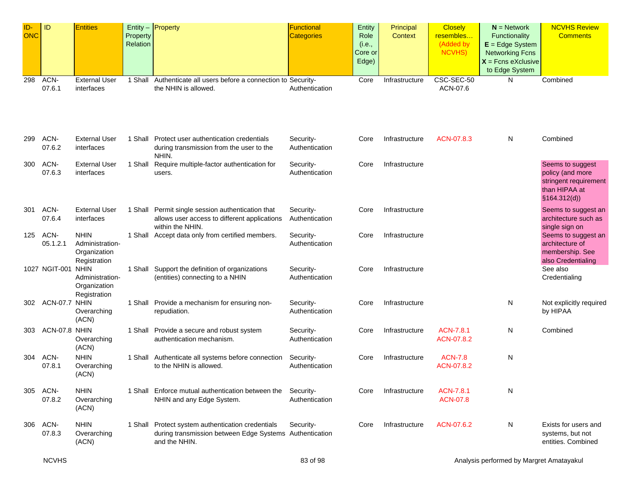| ID-<br><b>ONC</b> | ID                 | <b>Entities</b>                                                | Property<br>Relation | Entity - Property                                                                                                             | Functional<br><b>Categories</b> | Entity<br>Role<br>(i.e.,<br>Core or<br>Edge) | Principal<br>Context | <b>Closely</b><br>resembles<br>(Added by<br>NCVHS) | $N =$ Network<br>Functionality<br>$E = Edge System$<br><b>Networking Fcns</b><br>$X =$ Fcns eXclusive<br>to Edge System | <b>NCVHS Review</b><br><b>Comments</b>                                                          |
|-------------------|--------------------|----------------------------------------------------------------|----------------------|-------------------------------------------------------------------------------------------------------------------------------|---------------------------------|----------------------------------------------|----------------------|----------------------------------------------------|-------------------------------------------------------------------------------------------------------------------------|-------------------------------------------------------------------------------------------------|
| 298               | ACN-<br>07.6.1     | External User<br>interfaces                                    |                      | 1 Shall Authenticate all users before a connection to Security-<br>the NHIN is allowed.                                       | Authentication                  | Core                                         | Infrastructure       | CSC-SEC-50<br>ACN-07.6                             | N                                                                                                                       | Combined                                                                                        |
| 299               | ACN-<br>07.6.2     | <b>External User</b><br>interfaces                             |                      | 1 Shall Protect user authentication credentials<br>during transmission from the user to the<br>NHIN.                          | Security-<br>Authentication     | Core                                         | Infrastructure       | ACN-07.8.3                                         | N                                                                                                                       | Combined                                                                                        |
| 300               | ACN-<br>07.6.3     | <b>External User</b><br>interfaces                             | 1 Shall              | Require multiple-factor authentication for<br>users.                                                                          | Security-<br>Authentication     | Core                                         | Infrastructure       |                                                    |                                                                                                                         | Seems to suggest<br>policy (and more<br>stringent requirement<br>than HIPAA at<br>\$164.312(d)) |
| 301               | ACN-<br>07.6.4     | <b>External User</b><br>interfaces                             |                      | 1 Shall Permit single session authentication that<br>allows user access to different applications<br>within the NHIN.         | Security-<br>Authentication     | Core                                         | Infrastructure       |                                                    |                                                                                                                         | Seems to suggest an<br>architecture such as<br>single sign on                                   |
| 125               | ACN-<br>05.1.2.1   | <b>NHIN</b><br>Administration-<br>Organization<br>Registration |                      | 1 Shall Accept data only from certified members.                                                                              | Security-<br>Authentication     | Core                                         | Infrastructure       |                                                    |                                                                                                                         | Seems to suggest an<br>architecture of<br>membership. See<br>also Credentialing                 |
|                   | 1027 NGIT-001 NHIN | Administration-<br>Organization<br>Registration                | 1 Shall              | Support the definition of organizations<br>(entities) connecting to a NHIN                                                    | Security-<br>Authentication     | Core                                         | Infrastructure       |                                                    |                                                                                                                         | See also<br>Credentialing                                                                       |
| 302.              | ACN-07.7 NHIN      | Overarching<br>(ACN)                                           |                      | 1 Shall Provide a mechanism for ensuring non-<br>repudiation.                                                                 | Security-<br>Authentication     | Core                                         | Infrastructure       |                                                    | N                                                                                                                       | Not explicitly required<br>by HIPAA                                                             |
| 303               | ACN-07.8 NHIN      | Overarching<br>(ACN)                                           |                      | 1 Shall Provide a secure and robust system<br>authentication mechanism.                                                       | Security-<br>Authentication     | Core                                         | Infrastructure       | ACN-7.8.1<br>ACN-07.8.2                            | N                                                                                                                       | Combined                                                                                        |
| 304               | ACN-<br>07.8.1     | <b>NHIN</b><br>Overarching<br>(ACN)                            |                      | 1 Shall Authenticate all systems before connection<br>to the NHIN is allowed.                                                 | Security-<br>Authentication     | Core                                         | Infrastructure       | <b>ACN-7.8</b><br>ACN-07.8.2                       | N                                                                                                                       |                                                                                                 |
| 305               | ACN-<br>07.8.2     | <b>NHIN</b><br>Overarching<br>(ACN)                            |                      | 1 Shall Enforce mutual authentication between the<br>NHIN and any Edge System.                                                | Security-<br>Authentication     | Core                                         | Infrastructure       | ACN-7.8.1<br><b>ACN-07.8</b>                       | N                                                                                                                       |                                                                                                 |
| 306               | ACN-<br>07.8.3     | <b>NHIN</b><br>Overarching<br>(ACN)                            |                      | 1 Shall Protect system authentication credentials<br>during transmission between Edge Systems Authentication<br>and the NHIN. | Security-                       | Core                                         | Infrastructure       | ACN-07.6.2                                         | N                                                                                                                       | Exists for users and<br>systems, but not<br>entities. Combined                                  |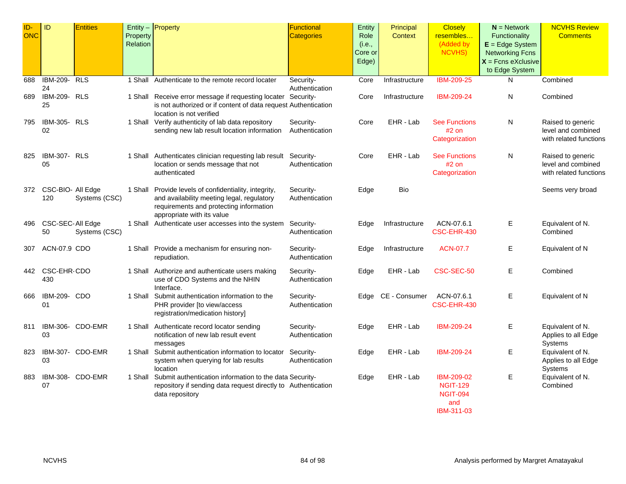| ID-<br><b>ONC</b> | ID                           | <b>Entities</b>  | Property<br>Relation | Entity $-$ Property                                                                                                                                                          | Functional<br><b>Categories</b> | Entity<br>Role<br>(i.e.,<br>Core or<br>Edge) | Principal<br><b>Context</b> | <b>Closely</b><br>resembles<br>(Added by<br><b>NCVHS)</b>             | $N =$ Network<br>Functionality<br>$E = Edge System$<br><b>Networking Fcns</b><br>$X =$ Fcns eXclusive<br>to Edge System | <b>NCVHS Review</b><br><b>Comments</b>                            |
|-------------------|------------------------------|------------------|----------------------|------------------------------------------------------------------------------------------------------------------------------------------------------------------------------|---------------------------------|----------------------------------------------|-----------------------------|-----------------------------------------------------------------------|-------------------------------------------------------------------------------------------------------------------------|-------------------------------------------------------------------|
| 688               | <b>IBM-209- RLS</b><br>24    |                  | 1 Shall              | Authenticate to the remote record locater                                                                                                                                    | Security-<br>Authentication     | Core                                         | Infrastructure              | <b>IBM-209-25</b>                                                     | N                                                                                                                       | Combined                                                          |
| 689               | <b>IBM-209- RLS</b><br>25    |                  |                      | 1 Shall Receive error message if requesting locater Security-<br>is not authorized or if content of data request Authentication<br>location is not verified                  |                                 | Core                                         | Infrastructure              | IBM-209-24                                                            | N                                                                                                                       | Combined                                                          |
| 795               | IBM-305- RLS<br>02           |                  |                      | 1 Shall Verify authenticity of lab data repository<br>sending new lab result location information                                                                            | Security-<br>Authentication     | Core                                         | EHR - Lab                   | <b>See Functions</b><br>$#2$ on<br>Categorization                     | N                                                                                                                       | Raised to generic<br>level and combined<br>with related functions |
| 825               | <b>IBM-307- RLS</b><br>05    |                  |                      | 1 Shall Authenticates clinician requesting lab result Security-<br>location or sends message that not<br>authenticated                                                       | Authentication                  | Core                                         | EHR - Lab                   | <b>See Functions</b><br>#2 on<br>Categorization                       | N                                                                                                                       | Raised to generic<br>level and combined<br>with related functions |
|                   | 372 CSC-BIO- All Edge<br>120 | Systems (CSC)    |                      | 1 Shall Provide levels of confidentiality, integrity,<br>and availability meeting legal, regulatory<br>requirements and protecting information<br>appropriate with its value | Security-<br>Authentication     | Edge                                         | Bio                         |                                                                       |                                                                                                                         | Seems very broad                                                  |
| 496               | CSC-SEC-All Edge<br>50       | Systems (CSC)    |                      | 1 Shall Authenticate user accesses into the system                                                                                                                           | Security-<br>Authentication     | Edge                                         | Infrastructure              | ACN-07.6.1<br>CSC-EHR-430                                             | Ε                                                                                                                       | Equivalent of N.<br>Combined                                      |
| 307               | ACN-07.9 CDO                 |                  |                      | 1 Shall Provide a mechanism for ensuring non-<br>repudiation.                                                                                                                | Security-<br>Authentication     | Edge                                         | Infrastructure              | <b>ACN-07.7</b>                                                       | Е                                                                                                                       | Equivalent of N                                                   |
| 442               | CSC-EHR-CDO<br>430           |                  |                      | 1 Shall Authorize and authenticate users making<br>use of CDO Systems and the NHIN<br>Interface.                                                                             | Security-<br>Authentication     | Edge                                         | EHR - Lab                   | CSC-SEC-50                                                            | Ε                                                                                                                       | Combined                                                          |
| 666               | IBM-209- CDO<br>01           |                  |                      | 1 Shall Submit authentication information to the<br>PHR provider [to view/access<br>registration/medication history]                                                         | Security-<br>Authentication     | Edge                                         | CE - Consumer               | ACN-07.6.1<br>CSC-EHR-430                                             | Ε                                                                                                                       | Equivalent of N                                                   |
| 811               | 03                           | IBM-306- CDO-EMR |                      | 1 Shall Authenticate record locator sending<br>notification of new lab result event<br>messages                                                                              | Security-<br>Authentication     | Edge                                         | EHR - Lab                   | IBM-209-24                                                            | Е                                                                                                                       | Equivalent of N.<br>Applies to all Edge<br>Systems                |
| 823               | 03                           | IBM-307- CDO-EMR |                      | 1 Shall Submit authentication information to locator<br>system when querying for lab results<br>location                                                                     | Security-<br>Authentication     | Edge                                         | EHR - Lab                   | IBM-209-24                                                            | Ε                                                                                                                       | Equivalent of N.<br>Applies to all Edge<br>Systems                |
| 883               | 07                           | IBM-308- CDO-EMR |                      | 1 Shall Submit authentication information to the data Security-<br>repository if sending data request directly to Authentication<br>data repository                          |                                 | Edge                                         | EHR - Lab                   | IBM-209-02<br><b>NGIT-129</b><br><b>NGIT-094</b><br>and<br>IBM-311-03 | Ε                                                                                                                       | Equivalent of N.<br>Combined                                      |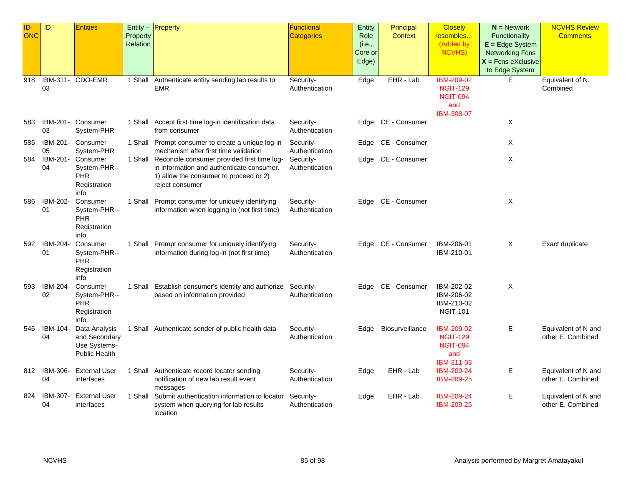| ID-<br><b>ONC</b> | ID                 | <b>Entities</b>                                                 | Property<br>Relation | Entity - Property                                                                                                                                             | <b>Functional</b><br><b>Categories</b> | Entity<br>Role<br>(i.e.,<br>Core or<br>Edge) | Principal<br><b>Context</b> | <b>Closely</b><br>resembles<br>(Added by<br><b>NCVHS)</b>                           | $N =$ Network<br>Functionality<br>$E = Edge System$<br><b>Networking Fcns</b><br>$X$ = Fcns eXclusive | <b>NCVHS Review</b><br><b>Comments</b>   |
|-------------------|--------------------|-----------------------------------------------------------------|----------------------|---------------------------------------------------------------------------------------------------------------------------------------------------------------|----------------------------------------|----------------------------------------------|-----------------------------|-------------------------------------------------------------------------------------|-------------------------------------------------------------------------------------------------------|------------------------------------------|
|                   |                    |                                                                 |                      |                                                                                                                                                               |                                        |                                              |                             |                                                                                     | to Edge System                                                                                        |                                          |
| 918               | 03                 | IBM-311- CDO-EMR                                                |                      | 1 Shall Authenticate entity sending lab results to<br><b>EMR</b>                                                                                              | Security-<br>Authentication            | Edge                                         | EHR - Lab                   | <b>IBM-209-02</b><br><b>NGIT-129</b><br><b>NGIT-094</b><br>and<br><b>IBM-308-07</b> | E                                                                                                     | Equivalent of N.<br>Combined             |
| 583               | IBM-201-<br>03     | Consumer<br>System-PHR                                          |                      | 1 Shall Accept first time log-in identification data<br>from consumer                                                                                         | Security-<br>Authentication            | Edge                                         | CE - Consumer               |                                                                                     | Χ                                                                                                     |                                          |
| 585               | IBM-201-<br>05     | Consumer<br>System-PHR                                          |                      | 1 Shall Prompt consumer to create a unique log-in<br>mechanism after first time validation                                                                    | Security-<br>Authentication            | Edge                                         | CE - Consumer               |                                                                                     | Χ                                                                                                     |                                          |
| 584               | IBM-201-<br>04     | Consumer<br>System-PHR--<br>PHR<br>Registration<br>info         |                      | 1 Shall Reconcile consumer provided first time log-<br>in information and authenticate consumer.<br>1) allow the consumer to proceed or 2)<br>reject consumer | Security-<br>Authentication            |                                              | Edge CE - Consumer          |                                                                                     | X                                                                                                     |                                          |
| 586               | IBM-202-<br>01     | Consumer<br>System-PHR--<br>PHR<br>Registration<br>info         |                      | 1 Shall Prompt consumer for uniquely identifying<br>information when logging in (not first time)                                                              | Security-<br>Authentication            |                                              | Edge CE - Consumer          |                                                                                     | X                                                                                                     |                                          |
|                   | 592 IBM-204-<br>01 | Consumer<br>System-PHR--<br><b>PHR</b><br>Registration<br>info  |                      | 1 Shall Prompt consumer for uniquely identifying<br>information during log-in (not first time)                                                                | Security-<br>Authentication            |                                              | Edge CE - Consumer          | IBM-206-01<br>IBM-210-01                                                            | X                                                                                                     | Exact duplicate                          |
| 593               | IBM-204-<br>02     | Consumer<br>System-PHR--<br>PHR<br>Registration<br>info         | 1 Shall              | Establish consumer's identity and authorize Security-<br>based on information provided                                                                        | Authentication                         |                                              | Edge CE - Consumer          | IBM-202-02<br>IBM-206-02<br>IBM-210-02<br><b>NGIT-101</b>                           | X                                                                                                     |                                          |
| 546               | IBM-104-<br>04     | Data Analysis<br>and Secondary<br>Use Systems-<br>Public Health |                      | 1 Shall Authenticate sender of public health data                                                                                                             | Security-<br>Authentication            | Edge                                         | Biosurveillance             | IBM-209-02<br><b>NGIT-129</b><br><b>NGIT-094</b><br>and<br>IBM-311-03               | E                                                                                                     | Equivalent of N and<br>other E. Combined |
|                   | 812 IBM-306-<br>04 | <b>External User</b><br>interfaces                              |                      | 1 Shall Authenticate record locator sending<br>notification of new lab result event<br>messages                                                               | Security-<br>Authentication            | Edge                                         | EHR - Lab                   | <b>IBM-209-24</b><br><b>IBM-209-25</b>                                              | Е                                                                                                     | Equivalent of N and<br>other E. Combined |
| 824               | IBM-307-<br>04     | <b>External User</b><br>interfaces                              |                      | 1 Shall Submit authentication information to locator<br>system when querying for lab results<br>location                                                      | Security-<br>Authentication            | Edge                                         | EHR - Lab                   | IBM-209-24<br>IBM-209-25                                                            | Е                                                                                                     | Equivalent of N and<br>other E. Combined |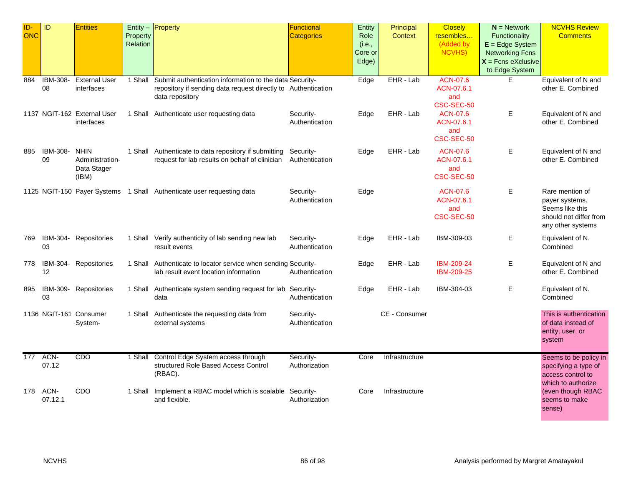| ID-<br>ONC | ID                    | <b>Entities</b>                                        | Property<br>Relation | Entity - Property                                                                                                                           | Functional<br>Categories    | Entity<br>Role<br>(i.e.,<br>Core or<br>Edge) | Principal<br><b>Context</b> | <b>Closely</b><br>resembles<br>(Added by<br>NCVHS) | $N =$ Network<br>Functionality<br>$E = Edge System$<br><b>Networking Fcns</b><br>$X$ = Fcns eXclusive<br>to Edge System | <b>NCVHS Review</b><br><b>Comments</b>                                                              |
|------------|-----------------------|--------------------------------------------------------|----------------------|---------------------------------------------------------------------------------------------------------------------------------------------|-----------------------------|----------------------------------------------|-----------------------------|----------------------------------------------------|-------------------------------------------------------------------------------------------------------------------------|-----------------------------------------------------------------------------------------------------|
| 884        | <b>IBM-308-</b><br>08 | <b>External User</b><br>interfaces                     | 1 Shall              | Submit authentication information to the data Security-<br>repository if sending data request directly to Authentication<br>data repository |                             | Edge                                         | EHR - Lab                   | <b>ACN-07.6</b><br>ACN-07.6.1<br>and<br>CSC-SEC-50 | E                                                                                                                       | Equivalent of N and<br>other E. Combined                                                            |
|            |                       | 1137 NGIT-162 External User<br>interfaces              |                      | 1 Shall Authenticate user requesting data                                                                                                   | Security-<br>Authentication | Edge                                         | EHR - Lab                   | ACN-07.6<br>ACN-07.6.1<br>and<br>CSC-SEC-50        | Е                                                                                                                       | Equivalent of N and<br>other E. Combined                                                            |
| 885        | IBM-308-<br>09        | <b>NHIN</b><br>Administration-<br>Data Stager<br>(IBM) |                      | 1 Shall Authenticate to data repository if submitting<br>request for lab results on behalf of clinician                                     | Security-<br>Authentication | Edge                                         | EHR - Lab                   | <b>ACN-07.6</b><br>ACN-07.6.1<br>and<br>CSC-SEC-50 | Е                                                                                                                       | Equivalent of N and<br>other E. Combined                                                            |
|            |                       |                                                        |                      | 1125 NGIT-150 Payer Systems 1 Shall Authenticate user requesting data                                                                       | Security-<br>Authentication | Edge                                         |                             | ACN-07.6<br>ACN-07.6.1<br>and<br>CSC-SEC-50        | Е                                                                                                                       | Rare mention of<br>payer systems.<br>Seems like this<br>should not differ from<br>any other systems |
| 769        | IBM-304-<br>03        | Repositories                                           |                      | 1 Shall Verify authenticity of lab sending new lab<br>result events                                                                         | Security-<br>Authentication | Edge                                         | EHR - Lab                   | IBM-309-03                                         | Е                                                                                                                       | Equivalent of N.<br>Combined                                                                        |
| 778        | IBM-304-<br>12        | Repositories                                           |                      | 1 Shall Authenticate to locator service when sending Security-<br>lab result event location information                                     | Authentication              | Edge                                         | EHR - Lab                   | IBM-209-24<br>IBM-209-25                           | Е                                                                                                                       | Equivalent of N and<br>other E. Combined                                                            |
| 895        | 03                    | IBM-309- Repositories                                  |                      | 1 Shall Authenticate system sending request for lab Security-<br>data                                                                       | Authentication              | Edge                                         | EHR - Lab                   | IBM-304-03                                         | E                                                                                                                       | Equivalent of N.<br>Combined                                                                        |
|            |                       | 1136 NGIT-161 Consumer<br>System-                      |                      | 1 Shall Authenticate the requesting data from<br>external systems                                                                           | Security-<br>Authentication |                                              | CE - Consumer               |                                                    |                                                                                                                         | This is authentication<br>of data instead of<br>entity, user, or<br>system                          |
| 177        | ACN-<br>07.12         | CDO                                                    |                      | 1 Shall Control Edge System access through<br>structured Role Based Access Control<br>(RBAC).                                               | Security-<br>Authorization  | Core                                         | Infrastructure              |                                                    |                                                                                                                         | Seems to be policy in<br>specifying a type of<br>access control to                                  |
| 178        | ACN-<br>07.12.1       | CDO                                                    | 1 Shall              | Implement a RBAC model which is scalable Security-<br>and flexible.                                                                         | Authorization               | Core                                         | Infrastructure              |                                                    |                                                                                                                         | which to authorize<br>(even though RBAC<br>seems to make<br>sense)                                  |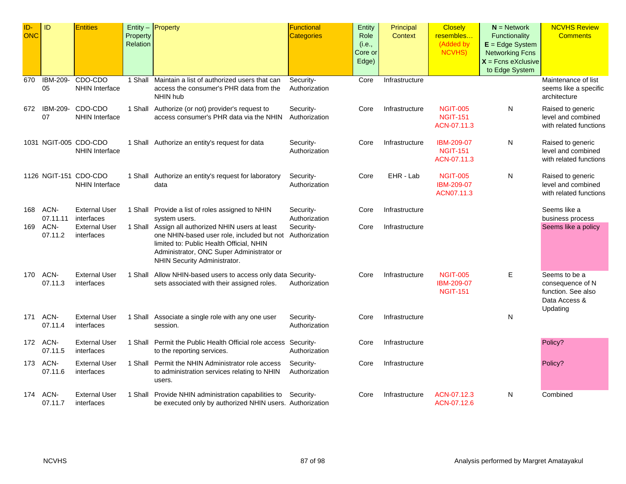| ID-<br><b>ONC</b> | ID                    | <b>Entities</b>                                | Property<br><b>Relation</b> | $Entity -$ Property                                                                                                                                                                                                                                     | <b>Functional</b><br><b>Categories</b> | Entity<br>Role<br>(i.e.,<br>Core or<br>Edge) | Principal<br>Context | <b>Closely</b><br>resembles<br>(Added by<br><b>NCVHS)</b> | $N =$ Network<br>Functionality<br>$E = Edge System$<br><b>Networking Fcns</b><br>$X =$ Fcns eXclusive<br>to Edge System | <b>NCVHS Review</b><br><b>Comments</b>                                               |
|-------------------|-----------------------|------------------------------------------------|-----------------------------|---------------------------------------------------------------------------------------------------------------------------------------------------------------------------------------------------------------------------------------------------------|----------------------------------------|----------------------------------------------|----------------------|-----------------------------------------------------------|-------------------------------------------------------------------------------------------------------------------------|--------------------------------------------------------------------------------------|
| 670               | <b>IBM-209-</b><br>05 | CDO-CDO<br><b>NHIN Interface</b>               |                             | 1 Shall Maintain a list of authorized users that can<br>access the consumer's PHR data from the<br>NHIN hub                                                                                                                                             | Security-<br>Authorization             | Core                                         | Infrastructure       |                                                           |                                                                                                                         | Maintenance of list<br>seems like a specific<br>architecture                         |
| 672               | IBM-209-<br>07        | CDO-CDO<br><b>NHIN Interface</b>               |                             | 1 Shall Authorize (or not) provider's request to<br>access consumer's PHR data via the NHIN                                                                                                                                                             | Security-<br>Authorization             | Core                                         | Infrastructure       | <b>NGIT-005</b><br><b>NGIT-151</b><br>ACN-07.11.3         | N                                                                                                                       | Raised to generic<br>level and combined<br>with related functions                    |
|                   |                       | 1031 NGIT-005 CDO-CDO<br><b>NHIN Interface</b> |                             | 1 Shall Authorize an entity's request for data                                                                                                                                                                                                          | Security-<br>Authorization             | Core                                         | Infrastructure       | <b>IBM-209-07</b><br><b>NGIT-151</b><br>ACN-07.11.3       | N                                                                                                                       | Raised to generic<br>level and combined<br>with related functions                    |
|                   |                       | 1126 NGIT-151 CDO-CDO<br><b>NHIN Interface</b> |                             | 1 Shall Authorize an entity's request for laboratory<br>data                                                                                                                                                                                            | Security-<br>Authorization             | Core                                         | EHR - Lab            | <b>NGIT-005</b><br>IBM-209-07<br>ACN07.11.3               | N                                                                                                                       | Raised to generic<br>level and combined<br>with related functions                    |
| 168               | ACN-<br>07.11.11      | <b>External User</b><br>interfaces             |                             | 1 Shall Provide a list of roles assigned to NHIN                                                                                                                                                                                                        | Security-<br>Authorization             | Core                                         | Infrastructure       |                                                           |                                                                                                                         | Seems like a                                                                         |
| 169               | ACN-<br>07.11.2       | <b>External User</b><br>interfaces             |                             | system users.<br>1 Shall Assign all authorized NHIN users at least<br>one NHIN-based user role, included but not Authorization<br>limited to: Public Health Official, NHIN<br>Administrator, ONC Super Administrator or<br>NHIN Security Administrator. | Security-                              | Core                                         | Infrastructure       |                                                           |                                                                                                                         | business process<br>Seems like a policy                                              |
| 170               | ACN-<br>07.11.3       | <b>External User</b><br>interfaces             |                             | 1 Shall Allow NHIN-based users to access only data Security-<br>sets associated with their assigned roles.                                                                                                                                              | Authorization                          | Core                                         | Infrastructure       | <b>NGIT-005</b><br>IBM-209-07<br><b>NGIT-151</b>          | Е                                                                                                                       | Seems to be a<br>consequence of N<br>function. See also<br>Data Access &<br>Updating |
|                   | 171 ACN-<br>07.11.4   | <b>External User</b><br>interfaces             |                             | 1 Shall Associate a single role with any one user<br>session.                                                                                                                                                                                           | Security-<br>Authorization             | Core                                         | Infrastructure       |                                                           | N                                                                                                                       |                                                                                      |
|                   | 172 ACN-<br>07.11.5   | <b>External User</b><br>interfaces             |                             | 1 Shall Permit the Public Health Official role access Security-<br>to the reporting services.                                                                                                                                                           | Authorization                          | Core                                         | Infrastructure       |                                                           |                                                                                                                         | Policy?                                                                              |
| 173               | ACN-<br>07.11.6       | <b>External User</b><br>interfaces             |                             | 1 Shall Permit the NHIN Administrator role access<br>to administration services relating to NHIN<br>users.                                                                                                                                              | Security-<br>Authorization             | Core                                         | Infrastructure       |                                                           |                                                                                                                         | Policy?                                                                              |
|                   | 174 ACN-<br>07.11.7   | <b>External User</b><br>interfaces             |                             | 1 Shall Provide NHIN administration capabilities to<br>be executed only by authorized NHIN users. Authorization                                                                                                                                         | Security-                              | Core                                         | Infrastructure       | ACN-07.12.3<br>ACN-07.12.6                                | N                                                                                                                       | Combined                                                                             |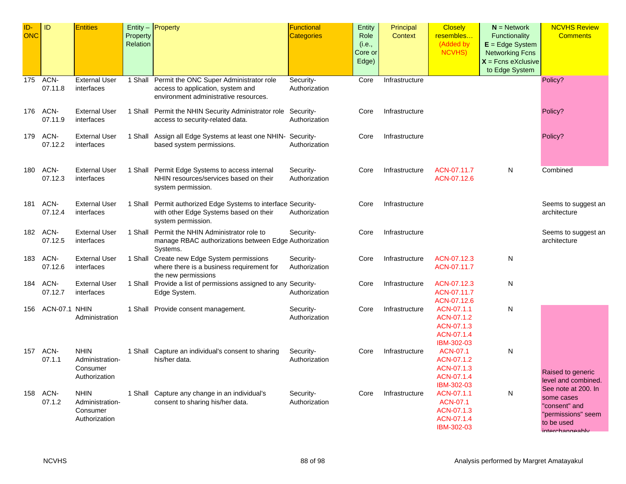| ID-<br><b>ONC</b> | ID              | <b>Entities</b>                                             | Property<br>Relation | Entity $-$ <b>Property</b>                                                                                                    | Functional<br><b>Categories</b> | <b>Entity</b><br>Role<br>(i.e.,<br>Core or<br>Edge) | Principal<br><b>Context</b> | <b>Closely</b><br>resembles<br>(Added by<br>NCVHS)                 | $N =$ Network<br>Functionality<br>$E = Edge System$<br><b>Networking Fcns</b><br>$X =$ Fcns eXclusive<br>to Edge System | <b>NCVHS Review</b><br><b>Comments</b>                                                                    |
|-------------------|-----------------|-------------------------------------------------------------|----------------------|-------------------------------------------------------------------------------------------------------------------------------|---------------------------------|-----------------------------------------------------|-----------------------------|--------------------------------------------------------------------|-------------------------------------------------------------------------------------------------------------------------|-----------------------------------------------------------------------------------------------------------|
| 175               | ACN-<br>07.11.8 | <b>External User</b><br>interfaces                          |                      | 1 Shall Permit the ONC Super Administrator role<br>access to application, system and<br>environment administrative resources. | Security-<br>Authorization      | Core                                                | Infrastructure              |                                                                    |                                                                                                                         | Policy?                                                                                                   |
| 176               | ACN-<br>07.11.9 | <b>External User</b><br>interfaces                          |                      | 1 Shall Permit the NHIN Security Administrator role Security-<br>access to security-related data.                             | Authorization                   | Core                                                | Infrastructure              |                                                                    |                                                                                                                         | Policy?                                                                                                   |
| 179               | ACN-<br>07.12.2 | <b>External User</b><br>interfaces                          |                      | 1 Shall Assign all Edge Systems at least one NHIN- Security-<br>based system permissions.                                     | Authorization                   | Core                                                | Infrastructure              |                                                                    |                                                                                                                         | Policy?                                                                                                   |
| 180               | ACN-<br>07.12.3 | <b>External User</b><br>interfaces                          |                      | 1 Shall Permit Edge Systems to access internal<br>NHIN resources/services based on their<br>system permission.                | Security-<br>Authorization      | Core                                                | Infrastructure              | ACN-07.11.7<br>ACN-07.12.6                                         | N                                                                                                                       | Combined                                                                                                  |
| 181               | ACN-<br>07.12.4 | <b>External User</b><br>interfaces                          |                      | 1 Shall Permit authorized Edge Systems to interface Security-<br>with other Edge Systems based on their<br>system permission. | Authorization                   | Core                                                | Infrastructure              |                                                                    |                                                                                                                         | Seems to suggest an<br>architecture                                                                       |
| 182               | ACN-<br>07.12.5 | <b>External User</b><br>interfaces                          |                      | 1 Shall Permit the NHIN Administrator role to<br>manage RBAC authorizations between Edge Authorization<br>Systems.            | Security-                       | Core                                                | Infrastructure              |                                                                    |                                                                                                                         | Seems to suggest an<br>architecture                                                                       |
| 183               | ACN-<br>07.12.6 | <b>External User</b><br>interfaces                          |                      | 1 Shall Create new Edge System permissions<br>where there is a business requirement for<br>the new permissions                | Security-<br>Authorization      | Core                                                | Infrastructure              | ACN-07.12.3<br>ACN-07.11.7                                         | N                                                                                                                       |                                                                                                           |
| 184               | ACN-<br>07.12.7 | <b>External User</b><br>interfaces                          |                      | 1 Shall Provide a list of permissions assigned to any Security-<br>Edge System.                                               | Authorization                   | Core                                                | Infrastructure              | ACN-07.12.3<br>ACN-07.11.7<br>ACN-07.12.6                          | N                                                                                                                       |                                                                                                           |
| 156               | ACN-07.1 NHIN   | Administration                                              |                      | 1 Shall Provide consent management.                                                                                           | Security-<br>Authorization      | Core                                                | Infrastructure              | ACN-07.1.1<br>ACN-07.1.2<br>ACN-07.1.3<br>ACN-07.1.4<br>IBM-302-03 | Ν                                                                                                                       |                                                                                                           |
| 157               | ACN-<br>07.1.1  | <b>NHIN</b><br>Administration-<br>Consumer<br>Authorization |                      | 1 Shall Capture an individual's consent to sharing<br>his/her data.                                                           | Security-<br>Authorization      | Core                                                | Infrastructure              | ACN-07.1<br>ACN-07.1.2<br>ACN-07.1.3<br>ACN-07.1.4<br>IBM-302-03   | Ν                                                                                                                       | Raised to generic<br>level and combined.                                                                  |
| 158               | ACN-<br>07.1.2  | <b>NHIN</b><br>Administration-<br>Consumer<br>Authorization |                      | 1 Shall Capture any change in an individual's<br>consent to sharing his/her data.                                             | Security-<br>Authorization      | Core                                                | Infrastructure              | ACN-07.1.1<br>ACN-07.1<br>ACN-07.1.3<br>ACN-07.1.4<br>IBM-302-03   | N                                                                                                                       | See note at 200. In<br>some cases<br>"consent" and<br>'permissions" seem<br>to be used<br>interchangeably |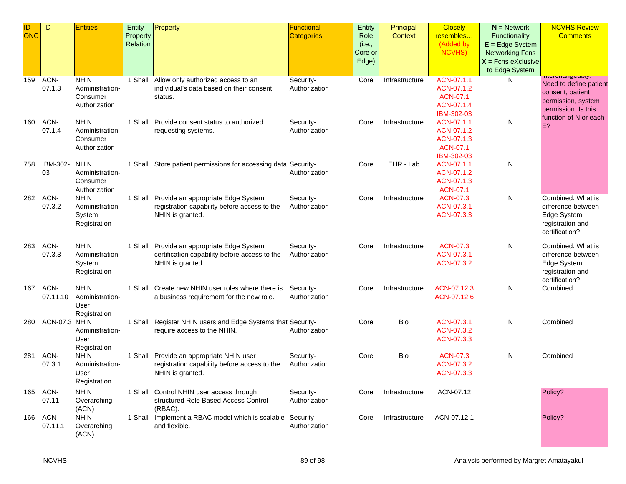| ID-        | ID            | <b>Entities</b> |          | Entity - Property                                              | Functional        | Entity  | Principal      | <b>Closely</b>  | $N =$ Network          | <b>NCVHS Review</b>                                                  |
|------------|---------------|-----------------|----------|----------------------------------------------------------------|-------------------|---------|----------------|-----------------|------------------------|----------------------------------------------------------------------|
| <b>ONC</b> |               |                 | Property |                                                                | <b>Categories</b> | Role    | Context        | resembles       | Functionality          | <b>Comments</b>                                                      |
|            |               |                 | Relation |                                                                |                   | (i.e.,  |                | (Added by       | $E = Edge System$      |                                                                      |
|            |               |                 |          |                                                                |                   | Core or |                | <b>NCVHS)</b>   | <b>Networking Fcns</b> |                                                                      |
|            |               |                 |          |                                                                |                   | Edge)   |                |                 | $X$ = Fcns eXclusive   |                                                                      |
|            |               |                 |          |                                                                |                   |         |                |                 | to Edge System         |                                                                      |
| 159        | ACN-          | <b>NHIN</b>     | 1 Shall  | Allow only authorized access to an                             | Security-         | Core    | Infrastructure | ACN-07.1.1      | N                      | int <del>o</del> runany <del>o</del> awiy.<br>Need to define patient |
|            | 07.1.3        | Administration- |          | individual's data based on their consent                       | Authorization     |         |                | ACN-07.1.2      |                        | consent, patient                                                     |
|            |               | Consumer        |          | status.                                                        |                   |         |                | <b>ACN-07.1</b> |                        | permission, system                                                   |
|            |               | Authorization   |          |                                                                |                   |         |                | ACN-07.1.4      |                        | permission. Is this                                                  |
|            |               |                 |          |                                                                |                   |         |                | IBM-302-03      |                        | function of N or each                                                |
| 160        | ACN-          | <b>NHIN</b>     |          | 1 Shall Provide consent status to authorized                   | Security-         | Core    | Infrastructure | ACN-07.1.1      | N                      | E?                                                                   |
|            | 07.1.4        | Administration- |          | requesting systems.                                            | Authorization     |         |                | ACN-07.1.2      |                        |                                                                      |
|            |               | Consumer        |          |                                                                |                   |         |                | ACN-07.1.3      |                        |                                                                      |
|            |               | Authorization   |          |                                                                |                   |         |                | ACN-07.1        |                        |                                                                      |
|            |               |                 |          |                                                                |                   |         |                | IBM-302-03      |                        |                                                                      |
| 758        | IBM-302-      | <b>NHIN</b>     |          | 1 Shall Store patient permissions for accessing data Security- |                   | Core    | EHR - Lab      | ACN-07.1.1      | N                      |                                                                      |
|            | 03            | Administration- |          |                                                                | Authorization     |         |                | ACN-07.1.2      |                        |                                                                      |
|            |               | Consumer        |          |                                                                |                   |         |                | ACN-07.1.3      |                        |                                                                      |
|            |               | Authorization   |          |                                                                |                   |         |                | ACN-07.1        |                        |                                                                      |
| 282        | ACN-          | <b>NHIN</b>     |          | 1 Shall Provide an appropriate Edge System                     | Security-         | Core    | Infrastructure | <b>ACN-07.3</b> | N                      | Combined. What is                                                    |
|            | 07.3.2        | Administration- |          | registration capability before access to the                   | Authorization     |         |                | ACN-07.3.1      |                        | difference between                                                   |
|            |               | System          |          | NHIN is granted.                                               |                   |         |                | ACN-07.3.3      |                        | Edge System                                                          |
|            |               | Registration    |          |                                                                |                   |         |                |                 |                        | registration and<br>certification?                                   |
|            |               |                 |          |                                                                |                   |         |                |                 |                        |                                                                      |
| 283        | ACN-          | <b>NHIN</b>     |          | 1 Shall Provide an appropriate Edge System                     | Security-         | Core    | Infrastructure | <b>ACN-07.3</b> | N                      | Combined. What is                                                    |
|            | 07.3.3        | Administration- |          | certification capability before access to the                  | Authorization     |         |                | ACN-07.3.1      |                        | difference between                                                   |
|            |               | System          |          | NHIN is granted.                                               |                   |         |                | ACN-07.3.2      |                        | Edge System                                                          |
|            |               | Registration    |          |                                                                |                   |         |                |                 |                        | registration and                                                     |
|            |               |                 |          |                                                                |                   |         |                |                 |                        | certification?                                                       |
| 167        | ACN-          | <b>NHIN</b>     |          | 1 Shall Create new NHIN user roles where there is              | Security-         | Core    | Infrastructure | ACN-07.12.3     | N                      | Combined                                                             |
|            | 07.11.10      | Administration- |          | a business requirement for the new role.                       | Authorization     |         |                | ACN-07.12.6     |                        |                                                                      |
|            |               | User            |          |                                                                |                   |         |                |                 |                        |                                                                      |
|            |               | Registration    |          |                                                                |                   |         |                |                 |                        |                                                                      |
| 280        | ACN-07.3 NHIN |                 |          | 1 Shall Register NHIN users and Edge Systems that Security-    |                   | Core    | Bio            | ACN-07.3.1      | N                      | Combined                                                             |
|            |               | Administration- |          | require access to the NHIN.                                    | Authorization     |         |                | ACN-07.3.2      |                        |                                                                      |
|            |               | User            |          |                                                                |                   |         |                | ACN-07.3.3      |                        |                                                                      |
|            |               | Registration    |          |                                                                |                   |         |                |                 |                        |                                                                      |
| 281        | ACN-          | <b>NHIN</b>     |          | 1 Shall Provide an appropriate NHIN user                       | Security-         | Core    | Bio            | <b>ACN-07.3</b> | N                      | Combined                                                             |
|            | 07.3.1        | Administration- |          | registration capability before access to the                   | Authorization     |         |                | ACN-07.3.2      |                        |                                                                      |
|            |               | User            |          | NHIN is granted.                                               |                   |         |                | ACN-07.3.3      |                        |                                                                      |
|            |               | Registration    |          |                                                                |                   |         |                |                 |                        |                                                                      |
|            | 165 ACN-      | <b>NHIN</b>     |          | 1 Shall Control NHIN user access through                       | Security-         | Core    | Infrastructure | ACN-07.12       |                        | Policy?                                                              |
|            | 07.11         | Overarching     |          | structured Role Based Access Control                           | Authorization     |         |                |                 |                        |                                                                      |
|            |               | (ACN)           |          | (RBAC).                                                        |                   |         |                |                 |                        |                                                                      |
| 166        | ACN-          | <b>NHIN</b>     |          | 1 Shall Implement a RBAC model which is scalable Security-     |                   | Core    | Infrastructure | ACN-07.12.1     |                        | Policy?                                                              |
|            | 07.11.1       | Overarching     |          | and flexible.                                                  | Authorization     |         |                |                 |                        |                                                                      |
|            |               | (ACN)           |          |                                                                |                   |         |                |                 |                        |                                                                      |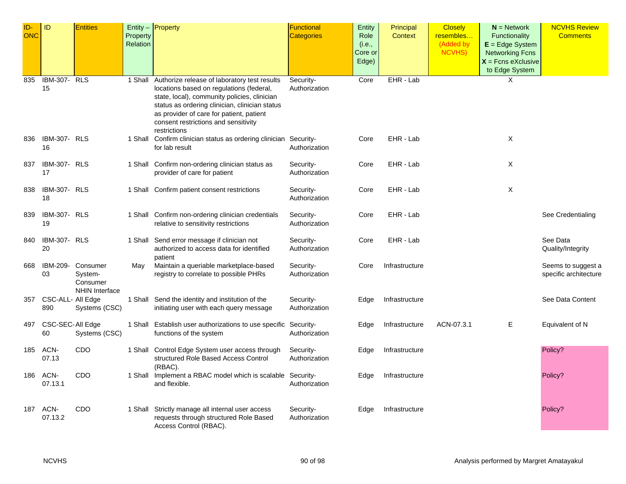| ID-<br><b>ONC</b> | ID                        | <b>Entities</b>                                          | Property<br>Relation | Entity - Property                                                                                                                                                                                                                                                                                      | Functional<br><b>Categories</b> | Entity<br>Role<br>(i.e.,<br>Core or | Principal<br><b>Context</b> | <b>Closely</b><br>resembles<br>(Added by<br><b>NCVHS)</b> | $N =$ Network<br><b>Functionality</b><br>$E = Edge System$<br><b>Networking Fcns</b> | <b>NCVHS Review</b><br><b>Comments</b>      |
|-------------------|---------------------------|----------------------------------------------------------|----------------------|--------------------------------------------------------------------------------------------------------------------------------------------------------------------------------------------------------------------------------------------------------------------------------------------------------|---------------------------------|-------------------------------------|-----------------------------|-----------------------------------------------------------|--------------------------------------------------------------------------------------|---------------------------------------------|
|                   |                           |                                                          |                      |                                                                                                                                                                                                                                                                                                        |                                 | Edge)                               |                             |                                                           | $X =$ Fcns eXclusive<br>to Edge System                                               |                                             |
| 835               | IBM-307-<br>15            | <b>RLS</b>                                               |                      | 1 Shall Authorize release of laboratory test results<br>locations based on regulations (federal,<br>state, local), community policies, clinician<br>status as ordering clinician, clinician status<br>as provider of care for patient, patient<br>consent restrictions and sensitivity<br>restrictions | Security-<br>Authorization      | Core                                | EHR - Lab                   |                                                           | X                                                                                    |                                             |
| 836               | <b>IBM-307- RLS</b><br>16 |                                                          |                      | 1 Shall Confirm clinician status as ordering clinician Security-<br>for lab result                                                                                                                                                                                                                     | Authorization                   | Core                                | EHR - Lab                   |                                                           | Χ                                                                                    |                                             |
| 837               | IBM-307- RLS<br>17        |                                                          |                      | 1 Shall Confirm non-ordering clinician status as<br>provider of care for patient                                                                                                                                                                                                                       | Security-<br>Authorization      | Core                                | EHR - Lab                   |                                                           | X                                                                                    |                                             |
| 838               | <b>IBM-307- RLS</b><br>18 |                                                          |                      | 1 Shall Confirm patient consent restrictions                                                                                                                                                                                                                                                           | Security-<br>Authorization      | Core                                | EHR - Lab                   |                                                           | X                                                                                    |                                             |
| 839               | <b>IBM-307- RLS</b><br>19 |                                                          |                      | 1 Shall Confirm non-ordering clinician credentials<br>relative to sensitivity restrictions                                                                                                                                                                                                             | Security-<br>Authorization      | Core                                | EHR - Lab                   |                                                           |                                                                                      | See Credentialing                           |
| 840               | IBM-307- RLS<br>20        |                                                          |                      | 1 Shall Send error message if clinician not<br>authorized to access data for identified<br>patient                                                                                                                                                                                                     | Security-<br>Authorization      | Core                                | EHR - Lab                   |                                                           |                                                                                      | See Data<br>Quality/Integrity               |
| 668               | IBM-209-<br>03            | Consumer<br>System-<br>Consumer<br><b>NHIN Interface</b> | May                  | Maintain a queriable marketplace-based<br>registry to correlate to possible PHRs                                                                                                                                                                                                                       | Security-<br>Authorization      | Core                                | Infrastructure              |                                                           |                                                                                      | Seems to suggest a<br>specific architecture |
| 357               | CSC-ALL- All Edge<br>890  | Systems (CSC)                                            |                      | 1 Shall Send the identity and institution of the<br>initiating user with each query message                                                                                                                                                                                                            | Security-<br>Authorization      | Edge                                | Infrastructure              |                                                           |                                                                                      | See Data Content                            |
| 497               | CSC-SEC-All Edge<br>60    | Systems (CSC)                                            |                      | 1 Shall Establish user authorizations to use specific Security-<br>functions of the system                                                                                                                                                                                                             | Authorization                   | Edge                                | Infrastructure              | ACN-07.3.1                                                | Ε                                                                                    | Equivalent of N                             |
| 185               | ACN-<br>07.13             | CDO                                                      |                      | 1 Shall Control Edge System user access through<br>structured Role Based Access Control<br>(RBAC).                                                                                                                                                                                                     | Security-<br>Authorization      | Edge                                | Infrastructure              |                                                           |                                                                                      | Policy?                                     |
| 186               | ACN-<br>07.13.1           | CDO                                                      |                      | 1 Shall Implement a RBAC model which is scalable Security-<br>and flexible.                                                                                                                                                                                                                            | Authorization                   | Edge                                | Infrastructure              |                                                           |                                                                                      | Policy?                                     |
| 187               | ACN-<br>07.13.2           | CDO                                                      |                      | 1 Shall Strictly manage all internal user access<br>requests through structured Role Based<br>Access Control (RBAC).                                                                                                                                                                                   | Security-<br>Authorization      | Edge                                | Infrastructure              |                                                           |                                                                                      | Policy?                                     |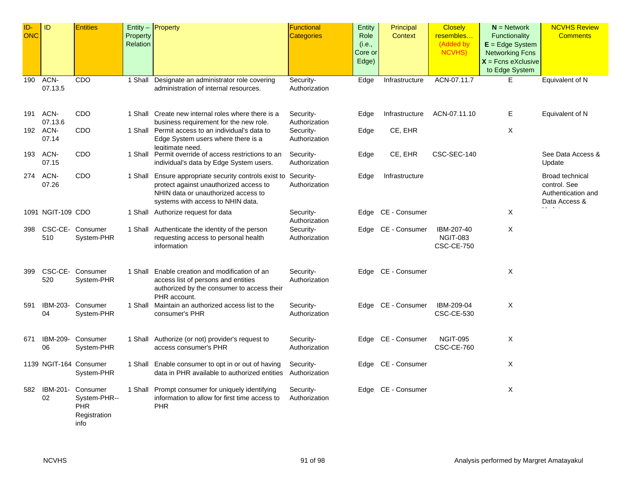| ID-<br><b>ONC</b> | ID                     | <b>Entities</b>                                                | Property | Entity $-$ Property                                                                                                                                                                   | <b>Functional</b><br><b>Categories</b> | Entity<br>Role             | Principal<br><b>Context</b> | <b>Closely</b><br>resembles                        | $N =$ Network<br><b>Functionality</b>                                                 | <b>NCVHS Review</b><br><b>Comments</b>                                             |
|-------------------|------------------------|----------------------------------------------------------------|----------|---------------------------------------------------------------------------------------------------------------------------------------------------------------------------------------|----------------------------------------|----------------------------|-----------------------------|----------------------------------------------------|---------------------------------------------------------------------------------------|------------------------------------------------------------------------------------|
|                   |                        |                                                                | Relation |                                                                                                                                                                                       |                                        | (i.e.,<br>Core or<br>Edge) |                             | (Added by<br><b>NCVHS)</b>                         | $E = Edge System$<br><b>Networking Fcns</b><br>$X =$ Fcns eXclusive<br>to Edge System |                                                                                    |
| 190               | ACN-<br>07.13.5        | CDO                                                            | 1 Shall  | Designate an administrator role covering<br>administration of internal resources.                                                                                                     | Security-<br>Authorization             | Edge                       | Infrastructure              | ACN-07.11.7                                        | E                                                                                     | Equivalent of N                                                                    |
| 191               | ACN-<br>07.13.6        | CDO                                                            |          | 1 Shall Create new internal roles where there is a<br>business requirement for the new role.                                                                                          | Security-<br>Authorization             | Edge                       | Infrastructure              | ACN-07.11.10                                       | Е                                                                                     | Equivalent of N                                                                    |
|                   | 192 ACN-<br>07.14      | CDO                                                            |          | 1 Shall Permit access to an individual's data to<br>Edge System users where there is a<br>legitimate need.                                                                            | Security-<br>Authorization             | Edge                       | CE, EHR                     |                                                    | X                                                                                     |                                                                                    |
| 193               | ACN-<br>07.15          | CDO                                                            |          | 1 Shall Permit override of access restrictions to an<br>individual's data by Edge System users.                                                                                       | Security-<br>Authorization             | Edge                       | CE, EHR                     | CSC-SEC-140                                        |                                                                                       | See Data Access &<br>Update                                                        |
| 274               | ACN-<br>07.26          | CDO                                                            |          | 1 Shall Ensure appropriate security controls exist to Security-<br>protect against unauthorized access to<br>NHIN data or unauthorized access to<br>systems with access to NHIN data. | Authorization                          | Edge                       | Infrastructure              |                                                    |                                                                                       | <b>Broad technical</b><br>control. See<br>Authentication and<br>Data Access &<br>. |
|                   | 1091 NGIT-109 CDO      |                                                                |          | 1 Shall Authorize request for data                                                                                                                                                    | Security-<br>Authorization             | Edge                       | CE - Consumer               |                                                    | X                                                                                     |                                                                                    |
| 398               | CSC-CE-<br>510         | Consumer<br>System-PHR                                         |          | 1 Shall Authenticate the identity of the person<br>requesting access to personal health<br>information                                                                                | Security-<br>Authorization             | Edge                       | CE - Consumer               | IBM-207-40<br><b>NGIT-083</b><br><b>CSC-CE-750</b> | X                                                                                     |                                                                                    |
| 399               | 520                    | CSC-CE- Consumer<br>System-PHR                                 |          | 1 Shall Enable creation and modification of an<br>access list of persons and entities<br>authorized by the consumer to access their<br>PHR account.                                   | Security-<br>Authorization             | Edge                       | CE - Consumer               |                                                    | X                                                                                     |                                                                                    |
| 591               | IBM-203-<br>04         | Consumer<br>System-PHR                                         |          | 1 Shall Maintain an authorized access list to the<br>consumer's PHR                                                                                                                   | Security-<br>Authorization             |                            | Edge CE - Consumer          | IBM-209-04<br><b>CSC-CE-530</b>                    | X                                                                                     |                                                                                    |
| 671               | IBM-209-<br>06         | Consumer<br>System-PHR                                         |          | 1 Shall Authorize (or not) provider's request to<br>access consumer's PHR                                                                                                             | Security-<br>Authorization             | Edge                       | CE - Consumer               | <b>NGIT-095</b><br><b>CSC-CE-760</b>               | X                                                                                     |                                                                                    |
|                   | 1139 NGIT-164 Consumer | System-PHR                                                     |          | 1 Shall Enable consumer to opt in or out of having<br>data in PHR available to authorized entities                                                                                    | Security-<br>Authorization             |                            | Edge CE - Consumer          |                                                    | X                                                                                     |                                                                                    |
| 582               | IBM-201-<br>02         | Consumer<br>System-PHR--<br><b>PHR</b><br>Registration<br>info |          | 1 Shall Prompt consumer for uniquely identifying<br>information to allow for first time access to<br><b>PHR</b>                                                                       | Security-<br>Authorization             | Edge                       | CE - Consumer               |                                                    | X                                                                                     |                                                                                    |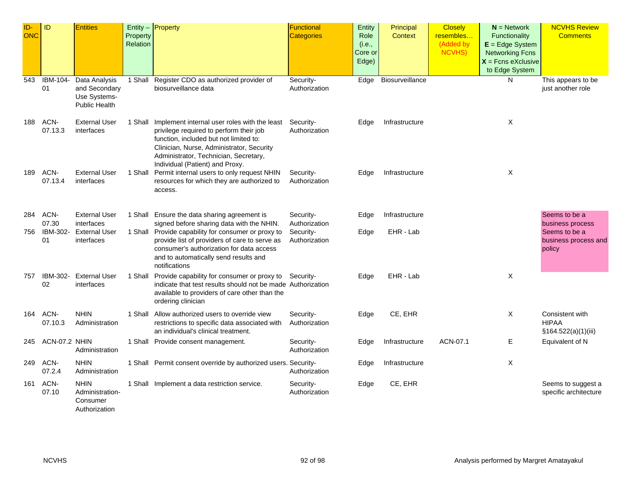| ID-<br><b>ONC</b> | ID              | <b>Entities</b>                                                        | Property<br>Relation | Entity $-$ Property                                                                                                                                                                                                                                                | <b>Functional</b><br><b>Categories</b> | Entity<br>Role<br>(i.e.,<br>Core or<br>Edge) | Principal<br><b>Context</b> | <b>Closely</b><br>resembles<br>(Added by<br><b>NCVHS)</b> | $N =$ Network<br>Functionality<br>$E = Edge System$<br><b>Networking Fcns</b><br>$X =$ Fcns eXclusive<br>to Edge System | <b>NCVHS Review</b><br><b>Comments</b>                        |
|-------------------|-----------------|------------------------------------------------------------------------|----------------------|--------------------------------------------------------------------------------------------------------------------------------------------------------------------------------------------------------------------------------------------------------------------|----------------------------------------|----------------------------------------------|-----------------------------|-----------------------------------------------------------|-------------------------------------------------------------------------------------------------------------------------|---------------------------------------------------------------|
| 543               | IBM-104-<br>01  | Data Analysis<br>and Secondary<br>Use Systems-<br><b>Public Health</b> | 1 Shall              | Register CDO as authorized provider of<br>biosurveillance data                                                                                                                                                                                                     | Security-<br>Authorization             | Edge                                         | Biosurveillance             |                                                           | N                                                                                                                       | This appears to be<br>just another role                       |
| 188               | ACN-<br>07.13.3 | <b>External User</b><br>interfaces                                     |                      | 1 Shall Implement internal user roles with the least<br>privilege required to perform their job<br>function, included but not limited to:<br>Clinician, Nurse, Administrator, Security<br>Administrator, Technician, Secretary,<br>Individual (Patient) and Proxy. | Security-<br>Authorization             | Edge                                         | Infrastructure              |                                                           | X                                                                                                                       |                                                               |
| 189               | ACN-<br>07.13.4 | <b>External User</b><br>interfaces                                     |                      | 1 Shall Permit internal users to only request NHIN<br>resources for which they are authorized to<br>access.                                                                                                                                                        | Security-<br>Authorization             | Edge                                         | Infrastructure              |                                                           | X                                                                                                                       |                                                               |
| 284               | ACN-<br>07.30   | <b>External User</b><br>interfaces                                     |                      | 1 Shall Ensure the data sharing agreement is<br>signed before sharing data with the NHIN.                                                                                                                                                                          | Security-<br>Authorization             | Edge                                         | Infrastructure              |                                                           |                                                                                                                         | Seems to be a<br>business process                             |
| 756               | IBM-302-<br>01  | <b>External User</b><br>interfaces                                     |                      | 1 Shall Provide capability for consumer or proxy to<br>provide list of providers of care to serve as<br>consumer's authorization for data access<br>and to automatically send results and<br>notifications                                                         | Security-<br>Authorization             | Edge                                         | EHR - Lab                   |                                                           |                                                                                                                         | Seems to be a<br>business process and<br>policy               |
| 757               | IBM-302-<br>02  | <b>External User</b><br>interfaces                                     | 1 Shall              | Provide capability for consumer or proxy to Security-<br>indicate that test results should not be made Authorization<br>available to providers of care other than the<br>ordering clinician                                                                        |                                        | Edge                                         | EHR - Lab                   |                                                           | X                                                                                                                       |                                                               |
| 164               | ACN-<br>07.10.3 | <b>NHIN</b><br>Administration                                          | 1 Shall              | Allow authorized users to override view<br>restrictions to specific data associated with<br>an individual's clinical treatment.                                                                                                                                    | Security-<br>Authorization             | Edge                                         | CE, EHR                     |                                                           | X                                                                                                                       | <b>Consistent with</b><br><b>HIPAA</b><br>§164.522(a)(1)(iii) |
| 245               | ACN-07.2 NHIN   | Administration                                                         |                      | 1 Shall Provide consent management.                                                                                                                                                                                                                                | Security-<br>Authorization             | Edge                                         | Infrastructure              | ACN-07.1                                                  | Е                                                                                                                       | Equivalent of N                                               |
| 249               | ACN-<br>07.2.4  | <b>NHIN</b><br>Administration                                          |                      | 1 Shall Permit consent override by authorized users. Security-                                                                                                                                                                                                     | Authorization                          | Edge                                         | Infrastructure              |                                                           | X                                                                                                                       |                                                               |
| 161               | ACN-<br>07.10   | <b>NHIN</b><br>Administration-<br>Consumer<br>Authorization            |                      | 1 Shall Implement a data restriction service.                                                                                                                                                                                                                      | Security-<br>Authorization             | Edge                                         | CE, EHR                     |                                                           |                                                                                                                         | Seems to suggest a<br>specific architecture                   |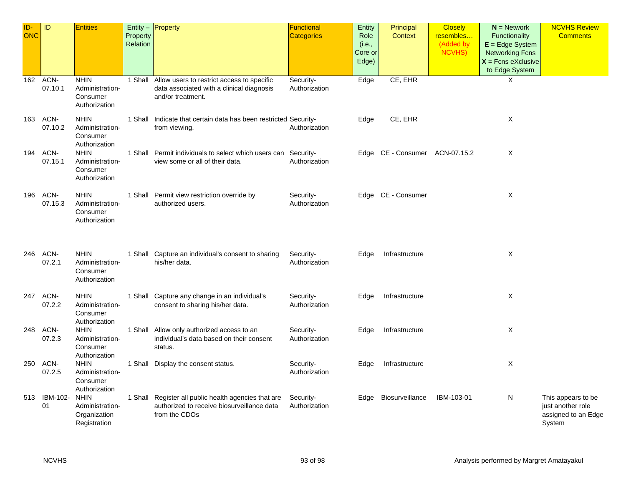| ID-<br>ONC | ID                  | <b>Entities</b>                                                | Property<br>Relation | Entity $-$ Property                                                                                                  | Functional<br><b>Categories</b> | Entity<br>Role<br>(i.e.,<br>Core or<br>Edge) | Principal<br>Context           | <b>Closely</b><br>resembles<br>(Added by<br><b>NCVHS)</b> | $N =$ Network<br>Functionality<br>$E = Edge System$<br><b>Networking Fcns</b><br>$X =$ Fcns eXclusive<br>to Edge System | <b>NCVHS Review</b><br><b>Comments</b>                                   |
|------------|---------------------|----------------------------------------------------------------|----------------------|----------------------------------------------------------------------------------------------------------------------|---------------------------------|----------------------------------------------|--------------------------------|-----------------------------------------------------------|-------------------------------------------------------------------------------------------------------------------------|--------------------------------------------------------------------------|
|            | 162 ACN-<br>07.10.1 | <b>NHIN</b><br>Administration-<br>Consumer<br>Authorization    |                      | 1 Shall Allow users to restrict access to specific<br>data associated with a clinical diagnosis<br>and/or treatment. | Security-<br>Authorization      | Edge                                         | CE, EHR                        |                                                           | X                                                                                                                       |                                                                          |
| 163        | ACN-<br>07.10.2     | <b>NHIN</b><br>Administration-<br>Consumer<br>Authorization    |                      | 1 Shall Indicate that certain data has been restricted Security-<br>from viewing.                                    | Authorization                   | Edge                                         | CE, EHR                        |                                                           | X                                                                                                                       |                                                                          |
|            | 194 ACN-<br>07.15.1 | <b>NHIN</b><br>Administration-<br>Consumer<br>Authorization    |                      | 1 Shall Permit individuals to select which users can Security-<br>view some or all of their data.                    | Authorization                   |                                              | Edge CE - Consumer ACN-07.15.2 |                                                           | Χ                                                                                                                       |                                                                          |
| 196        | ACN-<br>07.15.3     | <b>NHIN</b><br>Administration-<br>Consumer<br>Authorization    |                      | 1 Shall Permit view restriction override by<br>authorized users.                                                     | Security-<br>Authorization      |                                              | Edge CE - Consumer             |                                                           | X                                                                                                                       |                                                                          |
| 246        | ACN-<br>07.2.1      | <b>NHIN</b><br>Administration-<br>Consumer<br>Authorization    |                      | 1 Shall Capture an individual's consent to sharing<br>his/her data.                                                  | Security-<br>Authorization      | Edge                                         | Infrastructure                 |                                                           | X                                                                                                                       |                                                                          |
| 247        | ACN-<br>07.2.2      | <b>NHIN</b><br>Administration-<br>Consumer<br>Authorization    |                      | 1 Shall Capture any change in an individual's<br>consent to sharing his/her data.                                    | Security-<br>Authorization      | Edge                                         | Infrastructure                 |                                                           | X                                                                                                                       |                                                                          |
| 248        | ACN-<br>07.2.3      | <b>NHIN</b><br>Administration-<br>Consumer<br>Authorization    |                      | 1 Shall Allow only authorized access to an<br>individual's data based on their consent<br>status.                    | Security-<br>Authorization      | Edge                                         | Infrastructure                 |                                                           | Χ                                                                                                                       |                                                                          |
| 250        | ACN-<br>07.2.5      | <b>NHIN</b><br>Administration-<br>Consumer<br>Authorization    |                      | 1 Shall Display the consent status.                                                                                  | Security-<br>Authorization      | Edge                                         | Infrastructure                 |                                                           | X                                                                                                                       |                                                                          |
|            | 513 IBM-102-<br>01  | <b>NHIN</b><br>Administration-<br>Organization<br>Registration |                      | 1 Shall Register all public health agencies that are<br>authorized to receive biosurveillance data<br>from the CDOs  | Security-<br>Authorization      | Edge                                         | Biosurveillance                | IBM-103-01                                                | N                                                                                                                       | This appears to be<br>just another role<br>assigned to an Edge<br>System |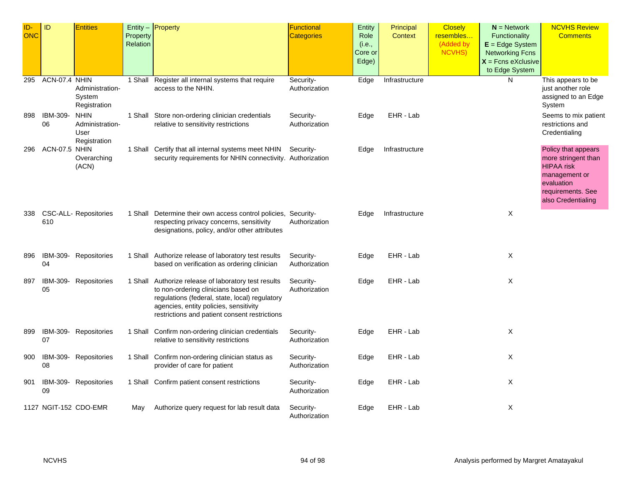| ID-<br><b>ONC</b> | ID             | <b>Entities</b>                                        | Property<br>Relation | Entity - Property                                                                                                                                                                                                                        | <b>Functional</b><br><b>Categories</b> | Entity<br>Role<br>(i.e.,<br>Core or<br>Edge) | Principal<br>Context | <b>Closely</b><br>resembles<br>(Added by<br><b>NCVHS)</b> | $N =$ Network<br>Functionality<br>$E = Edge System$<br><b>Networking Fcns</b><br>$X =$ Fcns eXclusive<br>to Edge System | <b>NCVHS Review</b><br><b>Comments</b>                                                                                                    |
|-------------------|----------------|--------------------------------------------------------|----------------------|------------------------------------------------------------------------------------------------------------------------------------------------------------------------------------------------------------------------------------------|----------------------------------------|----------------------------------------------|----------------------|-----------------------------------------------------------|-------------------------------------------------------------------------------------------------------------------------|-------------------------------------------------------------------------------------------------------------------------------------------|
| 295               | ACN-07.4 NHIN  | Administration-<br>System<br>Registration              |                      | 1 Shall Register all internal systems that require<br>access to the NHIN.                                                                                                                                                                | Security-<br>Authorization             | Edge                                         | Infrastructure       |                                                           | N                                                                                                                       | This appears to be<br>just another role<br>assigned to an Edge<br>System                                                                  |
| 898               | IBM-309-<br>06 | <b>NHIN</b><br>Administration-<br>User<br>Registration |                      | 1 Shall Store non-ordering clinician credentials<br>relative to sensitivity restrictions                                                                                                                                                 | Security-<br>Authorization             | Edge                                         | EHR - Lab            |                                                           |                                                                                                                         | Seems to mix patient<br>restrictions and<br>Credentialing                                                                                 |
| 296               | ACN-07.5 NHIN  | Overarching<br>(ACN)                                   |                      | 1 Shall Certify that all internal systems meet NHIN<br>security requirements for NHIN connectivity. Authorization                                                                                                                        | Security-                              | Edge                                         | Infrastructure       |                                                           |                                                                                                                         | Policy that appears<br>more stringent than<br><b>HIPAA</b> risk<br>management or<br>evaluation<br>requirements. See<br>also Credentialing |
| 338               | 610            | <b>CSC-ALL- Repositories</b>                           |                      | 1 Shall Determine their own access control policies, Security-<br>respecting privacy concerns, sensitivity<br>designations, policy, and/or other attributes                                                                              | Authorization                          | Edge                                         | Infrastructure       |                                                           | X                                                                                                                       |                                                                                                                                           |
| 896               | 04             | IBM-309- Repositories                                  |                      | 1 Shall Authorize release of laboratory test results<br>based on verification as ordering clinician                                                                                                                                      | Security-<br>Authorization             | Edge                                         | EHR - Lab            |                                                           | X                                                                                                                       |                                                                                                                                           |
| 897               | IBM-309-<br>05 | Repositories                                           |                      | 1 Shall Authorize release of laboratory test results<br>to non-ordering clinicians based on<br>regulations (federal, state, local) regulatory<br>agencies, entity policies, sensitivity<br>restrictions and patient consent restrictions | Security-<br>Authorization             | Edge                                         | EHR - Lab            |                                                           | X                                                                                                                       |                                                                                                                                           |
| 899               | 07             | IBM-309- Repositories                                  |                      | 1 Shall Confirm non-ordering clinician credentials<br>relative to sensitivity restrictions                                                                                                                                               | Security-<br>Authorization             | Edge                                         | EHR - Lab            |                                                           | X                                                                                                                       |                                                                                                                                           |
| 900               | 08             | IBM-309- Repositories                                  |                      | 1 Shall Confirm non-ordering clinician status as<br>provider of care for patient                                                                                                                                                         | Security-<br>Authorization             | Edge                                         | EHR - Lab            |                                                           | X                                                                                                                       |                                                                                                                                           |
| 901               | 09             | IBM-309- Repositories                                  |                      | 1 Shall Confirm patient consent restrictions                                                                                                                                                                                             | Security-<br>Authorization             | Edge                                         | EHR - Lab            |                                                           | Χ                                                                                                                       |                                                                                                                                           |
|                   |                | 1127 NGIT-152 CDO-EMR                                  | May                  | Authorize query request for lab result data                                                                                                                                                                                              | Security-<br>Authorization             | Edge                                         | EHR - Lab            |                                                           | X                                                                                                                       |                                                                                                                                           |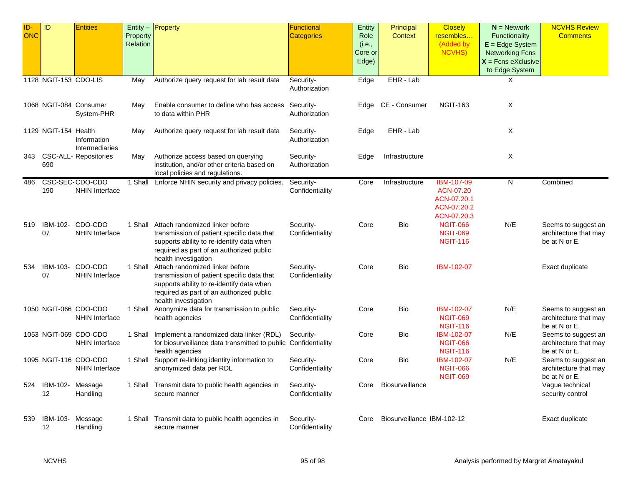| ID-<br><b>ONC</b> | ID                    | <b>Entities</b>                                | Property<br>Relation | Entity $-$ Property                                                                                                                                                                            | <b>Functional</b><br><b>Categories</b> | Entity<br>Role<br>(i.e.,<br>Core or<br>Edge) | Principal<br><b>Context</b> | <b>Closely</b><br>resembles<br>(Added by<br>NCVHS)                   | $N =$ Network<br>Functionality<br>$E = Edge System$<br><b>Networking Fcns</b><br>$X =$ Fcns eXclusive<br>to Edge System | <b>NCVHS Review</b><br><b>Comments</b>                        |
|-------------------|-----------------------|------------------------------------------------|----------------------|------------------------------------------------------------------------------------------------------------------------------------------------------------------------------------------------|----------------------------------------|----------------------------------------------|-----------------------------|----------------------------------------------------------------------|-------------------------------------------------------------------------------------------------------------------------|---------------------------------------------------------------|
|                   | 1128 NGIT-153 CDO-LIS |                                                | May                  | Authorize query request for lab result data                                                                                                                                                    | Security-<br>Authorization             | Edge                                         | EHR - Lab                   |                                                                      | X                                                                                                                       |                                                               |
|                   |                       | 1068 NGIT-084 Consumer<br>System-PHR           | May                  | Enable consumer to define who has access Security-<br>to data within PHR                                                                                                                       | Authorization                          | Edge                                         | CE - Consumer               | <b>NGIT-163</b>                                                      | X                                                                                                                       |                                                               |
|                   | 1129 NGIT-154 Health  | Information<br>Intermediaries                  | May                  | Authorize query request for lab result data                                                                                                                                                    | Security-<br>Authorization             | Edge                                         | EHR - Lab                   |                                                                      | X                                                                                                                       |                                                               |
|                   | 690                   | 343 CSC-ALL- Repositories                      | May                  | Authorize access based on querying<br>institution, and/or other criteria based on<br>local policies and regulations.                                                                           | Security-<br>Authorization             | Edge                                         | Infrastructure              |                                                                      | X                                                                                                                       |                                                               |
| 486               | 190                   | CSC-SEC-CDO-CDO<br><b>NHIN Interface</b>       |                      | 1 Shall Enforce NHIN security and privacy policies.                                                                                                                                            | Security-<br>Confidentiality           | Core                                         | Infrastructure              | IBM-107-09<br>ACN-07.20<br>ACN-07.20.1<br>ACN-07.20.2<br>ACN-07.20.3 | N                                                                                                                       | Combined                                                      |
| 519               | IBM-102-<br>07        | CDO-CDO<br><b>NHIN Interface</b>               | 1 Shall              | Attach randomized linker before<br>transmission of patient specific data that<br>supports ability to re-identify data when<br>required as part of an authorized public<br>health investigation | Security-<br>Confidentiality           | Core                                         | Bio                         | <b>NGIT-066</b><br><b>NGIT-069</b><br><b>NGIT-116</b>                | N/E                                                                                                                     | Seems to suggest an<br>architecture that may<br>be at N or E. |
| 534               | IBM-103-<br>07        | CDO-CDO<br><b>NHIN Interface</b>               | 1 Shall              | Attach randomized linker before<br>transmission of patient specific data that<br>supports ability to re-identify data when<br>required as part of an authorized public<br>health investigation | Security-<br>Confidentiality           | Core                                         | Bio                         | IBM-102-07                                                           |                                                                                                                         | Exact duplicate                                               |
|                   |                       | 1050 NGIT-066 CDO-CDO<br><b>NHIN Interface</b> | 1 Shall              | Anonymize data for transmission to public<br>health agencies                                                                                                                                   | Security-<br>Confidentiality           | Core                                         | Bio                         | IBM-102-07<br><b>NGIT-069</b><br><b>NGIT-116</b>                     | N/E                                                                                                                     | Seems to suggest an<br>architecture that may<br>be at N or E. |
|                   |                       | 1053 NGIT-069 CDO-CDO<br><b>NHIN Interface</b> |                      | 1 Shall Implement a randomized data linker (RDL)<br>for biosurveillance data transmitted to public Confidentiality<br>health agencies                                                          | Security-                              | Core                                         | Bio                         | <b>IBM-102-07</b><br><b>NGIT-066</b><br><b>NGIT-116</b>              | N/E                                                                                                                     | Seems to suggest an<br>architecture that may<br>be at N or E. |
|                   |                       | 1095 NGIT-116 CDO-CDO<br><b>NHIN Interface</b> |                      | 1 Shall Support re-linking identity information to<br>anonymized data per RDL                                                                                                                  | Security-<br>Confidentiality           | Core                                         | Bio                         | IBM-102-07<br><b>NGIT-066</b><br><b>NGIT-069</b>                     | N/E                                                                                                                     | Seems to suggest an<br>architecture that may<br>be at N or E. |
| 524               | IBM-102-<br>12        | Message<br>Handling                            |                      | 1 Shall Transmit data to public health agencies in<br>secure manner                                                                                                                            | Security-<br>Confidentiality           | Core                                         | Biosurveillance             |                                                                      |                                                                                                                         | Vague technical<br>security control                           |
| 539               | IBM-103-<br>12        | Message<br>Handling                            |                      | 1 Shall Transmit data to public health agencies in<br>secure manner                                                                                                                            | Security-<br>Confidentiality           | Core                                         | Biosurveillance IBM-102-12  |                                                                      |                                                                                                                         | Exact duplicate                                               |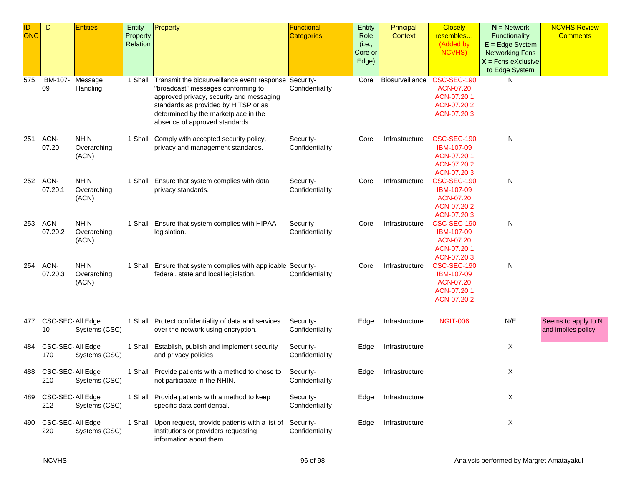| ID-<br><b>ONC</b> | ID                      | <b>Entities</b>                     | Property | Entity $-$ Property                                                                                                                                                                                                                                              | Functional<br><b>Categories</b> | Entity<br>Role             | Principal<br>Context | <b>Closely</b><br>resembles                                                 | $N =$ Network<br>Functionality                                                        | <b>NCVHS Review</b><br><b>Comments</b>    |
|-------------------|-------------------------|-------------------------------------|----------|------------------------------------------------------------------------------------------------------------------------------------------------------------------------------------------------------------------------------------------------------------------|---------------------------------|----------------------------|----------------------|-----------------------------------------------------------------------------|---------------------------------------------------------------------------------------|-------------------------------------------|
|                   |                         |                                     | Relation |                                                                                                                                                                                                                                                                  |                                 | (i.e.,<br>Core or<br>Edge) |                      | (Added by<br><b>NCVHS)</b>                                                  | $E = Edge System$<br><b>Networking Fcns</b><br>$X =$ Fcns eXclusive<br>to Edge System |                                           |
| 575               | IBM-107-<br>09          | Message<br>Handling                 |          | 1 Shall Transmit the biosurveillance event response Security-<br>"broadcast" messages conforming to<br>approved privacy, security and messaging<br>standards as provided by HITSP or as<br>determined by the marketplace in the<br>absence of approved standards | Confidentiality                 | Core                       | Biosurveillance      | CSC-SEC-190<br>ACN-07.20<br>ACN-07.20.1<br>ACN-07.20.2<br>ACN-07.20.3       | N                                                                                     |                                           |
| 251               | ACN-<br>07.20           | <b>NHIN</b><br>Overarching<br>(ACN) |          | 1 Shall Comply with accepted security policy,<br>privacy and management standards.                                                                                                                                                                               | Security-<br>Confidentiality    | Core                       | Infrastructure       | CSC-SEC-190<br>IBM-107-09<br>ACN-07.20.1<br>ACN-07.20.2<br>ACN-07.20.3      | N                                                                                     |                                           |
| 252               | ACN-<br>07.20.1         | <b>NHIN</b><br>Overarching<br>(ACN) |          | 1 Shall Ensure that system complies with data<br>privacy standards.                                                                                                                                                                                              | Security-<br>Confidentiality    | Core                       | Infrastructure       | CSC-SEC-190<br>IBM-107-09<br>ACN-07.20<br>ACN-07.20.2<br>ACN-07.20.3        | N                                                                                     |                                           |
| 253               | ACN-<br>07.20.2         | <b>NHIN</b><br>Overarching<br>(ACN) |          | 1 Shall Ensure that system complies with HIPAA<br>legislation.                                                                                                                                                                                                   | Security-<br>Confidentiality    | Core                       | Infrastructure       | CSC-SEC-190<br><b>IBM-107-09</b><br>ACN-07.20<br>ACN-07.20.1<br>ACN-07.20.3 | N                                                                                     |                                           |
| 254               | ACN-<br>07.20.3         | <b>NHIN</b><br>Overarching<br>(ACN) |          | 1 Shall Ensure that system complies with applicable Security-<br>federal, state and local legislation.                                                                                                                                                           | Confidentiality                 | Core                       | Infrastructure       | CSC-SEC-190<br><b>IBM-107-09</b><br>ACN-07.20<br>ACN-07.20.1<br>ACN-07.20.2 | N                                                                                     |                                           |
| 477               | CSC-SEC-All Edge<br>10  | Systems (CSC)                       |          | 1 Shall Protect confidentiality of data and services<br>over the network using encryption.                                                                                                                                                                       | Security-<br>Confidentiality    | Edge                       | Infrastructure       | <b>NGIT-006</b>                                                             | N/E                                                                                   | Seems to apply to N<br>and implies policy |
| 484               | CSC-SEC-All Edge<br>170 | Systems (CSC)                       |          | 1 Shall Establish, publish and implement security<br>and privacy policies                                                                                                                                                                                        | Security-<br>Confidentiality    | Edge                       | Infrastructure       |                                                                             | Χ                                                                                     |                                           |
| 488               | CSC-SEC-All Edge<br>210 | Systems (CSC)                       |          | 1 Shall Provide patients with a method to chose to<br>not participate in the NHIN.                                                                                                                                                                               | Security-<br>Confidentiality    | Edge                       | Infrastructure       |                                                                             | X                                                                                     |                                           |
| 489               | CSC-SEC-All Edge<br>212 | Systems (CSC)                       |          | 1 Shall Provide patients with a method to keep<br>specific data confidential.                                                                                                                                                                                    | Security-<br>Confidentiality    | Edge                       | Infrastructure       |                                                                             | X                                                                                     |                                           |
| 490               | CSC-SEC-All Edge<br>220 | Systems (CSC)                       |          | 1 Shall Upon request, provide patients with a list of<br>institutions or providers requesting<br>information about them.                                                                                                                                         | Security-<br>Confidentiality    | Edge                       | Infrastructure       |                                                                             | X                                                                                     |                                           |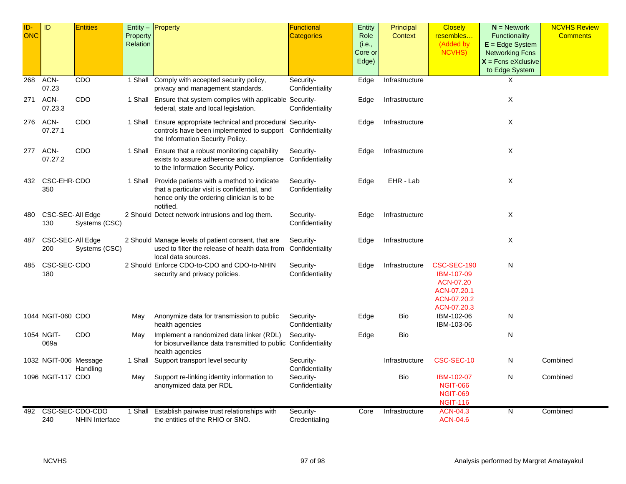| ID-<br><b>ONC</b> | ID                      | <b>Entities</b>                          | Property<br>Relation | Entity $-$ Property                                                                                                                                            | <b>Functional</b><br><b>Categories</b> | Entity<br>Role<br>(i.e.,<br>Core or<br>Edge) | Principal<br><b>Context</b> | <b>Closely</b><br>resembles<br>(Added by<br>NCVHS)                                  | $N =$ Network<br><b>Functionality</b><br>$E = Edge System$<br><b>Networking Fcns</b><br>$X =$ Fcns eXclusive<br>to Edge System | <b>NCVHS Review</b><br><b>Comments</b> |
|-------------------|-------------------------|------------------------------------------|----------------------|----------------------------------------------------------------------------------------------------------------------------------------------------------------|----------------------------------------|----------------------------------------------|-----------------------------|-------------------------------------------------------------------------------------|--------------------------------------------------------------------------------------------------------------------------------|----------------------------------------|
| 268               | ACN-<br>07.23           | <b>CDO</b>                               |                      | 1 Shall Comply with accepted security policy,<br>privacy and management standards.                                                                             | Security-<br>Confidentiality           | Edge                                         | Infrastructure              |                                                                                     | X                                                                                                                              |                                        |
| 271               | ACN-<br>07.23.3         | <b>CDO</b>                               |                      | 1 Shall Ensure that system complies with applicable Security-<br>federal, state and local legislation.                                                         | Confidentiality                        | Edge                                         | Infrastructure              |                                                                                     | $\times$                                                                                                                       |                                        |
| 276               | ACN-<br>07.27.1         | <b>CDO</b>                               |                      | 1 Shall Ensure appropriate technical and procedural Security-<br>controls have been implemented to support Confidentiality<br>the Information Security Policy. |                                        | Edge                                         | Infrastructure              |                                                                                     | X                                                                                                                              |                                        |
| 277               | ACN-<br>07.27.2         | CDO                                      |                      | 1 Shall Ensure that a robust monitoring capability<br>exists to assure adherence and compliance Confidentiality<br>to the Information Security Policy.         | Security-                              | Edge                                         | Infrastructure              |                                                                                     | X                                                                                                                              |                                        |
|                   | 432 CSC-EHR-CDO<br>350  |                                          |                      | 1 Shall Provide patients with a method to indicate<br>that a particular visit is confidential, and<br>hence only the ordering clinician is to be.<br>notified. | Security-<br>Confidentiality           | Edge                                         | EHR - Lab                   |                                                                                     | X                                                                                                                              |                                        |
| 480               | CSC-SEC-All Edge<br>130 | Systems (CSC)                            |                      | 2 Should Detect network intrusions and log them.                                                                                                               | Security-<br>Confidentiality           | Edge                                         | Infrastructure              |                                                                                     | X                                                                                                                              |                                        |
| 487               | CSC-SEC-All Edge<br>200 | Systems (CSC)                            |                      | 2 Should Manage levels of patient consent, that are<br>used to filter the release of health data from<br>local data sources.                                   | Security-<br>Confidentiality           | Edge                                         | Infrastructure              |                                                                                     | Χ                                                                                                                              |                                        |
| 485               | CSC-SEC-CDO<br>180      |                                          |                      | 2 Should Enforce CDO-to-CDO and CDO-to-NHIN<br>security and privacy policies.                                                                                  | Security-<br>Confidentiality           | Edge                                         | Infrastructure              | CSC-SEC-190<br>IBM-107-09<br>ACN-07.20<br>ACN-07.20.1<br>ACN-07.20.2<br>ACN-07.20.3 | N                                                                                                                              |                                        |
|                   | 1044 NGIT-060 CDO       |                                          | May                  | Anonymize data for transmission to public<br>health agencies                                                                                                   | Security-<br>Confidentiality           | Edge                                         | <b>Bio</b>                  | IBM-102-06<br>IBM-103-06                                                            | N                                                                                                                              |                                        |
|                   | 1054 NGIT-<br>069a      | <b>CDO</b>                               | May                  | Implement a randomized data linker (RDL)<br>for biosurveillance data transmitted to public Confidentiality<br>health agencies                                  | Security-                              | Edge                                         | Bio                         |                                                                                     | N                                                                                                                              |                                        |
|                   | 1032 NGIT-006 Message   | Handling                                 |                      | 1 Shall Support transport level security                                                                                                                       | Security-<br>Confidentiality           |                                              | Infrastructure              | CSC-SEC-10                                                                          | N                                                                                                                              | Combined                               |
|                   | 1096 NGIT-117 CDO       |                                          | May                  | Support re-linking identity information to<br>anonymized data per RDL                                                                                          | Security-<br>Confidentiality           |                                              | <b>Bio</b>                  | IBM-102-07<br><b>NGIT-066</b><br><b>NGIT-069</b><br><b>NGIT-116</b>                 | N                                                                                                                              | Combined                               |
| 492               | 240                     | CSC-SEC-CDO-CDO<br><b>NHIN Interface</b> | 1 Shall              | Establish pairwise trust relationships with<br>the entities of the RHIO or SNO.                                                                                | Security-<br>Credentialing             | Core                                         | Infrastructure              | <b>ACN-04.3</b><br><b>ACN-04.6</b>                                                  | N                                                                                                                              | Combined                               |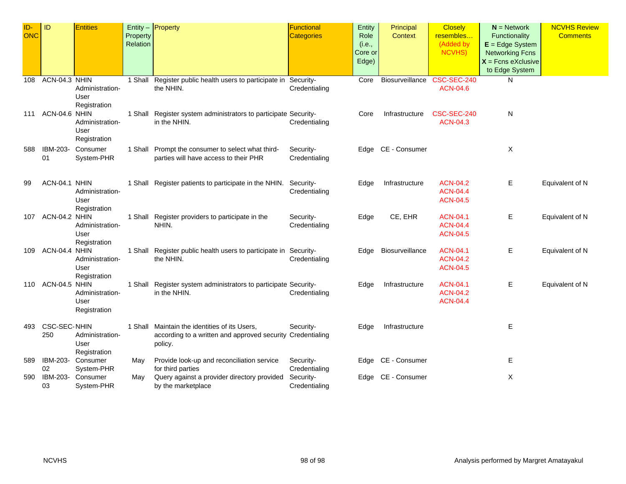| ID-<br>ONC | ID                         | <b>Entities</b>                         | Property<br>Relation | Entity $-$ Property                                                                                                    | Functional<br><b>Categories</b> | Entity<br>Role<br>(i.e.,<br>Core or<br>Edge) | Principal<br><b>Context</b> | <b>Closely</b><br>resembles<br>(Added by<br><b>NCVHS)</b> | $N =$ Network<br>Functionality<br>$E = Edge System$<br><b>Networking Fcns</b><br>$X$ = Fcns eXclusive<br>to Edge System | <b>NCVHS Review</b><br><b>Comments</b> |
|------------|----------------------------|-----------------------------------------|----------------------|------------------------------------------------------------------------------------------------------------------------|---------------------------------|----------------------------------------------|-----------------------------|-----------------------------------------------------------|-------------------------------------------------------------------------------------------------------------------------|----------------------------------------|
| 108        | ACN-04.3 NHIN              | Administration-<br>User<br>Registration | 1 Shall              | Register public health users to participate in<br>the NHIN.                                                            | Security-<br>Credentialing      | Core                                         | Biosurveillance             | <b>CSC-SEC-240</b><br><b>ACN-04.6</b>                     | N                                                                                                                       |                                        |
| 111        | ACN-04.6 NHIN              | Administration-<br>User<br>Registration |                      | 1 Shall Register system administrators to participate Security-<br>in the NHIN.                                        | Credentialing                   | Core                                         | Infrastructure              | CSC-SEC-240<br><b>ACN-04.3</b>                            | N                                                                                                                       |                                        |
| 588        | IBM-203-<br>01             | Consumer<br>System-PHR                  |                      | 1 Shall Prompt the consumer to select what third-<br>parties will have access to their PHR                             | Security-<br>Credentialing      |                                              | Edge CE - Consumer          |                                                           | Χ                                                                                                                       |                                        |
| 99         | ACN-04.1 NHIN              | Administration-<br>User<br>Registration |                      | 1 Shall Register patients to participate in the NHIN.                                                                  | Security-<br>Credentialing      | Edge                                         | Infrastructure              | <b>ACN-04.2</b><br><b>ACN-04.4</b><br><b>ACN-04.5</b>     | E.                                                                                                                      | Equivalent of N                        |
| 107        | ACN-04.2 NHIN              | Administration-<br>User<br>Registration |                      | 1 Shall Register providers to participate in the<br>NHIN.                                                              | Security-<br>Credentialing      | Edge                                         | CE, EHR                     | <b>ACN-04.1</b><br><b>ACN-04.4</b><br><b>ACN-04.5</b>     | E.                                                                                                                      | Equivalent of N                        |
| 109        | ACN-04.4 NHIN              | Administration-<br>User<br>Registration |                      | 1 Shall Register public health users to participate in Security-<br>the NHIN.                                          | Credentialing                   | Edge                                         | Biosurveillance             | <b>ACN-04.1</b><br><b>ACN-04.2</b><br><b>ACN-04.5</b>     | Е                                                                                                                       | Equivalent of N                        |
| 110        | ACN-04.5 NHIN              | Administration-<br>User<br>Registration |                      | 1 Shall Register system administrators to participate Security-<br>in the NHIN.                                        | Credentialing                   | Edge                                         | Infrastructure              | <b>ACN-04.1</b><br><b>ACN-04.2</b><br><b>ACN-04.4</b>     | Е                                                                                                                       | Equivalent of N                        |
| 493        | <b>CSC-SEC-NHIN</b><br>250 | Administration-<br>User<br>Registration |                      | 1 Shall Maintain the identities of its Users,<br>according to a written and approved security Credentialing<br>policy. | Security-                       | Edge                                         | Infrastructure              |                                                           | E                                                                                                                       |                                        |
| 589        | IBM-203-<br>02             | Consumer<br>System-PHR                  | May                  | Provide look-up and reconciliation service<br>for third parties                                                        | Security-<br>Credentialing      | Edge                                         | CE - Consumer               |                                                           | Е                                                                                                                       |                                        |
| 590        | IBM-203-<br>03             | Consumer<br>System-PHR                  | May                  | Query against a provider directory provided<br>by the marketplace                                                      | Security-<br>Credentialing      | Edge                                         | CE - Consumer               |                                                           | Χ                                                                                                                       |                                        |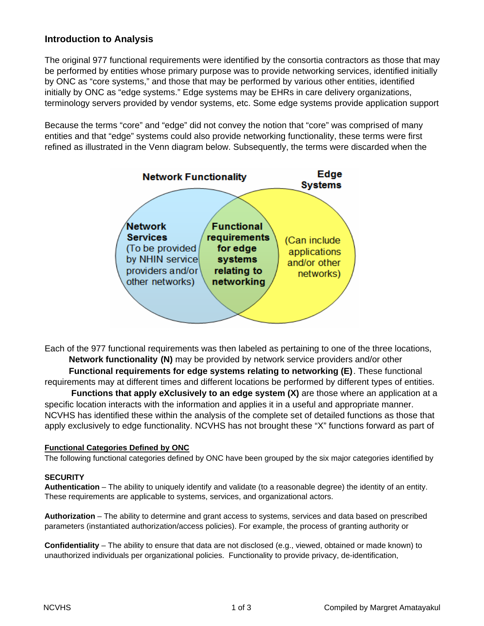#### **Introduction to Analysis**

The original 977 functional requirements were identified by the consortia contractors as those that may be performed by entities whose primary purpose was to provide networking services, identified initially by ONC as "core systems," and those that may be performed by various other entities, identified initially by ONC as "edge systems." Edge systems may be EHRs in care delivery organizations, terminology servers provided by vendor systems, etc. Some edge systems provide application support

Because the terms "core" and "edge" did not convey the notion that "core" was comprised of many entities and that "edge" systems could also provide networking functionality, these terms were first refined as illustrated in the Venn diagram below. Subsequently, the terms were discarded when the



Each of the 977 functional requirements was then labeled as pertaining to one of the three locations,  **Network functionality (N)** may be provided by network service providers and/or other  **Functional requirements for edge systems relating to networking (E)**. These functional

requirements may at different times and different locations be performed by different types of entities.

 **Functions that apply eXclusively to an edge system (X)** are those where an application at a specific location interacts with the information and applies it in a useful and appropriate manner. NCVHS has identified these within the analysis of the complete set of detailed functions as those that apply exclusively to edge functionality. NCVHS has not brought these "X" functions forward as part of

#### **Functional Categories Defined by ONC**

The following functional categories defined by ONC have been grouped by the six major categories identified by

#### **SECURITY**

**Authentication** – The ability to uniquely identify and validate (to a reasonable degree) the identity of an entity. These requirements are applicable to systems, services, and organizational actors.

**Authorization** – The ability to determine and grant access to systems, services and data based on prescribed parameters (instantiated authorization/access policies). For example, the process of granting authority or

**Confidentiality** – The ability to ensure that data are not disclosed (e.g., viewed, obtained or made known) to unauthorized individuals per organizational policies. Functionality to provide privacy, de-identification,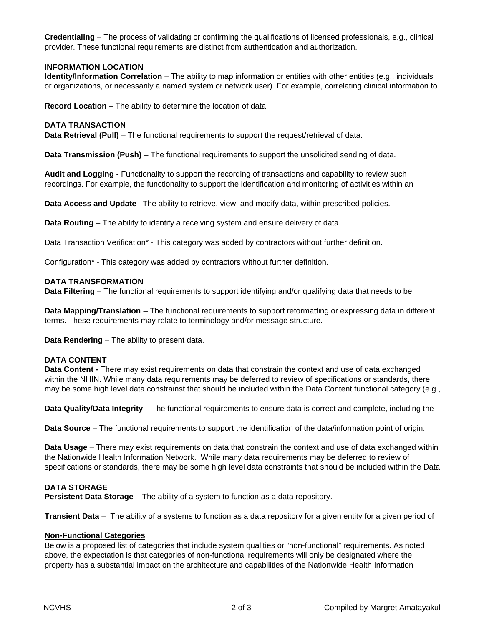**Credentialing** – The process of validating or confirming the qualifications of licensed professionals, e.g., clinical provider. These functional requirements are distinct from authentication and authorization.

#### **INFORMATION LOCATION**

**Identity/Information Correlation** – The ability to map information or entities with other entities (e.g., individuals or organizations, or necessarily a named system or network user). For example, correlating clinical information to

**Record Location** – The ability to determine the location of data.

#### **DATA TRANSACTION**

**Data Retrieval (Pull)** – The functional requirements to support the request/retrieval of data.

**Data Transmission (Push)** – The functional requirements to support the unsolicited sending of data.

**Audit and Logging -** Functionality to support the recording of transactions and capability to review such recordings. For example, the functionality to support the identification and monitoring of activities within an

**Data Access and Update** –The ability to retrieve, view, and modify data, within prescribed policies.

**Data Routing** – The ability to identify a receiving system and ensure delivery of data.

Data Transaction Verification\* - This category was added by contractors without further definition.

Configuration\* - This category was added by contractors without further definition.

#### **DATA TRANSFORMATION**

**Data Filtering** – The functional requirements to support identifying and/or qualifying data that needs to be

**Data Mapping/Translation** – The functional requirements to support reformatting or expressing data in different terms. These requirements may relate to terminology and/or message structure.

**Data Rendering** – The ability to present data.

#### **DATA CONTENT**

**Data Content -** There may exist requirements on data that constrain the context and use of data exchanged within the NHIN. While many data requirements may be deferred to review of specifications or standards, there may be some high level data constrainst that should be included within the Data Content functional category (e.g.,

**Data Quality/Data Integrity** – The functional requirements to ensure data is correct and complete, including the

**Data Source** – The functional requirements to support the identification of the data/information point of origin.

**Data Usage** – There may exist requirements on data that constrain the context and use of data exchanged within the Nationwide Health Information Network. While many data requirements may be deferred to review of specifications or standards, there may be some high level data constraints that should be included within the Data

#### **DATA STORAGE**

**Persistent Data Storage** – The ability of a system to function as a data repository.

**Transient Data** – The ability of a systems to function as a data repository for a given entity for a given period of

#### **Non-Functional Categories**

Below is a proposed list of categories that include system qualities or "non-functional" requirements. As noted above, the expectation is that categories of non-functional requirements will only be designated where the property has a substantial impact on the architecture and capabilities of the Nationwide Health Information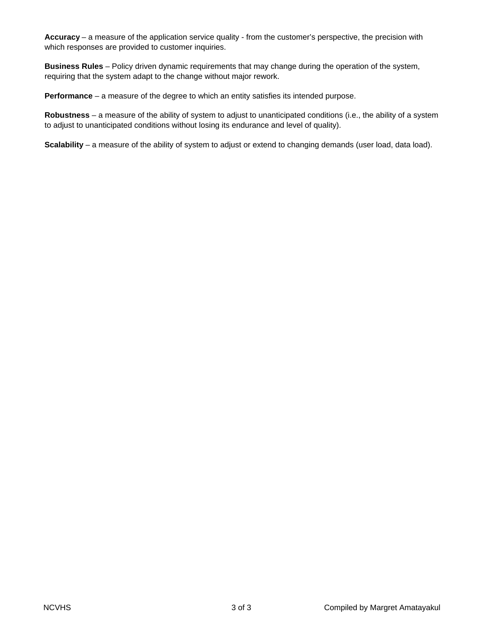**Accuracy** – a measure of the application service quality - from the customer's perspective, the precision with which responses are provided to customer inquiries.

**Business Rules** – Policy driven dynamic requirements that may change during the operation of the system, requiring that the system adapt to the change without major rework.

**Performance** – a measure of the degree to which an entity satisfies its intended purpose.

**Robustness** – a measure of the ability of system to adjust to unanticipated conditions (i.e., the ability of a system to adjust to unanticipated conditions without losing its endurance and level of quality).

**Scalability** – a measure of the ability of system to adjust or extend to changing demands (user load, data load).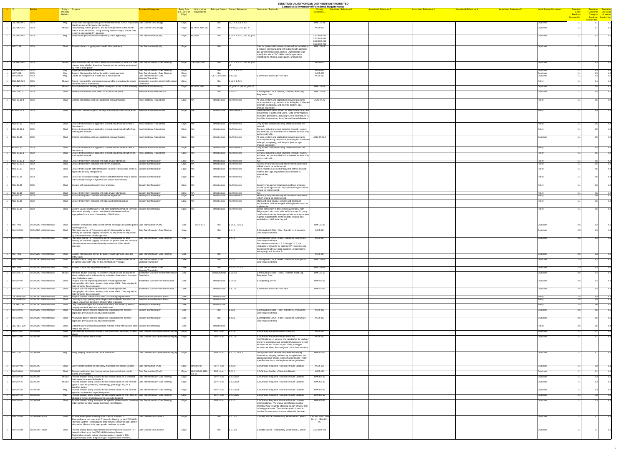## **SENSITIVE: UNAUTHORIZED DISTRIBUTION PROHIBITED**

| $#$ ID |                                           |                                    |            |                                                                                                                                                                                                                                |                                                                          |                                                                 |                         |                                |                                            |                                                                                                                           | <b>Compressed Inventory of Functional Requirements</b>                                         |                               |                               |                               |                                |                                     |                                                          |  |
|--------|-------------------------------------------|------------------------------------|------------|--------------------------------------------------------------------------------------------------------------------------------------------------------------------------------------------------------------------------------|--------------------------------------------------------------------------|-----------------------------------------------------------------|-------------------------|--------------------------------|--------------------------------------------|---------------------------------------------------------------------------------------------------------------------------|------------------------------------------------------------------------------------------------|-------------------------------|-------------------------------|-------------------------------|--------------------------------|-------------------------------------|----------------------------------------------------------|--|
|        |                                           |                                    | Property   | <b>Entity - Property</b>                                                                                                                                                                                                       | <b>Functional Categories</b>                                             | <b>Entity Role</b> Link to other<br>(i.e., Core or requirements |                         |                                | <b>Principal Context Context Reference</b> | <b>Comments / Rationale</b>                                                                                               | <b>Associated Reference 1</b><br><b>Associated Reference 2</b><br><b>Closely</b><br>resembles. | <b>Associated Reference 3</b> | <b>Associated Reference 4</b> | <b>Associated Reference 5</b> | <b>Intital Review Comments</b> | <u> Fentative </u><br><b>Entity</b> | <mark>Tentative Tentiative</mark><br>Functional Use Case |  |
|        |                                           |                                    | Relation   |                                                                                                                                                                                                                                |                                                                          | Edge)                                                           |                         |                                |                                            |                                                                                                                           |                                                                                                |                               |                               |                               |                                | Breakout<br><b>Session No.</b>      | Category Breakout<br>Breakout Session No.                |  |
|        | $\overline{CSC-BIO-010}$ $\overline{CDO}$ |                                    | May        | Share data with appropriate government authorities. CDOs may share Data Content-Data Usage                                                                                                                                     |                                                                          | Edge                                                            |                         | BIO -                          | p2, 1.1.1.2, 1.2.1.2                       |                                                                                                                           | IBM-102-11                                                                                     |                               |                               |                               | Duplicate                      |                                     | <b>Session No.</b>                                       |  |
|        |                                           |                                    |            | directly or use a third-party intermediary.                                                                                                                                                                                    |                                                                          |                                                                 |                         |                                |                                            |                                                                                                                           |                                                                                                |                               |                               |                               |                                |                                     |                                                          |  |
|        | CSC-BIO-340 CDO                           |                                    |            | Should   Electronically collect, process, and transmit pertinent public health   Data Content-Data Usage<br>data in a secure fashion, using existing data exchange, ensure data                                                |                                                                          |                                                                 | Edge BIO-010, 400, 540  | Bio                            | p09 s5, p10 s6, p11 s7                     |                                                                                                                           | <b>NGIT-054</b>                                                                                |                               |                               |                               | Duplicate                      |                                     |                                                          |  |
|        | $\overline{CSC-BIO-560}$ $\overline{CDO}$ |                                    | Mav        | is sent to appropriate PH agencies<br>Send results (and requested meta data) to PH Agencie(s)                                                                                                                                  | Data Transaction-(Push)                                                  | Edge $ BIO-580 $                                                |                         | Bio                            | $1.1.5.1$ 1.2.5.1, p07 s3, p10             |                                                                                                                           | <b>CSC-BIO-270</b>                                                                             |                               |                               |                               | Duplicate                      |                                     |                                                          |  |
|        |                                           |                                    |            |                                                                                                                                                                                                                                |                                                                          |                                                                 |                         |                                |                                            |                                                                                                                           | <b>CSC-BIO-310</b><br>CSC-BIO-250                                                              |                               |                               |                               |                                |                                     |                                                          |  |
|        |                                           |                                    |            |                                                                                                                                                                                                                                |                                                                          |                                                                 |                         |                                |                                            |                                                                                                                           | CSC-BIO-260                                                                                    |                               |                               |                               |                                |                                     |                                                          |  |
|        | $\overline{\overline{\text{NGIT-159}}}$   | $ $ CDO                            |            | Shall Transmit data to support public health biosurveillance                                                                                                                                                                   | Data Transaction-(Push)                                                  | Edge                                                            |                         | Bio                            |                                            | Data on patient-clinician encounters will be provided to<br>a network communicating with public health agencies           | IBM-102-11                                                                                     |                               |                               |                               | Duplicate                      |                                     |                                                          |  |
|        |                                           |                                    |            |                                                                                                                                                                                                                                |                                                                          |                                                                 |                         |                                |                                            | per agreement between entities. Agreements shall<br>specify the role a CDO NHIN interface performs                        |                                                                                                |                               |                               |                               |                                |                                     |                                                          |  |
|        |                                           |                                    |            |                                                                                                                                                                                                                                |                                                                          |                                                                 |                         |                                |                                            | regarding the filtering, aggregation, anonymizati                                                                         |                                                                                                |                               |                               |                               |                                |                                     |                                                          |  |
|        | $\overline{CSC-BIO-500}$ $\overline{CDO}$ |                                    | Should     | Filter collected data records to identify BIOsurveillance data and mark Data Transformation-Data Filtering                                                                                                                     |                                                                          | Edge CSC-SEC-200                                                |                         | Bio                            | 1.1.1.1 1.2.1.1, p07 s3, p10               |                                                                                                                           | <b>NGIT-055</b>                                                                                |                               |                               |                               | Duplicate                      |                                     |                                                          |  |
|        |                                           |                                    |            | relevant data whether directly or through an intermediary as required<br>by PHA or local policy                                                                                                                                |                                                                          |                                                                 |                         |                                |                                            |                                                                                                                           |                                                                                                |                               |                               |                               |                                |                                     |                                                          |  |
|        | CSC-BIO-510<br>NGIT-056                   | CDO<br>CDO                         | May<br>May | Aggregate identified essential data<br>Support filtering rules defined by public health agencies                                                                                                                               | Data Transformation-Data Filtering<br>Data Transformation-Data Filtering | Edge<br>Edge                                                    |                         | Bio                            | 1.1.1.2 1.2.1.2                            |                                                                                                                           | <b>NGIT-054</b><br><b>NGIT-055</b>                                                             |                               |                               |                               | Duplicate<br>Duplicate         |                                     |                                                          |  |
|        | IBM-209-38                                | CDO                                | May        | Create an exception list of data that is not imported                                                                                                                                                                          | Data Transformation-Data                                                 | Edge                                                            |                         | $CE$ - Consumer 2.3.2.3a       |                                            | 6.1 Provider access to PHR data                                                                                           | <b>NGIT-113</b>                                                                                |                               |                               |                               | Duplicate                      |                                     |                                                          |  |
|        | $\overline{CSC-BIO-520}$ $\overline{CDO}$ |                                    |            | Should   Accept responsibility and exercise reasonable precautions to ensure                                                                                                                                                   | Mapping/Translation<br>Information Location-Identity/Information         | Edge                                                            |                         | Bio                            | 1.1.2.1 1.2.2.1                            |                                                                                                                           |                                                                                                |                               |                               |                               | Policy                         |                                     |                                                          |  |
|        | CSC-BIO-110 CDO                           |                                    |            | identified data is anonymized<br>Should   Ensure timely data delivery (within twenty-four hours of clinical event) Non-Functional-Accuracy                                                                                     | Correlation                                                              | Edge   BIO-030, 400                                             |                         | Bio                            | $ p2, p04$ s2, p09 s5, p11 s7              |                                                                                                                           | IBM-102-11                                                                                     |                               |                               |                               | Duplicate                      |                                     |                                                          |  |
|        |                                           |                                    |            |                                                                                                                                                                                                                                |                                                                          |                                                                 |                         |                                |                                            |                                                                                                                           |                                                                                                |                               |                               |                               |                                |                                     |                                                          |  |
|        | <b>IBM-103-11</b>                         | $ $ CDO                            |            | Shall Send biosurveillance data within 24 hours of the event                                                                                                                                                                   | Non-Functional-Performance                                               |                                                                 |                         | Bio                            | 1.2.5.1X                                   | 3.4 Integrated CDOs - Route, Transmit, Audit Log<br><b>Requested Data</b>                                                 | IBM-102-11                                                                                     |                               |                               |                               | Duplicate                      |                                     |                                                          |  |
|        | ACN-07.21.4 CDO                           |                                    | Shall      | Enforce compliance with an established password policy.                                                                                                                                                                        | Non-Functional-Robustness                                                | Edge N/A                                                        |                         | Infrastructure No Reference    |                                            | All user, system and application (service) accounts                                                                       | ACN-07.31                                                                                      |                               |                               |                               | Policy                         |                                     |                                                          |  |
|        |                                           |                                    |            |                                                                                                                                                                                                                                |                                                                          |                                                                 |                         |                                |                                            | must require strong passwords, including but not limited<br>to length, complexity, and lifecycle (history, age,           |                                                                                                |                               |                               |                               |                                |                                     |                                                          |  |
|        |                                           |                                    |            |                                                                                                                                                                                                                                |                                                                          |                                                                 |                         |                                |                                            | change, expiration).                                                                                                      |                                                                                                |                               |                               |                               |                                |                                     |                                                          |  |
|        | $ACN-07.21.9$ CDO                         |                                    |            | Shall Secure all hardware against damage and unauthorized modification. Non-Functional-Robustness                                                                                                                              |                                                                          | Edge N/A                                                        |                         | Infrastructure No Reference    |                                            | Dedicated enclosures should be used to restrict access<br>to hardware to authorized users. Data center facilities         |                                                                                                |                               |                               |                               | Policy                         |                                     |                                                          |  |
|        |                                           |                                    |            |                                                                                                                                                                                                                                |                                                                          |                                                                 |                         |                                |                                            | must offer protections, including but not limited to, UPS,<br>humidity, temperature, flood, fire and natural disasters.   |                                                                                                |                               |                               |                               |                                |                                     |                                                          |  |
|        | ACN-07.22                                 | COO                                | Shall      | Ensure that controls are applied to prevent unauthorized access to $\blacksquare$ Non-Functional-Robustness                                                                                                                    |                                                                          | Edge N/A                                                        |                         | Infrastructure No Reference    |                                            | Only trusted components may obtain access to the                                                                          |                                                                                                |                               |                               |                               | Polic                          |                                     |                                                          |  |
|        |                                           |                                    |            | the network                                                                                                                                                                                                                    |                                                                          |                                                                 |                         |                                |                                            | network                                                                                                                   |                                                                                                |                               |                               |                               |                                |                                     |                                                          |  |
|        | $ACN-07.22.1$ CDO                         |                                    | Shall      | Ensure that controls are applied to prevent unauthorized traffic from $\Box$ Non-Functional-Robustness<br>entering the network.                                                                                                |                                                                          | Edge N/A                                                        |                         | Infrastructure No Reference    |                                            | Devices, including but not limited to firewalls, routers,<br>and switches, are installed on the network to allow only     |                                                                                                |                               |                               |                               | Policy                         |                                     |                                                          |  |
|        | ACN-07.31                                 | CDO                                |            | Shall Enforce compliance with an established password policy.                                                                                                                                                                  | Non-Functional-Robustness                                                | Edge N/A                                                        |                         | Infrastructure No Reference    |                                            | authorized traffic.<br>All user, system and application (service) accounts                                                | ACN-07.21.4                                                                                    |                               |                               |                               | Duplicate                      |                                     |                                                          |  |
|        |                                           |                                    |            |                                                                                                                                                                                                                                |                                                                          |                                                                 |                         |                                |                                            | must require strong passwords, including but not limited                                                                  |                                                                                                |                               |                               |                               |                                |                                     |                                                          |  |
|        |                                           |                                    |            |                                                                                                                                                                                                                                |                                                                          |                                                                 |                         |                                |                                            | to length, complexity, and lifecycle (history, age,<br>change, expiration).                                               |                                                                                                |                               |                               |                               |                                |                                     |                                                          |  |
|        | ACN-07.33                                 | CDO                                |            | Shall Ensure that controls are applied to prevent unauthorized access to Non-Functional-Robustness<br>the network                                                                                                              |                                                                          | Edge $N/A$                                                      |                         | Infrastructure No Reference    |                                            | Only trusted components may obtain access to the<br>network.                                                              |                                                                                                |                               |                               |                               | Policy                         |                                     |                                                          |  |
|        | ACN-07.33.1 CDO                           |                                    | Shall      | Ensure that controls are applied to prevent unauthorized traffic from Non-Functional-Robustness<br>entering the network.                                                                                                       |                                                                          | Edge $N/A$                                                      |                         |                                | Infrastructure   No Reference              | Devices, including but not limited to firewalls, routers,<br>and switches, are installed on the network to allow only $ $ |                                                                                                |                               |                               |                               | Policy                         |                                     |                                                          |  |
|        |                                           |                                    |            |                                                                                                                                                                                                                                |                                                                          |                                                                 |                         |                                |                                            | authorized traffic.                                                                                                       |                                                                                                |                               |                               |                               |                                |                                     |                                                          |  |
|        | $ACN-07.23.1$ CDO<br>ACN-07.23.2 CDO      |                                    | Shall      | Ensure that system complies with data privacy standards.<br>Shall   Ensure that system complies with HIPAA legislation.                                                                                                        | Security-Confidentiality<br>Security-Confidentiality                     | Edge N/A<br>N/A<br>Edge                                         |                         | Infrastructure   No Reference  | Infrastructure   No Reference              | Federal privacy and security requirements outlined in                                                                     |                                                                                                |                               |                               |                               | <u>Policy</u>                  |                                     |                                                          |  |
|        | ACN-07.27                                 | CDO                                |            | Shall Ensure that an up-to-date Information Security Policy exists, which is Security-Confidentiality                                                                                                                          |                                                                          | Edge $ N/A $                                                    |                         | Infrastructure No Reference    |                                            | HIPAA should be implemented.<br>There must be a Security Policy that defines security                                     |                                                                                                |                               |                               |                               | Policy                         |                                     |                                                          |  |
|        |                                           |                                    |            | aligned to industry best practice.                                                                                                                                                                                             |                                                                          |                                                                 |                         |                                |                                            | controls the Edge organization is committed to                                                                            |                                                                                                |                               |                               |                               |                                |                                     |                                                          |  |
|        | ACN-07.28                                 | <b>CDO</b>                         | Shall      | Ensure an Acceptable Usage Policy exists that defines what is and is $ $ Security-Confidentiality                                                                                                                              |                                                                          | Edge N/A                                                        |                         | Infrastructure No Reference    |                                            | maintaining                                                                                                               |                                                                                                |                               |                               |                               | Policy                         |                                     |                                                          |  |
|        |                                           |                                    |            | not acceptable usage of systems with access to NHIN data.                                                                                                                                                                      |                                                                          |                                                                 |                         |                                |                                            |                                                                                                                           |                                                                                                |                               |                               |                               |                                |                                     |                                                          |  |
|        | ACN-07.35                                 | CDO                                |            | Shall Comply with accepted security best practices.                                                                                                                                                                            | Security-Confidentiality                                                 | Edge N/A                                                        |                         |                                | Infrastructure No Reference                | Security management standards and best practices<br>issued by recognized security standards organizations                 |                                                                                                |                               |                               |                               | Policy                         |                                     |                                                          |  |
|        |                                           |                                    |            |                                                                                                                                                                                                                                |                                                                          |                                                                 |                         |                                |                                            | should be implemented.                                                                                                    |                                                                                                |                               |                               |                               |                                |                                     |                                                          |  |
|        | ACN-07.36<br>ACN-07.37                    | CDO<br>$ $ CDO                     |            | Shall   Ensure that system complies with data privacy standards.<br>Shall   Ensure that system complies with HIPAA legislation.                                                                                                | Security-Confidentiality<br>Security-Confidentiality                     | Edge N/A<br>N/A<br>Edge                                         |                         | Infrastructure No Reference    | Infrastructure   No Reference              | Federal privacy and security requirements outlined in                                                                     |                                                                                                |                               |                               |                               | Policy<br>Policy               |                                     |                                                          |  |
|        | ACN-07.38                                 | $ $ CDO                            | Shall      | Ensure that system complies with state and local legislation.                                                                                                                                                                  | Security-Confidentiality                                                 | Edge N/A                                                        |                         | Infrastructure No Reference    |                                            | HIPAA should be implemented.<br>State and local privacy, security and disclosure                                          |                                                                                                |                               |                               |                               | Policy                         |                                     |                                                          |  |
|        |                                           |                                    |            |                                                                                                                                                                                                                                |                                                                          |                                                                 |                         |                                |                                            | requirements outlined in applicable legislation must be<br>implemented.                                                   |                                                                                                |                               |                               |                               |                                |                                     |                                                          |  |
|        | ACN-07.29 CDO                             |                                    |            | Shall Confirm via self-certification or 3rd party certification that all relevant Security-Credentialing                                                                                                                       |                                                                          | Edge N/A                                                        |                         |                                | Infrastructure   No Reference              | Before connection to the NHIN is authorized, each                                                                         |                                                                                                |                               |                               |                               | Policy                         |                                     |                                                          |  |
|        |                                           |                                    |            | information security controls have been implemented and are<br>appropriate for the level of sensitivity of NHIN data.                                                                                                          |                                                                          |                                                                 |                         |                                |                                            | Edge organization must self-certify or obtain 3rd party<br>certification that they have appropriate security controls     |                                                                                                |                               |                               |                               |                                |                                     |                                                          |  |
|        |                                           |                                    |            |                                                                                                                                                                                                                                |                                                                          |                                                                 |                         |                                |                                            | in place to protect the confidentiality, integrity and<br>availability of HHS data they will                              |                                                                                                |                               |                               |                               |                                |                                     |                                                          |  |
|        |                                           |                                    |            |                                                                                                                                                                                                                                |                                                                          |                                                                 | <b>NGIT-071</b>         |                                |                                            |                                                                                                                           | IBM-102-08                                                                                     |                               |                               |                               |                                |                                     |                                                          |  |
|        | $NGIT-072$                                | CDO-CDO NHIN Interface             |            | Shall   Transmit anonymized data as well formed messages to specific public Data Transaction-(Push)<br>health agencies                                                                                                         |                                                                          | Core                                                            |                         | Bio                            | 1.1.5.1, 1.2.5.1                           |                                                                                                                           |                                                                                                |                               |                               |                               | Duplicate                      |                                     |                                                          |  |
|        | <b>IBM-102-04</b>                         | CDO-CDO NHIN Interface             | Shall      | Filter data source HL7 streams to identify biosurveillance data<br>meeting all specified (trigger) conditions for requirements requested                                                                                       | Data Transformation-Data Filtering                                       | Core                                                            |                         | Bio                            | 1.1.1.1                                    | 2.3 Individual CDOs - Filter, Transform, Anonymize,<br>Link Requested Data                                                | <b>NGIT-064</b>                                                                                |                               |                               |                               | Duplicate                      |                                     |                                                          |  |
|        | <b>IBM-103-04</b>                         | CDO-CDO NHIN Interface             | Shall      | by authorized Public Health agencies<br>Filter data source HL7 streams to identify biosurveillance data                                                                                                                        | Data Transformation-Data Filtering                                       | Core                                                            |                         | Bio                            | 1.2.1.1                                    | 3.3 Integrated CDOs - Filter, Transform, Anonymize,                                                                       | <b>NGIT-064</b>                                                                                |                               |                               |                               | Duplicate                      |                                     |                                                          |  |
|        |                                           |                                    |            | meeting all specified (trigger) conditions for patient care and resource                                                                                                                                                       |                                                                          |                                                                 |                         |                                |                                            | <b>Link Requested Data</b>                                                                                                |                                                                                                |                               |                               |                               |                                |                                     |                                                          |  |
|        |                                           |                                    |            | utilization requirements requested by authorized Public Health<br>agencies                                                                                                                                                     |                                                                          |                                                                 |                         |                                |                                            | For reference numbers 1.2.1 through 1.2.5, the<br>recipients of requests for data from PH agencies are                    |                                                                                                |                               |                               |                               |                                |                                     |                                                          |  |
|        |                                           |                                    |            |                                                                                                                                                                                                                                |                                                                          |                                                                 |                         |                                |                                            | Integrated health care data suppliers , organizations<br>that span jurisdictional or fu                                   |                                                                                                |                               |                               |                               |                                |                                     |                                                          |  |
|        |                                           |                                    |            |                                                                                                                                                                                                                                |                                                                          |                                                                 |                         | Bio                            |                                            |                                                                                                                           | <b>NGIT-064</b>                                                                                |                               |                               |                               |                                |                                     |                                                          |  |
|        | $NGIT-061$                                | CDO-CDO NHIN Interface             |            | Shall Support filtering rules defined by public health agencies (on a per                                                                                                                                                      | Data Transformation-Data Filtering                                       | Core                                                            |                         |                                |                                            |                                                                                                                           |                                                                                                |                               |                               |                               | Duplicate                      |                                     |                                                          |  |
|        | <b>IBM-103-08</b>                         | CDO-CDO NHIN Interface             | Shall      | entity basis)<br>Transform data using approved standards as provided by HITSP or                                                                                                                                               | Data Transformation-Data                                                 | Core                                                            |                         | Bio                            | .2.3.1                                     | 3.3 Integrated CDOs - Filter, Transform, Anonymize,                                                                       | IBM-102-08                                                                                     |                               |                               |                               | Duplicate                      |                                     |                                                          |  |
|        |                                           |                                    |            | as agreed upon with ONC for the Architecture Prototype                                                                                                                                                                         | Mapping/Translation                                                      |                                                                 |                         |                                |                                            | Link Requested Data                                                                                                       |                                                                                                |                               |                               |                               |                                |                                     |                                                          |  |
|        | NGIT-068                                  | CDO-CDO NHIN Interface             | Shall      | Transform data into approved standards                                                                                                                                                                                         | Data Transformation-Data                                                 | Core                                                            |                         | Bio                            | 1.1.3.1, 1.2.3.1                           |                                                                                                                           | IBM-102-08                                                                                     |                               |                               |                               | Duplicate                      |                                     |                                                          |  |
|        | <b>IBM-102-13</b>                         | CDO-CDO NHIN Interface             |            | Should   Minimize double counting. The system should be able to determine                                                                                                                                                      | Mapping/Translation<br>Information Location-Identity/Information         | Core                                                            |                         | Biosurveillance 1.1.5.1X       |                                            | 2.4 Individual CDOs - Route, Transmit, Audit Log                                                                          | IBM-103-13                                                                                     |                               |                               |                               | Duplicate                      |                                     |                                                          |  |
|        |                                           |                                    |            | when multiple and or independently submitted data refer to the same Correlation<br>case (patient) or event.                                                                                                                    |                                                                          |                                                                 |                         |                                |                                            | <b>Requested Data</b>                                                                                                     |                                                                                                |                               |                               |                               |                                |                                     |                                                          |  |
|        | <b>IBM-207-07</b>                         | CDO-CDO NHIN Interface             | Shall      | Require that the requesting institution provide appropriate<br>demographic information to query data in the NHIN. Data required is                                                                                             | Information Location-Record Location                                     | Core                                                            |                         | Infrastructure $ 2.1.5.2x $    |                                            | 4.2 Updating a PHR                                                                                                        | IBM-205-07                                                                                     |                               |                               |                               | Duplicate                      |                                     |                                                          |  |
|        | <b>IBM-209-14</b>                         | <b>CDO-CDO NHIN Interface</b>      | Shall      | determined by the community.<br>Require that the requesting institution provide appropriate                                                                                                                                    | Information Location-Record Location                                     | Core                                                            |                         | Infrastructure $ 2.3.1.2x$     |                                            | 6.1 Provider access to PHR data                                                                                           | IBM-205-07                                                                                     |                               |                               |                               | Duplicate                      |                                     |                                                          |  |
|        |                                           |                                    |            | demographic information to query data in the NHIN. Data required is                                                                                                                                                            |                                                                          |                                                                 |                         |                                |                                            |                                                                                                                           |                                                                                                |                               |                               |                               |                                |                                     |                                                          |  |
|        |                                           | CSC-NFR-240 CDO-CDO NHIN Interface | Shall      | determined by the community.<br>Require minimal software and other IP licensing requirements                                                                                                                                   | Non-Functional-Business Rules                                            | Core                                                            |                         | Infrastructure                 |                                            |                                                                                                                           |                                                                                                |                               |                               |                               | Policy                         |                                     |                                                          |  |
|        | CSC-NFR-250                               | CDO-CDO NHIN Interface             | Shall      | Use only non-proprietary technologies and standards, that shall not<br>require usage fees to holders of copyrights or patents                                                                                                  | Non-Functional-Business Rules                                            | Core                                                            |                         | Infrastructure                 |                                            |                                                                                                                           |                                                                                                |                               |                               |                               | Policy                         |                                     |                                                          |  |
|        | CSC-ALL-30                                | CDO-CDO NHIN Interface             | Shall      | Only trade messages with entities and SNOs that restrict queries to<br>properly authenticated and authorized users.                                                                                                            | Security-Confidentiality                                                 | Core                                                            |                         | Infrastructure                 |                                            |                                                                                                                           |                                                                                                |                               |                               |                               | Policy                         |                                     |                                                          |  |
|        | <b>IBM-102-06</b>                         | <b>CDO-CDO NHIN Interface</b>      | Shall      | Anonymize patient specific data before transmission to meet all                                                                                                                                                                | Security-Confidentiality                                                 | Core                                                            |                         | BIO                            | 1.1.2.1                                    | 2.3 Individual CDOs - Filter, Transform, Anonymize,                                                                       | <b>NGIT-060</b>                                                                                |                               |                               |                               | Duplicate                      |                                     |                                                          |  |
|        |                                           |                                    |            | applicable privacy and security considerations                                                                                                                                                                                 |                                                                          |                                                                 |                         |                                |                                            | <b>Link Requested Data</b>                                                                                                |                                                                                                |                               |                               |                               |                                |                                     |                                                          |  |
|        | <b>IBM-103-06</b>                         | <b>CDO-CDO NHIN Interface</b>      | Shall      | Anonymize patient specific data before transmission to meet all<br>applicable privacy and security considerations                                                                                                              | Security-Confidentiality                                                 | Core                                                            |                         | Bio                            | 1.2.2.1                                    | 3.3 Integrated CDOs - Filter, Transform, Anonymize,<br><b>Link Requested Data</b>                                         | <b>NGIT-060</b>                                                                                |                               |                               |                               | Duplicate                      |                                     |                                                          |  |
|        |                                           | CSC-SEC-230 CDO-CDO NHIN Interface |            | Shall Establish pairwise trust relationships with the NHIN Interfaces of other Security-Credentialing                                                                                                                          |                                                                          | Core                                                            |                         | Infrastructure                 |                                            |                                                                                                                           |                                                                                                |                               |                               |                               | Policy                         |                                     |                                                          |  |
|        |                                           |                                    |            | <b>RHIOs and SNOs</b>                                                                                                                                                                                                          |                                                                          |                                                                 |                         |                                |                                            |                                                                                                                           |                                                                                                |                               |                               |                               |                                |                                     |                                                          |  |
|        | <b>IBM-311-07</b>                         | CDO-EMR                            | Shall      | Acknowledge successful receipt of lab results from repository or data Data Content-Data Quality/Data Integrity Edge<br>∣stage                                                                                                  |                                                                          |                                                                 |                         | EHR-Lab 3.2.1.6                |                                            | 2.5 Clinician Receives Results into EHR                                                                                   | <b>NGIT-123</b>                                                                                |                               |                               |                               | Duplicate                      |                                     |                                                          |  |
|        | <b>IBM-311-09</b>                         | CDO-EMR                            | Shall      | Produce exception list of errors                                                                                                                                                                                               | Data Content-Data Quality/Data Integrity Edge                            |                                                                 |                         | EHR-Lab $ 3.2.1.7a$            |                                            | 2.5 Clinician Receives Results into EHR<br>ONC Guidance: In general, the capabilities for updates                         | <b>NGIT-113</b>                                                                                |                               |                               |                               | Duplicate                      |                                     |                                                          |  |
|        |                                           |                                    |            |                                                                                                                                                                                                                                |                                                                          |                                                                 |                         |                                |                                            | and error corrections are important functions of a valid<br>architecture and should be part of the prototype              |                                                                                                |                               |                               |                               |                                |                                     |                                                          |  |
|        |                                           |                                    |            |                                                                                                                                                                                                                                |                                                                          |                                                                 |                         |                                |                                            | architecture. From the standpoint of the demonstration                                                                    |                                                                                                |                               |                               |                               |                                |                                     |                                                          |  |
|        | $NGIT-122$                                | CDO-EMR                            |            | May Verify integrity of unsolicited result transaction                                                                                                                                                                         | Data Content-Data Quality/Data Integrity Edge                            |                                                                 |                         |                                | EHR - Lab $\vert$ 3.2.1.2, 3.4.1.2         | The system must validate the patient identifying                                                                          | IBM-306-05                                                                                     |                               |                               |                               | Duplicate                      |                                     |                                                          |  |
|        |                                           |                                    |            |                                                                                                                                                                                                                                |                                                                          |                                                                 |                         |                                |                                            | information, integrity, authenticity, completeness and<br>appropriateness of data received according to HITSP             |                                                                                                |                               |                               |                               |                                |                                     |                                                          |  |
|        |                                           |                                    |            |                                                                                                                                                                                                                                |                                                                          |                                                                 |                         |                                |                                            | specified standards and implementation guidelines.                                                                        |                                                                                                |                               |                               |                               |                                |                                     |                                                          |  |
|        | <b>IBM-307-01</b>                         | CDO-EMR                            |            | Shall Query locator system for laboratory (historical) test results location Data Transaction-(Pull)                                                                                                                           |                                                                          | Edge   IBM-305-07                                               |                         | EHR-Lab 3.2.3.0                |                                            | 2.1 Clinician Requests Historical Results Location                                                                        | <b>NGIT-128</b>                                                                                |                               |                               |                               | Duplicate                      |                                     |                                                          |  |
|        | <b>IBM-306-01</b>                         | CDO-EMR                            |            | Shall Receive notification from locator service that new lab test results                                                                                                                                                      | Data Transaction-(Push)                                                  |                                                                 | Edge   IBM-305-08; IBM- | EHR-Lab $ 3.2.2.1$             |                                            | 1.6 Clinician Notified of New Lab Results                                                                                 | <b>NGIT-126</b>                                                                                |                               |                               |                               | Duplicate                      |                                     |                                                          |  |
|        | <b>IBM-307-34</b>                         | CDO-EMR                            |            | events are available<br>Should Provide clinician ability to query for lab results based on a specified Data Transformation-Data Filtering                                                                                      |                                                                          | $ 305 - 01 $<br>Edge                                            |                         | EHR - Lab $ 3.2.3.3ax2\rangle$ |                                            | 2.1 Clinician Requests Historical Results Location                                                                        | IBM-307-32                                                                                     |                               |                               |                               | Duplicate                      |                                     |                                                          |  |
|        | <b>IBM-307-36</b>                         | CDO-EMR                            |            | date range for a specified patient<br>Should Provide clinician ability to query for lab results based on one or more Data Transformation-Data Filtering                                                                        |                                                                          | Edge                                                            |                         | EHR-Lab 3.2.3.3ax3             |                                            | 2.1 Clinician Requests Historical Results Location                                                                        | IBM-307-32                                                                                     |                               |                               |                               | Duplicate                      |                                     |                                                          |  |
|        |                                           |                                    |            | types of lab data (chemistry, hematology, pathology, etc) for a                                                                                                                                                                |                                                                          |                                                                 |                         |                                |                                            |                                                                                                                           |                                                                                                |                               |                               |                               |                                |                                     |                                                          |  |
|        | <b>IBM-307-38</b>                         | CDO-EMR                            | May        | specified patient<br>Provide clinician ability to query for lab results based on one or more Data Transformation-Data Filtering                                                                                                |                                                                          | Edge                                                            |                         | EHR-Lab $3.2.3.3ax4$           |                                            | 2.1 Clinician Requests Historical Results Location                                                                        | IBM-307-32                                                                                     |                               |                               |                               | Duplicate                      |                                     |                                                          |  |
|        | <b>IBM-307-40</b>                         | CDO-EMR                            | May        | specified lab tests for a specified patient<br>Provide clinician ability to query for lab results based on one, more or Data Transformation-Data Filtering                                                                     |                                                                          | Edge                                                            |                         | EHR - Lab $ 3.2.3.3ax5 $       |                                            | 2.1 Clinician Requests Historical Results Location                                                                        | IBM-307-32                                                                                     |                               |                               |                               | Duplicate                      |                                     |                                                          |  |
|        |                                           | CDO-EMR                            | Shall      | all local or remote marketplaces for a specified patient                                                                                                                                                                       |                                                                          |                                                                 |                         |                                |                                            |                                                                                                                           | IBM-307-32                                                                                     |                               |                               |                               | Duplicate                      |                                     |                                                          |  |
|        | <b>IBM-307-42</b>                         |                                    |            | Provide clinician ability to request for specific lab test results based on Data Transformation-Data Filtering<br>order number or other unique test result identification                                                      |                                                                          | Edge                                                            |                         | EHR-Lab $3.2.3.3$              |                                            | 2.1 Clinician Requests Historical Results Location<br>ONC Guidance: The unique identification number                      |                                                                                                |                               |                               |                               |                                |                                     |                                                          |  |
|        |                                           |                                    |            |                                                                                                                                                                                                                                |                                                                          |                                                                 |                         |                                |                                            | identified here would be obtained as part of some test<br>ordering processes. The clinician would know this               |                                                                                                |                               |                               |                               |                                |                                     |                                                          |  |
|        |                                           |                                    |            |                                                                                                                                                                                                                                |                                                                          |                                                                 |                         |                                |                                            | number if it was obtain in association with the orde                                                                      |                                                                                                |                               |                               |                               |                                |                                     |                                                          |  |
|        | <b>IBM-101-03</b>                         | CDO-EMR--Acute                     | Shall      | Provide limited patient demographic data as specified in                                                                                                                                                                       | Data Content-Data Source                                                 | Edge                                                            |                         | Bio                            | 1.1.1.0X                                   | 1.1 Data Source - Ambulatory, Acute and ED EMRs                                                                           | CSC-BIO-210 IBM<br>101-01 IBM-101-                                                             |                               |                               |                               | Duplicate                      |                                     |                                                          |  |
|        |                                           |                                    |            | Biosurveillance use case in HL7 format for filtering by the CDO NHIN<br>Interface System. Demographic data include: encounter date, patient                                                                                    |                                                                          |                                                                 |                         |                                |                                            |                                                                                                                           |                                                                                                |                               |                               |                               |                                |                                     |                                                          |  |
|        |                                           |                                    |            | information (date of birth, age, gender, resident zip code,                                                                                                                                                                    |                                                                          |                                                                 |                         |                                |                                            |                                                                                                                           |                                                                                                |                               |                               |                               |                                |                                     |                                                          |  |
|        | <b>IBM-101-04</b>                         | CDO-EMR--Acute                     | Shall      | Provide clinical data as specified in Biosurveillance use case in HL7   Data Content-Data Source<br>format for filtering by the CDO NHIN Interface System.<br>Clinical data include: patient class (outpatient, inpatient, ER) |                                                                          | Edge                                                            |                         | Bio                            | 1.1.1.0X                                   | 1.1 Data Source - Ambulatory, Acute and ED EMRs                                                                           | <b>CSC-BIO-220</b>                                                                             |                               |                               |                               | Duplicate                      |                                     |                                                          |  |

1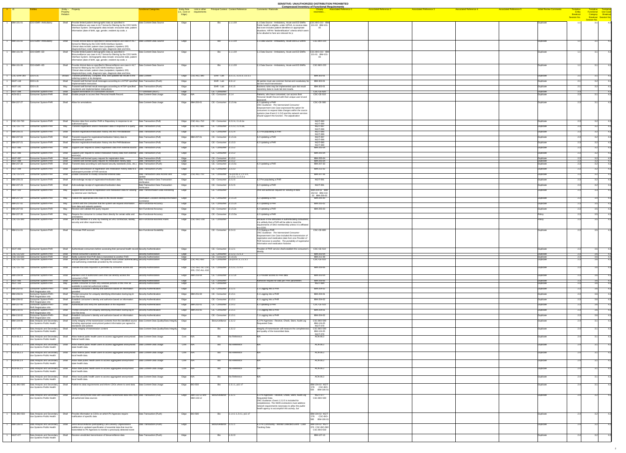**SENSITIVE: UNAUTHORIZED DISTRIBUTION PROHIBITED**

|                                                                                                                                                  |                                                |                                                                                              |                               |                                                                                                                                                                                                                                                                                                                                             |                                                    |                         |                                                              |                                                                                                          |                                                                                                                                                                                                                                                                                                                  | SENSITIVE: UNAUTHORIZED DISTRIBUTION PROHIBITED<br><b>Compressed Inventory of Functional Requirements</b>                                                                                                                                           |                                                                  |
|--------------------------------------------------------------------------------------------------------------------------------------------------|------------------------------------------------|----------------------------------------------------------------------------------------------|-------------------------------|---------------------------------------------------------------------------------------------------------------------------------------------------------------------------------------------------------------------------------------------------------------------------------------------------------------------------------------------|----------------------------------------------------|-------------------------|--------------------------------------------------------------|----------------------------------------------------------------------------------------------------------|------------------------------------------------------------------------------------------------------------------------------------------------------------------------------------------------------------------------------------------------------------------------------------------------------------------|-----------------------------------------------------------------------------------------------------------------------------------------------------------------------------------------------------------------------------------------------------|------------------------------------------------------------------|
|                                                                                                                                                  |                                                |                                                                                              | Entity - Property<br>Property |                                                                                                                                                                                                                                                                                                                                             | <b>Functional Categories</b>                       | (i.e., Core or<br>Edge) | <b>Entity Role</b> Link to other<br>requirements             | <b>Principal Context Context Reference</b>                                                               | <b>Comments / Rationale</b>                                                                                                                                                                                                                                                                                      | <b>Associated Reference 4</b><br><b>Associated Reference 3</b><br><b>Associated Reference 5</b><br><b>Intital Review Comments</b><br><b>Associated Reference 1</b><br><b>Associated Reference 2</b><br>Closelv -<br>Entity<br>resembles<br>Breakout | Tentative Tentiative<br>Functional Use Case<br>Category Breakout |
|                                                                                                                                                  |                                                |                                                                                              |                               |                                                                                                                                                                                                                                                                                                                                             |                                                    |                         |                                                              |                                                                                                          |                                                                                                                                                                                                                                                                                                                  | <b>Session No.</b><br><b>Session No.</b>                                                                                                                                                                                                            | Breakout Session No.                                             |
|                                                                                                                                                  |                                                | CDO-EMR--Ambulatory                                                                          | Shall                         | Provide limited patient demographic data as specified in<br>Biosurveillance use case in HL7 format for filtering by the CDO NHIN<br>Interface System. Demographic data include: encounter date, patient<br>information (date of birth, age, gender, resident zip code, s                                                                    | Data Content-Data Source                           | Edge                    |                                                              | 1.1.1.0X                                                                                                 | 1.1 Data Source - Ambulatory, Acute and ED EMRs    CSC-BIO-210 IBM<br>Public health is eligible, under HIPAA, to receive data   101-03 IBM-101-<br>that even includes patient identifiers in appropriate<br>situations. HIPAA "deidentification" criteria which seem<br>to be alluded to here are relevant for p | Duplicate                                                                                                                                                                                                                                           |                                                                  |
| <b>IBM-101-02</b>                                                                                                                                |                                                | CDO-EMR--Ambulatory                                                                          | Shall                         | $\vert$ Provide clinical data as specified in Biosurveillance use case in HL7 $\vert$ Data Content-Data Source<br>format for filtering by the CDO NHIN Interface System.<br>Clinical data include: patient class (outpatient, inpatient, ER)                                                                                                |                                                    | Edge                    |                                                              | 1.1.1.0X<br>Bio                                                                                          | 1.1 Data Source - Ambulatory, Acute and ED EMRs                                                                                                                                                                                                                                                                  | <b>CSC-BIO-220</b><br>Duplicate                                                                                                                                                                                                                     |                                                                  |
| <b>IBM-101-05</b>                                                                                                                                |                                                | CDO-EMR--ED                                                                                  | Shall                         | diagnosis/injury code, diagnosis type, diagnosis date and time,<br>Provide limited patient demographic data as specified in<br>Biosurveillance use case in HL7 format for filtering by the CDO NHIN<br>Interface System. Demographic data include: encounter date, patient<br>information (date of birth, age, gender, resident zip code, s | Data Content-Data Source                           | Edge                    |                                                              | 1.1.1.0X<br><b>Bio</b>                                                                                   | 1.1 Data Source - Ambulatory, Acute and ED EMRs                                                                                                                                                                                                                                                                  | CSC-BIO-210 IBM<br>Duplicate<br>101-01 IBM-101-                                                                                                                                                                                                     |                                                                  |
| <b>IBM-101-06</b>                                                                                                                                |                                                | CDO-EMR--ED                                                                                  | Shall                         | $\vert$ Provide clinical data as specified in Biosurveillance use case in HL7 $\vert$ Data Content-Data Source<br>format for filtering by the CDO NHIN Interface System.<br>Clinical data include: patient class (outpatient, inpatient, ER)                                                                                                |                                                    | Edge                    |                                                              | 1.1.1.0X<br>Bio                                                                                          | 1.1 Data Source - Ambulatory, Acute and ED EMRs                                                                                                                                                                                                                                                                  | <b>CSC-BIO-220</b><br>Duplicate                                                                                                                                                                                                                     |                                                                  |
| $NGIT-119$                                                                                                                                       | CSC-EHR-360 CDO-LIS                            | CDO-LIS                                                                                      | Should                        | diagnosis/injury code, diagnosis type, diagnosis date and time,<br>Transmit preliminary, complete, final, and updated lab results to the  Data Content<br>ordering system or its designee.<br>Shall Transmit well formed result messages according to a HITSP specified Data Transaction-(Push)                                             |                                                    | Edge                    | $\textsf{Edge}$ $  \overline{\textsf{CSC-ALL-380}}$          | EHR - Lab 3.2.1.1, 3.3.1.0, 3.3.1.1<br>EHR-Lab $ 3.3.1.2 $                                               | All parties must use common format and vocabulary for   IBM-303-01                                                                                                                                                                                                                                               | IBM-303-01<br>Duplicate<br>Duplicate                                                                                                                                                                                                                |                                                                  |
| $NGIT-141$                                                                                                                                       |                                                | CDO-LIS                                                                                      | May                           | implementation instruction.<br>Transmit well formed result messages according to HITSP specified   Data Transaction-(Push)                                                                                                                                                                                                                  |                                                    | Edge                    |                                                              | EHR-Lab $ 3.4.1.5 $                                                                                      | lab test result transmission<br>Business rules may be implemented upon lab result                                                                                                                                                                                                                                | IBM-303-01<br>Duplicate                                                                                                                                                                                                                             |                                                                  |
| $NGIT-098$<br>ACN-03.1                                                                                                                           |                                                | <b>Consumer System-PHR</b><br><b>Consumer System-PHR</b>                                     | Shall<br>Shall                | standards and implementation instructions<br>Support termination of a consumers account<br>Enable people to access their Personal Health Record.                                                                                                                                                                                            | ???-Unknown (NGIT)<br>Data Content-Data Usage      | Edge<br>Edge  N/A       |                                                              | CE - Consumer<br>$CE$ - Consumer 2.1.4                                                                   | repository data to route lab test results.<br>Patients, who have consented, can access their<br>Personal Health Record with their unique user id and                                                                                                                                                             | <b>CSC-CE-620</b><br>Duplicate<br><b>CSC-CE-510</b><br>Duplicate                                                                                                                                                                                    |                                                                  |
| <b>IBM-207-27</b>                                                                                                                                |                                                | Consumer System-PHR                                                                          |                               | Shall Allow for annotations                                                                                                                                                                                                                                                                                                                 | Data Content-Data Usage                            |                         | Edge   IBM-205-01                                            | CE - Consumer 2.1.5.4a                                                                                   | assword.<br>4.2 Updating a PHR<br>ONC Guidance: The Harmonized Consumer<br><b>Empowerment Use Case expressed the option for</b><br>consumers to request data changes within the source<br>systems (see Event 2.1.5.0) and the network services<br>should support this function. The adjudication                 | <b>CSC-CE-580</b><br>Duplicate                                                                                                                                                                                                                      |                                                                  |
| $ {\sf CSC}\text{-}\mathsf{CE}\text{-}730$<br>$\big $ CSC-CE-770                                                                                 |                                                | Consumer System-PHR<br>Consumer System-PHR                                                   | Shall<br>May                  | Receive data from another PHR or Repository in response to an<br>authorized query<br>Transmit registration and/or medication data in response to a query                                                                                                                                                                                    | Data Transaction-(Pull)<br>Data Transaction-(Pull) |                         | $\textsf{Edge}$ $ \textsf{CSC-ALL-710} $<br>Edge CSC-ALL-660 | CE - Consumer 2.2.2.4, 2.1.6.1a<br>CE - Consumer 2.2.3.3, 2.2.4.3a,                                      |                                                                                                                                                                                                                                                                                                                  | <b>NGIT-090</b><br>Duplicate<br><b>NGIT-089</b><br><b>NGIT-097</b>                                                                                                                                                                                  |                                                                  |
| <b>IBM-205-21</b>                                                                                                                                |                                                | <b>Consumer System-PHR</b>                                                                   |                               | Shall Receive registration/medication history into the PHR/database                                                                                                                                                                                                                                                                         | Data Transaction-(Pull)                            | Edge                    |                                                              | $CE - Consumer \quad  2.2.2.4$                                                                           | 3.2 Pre-populating a PHR                                                                                                                                                                                                                                                                                         | Duplicate<br><b>NGIT-096</b><br><b>NGIT-090</b><br>Duplicate                                                                                                                                                                                        |                                                                  |
| <b>IBM-207-04</b>                                                                                                                                |                                                | <b>Consumer System-PHR</b>                                                                   | Shall                         | Transmit request for registration/medication history data to                                                                                                                                                                                                                                                                                | Data Transaction-(Pull)                            |                         | Edge  IBM-207-01                                             | $CE$ - Consumer 2.1.5.2x                                                                                 | 4.2 Updating a PHR                                                                                                                                                                                                                                                                                               | <b>NGIT-089</b><br><b>NGIT-097</b><br>Duplicate                                                                                                                                                                                                     |                                                                  |
| <b>IBM-207-21</b>                                                                                                                                |                                                | <b>Consumer System-PHR</b>                                                                   | Shall                         | data/network systems<br>Receive registration/medication history into the PHR/database                                                                                                                                                                                                                                                       | Data Transaction-(Pull)                            | Edge                    |                                                              | $CE - Consumer \quad  2.1.5.3$                                                                           | 4.2 Updating a PHR                                                                                                                                                                                                                                                                                               | <b>NGIT-096</b><br><b>NGIT-090</b><br>Duplicate<br><b>NGIT-089</b>                                                                                                                                                                                  |                                                                  |
| $NGIT-085$                                                                                                                                       |                                                | <b>Consumer System-PHR</b>                                                                   | Shall                         | Support user request to collect registration data from external source Data Transaction-(Pull)                                                                                                                                                                                                                                              |                                                    | Edge                    |                                                              | $CE - Consumer \quad  2.1.5.2$                                                                           |                                                                                                                                                                                                                                                                                                                  | IBM-205-04<br>Duplicate                                                                                                                                                                                                                             |                                                                  |
| <b>NGIT-086</b><br>$NGIT-087$                                                                                                                    |                                                | <b>Consumer System-PHR</b>                                                                   |                               | Shall Support user request to collect medication history data from external Data Transaction-(Pull)<br> source(s)                                                                                                                                                                                                                           |                                                    | Edge                    |                                                              | $\overline{CE}$ - Consumer 2.1.5.2                                                                       |                                                                                                                                                                                                                                                                                                                  | IBM-205-04<br>Duplicate<br>IBM-205-04                                                                                                                                                                                                               |                                                                  |
| <b>NGIT-088</b><br><b>IBM-207-32</b>                                                                                                             |                                                | <b>Consumer System-PHR</b><br>Consumer System-PHR<br>Consumer System-PHR                     | Shall<br>Shall<br>Shall       | Transmit well formed query request for registration data<br>Transmit well formed query request for medication history data<br>Transmit data according to web-based security standards (SSL, etc.)   Data Transaction-(Push)                                                                                                                 | Data Transaction-(Pull)<br>Data Transaction-(Pull) | Edge<br>Edge<br>Edge    |                                                              | $CE - Consumer \quad  2.1.5.2$<br>$CE - Consumer \quad  2.1.5.2$<br>$CE - Consumer \quad  2.1.5.5x$      | 4.2 Updating a PHR                                                                                                                                                                                                                                                                                               | Duplicate<br>IBM-205-04<br>Duplicate<br>IBM-207-33<br>Duplicate                                                                                                                                                                                     | 4.3                                                              |
| <b>NGIT-099</b>                                                                                                                                  |                                                | Consumer System-PHR                                                                          | Shall                         | Support transmission of registration and medication history data to a $\Box$ Data Transaction-(Push)                                                                                                                                                                                                                                        |                                                    | Edge                    |                                                              | $CE - Consumer$ 2.2.3.3                                                                                  |                                                                                                                                                                                                                                                                                                                  | IBM-211-02<br>Duplicate                                                                                                                                                                                                                             |                                                                  |
| $\textcolor{red}{\textsf{\color{blue}{\textsf{CSC-CE-570}}}}$                                                                                    |                                                | Consumer System-PHR                                                                          |                               | subsequent provider of PHR services<br>Shall Enable consumer to modify consumer-entered data                                                                                                                                                                                                                                                | Data Transaction-Data Access and                   |                         | Edge CSC-ALL-710                                             | CE - Consumer $ CE-p.8.55.3, 2.1.5.4,$                                                                   |                                                                                                                                                                                                                                                                                                                  | IBM-207-26<br>Duplicate                                                                                                                                                                                                                             |                                                                  |
| <b>IBM-205-23</b>                                                                                                                                |                                                | Consumer System-PHR                                                                          |                               | Shall Acknowledge receipt of registration/medication data                                                                                                                                                                                                                                                                                   | Data Transaction-Data Transaction<br>Verification  | Edge                    |                                                              | 2.1.5.5, 2.1.5.5.a<br>$CE$ - Consumer 2.2.2.5                                                            | 3.2 Pre-populating a PHR                                                                                                                                                                                                                                                                                         | <b>NGIT-091</b><br>Duplicate                                                                                                                                                                                                                        |                                                                  |
| <b>IBM-207-23</b>                                                                                                                                |                                                | <b>Consumer System-PHR</b>                                                                   |                               | Shall Acknowledge receipt of registration/medication data                                                                                                                                                                                                                                                                                   | Data Transaction-Data Transaction<br>Verification  | Edge                    |                                                              | $CE - Consumer$ 2.2.2.5                                                                                  | 4.2 Updating a PHR                                                                                                                                                                                                                                                                                               | <b>NGIT-091</b><br>Duplicate                                                                                                                                                                                                                        |                                                                  |
| NGIT-101                                                                                                                                         |                                                | Consumer System-PHR                                                                          | Mav                           | Support direct access to registration and medication data for viewing<br>by external user interfaces                                                                                                                                                                                                                                        | Data Transformation-Data Rendering                 | Edge                    |                                                              | CE - Consumer                                                                                            | PHR will authorize request for viewing of data                                                                                                                                                                                                                                                                   | IBM-204-02 IBM-<br>Duplicate<br>202-02 IBM-210-<br>02 IBM-206-02                                                                                                                                                                                    |                                                                  |
| <b>IBM-207-20</b>                                                                                                                                |                                                | Consumer System-PHR                                                                          |                               | May $\vert$ Publish the appropriate links back to the record locator                                                                                                                                                                                                                                                                        | Information Location-Identity/Information          | Edge                    |                                                              | CE - Consumer 2.1.5.2x                                                                                   | 4.2 Updating a PHR                                                                                                                                                                                                                                                                                               | IBM-205-20<br>Duplicate                                                                                                                                                                                                                             |                                                                  |
| <b>IBM-207-02</b>                                                                                                                                |                                                | Consumer System-PHR                                                                          | Mav                           | Confirm with the consumer that the system will request information<br>from data and network systems                                                                                                                                                                                                                                         | Non-Functional-Accuracy                            | Edge                    |                                                              | $CE - Consumer \quad  2.1.5.2x$                                                                          | 4.2 Updating a PHR                                                                                                                                                                                                                                                                                               | IBM-205-02<br>Duplicate                                                                                                                                                                                                                             |                                                                  |
| <b>IBM-207-03</b><br><b>IBM-207-35</b>                                                                                                           |                                                | Consumer System-PHR<br>Consumer System-PHR                                                   | May                           | Receive and validate the query request<br>May Require the consumer to contact them directly for certain edits and Non-Functional-Accuracy                                                                                                                                                                                                   | Non-Functional-Accuracy                            | Edge<br>Edge            |                                                              | $CE$ - Consumer 2.1.5.2x<br>$CE$ - Consumer 2.1.5.5a                                                     | 4.2 Updating a PHR<br>4.2 Updating a PHR                                                                                                                                                                                                                                                                         | IBM-205-03<br>Duplicate<br>Polic                                                                                                                                                                                                                    |                                                                  |
| $ {\sf CSC}\text{-}\mathsf{CE}\text{-}390$                                                                                                       |                                                | Consumer System-PHR                                                                          |                               | lannotation<br>Shall Be a full member of a SNO by meeting all SNO contractual, liability, Non-Functional-Business Rules                                                                                                                                                                                                                     |                                                    |                         | Edge CSC-SEC-230                                             | CE - Consumer                                                                                            | Because of the difficulties in authenticating consumers,                                                                                                                                                                                                                                                         | Policy                                                                                                                                                                                                                                              |                                                                  |
| <b>IBM-211-01</b>                                                                                                                                |                                                | Consumer System-PHR                                                                          |                               | security and other requirements.<br>Shall Terminate PHR account                                                                                                                                                                                                                                                                             | Non-Functional-Scalability                         | Edge                    |                                                              | $CE - Consumer$ 2.2.4.3                                                                                  | it is unlikely that a PHR will be able to meet the<br>requirements of SNO membership unless it is affiliated<br>to a CDO.<br>7.2 Closing a PHR                                                                                                                                                                   | <b>CSC-CE-600</b><br>Duplicate                                                                                                                                                                                                                      |                                                                  |
|                                                                                                                                                  |                                                |                                                                                              |                               |                                                                                                                                                                                                                                                                                                                                             |                                                    |                         |                                                              |                                                                                                          | ONC Guidance: The Harmonized Consumer<br>Empowerment Use Case included the transmission of<br>registration and medication data from one Provider of<br>$ $ PHR Services to another. The portability of registration $ $<br>information and medication histories                                                  |                                                                                                                                                                                                                                                     |                                                                  |
| NGIT-083                                                                                                                                         |                                                | Consumer System-PHR                                                                          |                               | Shall Authenticate consumers before accessing their personal health record Security-Authentication                                                                                                                                                                                                                                          |                                                    | Edge                    |                                                              | $CE - Consumer \quad  2.1.2.1$                                                                           | Provider of PHR service shall establish the consumer's  <br><i>identity</i>                                                                                                                                                                                                                                      | <b>CSC-CE-510</b><br>Duplicate                                                                                                                                                                                                                      |                                                                  |
| $ {\sf CSC}\text{-}\mathsf{CE}\text{-}530$<br>$\textcolor{red}{\mathsf{CSC\text{-}CE\text{-}630}}$<br>$ {\sf CSC}\text{-}\mathsf{CE}\text{-}750$ |                                                | Consumer System-PHR<br>Consumer System-PHR<br>Consumer System-PHR                            | Shall<br>Shall<br>Shall       | Persist consumer's access list<br>Notify customer that PHR data is transmited to another PHR<br>Accept queries for PHR data. The queries must contain authenticating Security-Authorization<br>and authorizing credentials provided by the consumer.                                                                                        | Security-Authorization<br>Security-Authorization   | Edge<br>Edge            | Edge CSC-ALL-650                                             | $CE - Consumer \quad 2.1.2.2, 2.2.1.3$<br>$CE$ - Consumer 2.1.6.2a<br>CE - Consumer CE-p.9.s7.3, 2.2.3.1 |                                                                                                                                                                                                                                                                                                                  | IBM-203-04<br>Duplicate<br>IBM-211-08<br>Duplicate<br><b>CSC-CE-510</b><br>Duplicate                                                                                                                                                                |                                                                  |
| $ {\sf CSC}\text{-}\mathsf{CE}\text{-}760 $                                                                                                      |                                                | Consumer System-PHR                                                                          |                               | Shall Validate that data requestor is permitted by consumer access list                                                                                                                                                                                                                                                                     | Security-Authorization                             |                         | $ 200, \text{CSC-ALL-610} $                                  | Edge $ CSC-SEC-50, CSC  CE - Consumer  2.2.3.2, 2.2.4.2$                                                 |                                                                                                                                                                                                                                                                                                                  | IBM-209-06<br>Duplicate                                                                                                                                                                                                                             |                                                                  |
| <b>IBM-209-04</b>                                                                                                                                |                                                | <b>Consumer System-PHR</b>                                                                   | Shall                         | Maintain a list of authorized users that can directly access the<br>consumer's PHR                                                                                                                                                                                                                                                          | Security-Authorization                             |                         | Edge $\sqrt{\text{IBM-203-04}}$                              | $CE - Consumer$ 2.1.2.2x                                                                                 | 6.1 Provider access to PHR data                                                                                                                                                                                                                                                                                  | IBM-203-04<br>Duplicate                                                                                                                                                                                                                             |                                                                  |
| NGIT-095<br>$NGIT-163$                                                                                                                           |                                                | <b>Consumer System-PHR</b><br><b>Consumer System-PHR</b>                                     | Shall<br>May                  | Authorize request for data<br>Enable consumer to mark only selected portions of the PHR as                                                                                                                                                                                                                                                  | Security-Authorization<br>Security-Authorization   | Edge<br>Edge            |                                                              | <b>CE - Consumer</b><br>CE - Consumer                                                                    | Authorize request for data per PHR parameters                                                                                                                                                                                                                                                                    | IBM-209-06<br>Duplicate<br><b>NGIT-084</b><br>Duplicate                                                                                                                                                                                             |                                                                  |
| <b>IBM-202-02</b>                                                                                                                                |                                                | <b>Consumer System-PHR--</b><br><b>PHR Registration info</b>                                 | Shall                         | available to external authorized entities<br>Establish consumer's identity and authorize based on information<br>provided                                                                                                                                                                                                                   | Security-Authentication                            | Edge                    |                                                              | $CE - Consumer$ 2.1.2.1                                                                                  | 2.1 Logging into a PHR                                                                                                                                                                                                                                                                                           | IBM-204-02<br>Duplicate                                                                                                                                                                                                                             |                                                                  |
| <b>IBM-206-01</b>                                                                                                                                |                                                | Consumer System-PHR-<br><b>PHR Registration info</b>                                         | Shall                         | Prompt consumer for uniquely identifying information during log-in<br>(not first time)                                                                                                                                                                                                                                                      | Security-Authentication                            |                         | Edge   IBM-201-04                                            | $CE - Consumer \quad  2.1.5.1$                                                                           | 4.1 Logging into a PHR                                                                                                                                                                                                                                                                                           | IBM-204-01<br>Duplicate                                                                                                                                                                                                                             |                                                                  |
| <b>IBM-206-02</b><br><b>IBM-207-40</b>                                                                                                           |                                                | <b>Consumer System-PHR-</b><br><b>PHR Registration info</b>                                  | Shall<br>Shall                | Establish consumer's identity and authorize based on information<br>provided<br>Authenticate and verify the authorization of the requestor                                                                                                                                                                                                  | Security-Authentication                            | Edge                    |                                                              | $CE - Consumer$ 2.1.5.1                                                                                  | 4.1 Logging into a PHR                                                                                                                                                                                                                                                                                           | IBM-204-02<br>Duplicate<br><b>CSC-CE-510</b>                                                                                                                                                                                                        |                                                                  |
| <b>IBM-210-01</b>                                                                                                                                |                                                | <b>Consumer System-PHR--</b><br><b>PHR Registration info</b><br><b>Consumer System-PHR--</b> |                               | Shall Prompt consumer for uniquely identifying information during log-in                                                                                                                                                                                                                                                                    | Security-Authentication<br>Security-Authentication |                         | Edge  IBM-202-01<br>Edge  IBM-201-05                         | $CE - Consumer \quad  2.2.4.2$<br>$CE - Consumer$ 2.1.5.1                                                | 4.2 Updating a PHR<br>1.1 Logging into a PHR                                                                                                                                                                                                                                                                     | Duplicate<br>IBM-204-01<br>Duplicate                                                                                                                                                                                                                |                                                                  |
| <b>IBM-210-02</b>                                                                                                                                |                                                | <b>PHR Registration info</b><br>Consumer System-PHR--                                        | Shall                         | $ $ (not first time)<br>Establish consumer's identity and authorize based on information                                                                                                                                                                                                                                                    | Security-Authentication                            | Edge                    |                                                              | $CE - Consumer \quad  2.1.5.1$                                                                           | 1.1 Logging into a PHR                                                                                                                                                                                                                                                                                           | IBM-204-02<br>Duplicate                                                                                                                                                                                                                             |                                                                  |
| <b>IBM-104-05</b>                                                                                                                                |                                                | <b>PHR Registration info</b><br>Data Analysis and Secondary<br>Use Systems-Public Health     | Shall                         | Verify integrity of the transmission contents from the identified source Data Content-Data Quality/Data Integrity<br>including appropriate anonymized patient information per agreed to                                                                                                                                                     |                                                    | Edge                    |                                                              | Biosurveillance   1.3.2.2                                                                                | 4.2 PH Agencies - Receive, Check, Store, Audit Log CSC-BIO-590<br><b>Requested Data</b>                                                                                                                                                                                                                          | Duplicate<br>IBM-104-05                                                                                                                                                                                                                             |                                                                  |
| $NGIT-078$                                                                                                                                       |                                                | Data Analysis and Secondary                                                                  | Shall                         | standards and policies<br>Verify integrity of transmission content                                                                                                                                                                                                                                                                          | Data Content-Data Quality/Data Integrity           | Edge                    |                                                              | 1.3.2.2                                                                                                  | Integrity of transmission will measure the completenes                                                                                                                                                                                                                                                           | <b>NGIT-078</b><br><b>CSC-BIO-590</b><br>Duplicate                                                                                                                                                                                                  |                                                                  |
|                                                                                                                                                  |                                                | Use Systems-Public Health                                                                    |                               |                                                                                                                                                                                                                                                                                                                                             |                                                    |                         |                                                              |                                                                                                          | and quality of the transmitted data.                                                                                                                                                                                                                                                                             | IBM-104-05<br><b>NGIT-078</b>                                                                                                                                                                                                                       |                                                                  |
| ACN-06.2.1                                                                                                                                       |                                                | Data Analysis and Secondary<br>Use Systems-Public Health                                     | Shall                         | Allow federal public health users to access aggregated anonymized   Data Content-Data Usage<br>federal health data.                                                                                                                                                                                                                         |                                                    | Core N/A                |                                                              | No Reference<br>Bio                                                                                      |                                                                                                                                                                                                                                                                                                                  | ACN-06.2<br>Duplicate                                                                                                                                                                                                                               |                                                                  |
| ACN-06.2.2                                                                                                                                       |                                                | Data Analysis and Secondary<br>Use Systems-Public Health                                     | Shall                         | Allow federal public health users to access aggregated anonymized   Data Content-Data Usage<br>state health data.                                                                                                                                                                                                                           |                                                    | $Core$ $N/A$            |                                                              | No Reference<br>Bi∩.                                                                                     |                                                                                                                                                                                                                                                                                                                  | ACN-06.2<br>Duplicate                                                                                                                                                                                                                               |                                                                  |
| ACN-06.2.3                                                                                                                                       |                                                | Data Analysis and Secondary<br>Use Systems-Public Health                                     | Shall                         | Allow federal public health users to access aggregated anonymized   Data Content-Data Usage<br>local health data.                                                                                                                                                                                                                           |                                                    | $Core$ $N/A$            |                                                              | No Reference<br><b>Bio</b>                                                                               |                                                                                                                                                                                                                                                                                                                  | ACN-06.2<br>Duplicate                                                                                                                                                                                                                               |                                                                  |
| ACN-06.2.4                                                                                                                                       |                                                | Data Analysis and Secondary<br>Use Systems-Public Health                                     |                               | Allow state public health users to access aggregated anonymized<br>state health data.                                                                                                                                                                                                                                                       | Data Content-Data Usage                            | Core N/A                |                                                              | No Reference<br>BIO.                                                                                     |                                                                                                                                                                                                                                                                                                                  | ACN-06.2<br>Duplicate                                                                                                                                                                                                                               |                                                                  |
| ACN-06.2.5                                                                                                                                       |                                                | Data Analysis and Secondary<br>Use Systems-Public Health                                     | Shall                         | Allow state public health users to access aggregated anonymized<br>local health data.                                                                                                                                                                                                                                                       | Data Content-Data Usage                            | Core N/A                |                                                              | No Reference<br>Bio.                                                                                     |                                                                                                                                                                                                                                                                                                                  | ACN-06.2<br>Duplicate                                                                                                                                                                                                                               |                                                                  |
| ACN-06.2.6                                                                                                                                       |                                                | Data Analysis and Secondary<br>Use Systems-Public Health                                     | Shall                         | Allow local public health users to access aggregated anonymized<br>local health data.                                                                                                                                                                                                                                                       | Data Content-Data Usage                            | Edge N/A                |                                                              | No Reference<br>Bi∩.                                                                                     |                                                                                                                                                                                                                                                                                                                  | ACN-06.2<br>Duplicate                                                                                                                                                                                                                               |                                                                  |
|                                                                                                                                                  | $ {\sf CSC}\text{-}{\sf BIO}\text{-}{\sf 580}$ | Data Analysis and Secondary<br>Use Systems-Public Health                                     | Shall                         | Publish its data requirements and inform CDOs where to send data   Data Content-Data Usage                                                                                                                                                                                                                                                  |                                                    | Edge $ BIO-550 $        |                                                              | $1.3.1.1$ , p11 s7<br>Bio                                                                                |                                                                                                                                                                                                                                                                                                                  | <b>IBM-104-02 NGIT-</b><br>Duplicate<br>076 CSC-BIO-                                                                                                                                                                                                |                                                                  |
| <b>IBM-104-03</b>                                                                                                                                |                                                | Data Analysis and Secondary                                                                  | Shall                         | Receive anonymized data with associated randomized data links from Data Transaction-(Pull)                                                                                                                                                                                                                                                  |                                                    |                         | Edge $ $ IBM-102-12 and                                      | Biosurveillance 1.3.2.1                                                                                  | 4.2 PH Agencies - Receive, Check, Store, Audit Log                                                                                                                                                                                                                                                               | 550 IBM-106-01<br><b>NGIT-077</b><br>Duplicate                                                                                                                                                                                                      |                                                                  |
|                                                                                                                                                  |                                                | Use Systems-Public Health                                                                    |                               | all authorized data sources                                                                                                                                                                                                                                                                                                                 |                                                    |                         | <b>IBM-103-12</b>                                            |                                                                                                          | <b>Requested Data</b><br>ONC Guidance: Event 1.3.2.0 is included for<br>completeness. The NHIN contractors must address<br>network requirements necessary to allow the public<br>health agency to accomplish this activity, but                                                                                  | CSC-BIO-590                                                                                                                                                                                                                                         |                                                                  |
|                                                                                                                                                  |                                                | CSC-BIO-550 Data Analysis and Secondary<br>Use Systems-Public Health                         | Shall                         | Provide information to CDOs on which PH Agencies require<br>notification of specific data                                                                                                                                                                                                                                                   | Data Transaction-(Push)                            | Edge BIO-580            |                                                              | $\sqrt{1.1.4.11.2.4.1}$ , p11 s7<br>Bio                                                                  |                                                                                                                                                                                                                                                                                                                  | IBM-104-02 NGIT-<br>Duplicate<br>580 IBM-106-01                                                                                                                                                                                                     |                                                                  |
| <b>IBM-106-01</b>                                                                                                                                |                                                | Data Analysis and Secondary<br>Use Systems-Public Health                                     | Shall                         | Send biosurveillance participating Care Delivery Organizations                                                                                                                                                                                                                                                                              | Data Transaction-(Push)                            | Edge                    |                                                              | Biosurveillance 1.z.2.1                                                                                  | 6.1 PH Community - Monitor Detected Event - Case<br><b>Tracking Data</b>                                                                                                                                                                                                                                         | <b>IBM-104-02 NGIT-</b><br>Duplicate                                                                                                                                                                                                                |                                                                  |
|                                                                                                                                                  |                                                |                                                                                              |                               | additional or updated specification of essential data that must be<br>transmitted to PH Agencies to monitor a previously detected event                                                                                                                                                                                                     |                                                    |                         |                                                              |                                                                                                          |                                                                                                                                                                                                                                                                                                                  | 076 CSC-BIO-580<br>CSC-BIO-550                                                                                                                                                                                                                      |                                                                  |
| NGIT-077                                                                                                                                         |                                                | Data Analysis and Secondary<br>Use Systems-Public Health                                     | Shall                         | Receive unsolicited transmission of biosurveillance data                                                                                                                                                                                                                                                                                    | Data Transaction-(Push)                            | Edge                    |                                                              | 1.3.2.c<br>Bio                                                                                           |                                                                                                                                                                                                                                                                                                                  | IBM-107-13<br>Duplicate                                                                                                                                                                                                                             |                                                                  |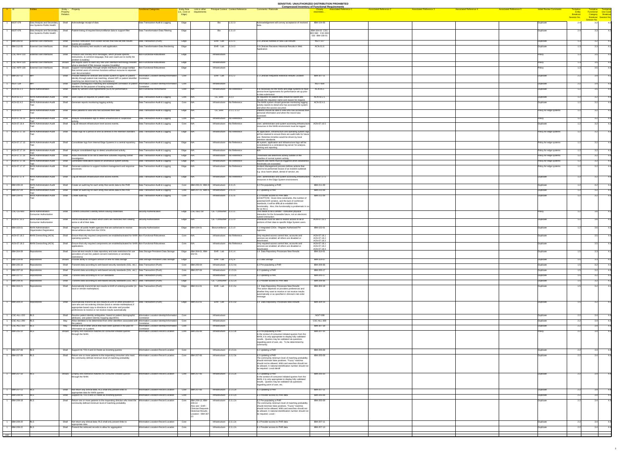**SENSITIVE: UNAUTHORIZED DISTRIBUTION PROHIBITED**

|                       |                                                          |                               |                                                                                                                                                                                                                 |                                                               |                                      |                                                 |                                                           |                                                                                                                                             | <u>JENJITIVE. UNAUTHUNIZED DIJTNIDUTIUN FNUHIDITED</u><br><b>Compressed Inventory of Functional Requirements</b> |                               |                               |                               |                               |                                |                                       |                                                                  |  |
|-----------------------|----------------------------------------------------------|-------------------------------|-----------------------------------------------------------------------------------------------------------------------------------------------------------------------------------------------------------------|---------------------------------------------------------------|--------------------------------------|-------------------------------------------------|-----------------------------------------------------------|---------------------------------------------------------------------------------------------------------------------------------------------|------------------------------------------------------------------------------------------------------------------|-------------------------------|-------------------------------|-------------------------------|-------------------------------|--------------------------------|---------------------------------------|------------------------------------------------------------------|--|
|                       |                                                          | Entity - Property<br>Property |                                                                                                                                                                                                                 | <b>Functional Categories</b>                                  | <b>Entity Role</b><br>(i.e., Core or | Link to other<br>requirements                   | <b>Principal Context Context Reference</b>                | <b>Comments / Rationale</b>                                                                                                                 | <b>Associated Reference 1</b>                                                                                    | <b>Associated Reference 2</b> | <b>Associated Reference 3</b> | <b>Associated Reference 4</b> | <b>Associated Reference 5</b> | <b>Intital Review Comments</b> | <u> Tentative</u><br><b>Entity</b>    | Tentative Tentiative<br>Functional Use Case<br>Category Breakout |  |
|                       |                                                          | Relation                      |                                                                                                                                                                                                                 |                                                               | Edge)                                |                                                 |                                                           |                                                                                                                                             |                                                                                                                  |                               |                               |                               |                               |                                | <b>Breakout</b><br><b>Session No.</b> | Category<br>Breakout Session No.                                 |  |
| NGIT-079              | Data Analysis and Secondary                              |                               | Shall Acknowledge receipt of data                                                                                                                                                                               | Data Transaction-Audit & Logging                              | Edge                                 |                                                 | 1.3.2.3                                                   | Acknowledgement will convey acceptance of received                                                                                          | IBM-104-06                                                                                                       |                               |                               |                               |                               | Duplicate                      |                                       | <b>Session No.</b>                                               |  |
|                       | Use Systems-Public Health                                |                               |                                                                                                                                                                                                                 |                                                               |                                      |                                                 |                                                           |                                                                                                                                             |                                                                                                                  |                               |                               |                               |                               |                                |                                       |                                                                  |  |
| $NGIT-076$            | Data Analysis and Secondary<br>Use Systems-Public Health | Shall                         | Publish listing of required biosurveillance data to support filter                                                                                                                                              | Data Transformation-Data Filtering                            | Edge                                 |                                                 | 1.3.1.0<br><b>BIO</b>                                     |                                                                                                                                             | IBM-104-02 CSC-<br>BIO-580 CSC-BIO                                                                               |                               |                               |                               |                               | Duplicate                      |                                       |                                                                  |  |
|                       |                                                          |                               |                                                                                                                                                                                                                 |                                                               |                                      |                                                 |                                                           |                                                                                                                                             | 550 IBM-106-01                                                                                                   |                               |                               |                               |                               |                                |                                       |                                                                  |  |
| <b>IBM-306-02</b>     | <b>External User interfaces</b>                          |                               | Shall Receive notification from locator service that new lab test results<br>events are available                                                                                                               | Data Transaction-(Push)                                       | Edge                                 |                                                 | EHR-Lab $3.2.2.1$                                         | 1.6 Clinician Notified of New Lab Results                                                                                                   | <b>NGIT-127</b>                                                                                                  |                               |                               |                               |                               | Duplicate                      |                                       |                                                                  |  |
| <b>IBM-312-05</b>     | <b>External User interfaces</b>                          |                               | Shall <b>Display laboratory test results in web application</b>                                                                                                                                                 | Data Transformation-Data Rendering                            | Edge                                 |                                                 | EHR-Lab $3.2.4.3$                                         | 2.6 Clinician Receives Historical Results in Web<br>nnlicatior                                                                              | ACN-01.6                                                                                                         |                               |                               |                               |                               | Duplicate                      |                                       |                                                                  |  |
| $CSC-NFR-110$         | <b>External User interfaces</b>                          | Shall                         | Produce user friendly error messages, which provide specific                                                                                                                                                    | Non-Functional-Robustness                                     | Edge                                 |                                                 | Infrastructure                                            |                                                                                                                                             |                                                                                                                  |                               |                               |                               |                               |                                |                                       |                                                                  |  |
|                       |                                                          |                               | instructions, in common language, that user could use to rectify the                                                                                                                                            |                                                               |                                      |                                                 |                                                           |                                                                                                                                             |                                                                                                                  |                               |                               |                               |                               | Polic                          |                                       |                                                                  |  |
| CSC-NFR-120           | <b>External User interfaces</b>                          | Should                        | problem [Usability]<br>Not require users to learn any new user interface technology besides Non-Functional-Robustness                                                                                           |                                                               | Edge                                 |                                                 | Infrastructure                                            |                                                                                                                                             |                                                                                                                  |                               |                               |                               |                               | Polic                          |                                       |                                                                  |  |
|                       | CSC-NFR-130 External User interfaces                     |                               | what a standard HTML browser requires [Usability]<br>Should Support 'memorability' through simple interfaces and usage tooltips   Non-Functional-Robustness                                                     |                                                               | Edge                                 |                                                 | Infrastructure                                            |                                                                                                                                             |                                                                                                                  |                               |                               |                               |                               | Policy                         |                                       |                                                                  |  |
|                       |                                                          |                               | that remind users of common functions without recourse to separate<br>user documentation                                                                                                                        |                                                               |                                      |                                                 |                                                           |                                                                                                                                             |                                                                                                                  |                               |                               |                               |                               |                                |                                       |                                                                  |  |
| <b>IBM-307-12</b>     |                                                          | Shall                         | Provide method for clinician and locator system to agree on patient   Information Location-Identity/Information   Core<br>identity through patient trait matching, shared MPI or patient identifier Correlation |                                                               |                                      |                                                 | EHR-Lab $3.5.2.2$                                         | 2.1 Clinician Requests Historical Results Location                                                                                          | IBM-307-11                                                                                                       |                               |                               |                               |                               | Duplicate                      |                                       |                                                                  |  |
| 1 NGIT-134 MPI        |                                                          |                               | matching (as determined by the marketplace)<br>Shall Support unambiguous matching and subsequent correlation of patient Information Location-Identity/Information Core                                          |                                                               |                                      |                                                 | Infrastructure                                            |                                                                                                                                             | <b>NGIT-008</b>                                                                                                  |                               |                               |                               |                               | Duplicate                      | _ റ റ                                 |                                                                  |  |
| ACN-05.1.1            | NHIN Administration                                      |                               | identities for the purpose of locating records<br>Shall Abide by Service Level Agreements (SLA) for performance.                                                                                                | Correlation<br>Non-Functional-Performance                     | Core N/A                             |                                                 | Infrastructure No Reference                               | It is necessary for the NHIN and edge systems to have $\vert$                                                                               | <b>ACN-05.1</b>                                                                                                  |                               |                               |                               |                               | Duplicate                      |                                       |                                                                  |  |
|                       |                                                          |                               |                                                                                                                                                                                                                 |                                                               |                                      |                                                 |                                                           | service level agreements for performance set up prior<br>to data submission.                                                                |                                                                                                                  |                               |                               |                               |                               |                                |                                       |                                                                  |  |
| ACN-02.2.2            | NHIN Administration-Audit                                |                               | Shall Save copies of requests for patient data.                                                                                                                                                                 | Data Transaction-Audit & Logging                              | $Core$ $N/A$                         |                                                 | CE, EHR<br>3.2.3                                          | All requests for patient data should be saved and<br>include the requestor name and reason for request.                                     | ACN-02.2.1                                                                                                       |                               |                               |                               |                               | <b>Duplicate</b>               |                                       |                                                                  |  |
| ACN-02.4.2            | NHIN Administration-Audit                                | Shall                         | Generate reports monitoring logging activity.                                                                                                                                                                   | Data Transaction-Audit & Logging                              | $Core$ $N/A$                         |                                                 | Infrastructure No Reference                               | The NHIN system should generate monitoring logging                                                                                          | ACN-02.4.1                                                                                                       |                               |                               |                               |                               | Duplicate                      |                                       |                                                                  |  |
|                       |                                                          |                               |                                                                                                                                                                                                                 |                                                               |                                      |                                                 |                                                           | activity reports to detail who has accessed the system<br>and when the access occurred.                                                     |                                                                                                                  |                               |                               |                               |                               |                                |                                       |                                                                  |  |
| ACN-03.4              | NHIN Administration-Audit                                |                               | Shall Allow patients to view who has accessed their data.                                                                                                                                                       | Data Transaction-Audit & Logging                              | Edge N/A                             |                                                 | CE, EHR<br>2.1.1, 2.1.2                                   | Patients should be able to view who has accessed their<br>personal information and when the record was                                      |                                                                                                                  |                               |                               |                               |                               | Policy for edge systems        |                                       |                                                                  |  |
| ACN-07.16.13          | NHIN Administration-Audit                                |                               | Shall Analyze consolidated logs to detect unauthorized or suspicious                                                                                                                                            | Data Transaction-Audit & Logging                              | $Core$ $N/A$                         |                                                 | Infrastructure No Reference                               | accessed.                                                                                                                                   |                                                                                                                  |                               |                               |                               |                               | Policy                         |                                       |                                                                  |  |
| ACN-07.16.4           | NHIN Administration-Audit                                | Shall                         | Log all relevant infrastructure level access events.                                                                                                                                                            | Data Transaction-Audit & Logging                              | Core N/A                             |                                                 | Infrastructure   No Reference                             | User, administrator and system accessing infrastructure $\vert$ ACN-07.16.5                                                                 |                                                                                                                  |                               |                               |                               |                               | Duplicate                      |                                       |                                                                  |  |
|                       |                                                          |                               |                                                                                                                                                                                                                 |                                                               |                                      |                                                 |                                                           | resources in the NHIN environment must be logged.                                                                                           |                                                                                                                  |                               |                               |                               |                               |                                |                                       |                                                                  |  |
|                       | ACN-07.17.10   NHIN Administration-Audit                 |                               | Shall Retain logs for a period of time as defined in the retention standard. Data Transaction-Audit & Logging                                                                                                   |                                                               | Edge N/A                             |                                                 | Infrastructure No Reference                               | All application, infrastructure and operating system logs  <br>$\vert$ will be retained to ensure there are audit trails for future $\vert$ |                                                                                                                  |                               |                               |                               |                               | Policy for edge systems        |                                       |                                                                  |  |
|                       |                                                          |                               |                                                                                                                                                                                                                 |                                                               |                                      |                                                 |                                                           | use. Retention timeline would be driven by local<br>retention standards.                                                                    |                                                                                                                  |                               |                               |                               |                               |                                |                                       |                                                                  |  |
| ACN-07.17.13          | NHIN Administration-Audit                                |                               | Shall Consolidate logs from internal Edge Systems in a central repository.  Data Transaction-Audit & Logging                                                                                                    |                                                               | Edge N/A                             |                                                 | Infrastructure No Reference                               | All system, application and Infrastructure logs will be                                                                                     |                                                                                                                  |                               |                               |                               |                               | Policy for edge systems        |                                       |                                                                  |  |
|                       |                                                          |                               |                                                                                                                                                                                                                 |                                                               |                                      |                                                 |                                                           | consolidated to a centralized log server for analysis,<br>alerting and reporting.                                                           |                                                                                                                  |                               |                               |                               |                               |                                |                                       |                                                                  |  |
|                       | ACN-07.17.14   NHIN Administration-Audit                 |                               | Shall Analyze consolidated logs to detect unauthorized activity.                                                                                                                                                | Data Transaction-Audit & Logging                              | Edge N/A                             |                                                 | Infrastructure   No Reference                             |                                                                                                                                             |                                                                                                                  |                               |                               |                               |                               | Policy for edge systems        |                                       |                                                                  |  |
| ACN-07.17.15          | NHIN Administration-Audit                                | Shall                         | Allow thresholds to be set to determine activities requiring further                                                                                                                                            | Data Transaction-Audit & Logging                              | Edge N/A                             |                                                 | Infrastructure   No Reference                             | Thresholds will determine activity outside of the<br>baseline of normal system activity.                                                    |                                                                                                                  |                               |                               |                               |                               | Policy for edge systems        |                                       |                                                                  |  |
| ACN-07.17.16          | NHIN Administration-Audit                                | Shall                         | Generated notifications based on anomalous system activity.                                                                                                                                                     | Data Transaction-Audit & Logging                              | Edge  N/A                            |                                                 | Infrastructure   No Reference                             | Reports and Alerts must be triggered when established  <br>thresholds are exceeded.                                                         |                                                                                                                  |                               |                               |                               |                               | Policy for edge systems        |                                       |                                                                  |  |
|                       | ACN-07.17.17   NHIN Administration-Audit                 | Shall                         | Generate evidence to support incident management and response   Data Transaction-Audit & Logging<br>processes                                                                                                   |                                                               | Edge N/A                             |                                                 | Infrastructure No Reference                               | Incident Management process defines actions that<br>need to be performed incase of an incident outbreak                                     |                                                                                                                  |                               |                               |                               |                               | Policy for edge systems        |                                       |                                                                  |  |
|                       |                                                          |                               |                                                                                                                                                                                                                 |                                                               |                                      |                                                 |                                                           | e.g. virus /worm attack, denial of service, etc                                                                                             |                                                                                                                  |                               |                               |                               |                               |                                |                                       |                                                                  |  |
| ACN-07.17.4           | NHIN Administration-Audit                                |                               | Shall   Log all relevant infrastructure level access events.                                                                                                                                                    | Data Transaction-Audit & Logging                              | Edge $N/A$                           |                                                 | Infrastructure No Reference                               | User, administrator and system accessing infrastructure $\vert$ ACN-07.17.5<br>resources in the Edge System environment.                    |                                                                                                                  |                               |                               |                               |                               | Duplicate                      |                                       |                                                                  |  |
|                       |                                                          |                               |                                                                                                                                                                                                                 |                                                               |                                      |                                                 |                                                           |                                                                                                                                             |                                                                                                                  |                               |                               |                               |                               |                                |                                       |                                                                  |  |
| <b>IBM-205-24</b>     | NHIN Administration-Audit                                |                               | Shall Create an audit log for each entity that sends data to the PHR                                                                                                                                            | Data Transaction-Audit & Logging                              |                                      |                                                 | Core   IBM-205-21; IBM-2 $\left $ Infrastructure 2.4.1.5  | 3.2 Pre-populating a PHR                                                                                                                    | IBM-211-09                                                                                                       |                               |                               |                               |                               | Duplicate                      |                                       |                                                                  |  |
| <b>IBM-207-24</b>     | NHIN Administration-Audit                                |                               | Shall Create an audit log for each entity that sends data to the PHR                                                                                                                                            | Data Transaction-Audit & Logging                              |                                      |                                                 | Core $ IBM-207-21 $ ; IBM-2 $ $ Infrastructure $ 2.4.1.5$ | 4.2 Updating a PHR                                                                                                                          | IBM-211-09                                                                                                       |                               |                               |                               |                               | Duplicate                      |                                       |                                                                  |  |
| <b>IBM-209-41</b>     | NHIN Administration-Audit                                |                               | Shall Create audit log                                                                                                                                                                                          | Data Transaction-Audit & Logging                              | Core                                 |                                                 | Infrastructure $\vert$ 2.3.2.6                            | 6.1 Provider access to PHR data<br><b>EXCEPTION:</b> Given time constraints, the number of                                                  | IBM-211-09                                                                                                       |                               |                               |                               |                               | Duplicate                      |                                       |                                                                  |  |
|                       |                                                          |                               |                                                                                                                                                                                                                 |                                                               |                                      |                                                 |                                                           | potential EHR vendors, and the lack of confirmed<br>standards, it will be difficult to establish this                                       |                                                                                                                  |                               |                               |                               |                               |                                |                                       |                                                                  |  |
|                       |                                                          |                               |                                                                                                                                                                                                                 |                                                               |                                      |                                                 |                                                           | functionality. Also, this functionality is problematic in so<br>far as the a                                                                |                                                                                                                  |                               |                               |                               |                               |                                |                                       |                                                                  |  |
| $CSC-CE-660$          | NHIN Administration-<br><b>Consumer Authorization</b>    |                               | Shall Confirm consumer's identity before issuing credentials                                                                                                                                                    | Security-Authentication                                       |                                      | Edge CSC-SEC-50                                 | $CE - Consumer$ 2.2.1.1                                   | This needs to be a vendor - consumer physical<br>interaction for the forseeable future, not an electronic                                   |                                                                                                                  |                               |                               |                               |                               | Policy                         |                                       |                                                                  |  |
| ACN-07.15.2           | NHIN Administration-                                     | Shall                         | Permit individuals to select which users are restricted from viewing                                                                                                                                            | Security-Authorization                                        | Edge N/A                             |                                                 | CE - Consumer 2.1.2.0                                     | system interaction<br>Individuals must be able to restrict access to all or                                                                 | ACN-07.15.1                                                                                                      |                               |                               |                               |                               | Duplicate                      |                                       |                                                                  |  |
|                       | <b>Consumer Authorization</b>                            |                               | some or all of their data.                                                                                                                                                                                      |                                                               |                                      |                                                 |                                                           | portions of their data to specific Edge System users.                                                                                       |                                                                                                                  |                               |                               |                               |                               |                                |                                       |                                                                  |  |
| <b>IBM-103-01</b>     | NHIN Administration-                                     | Shall                         | Register all public health agencies that are authorized to receive                                                                                                                                              | Security-Authorization                                        |                                      | Edge  IBM-104-01                                | Biosurveillance 1.2.1.0                                   | 3.1 Integrated CDOs - Register Authorized PH                                                                                                | IBM-102-01                                                                                                       |                               |                               |                               |                               | Duplicate                      |                                       |                                                                  |  |
|                       | <b>Organization Registration</b>                         |                               | biosurveillance data from the CDOs                                                                                                                                                                              |                                                               |                                      |                                                 |                                                           |                                                                                                                                             |                                                                                                                  |                               |                               |                               |                               |                                |                                       |                                                                  |  |
| ACN-07.18.2           | NHIN Overarching (ACN)                                   | Shall                         | Ensure that only required components are enabled/activated for NHIN Non-Functional-Robustness<br>operating systems.                                                                                             |                                                               | Core N/A                             |                                                 | Infrastructure   No Reference                             | Only required access control lists, accounts and<br>services are enabled; all others are disabled or                                        | ACN-07.18.1<br>ACN-07.18.2                                                                                       |                               |                               |                               |                               | Duplicate                      |                                       |                                                                  |  |
|                       |                                                          |                               | 1 ACN-07.18.3 NHIN Overarching (ACN) Shall Ensure that only required components are enabled/activated for NHIN Non-Functional-Robustness                                                                        |                                                               | Core N/A                             |                                                 | Infrastructure No Reference                               | deactivated.<br>Only required access control lists, accounts and                                                                            | ACN-07.18.3<br>ACN-07.18.1                                                                                       |                               |                               |                               |                               | Duplicate                      |                                       |                                                                  |  |
|                       |                                                          |                               | applications.                                                                                                                                                                                                   |                                                               |                                      |                                                 |                                                           | services are enabled; all others are disabled or<br>deactivated.                                                                            | ACN-07.18.2<br>ACN-07.18.3                                                                                       |                               |                               |                               |                               |                                |                                       |                                                                  |  |
| <b>IBM-304-09</b>     | Repositories                                             | Shall                         | Store lab test results in data repository and note restrictions for use   Data Storage-Persistent Data Storage<br>(providers of care list, patient consent restrictions or sensitivity                          |                                                               |                                      | Edge   IBM-304-01; IBM-<br><u>302-01</u>        | $EHR - Lab$ 3.4.1.4                                       | 1.4 Data Repository Processes New Results                                                                                                   | IBM-314-01                                                                                                       |                               |                               |                               |                               | Duplicate                      |                                       |                                                                  |  |
| <b>IBM-314-06</b>     | Repositories                                             | Should                        | Provide ability to configure amount of time for data storage                                                                                                                                                    | Data Storage-Persistent Data Storage                          | Edge                                 |                                                 | EHR-Lab $\vert$ 3.4.y.6                                   | 3.2 Data Storage                                                                                                                            | IBM-314-07                                                                                                       |                               |                               |                               |                               | Duplicate                      |                                       |                                                                  |  |
| <b>IBM-205-16</b>     | Repositories                                             |                               | Shall Transmit data according to web-based security standards (SSL, etc.) Data Transaction-(Push)                                                                                                               |                                                               |                                      | Core $\sqrt{\text{IBM-205-04}}$                 | Infrastructure $\vert$ 2.2.2.4x                           | 3.2 Pre-populating a PHR                                                                                                                    | IBM-209-36                                                                                                       |                               |                               |                               |                               | Duplicate                      |                                       |                                                                  |  |
| <b>IBM-207-16</b>     | Repositories                                             |                               |                                                                                                                                                                                                                 |                                                               |                                      |                                                 |                                                           |                                                                                                                                             | IBM-205-17                                                                                                       |                               |                               |                               |                               |                                |                                       |                                                                  |  |
|                       |                                                          |                               | Shall Transmit data according to web-based security standards (SSL, etc.) Data Transaction-(Push)                                                                                                               |                                                               |                                      | Core IBM-207-04                                 | Infrastructure $\vert$ 2.1.5.2x                           | 4.2 Updating a PHR                                                                                                                          |                                                                                                                  |                               |                               |                               |                               | Duplicate                      |                                       |                                                                  |  |
| IBM-207-17            | Repositories                                             |                               | Shall Transmit data according to HITSP standards                                                                                                                                                                | Data Transaction-(Push)                                       | Core                                 |                                                 | Infrastructure $ 2.1.5.2x $                               | 4.2 Updating a PHR                                                                                                                          | IBM-205-17                                                                                                       |                               |                               |                               |                               | Duplicate                      |                                       |                                                                  |  |
| <b>IBM-209-35</b>     | Repositories                                             |                               | Shall Transmit data according to web-based security standards (SSL, etc.) Data Transaction-(Push)                                                                                                               |                                                               | Edge                                 |                                                 | $CE - Consumer \t   2.3.2.2x$                             | 6.1 Provider access to PHR data                                                                                                             | IBM-209-36                                                                                                       |                               |                               |                               |                               | Duplicate                      |                                       |                                                                  |  |
| <b>IBM-304-21</b>     | Repositories                                             |                               | Shall Automatically transmit lab test results to EHR of ordering provider (in Data Transaction-(Push)<br>local or remote marketplace)                                                                           |                                                               |                                      | Edge IBM-311-01                                 | EHR-Lab $3.4.1.5z$                                        | 1.4 Data Repository Processes New Results<br>This action depends on providers preferences and                                               | IBM-304-18                                                                                                       |                               |                               |                               |                               | Duplicate                      |                                       |                                                                  |  |
|                       |                                                          |                               |                                                                                                                                                                                                                 |                                                               |                                      |                                                 |                                                           | whether they want to receive or not receive results<br>automatically or as specified in clinician's lab order                               |                                                                                                                  |                               |                               |                               |                               |                                |                                       |                                                                  |  |
|                       |                                                          |                               |                                                                                                                                                                                                                 |                                                               |                                      |                                                 |                                                           |                                                                                                                                             |                                                                                                                  |                               |                               |                               |                               |                                |                                       |                                                                  |  |
| <b>IBM-304-22</b>     | Repositories                                             |                               | Shall Automatically transmit lab test results to EHR of other providers of Data Transaction-(Push)<br>care who are not ordering clinician (local or remote marketplace) if                                      |                                                               |                                      | Edge IBM-311-01                                 | EHR-Lab $3.4.1.5z$                                        | 1.4 Data Repository Processes New Results                                                                                                   | IBM-304-19                                                                                                       |                               |                               |                               |                               | Duplicate                      |                                       |                                                                  |  |
|                       |                                                          |                               | appropriate based copy to directions in lab order and provider<br>preferences to receive or not receive results automatically                                                                                   |                                                               |                                      |                                                 |                                                           |                                                                                                                                             |                                                                                                                  |                               |                               |                               |                               |                                |                                       |                                                                  |  |
| CSC-ALL-220 RLS       |                                                          |                               | Shall Resolve patient identity ambiguities, based on patient demographic   Information Location-Identity/Information   Core                                                                                     |                                                               |                                      |                                                 | Infrastructure                                            |                                                                                                                                             | <b>NGIT-008</b>                                                                                                  |                               |                               |                               |                               | Duplicate                      |                                       |                                                                  |  |
|                       |                                                          |                               | attributes, and patient identity mapping algorithms.                                                                                                                                                            | Correlation                                                   |                                      |                                                 |                                                           |                                                                                                                                             |                                                                                                                  |                               |                               |                               |                               |                                |                                       |                                                                  |  |
| CSC-ALL-290 RLS       |                                                          | May                           | Allow identities to be determined from other identifiers associated with Information Location-Identity/Information Core<br>the patient.                                                                         | Correlation                                                   |                                      |                                                 | Infrastructure                                            |                                                                                                                                             | CSC-ALL-300                                                                                                      |                               |                               |                               |                               | Duplicate                      |                                       |                                                                  |  |
| CSC-ALL-310 RLS       |                                                          | May                           | Persist a list of other SNOs that have been queried in the past for<br>information on a patient.                                                                                                                | Information Location-Identity/Information Core<br>Correlation |                                      |                                                 | Infrastructure                                            |                                                                                                                                             | IBM-307-28                                                                                                       |                               |                               |                               |                               | Duplicate                      |                                       |                                                                  |  |
| <b>IBM-205-10</b> RLS |                                                          |                               | Should   Employ zero tolerance matches for consumer initiated queries<br>through the NHIN                                                                                                                       | Information Location-Record Location                          |                                      | Core   IBM-205-06                               | Infrastructure $2.2.2.3x$                                 | 3.2 Pre-populating a PHR<br>In the context of consumer initiated queries from the                                                           | IBM-207-10                                                                                                       |                               |                               |                               |                               | Policy                         |                                       |                                                                  |  |
|                       |                                                          |                               |                                                                                                                                                                                                                 |                                                               |                                      |                                                 |                                                           | NHIN, it is only appropriate to display fully validated<br>results. Queries may be validated via questions                                  |                                                                                                                  |                               |                               |                               |                               |                                |                                       |                                                                  |  |
|                       |                                                          |                               |                                                                                                                                                                                                                 |                                                               |                                      |                                                 |                                                           | regarding point of care, etc. To be determined by<br>community.                                                                             |                                                                                                                  |                               |                               |                               |                               |                                |                                       |                                                                  |  |
| <b>IBM-207-08</b>     | RLS                                                      |                               | Shall Support HL7 R2.4 and 3.0 feeds as incoming queries                                                                                                                                                        | Information Location-Record Location                          | Core                                 |                                                 | Infrastructure $ 2.1.5.2x$                                | 4.2 Updating a PHR                                                                                                                          | IBM-205-08                                                                                                       |                               |                               |                               |                               | Duplicate                      |                                       |                                                                  |  |
| IBM-207-09            | <b>RLS</b>                                               |                               | Shall Return one or more patients to the requesting consumer who meet                                                                                                                                           | Information Location-Record Location                          |                                      | Core   IBM-207-06                               | Infrastructure $2.2.2.3x$                                 | 4.2 Updating a PHR                                                                                                                          | IBM-205-09                                                                                                       |                               |                               |                               |                               | Duplicate                      |                                       |                                                                  |  |
|                       |                                                          |                               | the community defined minimum level of matching probability                                                                                                                                                     |                                                               |                                      |                                                 |                                                           | The community minimum level of matching probability<br>should minimize false positives. "Fuzzy" matches                                     |                                                                                                                  |                               |                               |                               |                               |                                |                                       |                                                                  |  |
|                       |                                                          |                               |                                                                                                                                                                                                                 |                                                               |                                      |                                                 |                                                           | should not be allowed. Wild card searches should not<br>be allowed. A national identification number should not                             |                                                                                                                  |                               |                               |                               |                               |                                |                                       |                                                                  |  |
|                       |                                                          |                               |                                                                                                                                                                                                                 |                                                               |                                      |                                                 |                                                           | be required. Local identif                                                                                                                  |                                                                                                                  |                               |                               |                               |                               |                                |                                       |                                                                  |  |
| <b>IBM-207-10</b> RLS |                                                          |                               | Should Employ zero tolerance matches for consumer initiated queries                                                                                                                                             | Information Location-Record Location                          |                                      | Core IBM-207-06                                 | $Infrastructure$ 2.1.5.2x                                 | 4.2 Updating a PHR                                                                                                                          | IBM-205-10                                                                                                       |                               |                               |                               |                               | Duplicate                      |                                       |                                                                  |  |
|                       |                                                          |                               | through the NHIN                                                                                                                                                                                                |                                                               |                                      |                                                 |                                                           | In the context of consumer initiated queries from the<br>NHIN, it is only appropriate to display fully validated                            |                                                                                                                  |                               |                               |                               |                               |                                |                                       |                                                                  |  |
|                       |                                                          |                               |                                                                                                                                                                                                                 |                                                               |                                      |                                                 |                                                           | results. Queries may be validated via questions<br>regarding point of care, etc.                                                            |                                                                                                                  |                               |                               |                               |                               |                                |                                       |                                                                  |  |
| <b>IBM-207-11</b>     | <b>RLS</b>                                               |                               | Shall   Not return any clinical data; RLS shall only present links to                                                                                                                                           | Information Location-Record Location                          |                                      | Core   IBM-207-06                               | Infrastructure $ 2.1.5.2x $                               | 4.2 Updating a PHR                                                                                                                          | IBM-207-11                                                                                                       |                               |                               |                               |                               | Duplicate                      |                                       |                                                                  |  |
| <b>IBM-209-16</b>     |                                                          |                               | appropriate data for NHIN queries<br>Shall Support HL7 R2.4 and 3.0 feeds as incoming queries                                                                                                                   | Information Location-Record Location                          | Core                                 |                                                 | $Infrastructure$ 2.3.1.2x                                 | 6.1 Provider access to PHR data                                                                                                             | IBM-205-08                                                                                                       |                               |                               |                               |                               | Duplicate                      |                                       |                                                                  |  |
| <b>IBM-209-18</b>     | RLS                                                      |                               | Shall Return one or more patients to the requesting clinician who meet the Information Location-Record Location                                                                                                 |                                                               |                                      | $Core$   IBM-209-13; IBM-                       | Infrastructure $ 2.3.1.2x$                                | 3.2 Pre-populating a PHR                                                                                                                    | IBM-205-09                                                                                                       |                               |                               |                               |                               | Duplicate                      |                                       |                                                                  |  |
|                       |                                                          |                               | community defined minimum level of matching probability                                                                                                                                                         |                                                               |                                      | $ 209-14 $<br>Also see: EHR -                   |                                                           | The community minimum level of matching probability<br>should minimize false positives. "Fuzzy" matches                                     |                                                                                                                  |                               |                               |                               |                               |                                |                                       |                                                                  |  |
|                       |                                                          |                               |                                                                                                                                                                                                                 |                                                               |                                      | Clinician Requests<br><b>Historical Results</b> |                                                           | should not be allowed. Wild card searches should not<br>be allowed. A national identification number should not                             |                                                                                                                  |                               |                               |                               |                               |                                |                                       |                                                                  |  |
|                       |                                                          |                               |                                                                                                                                                                                                                 |                                                               |                                      | Location - IBM-307-                             |                                                           | be required. Local i                                                                                                                        |                                                                                                                  |                               |                               |                               |                               |                                |                                       |                                                                  |  |
|                       |                                                          |                               |                                                                                                                                                                                                                 |                                                               |                                      |                                                 |                                                           |                                                                                                                                             |                                                                                                                  |                               |                               |                               |                               |                                |                                       |                                                                  |  |
| IBM-209-20            |                                                          |                               | Shall Not return any clinical data; RLS shall only present links to<br>appropriate data                                                                                                                         | Information Location-Record Location                          | Core                                 |                                                 | Infrastructure $\vert$ 2.3.1.2x                           | 6.1 Provider access to PHR data                                                                                                             | IBM-207-11                                                                                                       |                               |                               |                               |                               | Duplicate                      |                                       |                                                                  |  |
| <b>IBM-209-22</b>     | RLS                                                      |                               | Shall Present the retrieved records to allow for aggregation                                                                                                                                                    | Information Location-Record Location                          | Core                                 |                                                 | Infrastructure $\sqrt{2.3.1.2x}$                          | 6.1 Provider access to PHR data                                                                                                             | IBM-207-13                                                                                                       |                               |                               |                               |                               | Duplicate                      |                                       |                                                                  |  |
| 162                   |                                                          |                               |                                                                                                                                                                                                                 |                                                               |                                      |                                                 |                                                           |                                                                                                                                             |                                                                                                                  |                               |                               |                               |                               |                                |                                       |                                                                  |  |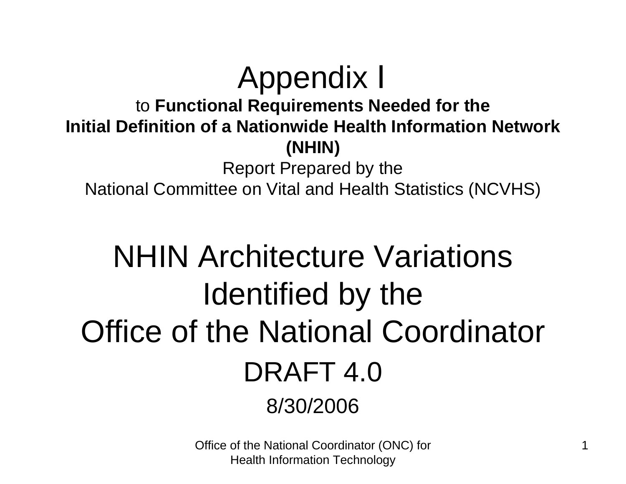# Appendix I to **Functional Requirements Needed for the Initial Definition of a Nationwide Health Information Network (NHIN)**

Report Prepared by the National Committee on Vital and Health Statistics (NCVHS)

# NHIN Architecture Variations Identified by the Office of the National Coordinator DRAFT 4.0 8/30/2006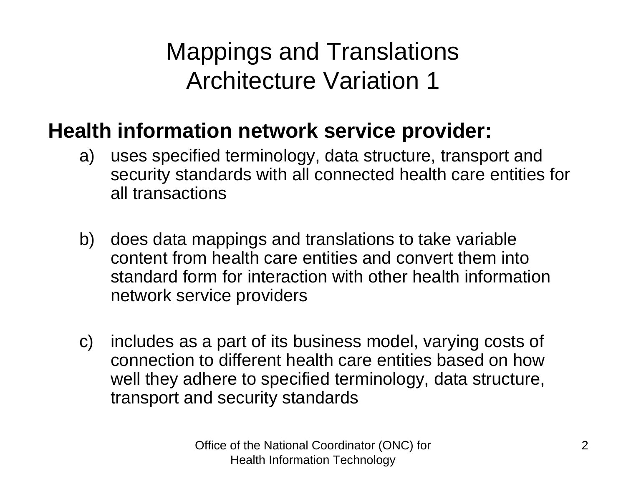Mappings and Translations Architecture Variation 1

## **Health information network service provider:**

- a) uses specified terminology, data structure, transport and security standards with all connected health care entities for all transactions
- b) does data mappings and translations to take variable content from health care entities and convert them into standard form for interaction with other health information network service providers
- c) includes as a part of its business model, varying costs of connection to different health care entities based on how well they adhere to specified terminology, data structure, transport and security standards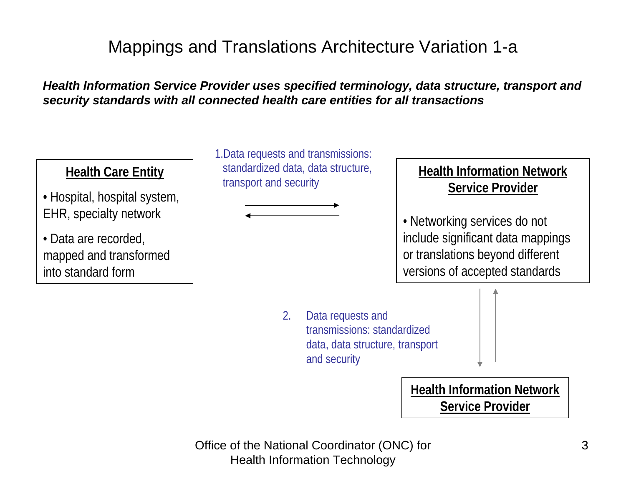## Mappings and Translations Architecture Variation 1-a

*Health Information Service Provider uses specified terminology, data structure, transport and security standards with all connected health care entities for all transactions*

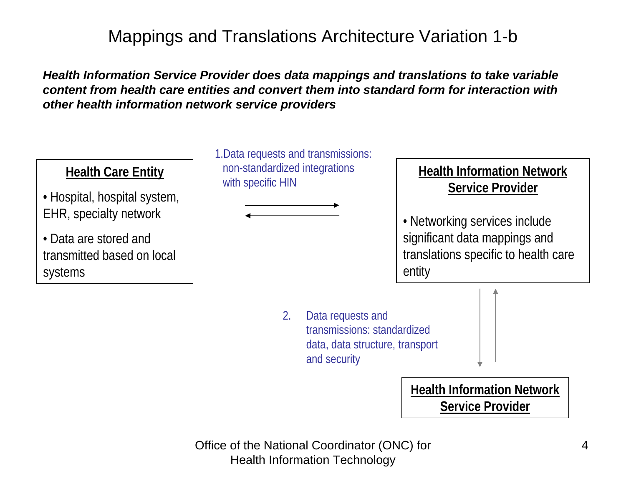## Mappings and Translations Architecture Variation 1-b

*Health Information Service Provider does data mappings and translations to take variable content from health care entities and convert them into standard form for interaction with other health information network service providers*

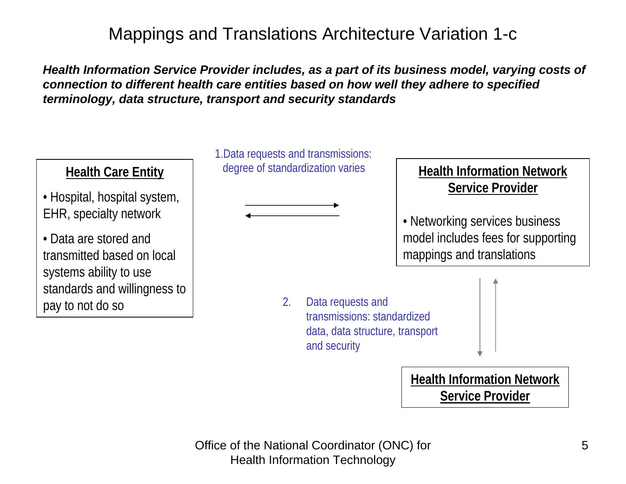## Mappings and Translations Architecture Variation 1-c

*Health Information Service Provider includes, as a part of its business model, varying costs of connection to different health care entities based on how well they adhere to specified terminology, data structure, transport and security standards*

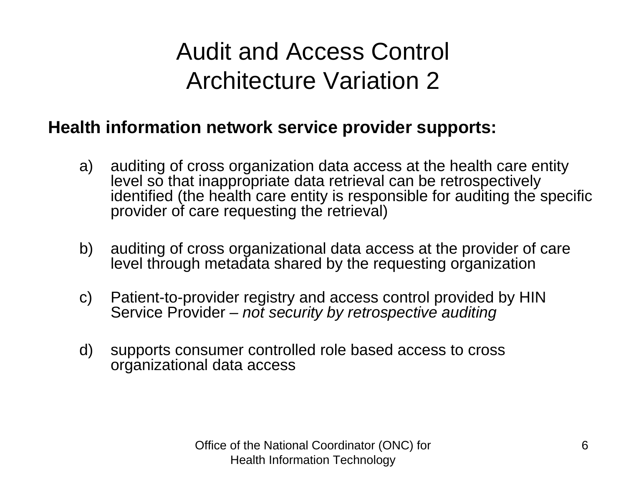# Audit and Access Control Architecture Variation 2

### **Health information network service provider supports:**

- a) auditing of cross organization data access at the health care entity level so that inappropriate data retrieval can be retrospectively identified (the health care entity is responsible for auditing the specific provider of care requesting the retrieval)
- b) auditing of cross organizational data access at the provider of care level through metadata shared by the requesting organization
- c) Patient-to-provider registry and access control provided by HIN Service Provider *– not security by retrospective auditing*
- d) supports consumer controlled role based access to cross organizational data access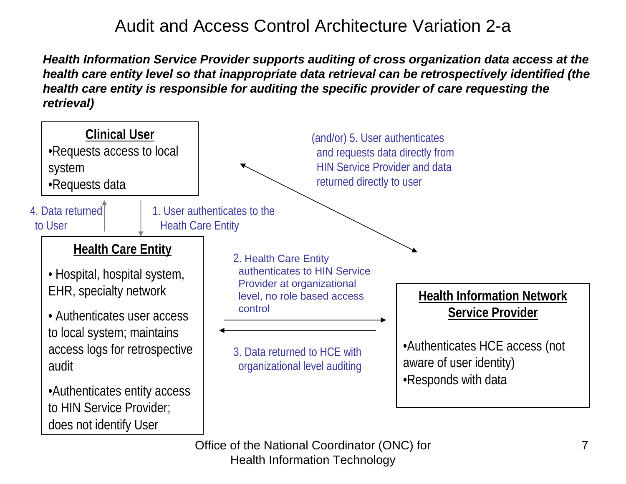## Audit and Access Control Architecture Variation 2-a

*Health Information Service Provider supports auditing of cross organization data access at the health care entity level so that inappropriate data retrieval can be retrospectively identified (the health care entity is responsible for auditing the specific provider of care requesting the retrieval)*

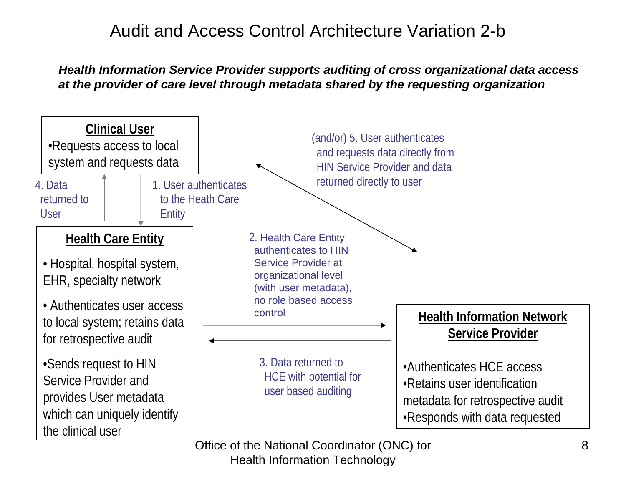## Audit and Access Control Architecture Variation 2-b

### *Health Information Service Provider supports auditing of cross organizational data access at the provider of care level through metadata shared by the requesting organization*

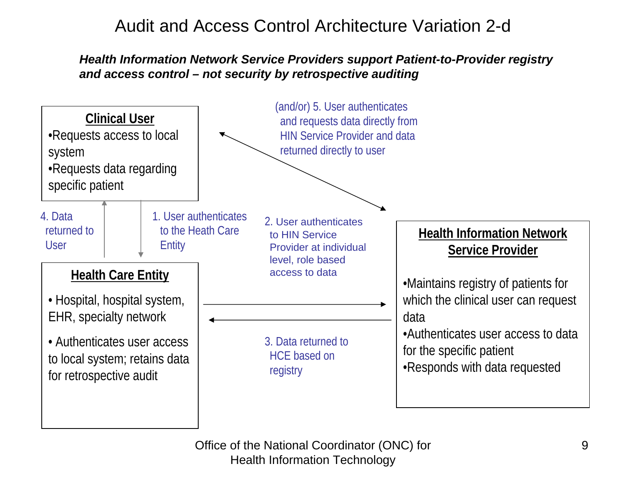## Audit and Access Control Architecture Variation 2-d

### *Health Information Network Service Providers support Patient-to-Provider registry and access control – not security by retrospective auditing*

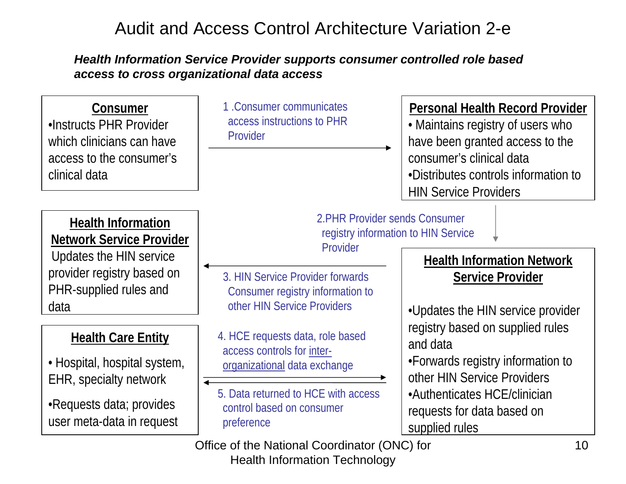## Audit and Access Control Architecture Variation 2-e

### *Health Information Service Provider supports consumer controlled role based access to cross organizational data access*

| Consumer<br>.Instructs PHR Provider<br>which clinicians can have<br>access to the consumer's<br>clinical data | 1. Consumer communicates<br>access instructions to PHR<br>Provider                | <b>Personal Health Record Provider</b><br>• Maintains registry of users who<br>have been granted access to the<br>consumer's clinical data<br>•Distributes controls information to<br><b>HIN Service Providers</b> |
|---------------------------------------------------------------------------------------------------------------|-----------------------------------------------------------------------------------|--------------------------------------------------------------------------------------------------------------------------------------------------------------------------------------------------------------------|
| <b>Health Information</b><br><b>Network Service Provider</b>                                                  | 2. PHR Provider sends Consumer<br>registry information to HIN Service<br>Provider |                                                                                                                                                                                                                    |
| Updates the HIN service                                                                                       |                                                                                   | <b>Health Information Network</b>                                                                                                                                                                                  |
| provider registry based on                                                                                    | 3. HIN Service Provider forwards                                                  | <b>Service Provider</b>                                                                                                                                                                                            |
| PHR-supplied rules and                                                                                        | Consumer registry information to                                                  |                                                                                                                                                                                                                    |
| data                                                                                                          | other HIN Service Providers                                                       | . Updates the HIN service provider                                                                                                                                                                                 |
| <b>Health Care Entity</b>                                                                                     | 4. HCE requests data, role based<br>access controls for inter-                    | registry based on supplied rules<br>and data                                                                                                                                                                       |
| • Hospital, hospital system,                                                                                  | organizational data exchange                                                      | •Forwards registry information to                                                                                                                                                                                  |
| EHR, specialty network                                                                                        |                                                                                   | other HIN Service Providers                                                                                                                                                                                        |
| •Requests data; provides                                                                                      | 5. Data returned to HCE with access                                               | •Authenticates HCE/clinician                                                                                                                                                                                       |
| user meta-data in request                                                                                     | control based on consumer<br>preference                                           | requests for data based on                                                                                                                                                                                         |
|                                                                                                               |                                                                                   | supplied rules                                                                                                                                                                                                     |
|                                                                                                               | Office of the National Coordinator (ONC) for                                      | 10                                                                                                                                                                                                                 |

Health Information Technology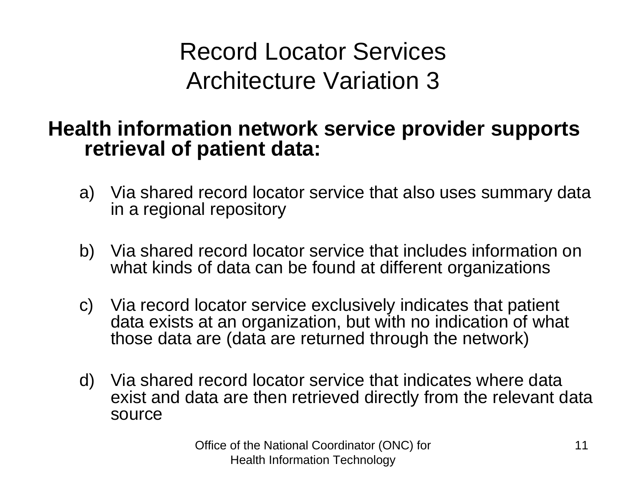Record Locator Services Architecture Variation 3

## **Health information network service provider supports retrieval of patient data:**

- a) Via shared record locator service that also uses summary data in a regional repository
- b) Via shared record locator service that includes information on what kinds of data can be found at different organizations
- c) Via record locator service exclusively indicates that patient data exists at an organization, but with no indication of what those data are (data are returned through the network)
- d) Via shared record locator service that indicates where data exist and data are then retrieved directly from the relevant data source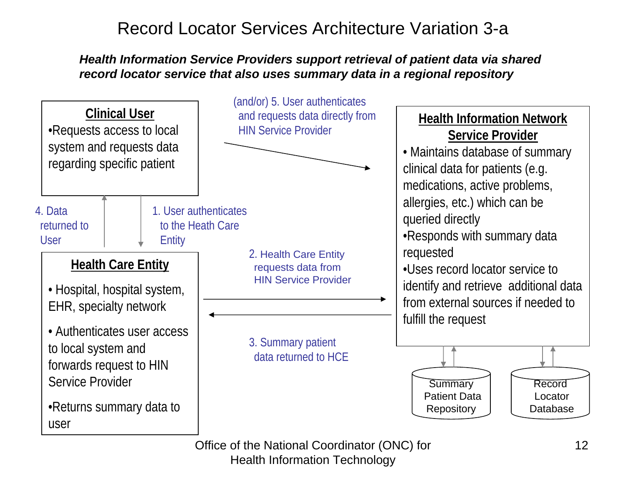## Record Locator Services Architecture Variation 3-a

#### *Health Information Service Providers support retrieval of patient data via shared record locator service that also uses summary data in a regional repository*



Office of the National Coordinator (ONC) for

Health Information Technology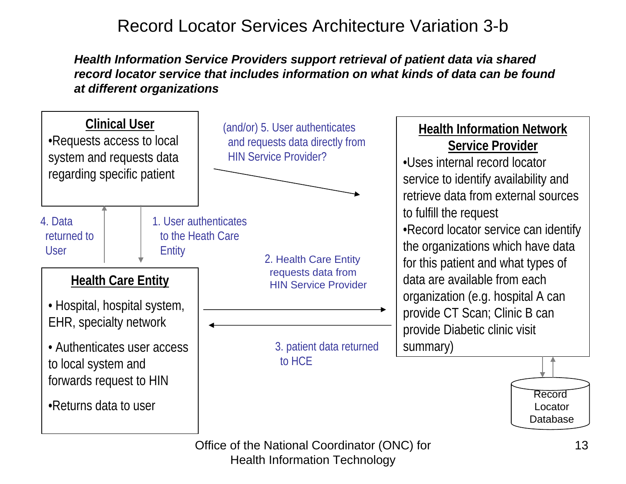## Record Locator Services Architecture Variation 3-b

*Health Information Service Providers support retrieval of patient data via shared record locator service that includes information on what kinds of data can be found at different organizations*

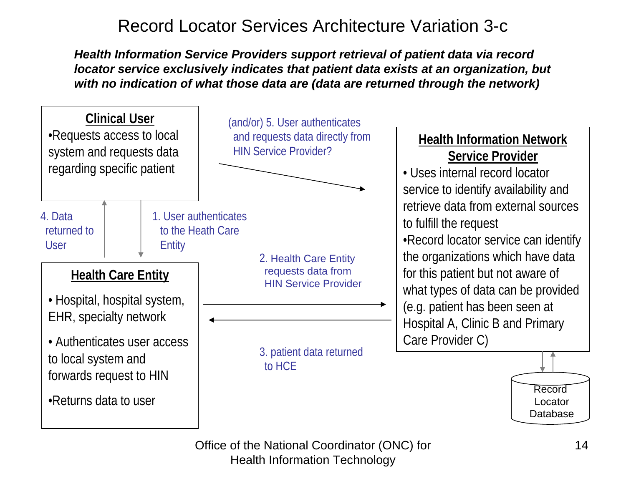## Record Locator Services Architecture Variation 3-c

*Health Information Service Providers support retrieval of patient data via record locator service exclusively indicates that patient data exists at an organization, but with no indication of what those data are (data are returned through the network)*

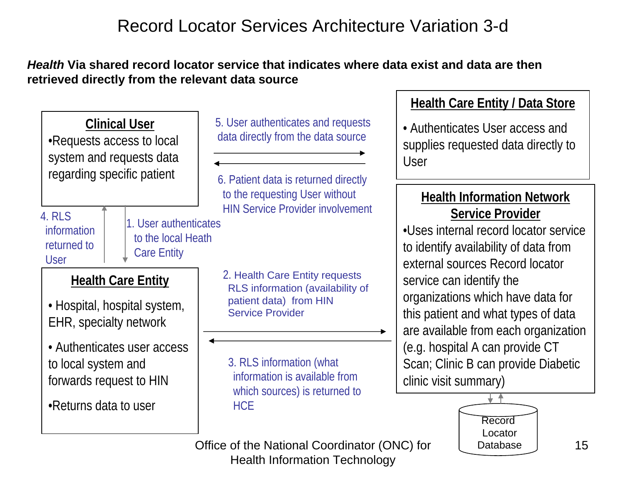## Record Locator Services Architecture Variation 3-d

### *Health* **Via shared record locator service that indicates where data exist and data are then retrieved directly from the relevant data source**

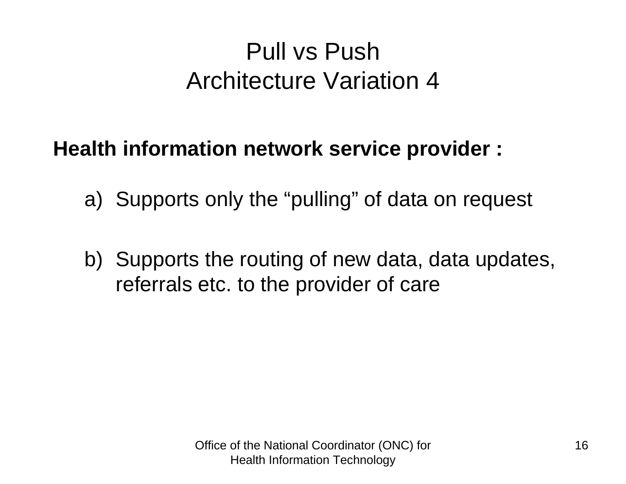# Pull vs PushArchitecture Variation 4

## **Health information network service provider :**

- a) Supports only the "pulling" of data on request
- b) Supports the routing of new data, data updates, referrals etc. to the provider of care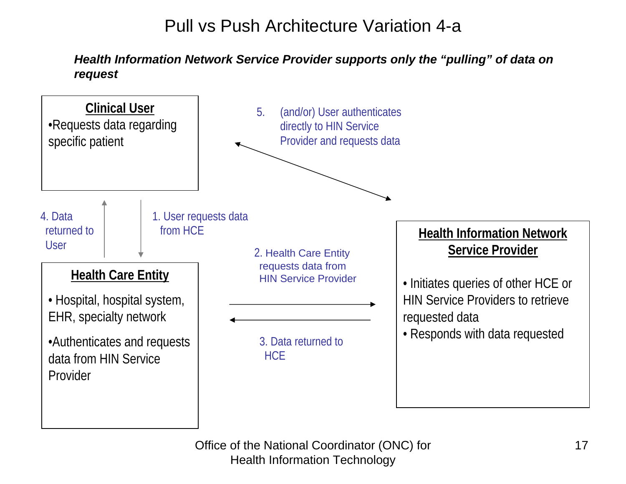## Pull vs Push Architecture Variation 4-a

*Health Information Network Service Provider supports only the "pulling" of data on request*